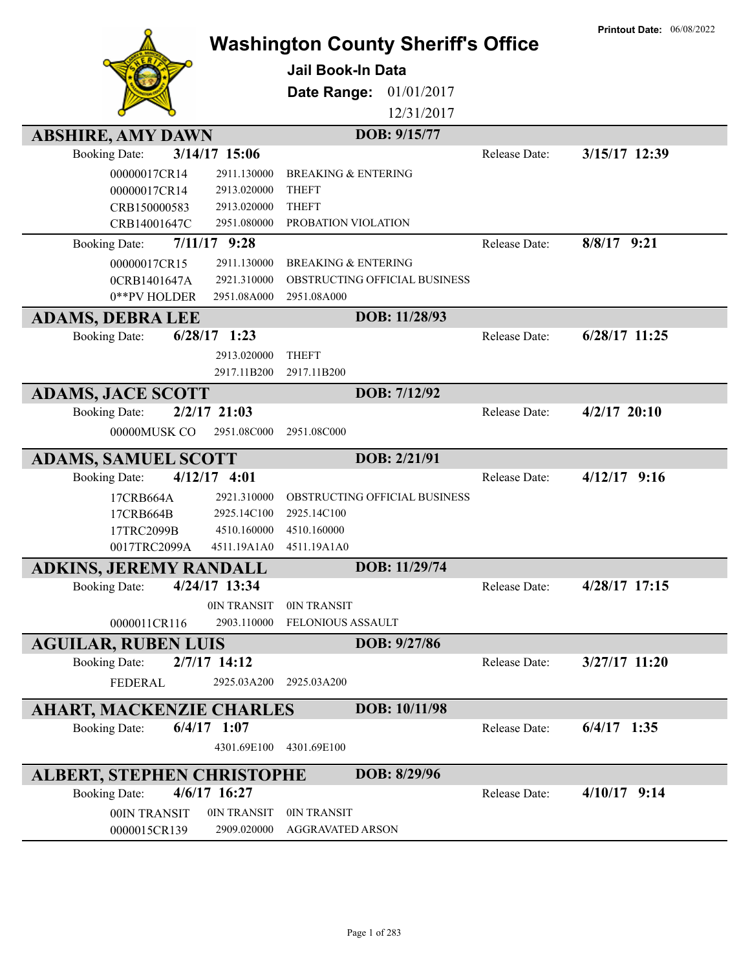| <b>ABSHIRE, AMY DAWN</b>                                                                                                                                                   | <b>Washington County Sheriff's Office</b><br><b>Jail Book-In Data</b><br>Date Range:<br>01/01/2017<br>12/31/2017<br>DOB: 9/15/77 |               | <b>Printout Date: 06/08/2022</b> |
|----------------------------------------------------------------------------------------------------------------------------------------------------------------------------|----------------------------------------------------------------------------------------------------------------------------------|---------------|----------------------------------|
| 3/14/17 15:06<br><b>Booking Date:</b>                                                                                                                                      |                                                                                                                                  | Release Date: | 3/15/17 12:39                    |
| 00000017CR14<br>2911.130000                                                                                                                                                | <b>BREAKING &amp; ENTERING</b>                                                                                                   |               |                                  |
| 00000017CR14<br>2913.020000                                                                                                                                                | <b>THEFT</b>                                                                                                                     |               |                                  |
| CRB150000583<br>2913.020000                                                                                                                                                | <b>THEFT</b>                                                                                                                     |               |                                  |
| CRB14001647C<br>2951.080000                                                                                                                                                | PROBATION VIOLATION                                                                                                              |               |                                  |
| $7/11/17$ 9:28<br><b>Booking Date:</b>                                                                                                                                     |                                                                                                                                  | Release Date: | $8/8/17$ 9:21                    |
| 00000017CR15<br>2911.130000                                                                                                                                                | <b>BREAKING &amp; ENTERING</b>                                                                                                   |               |                                  |
| 2921.310000<br>0CRB1401647A                                                                                                                                                | OBSTRUCTING OFFICIAL BUSINESS                                                                                                    |               |                                  |
| 0**PV HOLDER<br>2951.08A000                                                                                                                                                | 2951.08A000                                                                                                                      |               |                                  |
| <b>ADAMS, DEBRA LEE</b>                                                                                                                                                    | DOB: 11/28/93                                                                                                                    |               |                                  |
| $6/28/17$ 1:23<br><b>Booking Date:</b>                                                                                                                                     |                                                                                                                                  | Release Date: | $6/28/17$ 11:25                  |
| 2913.020000                                                                                                                                                                | <b>THEFT</b>                                                                                                                     |               |                                  |
| 2917.11B200                                                                                                                                                                | 2917.11B200                                                                                                                      |               |                                  |
| <b>ADAMS, JACE SCOTT</b>                                                                                                                                                   | DOB: 7/12/92                                                                                                                     |               |                                  |
| $2/2/17$ 21:03<br><b>Booking Date:</b>                                                                                                                                     |                                                                                                                                  | Release Date: | $4/2/17$ 20:10                   |
| 00000MUSK CO<br>2951.08C000                                                                                                                                                | 2951.08C000                                                                                                                      |               |                                  |
| <b>ADAMS, SAMUEL SCOTT</b>                                                                                                                                                 | DOB: 2/21/91                                                                                                                     |               |                                  |
| $4/12/17$ 4:01<br><b>Booking Date:</b>                                                                                                                                     |                                                                                                                                  | Release Date: | $4/12/17$ 9:16                   |
| 2921.310000<br>17CRB664A                                                                                                                                                   | OBSTRUCTING OFFICIAL BUSINESS                                                                                                    |               |                                  |
| 2925.14C100<br>17CRB664B                                                                                                                                                   | 2925.14C100                                                                                                                      |               |                                  |
| 17TRC2099B<br>4510.160000                                                                                                                                                  | 4510.160000                                                                                                                      |               |                                  |
| 0017TRC2099A<br>4511.19A1A0                                                                                                                                                | 4511.19A1A0                                                                                                                      |               |                                  |
| ADKINS, JEREMY RANDALL                                                                                                                                                     | DOB: 11/29/74                                                                                                                    |               |                                  |
| <b>Booking Date:</b><br>4/24/17 13:34                                                                                                                                      |                                                                                                                                  | Release Date: | 4/28/17 17:15                    |
| 0IN TRANSIT                                                                                                                                                                | 0IN TRANSIT                                                                                                                      |               |                                  |
| 0000011CR116<br>2903.110000                                                                                                                                                | FELONIOUS ASSAULT                                                                                                                |               |                                  |
|                                                                                                                                                                            | DOB: 9/27/86                                                                                                                     |               |                                  |
| $2/7/17$ 14:12<br><b>Booking Date:</b>                                                                                                                                     |                                                                                                                                  | Release Date: | $3/27/17$ 11:20                  |
| <b>FEDERAL</b><br>2925.03A200                                                                                                                                              | 2925.03A200                                                                                                                      |               |                                  |
|                                                                                                                                                                            |                                                                                                                                  |               |                                  |
|                                                                                                                                                                            |                                                                                                                                  |               |                                  |
|                                                                                                                                                                            |                                                                                                                                  |               |                                  |
|                                                                                                                                                                            | 4301.69E100                                                                                                                      |               |                                  |
|                                                                                                                                                                            | DOB: 8/29/96                                                                                                                     |               |                                  |
| 4/6/17 16:27<br><b>Booking Date:</b>                                                                                                                                       |                                                                                                                                  | Release Date: | $4/10/17$ 9:14                   |
| 0IN TRANSIT                                                                                                                                                                | 0IN TRANSIT                                                                                                                      |               |                                  |
| 0000015CR139<br>2909.020000                                                                                                                                                | <b>AGGRAVATED ARSON</b>                                                                                                          |               |                                  |
| <b>AGUILAR, RUBEN LUIS</b><br><b>AHART, MACKENZIE CHARLES</b><br>$6/4/17$ 1:07<br><b>Booking Date:</b><br>4301.69E100<br><b>ALBERT, STEPHEN CHRISTOPHE</b><br>00IN TRANSIT | DOB: 10/11/98                                                                                                                    | Release Date: | $6/4/17$ 1:35                    |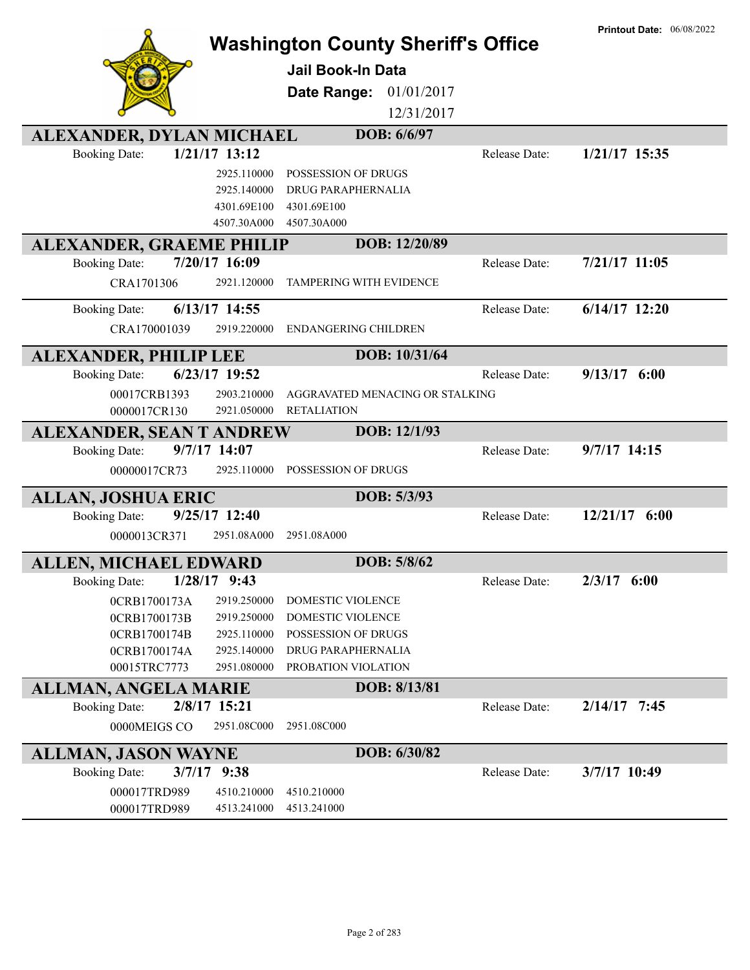| <b>Washington County Sheriff's Office</b>               |                 |                                 |               | <b>Printout Date: 06/08/2022</b> |
|---------------------------------------------------------|-----------------|---------------------------------|---------------|----------------------------------|
|                                                         |                 |                                 |               |                                  |
|                                                         |                 | <b>Jail Book-In Data</b>        |               |                                  |
|                                                         |                 | 01/01/2017<br>Date Range:       |               |                                  |
|                                                         |                 | 12/31/2017                      |               |                                  |
| ALEXANDER, DYLAN MICHAEL                                |                 | DOB: 6/6/97                     |               |                                  |
| <b>Booking Date:</b>                                    | $1/21/17$ 13:12 |                                 | Release Date: | 1/21/17 15:35                    |
|                                                         | 2925.110000     | <b>POSSESSION OF DRUGS</b>      |               |                                  |
|                                                         | 2925.140000     | DRUG PARAPHERNALIA              |               |                                  |
|                                                         | 4301.69E100     | 4301.69E100                     |               |                                  |
|                                                         | 4507.30A000     | 4507.30A000<br>DOB: 12/20/89    |               |                                  |
| <b>ALEXANDER, GRAEME PHILIP</b><br><b>Booking Date:</b> | 7/20/17 16:09   |                                 | Release Date: | $7/21/17$ 11:05                  |
| CRA1701306                                              | 2921.120000     | TAMPERING WITH EVIDENCE         |               |                                  |
|                                                         |                 |                                 |               |                                  |
| <b>Booking Date:</b>                                    | $6/13/17$ 14:55 |                                 | Release Date: | $6/14/17$ 12:20                  |
| CRA170001039                                            | 2919.220000     | ENDANGERING CHILDREN            |               |                                  |
| <b>ALEXANDER, PHILIP LEE</b>                            |                 | DOB: 10/31/64                   |               |                                  |
| <b>Booking Date:</b>                                    | 6/23/17 19:52   |                                 | Release Date: | $9/13/17$ 6:00                   |
| 00017CRB1393                                            | 2903.210000     | AGGRAVATED MENACING OR STALKING |               |                                  |
| 0000017CR130                                            | 2921.050000     | <b>RETALIATION</b>              |               |                                  |
| <b>ALEXANDER, SEAN T ANDREW</b>                         |                 | DOB: 12/1/93                    |               |                                  |
| 9/7/17 14:07<br><b>Booking Date:</b>                    |                 |                                 | Release Date: | $9/7/17$ 14:15                   |
| 00000017CR73                                            | 2925.110000     | POSSESSION OF DRUGS             |               |                                  |
| <b>ALLAN, JOSHUA ERIC</b>                               |                 | DOB: 5/3/93                     |               |                                  |
| <b>Booking Date:</b>                                    | 9/25/17 12:40   |                                 | Release Date: | $12/21/17$ 6:00                  |
| 0000013CR371                                            | 2951.08A000     | 2951.08A000                     |               |                                  |
| <b>ALLEN, MICHAEL EDWARD</b>                            |                 | DOB: 5/8/62                     |               |                                  |
| <b>Booking Date:</b>                                    | $1/28/17$ 9:43  |                                 | Release Date: | $2/3/17$ 6:00                    |
| 0CRB1700173A                                            | 2919.250000     | DOMESTIC VIOLENCE               |               |                                  |
| 0CRB1700173B                                            | 2919.250000     | DOMESTIC VIOLENCE               |               |                                  |
| 0CRB1700174B                                            | 2925.110000     | POSSESSION OF DRUGS             |               |                                  |
| 0CRB1700174A                                            | 2925.140000     | DRUG PARAPHERNALIA              |               |                                  |
| 00015TRC7773                                            | 2951.080000     | PROBATION VIOLATION             |               |                                  |
| <b>ALLMAN, ANGELA MARIE</b>                             |                 | DOB: 8/13/81                    |               |                                  |
| 2/8/17 15:21<br><b>Booking Date:</b>                    |                 |                                 | Release Date: | $2/14/17$ 7:45                   |
| 0000MEIGS CO                                            | 2951.08C000     | 2951.08C000                     |               |                                  |
| <b>ALLMAN, JASON WAYNE</b>                              |                 | DOB: 6/30/82                    |               |                                  |
| $3/7/17$ 9:38<br><b>Booking Date:</b>                   |                 |                                 | Release Date: | 3/7/17 10:49                     |
| 000017TRD989                                            | 4510.210000     | 4510.210000                     |               |                                  |
| 000017TRD989                                            | 4513.241000     | 4513.241000                     |               |                                  |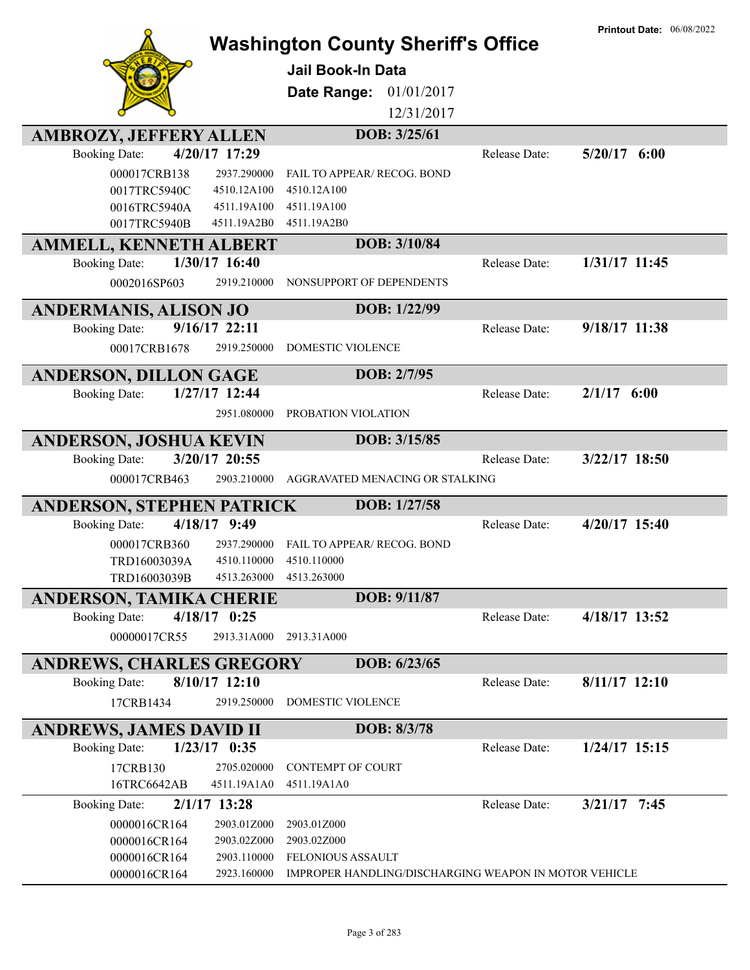| <b>AMBROZY, JEFFERY ALLEN</b>                                                                                            | <b>Washington County Sheriff's Office</b><br><b>Jail Book-In Data</b><br>Date Range:<br>01/01/2017<br>12/31/2017<br>DOB: 3/25/61 |               | <b>Printout Date: 06/08/2022</b> |
|--------------------------------------------------------------------------------------------------------------------------|----------------------------------------------------------------------------------------------------------------------------------|---------------|----------------------------------|
| 4/20/17 17:29<br><b>Booking Date:</b>                                                                                    |                                                                                                                                  | Release Date: | $5/20/17$ 6:00                   |
| 000017CRB138<br>2937.290000<br>0017TRC5940C<br>4510.12A100<br>4511.19A100<br>0016TRC5940A<br>0017TRC5940B<br>4511.19A2B0 | FAIL TO APPEAR/ RECOG. BOND<br>4510.12A100<br>4511.19A100<br>4511.19A2B0                                                         |               |                                  |
| <b>AMMELL, KENNETH ALBERT</b>                                                                                            | DOB: 3/10/84                                                                                                                     |               |                                  |
| 1/30/17 16:40<br><b>Booking Date:</b><br>0002016SP603<br>2919.210000                                                     | NONSUPPORT OF DEPENDENTS                                                                                                         | Release Date: | 1/31/17 11:45                    |
| <b>ANDERMANIS, ALISON JO</b>                                                                                             | DOB: 1/22/99                                                                                                                     |               |                                  |
| 9/16/17 22:11<br><b>Booking Date:</b><br>00017CRB1678<br>2919.250000                                                     | DOMESTIC VIOLENCE                                                                                                                | Release Date: | 9/18/17 11:38                    |
| <b>ANDERSON, DILLON GAGE</b>                                                                                             | DOB: 2/7/95                                                                                                                      |               |                                  |
| 1/27/17 12:44<br><b>Booking Date:</b><br>2951.080000                                                                     | PROBATION VIOLATION                                                                                                              | Release Date: | 2/1/17<br>6:00                   |
| <b>ANDERSON, JOSHUA KEVIN</b>                                                                                            | DOB: 3/15/85                                                                                                                     |               |                                  |
| 3/20/17 20:55<br><b>Booking Date:</b><br>000017CRB463<br>2903.210000                                                     | AGGRAVATED MENACING OR STALKING                                                                                                  | Release Date: | 3/22/17 18:50                    |
| <b>ANDERSON, STEPHEN PATRICK</b><br>4/18/17 9:49<br><b>Booking Date:</b>                                                 | DOB: 1/27/58                                                                                                                     | Release Date: | 4/20/17 15:40                    |
| 000017CRB360<br>2937.290000<br>TRD16003039A<br>4510.110000<br>TRD16003039B<br>4513.263000                                | FAIL TO APPEAR/ RECOG. BOND<br>4510.110000<br>4513.263000                                                                        |               |                                  |
| <b>ANDERSON, TAMIKA CHERIE</b>                                                                                           | DOB: 9/11/87                                                                                                                     |               |                                  |
| $4/18/17$ 0:25<br><b>Booking Date:</b><br>00000017CR55<br>2913.31A000                                                    | 2913.31A000                                                                                                                      | Release Date: | 4/18/17 13:52                    |
| <b>ANDREWS, CHARLES GREGORY</b>                                                                                          | DOB: 6/23/65                                                                                                                     |               |                                  |
| 8/10/17 12:10<br><b>Booking Date:</b><br>17CRB1434<br>2919.250000                                                        | DOMESTIC VIOLENCE                                                                                                                | Release Date: | $8/11/17$ 12:10                  |
| <b>ANDREWS, JAMES DAVID II</b>                                                                                           | DOB: 8/3/78                                                                                                                      |               |                                  |
| $1/23/17$ 0:35<br><b>Booking Date:</b>                                                                                   |                                                                                                                                  | Release Date: | $1/24/17$ 15:15                  |
| 17CRB130<br>2705.020000<br>16TRC6642AB<br>4511.19A1A0                                                                    | <b>CONTEMPT OF COURT</b><br>4511.19A1A0                                                                                          |               |                                  |
| $2/1/17$ 13:28<br><b>Booking Date:</b>                                                                                   |                                                                                                                                  | Release Date: | $3/21/17$ 7:45                   |
| 2903.01Z000<br>0000016CR164<br>2903.02Z000<br>0000016CR164<br>2903.110000<br>0000016CR164<br>2923.160000<br>0000016CR164 | 2903.01Z000<br>2903.02Z000<br>FELONIOUS ASSAULT<br>IMPROPER HANDLING/DISCHARGING WEAPON IN MOTOR VEHICLE                         |               |                                  |
|                                                                                                                          |                                                                                                                                  |               |                                  |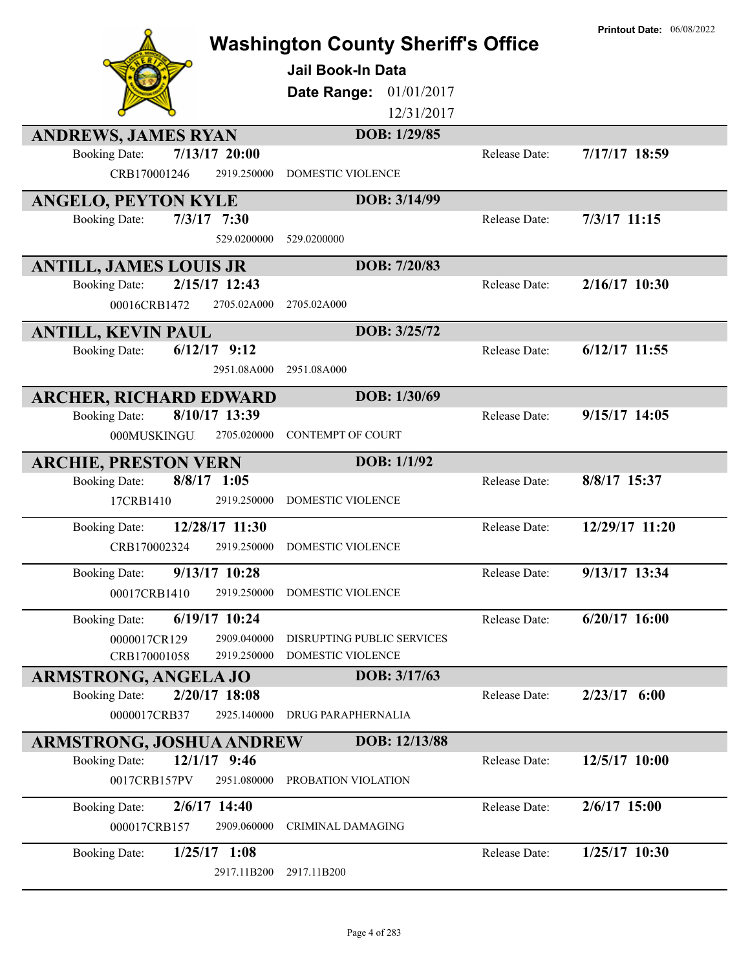|                                                                     | <b>Washington County Sheriff's Office</b><br>Jail Book-In Data<br>01/01/2017<br>Date Range:<br>12/31/2017 |               | <b>Printout Date: 06/08/2022</b> |
|---------------------------------------------------------------------|-----------------------------------------------------------------------------------------------------------|---------------|----------------------------------|
| <b>ANDREWS, JAMES RYAN</b>                                          | DOB: 1/29/85                                                                                              |               |                                  |
| $7/13/17$ 20:00<br><b>Booking Date:</b>                             |                                                                                                           | Release Date: | 7/17/17 18:59                    |
| CRB170001246<br>2919.250000                                         | <b>DOMESTIC VIOLENCE</b>                                                                                  |               |                                  |
| <b>ANGELO, PEYTON KYLE</b>                                          | DOB: 3/14/99                                                                                              |               |                                  |
| $7/3/17$ 7:30<br><b>Booking Date:</b>                               |                                                                                                           | Release Date: | 7/3/17 11:15                     |
| 529.0200000                                                         | 529.0200000                                                                                               |               |                                  |
| <b>ANTILL, JAMES LOUIS JR</b>                                       | DOB: 7/20/83                                                                                              |               |                                  |
| 2/15/17 12:43<br><b>Booking Date:</b>                               |                                                                                                           | Release Date: | 2/16/17 10:30                    |
| 00016CRB1472<br>2705.02A000                                         | 2705.02A000                                                                                               |               |                                  |
|                                                                     | DOB: 3/25/72                                                                                              |               |                                  |
| <b>ANTILL, KEVIN PAUL</b><br>$6/12/17$ 9:12<br><b>Booking Date:</b> |                                                                                                           | Release Date: | $6/12/17$ 11:55                  |
| 2951.08A000                                                         | 2951.08A000                                                                                               |               |                                  |
|                                                                     |                                                                                                           |               |                                  |
| <b>ARCHER, RICHARD EDWARD</b>                                       | DOB: 1/30/69                                                                                              |               |                                  |
| 8/10/17 13:39<br><b>Booking Date:</b>                               |                                                                                                           | Release Date: | 9/15/17 14:05                    |
| 000MUSKINGU<br>2705.020000                                          | <b>CONTEMPT OF COURT</b>                                                                                  |               |                                  |
| <b>ARCHIE, PRESTON VERN</b>                                         | DOB: 1/1/92                                                                                               |               |                                  |
| $8/8/17$ 1:05<br><b>Booking Date:</b>                               |                                                                                                           | Release Date: | 8/8/17 15:37                     |
| 17CRB1410<br>2919.250000                                            | DOMESTIC VIOLENCE                                                                                         |               |                                  |
| 12/28/17 11:30<br><b>Booking Date:</b>                              |                                                                                                           | Release Date: | 12/29/17 11:20                   |
| CRB170002324<br>2919.250000                                         | DOMESTIC VIOLENCE                                                                                         |               |                                  |
| 9/13/17 10:28                                                       |                                                                                                           | Release Date: | 9/13/17 13:34                    |
| <b>Booking Date:</b><br>2919.250000                                 | <b>DOMESTIC VIOLENCE</b>                                                                                  |               |                                  |
| 00017CRB1410                                                        |                                                                                                           |               |                                  |
| 6/19/17 10:24<br><b>Booking Date:</b>                               |                                                                                                           | Release Date: | $6/20/17$ 16:00                  |
| 2909.040000<br>0000017CR129                                         | DISRUPTING PUBLIC SERVICES                                                                                |               |                                  |
| 2919.250000<br>CRB170001058                                         | DOMESTIC VIOLENCE                                                                                         |               |                                  |
| <b>ARMSTRONG, ANGELA JO</b>                                         | DOB: 3/17/63                                                                                              |               |                                  |
| 2/20/17 18:08<br><b>Booking Date:</b>                               |                                                                                                           | Release Date: | $2/23/17$ 6:00                   |
| 2925.140000<br>0000017CRB37                                         | <b>DRUG PARAPHERNALIA</b>                                                                                 |               |                                  |
| <b>ARMSTRONG, JOSHUA ANDREW</b>                                     | DOB: 12/13/88                                                                                             |               |                                  |
| 12/1/17 9:46<br><b>Booking Date:</b>                                |                                                                                                           | Release Date: | 12/5/17 10:00                    |
| 0017CRB157PV<br>2951.080000                                         | PROBATION VIOLATION                                                                                       |               |                                  |
| $2/6/17$ 14:40<br><b>Booking Date:</b>                              |                                                                                                           | Release Date: | 2/6/17 15:00                     |
| 2909.060000<br>000017CRB157                                         | <b>CRIMINAL DAMAGING</b>                                                                                  |               |                                  |
| <b>Booking Date:</b><br>$1/25/17$ 1:08                              |                                                                                                           | Release Date: | $1/25/17$ 10:30                  |
| 2917.11B200                                                         | 2917.11B200                                                                                               |               |                                  |
|                                                                     |                                                                                                           |               |                                  |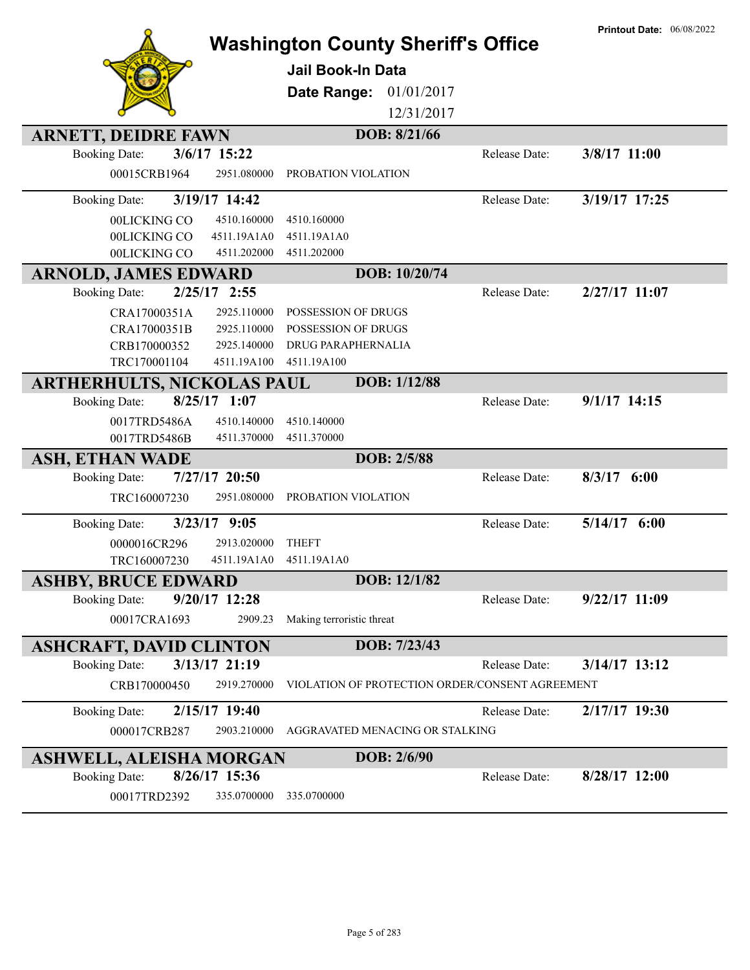| <b>ARNETT, DEIDRE FAWN</b><br>3/6/17 15:22<br><b>Booking Date:</b>                                     | <b>Jail Book-In Data</b><br>Date Range:                                                                                                            | <b>Washington County Sheriff's Office</b><br>01/01/2017<br>12/31/2017<br>DOB: 8/21/66<br>Release Date: | <b>Printout Date: 06/08/2022</b><br>3/8/17 11:00 |
|--------------------------------------------------------------------------------------------------------|----------------------------------------------------------------------------------------------------------------------------------------------------|--------------------------------------------------------------------------------------------------------|--------------------------------------------------|
| 00015CRB1964                                                                                           | 2951.080000<br>PROBATION VIOLATION                                                                                                                 |                                                                                                        |                                                  |
| 3/19/17 14:42<br><b>Booking Date:</b><br>00LICKING CO<br>00LICKING CO<br>00LICKING CO                  | 4510.160000<br>4510.160000<br>4511.19A1A0<br>4511.19A1A0<br>4511.202000<br>4511.202000                                                             | Release Date:                                                                                          | 3/19/17 17:25                                    |
| <b>ARNOLD, JAMES EDWARD</b>                                                                            |                                                                                                                                                    | DOB: 10/20/74                                                                                          |                                                  |
| $2/25/17$ 2:55<br><b>Booking Date:</b><br>CRA17000351A<br>CRA17000351B<br>CRB170000352<br>TRC170001104 | 2925.110000<br>POSSESSION OF DRUGS<br>2925.110000<br><b>POSSESSION OF DRUGS</b><br>2925.140000<br>DRUG PARAPHERNALIA<br>4511.19A100<br>4511.19A100 | Release Date:                                                                                          | 2/27/17 11:07                                    |
| <b>ARTHERHULTS, NICKOLAS PAUL</b>                                                                      |                                                                                                                                                    | DOB: 1/12/88                                                                                           |                                                  |
| $8/25/17$ 1:07<br><b>Booking Date:</b><br>0017TRD5486A<br>0017TRD5486B                                 | 4510.140000<br>4510.140000<br>4511.370000<br>4511.370000                                                                                           | Release Date:                                                                                          | $9/1/17$ 14:15                                   |
| <b>ASH, ETHAN WADE</b>                                                                                 |                                                                                                                                                    | DOB: 2/5/88                                                                                            |                                                  |
| 7/27/17 20:50<br><b>Booking Date:</b><br>TRC160007230                                                  | 2951.080000<br>PROBATION VIOLATION                                                                                                                 | Release Date:                                                                                          | $8/3/17$ 6:00                                    |
| $3/23/17$ 9:05<br><b>Booking Date:</b><br>0000016CR296<br>TRC160007230                                 | 2913.020000<br><b>THEFT</b><br>4511.19A1A0<br>4511.19A1A0                                                                                          | Release Date:                                                                                          | 5/14/17 6:00                                     |
| <b>ASHBY, BRUCE EDWARD</b>                                                                             |                                                                                                                                                    | DOB: 12/1/82                                                                                           |                                                  |
| $9/20/17$ 12:28<br><b>Booking Date:</b><br>00017CRA1693                                                | 2909.23<br>Making terroristic threat                                                                                                               | Release Date:                                                                                          | $9/22/17$ 11:09                                  |
| <b>ASHCRAFT, DAVID CLINTON</b>                                                                         |                                                                                                                                                    | DOB: 7/23/43                                                                                           |                                                  |
| 3/13/17 21:19<br><b>Booking Date:</b>                                                                  |                                                                                                                                                    | Release Date:                                                                                          | $3/14/17$ 13:12                                  |
| CRB170000450                                                                                           | 2919.270000                                                                                                                                        | VIOLATION OF PROTECTION ORDER/CONSENT AGREEMENT                                                        |                                                  |
| 2/15/17 19:40<br><b>Booking Date:</b><br>000017CRB287                                                  | 2903.210000                                                                                                                                        | Release Date:<br>AGGRAVATED MENACING OR STALKING                                                       | 2/17/17 19:30                                    |
| <b>ASHWELL, ALEISHA MORGAN</b>                                                                         |                                                                                                                                                    | DOB: 2/6/90                                                                                            |                                                  |
| 8/26/17 15:36<br><b>Booking Date:</b><br>00017TRD2392                                                  | 335.0700000<br>335.0700000                                                                                                                         | Release Date:                                                                                          | 8/28/17 12:00                                    |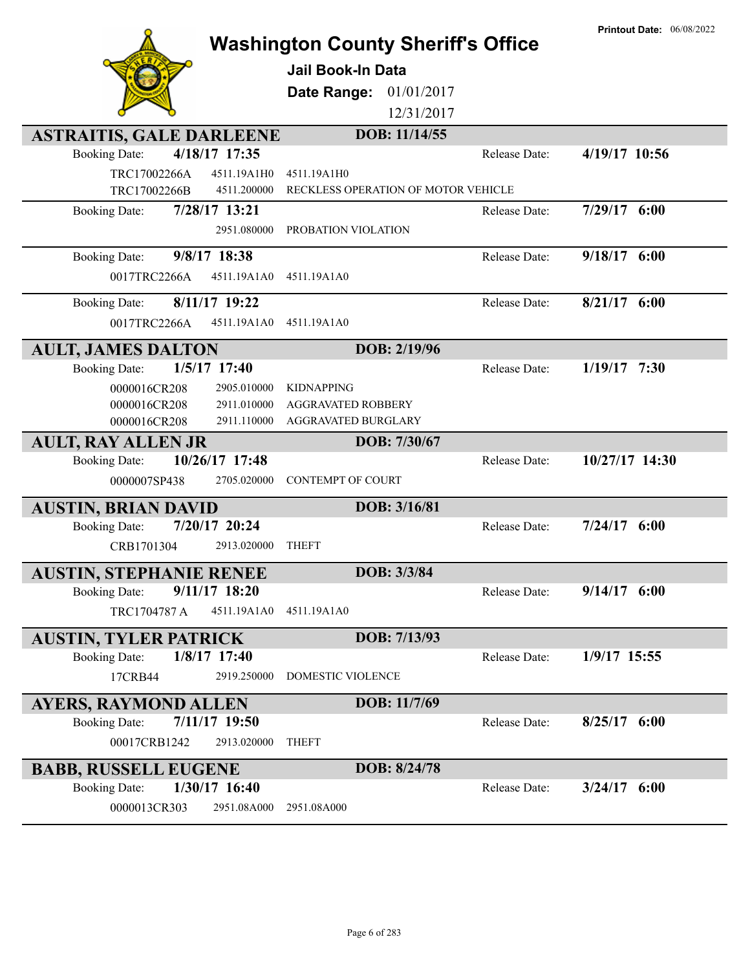|                                                            | <b>Washington County Sheriff's Office</b><br><b>Jail Book-In Data</b><br>01/01/2017<br>Date Range:<br>12/31/2017 | <b>Printout Date: 06/08/2022</b> |
|------------------------------------------------------------|------------------------------------------------------------------------------------------------------------------|----------------------------------|
|                                                            |                                                                                                                  |                                  |
| <b>ASTRAITIS, GALE DARLEENE</b>                            | DOB: 11/14/55                                                                                                    |                                  |
| 4/18/17 17:35<br><b>Booking Date:</b>                      | Release Date:                                                                                                    | 4/19/17 10:56                    |
| TRC17002266A<br>4511.19A1H0<br>TRC17002266B<br>4511.200000 | 4511.19A1H0<br>RECKLESS OPERATION OF MOTOR VEHICLE                                                               |                                  |
| 7/28/17 13:21<br><b>Booking Date:</b>                      | Release Date:                                                                                                    | 7/29/17 6:00                     |
| 2951.080000                                                | PROBATION VIOLATION                                                                                              |                                  |
| 9/8/17 18:38<br><b>Booking Date:</b>                       | Release Date:                                                                                                    | 9/18/17 6:00                     |
| 0017TRC2266A<br>4511.19A1A0                                | 4511.19A1A0                                                                                                      |                                  |
|                                                            |                                                                                                                  |                                  |
| 8/11/17 19:22<br><b>Booking Date:</b>                      | Release Date:                                                                                                    | $8/21/17$ 6:00                   |
| 0017TRC2266A<br>4511.19A1A0                                | 4511.19A1A0                                                                                                      |                                  |
| <b>AULT, JAMES DALTON</b>                                  | DOB: 2/19/96                                                                                                     |                                  |
| $1/5/17$ 17:40<br><b>Booking Date:</b>                     | Release Date:                                                                                                    | $1/19/17$ 7:30                   |
| 0000016CR208<br>2905.010000                                | <b>KIDNAPPING</b>                                                                                                |                                  |
| 0000016CR208<br>2911.010000                                | <b>AGGRAVATED ROBBERY</b>                                                                                        |                                  |
| 0000016CR208<br>2911.110000                                | AGGRAVATED BURGLARY                                                                                              |                                  |
| <b>AULT, RAY ALLEN JR</b>                                  | DOB: 7/30/67                                                                                                     |                                  |
| 10/26/17 17:48<br><b>Booking Date:</b>                     | Release Date:                                                                                                    | 10/27/17 14:30                   |
| 0000007SP438<br>2705.020000                                | <b>CONTEMPT OF COURT</b>                                                                                         |                                  |
| <b>AUSTIN, BRIAN DAVID</b>                                 | DOB: 3/16/81                                                                                                     |                                  |
| 7/20/17 20:24<br><b>Booking Date:</b>                      | Release Date:                                                                                                    | $7/24/17$ 6:00                   |
| 2913.020000<br>CRB1701304                                  | <b>THEFT</b>                                                                                                     |                                  |
| <b>AUSTIN, STEPHANIE RENEE</b>                             | DOB: 3/3/84                                                                                                      |                                  |
| $9/11/17$ 18:20<br><b>Booking Date:</b>                    | Release Date:                                                                                                    | $9/14/17$ 6:00                   |
| TRC1704787 A<br>4511.19A1A0                                | 4511.19A1A0                                                                                                      |                                  |
|                                                            |                                                                                                                  |                                  |
| <b>AUSTIN, TYLER PATRICK</b>                               | DOB: 7/13/93                                                                                                     |                                  |
| 1/8/17 17:40<br><b>Booking Date:</b>                       | Release Date:                                                                                                    | 1/9/17 15:55                     |
| 17CRB44<br>2919.250000                                     | DOMESTIC VIOLENCE                                                                                                |                                  |
| <b>AYERS, RAYMOND ALLEN</b>                                | DOB: 11/7/69                                                                                                     |                                  |
| 7/11/17 19:50<br><b>Booking Date:</b>                      | Release Date:                                                                                                    | $8/25/17$ 6:00                   |
| 00017CRB1242<br>2913.020000                                | <b>THEFT</b>                                                                                                     |                                  |
| <b>BABB, RUSSELL EUGENE</b>                                | DOB: 8/24/78                                                                                                     |                                  |
| $1/30/17$ 16:40<br><b>Booking Date:</b>                    | Release Date:                                                                                                    | $3/24/17$ 6:00                   |
| 0000013CR303<br>2951.08A000                                | 2951.08A000                                                                                                      |                                  |
|                                                            |                                                                                                                  |                                  |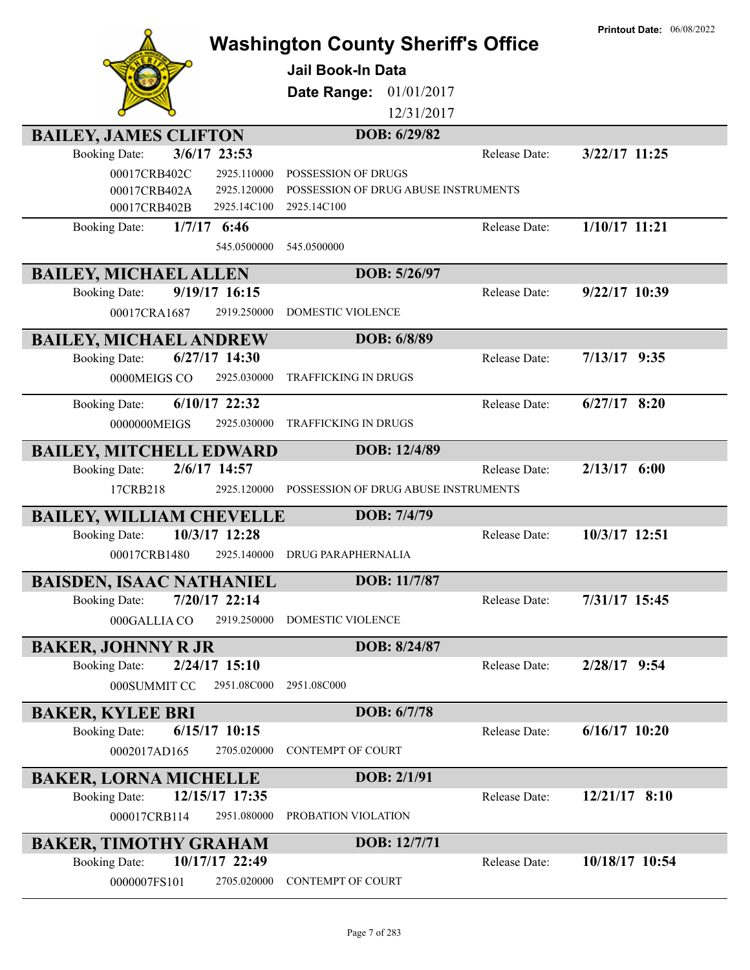| <b>Printout Date: 06/08/2022</b><br><b>Washington County Sheriff's Office</b> |                                                     |                 |  |
|-------------------------------------------------------------------------------|-----------------------------------------------------|-----------------|--|
|                                                                               |                                                     |                 |  |
|                                                                               | <b>Jail Book-In Data</b>                            |                 |  |
|                                                                               | 01/01/2017<br>Date Range:                           |                 |  |
|                                                                               | 12/31/2017                                          |                 |  |
| <b>BAILEY, JAMES CLIFTON</b>                                                  | DOB: 6/29/82                                        |                 |  |
| 3/6/17 23:53<br><b>Booking Date:</b>                                          | Release Date:                                       | $3/22/17$ 11:25 |  |
| 00017CRB402C<br>2925.110000                                                   | POSSESSION OF DRUGS                                 |                 |  |
| 00017CRB402A<br>2925.120000<br>00017CRB402B<br>2925.14C100                    | POSSESSION OF DRUG ABUSE INSTRUMENTS<br>2925.14C100 |                 |  |
| $1/7/17$ 6:46<br><b>Booking Date:</b>                                         | Release Date:                                       | 1/10/17 11:21   |  |
| 545.0500000                                                                   | 545.0500000                                         |                 |  |
|                                                                               | DOB: 5/26/97                                        |                 |  |
| <b>BAILEY, MICHAEL ALLEN</b><br>9/19/17 16:15<br><b>Booking Date:</b>         | Release Date:                                       | $9/22/17$ 10:39 |  |
| 00017CRA1687<br>2919.250000                                                   | <b>DOMESTIC VIOLENCE</b>                            |                 |  |
|                                                                               |                                                     |                 |  |
| <b>BAILEY, MICHAEL ANDREW</b>                                                 | DOB: 6/8/89                                         |                 |  |
| $6/27/17$ 14:30<br><b>Booking Date:</b>                                       | Release Date:                                       | $7/13/17$ 9:35  |  |
| 0000MEIGS CO<br>2925.030000                                                   | <b>TRAFFICKING IN DRUGS</b>                         |                 |  |
| 6/10/17 22:32<br><b>Booking Date:</b>                                         | Release Date:                                       | $6/27/17$ 8:20  |  |
| 0000000MEIGS<br>2925.030000                                                   | <b>TRAFFICKING IN DRUGS</b>                         |                 |  |
| <b>BAILEY, MITCHELL EDWARD</b>                                                | DOB: 12/4/89                                        |                 |  |
| 2/6/17 14:57<br><b>Booking Date:</b>                                          | Release Date:                                       | $2/13/17$ 6:00  |  |
| 17CRB218<br>2925.120000                                                       | POSSESSION OF DRUG ABUSE INSTRUMENTS                |                 |  |
| <b>BAILEY, WILLIAM CHEVELLE</b>                                               | DOB: 7/4/79                                         |                 |  |
| 10/3/17 12:28<br><b>Booking Date:</b>                                         | Release Date:                                       | 10/3/17 12:51   |  |
| 2925.140000<br>00017CRB1480                                                   | <b>DRUG PARAPHERNALIA</b>                           |                 |  |
| <b>BAISDEN, ISAAC NATHANIEL</b>                                               | DOB: 11/7/87                                        |                 |  |
| 7/20/17 22:14<br><b>Booking Date:</b>                                         | Release Date:                                       | 7/31/17 15:45   |  |
| 000GALLIA CO<br>2919.250000                                                   | DOMESTIC VIOLENCE                                   |                 |  |
| <b>BAKER, JOHNNY R JR</b>                                                     | DOB: 8/24/87                                        |                 |  |
| $2/24/17$ 15:10<br><b>Booking Date:</b>                                       | Release Date:                                       | 2/28/17 9:54    |  |
| 000SUMMIT CO<br>2951.08C000                                                   | 2951.08C000                                         |                 |  |
| <b>BAKER, KYLEE BRI</b>                                                       | DOB: 6/7/78                                         |                 |  |
| <b>Booking Date:</b><br>$6/15/17$ 10:15                                       | Release Date:                                       | $6/16/17$ 10:20 |  |
| 0002017AD165<br>2705.020000                                                   | <b>CONTEMPT OF COURT</b>                            |                 |  |
|                                                                               |                                                     |                 |  |
| <b>BAKER, LORNA MICHELLE</b><br>12/15/17 17:35<br><b>Booking Date:</b>        | DOB: 2/1/91<br>Release Date:                        | $12/21/17$ 8:10 |  |
| 000017CRB114<br>2951.080000                                                   | PROBATION VIOLATION                                 |                 |  |
|                                                                               |                                                     |                 |  |
| <b>BAKER, TIMOTHY GRAHAM</b>                                                  | DOB: 12/7/71                                        |                 |  |
| 10/17/17 22:49<br><b>Booking Date:</b>                                        | Release Date:                                       | 10/18/17 10:54  |  |
| 0000007FS101<br>2705.020000                                                   | <b>CONTEMPT OF COURT</b>                            |                 |  |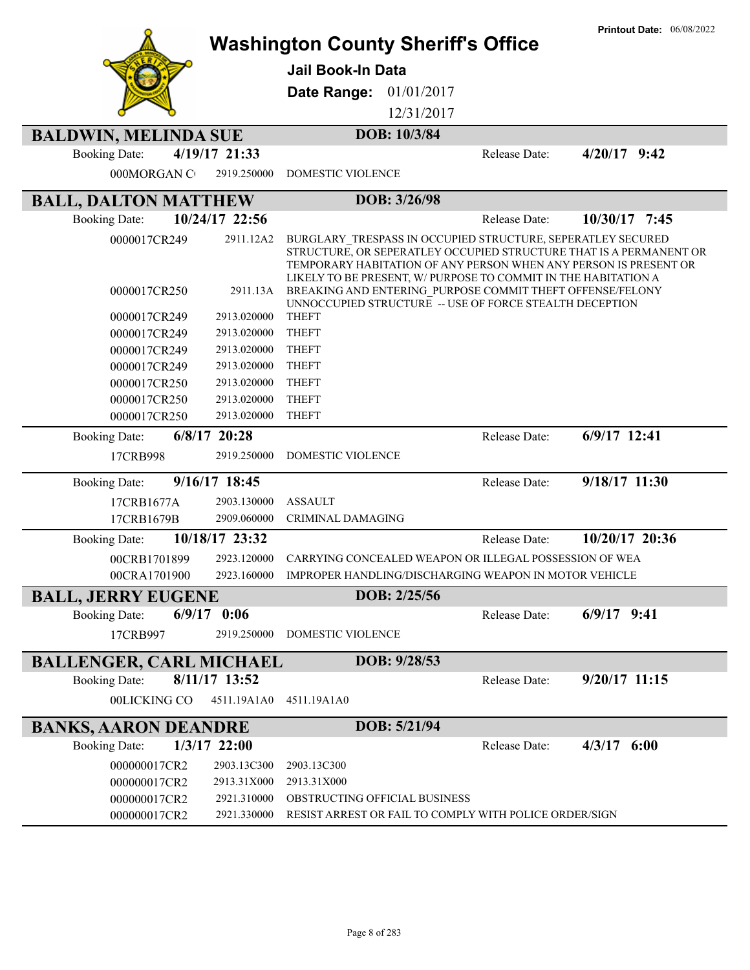|                                        |                            | <b>Washington County Sheriff's Office</b>                                                                                                                                                                                                                               |               | <b>Printout Date: 06/08/2022</b> |
|----------------------------------------|----------------------------|-------------------------------------------------------------------------------------------------------------------------------------------------------------------------------------------------------------------------------------------------------------------------|---------------|----------------------------------|
|                                        |                            | <b>Jail Book-In Data</b>                                                                                                                                                                                                                                                |               |                                  |
|                                        |                            | 01/01/2017<br>Date Range:                                                                                                                                                                                                                                               |               |                                  |
|                                        |                            | 12/31/2017                                                                                                                                                                                                                                                              |               |                                  |
| <b>BALDWIN, MELINDA SUE</b>            |                            | DOB: 10/3/84                                                                                                                                                                                                                                                            |               |                                  |
| 4/19/17 21:33<br><b>Booking Date:</b>  |                            |                                                                                                                                                                                                                                                                         | Release Date: | $4/20/17$ 9:42                   |
| 000MORGAN CO                           | 2919.250000                | DOMESTIC VIOLENCE                                                                                                                                                                                                                                                       |               |                                  |
| <b>BALL, DALTON MATTHEW</b>            |                            | DOB: 3/26/98                                                                                                                                                                                                                                                            |               |                                  |
| 10/24/17 22:56<br><b>Booking Date:</b> |                            |                                                                                                                                                                                                                                                                         | Release Date: | 10/30/17 7:45                    |
| 0000017CR249                           | 2911.12A2                  | BURGLARY TRESPASS IN OCCUPIED STRUCTURE, SEPERATLEY SECURED<br>STRUCTURE, OR SEPERATLEY OCCUPIED STRUCTURE THAT IS A PERMANENT OR<br>TEMPORARY HABITATION OF ANY PERSON WHEN ANY PERSON IS PRESENT OR<br>LIKELY TO BE PRESENT, W/ PURPOSE TO COMMIT IN THE HABITATION A |               |                                  |
| 0000017CR250                           | 2911.13A                   | BREAKING AND ENTERING PURPOSE COMMIT THEFT OFFENSE/FELONY<br>UNNOCCUPIED STRUCTURE -- USE OF FORCE STEALTH DECEPTION                                                                                                                                                    |               |                                  |
| 0000017CR249                           | 2913.020000                | <b>THEFT</b>                                                                                                                                                                                                                                                            |               |                                  |
| 0000017CR249                           | 2913.020000                | <b>THEFT</b>                                                                                                                                                                                                                                                            |               |                                  |
| 0000017CR249                           | 2913.020000                | <b>THEFT</b>                                                                                                                                                                                                                                                            |               |                                  |
| 0000017CR249                           | 2913.020000                | <b>THEFT</b><br><b>THEFT</b>                                                                                                                                                                                                                                            |               |                                  |
| 0000017CR250<br>0000017CR250           | 2913.020000<br>2913.020000 | <b>THEFT</b>                                                                                                                                                                                                                                                            |               |                                  |
| 0000017CR250                           | 2913.020000                | <b>THEFT</b>                                                                                                                                                                                                                                                            |               |                                  |
| $6/8/17$ 20:28<br><b>Booking Date:</b> |                            |                                                                                                                                                                                                                                                                         | Release Date: | 6/9/17 12:41                     |
| 17CRB998                               | 2919.250000                | DOMESTIC VIOLENCE                                                                                                                                                                                                                                                       |               |                                  |
| 9/16/17 18:45<br><b>Booking Date:</b>  |                            |                                                                                                                                                                                                                                                                         | Release Date: | 9/18/17 11:30                    |
| 17CRB1677A                             | 2903.130000                | <b>ASSAULT</b>                                                                                                                                                                                                                                                          |               |                                  |
| 17CRB1679B                             | 2909.060000                | CRIMINAL DAMAGING                                                                                                                                                                                                                                                       |               |                                  |
| 10/18/17 23:32<br><b>Booking Date:</b> |                            |                                                                                                                                                                                                                                                                         | Release Date: | 10/20/17 20:36                   |
| 00CRB1701899                           | 2923.120000                | CARRYING CONCEALED WEAPON OR ILLEGAL POSSESSION OF WEA                                                                                                                                                                                                                  |               |                                  |
| 00CRA1701900                           |                            | 2923.160000 IMPROPER HANDLING/DISCHARGING WEAPON IN MOTOR VEHICLE                                                                                                                                                                                                       |               |                                  |
| <b>BALL, JERRY EUGENE</b>              |                            | DOB: 2/25/56                                                                                                                                                                                                                                                            |               |                                  |
| $6/9/17$ 0:06<br><b>Booking Date:</b>  |                            |                                                                                                                                                                                                                                                                         | Release Date: | $6/9/17$ 9:41                    |
| 17CRB997                               | 2919.250000                | DOMESTIC VIOLENCE                                                                                                                                                                                                                                                       |               |                                  |
| <b>BALLENGER, CARL MICHAEL</b>         |                            | DOB: 9/28/53                                                                                                                                                                                                                                                            |               |                                  |
| 8/11/17 13:52<br><b>Booking Date:</b>  |                            |                                                                                                                                                                                                                                                                         | Release Date: | $9/20/17$ 11:15                  |
| 00LICKING CO                           | 4511.19A1A0                | 4511.19A1A0                                                                                                                                                                                                                                                             |               |                                  |
| <b>BANKS, AARON DEANDRE</b>            |                            | DOB: 5/21/94                                                                                                                                                                                                                                                            |               |                                  |
| $1/3/17$ 22:00<br><b>Booking Date:</b> |                            |                                                                                                                                                                                                                                                                         | Release Date: | $4/3/17$ 6:00                    |
| 000000017CR2                           | 2903.13C300                | 2903.13C300                                                                                                                                                                                                                                                             |               |                                  |
| 000000017CR2                           | 2913.31X000                | 2913.31X000                                                                                                                                                                                                                                                             |               |                                  |
| 000000017CR2                           | 2921.310000                | OBSTRUCTING OFFICIAL BUSINESS                                                                                                                                                                                                                                           |               |                                  |
| 000000017CR2                           | 2921.330000                | RESIST ARREST OR FAIL TO COMPLY WITH POLICE ORDER/SIGN                                                                                                                                                                                                                  |               |                                  |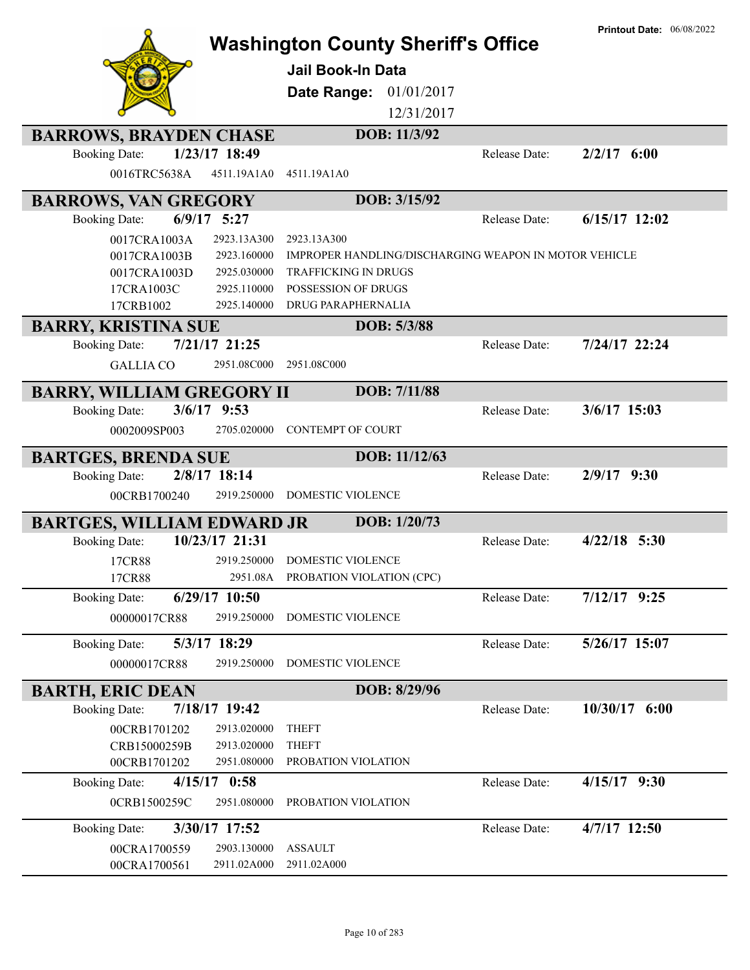|                                   |                | <b>Washington County Sheriff's Office</b>             |               | <b>Printout Date: 06/08/2022</b> |
|-----------------------------------|----------------|-------------------------------------------------------|---------------|----------------------------------|
|                                   |                |                                                       |               |                                  |
|                                   |                | <b>Jail Book-In Data</b>                              |               |                                  |
|                                   |                | 01/01/2017<br>Date Range:                             |               |                                  |
|                                   |                | 12/31/2017                                            |               |                                  |
| <b>BARROWS, BRAYDEN CHASE</b>     |                | DOB: 11/3/92                                          |               |                                  |
| <b>Booking Date:</b>              | 1/23/17 18:49  |                                                       | Release Date: | $2/2/17$ 6:00                    |
| 0016TRC5638A                      | 4511.19A1A0    | 4511.19A1A0                                           |               |                                  |
| <b>BARROWS, VAN GREGORY</b>       |                | DOB: 3/15/92                                          |               |                                  |
| <b>Booking Date:</b>              | $6/9/17$ 5:27  |                                                       | Release Date: | $6/15/17$ 12:02                  |
| 0017CRA1003A                      | 2923.13A300    | 2923.13A300                                           |               |                                  |
| 0017CRA1003B                      | 2923.160000    | IMPROPER HANDLING/DISCHARGING WEAPON IN MOTOR VEHICLE |               |                                  |
| 0017CRA1003D                      | 2925.030000    | <b>TRAFFICKING IN DRUGS</b>                           |               |                                  |
| 17CRA1003C                        | 2925.110000    | POSSESSION OF DRUGS                                   |               |                                  |
| 17CRB1002                         | 2925.140000    | DRUG PARAPHERNALIA                                    |               |                                  |
| <b>BARRY, KRISTINA SUE</b>        |                | DOB: 5/3/88                                           |               |                                  |
| <b>Booking Date:</b>              | 7/21/17 21:25  |                                                       | Release Date: | 7/24/17 22:24                    |
| <b>GALLIA CO</b>                  | 2951.08C000    | 2951.08C000                                           |               |                                  |
| <b>BARRY, WILLIAM GREGORY II</b>  |                | DOB: 7/11/88                                          |               |                                  |
| <b>Booking Date:</b>              | $3/6/17$ 9:53  |                                                       | Release Date: | $3/6/17$ 15:03                   |
| 0002009SP003                      | 2705.020000    | <b>CONTEMPT OF COURT</b>                              |               |                                  |
|                                   |                |                                                       |               |                                  |
| <b>BARTGES, BRENDA SUE</b>        |                | DOB: 11/12/63                                         |               |                                  |
| <b>Booking Date:</b>              | 2/8/17 18:14   |                                                       | Release Date: | $2/9/17$ 9:30                    |
| 00CRB1700240                      | 2919.250000    | DOMESTIC VIOLENCE                                     |               |                                  |
| <b>BARTGES, WILLIAM EDWARD JR</b> |                | DOB: 1/20/73                                          |               |                                  |
| <b>Booking Date:</b>              | 10/23/17 21:31 |                                                       | Release Date: | $4/22/18$ 5:30                   |
| 17CR88                            | 2919.250000    | <b>DOMESTIC VIOLENCE</b>                              |               |                                  |
| 17CR88                            |                | 2951.08A PROBATION VIOLATION (CPC)                    |               |                                  |
| <b>Booking Date:</b>              | 6/29/17 10:50  |                                                       | Release Date: | $7/12/17$ 9:25                   |
| 00000017CR88                      | 2919.250000    | DOMESTIC VIOLENCE                                     |               |                                  |
| <b>Booking Date:</b>              | 5/3/17 18:29   |                                                       | Release Date: | 5/26/17 15:07                    |
| 00000017CR88                      | 2919.250000    | DOMESTIC VIOLENCE                                     |               |                                  |
|                                   |                |                                                       |               |                                  |
| <b>BARTH, ERIC DEAN</b>           |                | DOB: 8/29/96                                          |               |                                  |
| <b>Booking Date:</b>              | 7/18/17 19:42  |                                                       | Release Date: | 10/30/17 6:00                    |
| 00CRB1701202                      | 2913.020000    | <b>THEFT</b>                                          |               |                                  |
| CRB15000259B                      | 2913.020000    | <b>THEFT</b>                                          |               |                                  |
| 00CRB1701202                      | 2951.080000    | PROBATION VIOLATION                                   |               |                                  |
| <b>Booking Date:</b>              | $4/15/17$ 0:58 |                                                       | Release Date: | $4/15/17$ 9:30                   |
| 0CRB1500259C                      | 2951.080000    | PROBATION VIOLATION                                   |               |                                  |
| <b>Booking Date:</b>              | 3/30/17 17:52  |                                                       | Release Date: | 4/7/17 12:50                     |
| 00CRA1700559                      | 2903.130000    | <b>ASSAULT</b>                                        |               |                                  |
| 00CRA1700561                      | 2911.02A000    | 2911.02A000                                           |               |                                  |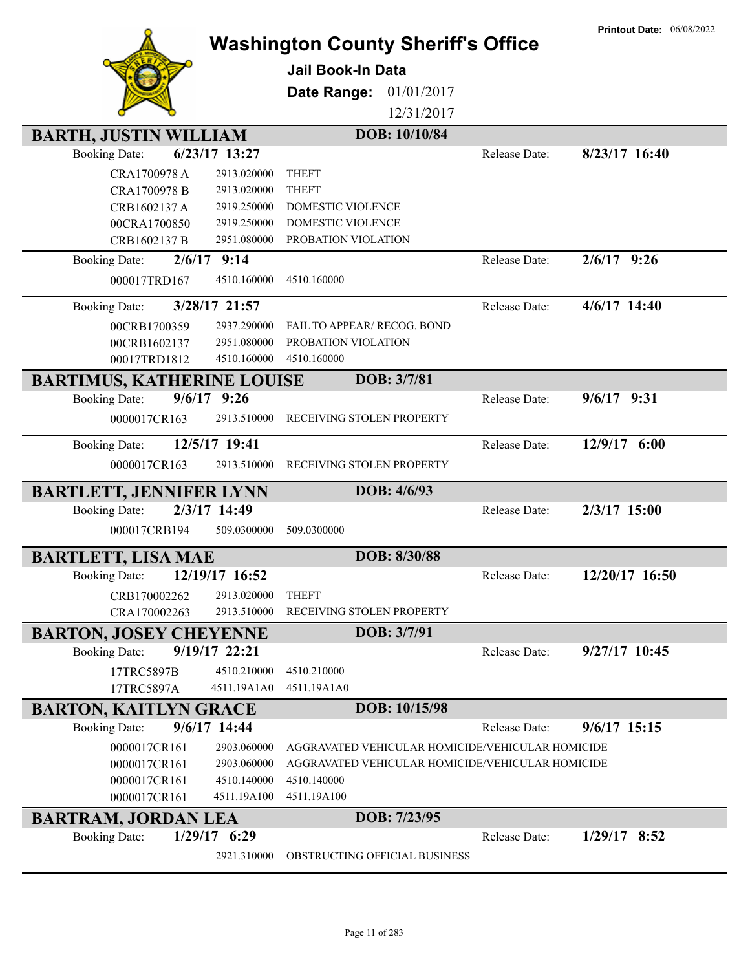|                                   |                |                                           |                                                  | <b>Printout Date: 06/08/2022</b> |
|-----------------------------------|----------------|-------------------------------------------|--------------------------------------------------|----------------------------------|
|                                   |                | <b>Washington County Sheriff's Office</b> |                                                  |                                  |
|                                   |                | <b>Jail Book-In Data</b>                  |                                                  |                                  |
|                                   |                |                                           |                                                  |                                  |
|                                   |                | Date Range:                               | 01/01/2017                                       |                                  |
|                                   |                |                                           | 12/31/2017                                       |                                  |
| <b>BARTH, JUSTIN WILLIAM</b>      |                | DOB: 10/10/84                             |                                                  |                                  |
| <b>Booking Date:</b>              | 6/23/17 13:27  |                                           | Release Date:                                    | $8/23/17$ 16:40                  |
| CRA1700978 A                      | 2913.020000    | <b>THEFT</b>                              |                                                  |                                  |
| CRA1700978 B                      | 2913.020000    | <b>THEFT</b>                              |                                                  |                                  |
| CRB1602137 A                      | 2919.250000    | DOMESTIC VIOLENCE                         |                                                  |                                  |
| 00CRA1700850                      | 2919.250000    | DOMESTIC VIOLENCE                         |                                                  |                                  |
| CRB1602137 B                      | 2951.080000    | PROBATION VIOLATION                       |                                                  |                                  |
| <b>Booking Date:</b>              | $2/6/17$ 9:14  |                                           | Release Date:                                    | $2/6/17$ 9:26                    |
| 000017TRD167                      | 4510.160000    | 4510.160000                               |                                                  |                                  |
|                                   |                |                                           |                                                  |                                  |
| <b>Booking Date:</b>              | 3/28/17 21:57  |                                           | Release Date:                                    | $4/6/17$ 14:40                   |
| 00CRB1700359                      | 2937.290000    | FAIL TO APPEAR/ RECOG. BOND               |                                                  |                                  |
| 00CRB1602137                      | 2951.080000    | PROBATION VIOLATION                       |                                                  |                                  |
| 00017TRD1812                      | 4510.160000    | 4510.160000                               |                                                  |                                  |
| <b>BARTIMUS, KATHERINE LOUISE</b> |                | DOB: 3/7/81                               |                                                  |                                  |
| <b>Booking Date:</b>              | $9/6/17$ 9:26  |                                           | Release Date:                                    | $9/6/17$ 9:31                    |
| 0000017CR163                      | 2913.510000    | RECEIVING STOLEN PROPERTY                 |                                                  |                                  |
|                                   |                |                                           |                                                  |                                  |
| <b>Booking Date:</b>              | 12/5/17 19:41  |                                           | Release Date:                                    | 12/9/17 6:00                     |
| 0000017CR163                      | 2913.510000    | RECEIVING STOLEN PROPERTY                 |                                                  |                                  |
| <b>BARTLETT, JENNIFER LYNN</b>    |                | DOB: 4/6/93                               |                                                  |                                  |
| <b>Booking Date:</b>              | 2/3/17 14:49   |                                           | Release Date:                                    | 2/3/17 15:00                     |
| 000017CRB194                      | 509.0300000    | 509.0300000                               |                                                  |                                  |
|                                   |                |                                           |                                                  |                                  |
| <b>BARTLETT, LISA MAE</b>         |                | DOB: 8/30/88                              |                                                  |                                  |
| <b>Booking Date:</b>              | 12/19/17 16:52 |                                           | Release Date:                                    | 12/20/17 16:50                   |
| CRB170002262                      | 2913.020000    | <b>THEFT</b>                              |                                                  |                                  |
| CRA170002263                      | 2913.510000    | RECEIVING STOLEN PROPERTY                 |                                                  |                                  |
| <b>BARTON, JOSEY CHEYENNE</b>     |                | DOB: 3/7/91                               |                                                  |                                  |
| <b>Booking Date:</b>              | 9/19/17 22:21  |                                           | Release Date:                                    | $9/27/17$ 10:45                  |
| 17TRC5897B                        | 4510.210000    | 4510.210000                               |                                                  |                                  |
| 17TRC5897A                        | 4511.19A1A0    | 4511.19A1A0                               |                                                  |                                  |
|                                   |                |                                           |                                                  |                                  |
| <b>BARTON, KAITLYN GRACE</b>      |                | DOB: 10/15/98                             |                                                  |                                  |
| <b>Booking Date:</b>              | $9/6/17$ 14:44 |                                           | Release Date:                                    | $9/6/17$ 15:15                   |
| 0000017CR161                      | 2903.060000    |                                           | AGGRAVATED VEHICULAR HOMICIDE/VEHICULAR HOMICIDE |                                  |
| 0000017CR161                      | 2903.060000    |                                           | AGGRAVATED VEHICULAR HOMICIDE/VEHICULAR HOMICIDE |                                  |
| 0000017CR161                      | 4510.140000    | 4510.140000                               |                                                  |                                  |
| 0000017CR161                      | 4511.19A100    | 4511.19A100                               |                                                  |                                  |
| <b>BARTRAM, JORDAN LEA</b>        |                | DOB: 7/23/95                              |                                                  |                                  |
| <b>Booking Date:</b>              | $1/29/17$ 6:29 |                                           | Release Date:                                    | $1/29/17$ 8:52                   |
|                                   | 2921.310000    | OBSTRUCTING OFFICIAL BUSINESS             |                                                  |                                  |
|                                   |                |                                           |                                                  |                                  |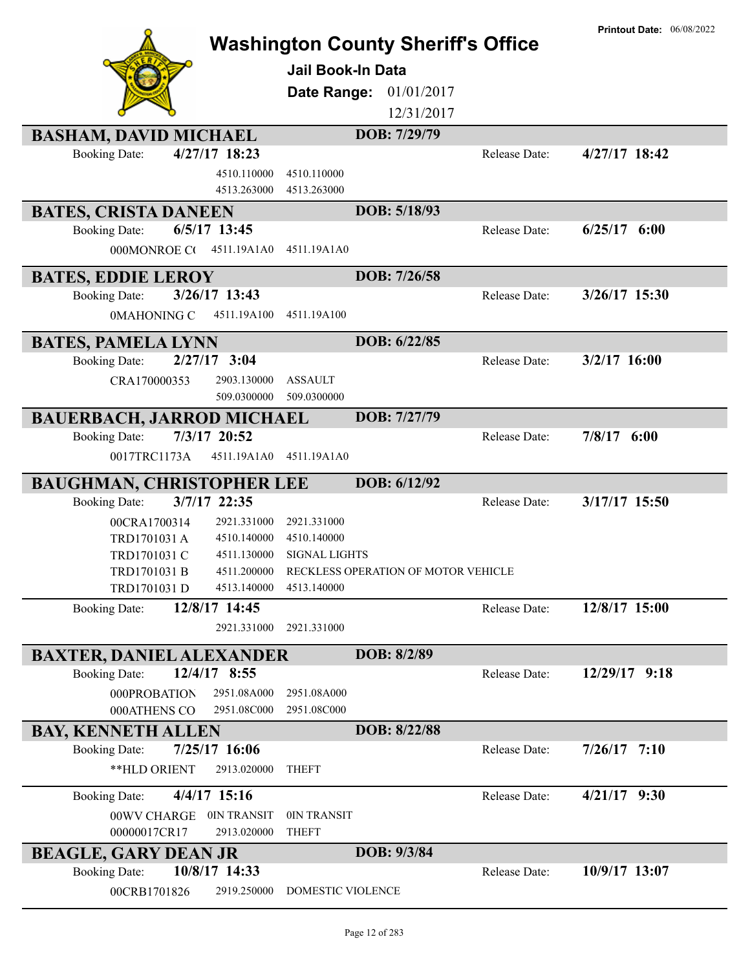| <b>BASHAM, DAVID MICHAEL</b>            | Jail Book-In Data<br>Date Range:                         | <b>Washington County Sheriff's Office</b><br>01/01/2017<br>12/31/2017<br>DOB: 7/29/79 |                                | <b>Printout Date: 06/08/2022</b> |
|-----------------------------------------|----------------------------------------------------------|---------------------------------------------------------------------------------------|--------------------------------|----------------------------------|
| $4/27/17$ 18:23<br><b>Booking Date:</b> |                                                          |                                                                                       | Release Date:                  | $4/27/17$ 18:42                  |
|                                         | 4510.110000<br>4510.110000<br>4513.263000<br>4513.263000 |                                                                                       |                                |                                  |
| <b>BATES, CRISTA DANEEN</b>             |                                                          | DOB: 5/18/93                                                                          |                                |                                  |
| $6/5/17$ 13:45<br><b>Booking Date:</b>  |                                                          |                                                                                       | Release Date:                  | $6/25/17$ $6:00$                 |
| 000MONROE CO                            | 4511.19A1A0<br>4511.19A1A0                               |                                                                                       |                                |                                  |
| <b>BATES, EDDIE LEROY</b>               |                                                          | DOB: 7/26/58                                                                          |                                |                                  |
| 3/26/17 13:43<br><b>Booking Date:</b>   |                                                          |                                                                                       | Release Date:                  | $3/26/17$ 15:30                  |
| 0MAHONING C                             | 4511.19A100<br>4511.19A100                               |                                                                                       |                                |                                  |
| <b>BATES, PAMELA LYNN</b>               |                                                          | DOB: 6/22/85                                                                          |                                |                                  |
| $2/27/17$ 3:04<br><b>Booking Date:</b>  |                                                          |                                                                                       | Release Date:                  | $3/2/17$ 16:00                   |
| CRA170000353                            | <b>ASSAULT</b><br>2903.130000                            |                                                                                       |                                |                                  |
|                                         | 509.0300000<br>509.0300000                               |                                                                                       |                                |                                  |
| <b>BAUERBACH, JARROD MICHAEL</b>        |                                                          | DOB: 7/27/79                                                                          |                                |                                  |
| 7/3/17 20:52<br><b>Booking Date:</b>    |                                                          |                                                                                       | $7/8/17$ 6:00<br>Release Date: |                                  |
| 0017TRC1173A                            | 4511.19A1A0<br>4511.19A1A0                               |                                                                                       |                                |                                  |
| <b>BAUGHMAN, CHRISTOPHER LEE</b>        |                                                          | DOB: 6/12/92                                                                          |                                |                                  |
| 3/7/17 22:35<br><b>Booking Date:</b>    |                                                          |                                                                                       | Release Date:                  | 3/17/17 15:50                    |
| 00CRA1700314                            | 2921.331000<br>2921.331000                               |                                                                                       |                                |                                  |
| TRD1701031 A                            | 4510.140000<br>4510.140000                               |                                                                                       |                                |                                  |
| TRD1701031 C                            | 4511.130000<br><b>SIGNAL LIGHTS</b>                      |                                                                                       |                                |                                  |
| TRD1701031 B<br>TRD1701031 D            | 4511.200000<br>4513.140000<br>4513.140000                | RECKLESS OPERATION OF MOTOR VEHICLE                                                   |                                |                                  |
| 12/8/17 14:45<br><b>Booking Date:</b>   |                                                          |                                                                                       | Release Date:                  | 12/8/17 15:00                    |
|                                         | 2921.331000<br>2921.331000                               |                                                                                       |                                |                                  |
| <b>BAXTER, DANIEL ALEXANDER</b>         |                                                          | DOB: 8/2/89                                                                           |                                |                                  |
| 12/4/17 8:55<br><b>Booking Date:</b>    |                                                          |                                                                                       | Release Date:                  | 12/29/17 9:18                    |
| 000PROBATION                            | 2951.08A000<br>2951.08A000                               |                                                                                       |                                |                                  |
| 000ATHENS CO                            | 2951.08C000<br>2951.08C000                               |                                                                                       |                                |                                  |
| <b>BAY, KENNETH ALLEN</b>               |                                                          | DOB: 8/22/88                                                                          |                                |                                  |
| 7/25/17 16:06<br><b>Booking Date:</b>   |                                                          |                                                                                       | Release Date:                  | $7/26/17$ 7:10                   |
| **HLD ORIENT                            | 2913.020000<br><b>THEFT</b>                              |                                                                                       |                                |                                  |
| $4/4/17$ 15:16<br><b>Booking Date:</b>  |                                                          |                                                                                       | Release Date:                  | $4/21/17$ 9:30                   |
| 00WV CHARGE                             | 0IN TRANSIT<br>0IN TRANSIT                               |                                                                                       |                                |                                  |
| 00000017CR17                            | 2913.020000<br><b>THEFT</b>                              |                                                                                       |                                |                                  |
| <b>BEAGLE, GARY DEAN JR</b>             |                                                          | DOB: 9/3/84                                                                           |                                |                                  |
| 10/8/17 14:33<br><b>Booking Date:</b>   |                                                          |                                                                                       | Release Date:                  | 10/9/17 13:07                    |
| 00CRB1701826                            | 2919.250000<br>DOMESTIC VIOLENCE                         |                                                                                       |                                |                                  |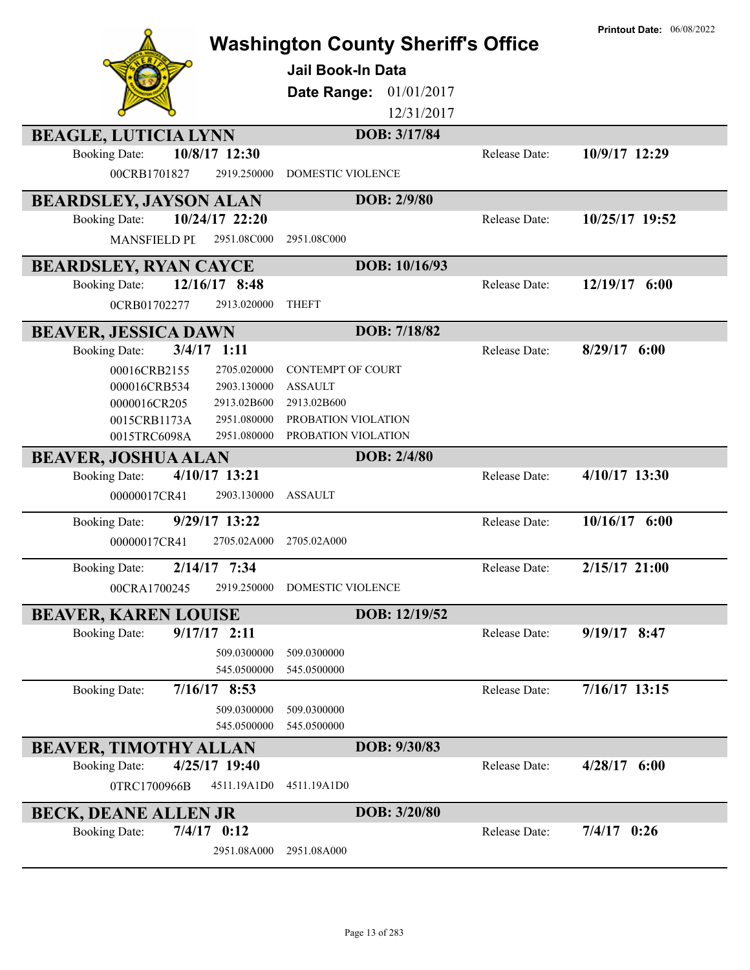|                               |                            | <b>Jail Book-In Data</b><br>Date Range: | <b>Washington County Sheriff's Office</b><br>01/01/2017<br>12/31/2017 | <b>Printout Date: 06/08/2022</b> |
|-------------------------------|----------------------------|-----------------------------------------|-----------------------------------------------------------------------|----------------------------------|
| <b>BEAGLE, LUTICIA LYNN</b>   |                            | DOB: 3/17/84                            |                                                                       |                                  |
| <b>Booking Date:</b>          | 10/8/17 12:30              |                                         | Release Date:                                                         | 10/9/17 12:29                    |
| 00CRB1701827                  | 2919.250000                | <b>DOMESTIC VIOLENCE</b>                |                                                                       |                                  |
| <b>BEARDSLEY, JAYSON ALAN</b> |                            | DOB: 2/9/80                             |                                                                       |                                  |
| <b>Booking Date:</b>          | 10/24/17 22:20             |                                         | Release Date:                                                         | 10/25/17 19:52                   |
| <b>MANSFIELD PL</b>           | 2951.08C000                | 2951.08C000                             |                                                                       |                                  |
| <b>BEARDSLEY, RYAN CAYCE</b>  |                            | DOB: 10/16/93                           |                                                                       |                                  |
| <b>Booking Date:</b>          | 12/16/17 8:48              |                                         | Release Date:                                                         | 12/19/17 6:00                    |
| 0CRB01702277                  | 2913.020000                | <b>THEFT</b>                            |                                                                       |                                  |
| <b>BEAVER, JESSICA DAWN</b>   |                            | DOB: 7/18/82                            |                                                                       |                                  |
| <b>Booking Date:</b>          | $3/4/17$ 1:11              |                                         | Release Date:                                                         | $8/29/17$ 6:00                   |
| 00016CRB2155                  | 2705.020000                | <b>CONTEMPT OF COURT</b>                |                                                                       |                                  |
| 000016CRB534                  | 2903.130000                | <b>ASSAULT</b>                          |                                                                       |                                  |
| 0000016CR205                  | 2913.02B600                | 2913.02B600                             |                                                                       |                                  |
| 0015CRB1173A                  | 2951.080000                | PROBATION VIOLATION                     |                                                                       |                                  |
| 0015TRC6098A                  | 2951.080000                | PROBATION VIOLATION                     |                                                                       |                                  |
| <b>BEAVER, JOSHUA ALAN</b>    |                            | DOB: 2/4/80                             |                                                                       |                                  |
| <b>Booking Date:</b>          | 4/10/17 13:21              |                                         | Release Date:                                                         | 4/10/17 13:30                    |
| 00000017CR41                  | 2903.130000                | <b>ASSAULT</b>                          |                                                                       |                                  |
| <b>Booking Date:</b>          | 9/29/17 13:22              |                                         | Release Date:                                                         | 10/16/17 6:00                    |
| 00000017CR41                  | 2705.02A000                | 2705.02A000                             |                                                                       |                                  |
| <b>Booking Date:</b>          | 2/14/17 7:34               |                                         | Release Date:                                                         | $2/15/17$ 21:00                  |
| 00CRA1700245                  | 2919.250000                | <b>DOMESTIC VIOLENCE</b>                |                                                                       |                                  |
| <b>BEAVER, KAREN LOUISE</b>   |                            | DOB: 12/19/52                           |                                                                       |                                  |
| <b>Booking Date:</b>          | $9/17/17$ 2:11             |                                         | Release Date:                                                         | $9/19/17$ 8:47                   |
|                               | 509.0300000<br>545.0500000 | 509.0300000<br>545.0500000              |                                                                       |                                  |
| <b>Booking Date:</b>          | $7/16/17$ 8:53             |                                         | Release Date:                                                         | 7/16/17 13:15                    |
|                               | 509.0300000                | 509.0300000                             |                                                                       |                                  |
|                               | 545.0500000                | 545.0500000                             |                                                                       |                                  |
| <b>BEAVER, TIMOTHY ALLAN</b>  |                            | DOB: 9/30/83                            |                                                                       |                                  |
| <b>Booking Date:</b>          | 4/25/17 19:40              |                                         | Release Date:                                                         | $4/28/17$ 6:00                   |
| 0TRC1700966B                  | 4511.19A1D0                | 4511.19A1D0                             |                                                                       |                                  |
| <b>BECK, DEANE ALLEN JR</b>   |                            | DOB: 3/20/80                            |                                                                       |                                  |
| <b>Booking Date:</b>          | $7/4/17$ 0:12              |                                         | Release Date:                                                         | $7/4/17$ 0:26                    |
|                               | 2951.08A000                | 2951.08A000                             |                                                                       |                                  |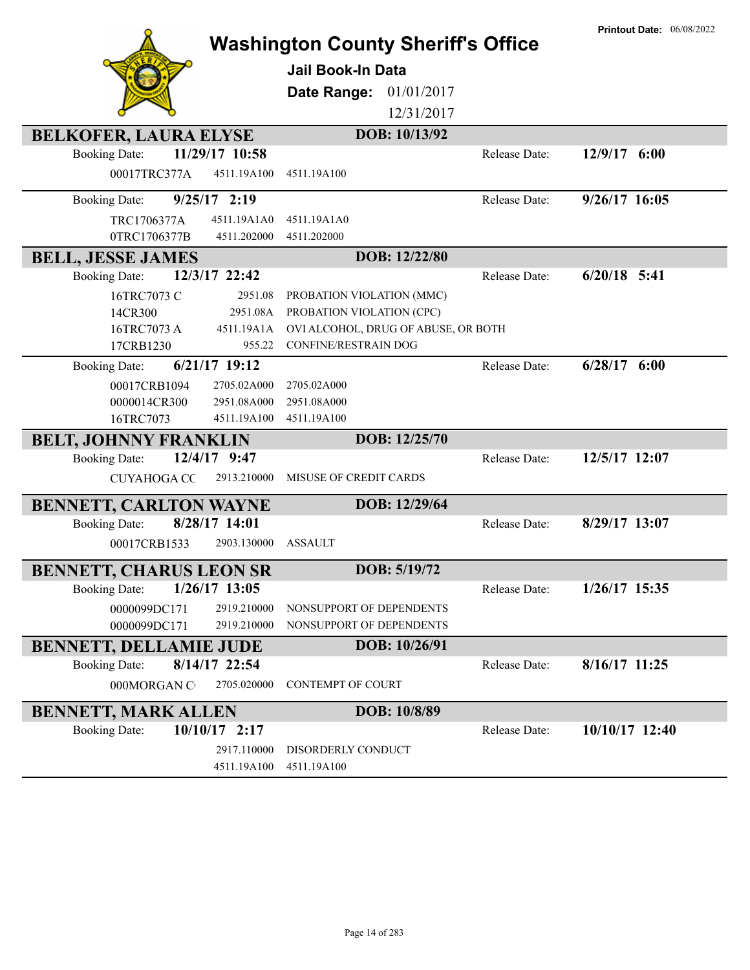|                                                                        |                               | <b>Washington County Sheriff's Office</b>                        |               | <b>Printout Date: 06/08/2022</b> |
|------------------------------------------------------------------------|-------------------------------|------------------------------------------------------------------|---------------|----------------------------------|
|                                                                        |                               | <b>Jail Book-In Data</b>                                         |               |                                  |
|                                                                        |                               |                                                                  |               |                                  |
|                                                                        | Date Range:                   | 01/01/2017<br>12/31/2017                                         |               |                                  |
|                                                                        |                               |                                                                  |               |                                  |
| <b>BELKOFER, LAURA ELYSE</b><br>11/29/17 10:58<br><b>Booking Date:</b> |                               | DOB: 10/13/92                                                    | Release Date: | $12/9/17$ 6:00                   |
| 00017TRC377A                                                           | 4511.19A100<br>4511.19A100    |                                                                  |               |                                  |
|                                                                        |                               |                                                                  |               |                                  |
| $9/25/17$ 2:19<br><b>Booking Date:</b>                                 |                               |                                                                  | Release Date: | 9/26/17 16:05                    |
| TRC1706377A                                                            | 4511.19A1A0<br>4511.19A1A0    |                                                                  |               |                                  |
| 0TRC1706377B                                                           | 4511.202000<br>4511.202000    |                                                                  |               |                                  |
| <b>BELL, JESSE JAMES</b>                                               |                               | DOB: 12/22/80                                                    |               |                                  |
| 12/3/17 22:42<br><b>Booking Date:</b>                                  |                               |                                                                  | Release Date: | $6/20/18$ 5:41                   |
| 16TRC7073 C                                                            | 2951.08                       | PROBATION VIOLATION (MMC)                                        |               |                                  |
| 14CR300                                                                | 2951.08A<br>4511.19A1A        | PROBATION VIOLATION (CPC)<br>OVI ALCOHOL, DRUG OF ABUSE, OR BOTH |               |                                  |
| 16TRC7073 A<br>17CRB1230                                               | 955.22                        | <b>CONFINE/RESTRAIN DOG</b>                                      |               |                                  |
| $6/21/17$ 19:12<br><b>Booking Date:</b>                                |                               |                                                                  | Release Date: | $6/28/17$ $6:00$                 |
| 00017CRB1094                                                           | 2705.02A000<br>2705.02A000    |                                                                  |               |                                  |
| 0000014CR300                                                           | 2951.08A000<br>2951.08A000    |                                                                  |               |                                  |
| 16TRC7073                                                              | 4511.19A100<br>4511.19A100    |                                                                  |               |                                  |
| <b>BELT, JOHNNY FRANKLIN</b>                                           |                               | DOB: 12/25/70                                                    |               |                                  |
| 12/4/17 9:47<br><b>Booking Date:</b>                                   |                               |                                                                  | Release Date: | 12/5/17 12:07                    |
| <b>CUYAHOGA CC</b>                                                     | 2913.210000                   | MISUSE OF CREDIT CARDS                                           |               |                                  |
|                                                                        |                               | DOB: 12/29/64                                                    |               |                                  |
| <b>BENNETT, CARLTON WAYNE</b><br>8/28/17 14:01<br><b>Booking Date:</b> |                               |                                                                  | Release Date: | 8/29/17 13:07                    |
| 00017CRB1533                                                           | <b>ASSAULT</b><br>2903.130000 |                                                                  |               |                                  |
|                                                                        |                               |                                                                  |               |                                  |
| BENNETT, CHARUS LEON SR                                                |                               | DOB: 5/19/72                                                     |               |                                  |
| $1/26/17$ 13:05<br><b>Booking Date:</b>                                |                               |                                                                  | Release Date: | $1/26/17$ 15:35                  |
| 0000099DC171                                                           | 2919.210000                   | NONSUPPORT OF DEPENDENTS                                         |               |                                  |
| 0000099DC171                                                           | 2919.210000                   | NONSUPPORT OF DEPENDENTS                                         |               |                                  |
| <b>BENNETT, DELLAMIE JUDE</b>                                          |                               | DOB: 10/26/91                                                    |               |                                  |
| 8/14/17 22:54<br><b>Booking Date:</b>                                  |                               |                                                                  | Release Date: | $8/16/17$ 11:25                  |
| 000MORGAN C                                                            | 2705.020000                   | <b>CONTEMPT OF COURT</b>                                         |               |                                  |
| <b>BENNETT, MARK ALLEN</b>                                             |                               | DOB: 10/8/89                                                     |               |                                  |
| $10/10/17$ 2:17<br><b>Booking Date:</b>                                |                               |                                                                  | Release Date: | 10/10/17 12:40                   |
|                                                                        | 2917.110000                   | DISORDERLY CONDUCT                                               |               |                                  |
|                                                                        | 4511.19A100<br>4511.19A100    |                                                                  |               |                                  |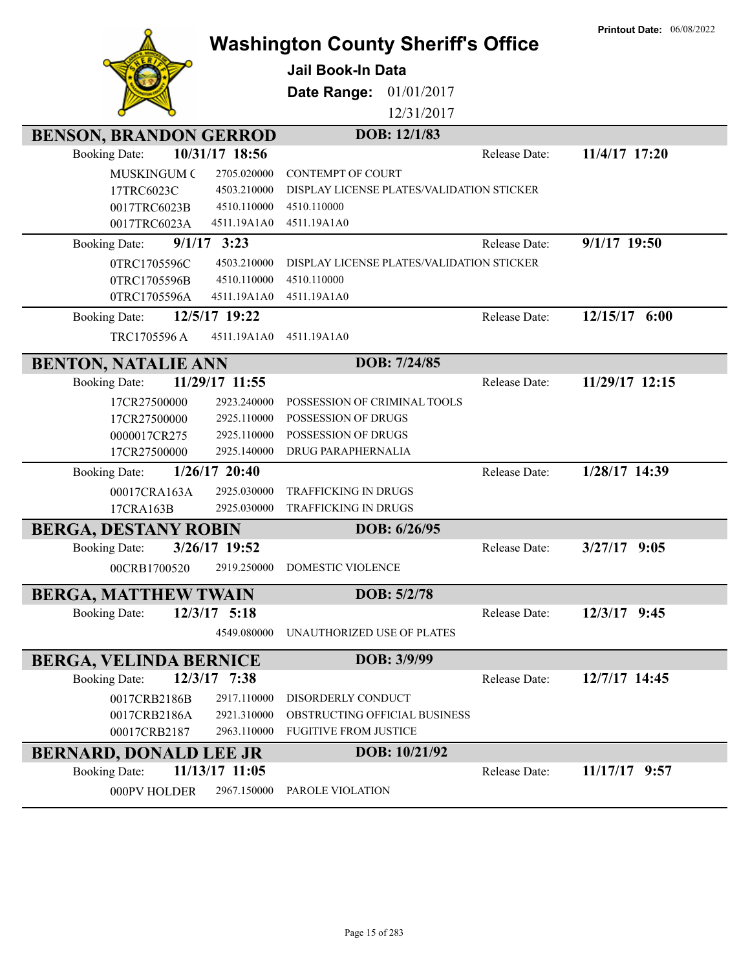|                                       |                 | <b>Washington County Sheriff's Office</b> |               | <b>Printout Date: 06/08/2022</b> |
|---------------------------------------|-----------------|-------------------------------------------|---------------|----------------------------------|
|                                       |                 | <b>Jail Book-In Data</b>                  |               |                                  |
|                                       |                 |                                           |               |                                  |
|                                       |                 | 01/01/2017<br>Date Range:                 |               |                                  |
|                                       |                 | 12/31/2017                                |               |                                  |
| <b>BENSON, BRANDON GERROD</b>         |                 | DOB: 12/1/83                              |               |                                  |
| <b>Booking Date:</b>                  | 10/31/17 18:56  |                                           | Release Date: | 11/4/17 17:20                    |
| <b>MUSKINGUM C</b>                    | 2705.020000     | <b>CONTEMPT OF COURT</b>                  |               |                                  |
| 17TRC6023C                            | 4503.210000     | DISPLAY LICENSE PLATES/VALIDATION STICKER |               |                                  |
| 0017TRC6023B                          | 4510.110000     | 4510.110000                               |               |                                  |
| 0017TRC6023A                          | 4511.19A1A0     | 4511.19A1A0                               |               |                                  |
| $9/1/17$ 3:23<br><b>Booking Date:</b> |                 |                                           | Release Date: | $9/1/17$ 19:50                   |
| 0TRC1705596C                          | 4503.210000     | DISPLAY LICENSE PLATES/VALIDATION STICKER |               |                                  |
| 0TRC1705596B                          | 4510.110000     | 4510.110000                               |               |                                  |
| 0TRC1705596A                          | 4511.19A1A0     | 4511.19A1A0                               |               |                                  |
| <b>Booking Date:</b>                  | 12/5/17 19:22   |                                           | Release Date: | 12/15/17 6:00                    |
| TRC1705596 A                          | 4511.19A1A0     | 4511.19A1A0                               |               |                                  |
| <b>BENTON, NATALIE ANN</b>            |                 | DOB: 7/24/85                              |               |                                  |
| <b>Booking Date:</b>                  | 11/29/17 11:55  |                                           | Release Date: | 11/29/17 12:15                   |
| 17CR27500000                          | 2923.240000     | POSSESSION OF CRIMINAL TOOLS              |               |                                  |
| 17CR27500000                          | 2925.110000     | POSSESSION OF DRUGS                       |               |                                  |
| 0000017CR275                          | 2925.110000     | POSSESSION OF DRUGS                       |               |                                  |
| 17CR27500000                          | 2925.140000     | DRUG PARAPHERNALIA                        |               |                                  |
| <b>Booking Date:</b>                  | $1/26/17$ 20:40 |                                           | Release Date: | 1/28/17 14:39                    |
| 00017CRA163A                          | 2925.030000     | TRAFFICKING IN DRUGS                      |               |                                  |
| 17CRA163B                             | 2925.030000     | TRAFFICKING IN DRUGS                      |               |                                  |
| <b>BERGA, DESTANY ROBIN</b>           |                 | DOB: 6/26/95                              |               |                                  |
| <b>Booking Date:</b>                  | 3/26/17 19:52   |                                           | Release Date: | $3/27/17$ 9:05                   |
| 00CRB1700520                          | 2919.250000     | DOMESTIC VIOLENCE                         |               |                                  |
| <b>BERGA, MATTHEW TWAIN</b>           |                 | DOB: 5/2/78                               |               |                                  |
| <b>Booking Date:</b>                  | $12/3/17$ 5:18  |                                           | Release Date: | 12/3/17 9:45                     |
|                                       | 4549.080000     | UNAUTHORIZED USE OF PLATES                |               |                                  |
| <b>BERGA, VELINDA BERNICE</b>         |                 | DOB: 3/9/99                               |               |                                  |
| <b>Booking Date:</b>                  | 12/3/17 7:38    |                                           | Release Date: | 12/7/17 14:45                    |
| 0017CRB2186B                          | 2917.110000     | DISORDERLY CONDUCT                        |               |                                  |
| 0017CRB2186A                          | 2921.310000     | OBSTRUCTING OFFICIAL BUSINESS             |               |                                  |
| 00017CRB2187                          | 2963.110000     | <b>FUGITIVE FROM JUSTICE</b>              |               |                                  |
| <b>BERNARD, DONALD LEE JR</b>         |                 | DOB: 10/21/92                             |               |                                  |
| <b>Booking Date:</b>                  | 11/13/17 11:05  |                                           | Release Date: | 11/17/17 9:57                    |
| 000PV HOLDER                          | 2967.150000     | PAROLE VIOLATION                          |               |                                  |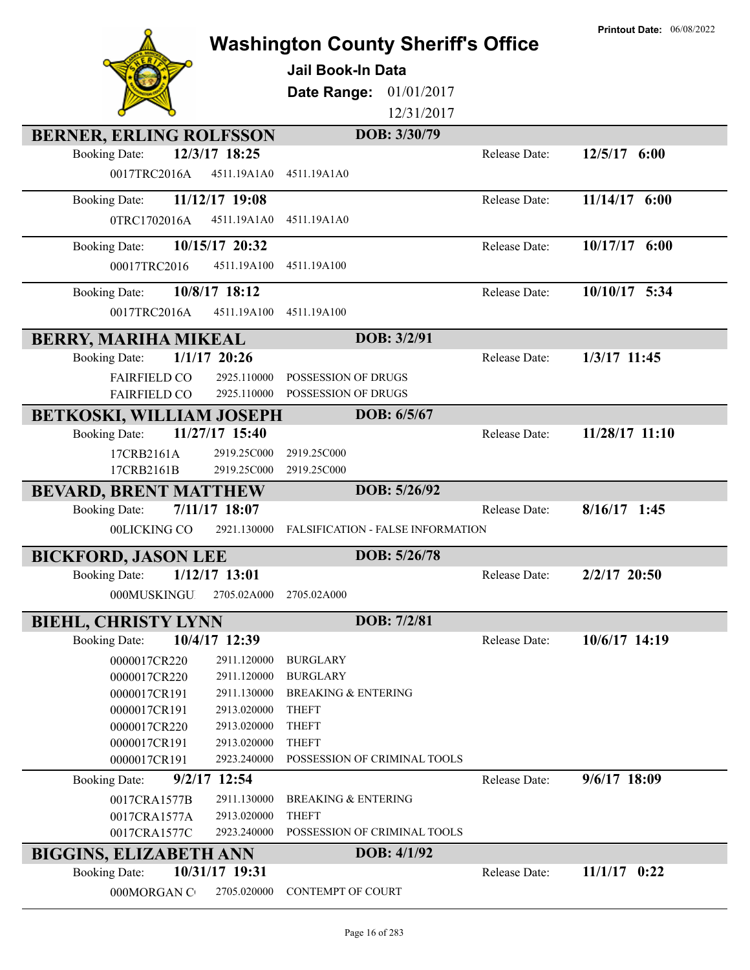|                                 |                            | <b>Washington County Sheriff's Office</b><br><b>Jail Book-In Data</b><br>01/01/2017<br>Date Range:<br>12/31/2017 |               | <b>Printout Date: 06/08/2022</b> |
|---------------------------------|----------------------------|------------------------------------------------------------------------------------------------------------------|---------------|----------------------------------|
| <b>BERNER, ERLING ROLFSSON</b>  |                            | DOB: 3/30/79                                                                                                     |               |                                  |
| <b>Booking Date:</b>            | 12/3/17 18:25              |                                                                                                                  | Release Date: | $12/5/17$ 6:00                   |
| 0017TRC2016A                    | 4511.19A1A0                | 4511.19A1A0                                                                                                      |               |                                  |
| <b>Booking Date:</b>            | 11/12/17 19:08             |                                                                                                                  | Release Date: | 11/14/17 6:00                    |
| 0TRC1702016A                    | 4511.19A1A0                | 4511.19A1A0                                                                                                      |               |                                  |
| <b>Booking Date:</b>            | 10/15/17 20:32             |                                                                                                                  | Release Date: | $10/17/17$ 6:00                  |
| 00017TRC2016                    | 4511.19A100                | 4511.19A100                                                                                                      |               |                                  |
|                                 |                            |                                                                                                                  |               |                                  |
| <b>Booking Date:</b>            | 10/8/17 18:12              |                                                                                                                  | Release Date: | 10/10/17 5:34                    |
| 0017TRC2016A                    | 4511.19A100                | 4511.19A100                                                                                                      |               |                                  |
| <b>BERRY, MARIHA MIKEAL</b>     |                            | DOB: 3/2/91                                                                                                      |               |                                  |
| <b>Booking Date:</b>            | $1/1/17$ 20:26             |                                                                                                                  | Release Date: | 1/3/17 11:45                     |
| <b>FAIRFIELD CO</b>             | 2925.110000                | POSSESSION OF DRUGS                                                                                              |               |                                  |
| <b>FAIRFIELD CO</b>             | 2925.110000                | POSSESSION OF DRUGS                                                                                              |               |                                  |
| <b>BETKOSKI, WILLIAM JOSEPH</b> |                            | DOB: 6/5/67                                                                                                      |               |                                  |
| <b>Booking Date:</b>            | 11/27/17 15:40             |                                                                                                                  | Release Date: | 11/28/17 11:10                   |
| 17CRB2161A                      | 2919.25C000                | 2919.25C000                                                                                                      |               |                                  |
| 17CRB2161B                      | 2919.25C000                | 2919.25C000                                                                                                      |               |                                  |
| <b>BEVARD, BRENT MATTHEW</b>    |                            | DOB: 5/26/92                                                                                                     |               |                                  |
| <b>Booking Date:</b>            | 7/11/17 18:07              |                                                                                                                  | Release Date: | $8/16/17$ 1:45                   |
| 00LICKING CO                    | 2921.130000                | FALSIFICATION - FALSE INFORMATION                                                                                |               |                                  |
| <b>BICKFORD, JASON LEE</b>      |                            | DOB: 5/26/78                                                                                                     |               |                                  |
| <b>Booking Date:</b>            | $1/12/17$ 13:01            |                                                                                                                  | Release Date: | 2/2/17 20:50                     |
| 000MUSKINGU                     | 2705.02A000                | 2705.02A000                                                                                                      |               |                                  |
| <b>BIEHL, CHRISTY LYNN</b>      |                            | DOB: 7/2/81                                                                                                      |               |                                  |
| <b>Booking Date:</b>            | 10/4/17 12:39              |                                                                                                                  | Release Date: | 10/6/17 14:19                    |
| 0000017CR220                    | 2911.120000                | <b>BURGLARY</b>                                                                                                  |               |                                  |
| 0000017CR220                    | 2911.120000                | <b>BURGLARY</b>                                                                                                  |               |                                  |
| 0000017CR191                    | 2911.130000                | <b>BREAKING &amp; ENTERING</b>                                                                                   |               |                                  |
| 0000017CR191<br>0000017CR220    | 2913.020000<br>2913.020000 | <b>THEFT</b><br><b>THEFT</b>                                                                                     |               |                                  |
| 0000017CR191                    | 2913.020000                | <b>THEFT</b>                                                                                                     |               |                                  |
| 0000017CR191                    | 2923.240000                | POSSESSION OF CRIMINAL TOOLS                                                                                     |               |                                  |
| <b>Booking Date:</b>            | 9/2/17 12:54               |                                                                                                                  | Release Date: | 9/6/17 18:09                     |
| 0017CRA1577B                    | 2911.130000                | <b>BREAKING &amp; ENTERING</b>                                                                                   |               |                                  |
| 0017CRA1577A                    | 2913.020000                | <b>THEFT</b>                                                                                                     |               |                                  |
| 0017CRA1577C                    | 2923.240000                | POSSESSION OF CRIMINAL TOOLS                                                                                     |               |                                  |
| <b>BIGGINS, ELIZABETH ANN</b>   |                            | DOB: 4/1/92                                                                                                      |               |                                  |
| <b>Booking Date:</b>            | 10/31/17 19:31             |                                                                                                                  | Release Date: | $11/1/17$ 0:22                   |
| 000MORGAN C                     | 2705.020000                | CONTEMPT OF COURT                                                                                                |               |                                  |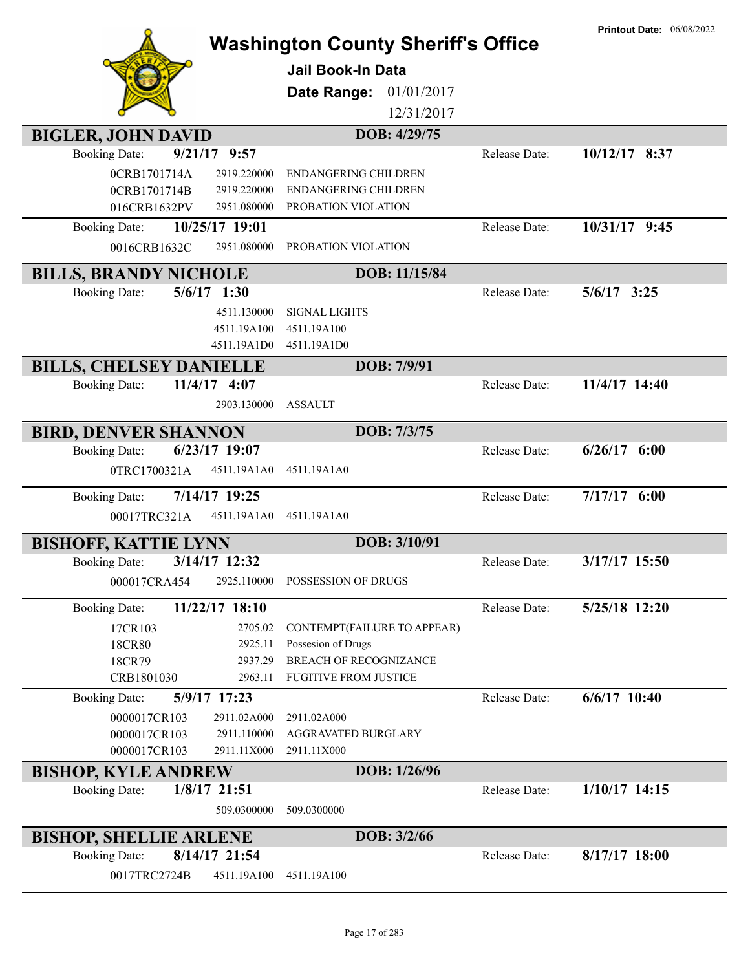|                                                                        | <b>Washington County Sheriff's Office</b><br><b>Jail Book-In Data</b><br>01/01/2017<br>Date Range: |               | <b>Printout Date: 06/08/2022</b> |
|------------------------------------------------------------------------|----------------------------------------------------------------------------------------------------|---------------|----------------------------------|
|                                                                        | 12/31/2017                                                                                         |               |                                  |
| <b>BIGLER, JOHN DAVID</b>                                              | DOB: 4/29/75                                                                                       |               |                                  |
| $9/21/17$ $9:57$<br><b>Booking Date:</b>                               |                                                                                                    | Release Date: | 10/12/17 8:37                    |
| 0CRB1701714A<br>2919.220000                                            | <b>ENDANGERING CHILDREN</b>                                                                        |               |                                  |
| 0CRB1701714B<br>2919.220000<br>016CRB1632PV<br>2951.080000             | ENDANGERING CHILDREN<br>PROBATION VIOLATION                                                        |               |                                  |
| 10/25/17 19:01<br><b>Booking Date:</b>                                 |                                                                                                    | Release Date: | 10/31/17 9:45                    |
| 0016CRB1632C<br>2951.080000                                            | PROBATION VIOLATION                                                                                |               |                                  |
|                                                                        |                                                                                                    |               |                                  |
| <b>BILLS, BRANDY NICHOLE</b>                                           | DOB: 11/15/84                                                                                      |               |                                  |
| $5/6/17$ 1:30<br><b>Booking Date:</b>                                  |                                                                                                    | Release Date: | $5/6/17$ 3:25                    |
| 4511.130000                                                            | <b>SIGNAL LIGHTS</b>                                                                               |               |                                  |
| 4511.19A100<br>4511.19A1D0                                             | 4511.19A100<br>4511.19A1D0                                                                         |               |                                  |
| <b>BILLS, CHELSEY DANIELLE</b>                                         | DOB: 7/9/91                                                                                        |               |                                  |
| 11/4/17 4:07<br><b>Booking Date:</b>                                   |                                                                                                    | Release Date: | 11/4/17 14:40                    |
| 2903.130000                                                            | <b>ASSAULT</b>                                                                                     |               |                                  |
|                                                                        |                                                                                                    |               |                                  |
| <b>BIRD, DENVER SHANNON</b>                                            | DOB: 7/3/75                                                                                        |               |                                  |
| 6/23/17 19:07<br><b>Booking Date:</b>                                  |                                                                                                    | Release Date: | $6/26/17$ $6:00$                 |
| 0TRC1700321A<br>4511.19A1A0                                            | 4511.19A1A0                                                                                        |               |                                  |
|                                                                        |                                                                                                    |               |                                  |
| 7/14/17 19:25<br><b>Booking Date:</b>                                  |                                                                                                    | Release Date: | $7/17/17$ 6:00                   |
| 00017TRC321A<br>4511.19A1A0                                            | 4511.19A1A0                                                                                        |               |                                  |
|                                                                        | DOB: 3/10/91                                                                                       |               |                                  |
| <b>BISHOFF, KATTIE LYNN</b><br>3/14/17 12:32<br><b>Booking Date:</b>   |                                                                                                    | Release Date: | 3/17/17 15:50                    |
| 2925.110000<br>000017CRA454                                            | POSSESSION OF DRUGS                                                                                |               |                                  |
|                                                                        |                                                                                                    |               |                                  |
| 11/22/17 18:10<br><b>Booking Date:</b>                                 |                                                                                                    | Release Date: | 5/25/18 12:20                    |
| 17CR103                                                                | 2705.02<br>CONTEMPT (FAILURE TO APPEAR)                                                            |               |                                  |
| 18CR80<br>18CR79                                                       | Possesion of Drugs<br>2925.11<br><b>BREACH OF RECOGNIZANCE</b><br>2937.29                          |               |                                  |
| CRB1801030                                                             | <b>FUGITIVE FROM JUSTICE</b><br>2963.11                                                            |               |                                  |
| 5/9/17 17:23<br><b>Booking Date:</b>                                   |                                                                                                    | Release Date: | $6/6/17$ 10:40                   |
| 0000017CR103<br>2911.02A000                                            | 2911.02A000                                                                                        |               |                                  |
| 0000017CR103<br>2911.110000                                            | AGGRAVATED BURGLARY                                                                                |               |                                  |
| 0000017CR103<br>2911.11X000                                            | 2911.11X000                                                                                        |               |                                  |
| <b>BISHOP, KYLE ANDREW</b>                                             | DOB: 1/26/96                                                                                       |               |                                  |
| 1/8/17 21:51<br><b>Booking Date:</b>                                   |                                                                                                    | Release Date: | $1/10/17$ 14:15                  |
| 509.0300000                                                            | 509.0300000                                                                                        |               |                                  |
|                                                                        | DOB: 3/2/66                                                                                        |               |                                  |
| <b>BISHOP, SHELLIE ARLENE</b><br>8/14/17 21:54<br><b>Booking Date:</b> |                                                                                                    | Release Date: | $8/17/17$ 18:00                  |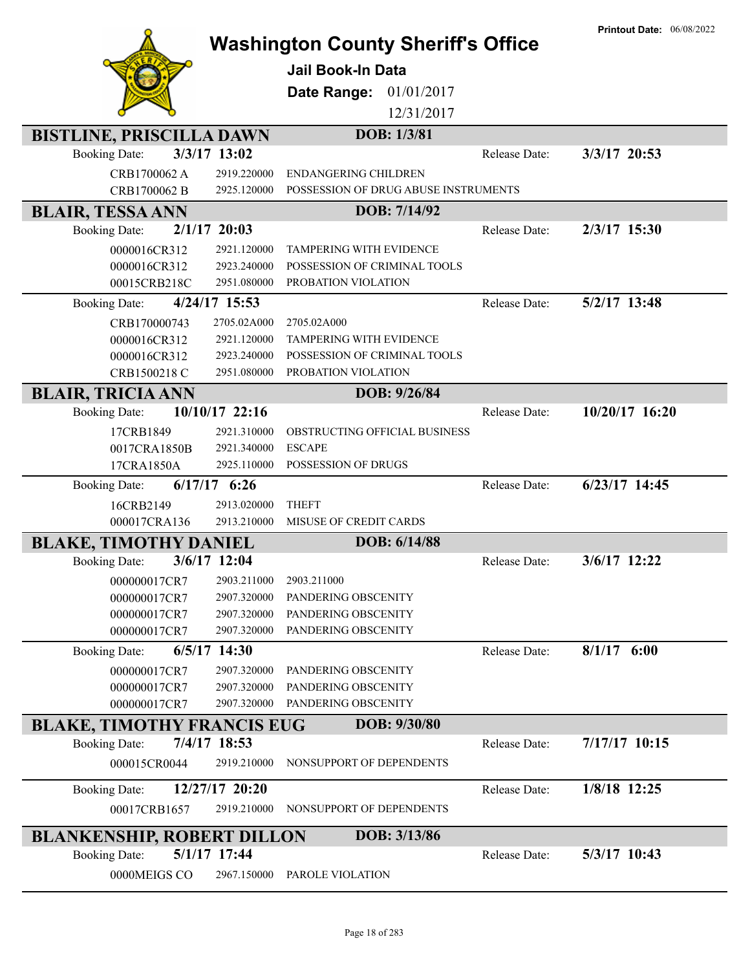|                                   | <b>Printout Date: 06/08/2022</b> |                                      |               |                 |
|-----------------------------------|----------------------------------|--------------------------------------|---------------|-----------------|
|                                   |                                  | <b>Jail Book-In Data</b>             |               |                 |
|                                   |                                  | Date Range:<br>01/01/2017            |               |                 |
|                                   |                                  | 12/31/2017                           |               |                 |
|                                   |                                  |                                      |               |                 |
| <b>BISTLINE, PRISCILLA DAWN</b>   |                                  | DOB: 1/3/81                          |               |                 |
| <b>Booking Date:</b>              | 3/3/17 13:02                     |                                      | Release Date: | 3/3/17 20:53    |
| CRB1700062 A                      | 2919.220000                      | <b>ENDANGERING CHILDREN</b>          |               |                 |
| CRB1700062 B                      | 2925.120000                      | POSSESSION OF DRUG ABUSE INSTRUMENTS |               |                 |
| <b>BLAIR, TESSA ANN</b>           |                                  | DOB: 7/14/92                         |               |                 |
| <b>Booking Date:</b>              | $2/1/17$ 20:03                   |                                      | Release Date: | 2/3/17 15:30    |
| 0000016CR312                      | 2921.120000                      | TAMPERING WITH EVIDENCE              |               |                 |
| 0000016CR312                      | 2923.240000                      | POSSESSION OF CRIMINAL TOOLS         |               |                 |
| 00015CRB218C                      | 2951.080000                      | PROBATION VIOLATION                  |               |                 |
| <b>Booking Date:</b>              | 4/24/17 15:53                    |                                      | Release Date: | 5/2/17 13:48    |
| CRB170000743                      | 2705.02A000                      | 2705.02A000                          |               |                 |
| 0000016CR312                      | 2921.120000                      | TAMPERING WITH EVIDENCE              |               |                 |
| 0000016CR312                      | 2923.240000                      | POSSESSION OF CRIMINAL TOOLS         |               |                 |
| CRB1500218 C                      | 2951.080000                      | PROBATION VIOLATION                  |               |                 |
| <b>BLAIR, TRICIA ANN</b>          |                                  | DOB: 9/26/84                         |               |                 |
| <b>Booking Date:</b>              | 10/10/17 22:16                   |                                      | Release Date: | 10/20/17 16:20  |
| 17CRB1849                         | 2921.310000                      | <b>OBSTRUCTING OFFICIAL BUSINESS</b> |               |                 |
| 0017CRA1850B                      | 2921.340000                      | <b>ESCAPE</b>                        |               |                 |
| 17CRA1850A                        | 2925.110000                      | POSSESSION OF DRUGS                  |               |                 |
| <b>Booking Date:</b>              | $6/17/17$ $6:26$                 |                                      | Release Date: | $6/23/17$ 14:45 |
| 16CRB2149                         | 2913.020000                      | <b>THEFT</b>                         |               |                 |
| 000017CRA136                      | 2913.210000                      | MISUSE OF CREDIT CARDS               |               |                 |
| <b>BLAKE, TIMOTHY DANIEL</b>      |                                  | DOB: 6/14/88                         |               |                 |
| <b>Booking Date:</b>              | 3/6/17 12:04                     |                                      | Release Date: | 3/6/17 12:22    |
| 000000017CR7                      | 2903.211000                      | 2903.211000                          |               |                 |
| 000000017CR7                      | 2907.320000                      | PANDERING OBSCENITY                  |               |                 |
| 000000017CR7                      | 2907.320000                      | PANDERING OBSCENITY                  |               |                 |
| 000000017CR7                      | 2907.320000                      | PANDERING OBSCENITY                  |               |                 |
| <b>Booking Date:</b>              | $6/5/17$ 14:30                   |                                      | Release Date: | $8/1/17$ 6:00   |
| 000000017CR7                      | 2907.320000                      | PANDERING OBSCENITY                  |               |                 |
| 000000017CR7                      | 2907.320000                      | PANDERING OBSCENITY                  |               |                 |
| 000000017CR7                      | 2907.320000                      | PANDERING OBSCENITY                  |               |                 |
| <b>BLAKE, TIMOTHY FRANCIS EUG</b> |                                  | DOB: 9/30/80                         |               |                 |
| <b>Booking Date:</b>              | 7/4/17 18:53                     |                                      | Release Date: | 7/17/17 10:15   |
| 000015CR0044                      | 2919.210000                      | NONSUPPORT OF DEPENDENTS             |               |                 |
| <b>Booking Date:</b>              | 12/27/17 20:20                   |                                      | Release Date: | 1/8/18 12:25    |
| 00017CRB1657                      | 2919.210000                      | NONSUPPORT OF DEPENDENTS             |               |                 |
| <b>BLANKENSHIP, ROBERT DILLON</b> |                                  | DOB: 3/13/86                         |               |                 |
| <b>Booking Date:</b>              | 5/1/17 17:44                     |                                      | Release Date: | 5/3/17 10:43    |
| 0000MEIGS CO                      | 2967.150000                      | PAROLE VIOLATION                     |               |                 |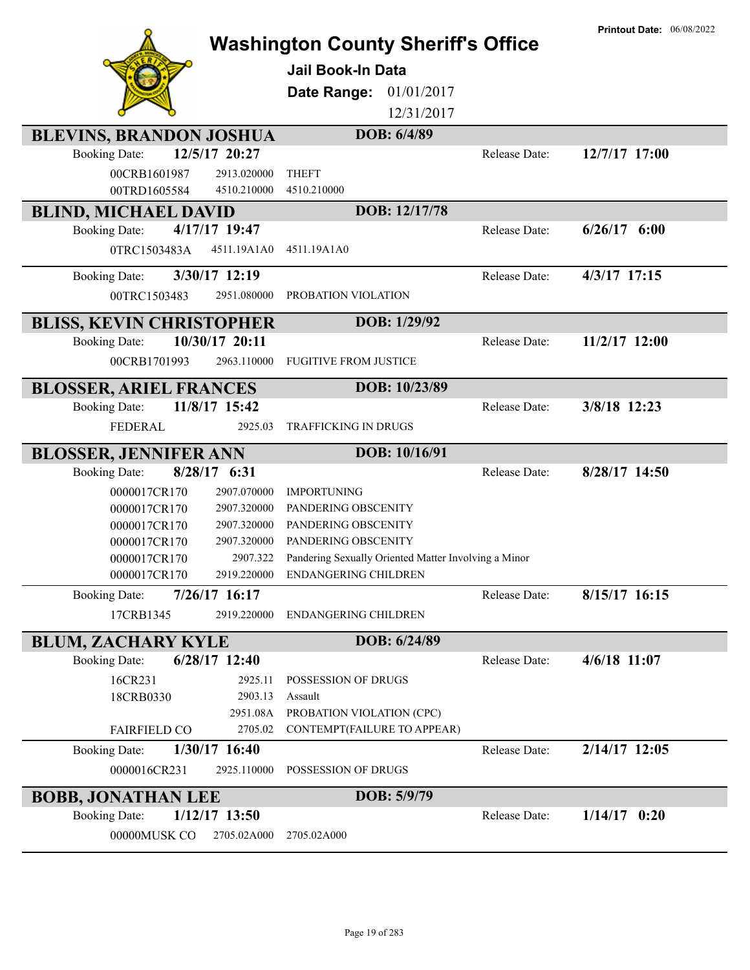| <b>BLEVINS, BRANDON JOSHUA</b><br><b>Booking Date:</b><br>00CRB1601987<br>00TRD1605584       | 12/5/17 20:27<br>2913.020000<br>4510.210000                          | <b>Washington County Sheriff's Office</b><br><b>Jail Book-In Data</b><br>01/01/2017<br>Date Range:<br>12/31/2017<br>DOB: 6/4/89<br><b>THEFT</b><br>4510.210000                      | Release Date: | <b>Printout Date: 06/08/2022</b><br>12/7/17 17:00 |
|----------------------------------------------------------------------------------------------|----------------------------------------------------------------------|-------------------------------------------------------------------------------------------------------------------------------------------------------------------------------------|---------------|---------------------------------------------------|
| <b>BLIND, MICHAEL DAVID</b>                                                                  |                                                                      | DOB: 12/17/78                                                                                                                                                                       |               |                                                   |
| <b>Booking Date:</b><br>0TRC1503483A                                                         | 4/17/17 19:47<br>4511.19A1A0                                         | 4511.19A1A0                                                                                                                                                                         | Release Date: | $6/26/17$ $6:00$                                  |
| <b>Booking Date:</b><br>00TRC1503483                                                         | 3/30/17 12:19<br>2951.080000                                         | PROBATION VIOLATION                                                                                                                                                                 | Release Date: | $4/3/17$ 17:15                                    |
| <b>BLISS, KEVIN CHRISTOPHER</b>                                                              |                                                                      | DOB: 1/29/92                                                                                                                                                                        |               |                                                   |
| <b>Booking Date:</b><br>00CRB1701993                                                         | 10/30/17 20:11<br>2963.110000                                        | <b>FUGITIVE FROM JUSTICE</b>                                                                                                                                                        | Release Date: | 11/2/17 12:00                                     |
| <b>BLOSSER, ARIEL FRANCES</b>                                                                |                                                                      | DOB: 10/23/89                                                                                                                                                                       |               |                                                   |
| <b>Booking Date:</b><br>FEDERAL                                                              | 11/8/17 15:42<br>2925.03                                             | TRAFFICKING IN DRUGS                                                                                                                                                                | Release Date: | 3/8/18 12:23                                      |
| <b>BLOSSER, JENNIFER ANN</b>                                                                 |                                                                      | DOB: 10/16/91                                                                                                                                                                       |               |                                                   |
| <b>Booking Date:</b>                                                                         | 8/28/17 6:31                                                         |                                                                                                                                                                                     | Release Date: | 8/28/17 14:50                                     |
| 0000017CR170<br>0000017CR170<br>0000017CR170<br>0000017CR170<br>0000017CR170<br>0000017CR170 | 2907.070000<br>2907.320000<br>2907.320000<br>2907.320000<br>2907.322 | <b>IMPORTUNING</b><br>PANDERING OBSCENITY<br>PANDERING OBSCENITY<br>PANDERING OBSCENITY<br>Pandering Sexually Oriented Matter Involving a Minor<br>2919.220000 ENDANGERING CHILDREN |               |                                                   |
| <b>Booking Date:</b>                                                                         | 7/26/17 16:17                                                        |                                                                                                                                                                                     | Release Date: | 8/15/17 16:15                                     |
| 17CRB1345                                                                                    | 2919.220000                                                          | <b>ENDANGERING CHILDREN</b>                                                                                                                                                         |               |                                                   |
| <b>BLUM, ZACHARY KYLE</b>                                                                    |                                                                      | DOB: 6/24/89                                                                                                                                                                        |               |                                                   |
| <b>Booking Date:</b>                                                                         | 6/28/17 12:40                                                        |                                                                                                                                                                                     | Release Date: | $4/6/18$ 11:07                                    |
| 16CR231<br>18CRB0330                                                                         | 2925.11<br>2903.13<br>2951.08A                                       | POSSESSION OF DRUGS<br>Assault<br>PROBATION VIOLATION (CPC)                                                                                                                         |               |                                                   |
| <b>FAIRFIELD CO</b>                                                                          | 2705.02                                                              | CONTEMPT(FAILURE TO APPEAR)                                                                                                                                                         |               |                                                   |
| <b>Booking Date:</b><br>0000016CR231                                                         | 1/30/17 16:40<br>2925.110000                                         | POSSESSION OF DRUGS                                                                                                                                                                 | Release Date: | 2/14/17 12:05                                     |
| <b>BOBB, JONATHAN LEE</b>                                                                    |                                                                      | DOB: 5/9/79                                                                                                                                                                         |               |                                                   |
| <b>Booking Date:</b><br>00000MUSK CO                                                         | $1/12/17$ 13:50<br>2705.02A000                                       | 2705.02A000                                                                                                                                                                         | Release Date: | $1/14/17$ 0:20                                    |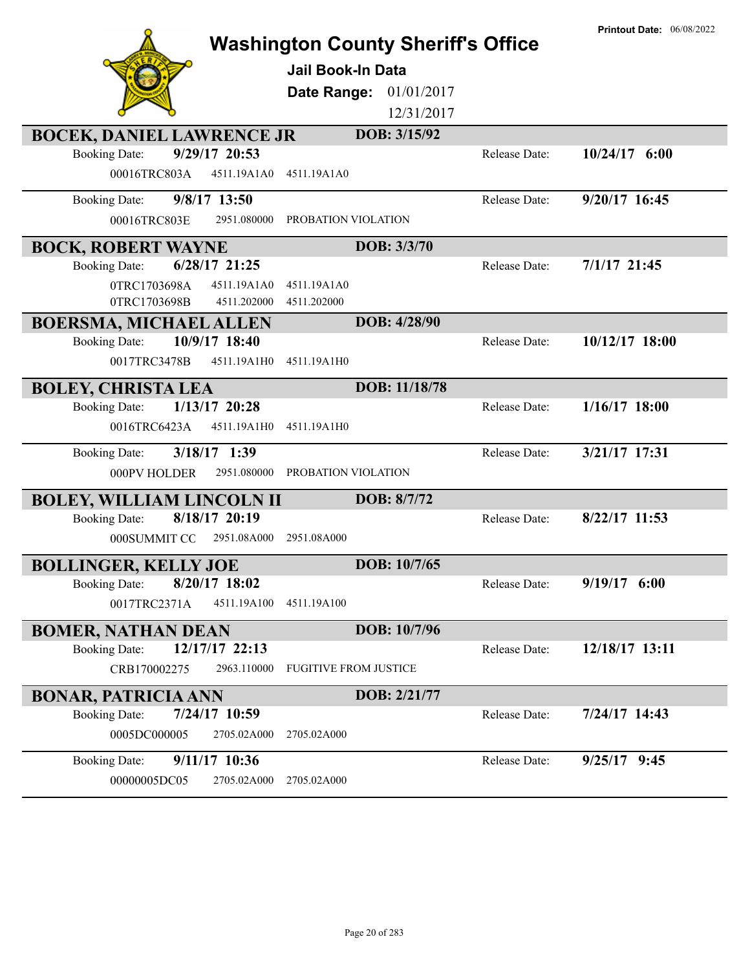|                                         | <b>Washington County Sheriff's Office</b> |               | <b>Printout Date: 06/08/2022</b> |
|-----------------------------------------|-------------------------------------------|---------------|----------------------------------|
|                                         | <b>Jail Book-In Data</b>                  |               |                                  |
|                                         | Date Range:<br>01/01/2017                 |               |                                  |
|                                         | 12/31/2017                                |               |                                  |
| <b>BOCEK, DANIEL LAWRENCE JR</b>        | DOB: 3/15/92                              |               |                                  |
| 9/29/17 20:53<br><b>Booking Date:</b>   |                                           | Release Date: | $10/24/17$ 6:00                  |
| 00016TRC803A<br>4511.19A1A0             | 4511.19A1A0                               |               |                                  |
| 9/8/17 13:50<br><b>Booking Date:</b>    |                                           | Release Date: | 9/20/17 16:45                    |
| 2951.080000<br>00016TRC803E             | PROBATION VIOLATION                       |               |                                  |
| <b>BOCK, ROBERT WAYNE</b>               | DOB: 3/3/70                               |               |                                  |
| $6/28/17$ 21:25<br><b>Booking Date:</b> |                                           | Release Date: | $7/1/17$ 21:45                   |
| 0TRC1703698A<br>4511.19A1A0             | 4511.19A1A0                               |               |                                  |
| 0TRC1703698B<br>4511.202000             | 4511.202000                               |               |                                  |
| <b>BOERSMA, MICHAEL ALLEN</b>           | DOB: 4/28/90                              |               |                                  |
| 10/9/17 18:40<br><b>Booking Date:</b>   |                                           | Release Date: | 10/12/17 18:00                   |
| 0017TRC3478B<br>4511.19A1H0             | 4511.19A1H0                               |               |                                  |
| <b>BOLEY, CHRISTA LEA</b>               | DOB: 11/18/78                             |               |                                  |
| $1/13/17$ 20:28<br><b>Booking Date:</b> |                                           | Release Date: | $1/16/17$ 18:00                  |
| 4511.19A1H0<br>0016TRC6423A             | 4511.19A1H0                               |               |                                  |
| 3/18/17 1:39<br><b>Booking Date:</b>    |                                           | Release Date: | 3/21/17 17:31                    |
| 000PV HOLDER<br>2951.080000             | PROBATION VIOLATION                       |               |                                  |
| <b>BOLEY, WILLIAM LINCOLN II</b>        | DOB: 8/7/72                               |               |                                  |
| 8/18/17 20:19<br><b>Booking Date:</b>   |                                           | Release Date: | $8/22/17$ 11:53                  |
| 000SUMMIT CO<br>2951.08A000             | 2951.08A000                               |               |                                  |
| <b>BOLLINGER, KELLY JOE</b>             | DOB: 10/7/65                              |               |                                  |
| <b>Booking Date:</b><br>8/20/17 18:02   |                                           | Release Date: | $9/19/17$ 6:00                   |
| 0017TRC2371A<br>4511.19A100             | 4511.19A100                               |               |                                  |
| <b>BOMER, NATHAN DEAN</b>               | DOB: 10/7/96                              |               |                                  |
| 12/17/17 22:13<br><b>Booking Date:</b>  |                                           | Release Date: | 12/18/17 13:11                   |
| 2963.110000<br>CRB170002275             | <b>FUGITIVE FROM JUSTICE</b>              |               |                                  |
| <b>BONAR, PATRICIA ANN</b>              | DOB: 2/21/77                              |               |                                  |
| 7/24/17 10:59<br><b>Booking Date:</b>   |                                           | Release Date: | 7/24/17 14:43                    |
|                                         |                                           |               |                                  |
| 0005DC000005<br>2705.02A000             | 2705.02A000                               |               |                                  |
| 9/11/17 10:36<br><b>Booking Date:</b>   |                                           | Release Date: | $9/25/17$ 9:45                   |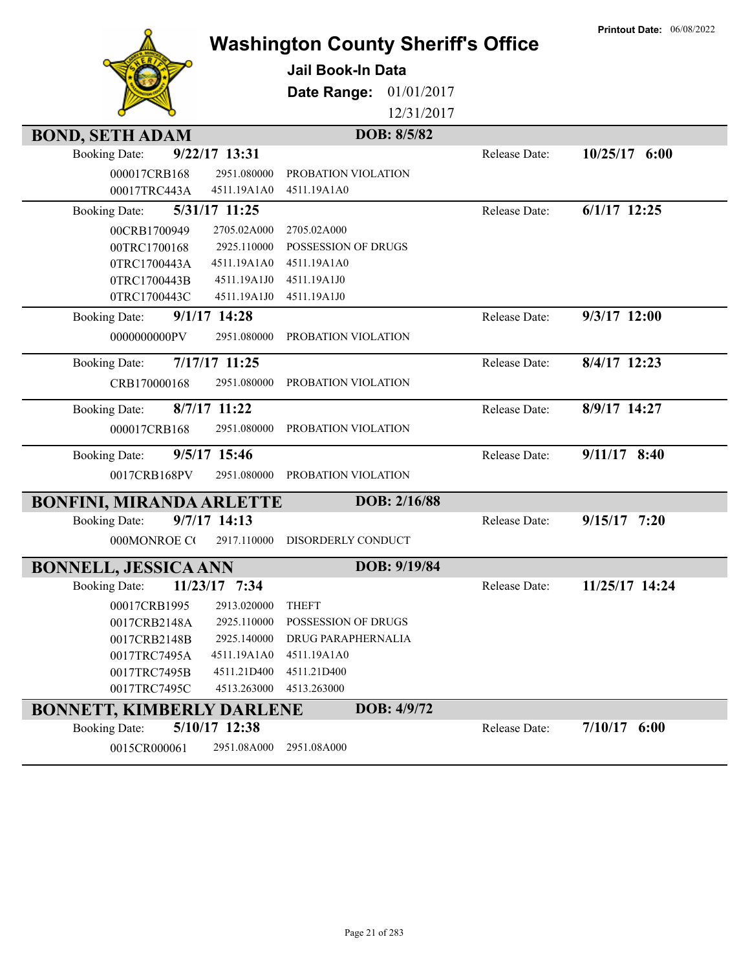|                                  |                | <b>Washington County Sheriff's Office</b> |              |               | <b>Printout Date: 06/08/2022</b> |
|----------------------------------|----------------|-------------------------------------------|--------------|---------------|----------------------------------|
|                                  |                | <b>Jail Book-In Data</b>                  |              |               |                                  |
|                                  |                | Date Range:                               | 01/01/2017   |               |                                  |
|                                  |                |                                           | 12/31/2017   |               |                                  |
| <b>BOND, SETH ADAM</b>           |                |                                           | DOB: 8/5/82  |               |                                  |
| <b>Booking Date:</b>             | 9/22/17 13:31  |                                           |              | Release Date: | $10/25/17$ 6:00                  |
| 000017CRB168                     | 2951.080000    | PROBATION VIOLATION                       |              |               |                                  |
| 00017TRC443A                     | 4511.19A1A0    | 4511.19A1A0                               |              |               |                                  |
| <b>Booking Date:</b>             | 5/31/17 11:25  |                                           |              | Release Date: | $6/1/17$ 12:25                   |
| 00CRB1700949                     | 2705.02A000    | 2705.02A000                               |              |               |                                  |
| 00TRC1700168                     | 2925.110000    | POSSESSION OF DRUGS                       |              |               |                                  |
| 0TRC1700443A                     | 4511.19A1A0    | 4511.19A1A0                               |              |               |                                  |
| 0TRC1700443B                     | 4511.19A1J0    | 4511.19A1J0                               |              |               |                                  |
| 0TRC1700443C                     | 4511.19A1J0    | 4511.19A1J0                               |              |               |                                  |
| <b>Booking Date:</b>             | $9/1/17$ 14:28 |                                           |              | Release Date: | 9/3/17 12:00                     |
| 0000000000PV                     | 2951.080000    | PROBATION VIOLATION                       |              |               |                                  |
| <b>Booking Date:</b>             | 7/17/17 11:25  |                                           |              | Release Date: | 8/4/17 12:23                     |
| CRB170000168                     | 2951.080000    | PROBATION VIOLATION                       |              |               |                                  |
| <b>Booking Date:</b>             | 8/7/17 11:22   |                                           |              | Release Date: | 8/9/17 14:27                     |
| 000017CRB168                     | 2951.080000    | PROBATION VIOLATION                       |              |               |                                  |
| <b>Booking Date:</b>             | 9/5/17 15:46   |                                           |              | Release Date: | $9/11/17$ 8:40                   |
| 0017CRB168PV                     | 2951.080000    | PROBATION VIOLATION                       |              |               |                                  |
| <b>BONFINI, MIRANDA ARLETTE</b>  |                |                                           | DOB: 2/16/88 |               |                                  |
| <b>Booking Date:</b>             | 9/7/17 14:13   |                                           |              | Release Date: | $9/15/17$ 7:20                   |
| 000MONROE CO                     | 2917.110000    | DISORDERLY CONDUCT                        |              |               |                                  |
| <b>BONNELL, JESSICA ANN</b>      |                |                                           | DOB: 9/19/84 |               |                                  |
| <b>Booking Date:</b>             | 11/23/17 7:34  |                                           |              | Release Date: | 11/25/17 14:24                   |
| 00017CRB1995                     | 2913.020000    | <b>THEFT</b>                              |              |               |                                  |
| 0017CRB2148A                     | 2925.110000    | <b>POSSESSION OF DRUGS</b>                |              |               |                                  |
| 0017CRB2148B                     | 2925.140000    | <b>DRUG PARAPHERNALIA</b>                 |              |               |                                  |
| 0017TRC7495A                     | 4511.19A1A0    | 4511.19A1A0                               |              |               |                                  |
| 0017TRC7495B                     | 4511.21D400    | 4511.21D400                               |              |               |                                  |
| 0017TRC7495C                     | 4513.263000    | 4513.263000                               |              |               |                                  |
| <b>BONNETT, KIMBERLY DARLENE</b> |                |                                           | DOB: 4/9/72  |               |                                  |
| <b>Booking Date:</b>             | 5/10/17 12:38  |                                           |              | Release Date: | $7/10/17$ 6:00                   |
| 0015CR000061                     | 2951.08A000    | 2951.08A000                               |              |               |                                  |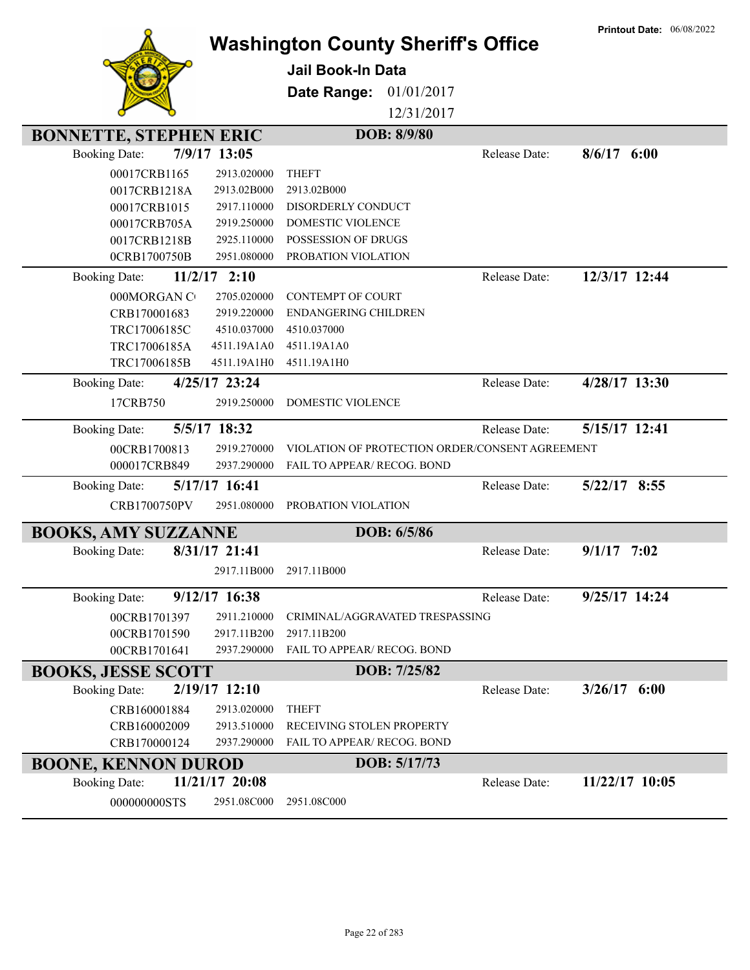|                                      |                | <b>Washington County Sheriff's Office</b>       |               | <b>Printout Date: 06/08/2022</b> |
|--------------------------------------|----------------|-------------------------------------------------|---------------|----------------------------------|
|                                      |                | <b>Jail Book-In Data</b>                        |               |                                  |
|                                      |                |                                                 |               |                                  |
|                                      |                | Date Range:<br>01/01/2017                       |               |                                  |
|                                      |                | 12/31/2017                                      |               |                                  |
| <b>BONNETTE, STEPHEN ERIC</b>        |                | DOB: 8/9/80                                     |               |                                  |
| 7/9/17 13:05<br><b>Booking Date:</b> |                |                                                 | Release Date: | 8/6/17<br>6:00                   |
| 00017CRB1165                         | 2913.020000    | <b>THEFT</b>                                    |               |                                  |
| 0017CRB1218A                         | 2913.02B000    | 2913.02B000                                     |               |                                  |
| 00017CRB1015                         | 2917.110000    | DISORDERLY CONDUCT                              |               |                                  |
| 00017CRB705A                         | 2919.250000    | DOMESTIC VIOLENCE                               |               |                                  |
| 0017CRB1218B                         | 2925.110000    | POSSESSION OF DRUGS                             |               |                                  |
| 0CRB1700750B                         | 2951.080000    | PROBATION VIOLATION                             |               |                                  |
| <b>Booking Date:</b>                 | $11/2/17$ 2:10 |                                                 | Release Date: | 12/3/17 12:44                    |
| 000MORGAN C                          | 2705.020000    | <b>CONTEMPT OF COURT</b>                        |               |                                  |
| CRB170001683                         | 2919.220000    | ENDANGERING CHILDREN                            |               |                                  |
| TRC17006185C                         | 4510.037000    | 4510.037000                                     |               |                                  |
| TRC17006185A                         | 4511.19A1A0    | 4511.19A1A0                                     |               |                                  |
| TRC17006185B                         | 4511.19A1H0    | 4511.19A1H0                                     |               |                                  |
| <b>Booking Date:</b>                 | 4/25/17 23:24  |                                                 | Release Date: | 4/28/17 13:30                    |
| 17CRB750                             | 2919.250000    | DOMESTIC VIOLENCE                               |               |                                  |
| 5/5/17 18:32<br><b>Booking Date:</b> |                |                                                 | Release Date: | 5/15/17 12:41                    |
| 00CRB1700813                         | 2919.270000    | VIOLATION OF PROTECTION ORDER/CONSENT AGREEMENT |               |                                  |
| 000017CRB849                         | 2937.290000    | FAIL TO APPEAR/ RECOG. BOND                     |               |                                  |
| <b>Booking Date:</b>                 | 5/17/17 16:41  |                                                 | Release Date: | 5/22/17 8:55                     |
| CRB1700750PV                         | 2951.080000    | PROBATION VIOLATION                             |               |                                  |
| <b>BOOKS, AMY SUZZANNE</b>           |                | DOB: 6/5/86                                     |               |                                  |
| <b>Booking Date:</b>                 | 8/31/17 21:41  |                                                 | Release Date: | 9/1/17<br>7:02                   |
|                                      |                | 2917.11B000 2917.11B000                         |               |                                  |
| <b>Booking Date:</b>                 | 9/12/17 16:38  |                                                 | Release Date: | 9/25/17 14:24                    |
| 00CRB1701397                         | 2911.210000    | CRIMINAL/AGGRAVATED TRESPASSING                 |               |                                  |
| 00CRB1701590                         | 2917.11B200    | 2917.11B200                                     |               |                                  |
| 00CRB1701641                         | 2937.290000    | FAIL TO APPEAR/ RECOG. BOND                     |               |                                  |
| <b>BOOKS, JESSE SCOTT</b>            |                | DOB: 7/25/82                                    |               |                                  |
| <b>Booking Date:</b>                 | 2/19/17 12:10  |                                                 | Release Date: | $3/26/17$ 6:00                   |
| CRB160001884                         | 2913.020000    | <b>THEFT</b>                                    |               |                                  |
| CRB160002009                         | 2913.510000    | RECEIVING STOLEN PROPERTY                       |               |                                  |
| CRB170000124                         | 2937.290000    | FAIL TO APPEAR/ RECOG. BOND                     |               |                                  |
| <b>BOONE, KENNON DUROD</b>           |                | DOB: 5/17/73                                    |               |                                  |
| <b>Booking Date:</b>                 | 11/21/17 20:08 |                                                 | Release Date: | 11/22/17 10:05                   |
| 000000000STS                         | 2951.08C000    | 2951.08C000                                     |               |                                  |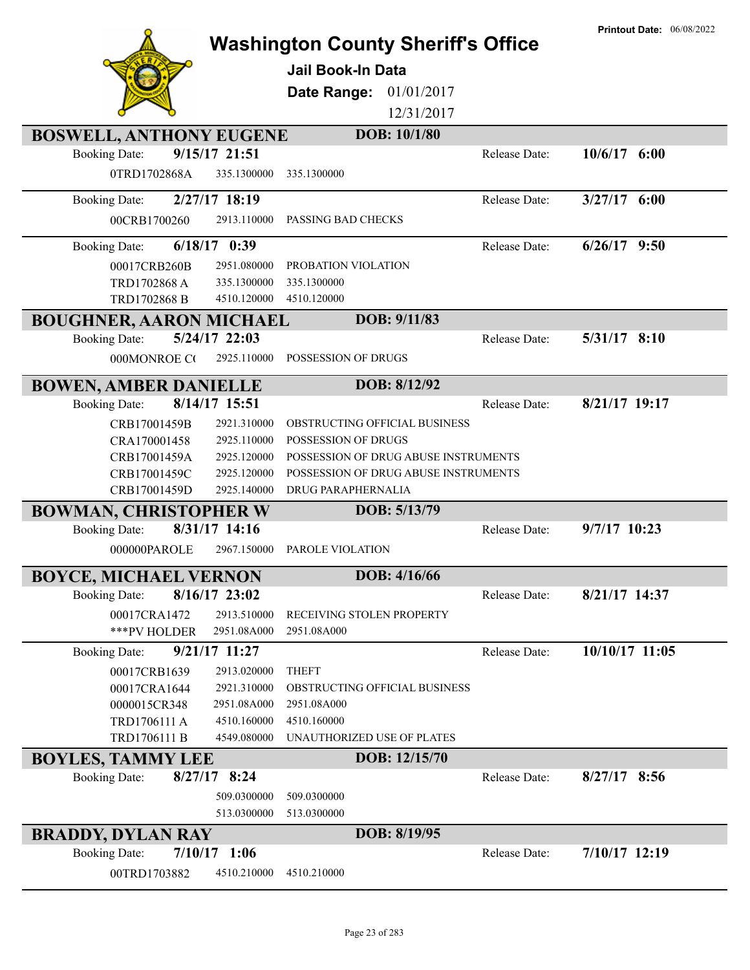|                                |                 |                                           |               | <b>Printout Date: 06/08/2022</b> |
|--------------------------------|-----------------|-------------------------------------------|---------------|----------------------------------|
|                                |                 | <b>Washington County Sheriff's Office</b> |               |                                  |
|                                |                 | <b>Jail Book-In Data</b>                  |               |                                  |
|                                |                 | Date Range:<br>01/01/2017                 |               |                                  |
|                                |                 | 12/31/2017                                |               |                                  |
| <b>BOSWELL, ANTHONY EUGENE</b> |                 | DOB: 10/1/80                              |               |                                  |
| <b>Booking Date:</b>           | 9/15/17 21:51   |                                           | Release Date: | $10/6/17$ 6:00                   |
| 0TRD1702868A                   | 335.1300000     | 335.1300000                               |               |                                  |
|                                |                 |                                           |               |                                  |
| <b>Booking Date:</b>           | 2/27/17 18:19   |                                           | Release Date: | $3/27/17$ 6:00                   |
| 00CRB1700260                   | 2913.110000     | PASSING BAD CHECKS                        |               |                                  |
| <b>Booking Date:</b>           | $6/18/17$ 0:39  |                                           | Release Date: | $6/26/17$ 9:50                   |
| 00017CRB260B                   | 2951.080000     | PROBATION VIOLATION                       |               |                                  |
| TRD1702868 A                   | 335.1300000     | 335.1300000                               |               |                                  |
| TRD1702868 B                   | 4510.120000     | 4510.120000                               |               |                                  |
| <b>BOUGHNER, AARON MICHAEL</b> |                 | DOB: 9/11/83                              |               |                                  |
| <b>Booking Date:</b>           | 5/24/17 22:03   |                                           | Release Date: | 5/31/17 8:10                     |
| 000MONROE CO                   | 2925.110000     | POSSESSION OF DRUGS                       |               |                                  |
| <b>BOWEN, AMBER DANIELLE</b>   |                 | DOB: 8/12/92                              |               |                                  |
| <b>Booking Date:</b>           | 8/14/17 15:51   |                                           | Release Date: | 8/21/17 19:17                    |
| CRB17001459B                   | 2921.310000     | OBSTRUCTING OFFICIAL BUSINESS             |               |                                  |
| CRA170001458                   | 2925.110000     | POSSESSION OF DRUGS                       |               |                                  |
| CRB17001459A                   | 2925.120000     | POSSESSION OF DRUG ABUSE INSTRUMENTS      |               |                                  |
| CRB17001459C                   | 2925.120000     | POSSESSION OF DRUG ABUSE INSTRUMENTS      |               |                                  |
| CRB17001459D                   | 2925.140000     | DRUG PARAPHERNALIA                        |               |                                  |
| <b>BOWMAN, CHRISTOPHER W</b>   |                 | DOB: 5/13/79                              |               |                                  |
| <b>Booking Date:</b>           | 8/31/17 14:16   |                                           | Release Date: | 9/7/17 10:23                     |
| 000000PAROLE                   | 2967.150000     | PAROLE VIOLATION                          |               |                                  |
| <b>BOYCE, MICHAEL VERNON</b>   |                 | DOB: 4/16/66                              |               |                                  |
| <b>Booking Date:</b>           | $8/16/17$ 23:02 |                                           | Release Date: | 8/21/17 14:37                    |
| 00017CRA1472                   | 2913.510000     | RECEIVING STOLEN PROPERTY                 |               |                                  |
| ***PV HOLDER                   | 2951.08A000     | 2951.08A000                               |               |                                  |
| <b>Booking Date:</b>           | 9/21/17 11:27   |                                           | Release Date: | 10/10/17 11:05                   |
| 00017CRB1639                   | 2913.020000     | <b>THEFT</b>                              |               |                                  |
| 00017CRA1644                   | 2921.310000     | OBSTRUCTING OFFICIAL BUSINESS             |               |                                  |
| 0000015CR348                   | 2951.08A000     | 2951.08A000                               |               |                                  |
| TRD1706111 A                   | 4510.160000     | 4510.160000                               |               |                                  |
| TRD1706111 B                   | 4549.080000     | UNAUTHORIZED USE OF PLATES                |               |                                  |
| <b>BOYLES, TAMMY LEE</b>       |                 | DOB: 12/15/70                             |               |                                  |
| <b>Booking Date:</b>           | $8/27/17$ 8:24  |                                           | Release Date: | $8/27/17$ 8:56                   |
|                                | 509.0300000     | 509.0300000                               |               |                                  |
|                                | 513.0300000     | 513.0300000                               |               |                                  |
| <b>BRADDY, DYLAN RAY</b>       |                 | DOB: 8/19/95                              |               |                                  |
| <b>Booking Date:</b>           | $7/10/17$ 1:06  |                                           | Release Date: | $7/10/17$ 12:19                  |
| 00TRD1703882                   | 4510.210000     | 4510.210000                               |               |                                  |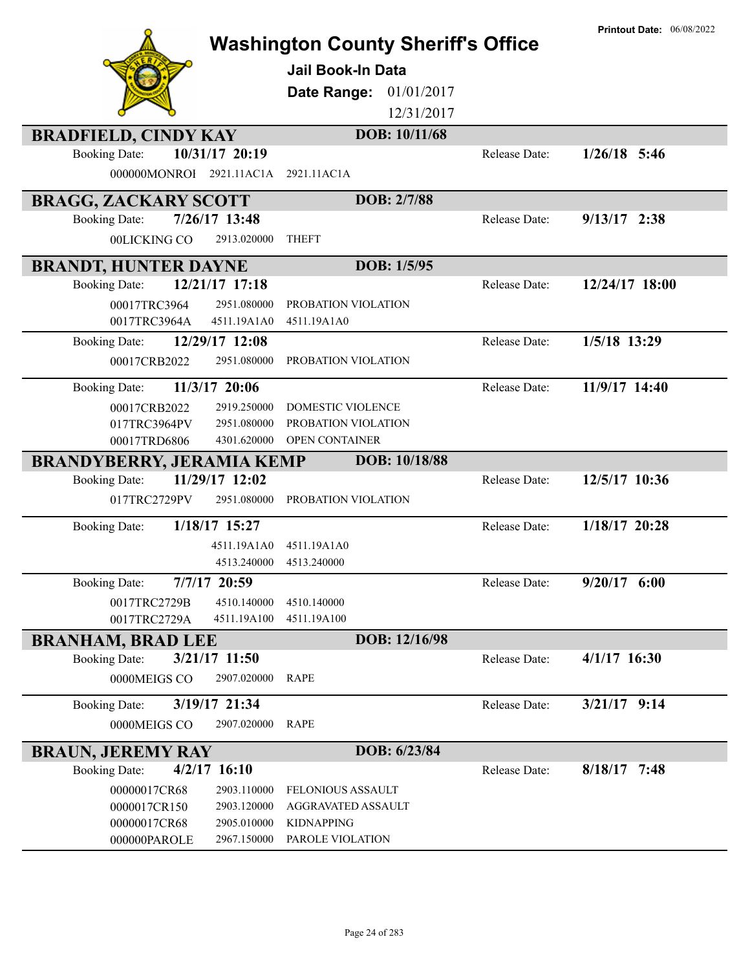|                                        | <b>Washington County Sheriff's Office</b> |               | <b>Printout Date: 06/08/2022</b> |
|----------------------------------------|-------------------------------------------|---------------|----------------------------------|
|                                        |                                           |               |                                  |
|                                        | <b>Jail Book-In Data</b>                  |               |                                  |
|                                        | Date Range:<br>01/01/2017                 |               |                                  |
|                                        | 12/31/2017                                |               |                                  |
| <b>BRADFIELD, CINDY KAY</b>            | DOB: 10/11/68                             |               |                                  |
| 10/31/17 20:19<br><b>Booking Date:</b> |                                           | Release Date: | $1/26/18$ 5:46                   |
| 000000MONROI 2921.11AC1A               | 2921.11AC1A                               |               |                                  |
| <b>BRAGG, ZACKARY SCOTT</b>            | DOB: 2/7/88                               |               |                                  |
| 7/26/17 13:48<br><b>Booking Date:</b>  |                                           | Release Date: | $9/13/17$ 2:38                   |
| 00LICKING CO<br>2913.020000            | <b>THEFT</b>                              |               |                                  |
| <b>BRANDT, HUNTER DAYNE</b>            | DOB: 1/5/95                               |               |                                  |
| 12/21/17 17:18<br><b>Booking Date:</b> |                                           | Release Date: | 12/24/17 18:00                   |
| 00017TRC3964<br>2951.080000            | PROBATION VIOLATION                       |               |                                  |
| 0017TRC3964A<br>4511.19A1A0            | 4511.19A1A0                               |               |                                  |
| 12/29/17 12:08<br><b>Booking Date:</b> |                                           | Release Date: | 1/5/18 13:29                     |
| 00017CRB2022<br>2951.080000            | PROBATION VIOLATION                       |               |                                  |
| 11/3/17 20:06<br><b>Booking Date:</b>  |                                           | Release Date: | 11/9/17 14:40                    |
| 2919.250000<br>00017CRB2022            | DOMESTIC VIOLENCE                         |               |                                  |
| 2951.080000<br>017TRC3964PV            | PROBATION VIOLATION                       |               |                                  |
| 00017TRD6806<br>4301.620000            | OPEN CONTAINER                            |               |                                  |
| <b>BRANDYBERRY, JERAMIA KEMP</b>       | DOB: 10/18/88                             |               |                                  |
| 11/29/17 12:02<br><b>Booking Date:</b> |                                           | Release Date: | 12/5/17 10:36                    |
| 017TRC2729PV<br>2951.080000            | PROBATION VIOLATION                       |               |                                  |
| 1/18/17 15:27<br><b>Booking Date:</b>  |                                           | Release Date: | 1/18/17 20:28                    |
| 4511.19A1A0                            | 4511.19A1A0                               |               |                                  |
| 4513.240000                            | 4513.240000                               |               |                                  |
| 7/7/17 20:59<br><b>Booking Date:</b>   |                                           | Release Date: | $9/20/17$ 6:00                   |
| 0017TRC2729B<br>4510.140000            | 4510.140000                               |               |                                  |
| 0017TRC2729A<br>4511.19A100            | 4511.19A100                               |               |                                  |
| <b>BRANHAM, BRAD LEE</b>               | DOB: 12/16/98                             |               |                                  |
| <b>Booking Date:</b><br>3/21/17 11:50  |                                           | Release Date: | $4/1/17$ 16:30                   |
| 0000MEIGS CO<br>2907.020000            | RAPE                                      |               |                                  |
| 3/19/17 21:34<br><b>Booking Date:</b>  |                                           | Release Date: | $3/21/17$ 9:14                   |
| 0000MEIGS CO<br>2907.020000            | <b>RAPE</b>                               |               |                                  |
| <b>BRAUN, JEREMY RAY</b>               | DOB: 6/23/84                              |               |                                  |
| $4/2/17$ 16:10<br><b>Booking Date:</b> |                                           | Release Date: | $8/18/17$ 7:48                   |
| 00000017CR68<br>2903.110000            | <b>FELONIOUS ASSAULT</b>                  |               |                                  |
| 2903.120000<br>0000017CR150            | AGGRAVATED ASSAULT                        |               |                                  |
| 00000017CR68<br>2905.010000            | <b>KIDNAPPING</b>                         |               |                                  |
| 2967.150000<br>000000PAROLE            | PAROLE VIOLATION                          |               |                                  |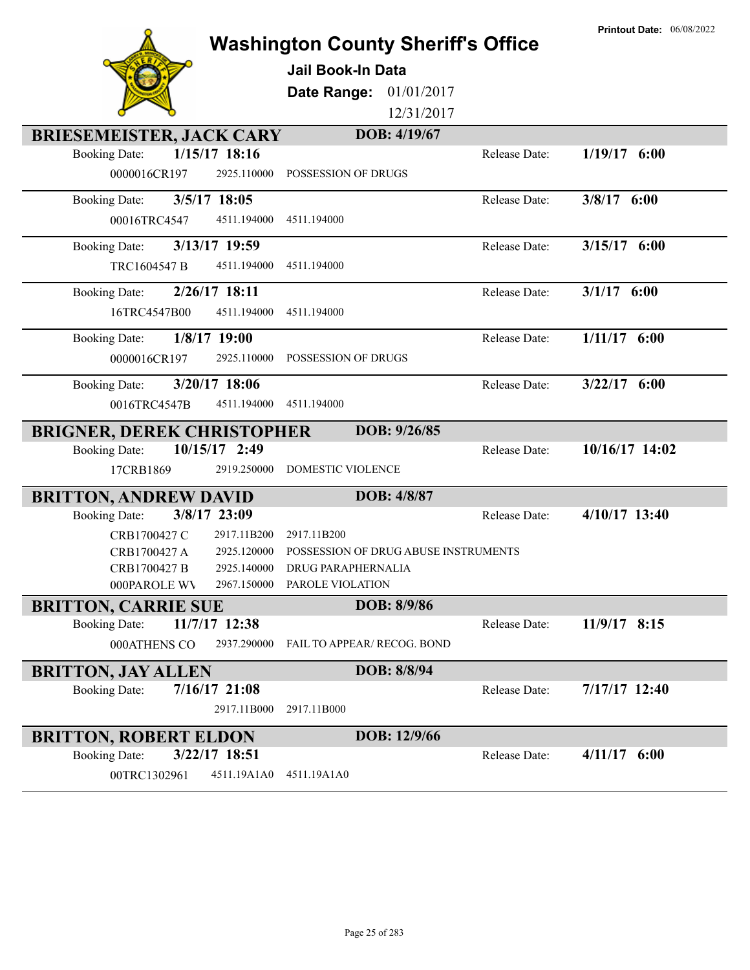**Washington County Sheriff's Office Jail Book-In Data Date Range:** 01/01/2017 12/31/2017 **BRIESEMEISTER, JACK CARY DOB: 4/19/67** 0000016CR197 2925.110000 POSSESSION OF DRUGS Booking Date: **1/15/17 18:16** Release Date: **1/19/17 6:00** 00016TRC4547 4511.194000 4511.194000 Booking Date: **3/5/17 18:05** Release Date: **3/8/17 6:00** TRC1604547 B 4511.194000 4511.194000 Booking Date: **3/13/17 19:59** Release Date: **3/15/17 6:00** 16TRC4547B00 4511.194000 4511.194000 Booking Date: **2/26/17 18:11** Release Date: **3/1/17 6:00** 0000016CR197 2925.110000 POSSESSION OF DRUGS Booking Date: **1/8/17 19:00** Release Date: **1/11/17 6:00** 0016TRC4547B 4511.194000 4511.194000 Booking Date: **3/20/17 18:06** Release Date: **3/22/17 6:00 BRIGNER, DEREK CHRISTOPHER DOB: 9/26/85** 17CRB1869 2919.250000 DOMESTIC VIOLENCE Booking Date: **10/15/17 2:49** Release Date: **10/16/17 14:02 BRITTON, ANDREW DAVID DOB: 4/8/87** CRB1700427 C 2917.11B200 2917.11B200 CRB1700427 A 2925.120000 POSSESSION OF DRUG ABUSE INSTRUMENTS CRB1700427 B 2925.140000 DRUG PARAPHERNALIA 000PAROLE WV 2967.150000 PAROLE VIOLATION Booking Date: **3/8/17 23:09** Release Date: **4/10/17 13:40 BRITTON, CARRIE SUE DOB: 8/9/86** 000ATHENS CO 2937.290000 FAIL TO APPEAR/ RECOG. BOND Booking Date: **11/7/17 12:38** Release Date: **11/9/17 8:15 BRITTON, JAY ALLEN DOB: 8/8/94** 2917.11B000 2917.11B000 Booking Date: **7/16/17 21:08** Release Date: **7/17/17 12:40 BRITTON, ROBERT ELDON DOB: 12/9/66** 00TRC1302961 4511.19A1A0 4511.19A1A0 Booking Date: **3/22/17 18:51** Release Date: **4/11/17 6:00**

**Printout Date:** 06/08/2022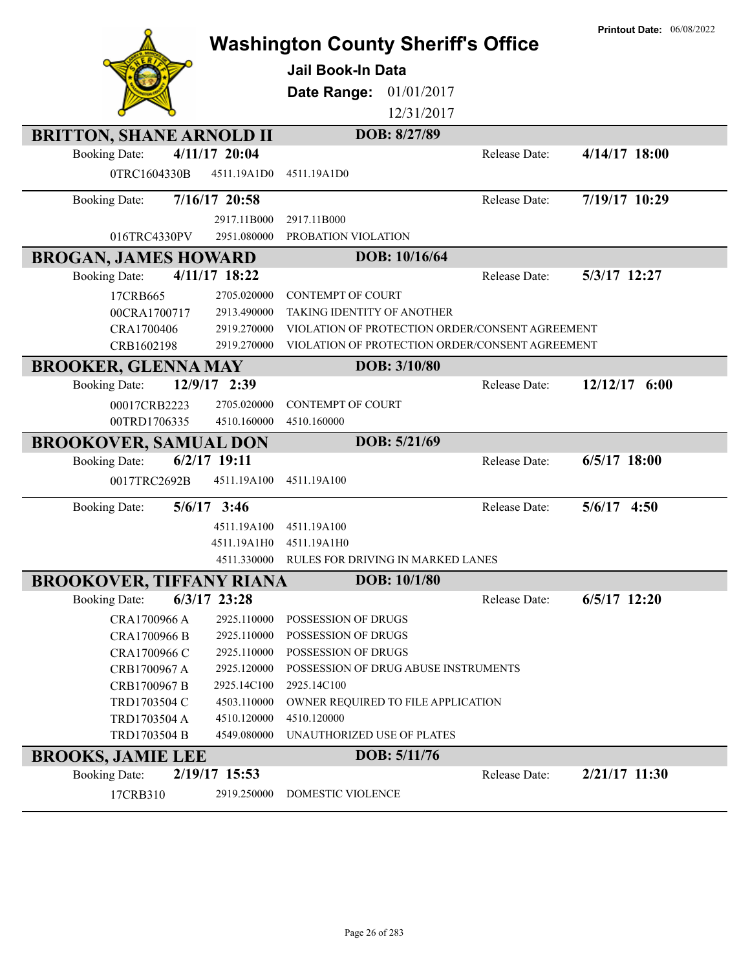|                                 |                | <b>Washington County Sheriff's Office</b>       |               | <b>Printout Date: 06/08/2022</b> |
|---------------------------------|----------------|-------------------------------------------------|---------------|----------------------------------|
|                                 |                |                                                 |               |                                  |
|                                 |                | <b>Jail Book-In Data</b>                        |               |                                  |
|                                 |                | Date Range:<br>01/01/2017                       |               |                                  |
|                                 |                | 12/31/2017                                      |               |                                  |
| <b>BRITTON, SHANE ARNOLD II</b> |                | DOB: 8/27/89                                    |               |                                  |
| <b>Booking Date:</b>            | 4/11/17 20:04  |                                                 | Release Date: | $4/14/17$ 18:00                  |
| 0TRC1604330B                    | 4511.19A1D0    | 4511.19A1D0                                     |               |                                  |
| <b>Booking Date:</b>            | 7/16/17 20:58  |                                                 | Release Date: | 7/19/17 10:29                    |
|                                 | 2917.11B000    | 2917.11B000                                     |               |                                  |
| 016TRC4330PV                    | 2951.080000    | PROBATION VIOLATION                             |               |                                  |
| <b>BROGAN, JAMES HOWARD</b>     |                | DOB: 10/16/64                                   |               |                                  |
| <b>Booking Date:</b>            | 4/11/17 18:22  |                                                 | Release Date: | 5/3/17 12:27                     |
| 17CRB665                        | 2705.020000    | <b>CONTEMPT OF COURT</b>                        |               |                                  |
| 00CRA1700717                    | 2913.490000    | TAKING IDENTITY OF ANOTHER                      |               |                                  |
| CRA1700406                      | 2919.270000    | VIOLATION OF PROTECTION ORDER/CONSENT AGREEMENT |               |                                  |
| CRB1602198                      | 2919.270000    | VIOLATION OF PROTECTION ORDER/CONSENT AGREEMENT |               |                                  |
| <b>BROOKER, GLENNA MAY</b>      |                | DOB: 3/10/80                                    |               |                                  |
| <b>Booking Date:</b>            | 12/9/17 2:39   |                                                 | Release Date: | $12/12/17$ 6:00                  |
| 00017CRB2223                    | 2705.020000    | <b>CONTEMPT OF COURT</b>                        |               |                                  |
| 00TRD1706335                    | 4510.160000    | 4510.160000                                     |               |                                  |
| <b>BROOKOVER, SAMUAL DON</b>    |                | DOB: 5/21/69                                    |               |                                  |
| <b>Booking Date:</b>            | $6/2/17$ 19:11 |                                                 | Release Date: | $6/5/17$ 18:00                   |
| 0017TRC2692B                    | 4511.19A100    | 4511.19A100                                     |               |                                  |
| <b>Booking Date:</b>            | $5/6/17$ 3:46  |                                                 | Release Date: | $5/6/17$ 4:50                    |
|                                 | 4511.19A100    | 4511.19A100                                     |               |                                  |
|                                 | 4511.19A1H0    | 4511.19A1H0                                     |               |                                  |
|                                 | 4511.330000    | RULES FOR DRIVING IN MARKED LANES               |               |                                  |
| <b>BROOKOVER, TIFFANY RIANA</b> |                | DOB: 10/1/80                                    |               |                                  |
| <b>Booking Date:</b>            | $6/3/17$ 23:28 |                                                 | Release Date: | $6/5/17$ 12:20                   |
| CRA1700966 A                    | 2925.110000    | POSSESSION OF DRUGS                             |               |                                  |
| CRA1700966 B                    | 2925.110000    | POSSESSION OF DRUGS                             |               |                                  |
| CRA1700966 C                    | 2925.110000    | POSSESSION OF DRUGS                             |               |                                  |
| CRB1700967 A                    | 2925.120000    | POSSESSION OF DRUG ABUSE INSTRUMENTS            |               |                                  |
| CRB1700967 B                    | 2925.14C100    | 2925.14C100                                     |               |                                  |
| TRD1703504 C                    | 4503.110000    | OWNER REQUIRED TO FILE APPLICATION              |               |                                  |
| TRD1703504 A                    | 4510.120000    | 4510.120000                                     |               |                                  |
| TRD1703504 B                    | 4549.080000    | UNAUTHORIZED USE OF PLATES                      |               |                                  |
| <b>BROOKS, JAMIE LEE</b>        |                | DOB: 5/11/76                                    |               |                                  |
| <b>Booking Date:</b>            | 2/19/17 15:53  |                                                 | Release Date: | 2/21/17 11:30                    |
| 17CRB310                        | 2919.250000    | DOMESTIC VIOLENCE                               |               |                                  |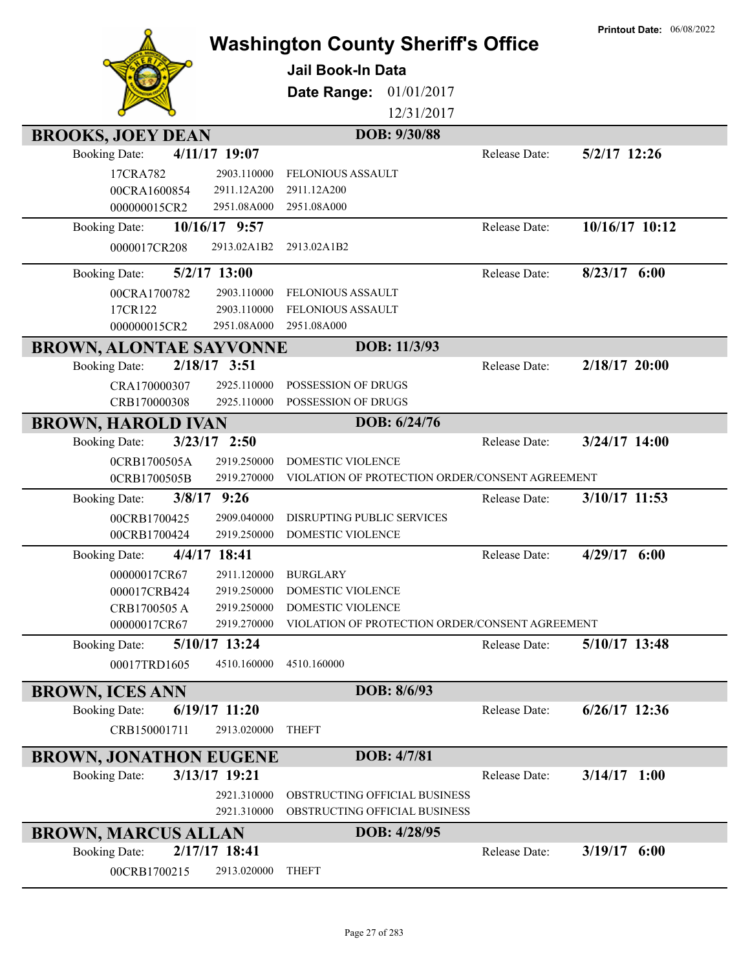|                                |                            | <b>Washington County Sheriff's Office</b><br><b>Jail Book-In Data</b><br>01/01/2017<br>Date Range: |               | <b>Printout Date: 06/08/2022</b> |
|--------------------------------|----------------------------|----------------------------------------------------------------------------------------------------|---------------|----------------------------------|
|                                |                            | 12/31/2017                                                                                         |               |                                  |
|                                |                            | DOB: 9/30/88                                                                                       |               |                                  |
| <b>BROOKS, JOEY DEAN</b>       | 4/11/17 19:07              |                                                                                                    |               | 5/2/17 12:26                     |
| <b>Booking Date:</b>           |                            |                                                                                                    | Release Date: |                                  |
| 17CRA782<br>00CRA1600854       | 2903.110000<br>2911.12A200 | <b>FELONIOUS ASSAULT</b><br>2911.12A200                                                            |               |                                  |
| 000000015CR2                   | 2951.08A000                | 2951.08A000                                                                                        |               |                                  |
| <b>Booking Date:</b>           | 10/16/17 9:57              |                                                                                                    | Release Date: | 10/16/17 10:12                   |
| 0000017CR208                   | 2913.02A1B2                | 2913.02A1B2                                                                                        |               |                                  |
|                                |                            |                                                                                                    |               |                                  |
| <b>Booking Date:</b>           | $5/2/17$ 13:00             |                                                                                                    | Release Date: | $8/23/17$ 6:00                   |
| 00CRA1700782                   | 2903.110000                | FELONIOUS ASSAULT                                                                                  |               |                                  |
| 17CR122                        | 2903.110000                | FELONIOUS ASSAULT                                                                                  |               |                                  |
| 000000015CR2                   | 2951.08A000                | 2951.08A000                                                                                        |               |                                  |
| <b>BROWN, ALONTAE SAYVONNE</b> |                            | DOB: 11/3/93                                                                                       |               |                                  |
| <b>Booking Date:</b>           | $2/18/17$ 3:51             |                                                                                                    | Release Date: | $2/18/17$ 20:00                  |
| CRA170000307                   | 2925.110000                | POSSESSION OF DRUGS                                                                                |               |                                  |
| CRB170000308                   | 2925.110000                | POSSESSION OF DRUGS                                                                                |               |                                  |
| <b>BROWN, HAROLD IVAN</b>      |                            | DOB: 6/24/76                                                                                       |               |                                  |
| <b>Booking Date:</b>           | $3/23/17$ 2:50             |                                                                                                    | Release Date: | 3/24/17 14:00                    |
| 0CRB1700505A                   | 2919.250000                | DOMESTIC VIOLENCE                                                                                  |               |                                  |
| 0CRB1700505B                   | 2919.270000                | VIOLATION OF PROTECTION ORDER/CONSENT AGREEMENT                                                    |               |                                  |
| <b>Booking Date:</b>           | $3/8/17$ 9:26              |                                                                                                    | Release Date: | 3/10/17 11:53                    |
| 00CRB1700425                   | 2909.040000                | DISRUPTING PUBLIC SERVICES                                                                         |               |                                  |
| 00CRB1700424                   | 2919.250000                | DOMESTIC VIOLENCE                                                                                  |               |                                  |
| <b>Booking Date:</b>           | 4/4/17 18:41               |                                                                                                    | Release Date: | $4/29/17$ 6:00                   |
| 00000017CR67                   |                            | 2911.120000 BURGLARY                                                                               |               |                                  |
| 000017CRB424<br>CRB1700505 A   | 2919.250000<br>2919.250000 | DOMESTIC VIOLENCE<br>DOMESTIC VIOLENCE                                                             |               |                                  |
| 00000017CR67                   | 2919.270000                | VIOLATION OF PROTECTION ORDER/CONSENT AGREEMENT                                                    |               |                                  |
| <b>Booking Date:</b>           | 5/10/17 13:24              |                                                                                                    | Release Date: | 5/10/17 13:48                    |
| 00017TRD1605                   | 4510.160000                | 4510.160000                                                                                        |               |                                  |
|                                |                            |                                                                                                    |               |                                  |
| <b>BROWN, ICES ANN</b>         |                            | DOB: 8/6/93                                                                                        |               |                                  |
| <b>Booking Date:</b>           | $6/19/17$ 11:20            |                                                                                                    | Release Date: | $6/26/17$ 12:36                  |
| CRB150001711                   | 2913.020000                | <b>THEFT</b>                                                                                       |               |                                  |
| <b>BROWN, JONATHON EUGENE</b>  |                            | DOB: 4/7/81                                                                                        |               |                                  |
| <b>Booking Date:</b>           | 3/13/17 19:21              |                                                                                                    | Release Date: | $3/14/17$ 1:00                   |
|                                | 2921.310000                | OBSTRUCTING OFFICIAL BUSINESS                                                                      |               |                                  |
|                                | 2921.310000                | OBSTRUCTING OFFICIAL BUSINESS                                                                      |               |                                  |
| <b>BROWN, MARCUS ALLAN</b>     |                            | DOB: 4/28/95                                                                                       |               |                                  |
| <b>Booking Date:</b>           | 2/17/17 18:41              |                                                                                                    | Release Date: | $3/19/17$ 6:00                   |
| 00CRB1700215                   | 2913.020000                | <b>THEFT</b>                                                                                       |               |                                  |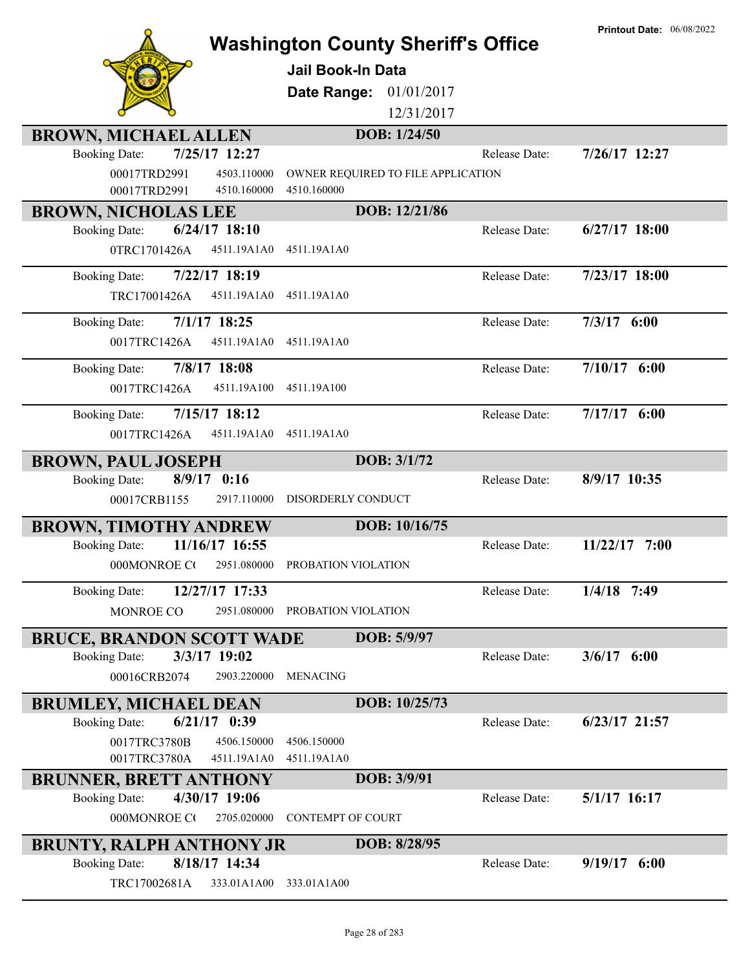|                                                                          |                            | <b>Washington County Sheriff's Office</b> | <b>Printout Date: 06/08/2022</b> |
|--------------------------------------------------------------------------|----------------------------|-------------------------------------------|----------------------------------|
|                                                                          | <b>Jail Book-In Data</b>   |                                           |                                  |
|                                                                          | Date Range:                | 01/01/2017                                |                                  |
|                                                                          |                            | 12/31/2017                                |                                  |
| <b>BROWN, MICHAEL ALLEN</b>                                              |                            | DOB: 1/24/50                              |                                  |
| 7/25/17 12:27<br><b>Booking Date:</b>                                    |                            | Release Date:                             | 7/26/17 12:27                    |
| 00017TRD2991<br>4503.110000                                              |                            | OWNER REQUIRED TO FILE APPLICATION        |                                  |
| 00017TRD2991<br>4510.160000                                              | 4510.160000                |                                           |                                  |
| <b>BROWN, NICHOLAS LEE</b>                                               |                            | DOB: 12/21/86                             |                                  |
| $6/24/17$ 18:10<br><b>Booking Date:</b>                                  |                            | Release Date:                             | $6/27/17$ 18:00                  |
| 0TRC1701426A<br>4511.19A1A0                                              | 4511.19A1A0                |                                           |                                  |
| 7/22/17 18:19<br><b>Booking Date:</b>                                    |                            | Release Date:                             | 7/23/17 18:00                    |
| TRC17001426A<br>4511.19A1A0                                              | 4511.19A1A0                |                                           |                                  |
| $7/1/17$ 18:25<br><b>Booking Date:</b>                                   |                            | Release Date:                             | $7/3/17$ 6:00                    |
| 4511.19A1A0<br>0017TRC1426A                                              | 4511.19A1A0                |                                           |                                  |
| 7/8/17 18:08<br><b>Booking Date:</b>                                     |                            | Release Date:                             | $7/10/17$ 6:00                   |
| 0017TRC1426A<br>4511.19A100                                              | 4511.19A100                |                                           |                                  |
|                                                                          |                            |                                           |                                  |
| $7/15/17$ 18:12<br><b>Booking Date:</b>                                  |                            | Release Date:                             | $7/17/17$ 6:00                   |
| 0017TRC1426A<br>4511.19A1A0                                              | 4511.19A1A0                |                                           |                                  |
| <b>BROWN, PAUL JOSEPH</b>                                                |                            | DOB: 3/1/72                               |                                  |
| $8/9/17$ 0:16<br><b>Booking Date:</b>                                    |                            | Release Date:                             | 8/9/17 10:35                     |
| 2917.110000<br>00017CRB1155                                              | DISORDERLY CONDUCT         |                                           |                                  |
| <b>BROWN, TIMOTHY ANDREW</b>                                             |                            | DOB: 10/16/75                             |                                  |
| 11/16/17 16:55<br><b>Booking Date:</b>                                   |                            | Release Date:                             | 11/22/17<br>7:00                 |
| 000MONROE CO<br>2951.080000                                              | PROBATION VIOLATION        |                                           |                                  |
| 12/27/17 17:33<br><b>Booking Date:</b>                                   |                            | Release Date:                             | $1/4/18$ 7:49                    |
| MONROE CO<br>2951.080000                                                 | PROBATION VIOLATION        |                                           |                                  |
|                                                                          |                            | DOB: 5/9/97                               |                                  |
| <b>BRUCE, BRANDON SCOTT WADE</b><br>3/3/17 19:02<br><b>Booking Date:</b> |                            | Release Date:                             | $3/6/17$ 6:00                    |
| 2903.220000<br>00016CRB2074                                              | <b>MENACING</b>            |                                           |                                  |
|                                                                          |                            |                                           |                                  |
| <b>BRUMLEY, MICHAEL DEAN</b>                                             |                            | DOB: 10/25/73                             |                                  |
| $6/21/17$ 0:39<br><b>Booking Date:</b>                                   |                            | Release Date:                             | $6/23/17$ 21:57                  |
| 0017TRC3780B<br>4506.150000<br>0017TRC3780A<br>4511.19A1A0               | 4506.150000<br>4511.19A1A0 |                                           |                                  |
| <b>BRUNNER, BRETT ANTHONY</b>                                            |                            | DOB: 3/9/91                               |                                  |
| 4/30/17 19:06<br><b>Booking Date:</b>                                    |                            | Release Date:                             | $5/1/17$ 16:17                   |
| 000MONROE CO<br>2705.020000                                              | <b>CONTEMPT OF COURT</b>   |                                           |                                  |
|                                                                          |                            |                                           |                                  |
| <b>BRUNTY, RALPH ANTHONY JR</b><br>8/18/17 14:34                         |                            | DOB: 8/28/95<br>Release Date:             |                                  |
| <b>Booking Date:</b><br>333.01A1A00                                      | 333.01A1A00                |                                           | $9/19/17$ 6:00                   |
| TRC17002681A                                                             |                            |                                           |                                  |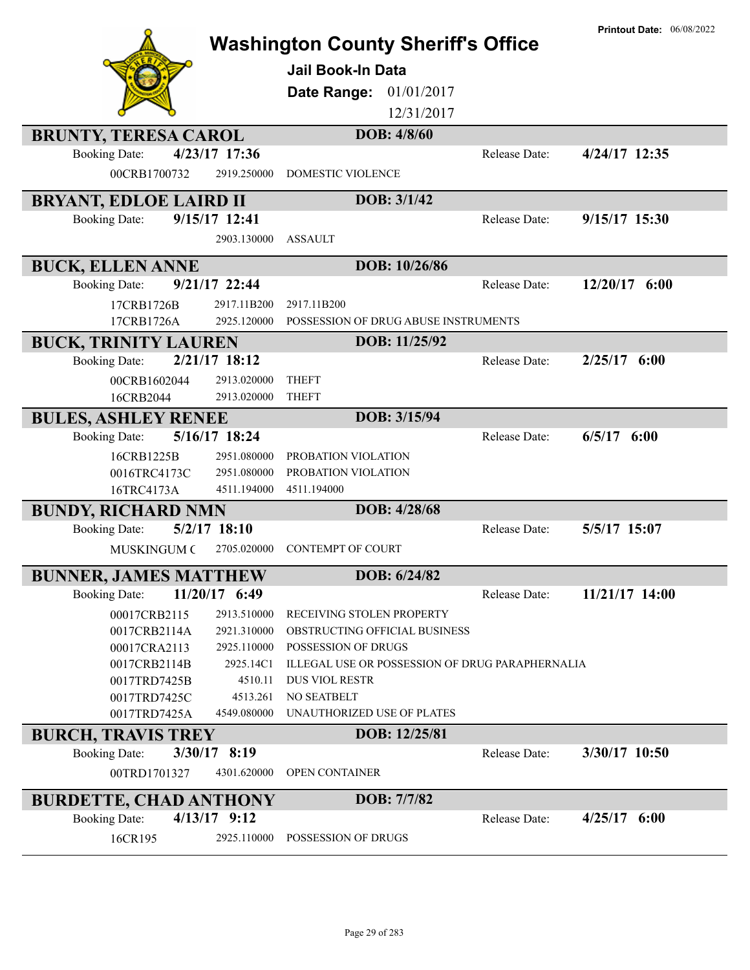|                                      |                         | <b>Washington County Sheriff's Office</b>       |               | <b>Printout Date: 06/08/2022</b> |
|--------------------------------------|-------------------------|-------------------------------------------------|---------------|----------------------------------|
|                                      |                         | Jail Book-In Data                               |               |                                  |
|                                      |                         | 01/01/2017<br>Date Range:                       |               |                                  |
|                                      |                         | 12/31/2017                                      |               |                                  |
|                                      |                         | DOB: 4/8/60                                     |               |                                  |
| <b>BRUNTY, TERESA CAROL</b>          | 4/23/17 17:36           |                                                 |               |                                  |
| <b>Booking Date:</b><br>00CRB1700732 | 2919.250000             | <b>DOMESTIC VIOLENCE</b>                        | Release Date: | 4/24/17 12:35                    |
|                                      |                         |                                                 |               |                                  |
| <b>BRYANT, EDLOE LAIRD II</b>        |                         | DOB: 3/1/42                                     |               |                                  |
| <b>Booking Date:</b>                 | 9/15/17 12:41           |                                                 | Release Date: | 9/15/17 15:30                    |
|                                      | 2903.130000             | <b>ASSAULT</b>                                  |               |                                  |
| <b>BUCK, ELLEN ANNE</b>              |                         | DOB: 10/26/86                                   |               |                                  |
| <b>Booking Date:</b>                 | 9/21/17 22:44           |                                                 | Release Date: | $12/20/17$ 6:00                  |
| 17CRB1726B                           | 2917.11B200             | 2917.11B200                                     |               |                                  |
| 17CRB1726A                           | 2925.120000             | POSSESSION OF DRUG ABUSE INSTRUMENTS            |               |                                  |
| <b>BUCK, TRINITY LAUREN</b>          |                         | DOB: 11/25/92                                   |               |                                  |
| <b>Booking Date:</b>                 | 2/21/17 18:12           |                                                 | Release Date: | $2/25/17$ 6:00                   |
| 00CRB1602044                         | 2913.020000             | <b>THEFT</b>                                    |               |                                  |
| 16CRB2044                            | 2913.020000             | <b>THEFT</b>                                    |               |                                  |
| <b>BULES, ASHLEY RENEE</b>           |                         | DOB: 3/15/94                                    |               |                                  |
| <b>Booking Date:</b>                 | 5/16/17 18:24           |                                                 | Release Date: | $6/5/17$ $6:00$                  |
| 16CRB1225B                           | 2951.080000             | PROBATION VIOLATION                             |               |                                  |
| 0016TRC4173C                         | 2951.080000             | PROBATION VIOLATION                             |               |                                  |
| 16TRC4173A                           | 4511.194000             | 4511.194000                                     |               |                                  |
| <b>BUNDY, RICHARD NMN</b>            |                         | DOB: 4/28/68                                    |               |                                  |
| <b>Booking Date:</b>                 | $5/2/17$ 18:10          |                                                 | Release Date: | 5/5/17 15:07                     |
| <b>MUSKINGUM C</b>                   | 2705.020000             | <b>CONTEMPT OF COURT</b>                        |               |                                  |
| <b>BUNNER, JAMES MATTHEW</b>         |                         | DOB: 6/24/82                                    |               |                                  |
| <b>Booking Date:</b>                 | $11/20/17$ 6:49         |                                                 | Release Date: | 11/21/17 14:00                   |
| 00017CRB2115                         | 2913.510000             | RECEIVING STOLEN PROPERTY                       |               |                                  |
| 0017CRB2114A                         | 2921.310000             | OBSTRUCTING OFFICIAL BUSINESS                   |               |                                  |
| 00017CRA2113                         | 2925.110000             | POSSESSION OF DRUGS                             |               |                                  |
| 0017CRB2114B                         | 2925.14C1               | ILLEGAL USE OR POSSESSION OF DRUG PARAPHERNALIA |               |                                  |
| 0017TRD7425B                         | 4510.11                 | <b>DUS VIOL RESTR</b>                           |               |                                  |
| 0017TRD7425C                         | 4513.261<br>4549.080000 | NO SEATBELT<br>UNAUTHORIZED USE OF PLATES       |               |                                  |
| 0017TRD7425A                         |                         |                                                 |               |                                  |
| <b>BURCH, TRAVIS TREY</b>            |                         | DOB: 12/25/81                                   |               |                                  |
| <b>Booking Date:</b>                 | $3/30/17$ 8:19          |                                                 | Release Date: | 3/30/17 10:50                    |
| 00TRD1701327                         | 4301.620000             | OPEN CONTAINER                                  |               |                                  |
| <b>BURDETTE, CHAD ANTHONY</b>        |                         | DOB: 7/7/82                                     |               |                                  |
| <b>Booking Date:</b>                 | $4/13/17$ 9:12          |                                                 | Release Date: | $4/25/17$ 6:00                   |
| 16CR195                              | 2925.110000             | POSSESSION OF DRUGS                             |               |                                  |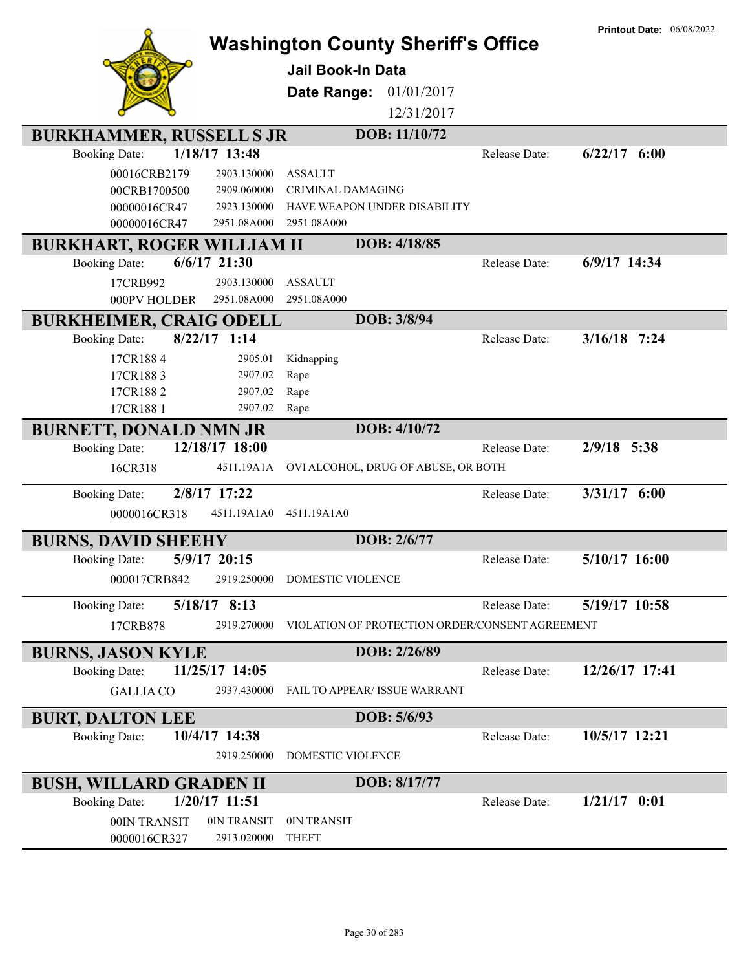|                                        | <b>Washington County Sheriff's Office</b><br><b>Jail Book-In Data</b><br>Date Range:<br>01/01/2017<br>12/31/2017 |               | <b>Printout Date: 06/08/2022</b> |
|----------------------------------------|------------------------------------------------------------------------------------------------------------------|---------------|----------------------------------|
| <b>BURKHAMMER, RUSSELL S JR</b>        | DOB: 11/10/72                                                                                                    |               |                                  |
| 1/18/17 13:48<br><b>Booking Date:</b>  |                                                                                                                  | Release Date: | $6/22/17$ $6:00$                 |
| 00016CRB2179<br>2903.130000            | <b>ASSAULT</b>                                                                                                   |               |                                  |
| 00CRB1700500<br>2909.060000            | <b>CRIMINAL DAMAGING</b>                                                                                         |               |                                  |
| 2923.130000<br>00000016CR47            | HAVE WEAPON UNDER DISABILITY                                                                                     |               |                                  |
| 00000016CR47<br>2951.08A000            | 2951.08A000                                                                                                      |               |                                  |
| <b>BURKHART, ROGER WILLIAM II</b>      | DOB: 4/18/85                                                                                                     |               |                                  |
| $6/6/17$ 21:30<br><b>Booking Date:</b> |                                                                                                                  | Release Date: | 6/9/17 14:34                     |
| 2903.130000<br>17CRB992                | <b>ASSAULT</b>                                                                                                   |               |                                  |
| 2951.08A000<br>000PV HOLDER            | 2951.08A000                                                                                                      |               |                                  |
| <b>BURKHEIMER, CRAIG ODELL</b>         | DOB: 3/8/94                                                                                                      |               |                                  |
| $8/22/17$ 1:14<br><b>Booking Date:</b> |                                                                                                                  | Release Date: | $3/16/18$ 7:24                   |
| 17CR1884<br>2905.01                    | Kidnapping                                                                                                       |               |                                  |
| 17CR1883<br>2907.02                    | Rape                                                                                                             |               |                                  |
| 17CR1882<br>2907.02                    | Rape                                                                                                             |               |                                  |
| 17CR188 1<br>2907.02                   | Rape                                                                                                             |               |                                  |
| <b>BURNETT, DONALD NMN JR</b>          | DOB: 4/10/72                                                                                                     |               |                                  |
| 12/18/17 18:00<br><b>Booking Date:</b> |                                                                                                                  | Release Date: | 2/9/18 5:38                      |
| 16CR318<br>4511.19A1A                  | OVI ALCOHOL, DRUG OF ABUSE, OR BOTH                                                                              |               |                                  |
| 2/8/17 17:22<br><b>Booking Date:</b>   |                                                                                                                  | Release Date: | $3/31/17$ 6:00                   |
| 4511.19A1A0<br>0000016CR318            | 4511.19A1A0                                                                                                      |               |                                  |
|                                        |                                                                                                                  |               |                                  |
| <b>BURNS, DAVID SHEEHY</b>             | DOB: 2/6/77                                                                                                      |               |                                  |
| 5/9/17 20:15<br><b>Booking Date:</b>   |                                                                                                                  | Release Date: | 5/10/17 16:00                    |
| 000017CRB842<br>2919.250000            | DOMESTIC VIOLENCE                                                                                                |               |                                  |
| 5/18/17 8:13<br><b>Booking Date:</b>   |                                                                                                                  | Release Date: | 5/19/17 10:58                    |
| 2919.270000<br>17CRB878                | VIOLATION OF PROTECTION ORDER/CONSENT AGREEMENT                                                                  |               |                                  |
| <b>BURNS, JASON KYLE</b>               | DOB: 2/26/89                                                                                                     |               |                                  |
| 11/25/17 14:05<br><b>Booking Date:</b> |                                                                                                                  | Release Date: | 12/26/17 17:41                   |
| <b>GALLIA CO</b><br>2937.430000        | FAIL TO APPEAR/ ISSUE WARRANT                                                                                    |               |                                  |
| <b>BURT, DALTON LEE</b>                | DOB: 5/6/93                                                                                                      |               |                                  |
| 10/4/17 14:38<br><b>Booking Date:</b>  |                                                                                                                  | Release Date: | 10/5/17 12:21                    |
| 2919.250000                            | DOMESTIC VIOLENCE                                                                                                |               |                                  |
| <b>BUSH, WILLARD GRADEN II</b>         | DOB: 8/17/77                                                                                                     |               |                                  |
| 1/20/17 11:51<br><b>Booking Date:</b>  |                                                                                                                  | Release Date: | $1/21/17$ 0:01                   |
| 0IN TRANSIT<br>00IN TRANSIT            | 0IN TRANSIT                                                                                                      |               |                                  |
| 2913.020000<br>0000016CR327            | <b>THEFT</b>                                                                                                     |               |                                  |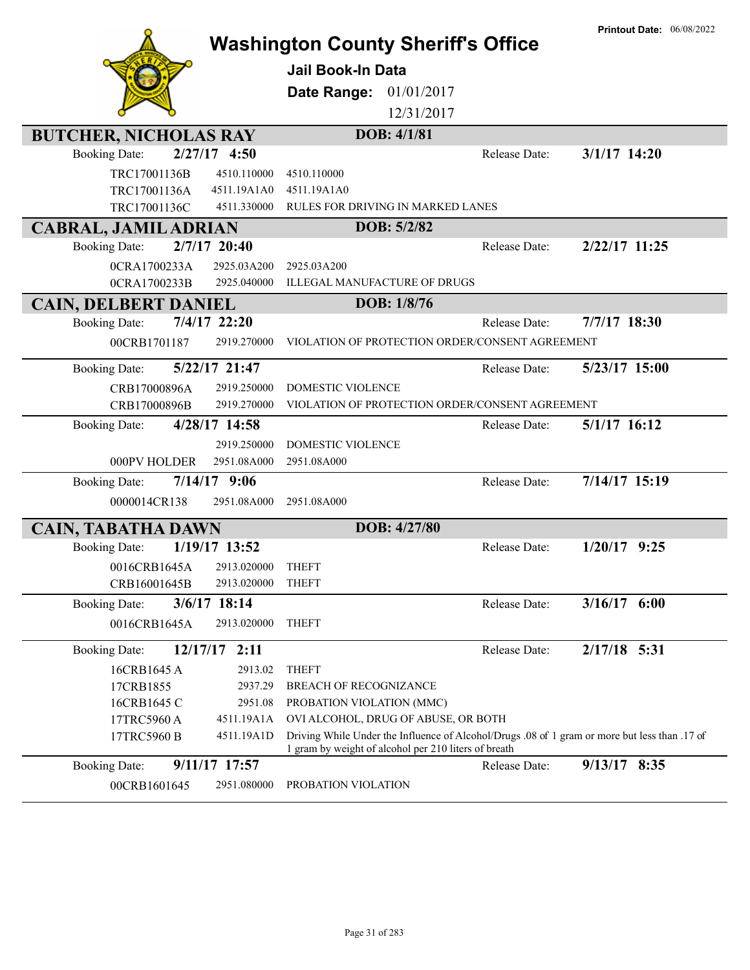|                                          | <b>Washington County Sheriff's Office</b>                                                                                                             | <b>Printout Date: 06/08/2022</b> |
|------------------------------------------|-------------------------------------------------------------------------------------------------------------------------------------------------------|----------------------------------|
|                                          | <b>Jail Book-In Data</b>                                                                                                                              |                                  |
|                                          |                                                                                                                                                       |                                  |
|                                          | Date Range:<br>01/01/2017                                                                                                                             |                                  |
|                                          | 12/31/2017                                                                                                                                            |                                  |
| <b>BUTCHER, NICHOLAS RAY</b>             | DOB: 4/1/81                                                                                                                                           |                                  |
| $2/27/17$ 4:50<br><b>Booking Date:</b>   |                                                                                                                                                       | Release Date:<br>$3/1/17$ 14:20  |
| TRC17001136B<br>4510.110000              | 4510.110000                                                                                                                                           |                                  |
| TRC17001136A<br>4511.19A1A0              | 4511.19A1A0                                                                                                                                           |                                  |
| TRC17001136C<br>4511.330000              | RULES FOR DRIVING IN MARKED LANES                                                                                                                     |                                  |
| <b>CABRAL, JAMIL ADRIAN</b>              | DOB: 5/2/82                                                                                                                                           |                                  |
| 2/7/17 20:40<br><b>Booking Date:</b>     |                                                                                                                                                       | 2/22/17 11:25<br>Release Date:   |
| 0CRA1700233A<br>2925.03A200              | 2925.03A200                                                                                                                                           |                                  |
| 2925.040000<br>0CRA1700233B              | <b>ILLEGAL MANUFACTURE OF DRUGS</b>                                                                                                                   |                                  |
| <b>CAIN, DELBERT DANIEL</b>              | DOB: 1/8/76                                                                                                                                           |                                  |
| $7/4/17$ 22:20<br><b>Booking Date:</b>   |                                                                                                                                                       | 7/7/17 18:30<br>Release Date:    |
| 00CRB1701187<br>2919.270000              | VIOLATION OF PROTECTION ORDER/CONSENT AGREEMENT                                                                                                       |                                  |
| 5/22/17 21:47<br><b>Booking Date:</b>    |                                                                                                                                                       | 5/23/17 15:00<br>Release Date:   |
| CRB17000896A<br>2919.250000              | <b>DOMESTIC VIOLENCE</b>                                                                                                                              |                                  |
| 2919.270000<br>CRB17000896B              | VIOLATION OF PROTECTION ORDER/CONSENT AGREEMENT                                                                                                       |                                  |
| 4/28/17 14:58<br><b>Booking Date:</b>    |                                                                                                                                                       | $5/1/17$ 16:12<br>Release Date:  |
| 2919.250000                              | DOMESTIC VIOLENCE                                                                                                                                     |                                  |
| 2951.08A000<br>000PV HOLDER              | 2951.08A000                                                                                                                                           |                                  |
| $7/14/17$ 9:06<br><b>Booking Date:</b>   |                                                                                                                                                       | 7/14/17 15:19<br>Release Date:   |
| 0000014CR138<br>2951.08A000              | 2951.08A000                                                                                                                                           |                                  |
| <b>CAIN, TABATHA DAWN</b>                | DOB: 4/27/80                                                                                                                                          |                                  |
| 1/19/17 13:52<br><b>Booking Date:</b>    |                                                                                                                                                       | $1/20/17$ 9:25<br>Release Date:  |
| 0016CRB1645A<br>2913.020000              | <b>THEFT</b>                                                                                                                                          |                                  |
| CRB16001645B<br>2913.020000              | <b>THEFT</b>                                                                                                                                          |                                  |
| 3/6/17 18:14<br><b>Booking Date:</b>     |                                                                                                                                                       | $3/16/17$ 6:00<br>Release Date:  |
| 2913.020000<br>0016CRB1645A              | <b>THEFT</b>                                                                                                                                          |                                  |
| <b>Booking Date:</b><br>12/17/17<br>2:11 |                                                                                                                                                       | $2/17/18$ 5:31<br>Release Date:  |
| 16CRB1645 A<br>2913.02                   | <b>THEFT</b>                                                                                                                                          |                                  |
| 17CRB1855<br>2937.29                     | BREACH OF RECOGNIZANCE                                                                                                                                |                                  |
| 16CRB1645 C<br>2951.08                   | PROBATION VIOLATION (MMC)                                                                                                                             |                                  |
| 17TRC5960 A<br>4511.19A1A                | OVI ALCOHOL, DRUG OF ABUSE, OR BOTH                                                                                                                   |                                  |
| 17TRC5960 B<br>4511.19A1D                | Driving While Under the Influence of Alcohol/Drugs .08 of 1 gram or more but less than .17 of<br>1 gram by weight of alcohol per 210 liters of breath |                                  |
| 9/11/17 17:57<br><b>Booking Date:</b>    |                                                                                                                                                       | 9/13/17 8:35<br>Release Date:    |
| 2951.080000<br>00CRB1601645              | PROBATION VIOLATION                                                                                                                                   |                                  |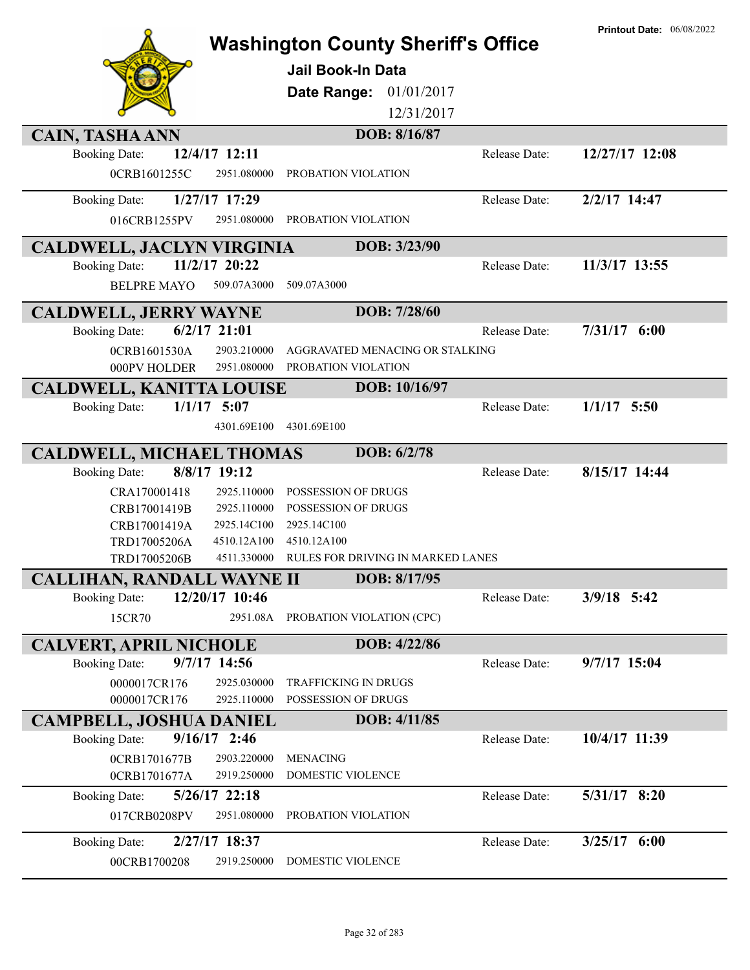|                                                                 | <b>Washington County Sheriff's Office</b><br><b>Jail Book-In Data</b><br>01/01/2017<br>Date Range:<br>12/31/2017<br>DOB: 8/16/87 |               | <b>Printout Date: 06/08/2022</b> |
|-----------------------------------------------------------------|----------------------------------------------------------------------------------------------------------------------------------|---------------|----------------------------------|
| <b>CAIN, TASHA ANN</b><br><b>Booking Date:</b><br>12/4/17 12:11 |                                                                                                                                  | Release Date: | 12/27/17 12:08                   |
| 0CRB1601255C<br>2951.080000                                     | PROBATION VIOLATION                                                                                                              |               |                                  |
| 1/27/17 17:29<br><b>Booking Date:</b>                           |                                                                                                                                  | Release Date: | 2/2/17 14:47                     |
| 2951.080000<br>016CRB1255PV                                     | PROBATION VIOLATION                                                                                                              |               |                                  |
| <b>CALDWELL, JACLYN VIRGINIA</b>                                | DOB: 3/23/90                                                                                                                     |               |                                  |
| 11/2/17 20:22<br><b>Booking Date:</b>                           |                                                                                                                                  | Release Date: | 11/3/17 13:55                    |
| <b>BELPRE MAYO</b><br>509.07A3000                               | 509.07A3000                                                                                                                      |               |                                  |
| <b>CALDWELL, JERRY WAYNE</b>                                    | DOB: 7/28/60                                                                                                                     |               |                                  |
| $6/2/17$ 21:01<br><b>Booking Date:</b>                          |                                                                                                                                  | Release Date: | $7/31/17$ 6:00                   |
| 2903.210000<br>0CRB1601530A<br>2951.080000<br>000PV HOLDER      | AGGRAVATED MENACING OR STALKING<br>PROBATION VIOLATION                                                                           |               |                                  |
| <b>CALDWELL, KANITTA LOUISE</b>                                 | DOB: 10/16/97                                                                                                                    |               |                                  |
| $1/1/17$ 5:07<br><b>Booking Date:</b>                           |                                                                                                                                  | Release Date: | $1/1/17$ 5:50                    |
| 4301.69E100                                                     | 4301.69E100                                                                                                                      |               |                                  |
| <b>CALDWELL, MICHAEL THOMAS</b>                                 | DOB: 6/2/78                                                                                                                      |               |                                  |
| 8/8/17 19:12<br><b>Booking Date:</b>                            |                                                                                                                                  | Release Date: | 8/15/17 14:44                    |
| CRA170001418<br>2925.110000                                     | POSSESSION OF DRUGS                                                                                                              |               |                                  |
| 2925.110000<br>CRB17001419B                                     | POSSESSION OF DRUGS                                                                                                              |               |                                  |
| 2925.14C100<br>CRB17001419A<br>TRD17005206A<br>4510.12A100      | 2925.14C100<br>4510.12A100                                                                                                       |               |                                  |
| 4511.330000<br>TRD17005206B                                     | RULES FOR DRIVING IN MARKED LANES                                                                                                |               |                                  |
| <b>CALLIHAN, RANDALL WAYNE II</b>                               | DOB: 8/17/95                                                                                                                     |               |                                  |
| 12/20/17 10:46<br><b>Booking Date:</b>                          |                                                                                                                                  | Release Date: | $3/9/18$ 5:42                    |
| 15CR70<br>2951.08A                                              | PROBATION VIOLATION (CPC)                                                                                                        |               |                                  |
| <b>CALVERT, APRIL NICHOLE</b>                                   | DOB: 4/22/86                                                                                                                     |               |                                  |
| 9/7/17 14:56<br><b>Booking Date:</b>                            |                                                                                                                                  | Release Date: | 9/7/17 15:04                     |
| 0000017CR176<br>2925.030000                                     | <b>TRAFFICKING IN DRUGS</b>                                                                                                      |               |                                  |
| 0000017CR176<br>2925.110000                                     | POSSESSION OF DRUGS                                                                                                              |               |                                  |
| <b>CAMPBELL, JOSHUA DANIEL</b>                                  | DOB: 4/11/85                                                                                                                     |               |                                  |
| $9/16/17$ 2:46<br><b>Booking Date:</b>                          |                                                                                                                                  | Release Date: | 10/4/17 11:39                    |
| 2903.220000<br>0CRB1701677B<br>2919.250000<br>0CRB1701677A      | <b>MENACING</b><br>DOMESTIC VIOLENCE                                                                                             |               |                                  |
| 5/26/17 22:18<br><b>Booking Date:</b>                           |                                                                                                                                  | Release Date: | 5/31/17 8:20                     |
| 2951.080000<br>017CRB0208PV                                     | PROBATION VIOLATION                                                                                                              |               |                                  |
| 2/27/17 18:37<br><b>Booking Date:</b>                           |                                                                                                                                  | Release Date: | $3/25/17$ 6:00                   |
| 00CRB1700208<br>2919.250000                                     | DOMESTIC VIOLENCE                                                                                                                |               |                                  |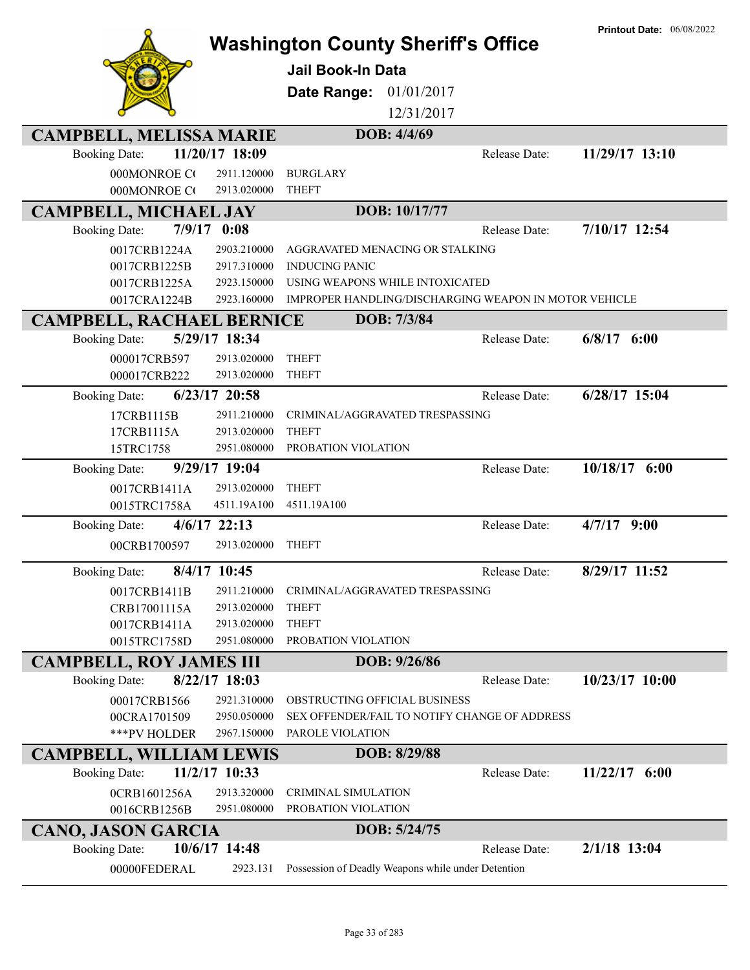|                                         | <b>Washington County Sheriff's Office</b>             |               | <b>Printout Date: 06/08/2022</b> |
|-----------------------------------------|-------------------------------------------------------|---------------|----------------------------------|
|                                         |                                                       |               |                                  |
|                                         | <b>Jail Book-In Data</b>                              |               |                                  |
|                                         | <b>Date Range: 01/01/2017</b>                         |               |                                  |
|                                         | 12/31/2017                                            |               |                                  |
| <b>CAMPBELL, MELISSA MARIE</b>          | DOB: 4/4/69                                           |               |                                  |
| 11/20/17 18:09<br><b>Booking Date:</b>  |                                                       | Release Date: | 11/29/17 13:10                   |
| 000MONROE CO<br>2911.120000             | <b>BURGLARY</b>                                       |               |                                  |
| 000MONROE CO<br>2913.020000             | <b>THEFT</b>                                          |               |                                  |
| <b>CAMPBELL, MICHAEL JAY</b>            | DOB: 10/17/77                                         |               |                                  |
| 7/9/17<br>0:08<br><b>Booking Date:</b>  |                                                       | Release Date: | 7/10/17 12:54                    |
| 2903.210000<br>0017CRB1224A             | AGGRAVATED MENACING OR STALKING                       |               |                                  |
| 2917.310000<br>0017CRB1225B             | <b>INDUCING PANIC</b>                                 |               |                                  |
| 2923.150000<br>0017CRB1225A             | USING WEAPONS WHILE INTOXICATED                       |               |                                  |
| 2923.160000<br>0017CRA1224B             | IMPROPER HANDLING/DISCHARGING WEAPON IN MOTOR VEHICLE |               |                                  |
| <b>CAMPBELL, RACHAEL BERNICE</b>        | DOB: 7/3/84                                           |               |                                  |
| 5/29/17 18:34<br><b>Booking Date:</b>   |                                                       | Release Date: | $6/8/17$ $6:00$                  |
| 000017CRB597<br>2913.020000             | <b>THEFT</b>                                          |               |                                  |
| 000017CRB222<br>2913.020000             | <b>THEFT</b>                                          |               |                                  |
| $6/23/17$ 20:58<br><b>Booking Date:</b> |                                                       | Release Date: | 6/28/17 15:04                    |
| 17CRB1115B<br>2911.210000               | CRIMINAL/AGGRAVATED TRESPASSING                       |               |                                  |
| 2913.020000<br>17CRB1115A               | <b>THEFT</b>                                          |               |                                  |
| 15TRC1758<br>2951.080000                | PROBATION VIOLATION                                   |               |                                  |
| 9/29/17 19:04<br><b>Booking Date:</b>   |                                                       | Release Date: | $10/18/17$ 6:00                  |
| 2913.020000<br>0017CRB1411A             | <b>THEFT</b>                                          |               |                                  |
| 4511.19A100<br>0015TRC1758A             | 4511.19A100                                           |               |                                  |
| $4/6/17$ 22:13<br><b>Booking Date:</b>  |                                                       | Release Date: | $4/7/17$ 9:00                    |
| 00CRB1700597<br>2913.020000             | <b>THEFT</b>                                          |               |                                  |
| 8/4/17 10:45<br><b>Booking Date:</b>    |                                                       | Release Date: | 8/29/17 11:52                    |
| 0017CRB1411B<br>2911.210000             | CRIMINAL/AGGRAVATED TRESPASSING                       |               |                                  |
| CRB17001115A<br>2913.020000             | <b>THEFT</b>                                          |               |                                  |
| 0017CRB1411A<br>2913.020000             | <b>THEFT</b>                                          |               |                                  |
| 0015TRC1758D<br>2951.080000             | PROBATION VIOLATION                                   |               |                                  |
| <b>CAMPBELL, ROY JAMES III</b>          | DOB: 9/26/86                                          |               |                                  |
| 8/22/17 18:03<br><b>Booking Date:</b>   |                                                       | Release Date: | 10/23/17 10:00                   |
| 2921.310000<br>00017CRB1566             | OBSTRUCTING OFFICIAL BUSINESS                         |               |                                  |
| 2950.050000<br>00CRA1701509             | SEX OFFENDER/FAIL TO NOTIFY CHANGE OF ADDRESS         |               |                                  |
| ***PV HOLDER<br>2967.150000             | PAROLE VIOLATION                                      |               |                                  |
| <b>CAMPBELL, WILLIAM LEWIS</b>          | DOB: 8/29/88                                          |               |                                  |
| 11/2/17 10:33<br><b>Booking Date:</b>   |                                                       | Release Date: | $11/22/17$ 6:00                  |
| 0CRB1601256A<br>2913.320000             | CRIMINAL SIMULATION                                   |               |                                  |
| 0016CRB1256B<br>2951.080000             | PROBATION VIOLATION                                   |               |                                  |
| <b>CANO, JASON GARCIA</b>               | DOB: 5/24/75                                          |               |                                  |
| 10/6/17 14:48<br><b>Booking Date:</b>   |                                                       | Release Date: | 2/1/18 13:04                     |
| 00000FEDERAL<br>2923.131                | Possession of Deadly Weapons while under Detention    |               |                                  |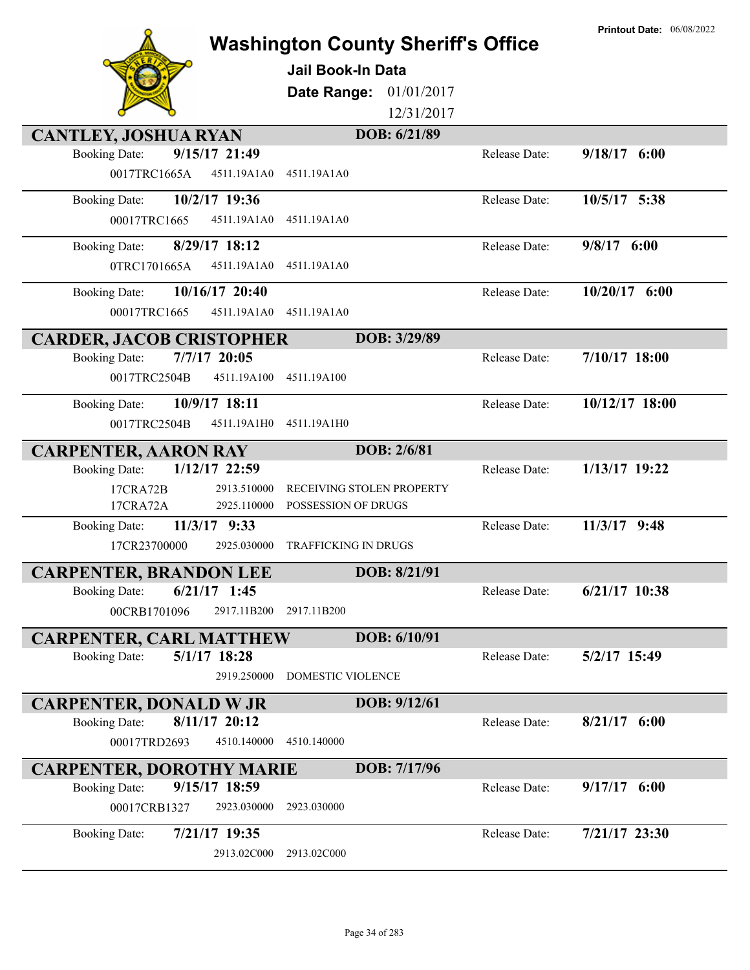|                                                                          | <b>Washington County Sheriff's Office</b><br><b>Jail Book-In Data</b><br>01/01/2017<br>Date Range:<br>12/31/2017 |               | <b>Printout Date: 06/08/2022</b> |
|--------------------------------------------------------------------------|------------------------------------------------------------------------------------------------------------------|---------------|----------------------------------|
| <b>CANTLEY, JOSHUA RYAN</b>                                              | DOB: 6/21/89                                                                                                     |               |                                  |
| 9/15/17 21:49<br><b>Booking Date:</b>                                    |                                                                                                                  | Release Date: | 9/18/17 6:00                     |
| 0017TRC1665A<br>4511.19A1A0                                              | 4511.19A1A0                                                                                                      |               |                                  |
| 10/2/17 19:36<br><b>Booking Date:</b>                                    |                                                                                                                  | Release Date: | 10/5/17 5:38                     |
| 4511.19A1A0<br>00017TRC1665                                              | 4511.19A1A0                                                                                                      |               |                                  |
| 8/29/17 18:12<br><b>Booking Date:</b>                                    |                                                                                                                  | Release Date: | $9/8/17$ 6:00                    |
| 4511.19A1A0<br>0TRC1701665A                                              | 4511.19A1A0                                                                                                      |               |                                  |
| 10/16/17 20:40<br><b>Booking Date:</b>                                   |                                                                                                                  | Release Date: | $10/20/17$ 6:00                  |
| 00017TRC1665<br>4511.19A1A0                                              | 4511.19A1A0                                                                                                      |               |                                  |
| <b>CARDER, JACOB CRISTOPHER</b>                                          | DOB: 3/29/89                                                                                                     |               |                                  |
| $7/7/17$ 20:05<br><b>Booking Date:</b>                                   |                                                                                                                  | Release Date: | $7/10/17$ 18:00                  |
| 0017TRC2504B<br>4511.19A100                                              | 4511.19A100                                                                                                      |               |                                  |
| 10/9/17 18:11<br><b>Booking Date:</b>                                    |                                                                                                                  | Release Date: | 10/12/17 18:00                   |
| 0017TRC2504B<br>4511.19A1H0                                              | 4511.19A1H0                                                                                                      |               |                                  |
| <b>CARPENTER, AARON RAY</b>                                              | DOB: 2/6/81                                                                                                      |               |                                  |
| 1/12/17 22:59<br><b>Booking Date:</b>                                    |                                                                                                                  | Release Date: | 1/13/17 19:22                    |
| 2913.510000<br>17CRA72B<br>2925.110000                                   | RECEIVING STOLEN PROPERTY<br>POSSESSION OF DRUGS                                                                 |               |                                  |
| 17CRA72A<br>11/3/17 9:33<br><b>Booking Date:</b>                         |                                                                                                                  | Release Date: | $11/3/17$ 9:48                   |
| 17CR23700000<br>2925.030000                                              | TRAFFICKING IN DRUGS                                                                                             |               |                                  |
|                                                                          | DOB: 8/21/91                                                                                                     |               |                                  |
| <b>CARPENTER, BRANDON LEE</b><br>$6/21/17$ 1:45<br><b>Booking Date:</b>  |                                                                                                                  | Release Date: | 6/21/17 10:38                    |
| 00CRB1701096<br>2917.11B200                                              | 2917.11B200                                                                                                      |               |                                  |
|                                                                          | DOB: 6/10/91                                                                                                     |               |                                  |
| <b>CARPENTER, CARL MATTHEW</b><br>$5/1/17$ 18:28<br><b>Booking Date:</b> |                                                                                                                  | Release Date: | 5/2/17 15:49                     |
| 2919.250000                                                              | DOMESTIC VIOLENCE                                                                                                |               |                                  |
| <b>CARPENTER, DONALD W JR</b>                                            | DOB: 9/12/61                                                                                                     |               |                                  |
| $8/11/17$ 20:12<br><b>Booking Date:</b>                                  |                                                                                                                  | Release Date: | $8/21/17$ 6:00                   |
| 00017TRD2693<br>4510.140000                                              | 4510.140000                                                                                                      |               |                                  |
| <b>CARPENTER, DOROTHY MARIE</b>                                          | DOB: 7/17/96                                                                                                     |               |                                  |
| 9/15/17 18:59<br><b>Booking Date:</b>                                    |                                                                                                                  | Release Date: | $9/17/17$ 6:00                   |
| 00017CRB1327<br>2923.030000                                              | 2923.030000                                                                                                      |               |                                  |
| 7/21/17 19:35<br><b>Booking Date:</b>                                    |                                                                                                                  | Release Date: | 7/21/17 23:30                    |
| 2913.02C000                                                              | 2913.02C000                                                                                                      |               |                                  |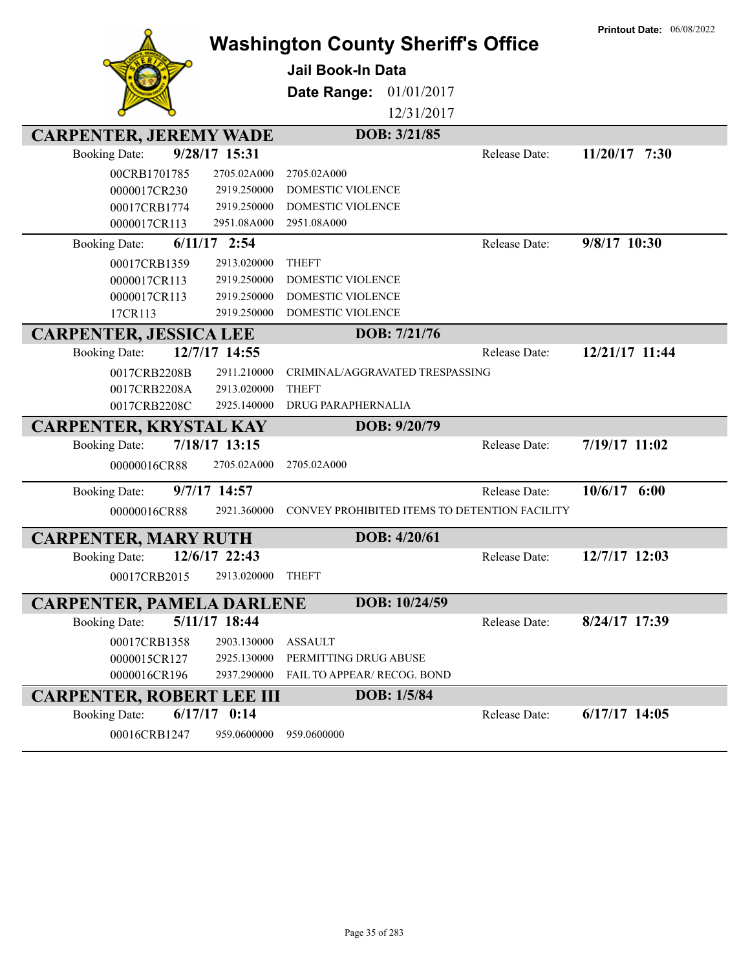|                                  |                            | <b>Washington County Sheriff's Office</b>            |               | <b>Printout Date: 06/08/2022</b> |
|----------------------------------|----------------------------|------------------------------------------------------|---------------|----------------------------------|
|                                  |                            | Jail Book-In Data                                    |               |                                  |
|                                  |                            | 01/01/2017<br>Date Range:                            |               |                                  |
|                                  |                            |                                                      |               |                                  |
|                                  |                            | 12/31/2017                                           |               |                                  |
| <b>CARPENTER, JEREMY WADE</b>    |                            | DOB: 3/21/85                                         |               |                                  |
| <b>Booking Date:</b>             | 9/28/17 15:31              |                                                      | Release Date: | $11/20/17$ 7:30                  |
| 00CRB1701785                     | 2705.02A000                | 2705.02A000                                          |               |                                  |
| 0000017CR230                     | 2919.250000<br>2919.250000 | <b>DOMESTIC VIOLENCE</b><br><b>DOMESTIC VIOLENCE</b> |               |                                  |
| 00017CRB1774<br>0000017CR113     | 2951.08A000                | 2951.08A000                                          |               |                                  |
| <b>Booking Date:</b>             | $6/11/17$ 2:54             |                                                      | Release Date: | 9/8/17 10:30                     |
| 00017CRB1359                     | 2913.020000                | <b>THEFT</b>                                         |               |                                  |
| 0000017CR113                     | 2919.250000                | <b>DOMESTIC VIOLENCE</b>                             |               |                                  |
| 0000017CR113                     | 2919.250000                | DOMESTIC VIOLENCE                                    |               |                                  |
| 17CR113                          | 2919.250000                | DOMESTIC VIOLENCE                                    |               |                                  |
| <b>CARPENTER, JESSICA LEE</b>    |                            | DOB: 7/21/76                                         |               |                                  |
| <b>Booking Date:</b>             | 12/7/17 14:55              |                                                      | Release Date: | 12/21/17 11:44                   |
| 0017CRB2208B                     | 2911.210000                | CRIMINAL/AGGRAVATED TRESPASSING                      |               |                                  |
| 0017CRB2208A                     | 2913.020000                | <b>THEFT</b>                                         |               |                                  |
| 0017CRB2208C                     | 2925.140000                | DRUG PARAPHERNALIA                                   |               |                                  |
| <b>CARPENTER, KRYSTAL KAY</b>    |                            | DOB: 9/20/79                                         |               |                                  |
| <b>Booking Date:</b>             | 7/18/17 13:15              |                                                      | Release Date: | 7/19/17 11:02                    |
| 00000016CR88                     | 2705.02A000                | 2705.02A000                                          |               |                                  |
| <b>Booking Date:</b>             | 9/7/17 14:57               |                                                      | Release Date: | $10/6/17$ 6:00                   |
| 00000016CR88                     | 2921.360000                | CONVEY PROHIBITED ITEMS TO DETENTION FACILITY        |               |                                  |
|                                  |                            |                                                      |               |                                  |
| <b>CARPENTER, MARY RUTH</b>      |                            | DOB: 4/20/61                                         |               |                                  |
| <b>Booking Date:</b>             | 12/6/17 22:43              |                                                      | Release Date: | 12/7/17 12:03                    |
| 00017CRB2015                     | 2913.020000                | <b>THEFT</b>                                         |               |                                  |
| <b>CARPENTER, PAMELA DARLENE</b> |                            | DOB: 10/24/59                                        |               |                                  |
| <b>Booking Date:</b>             | 5/11/17 18:44              |                                                      | Release Date: | 8/24/17 17:39                    |
| 00017CRB1358                     | 2903.130000                | <b>ASSAULT</b>                                       |               |                                  |
| 0000015CR127                     | 2925.130000                | PERMITTING DRUG ABUSE                                |               |                                  |
| 0000016CR196                     | 2937.290000                | FAIL TO APPEAR/ RECOG. BOND                          |               |                                  |
| <b>CARPENTER, ROBERT LEE III</b> |                            | DOB: 1/5/84                                          |               |                                  |
| <b>Booking Date:</b>             | $6/17/17$ 0:14             |                                                      | Release Date: | $6/17/17$ 14:05                  |
| 00016CRB1247                     | 959.0600000                | 959.0600000                                          |               |                                  |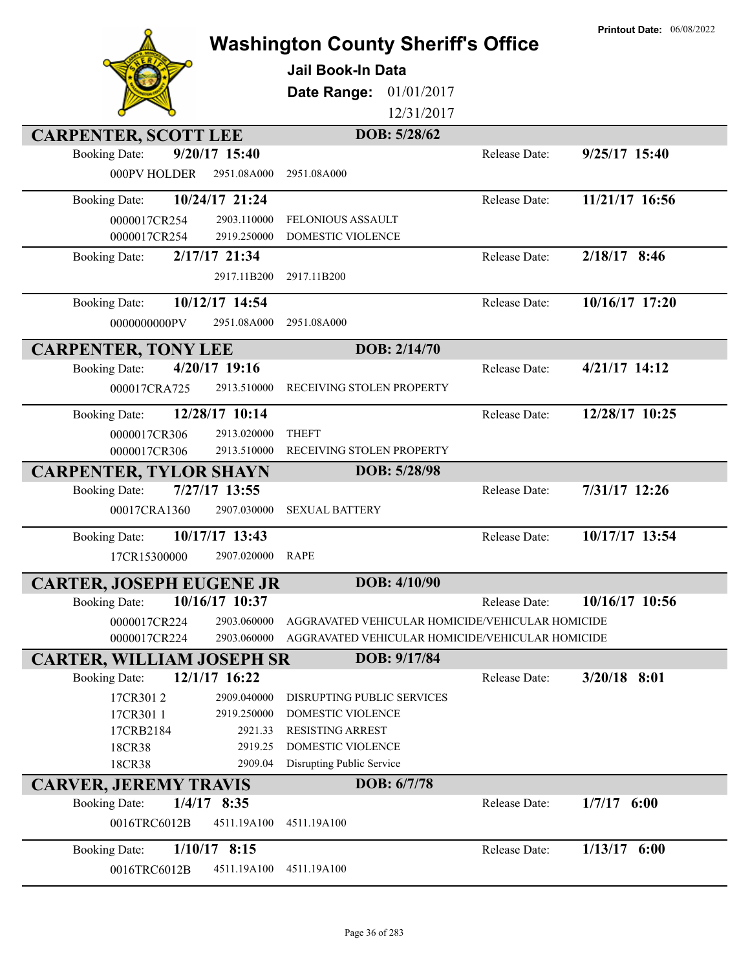|                                       |                        | <b>Washington County Sheriff's Office</b><br><b>Jail Book-In Data</b> |               | <b>Printout Date: 06/08/2022</b> |
|---------------------------------------|------------------------|-----------------------------------------------------------------------|---------------|----------------------------------|
|                                       |                        | Date Range:<br>01/01/2017<br>12/31/2017                               |               |                                  |
| <b>CARPENTER, SCOTT LEE</b>           |                        | DOB: 5/28/62                                                          |               |                                  |
| <b>Booking Date:</b>                  | 9/20/17 15:40          |                                                                       | Release Date: | $9/25/17$ 15:40                  |
| 000PV HOLDER                          | 2951.08A000            | 2951.08A000                                                           |               |                                  |
| <b>Booking Date:</b>                  | 10/24/17 21:24         |                                                                       | Release Date: | 11/21/17 16:56                   |
| 0000017CR254                          | 2903.110000            | FELONIOUS ASSAULT                                                     |               |                                  |
| 0000017CR254                          | 2919.250000            | DOMESTIC VIOLENCE                                                     |               |                                  |
| <b>Booking Date:</b>                  | 2/17/17 21:34          |                                                                       | Release Date: | 2/18/17 8:46                     |
|                                       | 2917.11B200            | 2917.11B200                                                           |               |                                  |
| <b>Booking Date:</b>                  | 10/12/17 14:54         |                                                                       | Release Date: | 10/16/17 17:20                   |
| 0000000000PV                          | 2951.08A000            | 2951.08A000                                                           |               |                                  |
| <b>CARPENTER, TONY LEE</b>            |                        | DOB: 2/14/70                                                          |               |                                  |
| <b>Booking Date:</b>                  | 4/20/17 19:16          |                                                                       | Release Date: | 4/21/17 14:12                    |
| 000017CRA725                          | 2913.510000            | RECEIVING STOLEN PROPERTY                                             |               |                                  |
| <b>Booking Date:</b>                  | 12/28/17 10:14         |                                                                       | Release Date: | 12/28/17 10:25                   |
| 0000017CR306                          | 2913.020000            | <b>THEFT</b>                                                          |               |                                  |
| 0000017CR306                          | 2913.510000            | RECEIVING STOLEN PROPERTY                                             |               |                                  |
| <b>CARPENTER, TYLOR SHAYN</b>         |                        | DOB: 5/28/98                                                          |               |                                  |
| <b>Booking Date:</b>                  | 7/27/17 13:55          |                                                                       | Release Date: | 7/31/17 12:26                    |
| 00017CRA1360                          | 2907.030000            | <b>SEXUAL BATTERY</b>                                                 |               |                                  |
| <b>Booking Date:</b>                  | 10/17/17 13:43         |                                                                       | Release Date: | 10/17/17 13:54                   |
| 17CR15300000                          | 2907.020000            | <b>RAPE</b>                                                           |               |                                  |
| <b>CARTER, JOSEPH EUGENE JR</b>       |                        | DOB: 4/10/90                                                          |               |                                  |
| <b>Booking Date:</b>                  | 10/16/17 10:37         |                                                                       | Release Date: | 10/16/17 10:56                   |
| 0000017CR224                          | 2903.060000            | AGGRAVATED VEHICULAR HOMICIDE/VEHICULAR HOMICIDE                      |               |                                  |
| 0000017CR224                          | 2903.060000            | AGGRAVATED VEHICULAR HOMICIDE/VEHICULAR HOMICIDE                      |               |                                  |
| <b>CARTER, WILLIAM JOSEPH SR</b>      |                        | DOB: 9/17/84                                                          |               |                                  |
| <b>Booking Date:</b>                  | 12/1/17 16:22          |                                                                       | Release Date: | $3/20/18$ 8:01                   |
| 17CR3012                              | 2909.040000            | DISRUPTING PUBLIC SERVICES                                            |               |                                  |
| 17CR301 1<br>17CRB2184                | 2919.250000<br>2921.33 | DOMESTIC VIOLENCE<br><b>RESISTING ARREST</b>                          |               |                                  |
| 18CR38                                | 2919.25                | DOMESTIC VIOLENCE                                                     |               |                                  |
| 18CR38                                | 2909.04                | Disrupting Public Service                                             |               |                                  |
| <b>CARVER, JEREMY TRAVIS</b>          |                        | DOB: 6/7/78                                                           |               |                                  |
| $1/4/17$ 8:35<br><b>Booking Date:</b> |                        |                                                                       | Release Date: | $1/7/17$ 6:00                    |
| 0016TRC6012B                          | 4511.19A100            | 4511.19A100                                                           |               |                                  |
| <b>Booking Date:</b>                  | $1/10/17$ 8:15         |                                                                       | Release Date: | $1/13/17$ 6:00                   |
| 0016TRC6012B                          | 4511.19A100            | 4511.19A100                                                           |               |                                  |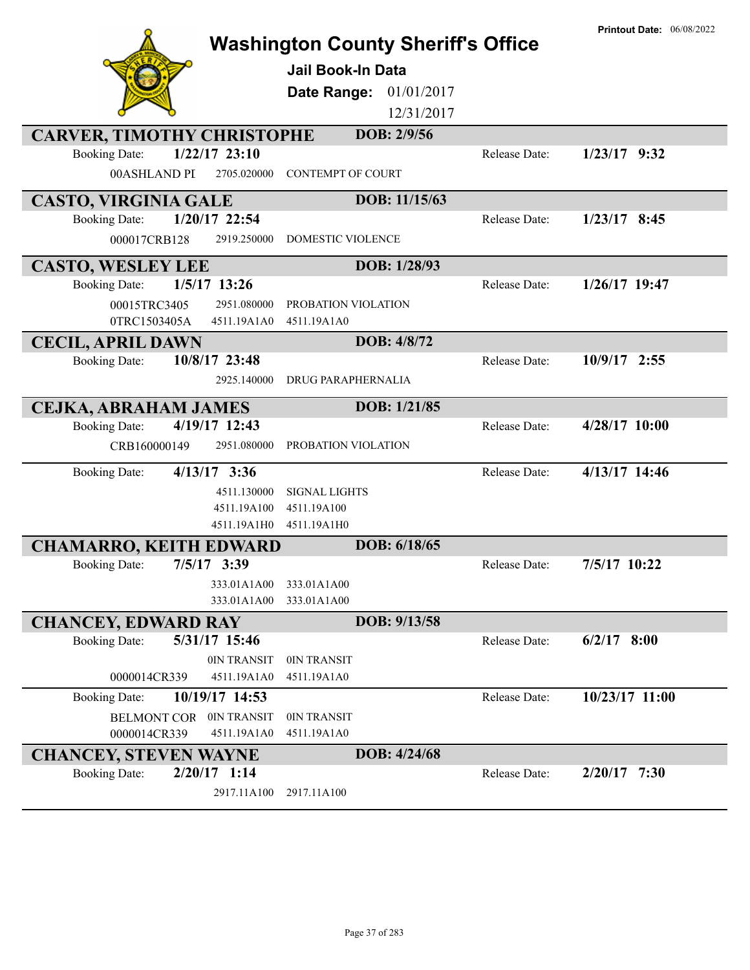|                                                                     | <b>Washington County Sheriff's Office</b> |               | <b>Printout Date: 06/08/2022</b> |
|---------------------------------------------------------------------|-------------------------------------------|---------------|----------------------------------|
|                                                                     |                                           |               |                                  |
|                                                                     | <b>Jail Book-In Data</b>                  |               |                                  |
|                                                                     | 01/01/2017<br>Date Range:                 |               |                                  |
|                                                                     | 12/31/2017                                |               |                                  |
| <b>CARVER, TIMOTHY CHRISTOPHE</b>                                   | DOB: 2/9/56                               |               |                                  |
| $1/22/17$ 23:10<br><b>Booking Date:</b>                             |                                           | Release Date: | $1/23/17$ 9:32                   |
| 00ASHLAND PI<br>2705.020000                                         | <b>CONTEMPT OF COURT</b>                  |               |                                  |
| <b>CASTO, VIRGINIA GALE</b>                                         | DOB: 11/15/63                             |               |                                  |
| 1/20/17 22:54<br><b>Booking Date:</b>                               |                                           | Release Date: | $1/23/17$ 8:45                   |
| 000017CRB128<br>2919.250000                                         | <b>DOMESTIC VIOLENCE</b>                  |               |                                  |
| <b>CASTO, WESLEY LEE</b>                                            | DOB: 1/28/93                              |               |                                  |
| $1/5/17$ 13:26<br><b>Booking Date:</b>                              |                                           | Release Date: | $1/26/17$ 19:47                  |
| 00015TRC3405<br>2951.080000                                         | PROBATION VIOLATION                       |               |                                  |
| 0TRC1503405A<br>4511.19A1A0                                         | 4511.19A1A0                               |               |                                  |
| <b>CECIL, APRIL DAWN</b>                                            | DOB: 4/8/72                               |               |                                  |
| 10/8/17 23:48<br><b>Booking Date:</b>                               |                                           | Release Date: | 10/9/17 2:55                     |
| 2925.140000                                                         | DRUG PARAPHERNALIA                        |               |                                  |
| <b>CEJKA, ABRAHAM JAMES</b>                                         | DOB: 1/21/85                              |               |                                  |
| 4/19/17 12:43<br><b>Booking Date:</b>                               |                                           | Release Date: | 4/28/17 10:00                    |
| CRB160000149<br>2951.080000                                         | PROBATION VIOLATION                       |               |                                  |
| $4/13/17$ 3:36<br><b>Booking Date:</b>                              |                                           | Release Date: | 4/13/17 14:46                    |
| 4511.130000                                                         | <b>SIGNAL LIGHTS</b>                      |               |                                  |
| 4511.19A100                                                         | 4511.19A100                               |               |                                  |
| 4511.19A1H0                                                         | 4511.19A1H0                               |               |                                  |
| <b>CHAMARRO, KEITH EDWARD</b>                                       | DOB: 6/18/65                              |               |                                  |
| 7/5/17 3:39<br><b>Booking Date:</b>                                 |                                           | Release Date: | 7/5/17 10:22                     |
| 333.01A1A00<br>333.01A1A00                                          | 333.01A1A00<br>333.01A1A00                |               |                                  |
|                                                                     | DOB: 9/13/58                              |               |                                  |
| <b>CHANCEY, EDWARD RAY</b><br>5/31/17 15:46<br><b>Booking Date:</b> |                                           | Release Date: | $6/2/17$ 8:00                    |
| 0IN TRANSIT                                                         | 0IN TRANSIT                               |               |                                  |
| 4511.19A1A0<br>0000014CR339                                         | 4511.19A1A0                               |               |                                  |
| 10/19/17 14:53<br><b>Booking Date:</b>                              |                                           | Release Date: | 10/23/17 11:00                   |
| <b>BELMONT COR</b><br>0IN TRANSIT                                   | 0IN TRANSIT                               |               |                                  |
| 0000014CR339<br>4511.19A1A0                                         | 4511.19A1A0                               |               |                                  |
| <b>CHANCEY, STEVEN WAYNE</b>                                        | DOB: 4/24/68                              |               |                                  |
| $2/20/17$ 1:14<br><b>Booking Date:</b>                              |                                           | Release Date: | $2/20/17$ 7:30                   |
| 2917.11A100                                                         | 2917.11A100                               |               |                                  |
|                                                                     |                                           |               |                                  |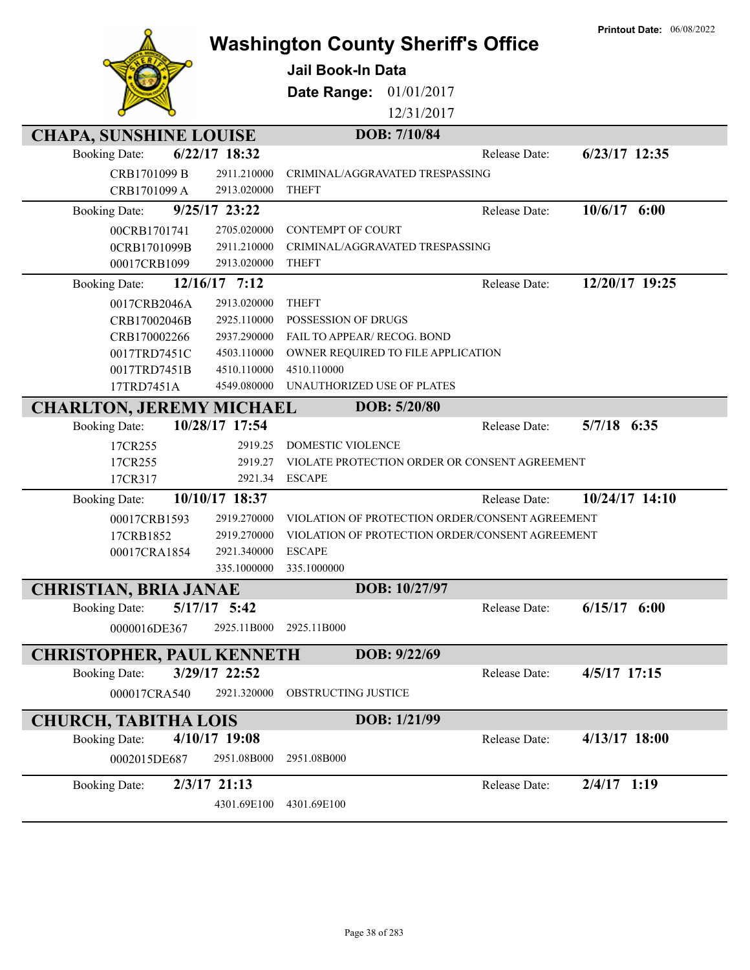|                                                          |                  | <b>Washington County Sheriff's Office</b><br><b>Jail Book-In Data</b><br>Date Range: 01/01/2017<br>12/31/2017 |               | <b>Printout Date: 06/08/2022</b> |
|----------------------------------------------------------|------------------|---------------------------------------------------------------------------------------------------------------|---------------|----------------------------------|
| <b>CHAPA, SUNSHINE LOUISE</b>                            |                  | DOB: 7/10/84                                                                                                  |               |                                  |
| <b>Booking Date:</b>                                     | 6/22/17 18:32    |                                                                                                               | Release Date: | $6/23/17$ 12:35                  |
| CRB1701099 B                                             | 2911.210000      | CRIMINAL/AGGRAVATED TRESPASSING                                                                               |               |                                  |
| CRB1701099 A                                             | 2913.020000      | <b>THEFT</b>                                                                                                  |               |                                  |
| <b>Booking Date:</b>                                     | $9/25/17$ 23:22  |                                                                                                               | Release Date: | $10/6/17$ 6:00                   |
| 00CRB1701741                                             | 2705.020000      | <b>CONTEMPT OF COURT</b>                                                                                      |               |                                  |
| 0CRB1701099B                                             | 2911.210000      | CRIMINAL/AGGRAVATED TRESPASSING                                                                               |               |                                  |
| 00017CRB1099                                             | 2913.020000      | <b>THEFT</b>                                                                                                  |               |                                  |
| <b>Booking Date:</b>                                     | 12/16/17 7:12    |                                                                                                               | Release Date: | 12/20/17 19:25                   |
| 0017CRB2046A                                             | 2913.020000      | <b>THEFT</b>                                                                                                  |               |                                  |
| CRB17002046B                                             | 2925.110000      | POSSESSION OF DRUGS                                                                                           |               |                                  |
| CRB170002266                                             | 2937.290000      | FAIL TO APPEAR/ RECOG. BOND                                                                                   |               |                                  |
| 0017TRD7451C                                             | 4503.110000      | OWNER REQUIRED TO FILE APPLICATION                                                                            |               |                                  |
| 0017TRD7451B                                             | 4510.110000      | 4510.110000                                                                                                   |               |                                  |
| 17TRD7451A                                               | 4549.080000      | UNAUTHORIZED USE OF PLATES                                                                                    |               |                                  |
| <b>CHARLTON, JEREMY MICHAEL</b>                          |                  | DOB: 5/20/80                                                                                                  |               |                                  |
| <b>Booking Date:</b>                                     | 10/28/17 17:54   |                                                                                                               | Release Date: | $5/7/18$ 6:35                    |
| 17CR255                                                  | 2919.25          | <b>DOMESTIC VIOLENCE</b>                                                                                      |               |                                  |
| 17CR255                                                  | 2919.27          | VIOLATE PROTECTION ORDER OR CONSENT AGREEMENT                                                                 |               |                                  |
| 17CR317                                                  | 2921.34          | <b>ESCAPE</b>                                                                                                 |               |                                  |
| <b>Booking Date:</b>                                     | 10/10/17 18:37   |                                                                                                               | Release Date: | 10/24/17 14:10                   |
| 00017CRB1593                                             | 2919.270000      | VIOLATION OF PROTECTION ORDER/CONSENT AGREEMENT                                                               |               |                                  |
| 17CRB1852                                                | 2919.270000      | VIOLATION OF PROTECTION ORDER/CONSENT AGREEMENT                                                               |               |                                  |
| 00017CRA1854                                             | 2921.340000      | <b>ESCAPE</b>                                                                                                 |               |                                  |
|                                                          | 335.1000000      | 335.1000000                                                                                                   |               |                                  |
| <b>CHRISTIAN, BRIA JANAE</b>                             |                  | DOB: 10/27/97                                                                                                 |               |                                  |
| <b>Booking Date:</b>                                     | $5/17/17$ $5:42$ |                                                                                                               | Release Date: | $6/15/17$ $6:00$                 |
| 0000016DE367                                             | 2925.11B000      | 2925.11B000                                                                                                   |               |                                  |
|                                                          |                  | DOB: 9/22/69                                                                                                  |               |                                  |
| <b>CHRISTOPHER, PAUL KENNETH</b><br><b>Booking Date:</b> | 3/29/17 22:52    |                                                                                                               | Release Date: | 4/5/17 17:15                     |
|                                                          |                  |                                                                                                               |               |                                  |
| 000017CRA540                                             | 2921.320000      | OBSTRUCTING JUSTICE                                                                                           |               |                                  |
| <b>CHURCH, TABITHA LOIS</b>                              |                  | DOB: 1/21/99                                                                                                  |               |                                  |
| <b>Booking Date:</b>                                     | 4/10/17 19:08    |                                                                                                               | Release Date: | 4/13/17 18:00                    |
| 0002015DE687                                             | 2951.08B000      | 2951.08B000                                                                                                   |               |                                  |
| <b>Booking Date:</b>                                     | $2/3/17$ 21:13   |                                                                                                               | Release Date: | $2/4/17$ 1:19                    |
|                                                          | 4301.69E100      | 4301.69E100                                                                                                   |               |                                  |
|                                                          |                  |                                                                                                               |               |                                  |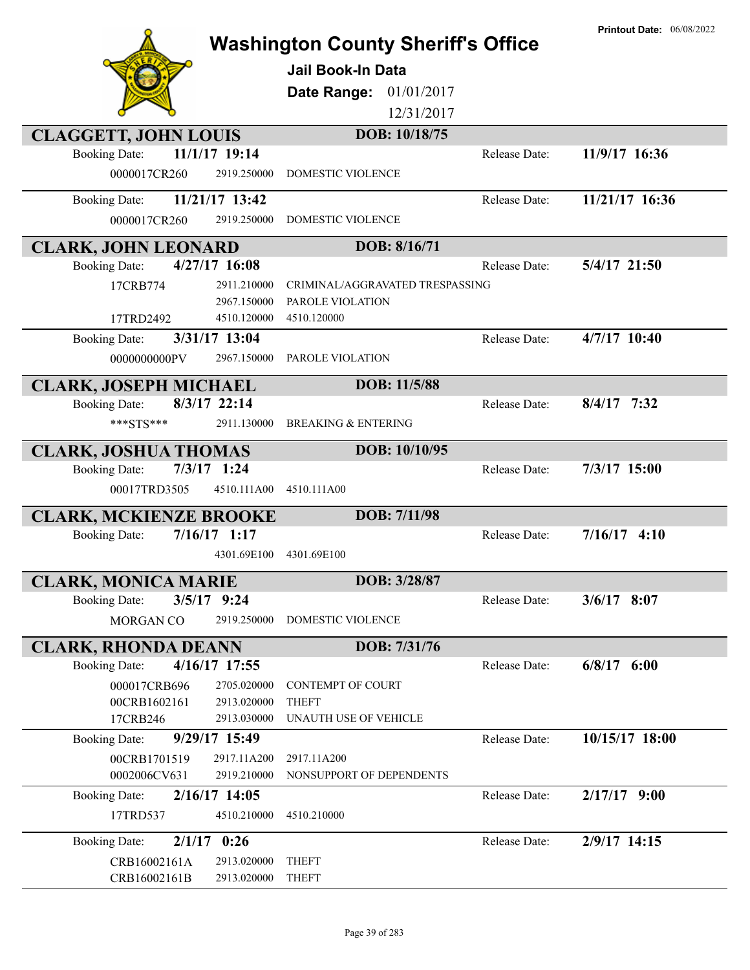|                                                                     | <b>Washington County Sheriff's Office</b>                           |               | <b>Printout Date: 06/08/2022</b> |
|---------------------------------------------------------------------|---------------------------------------------------------------------|---------------|----------------------------------|
|                                                                     | <b>Jail Book-In Data</b>                                            |               |                                  |
|                                                                     |                                                                     |               |                                  |
|                                                                     | Date Range:                                                         | 01/01/2017    |                                  |
|                                                                     |                                                                     | 12/31/2017    |                                  |
| <b>CLAGGETT, JOHN LOUIS</b>                                         | DOB: 10/18/75                                                       |               |                                  |
| 11/1/17 19:14<br><b>Booking Date:</b>                               |                                                                     | Release Date: | 11/9/17 16:36                    |
| 0000017CR260                                                        | DOMESTIC VIOLENCE<br>2919.250000                                    |               |                                  |
| 11/21/17 13:42<br><b>Booking Date:</b>                              |                                                                     | Release Date: | 11/21/17 16:36                   |
| 0000017CR260                                                        | DOMESTIC VIOLENCE<br>2919.250000                                    |               |                                  |
| <b>CLARK, JOHN LEONARD</b>                                          | DOB: 8/16/71                                                        |               |                                  |
| 4/27/17 16:08<br><b>Booking Date:</b>                               |                                                                     | Release Date: | 5/4/17 21:50                     |
| 17CRB774                                                            | 2911.210000<br>CRIMINAL/AGGRAVATED TRESPASSING                      |               |                                  |
|                                                                     | PAROLE VIOLATION<br>2967.150000                                     |               |                                  |
| 17TRD2492                                                           | 4510.120000<br>4510.120000                                          |               |                                  |
| 3/31/17 13:04<br><b>Booking Date:</b>                               |                                                                     | Release Date: | 4/7/17 10:40                     |
| 0000000000PV                                                        | 2967.150000<br>PAROLE VIOLATION                                     |               |                                  |
| <b>CLARK, JOSEPH MICHAEL</b>                                        | DOB: 11/5/88                                                        |               |                                  |
| 8/3/17 22:14<br><b>Booking Date:</b>                                |                                                                     | Release Date: | $8/4/17$ 7:32                    |
| ***STS***                                                           | 2911.130000<br><b>BREAKING &amp; ENTERING</b>                       |               |                                  |
| <b>CLARK, JOSHUA THOMAS</b>                                         | DOB: 10/10/95                                                       |               |                                  |
| $7/3/17$ 1:24<br><b>Booking Date:</b>                               |                                                                     | Release Date: | 7/3/17 15:00                     |
| 00017TRD3505                                                        | 4510.111A00<br>4510.111A00                                          |               |                                  |
| <b>CLARK, MCKIENZE BROOKE</b>                                       | DOB: 7/11/98                                                        |               |                                  |
| $7/16/17$ 1:17<br><b>Booking Date:</b>                              |                                                                     | Release Date: | $7/16/17$ 4:10                   |
|                                                                     | 4301.69E100<br>4301.69E100                                          |               |                                  |
|                                                                     | DOB: 3/28/87                                                        |               |                                  |
| <b>CLARK, MONICA MARIE</b><br>$3/5/17$ 9:24<br><b>Booking Date:</b> |                                                                     | Release Date: | $3/6/17$ 8:07                    |
| MORGAN CO                                                           | 2919.250000<br><b>DOMESTIC VIOLENCE</b>                             |               |                                  |
|                                                                     |                                                                     |               |                                  |
| <b>CLARK, RHONDA DEANN</b>                                          | DOB: 7/31/76                                                        |               |                                  |
| 4/16/17 17:55<br><b>Booking Date:</b>                               |                                                                     | Release Date: | $6/8/17$ $6:00$                  |
| 000017CRB696                                                        | 2705.020000<br><b>CONTEMPT OF COURT</b>                             |               |                                  |
| 00CRB1602161<br>17CRB246                                            | <b>THEFT</b><br>2913.020000<br>2913.030000<br>UNAUTH USE OF VEHICLE |               |                                  |
| 9/29/17 15:49<br><b>Booking Date:</b>                               |                                                                     | Release Date: | 10/15/17 18:00                   |
| 00CRB1701519                                                        | 2917.11A200<br>2917.11A200                                          |               |                                  |
| 0002006CV631                                                        | 2919.210000<br>NONSUPPORT OF DEPENDENTS                             |               |                                  |
| 2/16/17 14:05<br><b>Booking Date:</b>                               |                                                                     | Release Date: | $2/17/17$ 9:00                   |
| 17TRD537                                                            | 4510.210000<br>4510.210000                                          |               |                                  |
| 0:26<br>2/1/17<br><b>Booking Date:</b>                              |                                                                     | Release Date: | 2/9/17 14:15                     |
| CRB16002161A                                                        | 2913.020000<br><b>THEFT</b>                                         |               |                                  |
| CRB16002161B                                                        | 2913.020000<br><b>THEFT</b>                                         |               |                                  |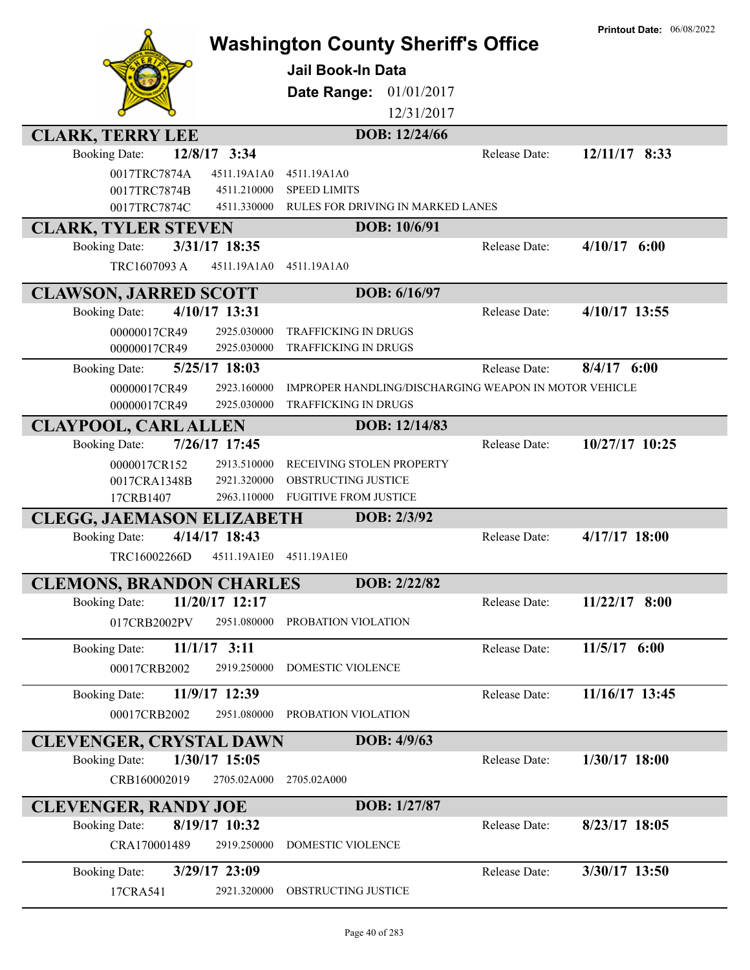|                                               | <b>Jail Book-In Data</b><br>Date Range:                                           | <b>Washington County Sheriff's Office</b><br>01/01/2017<br>12/31/2017 | <b>Printout Date: 06/08/2022</b> |
|-----------------------------------------------|-----------------------------------------------------------------------------------|-----------------------------------------------------------------------|----------------------------------|
| <b>CLARK, TERRY LEE</b>                       |                                                                                   | DOB: 12/24/66                                                         |                                  |
| 12/8/17 3:34<br><b>Booking Date:</b>          |                                                                                   | Release Date:                                                         | 12/11/17 8:33                    |
| 0017TRC7874A<br>4511.19A1A0                   | 4511.19A1A0                                                                       |                                                                       |                                  |
| 0017TRC7874B<br>0017TRC7874C                  | 4511.210000<br><b>SPEED LIMITS</b><br>4511.330000                                 | RULES FOR DRIVING IN MARKED LANES                                     |                                  |
| <b>CLARK, TYLER STEVEN</b>                    |                                                                                   | DOB: 10/6/91                                                          |                                  |
| 3/31/17 18:35<br><b>Booking Date:</b>         |                                                                                   | Release Date:                                                         | 4/10/17<br>6:00                  |
| TRC1607093 A<br>4511.19A1A0                   | 4511.19A1A0                                                                       |                                                                       |                                  |
|                                               |                                                                                   |                                                                       |                                  |
| <b>CLAWSON, JARRED SCOTT</b><br>4/10/17 13:31 |                                                                                   | DOB: 6/16/97<br>Release Date:                                         | 4/10/17 13:55                    |
| <b>Booking Date:</b>                          |                                                                                   |                                                                       |                                  |
| 00000017CR49<br>00000017CR49                  | 2925.030000<br><b>TRAFFICKING IN DRUGS</b><br>2925.030000<br>TRAFFICKING IN DRUGS |                                                                       |                                  |
| 5/25/17 18:03<br><b>Booking Date:</b>         |                                                                                   | Release Date:                                                         | $8/4/17$ 6:00                    |
| 00000017CR49                                  | 2923.160000                                                                       | IMPROPER HANDLING/DISCHARGING WEAPON IN MOTOR VEHICLE                 |                                  |
| 00000017CR49                                  | 2925.030000<br>TRAFFICKING IN DRUGS                                               |                                                                       |                                  |
| <b>CLAYPOOL, CARL ALLEN</b>                   |                                                                                   | DOB: 12/14/83                                                         |                                  |
| 7/26/17 17:45<br><b>Booking Date:</b>         |                                                                                   | Release Date:                                                         | 10/27/17 10:25                   |
| 0000017CR152                                  | RECEIVING STOLEN PROPERTY<br>2913.510000                                          |                                                                       |                                  |
| 0017CRA1348B                                  | OBSTRUCTING JUSTICE<br>2921.320000                                                |                                                                       |                                  |
| 17CRB1407                                     | <b>FUGITIVE FROM JUSTICE</b><br>2963.110000                                       |                                                                       |                                  |
| <b>CLEGG, JAEMASON ELIZABETH</b>              |                                                                                   | DOB: 2/3/92                                                           |                                  |
| 4/14/17 18:43<br><b>Booking Date:</b>         |                                                                                   | Release Date:                                                         | $4/17/17$ 18:00                  |
| TRC16002266D                                  | 4511.19A1E0<br>4511.19A1E0                                                        |                                                                       |                                  |
| <b>CLEMONS, BRANDON CHARLES</b>               |                                                                                   | DOB: 2/22/82                                                          |                                  |
| 11/20/17 12:17<br><b>Booking Date:</b>        |                                                                                   | Release Date:                                                         | $11/22/17$ 8:00                  |
| 017CRB2002PV                                  | 2951.080000<br>PROBATION VIOLATION                                                |                                                                       |                                  |
| $11/1/17$ 3:11<br><b>Booking Date:</b>        |                                                                                   | Release Date:                                                         | $11/5/17$ 6:00                   |
| 00017CRB2002                                  | DOMESTIC VIOLENCE<br>2919.250000                                                  |                                                                       |                                  |
| 11/9/17 12:39<br><b>Booking Date:</b>         |                                                                                   | Release Date:                                                         | 11/16/17 13:45                   |
| 00017CRB2002                                  | 2951.080000<br>PROBATION VIOLATION                                                |                                                                       |                                  |
|                                               |                                                                                   |                                                                       |                                  |
| <b>CLEVENGER, CRYSTAL DAWN</b>                |                                                                                   | DOB: 4/9/63                                                           |                                  |
| 1/30/17 15:05<br><b>Booking Date:</b>         |                                                                                   | Release Date:                                                         | $1/30/17$ 18:00                  |
| CRB160002019                                  | 2705.02A000<br>2705.02A000                                                        |                                                                       |                                  |
| <b>CLEVENGER, RANDY JOE</b>                   |                                                                                   | DOB: 1/27/87                                                          |                                  |
| 8/19/17 10:32<br><b>Booking Date:</b>         |                                                                                   | Release Date:                                                         | $8/23/17$ 18:05                  |
| CRA170001489                                  | DOMESTIC VIOLENCE<br>2919.250000                                                  |                                                                       |                                  |
| 3/29/17 23:09<br><b>Booking Date:</b>         |                                                                                   | Release Date:                                                         | 3/30/17 13:50                    |
| 17CRA541                                      | OBSTRUCTING JUSTICE<br>2921.320000                                                |                                                                       |                                  |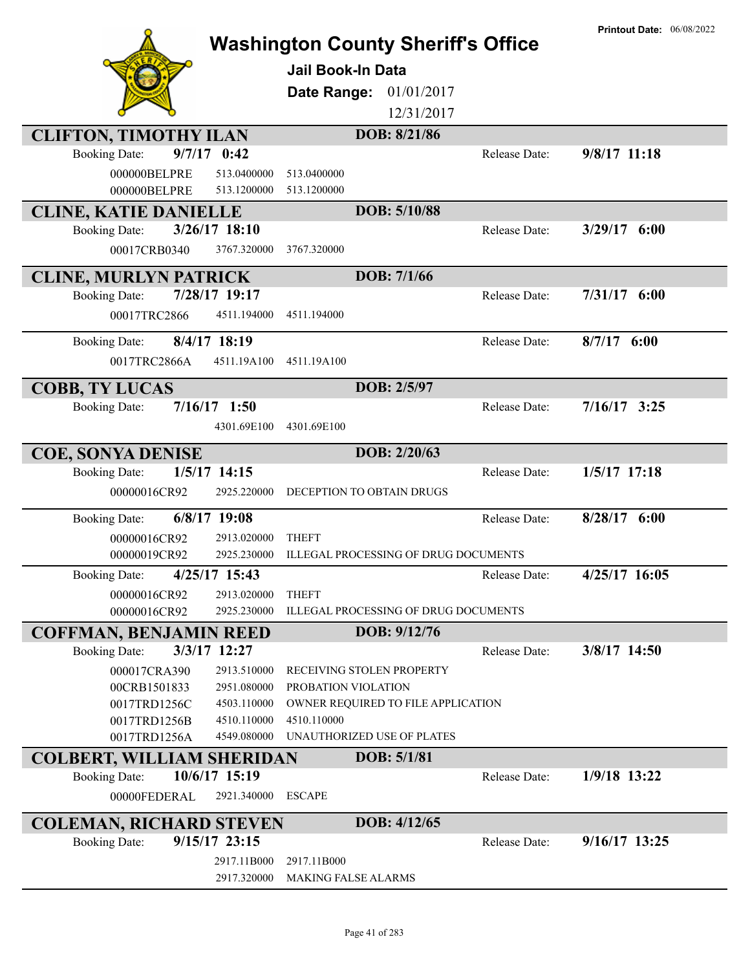|                                  |                               | <b>Washington County Sheriff's Office</b><br><b>Jail Book-In Data</b><br>Date Range: | 01/01/2017<br>12/31/2017 |               | <b>Printout Date: 06/08/2022</b> |
|----------------------------------|-------------------------------|--------------------------------------------------------------------------------------|--------------------------|---------------|----------------------------------|
| <b>CLIFTON, TIMOTHY ILAN</b>     |                               |                                                                                      | DOB: 8/21/86             |               |                                  |
| <b>Booking Date:</b>             | $9/7/17$ 0:42                 |                                                                                      |                          | Release Date: | 9/8/17 11:18                     |
| 000000BELPRE<br>000000BELPRE     | 513.0400000<br>513.1200000    | 513.0400000<br>513.1200000                                                           |                          |               |                                  |
| <b>CLINE, KATIE DANIELLE</b>     |                               |                                                                                      | DOB: 5/10/88             |               |                                  |
| <b>Booking Date:</b>             | $3/26/17$ 18:10               |                                                                                      |                          | Release Date: | $3/29/17$ 6:00                   |
| 00017CRB0340                     | 3767.320000                   | 3767.320000                                                                          |                          |               |                                  |
| <b>CLINE, MURLYN PATRICK</b>     |                               |                                                                                      | DOB: 7/1/66              |               |                                  |
| <b>Booking Date:</b>             | 7/28/17 19:17                 |                                                                                      |                          | Release Date: | $7/31/17$ 6:00                   |
| 00017TRC2866                     | 4511.194000                   | 4511.194000                                                                          |                          |               |                                  |
| <b>Booking Date:</b>             | 8/4/17 18:19                  |                                                                                      |                          | Release Date: | $8/7/17$ 6:00                    |
| 0017TRC2866A                     | 4511.19A100                   | 4511.19A100                                                                          |                          |               |                                  |
| <b>COBB, TY LUCAS</b>            |                               |                                                                                      | DOB: 2/5/97              |               |                                  |
| <b>Booking Date:</b>             | $7/16/17$ 1:50<br>4301.69E100 | 4301.69E100                                                                          |                          | Release Date: | $7/16/17$ 3:25                   |
| <b>COE, SONYA DENISE</b>         |                               |                                                                                      | DOB: 2/20/63             |               |                                  |
| <b>Booking Date:</b>             | $1/5/17$ 14:15                |                                                                                      |                          | Release Date: | $1/5/17$ 17:18                   |
| 00000016CR92                     | 2925.220000                   | DECEPTION TO OBTAIN DRUGS                                                            |                          |               |                                  |
| <b>Booking Date:</b>             | 6/8/17 19:08                  |                                                                                      |                          | Release Date: | $8/28/17$ 6:00                   |
| 00000016CR92                     | 2913.020000                   | <b>THEFT</b>                                                                         |                          |               |                                  |
| 00000019CR92                     | 2925.230000                   | <b>ILLEGAL PROCESSING OF DRUG DOCUMENTS</b>                                          |                          |               |                                  |
| <b>Booking Date:</b>             | 4/25/17 15:43                 |                                                                                      |                          | Release Date: | 4/25/17 16:05                    |
| 00000016CR92                     | 2913.020000                   | <b>THEFT</b>                                                                         |                          |               |                                  |
| 00000016CR92                     | 2925.230000                   | ILLEGAL PROCESSING OF DRUG DOCUMENTS                                                 |                          |               |                                  |
| <b>COFFMAN, BENJAMIN REED</b>    |                               |                                                                                      | DOB: 9/12/76             |               |                                  |
| <b>Booking Date:</b>             | 3/3/17 12:27                  |                                                                                      |                          | Release Date: | 3/8/17 14:50                     |
| 000017CRA390                     | 2913.510000                   | RECEIVING STOLEN PROPERTY                                                            |                          |               |                                  |
| 00CRB1501833<br>0017TRD1256C     | 2951.080000<br>4503.110000    | PROBATION VIOLATION<br>OWNER REQUIRED TO FILE APPLICATION                            |                          |               |                                  |
| 0017TRD1256B                     | 4510.110000                   | 4510.110000                                                                          |                          |               |                                  |
| 0017TRD1256A                     | 4549.080000                   | UNAUTHORIZED USE OF PLATES                                                           |                          |               |                                  |
| <b>COLBERT, WILLIAM SHERIDAN</b> |                               |                                                                                      | DOB: 5/1/81              |               |                                  |
| <b>Booking Date:</b>             | 10/6/17 15:19                 |                                                                                      |                          | Release Date: | 1/9/18 13:22                     |
| 00000FEDERAL                     | 2921.340000                   | <b>ESCAPE</b>                                                                        |                          |               |                                  |
| <b>COLEMAN, RICHARD STEVEN</b>   |                               |                                                                                      | DOB: 4/12/65             |               |                                  |
| <b>Booking Date:</b>             | $9/15/17$ 23:15               |                                                                                      |                          | Release Date: | $9/16/17$ 13:25                  |
|                                  | 2917.11B000                   | 2917.11B000                                                                          |                          |               |                                  |
|                                  | 2917.320000                   | MAKING FALSE ALARMS                                                                  |                          |               |                                  |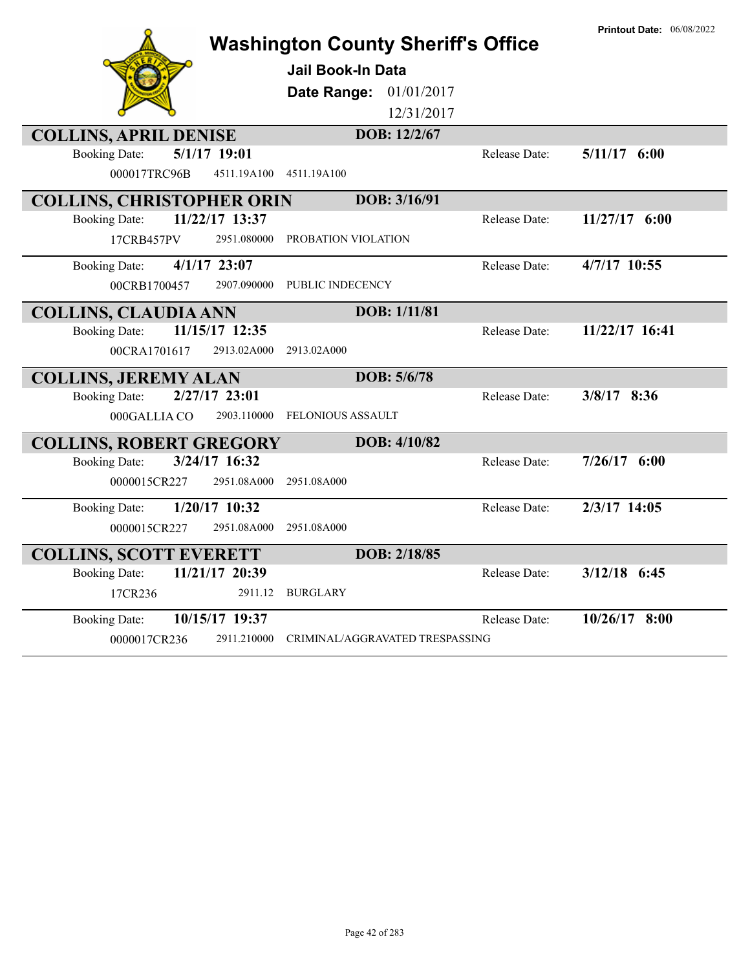|                                        | <b>Washington County Sheriff's Office</b> |                      | <b>Printout Date: 06/08/2022</b> |
|----------------------------------------|-------------------------------------------|----------------------|----------------------------------|
|                                        | <b>Jail Book-In Data</b>                  |                      |                                  |
|                                        | Date Range:<br>01/01/2017                 |                      |                                  |
|                                        | 12/31/2017                                |                      |                                  |
| <b>COLLINS, APRIL DENISE</b>           | DOB: 12/2/67                              |                      |                                  |
| 5/1/17 19:01<br><b>Booking Date:</b>   |                                           | Release Date:        | $5/11/17$ 6:00                   |
| 000017TRC96B<br>4511.19A100            | 4511.19A100                               |                      |                                  |
| <b>COLLINS, CHRISTOPHER ORIN</b>       | DOB: 3/16/91                              |                      |                                  |
| 11/22/17 13:37<br><b>Booking Date:</b> |                                           | <b>Release Date:</b> | $11/27/17$ 6:00                  |
| 2951.080000<br>17CRB457PV              | PROBATION VIOLATION                       |                      |                                  |
| <b>Booking Date:</b><br>$4/1/17$ 23:07 |                                           | Release Date:        | 4/7/17 10:55                     |
| 00CRB1700457<br>2907.090000            | PUBLIC INDECENCY                          |                      |                                  |
| <b>COLLINS, CLAUDIA ANN</b>            | <b>DOB:</b> 1/11/81                       |                      |                                  |
| 11/15/17 12:35<br><b>Booking Date:</b> |                                           | Release Date:        | 11/22/17 16:41                   |
| 00CRA1701617<br>2913.02A000            | 2913.02A000                               |                      |                                  |
| <b>COLLINS, JEREMY ALAN</b>            | DOB: 5/6/78                               |                      |                                  |
| 2/27/17 23:01<br><b>Booking Date:</b>  |                                           | Release Date:        | 3/8/17 8:36                      |
| 000GALLIA CO<br>2903.110000            | <b>FELONIOUS ASSAULT</b>                  |                      |                                  |
| <b>COLLINS, ROBERT GREGORY</b>         | DOB: 4/10/82                              |                      |                                  |
| 3/24/17 16:32<br><b>Booking Date:</b>  |                                           | Release Date:        | $7/26/17$ 6:00                   |
| 0000015CR227<br>2951.08A000            | 2951.08A000                               |                      |                                  |
| 1/20/17 10:32<br><b>Booking Date:</b>  |                                           | Release Date:        | 2/3/17 14:05                     |
| 0000015CR227<br>2951.08A000            | 2951.08A000                               |                      |                                  |
| <b>COLLINS, SCOTT EVERETT</b>          | DOB: 2/18/85                              |                      |                                  |
| 11/21/17 20:39<br><b>Booking Date:</b> |                                           | Release Date:        | $3/12/18$ 6:45                   |
| 17CR236<br>2911.12                     | <b>BURGLARY</b>                           |                      |                                  |
| 10/15/17 19:37<br><b>Booking Date:</b> |                                           | Release Date:        | $10/26/17$ 8:00                  |
| 0000017CR236<br>2911.210000            | CRIMINAL/AGGRAVATED TRESPASSING           |                      |                                  |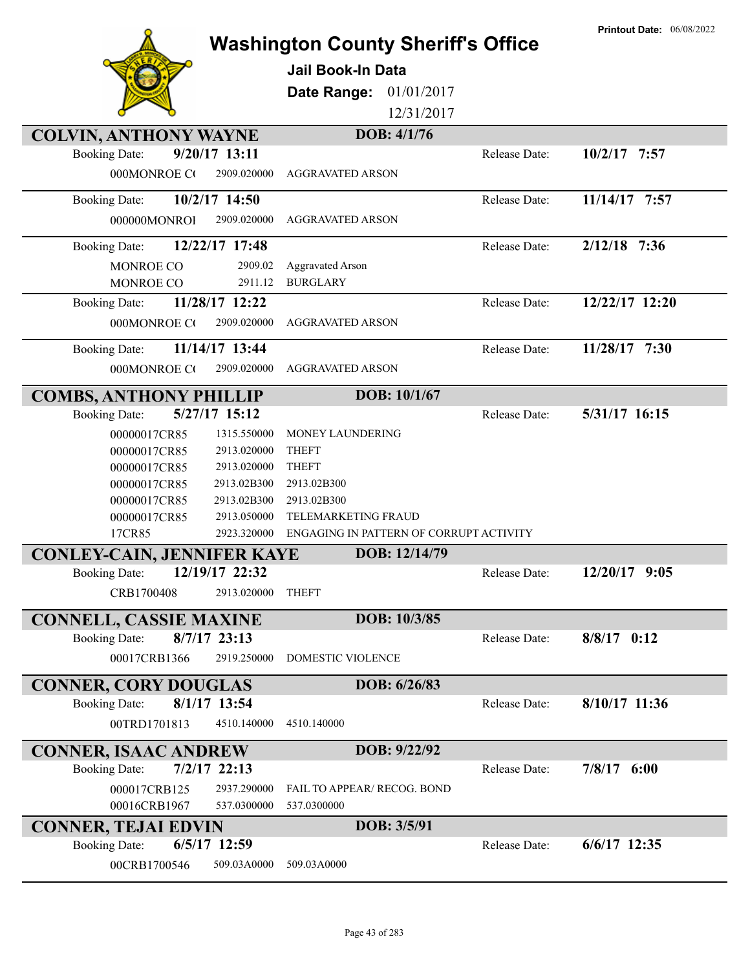|                                                            |                                            |               | <b>Printout Date: 06/08/2022</b> |
|------------------------------------------------------------|--------------------------------------------|---------------|----------------------------------|
|                                                            | <b>Washington County Sheriff's Office</b>  |               |                                  |
|                                                            | <b>Jail Book-In Data</b>                   |               |                                  |
|                                                            | 01/01/2017<br>Date Range:                  |               |                                  |
|                                                            | 12/31/2017                                 |               |                                  |
| <b>COLVIN, ANTHONY WAYNE</b>                               | DOB: 4/1/76                                |               |                                  |
| 9/20/17 13:11<br><b>Booking Date:</b>                      |                                            | Release Date: | $10/2/17$ 7:57                   |
| 000MONROE CO<br>2909.020000                                | <b>AGGRAVATED ARSON</b>                    |               |                                  |
| 10/2/17 14:50<br><b>Booking Date:</b>                      |                                            | Release Date: | 11/14/17 7:57                    |
| 2909.020000<br>000000MONROI                                | <b>AGGRAVATED ARSON</b>                    |               |                                  |
|                                                            |                                            |               |                                  |
| 12/22/17 17:48<br><b>Booking Date:</b>                     |                                            | Release Date: | $2/12/18$ 7:36                   |
| MONROE CO<br>2909.02<br>MONROE CO<br>2911.12               | <b>Aggravated Arson</b><br><b>BURGLARY</b> |               |                                  |
| 11/28/17 12:22<br><b>Booking Date:</b>                     |                                            | Release Date: | 12/22/17 12:20                   |
| 000MONROE CO<br>2909.020000                                | <b>AGGRAVATED ARSON</b>                    |               |                                  |
|                                                            |                                            |               |                                  |
| 11/14/17 13:44<br><b>Booking Date:</b>                     |                                            | Release Date: | 11/28/17 7:30                    |
| 000MONROE CO<br>2909.020000                                | <b>AGGRAVATED ARSON</b>                    |               |                                  |
| <b>COMBS, ANTHONY PHILLIP</b>                              | DOB: 10/1/67                               |               |                                  |
| 5/27/17 15:12<br><b>Booking Date:</b>                      |                                            | Release Date: | 5/31/17 16:15                    |
| 00000017CR85<br>1315.550000                                | MONEY LAUNDERING                           |               |                                  |
| 00000017CR85<br>2913.020000                                | <b>THEFT</b>                               |               |                                  |
| 00000017CR85<br>2913.020000                                | <b>THEFT</b>                               |               |                                  |
| 00000017CR85<br>2913.02B300                                | 2913.02B300                                |               |                                  |
| 00000017CR85<br>2913.02B300<br>00000017CR85<br>2913.050000 | 2913.02B300<br>TELEMARKETING FRAUD         |               |                                  |
| 17CR85<br>2923.320000                                      | ENGAGING IN PATTERN OF CORRUPT ACTIVITY    |               |                                  |
| <b>CONLEY-CAIN, JENNIFER KAYE</b>                          | DOB: 12/14/79                              |               |                                  |
| 12/19/17 22:32<br><b>Booking Date:</b>                     |                                            | Release Date: | 12/20/17 9:05                    |
| 2913.020000<br>CRB1700408                                  | <b>THEFT</b>                               |               |                                  |
|                                                            |                                            |               |                                  |
| <b>CONNELL, CASSIE MAXINE</b>                              | DOB: 10/3/85                               |               |                                  |
| $8/7/17$ 23:13<br><b>Booking Date:</b>                     |                                            | Release Date: | $8/8/17$ 0:12                    |
| 00017CRB1366<br>2919.250000                                | DOMESTIC VIOLENCE                          |               |                                  |
| <b>CONNER, CORY DOUGLAS</b>                                | DOB: 6/26/83                               |               |                                  |
| 8/1/17 13:54<br><b>Booking Date:</b>                       |                                            | Release Date: | $8/10/17$ 11:36                  |
| 00TRD1701813<br>4510.140000                                | 4510.140000                                |               |                                  |
| <b>CONNER, ISAAC ANDREW</b>                                | DOB: 9/22/92                               |               |                                  |
| $7/2/17$ 22:13<br><b>Booking Date:</b>                     |                                            | Release Date: | 7/8/17 6:00                      |
| 000017CRB125<br>2937.290000                                | FAIL TO APPEAR/ RECOG. BOND                |               |                                  |
| 537.0300000<br>00016CRB1967                                | 537.0300000                                |               |                                  |
| <b>CONNER, TEJAI EDVIN</b>                                 | DOB: 3/5/91                                |               |                                  |
| $6/5/17$ 12:59<br><b>Booking Date:</b>                     |                                            | Release Date: | $6/6/17$ 12:35                   |
| 00CRB1700546<br>509.03A0000                                | 509.03A0000                                |               |                                  |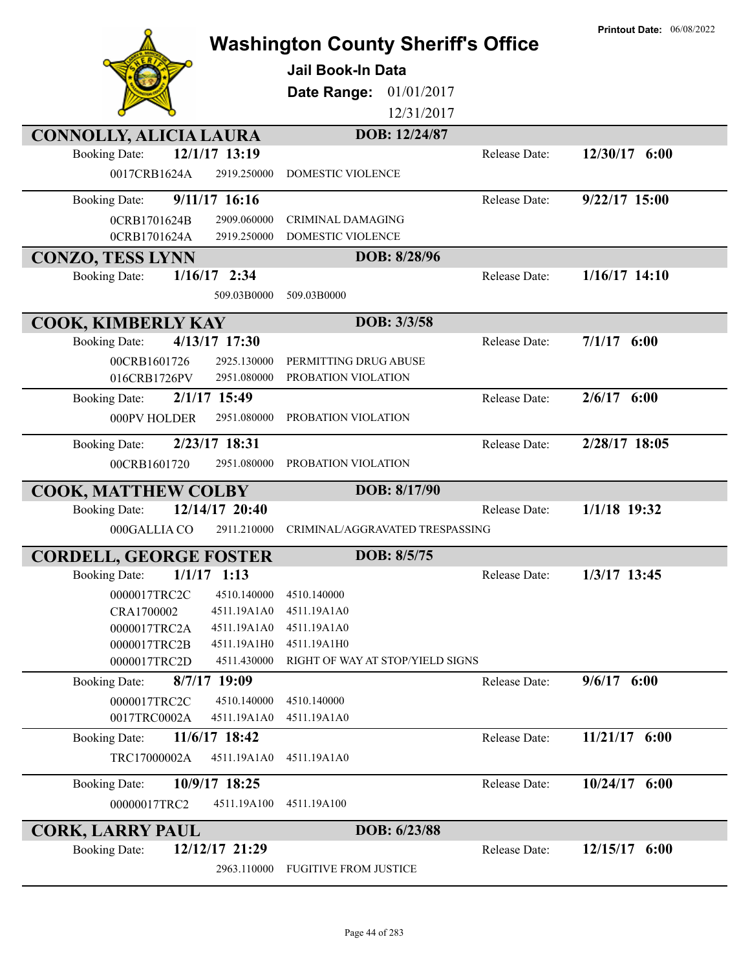|                                                            | <b>Washington County Sheriff's Office</b><br><b>Jail Book-In Data</b><br>01/01/2017<br>Date Range:<br>12/31/2017 | <b>Printout Date: 06/08/2022</b> |
|------------------------------------------------------------|------------------------------------------------------------------------------------------------------------------|----------------------------------|
| <b>CONNOLLY, ALICIA LAURA</b>                              | DOB: 12/24/87                                                                                                    |                                  |
| 12/1/17 13:19<br><b>Booking Date:</b>                      | Release Date:                                                                                                    | 12/30/17 6:00                    |
| 0017CRB1624A<br>2919.250000                                | <b>DOMESTIC VIOLENCE</b>                                                                                         |                                  |
| 9/11/17 16:16<br><b>Booking Date:</b>                      | Release Date:                                                                                                    | 9/22/17 15:00                    |
|                                                            |                                                                                                                  |                                  |
| 0CRB1701624B<br>2909.060000<br>2919.250000<br>0CRB1701624A | <b>CRIMINAL DAMAGING</b><br>DOMESTIC VIOLENCE                                                                    |                                  |
|                                                            |                                                                                                                  |                                  |
| <b>CONZO, TESS LYNN</b>                                    | DOB: 8/28/96                                                                                                     |                                  |
| $1/16/17$ 2:34<br><b>Booking Date:</b>                     | Release Date:                                                                                                    | $1/16/17$ 14:10                  |
| 509.03B0000                                                | 509.03B0000                                                                                                      |                                  |
| <b>COOK, KIMBERLY KAY</b>                                  | DOB: 3/3/58                                                                                                      |                                  |
| 4/13/17 17:30<br><b>Booking Date:</b>                      | Release Date:                                                                                                    | $7/1/17$ 6:00                    |
| 00CRB1601726<br>2925.130000                                | PERMITTING DRUG ABUSE                                                                                            |                                  |
| 2951.080000<br>016CRB1726PV                                | PROBATION VIOLATION                                                                                              |                                  |
| 2/1/17 15:49<br><b>Booking Date:</b>                       | Release Date:                                                                                                    | $2/6/17$ 6:00                    |
| 000PV HOLDER<br>2951.080000                                | PROBATION VIOLATION                                                                                              |                                  |
|                                                            |                                                                                                                  |                                  |
| 2/23/17 18:31<br><b>Booking Date:</b>                      | Release Date:                                                                                                    | 2/28/17 18:05                    |
| 00CRB1601720<br>2951.080000                                | PROBATION VIOLATION                                                                                              |                                  |
| COOK, MATTHEW COLBY                                        | DOB: 8/17/90                                                                                                     |                                  |
| 12/14/17 20:40<br><b>Booking Date:</b>                     | Release Date:                                                                                                    | 1/1/18 19:32                     |
| 2911.210000<br>000GALLIA CO                                | CRIMINAL/AGGRAVATED TRESPASSING                                                                                  |                                  |
|                                                            |                                                                                                                  |                                  |
| <b>CORDELL, GEORGE FOSTER</b>                              | DOB: 8/5/75                                                                                                      |                                  |
| Booking Date: 1/1/17 1:13                                  | Release Date:                                                                                                    | 1/3/17 13:45                     |
| 0000017TRC2C<br>4510.140000                                | 4510.140000                                                                                                      |                                  |
| CRA1700002<br>4511.19A1A0                                  | 4511.19A1A0                                                                                                      |                                  |
| 0000017TRC2A<br>4511.19A1A0                                | 4511.19A1A0                                                                                                      |                                  |
| 0000017TRC2B<br>4511.19A1H0<br>4511.430000                 | 4511.19A1H0<br>RIGHT OF WAY AT STOP/YIELD SIGNS                                                                  |                                  |
| 0000017TRC2D                                               |                                                                                                                  |                                  |
| 8/7/17 19:09<br><b>Booking Date:</b>                       | Release Date:                                                                                                    | $9/6/17$ 6:00                    |
| 0000017TRC2C<br>4510.140000                                | 4510.140000                                                                                                      |                                  |
| 0017TRC0002A<br>4511.19A1A0                                | 4511.19A1A0                                                                                                      |                                  |
| 11/6/17 18:42<br><b>Booking Date:</b>                      | Release Date:                                                                                                    | $11/21/17$ 6:00                  |
| 4511.19A1A0<br>TRC17000002A                                | 4511.19A1A0                                                                                                      |                                  |
| 10/9/17 18:25<br><b>Booking Date:</b>                      | Release Date:                                                                                                    | $10/24/17$ 6:00                  |
| 00000017TRC2<br>4511.19A100                                | 4511.19A100                                                                                                      |                                  |
| <b>CORK, LARRY PAUL</b>                                    | DOB: 6/23/88                                                                                                     |                                  |
| 12/12/17 21:29<br><b>Booking Date:</b>                     | Release Date:                                                                                                    | $12/15/17$ 6:00                  |
| 2963.110000                                                | <b>FUGITIVE FROM JUSTICE</b>                                                                                     |                                  |
|                                                            |                                                                                                                  |                                  |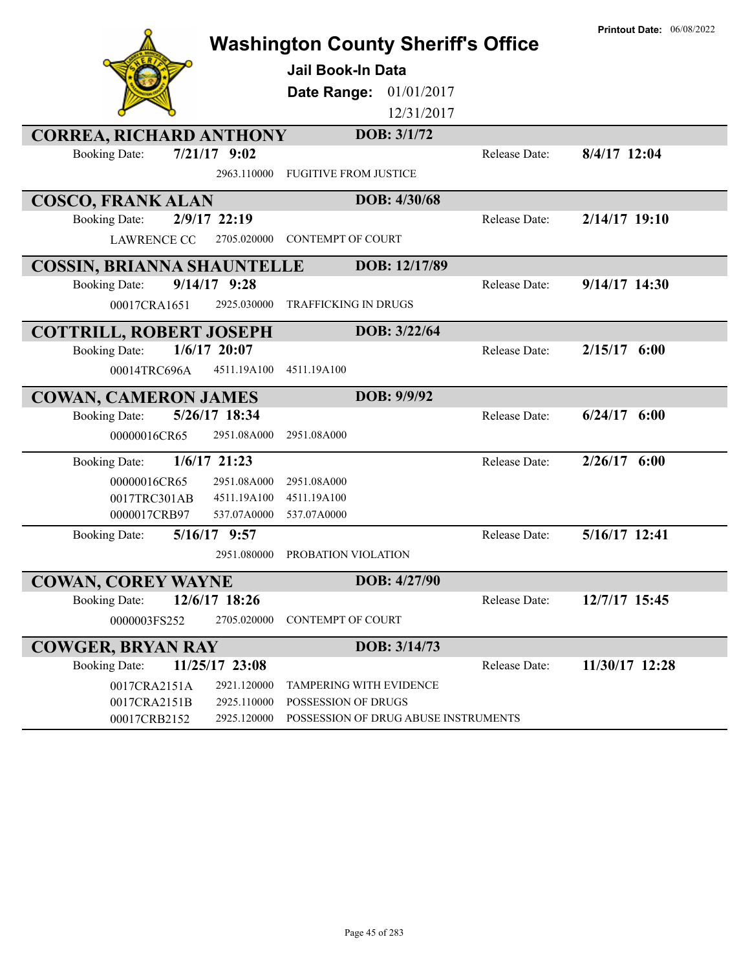|                                          | <b>Washington County Sheriff's Office</b> |                      | <b>Printout Date: 06/08/2022</b> |
|------------------------------------------|-------------------------------------------|----------------------|----------------------------------|
|                                          | Jail Book-In Data                         |                      |                                  |
|                                          | Date Range:<br>01/01/2017                 |                      |                                  |
|                                          | 12/31/2017                                |                      |                                  |
| <b>CORREA, RICHARD ANTHONY</b>           | DOB: 3/1/72                               |                      |                                  |
| $7/21/17$ 9:02<br><b>Booking Date:</b>   |                                           | Release Date:        | 8/4/17 12:04                     |
| 2963.110000                              | <b>FUGITIVE FROM JUSTICE</b>              |                      |                                  |
| <b>COSCO, FRANK ALAN</b>                 | DOB: 4/30/68                              |                      |                                  |
| 2/9/17 22:19<br><b>Booking Date:</b>     |                                           | Release Date:        | $2/14/17$ 19:10                  |
| 2705.020000<br><b>LAWRENCE CO</b>        | <b>CONTEMPT OF COURT</b>                  |                      |                                  |
| <b>COSSIN, BRIANNA SHAUNTELLE</b>        | DOB: 12/17/89                             |                      |                                  |
| $9/14/17$ $9:28$<br><b>Booking Date:</b> |                                           | <b>Release Date:</b> | 9/14/17 14:30                    |
| 00017CRA1651<br>2925.030000              | <b>TRAFFICKING IN DRUGS</b>               |                      |                                  |
| <b>COTTRILL, ROBERT JOSEPH</b>           | DOB: 3/22/64                              |                      |                                  |
| $1/6/17$ 20:07<br><b>Booking Date:</b>   |                                           | Release Date:        | $2/15/17$ 6:00                   |
| 4511.19A100<br>00014TRC696A              | 4511.19A100                               |                      |                                  |
| <b>COWAN, CAMERON JAMES</b>              | DOB: 9/9/92                               |                      |                                  |
| 5/26/17 18:34<br><b>Booking Date:</b>    |                                           | Release Date:        | $6/24/17$ $6:00$                 |
| 00000016CR65<br>2951.08A000              | 2951.08A000                               |                      |                                  |
| $1/6/17$ 21:23<br><b>Booking Date:</b>   |                                           | Release Date:        | $2/26/17$ 6:00                   |
| 00000016CR65<br>2951.08A000              | 2951.08A000                               |                      |                                  |
| 0017TRC301AB<br>4511.19A100              | 4511.19A100                               |                      |                                  |
| 0000017CRB97<br>537.07A0000              | 537.07A0000                               |                      |                                  |
| 5/16/17 9:57<br><b>Booking Date:</b>     |                                           | Release Date:        | 5/16/17 12:41                    |
| 2951.080000                              | PROBATION VIOLATION                       |                      |                                  |
| <b>COWAN, COREY WAYNE</b>                | DOB: 4/27/90                              |                      |                                  |
| 12/6/17 18:26<br><b>Booking Date:</b>    |                                           | Release Date:        | 12/7/17 15:45                    |
| 0000003FS252<br>2705.020000              | <b>CONTEMPT OF COURT</b>                  |                      |                                  |
| <b>COWGER, BRYAN RAY</b>                 | DOB: 3/14/73                              |                      |                                  |
| 11/25/17 23:08<br><b>Booking Date:</b>   |                                           | Release Date:        | 11/30/17 12:28                   |
| 2921.120000<br>0017CRA2151A              | <b>TAMPERING WITH EVIDENCE</b>            |                      |                                  |
| 2925.110000<br>0017CRA2151B              | POSSESSION OF DRUGS                       |                      |                                  |
| 2925.120000<br>00017CRB2152              | POSSESSION OF DRUG ABUSE INSTRUMENTS      |                      |                                  |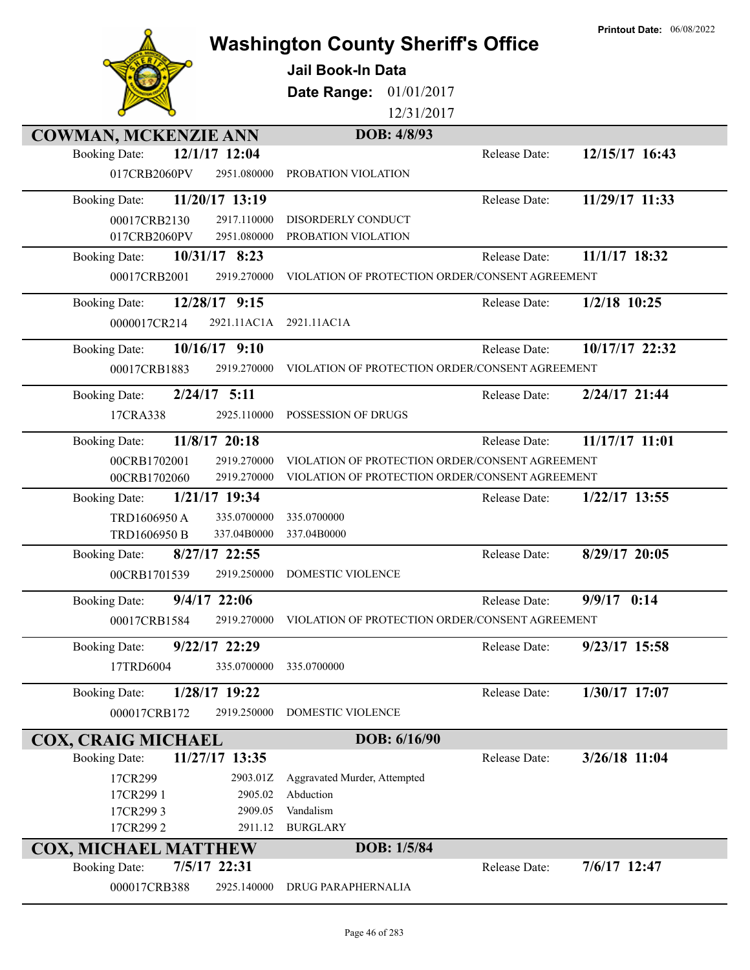|                                                            | <b>Washington County Sheriff's Office</b>       |               | <b>Printout Date: 06/08/2022</b> |
|------------------------------------------------------------|-------------------------------------------------|---------------|----------------------------------|
|                                                            | <b>Jail Book-In Data</b>                        |               |                                  |
|                                                            | Date Range:<br>01/01/2017                       |               |                                  |
|                                                            | 12/31/2017                                      |               |                                  |
| <b>COWMAN, MCKENZIE ANN</b>                                | DOB: 4/8/93                                     |               |                                  |
| 12/1/17 12:04<br><b>Booking Date:</b>                      |                                                 | Release Date: | 12/15/17 16:43                   |
| 017CRB2060PV<br>2951.080000                                | PROBATION VIOLATION                             |               |                                  |
| 11/20/17 13:19<br><b>Booking Date:</b>                     |                                                 | Release Date: | 11/29/17 11:33                   |
| 00017CRB2130<br>2917.110000<br>2951.080000<br>017CRB2060PV | DISORDERLY CONDUCT<br>PROBATION VIOLATION       |               |                                  |
| 10/31/17 8:23<br><b>Booking Date:</b>                      |                                                 | Release Date: | 11/1/17 18:32                    |
| 00017CRB2001<br>2919.270000                                | VIOLATION OF PROTECTION ORDER/CONSENT AGREEMENT |               |                                  |
| 12/28/17 9:15<br><b>Booking Date:</b>                      |                                                 | Release Date: | $1/2/18$ 10:25                   |
| 2921.11AC1A<br>0000017CR214                                | 2921.11AC1A                                     |               |                                  |
| $10/16/17$ 9:10<br><b>Booking Date:</b>                    |                                                 | Release Date: | 10/17/17 22:32                   |
| 00017CRB1883<br>2919.270000                                | VIOLATION OF PROTECTION ORDER/CONSENT AGREEMENT |               |                                  |
| $2/24/17$ 5:11<br><b>Booking Date:</b>                     |                                                 | Release Date: | 2/24/17 21:44                    |
| 17CRA338<br>2925.110000                                    | POSSESSION OF DRUGS                             |               |                                  |
| 11/8/17 20:18<br><b>Booking Date:</b>                      |                                                 | Release Date: | 11/17/17 11:01                   |
| 2919.270000<br>00CRB1702001                                | VIOLATION OF PROTECTION ORDER/CONSENT AGREEMENT |               |                                  |
| 2919.270000<br>00CRB1702060                                | VIOLATION OF PROTECTION ORDER/CONSENT AGREEMENT |               |                                  |
| 1/21/17 19:34<br><b>Booking Date:</b>                      |                                                 | Release Date: | $1/22/17$ 13:55                  |
| TRD1606950 A<br>335.0700000<br>TRD1606950 B<br>337.04B0000 | 335.0700000<br>337.04B0000                      |               |                                  |
| 8/27/17 22:55<br><b>Booking Date:</b>                      |                                                 | Release Date: | 8/29/17 20:05                    |
| 00CRB1701539                                               | 2919.250000 DOMESTIC VIOLENCE                   |               |                                  |
| $9/4/17$ 22:06<br><b>Booking Date:</b>                     |                                                 | Release Date: | $9/9/17$ 0:14                    |
| 00017CRB1584<br>2919.270000                                | VIOLATION OF PROTECTION ORDER/CONSENT AGREEMENT |               |                                  |
| $9/22/17$ 22:29<br><b>Booking Date:</b>                    |                                                 | Release Date: | 9/23/17 15:58                    |
| 17TRD6004<br>335.0700000                                   | 335.0700000                                     |               |                                  |
| 1/28/17 19:22<br><b>Booking Date:</b>                      |                                                 | Release Date: | 1/30/17 17:07                    |
| 000017CRB172<br>2919.250000                                | DOMESTIC VIOLENCE                               |               |                                  |
| <b>COX, CRAIG MICHAEL</b>                                  | DOB: 6/16/90                                    |               |                                  |
| 11/27/17 13:35<br><b>Booking Date:</b>                     |                                                 | Release Date: | 3/26/18 11:04                    |
| 17CR299<br>2903.01Z                                        | Aggravated Murder, Attempted                    |               |                                  |
| 17CR299 1<br>2905.02<br>17CR2993<br>2909.05                | Abduction<br>Vandalism                          |               |                                  |
| 17CR2992<br>2911.12                                        | <b>BURGLARY</b>                                 |               |                                  |
| <b>COX, MICHAEL MATTHEW</b>                                | DOB: 1/5/84                                     |               |                                  |
| <b>Booking Date:</b><br>7/5/17 22:31                       |                                                 | Release Date: | 7/6/17 12:47                     |
| 000017CRB388<br>2925.140000                                | DRUG PARAPHERNALIA                              |               |                                  |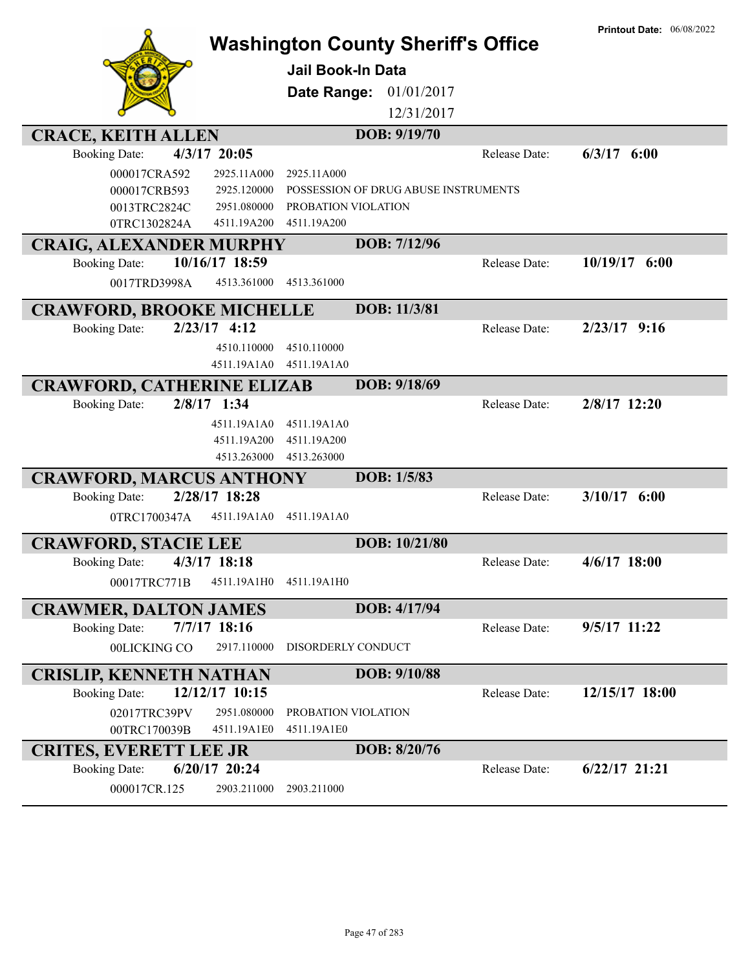| <b>Washington County Sheriff's Office</b><br>Jail Book-In Data<br>Date Range:<br>01/01/2017<br>12/31/2017 |  |
|-----------------------------------------------------------------------------------------------------------|--|
|                                                                                                           |  |
|                                                                                                           |  |
|                                                                                                           |  |
|                                                                                                           |  |
| DOB: 9/19/70<br><b>CRACE, KEITH ALLEN</b>                                                                 |  |
| 4/3/17 20:05<br>$6/3/17$ $6:00$<br>Release Date:<br><b>Booking Date:</b>                                  |  |
| 000017CRA592<br>2925.11A000<br>2925.11A000                                                                |  |
| POSSESSION OF DRUG ABUSE INSTRUMENTS<br>000017CRB593<br>2925.120000                                       |  |
| 0013TRC2824C<br>2951.080000<br>PROBATION VIOLATION                                                        |  |
| 0TRC1302824A<br>4511.19A200<br>4511.19A200                                                                |  |
| DOB: 7/12/96<br><b>CRAIG, ALEXANDER MURPHY</b>                                                            |  |
| 10/16/17 18:59<br>10/19/17<br>6:00<br><b>Booking Date:</b><br>Release Date:                               |  |
| 4513.361000<br>0017TRD3998A<br>4513.361000                                                                |  |
| DOB: 11/3/81<br><b>CRAWFORD, BROOKE MICHELLE</b>                                                          |  |
| $2/23/17$ 4:12<br><b>Booking Date:</b><br>$2/23/17$ 9:16<br>Release Date:                                 |  |
| 4510.110000<br>4510.110000                                                                                |  |
| 4511.19A1A0<br>4511.19A1A0                                                                                |  |
| DOB: 9/18/69<br><b>CRAWFORD, CATHERINE ELIZAB</b>                                                         |  |
| 2/8/17 1:34<br>2/8/17 12:20<br>Release Date:<br><b>Booking Date:</b>                                      |  |
| 4511.19A1A0<br>4511.19A1A0                                                                                |  |
| 4511.19A200<br>4511.19A200                                                                                |  |
| 4513.263000<br>4513.263000                                                                                |  |
| DOB: 1/5/83<br><b>CRAWFORD, MARCUS ANTHONY</b>                                                            |  |
| 2/28/17 18:28<br>$3/10/17$ 6:00<br><b>Booking Date:</b><br>Release Date:                                  |  |
| 4511.19A1A0<br>4511.19A1A0<br>0TRC1700347A                                                                |  |
|                                                                                                           |  |
| DOB: 10/21/80<br><b>CRAWFORD, STACIE LEE</b>                                                              |  |
| 4/3/17 18:18<br>$4/6/17$ 18:00<br><b>Booking Date:</b><br>Release Date:                                   |  |
| 00017TRC771B<br>4511.19A1H0<br>4511.19A1H0                                                                |  |
| DOB: 4/17/94<br><b>CRAWMER, DALTON JAMES</b>                                                              |  |
| $7/7/17$ 18:16<br>9/5/17 11:22<br><b>Booking Date:</b><br>Release Date:                                   |  |
| 00LICKING CO<br>2917.110000<br>DISORDERLY CONDUCT                                                         |  |
| DOB: 9/10/88<br><b>CRISLIP, KENNETH NATHAN</b>                                                            |  |
| 12/12/17 10:15<br>12/15/17 18:00<br><b>Booking Date:</b><br>Release Date:                                 |  |
| 02017TRC39PV<br>2951.080000<br>PROBATION VIOLATION                                                        |  |
| 00TRC170039B<br>4511.19A1E0<br>4511.19A1E0                                                                |  |
| DOB: 8/20/76<br><b>CRITES, EVERETT LEE JR</b>                                                             |  |
| 6/20/17 20:24<br>$6/22/17$ 21:21<br><b>Booking Date:</b><br>Release Date:                                 |  |
| 000017CR.125<br>2903.211000<br>2903.211000                                                                |  |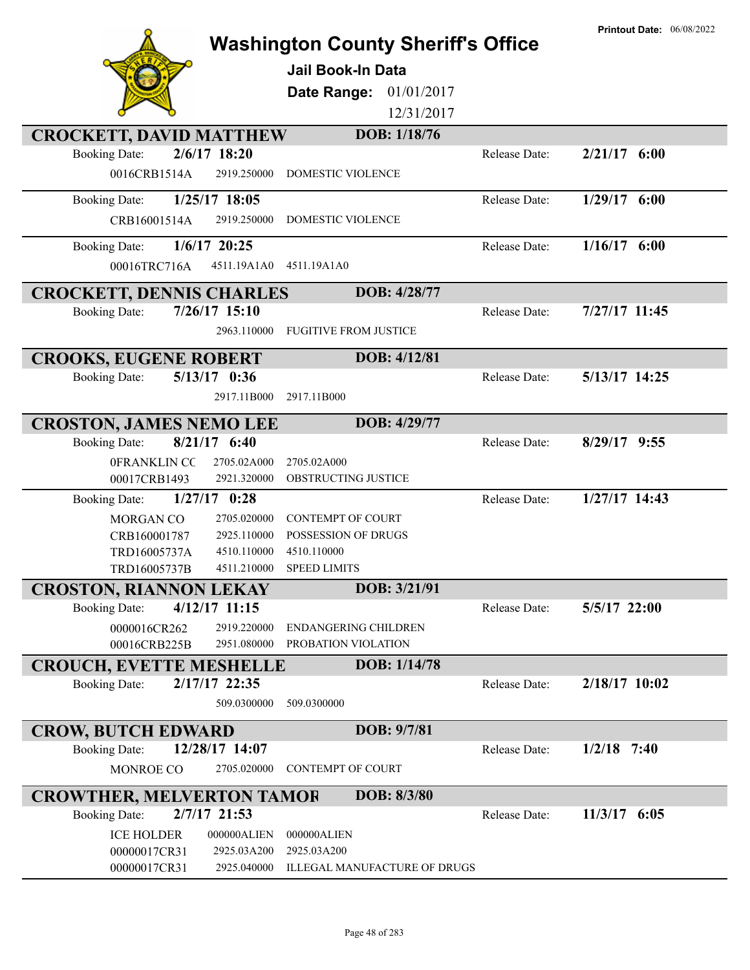|                                                                        | <b>Washington County Sheriff's Office</b><br><b>Jail Book-In Data</b><br>01/01/2017<br>Date Range:<br>12/31/2017 |               | <b>Printout Date: 06/08/2022</b> |
|------------------------------------------------------------------------|------------------------------------------------------------------------------------------------------------------|---------------|----------------------------------|
| <b>CROCKETT, DAVID MATTHEW</b>                                         | DOB: 1/18/76                                                                                                     |               |                                  |
| 2/6/17 18:20<br><b>Booking Date:</b>                                   |                                                                                                                  | Release Date: | $2/21/17$ 6:00                   |
| 0016CRB1514A<br>2919.250000                                            | <b>DOMESTIC VIOLENCE</b>                                                                                         |               |                                  |
| 1/25/17 18:05<br><b>Booking Date:</b>                                  |                                                                                                                  | Release Date: | $1/29/17$ 6:00                   |
| CRB16001514A<br>2919.250000                                            | DOMESTIC VIOLENCE                                                                                                |               |                                  |
|                                                                        |                                                                                                                  |               |                                  |
| $1/6/17$ 20:25<br><b>Booking Date:</b>                                 |                                                                                                                  | Release Date: | $1/16/17$ 6:00                   |
| 00016TRC716A<br>4511.19A1A0                                            | 4511.19A1A0                                                                                                      |               |                                  |
| <b>CROCKETT, DENNIS CHARLES</b>                                        | DOB: 4/28/77                                                                                                     |               |                                  |
| 7/26/17 15:10<br><b>Booking Date:</b>                                  |                                                                                                                  | Release Date: | 7/27/17 11:45                    |
| 2963.110000                                                            | <b>FUGITIVE FROM JUSTICE</b>                                                                                     |               |                                  |
| <b>CROOKS, EUGENE ROBERT</b>                                           | DOB: 4/12/81                                                                                                     |               |                                  |
| $5/13/17$ 0:36<br><b>Booking Date:</b>                                 |                                                                                                                  | Release Date: | 5/13/17 14:25                    |
| 2917.11B000                                                            | 2917.11B000                                                                                                      |               |                                  |
|                                                                        |                                                                                                                  |               |                                  |
| <b>CROSTON, JAMES NEMO LEE</b>                                         | DOB: 4/29/77                                                                                                     |               |                                  |
| $8/21/17$ 6:40<br><b>Booking Date:</b>                                 |                                                                                                                  | Release Date: | $8/29/17$ 9:55                   |
| 0FRANKLIN CC<br>2705.02A000                                            | 2705.02A000                                                                                                      |               |                                  |
| 00017CRB1493<br>2921.320000                                            | OBSTRUCTING JUSTICE                                                                                              |               |                                  |
| $1/27/17$ 0:28<br><b>Booking Date:</b>                                 |                                                                                                                  | Release Date: | 1/27/17 14:43                    |
| MORGAN CO<br>2705.020000                                               | <b>CONTEMPT OF COURT</b>                                                                                         |               |                                  |
| CRB160001787<br>2925.110000                                            | <b>POSSESSION OF DRUGS</b>                                                                                       |               |                                  |
| 4510.110000<br>TRD16005737A<br>4511.210000<br>TRD16005737B             | 4510.110000<br><b>SPEED LIMITS</b>                                                                               |               |                                  |
|                                                                        | DOB: 3/21/91                                                                                                     |               |                                  |
| <b>CROSTON, RIANNON LEKAY</b><br>4/12/17 11:15<br><b>Booking Date:</b> |                                                                                                                  | Release Date: | 5/5/17 22:00                     |
| 0000016CR262<br>2919.220000                                            | ENDANGERING CHILDREN                                                                                             |               |                                  |
| 00016CRB225B<br>2951.080000                                            | PROBATION VIOLATION                                                                                              |               |                                  |
| <b>CROUCH, EVETTE MESHELLE</b>                                         | DOB: 1/14/78                                                                                                     |               |                                  |
| 2/17/17 22:35<br><b>Booking Date:</b>                                  |                                                                                                                  | Release Date: | $2/18/17$ 10:02                  |
| 509.0300000                                                            | 509.0300000                                                                                                      |               |                                  |
|                                                                        |                                                                                                                  |               |                                  |
| <b>CROW, BUTCH EDWARD</b>                                              | DOB: 9/7/81                                                                                                      |               |                                  |
| 12/28/17 14:07<br><b>Booking Date:</b>                                 |                                                                                                                  | Release Date: | $1/2/18$ 7:40                    |
| 2705.020000<br>MONROE CO                                               | <b>CONTEMPT OF COURT</b>                                                                                         |               |                                  |
| <b>CROWTHER, MELVERTON TAMOR</b>                                       | DOB: 8/3/80                                                                                                      |               |                                  |
| 2/7/17 21:53<br><b>Booking Date:</b>                                   |                                                                                                                  | Release Date: | $11/3/17$ 6:05                   |
| <b>ICE HOLDER</b><br>000000ALIEN                                       | 000000ALIEN                                                                                                      |               |                                  |
| 00000017CR31<br>2925.03A200                                            | 2925.03A200                                                                                                      |               |                                  |
| 00000017CR31<br>2925.040000                                            | ILLEGAL MANUFACTURE OF DRUGS                                                                                     |               |                                  |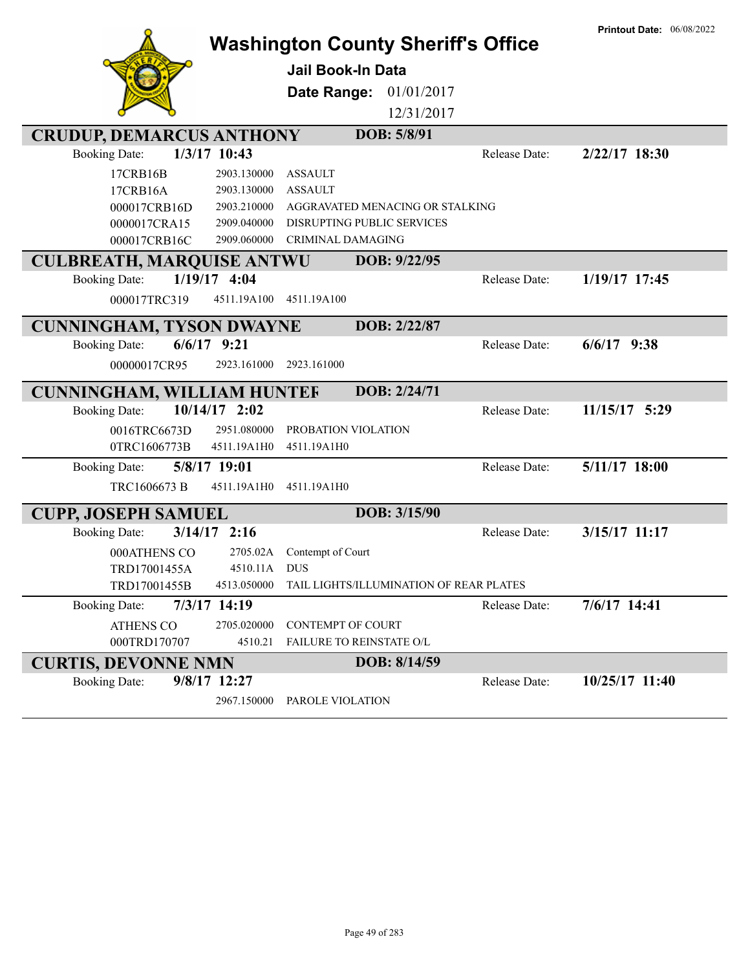|                                        | <b>Washington County Sheriff's Office</b> |                                         |               | <b>Printout Date: 06/08/2022</b> |
|----------------------------------------|-------------------------------------------|-----------------------------------------|---------------|----------------------------------|
|                                        | <b>Jail Book-In Data</b>                  |                                         |               |                                  |
|                                        | Date Range:                               | 01/01/2017                              |               |                                  |
|                                        |                                           | 12/31/2017                              |               |                                  |
| <b>CRUDUP, DEMARCUS ANTHONY</b>        |                                           | DOB: 5/8/91                             |               |                                  |
| 1/3/17 10:43<br><b>Booking Date:</b>   |                                           |                                         | Release Date: | $2/22/17$ 18:30                  |
| 17CRB16B                               | <b>ASSAULT</b><br>2903.130000             |                                         |               |                                  |
| 17CRB16A                               | 2903.130000<br><b>ASSAULT</b>             |                                         |               |                                  |
| 000017CRB16D                           | 2903.210000                               | AGGRAVATED MENACING OR STALKING         |               |                                  |
| 0000017CRA15                           | 2909.040000                               | <b>DISRUPTING PUBLIC SERVICES</b>       |               |                                  |
| 000017CRB16C                           | 2909.060000<br>CRIMINAL DAMAGING          |                                         |               |                                  |
| <b>CULBREATH, MARQUISE ANTWU</b>       |                                           | DOB: 9/22/95                            |               |                                  |
| $1/19/17$ 4:04<br><b>Booking Date:</b> |                                           |                                         | Release Date: | 1/19/17 17:45                    |
| 000017TRC319                           | 4511.19A100<br>4511.19A100                |                                         |               |                                  |
| <b>CUNNINGHAM, TYSON DWAYNE</b>        |                                           | DOB: 2/22/87                            |               |                                  |
| $6/6/17$ 9:21<br><b>Booking Date:</b>  |                                           |                                         | Release Date: | $6/6/17$ 9:38                    |
| 00000017CR95                           | 2923.161000<br>2923.161000                |                                         |               |                                  |
| <b>CUNNINGHAM, WILLIAM HUNTEF</b>      |                                           | DOB: 2/24/71                            |               |                                  |
| <b>Booking Date:</b>                   | $10/14/17$ 2:02                           |                                         | Release Date: | 11/15/17 5:29                    |
| 0016TRC6673D                           | 2951.080000<br>PROBATION VIOLATION        |                                         |               |                                  |
| 0TRC1606773B                           | 4511.19A1H0<br>4511.19A1H0                |                                         |               |                                  |
| 5/8/17 19:01<br><b>Booking Date:</b>   |                                           |                                         | Release Date: | 5/11/17 18:00                    |
| TRC1606673 B                           | 4511.19A1H0<br>4511.19A1H0                |                                         |               |                                  |
| <b>CUPP, JOSEPH SAMUEL</b>             |                                           | DOB: 3/15/90                            |               |                                  |
| $3/14/17$ 2:16<br><b>Booking Date:</b> |                                           |                                         | Release Date: | 3/15/17 11:17                    |
| 000ATHENS CO                           | 2705.02A<br>Contempt of Court             |                                         |               |                                  |
| TRD17001455A                           | 4510.11A<br><b>DUS</b>                    |                                         |               |                                  |
| TRD17001455B                           | 4513.050000                               | TAIL LIGHTS/ILLUMINATION OF REAR PLATES |               |                                  |
| 7/3/17 14:19<br><b>Booking Date:</b>   |                                           |                                         | Release Date: | 7/6/17 14:41                     |
| <b>ATHENS CO</b>                       | 2705.020000<br><b>CONTEMPT OF COURT</b>   |                                         |               |                                  |
| 000TRD170707                           | 4510.21<br>FAILURE TO REINSTATE O/L       |                                         |               |                                  |
| <b>CURTIS, DEVONNE NMN</b>             |                                           | DOB: 8/14/59                            |               |                                  |
| 9/8/17 12:27<br><b>Booking Date:</b>   |                                           |                                         | Release Date: | 10/25/17 11:40                   |
|                                        | 2967.150000<br>PAROLE VIOLATION           |                                         |               |                                  |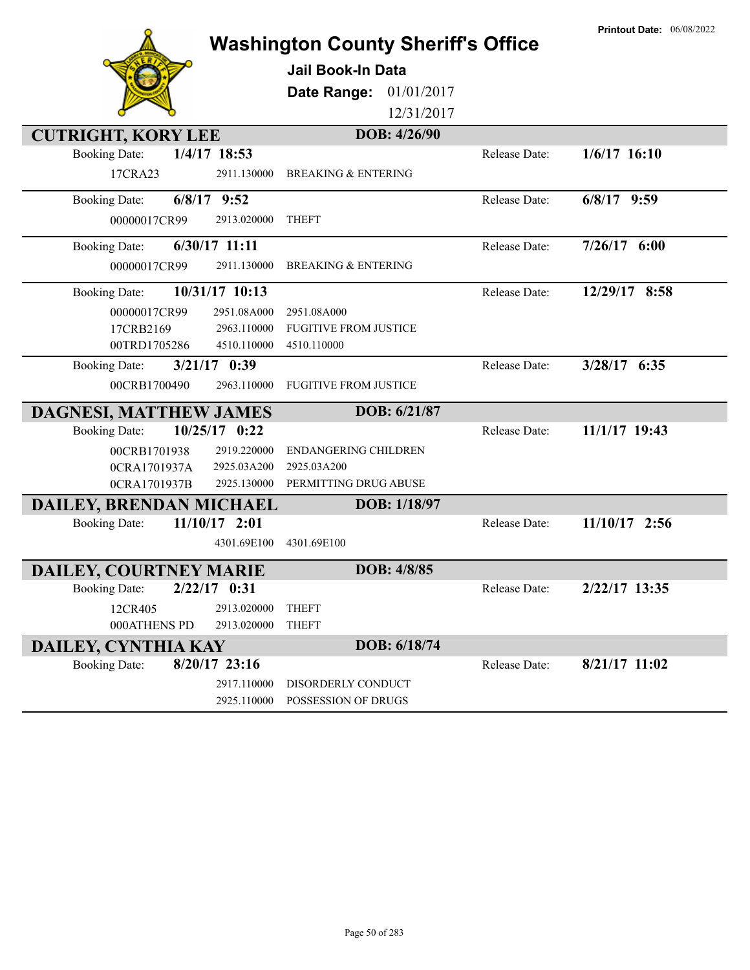|                                         |                                               | <b>Washington County Sheriff's Office</b> | <b>Printout Date: 06/08/2022</b> |
|-----------------------------------------|-----------------------------------------------|-------------------------------------------|----------------------------------|
|                                         | <b>Jail Book-In Data</b>                      |                                           |                                  |
|                                         | Date Range:                                   | 01/01/2017                                |                                  |
|                                         |                                               | 12/31/2017                                |                                  |
| <b>CUTRIGHT, KORY LEE</b>               |                                               | DOB: 4/26/90                              |                                  |
| 1/4/17 18:53<br><b>Booking Date:</b>    |                                               | Release Date:                             | $1/6/17$ 16:10                   |
| 17CRA23                                 | 2911.130000<br><b>BREAKING &amp; ENTERING</b> |                                           |                                  |
| $6/8/17$ 9:52<br><b>Booking Date:</b>   |                                               | Release Date:                             | $6/8/17$ 9:59                    |
| 00000017CR99                            | 2913.020000<br><b>THEFT</b>                   |                                           |                                  |
| $6/30/17$ 11:11<br><b>Booking Date:</b> |                                               | Release Date:                             | $7/26/17$ 6:00                   |
| 00000017CR99                            | 2911.130000<br><b>BREAKING &amp; ENTERING</b> |                                           |                                  |
| 10/31/17 10:13<br><b>Booking Date:</b>  |                                               | Release Date:                             | 12/29/17 8:58                    |
| 00000017CR99                            | 2951.08A000<br>2951.08A000                    |                                           |                                  |
| 17CRB2169                               | 2963.110000<br><b>FUGITIVE FROM JUSTICE</b>   |                                           |                                  |
| 00TRD1705286                            | 4510.110000<br>4510.110000                    |                                           |                                  |
| $3/21/17$ 0:39<br><b>Booking Date:</b>  |                                               | Release Date:                             | 3/28/17 6:35                     |
| 00CRB1700490                            | 2963.110000<br><b>FUGITIVE FROM JUSTICE</b>   |                                           |                                  |
| <b>DAGNESI, MATTHEW JAMES</b>           |                                               | DOB: 6/21/87                              |                                  |
| 10/25/17 0:22<br><b>Booking Date:</b>   |                                               | Release Date:                             | 11/1/17 19:43                    |
| 00CRB1701938                            | 2919.220000<br><b>ENDANGERING CHILDREN</b>    |                                           |                                  |
| 0CRA1701937A                            | 2925.03A200<br>2925.03A200                    |                                           |                                  |
| 0CRA1701937B                            | PERMITTING DRUG ABUSE<br>2925.130000          |                                           |                                  |
| DAILEY, BRENDAN MICHAEL                 |                                               | DOB: 1/18/97                              |                                  |
| $11/10/17$ 2:01<br><b>Booking Date:</b> |                                               | Release Date:                             | $11/10/17$ 2:56                  |
|                                         | 4301.69E100<br>4301.69E100                    |                                           |                                  |
| DAILEY, COURTNEY MARIE                  |                                               | <b>DOB: 4/8/85</b>                        |                                  |
| $2/22/17$ 0:31<br><b>Booking Date:</b>  |                                               | Release Date:                             | 2/22/17 13:35                    |
| 12CR405                                 | 2913.020000<br><b>THEFT</b>                   |                                           |                                  |
| 000ATHENS PD                            | <b>THEFT</b><br>2913.020000                   |                                           |                                  |
| DAILEY, CYNTHIA KAY                     |                                               | DOB: 6/18/74                              |                                  |
| $8/20/17$ 23:16<br><b>Booking Date:</b> |                                               | Release Date:                             | $8/21/17$ 11:02                  |
|                                         | 2917.110000<br>DISORDERLY CONDUCT             |                                           |                                  |
|                                         | POSSESSION OF DRUGS<br>2925.110000            |                                           |                                  |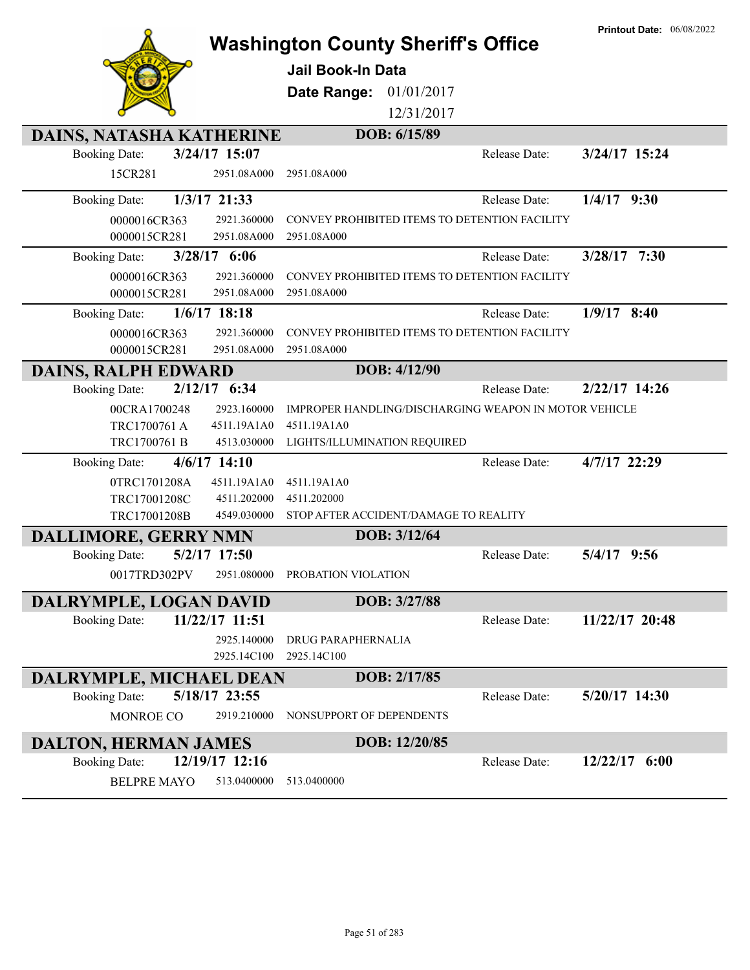|                                        |                                             | <b>Washington County Sheriff's Office</b>             | <b>Printout Date: 06/08/2022</b> |
|----------------------------------------|---------------------------------------------|-------------------------------------------------------|----------------------------------|
|                                        |                                             |                                                       |                                  |
|                                        | <b>Jail Book-In Data</b>                    |                                                       |                                  |
|                                        | Date Range:                                 | 01/01/2017                                            |                                  |
|                                        |                                             | 12/31/2017                                            |                                  |
| <b>DAINS, NATASHA KATHERINE</b>        |                                             | DOB: 6/15/89                                          |                                  |
| 3/24/17 15:07<br><b>Booking Date:</b>  |                                             | Release Date:                                         | 3/24/17 15:24                    |
| 15CR281                                | 2951.08A000<br>2951.08A000                  |                                                       |                                  |
| 1/3/17 21:33<br><b>Booking Date:</b>   |                                             | Release Date:                                         | $1/4/17$ 9:30                    |
| 0000016CR363                           | 2921.360000                                 | CONVEY PROHIBITED ITEMS TO DETENTION FACILITY         |                                  |
| 0000015CR281                           | 2951.08A000<br>2951.08A000                  |                                                       |                                  |
| 3/28/17 6:06<br><b>Booking Date:</b>   |                                             | Release Date:                                         | 3/28/17 7:30                     |
| 0000016CR363                           | 2921.360000                                 | CONVEY PROHIBITED ITEMS TO DETENTION FACILITY         |                                  |
| 0000015CR281                           | 2951.08A000<br>2951.08A000                  |                                                       |                                  |
| $1/6/17$ 18:18<br><b>Booking Date:</b> |                                             | Release Date:                                         | $1/9/17$ 8:40                    |
| 0000016CR363                           | 2921.360000                                 | CONVEY PROHIBITED ITEMS TO DETENTION FACILITY         |                                  |
| 0000015CR281                           | 2951.08A000<br>2951.08A000                  |                                                       |                                  |
| <b>DAINS, RALPH EDWARD</b>             |                                             | DOB: 4/12/90                                          |                                  |
| 2/12/17 6:34<br><b>Booking Date:</b>   |                                             | Release Date:                                         | $2/22/17$ 14:26                  |
| 00CRA1700248                           | 2923.160000                                 | IMPROPER HANDLING/DISCHARGING WEAPON IN MOTOR VEHICLE |                                  |
| 4511.19A1A0<br>TRC1700761 A            | 4511.19A1A0                                 |                                                       |                                  |
| TRC1700761 B                           | 4513.030000<br>LIGHTS/ILLUMINATION REQUIRED |                                                       |                                  |
| $4/6/17$ 14:10<br><b>Booking Date:</b> |                                             | Release Date:                                         | 4/7/17 22:29                     |
| 0TRC1701208A<br>4511.19A1A0            | 4511.19A1A0                                 |                                                       |                                  |
| TRC17001208C                           | 4511.202000<br>4511.202000                  |                                                       |                                  |
| TRC17001208B                           | 4549.030000                                 | STOP AFTER ACCIDENT/DAMAGE TO REALITY                 |                                  |
| <b>DALLIMORE, GERRY NMN</b>            |                                             | DOB: 3/12/64                                          |                                  |
| 5/2/17 17:50<br><b>Booking Date:</b>   |                                             | Release Date:                                         | 5/4/17<br>9:56                   |
| 0017TRD302PV                           | 2951.080000 PROBATION VIOLATION             |                                                       |                                  |
| DALRYMPLE, LOGAN DAVID                 |                                             | DOB: 3/27/88                                          |                                  |
| 11/22/17 11:51<br><b>Booking Date:</b> |                                             | Release Date:                                         | 11/22/17 20:48                   |
|                                        | 2925.140000<br><b>DRUG PARAPHERNALIA</b>    |                                                       |                                  |
|                                        | 2925.14C100<br>2925.14C100                  |                                                       |                                  |
| DALRYMPLE, MICHAEL DEAN                |                                             | DOB: 2/17/85                                          |                                  |
| 5/18/17 23:55<br><b>Booking Date:</b>  |                                             | Release Date:                                         | $5/20/17$ 14:30                  |
| MONROE CO                              | 2919.210000<br>NONSUPPORT OF DEPENDENTS     |                                                       |                                  |
| <b>DALTON, HERMAN JAMES</b>            |                                             | DOB: 12/20/85                                         |                                  |
| 12/19/17 12:16<br><b>Booking Date:</b> |                                             | Release Date:                                         | $12/22/17$ 6:00                  |
| <b>BELPRE MAYO</b>                     | 513.0400000<br>513.0400000                  |                                                       |                                  |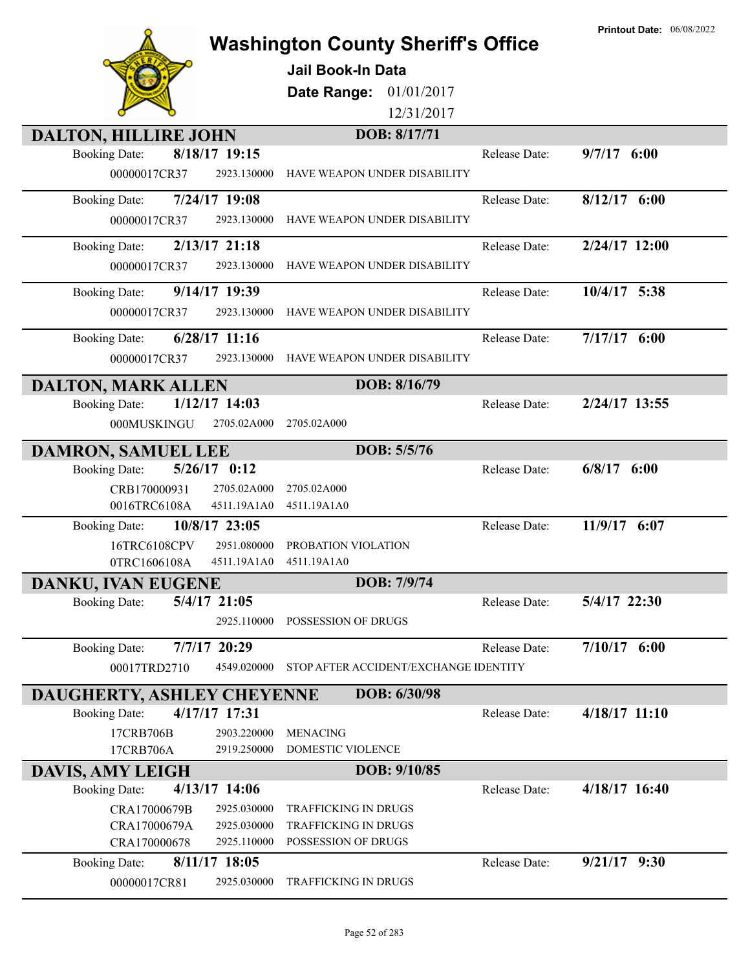|                             |                 | <b>Washington County Sheriff's Office</b> |               | <b>Printout Date: 06/08/2022</b> |
|-----------------------------|-----------------|-------------------------------------------|---------------|----------------------------------|
|                             |                 | <b>Jail Book-In Data</b>                  |               |                                  |
|                             |                 | 01/01/2017<br>Date Range:                 |               |                                  |
|                             |                 | 12/31/2017                                |               |                                  |
|                             |                 | DOB: 8/17/71                              |               |                                  |
| <b>DALTON, HILLIRE JOHN</b> | 8/18/17 19:15   |                                           | Release Date: |                                  |
| <b>Booking Date:</b>        |                 |                                           |               | $9/7/17$ 6:00                    |
| 00000017CR37                | 2923.130000     | HAVE WEAPON UNDER DISABILITY              |               |                                  |
| <b>Booking Date:</b>        | 7/24/17 19:08   |                                           | Release Date: | $8/12/17$ 6:00                   |
| 00000017CR37                | 2923.130000     | HAVE WEAPON UNDER DISABILITY              |               |                                  |
| <b>Booking Date:</b>        | $2/13/17$ 21:18 |                                           | Release Date: | 2/24/17 12:00                    |
| 00000017CR37                | 2923.130000     | HAVE WEAPON UNDER DISABILITY              |               |                                  |
| <b>Booking Date:</b>        | 9/14/17 19:39   |                                           | Release Date: | 10/4/17 5:38                     |
| 00000017CR37                | 2923.130000     | HAVE WEAPON UNDER DISABILITY              |               |                                  |
| <b>Booking Date:</b>        | $6/28/17$ 11:16 |                                           | Release Date: | $7/17/17$ 6:00                   |
| 00000017CR37                | 2923.130000     | HAVE WEAPON UNDER DISABILITY              |               |                                  |
| <b>DALTON, MARK ALLEN</b>   |                 | DOB: 8/16/79                              |               |                                  |
| <b>Booking Date:</b>        | $1/12/17$ 14:03 |                                           | Release Date: | 2/24/17 13:55                    |
| 000MUSKINGU                 | 2705.02A000     | 2705.02A000                               |               |                                  |
| DAMRON, SAMUEL LEE          |                 | DOB: 5/5/76                               |               |                                  |
| <b>Booking Date:</b>        | $5/26/17$ 0:12  |                                           | Release Date: | 6/8/17<br>6:00                   |
| CRB170000931                | 2705.02A000     | 2705.02A000                               |               |                                  |
| 0016TRC6108A                | 4511.19A1A0     | 4511.19A1A0                               |               |                                  |
| <b>Booking Date:</b>        | 10/8/17 23:05   |                                           | Release Date: | 11/9/17 6:07                     |
| 16TRC6108CPV                | 2951.080000     | PROBATION VIOLATION                       |               |                                  |
| 0TRC1606108A                | 4511.19A1A0     | 4511.19A1A0                               |               |                                  |
| DANKU, IVAN EUGENE          |                 | DOB: 7/9/74                               |               |                                  |
| <b>Booking Date:</b>        | 5/4/17 21:05    |                                           | Release Date: | 5/4/17 22:30                     |
|                             | 2925.110000     | POSSESSION OF DRUGS                       |               |                                  |
| <b>Booking Date:</b>        | 7/7/17 20:29    |                                           | Release Date: | $7/10/17$ 6:00                   |
| 00017TRD2710                | 4549.020000     | STOP AFTER ACCIDENT/EXCHANGE IDENTITY     |               |                                  |
| DAUGHERTY, ASHLEY CHEYENNE  |                 | DOB: 6/30/98                              |               |                                  |
| <b>Booking Date:</b>        | 4/17/17 17:31   |                                           | Release Date: | 4/18/17 11:10                    |
| 17CRB706B                   | 2903.220000     | <b>MENACING</b>                           |               |                                  |
| 17CRB706A                   | 2919.250000     | DOMESTIC VIOLENCE                         |               |                                  |
| <b>DAVIS, AMY LEIGH</b>     |                 | DOB: 9/10/85                              |               |                                  |
| <b>Booking Date:</b>        | $4/13/17$ 14:06 |                                           | Release Date: | 4/18/17 16:40                    |
| CRA17000679B                | 2925.030000     | <b>TRAFFICKING IN DRUGS</b>               |               |                                  |
| CRA17000679A                | 2925.030000     | TRAFFICKING IN DRUGS                      |               |                                  |
| CRA170000678                | 2925.110000     | POSSESSION OF DRUGS                       |               |                                  |
| <b>Booking Date:</b>        | 8/11/17 18:05   |                                           | Release Date: | $9/21/17$ $9:30$                 |
| 00000017CR81                | 2925.030000     | TRAFFICKING IN DRUGS                      |               |                                  |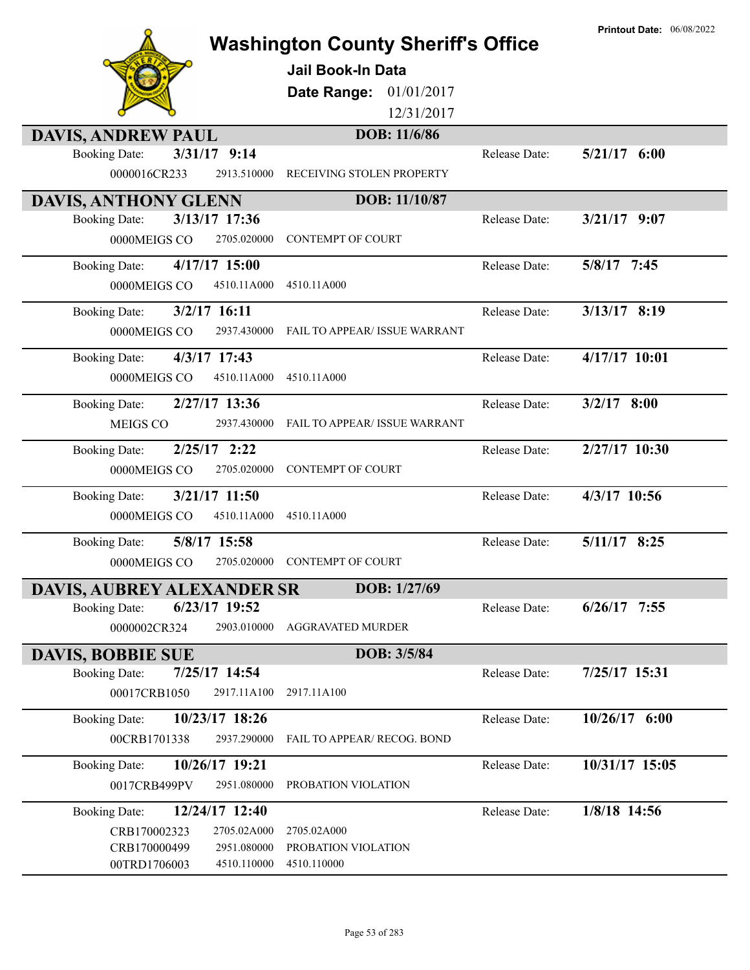|                                        |                             | <b>Washington County Sheriff's Office</b><br><b>Jail Book-In Data</b><br>Date Range:<br>01/01/2017<br>12/31/2017 |               | <b>Printout Date: 06/08/2022</b> |
|----------------------------------------|-----------------------------|------------------------------------------------------------------------------------------------------------------|---------------|----------------------------------|
| <b>DAVIS, ANDREW PAUL</b>              |                             | DOB: 11/6/86                                                                                                     |               |                                  |
| <b>Booking Date:</b><br>0000016CR233   | 3/31/17 9:14<br>2913.510000 | RECEIVING STOLEN PROPERTY                                                                                        | Release Date: | $5/21/17$ 6:00                   |
| <b>DAVIS, ANTHONY GLENN</b>            |                             | DOB: 11/10/87                                                                                                    |               |                                  |
| <b>Booking Date:</b>                   | 3/13/17 17:36               |                                                                                                                  | Release Date: | $3/21/17$ 9:07                   |
| 0000MEIGS CO                           | 2705.020000                 | <b>CONTEMPT OF COURT</b>                                                                                         |               |                                  |
| <b>Booking Date:</b>                   | $4/17/17$ 15:00             |                                                                                                                  | Release Date: | 5/8/17 7:45                      |
| 0000MEIGS CO                           | 4510.11A000                 | 4510.11A000                                                                                                      |               |                                  |
| $3/2/17$ 16:11<br><b>Booking Date:</b> |                             |                                                                                                                  | Release Date: | 3/13/17 8:19                     |
| 0000MEIGS CO                           | 2937.430000                 | <b>FAIL TO APPEAR/ ISSUE WARRANT</b>                                                                             |               |                                  |
| 4/3/17 17:43<br><b>Booking Date:</b>   |                             |                                                                                                                  | Release Date: | 4/17/17 10:01                    |
| 0000MEIGS CO                           | 4510.11A000                 | 4510.11A000                                                                                                      |               |                                  |
| <b>Booking Date:</b>                   | 2/27/17 13:36               |                                                                                                                  | Release Date: | $3/2/17$ 8:00                    |
| MEIGS CO                               | 2937.430000                 | FAIL TO APPEAR/ ISSUE WARRANT                                                                                    |               |                                  |
| <b>Booking Date:</b>                   | $2/25/17$ 2:22              |                                                                                                                  | Release Date: | 2/27/17 10:30                    |
| 0000MEIGS CO                           | 2705.020000                 | <b>CONTEMPT OF COURT</b>                                                                                         |               |                                  |
| <b>Booking Date:</b>                   | 3/21/17 11:50               |                                                                                                                  | Release Date: | 4/3/17 10:56                     |
| 0000MEIGS CO                           | 4510.11A000                 | 4510.11A000                                                                                                      |               |                                  |
| 5/8/17 15:58<br><b>Booking Date:</b>   |                             |                                                                                                                  | Release Date: | $5/11/17$ 8:25                   |
| 0000MEIGS CO                           | 2705.020000                 | <b>CONTEMPT OF COURT</b>                                                                                         |               |                                  |
| <b>DAVIS, AUBREY ALEXANDER SR</b>      |                             | DOB: 1/27/69                                                                                                     |               |                                  |
| <b>Booking Date:</b>                   | $6/23/17$ 19:52             |                                                                                                                  | Release Date: | $6/26/17$ 7:55                   |
| 0000002CR324                           | 2903.010000                 | <b>AGGRAVATED MURDER</b>                                                                                         |               |                                  |
| <b>DAVIS, BOBBIE SUE</b>               |                             | DOB: 3/5/84                                                                                                      |               |                                  |
| <b>Booking Date:</b>                   | 7/25/17 14:54               |                                                                                                                  | Release Date: | 7/25/17 15:31                    |
| 00017CRB1050                           | 2917.11A100                 | 2917.11A100                                                                                                      |               |                                  |
| <b>Booking Date:</b>                   | 10/23/17 18:26              |                                                                                                                  | Release Date: | 10/26/17 6:00                    |
| 00CRB1701338                           | 2937.290000                 | FAIL TO APPEAR/ RECOG. BOND                                                                                      |               |                                  |
| <b>Booking Date:</b>                   | 10/26/17 19:21              |                                                                                                                  | Release Date: | 10/31/17 15:05                   |
| 0017CRB499PV                           | 2951.080000                 | PROBATION VIOLATION                                                                                              |               |                                  |
| <b>Booking Date:</b>                   | 12/24/17 12:40              |                                                                                                                  | Release Date: | 1/8/18 14:56                     |
| CRB170002323                           | 2705.02A000                 | 2705.02A000                                                                                                      |               |                                  |
| CRB170000499<br>00TRD1706003           | 2951.080000<br>4510.110000  | PROBATION VIOLATION<br>4510.110000                                                                               |               |                                  |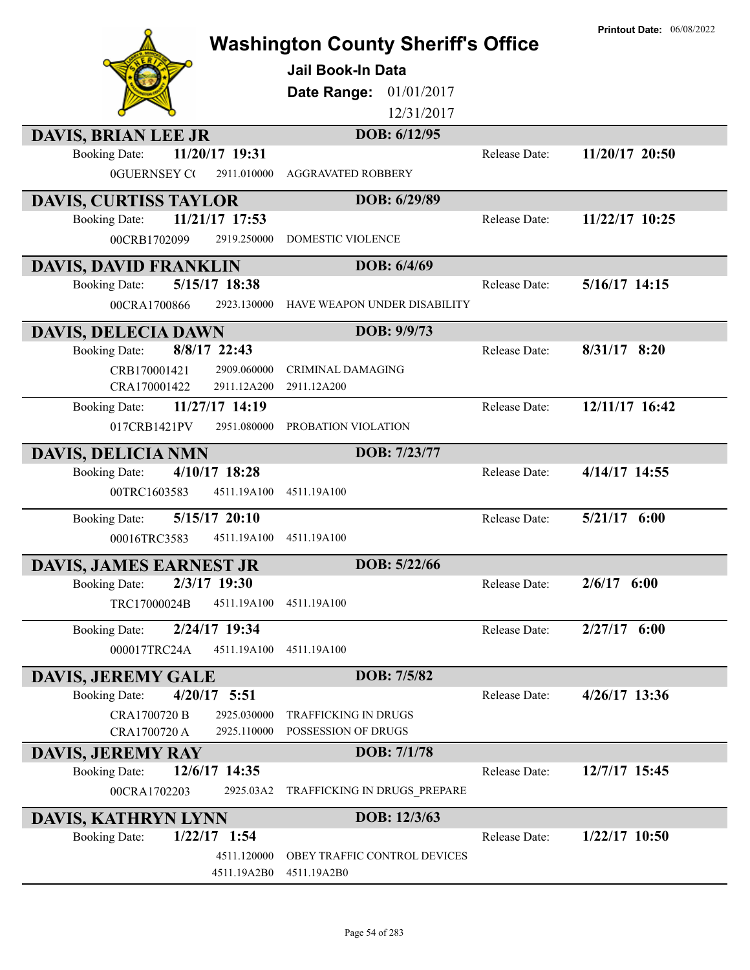|                                        | <b>Washington County Sheriff's Office</b> |               | <b>Printout Date: 06/08/2022</b> |
|----------------------------------------|-------------------------------------------|---------------|----------------------------------|
|                                        | Jail Book-In Data                         |               |                                  |
|                                        | 01/01/2017<br>Date Range:                 |               |                                  |
|                                        | 12/31/2017                                |               |                                  |
| <b>DAVIS, BRIAN LEE JR</b>             | DOB: 6/12/95                              |               |                                  |
| 11/20/17 19:31<br><b>Booking Date:</b> |                                           | Release Date: | 11/20/17 20:50                   |
| <b>0GUERNSEY CO</b><br>2911.010000     | <b>AGGRAVATED ROBBERY</b>                 |               |                                  |
| <b>DAVIS, CURTISS TAYLOR</b>           | DOB: 6/29/89                              |               |                                  |
| 11/21/17 17:53<br><b>Booking Date:</b> |                                           | Release Date: | 11/22/17 10:25                   |
| 00CRB1702099<br>2919.250000            | DOMESTIC VIOLENCE                         |               |                                  |
| <b>DAVIS, DAVID FRANKLIN</b>           | DOB: 6/4/69                               |               |                                  |
| 5/15/17 18:38<br><b>Booking Date:</b>  |                                           | Release Date: | 5/16/17 14:15                    |
| 00CRA1700866<br>2923.130000            | HAVE WEAPON UNDER DISABILITY              |               |                                  |
| <b>DAVIS, DELECIA DAWN</b>             | DOB: 9/9/73                               |               |                                  |
| 8/8/17 22:43<br><b>Booking Date:</b>   |                                           | Release Date: | $8/31/17$ 8:20                   |
| 2909.060000<br>CRB170001421            | <b>CRIMINAL DAMAGING</b>                  |               |                                  |
| 2911.12A200<br>CRA170001422            | 2911.12A200                               |               |                                  |
| 11/27/17 14:19<br><b>Booking Date:</b> |                                           | Release Date: | 12/11/17 16:42                   |
| 2951.080000<br>017CRB1421PV            | PROBATION VIOLATION                       |               |                                  |
| <b>DAVIS, DELICIA NMN</b>              | DOB: 7/23/77                              |               |                                  |
| 4/10/17 18:28<br><b>Booking Date:</b>  |                                           | Release Date: | 4/14/17 14:55                    |
| 00TRC1603583<br>4511.19A100            | 4511.19A100                               |               |                                  |
| 5/15/17 20:10<br><b>Booking Date:</b>  |                                           | Release Date: | 5/21/17 6:00                     |
| 00016TRC3583<br>4511.19A100            | 4511.19A100                               |               |                                  |
| <b>DAVIS, JAMES EARNEST JR</b>         | DOB: 5/22/66                              |               |                                  |
| 2/3/17 19:30<br><b>Booking Date:</b>   |                                           | Release Date: | $2/6/17$ 6:00                    |
| TRC17000024B<br>4511.19A100            | 4511.19A100                               |               |                                  |
| 2/24/17 19:34<br><b>Booking Date:</b>  |                                           | Release Date: | $2/27/17$ 6:00                   |
| 000017TRC24A<br>4511.19A100            | 4511.19A100                               |               |                                  |
| <b>DAVIS, JEREMY GALE</b>              | DOB: 7/5/82                               |               |                                  |
| $4/20/17$ 5:51<br><b>Booking Date:</b> |                                           | Release Date: | 4/26/17 13:36                    |
| 2925.030000<br>CRA1700720 B            | TRAFFICKING IN DRUGS                      |               |                                  |
| 2925.110000<br>CRA1700720 A            | POSSESSION OF DRUGS                       |               |                                  |
| <b>DAVIS, JEREMY RAY</b>               | DOB: 7/1/78                               |               |                                  |
| 12/6/17 14:35<br><b>Booking Date:</b>  |                                           | Release Date: | 12/7/17 15:45                    |
| 00CRA1702203<br>2925.03A2              | TRAFFICKING IN DRUGS PREPARE              |               |                                  |
| DAVIS, KATHRYN LYNN                    | DOB: 12/3/63                              |               |                                  |
| $1/22/17$ 1:54<br><b>Booking Date:</b> |                                           | Release Date: | $1/22/17$ 10:50                  |
| 4511.120000                            | OBEY TRAFFIC CONTROL DEVICES              |               |                                  |
| 4511.19A2B0                            | 4511.19A2B0                               |               |                                  |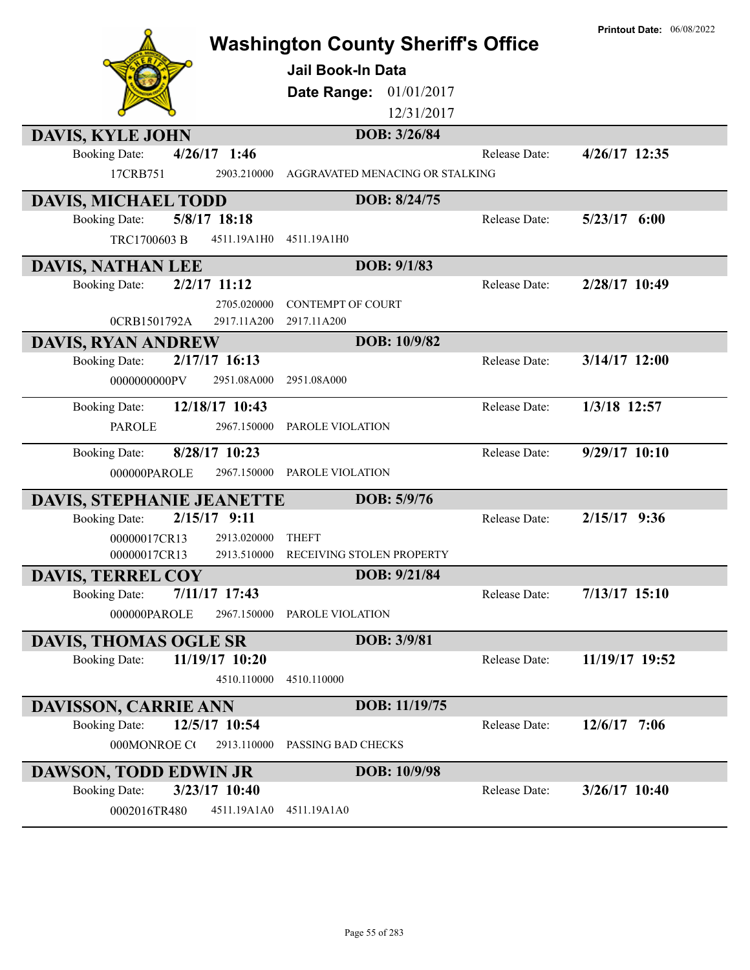|                                         |                                           |               | <b>Printout Date: 06/08/2022</b> |
|-----------------------------------------|-------------------------------------------|---------------|----------------------------------|
|                                         | <b>Washington County Sheriff's Office</b> |               |                                  |
|                                         | <b>Jail Book-In Data</b>                  |               |                                  |
|                                         | <b>Date Range: 01/01/2017</b>             |               |                                  |
|                                         | 12/31/2017                                |               |                                  |
| <b>DAVIS, KYLE JOHN</b>                 | DOB: 3/26/84                              |               |                                  |
| $4/26/17$ 1:46<br><b>Booking Date:</b>  |                                           | Release Date: | 4/26/17 12:35                    |
| 17CRB751<br>2903.210000                 | AGGRAVATED MENACING OR STALKING           |               |                                  |
| <b>DAVIS, MICHAEL TODD</b>              | DOB: 8/24/75                              |               |                                  |
| 5/8/17 18:18<br><b>Booking Date:</b>    |                                           | Release Date: | $5/23/17$ 6:00                   |
| TRC1700603 B<br>4511.19A1H0             | 4511.19A1H0                               |               |                                  |
| <b>DAVIS, NATHAN LEE</b>                | DOB: 9/1/83                               |               |                                  |
| $2/2/17$ 11:12<br><b>Booking Date:</b>  |                                           | Release Date: | 2/28/17 10:49                    |
| 2705.020000                             | <b>CONTEMPT OF COURT</b>                  |               |                                  |
| 2917.11A200<br>0CRB1501792A             | 2917.11A200                               |               |                                  |
| <b>DAVIS, RYAN ANDREW</b>               | DOB: 10/9/82                              |               |                                  |
| 2/17/17 16:13<br><b>Booking Date:</b>   |                                           | Release Date: | $3/14/17$ 12:00                  |
| 2951.08A000<br>0000000000PV             | 2951.08A000                               |               |                                  |
| 12/18/17 10:43<br><b>Booking Date:</b>  |                                           | Release Date: | 1/3/18 12:57                     |
| 2967.150000<br><b>PAROLE</b>            | <b>PAROLE VIOLATION</b>                   |               |                                  |
| 8/28/17 10:23<br><b>Booking Date:</b>   |                                           | Release Date: | 9/29/17 10:10                    |
| 000000PAROLE<br>2967.150000             | PAROLE VIOLATION                          |               |                                  |
| <b>DAVIS, STEPHANIE JEANETTE</b>        | DOB: 5/9/76                               |               |                                  |
| 2/15/17<br>9:11<br><b>Booking Date:</b> |                                           | Release Date: | 2/15/17 9:36                     |
| 2913.020000<br>00000017CR13             | <b>THEFT</b>                              |               |                                  |
| 2913.510000<br>00000017CR13             | RECEIVING STOLEN PROPERTY                 |               |                                  |
| <b>DAVIS, TERREL COY</b>                | DOB: 9/21/84                              |               |                                  |
| 7/11/17 17:43<br><b>Booking Date:</b>   |                                           | Release Date: | $7/13/17$ 15:10                  |
| 000000PAROLE<br>2967.150000             | PAROLE VIOLATION                          |               |                                  |
| <b>DAVIS, THOMAS OGLE SR</b>            | DOB: 3/9/81                               |               |                                  |
| <b>Booking Date:</b><br>11/19/17 10:20  |                                           | Release Date: | 11/19/17 19:52                   |
| 4510.110000                             | 4510.110000                               |               |                                  |
| <b>DAVISSON, CARRIE ANN</b>             | DOB: 11/19/75                             |               |                                  |
| 12/5/17 10:54<br><b>Booking Date:</b>   |                                           | Release Date: | $12/6/17$ 7:06                   |
| 000MONROE CO<br>2913.110000             | PASSING BAD CHECKS                        |               |                                  |
| <b>DAWSON, TODD EDWIN JR</b>            | DOB: 10/9/98                              |               |                                  |
| 3/23/17 10:40<br><b>Booking Date:</b>   |                                           | Release Date: | 3/26/17 10:40                    |
| 0002016TR480<br>4511.19A1A0             | 4511.19A1A0                               |               |                                  |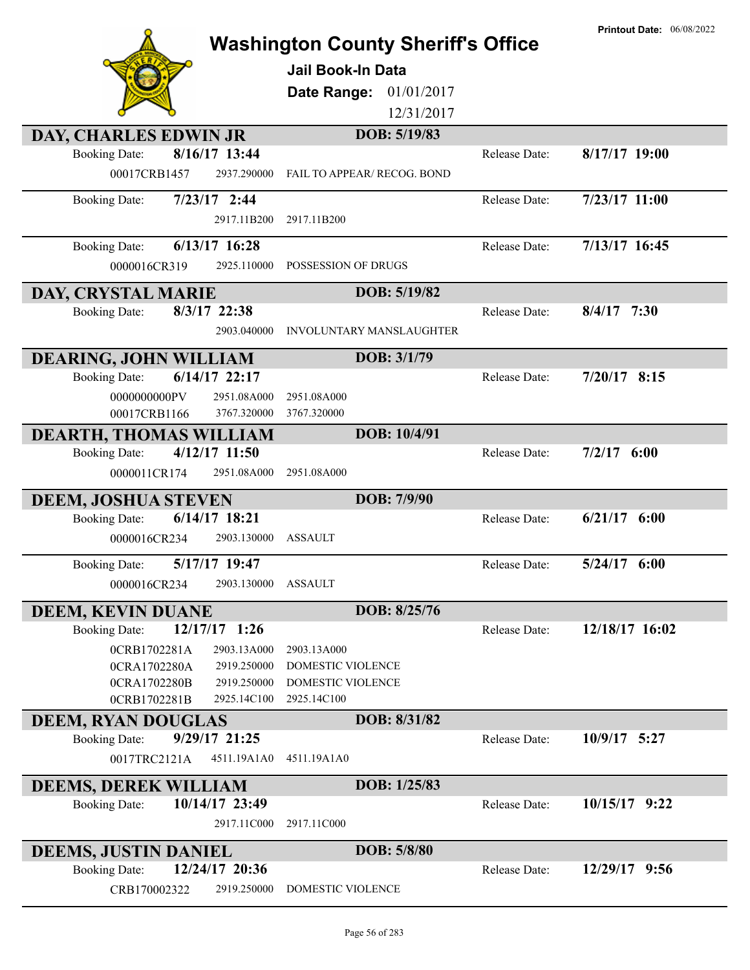|                                                                      | <b>Washington County Sheriff's Office</b>     |               | <b>Printout Date: 06/08/2022</b> |
|----------------------------------------------------------------------|-----------------------------------------------|---------------|----------------------------------|
|                                                                      | <b>Jail Book-In Data</b>                      |               |                                  |
|                                                                      |                                               |               |                                  |
|                                                                      | Date Range:<br>01/01/2017<br>12/31/2017       |               |                                  |
|                                                                      | DOB: 5/19/83                                  |               |                                  |
| DAY, CHARLES EDWIN JR<br>8/16/17 13:44<br><b>Booking Date:</b>       |                                               | Release Date: | $8/17/17$ 19:00                  |
| 00017CRB1457<br>2937.290000                                          | FAIL TO APPEAR/ RECOG. BOND                   |               |                                  |
| $7/23/17$ 2:44<br><b>Booking Date:</b>                               |                                               | Release Date: | $7/23/17$ 11:00                  |
| 2917.11B200                                                          | 2917.11B200                                   |               |                                  |
| 6/13/17 16:28<br><b>Booking Date:</b>                                |                                               | Release Date: | 7/13/17 16:45                    |
| 0000016CR319<br>2925.110000                                          | POSSESSION OF DRUGS                           |               |                                  |
| DAY, CRYSTAL MARIE                                                   | DOB: 5/19/82                                  |               |                                  |
| 8/3/17 22:38<br><b>Booking Date:</b>                                 |                                               | Release Date: | $8/4/17$ 7:30                    |
| 2903.040000                                                          | <b>INVOLUNTARY MANSLAUGHTER</b>               |               |                                  |
| <b>DEARING, JOHN WILLIAM</b>                                         | DOB: 3/1/79                                   |               |                                  |
| 6/14/17 22:17<br><b>Booking Date:</b>                                |                                               | Release Date: | $7/20/17$ 8:15                   |
| 0000000000PV<br>2951.08A000                                          | 2951.08A000                                   |               |                                  |
| 00017CRB1166<br>3767.320000                                          | 3767.320000                                   |               |                                  |
| <b>DEARTH, THOMAS WILLIAM</b>                                        | DOB: 10/4/91                                  |               |                                  |
| 4/12/17 11:50<br><b>Booking Date:</b><br>0000011CR174<br>2951.08A000 | 2951.08A000                                   | Release Date: | 7/2/17<br>6:00                   |
|                                                                      |                                               |               |                                  |
| <b>DEEM, JOSHUA STEVEN</b>                                           | DOB: 7/9/90                                   |               |                                  |
| 6/14/17 18:21<br><b>Booking Date:</b>                                | <b>ASSAULT</b>                                | Release Date: | $6/21/17$ $6:00$                 |
| 2903.130000<br>0000016CR234                                          |                                               |               |                                  |
| <b>Booking Date:</b><br>5/17/17 19:47                                |                                               | Release Date: | 6:00<br>5/24/17                  |
| 0000016CR234<br>2903.130000                                          | ASSAULT                                       |               |                                  |
| <b>DEEM, KEVIN DUANE</b>                                             | DOB: 8/25/76                                  |               |                                  |
| 12/17/17 1:26<br><b>Booking Date:</b>                                |                                               | Release Date: | 12/18/17 16:02                   |
| 0CRB1702281A<br>2903.13A000                                          | 2903.13A000                                   |               |                                  |
| 0CRA1702280A<br>2919.250000<br>0CRA1702280B<br>2919.250000           | DOMESTIC VIOLENCE<br><b>DOMESTIC VIOLENCE</b> |               |                                  |
| 0CRB1702281B<br>2925.14C100                                          | 2925.14C100                                   |               |                                  |
| <b>DEEM, RYAN DOUGLAS</b>                                            | DOB: 8/31/82                                  |               |                                  |
| 9/29/17 21:25<br><b>Booking Date:</b>                                |                                               | Release Date: | 10/9/17 5:27                     |
| 0017TRC2121A<br>4511.19A1A0                                          | 4511.19A1A0                                   |               |                                  |
| <b>DEEMS, DEREK WILLIAM</b>                                          | DOB: 1/25/83                                  |               |                                  |
| 10/14/17 23:49<br><b>Booking Date:</b>                               |                                               | Release Date: | 10/15/17 9:22                    |
| 2917.11C000                                                          | 2917.11C000                                   |               |                                  |
| <b>DEEMS, JUSTIN DANIEL</b>                                          | DOB: 5/8/80                                   |               |                                  |
| 12/24/17 20:36<br><b>Booking Date:</b>                               |                                               | Release Date: | 12/29/17 9:56                    |
| 2919.250000<br>CRB170002322                                          | DOMESTIC VIOLENCE                             |               |                                  |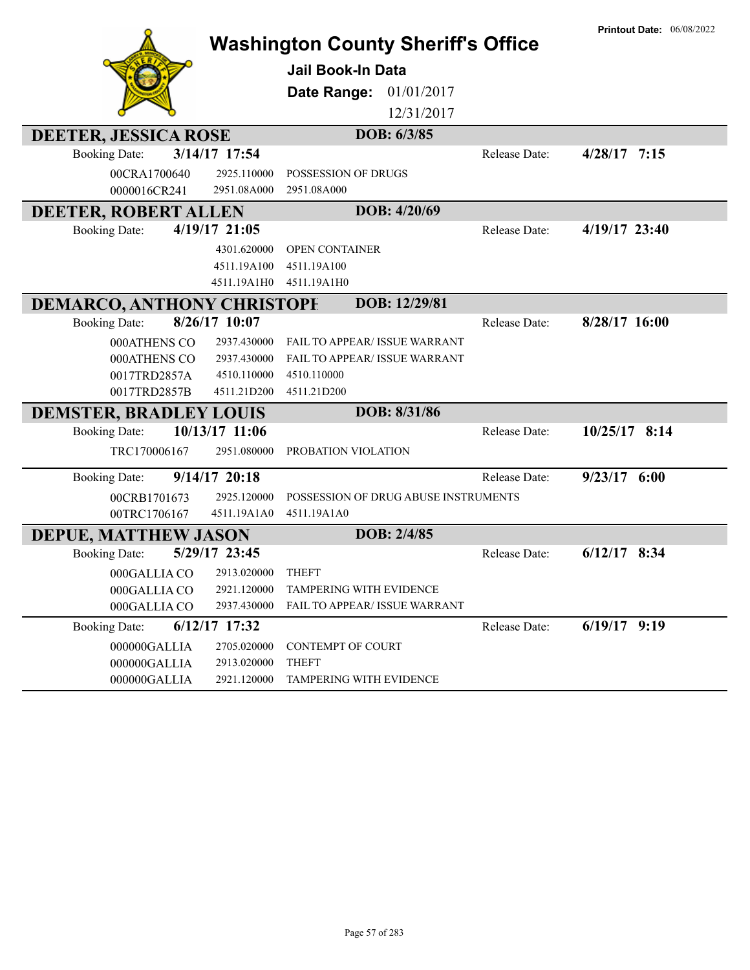|                                   |                   | <b>Washington County Sheriff's Office</b> |                      | <b>Printout Date: 06/08/2022</b> |
|-----------------------------------|-------------------|-------------------------------------------|----------------------|----------------------------------|
|                                   |                   | <b>Jail Book-In Data</b>                  |                      |                                  |
|                                   |                   | 01/01/2017<br>Date Range:                 |                      |                                  |
|                                   |                   | 12/31/2017                                |                      |                                  |
| <b>DEETER, JESSICA ROSE</b>       |                   | DOB: 6/3/85                               |                      |                                  |
| <b>Booking Date:</b>              | 3/14/17 17:54     |                                           | Release Date:        | $4/28/17$ 7:15                   |
| 00CRA1700640                      | 2925.110000       | POSSESSION OF DRUGS                       |                      |                                  |
| 0000016CR241                      | 2951.08A000       | 2951.08A000                               |                      |                                  |
| <b>DEETER, ROBERT ALLEN</b>       |                   | DOB: 4/20/69                              |                      |                                  |
| <b>Booking Date:</b>              | 4/19/17 21:05     |                                           | Release Date:        | $4/19/17$ 23:40                  |
|                                   | 4301.620000       | OPEN CONTAINER                            |                      |                                  |
|                                   | 4511.19A100       | 4511.19A100                               |                      |                                  |
|                                   | 4511.19A1H0       | 4511.19A1H0                               |                      |                                  |
| <b>DEMARCO, ANTHONY CHRISTOPE</b> |                   | DOB: 12/29/81                             |                      |                                  |
| <b>Booking Date:</b>              | 8/26/17 10:07     |                                           | Release Date:        | 8/28/17 16:00                    |
| 000ATHENS CO                      | 2937.430000       | <b>FAIL TO APPEAR/ ISSUE WARRANT</b>      |                      |                                  |
| 000ATHENS CO                      | 2937.430000       | FAIL TO APPEAR/ ISSUE WARRANT             |                      |                                  |
| 0017TRD2857A                      | 4510.110000       | 4510.110000                               |                      |                                  |
| 0017TRD2857B                      | 4511.21D200       | 4511.21D200                               |                      |                                  |
| <b>DEMSTER, BRADLEY LOUIS</b>     |                   | DOB: 8/31/86                              |                      |                                  |
| <b>Booking Date:</b>              | 10/13/17 11:06    |                                           | Release Date:        | $10/25/17$ 8:14                  |
| TRC170006167                      | 2951.080000       | PROBATION VIOLATION                       |                      |                                  |
| <b>Booking Date:</b>              | 9/14/17 20:18     |                                           | <b>Release Date:</b> | $9/23/17$ 6:00                   |
| 00CRB1701673                      | 2925.120000       | POSSESSION OF DRUG ABUSE INSTRUMENTS      |                      |                                  |
| 00TRC1706167                      | 4511.19A1A0       | 4511.19A1A0                               |                      |                                  |
| <b>DEPUE, MATTHEW JASON</b>       |                   | DOB: 2/4/85                               |                      |                                  |
| <b>Booking Date:</b>              | 5/29/17 23:45     |                                           | Release Date:        | $6/12/17$ 8:34                   |
| 000GALLIA CO                      | 2913.020000 THEFT |                                           |                      |                                  |
| 000GALLIA CO                      | 2921.120000       | TAMPERING WITH EVIDENCE                   |                      |                                  |
| 000GALLIA CO                      | 2937.430000       | FAIL TO APPEAR/ ISSUE WARRANT             |                      |                                  |
| <b>Booking Date:</b>              | $6/12/17$ 17:32   |                                           | Release Date:        | $6/19/17$ 9:19                   |
| 000000GALLIA                      | 2705.020000       | <b>CONTEMPT OF COURT</b>                  |                      |                                  |
| 000000GALLIA                      | 2913.020000       | <b>THEFT</b>                              |                      |                                  |
| 000000GALLIA                      | 2921.120000       | TAMPERING WITH EVIDENCE                   |                      |                                  |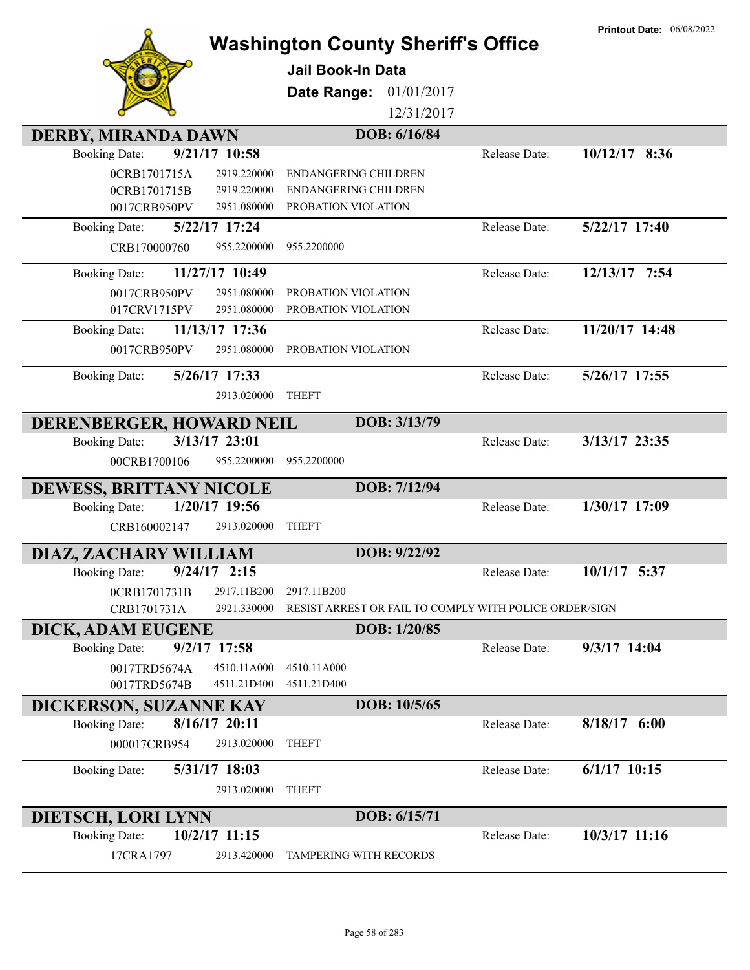|                                         |                                            | <b>Washington County Sheriff's Office</b>              | <b>Printout Date: 06/08/2022</b> |
|-----------------------------------------|--------------------------------------------|--------------------------------------------------------|----------------------------------|
|                                         | <b>Jail Book-In Data</b>                   |                                                        |                                  |
|                                         | Date Range:                                | 01/01/2017                                             |                                  |
|                                         |                                            | 12/31/2017                                             |                                  |
| <b>DERBY, MIRANDA DAWN</b>              |                                            | DOB: 6/16/84                                           |                                  |
| 9/21/17 10:58<br><b>Booking Date:</b>   |                                            | Release Date:                                          | $10/12/17$ 8:36                  |
| 0CRB1701715A                            | 2919.220000<br><b>ENDANGERING CHILDREN</b> |                                                        |                                  |
| 0CRB1701715B                            | 2919.220000<br><b>ENDANGERING CHILDREN</b> |                                                        |                                  |
| 0017CRB950PV                            | 2951.080000<br>PROBATION VIOLATION         |                                                        |                                  |
| 5/22/17 17:24<br><b>Booking Date:</b>   |                                            | Release Date:                                          | 5/22/17 17:40                    |
| CRB170000760                            | 955.2200000<br>955.2200000                 |                                                        |                                  |
| 11/27/17 10:49<br><b>Booking Date:</b>  |                                            | Release Date:                                          | 12/13/17 7:54                    |
| 0017CRB950PV                            | 2951.080000<br>PROBATION VIOLATION         |                                                        |                                  |
| 017CRV1715PV                            | 2951.080000<br>PROBATION VIOLATION         |                                                        |                                  |
| 11/13/17 17:36<br><b>Booking Date:</b>  |                                            | Release Date:                                          | 11/20/17 14:48                   |
| 0017CRB950PV                            | 2951.080000<br>PROBATION VIOLATION         |                                                        |                                  |
| 5/26/17 17:33<br><b>Booking Date:</b>   |                                            | Release Date:                                          | 5/26/17 17:55                    |
|                                         | 2913.020000<br><b>THEFT</b>                |                                                        |                                  |
| DERENBERGER, HOWARD NEIL                |                                            | DOB: 3/13/79                                           |                                  |
| 3/13/17 23:01<br><b>Booking Date:</b>   |                                            | Release Date:                                          | 3/13/17 23:35                    |
| 00CRB1700106                            | 955.2200000<br>955.2200000                 |                                                        |                                  |
| <b>DEWESS, BRITTANY NICOLE</b>          |                                            | DOB: 7/12/94                                           |                                  |
| 1/20/17 19:56<br><b>Booking Date:</b>   |                                            | Release Date:                                          | 1/30/17 17:09                    |
| CRB160002147                            | 2913.020000<br><b>THEFT</b>                |                                                        |                                  |
| DIAZ, ZACHARY WILLIAM                   |                                            | DOB: 9/22/92                                           |                                  |
| $9/24/17$ 2:15<br><b>Booking Date:</b>  |                                            | Release Date:                                          | $10/1/17$ 5:37                   |
| 0CRB1701731B                            | 2917.11B200<br>2917.11B200                 |                                                        |                                  |
| CRB1701731A                             | 2921.330000                                | RESIST ARREST OR FAIL TO COMPLY WITH POLICE ORDER/SIGN |                                  |
| <b>DICK, ADAM EUGENE</b>                |                                            | DOB: 1/20/85                                           |                                  |
| 9/2/17 17:58<br><b>Booking Date:</b>    |                                            | Release Date:                                          | 9/3/17 14:04                     |
| 0017TRD5674A                            | 4510.11A000<br>4510.11A000                 |                                                        |                                  |
| 0017TRD5674B                            | 4511.21D400<br>4511.21D400                 |                                                        |                                  |
| <b>DICKERSON, SUZANNE KAY</b>           |                                            | DOB: 10/5/65                                           |                                  |
| $8/16/17$ 20:11<br><b>Booking Date:</b> |                                            | Release Date:                                          | $8/18/17$ 6:00                   |
| 000017CRB954                            | <b>THEFT</b><br>2913.020000                |                                                        |                                  |
| 5/31/17 18:03<br><b>Booking Date:</b>   |                                            | Release Date:                                          | $6/1/17$ 10:15                   |
|                                         | 2913.020000<br><b>THEFT</b>                |                                                        |                                  |
| <b>DIETSCH, LORI LYNN</b>               |                                            | DOB: 6/15/71                                           |                                  |
| 10/2/17 11:15<br><b>Booking Date:</b>   |                                            | Release Date:                                          | $10/3/17$ 11:16                  |
| 17CRA1797                               | 2913.420000<br>TAMPERING WITH RECORDS      |                                                        |                                  |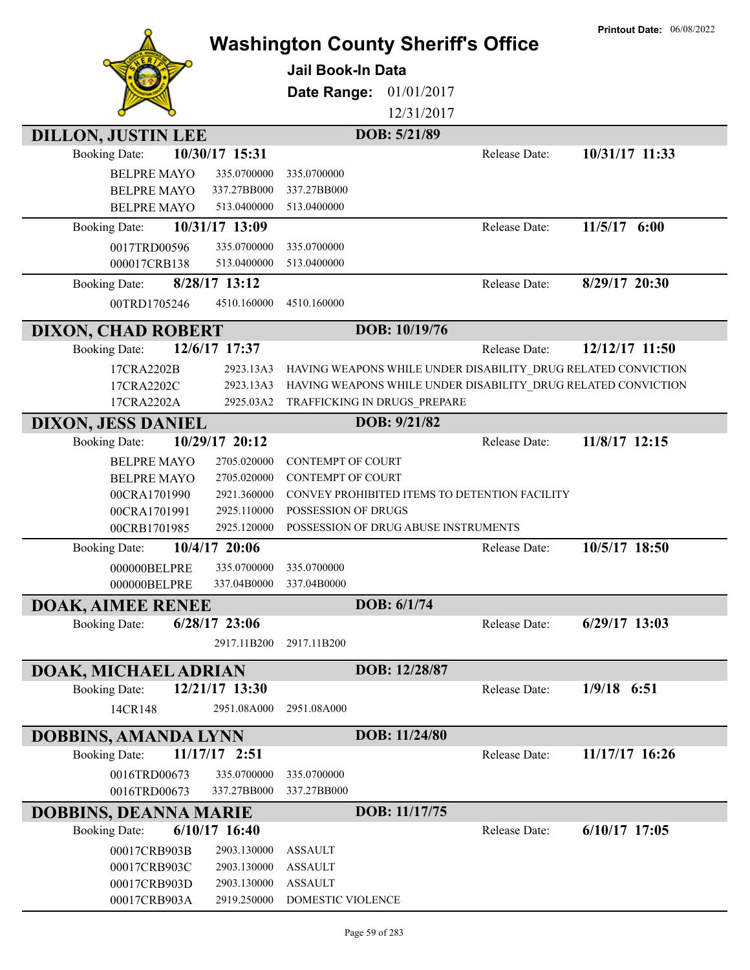| <b>DILLON, JUSTIN LEE</b><br><b>Booking Date:</b>                                | 10/30/17 15:31                                              | <b>Washington County Sheriff's Office</b><br><b>Jail Book-In Data</b><br>Date Range:<br>DOB: 5/21/89 | 01/01/2017<br>12/31/2017<br>Release Date:                                                                                      | <b>Printout Date: 06/08/2022</b><br>10/31/17 11:33 |
|----------------------------------------------------------------------------------|-------------------------------------------------------------|------------------------------------------------------------------------------------------------------|--------------------------------------------------------------------------------------------------------------------------------|----------------------------------------------------|
| <b>BELPRE MAYO</b><br><b>BELPRE MAYO</b><br><b>BELPRE MAYO</b>                   | 335.0700000<br>337.27BB000<br>513.0400000                   | 335.0700000<br>337.27BB000<br>513.0400000                                                            |                                                                                                                                |                                                    |
| <b>Booking Date:</b><br>0017TRD00596<br>000017CRB138                             | 10/31/17 13:09<br>335.0700000<br>513.0400000                | 335.0700000<br>513.0400000                                                                           | Release Date:                                                                                                                  | 11/5/17 6:00                                       |
| <b>Booking Date:</b><br>00TRD1705246                                             | 8/28/17 13:12<br>4510.160000                                | 4510.160000                                                                                          | Release Date:                                                                                                                  | 8/29/17 20:30                                      |
| <b>DIXON, CHAD ROBERT</b>                                                        |                                                             | DOB: 10/19/76                                                                                        |                                                                                                                                |                                                    |
| <b>Booking Date:</b>                                                             | 12/6/17 17:37                                               |                                                                                                      | Release Date:                                                                                                                  | 12/12/17 11:50                                     |
| 17CRA2202B<br>17CRA2202C<br>17CRA2202A                                           | 2923.13A3<br>2923.13A3<br>2925.03A2                         | TRAFFICKING IN DRUGS PREPARE                                                                         | HAVING WEAPONS WHILE UNDER DISABILITY_DRUG RELATED CONVICTION<br>HAVING WEAPONS WHILE UNDER DISABILITY_DRUG RELATED CONVICTION |                                                    |
| <b>DIXON, JESS DANIEL</b>                                                        |                                                             | DOB: 9/21/82                                                                                         |                                                                                                                                |                                                    |
| <b>Booking Date:</b><br><b>BELPRE MAYO</b><br><b>BELPRE MAYO</b><br>00CRA1701990 | 10/29/17 20:12<br>2705.020000<br>2705.020000<br>2921.360000 | <b>CONTEMPT OF COURT</b><br><b>CONTEMPT OF COURT</b>                                                 | Release Date:<br>CONVEY PROHIBITED ITEMS TO DETENTION FACILITY                                                                 | 11/8/17 12:15                                      |
| 00CRA1701991<br>00CRB1701985                                                     | 2925.110000<br>2925.120000                                  | POSSESSION OF DRUGS<br>POSSESSION OF DRUG ABUSE INSTRUMENTS                                          |                                                                                                                                |                                                    |
| <b>Booking Date:</b><br>000000BELPRE<br>000000BELPRE                             | 10/4/17 20:06<br>335.0700000<br>337.04B0000                 | 335.0700000<br>337.04B0000                                                                           | Release Date:                                                                                                                  | 10/5/17 18:50                                      |
| <b>DOAK, AIMEE RENEE</b>                                                         |                                                             | DOB: 6/1/74                                                                                          |                                                                                                                                |                                                    |
| <b>Booking Date:</b>                                                             | $6/28/17$ 23:06<br>2917.11B200                              | 2917.11B200                                                                                          | Release Date:                                                                                                                  | $6/29/17$ 13:03                                    |
| DOAK, MICHAEL ADRIAN                                                             |                                                             | DOB: 12/28/87                                                                                        |                                                                                                                                |                                                    |
| <b>Booking Date:</b><br>14CR148                                                  | 12/21/17 13:30<br>2951.08A000                               | 2951.08A000                                                                                          | Release Date:                                                                                                                  | $1/9/18$ 6:51                                      |
| <b>DOBBINS, AMANDA LYNN</b>                                                      |                                                             | DOB: 11/24/80                                                                                        |                                                                                                                                |                                                    |
| <b>Booking Date:</b>                                                             | 11/17/17 2:51                                               |                                                                                                      | Release Date:                                                                                                                  | 11/17/17 16:26                                     |
| 0016TRD00673                                                                     | 335.0700000                                                 | 335.0700000                                                                                          |                                                                                                                                |                                                    |
| 0016TRD00673                                                                     | 337.27BB000                                                 | 337.27BB000                                                                                          |                                                                                                                                |                                                    |
| <b>DOBBINS, DEANNA MARIE</b>                                                     |                                                             | DOB: 11/17/75                                                                                        |                                                                                                                                |                                                    |
| <b>Booking Date:</b>                                                             | $6/10/17$ 16:40                                             |                                                                                                      | Release Date:                                                                                                                  | $6/10/17$ 17:05                                    |
| 00017CRB903B                                                                     | 2903.130000                                                 | <b>ASSAULT</b>                                                                                       |                                                                                                                                |                                                    |
| 00017CRB903C                                                                     | 2903.130000                                                 | <b>ASSAULT</b>                                                                                       |                                                                                                                                |                                                    |
| 00017CRB903D                                                                     | 2903.130000                                                 | <b>ASSAULT</b>                                                                                       |                                                                                                                                |                                                    |
| 00017CRB903A                                                                     | 2919.250000                                                 | DOMESTIC VIOLENCE                                                                                    |                                                                                                                                |                                                    |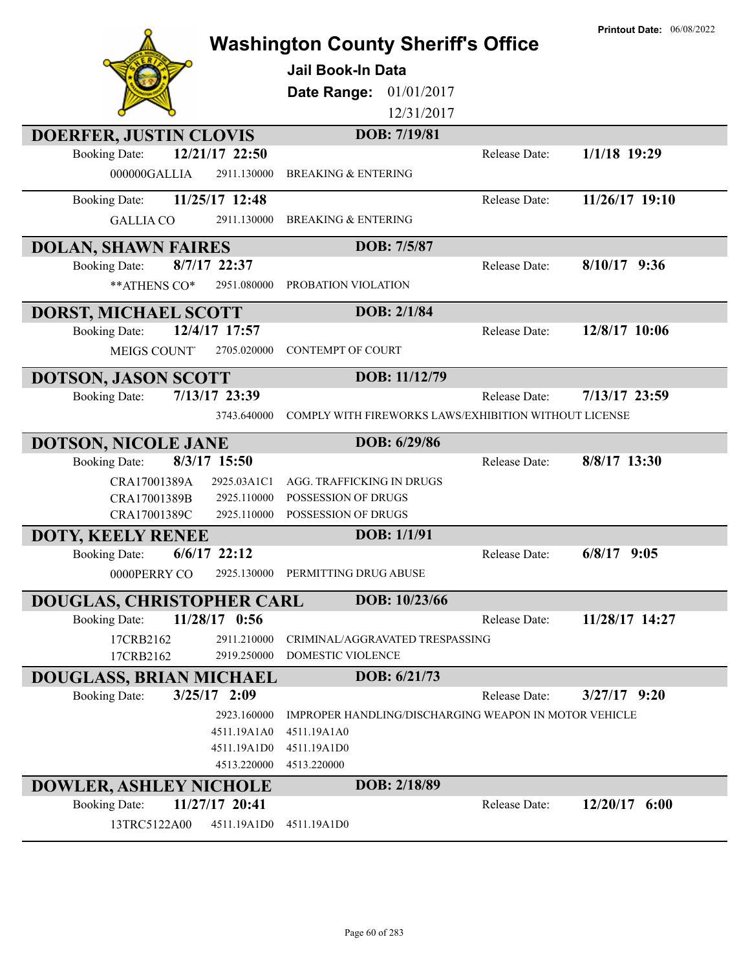|                                      |                               | <b>Washington County Sheriff's Office</b>             |               | <b>Printout Date: 06/08/2022</b> |
|--------------------------------------|-------------------------------|-------------------------------------------------------|---------------|----------------------------------|
|                                      |                               | <b>Jail Book-In Data</b>                              |               |                                  |
|                                      |                               |                                                       |               |                                  |
|                                      |                               | 01/01/2017<br>Date Range:                             |               |                                  |
|                                      |                               | 12/31/2017                                            |               |                                  |
| <b>DOERFER, JUSTIN CLOVIS</b>        |                               | DOB: 7/19/81                                          |               |                                  |
| <b>Booking Date:</b>                 | 12/21/17 22:50                |                                                       | Release Date: | $1/1/18$ 19:29                   |
| 000000GALLIA                         | 2911.130000                   | <b>BREAKING &amp; ENTERING</b>                        |               |                                  |
| <b>Booking Date:</b>                 | 11/25/17 12:48                |                                                       | Release Date: | 11/26/17 19:10                   |
| <b>GALLIA CO</b>                     | 2911.130000                   | <b>BREAKING &amp; ENTERING</b>                        |               |                                  |
| <b>DOLAN, SHAWN FAIRES</b>           |                               | DOB: 7/5/87                                           |               |                                  |
| <b>Booking Date:</b>                 | 8/7/17 22:37                  |                                                       | Release Date: | $8/10/17$ 9:36                   |
| ** ATHENS CO*                        | 2951.080000                   | PROBATION VIOLATION                                   |               |                                  |
| DORST, MICHAEL SCOTT                 |                               | DOB: 2/1/84                                           |               |                                  |
| <b>Booking Date:</b>                 | 12/4/17 17:57                 |                                                       | Release Date: | 12/8/17 10:06                    |
| <b>MEIGS COUNT</b>                   | 2705.020000                   | <b>CONTEMPT OF COURT</b>                              |               |                                  |
| <b>DOTSON, JASON SCOTT</b>           |                               | DOB: 11/12/79                                         |               |                                  |
| <b>Booking Date:</b>                 | 7/13/17 23:39                 |                                                       | Release Date: | 7/13/17 23:59                    |
|                                      | 3743.640000                   | COMPLY WITH FIREWORKS LAWS/EXHIBITION WITHOUT LICENSE |               |                                  |
| <b>DOTSON, NICOLE JANE</b>           |                               | DOB: 6/29/86                                          |               |                                  |
| <b>Booking Date:</b>                 | 8/3/17 15:50                  |                                                       | Release Date: | 8/8/17 13:30                     |
|                                      |                               |                                                       |               |                                  |
| CRA17001389A                         | 2925.03A1C1                   | AGG. TRAFFICKING IN DRUGS                             |               |                                  |
| CRA17001389B                         | 2925.110000                   | POSSESSION OF DRUGS                                   |               |                                  |
| CRA17001389C                         | 2925.110000                   | POSSESSION OF DRUGS                                   |               |                                  |
| <b>DOTY, KEELY RENEE</b>             |                               | DOB: 1/1/91                                           |               |                                  |
| <b>Booking Date:</b>                 | $6/6/17$ 22:12                |                                                       | Release Date: | 6/8/17<br>9:05                   |
| 0000PERRY CO                         |                               | 2925.130000 PERMITTING DRUG ABUSE                     |               |                                  |
| DOUGLAS, CHRISTOPHER CARL            |                               | DOB: 10/23/66                                         |               |                                  |
| <b>Booking Date:</b>                 | $11/28/17$ 0:56               |                                                       | Release Date: | 11/28/17 14:27                   |
| 17CRB2162                            | 2911.210000                   | CRIMINAL/AGGRAVATED TRESPASSING                       |               |                                  |
| 17CRB2162                            | 2919.250000                   | DOMESTIC VIOLENCE                                     |               |                                  |
| <b>DOUGLASS, BRIAN MICHAEL</b>       |                               | DOB: 6/21/73                                          |               |                                  |
| <b>Booking Date:</b>                 | $3/25/17$ 2:09                |                                                       | Release Date: | $3/27/17$ 9:20                   |
|                                      | 2923.160000                   | IMPROPER HANDLING/DISCHARGING WEAPON IN MOTOR VEHICLE |               |                                  |
|                                      | 4511.19A1A0                   | 4511.19A1A0                                           |               |                                  |
|                                      | 4511.19A1D0                   | 4511.19A1D0                                           |               |                                  |
|                                      | 4513.220000                   | 4513.220000                                           |               |                                  |
| <b>DOWLER, ASHLEY NICHOLE</b>        |                               | DOB: 2/18/89                                          |               |                                  |
| <b>Booking Date:</b><br>13TRC5122A00 | 11/27/17 20:41<br>4511.19A1D0 | 4511.19A1D0                                           | Release Date: | $12/20/17$ 6:00                  |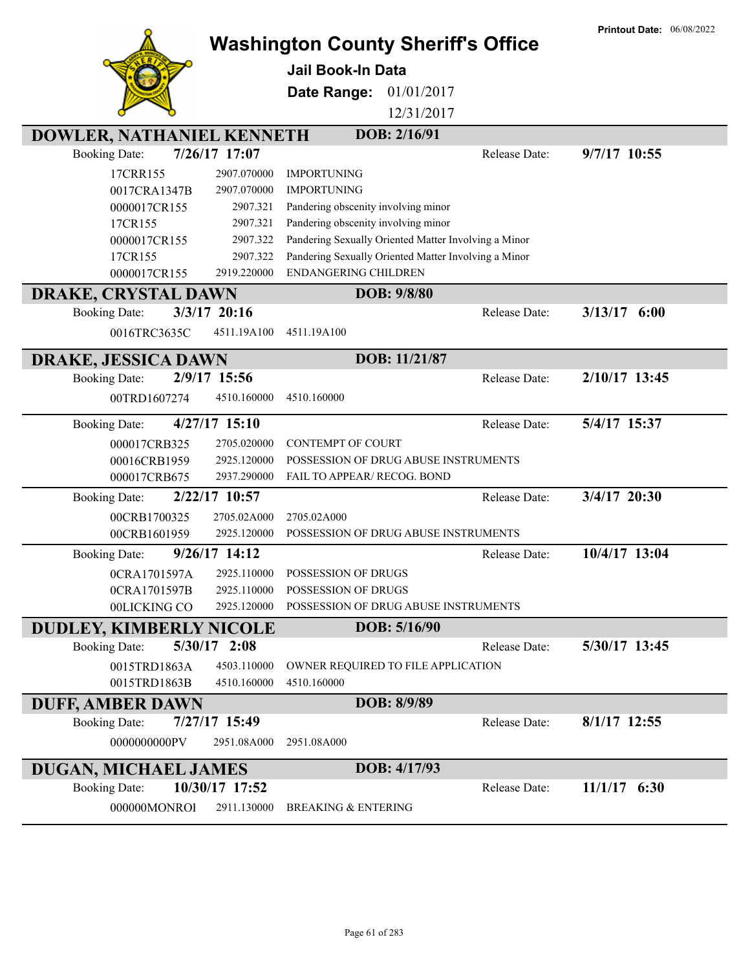|                                          | <b>Washington County Sheriff's Office</b>                                                                           |               | <b>Printout Date: 06/08/2022</b> |
|------------------------------------------|---------------------------------------------------------------------------------------------------------------------|---------------|----------------------------------|
|                                          |                                                                                                                     |               |                                  |
|                                          | <b>Jail Book-In Data</b>                                                                                            |               |                                  |
|                                          | Date Range:<br>01/01/2017                                                                                           |               |                                  |
|                                          | 12/31/2017                                                                                                          |               |                                  |
| DOWLER, NATHANIEL KENNETH                | DOB: 2/16/91                                                                                                        |               |                                  |
| 7/26/17 17:07<br><b>Booking Date:</b>    |                                                                                                                     | Release Date: | 9/7/17 10:55                     |
| 17CRR155                                 | 2907.070000<br><b>IMPORTUNING</b>                                                                                   |               |                                  |
| 0017CRA1347B                             | 2907.070000<br><b>IMPORTUNING</b>                                                                                   |               |                                  |
| 0000017CR155                             | 2907.321<br>Pandering obscenity involving minor                                                                     |               |                                  |
| 17CR155<br>0000017CR155                  | Pandering obscenity involving minor<br>2907.321<br>Pandering Sexually Oriented Matter Involving a Minor<br>2907.322 |               |                                  |
| 17CR155                                  | Pandering Sexually Oriented Matter Involving a Minor<br>2907.322                                                    |               |                                  |
| 0000017CR155                             | ENDANGERING CHILDREN<br>2919.220000                                                                                 |               |                                  |
| <b>DRAKE, CRYSTAL DAWN</b>               | DOB: 9/8/80                                                                                                         |               |                                  |
| 3/3/17 20:16<br><b>Booking Date:</b>     |                                                                                                                     | Release Date: | $3/13/17$ 6:00                   |
| 0016TRC3635C                             | 4511.19A100<br>4511.19A100                                                                                          |               |                                  |
| <b>DRAKE, JESSICA DAWN</b>               | DOB: 11/21/87                                                                                                       |               |                                  |
| 2/9/17 15:56<br><b>Booking Date:</b>     |                                                                                                                     | Release Date: | 2/10/17 13:45                    |
| 00TRD1607274                             | 4510.160000<br>4510.160000                                                                                          |               |                                  |
| 4/27/17 15:10<br><b>Booking Date:</b>    |                                                                                                                     | Release Date: | 5/4/17 15:37                     |
| 000017CRB325                             | 2705.020000<br><b>CONTEMPT OF COURT</b>                                                                             |               |                                  |
| 00016CRB1959                             | 2925.120000<br>POSSESSION OF DRUG ABUSE INSTRUMENTS                                                                 |               |                                  |
| 000017CRB675                             | 2937.290000<br>FAIL TO APPEAR/ RECOG. BOND                                                                          |               |                                  |
| 2/22/17 10:57<br><b>Booking Date:</b>    |                                                                                                                     | Release Date: | 3/4/17 20:30                     |
| 00CRB1700325                             | 2705.02A000<br>2705.02A000                                                                                          |               |                                  |
| 00CRB1601959                             | 2925.120000<br>POSSESSION OF DRUG ABUSE INSTRUMENTS                                                                 |               |                                  |
| 9/26/17 14:12<br><b>Booking Date:</b>    |                                                                                                                     | Release Date: | 10/4/17 13:04                    |
| 0CRA1701597A                             | 2925.110000 POSSESSION OF DRUGS                                                                                     |               |                                  |
| 0CRA1701597B                             | 2925.110000<br>POSSESSION OF DRUGS                                                                                  |               |                                  |
| 00LICKING CO                             | POSSESSION OF DRUG ABUSE INSTRUMENTS<br>2925.120000                                                                 |               |                                  |
| <b>DUDLEY, KIMBERLY NICOLE</b>           | DOB: 5/16/90                                                                                                        |               |                                  |
| $5/30/17$ 2:08<br><b>Booking Date:</b>   |                                                                                                                     | Release Date: | 5/30/17 13:45                    |
| 0015TRD1863A<br>0015TRD1863B             | 4503.110000<br>OWNER REQUIRED TO FILE APPLICATION<br>4510.160000<br>4510.160000                                     |               |                                  |
|                                          |                                                                                                                     |               |                                  |
| <b>DUFF, AMBER DAWN</b><br>7/27/17 15:49 | DOB: 8/9/89                                                                                                         | Release Date: | $8/1/17$ 12:55                   |
| <b>Booking Date:</b>                     |                                                                                                                     |               |                                  |
| 0000000000PV                             | 2951.08A000<br>2951.08A000                                                                                          |               |                                  |
| <b>DUGAN, MICHAEL JAMES</b>              | DOB: 4/17/93                                                                                                        |               |                                  |
| 10/30/17 17:52<br><b>Booking Date:</b>   |                                                                                                                     | Release Date: | $11/1/17$ 6:30                   |
| 000000MONROI                             | 2911.130000<br><b>BREAKING &amp; ENTERING</b>                                                                       |               |                                  |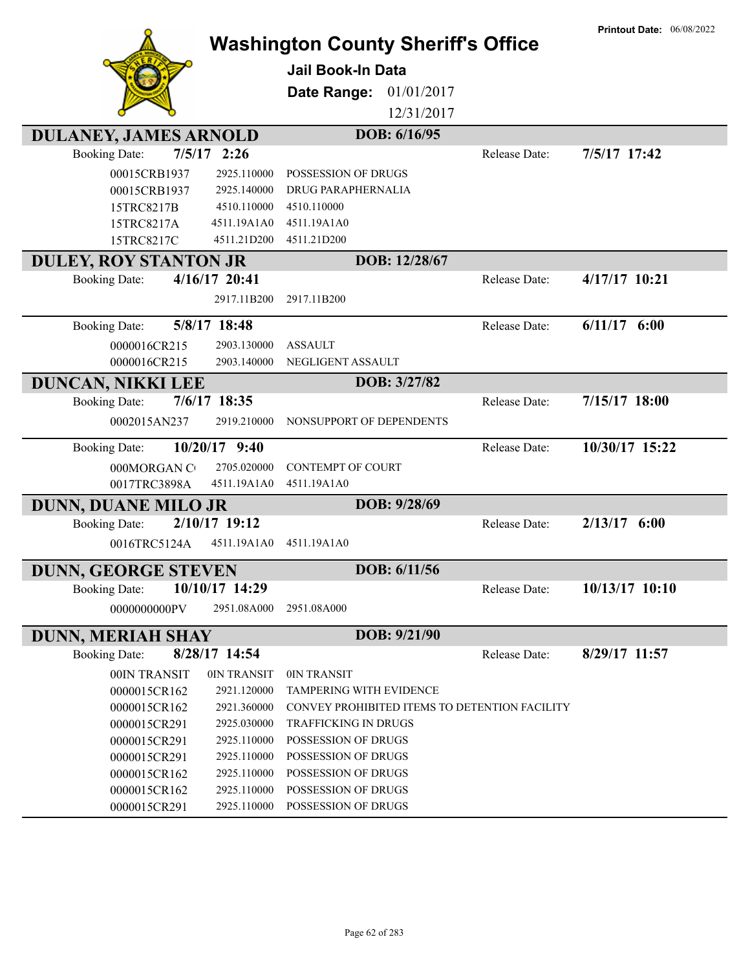|                                                      |                            | <b>Washington County Sheriff's Office</b>  |               |                                               | <b>Printout Date: 06/08/2022</b> |
|------------------------------------------------------|----------------------------|--------------------------------------------|---------------|-----------------------------------------------|----------------------------------|
|                                                      |                            | <b>Jail Book-In Data</b>                   |               |                                               |                                  |
|                                                      |                            | Date Range:                                | 01/01/2017    |                                               |                                  |
|                                                      |                            |                                            | 12/31/2017    |                                               |                                  |
|                                                      |                            |                                            | DOB: 6/16/95  |                                               |                                  |
| <b>DULANEY, JAMES ARNOLD</b><br><b>Booking Date:</b> | $7/5/17$ 2:26              |                                            |               | Release Date:                                 | 7/5/17 17:42                     |
| 00015CRB1937                                         | 2925.110000                | POSSESSION OF DRUGS                        |               |                                               |                                  |
| 00015CRB1937                                         | 2925.140000                | <b>DRUG PARAPHERNALIA</b>                  |               |                                               |                                  |
| 15TRC8217B                                           | 4510.110000                | 4510.110000                                |               |                                               |                                  |
| 15TRC8217A                                           | 4511.19A1A0                | 4511.19A1A0                                |               |                                               |                                  |
| 15TRC8217C                                           | 4511.21D200                | 4511.21D200                                |               |                                               |                                  |
| <b>DULEY, ROY STANTON JR</b>                         |                            |                                            | DOB: 12/28/67 |                                               |                                  |
| <b>Booking Date:</b>                                 | 4/16/17 20:41              |                                            |               | Release Date:                                 | 4/17/17 10:21                    |
|                                                      | 2917.11B200                | 2917.11B200                                |               |                                               |                                  |
| <b>Booking Date:</b>                                 | 5/8/17 18:48               |                                            |               | Release Date:                                 | $6/11/17$ $6:00$                 |
| 0000016CR215                                         | 2903.130000                | <b>ASSAULT</b>                             |               |                                               |                                  |
| 0000016CR215                                         | 2903.140000                | NEGLIGENT ASSAULT                          |               |                                               |                                  |
| <b>DUNCAN, NIKKI LEE</b>                             |                            |                                            | DOB: 3/27/82  |                                               |                                  |
| <b>Booking Date:</b>                                 | 7/6/17 18:35               |                                            |               | Release Date:                                 | 7/15/17 18:00                    |
| 0002015AN237                                         | 2919.210000                | NONSUPPORT OF DEPENDENTS                   |               |                                               |                                  |
| <b>Booking Date:</b>                                 | 10/20/17 9:40              |                                            |               | Release Date:                                 | 10/30/17 15:22                   |
| 000MORGAN C                                          | 2705.020000                | <b>CONTEMPT OF COURT</b>                   |               |                                               |                                  |
| 0017TRC3898A                                         | 4511.19A1A0                | 4511.19A1A0                                |               |                                               |                                  |
| <b>DUNN, DUANE MILO JR</b>                           |                            |                                            | DOB: 9/28/69  |                                               |                                  |
| <b>Booking Date:</b>                                 | 2/10/17 19:12              |                                            |               | Release Date:                                 | $2/13/17$ 6:00                   |
| 0016TRC5124A                                         | 4511.19A1A0                | 4511.19A1A0                                |               |                                               |                                  |
| <b>DUNN, GEORGE STEVEN</b>                           |                            |                                            | DOB: 6/11/56  |                                               |                                  |
| <b>Booking Date:</b>                                 | 10/10/17 14:29             |                                            |               | Release Date:                                 | 10/13/17 10:10                   |
| 0000000000PV                                         | 2951.08A000                | 2951.08A000                                |               |                                               |                                  |
| <b>DUNN, MERIAH SHAY</b>                             |                            |                                            | DOB: 9/21/90  |                                               |                                  |
| <b>Booking Date:</b>                                 | 8/28/17 14:54              |                                            |               | Release Date:                                 | 8/29/17 11:57                    |
| 00IN TRANSIT                                         | 0IN TRANSIT                | 0IN TRANSIT                                |               |                                               |                                  |
| 0000015CR162                                         | 2921.120000                | <b>TAMPERING WITH EVIDENCE</b>             |               |                                               |                                  |
| 0000015CR162                                         | 2921.360000                |                                            |               | CONVEY PROHIBITED ITEMS TO DETENTION FACILITY |                                  |
| 0000015CR291                                         | 2925.030000                | <b>TRAFFICKING IN DRUGS</b>                |               |                                               |                                  |
| 0000015CR291                                         | 2925.110000                | POSSESSION OF DRUGS                        |               |                                               |                                  |
| 0000015CR291                                         | 2925.110000                | POSSESSION OF DRUGS                        |               |                                               |                                  |
| 0000015CR162<br>0000015CR162                         | 2925.110000<br>2925.110000 | POSSESSION OF DRUGS<br>POSSESSION OF DRUGS |               |                                               |                                  |
| 0000015CR291                                         | 2925.110000                | POSSESSION OF DRUGS                        |               |                                               |                                  |
|                                                      |                            |                                            |               |                                               |                                  |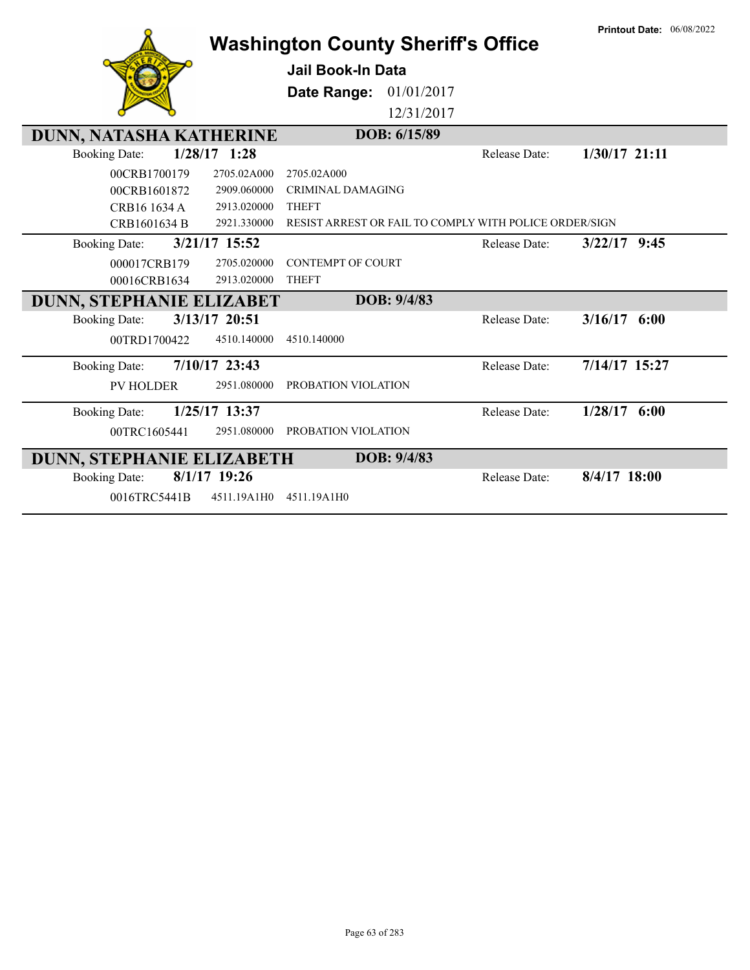|                                         | <b>Washington County Sheriff's Office</b>              |                      | <b>Printout Date: 06/08/2022</b> |
|-----------------------------------------|--------------------------------------------------------|----------------------|----------------------------------|
|                                         |                                                        |                      |                                  |
|                                         | <b>Jail Book-In Data</b>                               |                      |                                  |
|                                         | <b>Date Range: 01/01/2017</b>                          |                      |                                  |
|                                         | 12/31/2017                                             |                      |                                  |
| DUNN, NATASHA KATHERINE                 | DOB: 6/15/89                                           |                      |                                  |
| $1/28/17$ 1:28<br><b>Booking Date:</b>  |                                                        | Release Date:        | $1/30/17$ 21:11                  |
| 00CRB1700179<br>2705.02A000             | 2705.02A000                                            |                      |                                  |
| 00CRB1601872<br>2909.060000             | <b>CRIMINAL DAMAGING</b>                               |                      |                                  |
| CRB16 1634 A<br>2913.020000             | <b>THEFT</b>                                           |                      |                                  |
| 2921.330000<br>CRB1601634 B             | RESIST ARREST OR FAIL TO COMPLY WITH POLICE ORDER/SIGN |                      |                                  |
| 3/21/17 15:52<br><b>Booking Date:</b>   |                                                        | <b>Release Date:</b> | $3/22/17$ 9:45                   |
| 2705.020000<br>000017CRB179             | <b>CONTEMPT OF COURT</b>                               |                      |                                  |
| 2913.020000<br>00016CRB1634             | <b>THEFT</b>                                           |                      |                                  |
| DUNN, STEPHANIE ELIZABET                | DOB: 9/4/83                                            |                      |                                  |
| 3/13/17 20:51<br><b>Booking Date:</b>   |                                                        | <b>Release Date:</b> | $3/16/17$ 6:00                   |
| 00TRD1700422<br>4510.140000             | 4510.140000                                            |                      |                                  |
| $7/10/17$ 23:43<br><b>Booking Date:</b> |                                                        | Release Date:        | 7/14/17 15:27                    |
| <b>PV HOLDER</b><br>2951.080000         | PROBATION VIOLATION                                    |                      |                                  |
| 1/25/17 13:37<br><b>Booking Date:</b>   |                                                        | Release Date:        | 1/28/17<br>6:00                  |
| 00TRC1605441<br>2951.080000             | PROBATION VIOLATION                                    |                      |                                  |
| DUNN, STEPHANIE ELIZABETH               | DOB: 9/4/83                                            |                      |                                  |
| 8/1/17 19:26<br><b>Booking Date:</b>    |                                                        | Release Date:        | $8/4/17$ 18:00                   |
| 0016TRC5441B<br>4511.19A1H0             | 4511.19A1H0                                            |                      |                                  |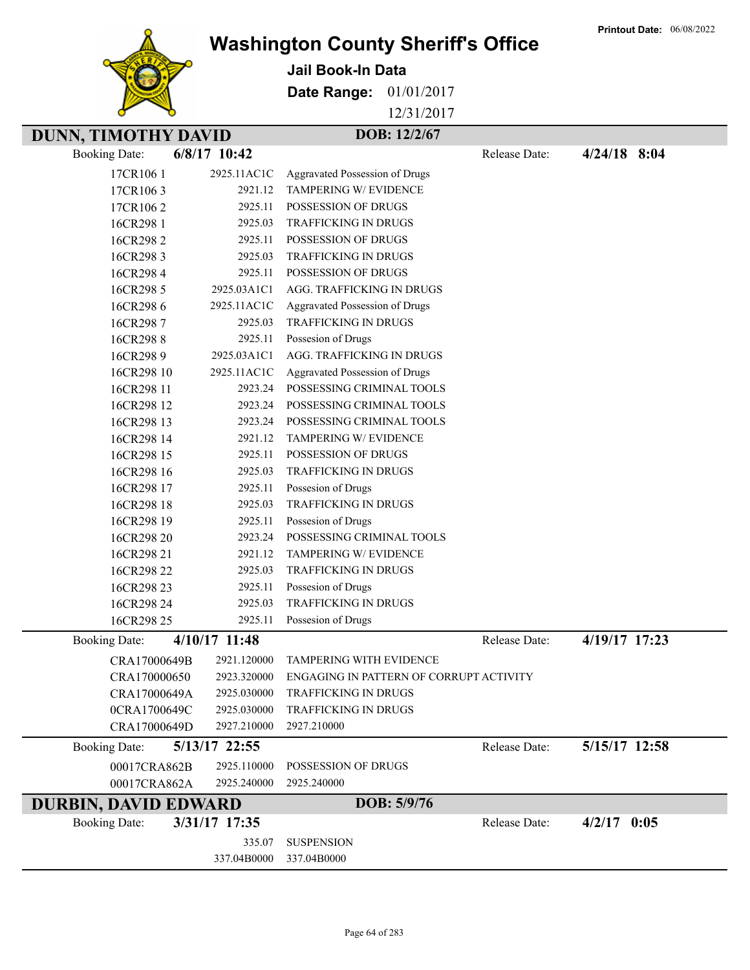**Printout Date:** 06/08/2022



## **Washington County Sheriff's Office**

**Jail Book-In Data**

**Date Range:** 01/01/2017

12/31/2017

## **DUNN, TIMOTHY DAVID DOB: 12/2/67**

Booking Date: **6/8/17 10:42** Release Date: **4/24/18 8:04**

| 17CR1061             | 2925.11AC1C   | Aggravated Possession of Drugs          |               |               |  |
|----------------------|---------------|-----------------------------------------|---------------|---------------|--|
| 17CR1063             | 2921.12       | TAMPERING W/ EVIDENCE                   |               |               |  |
| 17CR1062             | 2925.11       | POSSESSION OF DRUGS                     |               |               |  |
| 16CR298 1            | 2925.03       | <b>TRAFFICKING IN DRUGS</b>             |               |               |  |
| 16CR2982             | 2925.11       | POSSESSION OF DRUGS                     |               |               |  |
| 16CR2983             | 2925.03       | <b>TRAFFICKING IN DRUGS</b>             |               |               |  |
| 16CR2984             | 2925.11       | POSSESSION OF DRUGS                     |               |               |  |
| 16CR298 5            | 2925.03A1C1   | AGG. TRAFFICKING IN DRUGS               |               |               |  |
| 16CR2986             | 2925.11AC1C   | Aggravated Possession of Drugs          |               |               |  |
| 16CR2987             | 2925.03       | TRAFFICKING IN DRUGS                    |               |               |  |
| 16CR2988             | 2925.11       | Possesion of Drugs                      |               |               |  |
| 16CR2989             | 2925.03A1C1   | AGG. TRAFFICKING IN DRUGS               |               |               |  |
| 16CR298 10           | 2925.11AC1C   | Aggravated Possession of Drugs          |               |               |  |
| 16CR298 11           | 2923.24       | POSSESSING CRIMINAL TOOLS               |               |               |  |
| 16CR298 12           | 2923.24       | POSSESSING CRIMINAL TOOLS               |               |               |  |
| 16CR298 13           | 2923.24       | POSSESSING CRIMINAL TOOLS               |               |               |  |
| 16CR298 14           | 2921.12       | TAMPERING W/ EVIDENCE                   |               |               |  |
| 16CR298 15           | 2925.11       | POSSESSION OF DRUGS                     |               |               |  |
| 16CR298 16           | 2925.03       | TRAFFICKING IN DRUGS                    |               |               |  |
| 16CR298 17           | 2925.11       | Possesion of Drugs                      |               |               |  |
| 16CR298 18           | 2925.03       | <b>TRAFFICKING IN DRUGS</b>             |               |               |  |
| 16CR298 19           | 2925.11       | Possesion of Drugs                      |               |               |  |
| 16CR298 20           | 2923.24       | POSSESSING CRIMINAL TOOLS               |               |               |  |
| 16CR298 21           | 2921.12       | TAMPERING W/ EVIDENCE                   |               |               |  |
| 16CR298 22           | 2925.03       | TRAFFICKING IN DRUGS                    |               |               |  |
| 16CR298 23           | 2925.11       | Possesion of Drugs                      |               |               |  |
| 16CR298 24           | 2925.03       | TRAFFICKING IN DRUGS                    |               |               |  |
| 16CR298 25           | 2925.11       | Possesion of Drugs                      |               |               |  |
| <b>Booking Date:</b> | 4/10/17 11:48 |                                         | Release Date: | 4/19/17 17:23 |  |
| CRA17000649B         | 2921.120000   | <b>TAMPERING WITH EVIDENCE</b>          |               |               |  |
| CRA170000650         | 2923.320000   | ENGAGING IN PATTERN OF CORRUPT ACTIVITY |               |               |  |
| CRA17000649A         | 2925.030000   | TRAFFICKING IN DRUGS                    |               |               |  |
| 0CRA1700649C         | 2925.030000   | <b>TRAFFICKING IN DRUGS</b>             |               |               |  |
| CRA17000649D         | 2927.210000   | 2927.210000                             |               |               |  |
| <b>Booking Date:</b> | 5/13/17 22:55 |                                         | Release Date: | 5/15/17 12:58 |  |
| 00017CRA862B         | 2925.110000   | POSSESSION OF DRUGS                     |               |               |  |
| 00017CRA862A         | 2925.240000   | 2925.240000                             |               |               |  |
| DURBIN, DAVID EDWARD |               | DOB: 5/9/76                             |               |               |  |
| <b>Booking Date:</b> | 3/31/17 17:35 |                                         | Release Date: | $4/2/17$ 0:05 |  |
|                      | 335.07        | <b>SUSPENSION</b>                       |               |               |  |
|                      | 337.04B0000   | 337.04B0000                             |               |               |  |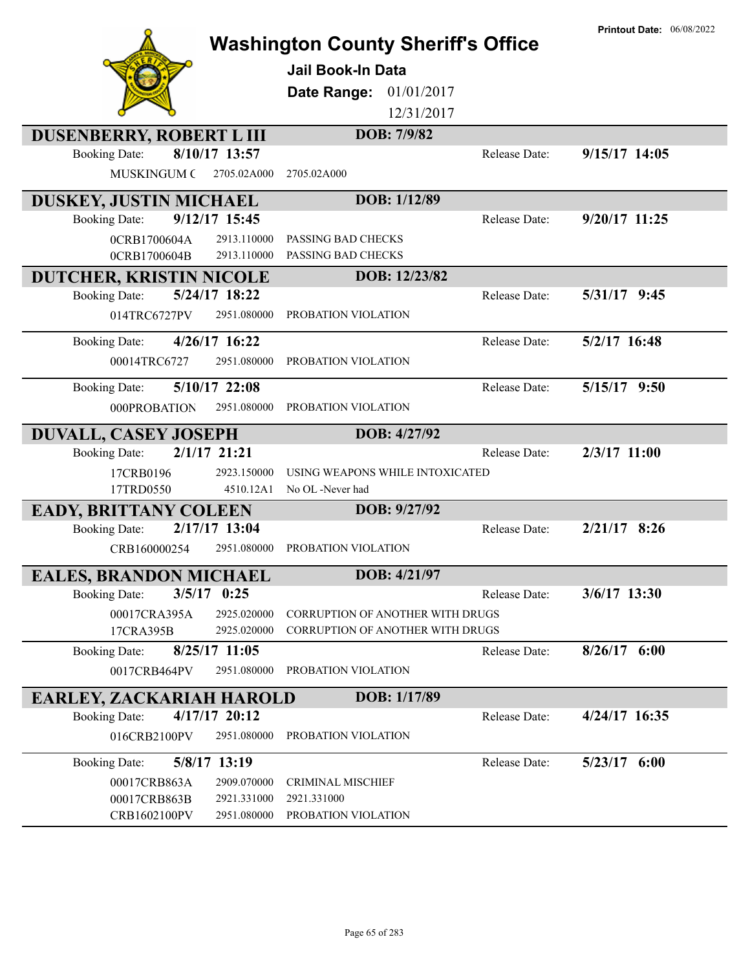|                                                  |                  | <b>Washington County Sheriff's Office</b><br><b>Jail Book-In Data</b><br>01/01/2017<br>Date Range:<br>12/31/2017<br>DOB: 7/9/82 |               | <b>Printout Date: 06/08/2022</b> |
|--------------------------------------------------|------------------|---------------------------------------------------------------------------------------------------------------------------------|---------------|----------------------------------|
| DUSENBERRY, ROBERT L III<br><b>Booking Date:</b> | 8/10/17 13:57    |                                                                                                                                 | Release Date: | $9/15/17$ 14:05                  |
| <b>MUSKINGUM C</b>                               | 2705.02A000      | 2705.02A000                                                                                                                     |               |                                  |
| <b>DUSKEY, JUSTIN MICHAEL</b>                    |                  | DOB: 1/12/89                                                                                                                    |               |                                  |
| <b>Booking Date:</b>                             | $9/12/17$ 15:45  |                                                                                                                                 | Release Date: | 9/20/17 11:25                    |
| 0CRB1700604A                                     | 2913.110000      | PASSING BAD CHECKS                                                                                                              |               |                                  |
| 0CRB1700604B                                     | 2913.110000      | PASSING BAD CHECKS                                                                                                              |               |                                  |
| <b>DUTCHER, KRISTIN NICOLE</b>                   |                  | DOB: 12/23/82                                                                                                                   |               |                                  |
| <b>Booking Date:</b>                             | 5/24/17 18:22    |                                                                                                                                 | Release Date: | 5/31/17 9:45                     |
| 014TRC6727PV                                     | 2951.080000      | PROBATION VIOLATION                                                                                                             |               |                                  |
| <b>Booking Date:</b>                             | 4/26/17 16:22    |                                                                                                                                 | Release Date: | 5/2/17 16:48                     |
| 00014TRC6727                                     | 2951.080000      | PROBATION VIOLATION                                                                                                             |               |                                  |
| <b>Booking Date:</b>                             | 5/10/17 22:08    |                                                                                                                                 | Release Date: | 5/15/17 9:50                     |
| 000PROBATION                                     | 2951.080000      | PROBATION VIOLATION                                                                                                             |               |                                  |
| DUVALL, CASEY JOSEPH                             |                  | DOB: 4/27/92                                                                                                                    |               |                                  |
| <b>Booking Date:</b>                             | $2/1/17$ $21:21$ |                                                                                                                                 | Release Date: | $2/3/17$ 11:00                   |
| 17CRB0196                                        | 2923.150000      | USING WEAPONS WHILE INTOXICATED                                                                                                 |               |                                  |
| 17TRD0550                                        | 4510.12A1        | No OL -Never had                                                                                                                |               |                                  |
| <b>EADY, BRITTANY COLEEN</b>                     |                  | DOB: 9/27/92                                                                                                                    |               |                                  |
| <b>Booking Date:</b>                             | 2/17/17 13:04    |                                                                                                                                 | Release Date: | $2/21/17$ 8:26                   |
| CRB160000254                                     | 2951.080000      | PROBATION VIOLATION                                                                                                             |               |                                  |
| <b>EALES, BRANDON MICHAEL</b>                    |                  | DOB: 4/21/97                                                                                                                    |               |                                  |
| <b>Booking Date:</b>                             | $3/5/17$ 0:25    |                                                                                                                                 | Release Date: | $3/6/17$ 13:30                   |
| 00017CRA395A                                     | 2925.020000      | <b>CORRUPTION OF ANOTHER WITH DRUGS</b>                                                                                         |               |                                  |
| 17CRA395B                                        | 2925.020000      | CORRUPTION OF ANOTHER WITH DRUGS                                                                                                |               |                                  |
| <b>Booking Date:</b>                             | $8/25/17$ 11:05  |                                                                                                                                 | Release Date: | $8/26/17$ 6:00                   |
| 0017CRB464PV                                     | 2951.080000      | PROBATION VIOLATION                                                                                                             |               |                                  |
| EARLEY, ZACKARIAH HAROLD                         |                  | DOB: 1/17/89                                                                                                                    |               |                                  |
| <b>Booking Date:</b>                             | 4/17/17 20:12    |                                                                                                                                 | Release Date: | 4/24/17 16:35                    |
| 016CRB2100PV                                     | 2951.080000      | PROBATION VIOLATION                                                                                                             |               |                                  |
| <b>Booking Date:</b>                             | 5/8/17 13:19     |                                                                                                                                 | Release Date: | $5/23/17$ 6:00                   |
| 00017CRB863A                                     | 2909.070000      | <b>CRIMINAL MISCHIEF</b>                                                                                                        |               |                                  |
| 00017CRB863B                                     | 2921.331000      | 2921.331000                                                                                                                     |               |                                  |
| CRB1602100PV                                     | 2951.080000      | PROBATION VIOLATION                                                                                                             |               |                                  |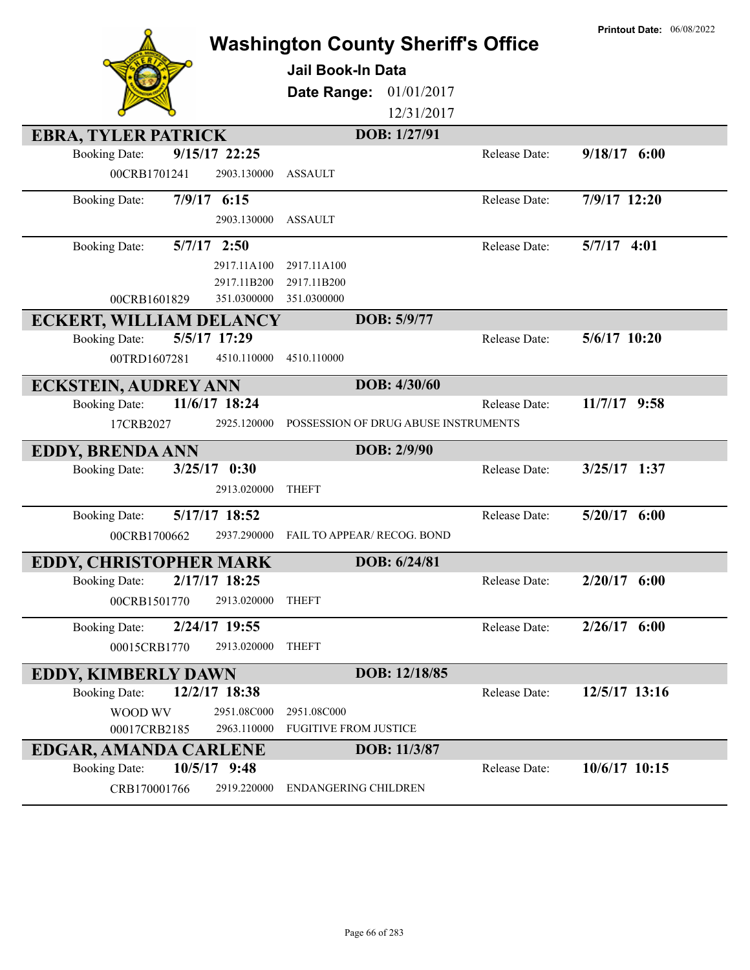|                                                      | <b>Washington County Sheriff's Office</b> |               | <b>Printout Date: 06/08/2022</b> |
|------------------------------------------------------|-------------------------------------------|---------------|----------------------------------|
|                                                      | Jail Book-In Data                         |               |                                  |
|                                                      |                                           |               |                                  |
|                                                      | Date Range:<br>01/01/2017                 |               |                                  |
|                                                      | 12/31/2017                                |               |                                  |
| <b>EBRA, TYLER PATRICK</b>                           | DOB: 1/27/91                              |               |                                  |
| <b>Booking Date:</b><br>9/15/17 22:25                |                                           | Release Date: | $9/18/17$ 6:00                   |
| 00CRB1701241<br>2903.130000                          | <b>ASSAULT</b>                            |               |                                  |
| 7/9/17 6:15<br><b>Booking Date:</b>                  |                                           | Release Date: | 7/9/17 12:20                     |
| 2903.130000                                          | <b>ASSAULT</b>                            |               |                                  |
| $5/7/17$ 2:50<br><b>Booking Date:</b>                |                                           | Release Date: | $5/7/17$ 4:01                    |
| 2917.11A100                                          | 2917.11A100                               |               |                                  |
| 2917.11B200                                          | 2917.11B200                               |               |                                  |
| 351.0300000<br>00CRB1601829                          | 351.0300000                               |               |                                  |
| <b>ECKERT, WILLIAM DELANCY</b>                       | DOB: 5/9/77                               |               |                                  |
| 5/5/17 17:29<br><b>Booking Date:</b>                 |                                           | Release Date: | 5/6/17 10:20                     |
| 00TRD1607281<br>4510.110000                          | 4510.110000                               |               |                                  |
| <b>ECKSTEIN, AUDREY ANN</b>                          | DOB: 4/30/60                              |               |                                  |
| 11/6/17 18:24<br><b>Booking Date:</b>                |                                           | Release Date: | $11/7/17$ 9:58                   |
| 17CRB2027<br>2925.120000                             | POSSESSION OF DRUG ABUSE INSTRUMENTS      |               |                                  |
| <b>EDDY, BRENDA ANN</b>                              | DOB: 2/9/90                               |               |                                  |
| <b>Booking Date:</b><br>$3/25/17$ 0:30               |                                           | Release Date: | $3/25/17$ 1:37                   |
| 2913.020000                                          | <b>THEFT</b>                              |               |                                  |
| 5/17/17 18:52<br><b>Booking Date:</b>                |                                           |               |                                  |
|                                                      |                                           | Release Date: | $5/20/17$ 6:00                   |
| 2937.290000<br>00CRB1700662                          | <b>FAIL TO APPEAR/ RECOG. BOND</b>        |               |                                  |
|                                                      |                                           |               |                                  |
| <b>EDDY, CHRISTOPHER MARK</b>                        | DOB: 6/24/81                              |               |                                  |
| 2/17/17 18:25<br><b>Booking Date:</b>                |                                           | Release Date: | $2/20/17$ 6:00                   |
| 00CRB1501770<br>2913.020000                          | <b>THEFT</b>                              |               |                                  |
| 2/24/17 19:55<br><b>Booking Date:</b>                |                                           | Release Date: | $2/26/17$ 6:00                   |
| 00015CRB1770<br>2913.020000                          | <b>THEFT</b>                              |               |                                  |
| <b>EDDY, KIMBERLY DAWN</b>                           | DOB: 12/18/85                             |               |                                  |
| 12/2/17 18:38<br><b>Booking Date:</b>                |                                           | Release Date: | 12/5/17 13:16                    |
| WOOD WV<br>2951.08C000                               | 2951.08C000                               |               |                                  |
| 2963.110000<br>00017CRB2185                          | <b>FUGITIVE FROM JUSTICE</b>              |               |                                  |
| EDGAR, AMANDA CARLENE                                | DOB: 11/3/87                              |               |                                  |
| 10/5/17 9:48<br><b>Booking Date:</b><br>CRB170001766 |                                           | Release Date: | 10/6/17 10:15                    |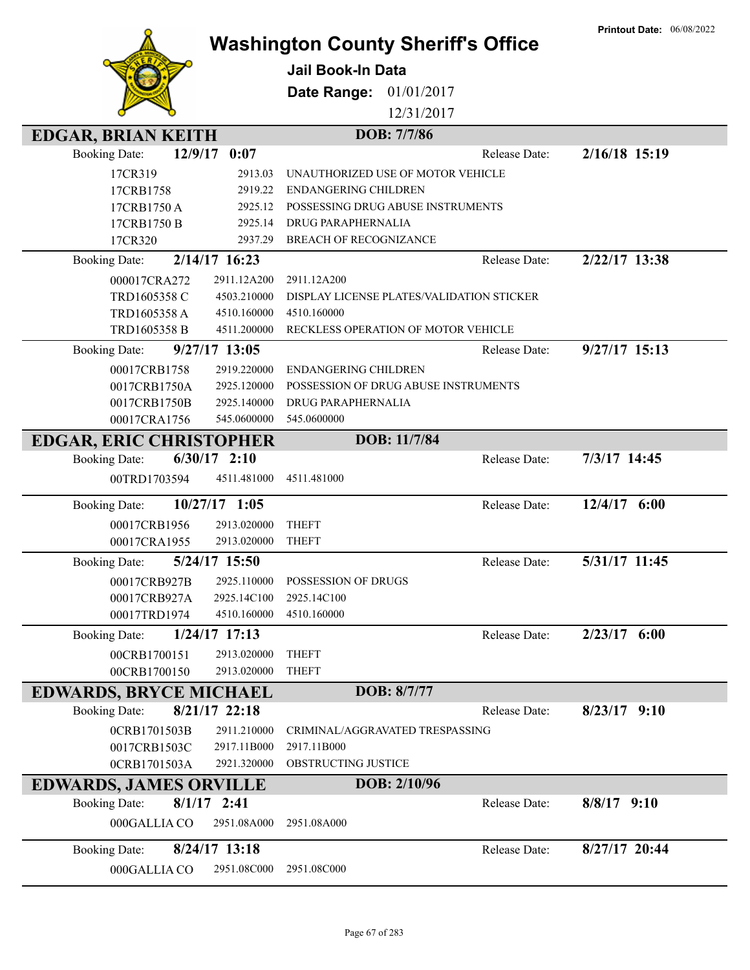|                                |                 | <b>Washington County Sheriff's Office</b><br>Jail Book-In Data<br>Date Range:<br>01/01/2017 |               | <b>Printout Date: 06/08/2022</b> |
|--------------------------------|-----------------|---------------------------------------------------------------------------------------------|---------------|----------------------------------|
|                                |                 | 12/31/2017                                                                                  |               |                                  |
|                                |                 |                                                                                             |               |                                  |
| <b>EDGAR, BRIAN KEITH</b>      |                 | DOB: 7/7/86                                                                                 |               |                                  |
| <b>Booking Date:</b>           | $12/9/17$ 0:07  |                                                                                             | Release Date: | 2/16/18 15:19                    |
| 17CR319                        | 2913.03         | UNAUTHORIZED USE OF MOTOR VEHICLE                                                           |               |                                  |
| 17CRB1758                      | 2919.22         | <b>ENDANGERING CHILDREN</b>                                                                 |               |                                  |
| 17CRB1750A                     | 2925.12         | POSSESSING DRUG ABUSE INSTRUMENTS                                                           |               |                                  |
| 17CRB1750 B                    | 2925.14         | DRUG PARAPHERNALIA                                                                          |               |                                  |
| 17CR320                        | 2937.29         | <b>BREACH OF RECOGNIZANCE</b>                                                               |               |                                  |
| <b>Booking Date:</b>           | $2/14/17$ 16:23 |                                                                                             | Release Date: | 2/22/17 13:38                    |
| 000017CRA272                   | 2911.12A200     | 2911.12A200                                                                                 |               |                                  |
| TRD1605358 C                   | 4503.210000     | DISPLAY LICENSE PLATES/VALIDATION STICKER                                                   |               |                                  |
| TRD1605358 A                   | 4510.160000     | 4510.160000                                                                                 |               |                                  |
| TRD1605358 B                   | 4511.200000     | RECKLESS OPERATION OF MOTOR VEHICLE                                                         |               |                                  |
| <b>Booking Date:</b>           | 9/27/17 13:05   |                                                                                             | Release Date: | $9/27/17$ 15:13                  |
| 00017CRB1758                   | 2919.220000     | <b>ENDANGERING CHILDREN</b>                                                                 |               |                                  |
| 0017CRB1750A                   | 2925.120000     | POSSESSION OF DRUG ABUSE INSTRUMENTS                                                        |               |                                  |
| 0017CRB1750B                   | 2925.140000     | DRUG PARAPHERNALIA                                                                          |               |                                  |
| 00017CRA1756                   | 545.0600000     | 545.0600000                                                                                 |               |                                  |
| <b>EDGAR, ERIC CHRISTOPHER</b> |                 | DOB: 11/7/84                                                                                |               |                                  |
| <b>Booking Date:</b>           | $6/30/17$ 2:10  |                                                                                             | Release Date: | 7/3/17 14:45                     |
| 00TRD1703594                   | 4511.481000     | 4511.481000                                                                                 |               |                                  |
| <b>Booking Date:</b>           | 10/27/17 1:05   |                                                                                             | Release Date: | 12/4/17 6:00                     |
| 00017CRB1956                   | 2913.020000     | <b>THEFT</b>                                                                                |               |                                  |
| 00017CRA1955                   | 2913.020000     | <b>THEFT</b>                                                                                |               |                                  |
| <b>Booking Date:</b>           | 5/24/17 15:50   |                                                                                             | Release Date: | 5/31/17 11:45                    |
| 00017CRB927B                   | 2925.110000     | POSSESSION OF DRUGS                                                                         |               |                                  |
| 00017CRB927A                   | 2925.14C100     | 2925.14C100                                                                                 |               |                                  |
| 00017TRD1974                   | 4510.160000     | 4510.160000                                                                                 |               |                                  |
| <b>Booking Date:</b>           | 1/24/17 17:13   |                                                                                             | Release Date: | $2/23/17$ 6:00                   |
| 00CRB1700151                   | 2913.020000     | <b>THEFT</b>                                                                                |               |                                  |
| 00CRB1700150                   | 2913.020000     | <b>THEFT</b>                                                                                |               |                                  |
| <b>EDWARDS, BRYCE MICHAEL</b>  |                 | DOB: 8/7/77                                                                                 |               |                                  |
| <b>Booking Date:</b>           | 8/21/17 22:18   |                                                                                             | Release Date: | $8/23/17$ 9:10                   |
| 0CRB1701503B                   | 2911.210000     | CRIMINAL/AGGRAVATED TRESPASSING                                                             |               |                                  |
| 0017CRB1503C                   | 2917.11B000     | 2917.11B000                                                                                 |               |                                  |
| 0CRB1701503A                   | 2921.320000     | OBSTRUCTING JUSTICE                                                                         |               |                                  |
| <b>EDWARDS, JAMES ORVILLE</b>  |                 | DOB: 2/10/96                                                                                |               |                                  |
| <b>Booking Date:</b>           | $8/1/17$ 2:41   |                                                                                             | Release Date: | $8/8/17$ 9:10                    |
| 000GALLIA CO                   | 2951.08A000     | 2951.08A000                                                                                 |               |                                  |
| <b>Booking Date:</b>           | $8/24/17$ 13:18 |                                                                                             | Release Date: | 8/27/17 20:44                    |
| 000GALLIA CO                   | 2951.08C000     | 2951.08C000                                                                                 |               |                                  |

**Printout Date:** 06/08/2022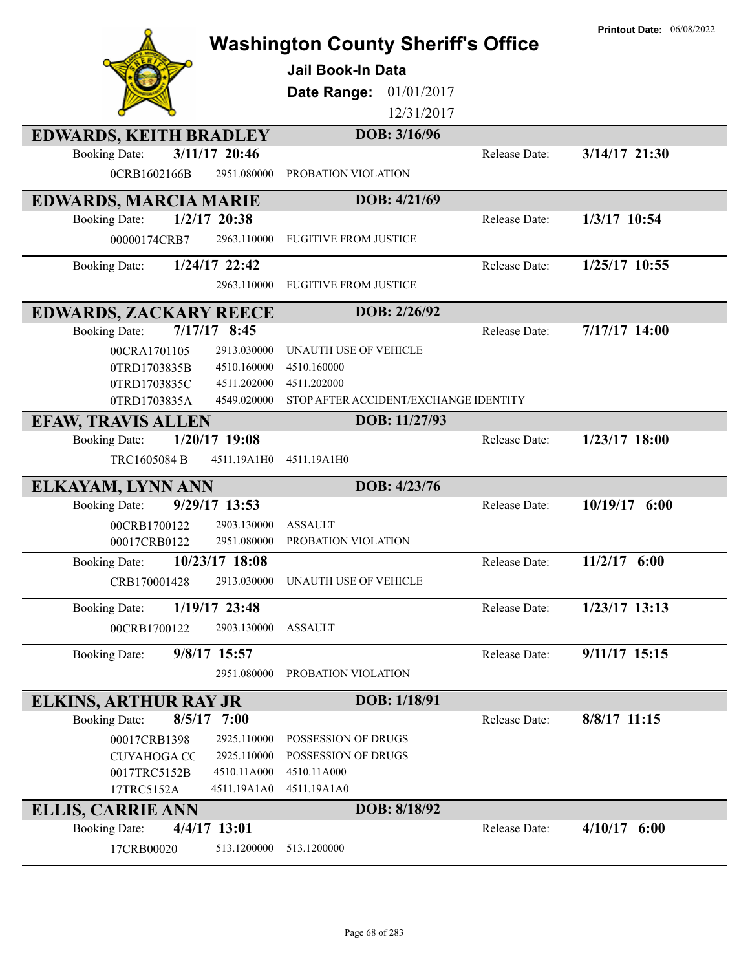|                                         | <b>Washington County Sheriff's Office</b><br><b>Jail Book-In Data</b> |               | <b>Printout Date: 06/08/2022</b> |
|-----------------------------------------|-----------------------------------------------------------------------|---------------|----------------------------------|
|                                         | 01/01/2017<br>Date Range:                                             |               |                                  |
|                                         | 12/31/2017                                                            |               |                                  |
| <b>EDWARDS, KEITH BRADLEY</b>           | DOB: 3/16/96                                                          |               |                                  |
| 3/11/17 20:46<br><b>Booking Date:</b>   |                                                                       | Release Date: | 3/14/17 21:30                    |
| 0CRB1602166B<br>2951.080000             | PROBATION VIOLATION                                                   |               |                                  |
| <b>EDWARDS, MARCIA MARIE</b>            | DOB: 4/21/69                                                          |               |                                  |
| $1/2/17$ 20:38<br><b>Booking Date:</b>  |                                                                       | Release Date: | 1/3/17 10:54                     |
| 2963.110000<br>00000174CRB7             | <b>FUGITIVE FROM JUSTICE</b>                                          |               |                                  |
| 1/24/17 22:42<br><b>Booking Date:</b>   |                                                                       | Release Date: | 1/25/17 10:55                    |
| 2963.110000                             | <b>FUGITIVE FROM JUSTICE</b>                                          |               |                                  |
| <b>EDWARDS, ZACKARY REECE</b>           | DOB: 2/26/92                                                          |               |                                  |
| $7/17/17$ 8:45<br><b>Booking Date:</b>  |                                                                       | Release Date: | 7/17/17 14:00                    |
| 2913.030000<br>00CRA1701105             | UNAUTH USE OF VEHICLE                                                 |               |                                  |
| 4510.160000<br>0TRD1703835B             | 4510.160000                                                           |               |                                  |
| 0TRD1703835C<br>4511.202000             | 4511.202000                                                           |               |                                  |
| 0TRD1703835A<br>4549.020000             | STOP AFTER ACCIDENT/EXCHANGE IDENTITY                                 |               |                                  |
| <b>EFAW, TRAVIS ALLEN</b>               | DOB: 11/27/93                                                         |               |                                  |
| $1/20/17$ 19:08<br><b>Booking Date:</b> |                                                                       | Release Date: | $1/23/17$ 18:00                  |
| TRC1605084 B<br>4511.19A1H0             | 4511.19A1H0                                                           |               |                                  |
| ELKAYAM, LYNN ANN                       | DOB: 4/23/76                                                          |               |                                  |
| 9/29/17 13:53<br><b>Booking Date:</b>   |                                                                       | Release Date: | 10/19/17 6:00                    |
| 00CRB1700122<br>2903.130000             | <b>ASSAULT</b>                                                        |               |                                  |
| 00017CRB0122<br>2951.080000             | PROBATION VIOLATION                                                   |               |                                  |
| 10/23/17 18:08<br><b>Booking Date:</b>  |                                                                       | Release Date: | $11/2/17$ 6:00                   |
| 2913.030000<br>CRB170001428             | <b>UNAUTH USE OF VEHICLE</b>                                          |               |                                  |
| 1/19/17 23:48<br><b>Booking Date:</b>   |                                                                       | Release Date: | 1/23/17 13:13                    |
| 00CRB1700122<br>2903.130000             | <b>ASSAULT</b>                                                        |               |                                  |
|                                         |                                                                       |               |                                  |
| 9/8/17 15:57<br><b>Booking Date:</b>    |                                                                       | Release Date: | 9/11/17 15:15                    |
| 2951.080000                             | PROBATION VIOLATION                                                   |               |                                  |
| <b>ELKINS, ARTHUR RAY JR</b>            | DOB: 1/18/91                                                          |               |                                  |
| 8/5/17<br>7:00<br><b>Booking Date:</b>  |                                                                       | Release Date: | 8/8/17 11:15                     |
| 2925.110000<br>00017CRB1398             | POSSESSION OF DRUGS                                                   |               |                                  |
| 2925.110000<br><b>CUYAHOGA CC</b>       | POSSESSION OF DRUGS                                                   |               |                                  |
| 4510.11A000<br>0017TRC5152B             | 4510.11A000                                                           |               |                                  |
| 17TRC5152A<br>4511.19A1A0               | 4511.19A1A0                                                           |               |                                  |
| <b>ELLIS, CARRIE ANN</b>                | DOB: 8/18/92                                                          |               |                                  |
| 4/4/17 13:01<br><b>Booking Date:</b>    |                                                                       | Release Date: | $4/10/17$ 6:00                   |
| 17CRB00020<br>513.1200000               | 513.1200000                                                           |               |                                  |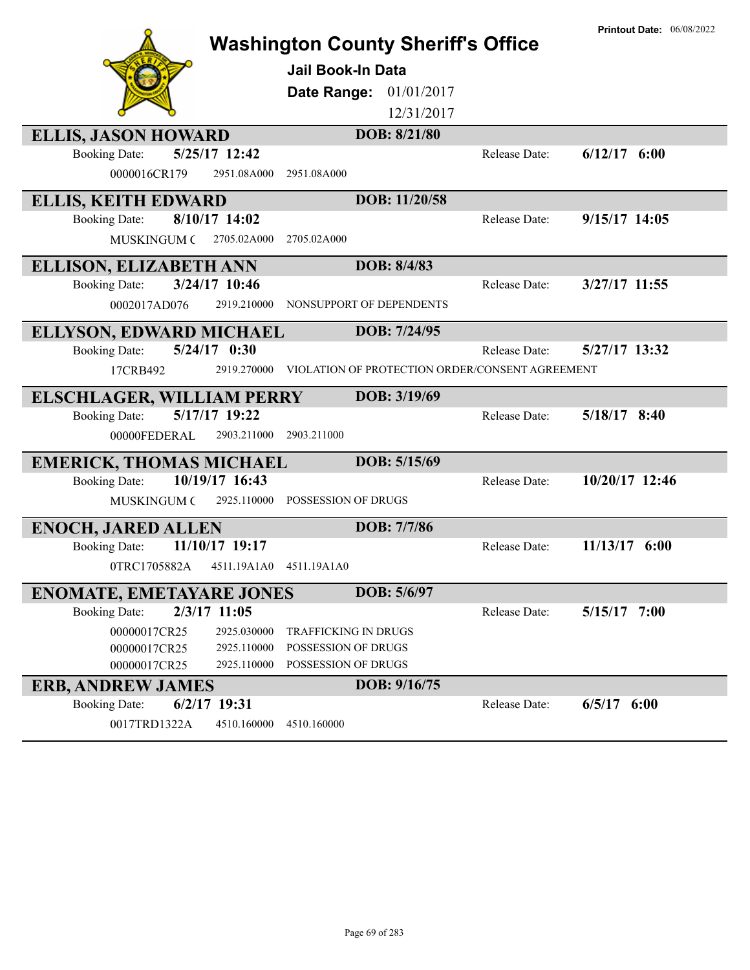|                                                                          | <b>Washington County Sheriff's Office</b>       | <b>Printout Date: 06/08/2022</b> |
|--------------------------------------------------------------------------|-------------------------------------------------|----------------------------------|
|                                                                          | <b>Jail Book-In Data</b>                        |                                  |
|                                                                          |                                                 |                                  |
|                                                                          | Date Range: 01/01/2017                          |                                  |
|                                                                          | 12/31/2017                                      |                                  |
| <b>ELLIS, JASON HOWARD</b>                                               | DOB: 8/21/80                                    |                                  |
| 5/25/17 12:42<br><b>Booking Date:</b>                                    | Release Date:                                   | $6/12/17$ $6:00$                 |
| 0000016CR179<br>2951.08A000                                              | 2951.08A000                                     |                                  |
| <b>ELLIS, KEITH EDWARD</b>                                               | DOB: 11/20/58                                   |                                  |
| 8/10/17 14:02<br><b>Booking Date:</b>                                    | Release Date:                                   | $9/15/17$ 14:05                  |
| <b>MUSKINGUM C</b><br>2705.02A000                                        | 2705.02A000                                     |                                  |
| <b>ELLISON, ELIZABETH ANN</b>                                            | DOB: 8/4/83                                     |                                  |
| 3/24/17 10:46<br><b>Booking Date:</b>                                    | Release Date:                                   | 3/27/17 11:55                    |
| 2919.210000<br>0002017AD076                                              | NONSUPPORT OF DEPENDENTS                        |                                  |
|                                                                          | DOB: 7/24/95                                    |                                  |
| <b>ELLYSON, EDWARD MICHAEL</b><br>$5/24/17$ 0:30<br><b>Booking Date:</b> | Release Date:                                   | 5/27/17 13:32                    |
|                                                                          |                                                 |                                  |
| 17CRB492<br>2919.270000                                                  | VIOLATION OF PROTECTION ORDER/CONSENT AGREEMENT |                                  |
| <b>ELSCHLAGER, WILLIAM PERRY</b>                                         | DOB: 3/19/69                                    |                                  |
| 5/17/17 19:22<br><b>Booking Date:</b>                                    | Release Date:                                   | 5/18/17 8:40                     |
|                                                                          |                                                 |                                  |
| 00000FEDERAL<br>2903.211000                                              | 2903.211000                                     |                                  |
|                                                                          | DOB: 5/15/69                                    |                                  |
| <b>EMERICK, THOMAS MICHAEL</b><br>10/19/17 16:43<br><b>Booking Date:</b> | Release Date:                                   | 10/20/17 12:46                   |
| <b>MUSKINGUM C</b><br>2925.110000                                        | POSSESSION OF DRUGS                             |                                  |
|                                                                          | DOB: 7/7/86                                     |                                  |
| <b>ENOCH, JARED ALLEN</b><br>11/10/17 19:17                              | Release Date:                                   | 11/13/17 6:00                    |
| <b>Booking Date:</b><br>0TRC1705882A<br>4511.19A1A0                      | 4511.19A1A0                                     |                                  |
|                                                                          |                                                 |                                  |
| <b>ENOMATE, EMETAYARE JONES</b>                                          | DOB: 5/6/97                                     |                                  |
| 2/3/17 11:05<br><b>Booking Date:</b>                                     | Release Date:                                   | $5/15/17$ 7:00                   |
| 00000017CR25<br>2925.030000                                              | <b>TRAFFICKING IN DRUGS</b>                     |                                  |
| 00000017CR25<br>2925.110000<br>00000017CR25<br>2925.110000               | POSSESSION OF DRUGS<br>POSSESSION OF DRUGS      |                                  |
|                                                                          | DOB: 9/16/75                                    |                                  |
| <b>ERB, ANDREW JAMES</b><br>$6/2/17$ 19:31<br><b>Booking Date:</b>       | Release Date:                                   | $6/5/17$ $6:00$                  |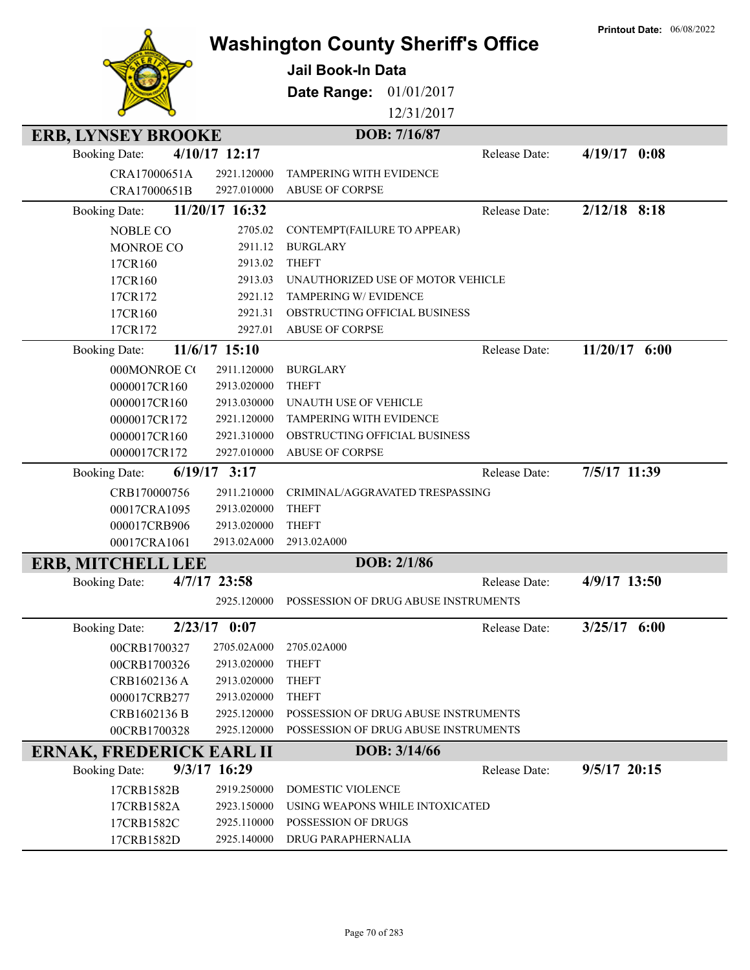|                                 |                            |                                           |               | <b>Printout Date: 06/08/2022</b> |
|---------------------------------|----------------------------|-------------------------------------------|---------------|----------------------------------|
|                                 |                            | <b>Washington County Sheriff's Office</b> |               |                                  |
|                                 |                            | <b>Jail Book-In Data</b>                  |               |                                  |
|                                 |                            | Date Range:<br>01/01/2017                 |               |                                  |
|                                 |                            |                                           |               |                                  |
|                                 |                            | 12/31/2017                                |               |                                  |
| <b>ERB, LYNSEY BROOKE</b>       |                            | DOB: 7/16/87                              |               |                                  |
| <b>Booking Date:</b>            | 4/10/17 12:17              |                                           | Release Date: | $4/19/17$ 0:08                   |
| CRA17000651A                    | 2921.120000                | <b>TAMPERING WITH EVIDENCE</b>            |               |                                  |
| CRA17000651B                    | 2927.010000                | <b>ABUSE OF CORPSE</b>                    |               |                                  |
| <b>Booking Date:</b>            | 11/20/17 16:32             |                                           | Release Date: | $2/12/18$ 8:18                   |
| <b>NOBLE CO</b>                 | 2705.02                    | CONTEMPT(FAILURE TO APPEAR)               |               |                                  |
| MONROE CO                       | 2911.12                    | <b>BURGLARY</b>                           |               |                                  |
| 17CR160                         | 2913.02                    | <b>THEFT</b>                              |               |                                  |
| 17CR160                         | 2913.03                    | UNAUTHORIZED USE OF MOTOR VEHICLE         |               |                                  |
| 17CR172                         | 2921.12                    | <b>TAMPERING W/ EVIDENCE</b>              |               |                                  |
| 17CR160                         | 2921.31                    | <b>OBSTRUCTING OFFICIAL BUSINESS</b>      |               |                                  |
| 17CR172                         | 2927.01                    | <b>ABUSE OF CORPSE</b>                    |               |                                  |
| <b>Booking Date:</b>            | 11/6/17 15:10              |                                           | Release Date: | $11/20/17$ 6:00                  |
| 000MONROE CO                    | 2911.120000                | <b>BURGLARY</b>                           |               |                                  |
| 0000017CR160                    | 2913.020000                | <b>THEFT</b>                              |               |                                  |
| 0000017CR160                    | 2913.030000                | UNAUTH USE OF VEHICLE                     |               |                                  |
| 0000017CR172                    | 2921.120000                | <b>TAMPERING WITH EVIDENCE</b>            |               |                                  |
| 0000017CR160                    | 2921.310000                | OBSTRUCTING OFFICIAL BUSINESS             |               |                                  |
| 0000017CR172                    | 2927.010000                | <b>ABUSE OF CORPSE</b>                    |               |                                  |
| <b>Booking Date:</b>            | $6/19/17$ 3:17             |                                           | Release Date: | 7/5/17 11:39                     |
| CRB170000756                    | 2911.210000                | CRIMINAL/AGGRAVATED TRESPASSING           |               |                                  |
| 00017CRA1095                    | 2913.020000                | <b>THEFT</b>                              |               |                                  |
| 000017CRB906                    | 2913.020000                | <b>THEFT</b>                              |               |                                  |
| 00017CRA1061                    | 2913.02A000                | 2913.02A000                               |               |                                  |
| <b>ERB, MITCHELL LEE</b>        |                            | DOB: 2/1/86                               |               |                                  |
| <b>Booking Date:</b>            | 4/7/17 23:58               |                                           | Release Date: | 4/9/17 13:50                     |
|                                 | 2925.120000                | POSSESSION OF DRUG ABUSE INSTRUMENTS      |               |                                  |
| <b>Booking Date:</b>            | $2/23/17$ 0:07             |                                           | Release Date: | $3/25/17$ 6:00                   |
|                                 |                            |                                           |               |                                  |
| 00CRB1700327<br>00CRB1700326    | 2705.02A000                | 2705.02A000                               |               |                                  |
| CRB1602136 A                    | 2913.020000<br>2913.020000 | <b>THEFT</b><br><b>THEFT</b>              |               |                                  |
| 000017CRB277                    | 2913.020000                | <b>THEFT</b>                              |               |                                  |
| CRB1602136 B                    | 2925.120000                | POSSESSION OF DRUG ABUSE INSTRUMENTS      |               |                                  |
| 00CRB1700328                    | 2925.120000                | POSSESSION OF DRUG ABUSE INSTRUMENTS      |               |                                  |
| <b>ERNAK, FREDERICK EARL II</b> |                            | DOB: 3/14/66                              |               |                                  |
| <b>Booking Date:</b>            | 9/3/17 16:29               |                                           | Release Date: | $9/5/17$ 20:15                   |
|                                 |                            | DOMESTIC VIOLENCE                         |               |                                  |
| 17CRB1582B<br>17CRB1582A        | 2919.250000<br>2923.150000 | USING WEAPONS WHILE INTOXICATED           |               |                                  |
| 17CRB1582C                      | 2925.110000                | POSSESSION OF DRUGS                       |               |                                  |
| 17CRB1582D                      | 2925.140000                | DRUG PARAPHERNALIA                        |               |                                  |
|                                 |                            |                                           |               |                                  |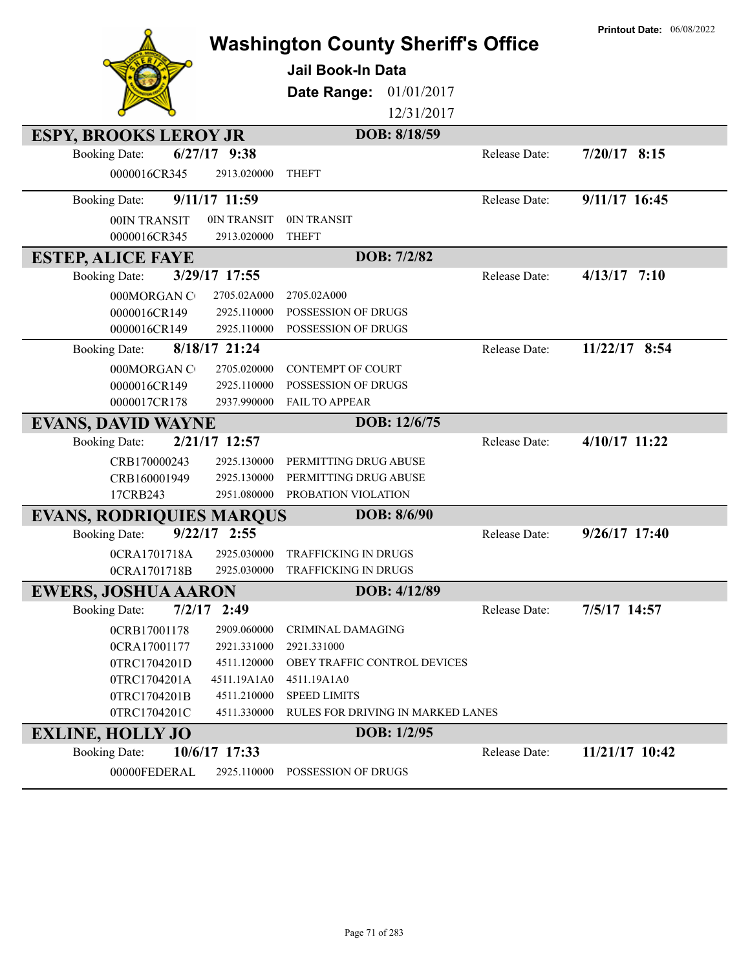|                                 |                            | <b>Washington County Sheriff's Office</b>                |               | <b>Printout Date: 06/08/2022</b> |
|---------------------------------|----------------------------|----------------------------------------------------------|---------------|----------------------------------|
|                                 |                            | <b>Jail Book-In Data</b>                                 |               |                                  |
|                                 |                            |                                                          |               |                                  |
|                                 |                            | Date Range:<br>01/01/2017                                |               |                                  |
|                                 |                            | 12/31/2017                                               |               |                                  |
| <b>ESPY, BROOKS LEROY JR</b>    |                            | DOB: 8/18/59                                             |               |                                  |
| <b>Booking Date:</b>            | $6/27/17$ 9:38             |                                                          | Release Date: | $7/20/17$ 8:15                   |
| 0000016CR345                    | 2913.020000                | <b>THEFT</b>                                             |               |                                  |
| <b>Booking Date:</b>            | 9/11/17 11:59              |                                                          | Release Date: | 9/11/17 16:45                    |
| 00IN TRANSIT                    | 0IN TRANSIT                | 0IN TRANSIT                                              |               |                                  |
| 0000016CR345                    | 2913.020000                | <b>THEFT</b>                                             |               |                                  |
| <b>ESTEP, ALICE FAYE</b>        |                            | DOB: 7/2/82                                              |               |                                  |
| <b>Booking Date:</b>            | 3/29/17 17:55              |                                                          | Release Date: | $4/13/17$ 7:10                   |
| 000MORGAN CO                    | 2705.02A000                | 2705.02A000                                              |               |                                  |
| 0000016CR149                    | 2925.110000                | POSSESSION OF DRUGS                                      |               |                                  |
| 0000016CR149                    | 2925.110000                | POSSESSION OF DRUGS                                      |               |                                  |
| <b>Booking Date:</b>            | 8/18/17 21:24              |                                                          | Release Date: | 11/22/17 8:54                    |
| 000MORGAN CO                    | 2705.020000                | <b>CONTEMPT OF COURT</b>                                 |               |                                  |
| 0000016CR149                    | 2925.110000                | POSSESSION OF DRUGS                                      |               |                                  |
| 0000017CR178                    | 2937.990000                | FAIL TO APPEAR                                           |               |                                  |
| <b>EVANS, DAVID WAYNE</b>       |                            | DOB: 12/6/75                                             |               |                                  |
| <b>Booking Date:</b>            | 2/21/17 12:57              |                                                          | Release Date: | 4/10/17 11:22                    |
| CRB170000243                    | 2925.130000                | PERMITTING DRUG ABUSE                                    |               |                                  |
| CRB160001949                    | 2925.130000                | PERMITTING DRUG ABUSE                                    |               |                                  |
| 17CRB243                        | 2951.080000                | PROBATION VIOLATION                                      |               |                                  |
| <b>EVANS, RODRIQUIES MARQUS</b> |                            | DOB: 8/6/90                                              |               |                                  |
| <b>Booking Date:</b>            | $9/22/17$ 2:55             |                                                          | Release Date: | 9/26/17 17:40                    |
| 0CRA1701718A                    | 2925.030000                | <b>TRAFFICKING IN DRUGS</b>                              |               |                                  |
| 0CRA1701718B                    | 2925.030000                | TRAFFICKING IN DRUGS                                     |               |                                  |
| <b>EWERS, JOSHUA AARON</b>      |                            | DOB: 4/12/89                                             |               |                                  |
| 7/2/17<br><b>Booking Date:</b>  | 2:49                       |                                                          | Release Date: | 7/5/17 14:57                     |
| 0CRB17001178                    | 2909.060000                | <b>CRIMINAL DAMAGING</b>                                 |               |                                  |
| 0CRA17001177                    | 2921.331000                | 2921.331000                                              |               |                                  |
| 0TRC1704201D                    | 4511.120000                | OBEY TRAFFIC CONTROL DEVICES                             |               |                                  |
| 0TRC1704201A                    | 4511.19A1A0                | 4511.19A1A0                                              |               |                                  |
| 0TRC1704201B<br>0TRC1704201C    | 4511.210000<br>4511.330000 | <b>SPEED LIMITS</b><br>RULES FOR DRIVING IN MARKED LANES |               |                                  |
|                                 |                            |                                                          |               |                                  |
| <b>EXLINE, HOLLY JO</b>         |                            | DOB: 1/2/95                                              |               |                                  |
| <b>Booking Date:</b>            | 10/6/17 17:33              |                                                          | Release Date: | 11/21/17 10:42                   |
| 00000FEDERAL                    | 2925.110000                | POSSESSION OF DRUGS                                      |               |                                  |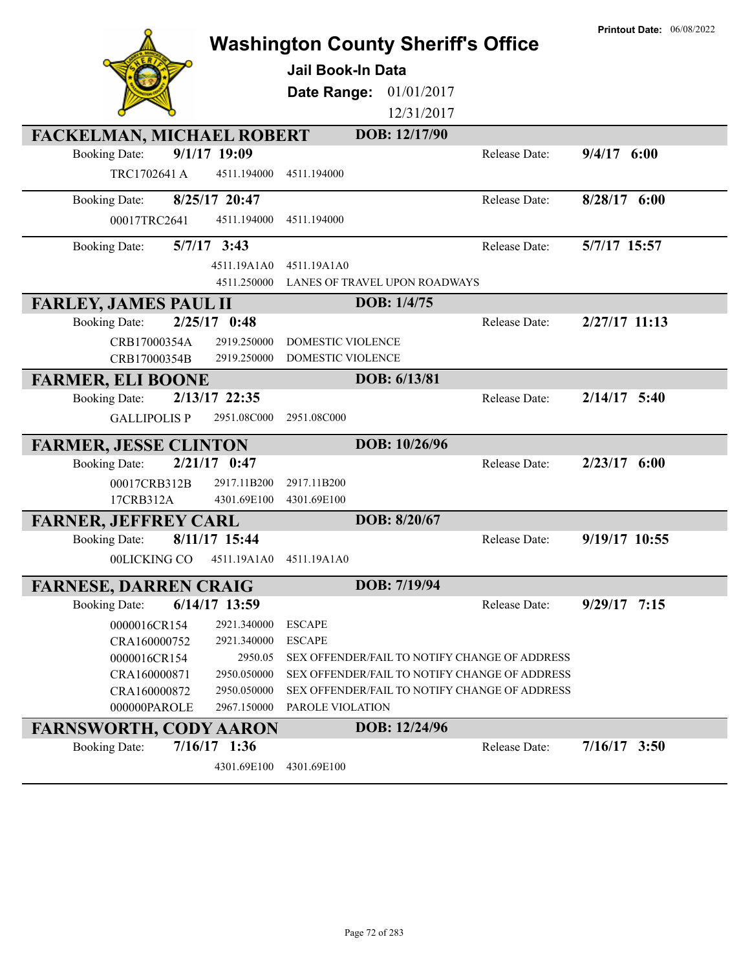|                                        | <b>Washington County Sheriff's Office</b> |               |                                               | <b>Printout Date: 06/08/2022</b> |
|----------------------------------------|-------------------------------------------|---------------|-----------------------------------------------|----------------------------------|
|                                        | <b>Jail Book-In Data</b>                  |               |                                               |                                  |
|                                        |                                           |               |                                               |                                  |
|                                        | <b>Date Range: 01/01/2017</b>             |               |                                               |                                  |
|                                        |                                           | 12/31/2017    |                                               |                                  |
| <b>FACKELMAN, MICHAEL ROBERT</b>       |                                           | DOB: 12/17/90 |                                               |                                  |
| 9/1/17 19:09<br><b>Booking Date:</b>   |                                           |               | Release Date:                                 | $9/4/17$ 6:00                    |
| TRC1702641 A<br>4511.194000            | 4511.194000                               |               |                                               |                                  |
| 8/25/17 20:47<br><b>Booking Date:</b>  |                                           |               | Release Date:                                 | $8/28/17$ 6:00                   |
| 00017TRC2641<br>4511.194000            | 4511.194000                               |               |                                               |                                  |
| $5/7/17$ 3:43<br><b>Booking Date:</b>  |                                           |               | Release Date:                                 | 5/7/17 15:57                     |
| 4511.19A1A0                            | 4511.19A1A0                               |               |                                               |                                  |
| 4511.250000                            | LANES OF TRAVEL UPON ROADWAYS             |               |                                               |                                  |
| <b>FARLEY, JAMES PAUL II</b>           |                                           | DOB: 1/4/75   |                                               |                                  |
| $2/25/17$ 0:48<br><b>Booking Date:</b> |                                           |               | Release Date:                                 | $2/27/17$ 11:13                  |
| 2919.250000<br>CRB17000354A            | <b>DOMESTIC VIOLENCE</b>                  |               |                                               |                                  |
| 2919.250000<br>CRB17000354B            | DOMESTIC VIOLENCE                         |               |                                               |                                  |
| <b>FARMER, ELI BOONE</b>               |                                           | DOB: 6/13/81  |                                               |                                  |
| 2/13/17 22:35<br><b>Booking Date:</b>  |                                           |               | Release Date:                                 | $2/14/17$ 5:40                   |
| <b>GALLIPOLIS P</b><br>2951.08C000     | 2951.08C000                               |               |                                               |                                  |
| <b>FARMER, JESSE CLINTON</b>           |                                           | DOB: 10/26/96 |                                               |                                  |
| $2/21/17$ 0:47<br><b>Booking Date:</b> |                                           |               | Release Date:                                 | $2/23/17$ 6:00                   |
| 00017CRB312B<br>2917.11B200            | 2917.11B200                               |               |                                               |                                  |
| 17CRB312A<br>4301.69E100               | 4301.69E100                               |               |                                               |                                  |
| <b>FARNER, JEFFREY CARL</b>            |                                           | DOB: 8/20/67  |                                               |                                  |
| 8/11/17 15:44<br><b>Booking Date:</b>  |                                           |               | Release Date:                                 | 9/19/17 10:55                    |
| 4511.19A1A0<br>00LICKING CO            | 4511.19A1A0                               |               |                                               |                                  |
| <b>FARNESE, DARREN CRAIG</b>           |                                           | DOB: 7/19/94  |                                               |                                  |
| 6/14/17 13:59<br><b>Booking Date:</b>  |                                           |               | Release Date:                                 | $9/29/17$ 7:15                   |
| 0000016CR154<br>2921.340000            | <b>ESCAPE</b>                             |               |                                               |                                  |
| CRA160000752<br>2921.340000            | <b>ESCAPE</b>                             |               |                                               |                                  |
| 0000016CR154<br>2950.05                |                                           |               | SEX OFFENDER/FAIL TO NOTIFY CHANGE OF ADDRESS |                                  |
| CRA160000871<br>2950.050000            |                                           |               | SEX OFFENDER/FAIL TO NOTIFY CHANGE OF ADDRESS |                                  |
| CRA160000872<br>2950.050000            |                                           |               | SEX OFFENDER/FAIL TO NOTIFY CHANGE OF ADDRESS |                                  |
| 000000PAROLE<br>2967.150000            | PAROLE VIOLATION                          |               |                                               |                                  |
| <b>FARNSWORTH, CODY AARON</b>          |                                           | DOB: 12/24/96 |                                               |                                  |
| $7/16/17$ 1:36<br><b>Booking Date:</b> |                                           |               | Release Date:                                 | $7/16/17$ 3:50                   |
| 4301.69E100                            | 4301.69E100                               |               |                                               |                                  |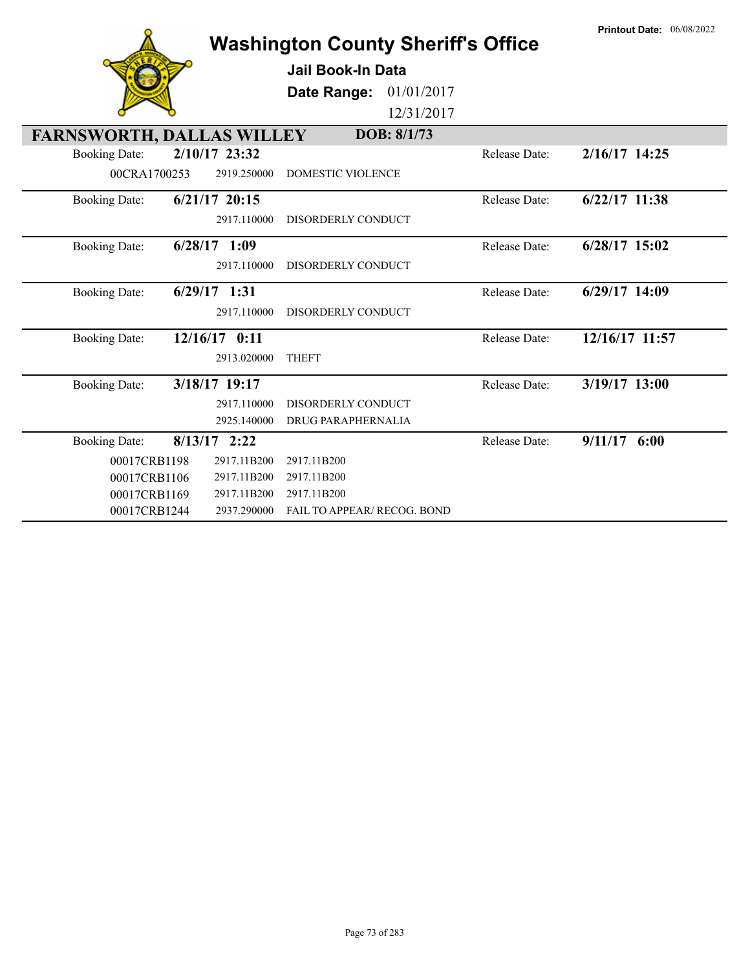|                                  |                 | Jail Book-In Data                  |               |                 |
|----------------------------------|-----------------|------------------------------------|---------------|-----------------|
|                                  |                 | 01/01/2017<br>Date Range:          |               |                 |
|                                  |                 | 12/31/2017                         |               |                 |
| <b>FARNSWORTH, DALLAS WILLEY</b> |                 | DOB: 8/1/73                        |               |                 |
| <b>Booking Date:</b>             | $2/10/17$ 23:32 |                                    | Release Date: | 2/16/17 14:25   |
| 00CRA1700253                     | 2919.250000     | <b>DOMESTIC VIOLENCE</b>           |               |                 |
| <b>Booking Date:</b>             | $6/21/17$ 20:15 |                                    | Release Date: | 6/22/17 11:38   |
|                                  | 2917.110000     | DISORDERLY CONDUCT                 |               |                 |
| <b>Booking Date:</b>             | $6/28/17$ 1:09  |                                    | Release Date: | $6/28/17$ 15:02 |
|                                  | 2917.110000     | DISORDERLY CONDUCT                 |               |                 |
| <b>Booking Date:</b>             | $6/29/17$ 1:31  |                                    | Release Date: | $6/29/17$ 14:09 |
|                                  | 2917.110000     | DISORDERLY CONDUCT                 |               |                 |
| <b>Booking Date:</b>             | 12/16/17 0:11   |                                    | Release Date: | 12/16/17 11:57  |
|                                  | 2913.020000     | <b>THEFT</b>                       |               |                 |
| <b>Booking Date:</b>             | 3/18/17 19:17   |                                    | Release Date: | 3/19/17 13:00   |
|                                  | 2917.110000     | DISORDERLY CONDUCT                 |               |                 |
|                                  | 2925.140000     | DRUG PARAPHERNALIA                 |               |                 |
| <b>Booking Date:</b>             | $8/13/17$ 2:22  |                                    | Release Date: | $9/11/17$ 6:00  |
| 00017CRB1198                     | 2917.11B200     | 2917.11B200                        |               |                 |
| 00017CRB1106                     | 2917.11B200     | 2917.11B200                        |               |                 |
| 00017CRB1169                     | 2917.11B200     | 2917.11B200                        |               |                 |
| 00017CRB1244                     | 2937.290000     | <b>FAIL TO APPEAR/ RECOG. BOND</b> |               |                 |

**Washington County Sheriff's Office**

 $\lambda$ 

**Printout Date:** 06/08/2022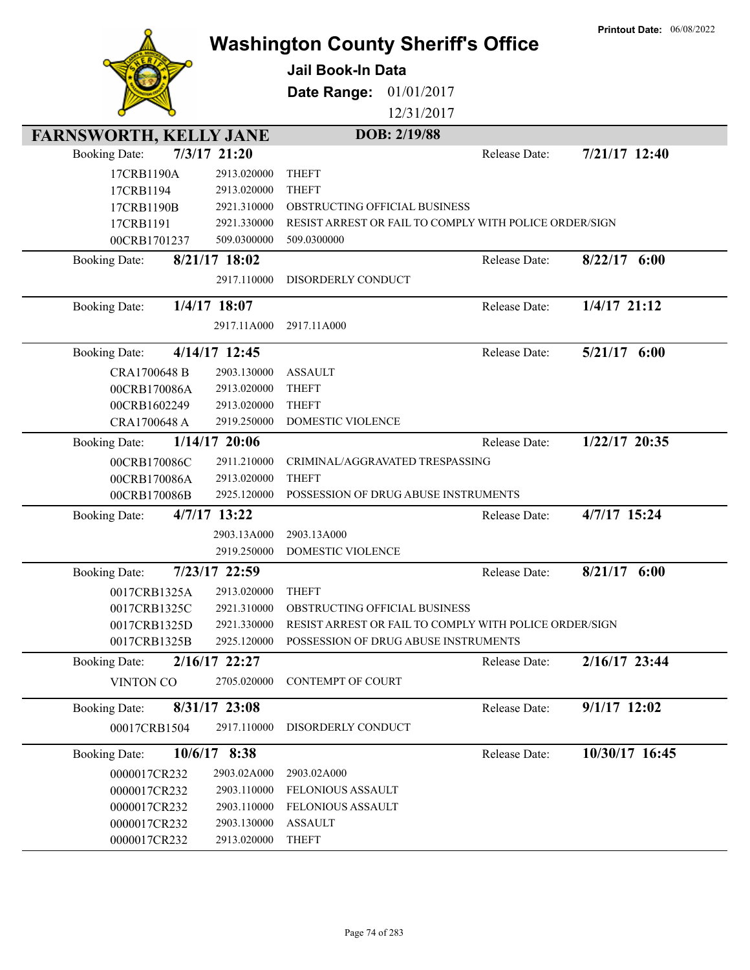|                               |                 | <b>Washington County Sheriff's Office</b><br><b>Jail Book-In Data</b><br>01/01/2017<br>Date Range: |               | <b>Printout Date: 06/08/2022</b> |
|-------------------------------|-----------------|----------------------------------------------------------------------------------------------------|---------------|----------------------------------|
|                               |                 | 12/31/2017                                                                                         |               |                                  |
|                               |                 |                                                                                                    |               |                                  |
| <b>FARNSWORTH, KELLY JANE</b> |                 | DOB: 2/19/88                                                                                       |               |                                  |
| <b>Booking Date:</b>          | 7/3/17 21:20    |                                                                                                    | Release Date: | 7/21/17 12:40                    |
| 17CRB1190A                    | 2913.020000     | <b>THEFT</b>                                                                                       |               |                                  |
| 17CRB1194                     | 2913.020000     | <b>THEFT</b>                                                                                       |               |                                  |
| 17CRB1190B                    | 2921.310000     | OBSTRUCTING OFFICIAL BUSINESS                                                                      |               |                                  |
| 17CRB1191                     | 2921.330000     | RESIST ARREST OR FAIL TO COMPLY WITH POLICE ORDER/SIGN                                             |               |                                  |
| 00CRB1701237                  | 509.0300000     | 509.0300000                                                                                        |               |                                  |
| <b>Booking Date:</b>          | 8/21/17 18:02   |                                                                                                    | Release Date: | $8/22/17$ 6:00                   |
|                               | 2917.110000     | DISORDERLY CONDUCT                                                                                 |               |                                  |
| <b>Booking Date:</b>          | $1/4/17$ 18:07  |                                                                                                    | Release Date: | $1/4/17$ 21:12                   |
|                               | 2917.11A000     | 2917.11A000                                                                                        |               |                                  |
| <b>Booking Date:</b>          | 4/14/17 12:45   |                                                                                                    | Release Date: | $5/21/17$ 6:00                   |
| CRA1700648 B                  | 2903.130000     | <b>ASSAULT</b>                                                                                     |               |                                  |
| 00CRB170086A                  | 2913.020000     | <b>THEFT</b>                                                                                       |               |                                  |
| 00CRB1602249                  | 2913.020000     | <b>THEFT</b>                                                                                       |               |                                  |
| CRA1700648 A                  | 2919.250000     | DOMESTIC VIOLENCE                                                                                  |               |                                  |
| <b>Booking Date:</b>          | $1/14/17$ 20:06 |                                                                                                    | Release Date: | 1/22/17 20:35                    |
| 00CRB170086C                  | 2911.210000     | CRIMINAL/AGGRAVATED TRESPASSING                                                                    |               |                                  |
| 00CRB170086A                  | 2913.020000     | <b>THEFT</b>                                                                                       |               |                                  |
| 00CRB170086B                  | 2925.120000     | POSSESSION OF DRUG ABUSE INSTRUMENTS                                                               |               |                                  |
| <b>Booking Date:</b>          | 4/7/17 13:22    |                                                                                                    | Release Date: | 4/7/17 15:24                     |
|                               | 2903.13A000     | 2903.13A000                                                                                        |               |                                  |
|                               | 2919.250000     | <b>DOMESTIC VIOLENCE</b>                                                                           |               |                                  |
| <b>Booking Date:</b>          | 7/23/17 22:59   |                                                                                                    | Release Date: | 6:00<br>8/21/17                  |
| 0017CRB1325A                  | 2913.020000     | <b>THEFT</b>                                                                                       |               |                                  |
| 0017CRB1325C                  | 2921.310000     | OBSTRUCTING OFFICIAL BUSINESS                                                                      |               |                                  |
| 0017CRB1325D                  | 2921.330000     | RESIST ARREST OR FAIL TO COMPLY WITH POLICE ORDER/SIGN                                             |               |                                  |
| 0017CRB1325B                  | 2925.120000     | POSSESSION OF DRUG ABUSE INSTRUMENTS                                                               |               |                                  |
| <b>Booking Date:</b>          | $2/16/17$ 22:27 |                                                                                                    | Release Date: | 2/16/17 23:44                    |
| <b>VINTON CO</b>              | 2705.020000     | <b>CONTEMPT OF COURT</b>                                                                           |               |                                  |
| <b>Booking Date:</b>          | 8/31/17 23:08   |                                                                                                    | Release Date: | $9/1/17$ 12:02                   |
| 00017CRB1504                  | 2917.110000     | DISORDERLY CONDUCT                                                                                 |               |                                  |
| <b>Booking Date:</b>          | 10/6/17 8:38    |                                                                                                    | Release Date: | 10/30/17 16:45                   |
| 0000017CR232                  | 2903.02A000     | 2903.02A000                                                                                        |               |                                  |
| 0000017CR232                  | 2903.110000     | FELONIOUS ASSAULT                                                                                  |               |                                  |
| 0000017CR232                  | 2903.110000     | FELONIOUS ASSAULT                                                                                  |               |                                  |
| 0000017CR232                  | 2903.130000     | <b>ASSAULT</b>                                                                                     |               |                                  |
| 0000017CR232                  | 2913.020000     | <b>THEFT</b>                                                                                       |               |                                  |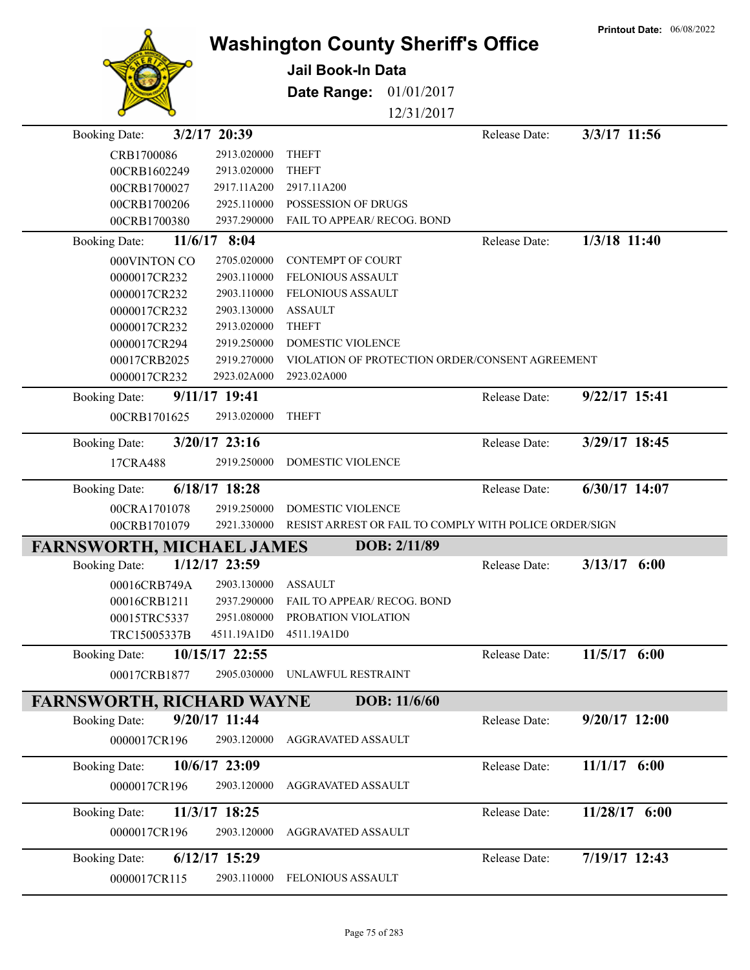|                                                          |                            | <b>Washington County Sheriff's Office</b>                      |               | <b>Printout Date: 06/08/2022</b> |
|----------------------------------------------------------|----------------------------|----------------------------------------------------------------|---------------|----------------------------------|
|                                                          |                            | Jail Book-In Data                                              |               |                                  |
|                                                          |                            |                                                                |               |                                  |
|                                                          |                            | Date Range:<br>01/01/2017                                      |               |                                  |
|                                                          |                            | 12/31/2017                                                     |               |                                  |
| 3/2/17 20:39<br><b>Booking Date:</b>                     |                            |                                                                | Release Date: | 3/3/17 11:56                     |
| CRB1700086                                               | 2913.020000                | <b>THEFT</b>                                                   |               |                                  |
| 00CRB1602249                                             | 2913.020000                | <b>THEFT</b>                                                   |               |                                  |
| 00CRB1700027                                             | 2917.11A200                | 2917.11A200                                                    |               |                                  |
| 00CRB1700206                                             | 2925.110000                | POSSESSION OF DRUGS                                            |               |                                  |
| 00CRB1700380                                             | 2937.290000                | FAIL TO APPEAR/ RECOG. BOND                                    |               |                                  |
| <b>Booking Date:</b>                                     | 11/6/17 8:04               |                                                                | Release Date: | 1/3/18 11:40                     |
| 000VINTON CO                                             | 2705.020000                | <b>CONTEMPT OF COURT</b>                                       |               |                                  |
| 0000017CR232                                             | 2903.110000                | <b>FELONIOUS ASSAULT</b>                                       |               |                                  |
| 0000017CR232                                             | 2903.110000                | <b>FELONIOUS ASSAULT</b>                                       |               |                                  |
| 0000017CR232                                             | 2903.130000                | <b>ASSAULT</b>                                                 |               |                                  |
| 0000017CR232                                             | 2913.020000                | <b>THEFT</b>                                                   |               |                                  |
| 0000017CR294                                             | 2919.250000                | DOMESTIC VIOLENCE                                              |               |                                  |
| 00017CRB2025                                             | 2919.270000<br>2923.02A000 | VIOLATION OF PROTECTION ORDER/CONSENT AGREEMENT<br>2923.02A000 |               |                                  |
| 0000017CR232                                             |                            |                                                                |               |                                  |
| <b>Booking Date:</b>                                     | 9/11/17 19:41              |                                                                | Release Date: | 9/22/17 15:41                    |
| 00CRB1701625                                             | 2913.020000                | <b>THEFT</b>                                                   |               |                                  |
| <b>Booking Date:</b>                                     | 3/20/17 23:16              |                                                                | Release Date: | 3/29/17 18:45                    |
| 17CRA488                                                 | 2919.250000                | DOMESTIC VIOLENCE                                              |               |                                  |
| <b>Booking Date:</b>                                     | 6/18/17 18:28              |                                                                | Release Date: | 6/30/17 14:07                    |
| 00CRA1701078                                             | 2919.250000                | DOMESTIC VIOLENCE                                              |               |                                  |
| 00CRB1701079                                             | 2921.330000                | RESIST ARREST OR FAIL TO COMPLY WITH POLICE ORDER/SIGN         |               |                                  |
| <b>FARNSWORTH, MICHAEL JAMES</b>                         |                            | DOB: 2/11/89                                                   |               |                                  |
| <b>Booking Date:</b>                                     | 1/12/17 23:59              |                                                                | Release Date: | 3/13/17<br>6:00                  |
| 00016CRB749A                                             | 2903.130000                | <b>ASSAULT</b>                                                 |               |                                  |
| 00016CRB1211                                             | 2937.290000                | FAIL TO APPEAR/ RECOG. BOND                                    |               |                                  |
| 00015TRC5337                                             | 2951.080000                | PROBATION VIOLATION                                            |               |                                  |
| TRC15005337B                                             | 4511.19A1D0                | 4511.19A1D0                                                    |               |                                  |
| <b>Booking Date:</b>                                     | 10/15/17 22:55             |                                                                | Release Date: | 11/5/17 6:00                     |
| 00017CRB1877                                             | 2905.030000                | UNLAWFUL RESTRAINT                                             |               |                                  |
|                                                          |                            | DOB: 11/6/60                                                   |               |                                  |
| <b>FARNSWORTH, RICHARD WAYNE</b><br><b>Booking Date:</b> | 9/20/17 11:44              |                                                                | Release Date: | $9/20/17$ 12:00                  |
|                                                          |                            |                                                                |               |                                  |
| 0000017CR196                                             | 2903.120000                | AGGRAVATED ASSAULT                                             |               |                                  |
| <b>Booking Date:</b>                                     | 10/6/17 23:09              |                                                                | Release Date: | $11/1/17$ 6:00                   |
| 0000017CR196                                             | 2903.120000                | AGGRAVATED ASSAULT                                             |               |                                  |
| <b>Booking Date:</b>                                     | 11/3/17 18:25              |                                                                | Release Date: | 11/28/17 6:00                    |
| 0000017CR196                                             | 2903.120000                | AGGRAVATED ASSAULT                                             |               |                                  |
|                                                          |                            |                                                                |               |                                  |
| <b>Booking Date:</b>                                     | $6/12/17$ 15:29            |                                                                | Release Date: | 7/19/17 12:43                    |
| 0000017CR115                                             | 2903.110000                | FELONIOUS ASSAULT                                              |               |                                  |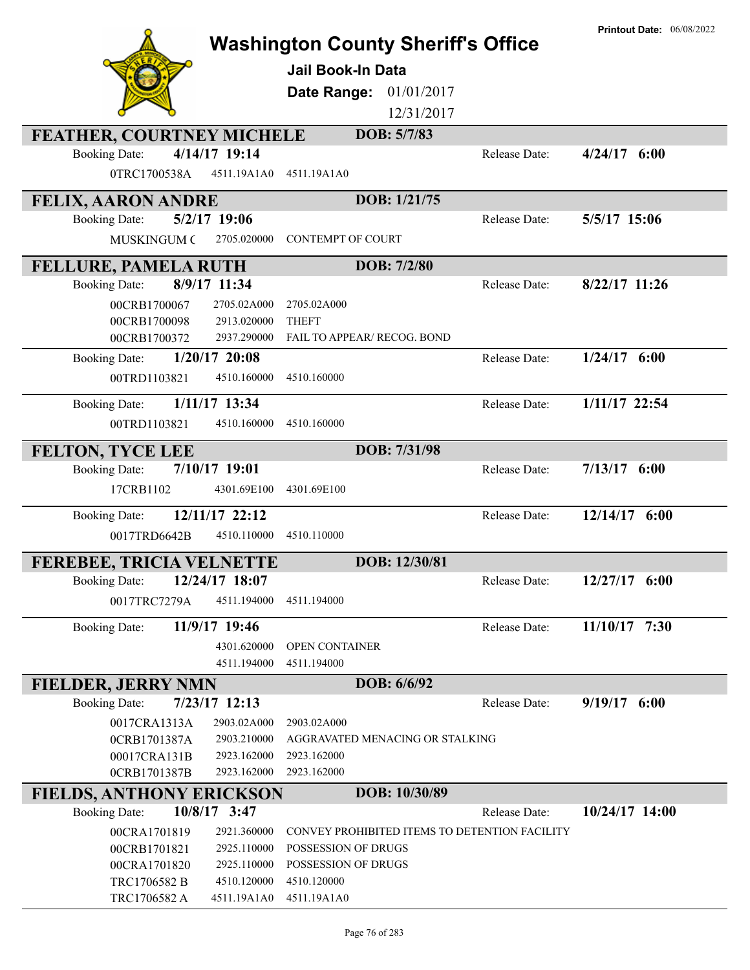|                                  |                 | <b>Washington County Sheriff's Office</b> |                                               |               | <b>Printout Date: 06/08/2022</b> |
|----------------------------------|-----------------|-------------------------------------------|-----------------------------------------------|---------------|----------------------------------|
|                                  |                 |                                           |                                               |               |                                  |
|                                  |                 | Jail Book-In Data                         |                                               |               |                                  |
|                                  |                 | Date Range:                               | 01/01/2017                                    |               |                                  |
|                                  |                 |                                           | 12/31/2017                                    |               |                                  |
| <b>FEATHER, COURTNEY MICHELE</b> |                 |                                           | DOB: 5/7/83                                   |               |                                  |
| <b>Booking Date:</b>             | 4/14/17 19:14   |                                           |                                               | Release Date: | $4/24/17$ 6:00                   |
| 0TRC1700538A                     | 4511.19A1A0     | 4511.19A1A0                               |                                               |               |                                  |
| <b>FELIX, AARON ANDRE</b>        |                 |                                           | DOB: 1/21/75                                  |               |                                  |
| <b>Booking Date:</b>             | 5/2/17 19:06    |                                           |                                               | Release Date: | 5/5/17 15:06                     |
| <b>MUSKINGUM C</b>               | 2705.020000     | <b>CONTEMPT OF COURT</b>                  |                                               |               |                                  |
| <b>FELLURE, PAMELA RUTH</b>      |                 |                                           | DOB: 7/2/80                                   |               |                                  |
| <b>Booking Date:</b>             | 8/9/17 11:34    |                                           |                                               | Release Date: | $8/22/17$ 11:26                  |
| 00CRB1700067                     | 2705.02A000     | 2705.02A000                               |                                               |               |                                  |
| 00CRB1700098                     | 2913.020000     | <b>THEFT</b>                              |                                               |               |                                  |
| 00CRB1700372                     | 2937.290000     | <b>FAIL TO APPEAR/ RECOG. BOND</b>        |                                               |               |                                  |
| <b>Booking Date:</b>             | $1/20/17$ 20:08 |                                           |                                               | Release Date: | $1/24/17$ 6:00                   |
| 00TRD1103821                     | 4510.160000     | 4510.160000                               |                                               |               |                                  |
|                                  |                 |                                           |                                               |               |                                  |
| <b>Booking Date:</b>             | 1/11/17 13:34   |                                           |                                               | Release Date: | 1/11/17 22:54                    |
| 00TRD1103821                     | 4510.160000     | 4510.160000                               |                                               |               |                                  |
| FELTON, TYCE LEE                 |                 |                                           | DOB: 7/31/98                                  |               |                                  |
| <b>Booking Date:</b>             | 7/10/17 19:01   |                                           |                                               | Release Date: | $7/13/17$ 6:00                   |
| 17CRB1102                        | 4301.69E100     | 4301.69E100                               |                                               |               |                                  |
| <b>Booking Date:</b>             | 12/11/17 22:12  |                                           |                                               | Release Date: | 12/14/17 6:00                    |
| 0017TRD6642B                     | 4510.110000     | 4510.110000                               |                                               |               |                                  |
| <b>FEREBEE, TRICIA VELNETTE</b>  |                 |                                           | DOB: 12/30/81                                 |               |                                  |
| <b>Booking Date:</b>             | 12/24/17 18:07  |                                           |                                               | Release Date: | 12/27/17 6:00                    |
| 0017TRC7279A                     | 4511.194000     | 4511.194000                               |                                               |               |                                  |
| <b>Booking Date:</b>             | 11/9/17 19:46   |                                           |                                               | Release Date: | 11/10/17 7:30                    |
|                                  | 4301.620000     | <b>OPEN CONTAINER</b>                     |                                               |               |                                  |
|                                  | 4511.194000     | 4511.194000                               |                                               |               |                                  |
| <b>FIELDER, JERRY NMN</b>        |                 |                                           | DOB: 6/6/92                                   |               |                                  |
| <b>Booking Date:</b>             | 7/23/17 12:13   |                                           |                                               | Release Date: | $9/19/17$ 6:00                   |
| 0017CRA1313A                     | 2903.02A000     | 2903.02A000                               |                                               |               |                                  |
| 0CRB1701387A                     | 2903.210000     |                                           | AGGRAVATED MENACING OR STALKING               |               |                                  |
| 00017CRA131B                     | 2923.162000     | 2923.162000                               |                                               |               |                                  |
| 0CRB1701387B                     | 2923.162000     | 2923.162000                               |                                               |               |                                  |
| <b>FIELDS, ANTHONY ERICKSON</b>  |                 |                                           | DOB: 10/30/89                                 |               |                                  |
| <b>Booking Date:</b>             | 10/8/17 3:47    |                                           |                                               | Release Date: | 10/24/17 14:00                   |
| 00CRA1701819                     | 2921.360000     |                                           | CONVEY PROHIBITED ITEMS TO DETENTION FACILITY |               |                                  |
| 00CRB1701821                     | 2925.110000     | POSSESSION OF DRUGS                       |                                               |               |                                  |
| 00CRA1701820                     | 2925.110000     | POSSESSION OF DRUGS                       |                                               |               |                                  |
| TRC1706582 B                     | 4510.120000     | 4510.120000                               |                                               |               |                                  |
| TRC1706582 A                     | 4511.19A1A0     | 4511.19A1A0                               |                                               |               |                                  |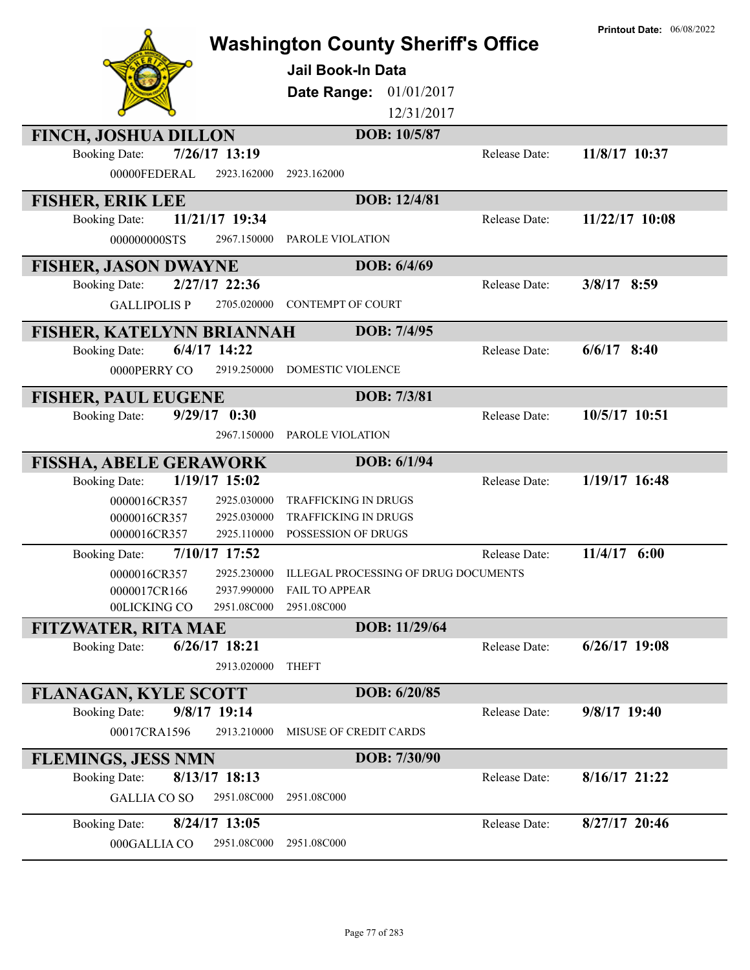|                                                                     | <b>Washington County Sheriff's Office</b> |               | <b>Printout Date: 06/08/2022</b> |
|---------------------------------------------------------------------|-------------------------------------------|---------------|----------------------------------|
|                                                                     | <b>Jail Book-In Data</b>                  |               |                                  |
|                                                                     | <b>Date Range: 01/01/2017</b>             |               |                                  |
|                                                                     | 12/31/2017                                |               |                                  |
| <b>FINCH, JOSHUA DILLON</b>                                         | DOB: 10/5/87                              |               |                                  |
| 7/26/17 13:19<br><b>Booking Date:</b>                               |                                           | Release Date: | 11/8/17 10:37                    |
| 00000FEDERAL<br>2923.162000                                         | 2923.162000                               |               |                                  |
| <b>FISHER, ERIK LEE</b>                                             | DOB: 12/4/81                              |               |                                  |
| 11/21/17 19:34<br><b>Booking Date:</b>                              |                                           | Release Date: | 11/22/17 10:08                   |
| 000000000STS<br>2967.150000                                         | PAROLE VIOLATION                          |               |                                  |
| <b>FISHER, JASON DWAYNE</b>                                         | DOB: 6/4/69                               |               |                                  |
| 2/27/17 22:36<br><b>Booking Date:</b>                               |                                           | Release Date: | $3/8/17$ 8:59                    |
| <b>GALLIPOLIS P</b><br>2705.020000                                  | <b>CONTEMPT OF COURT</b>                  |               |                                  |
| FISHER, KATELYNN BRIANNAH                                           | DOB: 7/4/95                               |               |                                  |
| $6/4/17$ 14:22<br><b>Booking Date:</b>                              |                                           | Release Date: | $6/6/17$ 8:40                    |
| 0000PERRY CO<br>2919.250000                                         | DOMESTIC VIOLENCE                         |               |                                  |
| <b>FISHER, PAUL EUGENE</b>                                          | DOB: 7/3/81                               |               |                                  |
| $9/29/17$ 0:30<br><b>Booking Date:</b>                              |                                           | Release Date: | 10/5/17 10:51                    |
| 2967.150000                                                         | PAROLE VIOLATION                          |               |                                  |
|                                                                     |                                           |               |                                  |
| <b>FISSHA, ABELE GERAWORK</b>                                       | DOB: 6/1/94                               |               |                                  |
| 1/19/17 15:02<br><b>Booking Date:</b>                               |                                           | Release Date: | 1/19/17 16:48                    |
| 0000016CR357<br>2925.030000                                         | <b>TRAFFICKING IN DRUGS</b>               |               |                                  |
| 0000016CR357<br>2925.030000                                         | <b>TRAFFICKING IN DRUGS</b>               |               |                                  |
| 2925.110000<br>0000016CR357                                         | POSSESSION OF DRUGS                       |               |                                  |
| 7/10/17 17:52<br><b>Booking Date:</b>                               |                                           | Release Date: | $11/4/17$ 6:00                   |
| 0000016CR357<br>2925.230000                                         | ILLEGAL PROCESSING OF DRUG DOCUMENTS      |               |                                  |
| 2937.990000<br>0000017CR166<br>00LICKING CO<br>2951.08C000          | <b>FAIL TO APPEAR</b><br>2951.08C000      |               |                                  |
|                                                                     | DOB: 11/29/64                             |               |                                  |
| <b>FITZWATER, RITA MAE</b><br>6/26/17 18:21<br><b>Booking Date:</b> |                                           | Release Date: | $6/26/17$ 19:08                  |
| 2913.020000                                                         | <b>THEFT</b>                              |               |                                  |
| <b>FLANAGAN, KYLE SCOTT</b>                                         | DOB: 6/20/85                              |               |                                  |
| 9/8/17 19:14<br><b>Booking Date:</b>                                |                                           | Release Date: | 9/8/17 19:40                     |
| 00017CRA1596<br>2913.210000                                         | MISUSE OF CREDIT CARDS                    |               |                                  |
| <b>FLEMINGS, JESS NMN</b>                                           | DOB: 7/30/90                              |               |                                  |
| 8/13/17 18:13<br><b>Booking Date:</b>                               |                                           | Release Date: | $8/16/17$ 21:22                  |
| <b>GALLIA CO SO</b><br>2951.08C000                                  | 2951.08C000                               |               |                                  |
| 8/24/17 13:05<br><b>Booking Date:</b>                               |                                           | Release Date: | $8/27/17$ 20:46                  |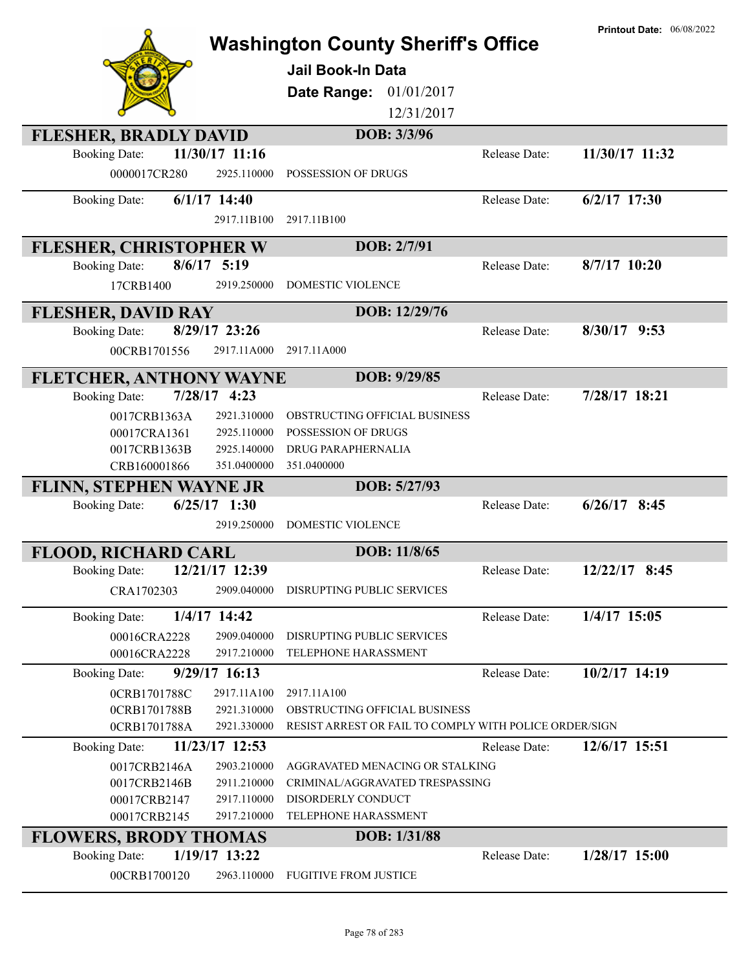|                                |                | <b>Washington County Sheriff's Office</b>              |               | <b>Printout Date: 06/08/2022</b> |
|--------------------------------|----------------|--------------------------------------------------------|---------------|----------------------------------|
|                                |                | Jail Book-In Data                                      |               |                                  |
|                                |                | 01/01/2017<br>Date Range:                              |               |                                  |
|                                |                | 12/31/2017                                             |               |                                  |
| <b>FLESHER, BRADLY DAVID</b>   |                | DOB: 3/3/96                                            |               |                                  |
| <b>Booking Date:</b>           | 11/30/17 11:16 |                                                        | Release Date: | 11/30/17 11:32                   |
| 0000017CR280                   | 2925.110000    | POSSESSION OF DRUGS                                    |               |                                  |
| <b>Booking Date:</b>           | $6/1/17$ 14:40 |                                                        | Release Date: | $6/2/17$ 17:30                   |
|                                | 2917.11B100    | 2917.11B100                                            |               |                                  |
| <b>FLESHER, CHRISTOPHER W</b>  |                | DOB: 2/7/91                                            |               |                                  |
| <b>Booking Date:</b>           | $8/6/17$ 5:19  |                                                        | Release Date: | 8/7/17 10:20                     |
| 17CRB1400                      | 2919.250000    | <b>DOMESTIC VIOLENCE</b>                               |               |                                  |
| <b>FLESHER, DAVID RAY</b>      |                | DOB: 12/29/76                                          |               |                                  |
| <b>Booking Date:</b>           | 8/29/17 23:26  |                                                        | Release Date: | $8/30/17$ 9:53                   |
| 00CRB1701556                   | 2917.11A000    | 2917.11A000                                            |               |                                  |
| FLETCHER, ANTHONY WAYNE        |                | DOB: 9/29/85                                           |               |                                  |
| <b>Booking Date:</b>           | $7/28/17$ 4:23 |                                                        | Release Date: | 7/28/17 18:21                    |
| 0017CRB1363A                   | 2921.310000    | OBSTRUCTING OFFICIAL BUSINESS                          |               |                                  |
| 00017CRA1361                   | 2925.110000    | POSSESSION OF DRUGS                                    |               |                                  |
| 0017CRB1363B                   | 2925.140000    | DRUG PARAPHERNALIA                                     |               |                                  |
| CRB160001866                   | 351.0400000    | 351.0400000                                            |               |                                  |
| <b>FLINN, STEPHEN WAYNE JR</b> |                | DOB: 5/27/93                                           |               |                                  |
| <b>Booking Date:</b>           | $6/25/17$ 1:30 |                                                        | Release Date: | $6/26/17$ 8:45                   |
|                                | 2919.250000    | DOMESTIC VIOLENCE                                      |               |                                  |
| <b>FLOOD, RICHARD CARL</b>     |                | DOB: 11/8/65                                           |               |                                  |
| <b>Booking Date:</b>           | 12/21/17 12:39 |                                                        | Release Date: | 12/22/17 8:45                    |
| CRA1702303                     | 2909.040000    | DISRUPTING PUBLIC SERVICES                             |               |                                  |
| <b>Booking Date:</b>           | 1/4/17 14:42   |                                                        | Release Date: | 1/4/17 15:05                     |
| 00016CRA2228                   | 2909.040000    | DISRUPTING PUBLIC SERVICES                             |               |                                  |
| 00016CRA2228                   | 2917.210000    | TELEPHONE HARASSMENT                                   |               |                                  |
| <b>Booking Date:</b>           | 9/29/17 16:13  |                                                        | Release Date: | 10/2/17 14:19                    |
| 0CRB1701788C                   | 2917.11A100    | 2917.11A100                                            |               |                                  |
| 0CRB1701788B                   | 2921.310000    | OBSTRUCTING OFFICIAL BUSINESS                          |               |                                  |
| 0CRB1701788A                   | 2921.330000    | RESIST ARREST OR FAIL TO COMPLY WITH POLICE ORDER/SIGN |               |                                  |
| <b>Booking Date:</b>           | 11/23/17 12:53 |                                                        | Release Date: | 12/6/17 15:51                    |
| 0017CRB2146A                   | 2903.210000    | AGGRAVATED MENACING OR STALKING                        |               |                                  |
| 0017CRB2146B                   | 2911.210000    | CRIMINAL/AGGRAVATED TRESPASSING                        |               |                                  |
| 00017CRB2147                   | 2917.110000    | DISORDERLY CONDUCT                                     |               |                                  |
| 00017CRB2145                   | 2917.210000    | TELEPHONE HARASSMENT                                   |               |                                  |
| <b>FLOWERS, BRODY THOMAS</b>   |                | DOB: 1/31/88                                           |               |                                  |
| <b>Booking Date:</b>           | 1/19/17 13:22  |                                                        | Release Date: | $1/28/17$ 15:00                  |
| 00CRB1700120                   | 2963.110000    | <b>FUGITIVE FROM JUSTICE</b>                           |               |                                  |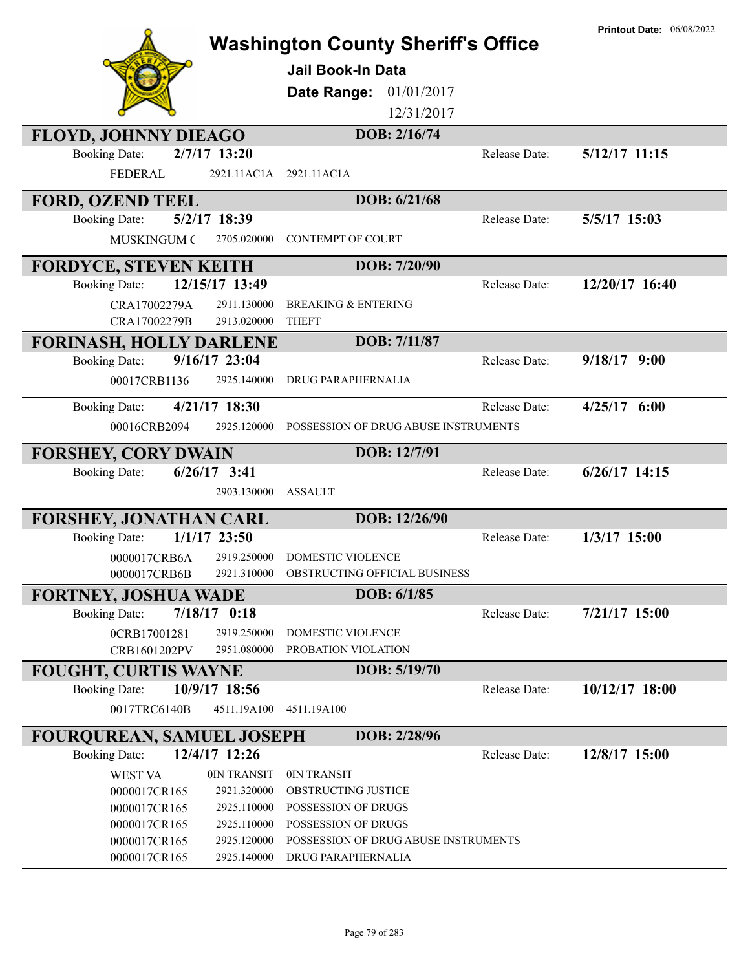|                                                        |                               | <b>Washington County Sheriff's Office</b><br>Jail Book-In Data<br>01/01/2017<br>Date Range:<br>12/31/2017 |               | <b>Printout Date: 06/08/2022</b> |
|--------------------------------------------------------|-------------------------------|-----------------------------------------------------------------------------------------------------------|---------------|----------------------------------|
| <b>FLOYD, JOHNNY DIEAGO</b>                            |                               | DOB: 2/16/74                                                                                              |               |                                  |
| <b>Booking Date:</b><br><b>FEDERAL</b>                 | $2/7/17$ 13:20<br>2921.11AC1A | 2921.11AC1A                                                                                               | Release Date: | $5/12/17$ 11:15                  |
| <b>FORD, OZEND TEEL</b>                                |                               | DOB: 6/21/68                                                                                              |               |                                  |
| <b>Booking Date:</b>                                   | 5/2/17 18:39                  |                                                                                                           | Release Date: | 5/5/17 15:03                     |
| <b>MUSKINGUM C</b>                                     | 2705.020000                   | <b>CONTEMPT OF COURT</b>                                                                                  |               |                                  |
| <b>FORDYCE, STEVEN KEITH</b>                           |                               | DOB: 7/20/90                                                                                              |               |                                  |
| <b>Booking Date:</b>                                   | 12/15/17 13:49                |                                                                                                           | Release Date: | 12/20/17 16:40                   |
| CRA17002279A<br>CRA17002279B                           | 2911.130000<br>2913.020000    | <b>BREAKING &amp; ENTERING</b><br><b>THEFT</b>                                                            |               |                                  |
|                                                        |                               | DOB: 7/11/87                                                                                              |               |                                  |
| <b>FORINASH, HOLLY DARLENE</b><br><b>Booking Date:</b> | 9/16/17 23:04                 |                                                                                                           | Release Date: | $9/18/17$ $9:00$                 |
| 00017CRB1136                                           | 2925.140000                   | DRUG PARAPHERNALIA                                                                                        |               |                                  |
| <b>Booking Date:</b>                                   | 4/21/17 18:30                 |                                                                                                           | Release Date: | $4/25/17$ 6:00                   |
| 00016CRB2094                                           | 2925.120000                   | POSSESSION OF DRUG ABUSE INSTRUMENTS                                                                      |               |                                  |
| <b>FORSHEY, CORY DWAIN</b>                             |                               | DOB: 12/7/91                                                                                              |               |                                  |
| <b>Booking Date:</b>                                   | $6/26/17$ 3:41<br>2903.130000 | <b>ASSAULT</b>                                                                                            | Release Date: | $6/26/17$ 14:15                  |
| <b>FORSHEY, JONATHAN CARL</b>                          |                               | DOB: 12/26/90                                                                                             |               |                                  |
| <b>Booking Date:</b>                                   | $1/1/17$ 23:50                |                                                                                                           | Release Date: | 1/3/17 15:00                     |
| 0000017CRB6A                                           | 2919.250000                   | <b>DOMESTIC VIOLENCE</b>                                                                                  |               |                                  |
| 0000017CRB6B                                           |                               | 2921.310000 OBSTRUCTING OFFICIAL BUSINESS                                                                 |               |                                  |
| <b>FORTNEY, JOSHUA WADE</b>                            |                               | DOB: 6/1/85                                                                                               |               |                                  |
| <b>Booking Date:</b>                                   | $7/18/17$ 0:18                |                                                                                                           | Release Date: | 7/21/17 15:00                    |
| 0CRB17001281                                           | 2919.250000                   | DOMESTIC VIOLENCE                                                                                         |               |                                  |
| CRB1601202PV                                           | 2951.080000                   | PROBATION VIOLATION                                                                                       |               |                                  |
| <b>FOUGHT, CURTIS WAYNE</b>                            |                               | DOB: 5/19/70                                                                                              |               |                                  |
| <b>Booking Date:</b>                                   | 10/9/17 18:56                 |                                                                                                           | Release Date: | 10/12/17 18:00                   |
| 0017TRC6140B                                           | 4511.19A100                   | 4511.19A100                                                                                               |               |                                  |
| <b>FOURQUREAN, SAMUEL JOSEPH</b>                       |                               | DOB: 2/28/96                                                                                              |               |                                  |
| <b>Booking Date:</b>                                   | 12/4/17 12:26                 |                                                                                                           | Release Date: | 12/8/17 15:00                    |
| <b>WEST VA</b>                                         | 0IN TRANSIT                   | 0IN TRANSIT                                                                                               |               |                                  |
| 0000017CR165                                           | 2921.320000                   | OBSTRUCTING JUSTICE                                                                                       |               |                                  |
| 0000017CR165<br>0000017CR165                           | 2925.110000<br>2925.110000    | POSSESSION OF DRUGS<br>POSSESSION OF DRUGS                                                                |               |                                  |
| 0000017CR165                                           | 2925.120000                   | POSSESSION OF DRUG ABUSE INSTRUMENTS                                                                      |               |                                  |
| 0000017CR165                                           | 2925.140000                   | DRUG PARAPHERNALIA                                                                                        |               |                                  |
|                                                        |                               |                                                                                                           |               |                                  |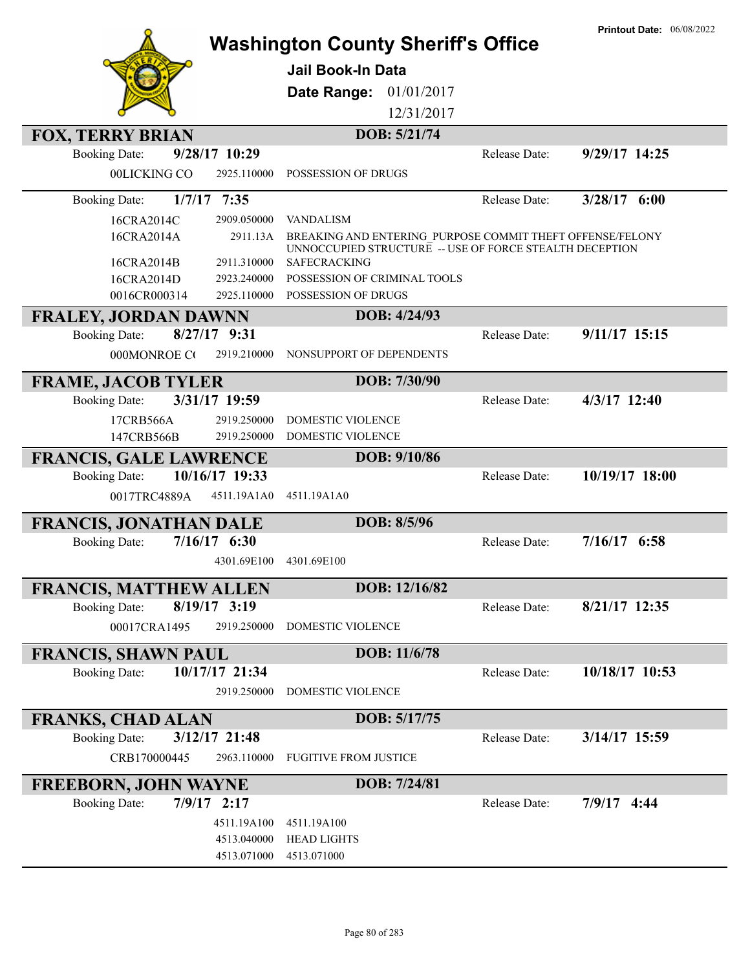|                                                       |                               | <b>Washington County Sheriff's Office</b>                                                                            |               | <b>Printout Date: 06/08/2022</b> |
|-------------------------------------------------------|-------------------------------|----------------------------------------------------------------------------------------------------------------------|---------------|----------------------------------|
|                                                       |                               |                                                                                                                      |               |                                  |
|                                                       |                               | <b>Jail Book-In Data</b>                                                                                             |               |                                  |
|                                                       |                               | Date Range: 01/01/2017                                                                                               |               |                                  |
|                                                       |                               | 12/31/2017                                                                                                           |               |                                  |
| <b>FOX, TERRY BRIAN</b>                               |                               | DOB: 5/21/74                                                                                                         |               |                                  |
| <b>Booking Date:</b>                                  | 9/28/17 10:29                 |                                                                                                                      | Release Date: | 9/29/17 14:25                    |
| 00LICKING CO                                          | 2925.110000                   | POSSESSION OF DRUGS                                                                                                  |               |                                  |
| <b>Booking Date:</b>                                  | $1/7/17$ 7:35                 |                                                                                                                      | Release Date: | $3/28/17$ 6:00                   |
| 16CRA2014C                                            | 2909.050000                   | <b>VANDALISM</b>                                                                                                     |               |                                  |
| 16CRA2014A                                            | 2911.13A                      | BREAKING AND ENTERING PURPOSE COMMIT THEFT OFFENSE/FELONY<br>UNNOCCUPIED STRUCTURE -- USE OF FORCE STEALTH DECEPTION |               |                                  |
| 16CRA2014B                                            | 2911.310000                   | SAFECRACKING                                                                                                         |               |                                  |
| 16CRA2014D                                            | 2923.240000                   | POSSESSION OF CRIMINAL TOOLS                                                                                         |               |                                  |
| 0016CR000314                                          | 2925.110000                   | POSSESSION OF DRUGS                                                                                                  |               |                                  |
| <b>FRALEY, JORDAN DAWNN</b>                           |                               | DOB: 4/24/93                                                                                                         |               |                                  |
| <b>Booking Date:</b>                                  | $8/27/17$ 9:31                |                                                                                                                      | Release Date: | 9/11/17 15:15                    |
| 000MONROE CO                                          | 2919.210000                   | NONSUPPORT OF DEPENDENTS                                                                                             |               |                                  |
| <b>FRAME, JACOB TYLER</b>                             |                               | DOB: 7/30/90                                                                                                         |               |                                  |
| <b>Booking Date:</b>                                  | 3/31/17 19:59                 |                                                                                                                      | Release Date: | 4/3/17 12:40                     |
| 17CRB566A                                             | 2919.250000                   | DOMESTIC VIOLENCE                                                                                                    |               |                                  |
| 147CRB566B                                            | 2919.250000                   | DOMESTIC VIOLENCE                                                                                                    |               |                                  |
|                                                       |                               |                                                                                                                      |               |                                  |
|                                                       |                               | DOB: 9/10/86                                                                                                         |               |                                  |
| <b>FRANCIS, GALE LAWRENCE</b><br><b>Booking Date:</b> | 10/16/17 19:33                |                                                                                                                      | Release Date: | 10/19/17 18:00                   |
| 0017TRC4889A                                          | 4511.19A1A0                   | 4511.19A1A0                                                                                                          |               |                                  |
|                                                       |                               |                                                                                                                      |               |                                  |
| <b>FRANCIS, JONATHAN DALE</b>                         |                               | DOB: 8/5/96                                                                                                          | Release Date: |                                  |
| <b>Booking Date:</b>                                  | $7/16/17$ 6:30<br>4301.69E100 | 4301.69E100                                                                                                          |               | $7/16/17$ 6:58                   |
|                                                       |                               |                                                                                                                      |               |                                  |
| <b>FRANCIS, MATTHEW ALLEN</b>                         |                               | DOB: 12/16/82                                                                                                        |               |                                  |
| <b>Booking Date:</b>                                  | $8/19/17$ 3:19                |                                                                                                                      | Release Date: | 8/21/17 12:35                    |
| 00017CRA1495                                          | 2919.250000                   | DOMESTIC VIOLENCE                                                                                                    |               |                                  |
| <b>FRANCIS, SHAWN PAUL</b>                            |                               | DOB: 11/6/78                                                                                                         |               |                                  |
| <b>Booking Date:</b>                                  | 10/17/17 21:34                |                                                                                                                      | Release Date: | 10/18/17 10:53                   |
|                                                       | 2919.250000                   | <b>DOMESTIC VIOLENCE</b>                                                                                             |               |                                  |
| <b>FRANKS, CHAD ALAN</b>                              |                               | DOB: 5/17/75                                                                                                         |               |                                  |
| <b>Booking Date:</b>                                  | 3/12/17 21:48                 |                                                                                                                      | Release Date: | 3/14/17 15:59                    |
| CRB170000445                                          | 2963.110000                   | <b>FUGITIVE FROM JUSTICE</b>                                                                                         |               |                                  |
|                                                       |                               | DOB: 7/24/81                                                                                                         |               |                                  |
| <b>FREEBORN, JOHN WAYNE</b><br><b>Booking Date:</b>   | $7/9/17$ 2:17                 |                                                                                                                      | Release Date: | $7/9/17$ 4:44                    |
|                                                       | 4511.19A100                   | 4511.19A100                                                                                                          |               |                                  |
|                                                       | 4513.040000                   | <b>HEAD LIGHTS</b>                                                                                                   |               |                                  |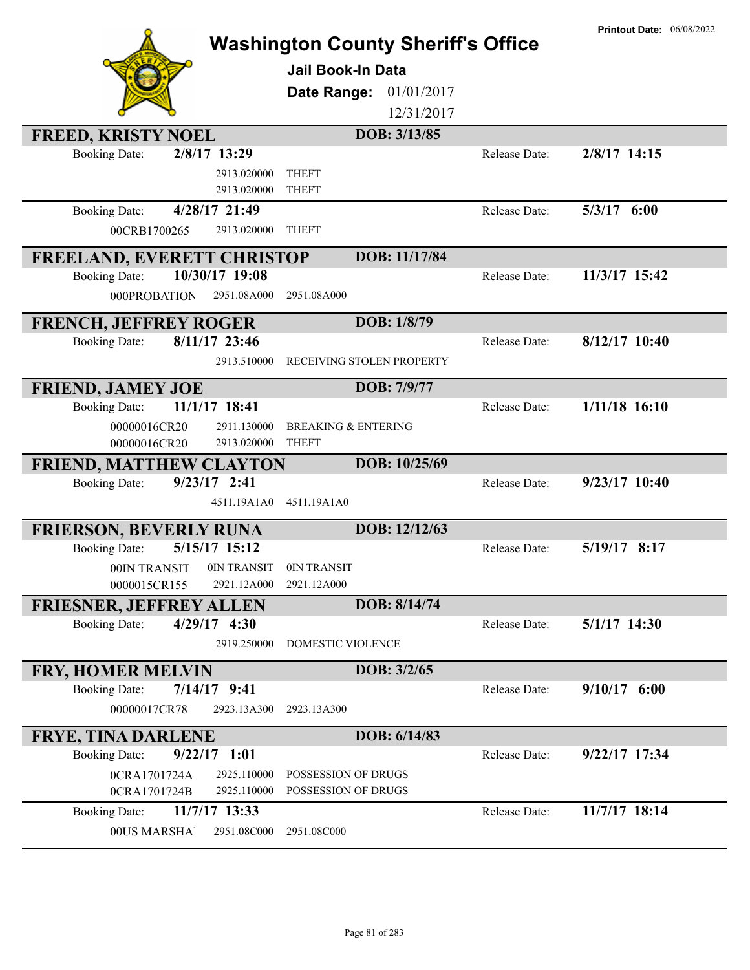| <b>FREED, KRISTY NOEL</b><br>2/8/17 13:29<br><b>Booking Date:</b><br>2913.020000 | <b>Washington County Sheriff's Office</b><br><b>Jail Book-In Data</b><br>Date Range:<br>01/01/2017<br>12/31/2017<br>DOB: 3/13/85<br><b>THEFT</b> | Release Date: | <b>Printout Date: 06/08/2022</b><br>$2/8/17$ 14:15 |
|----------------------------------------------------------------------------------|--------------------------------------------------------------------------------------------------------------------------------------------------|---------------|----------------------------------------------------|
| 2913.020000                                                                      | <b>THEFT</b>                                                                                                                                     |               |                                                    |
| 4/28/17 21:49<br><b>Booking Date:</b>                                            |                                                                                                                                                  | Release Date: | $5/3/17$ $6:00$                                    |
| 00CRB1700265<br>2913.020000                                                      | <b>THEFT</b>                                                                                                                                     |               |                                                    |
|                                                                                  | DOB: 11/17/84                                                                                                                                    |               |                                                    |
| <b>FREELAND, EVERETT CHRISTOP</b><br>10/30/17 19:08<br><b>Booking Date:</b>      |                                                                                                                                                  | Release Date: | 11/3/17 15:42                                      |
| 2951.08A000<br>000PROBATION                                                      | 2951.08A000                                                                                                                                      |               |                                                    |
|                                                                                  | DOB: 1/8/79                                                                                                                                      |               |                                                    |
| <b>FRENCH, JEFFREY ROGER</b><br>8/11/17 23:46<br><b>Booking Date:</b>            |                                                                                                                                                  | Release Date: | $8/12/17$ 10:40                                    |
| 2913.510000                                                                      | RECEIVING STOLEN PROPERTY                                                                                                                        |               |                                                    |
|                                                                                  |                                                                                                                                                  |               |                                                    |
| <b>FRIEND, JAMEY JOE</b>                                                         | DOB: 7/9/77                                                                                                                                      |               |                                                    |
| 11/1/17 18:41<br><b>Booking Date:</b>                                            |                                                                                                                                                  | Release Date: | $1/11/18$ 16:10                                    |
| 2911.130000<br>00000016CR20                                                      | <b>BREAKING &amp; ENTERING</b>                                                                                                                   |               |                                                    |
| 2913.020000<br>00000016CR20                                                      | <b>THEFT</b><br>DOB: 10/25/69                                                                                                                    |               |                                                    |
| <b>FRIEND, MATTHEW CLAYTON</b><br>$9/23/17$ 2:41<br><b>Booking Date:</b>         |                                                                                                                                                  | Release Date: | $9/23/17$ 10:40                                    |
| 4511.19A1A0                                                                      | 4511.19A1A0                                                                                                                                      |               |                                                    |
|                                                                                  |                                                                                                                                                  |               |                                                    |
| <b>FRIERSON, BEVERLY RUNA</b>                                                    | DOB: 12/12/63                                                                                                                                    |               |                                                    |
| 5/15/17 15:12<br><b>Booking Date:</b>                                            |                                                                                                                                                  | Release Date: | 5/19/17 8:17                                       |
| 0IN TRANSIT<br>00IN TRANSIT                                                      | 0IN TRANSIT                                                                                                                                      |               |                                                    |
| 0000015CR155<br>2921.12A000                                                      | 2921.12A000                                                                                                                                      |               |                                                    |
| <b>FRIESNER, JEFFREY ALLEN</b><br>$4/29/17$ 4:30<br><b>Booking Date:</b>         | DOB: 8/14/74                                                                                                                                     | Release Date: | 5/1/17 14:30                                       |
| 2919.250000                                                                      | DOMESTIC VIOLENCE                                                                                                                                |               |                                                    |
|                                                                                  |                                                                                                                                                  |               |                                                    |
| <b>FRY, HOMER MELVIN</b>                                                         | DOB: 3/2/65                                                                                                                                      |               |                                                    |
| <b>Booking Date:</b><br>$7/14/17$ 9:41                                           |                                                                                                                                                  | Release Date: | $9/10/17$ 6:00                                     |
| 00000017CR78<br>2923.13A300                                                      | 2923.13A300                                                                                                                                      |               |                                                    |
| <b>FRYE, TINA DARLENE</b>                                                        | DOB: 6/14/83                                                                                                                                     |               |                                                    |
| $9/22/17$ 1:01<br><b>Booking Date:</b>                                           |                                                                                                                                                  | Release Date: | 9/22/17 17:34                                      |
| 0CRA1701724A<br>2925.110000                                                      | POSSESSION OF DRUGS                                                                                                                              |               |                                                    |
| 2925.110000<br>0CRA1701724B                                                      | POSSESSION OF DRUGS                                                                                                                              |               |                                                    |
| 11/7/17 13:33<br><b>Booking Date:</b>                                            |                                                                                                                                                  | Release Date: | 11/7/17 18:14                                      |
| 00US MARSHAI<br>2951.08C000                                                      | 2951.08C000                                                                                                                                      |               |                                                    |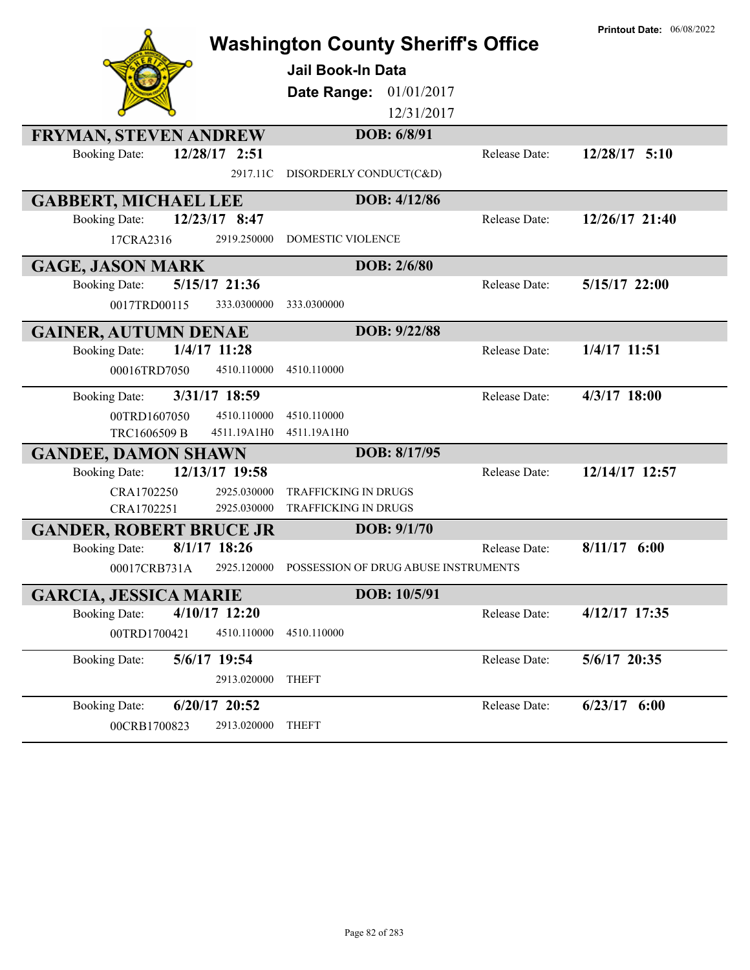|                                        | <b>Washington County Sheriff's Office</b> |               | <b>Printout Date: 06/08/2022</b> |
|----------------------------------------|-------------------------------------------|---------------|----------------------------------|
|                                        | Jail Book-In Data                         |               |                                  |
|                                        |                                           |               |                                  |
|                                        | Date Range: 01/01/2017                    |               |                                  |
|                                        | 12/31/2017                                |               |                                  |
| <b>FRYMAN, STEVEN ANDREW</b>           | DOB: 6/8/91                               |               |                                  |
| 12/28/17 2:51<br><b>Booking Date:</b>  |                                           | Release Date: | 12/28/17 5:10                    |
| 2917.11C                               | DISORDERLY CONDUCT(C&D)                   |               |                                  |
| <b>GABBERT, MICHAEL LEE</b>            | DOB: 4/12/86                              |               |                                  |
| 12/23/17 8:47<br><b>Booking Date:</b>  |                                           | Release Date: | 12/26/17 21:40                   |
| 2919.250000<br>17CRA2316               | <b>DOMESTIC VIOLENCE</b>                  |               |                                  |
| <b>GAGE, JASON MARK</b>                | DOB: 2/6/80                               |               |                                  |
| 5/15/17 21:36<br><b>Booking Date:</b>  |                                           | Release Date: | 5/15/17 22:00                    |
| 0017TRD00115<br>333.0300000            | 333.0300000                               |               |                                  |
| <b>GAINER, AUTUMN DENAE</b>            | DOB: 9/22/88                              |               |                                  |
| 1/4/17 11:28<br><b>Booking Date:</b>   |                                           | Release Date: | 1/4/17 11:51                     |
| 4510.110000<br>00016TRD7050            | 4510.110000                               |               |                                  |
| 3/31/17 18:59<br><b>Booking Date:</b>  |                                           | Release Date: | 4/3/17 18:00                     |
| 00TRD1607050<br>4510.110000            | 4510.110000                               |               |                                  |
| TRC1606509 B<br>4511.19A1H0            | 4511.19A1H0                               |               |                                  |
| <b>GANDEE, DAMON SHAWN</b>             | DOB: 8/17/95                              |               |                                  |
| 12/13/17 19:58<br><b>Booking Date:</b> |                                           | Release Date: | 12/14/17 12:57                   |
| CRA1702250<br>2925.030000              | <b>TRAFFICKING IN DRUGS</b>               |               |                                  |
| CRA1702251<br>2925.030000              | TRAFFICKING IN DRUGS                      |               |                                  |
| <b>GANDER, ROBERT BRUCE JR</b>         | DOB: 9/1/70                               |               |                                  |
| $8/1/17$ 18:26<br><b>Booking Date:</b> |                                           | Release Date: | $8/11/17$ 6:00                   |
| 2925.120000<br>00017CRB731A            | POSSESSION OF DRUG ABUSE INSTRUMENTS      |               |                                  |
| <b>GARCIA, JESSICA MARIE</b>           | DOB: 10/5/91                              |               |                                  |
| 4/10/17 12:20<br><b>Booking Date:</b>  |                                           | Release Date: | 4/12/17 17:35                    |
| 00TRD1700421<br>4510.110000            | 4510.110000                               |               |                                  |
| 5/6/17 19:54<br><b>Booking Date:</b>   |                                           | Release Date: | 5/6/17 20:35                     |
| 2913.020000                            | <b>THEFT</b>                              |               |                                  |
| <b>Booking Date:</b><br>6/20/17 20:52  |                                           | Release Date: | $6/23/17$ $6:00$                 |
| 00CRB1700823<br>2913.020000            | <b>THEFT</b>                              |               |                                  |
|                                        |                                           |               |                                  |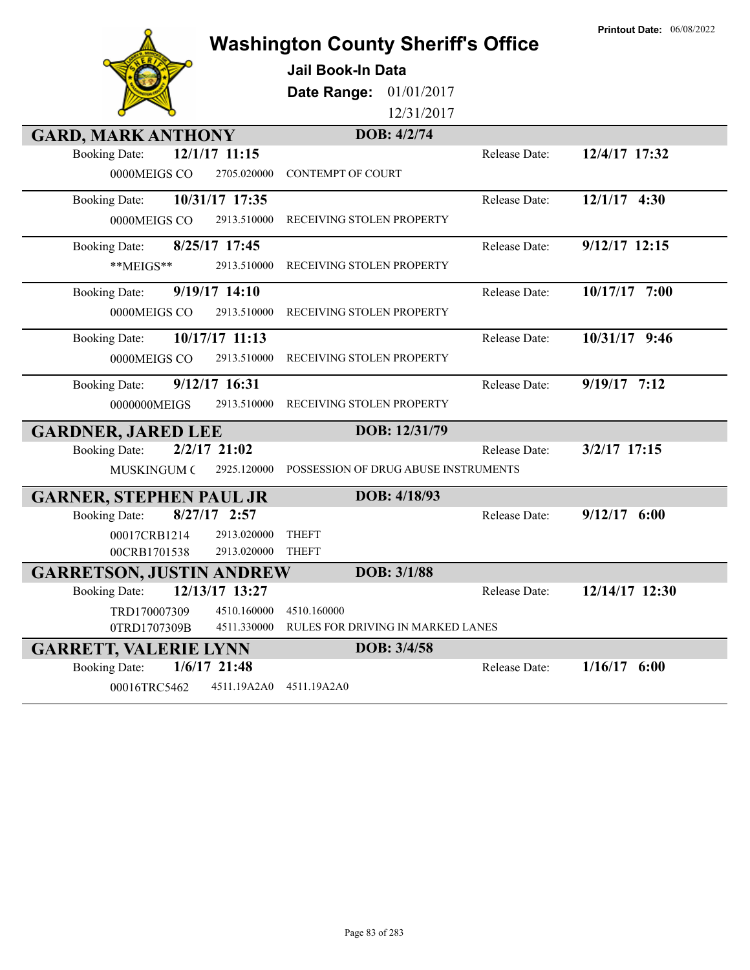|                                        | <b>Washington County Sheriff's Office</b> |               | <b>Printout Date: 06/08/2022</b> |
|----------------------------------------|-------------------------------------------|---------------|----------------------------------|
|                                        | <b>Jail Book-In Data</b>                  |               |                                  |
|                                        | 01/01/2017<br>Date Range:                 |               |                                  |
|                                        | 12/31/2017                                |               |                                  |
| <b>GARD, MARK ANTHONY</b>              | DOB: 4/2/74                               |               |                                  |
| 12/1/17 11:15<br><b>Booking Date:</b>  |                                           | Release Date: | 12/4/17 17:32                    |
| 0000MEIGS CO<br>2705.020000            | <b>CONTEMPT OF COURT</b>                  |               |                                  |
| 10/31/17 17:35<br><b>Booking Date:</b> |                                           | Release Date: | 12/1/17 4:30                     |
| 0000MEIGS CO<br>2913.510000            | RECEIVING STOLEN PROPERTY                 |               |                                  |
| 8/25/17 17:45<br><b>Booking Date:</b>  |                                           | Release Date: | 9/12/17 12:15                    |
| **MEIGS**<br>2913.510000               | RECEIVING STOLEN PROPERTY                 |               |                                  |
| 9/19/17 14:10<br><b>Booking Date:</b>  |                                           | Release Date: | 10/17/17 7:00                    |
| 2913.510000<br>0000MEIGS CO            | RECEIVING STOLEN PROPERTY                 |               |                                  |
| 10/17/17 11:13<br><b>Booking Date:</b> |                                           | Release Date: | 10/31/17 9:46                    |
| 0000MEIGS CO<br>2913.510000            | RECEIVING STOLEN PROPERTY                 |               |                                  |
| 9/12/17 16:31<br><b>Booking Date:</b>  |                                           | Release Date: | $9/19/17$ 7:12                   |
| 0000000MEIGS<br>2913.510000            | RECEIVING STOLEN PROPERTY                 |               |                                  |
| <b>GARDNER, JARED LEE</b>              | DOB: 12/31/79                             |               |                                  |
| $2/2/17$ 21:02<br><b>Booking Date:</b> |                                           | Release Date: | 3/2/17 17:15                     |
| MUSKINGUM C<br>2925.120000             | POSSESSION OF DRUG ABUSE INSTRUMENTS      |               |                                  |
| <b>GARNER, STEPHEN PAUL JR</b>         | DOB: 4/18/93                              |               |                                  |
| $8/27/17$ 2:57<br><b>Booking Date:</b> |                                           | Release Date: | $9/12/17$ 6:00                   |
| 00017CRB1214<br>2913.020000            | <b>THEFT</b>                              |               |                                  |
| 00CRB1701538<br>2913.020000            | <b>THEFT</b>                              |               |                                  |
| <b>GARRETSON, JUSTIN ANDREW</b>        | <b>DOB</b> : 3/1/88                       |               |                                  |
| 12/13/17 13:27<br><b>Booking Date:</b> |                                           | Release Date: | 12/14/17 12:30                   |
| TRD170007309<br>4510.160000            | 4510.160000                               |               |                                  |
| 0TRD1707309B<br>4511.330000            | RULES FOR DRIVING IN MARKED LANES         |               |                                  |
| <b>GARRETT, VALERIE LYNN</b>           | DOB: 3/4/58                               |               |                                  |
| $1/6/17$ 21:48<br><b>Booking Date:</b> |                                           | Release Date: | $1/16/17$ 6:00                   |
| 00016TRC5462<br>4511.19A2A0            | 4511.19A2A0                               |               |                                  |

**Printout Date:** 06/08/2022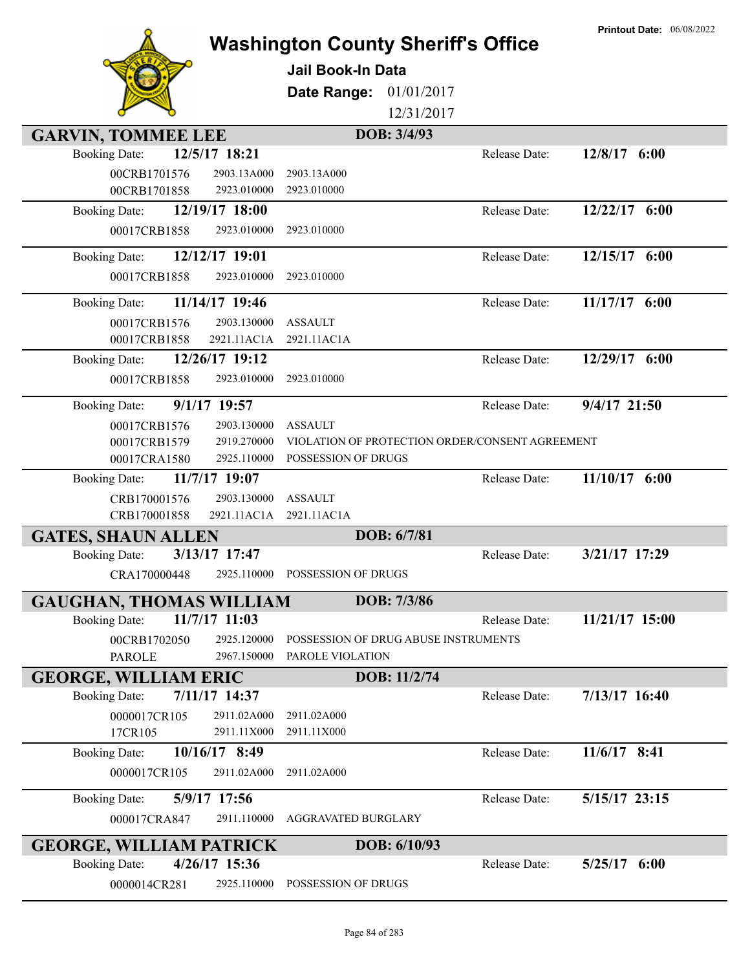|                                |                            | <b>Jail Book-In Data</b><br>Date Range: | <b>Washington County Sheriff's Office</b><br>01/01/2017 | <b>Printout Date: 06/08/2022</b> |
|--------------------------------|----------------------------|-----------------------------------------|---------------------------------------------------------|----------------------------------|
|                                |                            |                                         | 12/31/2017                                              |                                  |
| <b>GARVIN, TOMMEE LEE</b>      |                            | DOB: 3/4/93                             |                                                         |                                  |
| <b>Booking Date:</b>           | 12/5/17 18:21              |                                         | Release Date:                                           | 12/8/17 6:00                     |
| 00CRB1701576                   | 2903.13A000                | 2903.13A000                             |                                                         |                                  |
| 00CRB1701858                   | 2923.010000                | 2923.010000                             |                                                         |                                  |
| <b>Booking Date:</b>           | 12/19/17 18:00             |                                         | Release Date:                                           | 12/22/17 6:00                    |
| 00017CRB1858                   | 2923.010000                | 2923.010000                             |                                                         |                                  |
| <b>Booking Date:</b>           | 12/12/17 19:01             |                                         | Release Date:                                           | 12/15/17 6:00                    |
| 00017CRB1858                   | 2923.010000                | 2923.010000                             |                                                         |                                  |
| <b>Booking Date:</b>           | 11/14/17 19:46             |                                         | Release Date:                                           | 11/17/17 6:00                    |
| 00017CRB1576                   | 2903.130000                | <b>ASSAULT</b>                          |                                                         |                                  |
| 00017CRB1858                   | 2921.11AC1A                | 2921.11AC1A                             |                                                         |                                  |
| <b>Booking Date:</b>           | 12/26/17 19:12             |                                         | Release Date:                                           | 12/29/17 6:00                    |
| 00017CRB1858                   | 2923.010000                | 2923.010000                             |                                                         |                                  |
| <b>Booking Date:</b>           | 9/1/17 19:57               |                                         | Release Date:                                           | 9/4/17 21:50                     |
| 00017CRB1576                   | 2903.130000                | <b>ASSAULT</b>                          |                                                         |                                  |
| 00017CRB1579                   | 2919.270000                |                                         | VIOLATION OF PROTECTION ORDER/CONSENT AGREEMENT         |                                  |
| 00017CRA1580                   | 2925.110000                | POSSESSION OF DRUGS                     |                                                         |                                  |
| <b>Booking Date:</b>           | 11/7/17 19:07              |                                         | Release Date:                                           | 11/10/17 6:00                    |
| CRB170001576                   | 2903.130000                | <b>ASSAULT</b>                          |                                                         |                                  |
| CRB170001858                   | 2921.11AC1A                | 2921.11AC1A                             |                                                         |                                  |
| <b>GATES, SHAUN ALLEN</b>      |                            | DOB: 6/7/81                             |                                                         |                                  |
| <b>Booking Date:</b>           | 3/13/17 17:47              |                                         | Release Date:                                           | 3/21/17 17:29                    |
| CRA170000448                   |                            | 2925.110000 POSSESSION OF DRUGS         |                                                         |                                  |
| <b>GAUGHAN, THOMAS WILLIAM</b> |                            | DOB: 7/3/86                             |                                                         |                                  |
| <b>Booking Date:</b>           | 11/7/17 11:03              |                                         | Release Date:                                           | 11/21/17 15:00                   |
| 00CRB1702050                   | 2925.120000                |                                         | POSSESSION OF DRUG ABUSE INSTRUMENTS                    |                                  |
| <b>PAROLE</b>                  | 2967.150000                | PAROLE VIOLATION                        |                                                         |                                  |
| <b>GEORGE, WILLIAM ERIC</b>    |                            |                                         | DOB: 11/2/74                                            |                                  |
| <b>Booking Date:</b>           | 7/11/17 14:37              |                                         | Release Date:                                           | $7/13/17$ 16:40                  |
| 0000017CR105<br>17CR105        | 2911.02A000<br>2911.11X000 | 2911.02A000<br>2911.11X000              |                                                         |                                  |
| <b>Booking Date:</b>           | 10/16/17 8:49              |                                         | Release Date:                                           | 11/6/17 8:41                     |
| 0000017CR105                   | 2911.02A000                | 2911.02A000                             |                                                         |                                  |
| <b>Booking Date:</b>           | 5/9/17 17:56               |                                         | Release Date:                                           | 5/15/17 23:15                    |
| 000017CRA847                   | 2911.110000                | <b>AGGRAVATED BURGLARY</b>              |                                                         |                                  |
| <b>GEORGE, WILLIAM PATRICK</b> |                            |                                         | DOB: 6/10/93                                            |                                  |
| <b>Booking Date:</b>           | 4/26/17 15:36              |                                         | Release Date:                                           | $5/25/17$ 6:00                   |
| 0000014CR281                   | 2925.110000                | POSSESSION OF DRUGS                     |                                                         |                                  |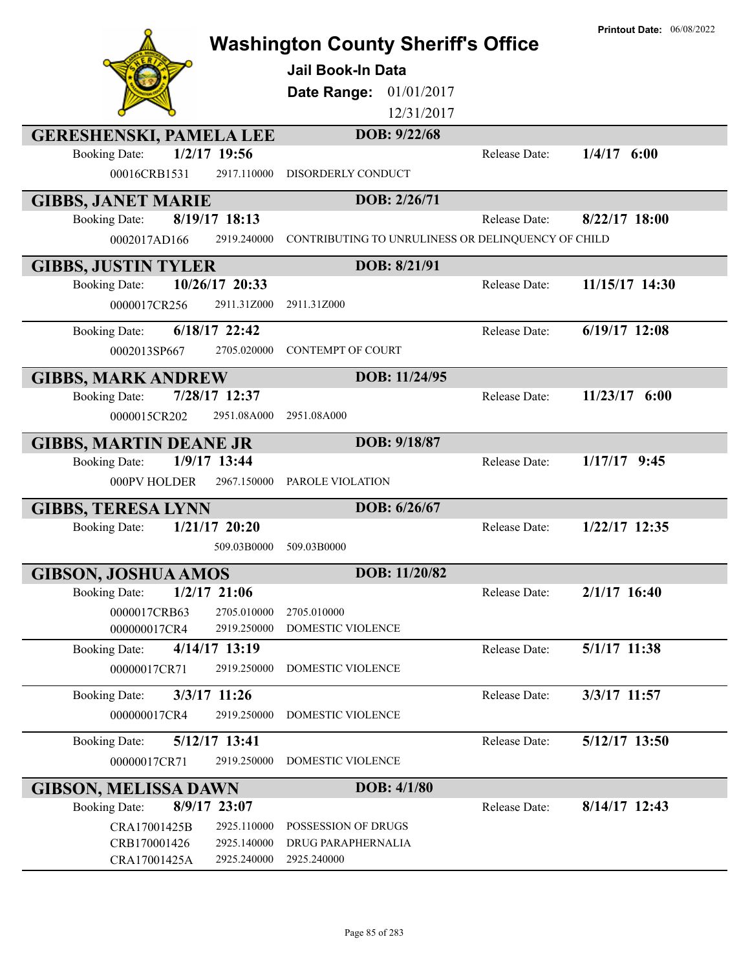|                                                                       | <b>Washington County Sheriff's Office</b><br><b>Jail Book-In Data</b><br>01/01/2017<br>Date Range:<br>12/31/2017 |               | <b>Printout Date: 06/08/2022</b> |
|-----------------------------------------------------------------------|------------------------------------------------------------------------------------------------------------------|---------------|----------------------------------|
| <b>GERESHENSKI, PAMELA LEE</b>                                        | DOB: 9/22/68                                                                                                     |               |                                  |
| $1/2/17$ 19:56<br><b>Booking Date:</b><br>00016CRB1531<br>2917.110000 | DISORDERLY CONDUCT                                                                                               | Release Date: | $1/4/17$ 6:00                    |
| <b>GIBBS, JANET MARIE</b>                                             | DOB: 2/26/71                                                                                                     |               |                                  |
| $8/19/17$ 18:13<br><b>Booking Date:</b>                               |                                                                                                                  | Release Date: | $8/22/17$ 18:00                  |
| 2919.240000<br>0002017AD166                                           | CONTRIBUTING TO UNRULINESS OR DELINQUENCY OF CHILD                                                               |               |                                  |
| <b>GIBBS, JUSTIN TYLER</b>                                            | DOB: 8/21/91                                                                                                     |               |                                  |
| 10/26/17 20:33<br><b>Booking Date:</b>                                |                                                                                                                  | Release Date: | 11/15/17 14:30                   |
| 0000017CR256<br>2911.31Z000                                           | 2911.31Z000                                                                                                      |               |                                  |
| 6/18/17 22:42<br><b>Booking Date:</b>                                 |                                                                                                                  | Release Date: | 6/19/17 12:08                    |
| 0002013SP667<br>2705.020000                                           | <b>CONTEMPT OF COURT</b>                                                                                         |               |                                  |
| <b>GIBBS, MARK ANDREW</b>                                             | DOB: 11/24/95                                                                                                    |               |                                  |
| 7/28/17 12:37<br><b>Booking Date:</b>                                 |                                                                                                                  | Release Date: | $11/23/17$ 6:00                  |
| 0000015CR202<br>2951.08A000                                           | 2951.08A000                                                                                                      |               |                                  |
| <b>GIBBS, MARTIN DEANE JR</b>                                         | DOB: 9/18/87                                                                                                     |               |                                  |
| 1/9/17 13:44<br><b>Booking Date:</b>                                  |                                                                                                                  | Release Date: | $1/17/17$ 9:45                   |
| 000PV HOLDER<br>2967.150000                                           | PAROLE VIOLATION                                                                                                 |               |                                  |
| <b>GIBBS, TERESA LYNN</b>                                             | DOB: 6/26/67                                                                                                     |               |                                  |
| $1/21/17$ 20:20<br><b>Booking Date:</b>                               |                                                                                                                  | Release Date: | 1/22/17 12:35                    |
| 509.03B0000                                                           | 509.03B0000                                                                                                      |               |                                  |
| <b>GIBSON, JOSHUA AMOS</b>                                            | DOB: 11/20/82                                                                                                    |               |                                  |
| $1/2/17$ 21:06<br><b>Booking Date:</b>                                |                                                                                                                  | Release Date: | $2/1/17$ 16:40                   |
| 2705.010000<br>0000017CRB63                                           | 2705.010000                                                                                                      |               |                                  |
| 000000017CR4<br>2919.250000                                           | DOMESTIC VIOLENCE                                                                                                |               |                                  |
| 4/14/17 13:19<br><b>Booking Date:</b>                                 |                                                                                                                  | Release Date: | 5/1/17 11:38                     |
| 2919.250000<br>00000017CR71                                           | <b>DOMESTIC VIOLENCE</b>                                                                                         |               |                                  |
| 3/3/17 11:26<br><b>Booking Date:</b>                                  |                                                                                                                  | Release Date: | 3/3/17 11:57                     |
| 2919.250000<br>000000017CR4                                           | <b>DOMESTIC VIOLENCE</b>                                                                                         |               |                                  |
| 5/12/17 13:41<br><b>Booking Date:</b>                                 |                                                                                                                  | Release Date: | 5/12/17 13:50                    |
| 00000017CR71<br>2919.250000                                           | DOMESTIC VIOLENCE                                                                                                |               |                                  |
| <b>GIBSON, MELISSA DAWN</b>                                           | DOB: 4/1/80                                                                                                      |               |                                  |
| 8/9/17 23:07<br><b>Booking Date:</b>                                  |                                                                                                                  | Release Date: | $8/14/17$ 12:43                  |
| CRA17001425B<br>2925.110000                                           | POSSESSION OF DRUGS                                                                                              |               |                                  |
| 2925.140000<br>CRB170001426<br>2925.240000                            | DRUG PARAPHERNALIA<br>2925.240000                                                                                |               |                                  |
| CRA17001425A                                                          |                                                                                                                  |               |                                  |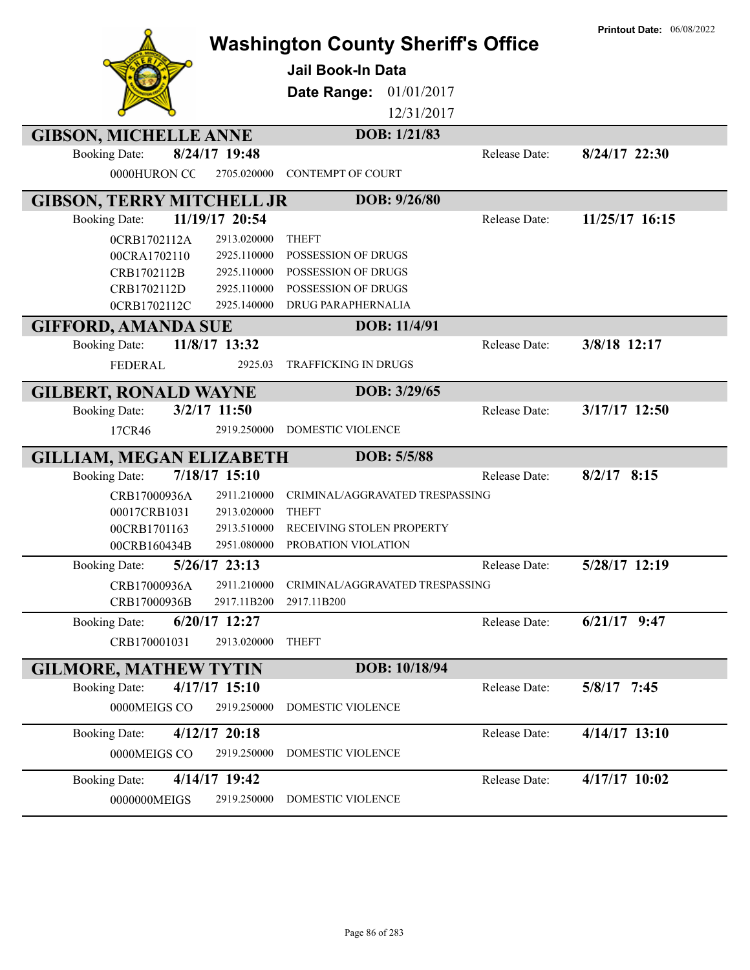|                                         | <b>Washington County Sheriff's Office</b><br><b>Jail Book-In Data</b><br>01/01/2017<br>Date Range:<br>12/31/2017 | <b>Printout Date: 06/08/2022</b> |
|-----------------------------------------|------------------------------------------------------------------------------------------------------------------|----------------------------------|
| <b>GIBSON, MICHELLE ANNE</b>            | DOB: 1/21/83                                                                                                     |                                  |
| 8/24/17 19:48<br><b>Booking Date:</b>   | Release Date:                                                                                                    | 8/24/17 22:30                    |
| 0000HURON CC<br>2705.020000             | <b>CONTEMPT OF COURT</b>                                                                                         |                                  |
| <b>GIBSON, TERRY MITCHELL JR</b>        | DOB: 9/26/80                                                                                                     |                                  |
| 11/19/17 20:54<br><b>Booking Date:</b>  | Release Date:                                                                                                    | 11/25/17 16:15                   |
| 2913.020000<br>0CRB1702112A             | <b>THEFT</b>                                                                                                     |                                  |
| 2925.110000<br>00CRA1702110             | POSSESSION OF DRUGS                                                                                              |                                  |
| 2925.110000<br>CRB1702112B              | POSSESSION OF DRUGS                                                                                              |                                  |
| 2925.110000<br>CRB1702112D              | POSSESSION OF DRUGS                                                                                              |                                  |
| 0CRB1702112C<br>2925.140000             | DRUG PARAPHERNALIA                                                                                               |                                  |
| <b>GIFFORD, AMANDA SUE</b>              | DOB: 11/4/91                                                                                                     |                                  |
| 11/8/17 13:32<br><b>Booking Date:</b>   | Release Date:                                                                                                    | 3/8/18 12:17                     |
| <b>FEDERAL</b><br>2925.03               | <b>TRAFFICKING IN DRUGS</b>                                                                                      |                                  |
| <b>GILBERT, RONALD WAYNE</b>            | DOB: 3/29/65                                                                                                     |                                  |
| 3/2/17 11:50<br><b>Booking Date:</b>    | Release Date:                                                                                                    | 3/17/17 12:50                    |
| 2919.250000<br>17CR46                   | DOMESTIC VIOLENCE                                                                                                |                                  |
| <b>GILLIAM, MEGAN ELIZABETH</b>         | DOB: 5/5/88                                                                                                      |                                  |
| 7/18/17 15:10<br><b>Booking Date:</b>   | <b>Release Date:</b>                                                                                             | $8/2/17$ 8:15                    |
| CRB17000936A<br>2911.210000             | CRIMINAL/AGGRAVATED TRESPASSING                                                                                  |                                  |
| 00017CRB1031<br>2913.020000             | <b>THEFT</b>                                                                                                     |                                  |
| 00CRB1701163<br>2913.510000             | RECEIVING STOLEN PROPERTY                                                                                        |                                  |
| 00CRB160434B<br>2951.080000             | PROBATION VIOLATION                                                                                              |                                  |
| 5/26/17 23:13<br><b>Booking Date:</b>   | Release Date:                                                                                                    | 5/28/17 12:19                    |
| 2911.210000<br>CRB17000936A             | CRIMINAL/AGGRAVATED TRESPASSING                                                                                  |                                  |
| CRB17000936B<br>2917.11B200             | 2917.11B200                                                                                                      |                                  |
| 6/20/17 12:27<br><b>Booking Date:</b>   | Release Date:                                                                                                    | $6/21/17$ 9:47                   |
| CRB170001031<br>2913.020000             | <b>THEFT</b>                                                                                                     |                                  |
| <b>GILMORE, MATHEW TYTIN</b>            | DOB: 10/18/94                                                                                                    |                                  |
| $4/17/17$ 15:10<br><b>Booking Date:</b> | Release Date:                                                                                                    | 5/8/17 7:45                      |
| 0000MEIGS CO<br>2919.250000             | DOMESTIC VIOLENCE                                                                                                |                                  |
| 4/12/17 20:18<br><b>Booking Date:</b>   | Release Date:                                                                                                    | 4/14/17 13:10                    |
| 0000MEIGS CO<br>2919.250000             | DOMESTIC VIOLENCE                                                                                                |                                  |
|                                         |                                                                                                                  |                                  |
| 4/14/17 19:42<br><b>Booking Date:</b>   | Release Date:                                                                                                    | $4/17/17$ 10:02                  |
| 2919.250000<br>0000000MEIGS             | DOMESTIC VIOLENCE                                                                                                |                                  |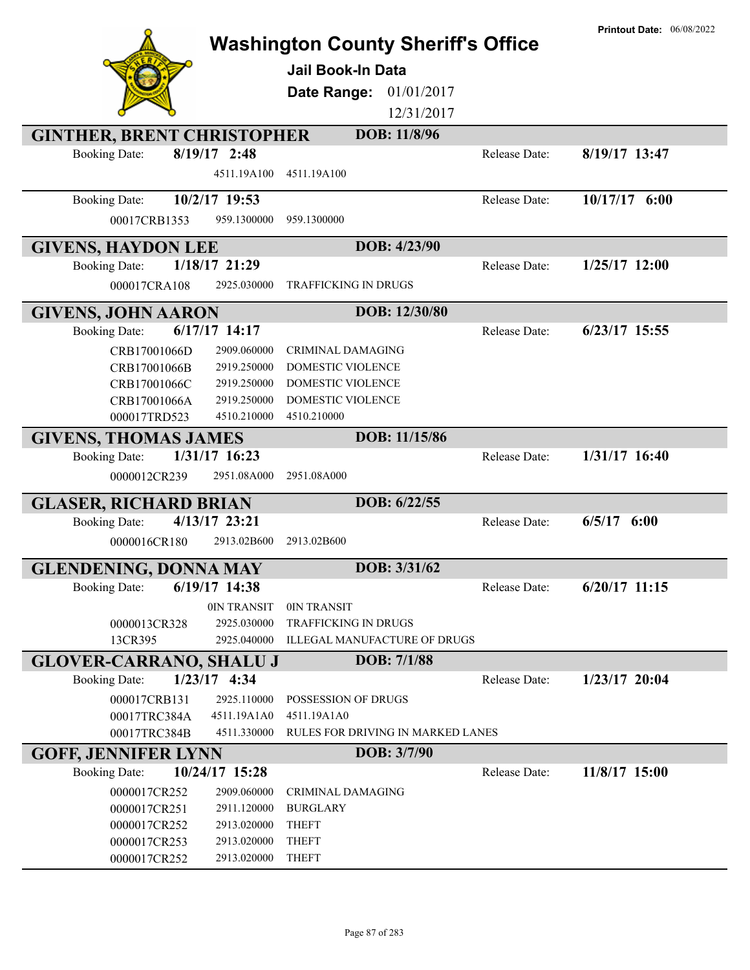|                                         |                                           |               | <b>Printout Date: 06/08/2022</b> |
|-----------------------------------------|-------------------------------------------|---------------|----------------------------------|
|                                         | <b>Washington County Sheriff's Office</b> |               |                                  |
|                                         | <b>Jail Book-In Data</b>                  |               |                                  |
|                                         | 01/01/2017<br>Date Range:                 |               |                                  |
|                                         | 12/31/2017                                |               |                                  |
| <b>GINTHER, BRENT CHRISTOPHER</b>       | DOB: 11/8/96                              |               |                                  |
| 8/19/17 2:48<br><b>Booking Date:</b>    |                                           | Release Date: | 8/19/17 13:47                    |
| 4511.19A100                             | 4511.19A100                               |               |                                  |
|                                         |                                           |               |                                  |
| 10/2/17 19:53<br><b>Booking Date:</b>   |                                           | Release Date: | 10/17/17 6:00                    |
| 00017CRB1353<br>959.1300000             | 959.1300000                               |               |                                  |
| <b>GIVENS, HAYDON LEE</b>               | DOB: 4/23/90                              |               |                                  |
| 1/18/17 21:29<br><b>Booking Date:</b>   |                                           | Release Date: | $1/25/17$ 12:00                  |
| 000017CRA108<br>2925.030000             | <b>TRAFFICKING IN DRUGS</b>               |               |                                  |
| <b>GIVENS, JOHN AARON</b>               | DOB: 12/30/80                             |               |                                  |
| $6/17/17$ 14:17<br><b>Booking Date:</b> |                                           | Release Date: | $6/23/17$ 15:55                  |
| 2909.060000<br>CRB17001066D             | <b>CRIMINAL DAMAGING</b>                  |               |                                  |
| 2919.250000<br>CRB17001066B             | <b>DOMESTIC VIOLENCE</b>                  |               |                                  |
| 2919.250000<br>CRB17001066C             | <b>DOMESTIC VIOLENCE</b>                  |               |                                  |
| 2919.250000<br>CRB17001066A             | <b>DOMESTIC VIOLENCE</b>                  |               |                                  |
| 4510.210000<br>000017TRD523             | 4510.210000                               |               |                                  |
| <b>GIVENS, THOMAS JAMES</b>             | DOB: 11/15/86                             |               |                                  |
| 1/31/17 16:23<br><b>Booking Date:</b>   |                                           | Release Date: | 1/31/17 16:40                    |
| 0000012CR239<br>2951.08A000             | 2951.08A000                               |               |                                  |
| <b>GLASER, RICHARD BRIAN</b>            | DOB: 6/22/55                              |               |                                  |
| 4/13/17 23:21<br><b>Booking Date:</b>   |                                           | Release Date: | $6/5/17$ $6:00$                  |
| 0000016CR180<br>2913.02B600             | 2913.02B600                               |               |                                  |
| <b>GLENDENING, DONNA MAY</b>            | DOB: 3/31/62                              |               |                                  |
| 6/19/17 14:38<br><b>Booking Date:</b>   |                                           | Release Date: | $6/20/17$ 11:15                  |
| 0IN TRANSIT                             | 0IN TRANSIT                               |               |                                  |
| 2925.030000<br>0000013CR328             | <b>TRAFFICKING IN DRUGS</b>               |               |                                  |
| 2925.040000<br>13CR395                  | ILLEGAL MANUFACTURE OF DRUGS              |               |                                  |
| <b>GLOVER-CARRANO, SHALU J</b>          | DOB: 7/1/88                               |               |                                  |
| $1/23/17$ 4:34<br><b>Booking Date:</b>  |                                           | Release Date: | $1/23/17$ 20:04                  |
| 000017CRB131<br>2925.110000             | POSSESSION OF DRUGS                       |               |                                  |
| 00017TRC384A<br>4511.19A1A0             | 4511.19A1A0                               |               |                                  |
| 00017TRC384B<br>4511.330000             | RULES FOR DRIVING IN MARKED LANES         |               |                                  |
| <b>GOFF, JENNIFER LYNN</b>              | DOB: 3/7/90                               |               |                                  |
| 10/24/17 15:28<br><b>Booking Date:</b>  |                                           | Release Date: | 11/8/17 15:00                    |
| 0000017CR252<br>2909.060000             | <b>CRIMINAL DAMAGING</b>                  |               |                                  |
| 0000017CR251<br>2911.120000             | <b>BURGLARY</b>                           |               |                                  |
| 0000017CR252<br>2913.020000             | <b>THEFT</b>                              |               |                                  |
| 0000017CR253<br>2913.020000             | <b>THEFT</b>                              |               |                                  |
| 0000017CR252<br>2913.020000             | <b>THEFT</b>                              |               |                                  |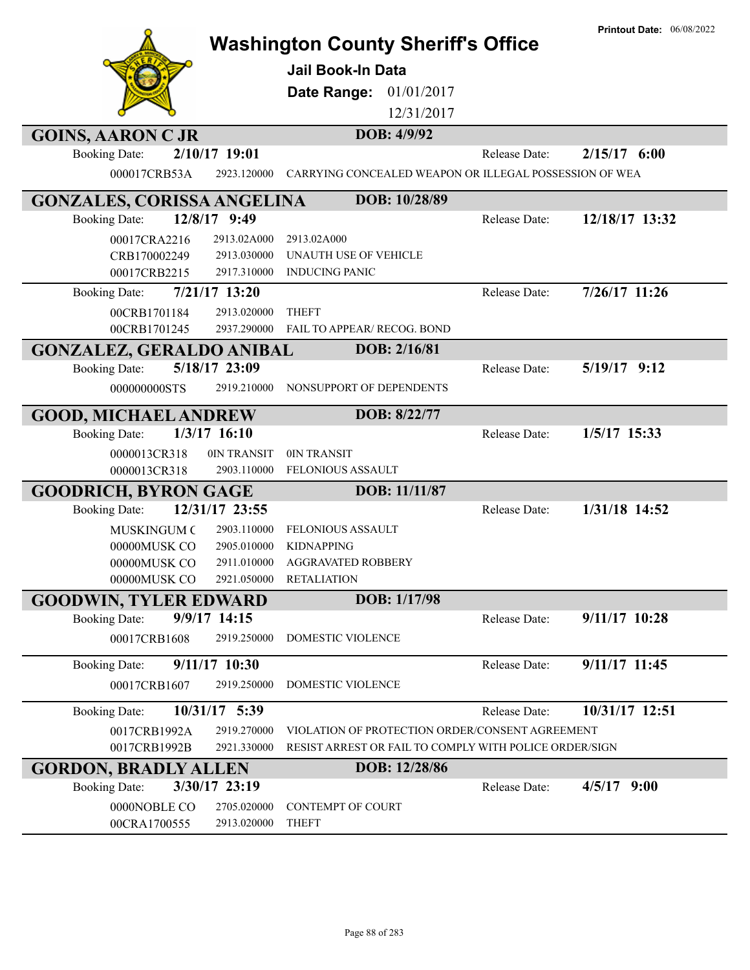| <b>GOINS, AARON C JR</b>                          | <b>Washington County Sheriff's Office</b><br>Jail Book-In Data<br>01/01/2017<br>Date Range:<br>12/31/2017<br>DOB: 4/9/92 |               | <b>Printout Date: 06/08/2022</b> |
|---------------------------------------------------|--------------------------------------------------------------------------------------------------------------------------|---------------|----------------------------------|
| 2/10/17 19:01<br><b>Booking Date:</b>             |                                                                                                                          | Release Date: | $2/15/17$ 6:00                   |
| 000017CRB53A<br>2923.120000                       | CARRYING CONCEALED WEAPON OR ILLEGAL POSSESSION OF WEA                                                                   |               |                                  |
|                                                   |                                                                                                                          |               |                                  |
| <b>GONZALES, CORISSA ANGELINA</b><br>12/8/17 9:49 | DOB: 10/28/89                                                                                                            | Release Date: | 12/18/17 13:32                   |
| <b>Booking Date:</b>                              |                                                                                                                          |               |                                  |
| 00017CRA2216<br>2913.02A000<br>2913.030000        | 2913.02A000<br>UNAUTH USE OF VEHICLE                                                                                     |               |                                  |
| CRB170002249<br>2917.310000<br>00017CRB2215       | <b>INDUCING PANIC</b>                                                                                                    |               |                                  |
|                                                   |                                                                                                                          | Release Date: | $7/26/17$ 11:26                  |
| 7/21/17 13:20<br><b>Booking Date:</b>             |                                                                                                                          |               |                                  |
| 00CRB1701184<br>2913.020000                       | <b>THEFT</b>                                                                                                             |               |                                  |
| 00CRB1701245<br>2937.290000                       | FAIL TO APPEAR/ RECOG. BOND                                                                                              |               |                                  |
| <b>GONZALEZ, GERALDO ANIBAL</b>                   | DOB: 2/16/81                                                                                                             |               |                                  |
| 5/18/17 23:09<br><b>Booking Date:</b>             |                                                                                                                          | Release Date: | $5/19/17$ 9:12                   |
| 000000000STS<br>2919.210000                       | NONSUPPORT OF DEPENDENTS                                                                                                 |               |                                  |
| <b>GOOD, MICHAEL ANDREW</b>                       | DOB: 8/22/77                                                                                                             |               |                                  |
| 1/3/17 16:10<br><b>Booking Date:</b>              |                                                                                                                          | Release Date: | 1/5/17 15:33                     |
| 0IN TRANSIT<br>0000013CR318                       | 0IN TRANSIT                                                                                                              |               |                                  |
| 0000013CR318<br>2903.110000                       | FELONIOUS ASSAULT                                                                                                        |               |                                  |
| <b>GOODRICH, BYRON GAGE</b>                       | DOB: 11/11/87                                                                                                            |               |                                  |
| 12/31/17 23:55<br><b>Booking Date:</b>            |                                                                                                                          | Release Date: | 1/31/18 14:52                    |
| <b>MUSKINGUM C</b><br>2903.110000                 | <b>FELONIOUS ASSAULT</b>                                                                                                 |               |                                  |
| 00000MUSK CO<br>2905.010000                       | <b>KIDNAPPING</b>                                                                                                        |               |                                  |
| 00000MUSK CO<br>2911.010000                       | <b>AGGRAVATED ROBBERY</b>                                                                                                |               |                                  |
| 00000MUSK CO<br>2921.050000                       | <b>RETALIATION</b>                                                                                                       |               |                                  |
| <b>GOODWIN, TYLER EDWARD</b>                      | DOB: 1/17/98                                                                                                             |               |                                  |
| 9/9/17 14:15<br><b>Booking Date:</b>              |                                                                                                                          | Release Date: | 9/11/17 10:28                    |
| 00017CRB1608<br>2919.250000                       | DOMESTIC VIOLENCE                                                                                                        |               |                                  |
| 9/11/17 10:30<br><b>Booking Date:</b>             |                                                                                                                          | Release Date: | 9/11/17 11:45                    |
| 00017CRB1607<br>2919.250000                       | DOMESTIC VIOLENCE                                                                                                        |               |                                  |
| 10/31/17 5:39<br><b>Booking Date:</b>             |                                                                                                                          | Release Date: | 10/31/17 12:51                   |
| 2919.270000<br>0017CRB1992A                       | VIOLATION OF PROTECTION ORDER/CONSENT AGREEMENT                                                                          |               |                                  |
| 0017CRB1992B<br>2921.330000                       | RESIST ARREST OR FAIL TO COMPLY WITH POLICE ORDER/SIGN                                                                   |               |                                  |
| <b>GORDON, BRADLY ALLEN</b>                       | DOB: 12/28/86                                                                                                            |               |                                  |
| 3/30/17 23:19<br><b>Booking Date:</b>             |                                                                                                                          | Release Date: | $4/5/17$ 9:00                    |
| 0000NOBLE CO<br>2705.020000                       | CONTEMPT OF COURT                                                                                                        |               |                                  |
| 2913.020000<br>00CRA1700555                       | <b>THEFT</b>                                                                                                             |               |                                  |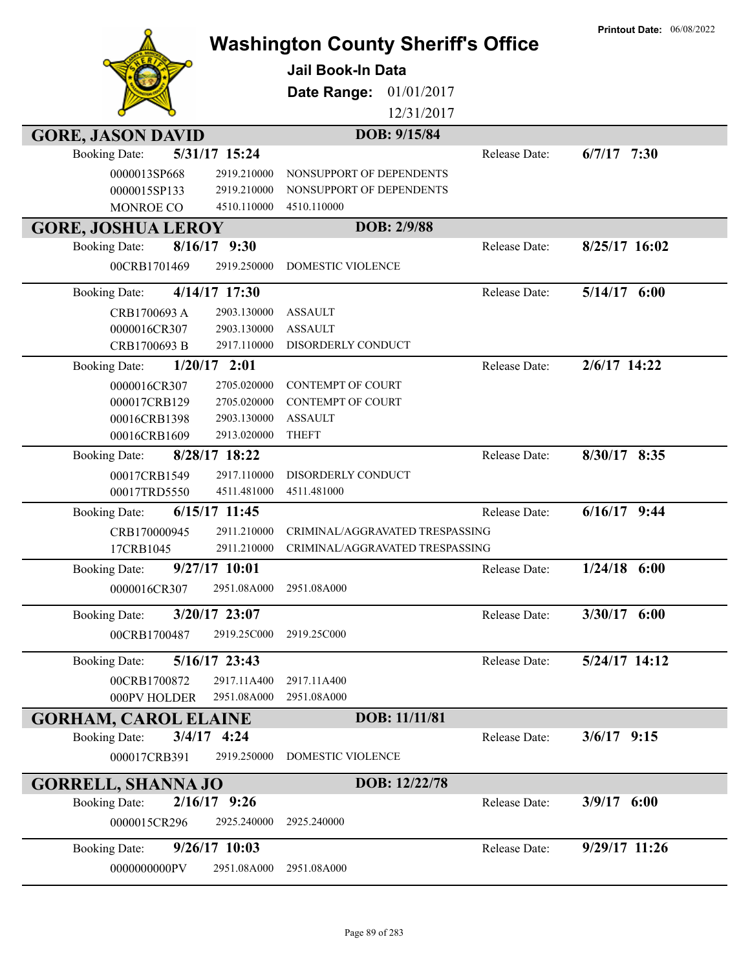| <b>GORE, JASON DAVID</b><br>5/31/17 15:24<br>$6/7/17$ 7:30<br><b>Booking Date:</b><br>Release Date:<br>0000013SP668<br>2919.210000<br>NONSUPPORT OF DEPENDENTS<br>0000015SP133<br>2919.210000<br>NONSUPPORT OF DEPENDENTS<br>MONROE CO<br>4510.110000<br>4510.110000<br>DOB: 2/9/88<br><b>GORE, JOSHUA LEROY</b><br>8/25/17 16:02<br>$8/16/17$ 9:30<br><b>Booking Date:</b><br>Release Date:<br>2919.250000<br>DOMESTIC VIOLENCE<br>00CRB1701469<br>4/14/17 17:30<br>$5/14/17$ 6:00<br>Release Date:<br><b>Booking Date:</b><br>CRB1700693 A<br>2903.130000<br><b>ASSAULT</b><br>2903.130000<br><b>ASSAULT</b><br>0000016CR307<br>2917.110000<br>DISORDERLY CONDUCT<br>CRB1700693 B<br>$2/6/17$ 14:22<br>$1/20/17$ 2:01<br>Release Date:<br><b>Booking Date:</b><br>2705.020000<br><b>CONTEMPT OF COURT</b><br>0000016CR307<br>000017CRB129<br>2705.020000<br><b>CONTEMPT OF COURT</b><br><b>ASSAULT</b><br>00016CRB1398<br>2903.130000<br>00016CRB1609<br>2913.020000<br><b>THEFT</b><br>8/30/17 8:35<br>8/28/17 18:22<br>Release Date:<br><b>Booking Date:</b><br>2917.110000<br>DISORDERLY CONDUCT<br>00017CRB1549<br>4511.481000<br>4511.481000<br>00017TRD5550<br>$6/16/17$ 9:44<br>$6/15/17$ 11:45<br>Release Date:<br><b>Booking Date:</b><br>CRB170000945<br>2911.210000<br>CRIMINAL/AGGRAVATED TRESPASSING<br>17CRB1045<br>2911.210000<br>CRIMINAL/AGGRAVATED TRESPASSING<br>$9/27/17$ 10:01<br>1/24/18<br>6:00<br><b>Booking Date:</b><br>Release Date:<br>0000016CR307<br>2951.08A000<br>2951.08A000<br>3/30/17 6:00<br>3/20/17 23:07<br><b>Booking Date:</b><br>Release Date:<br>00CRB1700487<br>2919.25C000<br>2919.25C000<br>5/24/17 14:12<br>5/16/17 23:43<br>Release Date:<br><b>Booking Date:</b><br>00CRB1700872<br>2917.11A400<br>2917.11A400<br>000PV HOLDER<br>2951.08A000<br>2951.08A000<br>DOB: 11/11/81<br><b>GORHAM, CAROL ELAINE</b><br>$3/4/17$ 4:24<br>$3/6/17$ 9:15<br><b>Booking Date:</b><br>Release Date:<br>DOMESTIC VIOLENCE<br>000017CRB391<br>2919.250000<br>DOB: 12/22/78<br><b>GORRELL, SHANNA JO</b><br>$2/16/17$ 9:26<br>$3/9/17$ 6:00<br><b>Booking Date:</b><br>Release Date:<br>0000015CR296<br>2925.240000<br>2925.240000<br>9/29/17 11:26<br>9/26/17 10:03<br>Release Date:<br><b>Booking Date:</b><br>0000000000PV<br>2951.08A000<br>2951.08A000 |  | <b>Washington County Sheriff's Office</b><br><b>Jail Book-In Data</b><br>Date Range:<br>01/01/2017<br>12/31/2017 | <b>Printout Date: 06/08/2022</b> |
|------------------------------------------------------------------------------------------------------------------------------------------------------------------------------------------------------------------------------------------------------------------------------------------------------------------------------------------------------------------------------------------------------------------------------------------------------------------------------------------------------------------------------------------------------------------------------------------------------------------------------------------------------------------------------------------------------------------------------------------------------------------------------------------------------------------------------------------------------------------------------------------------------------------------------------------------------------------------------------------------------------------------------------------------------------------------------------------------------------------------------------------------------------------------------------------------------------------------------------------------------------------------------------------------------------------------------------------------------------------------------------------------------------------------------------------------------------------------------------------------------------------------------------------------------------------------------------------------------------------------------------------------------------------------------------------------------------------------------------------------------------------------------------------------------------------------------------------------------------------------------------------------------------------------------------------------------------------------------------------------------------------------------------------------------------------------------------------------------------------------------------------------------------------------------------------------------------------------------------------------------------------------------------------------|--|------------------------------------------------------------------------------------------------------------------|----------------------------------|
|                                                                                                                                                                                                                                                                                                                                                                                                                                                                                                                                                                                                                                                                                                                                                                                                                                                                                                                                                                                                                                                                                                                                                                                                                                                                                                                                                                                                                                                                                                                                                                                                                                                                                                                                                                                                                                                                                                                                                                                                                                                                                                                                                                                                                                                                                                |  | DOB: 9/15/84                                                                                                     |                                  |
|                                                                                                                                                                                                                                                                                                                                                                                                                                                                                                                                                                                                                                                                                                                                                                                                                                                                                                                                                                                                                                                                                                                                                                                                                                                                                                                                                                                                                                                                                                                                                                                                                                                                                                                                                                                                                                                                                                                                                                                                                                                                                                                                                                                                                                                                                                |  |                                                                                                                  |                                  |
|                                                                                                                                                                                                                                                                                                                                                                                                                                                                                                                                                                                                                                                                                                                                                                                                                                                                                                                                                                                                                                                                                                                                                                                                                                                                                                                                                                                                                                                                                                                                                                                                                                                                                                                                                                                                                                                                                                                                                                                                                                                                                                                                                                                                                                                                                                |  |                                                                                                                  |                                  |
|                                                                                                                                                                                                                                                                                                                                                                                                                                                                                                                                                                                                                                                                                                                                                                                                                                                                                                                                                                                                                                                                                                                                                                                                                                                                                                                                                                                                                                                                                                                                                                                                                                                                                                                                                                                                                                                                                                                                                                                                                                                                                                                                                                                                                                                                                                |  |                                                                                                                  |                                  |
|                                                                                                                                                                                                                                                                                                                                                                                                                                                                                                                                                                                                                                                                                                                                                                                                                                                                                                                                                                                                                                                                                                                                                                                                                                                                                                                                                                                                                                                                                                                                                                                                                                                                                                                                                                                                                                                                                                                                                                                                                                                                                                                                                                                                                                                                                                |  |                                                                                                                  |                                  |
|                                                                                                                                                                                                                                                                                                                                                                                                                                                                                                                                                                                                                                                                                                                                                                                                                                                                                                                                                                                                                                                                                                                                                                                                                                                                                                                                                                                                                                                                                                                                                                                                                                                                                                                                                                                                                                                                                                                                                                                                                                                                                                                                                                                                                                                                                                |  |                                                                                                                  |                                  |
|                                                                                                                                                                                                                                                                                                                                                                                                                                                                                                                                                                                                                                                                                                                                                                                                                                                                                                                                                                                                                                                                                                                                                                                                                                                                                                                                                                                                                                                                                                                                                                                                                                                                                                                                                                                                                                                                                                                                                                                                                                                                                                                                                                                                                                                                                                |  |                                                                                                                  |                                  |
|                                                                                                                                                                                                                                                                                                                                                                                                                                                                                                                                                                                                                                                                                                                                                                                                                                                                                                                                                                                                                                                                                                                                                                                                                                                                                                                                                                                                                                                                                                                                                                                                                                                                                                                                                                                                                                                                                                                                                                                                                                                                                                                                                                                                                                                                                                |  |                                                                                                                  |                                  |
|                                                                                                                                                                                                                                                                                                                                                                                                                                                                                                                                                                                                                                                                                                                                                                                                                                                                                                                                                                                                                                                                                                                                                                                                                                                                                                                                                                                                                                                                                                                                                                                                                                                                                                                                                                                                                                                                                                                                                                                                                                                                                                                                                                                                                                                                                                |  |                                                                                                                  |                                  |
|                                                                                                                                                                                                                                                                                                                                                                                                                                                                                                                                                                                                                                                                                                                                                                                                                                                                                                                                                                                                                                                                                                                                                                                                                                                                                                                                                                                                                                                                                                                                                                                                                                                                                                                                                                                                                                                                                                                                                                                                                                                                                                                                                                                                                                                                                                |  |                                                                                                                  |                                  |
|                                                                                                                                                                                                                                                                                                                                                                                                                                                                                                                                                                                                                                                                                                                                                                                                                                                                                                                                                                                                                                                                                                                                                                                                                                                                                                                                                                                                                                                                                                                                                                                                                                                                                                                                                                                                                                                                                                                                                                                                                                                                                                                                                                                                                                                                                                |  |                                                                                                                  |                                  |
|                                                                                                                                                                                                                                                                                                                                                                                                                                                                                                                                                                                                                                                                                                                                                                                                                                                                                                                                                                                                                                                                                                                                                                                                                                                                                                                                                                                                                                                                                                                                                                                                                                                                                                                                                                                                                                                                                                                                                                                                                                                                                                                                                                                                                                                                                                |  |                                                                                                                  |                                  |
|                                                                                                                                                                                                                                                                                                                                                                                                                                                                                                                                                                                                                                                                                                                                                                                                                                                                                                                                                                                                                                                                                                                                                                                                                                                                                                                                                                                                                                                                                                                                                                                                                                                                                                                                                                                                                                                                                                                                                                                                                                                                                                                                                                                                                                                                                                |  |                                                                                                                  |                                  |
|                                                                                                                                                                                                                                                                                                                                                                                                                                                                                                                                                                                                                                                                                                                                                                                                                                                                                                                                                                                                                                                                                                                                                                                                                                                                                                                                                                                                                                                                                                                                                                                                                                                                                                                                                                                                                                                                                                                                                                                                                                                                                                                                                                                                                                                                                                |  |                                                                                                                  |                                  |
|                                                                                                                                                                                                                                                                                                                                                                                                                                                                                                                                                                                                                                                                                                                                                                                                                                                                                                                                                                                                                                                                                                                                                                                                                                                                                                                                                                                                                                                                                                                                                                                                                                                                                                                                                                                                                                                                                                                                                                                                                                                                                                                                                                                                                                                                                                |  |                                                                                                                  |                                  |
|                                                                                                                                                                                                                                                                                                                                                                                                                                                                                                                                                                                                                                                                                                                                                                                                                                                                                                                                                                                                                                                                                                                                                                                                                                                                                                                                                                                                                                                                                                                                                                                                                                                                                                                                                                                                                                                                                                                                                                                                                                                                                                                                                                                                                                                                                                |  |                                                                                                                  |                                  |
|                                                                                                                                                                                                                                                                                                                                                                                                                                                                                                                                                                                                                                                                                                                                                                                                                                                                                                                                                                                                                                                                                                                                                                                                                                                                                                                                                                                                                                                                                                                                                                                                                                                                                                                                                                                                                                                                                                                                                                                                                                                                                                                                                                                                                                                                                                |  |                                                                                                                  |                                  |
|                                                                                                                                                                                                                                                                                                                                                                                                                                                                                                                                                                                                                                                                                                                                                                                                                                                                                                                                                                                                                                                                                                                                                                                                                                                                                                                                                                                                                                                                                                                                                                                                                                                                                                                                                                                                                                                                                                                                                                                                                                                                                                                                                                                                                                                                                                |  |                                                                                                                  |                                  |
|                                                                                                                                                                                                                                                                                                                                                                                                                                                                                                                                                                                                                                                                                                                                                                                                                                                                                                                                                                                                                                                                                                                                                                                                                                                                                                                                                                                                                                                                                                                                                                                                                                                                                                                                                                                                                                                                                                                                                                                                                                                                                                                                                                                                                                                                                                |  |                                                                                                                  |                                  |
|                                                                                                                                                                                                                                                                                                                                                                                                                                                                                                                                                                                                                                                                                                                                                                                                                                                                                                                                                                                                                                                                                                                                                                                                                                                                                                                                                                                                                                                                                                                                                                                                                                                                                                                                                                                                                                                                                                                                                                                                                                                                                                                                                                                                                                                                                                |  |                                                                                                                  |                                  |
|                                                                                                                                                                                                                                                                                                                                                                                                                                                                                                                                                                                                                                                                                                                                                                                                                                                                                                                                                                                                                                                                                                                                                                                                                                                                                                                                                                                                                                                                                                                                                                                                                                                                                                                                                                                                                                                                                                                                                                                                                                                                                                                                                                                                                                                                                                |  |                                                                                                                  |                                  |
|                                                                                                                                                                                                                                                                                                                                                                                                                                                                                                                                                                                                                                                                                                                                                                                                                                                                                                                                                                                                                                                                                                                                                                                                                                                                                                                                                                                                                                                                                                                                                                                                                                                                                                                                                                                                                                                                                                                                                                                                                                                                                                                                                                                                                                                                                                |  |                                                                                                                  |                                  |
|                                                                                                                                                                                                                                                                                                                                                                                                                                                                                                                                                                                                                                                                                                                                                                                                                                                                                                                                                                                                                                                                                                                                                                                                                                                                                                                                                                                                                                                                                                                                                                                                                                                                                                                                                                                                                                                                                                                                                                                                                                                                                                                                                                                                                                                                                                |  |                                                                                                                  |                                  |
|                                                                                                                                                                                                                                                                                                                                                                                                                                                                                                                                                                                                                                                                                                                                                                                                                                                                                                                                                                                                                                                                                                                                                                                                                                                                                                                                                                                                                                                                                                                                                                                                                                                                                                                                                                                                                                                                                                                                                                                                                                                                                                                                                                                                                                                                                                |  |                                                                                                                  |                                  |
|                                                                                                                                                                                                                                                                                                                                                                                                                                                                                                                                                                                                                                                                                                                                                                                                                                                                                                                                                                                                                                                                                                                                                                                                                                                                                                                                                                                                                                                                                                                                                                                                                                                                                                                                                                                                                                                                                                                                                                                                                                                                                                                                                                                                                                                                                                |  |                                                                                                                  |                                  |
|                                                                                                                                                                                                                                                                                                                                                                                                                                                                                                                                                                                                                                                                                                                                                                                                                                                                                                                                                                                                                                                                                                                                                                                                                                                                                                                                                                                                                                                                                                                                                                                                                                                                                                                                                                                                                                                                                                                                                                                                                                                                                                                                                                                                                                                                                                |  |                                                                                                                  |                                  |
|                                                                                                                                                                                                                                                                                                                                                                                                                                                                                                                                                                                                                                                                                                                                                                                                                                                                                                                                                                                                                                                                                                                                                                                                                                                                                                                                                                                                                                                                                                                                                                                                                                                                                                                                                                                                                                                                                                                                                                                                                                                                                                                                                                                                                                                                                                |  |                                                                                                                  |                                  |
|                                                                                                                                                                                                                                                                                                                                                                                                                                                                                                                                                                                                                                                                                                                                                                                                                                                                                                                                                                                                                                                                                                                                                                                                                                                                                                                                                                                                                                                                                                                                                                                                                                                                                                                                                                                                                                                                                                                                                                                                                                                                                                                                                                                                                                                                                                |  |                                                                                                                  |                                  |
|                                                                                                                                                                                                                                                                                                                                                                                                                                                                                                                                                                                                                                                                                                                                                                                                                                                                                                                                                                                                                                                                                                                                                                                                                                                                                                                                                                                                                                                                                                                                                                                                                                                                                                                                                                                                                                                                                                                                                                                                                                                                                                                                                                                                                                                                                                |  |                                                                                                                  |                                  |
|                                                                                                                                                                                                                                                                                                                                                                                                                                                                                                                                                                                                                                                                                                                                                                                                                                                                                                                                                                                                                                                                                                                                                                                                                                                                                                                                                                                                                                                                                                                                                                                                                                                                                                                                                                                                                                                                                                                                                                                                                                                                                                                                                                                                                                                                                                |  |                                                                                                                  |                                  |
|                                                                                                                                                                                                                                                                                                                                                                                                                                                                                                                                                                                                                                                                                                                                                                                                                                                                                                                                                                                                                                                                                                                                                                                                                                                                                                                                                                                                                                                                                                                                                                                                                                                                                                                                                                                                                                                                                                                                                                                                                                                                                                                                                                                                                                                                                                |  |                                                                                                                  |                                  |
|                                                                                                                                                                                                                                                                                                                                                                                                                                                                                                                                                                                                                                                                                                                                                                                                                                                                                                                                                                                                                                                                                                                                                                                                                                                                                                                                                                                                                                                                                                                                                                                                                                                                                                                                                                                                                                                                                                                                                                                                                                                                                                                                                                                                                                                                                                |  |                                                                                                                  |                                  |
|                                                                                                                                                                                                                                                                                                                                                                                                                                                                                                                                                                                                                                                                                                                                                                                                                                                                                                                                                                                                                                                                                                                                                                                                                                                                                                                                                                                                                                                                                                                                                                                                                                                                                                                                                                                                                                                                                                                                                                                                                                                                                                                                                                                                                                                                                                |  |                                                                                                                  |                                  |
|                                                                                                                                                                                                                                                                                                                                                                                                                                                                                                                                                                                                                                                                                                                                                                                                                                                                                                                                                                                                                                                                                                                                                                                                                                                                                                                                                                                                                                                                                                                                                                                                                                                                                                                                                                                                                                                                                                                                                                                                                                                                                                                                                                                                                                                                                                |  |                                                                                                                  |                                  |
|                                                                                                                                                                                                                                                                                                                                                                                                                                                                                                                                                                                                                                                                                                                                                                                                                                                                                                                                                                                                                                                                                                                                                                                                                                                                                                                                                                                                                                                                                                                                                                                                                                                                                                                                                                                                                                                                                                                                                                                                                                                                                                                                                                                                                                                                                                |  |                                                                                                                  |                                  |
|                                                                                                                                                                                                                                                                                                                                                                                                                                                                                                                                                                                                                                                                                                                                                                                                                                                                                                                                                                                                                                                                                                                                                                                                                                                                                                                                                                                                                                                                                                                                                                                                                                                                                                                                                                                                                                                                                                                                                                                                                                                                                                                                                                                                                                                                                                |  |                                                                                                                  |                                  |
|                                                                                                                                                                                                                                                                                                                                                                                                                                                                                                                                                                                                                                                                                                                                                                                                                                                                                                                                                                                                                                                                                                                                                                                                                                                                                                                                                                                                                                                                                                                                                                                                                                                                                                                                                                                                                                                                                                                                                                                                                                                                                                                                                                                                                                                                                                |  |                                                                                                                  |                                  |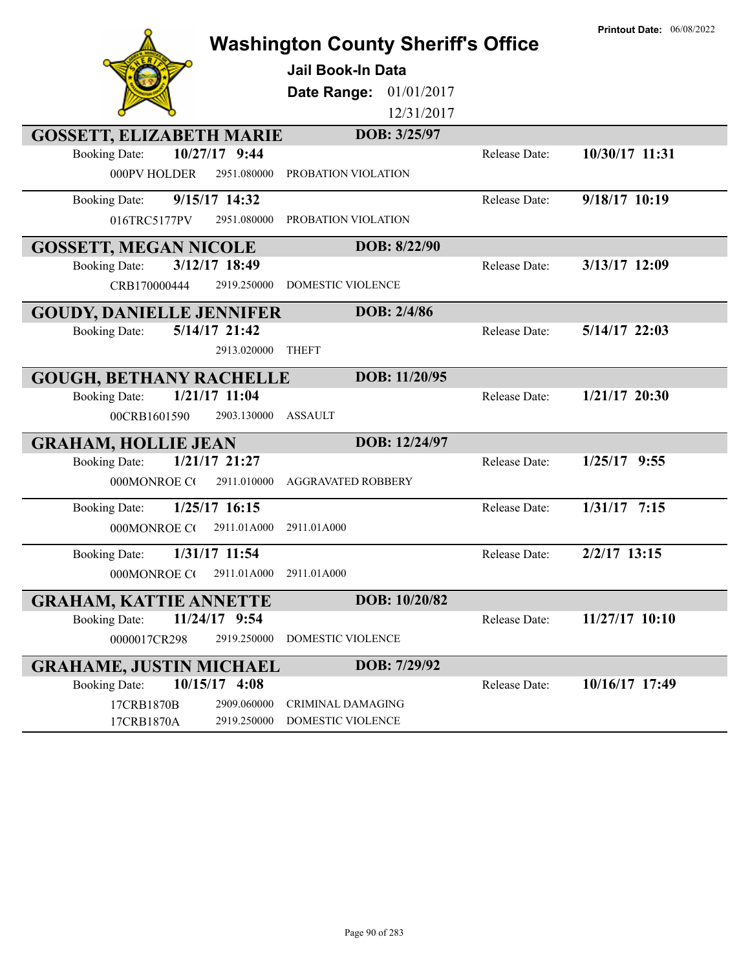|                                         | <b>Washington County Sheriff's Office</b> |               | <b>Printout Date: 06/08/2022</b> |
|-----------------------------------------|-------------------------------------------|---------------|----------------------------------|
|                                         | Jail Book-In Data                         |               |                                  |
|                                         | 01/01/2017<br>Date Range:                 |               |                                  |
|                                         | 12/31/2017                                |               |                                  |
| <b>GOSSETT, ELIZABETH MARIE</b>         | DOB: 3/25/97                              |               |                                  |
| 10/27/17 9:44<br><b>Booking Date:</b>   |                                           | Release Date: | 10/30/17 11:31                   |
| 000PV HOLDER<br>2951.080000             | PROBATION VIOLATION                       |               |                                  |
| 9/15/17 14:32<br><b>Booking Date:</b>   |                                           | Release Date: | $9/18/17$ 10:19                  |
| 2951.080000<br>016TRC5177PV             | PROBATION VIOLATION                       |               |                                  |
| <b>GOSSETT, MEGAN NICOLE</b>            | DOB: 8/22/90                              |               |                                  |
| 3/12/17 18:49<br><b>Booking Date:</b>   |                                           | Release Date: | 3/13/17 12:09                    |
| CRB170000444<br>2919.250000             | DOMESTIC VIOLENCE                         |               |                                  |
| <b>GOUDY, DANIELLE JENNIFER</b>         | DOB: 2/4/86                               |               |                                  |
| 5/14/17 21:42<br><b>Booking Date:</b>   |                                           | Release Date: | $5/14/17$ 22:03                  |
| 2913.020000                             | <b>THEFT</b>                              |               |                                  |
| <b>GOUGH, BETHANY RACHELLE</b>          | DOB: 11/20/95                             |               |                                  |
| 1/21/17 11:04<br><b>Booking Date:</b>   |                                           | Release Date: | $1/21/17$ 20:30                  |
| 00CRB1601590<br>2903.130000             | <b>ASSAULT</b>                            |               |                                  |
| <b>GRAHAM, HOLLIE JEAN</b>              | DOB: 12/24/97                             |               |                                  |
| 1/21/17 21:27<br><b>Booking Date:</b>   |                                           | Release Date: | $1/25/17$ 9:55                   |
| 000MONROE CO<br>2911.010000             | <b>AGGRAVATED ROBBERY</b>                 |               |                                  |
| $1/25/17$ 16:15<br><b>Booking Date:</b> |                                           | Release Date: | $1/31/17$ 7:15                   |
| 000MONROE CO<br>2911.01A000             | 2911.01A000                               |               |                                  |
| 1/31/17 11:54<br><b>Booking Date:</b>   |                                           | Release Date: | $2/2/17$ 13:15                   |
| 000MONROE C(2911.01A000 2911.01A000     |                                           |               |                                  |
| <b>GRAHAM, KATTIE ANNETTE</b>           | DOB: 10/20/82                             |               |                                  |
| 11/24/17 9:54<br><b>Booking Date:</b>   |                                           | Release Date: | 11/27/17 10:10                   |
| 0000017CR298<br>2919.250000             | DOMESTIC VIOLENCE                         |               |                                  |
| <b>GRAHAME, JUSTIN MICHAEL</b>          | DOB: 7/29/92                              |               |                                  |
| $10/15/17$ 4:08<br><b>Booking Date:</b> |                                           | Release Date: | 10/16/17 17:49                   |
| 17CRB1870B<br>2909.060000               | <b>CRIMINAL DAMAGING</b>                  |               |                                  |
| 17CRB1870A<br>2919.250000               | DOMESTIC VIOLENCE                         |               |                                  |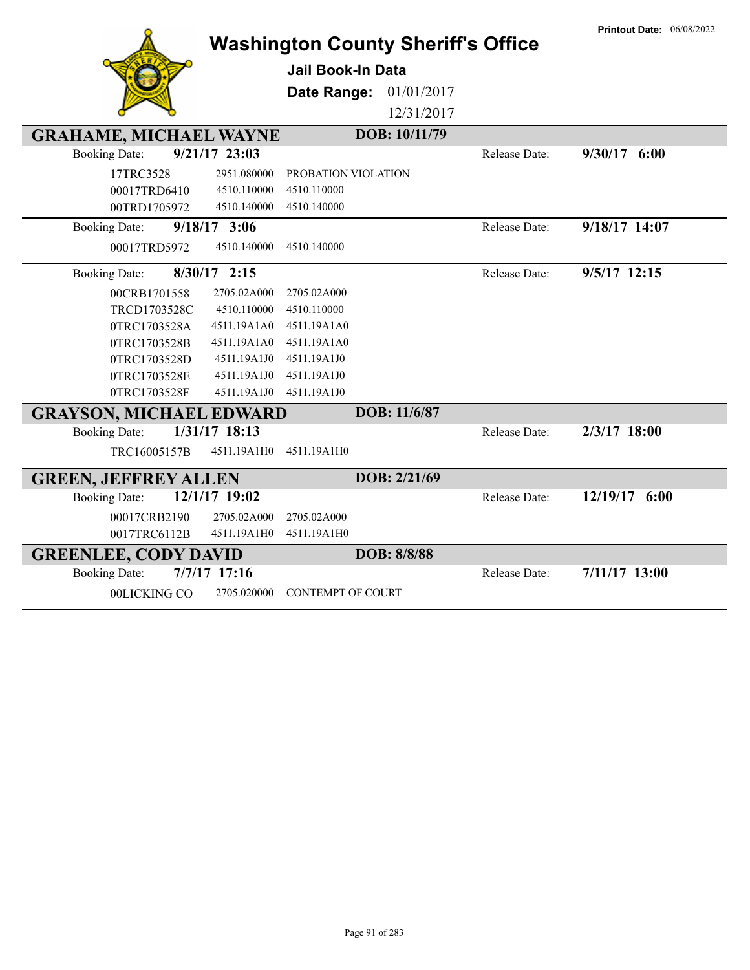|                                         | <b>Washington County Sheriff's Office</b> |               | <b>Printout Date: 06/08/2022</b> |
|-----------------------------------------|-------------------------------------------|---------------|----------------------------------|
|                                         | Jail Book-In Data                         |               |                                  |
|                                         |                                           |               |                                  |
|                                         | Date Range: 01/01/2017                    |               |                                  |
|                                         | 12/31/2017                                |               |                                  |
| <b>GRAHAME, MICHAEL WAYNE</b>           | DOB: 10/11/79                             |               |                                  |
| $9/21/17$ 23:03<br><b>Booking Date:</b> |                                           | Release Date: | $9/30/17$ 6:00                   |
| 17TRC3528<br>2951.080000                | PROBATION VIOLATION                       |               |                                  |
| 00017TRD6410<br>4510.110000             | 4510.110000                               |               |                                  |
| 4510.140000<br>00TRD1705972             | 4510.140000                               |               |                                  |
| $9/18/17$ 3:06<br><b>Booking Date:</b>  |                                           | Release Date: | 9/18/17 14:07                    |
| 4510.140000<br>00017TRD5972             | 4510.140000                               |               |                                  |
| $8/30/17$ 2:15<br><b>Booking Date:</b>  |                                           | Release Date: | $9/5/17$ 12:15                   |
| 00CRB1701558<br>2705.02A000             | 2705.02A000                               |               |                                  |
| TRCD1703528C<br>4510.110000             | 4510.110000                               |               |                                  |
| 0TRC1703528A<br>4511.19A1A0             | 4511.19A1A0                               |               |                                  |
| 0TRC1703528B<br>4511.19A1A0             | 4511.19A1A0                               |               |                                  |
| 0TRC1703528D<br>4511.19A1J0             | 4511.19A1J0                               |               |                                  |
| 0TRC1703528E<br>4511.19A1J0             | 4511.19A1J0                               |               |                                  |
| 0TRC1703528F<br>4511.19A1J0             | 4511.19A1J0                               |               |                                  |
| <b>GRAYSON, MICHAEL EDWARD</b>          | DOB: 11/6/87                              |               |                                  |
| 1/31/17 18:13<br><b>Booking Date:</b>   |                                           | Release Date: | $2/3/17$ 18:00                   |
| TRC16005157B<br>4511.19A1H0             | 4511.19A1H0                               |               |                                  |
| <b>GREEN, JEFFREY ALLEN</b>             | DOB: 2/21/69                              |               |                                  |
| 12/1/17 19:02<br><b>Booking Date:</b>   |                                           | Release Date: | 12/19/17 6:00                    |
| 00017CRB2190<br>2705.02A000             | 2705.02A000                               |               |                                  |
| 0017TRC6112B<br>4511.19A1H0             | 4511.19A1H0                               |               |                                  |
| <b>GREENLEE, CODY DAVID</b>             | DOB: 8/8/88                               |               |                                  |
| 7/7/17 17:16<br><b>Booking Date:</b>    |                                           | Release Date: | 7/11/17 13:00                    |
| 00LICKING CO<br>2705.020000             | <b>CONTEMPT OF COURT</b>                  |               |                                  |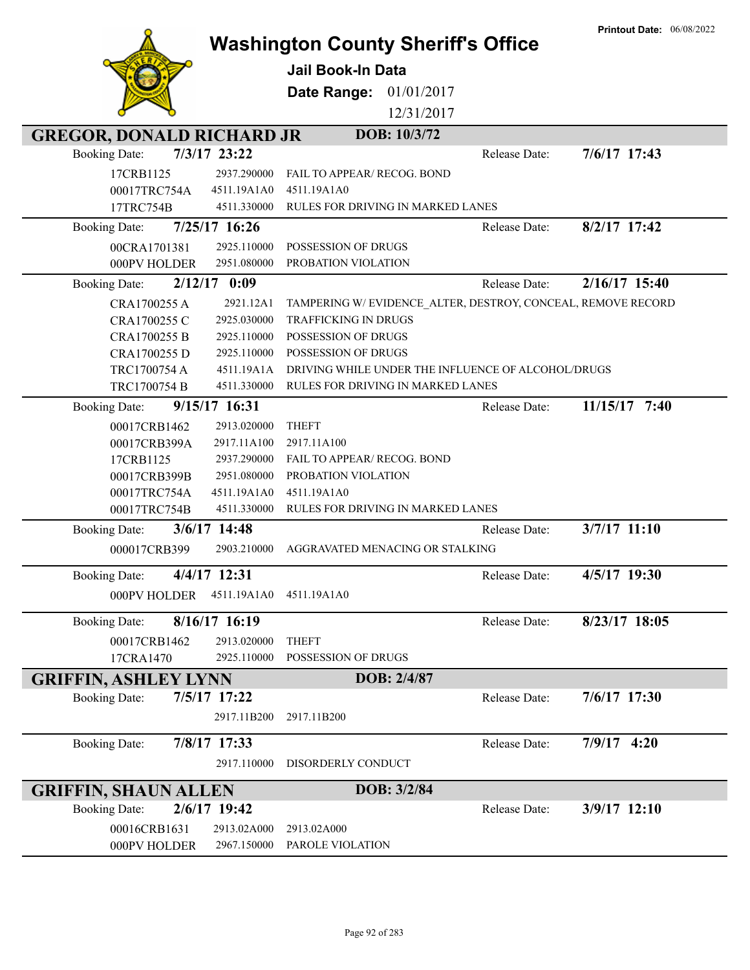|                                  |                            | <b>Washington County Sheriff's Office</b><br><b>Jail Book-In Data</b> |               | <b>Printout Date: 06/08/2022</b> |
|----------------------------------|----------------------------|-----------------------------------------------------------------------|---------------|----------------------------------|
|                                  |                            | Date Range:<br>01/01/2017                                             |               |                                  |
|                                  |                            | 12/31/2017                                                            |               |                                  |
| <b>GREGOR, DONALD RICHARD JR</b> |                            | DOB: 10/3/72                                                          |               |                                  |
| <b>Booking Date:</b>             | 7/3/17 23:22               |                                                                       | Release Date: | 7/6/17 17:43                     |
| 17CRB1125                        | 2937.290000                | <b>FAIL TO APPEAR/ RECOG. BOND</b>                                    |               |                                  |
| 00017TRC754A                     | 4511.19A1A0                | 4511.19A1A0                                                           |               |                                  |
| 17TRC754B                        | 4511.330000                | RULES FOR DRIVING IN MARKED LANES                                     |               |                                  |
| <b>Booking Date:</b>             | 7/25/17 16:26              |                                                                       | Release Date: | 8/2/17 17:42                     |
| 00CRA1701381                     | 2925.110000                | POSSESSION OF DRUGS                                                   |               |                                  |
| 000PV HOLDER                     | 2951.080000                | PROBATION VIOLATION                                                   |               |                                  |
| <b>Booking Date:</b>             | $2/12/17$ 0:09             |                                                                       | Release Date: | 2/16/17 15:40                    |
| CRA1700255 A                     | 2921.12A1                  | TAMPERING W/EVIDENCE_ALTER, DESTROY, CONCEAL, REMOVE RECORD           |               |                                  |
| CRA1700255 C                     | 2925.030000                | <b>TRAFFICKING IN DRUGS</b>                                           |               |                                  |
| CRA1700255 B                     | 2925.110000                | POSSESSION OF DRUGS                                                   |               |                                  |
| CRA1700255 D                     | 2925.110000                | POSSESSION OF DRUGS                                                   |               |                                  |
| TRC1700754 A                     | 4511.19A1A                 | DRIVING WHILE UNDER THE INFLUENCE OF ALCOHOL/DRUGS                    |               |                                  |
| TRC1700754 B                     | 4511.330000                | RULES FOR DRIVING IN MARKED LANES                                     |               |                                  |
| <b>Booking Date:</b>             | 9/15/17 16:31              |                                                                       | Release Date: | 11/15/17 7:40                    |
| 00017CRB1462                     | 2913.020000                | <b>THEFT</b>                                                          |               |                                  |
| 00017CRB399A                     | 2917.11A100                | 2917.11A100                                                           |               |                                  |
| 17CRB1125<br>00017CRB399B        | 2937.290000<br>2951.080000 | FAIL TO APPEAR/ RECOG. BOND<br>PROBATION VIOLATION                    |               |                                  |
| 00017TRC754A                     | 4511.19A1A0                | 4511.19A1A0                                                           |               |                                  |
| 00017TRC754B                     | 4511.330000                | RULES FOR DRIVING IN MARKED LANES                                     |               |                                  |
| <b>Booking Date:</b>             | 3/6/17 14:48               |                                                                       | Release Date: | 3/7/17 11:10                     |
| 000017CRB399                     | 2903.210000                | AGGRAVATED MENACING OR STALKING                                       |               |                                  |
|                                  |                            |                                                                       |               |                                  |
| <b>Booking Date:</b>             | 4/4/17 12:31               |                                                                       | Release Date: | 4/5/17 19:30                     |
| 000PV HOLDER                     | 4511.19A1A0                | 4511.19A1A0                                                           |               |                                  |
| <b>Booking Date:</b>             | 8/16/17 16:19              |                                                                       | Release Date: | 8/23/17 18:05                    |
| 00017CRB1462                     | 2913.020000                | <b>THEFT</b>                                                          |               |                                  |
| 17CRA1470                        | 2925.110000                | POSSESSION OF DRUGS                                                   |               |                                  |
| <b>GRIFFIN, ASHLEY LYNN</b>      |                            | DOB: 2/4/87                                                           |               |                                  |
| <b>Booking Date:</b>             | 7/5/17 17:22               |                                                                       | Release Date: | 7/6/17 17:30                     |
|                                  | 2917.11B200                | 2917.11B200                                                           |               |                                  |
|                                  |                            |                                                                       |               |                                  |
| <b>Booking Date:</b>             | 7/8/17 17:33               |                                                                       | Release Date: | $7/9/17$ 4:20                    |
|                                  | 2917.110000                | DISORDERLY CONDUCT                                                    |               |                                  |
| <b>GRIFFIN, SHAUN ALLEN</b>      |                            | DOB: 3/2/84                                                           |               |                                  |
| <b>Booking Date:</b>             | 2/6/17 19:42               |                                                                       | Release Date: | 3/9/17 12:10                     |
| 00016CRB1631                     | 2913.02A000                | 2913.02A000                                                           |               |                                  |
| 000PV HOLDER                     | 2967.150000                | PAROLE VIOLATION                                                      |               |                                  |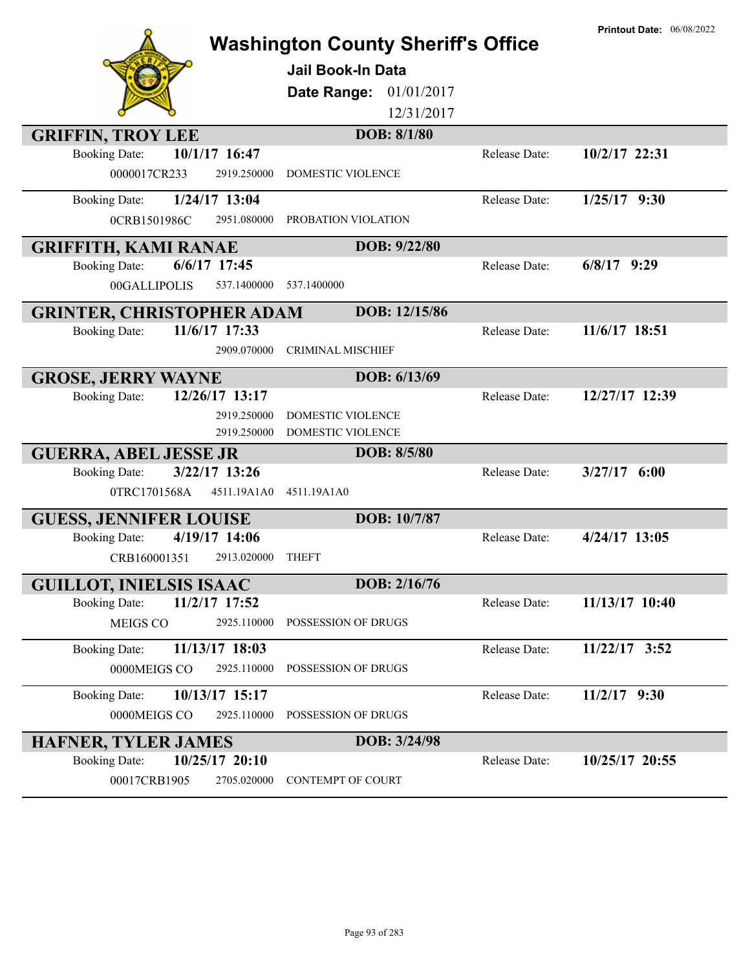|                                        | <b>Washington County Sheriff's Office</b><br><b>Jail Book-In Data</b><br>01/01/2017<br>Date Range:<br>12/31/2017 |               | <b>Printout Date: 06/08/2022</b> |
|----------------------------------------|------------------------------------------------------------------------------------------------------------------|---------------|----------------------------------|
| <b>GRIFFIN, TROY LEE</b>               | DOB: 8/1/80                                                                                                      |               |                                  |
| 10/1/17 16:47<br><b>Booking Date:</b>  |                                                                                                                  | Release Date: | 10/2/17 22:31                    |
| 0000017CR233<br>2919.250000            | <b>DOMESTIC VIOLENCE</b>                                                                                         |               |                                  |
| 1/24/17 13:04<br><b>Booking Date:</b>  |                                                                                                                  | Release Date: | $1/25/17$ 9:30                   |
| 0CRB1501986C<br>2951.080000            | PROBATION VIOLATION                                                                                              |               |                                  |
| <b>GRIFFITH, KAMI RANAE</b>            | DOB: 9/22/80                                                                                                     |               |                                  |
| $6/6/17$ 17:45<br><b>Booking Date:</b> |                                                                                                                  | Release Date: | $6/8/17$ 9:29                    |
| 00GALLIPOLIS<br>537.1400000            | 537.1400000                                                                                                      |               |                                  |
|                                        |                                                                                                                  |               |                                  |
| <b>GRINTER, CHRISTOPHER ADAM</b>       | DOB: 12/15/86                                                                                                    |               |                                  |
| 11/6/17 17:33<br><b>Booking Date:</b>  |                                                                                                                  | Release Date: | 11/6/17 18:51                    |
| 2909.070000                            | <b>CRIMINAL MISCHIEF</b>                                                                                         |               |                                  |
| <b>GROSE, JERRY WAYNE</b>              | DOB: 6/13/69                                                                                                     |               |                                  |
| 12/26/17 13:17<br><b>Booking Date:</b> |                                                                                                                  | Release Date: | 12/27/17 12:39                   |
| 2919.250000                            | <b>DOMESTIC VIOLENCE</b>                                                                                         |               |                                  |
| 2919.250000                            | DOMESTIC VIOLENCE                                                                                                |               |                                  |
| <b>GUERRA, ABEL JESSE JR</b>           | DOB: 8/5/80                                                                                                      |               |                                  |
| 3/22/17 13:26<br><b>Booking Date:</b>  |                                                                                                                  | Release Date: | $3/27/17$ 6:00                   |
| 0TRC1701568A<br>4511.19A1A0            | 4511.19A1A0                                                                                                      |               |                                  |
| <b>GUESS, JENNIFER LOUISE</b>          | DOB: 10/7/87                                                                                                     |               |                                  |
| 4/19/17 14:06<br><b>Booking Date:</b>  |                                                                                                                  | Release Date: | $4/24/17$ 13:05                  |
| CRB160001351<br>2913.020000            | <b>THEFT</b>                                                                                                     |               |                                  |
| <b>GUILLOT, INIELSIS ISAAC</b>         | DOB: 2/16/76                                                                                                     |               |                                  |
| 11/2/17 17:52<br><b>Booking Date:</b>  |                                                                                                                  | Release Date: | 11/13/17 10:40                   |
| MEIGS CO<br>2925.110000                | POSSESSION OF DRUGS                                                                                              |               |                                  |
| 11/13/17 18:03<br><b>Booking Date:</b> |                                                                                                                  | Release Date: | 11/22/17 3:52                    |
| 0000MEIGS CO<br>2925.110000            | POSSESSION OF DRUGS                                                                                              |               |                                  |
|                                        |                                                                                                                  |               |                                  |
| 10/13/17 15:17<br><b>Booking Date:</b> |                                                                                                                  | Release Date: | $11/2/17$ 9:30                   |
| 2925.110000<br>0000MEIGS CO            | POSSESSION OF DRUGS                                                                                              |               |                                  |
| <b>HAFNER, TYLER JAMES</b>             | DOB: 3/24/98                                                                                                     |               |                                  |
| 10/25/17 20:10<br><b>Booking Date:</b> |                                                                                                                  | Release Date: | 10/25/17 20:55                   |
| 00017CRB1905<br>2705.020000            | <b>CONTEMPT OF COURT</b>                                                                                         |               |                                  |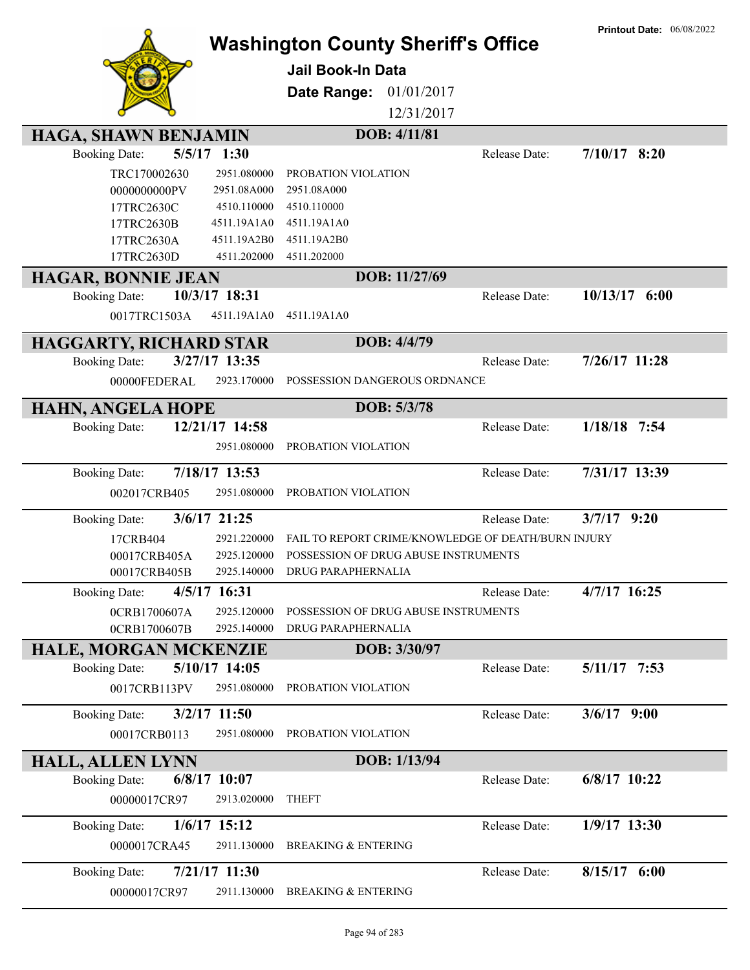|                                                                        |                            | <b>Washington County Sheriff's Office</b><br><b>Jail Book-In Data</b> |               | <b>Printout Date: 06/08/2022</b> |
|------------------------------------------------------------------------|----------------------------|-----------------------------------------------------------------------|---------------|----------------------------------|
|                                                                        |                            |                                                                       |               |                                  |
|                                                                        |                            | Date Range:<br>01/01/2017                                             |               |                                  |
|                                                                        |                            | 12/31/2017                                                            |               |                                  |
| HAGA, SHAWN BENJAMIN                                                   |                            | DOB: 4/11/81                                                          |               |                                  |
| $5/5/17$ 1:30<br><b>Booking Date:</b>                                  |                            |                                                                       | Release Date: | $7/10/17$ 8:20                   |
| TRC170002630                                                           | 2951.080000                | PROBATION VIOLATION                                                   |               |                                  |
| 0000000000PV                                                           | 2951.08A000                | 2951.08A000                                                           |               |                                  |
| 17TRC2630C<br>17TRC2630B                                               | 4510.110000<br>4511.19A1A0 | 4510.110000<br>4511.19A1A0                                            |               |                                  |
| 17TRC2630A                                                             | 4511.19A2B0                | 4511.19A2B0                                                           |               |                                  |
| 17TRC2630D                                                             | 4511.202000                | 4511.202000                                                           |               |                                  |
| <b>HAGAR, BONNIE JEAN</b>                                              |                            | DOB: 11/27/69                                                         |               |                                  |
| 10/3/17 18:31<br><b>Booking Date:</b>                                  |                            |                                                                       | Release Date: | $10/13/17$ 6:00                  |
| 0017TRC1503A                                                           | 4511.19A1A0                | 4511.19A1A0                                                           |               |                                  |
|                                                                        |                            | DOB: 4/4/79                                                           |               |                                  |
| <b>HAGGARTY, RICHARD STAR</b><br>3/27/17 13:35<br><b>Booking Date:</b> |                            |                                                                       | Release Date: | $7/26/17$ 11:28                  |
| 00000FEDERAL                                                           | 2923.170000                | POSSESSION DANGEROUS ORDNANCE                                         |               |                                  |
|                                                                        |                            |                                                                       |               |                                  |
| <b>HAHN, ANGELA HOPE</b>                                               |                            | DOB: 5/3/78                                                           |               |                                  |
| 12/21/17 14:58<br><b>Booking Date:</b>                                 |                            |                                                                       | Release Date: | $1/18/18$ 7:54                   |
|                                                                        | 2951.080000                | PROBATION VIOLATION                                                   |               |                                  |
| 7/18/17 13:53<br><b>Booking Date:</b>                                  |                            |                                                                       | Release Date: | 7/31/17 13:39                    |
| 002017CRB405                                                           | 2951.080000                | PROBATION VIOLATION                                                   |               |                                  |
| 3/6/17 21:25<br><b>Booking Date:</b>                                   |                            |                                                                       | Release Date: | $3/7/17$ 9:20                    |
| 17CRB404                                                               | 2921.220000                | FAIL TO REPORT CRIME/KNOWLEDGE OF DEATH/BURN INJURY                   |               |                                  |
| 00017CRB405A                                                           | 2925.120000                | POSSESSION OF DRUG ABUSE INSTRUMENTS                                  |               |                                  |
| 00017CRB405B                                                           | 2925.140000                | DRUG PARAPHERNALIA                                                    |               |                                  |
| 4/5/17 16:31<br><b>Booking Date:</b>                                   |                            |                                                                       | Release Date: | 4/7/17 16:25                     |
| 0CRB1700607A                                                           | 2925.120000                | POSSESSION OF DRUG ABUSE INSTRUMENTS                                  |               |                                  |
| 0CRB1700607B                                                           | 2925.140000                | DRUG PARAPHERNALIA                                                    |               |                                  |
| <b>HALE, MORGAN MCKENZIE</b>                                           |                            | DOB: 3/30/97                                                          |               |                                  |
| 5/10/17 14:05<br><b>Booking Date:</b>                                  |                            |                                                                       | Release Date: | $5/11/17$ 7:53                   |
| 0017CRB113PV                                                           | 2951.080000                | PROBATION VIOLATION                                                   |               |                                  |
| $3/2/17$ 11:50<br><b>Booking Date:</b>                                 |                            |                                                                       | Release Date: | $3/6/17$ 9:00                    |
| 00017CRB0113                                                           | 2951.080000                | PROBATION VIOLATION                                                   |               |                                  |
|                                                                        |                            |                                                                       |               |                                  |
| <b>HALL, ALLEN LYNN</b>                                                |                            | DOB: 1/13/94                                                          |               |                                  |
| $6/8/17$ 10:07<br><b>Booking Date:</b>                                 |                            |                                                                       | Release Date: | 6/8/17 10:22                     |
| 00000017CR97                                                           | 2913.020000                | <b>THEFT</b>                                                          |               |                                  |
| $1/6/17$ 15:12<br><b>Booking Date:</b>                                 |                            |                                                                       | Release Date: | 1/9/17 13:30                     |
| 0000017CRA45                                                           | 2911.130000                | <b>BREAKING &amp; ENTERING</b>                                        |               |                                  |
| 7/21/17 11:30<br><b>Booking Date:</b>                                  |                            |                                                                       | Release Date: | $8/15/17$ 6:00                   |
| 00000017CR97                                                           | 2911.130000                | <b>BREAKING &amp; ENTERING</b>                                        |               |                                  |
|                                                                        |                            |                                                                       |               |                                  |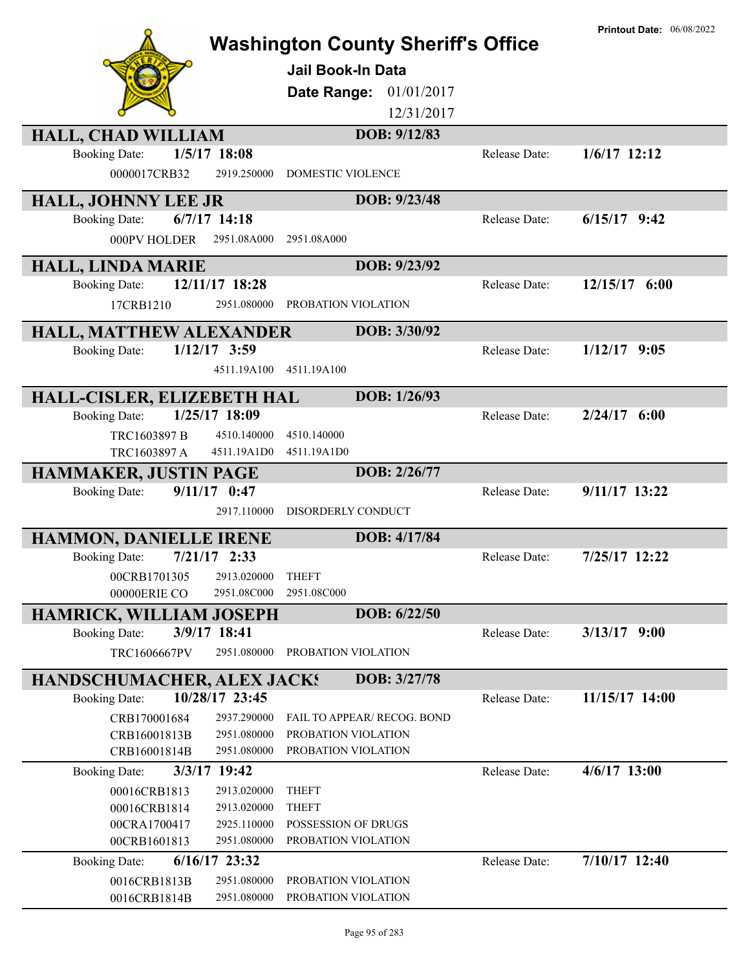|                                   |                            | <b>Washington County Sheriff's Office</b><br>Jail Book-In Data<br>Date Range: 01/01/2017<br>12/31/2017 |               | <b>Printout Date: 06/08/2022</b> |
|-----------------------------------|----------------------------|--------------------------------------------------------------------------------------------------------|---------------|----------------------------------|
| <b>HALL, CHAD WILLIAM</b>         |                            | DOB: 9/12/83                                                                                           |               |                                  |
| <b>Booking Date:</b>              | $1/5/17$ 18:08             |                                                                                                        | Release Date: | $1/6/17$ 12:12                   |
| 0000017CRB32                      | 2919.250000                | DOMESTIC VIOLENCE                                                                                      |               |                                  |
| HALL, JOHNNY LEE JR               |                            | DOB: 9/23/48                                                                                           |               |                                  |
| <b>Booking Date:</b>              | $6/7/17$ 14:18             |                                                                                                        | Release Date: | $6/15/17$ 9:42                   |
| 000PV HOLDER                      | 2951.08A000                | 2951.08A000                                                                                            |               |                                  |
| <b>HALL, LINDA MARIE</b>          |                            | DOB: 9/23/92                                                                                           |               |                                  |
| <b>Booking Date:</b>              | 12/11/17 18:28             |                                                                                                        | Release Date: | $12/15/17$ 6:00                  |
| 17CRB1210                         | 2951.080000                | PROBATION VIOLATION                                                                                    |               |                                  |
| HALL, MATTHEW ALEXANDER           |                            | DOB: 3/30/92                                                                                           |               |                                  |
| <b>Booking Date:</b>              | $1/12/17$ 3:59             |                                                                                                        | Release Date: | $1/12/17$ 9:05                   |
|                                   | 4511.19A100                | 4511.19A100                                                                                            |               |                                  |
| HALL-CISLER, ELIZEBETH HAL        |                            | DOB: 1/26/93                                                                                           |               |                                  |
| <b>Booking Date:</b>              | 1/25/17 18:09              |                                                                                                        | Release Date: | $2/24/17$ 6:00                   |
| TRC1603897 B                      | 4510.140000                | 4510.140000                                                                                            |               |                                  |
| TRC1603897 A                      | 4511.19A1D0                | 4511.19A1D0                                                                                            |               |                                  |
| <b>HAMMAKER, JUSTIN PAGE</b>      |                            | DOB: 2/26/77                                                                                           |               |                                  |
| <b>Booking Date:</b>              | $9/11/17$ 0:47             |                                                                                                        | Release Date: | 9/11/17 13:22                    |
|                                   | 2917.110000                | DISORDERLY CONDUCT                                                                                     |               |                                  |
| HAMMON, DANIELLE IRENE            |                            | DOB: 4/17/84                                                                                           |               |                                  |
| <b>Booking Date:</b>              | $7/21/17$ 2:33             |                                                                                                        | Release Date: | 7/25/17 12:22                    |
| 00CRB1701305 2913.020000 THEFT    |                            |                                                                                                        |               |                                  |
| 00000ERIE CO                      | 2951.08C000                | 2951.08C000                                                                                            |               |                                  |
| <b>HAMRICK, WILLIAM JOSEPH</b>    |                            | DOB: 6/22/50                                                                                           |               |                                  |
| <b>Booking Date:</b>              | 3/9/17 18:41               |                                                                                                        | Release Date: | $3/13/17$ 9:00                   |
| <b>TRC1606667PV</b>               | 2951.080000                | PROBATION VIOLATION                                                                                    |               |                                  |
| <b>HANDSCHUMACHER, ALEX JACKS</b> |                            | DOB: 3/27/78                                                                                           |               |                                  |
| <b>Booking Date:</b>              | 10/28/17 23:45             |                                                                                                        | Release Date: | 11/15/17 14:00                   |
| CRB170001684                      | 2937.290000                | FAIL TO APPEAR/ RECOG. BOND                                                                            |               |                                  |
| CRB16001813B                      | 2951.080000                | PROBATION VIOLATION                                                                                    |               |                                  |
| CRB16001814B                      | 2951.080000                | PROBATION VIOLATION                                                                                    |               |                                  |
| <b>Booking Date:</b>              | 3/3/17 19:42               |                                                                                                        | Release Date: | 4/6/17 13:00                     |
| 00016CRB1813                      | 2913.020000                | <b>THEFT</b>                                                                                           |               |                                  |
| 00016CRB1814                      | 2913.020000                | <b>THEFT</b>                                                                                           |               |                                  |
| 00CRA1700417<br>00CRB1601813      | 2925.110000<br>2951.080000 | POSSESSION OF DRUGS<br>PROBATION VIOLATION                                                             |               |                                  |
| <b>Booking Date:</b>              | 6/16/17 23:32              |                                                                                                        | Release Date: | 7/10/17 12:40                    |
|                                   |                            |                                                                                                        |               |                                  |
| 0016CRB1813B<br>0016CRB1814B      | 2951.080000<br>2951.080000 | PROBATION VIOLATION<br>PROBATION VIOLATION                                                             |               |                                  |
|                                   |                            |                                                                                                        |               |                                  |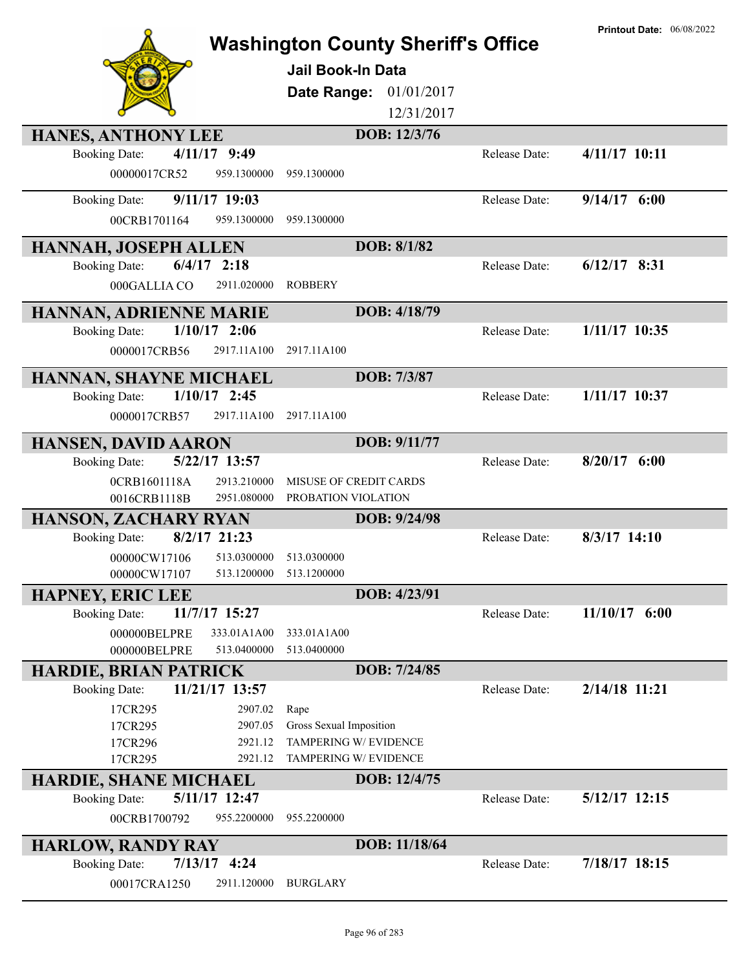|                                                                  |                                           |               | <b>Printout Date: 06/08/2022</b> |
|------------------------------------------------------------------|-------------------------------------------|---------------|----------------------------------|
|                                                                  | <b>Washington County Sheriff's Office</b> |               |                                  |
|                                                                  | <b>Jail Book-In Data</b>                  |               |                                  |
|                                                                  | Date Range:<br>01/01/2017                 |               |                                  |
|                                                                  | 12/31/2017                                |               |                                  |
| <b>HANES, ANTHONY LEE</b>                                        | DOB: 12/3/76                              |               |                                  |
| $4/11/17$ 9:49<br><b>Booking Date:</b>                           |                                           | Release Date: | 4/11/17 10:11                    |
| 00000017CR52<br>959.1300000                                      | 959.1300000                               |               |                                  |
|                                                                  |                                           |               |                                  |
| $9/11/17$ 19:03<br><b>Booking Date:</b>                          |                                           | Release Date: | $9/14/17$ 6:00                   |
| 00CRB1701164<br>959.1300000                                      | 959.1300000                               |               |                                  |
| <b>HANNAH, JOSEPH ALLEN</b>                                      | DOB: 8/1/82                               |               |                                  |
| $6/4/17$ 2:18<br><b>Booking Date:</b>                            |                                           | Release Date: | $6/12/17$ 8:31                   |
| 000GALLIA CO<br>2911.020000                                      | <b>ROBBERY</b>                            |               |                                  |
| HANNAN, ADRIENNE MARIE                                           | DOB: 4/18/79                              |               |                                  |
| $1/10/17$ 2:06<br><b>Booking Date:</b>                           |                                           | Release Date: | $1/11/17$ 10:35                  |
| 2917.11A100<br>0000017CRB56                                      | 2917.11A100                               |               |                                  |
|                                                                  | DOB: 7/3/87                               |               |                                  |
| HANNAN, SHAYNE MICHAEL<br>$1/10/17$ 2:45<br><b>Booking Date:</b> |                                           | Release Date: | 1/11/17 10:37                    |
| 0000017CRB57<br>2917.11A100                                      | 2917.11A100                               |               |                                  |
|                                                                  |                                           |               |                                  |
| <b>HANSEN, DAVID AARON</b>                                       | DOB: 9/11/77                              |               |                                  |
| 5/22/17 13:57<br><b>Booking Date:</b>                            |                                           | Release Date: | $8/20/17$ 6:00                   |
| 2913.210000<br>0CRB1601118A                                      | MISUSE OF CREDIT CARDS                    |               |                                  |
| 0016CRB1118B<br>2951.080000                                      | PROBATION VIOLATION                       |               |                                  |
| <b>HANSON, ZACHARY RYAN</b>                                      | DOB: 9/24/98                              |               |                                  |
| $8/2/17$ 21:23<br><b>Booking Date:</b>                           |                                           | Release Date: | $8/3/17$ 14:10                   |
| 00000CW17106<br>513.0300000<br>00000CW17107<br>513.1200000       | 513.0300000<br>513.1200000                |               |                                  |
|                                                                  | DOB: 4/23/91                              |               |                                  |
| <b>HAPNEY, ERIC LEE</b><br>11/7/17 15:27<br><b>Booking Date:</b> |                                           | Release Date: | $11/10/17$ 6:00                  |
| 000000BELPRE<br>333.01A1A00                                      | 333.01A1A00                               |               |                                  |
| 000000BELPRE<br>513.0400000                                      | 513.0400000                               |               |                                  |
| <b>HARDIE, BRIAN PATRICK</b>                                     | DOB: 7/24/85                              |               |                                  |
| 11/21/17 13:57<br><b>Booking Date:</b>                           |                                           | Release Date: | 2/14/18 11:21                    |
| 17CR295<br>2907.02                                               | Rape                                      |               |                                  |
| 2907.05<br>17CR295                                               | Gross Sexual Imposition                   |               |                                  |
| 2921.12<br>17CR296                                               | TAMPERING W/ EVIDENCE                     |               |                                  |
| 17CR295<br>2921.12                                               | TAMPERING W/ EVIDENCE                     |               |                                  |
| <b>HARDIE, SHANE MICHAEL</b>                                     | DOB: 12/4/75                              |               |                                  |
| 5/11/17 12:47<br><b>Booking Date:</b>                            |                                           | Release Date: | 5/12/17 12:15                    |
| 00CRB1700792<br>955.2200000                                      | 955.2200000                               |               |                                  |
| <b>HARLOW, RANDY RAY</b>                                         | DOB: 11/18/64                             |               |                                  |
| $7/13/17$ 4:24<br><b>Booking Date:</b>                           |                                           | Release Date: | 7/18/17 18:15                    |
| 00017CRA1250<br>2911.120000                                      | <b>BURGLARY</b>                           |               |                                  |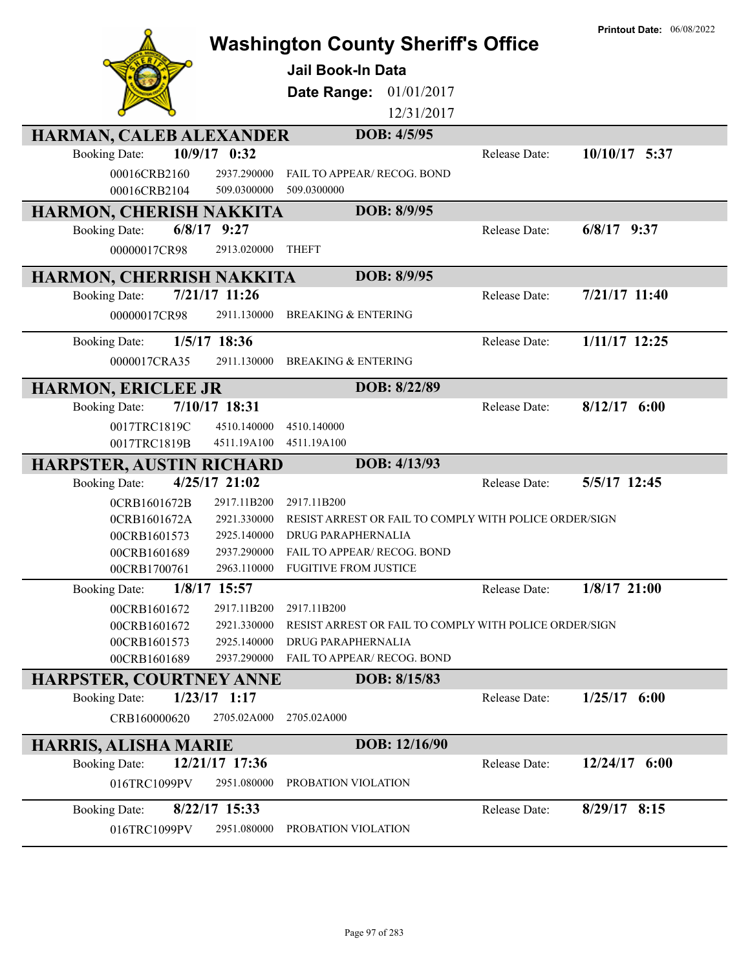|                                        | <b>Jail Book-In Data</b><br>Date Range:       | <b>Washington County Sheriff's Office</b><br>01/01/2017<br>12/31/2017 |               | <b>Printout Date: 06/08/2022</b> |
|----------------------------------------|-----------------------------------------------|-----------------------------------------------------------------------|---------------|----------------------------------|
| HARMAN, CALEB ALEXANDER                |                                               | DOB: 4/5/95                                                           |               |                                  |
| 10/9/17 0:32<br><b>Booking Date:</b>   |                                               |                                                                       | Release Date: | 10/10/17 5:37                    |
| 00016CRB2160                           | 2937.290000                                   | FAIL TO APPEAR/ RECOG. BOND                                           |               |                                  |
| 00016CRB2104                           | 509.0300000<br>509.0300000                    |                                                                       |               |                                  |
| HARMON, CHERISH NAKKITA                |                                               | DOB: 8/9/95                                                           |               |                                  |
| $6/8/17$ 9:27<br><b>Booking Date:</b>  |                                               |                                                                       | Release Date: | $6/8/17$ 9:37                    |
| 00000017CR98                           | 2913.020000<br><b>THEFT</b>                   |                                                                       |               |                                  |
| HARMON, CHERRISH NAKKITA               |                                               | DOB: 8/9/95                                                           |               |                                  |
| 7/21/17 11:26<br><b>Booking Date:</b>  |                                               |                                                                       | Release Date: | 7/21/17 11:40                    |
| 00000017CR98                           | 2911.130000<br><b>BREAKING &amp; ENTERING</b> |                                                                       |               |                                  |
| 1/5/17 18:36<br><b>Booking Date:</b>   |                                               |                                                                       | Release Date: | 1/11/17 12:25                    |
| 0000017CRA35                           | 2911.130000<br><b>BREAKING &amp; ENTERING</b> |                                                                       |               |                                  |
| <b>HARMON, ERICLEE JR</b>              |                                               | DOB: 8/22/89                                                          |               |                                  |
| 7/10/17 18:31<br><b>Booking Date:</b>  |                                               |                                                                       | Release Date: | $8/12/17$ 6:00                   |
| 0017TRC1819C                           | 4510.140000<br>4510.140000                    |                                                                       |               |                                  |
| 0017TRC1819B                           | 4511.19A100<br>4511.19A100                    |                                                                       |               |                                  |
| <b>HARPSTER, AUSTIN RICHARD</b>        |                                               | DOB: 4/13/93                                                          |               |                                  |
| 4/25/17 21:02<br><b>Booking Date:</b>  |                                               |                                                                       | Release Date: | 5/5/17 12:45                     |
| 0CRB1601672B                           | 2917.11B200<br>2917.11B200                    |                                                                       |               |                                  |
| 0CRB1601672A                           | 2921.330000                                   | RESIST ARREST OR FAIL TO COMPLY WITH POLICE ORDER/SIGN                |               |                                  |
| 00CRB1601573                           | 2925.140000<br>DRUG PARAPHERNALIA             |                                                                       |               |                                  |
| 00CRB1601689                           | 2937.290000                                   | FAIL TO APPEAR/ RECOG. BOND                                           |               |                                  |
| 00CRB1700761                           | 2963.110000<br><b>FUGITIVE FROM JUSTICE</b>   |                                                                       |               |                                  |
| 1/8/17 15:57<br><b>Booking Date:</b>   |                                               |                                                                       | Release Date: | $1/8/17$ 21:00                   |
| 00CRB1601672                           | 2917.11B200<br>2917.11B200<br>2921.330000     | RESIST ARREST OR FAIL TO COMPLY WITH POLICE ORDER/SIGN                |               |                                  |
| 00CRB1601672<br>00CRB1601573           | <b>DRUG PARAPHERNALIA</b><br>2925.140000      |                                                                       |               |                                  |
| 00CRB1601689                           | 2937.290000                                   | FAIL TO APPEAR/ RECOG. BOND                                           |               |                                  |
| HARPSTER, COURTNEY ANNE                |                                               | DOB: 8/15/83                                                          |               |                                  |
| $1/23/17$ 1:17<br><b>Booking Date:</b> |                                               |                                                                       | Release Date: | $1/25/17$ 6:00                   |
| CRB160000620                           | 2705.02A000<br>2705.02A000                    |                                                                       |               |                                  |
| HARRIS, ALISHA MARIE                   |                                               | DOB: 12/16/90                                                         |               |                                  |
| 12/21/17 17:36<br><b>Booking Date:</b> |                                               |                                                                       | Release Date: | $12/24/17$ 6:00                  |
| 016TRC1099PV                           | 2951.080000<br>PROBATION VIOLATION            |                                                                       |               |                                  |
| 8/22/17 15:33<br><b>Booking Date:</b>  |                                               |                                                                       | Release Date: | 8/29/17 8:15                     |
| 016TRC1099PV                           | 2951.080000<br>PROBATION VIOLATION            |                                                                       |               |                                  |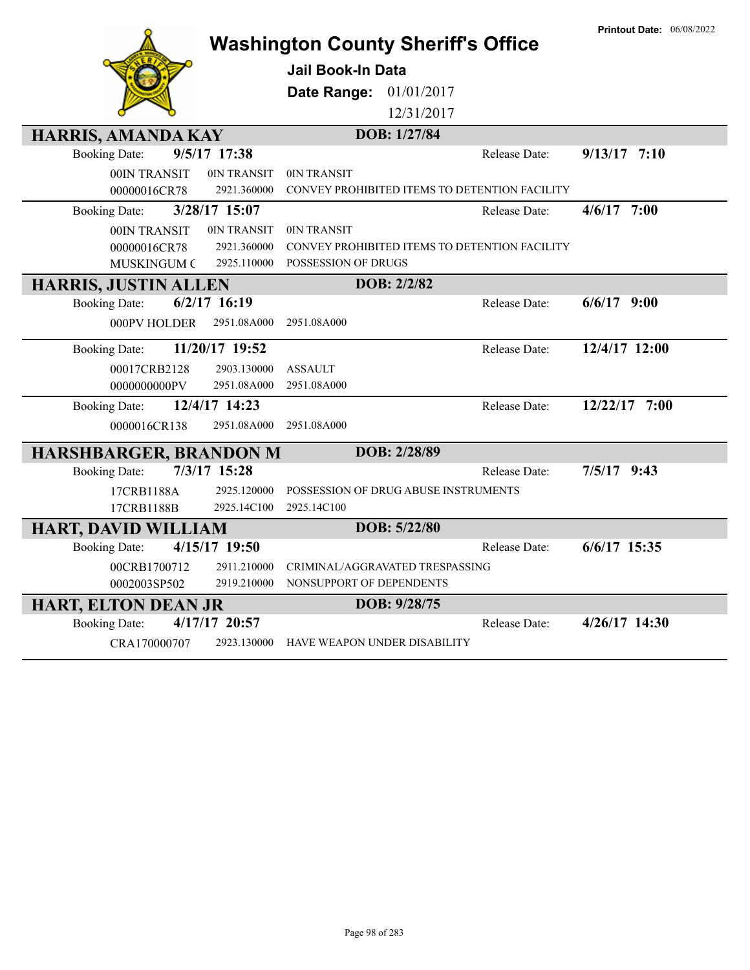| <b>Washington County Sheriff's Office</b> | <b>Printout Date: 06/08/2022</b>              |                   |
|-------------------------------------------|-----------------------------------------------|-------------------|
|                                           | <b>Jail Book-In Data</b>                      |                   |
|                                           | Date Range: 01/01/2017                        |                   |
|                                           | 12/31/2017                                    |                   |
| <b>HARRIS, AMANDA KAY</b>                 | DOB: 1/27/84                                  |                   |
| 9/5/17 17:38<br><b>Booking Date:</b>      | Release Date:                                 | $9/13/17$ 7:10    |
| 00IN TRANSIT<br>0IN TRANSIT               | 0IN TRANSIT                                   |                   |
| 00000016CR78<br>2921.360000               | CONVEY PROHIBITED ITEMS TO DETENTION FACILITY |                   |
| 3/28/17 15:07<br><b>Booking Date:</b>     | Release Date:                                 | $4/6/17$ 7:00     |
| 0IN TRANSIT<br>00IN TRANSIT               | 0IN TRANSIT                                   |                   |
| 00000016CR78<br>2921.360000               | CONVEY PROHIBITED ITEMS TO DETENTION FACILITY |                   |
| 2925.110000<br>MUSKINGUM C                | POSSESSION OF DRUGS                           |                   |
| <b>HARRIS, JUSTIN ALLEN</b>               | DOB: 2/2/82<br>Release Date:                  |                   |
| $6/2/17$ 16:19<br><b>Booking Date:</b>    |                                               | $6/6/17$ 9:00     |
| 000PV HOLDER<br>2951.08A000               | 2951.08A000                                   |                   |
| 11/20/17 19:52<br><b>Booking Date:</b>    | Release Date:                                 | $12/4/17$ $12:00$ |
| 00017CRB2128<br>2903.130000               | <b>ASSAULT</b>                                |                   |
| 0000000000PV<br>2951.08A000               | 2951.08A000                                   |                   |
| 12/4/17 14:23<br><b>Booking Date:</b>     | Release Date:                                 | 12/22/17 7:00     |
| 2951.08A000<br>0000016CR138               | 2951.08A000                                   |                   |
| <b>HARSHBARGER, BRANDON M</b>             | DOB: 2/28/89                                  |                   |
| 7/3/17 15:28<br><b>Booking Date:</b>      | Release Date:                                 | $7/5/17$ 9:43     |
| 17CRB1188A<br>2925.120000                 | POSSESSION OF DRUG ABUSE INSTRUMENTS          |                   |
| 17CRB1188B<br>2925.14C100                 | 2925.14C100                                   |                   |
| <b>HART, DAVID WILLIAM</b>                | DOB: 5/22/80                                  |                   |
| 4/15/17 19:50<br><b>Booking Date:</b>     | Release Date:                                 | $6/6/17$ 15:35    |
| 00CRB1700712<br>2911.210000               | CRIMINAL/AGGRAVATED TRESPASSING               |                   |
| 0002003SP502<br>2919.210000               | NONSUPPORT OF DEPENDENTS                      |                   |
| <b>HART, ELTON DEAN JR</b>                | DOB: 9/28/75                                  |                   |
| 4/17/17 20:57<br><b>Booking Date:</b>     | Release Date:                                 | 4/26/17 14:30     |
| CRA170000707<br>2923.130000               | HAVE WEAPON UNDER DISABILITY                  |                   |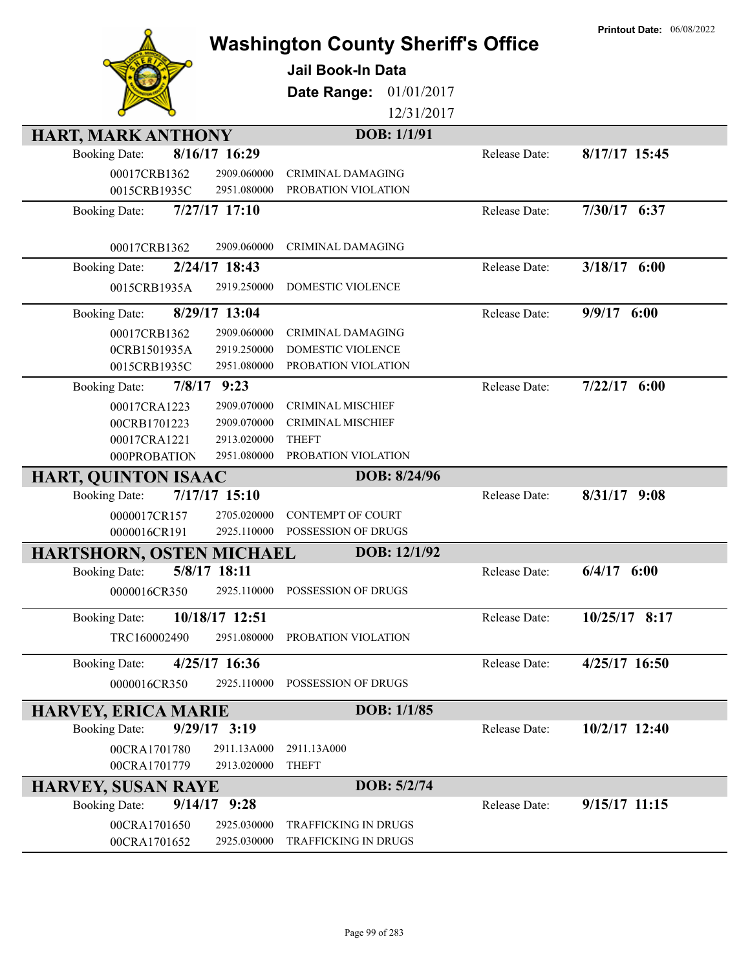|                                                                       |                            | <b>Washington County Sheriff's Office</b>    |               | <b>Printout Date: 06/08/2022</b> |
|-----------------------------------------------------------------------|----------------------------|----------------------------------------------|---------------|----------------------------------|
|                                                                       |                            |                                              |               |                                  |
|                                                                       |                            | <b>Jail Book-In Data</b>                     |               |                                  |
|                                                                       |                            | 01/01/2017<br>Date Range:                    |               |                                  |
|                                                                       |                            | 12/31/2017                                   |               |                                  |
| <b>HART, MARK ANTHONY</b>                                             |                            | DOB: 1/1/91                                  |               |                                  |
| 8/16/17 16:29<br><b>Booking Date:</b>                                 |                            |                                              | Release Date: | $8/17/17$ 15:45                  |
| 00017CRB1362                                                          | 2909.060000                | CRIMINAL DAMAGING                            |               |                                  |
| 0015CRB1935C                                                          | 2951.080000                | PROBATION VIOLATION                          |               |                                  |
| 7/27/17 17:10<br><b>Booking Date:</b>                                 |                            |                                              | Release Date: | 7/30/17 6:37                     |
|                                                                       |                            |                                              |               |                                  |
| 00017CRB1362                                                          | 2909.060000                | <b>CRIMINAL DAMAGING</b>                     |               |                                  |
| 2/24/17 18:43<br><b>Booking Date:</b>                                 |                            |                                              | Release Date: | $3/18/17$ 6:00                   |
| 0015CRB1935A                                                          | 2919.250000                | <b>DOMESTIC VIOLENCE</b>                     |               |                                  |
| 8/29/17 13:04<br><b>Booking Date:</b>                                 |                            |                                              | Release Date: | 9/9/17 6:00                      |
| 00017CRB1362                                                          | 2909.060000                | <b>CRIMINAL DAMAGING</b>                     |               |                                  |
| 0CRB1501935A                                                          | 2919.250000                | DOMESTIC VIOLENCE                            |               |                                  |
| 0015CRB1935C                                                          | 2951.080000                | PROBATION VIOLATION                          |               |                                  |
| $7/8/17$ 9:23<br><b>Booking Date:</b>                                 |                            |                                              | Release Date: | $7/22/17$ 6:00                   |
| 00017CRA1223                                                          | 2909.070000                | <b>CRIMINAL MISCHIEF</b>                     |               |                                  |
| 00CRB1701223                                                          | 2909.070000                | <b>CRIMINAL MISCHIEF</b>                     |               |                                  |
| 00017CRA1221                                                          | 2913.020000                | <b>THEFT</b>                                 |               |                                  |
| 000PROBATION                                                          | 2951.080000                | PROBATION VIOLATION                          |               |                                  |
| <b>HART, QUINTON ISAAC</b>                                            |                            | DOB: 8/24/96                                 |               |                                  |
| $7/17/17$ 15:10<br><b>Booking Date:</b>                               |                            |                                              | Release Date: | 8/31/17<br>9:08                  |
| 0000017CR157                                                          | 2705.020000                | <b>CONTEMPT OF COURT</b>                     |               |                                  |
| 0000016CR191                                                          | 2925.110000                | POSSESSION OF DRUGS                          |               |                                  |
| HARTSHORN, OSTEN MICHAEL                                              |                            | DOB: 12/1/92                                 |               |                                  |
| 5/8/17 18:11<br><b>Booking Date:</b>                                  |                            |                                              | Release Date: | 6/4/17<br>6:00                   |
| 0000016CR350                                                          | 2925.110000                | POSSESSION OF DRUGS                          |               |                                  |
| 10/18/17 12:51<br><b>Booking Date:</b>                                |                            |                                              | Release Date: | 10/25/17 8:17                    |
| TRC160002490                                                          | 2951.080000                | PROBATION VIOLATION                          |               |                                  |
| 4/25/17 16:36<br><b>Booking Date:</b>                                 |                            |                                              | Release Date: | 4/25/17 16:50                    |
| 0000016CR350                                                          | 2925.110000                | POSSESSION OF DRUGS                          |               |                                  |
|                                                                       |                            |                                              |               |                                  |
| <b>HARVEY, ERICA MARIE</b><br>$9/29/17$ 3:19                          |                            | DOB: 1/1/85                                  |               | 10/2/17 12:40                    |
| <b>Booking Date:</b>                                                  |                            |                                              | Release Date: |                                  |
| 00CRA1701780<br>00CRA1701779                                          | 2911.13A000<br>2913.020000 | 2911.13A000<br><b>THEFT</b>                  |               |                                  |
|                                                                       |                            | DOB: 5/2/74                                  |               |                                  |
| <b>HARVEY, SUSAN RAYE</b><br>$9/14/17$ $9:28$<br><b>Booking Date:</b> |                            |                                              | Release Date: | $9/15/17$ 11:15                  |
|                                                                       |                            |                                              |               |                                  |
| 00CRA1701650<br>00CRA1701652                                          | 2925.030000<br>2925.030000 | TRAFFICKING IN DRUGS<br>TRAFFICKING IN DRUGS |               |                                  |
|                                                                       |                            |                                              |               |                                  |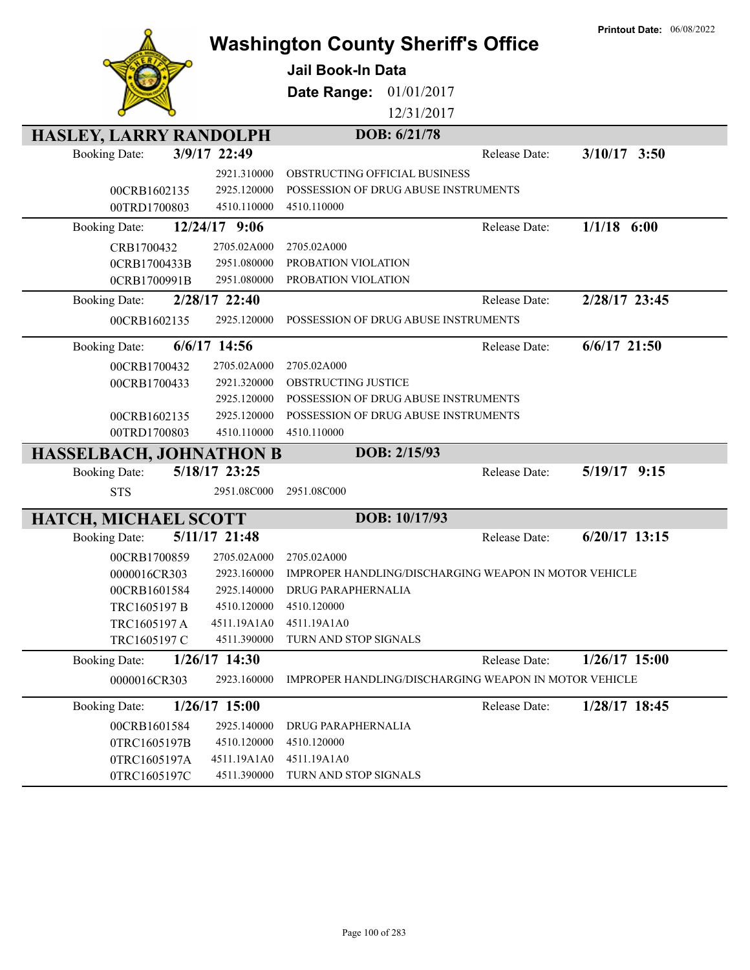|                                |                 | <b>Washington County Sheriff's Office</b>                         |               | <b>Printout Date: 06/08/2022</b> |
|--------------------------------|-----------------|-------------------------------------------------------------------|---------------|----------------------------------|
|                                |                 | <b>Jail Book-In Data</b>                                          |               |                                  |
|                                |                 | Date Range:<br>01/01/2017                                         |               |                                  |
|                                |                 | 12/31/2017                                                        |               |                                  |
|                                |                 |                                                                   |               |                                  |
| <b>HASLEY, LARRY RANDOLPH</b>  |                 | DOB: 6/21/78                                                      |               |                                  |
| <b>Booking Date:</b>           | 3/9/17 22:49    |                                                                   | Release Date: | $3/10/17$ 3:50                   |
|                                | 2921.310000     | OBSTRUCTING OFFICIAL BUSINESS                                     |               |                                  |
| 00CRB1602135                   | 2925.120000     | POSSESSION OF DRUG ABUSE INSTRUMENTS                              |               |                                  |
| 00TRD1700803                   | 4510.110000     | 4510.110000                                                       |               |                                  |
| <b>Booking Date:</b>           | 12/24/17 9:06   |                                                                   | Release Date: | $1/1/18$ 6:00                    |
| CRB1700432                     | 2705.02A000     | 2705.02A000                                                       |               |                                  |
| 0CRB1700433B                   | 2951.080000     | PROBATION VIOLATION                                               |               |                                  |
| 0CRB1700991B                   | 2951.080000     | PROBATION VIOLATION                                               |               |                                  |
| <b>Booking Date:</b>           | 2/28/17 22:40   |                                                                   | Release Date: | 2/28/17 23:45                    |
| 00CRB1602135                   | 2925.120000     | POSSESSION OF DRUG ABUSE INSTRUMENTS                              |               |                                  |
| <b>Booking Date:</b>           | $6/6/17$ 14:56  |                                                                   | Release Date: | $6/6/17$ 21:50                   |
| 00CRB1700432                   | 2705.02A000     | 2705.02A000                                                       |               |                                  |
| 00CRB1700433                   | 2921.320000     | OBSTRUCTING JUSTICE                                               |               |                                  |
|                                | 2925.120000     | POSSESSION OF DRUG ABUSE INSTRUMENTS                              |               |                                  |
| 00CRB1602135                   | 2925.120000     | POSSESSION OF DRUG ABUSE INSTRUMENTS                              |               |                                  |
| 00TRD1700803                   | 4510.110000     | 4510.110000                                                       |               |                                  |
| <b>HASSELBACH, JOHNATHON B</b> |                 | DOB: 2/15/93                                                      |               |                                  |
| <b>Booking Date:</b>           | 5/18/17 23:25   |                                                                   | Release Date: | 5/19/17 9:15                     |
| <b>STS</b>                     | 2951.08C000     | 2951.08C000                                                       |               |                                  |
| <b>HATCH, MICHAEL SCOTT</b>    |                 | DOB: 10/17/93                                                     |               |                                  |
| <b>Booking Date:</b>           | 5/11/17 21:48   |                                                                   | Release Date: | $6/20/17$ 13:15                  |
| 00CRB1700859                   | 2705.02A000     | 2705.02A000                                                       |               |                                  |
| 0000016CR303                   |                 | 2923.160000 IMPROPER HANDLING/DISCHARGING WEAPON IN MOTOR VEHICLE |               |                                  |
| 00CRB1601584                   | 2925.140000     | DRUG PARAPHERNALIA                                                |               |                                  |
| TRC1605197 B                   | 4510.120000     | 4510.120000                                                       |               |                                  |
| TRC1605197 A                   | 4511.19A1A0     | 4511.19A1A0                                                       |               |                                  |
| TRC1605197 C                   | 4511.390000     | TURN AND STOP SIGNALS                                             |               |                                  |
| <b>Booking Date:</b>           | $1/26/17$ 14:30 |                                                                   | Release Date: | $1/26/17$ 15:00                  |
| 0000016CR303                   | 2923.160000     | IMPROPER HANDLING/DISCHARGING WEAPON IN MOTOR VEHICLE             |               |                                  |
| <b>Booking Date:</b>           | $1/26/17$ 15:00 |                                                                   | Release Date: | $1/28/17$ 18:45                  |
| 00CRB1601584                   | 2925.140000     | DRUG PARAPHERNALIA                                                |               |                                  |
| 0TRC1605197B                   | 4510.120000     | 4510.120000                                                       |               |                                  |
| 0TRC1605197A                   | 4511.19A1A0     | 4511.19A1A0                                                       |               |                                  |
| 0TRC1605197C                   | 4511.390000     | TURN AND STOP SIGNALS                                             |               |                                  |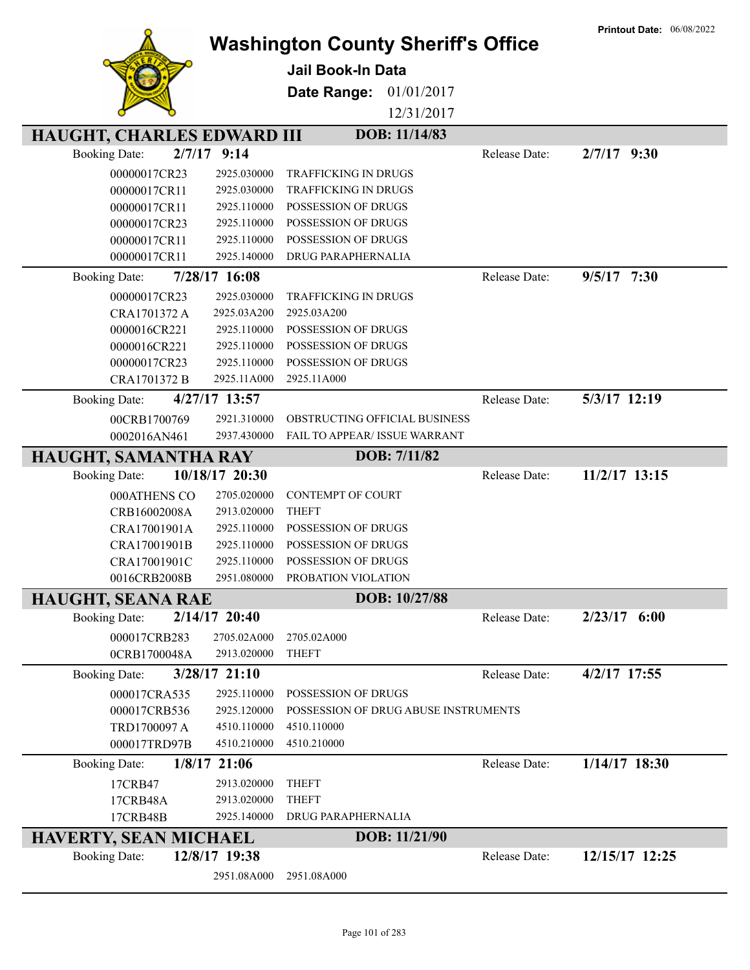|                                   |                 |                                           |               | <b>Printout Date: 06/08/2022</b> |
|-----------------------------------|-----------------|-------------------------------------------|---------------|----------------------------------|
|                                   |                 | <b>Washington County Sheriff's Office</b> |               |                                  |
|                                   |                 | <b>Jail Book-In Data</b>                  |               |                                  |
|                                   |                 |                                           |               |                                  |
|                                   |                 | Date Range:<br>01/01/2017                 |               |                                  |
|                                   |                 | 12/31/2017                                |               |                                  |
|                                   |                 | DOB: 11/14/83                             |               |                                  |
| <b>HAUGHT, CHARLES EDWARD III</b> |                 |                                           |               |                                  |
| 2/7/17<br><b>Booking Date:</b>    | 9:14            |                                           | Release Date: | $2/7/17$ 9:30                    |
| 00000017CR23                      | 2925.030000     | <b>TRAFFICKING IN DRUGS</b>               |               |                                  |
| 00000017CR11                      | 2925.030000     | <b>TRAFFICKING IN DRUGS</b>               |               |                                  |
| 00000017CR11                      | 2925.110000     | POSSESSION OF DRUGS                       |               |                                  |
| 00000017CR23                      | 2925.110000     | POSSESSION OF DRUGS                       |               |                                  |
| 00000017CR11                      | 2925.110000     | POSSESSION OF DRUGS                       |               |                                  |
| 00000017CR11                      | 2925.140000     | DRUG PARAPHERNALIA                        |               |                                  |
| <b>Booking Date:</b>              | 7/28/17 16:08   |                                           | Release Date: | $9/5/17$ 7:30                    |
| 00000017CR23                      | 2925.030000     | <b>TRAFFICKING IN DRUGS</b>               |               |                                  |
| CRA1701372 A                      | 2925.03A200     | 2925.03A200                               |               |                                  |
| 0000016CR221                      | 2925.110000     | POSSESSION OF DRUGS                       |               |                                  |
| 0000016CR221                      | 2925.110000     | POSSESSION OF DRUGS                       |               |                                  |
| 00000017CR23                      | 2925.110000     | POSSESSION OF DRUGS                       |               |                                  |
| CRA1701372 B                      | 2925.11A000     | 2925.11A000                               |               |                                  |
| <b>Booking Date:</b>              | 4/27/17 13:57   |                                           | Release Date: | 5/3/17 12:19                     |
|                                   | 2921.310000     | OBSTRUCTING OFFICIAL BUSINESS             |               |                                  |
| 00CRB1700769                      |                 |                                           |               |                                  |
| 0002016AN461                      | 2937.430000     | FAIL TO APPEAR/ ISSUE WARRANT             |               |                                  |
| HAUGHT, SAMANTHA RAY              |                 | DOB: 7/11/82                              |               |                                  |
| <b>Booking Date:</b>              | 10/18/17 20:30  |                                           | Release Date: | 11/2/17 13:15                    |
| 000ATHENS CO                      | 2705.020000     | CONTEMPT OF COURT                         |               |                                  |
| CRB16002008A                      | 2913.020000     | <b>THEFT</b>                              |               |                                  |
| CRA17001901A                      | 2925.110000     | POSSESSION OF DRUGS                       |               |                                  |
| CRA17001901B                      | 2925.110000     | POSSESSION OF DRUGS                       |               |                                  |
| CRA17001901C                      | 2925.110000     | POSSESSION OF DRUGS                       |               |                                  |
| 0016CRB2008B                      | 2951.080000     | PROBATION VIOLATION                       |               |                                  |
| <b>HAUGHT, SEANA RAE</b>          |                 | DOB: 10/27/88                             |               |                                  |
| <b>Booking Date:</b>              | $2/14/17$ 20:40 |                                           | Release Date: | $2/23/17$ 6:00                   |
| 000017CRB283                      | 2705.02A000     | 2705.02A000                               |               |                                  |
| 0CRB1700048A                      | 2913.020000     | <b>THEFT</b>                              |               |                                  |
|                                   |                 |                                           |               |                                  |
| <b>Booking Date:</b>              | $3/28/17$ 21:10 |                                           | Release Date: | 4/2/17 17:55                     |
| 000017CRA535                      | 2925.110000     | POSSESSION OF DRUGS                       |               |                                  |
| 000017CRB536                      | 2925.120000     | POSSESSION OF DRUG ABUSE INSTRUMENTS      |               |                                  |
| TRD1700097 A                      | 4510.110000     | 4510.110000                               |               |                                  |
| 000017TRD97B                      | 4510.210000     | 4510.210000                               |               |                                  |
| <b>Booking Date:</b>              | $1/8/17$ 21:06  |                                           | Release Date: | $1/14/17$ 18:30                  |
| 17CRB47                           | 2913.020000     | <b>THEFT</b>                              |               |                                  |
| 17CRB48A                          | 2913.020000     | <b>THEFT</b>                              |               |                                  |
| 17CRB48B                          | 2925.140000     | DRUG PARAPHERNALIA                        |               |                                  |
| <b>HAVERTY, SEAN MICHAEL</b>      |                 | DOB: 11/21/90                             |               |                                  |
| <b>Booking Date:</b>              | 12/8/17 19:38   |                                           | Release Date: | 12/15/17 12:25                   |
|                                   | 2951.08A000     | 2951.08A000                               |               |                                  |
|                                   |                 |                                           |               |                                  |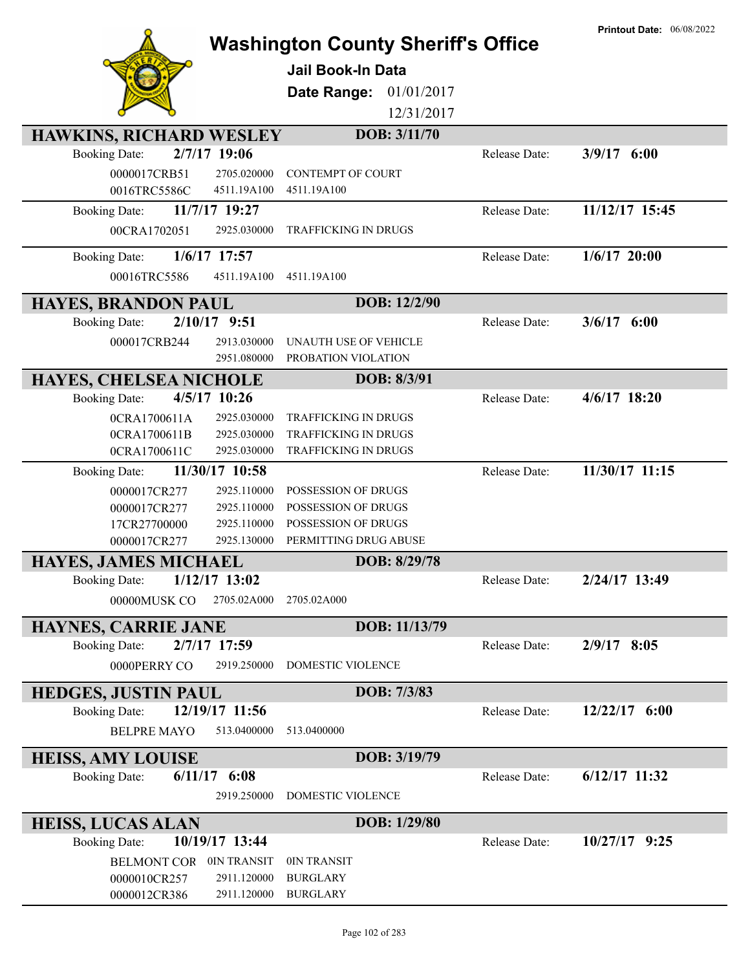| <b>HAWKINS, RICHARD WESLEY</b><br>2/7/17 19:06<br><b>Booking Date:</b><br>0000017CRB51<br>2705.020000<br>0016TRC5586C<br>4511.19A100<br>11/7/17 19:27<br><b>Booking Date:</b> | <b>Washington County Sheriff's Office</b><br><b>Jail Book-In Data</b><br>01/01/2017<br>Date Range:<br>12/31/2017<br>DOB: 3/11/70<br><b>CONTEMPT OF COURT</b><br>4511.19A100 | Release Date:<br>Release Date: | <b>Printout Date: 06/08/2022</b><br>$3/9/17$ 6:00<br>11/12/17 15:45 |
|-------------------------------------------------------------------------------------------------------------------------------------------------------------------------------|-----------------------------------------------------------------------------------------------------------------------------------------------------------------------------|--------------------------------|---------------------------------------------------------------------|
| 00CRA1702051<br>2925.030000                                                                                                                                                   | <b>TRAFFICKING IN DRUGS</b>                                                                                                                                                 |                                |                                                                     |
| 1/6/17 17:57<br><b>Booking Date:</b><br>00016TRC5586<br>4511.19A100                                                                                                           | 4511.19A100                                                                                                                                                                 | Release Date:                  | $1/6/17$ 20:00                                                      |
| HAYES, BRANDON PAUL                                                                                                                                                           | DOB: 12/2/90                                                                                                                                                                |                                |                                                                     |
| $2/10/17$ 9:51<br><b>Booking Date:</b><br>2913.030000<br>000017CRB244<br>2951.080000                                                                                          | <b>UNAUTH USE OF VEHICLE</b><br>PROBATION VIOLATION                                                                                                                         | Release Date:                  | 3/6/17<br>6:00                                                      |
| <b>HAYES, CHELSEA NICHOLE</b>                                                                                                                                                 | DOB: 8/3/91                                                                                                                                                                 |                                |                                                                     |
| 4/5/17 10:26<br><b>Booking Date:</b><br>0CRA1700611A<br>2925.030000<br>2925.030000<br>0CRA1700611B<br>2925.030000<br>0CRA1700611C                                             | TRAFFICKING IN DRUGS<br>TRAFFICKING IN DRUGS<br>TRAFFICKING IN DRUGS                                                                                                        | Release Date:                  | $4/6/17$ 18:20                                                      |
| 11/30/17 10:58<br><b>Booking Date:</b><br>0000017CR277<br>2925.110000<br>0000017CR277<br>2925.110000<br>17CR27700000<br>2925.110000<br>0000017CR277<br>2925.130000            | POSSESSION OF DRUGS<br>POSSESSION OF DRUGS<br>POSSESSION OF DRUGS<br>PERMITTING DRUG ABUSE                                                                                  | Release Date:                  | 11/30/17 11:15                                                      |
| <b>HAYES, JAMES MICHAEL</b>                                                                                                                                                   | DOB: 8/29/78                                                                                                                                                                |                                |                                                                     |
| <b>Booking Date:</b><br>$1/12/17$ 13:02<br>00000MUSK CO<br>2705.02A000                                                                                                        | 2705.02A000                                                                                                                                                                 | Release Date:                  | 2/24/17 13:49                                                       |
| HAYNES, CARRIE JANE                                                                                                                                                           | DOB: 11/13/79                                                                                                                                                               |                                |                                                                     |
| 2/7/17 17:59<br><b>Booking Date:</b><br>0000PERRY CO<br>2919.250000                                                                                                           | DOMESTIC VIOLENCE                                                                                                                                                           | Release Date:                  | $2/9/17$ 8:05                                                       |
| <b>HEDGES, JUSTIN PAUL</b>                                                                                                                                                    | DOB: 7/3/83                                                                                                                                                                 |                                |                                                                     |
| 12/19/17 11:56<br><b>Booking Date:</b><br><b>BELPRE MAYO</b><br>513.0400000                                                                                                   | 513.0400000                                                                                                                                                                 | Release Date:                  | $12/22/17$ 6:00                                                     |
| <b>HEISS, AMY LOUISE</b>                                                                                                                                                      | DOB: 3/19/79                                                                                                                                                                |                                |                                                                     |
| $6/11/17$ $6:08$<br><b>Booking Date:</b><br>2919.250000                                                                                                                       | DOMESTIC VIOLENCE                                                                                                                                                           | Release Date:                  | $6/12/17$ 11:32                                                     |
| <b>HEISS, LUCAS ALAN</b>                                                                                                                                                      | DOB: 1/29/80                                                                                                                                                                |                                |                                                                     |
| 10/19/17 13:44<br><b>Booking Date:</b><br>BELMONT COR OIN TRANSIT<br>0000010CR257<br>2911.120000<br>2911.120000<br>0000012CR386                                               | 0IN TRANSIT<br><b>BURGLARY</b><br><b>BURGLARY</b>                                                                                                                           | Release Date:                  | $10/27/17$ 9:25                                                     |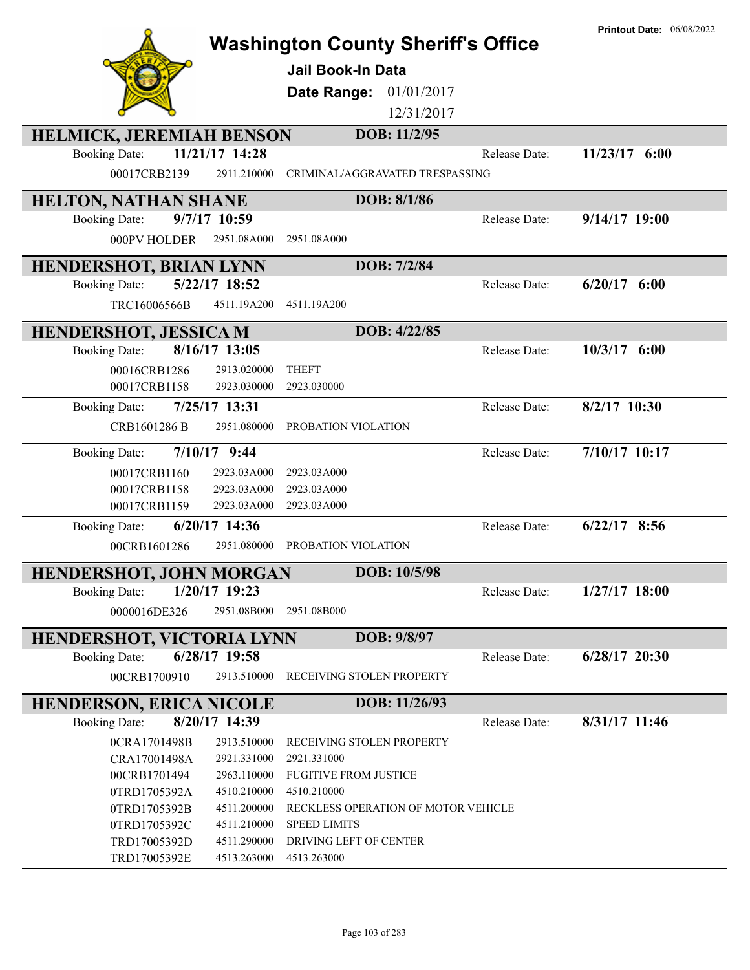|                                                            |                                               | <b>Printout Date: 06/08/2022</b>  |
|------------------------------------------------------------|-----------------------------------------------|-----------------------------------|
|                                                            | <b>Washington County Sheriff's Office</b>     |                                   |
|                                                            | <b>Jail Book-In Data</b>                      |                                   |
|                                                            | Date Range: 01/01/2017                        |                                   |
|                                                            | 12/31/2017                                    |                                   |
| <b>HELMICK, JEREMIAH BENSON</b>                            | DOB: 11/2/95                                  |                                   |
| 11/21/17 14:28<br><b>Booking Date:</b>                     |                                               | 11/23/17 6:00<br>Release Date:    |
| 00017CRB2139<br>2911.210000                                | CRIMINAL/AGGRAVATED TRESPASSING               |                                   |
| <b>HELTON, NATHAN SHANE</b>                                | DOB: 8/1/86                                   |                                   |
| 9/7/17 10:59<br><b>Booking Date:</b>                       |                                               | $9/14/17$ 19:00<br>Release Date:  |
| 000PV HOLDER<br>2951.08A000                                | 2951.08A000                                   |                                   |
| <b>HENDERSHOT, BRIAN LYNN</b>                              | DOB: 7/2/84                                   |                                   |
| 5/22/17 18:52<br><b>Booking Date:</b>                      |                                               | Release Date:<br>$6/20/17$ $6:00$ |
| TRC16006566B<br>4511.19A200                                | 4511.19A200                                   |                                   |
| <b>HENDERSHOT, JESSICA M</b>                               | DOB: 4/22/85                                  |                                   |
| 8/16/17 13:05<br><b>Booking Date:</b>                      |                                               | $10/3/17$ 6:00<br>Release Date:   |
| 00016CRB1286<br>2913.020000                                | <b>THEFT</b>                                  |                                   |
| 2923.030000<br>00017CRB1158                                | 2923.030000                                   |                                   |
| 7/25/17 13:31<br><b>Booking Date:</b>                      |                                               | 8/2/17 10:30<br>Release Date:     |
| 2951.080000<br>CRB1601286 B                                | PROBATION VIOLATION                           |                                   |
| $7/10/17$ 9:44<br><b>Booking Date:</b>                     |                                               | 7/10/17 10:17<br>Release Date:    |
| 00017CRB1160<br>2923.03A000                                | 2923.03A000                                   |                                   |
| 00017CRB1158<br>2923.03A000                                | 2923.03A000                                   |                                   |
| 00017CRB1159<br>2923.03A000                                | 2923.03A000                                   |                                   |
| 6/20/17 14:36<br><b>Booking Date:</b>                      |                                               | $6/22/17$ 8:56<br>Release Date:   |
| 00CRB1601286<br>2951.080000                                | PROBATION VIOLATION                           |                                   |
| <b>HENDERSHOT, JOHN MORGAN</b>                             | DOB: 10/5/98                                  |                                   |
| 1/20/17 19:23<br><b>Booking Date:</b>                      |                                               | $1/27/17$ 18:00<br>Release Date:  |
| 0000016DE326<br>2951.08B000                                | 2951.08B000                                   |                                   |
| <b>HENDERSHOT, VICTORIA LYNN</b>                           | DOB: 9/8/97                                   |                                   |
| 6/28/17 19:58<br><b>Booking Date:</b>                      |                                               | $6/28/17$ 20:30<br>Release Date:  |
| 2913.510000<br>00CRB1700910                                | RECEIVING STOLEN PROPERTY                     |                                   |
| <b>HENDERSON, ERICA NICOLE</b>                             | DOB: 11/26/93                                 |                                   |
| 8/20/17 14:39<br><b>Booking Date:</b>                      |                                               | 8/31/17 11:46<br>Release Date:    |
| 0CRA1701498B<br>2913.510000                                | RECEIVING STOLEN PROPERTY                     |                                   |
| CRA17001498A<br>2921.331000                                | 2921.331000                                   |                                   |
| 00CRB1701494<br>2963.110000                                | <b>FUGITIVE FROM JUSTICE</b>                  |                                   |
| 0TRD1705392A<br>4510.210000                                | 4510.210000                                   |                                   |
| 0TRD1705392B<br>4511.200000                                | RECKLESS OPERATION OF MOTOR VEHICLE           |                                   |
| 0TRD1705392C<br>4511.210000<br>TRD17005392D<br>4511.290000 | <b>SPEED LIMITS</b><br>DRIVING LEFT OF CENTER |                                   |
| TRD17005392E<br>4513.263000                                | 4513.263000                                   |                                   |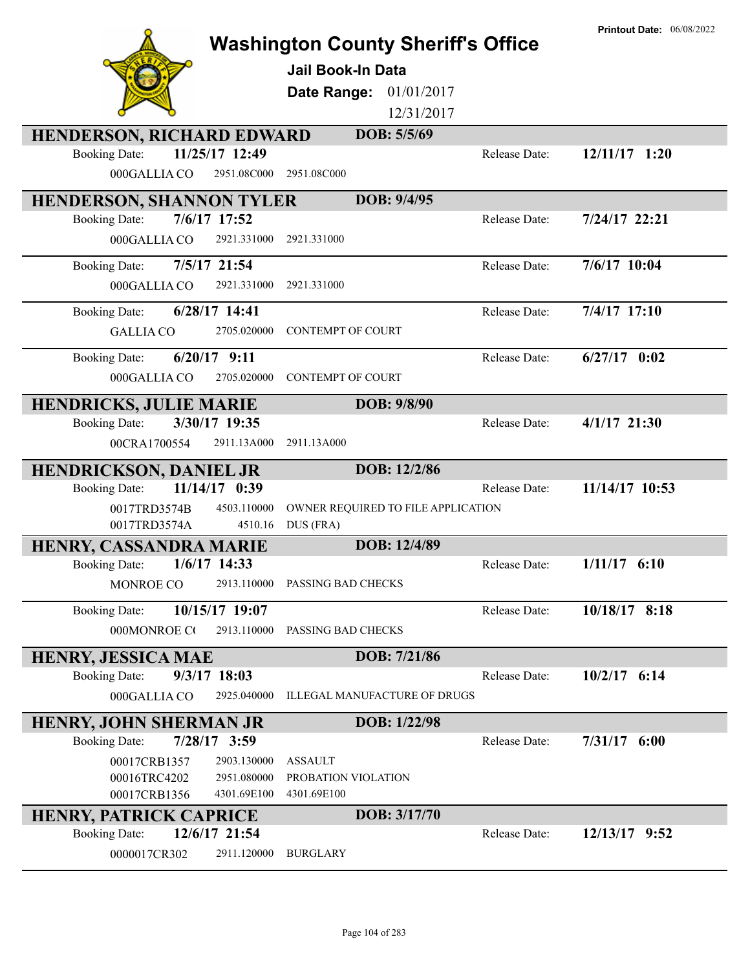|                                                                            | <b>Jail Book-In Data</b>                           | <b>Washington County Sheriff's Office</b> | <b>Printout Date: 06/08/2022</b> |
|----------------------------------------------------------------------------|----------------------------------------------------|-------------------------------------------|----------------------------------|
|                                                                            | Date Range: 01/01/2017                             |                                           |                                  |
|                                                                            |                                                    | 12/31/2017                                |                                  |
| <b>HENDERSON, RICHARD EDWARD</b><br>11/25/17 12:49<br><b>Booking Date:</b> |                                                    | DOB: 5/5/69<br>Release Date:              | 12/11/17 1:20                    |
| 000GALLIA CO                                                               | 2951.08C000<br>2951.08C000                         |                                           |                                  |
|                                                                            |                                                    |                                           |                                  |
| <b>HENDERSON, SHANNON TYLER</b>                                            |                                                    | DOB: 9/4/95                               |                                  |
| 7/6/17 17:52<br><b>Booking Date:</b>                                       |                                                    | Release Date:                             | 7/24/17 22:21                    |
| 000GALLIA CO                                                               | 2921.331000<br>2921.331000                         |                                           |                                  |
| 7/5/17 21:54<br><b>Booking Date:</b>                                       |                                                    | Release Date:                             | 7/6/17 10:04                     |
| 000GALLIA CO                                                               | 2921.331000<br>2921.331000                         |                                           |                                  |
| 6/28/17 14:41<br><b>Booking Date:</b>                                      |                                                    | Release Date:                             | $7/4/17$ 17:10                   |
| <b>GALLIA CO</b>                                                           | <b>CONTEMPT OF COURT</b><br>2705.020000            |                                           |                                  |
| $6/20/17$ 9:11<br><b>Booking Date:</b>                                     |                                                    | Release Date:                             | $6/27/17$ 0:02                   |
| 000GALLIA CO                                                               | 2705.020000<br><b>CONTEMPT OF COURT</b>            |                                           |                                  |
| <b>HENDRICKS, JULIE MARIE</b>                                              |                                                    | DOB: 9/8/90                               |                                  |
| 3/30/17 19:35<br><b>Booking Date:</b>                                      |                                                    | Release Date:                             | $4/1/17$ 21:30                   |
| 00CRA1700554                                                               | 2911.13A000<br>2911.13A000                         |                                           |                                  |
| <b>HENDRICKSON, DANIEL JR</b>                                              |                                                    | DOB: 12/2/86                              |                                  |
| 11/14/17 0:39<br><b>Booking Date:</b>                                      |                                                    | Release Date:                             | 11/14/17 10:53                   |
| 0017TRD3574B                                                               | 4503.110000                                        | OWNER REQUIRED TO FILE APPLICATION        |                                  |
| 0017TRD3574A                                                               | 4510.16<br>DUS (FRA)                               |                                           |                                  |
| HENRY, CASSANDRA MARIE                                                     |                                                    | DOB: 12/4/89                              |                                  |
| $1/6/17$ 14:33<br><b>Booking Date:</b>                                     |                                                    | Release Date:                             | $1/11/17$ 6:10                   |
| MONROE CO                                                                  | 2913.110000<br>PASSING BAD CHECKS                  |                                           |                                  |
| 10/15/17 19:07<br><b>Booking Date:</b>                                     |                                                    | Release Date:                             | 10/18/17 8:18                    |
| 000MONROE CO                                                               | 2913.110000<br>PASSING BAD CHECKS                  |                                           |                                  |
| <b>HENRY, JESSICA MAE</b>                                                  |                                                    | DOB: 7/21/86                              |                                  |
| <b>Booking Date:</b><br>$9/3/17$ 18:03                                     |                                                    | Release Date:                             | $10/2/17$ 6:14                   |
| 000GALLIA CO                                                               | 2925.040000<br><b>ILLEGAL MANUFACTURE OF DRUGS</b> |                                           |                                  |
| HENRY, JOHN SHERMAN JR                                                     |                                                    | DOB: 1/22/98                              |                                  |
| $7/28/17$ 3:59<br><b>Booking Date:</b>                                     |                                                    | Release Date:                             | $7/31/17$ 6:00                   |
| 00017CRB1357                                                               | 2903.130000<br><b>ASSAULT</b>                      |                                           |                                  |
| 00016TRC4202                                                               | PROBATION VIOLATION<br>2951.080000                 |                                           |                                  |
| 00017CRB1356                                                               | 4301.69E100<br>4301.69E100                         | DOB: 3/17/70                              |                                  |
| HENRY, PATRICK CAPRICE<br>12/6/17 21:54<br><b>Booking Date:</b>            |                                                    | Release Date:                             | 12/13/17 9:52                    |
| 0000017CR302                                                               | 2911.120000<br><b>BURGLARY</b>                     |                                           |                                  |
|                                                                            |                                                    |                                           |                                  |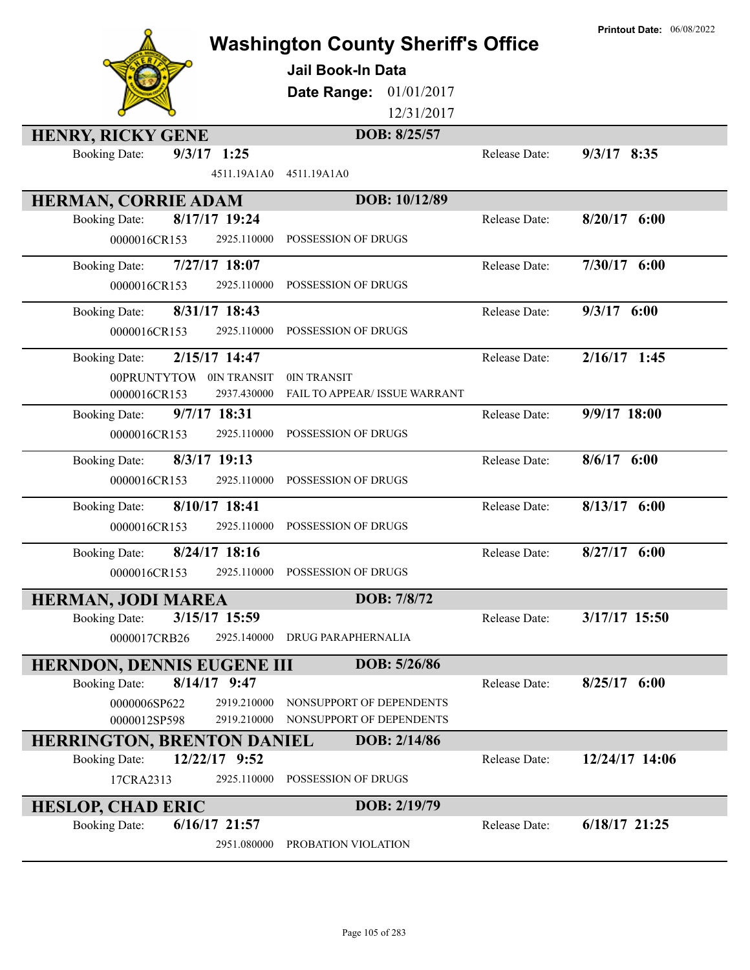|                                                            | <b>Washington County Sheriff's Office</b><br><b>Jail Book-In Data</b><br>Date Range:<br>01/01/2017<br>12/31/2017 |               | <b>Printout Date: 06/08/2022</b> |
|------------------------------------------------------------|------------------------------------------------------------------------------------------------------------------|---------------|----------------------------------|
| <b>HENRY, RICKY GENE</b>                                   | DOB: 8/25/57                                                                                                     |               |                                  |
| $9/3/17$ 1:25<br><b>Booking Date:</b><br>4511.19A1A0       | 4511.19A1A0                                                                                                      | Release Date: | $9/3/17$ 8:35                    |
| HERMAN, CORRIE ADAM                                        | DOB: 10/12/89                                                                                                    |               |                                  |
| 8/17/17 19:24<br><b>Booking Date:</b>                      |                                                                                                                  | Release Date: | $8/20/17$ 6:00                   |
| 2925.110000<br>0000016CR153                                | POSSESSION OF DRUGS                                                                                              |               |                                  |
| 7/27/17 18:07<br><b>Booking Date:</b>                      |                                                                                                                  | Release Date: | $7/30/17$ 6:00                   |
| 0000016CR153<br>2925.110000                                | POSSESSION OF DRUGS                                                                                              |               |                                  |
| 8/31/17 18:43<br><b>Booking Date:</b>                      |                                                                                                                  | Release Date: | $9/3/17$ 6:00                    |
| 0000016CR153<br>2925.110000                                | POSSESSION OF DRUGS                                                                                              |               |                                  |
| 2/15/17 14:47<br><b>Booking Date:</b>                      |                                                                                                                  | Release Date: | $2/16/17$ 1:45                   |
| 00PRUNTYTOW 0IN TRANSIT                                    | 0IN TRANSIT                                                                                                      |               |                                  |
| 2937.430000<br>0000016CR153                                | FAIL TO APPEAR/ ISSUE WARRANT                                                                                    |               |                                  |
| 9/7/17 18:31<br><b>Booking Date:</b>                       |                                                                                                                  | Release Date: | 9/9/17 18:00                     |
| 0000016CR153<br>2925.110000                                | POSSESSION OF DRUGS                                                                                              |               |                                  |
| $8/3/17$ 19:13<br><b>Booking Date:</b>                     |                                                                                                                  | Release Date: | $8/6/17$ 6:00                    |
| 0000016CR153<br>2925.110000                                | POSSESSION OF DRUGS                                                                                              |               |                                  |
| 8/10/17 18:41<br><b>Booking Date:</b>                      |                                                                                                                  | Release Date: | $8/13/17$ 6:00                   |
| 0000016CR153<br>2925.110000                                | POSSESSION OF DRUGS                                                                                              |               |                                  |
| 8/24/17 18:16<br><b>Booking Date:</b>                      |                                                                                                                  | Release Date: | $8/27/17$ 6:00                   |
| 0000016CR153                                               | 2925.110000 POSSESSION OF DRUGS                                                                                  |               |                                  |
| <b>HERMAN, JODI MAREA</b>                                  | DOB: 7/8/72                                                                                                      |               |                                  |
| 3/15/17 15:59<br><b>Booking Date:</b>                      |                                                                                                                  | Release Date: | 3/17/17 15:50                    |
| 0000017CRB26<br>2925.140000                                | DRUG PARAPHERNALIA                                                                                               |               |                                  |
| HERNDON, DENNIS EUGENE III                                 | DOB: 5/26/86                                                                                                     |               |                                  |
| $8/14/17$ 9:47<br><b>Booking Date:</b>                     |                                                                                                                  | Release Date: | $8/25/17$ 6:00                   |
| 0000006SP622<br>2919.210000<br>0000012SP598<br>2919.210000 | NONSUPPORT OF DEPENDENTS<br>NONSUPPORT OF DEPENDENTS                                                             |               |                                  |
| <b>HERRINGTON, BRENTON DANIEL</b>                          | DOB: 2/14/86                                                                                                     |               |                                  |
| 12/22/17 9:52<br><b>Booking Date:</b>                      |                                                                                                                  | Release Date: | 12/24/17 14:06                   |
| 17CRA2313<br>2925.110000                                   | POSSESSION OF DRUGS                                                                                              |               |                                  |
| <b>HESLOP, CHAD ERIC</b>                                   | DOB: 2/19/79                                                                                                     |               |                                  |
| $6/16/17$ 21:57<br><b>Booking Date:</b>                    |                                                                                                                  | Release Date: | $6/18/17$ 21:25                  |
| 2951.080000                                                | PROBATION VIOLATION                                                                                              |               |                                  |
|                                                            |                                                                                                                  |               |                                  |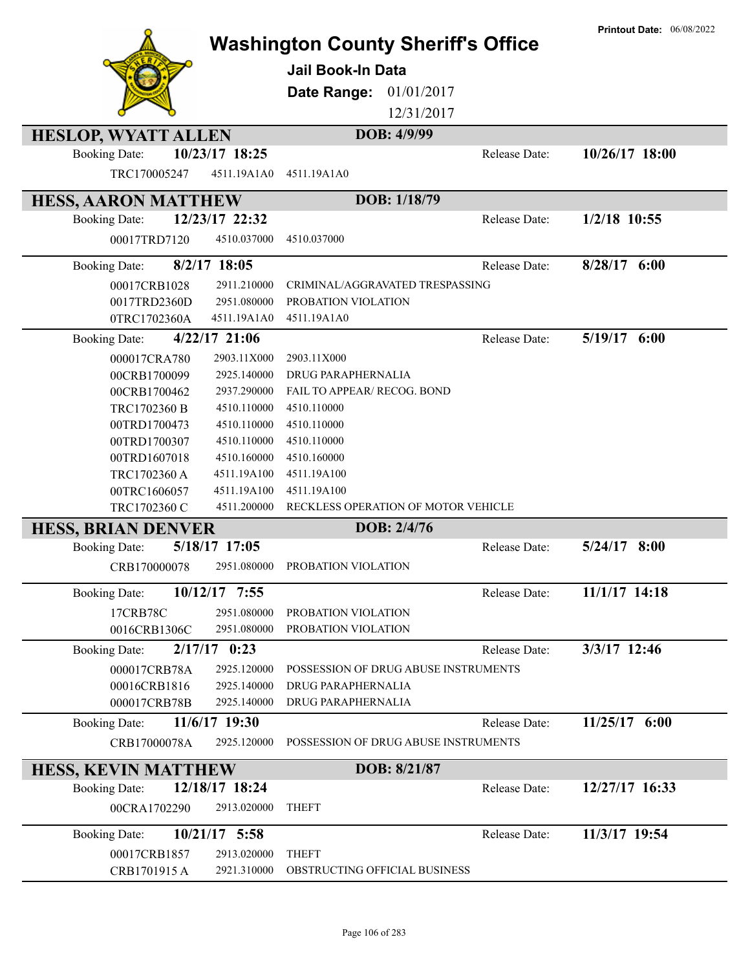|                                 |                 | <b>Washington County Sheriff's Office</b><br>Jail Book-In Data<br>Date Range:<br>01/01/2017<br>12/31/2017 |               | <b>Printout Date: 06/08/2022</b> |
|---------------------------------|-----------------|-----------------------------------------------------------------------------------------------------------|---------------|----------------------------------|
| <b>HESLOP, WYATT ALLEN</b>      |                 | DOB: 4/9/99                                                                                               |               |                                  |
| <b>Booking Date:</b>            | 10/23/17 18:25  |                                                                                                           | Release Date: | 10/26/17 18:00                   |
| TRC170005247                    | 4511.19A1A0     | 4511.19A1A0                                                                                               |               |                                  |
| <b>HESS, AARON MATTHEW</b>      |                 | DOB: 1/18/79                                                                                              |               |                                  |
| <b>Booking Date:</b>            | 12/23/17 22:32  |                                                                                                           | Release Date: | $1/2/18$ 10:55                   |
| 00017TRD7120                    | 4510.037000     | 4510.037000                                                                                               |               |                                  |
| <b>Booking Date:</b>            | $8/2/17$ 18:05  |                                                                                                           | Release Date: | $8/28/17$ 6:00                   |
| 00017CRB1028                    | 2911.210000     | CRIMINAL/AGGRAVATED TRESPASSING                                                                           |               |                                  |
| 0017TRD2360D                    | 2951.080000     | PROBATION VIOLATION                                                                                       |               |                                  |
| 0TRC1702360A                    | 4511.19A1A0     | 4511.19A1A0                                                                                               |               |                                  |
| <b>Booking Date:</b>            | $4/22/17$ 21:06 |                                                                                                           | Release Date: | $5/19/17$ 6:00                   |
| 000017CRA780                    | 2903.11X000     | 2903.11X000                                                                                               |               |                                  |
| 00CRB1700099                    | 2925.140000     | DRUG PARAPHERNALIA                                                                                        |               |                                  |
| 00CRB1700462                    | 2937.290000     | FAIL TO APPEAR/ RECOG. BOND                                                                               |               |                                  |
| TRC1702360 B                    | 4510.110000     | 4510.110000                                                                                               |               |                                  |
| 00TRD1700473                    | 4510.110000     | 4510.110000                                                                                               |               |                                  |
| 00TRD1700307                    | 4510.110000     | 4510.110000                                                                                               |               |                                  |
| 00TRD1607018                    | 4510.160000     | 4510.160000                                                                                               |               |                                  |
| TRC1702360 A                    | 4511.19A100     | 4511.19A100                                                                                               |               |                                  |
| 00TRC1606057                    | 4511.19A100     | 4511.19A100                                                                                               |               |                                  |
| TRC1702360 C                    | 4511.200000     | RECKLESS OPERATION OF MOTOR VEHICLE                                                                       |               |                                  |
| <b>HESS, BRIAN DENVER</b>       |                 | DOB: 2/4/76                                                                                               |               |                                  |
| <b>Booking Date:</b>            | 5/18/17 17:05   |                                                                                                           | Release Date: | $5/24/17$ 8:00                   |
| CRB170000078                    | 2951.080000     | PROBATION VIOLATION                                                                                       |               |                                  |
| <b>Booking Date:</b>            | 10/12/17 7:55   |                                                                                                           | Release Date: | 11/1/17 14:18                    |
| 17CRB78C                        | 2951.080000     | PROBATION VIOLATION                                                                                       |               |                                  |
| 0016CRB1306C                    | 2951.080000     | PROBATION VIOLATION                                                                                       |               |                                  |
| 2/17/17<br><b>Booking Date:</b> | 0:23            |                                                                                                           | Release Date: | 3/3/17 12:46                     |
| 000017CRB78A                    | 2925.120000     | POSSESSION OF DRUG ABUSE INSTRUMENTS                                                                      |               |                                  |
| 00016CRB1816                    | 2925.140000     | DRUG PARAPHERNALIA                                                                                        |               |                                  |
| 000017CRB78B                    | 2925.140000     | DRUG PARAPHERNALIA                                                                                        |               |                                  |
| <b>Booking Date:</b>            | 11/6/17 19:30   |                                                                                                           | Release Date: | 11/25/17 6:00                    |
| CRB17000078A                    | 2925.120000     | POSSESSION OF DRUG ABUSE INSTRUMENTS                                                                      |               |                                  |
| <b>HESS, KEVIN MATTHEW</b>      |                 | DOB: 8/21/87                                                                                              |               |                                  |
| <b>Booking Date:</b>            | 12/18/17 18:24  |                                                                                                           | Release Date: | 12/27/17 16:33                   |
| 00CRA1702290                    | 2913.020000     | <b>THEFT</b>                                                                                              |               |                                  |
| <b>Booking Date:</b>            | $10/21/17$ 5:58 |                                                                                                           | Release Date: | 11/3/17 19:54                    |
| 00017CRB1857                    | 2913.020000     | <b>THEFT</b>                                                                                              |               |                                  |
| CRB1701915 A                    | 2921.310000     | OBSTRUCTING OFFICIAL BUSINESS                                                                             |               |                                  |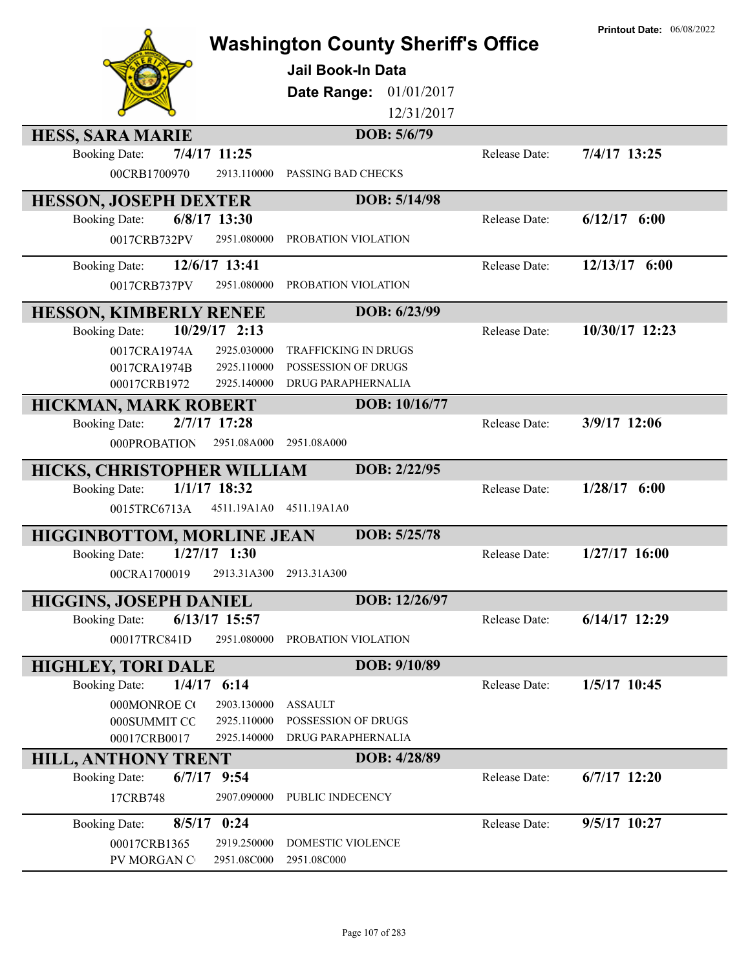|                                                       |                 | <b>Washington County Sheriff's Office</b><br>Jail Book-In Data<br>01/01/2017<br>Date Range:<br>12/31/2017 |               | <b>Printout Date: 06/08/2022</b> |
|-------------------------------------------------------|-----------------|-----------------------------------------------------------------------------------------------------------|---------------|----------------------------------|
| <b>HESS, SARA MARIE</b>                               |                 | DOB: 5/6/79                                                                                               |               |                                  |
| <b>Booking Date:</b><br>7/4/17 11:25<br>00CRB1700970  | 2913.110000     | PASSING BAD CHECKS                                                                                        | Release Date: | 7/4/17 13:25                     |
| <b>HESSON, JOSEPH DEXTER</b>                          |                 | DOB: 5/14/98                                                                                              |               |                                  |
| 6/8/17 13:30<br><b>Booking Date:</b>                  |                 |                                                                                                           | Release Date: | $6/12/17$ $6:00$                 |
| 0017CRB732PV                                          | 2951.080000     | PROBATION VIOLATION                                                                                       |               |                                  |
| <b>Booking Date:</b>                                  | 12/6/17 13:41   |                                                                                                           | Release Date: | 12/13/17 6:00                    |
| 0017CRB737PV                                          | 2951.080000     | PROBATION VIOLATION                                                                                       |               |                                  |
| <b>HESSON, KIMBERLY RENEE</b>                         |                 | DOB: 6/23/99                                                                                              |               |                                  |
| <b>Booking Date:</b>                                  | 10/29/17 2:13   |                                                                                                           | Release Date: | 10/30/17 12:23                   |
| 0017CRA1974A                                          | 2925.030000     | <b>TRAFFICKING IN DRUGS</b>                                                                               |               |                                  |
| 0017CRA1974B                                          | 2925.110000     | POSSESSION OF DRUGS                                                                                       |               |                                  |
| 00017CRB1972                                          | 2925.140000     | DRUG PARAPHERNALIA                                                                                        |               |                                  |
| <b>HICKMAN, MARK ROBERT</b>                           |                 | DOB: 10/16/77                                                                                             |               |                                  |
| 2/7/17 17:28<br><b>Booking Date:</b>                  |                 |                                                                                                           | Release Date: | 3/9/17 12:06                     |
| 000PROBATION                                          | 2951.08A000     | 2951.08A000                                                                                               |               |                                  |
| <b>HICKS, CHRISTOPHER WILLIAM</b>                     |                 | DOB: 2/22/95                                                                                              |               |                                  |
| $1/1/17$ 18:32<br><b>Booking Date:</b>                |                 |                                                                                                           | Release Date: | $1/28/17$ 6:00                   |
| 0015TRC6713A                                          | 4511.19A1A0     | 4511.19A1A0                                                                                               |               |                                  |
| <b>HIGGINBOTTOM, MORLINE JEAN</b>                     |                 | DOB: 5/25/78                                                                                              |               |                                  |
| $1/27/17$ 1:30<br><b>Booking Date:</b>                |                 |                                                                                                           | Release Date: | $1/27/17$ 16:00                  |
| 00CRA1700019                                          |                 | 2913.31A300 2913.31A300                                                                                   |               |                                  |
|                                                       |                 | DOB: 12/26/97                                                                                             |               |                                  |
| <b>HIGGINS, JOSEPH DANIEL</b><br><b>Booking Date:</b> | $6/13/17$ 15:57 |                                                                                                           | Release Date: | $6/14/17$ 12:29                  |
| 00017TRC841D                                          | 2951.080000     | PROBATION VIOLATION                                                                                       |               |                                  |
|                                                       |                 |                                                                                                           |               |                                  |
| <b>HIGHLEY, TORI DALE</b>                             |                 | DOB: 9/10/89                                                                                              |               |                                  |
| $1/4/17$ 6:14<br><b>Booking Date:</b>                 |                 |                                                                                                           | Release Date: | 1/5/17 10:45                     |
| 000MONROE CO                                          | 2903.130000     | <b>ASSAULT</b>                                                                                            |               |                                  |
| 000SUMMIT CO                                          | 2925.110000     | POSSESSION OF DRUGS                                                                                       |               |                                  |
| 00017CRB0017                                          | 2925.140000     | DRUG PARAPHERNALIA                                                                                        |               |                                  |
| <b>HILL, ANTHONY TRENT</b>                            |                 | DOB: 4/28/89                                                                                              |               |                                  |
| $6/7/17$ 9:54<br><b>Booking Date:</b>                 |                 |                                                                                                           | Release Date: | $6/7/17$ 12:20                   |
| 17CRB748                                              | 2907.090000     | PUBLIC INDECENCY                                                                                          |               |                                  |
| $8/5/17$ 0:24<br><b>Booking Date:</b>                 |                 |                                                                                                           | Release Date: | 9/5/17 10:27                     |
| 00017CRB1365                                          | 2919.250000     | DOMESTIC VIOLENCE                                                                                         |               |                                  |
| PV MORGAN C                                           | 2951.08C000     | 2951.08C000                                                                                               |               |                                  |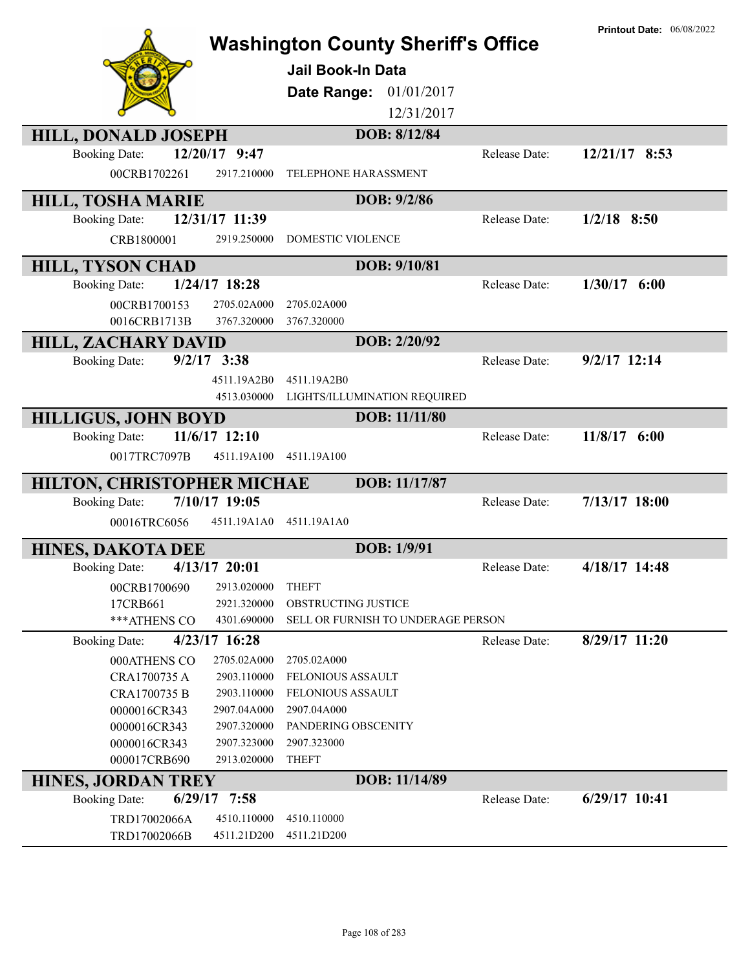|                                      |                            | <b>Washington County Sheriff's Office</b><br><b>Jail Book-In Data</b><br>Date Range:<br>01/01/2017<br>12/31/2017<br>DOB: 8/12/84 |               | <b>Printout Date: 06/08/2022</b> |
|--------------------------------------|----------------------------|----------------------------------------------------------------------------------------------------------------------------------|---------------|----------------------------------|
| <b>HILL, DONALD JOSEPH</b>           | 12/20/17 9:47              |                                                                                                                                  |               |                                  |
| <b>Booking Date:</b><br>00CRB1702261 | 2917.210000                | TELEPHONE HARASSMENT                                                                                                             | Release Date: | 12/21/17 8:53                    |
| <b>HILL, TOSHA MARIE</b>             |                            | DOB: 9/2/86                                                                                                                      |               |                                  |
| <b>Booking Date:</b>                 | 12/31/17 11:39             |                                                                                                                                  | Release Date: | $1/2/18$ 8:50                    |
| CRB1800001                           | 2919.250000                | <b>DOMESTIC VIOLENCE</b>                                                                                                         |               |                                  |
| <b>HILL, TYSON CHAD</b>              |                            | DOB: 9/10/81                                                                                                                     |               |                                  |
| <b>Booking Date:</b>                 | $1/24/17$ 18:28            |                                                                                                                                  | Release Date: | $1/30/17$ 6:00                   |
| 00CRB1700153                         | 2705.02A000                | 2705.02A000                                                                                                                      |               |                                  |
| 0016CRB1713B                         | 3767.320000                | 3767.320000                                                                                                                      |               |                                  |
| <b>HILL, ZACHARY DAVID</b>           |                            | DOB: 2/20/92                                                                                                                     |               |                                  |
| <b>Booking Date:</b>                 | $9/2/17$ 3:38              |                                                                                                                                  | Release Date: | $9/2/17$ 12:14                   |
|                                      | 4511.19A2B0                | 4511.19A2B0                                                                                                                      |               |                                  |
|                                      | 4513.030000                | LIGHTS/ILLUMINATION REQUIRED                                                                                                     |               |                                  |
| <b>HILLIGUS, JOHN BOYD</b>           |                            | DOB: 11/11/80                                                                                                                    |               |                                  |
| <b>Booking Date:</b>                 | $11/6/17$ 12:10            |                                                                                                                                  | Release Date: | 11/8/17 6:00                     |
| 0017TRC7097B                         | 4511.19A100                | 4511.19A100                                                                                                                      |               |                                  |
| HILTON, CHRISTOPHER MICHAE           |                            | DOB: 11/17/87                                                                                                                    |               |                                  |
| <b>Booking Date:</b>                 | 7/10/17 19:05              |                                                                                                                                  | Release Date: | 7/13/17 18:00                    |
| 00016TRC6056                         | 4511.19A1A0                | 4511.19A1A0                                                                                                                      |               |                                  |
| <b>HINES, DAKOTA DEE</b>             |                            | DOB: 1/9/91                                                                                                                      |               |                                  |
| <b>Booking Date:</b>                 | 4/13/17 20:01              |                                                                                                                                  | Release Date: | 4/18/17 14:48                    |
| 00CRB1700690                         | 2913.020000                | <b>THEFT</b>                                                                                                                     |               |                                  |
| 17CRB661                             | 2921.320000                | OBSTRUCTING JUSTICE                                                                                                              |               |                                  |
| *** ATHENS CO                        | 4301.690000                | SELL OR FURNISH TO UNDERAGE PERSON                                                                                               |               |                                  |
| <b>Booking Date:</b>                 | 4/23/17 16:28              |                                                                                                                                  | Release Date: | 8/29/17 11:20                    |
| 000ATHENS CO                         | 2705.02A000                | 2705.02A000                                                                                                                      |               |                                  |
| CRA1700735 A                         | 2903.110000                | FELONIOUS ASSAULT                                                                                                                |               |                                  |
| CRA1700735 B                         | 2903.110000                | FELONIOUS ASSAULT                                                                                                                |               |                                  |
| 0000016CR343<br>0000016CR343         | 2907.04A000<br>2907.320000 | 2907.04A000<br>PANDERING OBSCENITY                                                                                               |               |                                  |
| 0000016CR343                         | 2907.323000                | 2907.323000                                                                                                                      |               |                                  |
| 000017CRB690                         | 2913.020000                | <b>THEFT</b>                                                                                                                     |               |                                  |
| <b>HINES, JORDAN TREY</b>            |                            | DOB: 11/14/89                                                                                                                    |               |                                  |
| <b>Booking Date:</b>                 | $6/29/17$ 7:58             |                                                                                                                                  | Release Date: | $6/29/17$ 10:41                  |
| TRD17002066A                         | 4510.110000                | 4510.110000                                                                                                                      |               |                                  |
| TRD17002066B                         | 4511.21D200                | 4511.21D200                                                                                                                      |               |                                  |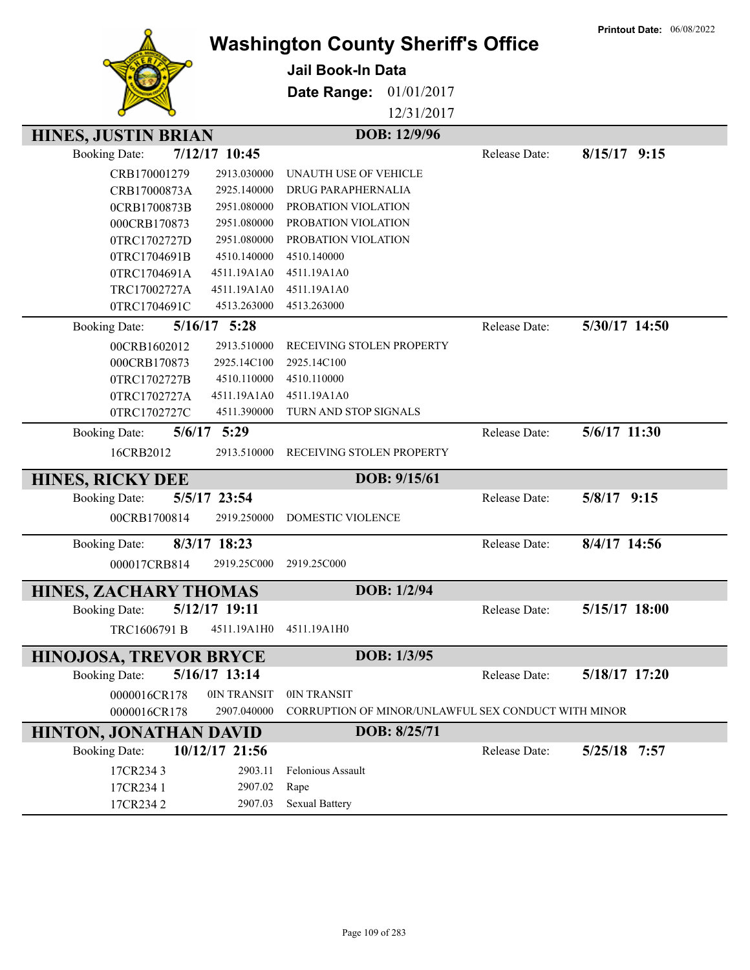| Date Range:<br>01/01/2017<br>12/31/2017                                                  |  |
|------------------------------------------------------------------------------------------|--|
| DOB: 12/9/96<br><b>HINES, JUSTIN BRIAN</b>                                               |  |
| 7/12/17 10:45<br><b>Booking Date:</b><br>Release Date:<br>$8/15/17$ 9:15                 |  |
| CRB170001279<br>2913.030000<br>UNAUTH USE OF VEHICLE                                     |  |
| CRB17000873A<br>2925.140000<br>DRUG PARAPHERNALIA                                        |  |
| 2951.080000<br>PROBATION VIOLATION<br>0CRB1700873B                                       |  |
| 2951.080000<br>PROBATION VIOLATION<br>000CRB170873                                       |  |
| 2951.080000<br>0TRC1702727D<br>PROBATION VIOLATION                                       |  |
| 4510.140000<br>0TRC1704691B<br>4510.140000                                               |  |
| 0TRC1704691A<br>4511.19A1A0<br>4511.19A1A0                                               |  |
| TRC17002727A<br>4511.19A1A0<br>4511.19A1A0<br>4513.263000<br>0TRC1704691C<br>4513.263000 |  |
|                                                                                          |  |
| 5/16/17 5:28<br>5/30/17 14:50<br><b>Booking Date:</b><br>Release Date:                   |  |
| RECEIVING STOLEN PROPERTY<br>2913.510000<br>00CRB1602012                                 |  |
| 000CRB170873<br>2925.14C100<br>2925.14C100                                               |  |
| 4510.110000<br>4510.110000<br>0TRC1702727B                                               |  |
| 4511.19A1A0<br>4511.19A1A0<br>0TRC1702727A                                               |  |
| 4511.390000<br>TURN AND STOP SIGNALS<br>0TRC1702727C                                     |  |
| 5/6/17 11:30<br>$5/6/17$ 5:29<br><b>Booking Date:</b><br>Release Date:                   |  |
| 16CRB2012<br>2913.510000<br>RECEIVING STOLEN PROPERTY                                    |  |
| DOB: 9/15/61<br><b>HINES, RICKY DEE</b>                                                  |  |
| 5/5/17 23:54<br>5/8/17 9:15<br>Release Date:<br><b>Booking Date:</b>                     |  |
| 00CRB1700814<br>2919.250000<br><b>DOMESTIC VIOLENCE</b>                                  |  |
| 8/4/17 14:56<br>8/3/17 18:23<br>Release Date:<br><b>Booking Date:</b>                    |  |
|                                                                                          |  |
| 000017CRB814<br>2919.25C000<br>2919.25C000                                               |  |
| DOB: 1/2/94<br><b>HINES, ZACHARY THOMAS</b>                                              |  |
| <b>Booking Date:</b><br>5/12/17 19:11<br>5/15/17 18:00<br>Release Date:                  |  |
| TRC1606791 B<br>4511.19A1H0<br>4511.19A1H0                                               |  |
| DOB: 1/3/95<br><b>HINOJOSA, TREVOR BRYCE</b>                                             |  |
| 5/16/17 13:14<br>5/18/17 17:20<br><b>Booking Date:</b><br>Release Date:                  |  |
| 0IN TRANSIT<br>0IN TRANSIT<br>0000016CR178                                               |  |
| CORRUPTION OF MINOR/UNLAWFUL SEX CONDUCT WITH MINOR<br>0000016CR178<br>2907.040000       |  |
| DOB: 8/25/71<br><b>HINTON, JONATHAN DAVID</b>                                            |  |
| 10/12/17 21:56<br>Release Date:<br>5/25/18 7:57<br><b>Booking Date:</b>                  |  |
| 2903.11<br>Felonious Assault<br>17CR2343                                                 |  |
| 17CR234 1<br>2907.02<br>Rape                                                             |  |
| 17CR2342<br><b>Sexual Battery</b><br>2907.03                                             |  |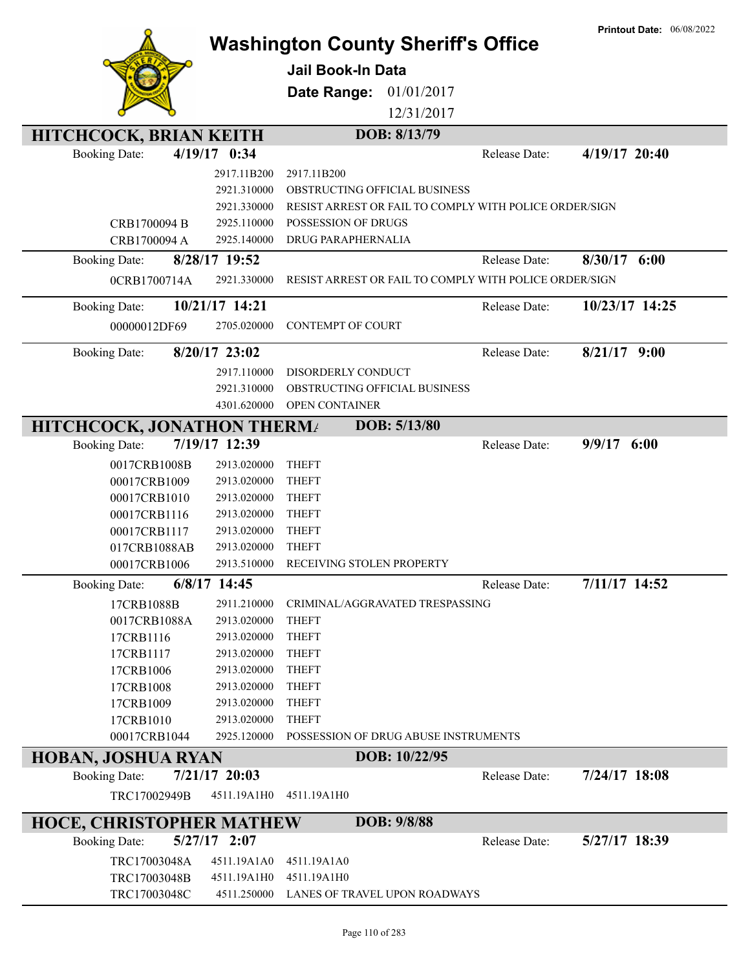|                                                            |                                                        | <b>Printout Date: 06/08/2022</b> |
|------------------------------------------------------------|--------------------------------------------------------|----------------------------------|
|                                                            | <b>Washington County Sheriff's Office</b>              |                                  |
|                                                            | <b>Jail Book-In Data</b>                               |                                  |
|                                                            | Date Range:<br>01/01/2017                              |                                  |
|                                                            | 12/31/2017                                             |                                  |
|                                                            |                                                        |                                  |
| <b>HITCHCOCK, BRIAN KEITH</b>                              | DOB: 8/13/79                                           |                                  |
| 4/19/17 0:34<br><b>Booking Date:</b>                       | Release Date:                                          | 4/19/17 20:40                    |
| 2917.11B200                                                | 2917.11B200                                            |                                  |
| 2921.310000                                                | OBSTRUCTING OFFICIAL BUSINESS                          |                                  |
| 2921.330000                                                | RESIST ARREST OR FAIL TO COMPLY WITH POLICE ORDER/SIGN |                                  |
| 2925.110000<br>CRB1700094 B<br>CRB1700094 A<br>2925.140000 | POSSESSION OF DRUGS<br>DRUG PARAPHERNALIA              |                                  |
|                                                            |                                                        |                                  |
| 8/28/17 19:52<br><b>Booking Date:</b>                      | Release Date:                                          | 8/30/17<br>6:00                  |
| 2921.330000<br>0CRB1700714A                                | RESIST ARREST OR FAIL TO COMPLY WITH POLICE ORDER/SIGN |                                  |
| 10/21/17 14:21<br><b>Booking Date:</b>                     | Release Date:                                          | 10/23/17 14:25                   |
| 00000012DF69<br>2705.020000                                | <b>CONTEMPT OF COURT</b>                               |                                  |
|                                                            |                                                        |                                  |
| 8/20/17 23:02<br><b>Booking Date:</b>                      | Release Date:                                          | $8/21/17$ 9:00                   |
| 2917.110000                                                | DISORDERLY CONDUCT                                     |                                  |
| 2921.310000                                                | OBSTRUCTING OFFICIAL BUSINESS                          |                                  |
| 4301.620000                                                | OPEN CONTAINER                                         |                                  |
| <b>HITCHCOCK, JONATHON THERMA</b>                          | DOB: 5/13/80                                           |                                  |
| 7/19/17 12:39<br><b>Booking Date:</b>                      | Release Date:                                          | $9/9/17$ 6:00                    |
| 0017CRB1008B<br>2913.020000                                | <b>THEFT</b>                                           |                                  |
| 00017CRB1009<br>2913.020000                                | <b>THEFT</b>                                           |                                  |
| 00017CRB1010<br>2913.020000                                | <b>THEFT</b>                                           |                                  |
| 00017CRB1116<br>2913.020000<br>00017CRB1117<br>2913.020000 | <b>THEFT</b><br><b>THEFT</b>                           |                                  |
| 017CRB1088AB<br>2913.020000                                | <b>THEFT</b>                                           |                                  |
| 00017CRB1006<br>2913.510000                                | RECEIVING STOLEN PROPERTY                              |                                  |
| $6/8/17$ 14:45<br><b>Booking Date:</b>                     | Release Date:                                          | 7/11/17 14:52                    |
| 17CRB1088B<br>2911.210000                                  | CRIMINAL/AGGRAVATED TRESPASSING                        |                                  |
| 0017CRB1088A<br>2913.020000                                | <b>THEFT</b>                                           |                                  |
| 17CRB1116<br>2913.020000                                   | <b>THEFT</b>                                           |                                  |
| 17CRB1117<br>2913.020000                                   | <b>THEFT</b>                                           |                                  |
| 17CRB1006<br>2913.020000                                   | <b>THEFT</b>                                           |                                  |
| 17CRB1008<br>2913.020000                                   | <b>THEFT</b>                                           |                                  |
| 17CRB1009<br>2913.020000                                   | <b>THEFT</b>                                           |                                  |
| 17CRB1010<br>2913.020000                                   | <b>THEFT</b>                                           |                                  |
| 00017CRB1044<br>2925.120000                                | POSSESSION OF DRUG ABUSE INSTRUMENTS                   |                                  |
| <b>HOBAN, JOSHUA RYAN</b>                                  | DOB: 10/22/95                                          |                                  |
| 7/21/17 20:03<br><b>Booking Date:</b>                      | Release Date:                                          | 7/24/17 18:08                    |
| TRC17002949B<br>4511.19A1H0                                | 4511.19A1H0                                            |                                  |
| <b>HOCE, CHRISTOPHER MATHEW</b>                            | DOB: 9/8/88                                            |                                  |
| $5/27/17$ 2:07<br><b>Booking Date:</b>                     | Release Date:                                          | 5/27/17 18:39                    |
| TRC17003048A<br>4511.19A1A0                                | 4511.19A1A0                                            |                                  |
| TRC17003048B<br>4511.19A1H0                                | 4511.19A1H0                                            |                                  |
| TRC17003048C<br>4511.250000                                | LANES OF TRAVEL UPON ROADWAYS                          |                                  |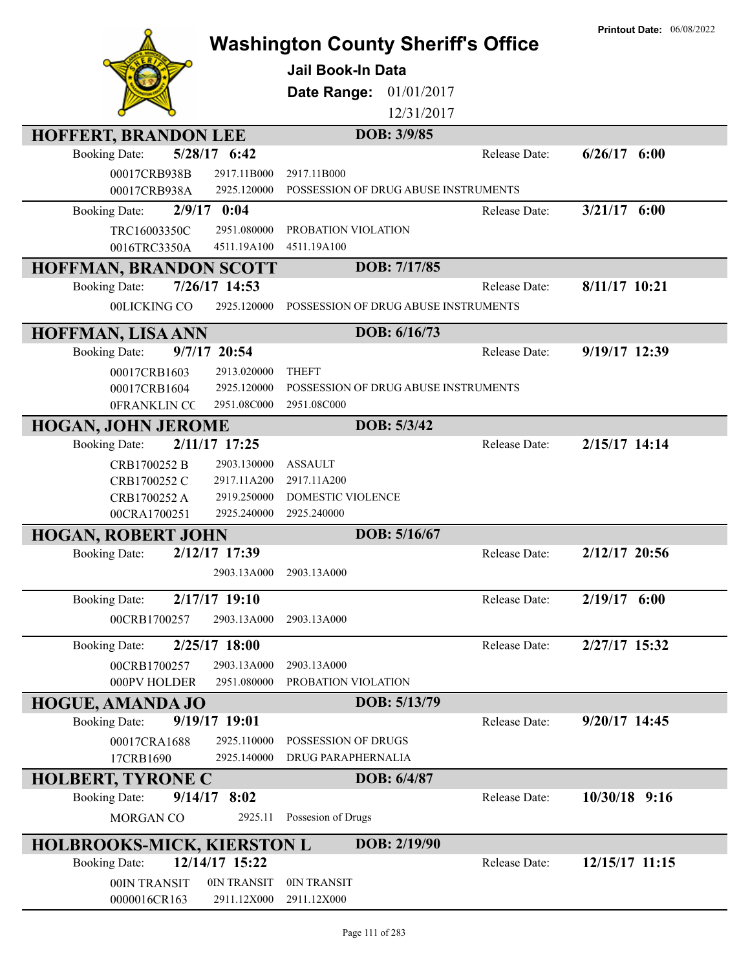|                                                            |                                           | <b>Printout Date: 06/08/2022</b> |
|------------------------------------------------------------|-------------------------------------------|----------------------------------|
|                                                            | <b>Washington County Sheriff's Office</b> |                                  |
|                                                            | Jail Book-In Data                         |                                  |
|                                                            | Date Range:<br>01/01/2017                 |                                  |
|                                                            | 12/31/2017                                |                                  |
| <b>HOFFERT, BRANDON LEE</b>                                | DOB: 3/9/85                               |                                  |
| 5/28/17 6:42<br><b>Booking Date:</b>                       | Release Date:                             | $6/26/17$ $6:00$                 |
| 00017CRB938B<br>2917.11B000                                | 2917.11B000                               |                                  |
| 00017CRB938A<br>2925.120000                                | POSSESSION OF DRUG ABUSE INSTRUMENTS      |                                  |
| $2/9/17$ 0:04<br><b>Booking Date:</b>                      | Release Date:                             | $3/21/17$ 6:00                   |
| 2951.080000                                                | PROBATION VIOLATION                       |                                  |
| TRC16003350C<br>4511.19A100<br>0016TRC3350A                | 4511.19A100                               |                                  |
| <b>HOFFMAN, BRANDON SCOTT</b>                              | DOB: 7/17/85                              |                                  |
| 7/26/17 14:53<br><b>Booking Date:</b>                      | Release Date:                             | 8/11/17 10:21                    |
| 00LICKING CO<br>2925.120000                                | POSSESSION OF DRUG ABUSE INSTRUMENTS      |                                  |
|                                                            |                                           |                                  |
| HOFFMAN, LISA ANN                                          | DOB: 6/16/73                              |                                  |
| 9/7/17 20:54<br><b>Booking Date:</b>                       | Release Date:                             | 9/19/17 12:39                    |
| 00017CRB1603<br>2913.020000                                | <b>THEFT</b>                              |                                  |
| 2925.120000<br>00017CRB1604                                | POSSESSION OF DRUG ABUSE INSTRUMENTS      |                                  |
| 2951.08C000<br>0FRANKLIN CC                                | 2951.08C000                               |                                  |
| <b>HOGAN, JOHN JEROME</b>                                  | DOB: 5/3/42                               |                                  |
| 2/11/17 17:25<br><b>Booking Date:</b>                      | Release Date:                             | 2/15/17 14:14                    |
| CRB1700252 B<br>2903.130000                                | <b>ASSAULT</b>                            |                                  |
| CRB1700252 C<br>2917.11A200                                | 2917.11A200                               |                                  |
| 2919.250000<br>CRB1700252 A                                | DOMESTIC VIOLENCE                         |                                  |
| 2925.240000<br>00CRA1700251                                | 2925.240000                               |                                  |
| <b>HOGAN, ROBERT JOHN</b>                                  | DOB: 5/16/67                              |                                  |
| 2/12/17 17:39<br><b>Booking Date:</b>                      | Release Date:                             | 2/12/17 20:56                    |
| 2903.13A000                                                | 2903.13A000                               |                                  |
| 2/17/17 19:10<br><b>Booking Date:</b>                      | Release Date:                             | $2/19/17$ 6:00                   |
| 2903.13A000<br>00CRB1700257                                | 2903.13A000                               |                                  |
|                                                            | Release Date:                             | 2/27/17 15:32                    |
| 2/25/17 18:00<br><b>Booking Date:</b>                      |                                           |                                  |
| 00CRB1700257<br>2903.13A000<br>2951.080000<br>000PV HOLDER | 2903.13A000<br>PROBATION VIOLATION        |                                  |
|                                                            |                                           |                                  |
| <b>HOGUE, AMANDA JO</b>                                    | DOB: 5/13/79                              |                                  |
| 9/19/17 19:01<br><b>Booking Date:</b>                      | Release Date:                             | $9/20/17$ 14:45                  |
| 00017CRA1688<br>2925.110000                                | POSSESSION OF DRUGS                       |                                  |
| 17CRB1690<br>2925.140000                                   | DRUG PARAPHERNALIA                        |                                  |
| <b>HOLBERT, TYRONE C</b>                                   | DOB: 6/4/87                               |                                  |
| $9/14/17$ 8:02<br><b>Booking Date:</b>                     | Release Date:                             | 10/30/18 9:16                    |
| 2925.11<br>MORGAN CO                                       | Possesion of Drugs                        |                                  |
| <b>HOLBROOKS-MICK, KIERSTON L</b>                          | DOB: 2/19/90                              |                                  |
| 12/14/17 15:22<br><b>Booking Date:</b>                     | Release Date:                             | 12/15/17 11:15                   |
| 00IN TRANSIT<br>0IN TRANSIT                                | 0IN TRANSIT                               |                                  |
| 0000016CR163<br>2911.12X000                                | 2911.12X000                               |                                  |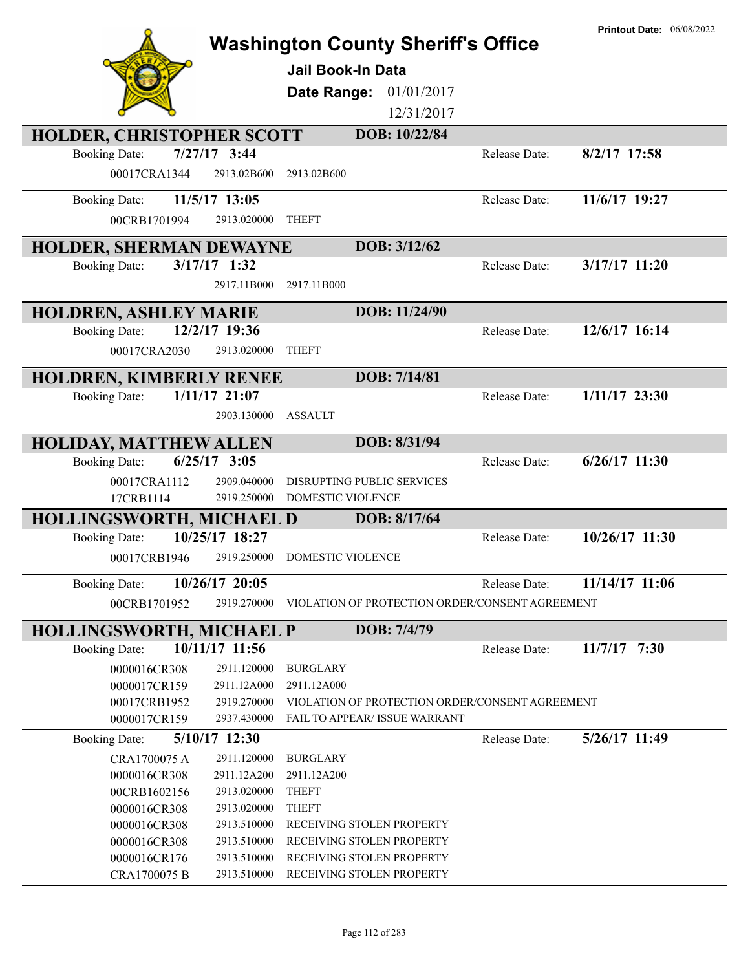|                                                                         |                            |                                                               |                      | <b>Printout Date: 06/08/2022</b> |
|-------------------------------------------------------------------------|----------------------------|---------------------------------------------------------------|----------------------|----------------------------------|
| <b>Washington County Sheriff's Office</b>                               |                            |                                                               |                      |                                  |
|                                                                         |                            | Jail Book-In Data                                             |                      |                                  |
|                                                                         |                            | Date Range: 01/01/2017                                        |                      |                                  |
|                                                                         |                            | 12/31/2017                                                    |                      |                                  |
| HOLDER, CHRISTOPHER SCOTT                                               |                            | DOB: 10/22/84                                                 |                      |                                  |
| $7/27/17$ 3:44<br><b>Booking Date:</b>                                  |                            |                                                               | Release Date:        | $8/2/17$ 17:58                   |
| 00017CRA1344                                                            | 2913.02B600                | 2913.02B600                                                   |                      |                                  |
|                                                                         |                            |                                                               |                      |                                  |
| 11/5/17 13:05<br><b>Booking Date:</b>                                   |                            |                                                               | Release Date:        | 11/6/17 19:27                    |
| 00CRB1701994                                                            | 2913.020000                | <b>THEFT</b>                                                  |                      |                                  |
| <b>HOLDER, SHERMAN DEWAYNE</b>                                          |                            | DOB: 3/12/62                                                  |                      |                                  |
| $3/17/17$ 1:32<br><b>Booking Date:</b>                                  |                            |                                                               | Release Date:        | 3/17/17 11:20                    |
|                                                                         | 2917.11B000                | 2917.11B000                                                   |                      |                                  |
|                                                                         |                            |                                                               |                      |                                  |
| <b>HOLDREN, ASHLEY MARIE</b>                                            |                            | DOB: 11/24/90                                                 |                      |                                  |
| 12/2/17 19:36<br><b>Booking Date:</b>                                   |                            |                                                               | Release Date:        | 12/6/17 16:14                    |
| 00017CRA2030                                                            | 2913.020000                | <b>THEFT</b>                                                  |                      |                                  |
| HOLDREN, KIMBERLY RENEE                                                 |                            | DOB: 7/14/81                                                  |                      |                                  |
| <b>Booking Date:</b><br>1/11/17 21:07                                   |                            |                                                               | Release Date:        | $1/11/17$ 23:30                  |
|                                                                         | 2903.130000                | <b>ASSAULT</b>                                                |                      |                                  |
|                                                                         |                            | DOB: 8/31/94                                                  |                      |                                  |
| <b>HOLIDAY, MATTHEW ALLEN</b><br>$6/25/17$ 3:05<br><b>Booking Date:</b> |                            |                                                               | Release Date:        | $6/26/17$ 11:30                  |
|                                                                         |                            |                                                               |                      |                                  |
| 00017CRA1112<br>17CRB1114                                               | 2909.040000<br>2919.250000 | <b>DISRUPTING PUBLIC SERVICES</b><br><b>DOMESTIC VIOLENCE</b> |                      |                                  |
|                                                                         |                            | DOB: 8/17/64                                                  |                      |                                  |
| HOLLINGSWORTH, MICHAEL D<br>10/25/17 18:27<br><b>Booking Date:</b>      |                            |                                                               | <b>Release Date:</b> | 10/26/17 11:30                   |
|                                                                         | 2919.250000                | DOMESTIC VIOLENCE                                             |                      |                                  |
| 00017CRB1946                                                            |                            |                                                               |                      |                                  |
| 10/26/17 20:05<br><b>Booking Date:</b>                                  |                            |                                                               | Release Date:        | 11/14/17 11:06                   |
| 00CRB1701952                                                            | 2919.270000                | VIOLATION OF PROTECTION ORDER/CONSENT AGREEMENT               |                      |                                  |
| <b>HOLLINGSWORTH, MICHAEL P</b>                                         |                            | DOB: 7/4/79                                                   |                      |                                  |
| 10/11/17 11:56<br><b>Booking Date:</b>                                  |                            |                                                               | Release Date:        | $11/7/17$ 7:30                   |
| 0000016CR308                                                            | 2911.120000                | <b>BURGLARY</b>                                               |                      |                                  |
| 0000017CR159                                                            | 2911.12A000                | 2911.12A000                                                   |                      |                                  |
| 00017CRB1952                                                            | 2919.270000                | VIOLATION OF PROTECTION ORDER/CONSENT AGREEMENT               |                      |                                  |
| 0000017CR159                                                            | 2937.430000                | <b>FAIL TO APPEAR/ ISSUE WARRANT</b>                          |                      |                                  |
| 5/10/17 12:30<br><b>Booking Date:</b>                                   |                            |                                                               | Release Date:        | 5/26/17 11:49                    |
| CRA1700075 A                                                            | 2911.120000                | <b>BURGLARY</b>                                               |                      |                                  |
| 0000016CR308                                                            | 2911.12A200                | 2911.12A200                                                   |                      |                                  |
| 00CRB1602156                                                            | 2913.020000                | <b>THEFT</b>                                                  |                      |                                  |
| 0000016CR308                                                            | 2913.020000                | <b>THEFT</b>                                                  |                      |                                  |
| 0000016CR308                                                            | 2913.510000                | RECEIVING STOLEN PROPERTY                                     |                      |                                  |
| 0000016CR308                                                            | 2913.510000                | RECEIVING STOLEN PROPERTY                                     |                      |                                  |
| 0000016CR176                                                            | 2913.510000                | RECEIVING STOLEN PROPERTY                                     |                      |                                  |
| CRA1700075 B                                                            | 2913.510000                | RECEIVING STOLEN PROPERTY                                     |                      |                                  |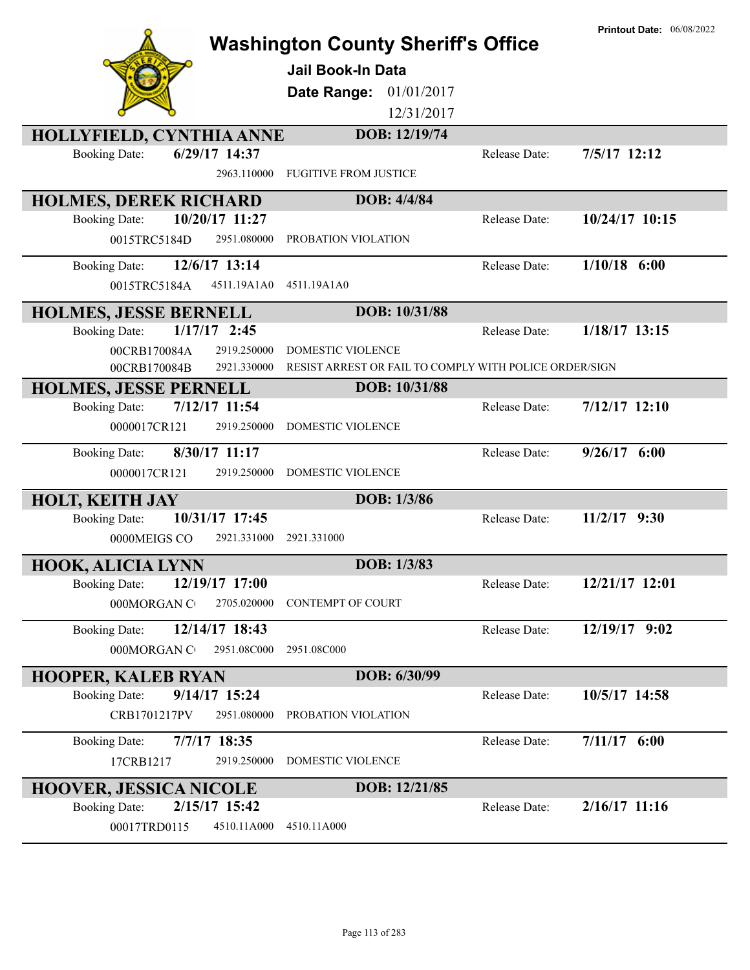|                                                                        | <b>Washington County Sheriff's Office</b><br><b>Jail Book-In Data</b><br>01/01/2017<br>Date Range:<br>12/31/2017 |               | <b>Printout Date: 06/08/2022</b> |
|------------------------------------------------------------------------|------------------------------------------------------------------------------------------------------------------|---------------|----------------------------------|
| <b>HOLLYFIELD, CYNTHIA ANNE</b>                                        | DOB: 12/19/74                                                                                                    |               |                                  |
| 6/29/17 14:37<br><b>Booking Date:</b><br>2963.110000                   | <b>FUGITIVE FROM JUSTICE</b>                                                                                     | Release Date: | 7/5/17 12:12                     |
| <b>HOLMES, DEREK RICHARD</b>                                           | DOB: 4/4/84                                                                                                      |               |                                  |
| 10/20/17 11:27<br><b>Booking Date:</b><br>2951.080000<br>0015TRC5184D  | PROBATION VIOLATION                                                                                              | Release Date: | 10/24/17 10:15                   |
| 12/6/17 13:14<br><b>Booking Date:</b><br>0015TRC5184A<br>4511.19A1A0   | 4511.19A1A0                                                                                                      | Release Date: | $1/10/18$ 6:00                   |
| <b>HOLMES, JESSE BERNELL</b>                                           | DOB: 10/31/88                                                                                                    |               |                                  |
| $1/17/17$ 2:45<br><b>Booking Date:</b><br>2919.250000<br>00CRB170084A  | DOMESTIC VIOLENCE                                                                                                | Release Date: | $1/18/17$ 13:15                  |
| 2921.330000<br>00CRB170084B                                            | RESIST ARREST OR FAIL TO COMPLY WITH POLICE ORDER/SIGN                                                           |               |                                  |
| <b>HOLMES, JESSE PERNELL</b>                                           | DOB: 10/31/88                                                                                                    |               |                                  |
| 7/12/17 11:54<br><b>Booking Date:</b><br>2919.250000<br>0000017CR121   | DOMESTIC VIOLENCE                                                                                                | Release Date: | $7/12/17$ 12:10                  |
| 8/30/17 11:17<br><b>Booking Date:</b><br>0000017CR121<br>2919.250000   | DOMESTIC VIOLENCE                                                                                                | Release Date: | $9/26/17$ 6:00                   |
| <b>HOLT, KEITH JAY</b>                                                 | DOB: 1/3/86                                                                                                      |               |                                  |
| 10/31/17 17:45<br><b>Booking Date:</b><br>0000MEIGS CO<br>2921.331000  | 2921.331000                                                                                                      | Release Date: | $11/2/17$ 9:30                   |
| <b>HOOK, ALICIA LYNN</b>                                               | DOB: 1/3/83                                                                                                      |               |                                  |
| 12/19/17 17:00<br><b>Booking Date:</b><br>000MORGAN CO<br>2705.020000  | <b>CONTEMPT OF COURT</b>                                                                                         | Release Date: | 12/21/17 12:01                   |
| 12/14/17 18:43<br><b>Booking Date:</b><br>000MORGAN C<br>2951.08C000   | 2951.08C000                                                                                                      | Release Date: | 12/19/17 9:02                    |
| <b>HOOPER, KALEB RYAN</b>                                              | DOB: 6/30/99                                                                                                     |               |                                  |
| $9/14/17$ 15:24<br><b>Booking Date:</b><br>2951.080000<br>CRB1701217PV | PROBATION VIOLATION                                                                                              | Release Date: | 10/5/17 14:58                    |
| <b>Booking Date:</b><br>7/7/17 18:35<br>2919.250000<br>17CRB1217       | DOMESTIC VIOLENCE                                                                                                | Release Date: | $7/11/17$ 6:00                   |
| <b>HOOVER, JESSICA NICOLE</b>                                          | DOB: 12/21/85                                                                                                    |               |                                  |
| 2/15/17 15:42<br><b>Booking Date:</b><br>4510.11A000<br>00017TRD0115   | 4510.11A000                                                                                                      | Release Date: | $2/16/17$ 11:16                  |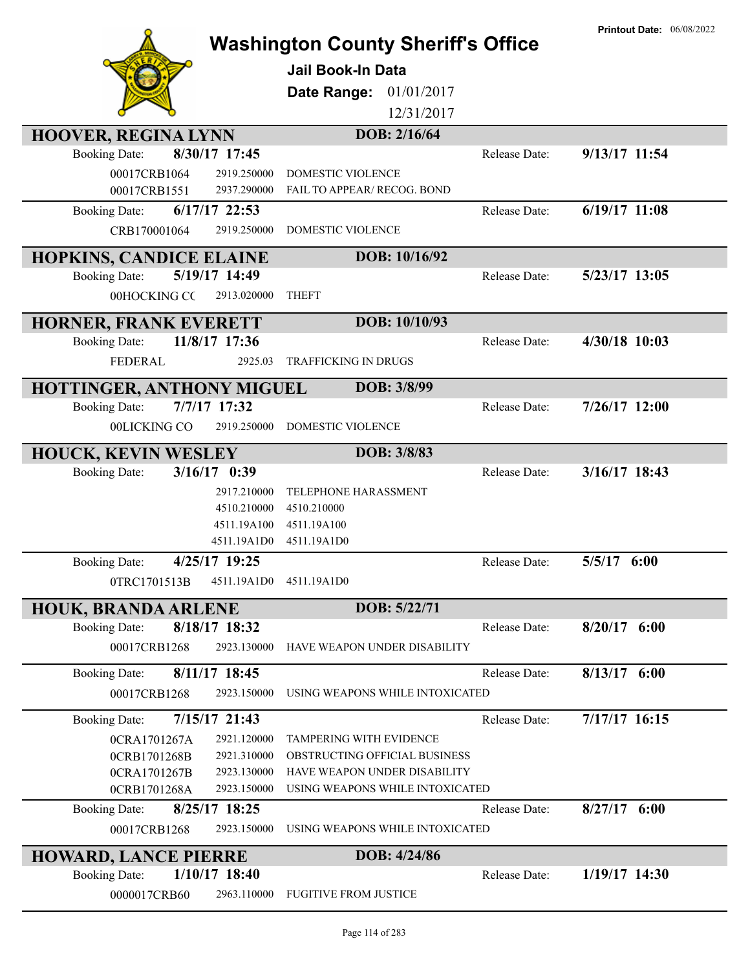|                                                            | <b>Washington County Sheriff's Office</b><br><b>Jail Book-In Data</b> |               | <b>Printout Date: 06/08/2022</b> |
|------------------------------------------------------------|-----------------------------------------------------------------------|---------------|----------------------------------|
|                                                            | Date Range:<br>01/01/2017<br>12/31/2017                               |               |                                  |
| <b>HOOVER, REGINA LYNN</b>                                 | DOB: 2/16/64                                                          |               |                                  |
| 8/30/17 17:45<br><b>Booking Date:</b>                      |                                                                       | Release Date: | 9/13/17 11:54                    |
| 00017CRB1064<br>2919.250000                                | DOMESTIC VIOLENCE                                                     |               |                                  |
| 00017CRB1551<br>2937.290000                                | FAIL TO APPEAR/ RECOG. BOND                                           |               |                                  |
| $6/17/17$ 22:53<br><b>Booking Date:</b>                    |                                                                       | Release Date: | 6/19/17 11:08                    |
| CRB170001064<br>2919.250000                                | DOMESTIC VIOLENCE                                                     |               |                                  |
|                                                            |                                                                       |               |                                  |
| <b>HOPKINS, CANDICE ELAINE</b>                             | DOB: 10/16/92                                                         |               |                                  |
| 5/19/17 14:49<br><b>Booking Date:</b>                      |                                                                       | Release Date: | 5/23/17 13:05                    |
| 00HOCKING CC<br>2913.020000                                | <b>THEFT</b>                                                          |               |                                  |
| HORNER, FRANK EVERETT                                      | DOB: 10/10/93                                                         |               |                                  |
| 11/8/17 17:36<br><b>Booking Date:</b>                      |                                                                       | Release Date: | 4/30/18 10:03                    |
| <b>FEDERAL</b><br>2925.03                                  | TRAFFICKING IN DRUGS                                                  |               |                                  |
|                                                            | DOB: 3/8/99                                                           |               |                                  |
| HOTTINGER, ANTHONY MIGUEL<br>7/7/17 17:32                  |                                                                       | Release Date: | $7/26/17$ 12:00                  |
| <b>Booking Date:</b>                                       |                                                                       |               |                                  |
| 00LICKING CO<br>2919.250000                                | DOMESTIC VIOLENCE                                                     |               |                                  |
| <b>HOUCK, KEVIN WESLEY</b>                                 | DOB: 3/8/83                                                           |               |                                  |
| $3/16/17$ 0:39<br><b>Booking Date:</b>                     |                                                                       | Release Date: | 3/16/17 18:43                    |
| 2917.210000                                                | <b>TELEPHONE HARASSMENT</b>                                           |               |                                  |
| 4510.210000                                                | 4510.210000                                                           |               |                                  |
| 4511.19A100                                                | 4511.19A100                                                           |               |                                  |
| 4511.19A1D0                                                | 4511.19A1D0                                                           |               |                                  |
| 4/25/17 19:25<br><b>Booking Date:</b>                      |                                                                       | Release Date: | 5/5/17 6:00                      |
| 4511.19A1D0<br>0TRC1701513B                                | 4511.19A1D0                                                           |               |                                  |
| <b>HOUK, BRANDA ARLENE</b>                                 | DOB: 5/22/71                                                          |               |                                  |
| 8/18/17 18:32<br><b>Booking Date:</b>                      |                                                                       | Release Date: | $8/20/17$ 6:00                   |
| 00017CRB1268<br>2923.130000                                | HAVE WEAPON UNDER DISABILITY                                          |               |                                  |
| 8/11/17 18:45<br><b>Booking Date:</b>                      |                                                                       | Release Date: | $8/13/17$ 6:00                   |
| 2923.150000<br>00017CRB1268                                | USING WEAPONS WHILE INTOXICATED                                       |               |                                  |
|                                                            |                                                                       |               |                                  |
| 7/15/17 21:43<br><b>Booking Date:</b>                      |                                                                       | Release Date: | 7/17/17 16:15                    |
| 2921.120000<br>0CRA1701267A                                | TAMPERING WITH EVIDENCE                                               |               |                                  |
| 2921.310000<br>0CRB1701268B                                | OBSTRUCTING OFFICIAL BUSINESS                                         |               |                                  |
| 2923.130000<br>0CRA1701267B<br>0CRB1701268A<br>2923.150000 | HAVE WEAPON UNDER DISABILITY<br>USING WEAPONS WHILE INTOXICATED       |               |                                  |
| 8/25/17 18:25<br><b>Booking Date:</b>                      |                                                                       | Release Date: | $8/27/17$ 6:00                   |
| 00017CRB1268<br>2923.150000                                | USING WEAPONS WHILE INTOXICATED                                       |               |                                  |
|                                                            |                                                                       |               |                                  |
| <b>HOWARD, LANCE PIERRE</b>                                | DOB: 4/24/86                                                          |               |                                  |
| 1/10/17 18:40<br><b>Booking Date:</b>                      |                                                                       | Release Date: | 1/19/17 14:30                    |
| 2963.110000<br>0000017CRB60                                | <b>FUGITIVE FROM JUSTICE</b>                                          |               |                                  |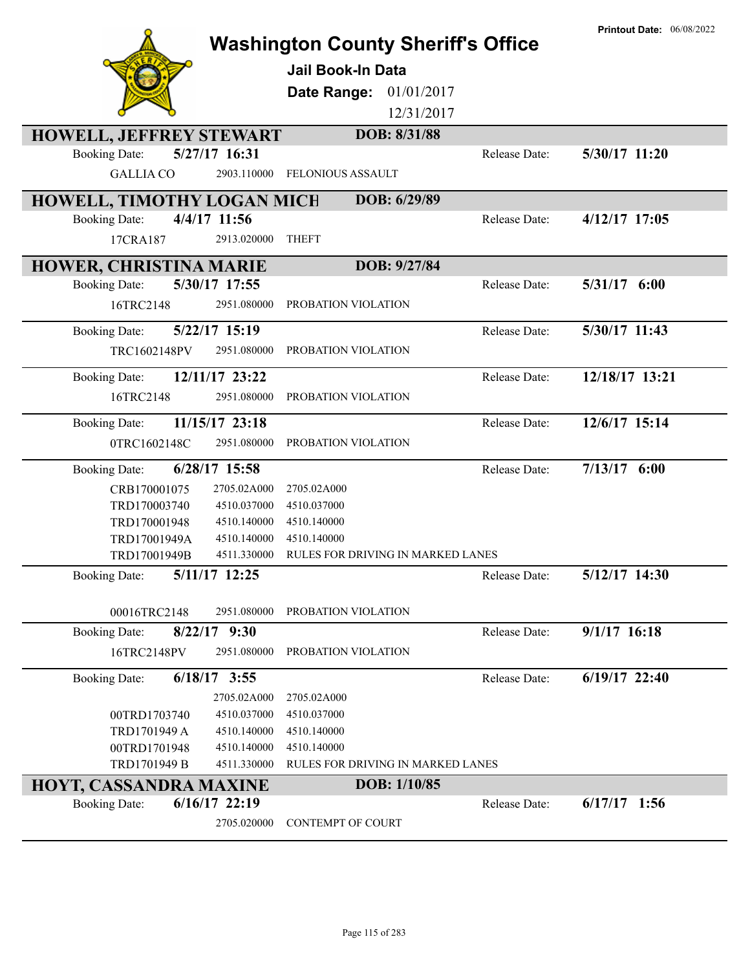|                                                |                              | <b>Washington County Sheriff's Office</b><br><b>Jail Book-In Data</b><br>Date Range:<br>01/01/2017<br>12/31/2017 |               | <b>Printout Date: 06/08/2022</b> |
|------------------------------------------------|------------------------------|------------------------------------------------------------------------------------------------------------------|---------------|----------------------------------|
| <b>HOWELL, JEFFREY STEWART</b>                 |                              | DOB: 8/31/88                                                                                                     |               |                                  |
| <b>Booking Date:</b><br><b>GALLIA CO</b>       | 5/27/17 16:31<br>2903.110000 | <b>FELONIOUS ASSAULT</b>                                                                                         | Release Date: | 5/30/17 11:20                    |
| HOWELL, TIMOTHY LOGAN MICH                     |                              | DOB: 6/29/89                                                                                                     |               |                                  |
| <b>Booking Date:</b>                           | 4/4/17 11:56                 |                                                                                                                  | Release Date: | 4/12/17 17:05                    |
| 17CRA187                                       | 2913.020000                  | <b>THEFT</b>                                                                                                     |               |                                  |
| <b>HOWER, CHRISTINA MARIE</b>                  |                              | DOB: 9/27/84                                                                                                     |               |                                  |
| <b>Booking Date:</b>                           | 5/30/17 17:55                |                                                                                                                  | Release Date: | 5/31/17 6:00                     |
| 16TRC2148                                      | 2951.080000                  | PROBATION VIOLATION                                                                                              |               |                                  |
| <b>Booking Date:</b>                           | 5/22/17 15:19                |                                                                                                                  | Release Date: | 5/30/17 11:43                    |
| TRC1602148PV                                   | 2951.080000                  | PROBATION VIOLATION                                                                                              |               |                                  |
| <b>Booking Date:</b>                           | 12/11/17 23:22               |                                                                                                                  | Release Date: | 12/18/17 13:21                   |
| 16TRC2148                                      | 2951.080000                  | PROBATION VIOLATION                                                                                              |               |                                  |
| <b>Booking Date:</b>                           | 11/15/17 23:18               |                                                                                                                  | Release Date: | 12/6/17 15:14                    |
| 0TRC1602148C                                   | 2951.080000                  | PROBATION VIOLATION                                                                                              |               |                                  |
| <b>Booking Date:</b>                           | 6/28/17 15:58                |                                                                                                                  | Release Date: | $7/13/17$ 6:00                   |
| CRB170001075                                   | 2705.02A000                  | 2705.02A000                                                                                                      |               |                                  |
| TRD170003740                                   | 4510.037000                  | 4510.037000                                                                                                      |               |                                  |
| TRD170001948                                   | 4510.140000                  | 4510.140000                                                                                                      |               |                                  |
| TRD17001949A                                   | 4510.140000                  | 4510.140000                                                                                                      |               |                                  |
| TRD17001949B                                   | 4511.330000                  | RULES FOR DRIVING IN MARKED LANES                                                                                |               |                                  |
| <b>Booking Date:</b>                           | 5/11/17 12:25                |                                                                                                                  | Release Date: | 5/12/17 14:30                    |
| 00016TRC2148                                   | 2951.080000                  | PROBATION VIOLATION                                                                                              |               |                                  |
| <b>Booking Date:</b>                           | $8/22/17$ 9:30               |                                                                                                                  | Release Date: | $9/1/17$ 16:18                   |
| 16TRC2148PV                                    | 2951.080000                  | PROBATION VIOLATION                                                                                              |               |                                  |
| <b>Booking Date:</b>                           | $6/18/17$ 3:55               |                                                                                                                  | Release Date: | 6/19/17 22:40                    |
|                                                | 2705.02A000                  | 2705.02A000                                                                                                      |               |                                  |
| 00TRD1703740                                   | 4510.037000                  | 4510.037000                                                                                                      |               |                                  |
| TRD1701949 A                                   | 4510.140000                  | 4510.140000                                                                                                      |               |                                  |
| 00TRD1701948<br>TRD1701949 B                   | 4510.140000<br>4511.330000   | 4510.140000<br>RULES FOR DRIVING IN MARKED LANES                                                                 |               |                                  |
|                                                |                              | DOB: 1/10/85                                                                                                     |               |                                  |
| HOYT, CASSANDRA MAXINE<br><b>Booking Date:</b> | $6/16/17$ 22:19              |                                                                                                                  | Release Date: | $6/17/17$ 1:56                   |
|                                                | 2705.020000                  | CONTEMPT OF COURT                                                                                                |               |                                  |
|                                                |                              |                                                                                                                  |               |                                  |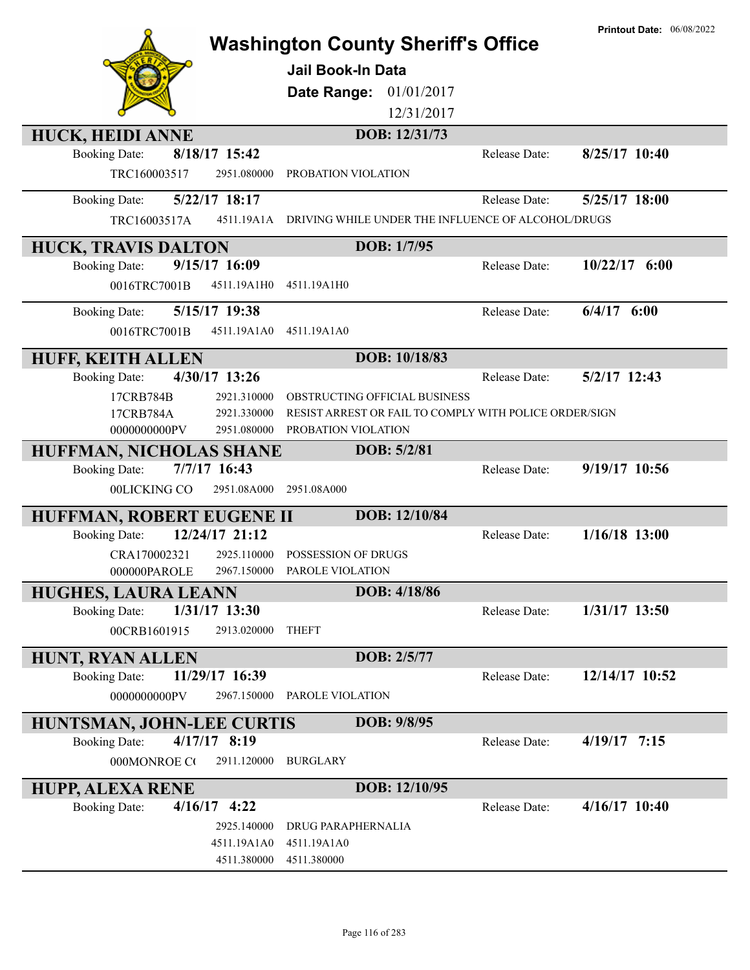|                                                   |                            | <b>Washington County Sheriff's Office</b><br><b>Jail Book-In Data</b><br>Date Range: | 01/01/2017<br>12/31/2017 |               | <b>Printout Date: 06/08/2022</b> |
|---------------------------------------------------|----------------------------|--------------------------------------------------------------------------------------|--------------------------|---------------|----------------------------------|
| <b>HUCK, HEIDI ANNE</b>                           |                            |                                                                                      | DOB: 12/31/73            |               |                                  |
| <b>Booking Date:</b>                              | 8/18/17 15:42              |                                                                                      |                          | Release Date: | 8/25/17 10:40                    |
| TRC160003517                                      | 2951.080000                | PROBATION VIOLATION                                                                  |                          |               |                                  |
| <b>Booking Date:</b>                              | 5/22/17 18:17              |                                                                                      |                          | Release Date: | 5/25/17 18:00                    |
| TRC16003517A                                      | 4511.19A1A                 | DRIVING WHILE UNDER THE INFLUENCE OF ALCOHOL/DRUGS                                   |                          |               |                                  |
| <b>HUCK, TRAVIS DALTON</b>                        |                            |                                                                                      | DOB: 1/7/95              |               |                                  |
| <b>Booking Date:</b>                              | 9/15/17 16:09              |                                                                                      |                          | Release Date: | $10/22/17$ 6:00                  |
| 0016TRC7001B                                      | 4511.19A1H0                | 4511.19A1H0                                                                          |                          |               |                                  |
| <b>Booking Date:</b>                              | 5/15/17 19:38              |                                                                                      |                          | Release Date: | $6/4/17$ $6:00$                  |
| 0016TRC7001B                                      | 4511.19A1A0                | 4511.19A1A0                                                                          |                          |               |                                  |
| <b>HUFF, KEITH ALLEN</b>                          |                            |                                                                                      | DOB: 10/18/83            |               |                                  |
| <b>Booking Date:</b>                              | 4/30/17 13:26              |                                                                                      |                          | Release Date: | 5/2/17 12:43                     |
| 17CRB784B                                         | 2921.310000                | OBSTRUCTING OFFICIAL BUSINESS                                                        |                          |               |                                  |
| 17CRB784A                                         | 2921.330000                | RESIST ARREST OR FAIL TO COMPLY WITH POLICE ORDER/SIGN                               |                          |               |                                  |
| 0000000000PV                                      | 2951.080000                | PROBATION VIOLATION                                                                  |                          |               |                                  |
| HUFFMAN, NICHOLAS SHANE<br><b>Booking Date:</b>   | 7/7/17 16:43               |                                                                                      | DOB: 5/2/81              | Release Date: | 9/19/17 10:56                    |
| 00LICKING CO                                      | 2951.08A000                | 2951.08A000                                                                          |                          |               |                                  |
|                                                   |                            |                                                                                      | DOB: 12/10/84            |               |                                  |
| HUFFMAN, ROBERT EUGENE II<br><b>Booking Date:</b> | 12/24/17 21:12             |                                                                                      |                          | Release Date: | $1/16/18$ 13:00                  |
| CRA170002321                                      | 2925.110000                | POSSESSION OF DRUGS                                                                  |                          |               |                                  |
| 000000PAROLE                                      |                            | 2967.150000 PAROLE VIOLATION                                                         |                          |               |                                  |
| <b>HUGHES, LAURA LEANN</b>                        |                            |                                                                                      | DOB: 4/18/86             |               |                                  |
| <b>Booking Date:</b>                              | 1/31/17 13:30              |                                                                                      |                          | Release Date: | 1/31/17 13:50                    |
| 00CRB1601915                                      | 2913.020000                | <b>THEFT</b>                                                                         |                          |               |                                  |
| <b>HUNT, RYAN ALLEN</b>                           |                            |                                                                                      | DOB: 2/5/77              |               |                                  |
| <b>Booking Date:</b>                              | 11/29/17 16:39             |                                                                                      |                          | Release Date: | 12/14/17 10:52                   |
| 0000000000PV                                      | 2967.150000                | PAROLE VIOLATION                                                                     |                          |               |                                  |
| HUNTSMAN, JOHN-LEE CURTIS                         |                            |                                                                                      | DOB: 9/8/95              |               |                                  |
| <b>Booking Date:</b>                              | $4/17/17$ 8:19             |                                                                                      |                          | Release Date: | $4/19/17$ 7:15                   |
| 000MONROE CO                                      | 2911.120000                | <b>BURGLARY</b>                                                                      |                          |               |                                  |
| <b>HUPP, ALEXA RENE</b>                           |                            |                                                                                      | DOB: 12/10/95            |               |                                  |
| <b>Booking Date:</b>                              | $4/16/17$ 4:22             |                                                                                      |                          | Release Date: | $4/16/17$ 10:40                  |
|                                                   | 2925.140000                | DRUG PARAPHERNALIA                                                                   |                          |               |                                  |
|                                                   | 4511.19A1A0<br>4511.380000 | 4511.19A1A0<br>4511.380000                                                           |                          |               |                                  |
|                                                   |                            |                                                                                      |                          |               |                                  |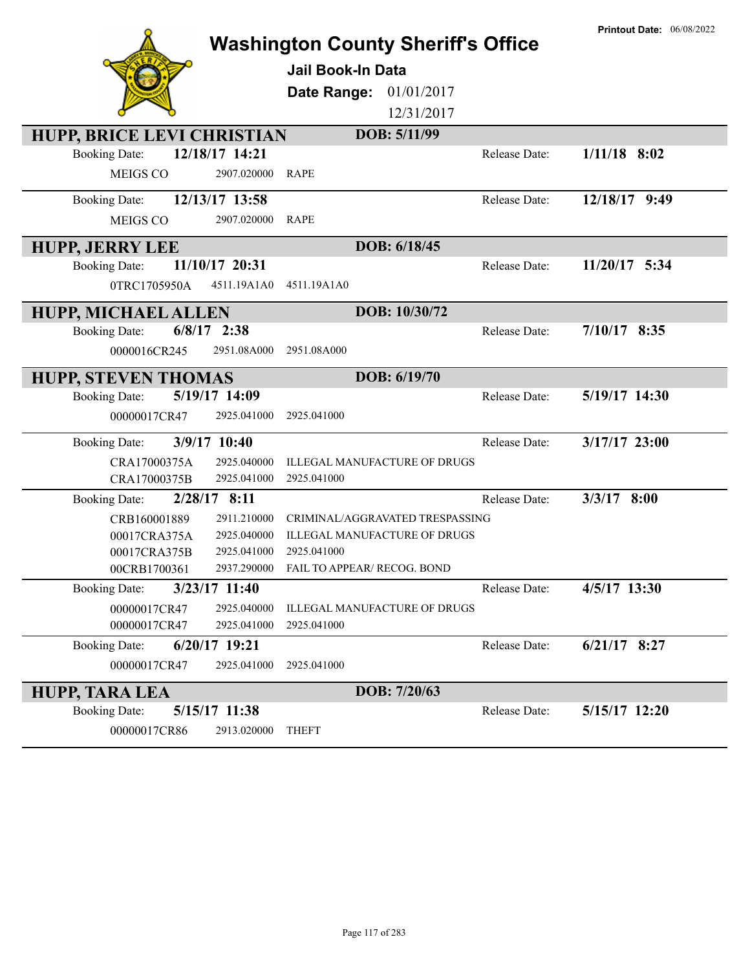|                                                    |                 | <b>Washington County Sheriff's Office</b> |               | <b>Printout Date: 06/08/2022</b> |
|----------------------------------------------------|-----------------|-------------------------------------------|---------------|----------------------------------|
|                                                    |                 | <b>Jail Book-In Data</b>                  |               |                                  |
|                                                    |                 |                                           |               |                                  |
|                                                    |                 | 01/01/2017<br>Date Range:<br>12/31/2017   |               |                                  |
|                                                    |                 |                                           |               |                                  |
| HUPP, BRICE LEVI CHRISTIAN<br><b>Booking Date:</b> | 12/18/17 14:21  | DOB: 5/11/99                              | Release Date: | $1/11/18$ 8:02                   |
| MEIGS CO                                           | 2907.020000     | <b>RAPE</b>                               |               |                                  |
|                                                    |                 |                                           |               |                                  |
| <b>Booking Date:</b>                               | 12/13/17 13:58  |                                           | Release Date: | 12/18/17 9:49                    |
| MEIGS CO                                           | 2907.020000     | <b>RAPE</b>                               |               |                                  |
| <b>HUPP, JERRY LEE</b>                             |                 | DOB: 6/18/45                              |               |                                  |
| <b>Booking Date:</b>                               | 11/10/17 20:31  |                                           | Release Date: | 11/20/17 5:34                    |
| 0TRC1705950A                                       | 4511.19A1A0     | 4511.19A1A0                               |               |                                  |
| <b>HUPP, MICHAEL ALLEN</b>                         |                 | DOB: 10/30/72                             |               |                                  |
| $6/8/17$ 2:38<br><b>Booking Date:</b>              |                 |                                           | Release Date: | $7/10/17$ 8:35                   |
| 0000016CR245                                       | 2951.08A000     | 2951.08A000                               |               |                                  |
| <b>HUPP, STEVEN THOMAS</b>                         |                 | DOB: 6/19/70                              |               |                                  |
| <b>Booking Date:</b>                               | 5/19/17 14:09   |                                           | Release Date: | 5/19/17 14:30                    |
| 00000017CR47                                       | 2925.041000     | 2925.041000                               |               |                                  |
| <b>Booking Date:</b>                               | 3/9/17 10:40    |                                           | Release Date: | 3/17/17 23:00                    |
| CRA17000375A                                       | 2925.040000     | ILLEGAL MANUFACTURE OF DRUGS              |               |                                  |
| CRA17000375B                                       | 2925.041000     | 2925.041000                               |               |                                  |
| <b>Booking Date:</b>                               | $2/28/17$ 8:11  |                                           | Release Date: | $3/3/17$ 8:00                    |
| CRB160001889                                       | 2911.210000     | CRIMINAL/AGGRAVATED TRESPASSING           |               |                                  |
| 00017CRA375A                                       | 2925.040000     | ILLEGAL MANUFACTURE OF DRUGS              |               |                                  |
| 00017CRA375B                                       | 2925.041000     | 2925.041000                               |               |                                  |
| 00CRB1700361                                       |                 | 2937.290000 FAIL TO APPEAR/ RECOG. BOND   |               |                                  |
| <b>Booking Date:</b>                               | $3/23/17$ 11:40 |                                           | Release Date: | 4/5/17 13:30                     |
| 00000017CR47                                       | 2925.040000     | ILLEGAL MANUFACTURE OF DRUGS              |               |                                  |
| 00000017CR47                                       | 2925.041000     | 2925.041000                               |               |                                  |
| <b>Booking Date:</b>                               | 6/20/17 19:21   |                                           | Release Date: | $6/21/17$ 8:27                   |
| 00000017CR47                                       | 2925.041000     | 2925.041000                               |               |                                  |
| <b>HUPP, TARA LEA</b>                              |                 | DOB: 7/20/63                              |               |                                  |
| <b>Booking Date:</b>                               | 5/15/17 11:38   |                                           | Release Date: | 5/15/17 12:20                    |
| 00000017CR86                                       | 2913.020000     | <b>THEFT</b>                              |               |                                  |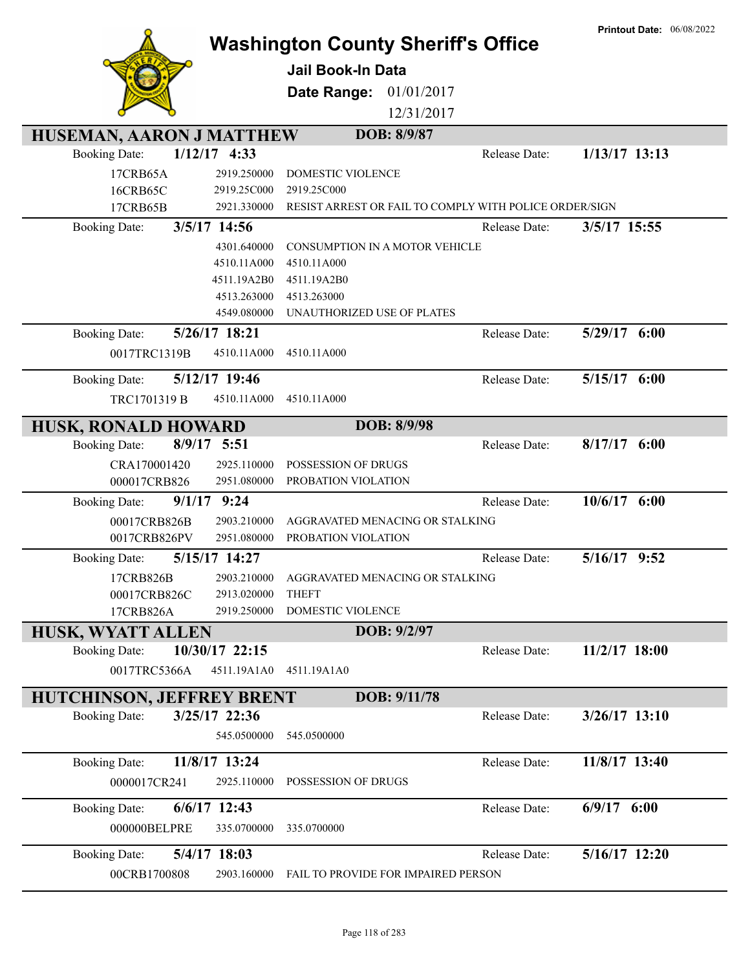|                                         |                 | <b>Washington County Sheriff's Office</b><br><b>Jail Book-In Data</b><br>Date Range: | 01/01/2017<br>12/31/2017 |               | <b>Printout Date: 06/08/2022</b> |
|-----------------------------------------|-----------------|--------------------------------------------------------------------------------------|--------------------------|---------------|----------------------------------|
| HUSEMAN, AARON J MATTHEW                |                 |                                                                                      | DOB: 8/9/87              |               |                                  |
| $1/12/17$ 4:33<br><b>Booking Date:</b>  |                 |                                                                                      |                          | Release Date: | $1/13/17$ 13:13                  |
| 17CRB65A                                | 2919.250000     | <b>DOMESTIC VIOLENCE</b>                                                             |                          |               |                                  |
| 16CRB65C                                | 2919.25C000     | 2919.25C000                                                                          |                          |               |                                  |
| 17CRB65B                                | 2921.330000     | RESIST ARREST OR FAIL TO COMPLY WITH POLICE ORDER/SIGN                               |                          |               |                                  |
| 3/5/17 14:56<br><b>Booking Date:</b>    |                 |                                                                                      |                          | Release Date: | 3/5/17 15:55                     |
|                                         | 4301.640000     | <b>CONSUMPTION IN A MOTOR VEHICLE</b>                                                |                          |               |                                  |
|                                         | 4510.11A000     | 4510.11A000                                                                          |                          |               |                                  |
|                                         | 4511.19A2B0     | 4511.19A2B0                                                                          |                          |               |                                  |
|                                         | 4513.263000     | 4513.263000                                                                          |                          |               |                                  |
|                                         | 4549.080000     | UNAUTHORIZED USE OF PLATES                                                           |                          |               |                                  |
| <b>Booking Date:</b>                    | $5/26/17$ 18:21 |                                                                                      |                          | Release Date: | 5/29/17 6:00                     |
| 0017TRC1319B                            | 4510.11A000     | 4510.11A000                                                                          |                          |               |                                  |
| <b>Booking Date:</b>                    | 5/12/17 19:46   |                                                                                      |                          | Release Date: | 5/15/17 6:00                     |
| TRC1701319 B                            | 4510.11A000     | 4510.11A000                                                                          |                          |               |                                  |
| <b>HUSK, RONALD HOWARD</b>              |                 |                                                                                      | DOB: 8/9/98              |               |                                  |
| 8/9/17 5:51<br><b>Booking Date:</b>     |                 |                                                                                      |                          | Release Date: | $8/17/17$ 6:00                   |
| CRA170001420                            | 2925.110000     | POSSESSION OF DRUGS                                                                  |                          |               |                                  |
| 000017CRB826                            | 2951.080000     | PROBATION VIOLATION                                                                  |                          |               |                                  |
| $9/1/17$ $9:24$<br><b>Booking Date:</b> |                 |                                                                                      |                          | Release Date: | $10/6/17$ 6:00                   |
| 00017CRB826B                            | 2903.210000     | AGGRAVATED MENACING OR STALKING                                                      |                          |               |                                  |
| 0017CRB826PV                            | 2951.080000     | PROBATION VIOLATION                                                                  |                          |               |                                  |
| <b>Booking Date:</b>                    | 5/15/17 14:27   |                                                                                      |                          | Release Date: | 5/16/17 9:52                     |
| 17CRB826B                               | 2903.210000     | AGGRAVATED MENACING OR STALKING                                                      |                          |               |                                  |
| 00017CRB826C                            | 2913.020000     | <b>THEFT</b>                                                                         |                          |               |                                  |
| 17CRB826A                               | 2919.250000     | <b>DOMESTIC VIOLENCE</b>                                                             |                          |               |                                  |
| <b>HUSK, WYATT ALLEN</b>                |                 |                                                                                      | DOB: 9/2/97              |               |                                  |
| <b>Booking Date:</b>                    | 10/30/17 22:15  |                                                                                      |                          | Release Date: | 11/2/17 18:00                    |
| 0017TRC5366A                            | 4511.19A1A0     | 4511.19A1A0                                                                          |                          |               |                                  |
| <b>HUTCHINSON, JEFFREY BRENT</b>        |                 |                                                                                      | DOB: 9/11/78             |               |                                  |
| <b>Booking Date:</b>                    | 3/25/17 22:36   |                                                                                      |                          | Release Date: | $3/26/17$ 13:10                  |
|                                         | 545.0500000     | 545.0500000                                                                          |                          |               |                                  |
| <b>Booking Date:</b>                    | 11/8/17 13:24   |                                                                                      |                          | Release Date: | 11/8/17 13:40                    |
| 0000017CR241                            | 2925.110000     | POSSESSION OF DRUGS                                                                  |                          |               |                                  |
| $6/6/17$ 12:43<br><b>Booking Date:</b>  |                 |                                                                                      |                          | Release Date: | $6/9/17$ $6:00$                  |
| 000000BELPRE                            | 335.0700000     | 335.0700000                                                                          |                          |               |                                  |
| 5/4/17 18:03<br><b>Booking Date:</b>    |                 |                                                                                      |                          | Release Date: | 5/16/17 12:20                    |
| 00CRB1700808                            | 2903.160000     | FAIL TO PROVIDE FOR IMPAIRED PERSON                                                  |                          |               |                                  |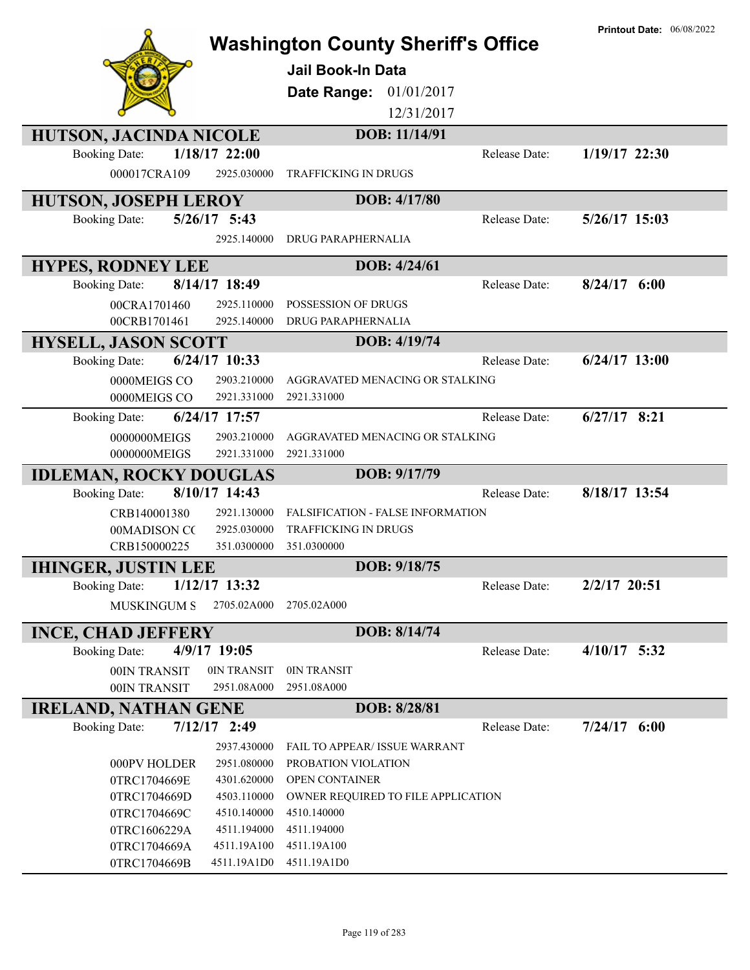|                                                            | <b>Washington County Sheriff's Office</b> | <b>Printout Date: 06/08/2022</b> |
|------------------------------------------------------------|-------------------------------------------|----------------------------------|
|                                                            | <b>Jail Book-In Data</b>                  |                                  |
|                                                            | Date Range:<br>01/01/2017                 |                                  |
|                                                            | 12/31/2017                                |                                  |
| <b>HUTSON, JACINDA NICOLE</b>                              | DOB: 11/14/91                             |                                  |
| $1/18/17$ 22:00<br><b>Booking Date:</b>                    | Release Date:                             | 1/19/17 22:30                    |
| 000017CRA109<br>2925.030000                                | <b>TRAFFICKING IN DRUGS</b>               |                                  |
| <b>HUTSON, JOSEPH LEROY</b>                                | DOB: 4/17/80                              |                                  |
| $5/26/17$ 5:43<br><b>Booking Date:</b>                     | Release Date:                             | 5/26/17 15:03                    |
| 2925.140000                                                | DRUG PARAPHERNALIA                        |                                  |
| <b>HYPES, RODNEY LEE</b>                                   | DOB: 4/24/61                              |                                  |
| 8/14/17 18:49<br><b>Booking Date:</b>                      | Release Date:                             | $8/24/17$ 6:00                   |
| 00CRA1701460<br>2925.110000                                | POSSESSION OF DRUGS                       |                                  |
| 2925.140000<br>00CRB1701461                                | DRUG PARAPHERNALIA                        |                                  |
| <b>HYSELL, JASON SCOTT</b>                                 | DOB: 4/19/74                              |                                  |
| 6/24/17 10:33<br><b>Booking Date:</b>                      | Release Date:                             | $6/24/17$ 13:00                  |
| 0000MEIGS CO<br>2903.210000                                | AGGRAVATED MENACING OR STALKING           |                                  |
| 2921.331000<br>0000MEIGS CO                                | 2921.331000                               |                                  |
| 6/24/17 17:57<br><b>Booking Date:</b>                      | Release Date:                             | $6/27/17$ 8:21                   |
| 0000000MEIGS<br>2903.210000                                | AGGRAVATED MENACING OR STALKING           |                                  |
| 2921.331000<br>0000000MEIGS                                | 2921.331000                               |                                  |
| <b>IDLEMAN, ROCKY DOUGLAS</b>                              | DOB: 9/17/79                              |                                  |
| 8/10/17 14:43<br><b>Booking Date:</b>                      | Release Date:                             | 8/18/17 13:54                    |
| CRB140001380<br>2921.130000                                | FALSIFICATION - FALSE INFORMATION         |                                  |
| 2925.030000<br>00MADISON CC                                | TRAFFICKING IN DRUGS                      |                                  |
| CRB150000225<br>351.0300000                                | 351.0300000                               |                                  |
| <b>IHINGER, JUSTIN LEE</b>                                 | DOB: 9/18/75                              |                                  |
| 1/12/17 13:32<br><b>Booking Date:</b>                      | Release Date:                             | 2/2/17 20:51                     |
| <b>MUSKINGUM S</b><br>2705.02A000                          | 2705.02A000                               |                                  |
| <b>INCE, CHAD JEFFERY</b>                                  | DOB: 8/14/74                              |                                  |
| <b>Booking Date:</b><br>$4/9/17$ 19:05                     | Release Date:                             | $4/10/17$ 5:32                   |
| 0IN TRANSIT<br>00IN TRANSIT                                | 0IN TRANSIT                               |                                  |
| 00IN TRANSIT<br>2951.08A000                                | 2951.08A000                               |                                  |
| <b>IRELAND, NATHAN GENE</b>                                | DOB: 8/28/81                              |                                  |
| $7/12/17$ 2:49<br><b>Booking Date:</b>                     | Release Date:                             | $7/24/17$ 6:00                   |
| 2937.430000                                                | FAIL TO APPEAR/ ISSUE WARRANT             |                                  |
| 2951.080000<br>000PV HOLDER                                | PROBATION VIOLATION                       |                                  |
| 0TRC1704669E<br>4301.620000                                | OPEN CONTAINER                            |                                  |
| 0TRC1704669D<br>4503.110000                                | OWNER REQUIRED TO FILE APPLICATION        |                                  |
| 0TRC1704669C<br>4510.140000<br>0TRC1606229A<br>4511.194000 | 4510.140000<br>4511.194000                |                                  |
| 0TRC1704669A<br>4511.19A100                                | 4511.19A100                               |                                  |
| 0TRC1704669B<br>4511.19A1D0                                | 4511.19A1D0                               |                                  |
|                                                            |                                           |                                  |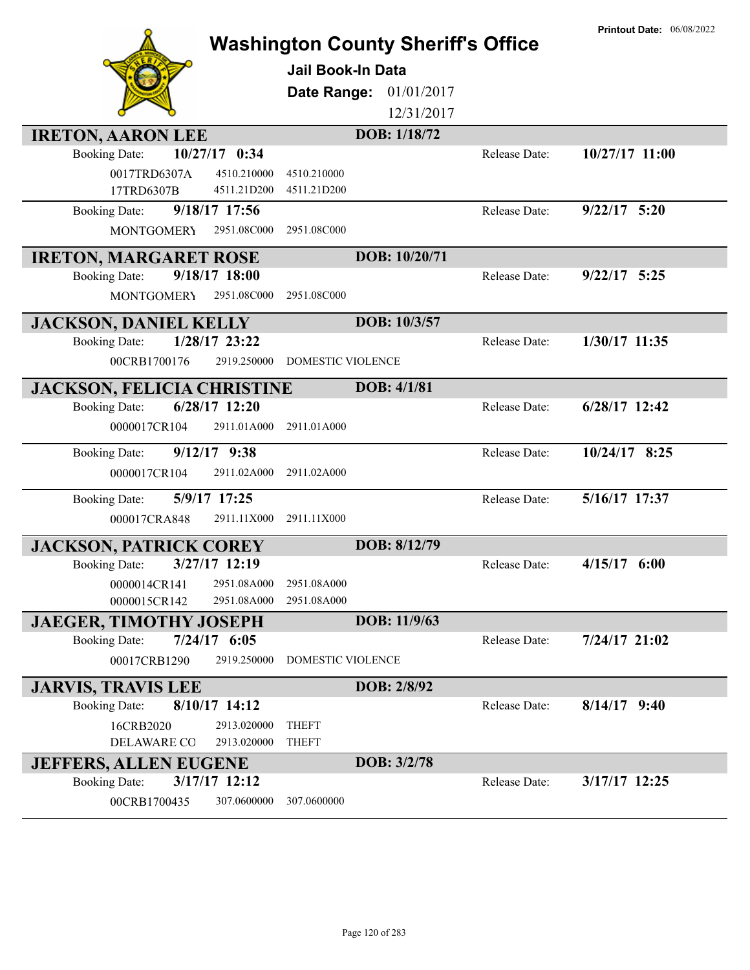|                                                          | <b>Washington County Sheriff's Office</b><br><b>Jail Book-In Data</b><br>Date Range:<br>01/01/2017<br>12/31/2017<br>DOB: 1/18/72 |                      | <b>Printout Date: 06/08/2022</b> |
|----------------------------------------------------------|----------------------------------------------------------------------------------------------------------------------------------|----------------------|----------------------------------|
| <b>IRETON, AARON LEE</b>                                 |                                                                                                                                  |                      | 10/27/17 11:00                   |
| 10/27/17 0:34<br><b>Booking Date:</b>                    |                                                                                                                                  | Release Date:        |                                  |
| 0017TRD6307A<br>4510.210000<br>17TRD6307B<br>4511.21D200 | 4510.210000<br>4511.21D200                                                                                                       |                      |                                  |
| 9/18/17 17:56                                            |                                                                                                                                  | Release Date:        | $9/22/17$ 5:20                   |
| <b>Booking Date:</b>                                     |                                                                                                                                  |                      |                                  |
| 2951.08C000<br><b>MONTGOMERY</b>                         | 2951.08C000                                                                                                                      |                      |                                  |
| <b>IRETON, MARGARET ROSE</b>                             | DOB: 10/20/71                                                                                                                    |                      |                                  |
| 9/18/17 18:00<br><b>Booking Date:</b>                    |                                                                                                                                  | <b>Release Date:</b> | $9/22/17$ 5:25                   |
| <b>MONTGOMERY</b><br>2951.08C000                         | 2951.08C000                                                                                                                      |                      |                                  |
| <b>JACKSON, DANIEL KELLY</b>                             | DOB: 10/3/57                                                                                                                     |                      |                                  |
| 1/28/17 23:22<br><b>Booking Date:</b>                    |                                                                                                                                  | Release Date:        | 1/30/17 11:35                    |
| 00CRB1700176<br>2919.250000                              | DOMESTIC VIOLENCE                                                                                                                |                      |                                  |
|                                                          |                                                                                                                                  |                      |                                  |
| <b>JACKSON, FELICIA CHRISTINE</b>                        | DOB: 4/1/81                                                                                                                      |                      |                                  |
| $6/28/17$ 12:20<br><b>Booking Date:</b>                  |                                                                                                                                  | Release Date:        | $6/28/17$ 12:42                  |
| 0000017CR104<br>2911.01A000                              | 2911.01A000                                                                                                                      |                      |                                  |
| $9/12/17$ $9:38$<br><b>Booking Date:</b>                 |                                                                                                                                  | Release Date:        | $10/24/17$ 8:25                  |
| 2911.02A000<br>0000017CR104                              | 2911.02A000                                                                                                                      |                      |                                  |
| 5/9/17 17:25<br><b>Booking Date:</b>                     |                                                                                                                                  | Release Date:        | 5/16/17 17:37                    |
| 2911.11X000<br>000017CRA848                              | 2911.11X000                                                                                                                      |                      |                                  |
|                                                          |                                                                                                                                  |                      |                                  |
| <b>JACKSON, PATRICK COREY</b>                            | DOB: 8/12/79                                                                                                                     |                      |                                  |
| 3/27/17 12:19<br><b>Booking Date:</b>                    |                                                                                                                                  | Release Date:        | $4/15/17$ 6:00                   |
| 2951.08A000<br>0000014CR141                              | 2951.08A000                                                                                                                      |                      |                                  |
| 0000015CR142<br>2951.08A000                              | 2951.08A000                                                                                                                      |                      |                                  |
| <b>JAEGER, TIMOTHY JOSEPH</b>                            | DOB: 11/9/63                                                                                                                     |                      |                                  |
| $7/24/17$ 6:05<br><b>Booking Date:</b>                   |                                                                                                                                  | Release Date:        | $7/24/17$ 21:02                  |
| 00017CRB1290<br>2919.250000                              | <b>DOMESTIC VIOLENCE</b>                                                                                                         |                      |                                  |
| <b>JARVIS, TRAVIS LEE</b>                                | DOB: 2/8/92                                                                                                                      |                      |                                  |
| 8/10/17 14:12<br><b>Booking Date:</b>                    |                                                                                                                                  | Release Date:        | $8/14/17$ 9:40                   |
| 16CRB2020<br>2913.020000                                 | <b>THEFT</b>                                                                                                                     |                      |                                  |
| DELAWARE CO<br>2913.020000                               | <b>THEFT</b>                                                                                                                     |                      |                                  |
| <b>JEFFERS, ALLEN EUGENE</b>                             | DOB: 3/2/78                                                                                                                      |                      |                                  |
| 3/17/17 12:12<br><b>Booking Date:</b>                    |                                                                                                                                  | Release Date:        | 3/17/17 12:25                    |
| 00CRB1700435<br>307.0600000                              | 307.0600000                                                                                                                      |                      |                                  |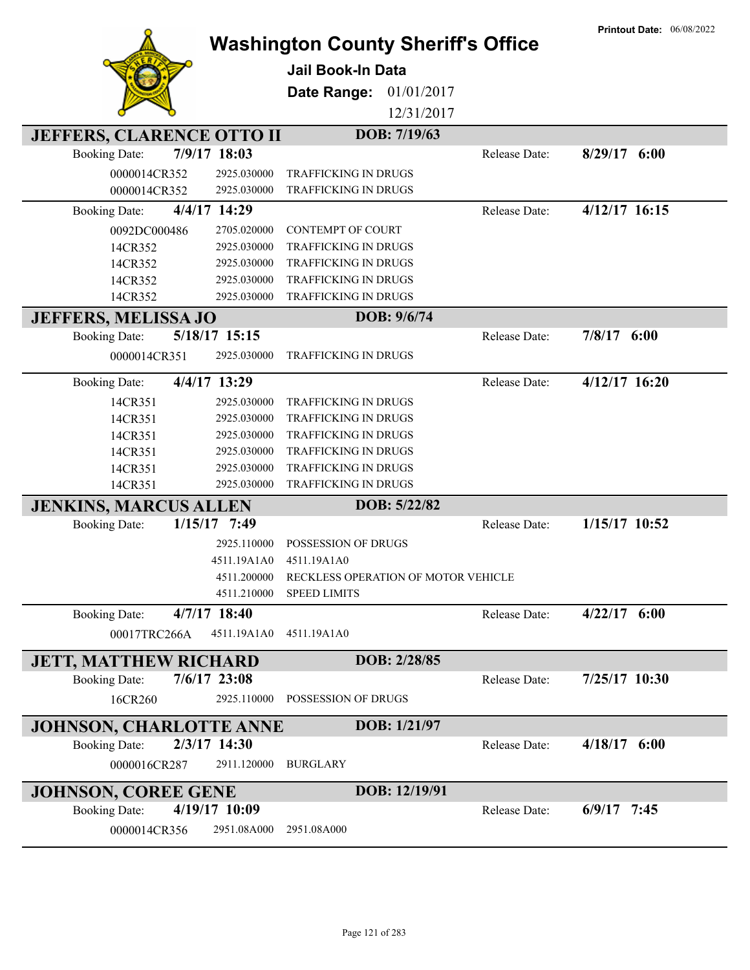|                                  |                | <b>Washington County Sheriff's Office</b><br>Jail Book-In Data<br>Date Range:<br>01/01/2017 |               | <b>Printout Date: 06/08/2022</b> |
|----------------------------------|----------------|---------------------------------------------------------------------------------------------|---------------|----------------------------------|
|                                  |                | 12/31/2017                                                                                  |               |                                  |
| <b>JEFFERS, CLARENCE OTTO II</b> |                | DOB: 7/19/63                                                                                |               |                                  |
| <b>Booking Date:</b>             | 7/9/17 18:03   |                                                                                             | Release Date: | $8/29/17$ 6:00                   |
| 0000014CR352                     | 2925.030000    | <b>TRAFFICKING IN DRUGS</b>                                                                 |               |                                  |
| 0000014CR352                     | 2925.030000    | <b>TRAFFICKING IN DRUGS</b>                                                                 |               |                                  |
| <b>Booking Date:</b>             | 4/4/17 14:29   |                                                                                             | Release Date: | 4/12/17 16:15                    |
| 0092DC000486                     | 2705.020000    | <b>CONTEMPT OF COURT</b>                                                                    |               |                                  |
| 14CR352                          | 2925.030000    | TRAFFICKING IN DRUGS                                                                        |               |                                  |
| 14CR352                          | 2925.030000    | TRAFFICKING IN DRUGS                                                                        |               |                                  |
| 14CR352                          | 2925.030000    | <b>TRAFFICKING IN DRUGS</b>                                                                 |               |                                  |
| 14CR352                          | 2925.030000    | TRAFFICKING IN DRUGS                                                                        |               |                                  |
| <b>JEFFERS, MELISSA JO</b>       |                | DOB: 9/6/74                                                                                 |               |                                  |
| <b>Booking Date:</b>             | 5/18/17 15:15  |                                                                                             | Release Date: | $7/8/17$ 6:00                    |
| 0000014CR351                     | 2925.030000    | <b>TRAFFICKING IN DRUGS</b>                                                                 |               |                                  |
| <b>Booking Date:</b>             | 4/4/17 13:29   |                                                                                             | Release Date: | $4/12/17$ 16:20                  |
| 14CR351                          | 2925.030000    | <b>TRAFFICKING IN DRUGS</b>                                                                 |               |                                  |
| 14CR351                          | 2925.030000    | TRAFFICKING IN DRUGS                                                                        |               |                                  |
| 14CR351                          | 2925.030000    | TRAFFICKING IN DRUGS                                                                        |               |                                  |
| 14CR351                          | 2925.030000    | TRAFFICKING IN DRUGS                                                                        |               |                                  |
| 14CR351                          | 2925.030000    | TRAFFICKING IN DRUGS                                                                        |               |                                  |
| 14CR351                          | 2925.030000    | TRAFFICKING IN DRUGS                                                                        |               |                                  |
| <b>JENKINS, MARCUS ALLEN</b>     |                | DOB: 5/22/82                                                                                |               |                                  |
| 1/15/17<br><b>Booking Date:</b>  | 7:49           |                                                                                             | Release Date: | 1/15/17 10:52                    |
|                                  | 2925.110000    | POSSESSION OF DRUGS                                                                         |               |                                  |
|                                  | 4511.19A1A0    | 4511.19A1A0                                                                                 |               |                                  |
|                                  |                | 4511.200000 RECKLESS OPERATION OF MOTOR VEHICLE                                             |               |                                  |
|                                  | 4511.210000    | <b>SPEED LIMITS</b>                                                                         |               |                                  |
| <b>Booking Date:</b>             | 4/7/17 18:40   |                                                                                             | Release Date: | $4/22/17$ 6:00                   |
| 00017TRC266A                     | 4511.19A1A0    | 4511.19A1A0                                                                                 |               |                                  |
| <b>JETT, MATTHEW RICHARD</b>     |                | DOB: 2/28/85                                                                                |               |                                  |
| <b>Booking Date:</b>             | $7/6/17$ 23:08 |                                                                                             | Release Date: | 7/25/17 10:30                    |
| 16CR260                          | 2925.110000    | POSSESSION OF DRUGS                                                                         |               |                                  |
| <b>JOHNSON, CHARLOTTE ANNE</b>   |                | DOB: 1/21/97                                                                                |               |                                  |
| <b>Booking Date:</b>             | 2/3/17 14:30   |                                                                                             | Release Date: | $4/18/17$ 6:00                   |
| 0000016CR287                     | 2911.120000    | <b>BURGLARY</b>                                                                             |               |                                  |
| <b>JOHNSON, COREE GENE</b>       |                | DOB: 12/19/91                                                                               |               |                                  |
| <b>Booking Date:</b>             | 4/19/17 10:09  |                                                                                             | Release Date: | $6/9/17$ 7:45                    |
| 0000014CR356                     | 2951.08A000    | 2951.08A000                                                                                 |               |                                  |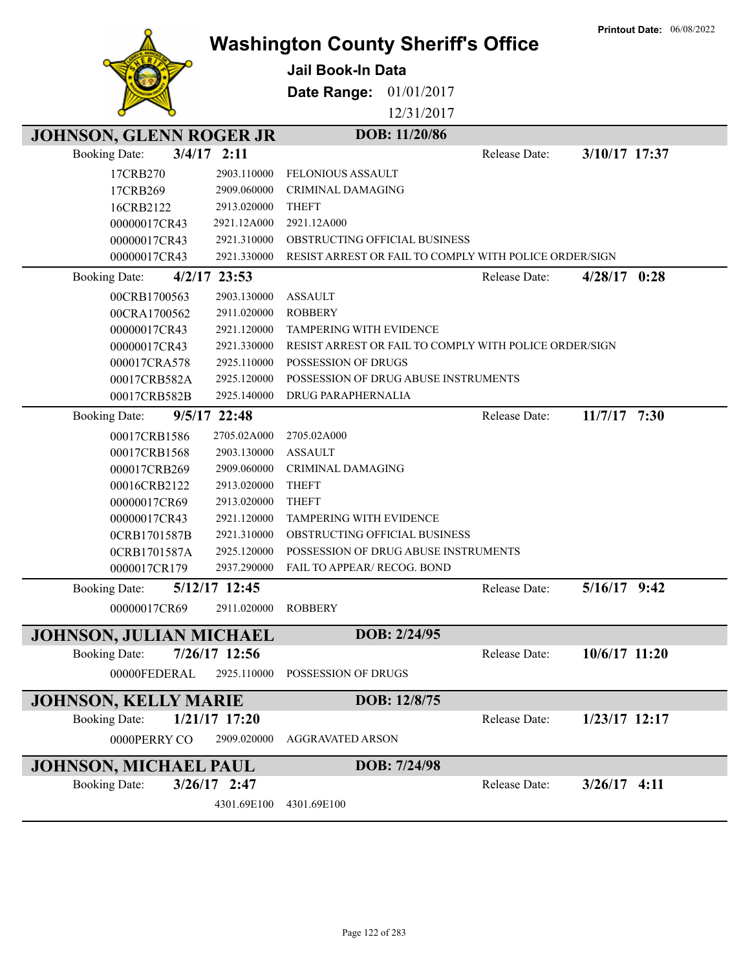|                                |                |                                                        |               | <b>Printout Date: 06/08/2022</b> |
|--------------------------------|----------------|--------------------------------------------------------|---------------|----------------------------------|
|                                |                | <b>Washington County Sheriff's Office</b>              |               |                                  |
|                                |                | Jail Book-In Data                                      |               |                                  |
|                                |                | Date Range:<br>01/01/2017                              |               |                                  |
|                                |                | 12/31/2017                                             |               |                                  |
| <b>JOHNSON, GLENN ROGER JR</b> |                | DOB: 11/20/86                                          |               |                                  |
| <b>Booking Date:</b>           | $3/4/17$ 2:11  |                                                        | Release Date: | 3/10/17 17:37                    |
| 17CRB270                       | 2903.110000    | <b>FELONIOUS ASSAULT</b>                               |               |                                  |
| 17CRB269                       | 2909.060000    | <b>CRIMINAL DAMAGING</b>                               |               |                                  |
| 16CRB2122                      | 2913.020000    | <b>THEFT</b>                                           |               |                                  |
| 00000017CR43                   | 2921.12A000    | 2921.12A000                                            |               |                                  |
| 00000017CR43                   | 2921.310000    | OBSTRUCTING OFFICIAL BUSINESS                          |               |                                  |
| 00000017CR43                   | 2921.330000    | RESIST ARREST OR FAIL TO COMPLY WITH POLICE ORDER/SIGN |               |                                  |
| <b>Booking Date:</b>           | $4/2/17$ 23:53 |                                                        | Release Date: | $4/28/17$ 0:28                   |
| 00CRB1700563                   | 2903.130000    | <b>ASSAULT</b>                                         |               |                                  |
| 00CRA1700562                   | 2911.020000    | <b>ROBBERY</b>                                         |               |                                  |
| 00000017CR43                   | 2921.120000    | <b>TAMPERING WITH EVIDENCE</b>                         |               |                                  |
| 00000017CR43                   | 2921.330000    | RESIST ARREST OR FAIL TO COMPLY WITH POLICE ORDER/SIGN |               |                                  |
| 000017CRA578                   | 2925.110000    | POSSESSION OF DRUGS                                    |               |                                  |
| 00017CRB582A                   | 2925.120000    | POSSESSION OF DRUG ABUSE INSTRUMENTS                   |               |                                  |
| 00017CRB582B                   | 2925.140000    | DRUG PARAPHERNALIA                                     |               |                                  |
| <b>Booking Date:</b>           | 9/5/17 22:48   |                                                        | Release Date: | $11/7/17$ 7:30                   |
| 00017CRB1586                   | 2705.02A000    | 2705.02A000                                            |               |                                  |
| 00017CRB1568                   | 2903.130000    | <b>ASSAULT</b>                                         |               |                                  |
| 000017CRB269                   | 2909.060000    | <b>CRIMINAL DAMAGING</b>                               |               |                                  |
| 00016CRB2122                   | 2913.020000    | <b>THEFT</b>                                           |               |                                  |
| 00000017CR69                   | 2913.020000    | <b>THEFT</b>                                           |               |                                  |
| 00000017CR43                   | 2921.120000    | <b>TAMPERING WITH EVIDENCE</b>                         |               |                                  |
| 0CRB1701587B                   | 2921.310000    | OBSTRUCTING OFFICIAL BUSINESS                          |               |                                  |
| 0CRB1701587A                   | 2925.120000    | POSSESSION OF DRUG ABUSE INSTRUMENTS                   |               |                                  |
| 0000017CR179                   | 2937.290000    | FAIL TO APPEAR/ RECOG. BOND                            |               |                                  |
| <b>Booking Date:</b>           | 5/12/17 12:45  |                                                        | Release Date: | $5/16/17$ 9:42                   |
| 00000017CR69                   | 2911.020000    | <b>ROBBERY</b>                                         |               |                                  |
| <b>JOHNSON, JULIAN MICHAEL</b> |                | DOB: 2/24/95                                           |               |                                  |
| <b>Booking Date:</b>           | 7/26/17 12:56  |                                                        | Release Date: | 10/6/17 11:20                    |
| 00000FEDERAL                   | 2925.110000    | POSSESSION OF DRUGS                                    |               |                                  |
|                                |                |                                                        |               |                                  |
| <b>JOHNSON, KELLY MARIE</b>    |                | DOB: 12/8/75                                           |               |                                  |
| <b>Booking Date:</b>           | 1/21/17 17:20  |                                                        | Release Date: | $1/23/17$ 12:17                  |
| 0000PERRY CO                   | 2909.020000    | <b>AGGRAVATED ARSON</b>                                |               |                                  |
| <b>JOHNSON, MICHAEL PAUL</b>   |                | DOB: 7/24/98                                           |               |                                  |
| <b>Booking Date:</b>           | $3/26/17$ 2:47 |                                                        | Release Date: | $3/26/17$ 4:11                   |
|                                | 4301.69E100    | 4301.69E100                                            |               |                                  |
|                                |                |                                                        |               |                                  |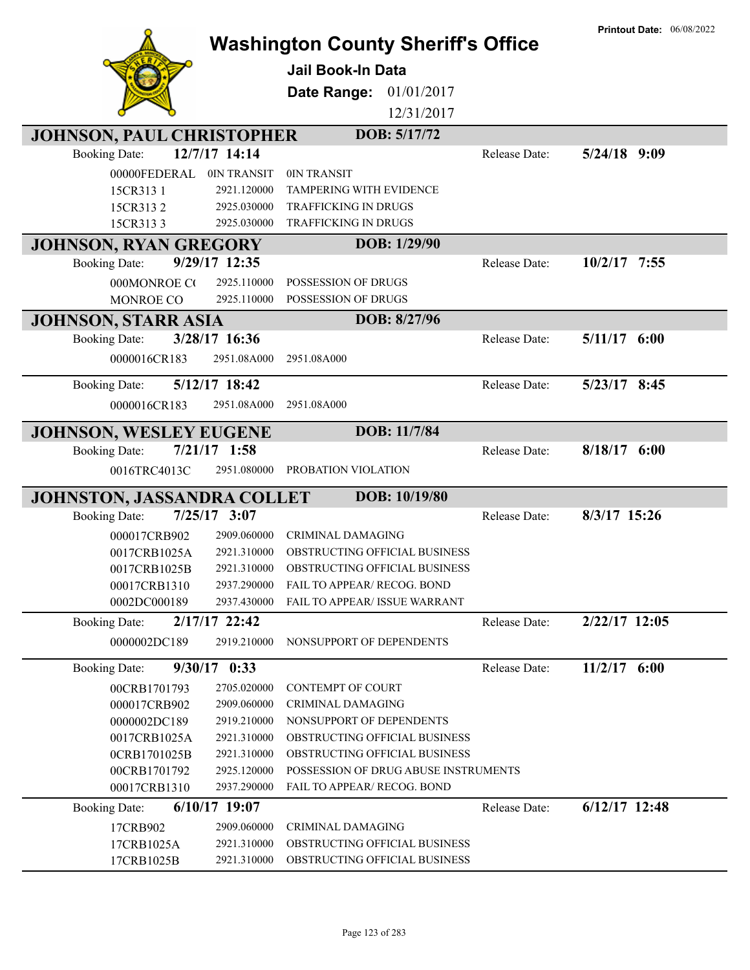|                                        |                                            |                                           | <b>Printout Date: 06/08/2022</b> |
|----------------------------------------|--------------------------------------------|-------------------------------------------|----------------------------------|
|                                        |                                            | <b>Washington County Sheriff's Office</b> |                                  |
|                                        | <b>Jail Book-In Data</b>                   |                                           |                                  |
|                                        |                                            |                                           |                                  |
|                                        | Date Range:                                | 01/01/2017                                |                                  |
|                                        |                                            | 12/31/2017                                |                                  |
| <b>JOHNSON, PAUL CHRISTOPHER</b>       |                                            | DOB: 5/17/72                              |                                  |
| 12/7/17 14:14<br><b>Booking Date:</b>  |                                            | Release Date:                             | $5/24/18$ 9:09                   |
| 00000FEDERAL                           | 0IN TRANSIT<br>0IN TRANSIT                 |                                           |                                  |
| 15CR313 1                              | TAMPERING WITH EVIDENCE<br>2921.120000     |                                           |                                  |
| 15CR3132                               | TRAFFICKING IN DRUGS<br>2925.030000        |                                           |                                  |
| 15CR3133                               | TRAFFICKING IN DRUGS<br>2925.030000        |                                           |                                  |
| <b>JOHNSON, RYAN GREGORY</b>           |                                            | DOB: 1/29/90                              |                                  |
| 9/29/17 12:35<br><b>Booking Date:</b>  |                                            | Release Date:                             | $10/2/17$ 7:55                   |
| 000MONROE CO                           | 2925.110000<br>POSSESSION OF DRUGS         |                                           |                                  |
| MONROE CO                              | 2925.110000<br>POSSESSION OF DRUGS         |                                           |                                  |
| <b>JOHNSON, STARR ASIA</b>             |                                            | DOB: 8/27/96                              |                                  |
| 3/28/17 16:36<br><b>Booking Date:</b>  |                                            | Release Date:                             | $5/11/17$ 6:00                   |
| 0000016CR183                           | 2951.08A000<br>2951.08A000                 |                                           |                                  |
|                                        |                                            |                                           |                                  |
| 5/12/17 18:42<br><b>Booking Date:</b>  |                                            | Release Date:                             | 5/23/17 8:45                     |
| 0000016CR183                           | 2951.08A000<br>2951.08A000                 |                                           |                                  |
| <b>JOHNSON, WESLEY EUGENE</b>          |                                            | DOB: 11/7/84                              |                                  |
| $7/21/17$ 1:58<br><b>Booking Date:</b> |                                            | Release Date:                             | $8/18/17$ 6:00                   |
| 0016TRC4013C                           | 2951.080000<br>PROBATION VIOLATION         |                                           |                                  |
|                                        |                                            |                                           |                                  |
| <b>JOHNSTON, JASSANDRA COLLET</b>      |                                            | DOB: 10/19/80                             |                                  |
| $7/25/17$ 3:07<br><b>Booking Date:</b> |                                            | Release Date:                             | $8/3/17$ 15:26                   |
| 000017CRB902                           | 2909.060000<br><b>CRIMINAL DAMAGING</b>    |                                           |                                  |
| 0017CRB1025A                           | 2921.310000                                | OBSTRUCTING OFFICIAL BUSINESS             |                                  |
| 0017CRB1025B                           | 2921.310000                                | OBSTRUCTING OFFICIAL BUSINESS             |                                  |
| 00017CRB1310                           | 2937.290000<br>FAIL TO APPEAR/ RECOG. BOND |                                           |                                  |
| 0002DC000189                           | 2937.430000                                | FAIL TO APPEAR/ ISSUE WARRANT             |                                  |
| 2/17/17 22:42<br><b>Booking Date:</b>  |                                            | Release Date:                             | 2/22/17 12:05                    |
| 0000002DC189                           | 2919.210000<br>NONSUPPORT OF DEPENDENTS    |                                           |                                  |
| $9/30/17$ 0:33<br><b>Booking Date:</b> |                                            | Release Date:                             | $11/2/17$ 6:00                   |
| 00CRB1701793                           | 2705.020000<br>CONTEMPT OF COURT           |                                           |                                  |
| 000017CRB902                           | 2909.060000<br>CRIMINAL DAMAGING           |                                           |                                  |
| 0000002DC189                           | 2919.210000<br>NONSUPPORT OF DEPENDENTS    |                                           |                                  |
| 0017CRB1025A                           | 2921.310000                                | OBSTRUCTING OFFICIAL BUSINESS             |                                  |
| 0CRB1701025B                           | 2921.310000                                | OBSTRUCTING OFFICIAL BUSINESS             |                                  |
| 00CRB1701792                           | 2925.120000                                | POSSESSION OF DRUG ABUSE INSTRUMENTS      |                                  |
| 00017CRB1310                           | 2937.290000<br>FAIL TO APPEAR/ RECOG. BOND |                                           |                                  |
| 6/10/17 19:07<br><b>Booking Date:</b>  |                                            | Release Date:                             | $6/12/17$ 12:48                  |
| 17CRB902                               | 2909.060000<br><b>CRIMINAL DAMAGING</b>    |                                           |                                  |
|                                        | 2921.310000                                |                                           |                                  |
| 17CRB1025A                             |                                            | OBSTRUCTING OFFICIAL BUSINESS             |                                  |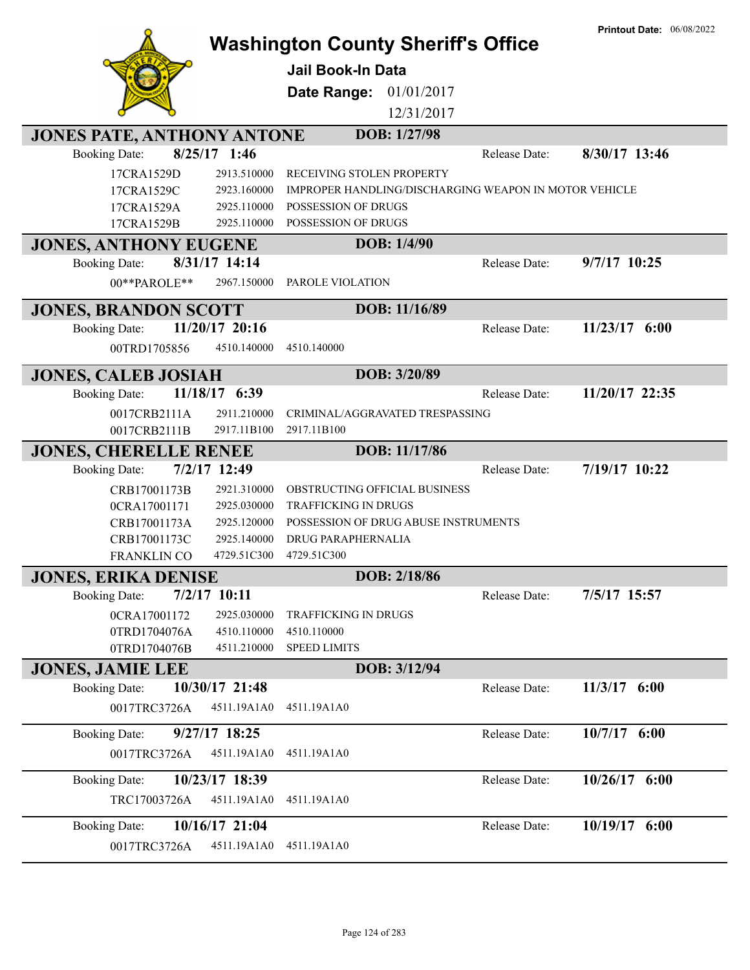|                                                      |                            | <b>Washington County Sheriff's Office</b><br><b>Jail Book-In Data</b>               |               | <b>Printout Date: 06/08/2022</b> |
|------------------------------------------------------|----------------------------|-------------------------------------------------------------------------------------|---------------|----------------------------------|
|                                                      |                            | 01/01/2017<br>Date Range:                                                           |               |                                  |
|                                                      |                            | 12/31/2017                                                                          |               |                                  |
|                                                      |                            | DOB: 1/27/98                                                                        |               |                                  |
| <b>JONES PATE, ANTHONY ANTONE</b>                    | $8/25/17$ 1:46             |                                                                                     |               |                                  |
| <b>Booking Date:</b>                                 |                            |                                                                                     | Release Date: | 8/30/17 13:46                    |
| 17CRA1529D                                           | 2913.510000                | RECEIVING STOLEN PROPERTY                                                           |               |                                  |
| 17CRA1529C<br>17CRA1529A                             | 2923.160000<br>2925.110000 | <b>IMPROPER HANDLING/DISCHARGING WEAPON IN MOTOR VEHICLE</b><br>POSSESSION OF DRUGS |               |                                  |
| 17CRA1529B                                           | 2925.110000                | POSSESSION OF DRUGS                                                                 |               |                                  |
|                                                      |                            | DOB: 1/4/90                                                                         |               |                                  |
| <b>JONES, ANTHONY EUGENE</b><br><b>Booking Date:</b> | 8/31/17 14:14              |                                                                                     | Release Date: | $9/7/17$ 10:25                   |
|                                                      |                            |                                                                                     |               |                                  |
| 00**PAROLE**                                         | 2967.150000                | PAROLE VIOLATION                                                                    |               |                                  |
| <b>JONES, BRANDON SCOTT</b>                          |                            | DOB: 11/16/89                                                                       |               |                                  |
| <b>Booking Date:</b>                                 | 11/20/17 20:16             |                                                                                     | Release Date: | $11/23/17$ 6:00                  |
| 00TRD1705856                                         | 4510.140000                | 4510.140000                                                                         |               |                                  |
| <b>JONES, CALEB JOSIAH</b>                           |                            | DOB: 3/20/89                                                                        |               |                                  |
| <b>Booking Date:</b>                                 | 11/18/17 6:39              |                                                                                     | Release Date: | 11/20/17 22:35                   |
| 0017CRB2111A                                         | 2911.210000                | CRIMINAL/AGGRAVATED TRESPASSING                                                     |               |                                  |
| 0017CRB2111B                                         | 2917.11B100                | 2917.11B100                                                                         |               |                                  |
| <b>JONES, CHERELLE RENEE</b>                         |                            | DOB: 11/17/86                                                                       |               |                                  |
| <b>Booking Date:</b>                                 | 7/2/17 12:49               |                                                                                     | Release Date: | 7/19/17 10:22                    |
| CRB17001173B                                         | 2921.310000                | OBSTRUCTING OFFICIAL BUSINESS                                                       |               |                                  |
| 0CRA17001171                                         | 2925.030000                | <b>TRAFFICKING IN DRUGS</b>                                                         |               |                                  |
| CRB17001173A                                         | 2925.120000                | POSSESSION OF DRUG ABUSE INSTRUMENTS                                                |               |                                  |
| CRB17001173C                                         | 2925.140000                | DRUG PARAPHERNALIA                                                                  |               |                                  |
| FRANKLIN CO                                          | 4729.51C300                | 4729.51C300                                                                         |               |                                  |
| <b>JONES, ERIKA DENISE</b>                           |                            | DOB: 2/18/86                                                                        |               |                                  |
| <b>Booking Date:</b>                                 | 7/2/17 10:11               |                                                                                     | Release Date: | 7/5/17 15:57                     |
| 0CRA17001172                                         | 2925.030000                | <b>TRAFFICKING IN DRUGS</b>                                                         |               |                                  |
| 0TRD1704076A                                         | 4510.110000                | 4510.110000                                                                         |               |                                  |
| 0TRD1704076B                                         | 4511.210000                | <b>SPEED LIMITS</b>                                                                 |               |                                  |
| <b>JONES, JAMIE LEE</b>                              |                            | DOB: 3/12/94                                                                        |               |                                  |
| <b>Booking Date:</b>                                 | 10/30/17 21:48             |                                                                                     | Release Date: | $11/3/17$ 6:00                   |
| 0017TRC3726A                                         | 4511.19A1A0                | 4511.19A1A0                                                                         |               |                                  |
| <b>Booking Date:</b>                                 | 9/27/17 18:25              |                                                                                     | Release Date: | $10/7/17$ 6:00                   |
| 0017TRC3726A                                         | 4511.19A1A0                | 4511.19A1A0                                                                         |               |                                  |
| <b>Booking Date:</b>                                 | 10/23/17 18:39             |                                                                                     | Release Date: | 10/26/17 6:00                    |
| TRC17003726A                                         | 4511.19A1A0                | 4511.19A1A0                                                                         |               |                                  |
|                                                      | 10/16/17 21:04             |                                                                                     |               | 10/19/17 6:00                    |
| <b>Booking Date:</b>                                 |                            |                                                                                     | Release Date: |                                  |
| 0017TRC3726A                                         | 4511.19A1A0                | 4511.19A1A0                                                                         |               |                                  |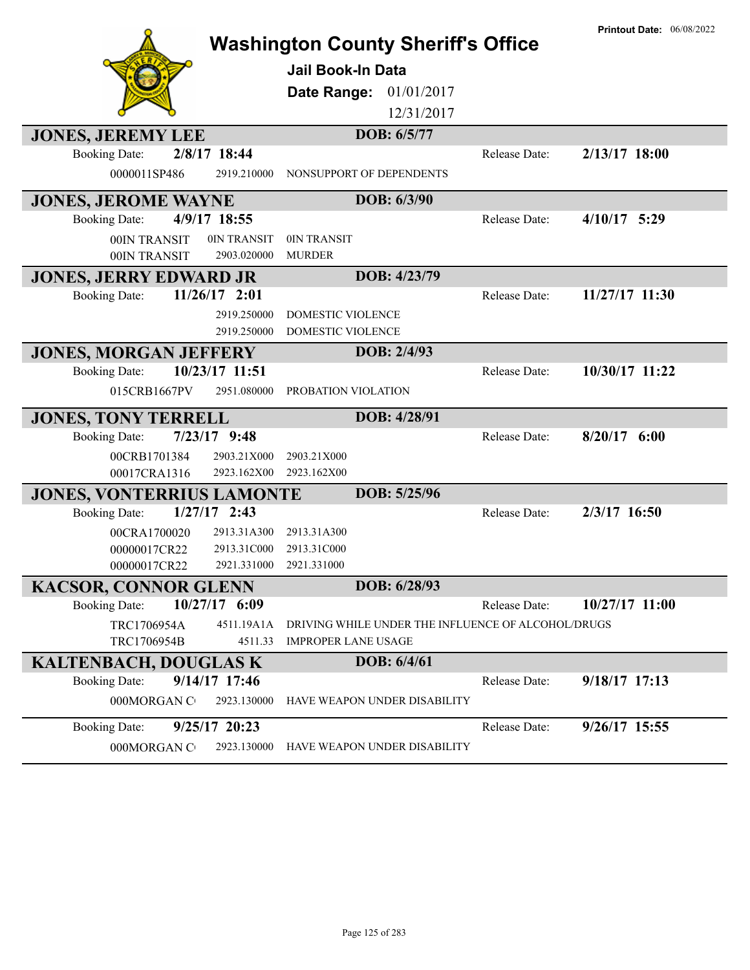|                                                                         | <b>Washington County Sheriff's Office</b>                                        |               | <b>Printout Date: 06/08/2022</b> |
|-------------------------------------------------------------------------|----------------------------------------------------------------------------------|---------------|----------------------------------|
|                                                                         | <b>Jail Book-In Data</b>                                                         |               |                                  |
|                                                                         | 01/01/2017<br>Date Range:                                                        |               |                                  |
|                                                                         | 12/31/2017                                                                       |               |                                  |
| <b>JONES, JEREMY LEE</b>                                                | DOB: 6/5/77                                                                      |               |                                  |
| 2/8/17 18:44<br><b>Booking Date:</b>                                    |                                                                                  | Release Date: | $2/13/17$ 18:00                  |
| 0000011SP486<br>2919.210000                                             | NONSUPPORT OF DEPENDENTS                                                         |               |                                  |
| <b>JONES, JEROME WAYNE</b>                                              | DOB: 6/3/90                                                                      |               |                                  |
| 4/9/17 18:55<br><b>Booking Date:</b>                                    |                                                                                  | Release Date: | $4/10/17$ 5:29                   |
| 0IN TRANSIT<br>00IN TRANSIT                                             | 0IN TRANSIT                                                                      |               |                                  |
| 2903.020000<br>00IN TRANSIT                                             | <b>MURDER</b>                                                                    |               |                                  |
| <b>JONES, JERRY EDWARD JR</b>                                           | DOB: 4/23/79                                                                     |               |                                  |
| $11/26/17$ 2:01<br><b>Booking Date:</b>                                 |                                                                                  | Release Date: | 11/27/17 11:30                   |
| 2919.250000                                                             | <b>DOMESTIC VIOLENCE</b>                                                         |               |                                  |
| 2919.250000                                                             | DOMESTIC VIOLENCE                                                                |               |                                  |
| <b>JONES, MORGAN JEFFERY</b>                                            | DOB: 2/4/93                                                                      |               |                                  |
| 10/23/17 11:51<br><b>Booking Date:</b>                                  |                                                                                  | Release Date: | 10/30/17 11:22                   |
| 015CRB1667PV<br>2951.080000                                             | PROBATION VIOLATION                                                              |               |                                  |
| <b>JONES, TONY TERRELL</b>                                              | DOB: 4/28/91                                                                     |               |                                  |
| $7/23/17$ 9:48<br><b>Booking Date:</b>                                  |                                                                                  | Release Date: | $8/20/17$ 6:00                   |
| 2903.21X000<br>00CRB1701384                                             | 2903.21X000                                                                      |               |                                  |
| 2923.162X00<br>00017CRA1316                                             | 2923.162X00                                                                      |               |                                  |
| <b>JONES, VONTERRIUS LAMONTE</b>                                        | DOB: 5/25/96                                                                     |               |                                  |
| $1/27/17$ 2:43<br><b>Booking Date:</b>                                  |                                                                                  | Release Date: | 2/3/17 16:50                     |
| 00CRA1700020<br>2913.31A300                                             | 2913.31A300                                                                      |               |                                  |
| 00000017CR22<br>2913.31C000                                             | 2913.31C000                                                                      |               |                                  |
| 00000017CR22<br>2921.331000                                             | 2921.331000                                                                      |               |                                  |
| <b>KACSOR, CONNOR GLENN</b>                                             | DOB: 6/28/93                                                                     |               |                                  |
| 10/27/17 6:09<br><b>Booking Date:</b>                                   |                                                                                  | Release Date: | 10/27/17 11:00                   |
| TRC1706954A<br>4511.19A1A<br>TRC1706954B<br>4511.33                     | DRIVING WHILE UNDER THE INFLUENCE OF ALCOHOL/DRUGS<br><b>IMPROPER LANE USAGE</b> |               |                                  |
|                                                                         | DOB: 6/4/61                                                                      |               |                                  |
| <b>KALTENBACH, DOUGLAS K</b><br>$9/14/17$ 17:46<br><b>Booking Date:</b> |                                                                                  | Release Date: | 9/18/17 17:13                    |
| 2923.130000<br>000MORGAN C                                              | HAVE WEAPON UNDER DISABILITY                                                     |               |                                  |
|                                                                         |                                                                                  |               |                                  |
| 9/25/17 20:23<br><b>Booking Date:</b>                                   |                                                                                  | Release Date: | 9/26/17 15:55                    |
| 000MORGAN C<br>2923.130000                                              | HAVE WEAPON UNDER DISABILITY                                                     |               |                                  |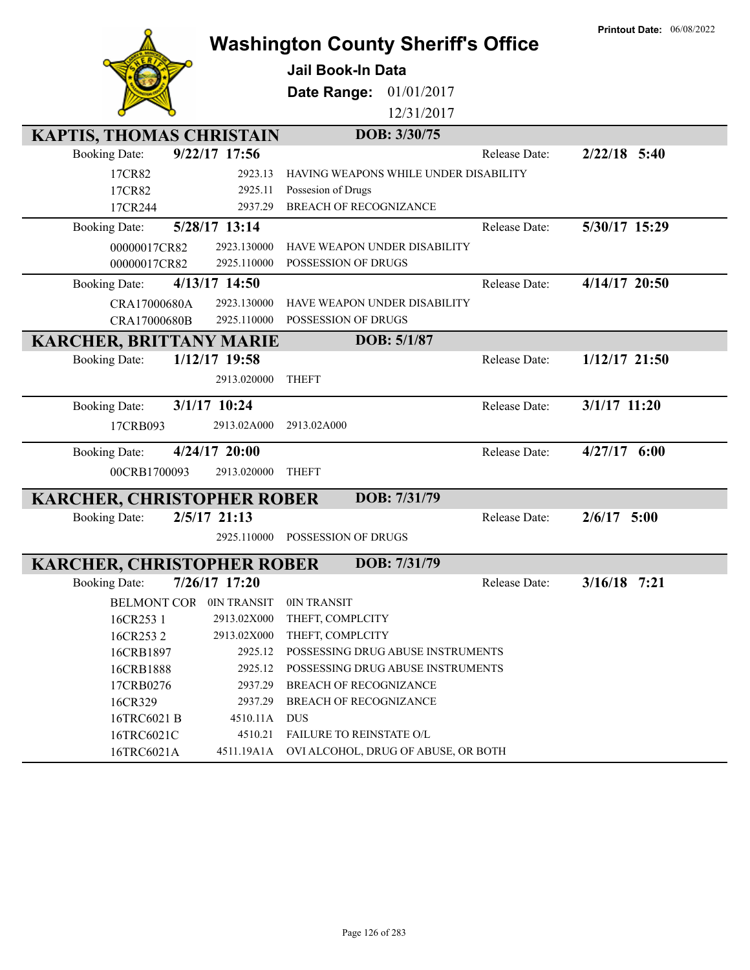|                                         |                                           |               | <b>Printout Date: 06/08/2022</b> |
|-----------------------------------------|-------------------------------------------|---------------|----------------------------------|
|                                         | <b>Washington County Sheriff's Office</b> |               |                                  |
|                                         | <b>Jail Book-In Data</b>                  |               |                                  |
|                                         | Date Range:<br>01/01/2017                 |               |                                  |
|                                         | 12/31/2017                                |               |                                  |
| <b>KAPTIS, THOMAS CHRISTAIN</b>         | DOB: 3/30/75                              |               |                                  |
| 9/22/17 17:56<br><b>Booking Date:</b>   |                                           | Release Date: | $2/22/18$ 5:40                   |
| 17CR82<br>2923.13                       | HAVING WEAPONS WHILE UNDER DISABILITY     |               |                                  |
| 2925.11<br>17CR82                       | Possesion of Drugs                        |               |                                  |
| 2937.29<br>17CR244                      | <b>BREACH OF RECOGNIZANCE</b>             |               |                                  |
| 5/28/17 13:14<br><b>Booking Date:</b>   |                                           | Release Date: | 5/30/17 15:29                    |
| 00000017CR82<br>2923.130000             | HAVE WEAPON UNDER DISABILITY              |               |                                  |
| 2925.110000<br>00000017CR82             | POSSESSION OF DRUGS                       |               |                                  |
| 4/13/17 14:50<br><b>Booking Date:</b>   |                                           | Release Date: | 4/14/17 20:50                    |
| CRA17000680A<br>2923.130000             | HAVE WEAPON UNDER DISABILITY              |               |                                  |
| CRA17000680B<br>2925.110000             | POSSESSION OF DRUGS                       |               |                                  |
| <b>KARCHER, BRITTANY MARIE</b>          | DOB: 5/1/87                               |               |                                  |
| 1/12/17 19:58<br><b>Booking Date:</b>   |                                           | Release Date: | $1/12/17$ 21:50                  |
| 2913.020000                             | <b>THEFT</b>                              |               |                                  |
|                                         |                                           |               |                                  |
| 3/1/17 10:24<br><b>Booking Date:</b>    |                                           | Release Date: | $3/1/17$ 11:20                   |
| 2913.02A000<br>17CRB093                 | 2913.02A000                               |               |                                  |
| $4/24/17$ 20:00<br><b>Booking Date:</b> |                                           | Release Date: | $4/27/17$ 6:00                   |
| 00CRB1700093<br>2913.020000             | <b>THEFT</b>                              |               |                                  |
| <b>KARCHER, CHRISTOPHER ROBER</b>       | DOB: 7/31/79                              |               |                                  |
| $2/5/17$ 21:13<br><b>Booking Date:</b>  |                                           | Release Date: | $2/6/17$ 5:00                    |
| 2925.110000                             | POSSESSION OF DRUGS                       |               |                                  |
|                                         |                                           |               |                                  |
| <b>KARCHER, CHRISTOPHER ROBER</b>       | DOB: 7/31/79                              |               |                                  |
| 7/26/17 17:20<br><b>Booking Date:</b>   |                                           | Release Date: | $3/16/18$ 7:21                   |
| <b>BELMONT COR</b><br>0IN TRANSIT       | 0IN TRANSIT                               |               |                                  |
| 2913.02X000<br>16CR253 1                | THEFT, COMPLCITY                          |               |                                  |
| 16CR2532<br>2913.02X000                 | THEFT, COMPLCITY                          |               |                                  |
| 16CRB1897<br>2925.12                    | POSSESSING DRUG ABUSE INSTRUMENTS         |               |                                  |
| 16CRB1888<br>2925.12                    | POSSESSING DRUG ABUSE INSTRUMENTS         |               |                                  |
| 2937.29<br>17CRB0276                    | <b>BREACH OF RECOGNIZANCE</b>             |               |                                  |
| 16CR329<br>2937.29                      | BREACH OF RECOGNIZANCE                    |               |                                  |
| 16TRC6021 B<br>4510.11A                 | <b>DUS</b>                                |               |                                  |
| 16TRC6021C<br>4510.21                   | FAILURE TO REINSTATE O/L                  |               |                                  |
| 16TRC6021A<br>4511.19A1A                | OVI ALCOHOL, DRUG OF ABUSE, OR BOTH       |               |                                  |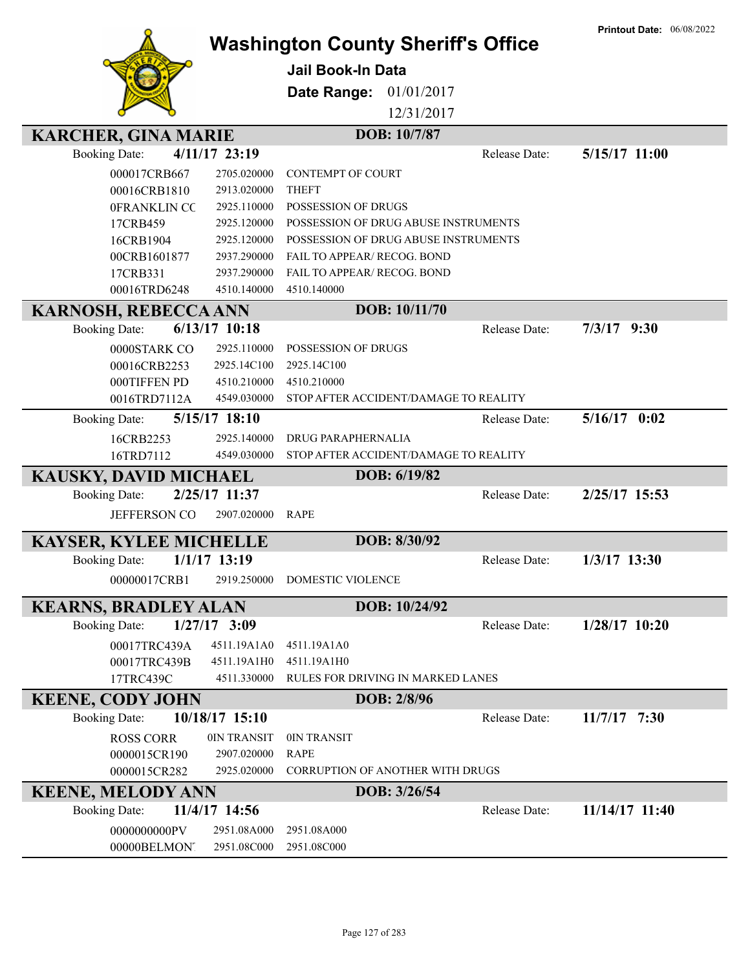|                               |                |                                           |               | <b>Printout Date: 06/08/2022</b> |
|-------------------------------|----------------|-------------------------------------------|---------------|----------------------------------|
|                               |                | <b>Washington County Sheriff's Office</b> |               |                                  |
|                               |                | <b>Jail Book-In Data</b>                  |               |                                  |
|                               |                | Date Range:<br>01/01/2017                 |               |                                  |
|                               |                |                                           |               |                                  |
|                               |                | 12/31/2017                                |               |                                  |
| <b>KARCHER, GINA MARIE</b>    |                | DOB: 10/7/87                              |               |                                  |
| <b>Booking Date:</b>          | 4/11/17 23:19  |                                           | Release Date: | 5/15/17 11:00                    |
| 000017CRB667                  | 2705.020000    | <b>CONTEMPT OF COURT</b>                  |               |                                  |
| 00016CRB1810                  | 2913.020000    | <b>THEFT</b>                              |               |                                  |
| 0FRANKLIN CC                  | 2925.110000    | <b>POSSESSION OF DRUGS</b>                |               |                                  |
| 17CRB459                      | 2925.120000    | POSSESSION OF DRUG ABUSE INSTRUMENTS      |               |                                  |
| 16CRB1904                     | 2925.120000    | POSSESSION OF DRUG ABUSE INSTRUMENTS      |               |                                  |
| 00CRB1601877                  | 2937.290000    | <b>FAIL TO APPEAR/ RECOG. BOND</b>        |               |                                  |
| 17CRB331                      | 2937.290000    | FAIL TO APPEAR/ RECOG. BOND               |               |                                  |
| 00016TRD6248                  | 4510.140000    | 4510.140000                               |               |                                  |
| <b>KARNOSH, REBECCA ANN</b>   |                | DOB: 10/11/70                             |               |                                  |
| <b>Booking Date:</b>          | 6/13/17 10:18  |                                           | Release Date: | $7/3/17$ 9:30                    |
| 0000STARK CO                  | 2925.110000    | POSSESSION OF DRUGS                       |               |                                  |
| 00016CRB2253                  | 2925.14C100    | 2925.14C100                               |               |                                  |
| 000TIFFEN PD                  | 4510.210000    | 4510.210000                               |               |                                  |
| 0016TRD7112A                  | 4549.030000    | STOP AFTER ACCIDENT/DAMAGE TO REALITY     |               |                                  |
| <b>Booking Date:</b>          | 5/15/17 18:10  |                                           | Release Date: | $5/16/17$ 0:02                   |
| 16CRB2253                     | 2925.140000    | <b>DRUG PARAPHERNALIA</b>                 |               |                                  |
| 16TRD7112                     | 4549.030000    | STOP AFTER ACCIDENT/DAMAGE TO REALITY     |               |                                  |
| <b>KAUSKY, DAVID MICHAEL</b>  |                | DOB: 6/19/82                              |               |                                  |
| <b>Booking Date:</b>          | 2/25/17 11:37  |                                           | Release Date: | 2/25/17 15:53                    |
| <b>JEFFERSON CO</b>           | 2907.020000    | <b>RAPE</b>                               |               |                                  |
|                               |                |                                           |               |                                  |
| <b>KAYSER, KYLEE MICHELLE</b> |                | DOB: 8/30/92                              |               |                                  |
| <b>Booking Date:</b>          | $1/1/17$ 13:19 |                                           | Release Date: | $1/3/17$ 13:30                   |
| 00000017CRB1                  | 2919.250000    | DOMESTIC VIOLENCE                         |               |                                  |
|                               |                | DOB: 10/24/92                             |               |                                  |
| <b>KEARNS, BRADLEY ALAN</b>   |                |                                           |               |                                  |
| <b>Booking Date:</b>          | $1/27/17$ 3:09 |                                           | Release Date: | $1/28/17$ 10:20                  |
| 00017TRC439A                  | 4511.19A1A0    | 4511.19A1A0                               |               |                                  |
| 00017TRC439B                  | 4511.19A1H0    | 4511.19A1H0                               |               |                                  |
| 17TRC439C                     | 4511.330000    | RULES FOR DRIVING IN MARKED LANES         |               |                                  |
| <b>KEENE, CODY JOHN</b>       |                | DOB: 2/8/96                               |               |                                  |
| <b>Booking Date:</b>          | 10/18/17 15:10 |                                           | Release Date: | $11/7/17$ 7:30                   |
| <b>ROSS CORR</b>              | 0IN TRANSIT    | 0IN TRANSIT                               |               |                                  |
| 0000015CR190                  | 2907.020000    | <b>RAPE</b>                               |               |                                  |
| 0000015CR282                  | 2925.020000    | <b>CORRUPTION OF ANOTHER WITH DRUGS</b>   |               |                                  |
| <b>KEENE, MELODY ANN</b>      |                | DOB: 3/26/54                              |               |                                  |
| <b>Booking Date:</b>          | 11/4/17 14:56  |                                           | Release Date: | 11/14/17 11:40                   |
| 0000000000PV                  | 2951.08A000    | 2951.08A000                               |               |                                  |
| 00000BELMONT                  | 2951.08C000    | 2951.08C000                               |               |                                  |
|                               |                |                                           |               |                                  |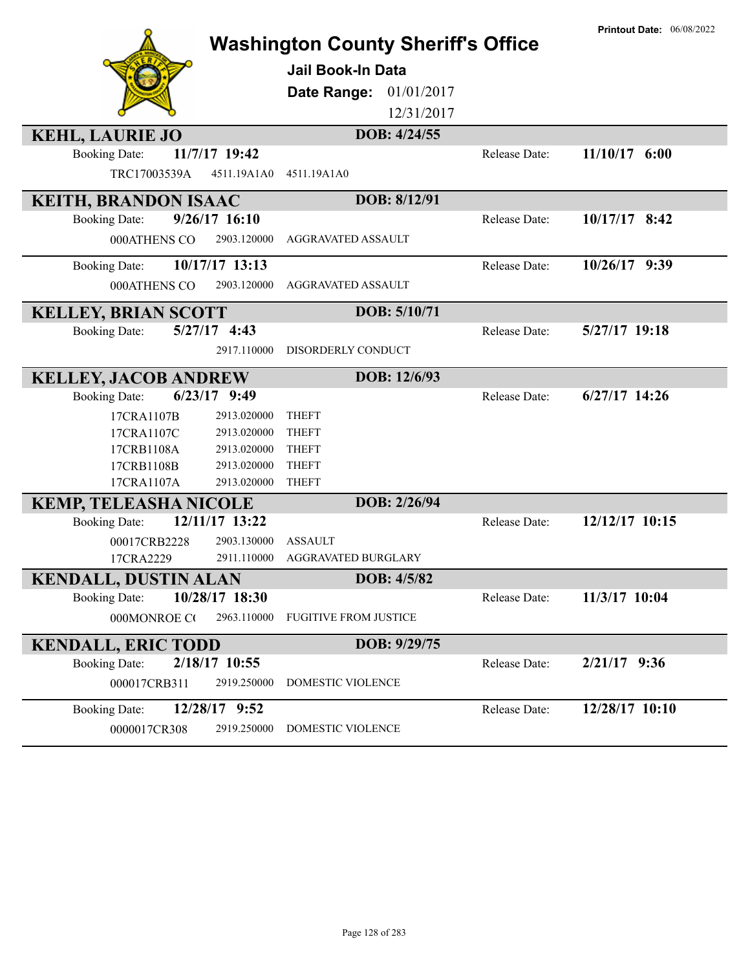|                                                       | <b>Washington County Sheriff's Office</b> |               | <b>Printout Date: 06/08/2022</b> |
|-------------------------------------------------------|-------------------------------------------|---------------|----------------------------------|
|                                                       | <b>Jail Book-In Data</b>                  |               |                                  |
|                                                       | 01/01/2017<br>Date Range:                 |               |                                  |
|                                                       | 12/31/2017                                |               |                                  |
| <b>KEHL, LAURIE JO</b>                                | DOB: 4/24/55                              |               |                                  |
| 11/7/17 19:42<br><b>Booking Date:</b>                 |                                           | Release Date: | $11/10/17$ 6:00                  |
| TRC17003539A<br>4511.19A1A0                           | 4511.19A1A0                               |               |                                  |
| <b>KEITH, BRANDON ISAAC</b>                           | DOB: 8/12/91                              |               |                                  |
| $9/26/17$ 16:10<br><b>Booking Date:</b>               |                                           | Release Date: | $10/17/17$ 8:42                  |
| 000ATHENS CO<br>2903.120000                           | <b>AGGRAVATED ASSAULT</b>                 |               |                                  |
| 10/17/17 13:13<br><b>Booking Date:</b>                |                                           | Release Date: | 10/26/17 9:39                    |
| 000ATHENS CO<br>2903.120000                           | <b>AGGRAVATED ASSAULT</b>                 |               |                                  |
| <b>KELLEY, BRIAN SCOTT</b>                            | DOB: 5/10/71                              |               |                                  |
| $5/27/17$ 4:43<br><b>Booking Date:</b>                |                                           | Release Date: | 5/27/17 19:18                    |
| 2917.110000                                           | DISORDERLY CONDUCT                        |               |                                  |
| <b>KELLEY, JACOB ANDREW</b>                           | DOB: 12/6/93                              |               |                                  |
| $6/23/17$ 9:49<br><b>Booking Date:</b>                |                                           | Release Date: | $6/27/17$ 14:26                  |
| 17CRA1107B<br>2913.020000                             | <b>THEFT</b>                              |               |                                  |
| 17CRA1107C<br>2913.020000                             | <b>THEFT</b>                              |               |                                  |
| 17CRB1108A<br>2913.020000                             | <b>THEFT</b>                              |               |                                  |
| 17CRB1108B<br>2913.020000                             | <b>THEFT</b>                              |               |                                  |
| 17CRA1107A<br>2913.020000                             | <b>THEFT</b>                              |               |                                  |
| <b>KEMP, TELEASHA NICOLE</b>                          | DOB: 2/26/94                              |               |                                  |
| 12/11/17 13:22<br><b>Booking Date:</b>                |                                           | Release Date: | 12/12/17 10:15                   |
| 00017CRB2228<br>2903.130000                           | <b>ASSAULT</b>                            |               |                                  |
| 17CRA2229<br>2911.110000                              | AGGRAVATED BURGLARY                       |               |                                  |
| <b>KENDALL, DUSTIN ALAN</b>                           | DOB: 4/5/82                               |               | 11/3/17 10:04                    |
| 10/28/17 18:30<br><b>Booking Date:</b><br>2963.110000 | <b>FUGITIVE FROM JUSTICE</b>              | Release Date: |                                  |
| 000MONROE CO                                          |                                           |               |                                  |
| <b>KENDALL, ERIC TODD</b>                             | DOB: 9/29/75                              |               |                                  |
| 2/18/17 10:55<br><b>Booking Date:</b>                 |                                           | Release Date: | $2/21/17$ 9:36                   |
| 000017CRB311<br>2919.250000                           | DOMESTIC VIOLENCE                         |               |                                  |
| 12/28/17 9:52<br><b>Booking Date:</b>                 |                                           | Release Date: | 12/28/17 10:10                   |
| 0000017CR308<br>2919.250000                           | <b>DOMESTIC VIOLENCE</b>                  |               |                                  |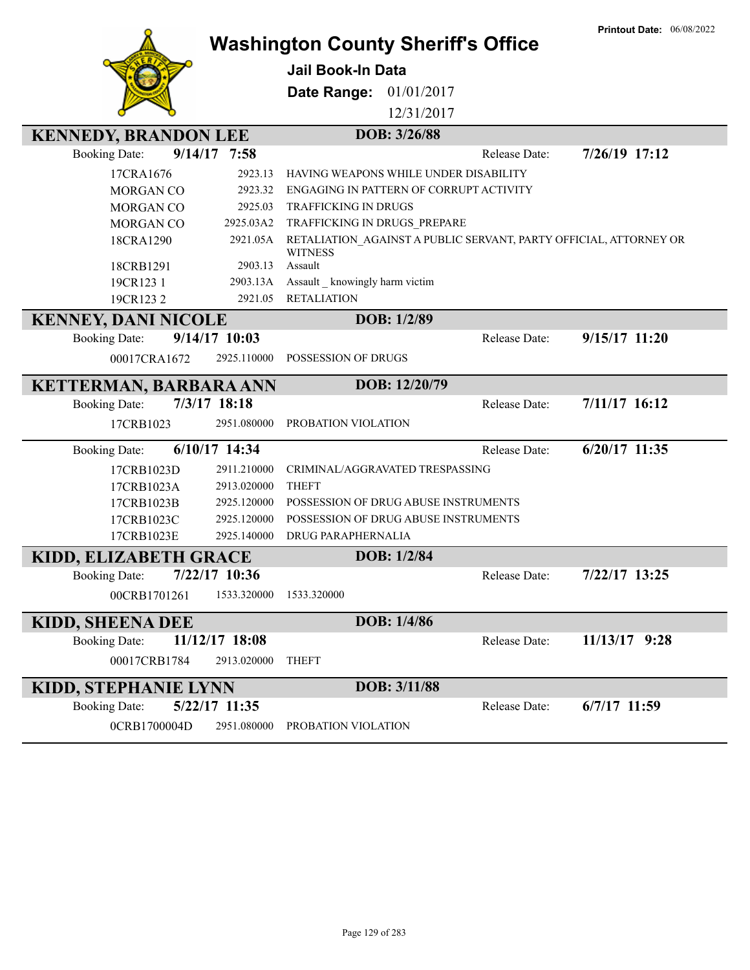|                                                     |                 | <b>Washington County Sheriff's Office</b>                                           |               | <b>Printout Date: 06/08/2022</b> |
|-----------------------------------------------------|-----------------|-------------------------------------------------------------------------------------|---------------|----------------------------------|
|                                                     |                 | <b>Jail Book-In Data</b>                                                            |               |                                  |
|                                                     |                 | Date Range:<br>01/01/2017                                                           |               |                                  |
|                                                     |                 | 12/31/2017                                                                          |               |                                  |
| <b>KENNEDY, BRANDON LEE</b>                         |                 | DOB: 3/26/88                                                                        |               |                                  |
| <b>Booking Date:</b>                                | $9/14/17$ 7:58  |                                                                                     | Release Date: | 7/26/19 17:12                    |
| 17CRA1676                                           | 2923.13         | HAVING WEAPONS WHILE UNDER DISABILITY                                               |               |                                  |
| MORGAN CO                                           | 2923.32         | ENGAGING IN PATTERN OF CORRUPT ACTIVITY                                             |               |                                  |
| MORGAN CO                                           | 2925.03         | <b>TRAFFICKING IN DRUGS</b>                                                         |               |                                  |
| MORGAN CO                                           | 2925.03A2       | TRAFFICKING IN DRUGS PREPARE                                                        |               |                                  |
| 18CRA1290                                           | 2921.05A        | RETALIATION_AGAINST A PUBLIC SERVANT, PARTY OFFICIAL, ATTORNEY OR<br><b>WITNESS</b> |               |                                  |
| 18CRB1291                                           | 2903.13         | Assault                                                                             |               |                                  |
| 19CR123 1                                           | 2903.13A        | Assault _ knowingly harm victim                                                     |               |                                  |
| 19CR1232                                            | 2921.05         | <b>RETALIATION</b>                                                                  |               |                                  |
| <b>KENNEY, DANI NICOLE</b>                          |                 | DOB: 1/2/89                                                                         |               |                                  |
| <b>Booking Date:</b>                                | $9/14/17$ 10:03 |                                                                                     | Release Date: | $9/15/17$ 11:20                  |
| 00017CRA1672                                        | 2925.110000     | POSSESSION OF DRUGS                                                                 |               |                                  |
| <b>KETTERMAN, BARBARA ANN</b>                       |                 | DOB: 12/20/79                                                                       |               |                                  |
| <b>Booking Date:</b>                                | 7/3/17 18:18    |                                                                                     | Release Date: | 7/11/17 16:12                    |
| 17CRB1023                                           | 2951.080000     | PROBATION VIOLATION                                                                 |               |                                  |
| <b>Booking Date:</b>                                | 6/10/17 14:34   |                                                                                     | Release Date: | 6/20/17 11:35                    |
| 17CRB1023D                                          | 2911.210000     | CRIMINAL/AGGRAVATED TRESPASSING                                                     |               |                                  |
| 17CRB1023A                                          | 2913.020000     | <b>THEFT</b>                                                                        |               |                                  |
| 17CRB1023B                                          | 2925.120000     |                                                                                     |               |                                  |
|                                                     |                 | POSSESSION OF DRUG ABUSE INSTRUMENTS                                                |               |                                  |
| 17CRB1023C                                          | 2925.120000     | POSSESSION OF DRUG ABUSE INSTRUMENTS                                                |               |                                  |
| 17CRB1023E                                          | 2925.140000     | DRUG PARAPHERNALIA                                                                  |               |                                  |
|                                                     |                 | DOB: 1/2/84                                                                         |               |                                  |
| KIDD, ELIZABETH GRACE<br><b>Booking Date:</b>       | 7/22/17 10:36   |                                                                                     | Release Date: | 7/22/17 13:25                    |
| 00CRB1701261                                        | 1533.320000     | 1533.320000                                                                         |               |                                  |
|                                                     |                 | DOB: 1/4/86                                                                         |               |                                  |
| <b>KIDD, SHEENA DEE</b><br><b>Booking Date:</b>     | 11/12/17 18:08  |                                                                                     | Release Date: | $11/13/17$ 9:28                  |
| 00017CRB1784                                        | 2913.020000     | <b>THEFT</b>                                                                        |               |                                  |
|                                                     |                 | DOB: 3/11/88                                                                        |               |                                  |
| <b>KIDD, STEPHANIE LYNN</b><br><b>Booking Date:</b> | 5/22/17 11:35   |                                                                                     | Release Date: | $6/7/17$ 11:59                   |

**Printout Date:** 06/08/2022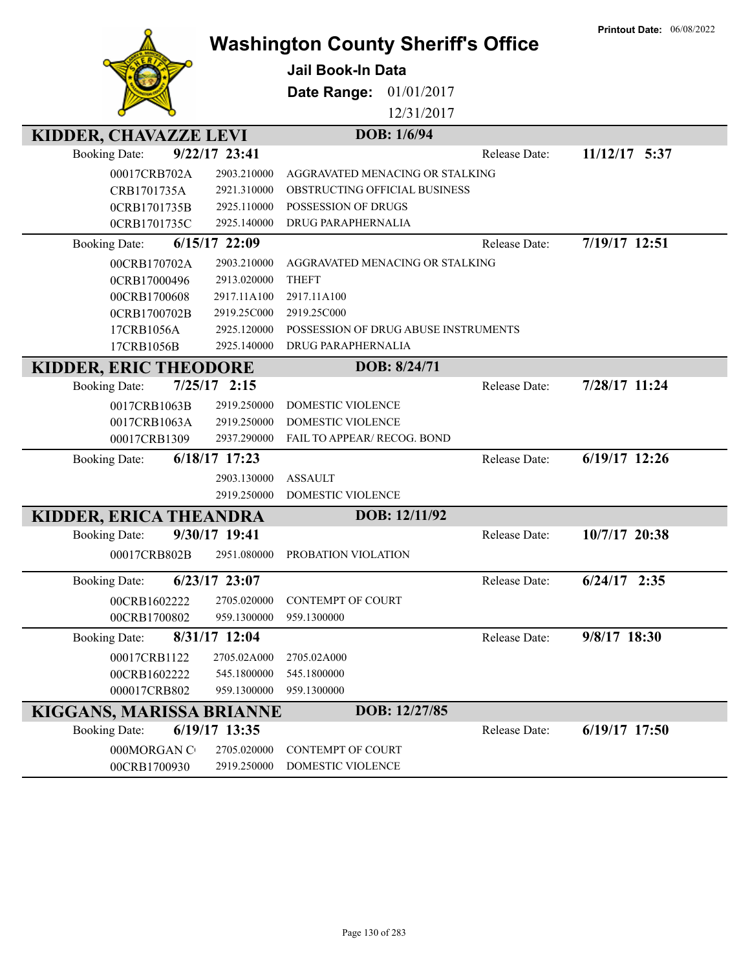|                                         | <b>Washington County Sheriff's Office</b> | <b>Printout Date: 06/08/2022</b> |
|-----------------------------------------|-------------------------------------------|----------------------------------|
|                                         | <b>Jail Book-In Data</b>                  |                                  |
|                                         | Date Range:<br>01/01/2017                 |                                  |
|                                         |                                           |                                  |
|                                         | 12/31/2017                                |                                  |
| KIDDER, CHAVAZZE LEVI                   | DOB: 1/6/94                               |                                  |
| 9/22/17 23:41<br><b>Booking Date:</b>   | Release Date:                             | 11/12/17 5:37                    |
| 00017CRB702A<br>2903.210000             | AGGRAVATED MENACING OR STALKING           |                                  |
| CRB1701735A<br>2921.310000              | OBSTRUCTING OFFICIAL BUSINESS             |                                  |
| 0CRB1701735B<br>2925.110000             | POSSESSION OF DRUGS                       |                                  |
| 2925.140000<br>0CRB1701735C             | DRUG PARAPHERNALIA                        |                                  |
| 6/15/17 22:09<br><b>Booking Date:</b>   | Release Date:                             | 7/19/17 12:51                    |
| 2903.210000<br>00CRB170702A             | AGGRAVATED MENACING OR STALKING           |                                  |
| 2913.020000<br>0CRB17000496             | <b>THEFT</b>                              |                                  |
| 2917.11A100<br>00CRB1700608             | 2917.11A100                               |                                  |
| 2919.25C000<br>0CRB1700702B             | 2919.25C000                               |                                  |
| 2925.120000<br>17CRB1056A               | POSSESSION OF DRUG ABUSE INSTRUMENTS      |                                  |
| 2925.140000<br>17CRB1056B               | DRUG PARAPHERNALIA                        |                                  |
| <b>KIDDER, ERIC THEODORE</b>            | DOB: 8/24/71                              |                                  |
| $7/25/17$ 2:15<br><b>Booking Date:</b>  | Release Date:                             | 7/28/17 11:24                    |
| 0017CRB1063B<br>2919.250000             | DOMESTIC VIOLENCE                         |                                  |
| 0017CRB1063A<br>2919.250000             | DOMESTIC VIOLENCE                         |                                  |
| 00017CRB1309<br>2937.290000             | FAIL TO APPEAR/ RECOG. BOND               |                                  |
| 6/18/17 17:23<br><b>Booking Date:</b>   | Release Date:                             | 6/19/17 12:26                    |
| 2903.130000                             | <b>ASSAULT</b>                            |                                  |
| 2919.250000                             | <b>DOMESTIC VIOLENCE</b>                  |                                  |
| KIDDER, ERICA THEANDRA                  | DOB: 12/11/92                             |                                  |
| 9/30/17 19:41<br><b>Booking Date:</b>   | Release Date:                             | 10/7/17 20:38                    |
| 2951.080000<br>00017CRB802B             | PROBATION VIOLATION                       |                                  |
| $6/23/17$ 23:07<br><b>Booking Date:</b> | Release Date:                             | $6/24/17$ 2:35                   |
| 00CRB1602222<br>2705.020000             | <b>CONTEMPT OF COURT</b>                  |                                  |
| 00CRB1700802<br>959.1300000             | 959.1300000                               |                                  |
| 8/31/17 12:04<br><b>Booking Date:</b>   | Release Date:                             | 9/8/17 18:30                     |
| 00017CRB1122<br>2705.02A000             | 2705.02A000                               |                                  |
| 00CRB1602222<br>545.1800000             | 545.1800000                               |                                  |
| 000017CRB802<br>959.1300000             | 959.1300000                               |                                  |
| KIGGANS, MARISSA BRIANNE                | DOB: 12/27/85                             |                                  |
| 6/19/17 13:35<br><b>Booking Date:</b>   | Release Date:                             | $6/19/17$ 17:50                  |
| 000MORGAN C<br>2705.020000              | CONTEMPT OF COURT                         |                                  |
| 00CRB1700930<br>2919.250000             | DOMESTIC VIOLENCE                         |                                  |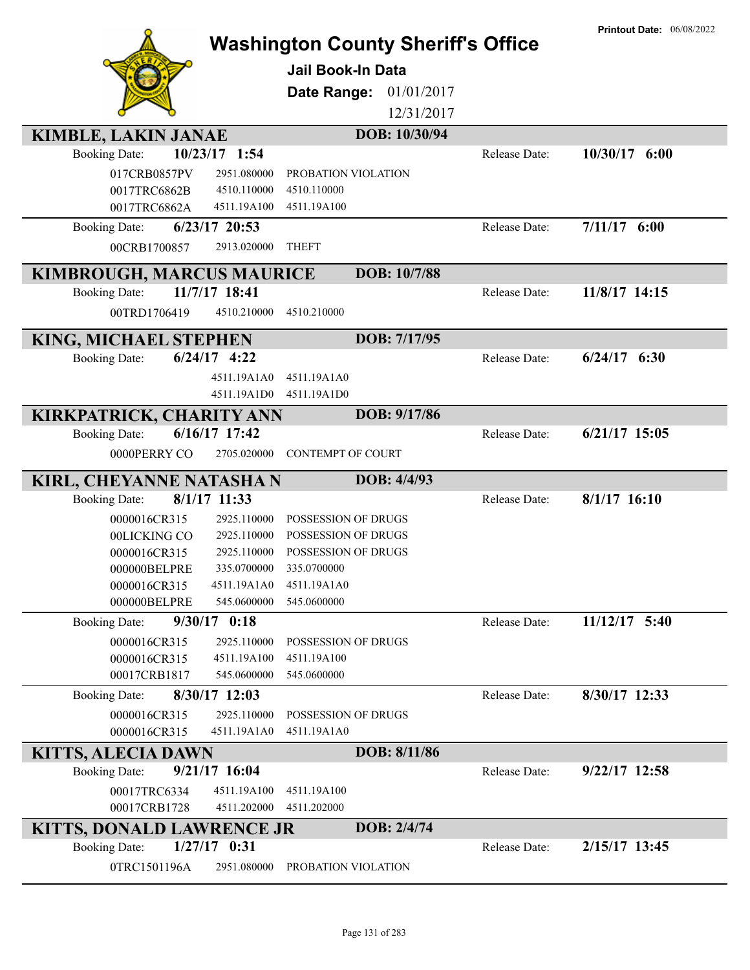|                                         | <b>Washington County Sheriff's Office</b> |               | <b>Printout Date: 06/08/2022</b> |
|-----------------------------------------|-------------------------------------------|---------------|----------------------------------|
|                                         | Jail Book-In Data                         |               |                                  |
|                                         | Date Range:<br>01/01/2017                 |               |                                  |
|                                         | 12/31/2017                                |               |                                  |
| <b>KIMBLE, LAKIN JANAE</b>              | DOB: 10/30/94                             |               |                                  |
| 10/23/17 1:54<br><b>Booking Date:</b>   |                                           | Release Date: | $10/30/17$ 6:00                  |
| 017CRB0857PV<br>2951.080000             | PROBATION VIOLATION                       |               |                                  |
| 0017TRC6862B<br>4510.110000             | 4510.110000                               |               |                                  |
| 0017TRC6862A<br>4511.19A100             | 4511.19A100                               |               |                                  |
| $6/23/17$ 20:53<br><b>Booking Date:</b> |                                           | Release Date: | $7/11/17$ 6:00                   |
| 00CRB1700857<br>2913.020000             | <b>THEFT</b>                              |               |                                  |
| <b>KIMBROUGH, MARCUS MAURICE</b>        | DOB: 10/7/88                              |               |                                  |
| 11/7/17 18:41<br><b>Booking Date:</b>   |                                           | Release Date: | 11/8/17 14:15                    |
| 00TRD1706419<br>4510.210000             | 4510.210000                               |               |                                  |
|                                         |                                           |               |                                  |
| KING, MICHAEL STEPHEN                   | DOB: 7/17/95                              |               |                                  |
| $6/24/17$ 4:22<br><b>Booking Date:</b>  |                                           | Release Date: | $6/24/17$ $6:30$                 |
| 4511.19A1A0                             | 4511.19A1A0                               |               |                                  |
| 4511.19A1D0                             | 4511.19A1D0                               |               |                                  |
| KIRKPATRICK, CHARITY ANN                | DOB: 9/17/86                              |               |                                  |
| 6/16/17 17:42<br><b>Booking Date:</b>   |                                           | Release Date: | $6/21/17$ 15:05                  |
| 0000PERRY CO<br>2705.020000             | <b>CONTEMPT OF COURT</b>                  |               |                                  |
| KIRL, CHEYANNE NATASHA N                | DOB: 4/4/93                               |               |                                  |
| 8/1/17 11:33<br><b>Booking Date:</b>    |                                           | Release Date: | $8/1/17$ 16:10                   |
| 0000016CR315<br>2925.110000             | POSSESSION OF DRUGS                       |               |                                  |
| 2925.110000<br>00LICKING CO             | POSSESSION OF DRUGS                       |               |                                  |
| 2925.110000<br>0000016CR315             | POSSESSION OF DRUGS                       |               |                                  |
| 000000BELPRE<br>335.0700000             | 335.0700000                               |               |                                  |
| 4511.19A1A0<br>0000016CR315             | 4511.19A1A0                               |               |                                  |
| 000000BELPRE<br>545.0600000             | 545.0600000                               |               |                                  |
| 9/30/17 0:18<br><b>Booking Date:</b>    |                                           | Release Date: | $11/12/17$ 5:40                  |
| 2925.110000<br>0000016CR315             | POSSESSION OF DRUGS                       |               |                                  |
| 4511.19A100<br>0000016CR315             | 4511.19A100                               |               |                                  |
| 545.0600000<br>00017CRB1817             | 545.0600000                               |               |                                  |
| 8/30/17 12:03<br><b>Booking Date:</b>   |                                           | Release Date: | 8/30/17 12:33                    |
| 2925.110000<br>0000016CR315             | POSSESSION OF DRUGS                       |               |                                  |
| 0000016CR315<br>4511.19A1A0             | 4511.19A1A0                               |               |                                  |
| <b>KITTS, ALECIA DAWN</b>               | DOB: 8/11/86                              |               |                                  |
| $9/21/17$ 16:04<br><b>Booking Date:</b> |                                           | Release Date: | $9/22/17$ 12:58                  |
| 00017TRC6334<br>4511.19A100             | 4511.19A100                               |               |                                  |
| 00017CRB1728<br>4511.202000             | 4511.202000                               |               |                                  |
| <b>KITTS, DONALD LAWRENCE JR</b>        | DOB: 2/4/74                               |               |                                  |
| $1/27/17$ 0:31<br><b>Booking Date:</b>  |                                           | Release Date: | 2/15/17 13:45                    |
| 0TRC1501196A<br>2951.080000             | PROBATION VIOLATION                       |               |                                  |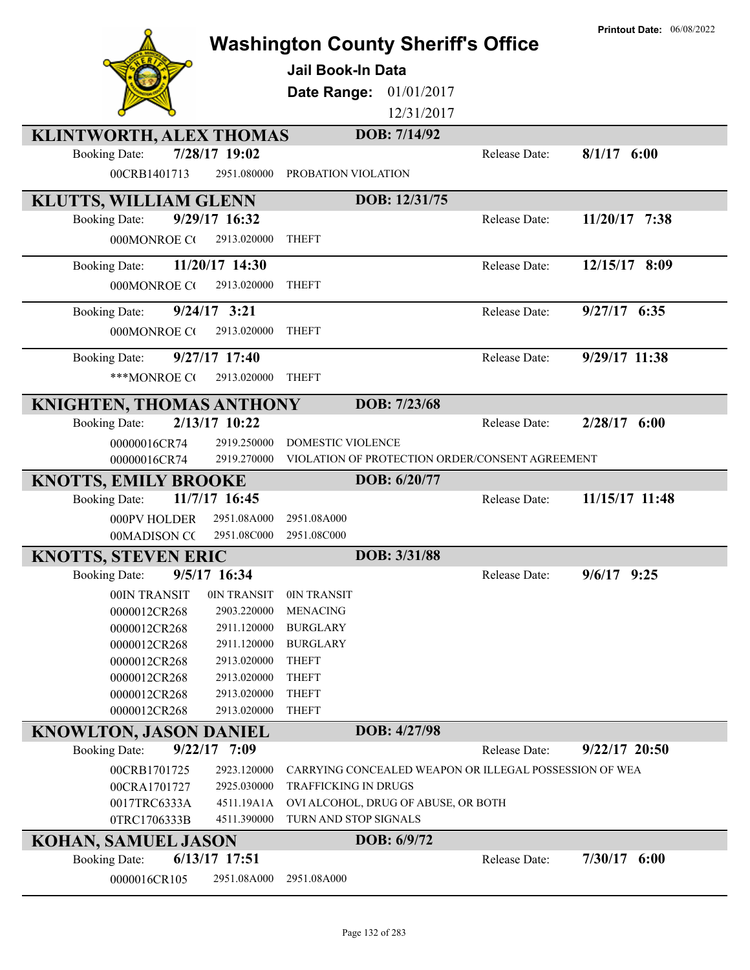|                                                 |                            | <b>Washington County Sheriff's Office</b><br>Jail Book-In Data<br>01/01/2017<br>Date Range:<br>DOB: 7/14/92 | 12/31/2017                                             | <b>Printout Date: 06/08/2022</b> |
|-------------------------------------------------|----------------------------|-------------------------------------------------------------------------------------------------------------|--------------------------------------------------------|----------------------------------|
| KLINTWORTH, ALEX THOMAS<br><b>Booking Date:</b> | 7/28/17 19:02              |                                                                                                             | Release Date:                                          | $8/1/17$ 6:00                    |
| 00CRB1401713                                    | 2951.080000                | PROBATION VIOLATION                                                                                         |                                                        |                                  |
| KLUTTS, WILLIAM GLENN                           |                            | DOB: 12/31/75                                                                                               |                                                        |                                  |
| <b>Booking Date:</b>                            | 9/29/17 16:32              |                                                                                                             | Release Date:                                          | 11/20/17 7:38                    |
| 000MONROE CO                                    | 2913.020000                | <b>THEFT</b>                                                                                                |                                                        |                                  |
| <b>Booking Date:</b>                            | 11/20/17 14:30             |                                                                                                             | Release Date:                                          | 12/15/17 8:09                    |
| 000MONROE CO                                    | 2913.020000                | <b>THEFT</b>                                                                                                |                                                        |                                  |
| <b>Booking Date:</b>                            | $9/24/17$ 3:21             |                                                                                                             | Release Date:                                          | 9/27/17 6:35                     |
| 000MONROE CO                                    | 2913.020000                | <b>THEFT</b>                                                                                                |                                                        |                                  |
| <b>Booking Date:</b>                            | 9/27/17 17:40              |                                                                                                             | Release Date:                                          | 9/29/17 11:38                    |
| ***MONROE CO                                    | 2913.020000                | <b>THEFT</b>                                                                                                |                                                        |                                  |
| KNIGHTEN, THOMAS ANTHONY                        |                            | DOB: 7/23/68                                                                                                |                                                        |                                  |
| <b>Booking Date:</b>                            | 2/13/17 10:22              |                                                                                                             | Release Date:                                          | $2/28/17$ 6:00                   |
| 00000016CR74                                    | 2919.250000                | DOMESTIC VIOLENCE                                                                                           |                                                        |                                  |
| 00000016CR74                                    | 2919.270000                |                                                                                                             | VIOLATION OF PROTECTION ORDER/CONSENT AGREEMENT        |                                  |
| <b>KNOTTS, EMILY BROOKE</b>                     |                            | DOB: 6/20/77                                                                                                |                                                        |                                  |
| <b>Booking Date:</b>                            | 11/7/17 16:45              |                                                                                                             | Release Date:                                          | 11/15/17 11:48                   |
| 000PV HOLDER                                    | 2951.08A000                | 2951.08A000                                                                                                 |                                                        |                                  |
| 00MADISON CC                                    | 2951.08C000                | 2951.08C000                                                                                                 |                                                        |                                  |
| <b>KNOTTS, STEVEN ERIC</b>                      |                            | DOB: 3/31/88                                                                                                |                                                        |                                  |
| <b>Booking Date:</b>                            | 9/5/17 16:34               |                                                                                                             | Release Date:                                          | $9/6/17$ 9:25                    |
| 00IN TRANSIT                                    | 0IN TRANSIT                | 0IN TRANSIT                                                                                                 |                                                        |                                  |
| 0000012CR268                                    | 2903.220000                | <b>MENACING</b>                                                                                             |                                                        |                                  |
| 0000012CR268<br>0000012CR268                    | 2911.120000<br>2911.120000 | <b>BURGLARY</b><br><b>BURGLARY</b>                                                                          |                                                        |                                  |
| 0000012CR268                                    | 2913.020000                | <b>THEFT</b>                                                                                                |                                                        |                                  |
| 0000012CR268                                    | 2913.020000                | <b>THEFT</b>                                                                                                |                                                        |                                  |
| 0000012CR268                                    | 2913.020000                | <b>THEFT</b>                                                                                                |                                                        |                                  |
| 0000012CR268                                    | 2913.020000                | <b>THEFT</b>                                                                                                |                                                        |                                  |
| <b>KNOWLTON, JASON DANIEL</b>                   |                            | DOB: 4/27/98                                                                                                |                                                        |                                  |
| <b>Booking Date:</b>                            | $9/22/17$ 7:09             |                                                                                                             | Release Date:                                          | $9/22/17$ 20:50                  |
| 00CRB1701725                                    | 2923.120000                |                                                                                                             | CARRYING CONCEALED WEAPON OR ILLEGAL POSSESSION OF WEA |                                  |
| 00CRA1701727                                    | 2925.030000                | TRAFFICKING IN DRUGS                                                                                        |                                                        |                                  |
| 0017TRC6333A                                    | 4511.19A1A                 | OVI ALCOHOL, DRUG OF ABUSE, OR BOTH                                                                         |                                                        |                                  |
| 0TRC1706333B                                    | 4511.390000                | TURN AND STOP SIGNALS                                                                                       |                                                        |                                  |
| <b>KOHAN, SAMUEL JASON</b>                      |                            | DOB: 6/9/72                                                                                                 |                                                        |                                  |
| <b>Booking Date:</b>                            | $6/13/17$ 17:51            |                                                                                                             | Release Date:                                          | $7/30/17$ 6:00                   |
| 0000016CR105                                    | 2951.08A000                | 2951.08A000                                                                                                 |                                                        |                                  |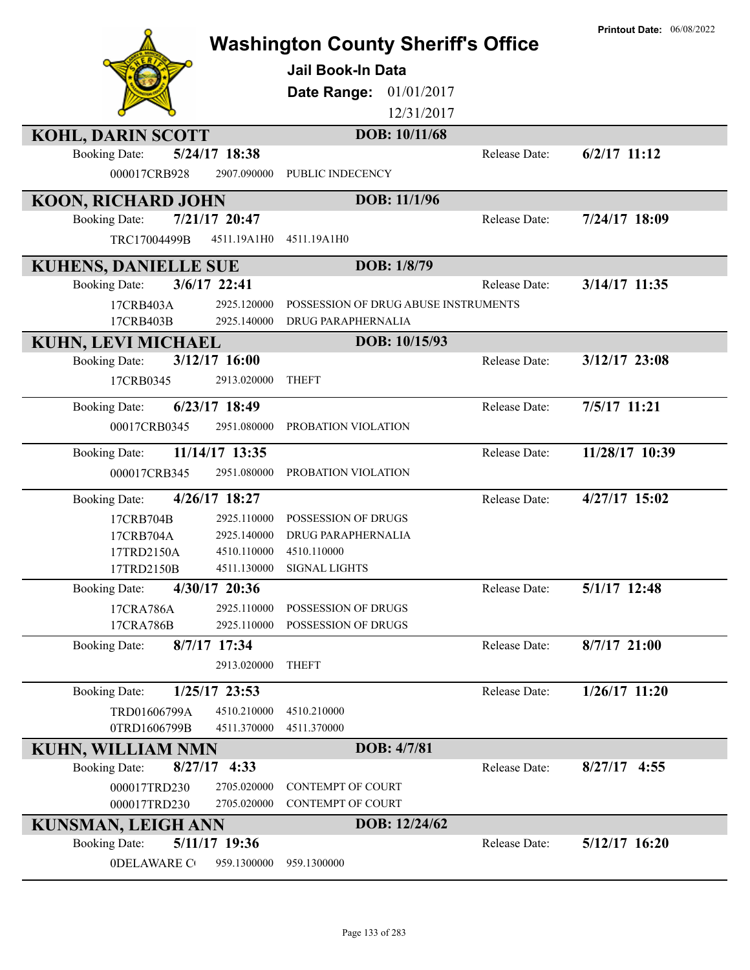| <b>Washington County Sheriff's Office</b> |                            |                                      |               | <b>Printout Date: 06/08/2022</b> |
|-------------------------------------------|----------------------------|--------------------------------------|---------------|----------------------------------|
|                                           |                            |                                      |               |                                  |
|                                           |                            | <b>Jail Book-In Data</b>             |               |                                  |
|                                           |                            | Date Range:<br>01/01/2017            |               |                                  |
|                                           |                            | 12/31/2017                           |               |                                  |
| <b>KOHL, DARIN SCOTT</b>                  |                            | DOB: 10/11/68                        |               |                                  |
| <b>Booking Date:</b>                      | 5/24/17 18:38              |                                      | Release Date: | $6/2/17$ 11:12                   |
| 000017CRB928                              | 2907.090000                | PUBLIC INDECENCY                     |               |                                  |
| <b>KOON, RICHARD JOHN</b>                 |                            | DOB: 11/1/96                         |               |                                  |
| <b>Booking Date:</b>                      | 7/21/17 20:47              |                                      | Release Date: | 7/24/17 18:09                    |
| TRC17004499B                              | 4511.19A1H0                | 4511.19A1H0                          |               |                                  |
| <b>KUHENS, DANIELLE SUE</b>               |                            | DOB: 1/8/79                          |               |                                  |
| <b>Booking Date:</b>                      | 3/6/17 22:41               |                                      | Release Date: | 3/14/17 11:35                    |
| 17CRB403A                                 | 2925.120000                | POSSESSION OF DRUG ABUSE INSTRUMENTS |               |                                  |
| 17CRB403B                                 | 2925.140000                | DRUG PARAPHERNALIA                   |               |                                  |
| <b>KUHN, LEVI MICHAEL</b>                 |                            | DOB: 10/15/93                        |               |                                  |
| <b>Booking Date:</b>                      | $3/12/17$ 16:00            |                                      | Release Date: | $3/12/17$ 23:08                  |
| 17CRB0345                                 | 2913.020000                | <b>THEFT</b>                         |               |                                  |
| <b>Booking Date:</b>                      | $6/23/17$ 18:49            |                                      | Release Date: | 7/5/17 11:21                     |
| 00017CRB0345                              | 2951.080000                | PROBATION VIOLATION                  |               |                                  |
| <b>Booking Date:</b>                      | 11/14/17 13:35             |                                      | Release Date: | 11/28/17 10:39                   |
| 000017CRB345                              | 2951.080000                | PROBATION VIOLATION                  |               |                                  |
| <b>Booking Date:</b>                      | 4/26/17 18:27              |                                      | Release Date: | 4/27/17 15:02                    |
| 17CRB704B                                 | 2925.110000                | POSSESSION OF DRUGS                  |               |                                  |
| 17CRB704A                                 | 2925.140000                | DRUG PARAPHERNALIA                   |               |                                  |
| 17TRD2150A                                | 4510.110000<br>4511.130000 | 4510.110000                          |               |                                  |
| 17TRD2150B                                | 4/30/17 20:36              | <b>SIGNAL LIGHTS</b>                 | Release Date: | 5/1/17 12:48                     |
| <b>Booking Date:</b>                      | 2925.110000                | POSSESSION OF DRUGS                  |               |                                  |
| 17CRA786A<br>17CRA786B                    | 2925.110000                | POSSESSION OF DRUGS                  |               |                                  |
| <b>Booking Date:</b>                      | 8/7/17 17:34               |                                      | Release Date: | 8/7/17 21:00                     |
|                                           | 2913.020000                | <b>THEFT</b>                         |               |                                  |
| <b>Booking Date:</b>                      | 1/25/17 23:53              |                                      | Release Date: | $1/26/17$ 11:20                  |
| TRD01606799A                              | 4510.210000                | 4510.210000                          |               |                                  |
| 0TRD1606799B                              | 4511.370000                | 4511.370000                          |               |                                  |
| <b>KUHN, WILLIAM NMN</b>                  |                            | DOB: 4/7/81                          |               |                                  |
| 8/27/17<br><b>Booking Date:</b>           | 4:33                       |                                      | Release Date: | $8/27/17$ 4:55                   |
| 000017TRD230                              | 2705.020000                | CONTEMPT OF COURT                    |               |                                  |
| 000017TRD230                              | 2705.020000                | CONTEMPT OF COURT                    |               |                                  |
| <b>KUNSMAN, LEIGH ANN</b>                 |                            | DOB: 12/24/62                        |               |                                  |
| <b>Booking Date:</b>                      | 5/11/17 19:36              |                                      | Release Date: | $5/12/17$ 16:20                  |
| <b>ODELAWARE CO</b>                       | 959.1300000                | 959.1300000                          |               |                                  |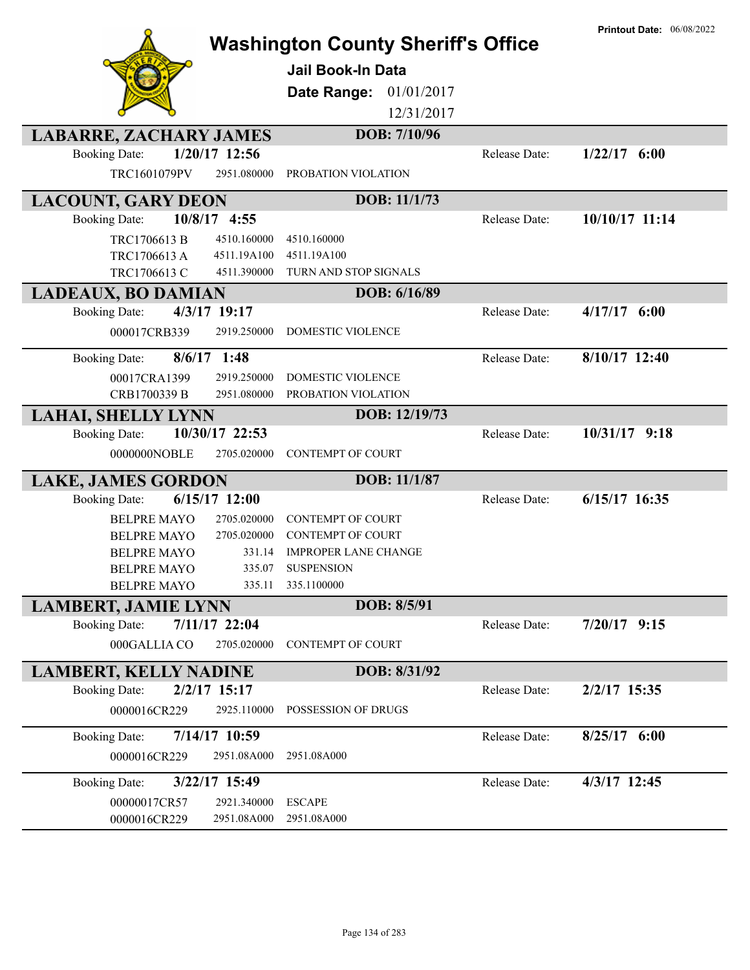|                                          |                  | <b>Washington County Sheriff's Office</b><br><b>Jail Book-In Data</b><br>01/01/2017<br>Date Range:<br>12/31/2017 |               | <b>Printout Date: 06/08/2022</b> |
|------------------------------------------|------------------|------------------------------------------------------------------------------------------------------------------|---------------|----------------------------------|
| <b>LABARRE, ZACHARY JAMES</b>            |                  | DOB: 7/10/96                                                                                                     |               |                                  |
| <b>Booking Date:</b>                     | 1/20/17 12:56    |                                                                                                                  | Release Date: | $1/22/17$ 6:00                   |
| TRC1601079PV                             | 2951.080000      | PROBATION VIOLATION                                                                                              |               |                                  |
| <b>LACOUNT, GARY DEON</b>                |                  | DOB: 11/1/73                                                                                                     |               |                                  |
| 10/8/17 4:55<br><b>Booking Date:</b>     |                  |                                                                                                                  | Release Date: | 10/10/17 11:14                   |
| TRC1706613 B                             | 4510.160000      | 4510.160000                                                                                                      |               |                                  |
| TRC1706613 A                             | 4511.19A100      | 4511.19A100                                                                                                      |               |                                  |
| TRC1706613 C                             | 4511.390000      | TURN AND STOP SIGNALS                                                                                            |               |                                  |
| <b>LADEAUX, BO DAMIAN</b>                |                  | DOB: 6/16/89                                                                                                     |               |                                  |
| 4/3/17 19:17<br><b>Booking Date:</b>     |                  |                                                                                                                  | Release Date: | $4/17/17$ 6:00                   |
| 000017CRB339                             | 2919.250000      | <b>DOMESTIC VIOLENCE</b>                                                                                         |               |                                  |
| $8/6/17$ 1:48<br><b>Booking Date:</b>    |                  |                                                                                                                  | Release Date: | 8/10/17 12:40                    |
| 00017CRA1399                             | 2919.250000      | DOMESTIC VIOLENCE                                                                                                |               |                                  |
| CRB1700339 B                             | 2951.080000      | PROBATION VIOLATION                                                                                              |               |                                  |
| <b>LAHAI, SHELLY LYNN</b>                |                  | DOB: 12/19/73                                                                                                    |               |                                  |
| <b>Booking Date:</b>                     | 10/30/17 22:53   |                                                                                                                  | Release Date: | 10/31/17 9:18                    |
| 0000000NOBLE                             | 2705.020000      | <b>CONTEMPT OF COURT</b>                                                                                         |               |                                  |
| <b>LAKE, JAMES GORDON</b>                |                  | DOB: 11/1/87                                                                                                     |               |                                  |
| <b>Booking Date:</b>                     | 6/15/17 12:00    |                                                                                                                  | Release Date: | $6/15/17$ 16:35                  |
| <b>BELPRE MAYO</b>                       | 2705.020000      | <b>CONTEMPT OF COURT</b>                                                                                         |               |                                  |
| <b>BELPRE MAYO</b>                       | 2705.020000      | <b>CONTEMPT OF COURT</b>                                                                                         |               |                                  |
| <b>BELPRE MAYO</b>                       | 331.14           | <b>IMPROPER LANE CHANGE</b>                                                                                      |               |                                  |
| <b>BELPRE MAYO</b><br><b>BELPRE MAYO</b> | 335.07<br>335.11 | <b>SUSPENSION</b><br>335.1100000                                                                                 |               |                                  |
| <b>LAMBERT, JAMIE LYNN</b>               |                  | DOB: 8/5/91                                                                                                      |               |                                  |
| <b>Booking Date:</b>                     | 7/11/17 22:04    |                                                                                                                  | Release Date: | $7/20/17$ 9:15                   |
| 000GALLIA CO                             | 2705.020000      | CONTEMPT OF COURT                                                                                                |               |                                  |
| <b>LAMBERT, KELLY NADINE</b>             |                  | DOB: 8/31/92                                                                                                     |               |                                  |
| $2/2/17$ 15:17<br><b>Booking Date:</b>   |                  |                                                                                                                  | Release Date: | 2/2/17 15:35                     |
| 0000016CR229                             | 2925.110000      | POSSESSION OF DRUGS                                                                                              |               |                                  |
| <b>Booking Date:</b>                     | 7/14/17 10:59    |                                                                                                                  | Release Date: | $8/25/17$ 6:00                   |
| 0000016CR229                             | 2951.08A000      | 2951.08A000                                                                                                      |               |                                  |
| <b>Booking Date:</b>                     | 3/22/17 15:49    |                                                                                                                  | Release Date: | 4/3/17 12:45                     |
| 00000017CR57                             | 2921.340000      | <b>ESCAPE</b>                                                                                                    |               |                                  |
| 0000016CR229                             | 2951.08A000      | 2951.08A000                                                                                                      |               |                                  |
|                                          |                  |                                                                                                                  |               |                                  |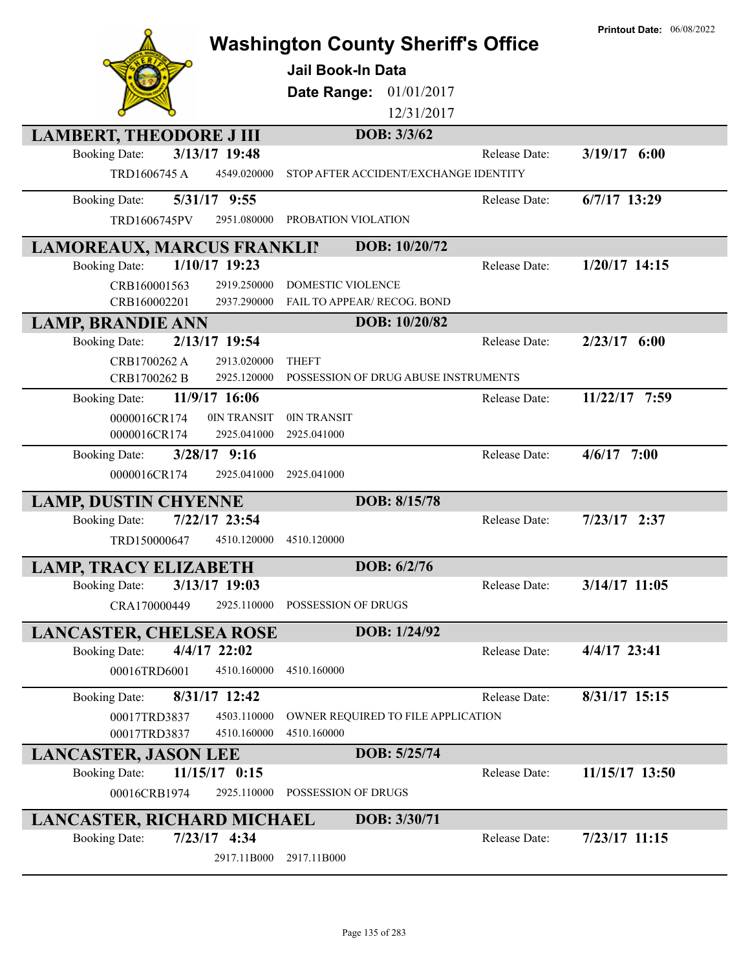|                                                                         |                                                         | <b>Printout Date: 06/08/2022</b> |
|-------------------------------------------------------------------------|---------------------------------------------------------|----------------------------------|
|                                                                         | <b>Washington County Sheriff's Office</b>               |                                  |
|                                                                         | <b>Jail Book-In Data</b>                                |                                  |
|                                                                         | Date Range: 01/01/2017                                  |                                  |
|                                                                         | 12/31/2017                                              |                                  |
| <b>LAMBERT, THEODORE J III</b><br>3/13/17 19:48<br><b>Booking Date:</b> | DOB: 3/3/62<br>Release Date:                            | $3/19/17$ 6:00                   |
| TRD1606745 A<br>4549.020000                                             | STOP AFTER ACCIDENT/EXCHANGE IDENTITY                   |                                  |
|                                                                         |                                                         |                                  |
| 5/31/17 9:55<br><b>Booking Date:</b><br>TRD1606745PV<br>2951.080000     | Release Date:<br>PROBATION VIOLATION                    | $6/7/17$ 13:29                   |
|                                                                         |                                                         |                                  |
| <b>LAMOREAUX, MARCUS FRANKLIP</b>                                       | DOB: 10/20/72                                           |                                  |
| 1/10/17 19:23<br><b>Booking Date:</b>                                   | Release Date:                                           | $1/20/17$ 14:15                  |
| CRB160001563<br>2919.250000<br>CRB160002201<br>2937.290000              | <b>DOMESTIC VIOLENCE</b><br>FAIL TO APPEAR/ RECOG. BOND |                                  |
| <b>LAMP, BRANDIE ANN</b>                                                | DOB: 10/20/82                                           |                                  |
| 2/13/17 19:54<br><b>Booking Date:</b>                                   | Release Date:                                           | $2/23/17$ 6:00                   |
| 2913.020000<br>CRB1700262 A                                             | <b>THEFT</b>                                            |                                  |
| CRB1700262 B<br>2925.120000                                             | POSSESSION OF DRUG ABUSE INSTRUMENTS                    |                                  |
| 11/9/17 16:06<br><b>Booking Date:</b>                                   | Release Date:                                           | 11/22/17 7:59                    |
| 0000016CR174<br>0IN TRANSIT                                             | 0IN TRANSIT                                             |                                  |
| 2925.041000<br>0000016CR174                                             | 2925.041000                                             |                                  |
| $3/28/17$ 9:16<br><b>Booking Date:</b>                                  | Release Date:                                           | $4/6/17$ 7:00                    |
| 0000016CR174<br>2925.041000                                             | 2925.041000                                             |                                  |
| <b>LAMP, DUSTIN CHYENNE</b>                                             | DOB: 8/15/78                                            |                                  |
| 7/22/17 23:54<br><b>Booking Date:</b>                                   | Release Date:                                           | $7/23/17$ 2:37                   |
| 4510.120000<br>TRD150000647                                             | 4510.120000                                             |                                  |
| <b>LAMP, TRACY ELIZABETH</b>                                            | DOB: 6/2/76                                             |                                  |
| 3/13/17 19:03<br><b>Booking Date:</b>                                   | Release Date:                                           | 3/14/17 11:05                    |
| CRA170000449<br>2925.110000                                             | POSSESSION OF DRUGS                                     |                                  |
| <b>LANCASTER, CHELSEA ROSE</b>                                          | DOB: 1/24/92                                            |                                  |
| 4/4/17 22:02<br><b>Booking Date:</b>                                    | Release Date:                                           | 4/4/17 23:41                     |
| 00016TRD6001<br>4510.160000                                             | 4510.160000                                             |                                  |
| <b>Booking Date:</b><br>8/31/17 12:42                                   | Release Date:                                           | 8/31/17 15:15                    |
| 4503.110000<br>00017TRD3837                                             | OWNER REQUIRED TO FILE APPLICATION                      |                                  |
| 00017TRD3837<br>4510.160000                                             | 4510.160000                                             |                                  |
| <b>LANCASTER, JASON LEE</b>                                             | DOB: 5/25/74                                            |                                  |
| $11/15/17$ 0:15<br><b>Booking Date:</b>                                 | Release Date:                                           | 11/15/17 13:50                   |
| 00016CRB1974<br>2925.110000                                             | POSSESSION OF DRUGS                                     |                                  |
| <b>LANCASTER, RICHARD MICHAEL</b>                                       | DOB: 3/30/71                                            |                                  |
| $7/23/17$ 4:34<br><b>Booking Date:</b>                                  | Release Date:                                           | 7/23/17 11:15                    |
| 2917.11B000                                                             | 2917.11B000                                             |                                  |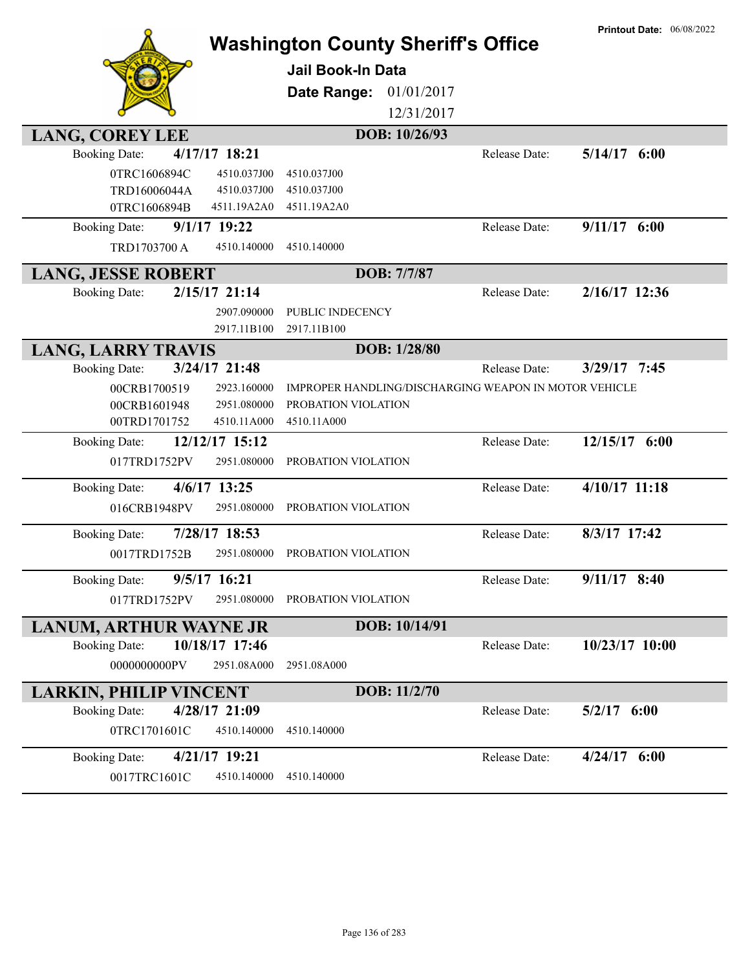|                                                            | <b>Washington County Sheriff's Office</b>             |               | <b>Printout Date: 06/08/2022</b> |
|------------------------------------------------------------|-------------------------------------------------------|---------------|----------------------------------|
|                                                            | <b>Jail Book-In Data</b>                              |               |                                  |
|                                                            |                                                       |               |                                  |
|                                                            | Date Range:<br>01/01/2017                             |               |                                  |
|                                                            | 12/31/2017                                            |               |                                  |
| <b>LANG, COREY LEE</b>                                     | DOB: 10/26/93                                         |               |                                  |
| 4/17/17 18:21<br><b>Booking Date:</b>                      |                                                       | Release Date: | $5/14/17$ 6:00                   |
| 0TRC1606894C<br>4510.037J00                                | 4510.037J00                                           |               |                                  |
| TRD16006044A<br>4510.037J00<br>0TRC1606894B<br>4511.19A2A0 | 4510.037J00<br>4511.19A2A0                            |               |                                  |
| $9/1/17$ 19:22<br><b>Booking Date:</b>                     |                                                       | Release Date: | $9/11/17$ 6:00                   |
| TRD1703700 A<br>4510.140000                                | 4510.140000                                           |               |                                  |
|                                                            |                                                       |               |                                  |
| <b>LANG, JESSE ROBERT</b>                                  | DOB: 7/7/87                                           |               |                                  |
| $2/15/17$ 21:14<br><b>Booking Date:</b>                    |                                                       | Release Date: | $2/16/17$ 12:36                  |
| 2907.090000                                                | PUBLIC INDECENCY                                      |               |                                  |
| 2917.11B100                                                | 2917.11B100                                           |               |                                  |
| <b>LANG, LARRY TRAVIS</b>                                  | DOB: 1/28/80                                          |               |                                  |
| 3/24/17 21:48<br><b>Booking Date:</b>                      |                                                       | Release Date: | $3/29/17$ 7:45                   |
| 00CRB1700519<br>2923.160000                                | IMPROPER HANDLING/DISCHARGING WEAPON IN MOTOR VEHICLE |               |                                  |
| 2951.080000<br>00CRB1601948<br>00TRD1701752<br>4510.11A000 | PROBATION VIOLATION<br>4510.11A000                    |               |                                  |
| 12/12/17 15:12<br><b>Booking Date:</b>                     |                                                       | Release Date: | 12/15/17 6:00                    |
| 017TRD1752PV<br>2951.080000                                | PROBATION VIOLATION                                   |               |                                  |
|                                                            |                                                       |               |                                  |
| 4/6/17 13:25<br><b>Booking Date:</b>                       |                                                       | Release Date: | 4/10/17 11:18                    |
| 016CRB1948PV<br>2951.080000                                | PROBATION VIOLATION                                   |               |                                  |
| 7/28/17 18:53<br><b>Booking Date:</b>                      |                                                       | Release Date: | 8/3/17 17:42                     |
| 0017TRD1752B<br>2951.080000                                | PROBATION VIOLATION                                   |               |                                  |
| 9/5/17 16:21<br><b>Booking Date:</b>                       |                                                       | Release Date: | $9/11/17$ 8:40                   |
| 017TRD1752PV<br>2951.080000                                | PROBATION VIOLATION                                   |               |                                  |
|                                                            |                                                       |               |                                  |
| <b>LANUM, ARTHUR WAYNE JR</b>                              | DOB: 10/14/91                                         |               |                                  |
| 10/18/17 17:46<br><b>Booking Date:</b>                     |                                                       | Release Date: | 10/23/17 10:00                   |
| 0000000000PV<br>2951.08A000                                | 2951.08A000                                           |               |                                  |
| <b>LARKIN, PHILIP VINCENT</b>                              | DOB: 11/2/70                                          |               |                                  |
| 4/28/17 21:09<br><b>Booking Date:</b>                      |                                                       | Release Date: | $5/2/17$ 6:00                    |
| 0TRC1701601C<br>4510.140000                                | 4510.140000                                           |               |                                  |
| 4/21/17 19:21<br><b>Booking Date:</b>                      |                                                       | Release Date: | $4/24/17$ 6:00                   |
| 0017TRC1601C<br>4510.140000                                | 4510.140000                                           |               |                                  |
|                                                            |                                                       |               |                                  |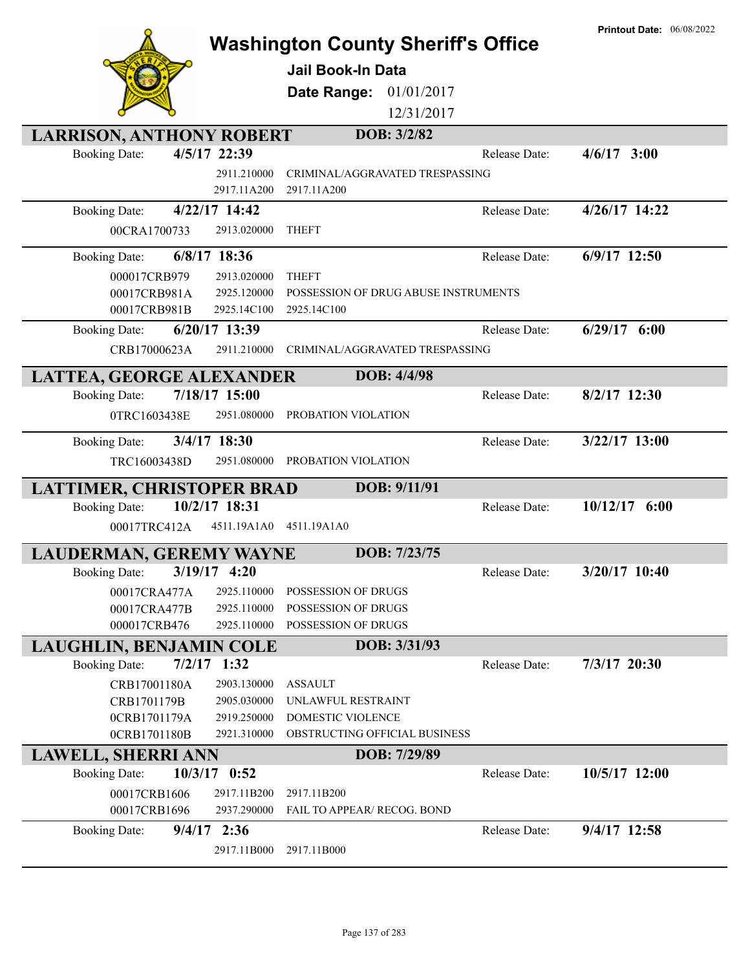|                                 |                            | <b>Washington County Sheriff's Office</b>           |               | <b>Printout Date: 06/08/2022</b> |
|---------------------------------|----------------------------|-----------------------------------------------------|---------------|----------------------------------|
|                                 |                            | <b>Jail Book-In Data</b>                            |               |                                  |
|                                 |                            | Date Range:<br>01/01/2017                           |               |                                  |
|                                 |                            | 12/31/2017                                          |               |                                  |
| <b>LARRISON, ANTHONY ROBERT</b> |                            | DOB: 3/2/82                                         |               |                                  |
| <b>Booking Date:</b>            | 4/5/17 22:39               |                                                     | Release Date: | $4/6/17$ 3:00                    |
|                                 | 2911.210000                | CRIMINAL/AGGRAVATED TRESPASSING                     |               |                                  |
|                                 | 2917.11A200                | 2917.11A200                                         |               |                                  |
| <b>Booking Date:</b>            | 4/22/17 14:42              |                                                     | Release Date: | 4/26/17 14:22                    |
| 00CRA1700733                    | 2913.020000                | <b>THEFT</b>                                        |               |                                  |
|                                 |                            |                                                     |               |                                  |
| <b>Booking Date:</b>            | 6/8/17 18:36               |                                                     | Release Date: | 6/9/17 12:50                     |
| 000017CRB979                    | 2913.020000                | <b>THEFT</b>                                        |               |                                  |
| 00017CRB981A<br>00017CRB981B    | 2925.120000<br>2925.14C100 | POSSESSION OF DRUG ABUSE INSTRUMENTS<br>2925.14C100 |               |                                  |
|                                 |                            |                                                     |               |                                  |
| <b>Booking Date:</b>            | 6/20/17 13:39              |                                                     | Release Date: | $6/29/17$ $6:00$                 |
| CRB17000623A                    | 2911.210000                | CRIMINAL/AGGRAVATED TRESPASSING                     |               |                                  |
| LATTEA, GEORGE ALEXANDER        |                            | DOB: 4/4/98                                         |               |                                  |
| <b>Booking Date:</b>            | 7/18/17 15:00              |                                                     | Release Date: | $8/2/17$ 12:30                   |
| 0TRC1603438E                    | 2951.080000                | PROBATION VIOLATION                                 |               |                                  |
| <b>Booking Date:</b>            | $3/4/17$ 18:30             |                                                     | Release Date: | $3/22/17$ 13:00                  |
| TRC16003438D                    | 2951.080000                | PROBATION VIOLATION                                 |               |                                  |
|                                 |                            |                                                     |               |                                  |
| LATTIMER, CHRISTOPER BRAD       |                            | DOB: 9/11/91                                        |               |                                  |
| <b>Booking Date:</b>            | 10/2/17 18:31              |                                                     | Release Date: | $10/12/17$ 6:00                  |
| 00017TRC412A                    | 4511.19A1A0                | 4511.19A1A0                                         |               |                                  |
| <b>LAUDERMAN, GEREMY WAYNE</b>  |                            | DOB: 7/23/75                                        |               |                                  |
| <b>Booking Date:</b>            | $3/19/17$ 4:20             |                                                     | Release Date: | $3/20/17$ 10:40                  |
| 00017CRA477A                    | 2925.110000                | POSSESSION OF DRUGS                                 |               |                                  |
| 00017CRA477B                    | 2925.110000                | <b>POSSESSION OF DRUGS</b>                          |               |                                  |
| 000017CRB476                    | 2925.110000                | POSSESSION OF DRUGS                                 |               |                                  |
| <b>LAUGHLIN, BENJAMIN COLE</b>  |                            | DOB: 3/31/93                                        |               |                                  |
| <b>Booking Date:</b>            | $7/2/17$ 1:32              |                                                     | Release Date: | 7/3/17 20:30                     |
| CRB17001180A                    | 2903.130000                | <b>ASSAULT</b>                                      |               |                                  |
| CRB1701179B                     | 2905.030000                | UNLAWFUL RESTRAINT                                  |               |                                  |
| 0CRB1701179A                    | 2919.250000                | DOMESTIC VIOLENCE                                   |               |                                  |
| 0CRB1701180B                    | 2921.310000                | OBSTRUCTING OFFICIAL BUSINESS                       |               |                                  |
| <b>LAWELL, SHERRI ANN</b>       |                            | DOB: 7/29/89                                        |               |                                  |
| <b>Booking Date:</b>            | 10/3/17 0:52               |                                                     | Release Date: | 10/5/17 12:00                    |
| 00017CRB1606                    | 2917.11B200                | 2917.11B200                                         |               |                                  |
| 00017CRB1696                    | 2937.290000                | FAIL TO APPEAR/ RECOG. BOND                         |               |                                  |
| <b>Booking Date:</b>            | $9/4/17$ 2:36              |                                                     | Release Date: | 9/4/17 12:58                     |
|                                 | 2917.11B000                | 2917.11B000                                         |               |                                  |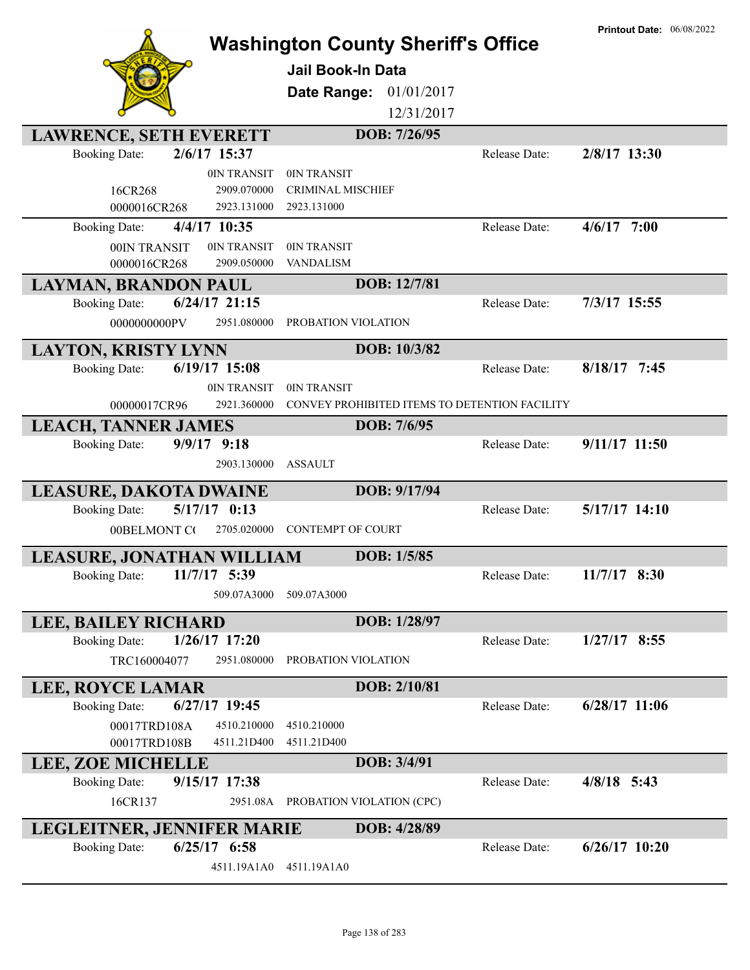|                                          |                                               |               | <b>Printout Date: 06/08/2022</b> |
|------------------------------------------|-----------------------------------------------|---------------|----------------------------------|
|                                          | <b>Washington County Sheriff's Office</b>     |               |                                  |
|                                          | <b>Jail Book-In Data</b>                      |               |                                  |
|                                          | 01/01/2017<br>Date Range:                     |               |                                  |
|                                          | 12/31/2017                                    |               |                                  |
|                                          |                                               |               |                                  |
| <b>LAWRENCE, SETH EVERETT</b>            | DOB: 7/26/95                                  |               |                                  |
| 2/6/17 15:37<br><b>Booking Date:</b>     |                                               | Release Date: | 2/8/17 13:30                     |
| 0IN TRANSIT                              | 0IN TRANSIT                                   |               |                                  |
| 2909.070000<br>16CR268                   | <b>CRIMINAL MISCHIEF</b>                      |               |                                  |
| 0000016CR268<br>2923.131000              | 2923.131000                                   |               |                                  |
| 4/4/17 10:35<br><b>Booking Date:</b>     |                                               | Release Date: | $4/6/17$ 7:00                    |
| 00IN TRANSIT<br>0IN TRANSIT              | 0IN TRANSIT                                   |               |                                  |
| 2909.050000<br>0000016CR268              | <b>VANDALISM</b>                              |               |                                  |
| <b>LAYMAN, BRANDON PAUL</b>              | DOB: 12/7/81                                  |               |                                  |
| $6/24/17$ 21:15<br><b>Booking Date:</b>  |                                               | Release Date: | 7/3/17 15:55                     |
| 0000000000PV<br>2951.080000              | PROBATION VIOLATION                           |               |                                  |
| <b>LAYTON, KRISTY LYNN</b>               | DOB: 10/3/82                                  |               |                                  |
| $6/19/17$ 15:08<br><b>Booking Date:</b>  |                                               | Release Date: | $8/18/17$ 7:45                   |
| 0IN TRANSIT                              | 0IN TRANSIT                                   |               |                                  |
| 2921.360000<br>00000017CR96              | CONVEY PROHIBITED ITEMS TO DETENTION FACILITY |               |                                  |
| <b>LEACH, TANNER JAMES</b>               | DOB: 7/6/95                                   |               |                                  |
| $9/9/17$ $9:18$<br><b>Booking Date:</b>  |                                               | Release Date: | 9/11/17 11:50                    |
| 2903.130000                              | <b>ASSAULT</b>                                |               |                                  |
|                                          |                                               |               |                                  |
| <b>LEASURE, DAKOTA DWAINE</b>            | DOB: 9/17/94                                  | Release Date: | $5/17/17$ 14:10                  |
| $5/17/17$ 0:13<br><b>Booking Date:</b>   |                                               |               |                                  |
| 00BELMONT CO<br>2705.020000              | <b>CONTEMPT OF COURT</b>                      |               |                                  |
| <b>LEASURE, JONATHAN WILLIAM</b>         | DOB: 1/5/85                                   |               |                                  |
| <b>Booking Date:</b><br>$11/7/17$ 5:39   |                                               | Release Date: | 11/7/17 8:30                     |
| 509.07A3000                              | 509.07A3000                                   |               |                                  |
| <b>LEE, BAILEY RICHARD</b>               | DOB: 1/28/97                                  |               |                                  |
| $1/26/17$ 17:20<br><b>Booking Date:</b>  |                                               | Release Date: | $1/27/17$ 8:55                   |
| TRC160004077<br>2951.080000              | PROBATION VIOLATION                           |               |                                  |
|                                          |                                               |               |                                  |
| <b>LEE, ROYCE LAMAR</b>                  | DOB: 2/10/81                                  |               |                                  |
| $6/27/17$ 19:45<br><b>Booking Date:</b>  |                                               | Release Date: | $6/28/17$ 11:06                  |
| 00017TRD108A<br>4510.210000              | 4510.210000                                   |               |                                  |
| 00017TRD108B<br>4511.21D400              | 4511.21D400                                   |               |                                  |
| <b>LEE, ZOE MICHELLE</b>                 | DOB: 3/4/91                                   |               |                                  |
| 9/15/17 17:38<br><b>Booking Date:</b>    |                                               | Release Date: | $4/8/18$ 5:43                    |
| 2951.08A<br>16CR137                      | PROBATION VIOLATION (CPC)                     |               |                                  |
| LEGLEITNER, JENNIFER MARIE               | DOB: 4/28/89                                  |               |                                  |
| $6/25/17$ $6:58$<br><b>Booking Date:</b> |                                               | Release Date: | $6/26/17$ 10:20                  |
| 4511.19A1A0                              | 4511.19A1A0                                   |               |                                  |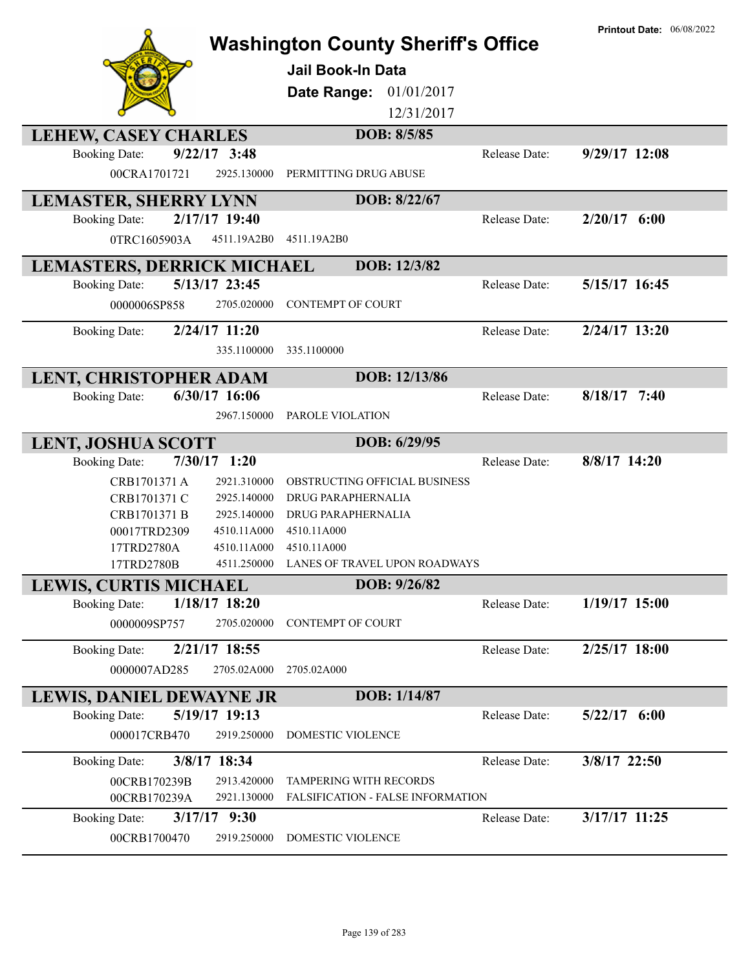|                                         | <b>Washington County Sheriff's Office</b><br><b>Jail Book-In Data</b><br>Date Range:<br>01/01/2017<br>12/31/2017 |               | <b>Printout Date: 06/08/2022</b> |
|-----------------------------------------|------------------------------------------------------------------------------------------------------------------|---------------|----------------------------------|
| <b>LEHEW, CASEY CHARLES</b>             | DOB: 8/5/85                                                                                                      |               |                                  |
| $9/22/17$ 3:48<br><b>Booking Date:</b>  |                                                                                                                  | Release Date: | $9/29/17$ 12:08                  |
| 00CRA1701721<br>2925.130000             | PERMITTING DRUG ABUSE                                                                                            |               |                                  |
| <b>LEMASTER, SHERRY LYNN</b>            | DOB: 8/22/67                                                                                                     |               |                                  |
| 2/17/17 19:40<br><b>Booking Date:</b>   |                                                                                                                  | Release Date: | $2/20/17$ 6:00                   |
| 4511.19A2B0<br>0TRC1605903A             | 4511.19A2B0                                                                                                      |               |                                  |
| <b>LEMASTERS, DERRICK MICHAEL</b>       | DOB: 12/3/82                                                                                                     |               |                                  |
| 5/13/17 23:45<br><b>Booking Date:</b>   |                                                                                                                  | Release Date: | 5/15/17 16:45                    |
| 0000006SP858<br>2705.020000             | <b>CONTEMPT OF COURT</b>                                                                                         |               |                                  |
| 2/24/17 11:20<br><b>Booking Date:</b>   |                                                                                                                  | Release Date: | $2/24/17$ 13:20                  |
| 335.1100000                             | 335.1100000                                                                                                      |               |                                  |
| LENT, CHRISTOPHER ADAM                  | DOB: 12/13/86                                                                                                    |               |                                  |
| $6/30/17$ 16:06<br><b>Booking Date:</b> |                                                                                                                  | Release Date: | $8/18/17$ 7:40                   |
| 2967.150000                             | PAROLE VIOLATION                                                                                                 |               |                                  |
| <b>LENT, JOSHUA SCOTT</b>               | DOB: 6/29/95                                                                                                     |               |                                  |
| $7/30/17$ 1:20<br><b>Booking Date:</b>  |                                                                                                                  | Release Date: | 8/8/17 14:20                     |
| CRB1701371 A<br>2921.310000             | OBSTRUCTING OFFICIAL BUSINESS                                                                                    |               |                                  |
| 2925.140000<br>CRB1701371 C             | DRUG PARAPHERNALIA                                                                                               |               |                                  |
| CRB1701371 B<br>2925.140000             | DRUG PARAPHERNALIA                                                                                               |               |                                  |
| 00017TRD2309<br>4510.11A000             | 4510.11A000                                                                                                      |               |                                  |
| 17TRD2780A<br>4510.11A000               | 4510.11A000                                                                                                      |               |                                  |
| 4511.250000<br>17TRD2780B               | LANES OF TRAVEL UPON ROADWAYS                                                                                    |               |                                  |
| <b>LEWIS, CURTIS MICHAEL</b>            | DOB: 9/26/82                                                                                                     |               |                                  |
| 1/18/17 18:20<br><b>Booking Date:</b>   |                                                                                                                  | Release Date: | $1/19/17$ 15:00                  |
| 2705.020000<br>0000009SP757             | <b>CONTEMPT OF COURT</b>                                                                                         |               |                                  |
| <b>Booking Date:</b><br>2/21/17 18:55   |                                                                                                                  | Release Date: | 2/25/17 18:00                    |
| 0000007AD285<br>2705.02A000             | 2705.02A000                                                                                                      |               |                                  |
| LEWIS, DANIEL DEWAYNE JR                | DOB: 1/14/87                                                                                                     |               |                                  |
| 5/19/17 19:13<br><b>Booking Date:</b>   |                                                                                                                  | Release Date: | $5/22/17$ 6:00                   |
| 2919.250000<br>000017CRB470             | DOMESTIC VIOLENCE                                                                                                |               |                                  |
| <b>Booking Date:</b><br>3/8/17 18:34    |                                                                                                                  | Release Date: | 3/8/17 22:50                     |
| 2913.420000<br>00CRB170239B             | <b>TAMPERING WITH RECORDS</b>                                                                                    |               |                                  |
| 2921.130000<br>00CRB170239A             | <b>FALSIFICATION - FALSE INFORMATION</b>                                                                         |               |                                  |
| $3/17/17$ 9:30<br><b>Booking Date:</b>  |                                                                                                                  | Release Date: | 3/17/17 11:25                    |
| 00CRB1700470<br>2919.250000             | DOMESTIC VIOLENCE                                                                                                |               |                                  |
|                                         |                                                                                                                  |               |                                  |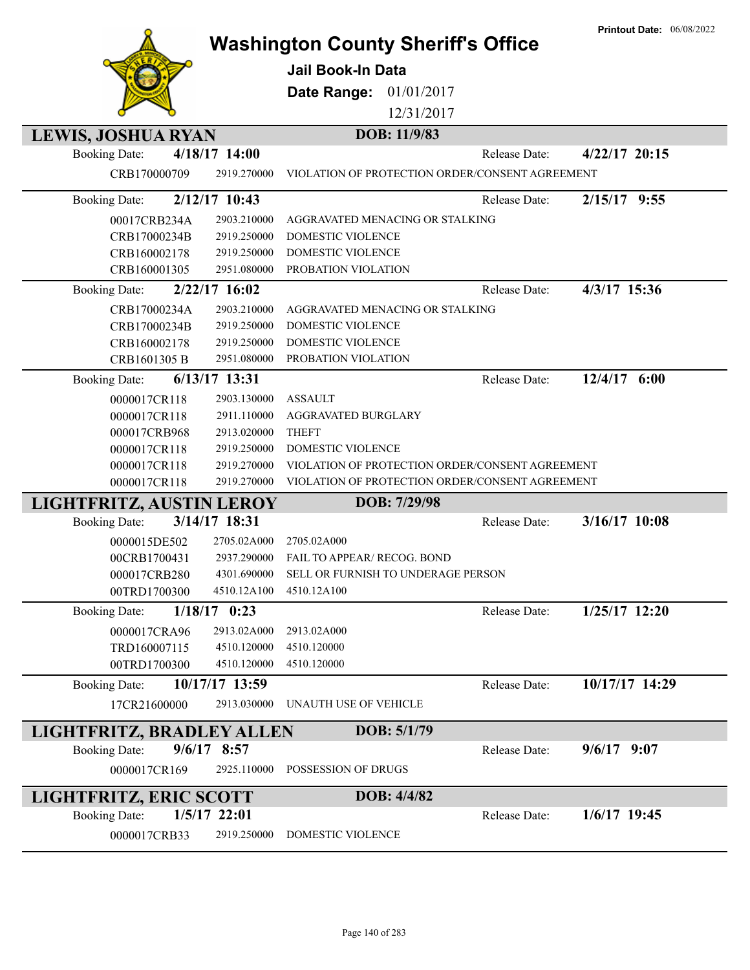|                                         |             | <b>Washington County Sheriff's Office</b>       |               | <b>Printout Date: 06/08/2022</b> |
|-----------------------------------------|-------------|-------------------------------------------------|---------------|----------------------------------|
|                                         |             | <b>Jail Book-In Data</b>                        |               |                                  |
|                                         |             | Date Range:<br>01/01/2017                       |               |                                  |
|                                         |             | 12/31/2017                                      |               |                                  |
|                                         |             |                                                 |               |                                  |
| <b>LEWIS, JOSHUA RYAN</b>               |             | DOB: 11/9/83                                    |               |                                  |
| 4/18/17 14:00<br><b>Booking Date:</b>   |             |                                                 | Release Date: | $4/22/17$ 20:15                  |
| CRB170000709                            | 2919.270000 | VIOLATION OF PROTECTION ORDER/CONSENT AGREEMENT |               |                                  |
| 2/12/17 10:43<br><b>Booking Date:</b>   |             |                                                 | Release Date: | $2/15/17$ 9:55                   |
| 00017CRB234A                            | 2903.210000 | AGGRAVATED MENACING OR STALKING                 |               |                                  |
| CRB17000234B                            | 2919.250000 | DOMESTIC VIOLENCE                               |               |                                  |
| CRB160002178                            | 2919.250000 | DOMESTIC VIOLENCE                               |               |                                  |
| CRB160001305                            | 2951.080000 | PROBATION VIOLATION                             |               |                                  |
| $2/22/17$ 16:02<br><b>Booking Date:</b> |             |                                                 | Release Date: | 4/3/17 15:36                     |
| CRB17000234A                            | 2903.210000 | AGGRAVATED MENACING OR STALKING                 |               |                                  |
| CRB17000234B                            | 2919.250000 | <b>DOMESTIC VIOLENCE</b>                        |               |                                  |
| CRB160002178                            | 2919.250000 | DOMESTIC VIOLENCE                               |               |                                  |
| CRB1601305 B                            | 2951.080000 | PROBATION VIOLATION                             |               |                                  |
| $6/13/17$ 13:31<br><b>Booking Date:</b> |             |                                                 | Release Date: | 12/4/17 6:00                     |
| 0000017CR118                            | 2903.130000 | <b>ASSAULT</b>                                  |               |                                  |
| 0000017CR118                            | 2911.110000 | AGGRAVATED BURGLARY                             |               |                                  |
| 000017CRB968                            | 2913.020000 | <b>THEFT</b>                                    |               |                                  |
| 0000017CR118                            | 2919.250000 | DOMESTIC VIOLENCE                               |               |                                  |
| 0000017CR118                            | 2919.270000 | VIOLATION OF PROTECTION ORDER/CONSENT AGREEMENT |               |                                  |
| 0000017CR118                            | 2919.270000 | VIOLATION OF PROTECTION ORDER/CONSENT AGREEMENT |               |                                  |
| LIGHTFRITZ, AUSTIN LEROY                |             | DOB: 7/29/98                                    |               |                                  |
| 3/14/17 18:31<br><b>Booking Date:</b>   |             |                                                 | Release Date: | 3/16/17 10:08                    |
| 0000015DE502                            | 2705.02A000 | 2705.02A000                                     |               |                                  |
| 00CRB1700431                            | 2937.290000 | FAIL TO APPEAR/ RECOG. BOND                     |               |                                  |
| 000017CRB280                            |             | 4301.690000 SELL OR FURNISH TO UNDERAGE PERSON  |               |                                  |
| 00TRD1700300                            | 4510.12A100 | 4510.12A100                                     |               |                                  |
| $1/18/17$ 0:23<br><b>Booking Date:</b>  |             |                                                 | Release Date: | 1/25/17 12:20                    |
| 0000017CRA96                            | 2913.02A000 | 2913.02A000                                     |               |                                  |
| TRD160007115                            | 4510.120000 | 4510.120000                                     |               |                                  |
| 00TRD1700300                            | 4510.120000 | 4510.120000                                     |               |                                  |
| 10/17/17 13:59<br><b>Booking Date:</b>  |             |                                                 | Release Date: | 10/17/17 14:29                   |
| 17CR21600000                            | 2913.030000 | UNAUTH USE OF VEHICLE                           |               |                                  |
| LIGHTFRITZ, BRADLEY ALLEN               |             | DOB: 5/1/79                                     |               |                                  |
| $9/6/17$ 8:57<br><b>Booking Date:</b>   |             |                                                 | Release Date: | $9/6/17$ 9:07                    |
| 0000017CR169                            | 2925.110000 | POSSESSION OF DRUGS                             |               |                                  |
| LIGHTFRITZ, ERIC SCOTT                  |             | DOB: 4/4/82                                     |               |                                  |
| $1/5/17$ 22:01<br><b>Booking Date:</b>  |             |                                                 | Release Date: | 1/6/17 19:45                     |
|                                         |             |                                                 |               |                                  |
| 0000017CRB33                            | 2919.250000 | DOMESTIC VIOLENCE                               |               |                                  |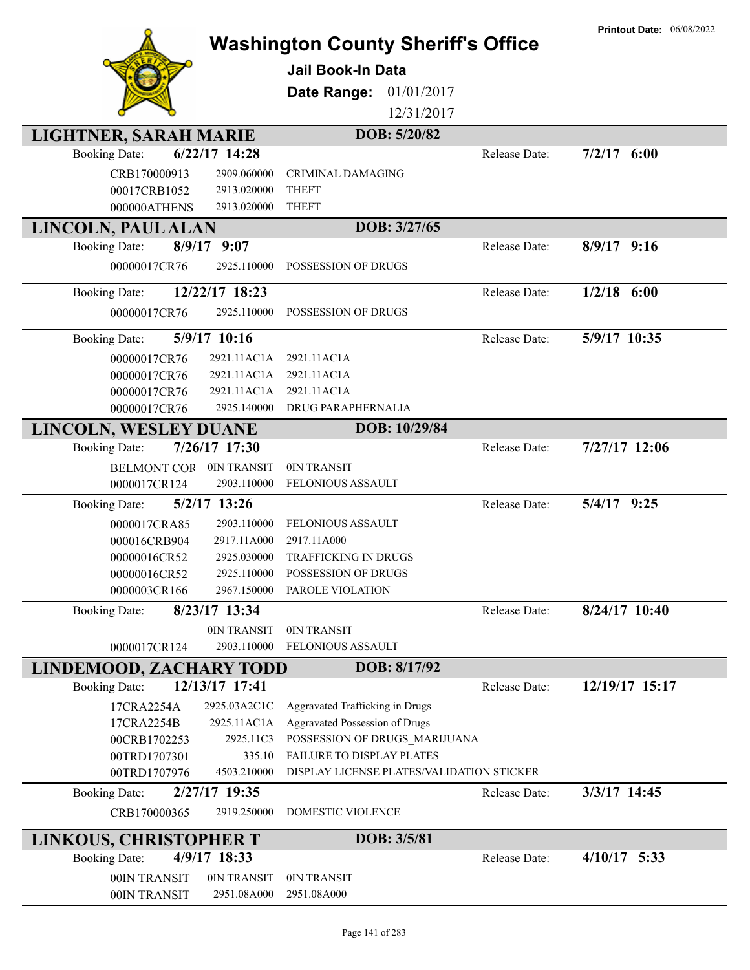|                               |                     |                                                            |               | <b>Printout Date: 06/08/2022</b> |
|-------------------------------|---------------------|------------------------------------------------------------|---------------|----------------------------------|
|                               |                     | <b>Washington County Sheriff's Office</b>                  |               |                                  |
|                               |                     | Jail Book-In Data                                          |               |                                  |
|                               |                     | Date Range:<br>01/01/2017                                  |               |                                  |
|                               |                     | 12/31/2017                                                 |               |                                  |
| LIGHTNER, SARAH MARIE         |                     | DOB: 5/20/82                                               |               |                                  |
| <b>Booking Date:</b>          | 6/22/17 14:28       |                                                            | Release Date: | $7/2/17$ 6:00                    |
| CRB170000913                  | 2909.060000         | <b>CRIMINAL DAMAGING</b>                                   |               |                                  |
| 00017CRB1052                  | 2913.020000         | <b>THEFT</b>                                               |               |                                  |
| 000000ATHENS                  | 2913.020000         | <b>THEFT</b>                                               |               |                                  |
| LINCOLN, PAUL ALAN            |                     | DOB: 3/27/65                                               |               |                                  |
| <b>Booking Date:</b>          | $8/9/17$ 9:07       |                                                            | Release Date: | $8/9/17$ 9:16                    |
| 00000017CR76                  | 2925.110000         | <b>POSSESSION OF DRUGS</b>                                 |               |                                  |
| <b>Booking Date:</b>          | 12/22/17 18:23      |                                                            | Release Date: | $1/2/18$ 6:00                    |
| 00000017CR76                  | 2925.110000         | POSSESSION OF DRUGS                                        |               |                                  |
| <b>Booking Date:</b>          | 5/9/17 10:16        |                                                            | Release Date: | 5/9/17 10:35                     |
| 00000017CR76                  | 2921.11AC1A         | 2921.11AC1A                                                |               |                                  |
| 00000017CR76                  | 2921.11AC1A         | 2921.11AC1A                                                |               |                                  |
| 00000017CR76                  | 2921.11AC1A         | 2921.11AC1A                                                |               |                                  |
| 00000017CR76                  | 2925.140000         | DRUG PARAPHERNALIA                                         |               |                                  |
| LINCOLN, WESLEY DUANE         |                     | DOB: 10/29/84                                              |               |                                  |
| <b>Booking Date:</b>          | 7/26/17 17:30       |                                                            | Release Date: | 7/27/17 12:06                    |
| <b>BELMONT COR</b>            | 0IN TRANSIT         | 0IN TRANSIT                                                |               |                                  |
| 0000017CR124                  | 2903.110000         | FELONIOUS ASSAULT                                          |               |                                  |
| <b>Booking Date:</b>          | 5/2/17 13:26        |                                                            | Release Date: | 5/4/17 9:25                      |
| 0000017CRA85                  | 2903.110000         | <b>FELONIOUS ASSAULT</b>                                   |               |                                  |
| 000016CRB904                  | 2917.11A000         | 2917.11A000                                                |               |                                  |
| 00000016CR52                  | 2925.030000         | TRAFFICKING IN DRUGS                                       |               |                                  |
| 00000016CR52                  | 2925.110000         | POSSESSION OF DRUGS                                        |               |                                  |
| 0000003CR166                  |                     | 2967.150000 PAROLE VIOLATION                               |               |                                  |
| <b>Booking Date:</b>          | 8/23/17 13:34       |                                                            | Release Date: | 8/24/17 10:40                    |
|                               | 0IN TRANSIT         | 0IN TRANSIT                                                |               |                                  |
| 0000017CR124                  | 2903.110000         | FELONIOUS ASSAULT                                          |               |                                  |
| LINDEMOOD, ZACHARY TODD       |                     | DOB: 8/17/92                                               |               |                                  |
| <b>Booking Date:</b>          | 12/13/17 17:41      |                                                            | Release Date: | 12/19/17 15:17                   |
| 17CRA2254A                    | 2925.03A2C1C        | Aggravated Trafficking in Drugs                            |               |                                  |
| 17CRA2254B                    | 2925.11AC1A         | Aggravated Possession of Drugs                             |               |                                  |
| 00CRB1702253                  | 2925.11C3<br>335.10 | POSSESSION OF DRUGS_MARIJUANA<br>FAILURE TO DISPLAY PLATES |               |                                  |
| 00TRD1707301<br>00TRD1707976  | 4503.210000         | DISPLAY LICENSE PLATES/VALIDATION STICKER                  |               |                                  |
| <b>Booking Date:</b>          | 2/27/17 19:35       |                                                            | Release Date: | 3/3/17 14:45                     |
| CRB170000365                  | 2919.250000         | <b>DOMESTIC VIOLENCE</b>                                   |               |                                  |
| <b>LINKOUS, CHRISTOPHER T</b> |                     | DOB: 3/5/81                                                |               |                                  |
| <b>Booking Date:</b>          | 4/9/17 18:33        |                                                            | Release Date: | $4/10/17$ 5:33                   |
| 00IN TRANSIT                  | 0IN TRANSIT         | 0IN TRANSIT                                                |               |                                  |
| 00IN TRANSIT                  | 2951.08A000         | 2951.08A000                                                |               |                                  |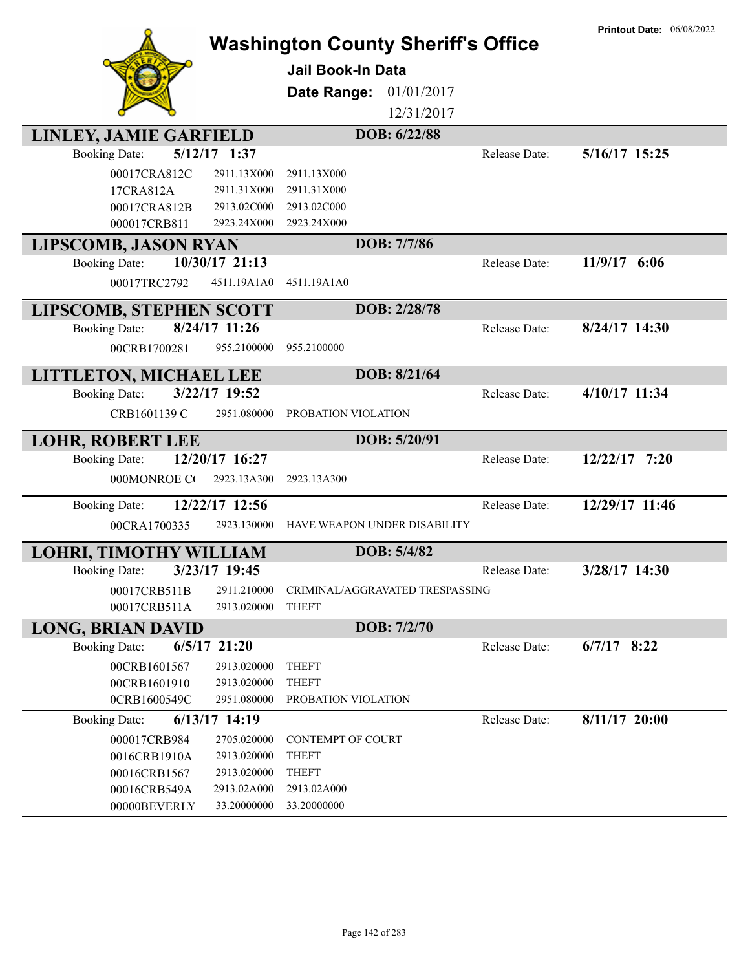| LINLEY, JAMIE GARFIELD<br>$5/12/17$ 1:37<br><b>Booking Date:</b><br>00017CRA812C<br>2911.13X000<br>17CRA812A<br>2911.31X000<br>00017CRA812B<br>2913.02C000<br>000017CRB811<br>2923.24X000 | <b>Washington County Sheriff's Office</b><br>Jail Book-In Data<br>01/01/2017<br>Date Range:<br>12/31/2017<br>DOB: 6/22/88<br>Release Date:<br>2911.13X000<br>2911.31X000<br>2913.02C000<br>2923.24X000 | <b>Printout Date: 06/08/2022</b><br>5/16/17 15:25 |
|-------------------------------------------------------------------------------------------------------------------------------------------------------------------------------------------|--------------------------------------------------------------------------------------------------------------------------------------------------------------------------------------------------------|---------------------------------------------------|
|                                                                                                                                                                                           | DOB: 7/7/86                                                                                                                                                                                            |                                                   |
| <b>LIPSCOMB, JASON RYAN</b><br>10/30/17 21:13                                                                                                                                             |                                                                                                                                                                                                        | 11/9/17 6:06                                      |
| <b>Booking Date:</b>                                                                                                                                                                      | Release Date:                                                                                                                                                                                          |                                                   |
| 4511.19A1A0<br>00017TRC2792                                                                                                                                                               | 4511.19A1A0                                                                                                                                                                                            |                                                   |
| <b>LIPSCOMB, STEPHEN SCOTT</b>                                                                                                                                                            | DOB: 2/28/78                                                                                                                                                                                           |                                                   |
| 8/24/17 11:26<br><b>Booking Date:</b>                                                                                                                                                     | Release Date:                                                                                                                                                                                          | $8/24/17$ 14:30                                   |
| 00CRB1700281<br>955.2100000                                                                                                                                                               | 955.2100000                                                                                                                                                                                            |                                                   |
| LITTLETON, MICHAEL LEE                                                                                                                                                                    | DOB: 8/21/64                                                                                                                                                                                           |                                                   |
| 3/22/17 19:52<br><b>Booking Date:</b>                                                                                                                                                     | Release Date:                                                                                                                                                                                          | 4/10/17 11:34                                     |
| CRB1601139 C<br>2951.080000                                                                                                                                                               | PROBATION VIOLATION                                                                                                                                                                                    |                                                   |
| <b>LOHR, ROBERT LEE</b>                                                                                                                                                                   | DOB: 5/20/91                                                                                                                                                                                           |                                                   |
| 12/20/17 16:27<br><b>Booking Date:</b>                                                                                                                                                    | Release Date:                                                                                                                                                                                          | $12/22/17$ 7:20                                   |
| 000MONROE CO<br>2923.13A300                                                                                                                                                               | 2923.13A300                                                                                                                                                                                            |                                                   |
| 12/22/17 12:56<br><b>Booking Date:</b>                                                                                                                                                    | Release Date:                                                                                                                                                                                          | 12/29/17 11:46                                    |
| 2923.130000<br>00CRA1700335                                                                                                                                                               | HAVE WEAPON UNDER DISABILITY                                                                                                                                                                           |                                                   |
|                                                                                                                                                                                           |                                                                                                                                                                                                        |                                                   |
| LOHRI, TIMOTHY WILLIAM                                                                                                                                                                    | DOB: 5/4/82                                                                                                                                                                                            |                                                   |
| 3/23/17 19:45<br><b>Booking Date:</b>                                                                                                                                                     | Release Date:                                                                                                                                                                                          | 3/28/17 14:30                                     |
| 2911.210000<br>00017CRB511B                                                                                                                                                               | CRIMINAL/AGGRAVATED TRESPASSING                                                                                                                                                                        |                                                   |
| 00017CRB511A<br>2913.020000                                                                                                                                                               | <b>THEFT</b>                                                                                                                                                                                           |                                                   |
| <b>LONG, BRIAN DAVID</b>                                                                                                                                                                  | DOB: 7/2/70                                                                                                                                                                                            |                                                   |
| $6/5/17$ 21:20<br><b>Booking Date:</b>                                                                                                                                                    | Release Date:                                                                                                                                                                                          | $6/7/17$ 8:22                                     |
| 00CRB1601567<br>2913.020000                                                                                                                                                               | <b>THEFT</b>                                                                                                                                                                                           |                                                   |
| 00CRB1601910<br>2913.020000<br>0CRB1600549C<br>2951.080000                                                                                                                                | <b>THEFT</b><br>PROBATION VIOLATION                                                                                                                                                                    |                                                   |
| 6/13/17 14:19<br><b>Booking Date:</b>                                                                                                                                                     | Release Date:                                                                                                                                                                                          | $8/11/17$ 20:00                                   |
| 000017CRB984<br>2705.020000                                                                                                                                                               | CONTEMPT OF COURT                                                                                                                                                                                      |                                                   |
| 0016CRB1910A<br>2913.020000                                                                                                                                                               | <b>THEFT</b>                                                                                                                                                                                           |                                                   |
| 00016CRB1567<br>2913.020000                                                                                                                                                               | <b>THEFT</b>                                                                                                                                                                                           |                                                   |
| 00016CRB549A<br>2913.02A000                                                                                                                                                               | 2913.02A000                                                                                                                                                                                            |                                                   |
| 00000BEVERLY<br>33.20000000                                                                                                                                                               | 33.20000000                                                                                                                                                                                            |                                                   |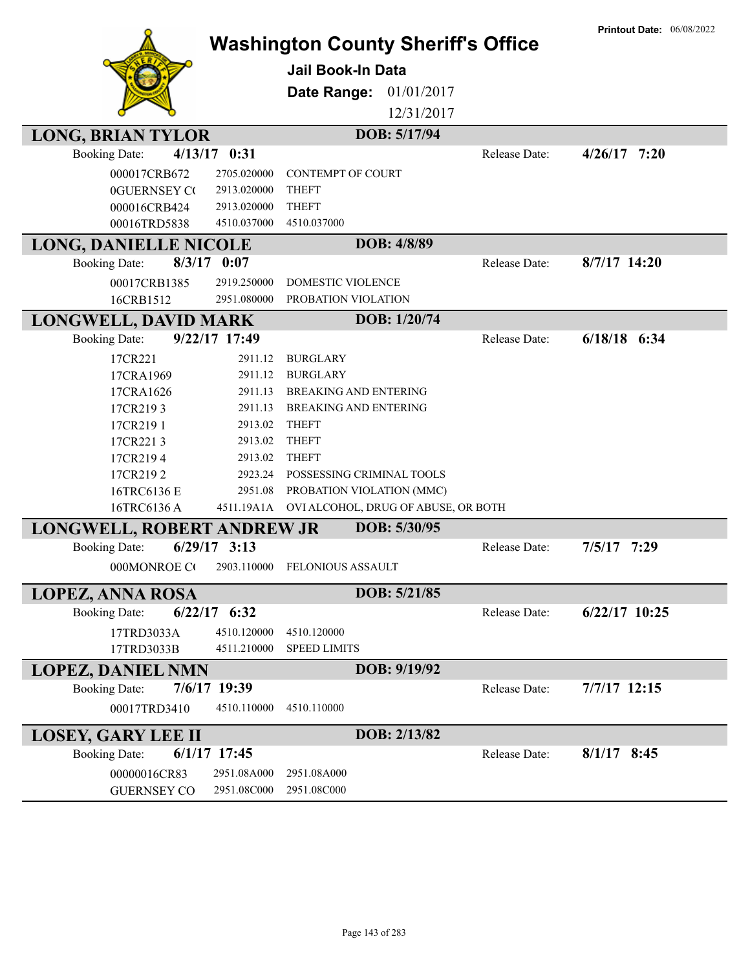|                                          |                                           |               | <b>Printout Date: 06/08/2022</b> |
|------------------------------------------|-------------------------------------------|---------------|----------------------------------|
|                                          | <b>Washington County Sheriff's Office</b> |               |                                  |
|                                          | <b>Jail Book-In Data</b>                  |               |                                  |
|                                          | Date Range:<br>01/01/2017                 |               |                                  |
|                                          | 12/31/2017                                |               |                                  |
| <b>LONG, BRIAN TYLOR</b>                 | DOB: 5/17/94                              |               |                                  |
| <b>Booking Date:</b><br>$4/13/17$ 0:31   |                                           | Release Date: | $4/26/17$ 7:20                   |
| 2705.020000<br>000017CRB672              | <b>CONTEMPT OF COURT</b>                  |               |                                  |
| <b>0GUERNSEY CO</b><br>2913.020000       | <b>THEFT</b>                              |               |                                  |
| 000016CRB424<br>2913.020000              | <b>THEFT</b>                              |               |                                  |
| 00016TRD5838<br>4510.037000              | 4510.037000                               |               |                                  |
| <b>LONG, DANIELLE NICOLE</b>             | DOB: 4/8/89                               |               |                                  |
| $8/3/17$ 0:07<br><b>Booking Date:</b>    |                                           | Release Date: | 8/7/17 14:20                     |
| 00017CRB1385<br>2919.250000              | <b>DOMESTIC VIOLENCE</b>                  |               |                                  |
| 16CRB1512<br>2951.080000                 | PROBATION VIOLATION                       |               |                                  |
| <b>LONGWELL, DAVID MARK</b>              | DOB: 1/20/74                              |               |                                  |
| 9/22/17 17:49<br><b>Booking Date:</b>    |                                           | Release Date: | $6/18/18$ $6:34$                 |
| 17CR221<br>2911.12                       | <b>BURGLARY</b>                           |               |                                  |
| 17CRA1969<br>2911.12                     | <b>BURGLARY</b>                           |               |                                  |
| 17CRA1626<br>2911.13                     | <b>BREAKING AND ENTERING</b>              |               |                                  |
| 17CR2193<br>2911.13                      | <b>BREAKING AND ENTERING</b>              |               |                                  |
| 17CR2191<br>2913.02                      | <b>THEFT</b>                              |               |                                  |
| 17CR2213<br>2913.02                      | <b>THEFT</b>                              |               |                                  |
| 17CR2194<br>2913.02                      | <b>THEFT</b>                              |               |                                  |
| 17CR2192<br>2923.24                      | POSSESSING CRIMINAL TOOLS                 |               |                                  |
| 16TRC6136 E<br>2951.08                   | PROBATION VIOLATION (MMC)                 |               |                                  |
| 16TRC6136A<br>4511.19A1A                 | OVI ALCOHOL, DRUG OF ABUSE, OR BOTH       |               |                                  |
| LONGWELL, ROBERT ANDREW JR               | DOB: 5/30/95                              |               |                                  |
| $6/29/17$ 3:13<br><b>Booking Date:</b>   |                                           | Release Date: | $7/5/17$ 7:29                    |
| 000MONROE CO                             | 2903.110000 FELONIOUS ASSAULT             |               |                                  |
| <b>LOPEZ, ANNA ROSA</b>                  | DOB: 5/21/85                              |               |                                  |
| $6/22/17$ $6:32$<br><b>Booking Date:</b> |                                           | Release Date: | $6/22/17$ 10:25                  |
| 17TRD3033A<br>4510.120000                | 4510.120000                               |               |                                  |
| 17TRD3033B<br>4511.210000                | <b>SPEED LIMITS</b>                       |               |                                  |
| <b>LOPEZ, DANIEL NMN</b>                 | DOB: 9/19/92                              |               |                                  |
| 7/6/17 19:39<br><b>Booking Date:</b>     |                                           | Release Date: | 7/7/17 12:15                     |
| 00017TRD3410<br>4510.110000              | 4510.110000                               |               |                                  |
| <b>LOSEY, GARY LEE II</b>                | DOB: 2/13/82                              |               |                                  |
| $6/1/17$ 17:45<br><b>Booking Date:</b>   |                                           | Release Date: | $8/1/17$ 8:45                    |
| 00000016CR83<br>2951.08A000              | 2951.08A000                               |               |                                  |
| 2951.08C000<br><b>GUERNSEY CO</b>        | 2951.08C000                               |               |                                  |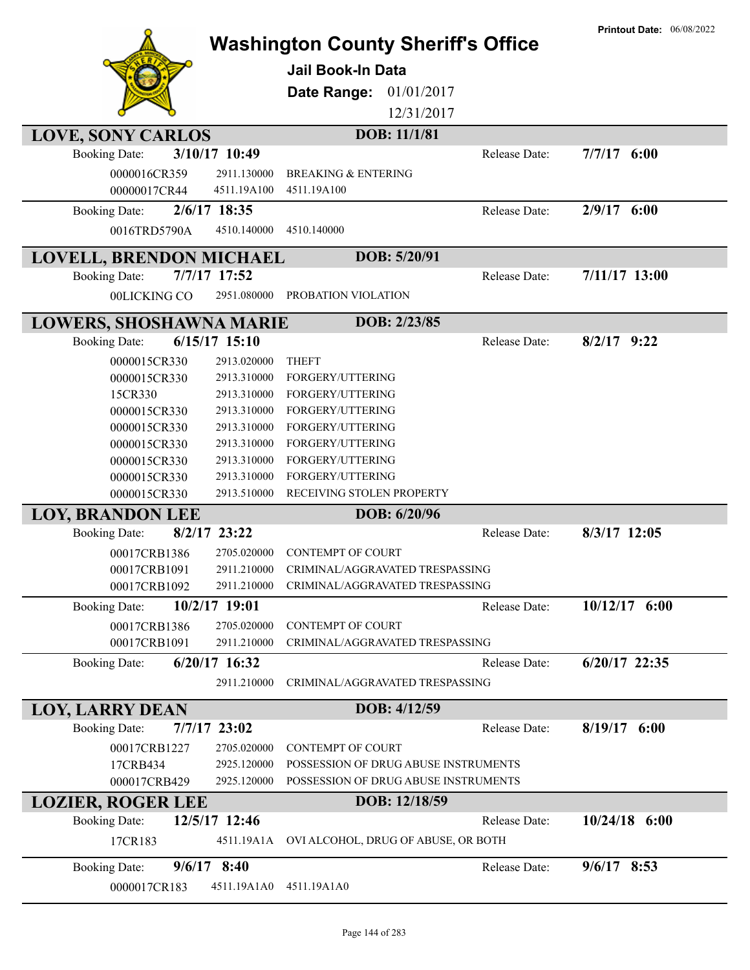|                                                |                 |                                           |               | <b>Printout Date: 06/08/2022</b> |
|------------------------------------------------|-----------------|-------------------------------------------|---------------|----------------------------------|
|                                                |                 | <b>Washington County Sheriff's Office</b> |               |                                  |
|                                                |                 | <b>Jail Book-In Data</b>                  |               |                                  |
|                                                |                 | Date Range:<br>01/01/2017                 |               |                                  |
|                                                |                 |                                           |               |                                  |
|                                                |                 | 12/31/2017                                |               |                                  |
| <b>LOVE, SONY CARLOS</b>                       |                 | DOB: 11/1/81                              |               |                                  |
| <b>Booking Date:</b>                           | 3/10/17 10:49   |                                           | Release Date: | $7/7/17$ 6:00                    |
| 0000016CR359                                   | 2911.130000     | <b>BREAKING &amp; ENTERING</b>            |               |                                  |
| 00000017CR44                                   | 4511.19A100     | 4511.19A100                               |               |                                  |
| <b>Booking Date:</b>                           | 2/6/17 18:35    |                                           | Release Date: | $2/9/17$ 6:00                    |
| 0016TRD5790A                                   | 4510.140000     | 4510.140000                               |               |                                  |
| <b>LOVELL, BRENDON MICHAEL</b>                 |                 | DOB: 5/20/91                              |               |                                  |
| <b>Booking Date:</b>                           | 7/7/17 17:52    |                                           | Release Date: | $7/11/17$ 13:00                  |
| 00LICKING CO                                   | 2951.080000     | PROBATION VIOLATION                       |               |                                  |
| <b>LOWERS, SHOSHAWNA MARIE</b>                 |                 | DOB: 2/23/85                              |               |                                  |
| <b>Booking Date:</b>                           | $6/15/17$ 15:10 |                                           | Release Date: | $8/2/17$ 9:22                    |
| 0000015CR330                                   | 2913.020000     | <b>THEFT</b>                              |               |                                  |
| 0000015CR330                                   | 2913.310000     | FORGERY/UTTERING                          |               |                                  |
| 15CR330                                        | 2913.310000     | FORGERY/UTTERING                          |               |                                  |
| 0000015CR330                                   | 2913.310000     | FORGERY/UTTERING                          |               |                                  |
| 0000015CR330                                   | 2913.310000     | FORGERY/UTTERING                          |               |                                  |
| 0000015CR330                                   | 2913.310000     | FORGERY/UTTERING                          |               |                                  |
| 0000015CR330                                   | 2913.310000     | FORGERY/UTTERING                          |               |                                  |
| 0000015CR330                                   | 2913.310000     | FORGERY/UTTERING                          |               |                                  |
| 0000015CR330                                   | 2913.510000     | RECEIVING STOLEN PROPERTY                 |               |                                  |
| <b>LOY, BRANDON LEE</b>                        |                 | DOB: 6/20/96                              |               |                                  |
| <b>Booking Date:</b>                           | 8/2/17 23:22    |                                           | Release Date: | 8/3/17 12:05                     |
| 00017CRB1386                                   | 2705.020000     | <b>CONTEMPT OF COURT</b>                  |               |                                  |
| 00017CRB1091                                   | 2911.210000     | CRIMINAL/AGGRAVATED TRESPASSING           |               |                                  |
| 00017CRB1092                                   | 2911.210000     | CRIMINAL/AGGRAVATED TRESPASSING           |               |                                  |
| <b>Booking Date:</b>                           | 10/2/17 19:01   |                                           | Release Date: | $10/12/17$ 6:00                  |
| 00017CRB1386                                   | 2705.020000     | <b>CONTEMPT OF COURT</b>                  |               |                                  |
| 00017CRB1091                                   | 2911.210000     | CRIMINAL/AGGRAVATED TRESPASSING           |               |                                  |
| <b>Booking Date:</b>                           | 6/20/17 16:32   |                                           | Release Date: | 6/20/17 22:35                    |
|                                                | 2911.210000     | CRIMINAL/AGGRAVATED TRESPASSING           |               |                                  |
|                                                |                 | DOB: 4/12/59                              |               |                                  |
| <b>LOY, LARRY DEAN</b><br><b>Booking Date:</b> | 7/7/17 23:02    |                                           | Release Date: | $8/19/17$ 6:00                   |
| 00017CRB1227                                   | 2705.020000     | <b>CONTEMPT OF COURT</b>                  |               |                                  |
| 17CRB434                                       | 2925.120000     | POSSESSION OF DRUG ABUSE INSTRUMENTS      |               |                                  |
| 000017CRB429                                   | 2925.120000     | POSSESSION OF DRUG ABUSE INSTRUMENTS      |               |                                  |
|                                                |                 | DOB: 12/18/59                             |               |                                  |
| <b>LOZIER, ROGER LEE</b>                       |                 |                                           |               |                                  |
| <b>Booking Date:</b>                           | 12/5/17 12:46   |                                           | Release Date: | $10/24/18$ 6:00                  |
| 17CR183                                        | 4511.19A1A      | OVI ALCOHOL, DRUG OF ABUSE, OR BOTH       |               |                                  |
| <b>Booking Date:</b>                           | $9/6/17$ 8:40   |                                           | Release Date: | $9/6/17$ 8:53                    |
| 0000017CR183                                   | 4511.19A1A0     | 4511.19A1A0                               |               |                                  |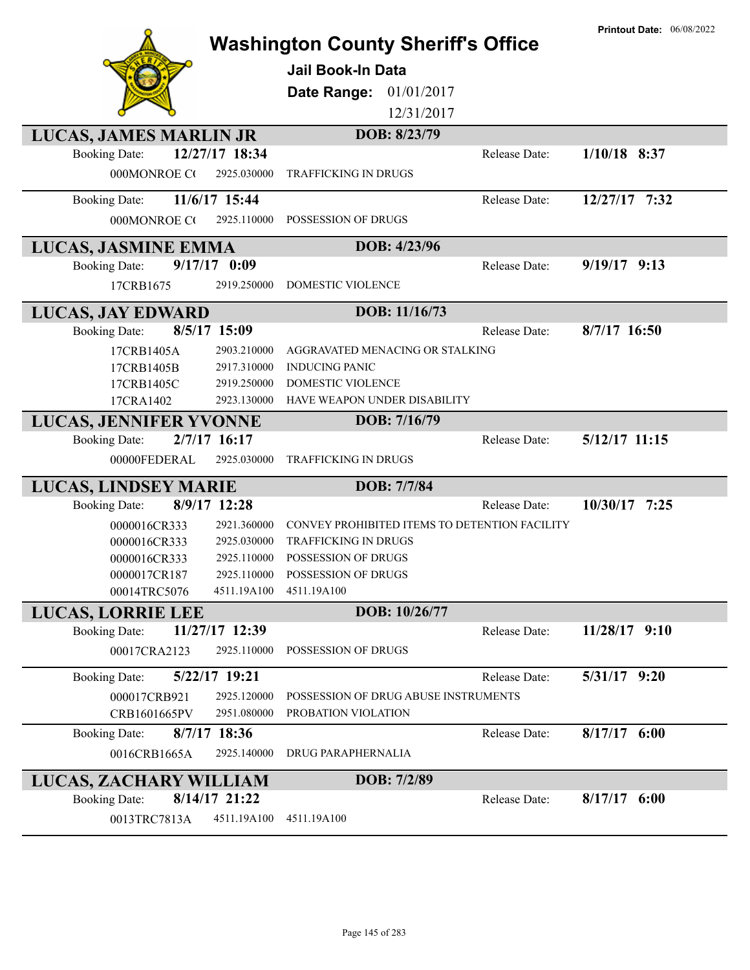|                                        | <b>Washington County Sheriff's Office</b>     |               | <b>Printout Date: 06/08/2022</b> |
|----------------------------------------|-----------------------------------------------|---------------|----------------------------------|
|                                        | <b>Jail Book-In Data</b>                      |               |                                  |
|                                        | 01/01/2017                                    |               |                                  |
|                                        | Date Range:<br>12/31/2017                     |               |                                  |
|                                        |                                               |               |                                  |
| LUCAS, JAMES MARLIN JR                 | DOB: 8/23/79                                  |               | $1/10/18$ 8:37                   |
| 12/27/17 18:34<br><b>Booking Date:</b> |                                               | Release Date: |                                  |
| 000MONROE CO<br>2925.030000            | <b>TRAFFICKING IN DRUGS</b>                   |               |                                  |
| 11/6/17 15:44<br><b>Booking Date:</b>  |                                               | Release Date: | 12/27/17 7:32                    |
| 000MONROE CO<br>2925.110000            | POSSESSION OF DRUGS                           |               |                                  |
| LUCAS, JASMINE EMMA                    | DOB: 4/23/96                                  |               |                                  |
| $9/17/17$ 0:09<br><b>Booking Date:</b> |                                               | Release Date: | $9/19/17$ 9:13                   |
| 17CRB1675<br>2919.250000               | DOMESTIC VIOLENCE                             |               |                                  |
| <b>LUCAS, JAY EDWARD</b>               | DOB: 11/16/73                                 |               |                                  |
| 8/5/17 15:09<br><b>Booking Date:</b>   |                                               | Release Date: | 8/7/17 16:50                     |
| 2903.210000<br>17CRB1405A              | AGGRAVATED MENACING OR STALKING               |               |                                  |
| 2917.310000<br>17CRB1405B              | <b>INDUCING PANIC</b>                         |               |                                  |
| 2919.250000<br>17CRB1405C              | <b>DOMESTIC VIOLENCE</b>                      |               |                                  |
| 2923.130000<br>17CRA1402               | HAVE WEAPON UNDER DISABILITY                  |               |                                  |
| <b>LUCAS, JENNIFER YVONNE</b>          | DOB: 7/16/79                                  |               |                                  |
| 2/7/17 16:17<br><b>Booking Date:</b>   |                                               | Release Date: | 5/12/17 11:15                    |
| 00000FEDERAL<br>2925.030000            | <b>TRAFFICKING IN DRUGS</b>                   |               |                                  |
| <b>LUCAS, LINDSEY MARIE</b>            | DOB: 7/7/84                                   |               |                                  |
| 8/9/17 12:28<br><b>Booking Date:</b>   |                                               | Release Date: | 10/30/17<br>7:25                 |
| 0000016CR333<br>2921.360000            | CONVEY PROHIBITED ITEMS TO DETENTION FACILITY |               |                                  |
| 2925.030000<br>0000016CR333            | <b>TRAFFICKING IN DRUGS</b>                   |               |                                  |
| 0000016CR333<br>2925.110000            | POSSESSION OF DRUGS                           |               |                                  |
| 0000017CR187<br>2925.110000            | POSSESSION OF DRUGS                           |               |                                  |
| 00014TRC5076<br>4511.19A100            | 4511.19A100                                   |               |                                  |
| <b>LUCAS, LORRIE LEE</b>               | DOB: 10/26/77                                 |               |                                  |
| 11/27/17 12:39<br><b>Booking Date:</b> |                                               | Release Date: | $11/28/17$ 9:10                  |
| 2925.110000<br>00017CRA2123            | POSSESSION OF DRUGS                           |               |                                  |
| 5/22/17 19:21<br><b>Booking Date:</b>  |                                               | Release Date: | 5/31/17 9:20                     |
| 000017CRB921<br>2925.120000            | POSSESSION OF DRUG ABUSE INSTRUMENTS          |               |                                  |
| 2951.080000<br>CRB1601665PV            | PROBATION VIOLATION                           |               |                                  |
| $8/7/17$ 18:36<br><b>Booking Date:</b> |                                               | Release Date: | $8/17/17$ 6:00                   |
| 0016CRB1665A<br>2925.140000            | DRUG PARAPHERNALIA                            |               |                                  |
| LUCAS, ZACHARY WILLIAM                 | DOB: 7/2/89                                   |               |                                  |
| 8/14/17 21:22<br><b>Booking Date:</b>  |                                               | Release Date: | $8/17/17$ 6:00                   |
| 0013TRC7813A<br>4511.19A100            | 4511.19A100                                   |               |                                  |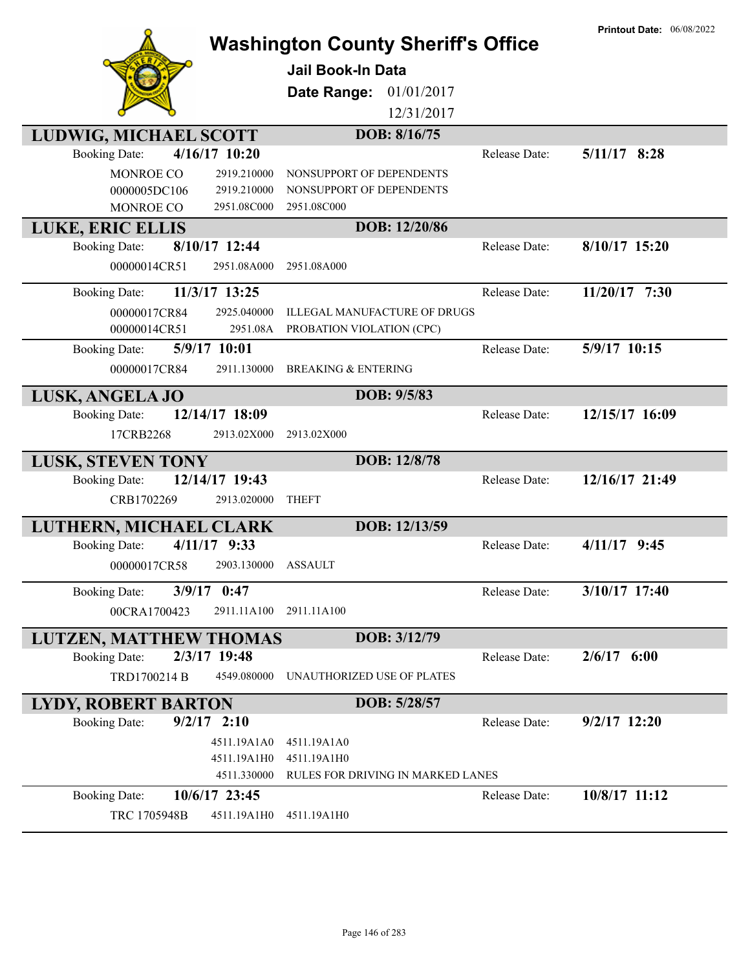|                            |                | <b>Washington County Sheriff's Office</b><br><b>Jail Book-In Data</b><br>Date Range:<br>01/01/2017<br>12/31/2017 |               | <b>Printout Date: 06/08/2022</b> |
|----------------------------|----------------|------------------------------------------------------------------------------------------------------------------|---------------|----------------------------------|
| LUDWIG, MICHAEL SCOTT      |                | DOB: 8/16/75                                                                                                     |               |                                  |
| <b>Booking Date:</b>       | 4/16/17 10:20  |                                                                                                                  | Release Date: | $5/11/17$ 8:28                   |
| <b>MONROE CO</b>           | 2919.210000    | NONSUPPORT OF DEPENDENTS                                                                                         |               |                                  |
| 0000005DC106               | 2919.210000    | NONSUPPORT OF DEPENDENTS                                                                                         |               |                                  |
| MONROE CO                  | 2951.08C000    | 2951.08C000                                                                                                      |               |                                  |
| LUKE, ERIC ELLIS           |                | DOB: 12/20/86                                                                                                    |               |                                  |
| <b>Booking Date:</b>       | 8/10/17 12:44  |                                                                                                                  | Release Date: | $8/10/17$ 15:20                  |
| 00000014CR51               | 2951.08A000    | 2951.08A000                                                                                                      |               |                                  |
|                            |                |                                                                                                                  |               |                                  |
| <b>Booking Date:</b>       | 11/3/17 13:25  |                                                                                                                  | Release Date: | $11/20/17$ 7:30                  |
| 00000017CR84               | 2925.040000    | <b>ILLEGAL MANUFACTURE OF DRUGS</b>                                                                              |               |                                  |
| 00000014CR51               | 2951.08A       | PROBATION VIOLATION (CPC)                                                                                        |               |                                  |
| <b>Booking Date:</b>       | 5/9/17 10:01   |                                                                                                                  | Release Date: | 5/9/17 10:15                     |
| 00000017CR84               | 2911.130000    | <b>BREAKING &amp; ENTERING</b>                                                                                   |               |                                  |
| LUSK, ANGELA JO            |                | DOB: 9/5/83                                                                                                      |               |                                  |
| <b>Booking Date:</b>       | 12/14/17 18:09 |                                                                                                                  | Release Date: | 12/15/17 16:09                   |
| 17CRB2268                  | 2913.02X000    | 2913.02X000                                                                                                      |               |                                  |
|                            |                |                                                                                                                  |               |                                  |
| <b>LUSK, STEVEN TONY</b>   |                | DOB: 12/8/78                                                                                                     |               |                                  |
| <b>Booking Date:</b>       | 12/14/17 19:43 |                                                                                                                  | Release Date: | 12/16/17 21:49                   |
| CRB1702269                 | 2913.020000    | <b>THEFT</b>                                                                                                     |               |                                  |
| LUTHERN, MICHAEL CLARK     |                | DOB: 12/13/59                                                                                                    |               |                                  |
| <b>Booking Date:</b>       | 4/11/17 9:33   |                                                                                                                  | Release Date: | $4/11/17$ 9:45                   |
| 00000017CR58               | 2903.130000    | ASSAULT                                                                                                          |               |                                  |
|                            |                |                                                                                                                  |               |                                  |
| <b>Booking Date:</b>       | 3/9/17 0:47    |                                                                                                                  | Release Date: | 3/10/17 17:40                    |
| 00CRA1700423               | 2911.11A100    | 2911.11A100                                                                                                      |               |                                  |
| LUTZEN, MATTHEW THOMAS     |                | DOB: 3/12/79                                                                                                     |               |                                  |
| <b>Booking Date:</b>       | 2/3/17 19:48   |                                                                                                                  | Release Date: | $2/6/17$ 6:00                    |
| TRD1700214 B               | 4549.080000    | UNAUTHORIZED USE OF PLATES                                                                                       |               |                                  |
|                            |                |                                                                                                                  |               |                                  |
| <b>LYDY, ROBERT BARTON</b> |                | DOB: 5/28/57                                                                                                     |               |                                  |
| <b>Booking Date:</b>       | $9/2/17$ 2:10  |                                                                                                                  | Release Date: | $9/2/17$ 12:20                   |
|                            | 4511.19A1A0    | 4511.19A1A0                                                                                                      |               |                                  |
|                            | 4511.19A1H0    | 4511.19A1H0                                                                                                      |               |                                  |
|                            | 4511.330000    | RULES FOR DRIVING IN MARKED LANES                                                                                |               |                                  |
| <b>Booking Date:</b>       | 10/6/17 23:45  |                                                                                                                  | Release Date: | 10/8/17 11:12                    |
| TRC 1705948B               | 4511.19A1H0    | 4511.19A1H0                                                                                                      |               |                                  |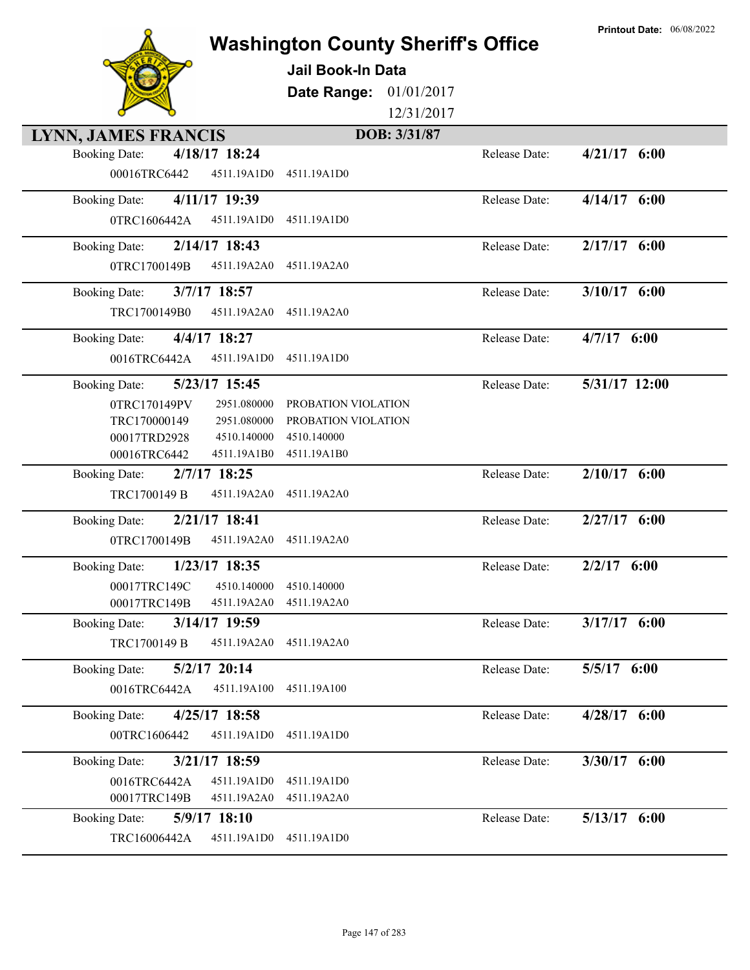|                                         | <b>Washington County Sheriff's Office</b><br><b>Jail Book-In Data</b><br>01/01/2017<br>Date Range:<br>12/31/2017 |               | <b>Printout Date: 06/08/2022</b> |
|-----------------------------------------|------------------------------------------------------------------------------------------------------------------|---------------|----------------------------------|
| LYNN, JAMES FRANCIS                     | DOB: 3/31/87                                                                                                     |               |                                  |
| 4/18/17 18:24<br><b>Booking Date:</b>   |                                                                                                                  | Release Date: | $4/21/17$ 6:00                   |
| 00016TRC6442<br>4511.19A1D0             | 4511.19A1D0                                                                                                      |               |                                  |
| 4/11/17 19:39<br><b>Booking Date:</b>   |                                                                                                                  | Release Date: | $4/14/17$ 6:00                   |
| 0TRC1606442A<br>4511.19A1D0             | 4511.19A1D0                                                                                                      |               |                                  |
| 2/14/17 18:43<br><b>Booking Date:</b>   |                                                                                                                  | Release Date: | $2/17/17$ 6:00                   |
| 0TRC1700149B<br>4511.19A2A0             | 4511.19A2A0                                                                                                      |               |                                  |
| 3/7/17 18:57<br><b>Booking Date:</b>    |                                                                                                                  | Release Date: | $3/10/17$ 6:00                   |
| TRC1700149B0<br>4511.19A2A0             | 4511.19A2A0                                                                                                      |               |                                  |
| 4/4/17 18:27<br><b>Booking Date:</b>    |                                                                                                                  | Release Date: | $4/7/17$ 6:00                    |
| 0016TRC6442A<br>4511.19A1D0             | 4511.19A1D0                                                                                                      |               |                                  |
| 5/23/17 15:45<br><b>Booking Date:</b>   |                                                                                                                  | Release Date: | 5/31/17 12:00                    |
| 0TRC170149PV<br>2951.080000             | PROBATION VIOLATION                                                                                              |               |                                  |
| TRC170000149<br>2951.080000             | PROBATION VIOLATION                                                                                              |               |                                  |
| 00017TRD2928<br>4510.140000             | 4510.140000                                                                                                      |               |                                  |
| 00016TRC6442<br>4511.19A1B0             | 4511.19A1B0                                                                                                      |               |                                  |
| 2/7/17 18:25<br><b>Booking Date:</b>    |                                                                                                                  | Release Date: | $2/10/17$ 6:00                   |
| TRC1700149 B<br>4511.19A2A0             | 4511.19A2A0                                                                                                      |               |                                  |
| 2/21/17 18:41<br><b>Booking Date:</b>   |                                                                                                                  | Release Date: | $2/27/17$ 6:00                   |
| 0TRC1700149B<br>4511.19A2A0             | 4511.19A2A0                                                                                                      |               |                                  |
| 1/23/17 18:35<br><b>Booking Date:</b>   |                                                                                                                  | Release Date: | 2/2/17<br>6:00                   |
| 4510.140000<br>00017TRC149C             | 4510.140000                                                                                                      |               |                                  |
| 00017TRC149B<br>4511.19A2A0             | 4511.19A2A0                                                                                                      |               |                                  |
| $3/14/17$ 19:59<br><b>Booking Date:</b> |                                                                                                                  | Release Date: | $3/17/17$ 6:00                   |
| TRC1700149 B<br>4511.19A2A0             | 4511.19A2A0                                                                                                      |               |                                  |
| $5/2/17$ 20:14<br><b>Booking Date:</b>  |                                                                                                                  | Release Date: | 5/5/17 6:00                      |
| 0016TRC6442A<br>4511.19A100             | 4511.19A100                                                                                                      |               |                                  |
| 4/25/17 18:58<br><b>Booking Date:</b>   |                                                                                                                  | Release Date: | $4/28/17$ 6:00                   |
| 4511.19A1D0<br>00TRC1606442             | 4511.19A1D0                                                                                                      |               |                                  |
| 3/21/17 18:59<br><b>Booking Date:</b>   |                                                                                                                  | Release Date: | 3/30/17 6:00                     |
| 0016TRC6442A<br>4511.19A1D0             | 4511.19A1D0                                                                                                      |               |                                  |
| 00017TRC149B<br>4511.19A2A0             | 4511.19A2A0                                                                                                      |               |                                  |
| 5/9/17 18:10<br><b>Booking Date:</b>    |                                                                                                                  | Release Date: | $5/13/17$ 6:00                   |
| TRC16006442A<br>4511.19A1D0             | 4511.19A1D0                                                                                                      |               |                                  |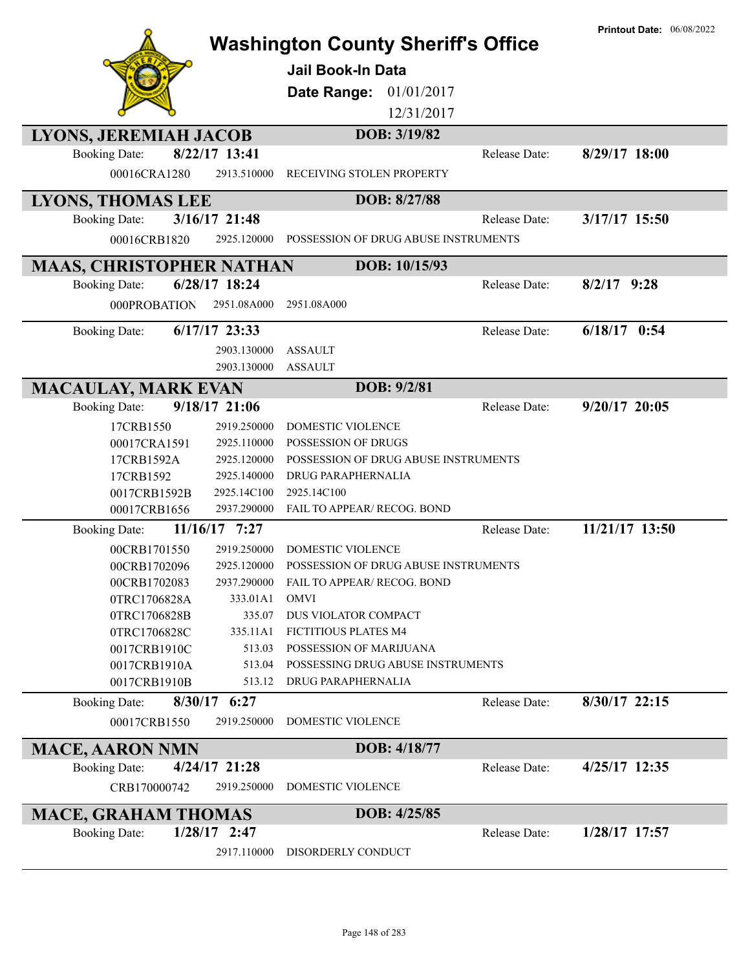|                                      |                              | <b>Washington County Sheriff's Office</b><br><b>Jail Book-In Data</b><br><b>Date Range:</b><br>01/01/2017<br>12/31/2017 |               | <b>Printout Date: 06/08/2022</b> |
|--------------------------------------|------------------------------|-------------------------------------------------------------------------------------------------------------------------|---------------|----------------------------------|
| LYONS, JEREMIAH JACOB                |                              | DOB: 3/19/82                                                                                                            |               |                                  |
| <b>Booking Date:</b><br>00016CRA1280 | 8/22/17 13:41<br>2913.510000 | RECEIVING STOLEN PROPERTY                                                                                               | Release Date: | 8/29/17 18:00                    |
| <b>LYONS, THOMAS LEE</b>             |                              | DOB: 8/27/88                                                                                                            |               |                                  |
| <b>Booking Date:</b>                 | 3/16/17 21:48                |                                                                                                                         | Release Date: | 3/17/17 15:50                    |
| 00016CRB1820                         | 2925.120000                  | POSSESSION OF DRUG ABUSE INSTRUMENTS                                                                                    |               |                                  |
|                                      |                              |                                                                                                                         |               |                                  |
| <b>MAAS, CHRISTOPHER NATHAN</b>      |                              | DOB: 10/15/93                                                                                                           |               |                                  |
| <b>Booking Date:</b>                 | 6/28/17 18:24                |                                                                                                                         | Release Date: | $8/2/17$ 9:28                    |
| 000PROBATION                         | 2951.08A000                  | 2951.08A000                                                                                                             |               |                                  |
| <b>Booking Date:</b>                 | $6/17/17$ 23:33              |                                                                                                                         | Release Date: | $6/18/17$ 0:54                   |
|                                      | 2903.130000                  | <b>ASSAULT</b>                                                                                                          |               |                                  |
|                                      | 2903.130000                  | <b>ASSAULT</b>                                                                                                          |               |                                  |
| <b>MACAULAY, MARK EVAN</b>           |                              | DOB: 9/2/81                                                                                                             |               |                                  |
| <b>Booking Date:</b>                 | 9/18/17 21:06                |                                                                                                                         | Release Date: | $9/20/17$ 20:05                  |
|                                      | 2919.250000                  | <b>DOMESTIC VIOLENCE</b>                                                                                                |               |                                  |
| 17CRB1550                            | 2925.110000                  | <b>POSSESSION OF DRUGS</b>                                                                                              |               |                                  |
| 00017CRA1591                         | 2925.120000                  | POSSESSION OF DRUG ABUSE INSTRUMENTS                                                                                    |               |                                  |
| 17CRB1592A<br>17CRB1592              | 2925.140000                  | DRUG PARAPHERNALIA                                                                                                      |               |                                  |
| 0017CRB1592B                         | 2925.14C100                  | 2925.14C100                                                                                                             |               |                                  |
| 00017CRB1656                         | 2937.290000                  | FAIL TO APPEAR/ RECOG. BOND                                                                                             |               |                                  |
| <b>Booking Date:</b>                 | 11/16/17 7:27                |                                                                                                                         | Release Date: | 11/21/17 13:50                   |
| 00CRB1701550                         | 2919.250000                  | <b>DOMESTIC VIOLENCE</b>                                                                                                |               |                                  |
| 00CRB1702096                         | 2925.120000                  | POSSESSION OF DRUG ABUSE INSTRUMENTS                                                                                    |               |                                  |
| 00CRB1702083                         | 2937.290000                  | FAIL TO APPEAR/ RECOG. BOND                                                                                             |               |                                  |
| 0TRC1706828A                         | 333.01A1                     | <b>OMVI</b>                                                                                                             |               |                                  |
| 0TRC1706828B                         | 335.07                       | DUS VIOLATOR COMPACT                                                                                                    |               |                                  |
| 0TRC1706828C                         | 335.11A1                     | FICTITIOUS PLATES M4                                                                                                    |               |                                  |
| 0017CRB1910C                         | 513.03                       | POSSESSION OF MARIJUANA                                                                                                 |               |                                  |
| 0017CRB1910A                         | 513.04                       | POSSESSING DRUG ABUSE INSTRUMENTS                                                                                       |               |                                  |
| 0017CRB1910B                         | 513.12                       | DRUG PARAPHERNALIA                                                                                                      |               |                                  |
| <b>Booking Date:</b>                 | $8/30/17$ 6:27               |                                                                                                                         | Release Date: | 8/30/17 22:15                    |
| 00017CRB1550                         | 2919.250000                  | <b>DOMESTIC VIOLENCE</b>                                                                                                |               |                                  |
| <b>MACE, AARON NMN</b>               |                              | DOB: 4/18/77                                                                                                            |               |                                  |
| <b>Booking Date:</b>                 | 4/24/17 21:28                |                                                                                                                         | Release Date: | 4/25/17 12:35                    |
| CRB170000742                         | 2919.250000                  | DOMESTIC VIOLENCE                                                                                                       |               |                                  |
| <b>MACE, GRAHAM THOMAS</b>           |                              | DOB: 4/25/85                                                                                                            |               |                                  |
| <b>Booking Date:</b>                 | $1/28/17$ 2:47               |                                                                                                                         | Release Date: | 1/28/17 17:57                    |
|                                      | 2917.110000                  | DISORDERLY CONDUCT                                                                                                      |               |                                  |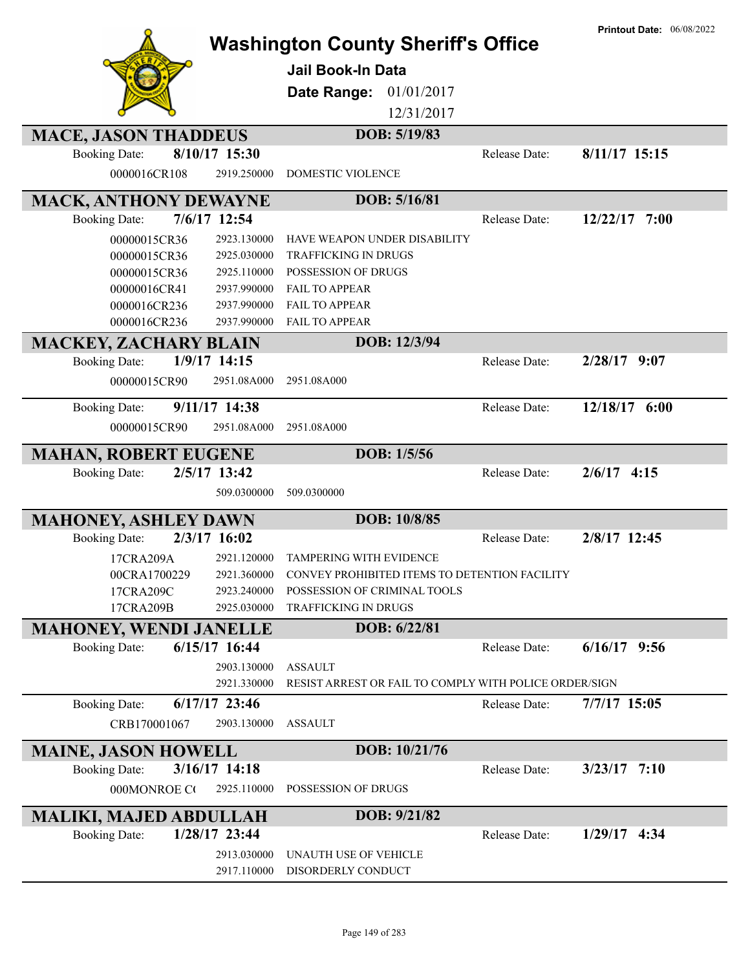|                               |                 | <b>Washington County Sheriff's Office</b><br><b>Jail Book-In Data</b><br>Date Range:<br>01/01/2017<br>12/31/2017 |               | <b>Printout Date: 06/08/2022</b> |
|-------------------------------|-----------------|------------------------------------------------------------------------------------------------------------------|---------------|----------------------------------|
| <b>MACE, JASON THADDEUS</b>   |                 | DOB: 5/19/83                                                                                                     |               |                                  |
| <b>Booking Date:</b>          | 8/10/17 15:30   |                                                                                                                  | Release Date: | 8/11/17 15:15                    |
| 0000016CR108                  | 2919.250000     | <b>DOMESTIC VIOLENCE</b>                                                                                         |               |                                  |
| <b>MACK, ANTHONY DEWAYNE</b>  |                 | DOB: 5/16/81                                                                                                     |               |                                  |
| <b>Booking Date:</b>          | 7/6/17 12:54    |                                                                                                                  | Release Date: | $12/22/17$ 7:00                  |
| 00000015CR36                  | 2923.130000     | HAVE WEAPON UNDER DISABILITY                                                                                     |               |                                  |
| 00000015CR36                  | 2925.030000     | TRAFFICKING IN DRUGS                                                                                             |               |                                  |
| 00000015CR36                  | 2925.110000     | POSSESSION OF DRUGS                                                                                              |               |                                  |
| 00000016CR41                  | 2937.990000     | <b>FAIL TO APPEAR</b>                                                                                            |               |                                  |
| 0000016CR236                  | 2937.990000     | <b>FAIL TO APPEAR</b>                                                                                            |               |                                  |
| 0000016CR236                  | 2937.990000     | <b>FAIL TO APPEAR</b>                                                                                            |               |                                  |
| <b>MACKEY, ZACHARY BLAIN</b>  |                 | DOB: 12/3/94                                                                                                     |               |                                  |
| <b>Booking Date:</b>          | 1/9/17 14:15    |                                                                                                                  | Release Date: | $2/28/17$ 9:07                   |
| 00000015CR90                  | 2951.08A000     | 2951.08A000                                                                                                      |               |                                  |
| <b>Booking Date:</b>          | 9/11/17 14:38   |                                                                                                                  | Release Date: | 12/18/17 6:00                    |
| 00000015CR90                  | 2951.08A000     | 2951.08A000                                                                                                      |               |                                  |
|                               |                 |                                                                                                                  |               |                                  |
| <b>MAHAN, ROBERT EUGENE</b>   |                 | DOB: 1/5/56                                                                                                      |               |                                  |
| <b>Booking Date:</b>          | 2/5/17 13:42    |                                                                                                                  | Release Date: | $2/6/17$ 4:15                    |
|                               | 509.0300000     | 509.0300000                                                                                                      |               |                                  |
| <b>MAHONEY, ASHLEY DAWN</b>   |                 | DOB: 10/8/85                                                                                                     |               |                                  |
| <b>Booking Date:</b>          | 2/3/17 16:02    |                                                                                                                  | Release Date: | 2/8/17 12:45                     |
| 17CRA209A                     | 2921.120000     | TAMPERING WITH EVIDENCE                                                                                          |               |                                  |
| 00CRA1700229                  |                 | 2921.360000 CONVEY PROHIBITED ITEMS TO DETENTION FACILITY                                                        |               |                                  |
| 17CRA209C                     | 2923.240000     | POSSESSION OF CRIMINAL TOOLS                                                                                     |               |                                  |
| 17CRA209B                     | 2925.030000     | TRAFFICKING IN DRUGS                                                                                             |               |                                  |
| <b>MAHONEY, WENDI JANELLE</b> |                 | DOB: 6/22/81                                                                                                     |               |                                  |
| <b>Booking Date:</b>          | 6/15/17 16:44   |                                                                                                                  | Release Date: | $6/16/17$ 9:56                   |
|                               | 2903.130000     | <b>ASSAULT</b>                                                                                                   |               |                                  |
|                               | 2921.330000     | RESIST ARREST OR FAIL TO COMPLY WITH POLICE ORDER/SIGN                                                           |               |                                  |
| <b>Booking Date:</b>          | 6/17/17 23:46   |                                                                                                                  | Release Date: | 7/7/17 15:05                     |
| CRB170001067                  | 2903.130000     | <b>ASSAULT</b>                                                                                                   |               |                                  |
| <b>MAINE, JASON HOWELL</b>    |                 | DOB: 10/21/76                                                                                                    |               |                                  |
| <b>Booking Date:</b>          | $3/16/17$ 14:18 |                                                                                                                  | Release Date: | $3/23/17$ 7:10                   |
| 000MONROE CO                  | 2925.110000     | POSSESSION OF DRUGS                                                                                              |               |                                  |
| <b>MALIKI, MAJED ABDULLAH</b> |                 | DOB: 9/21/82                                                                                                     |               |                                  |
| <b>Booking Date:</b>          | 1/28/17 23:44   |                                                                                                                  | Release Date: | $1/29/17$ 4:34                   |
|                               | 2913.030000     | UNAUTH USE OF VEHICLE                                                                                            |               |                                  |
|                               | 2917.110000     | DISORDERLY CONDUCT                                                                                               |               |                                  |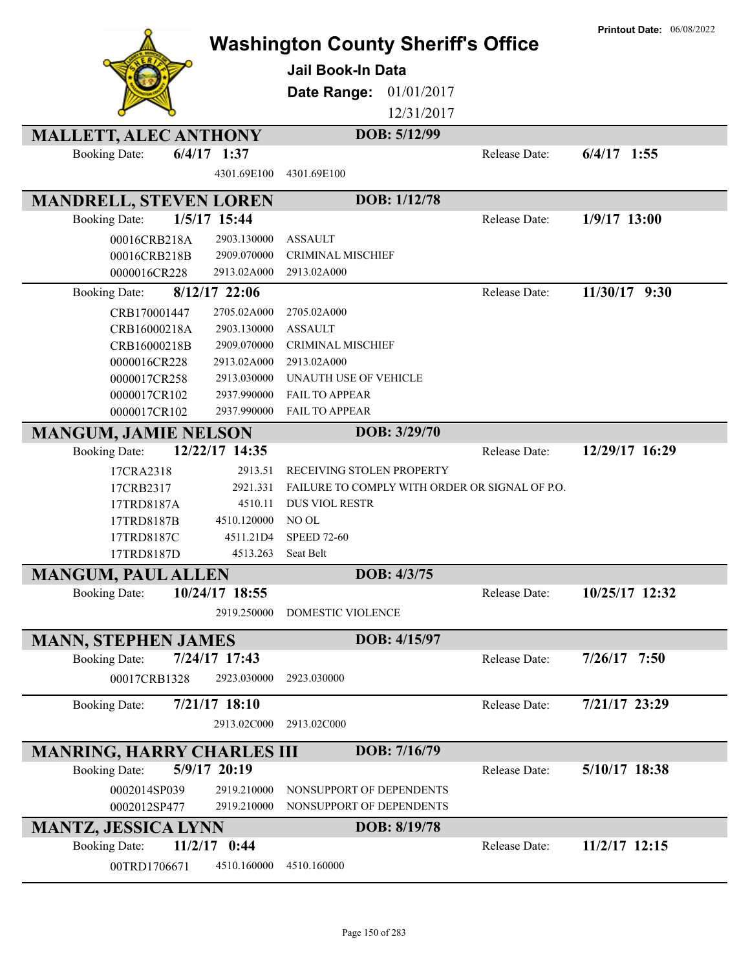|                                   |                            |                                                      |               | <b>Printout Date: 06/08/2022</b> |
|-----------------------------------|----------------------------|------------------------------------------------------|---------------|----------------------------------|
|                                   |                            | <b>Washington County Sheriff's Office</b>            |               |                                  |
|                                   |                            | <b>Jail Book-In Data</b>                             |               |                                  |
|                                   |                            | 01/01/2017<br>Date Range:                            |               |                                  |
|                                   |                            |                                                      |               |                                  |
|                                   |                            | 12/31/2017                                           |               |                                  |
| <b>MALLETT, ALEC ANTHONY</b>      |                            | DOB: 5/12/99                                         |               |                                  |
| <b>Booking Date:</b>              | $6/4/17$ 1:37              |                                                      | Release Date: | $6/4/17$ 1:55                    |
|                                   | 4301.69E100                | 4301.69E100                                          |               |                                  |
| <b>MANDRELL, STEVEN LOREN</b>     |                            | DOB: 1/12/78                                         |               |                                  |
| <b>Booking Date:</b>              | 1/5/17 15:44               |                                                      | Release Date: | $1/9/17$ 13:00                   |
| 00016CRB218A                      | 2903.130000                | <b>ASSAULT</b>                                       |               |                                  |
| 00016CRB218B                      | 2909.070000                | <b>CRIMINAL MISCHIEF</b>                             |               |                                  |
| 0000016CR228                      | 2913.02A000                | 2913.02A000                                          |               |                                  |
| <b>Booking Date:</b>              | 8/12/17 22:06              |                                                      | Release Date: | 11/30/17 9:30                    |
| CRB170001447                      | 2705.02A000                | 2705.02A000                                          |               |                                  |
| CRB16000218A                      | 2903.130000                | <b>ASSAULT</b>                                       |               |                                  |
| CRB16000218B                      | 2909.070000                | <b>CRIMINAL MISCHIEF</b>                             |               |                                  |
| 0000016CR228                      | 2913.02A000                | 2913.02A000                                          |               |                                  |
| 0000017CR258                      | 2913.030000                | UNAUTH USE OF VEHICLE                                |               |                                  |
| 0000017CR102                      | 2937.990000                | <b>FAIL TO APPEAR</b>                                |               |                                  |
| 0000017CR102                      | 2937.990000                | <b>FAIL TO APPEAR</b>                                |               |                                  |
| <b>MANGUM, JAMIE NELSON</b>       |                            | DOB: 3/29/70                                         |               |                                  |
| <b>Booking Date:</b>              | 12/22/17 14:35             |                                                      | Release Date: | 12/29/17 16:29                   |
| 17CRA2318                         | 2913.51                    | RECEIVING STOLEN PROPERTY                            |               |                                  |
| 17CRB2317                         | 2921.331                   | FAILURE TO COMPLY WITH ORDER OR SIGNAL OF P.O.       |               |                                  |
| 17TRD8187A                        | 4510.11                    | <b>DUS VIOL RESTR</b>                                |               |                                  |
| 17TRD8187B                        | 4510.120000                | NO OL                                                |               |                                  |
| 17TRD8187C                        | 4511.21D4                  | <b>SPEED 72-60</b>                                   |               |                                  |
| 17TRD8187D                        | 4513.263                   | Seat Belt                                            |               |                                  |
| <b>MANGUM, PAUL ALLEN</b>         |                            | DOB: 4/3/75                                          |               |                                  |
| <b>Booking Date:</b>              | 10/24/17 18:55             |                                                      | Release Date: | 10/25/17 12:32                   |
|                                   | 2919.250000                | <b>DOMESTIC VIOLENCE</b>                             |               |                                  |
|                                   |                            | DOB: 4/15/97                                         |               |                                  |
| <b>MANN, STEPHEN JAMES</b>        |                            |                                                      |               | $7/26/17$ 7:50                   |
| <b>Booking Date:</b>              | 7/24/17 17:43              |                                                      | Release Date: |                                  |
| 00017CRB1328                      | 2923.030000                | 2923.030000                                          |               |                                  |
| <b>Booking Date:</b>              | 7/21/17 18:10              |                                                      | Release Date: | 7/21/17 23:29                    |
|                                   | 2913.02C000                | 2913.02C000                                          |               |                                  |
| <b>MANRING, HARRY CHARLES III</b> |                            | DOB: 7/16/79                                         |               |                                  |
| <b>Booking Date:</b>              | 5/9/17 20:19               |                                                      | Release Date: | 5/10/17 18:38                    |
|                                   |                            |                                                      |               |                                  |
| 0002014SP039<br>0002012SP477      | 2919.210000<br>2919.210000 | NONSUPPORT OF DEPENDENTS<br>NONSUPPORT OF DEPENDENTS |               |                                  |
|                                   |                            | DOB: 8/19/78                                         |               |                                  |
| <b>MANTZ, JESSICA LYNN</b>        |                            |                                                      |               |                                  |
| <b>Booking Date:</b>              | $11/2/17$ 0:44             |                                                      | Release Date: | 11/2/17 12:15                    |
| 00TRD1706671                      | 4510.160000                | 4510.160000                                          |               |                                  |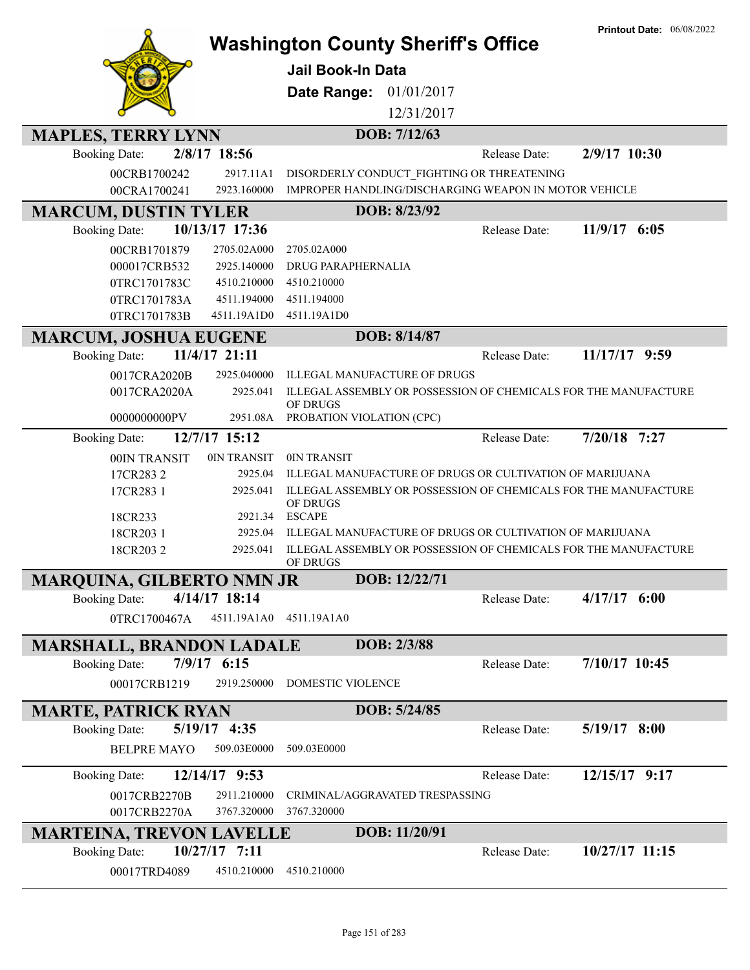|                                  |                            |                                                                             | <b>Printout Date: 06/08/2022</b> |
|----------------------------------|----------------------------|-----------------------------------------------------------------------------|----------------------------------|
|                                  |                            | <b>Washington County Sheriff's Office</b>                                   |                                  |
|                                  |                            | <b>Jail Book-In Data</b>                                                    |                                  |
|                                  |                            |                                                                             |                                  |
|                                  |                            | Date Range:<br>01/01/2017                                                   |                                  |
|                                  |                            | 12/31/2017                                                                  |                                  |
| <b>MAPLES, TERRY LYNN</b>        |                            | DOB: 7/12/63                                                                |                                  |
| <b>Booking Date:</b>             | 2/8/17 18:56               |                                                                             | 2/9/17 10:30<br>Release Date:    |
| 00CRB1700242                     | 2917.11A1                  | DISORDERLY CONDUCT_FIGHTING OR THREATENING                                  |                                  |
| 00CRA1700241                     | 2923.160000                | IMPROPER HANDLING/DISCHARGING WEAPON IN MOTOR VEHICLE                       |                                  |
| <b>MARCUM, DUSTIN TYLER</b>      |                            | DOB: 8/23/92                                                                |                                  |
| <b>Booking Date:</b>             | 10/13/17 17:36             |                                                                             | 11/9/17 6:05<br>Release Date:    |
| 00CRB1701879                     | 2705.02A000                | 2705.02A000                                                                 |                                  |
| 000017CRB532                     | 2925.140000                | <b>DRUG PARAPHERNALIA</b>                                                   |                                  |
| 0TRC1701783C                     | 4510.210000                | 4510.210000                                                                 |                                  |
| 0TRC1701783A                     | 4511.194000                | 4511.194000                                                                 |                                  |
| 0TRC1701783B                     | 4511.19A1D0                | 4511.19A1D0                                                                 |                                  |
| <b>MARCUM, JOSHUA EUGENE</b>     |                            | DOB: 8/14/87                                                                |                                  |
| <b>Booking Date:</b>             | 11/4/17 21:11              |                                                                             | Release Date:<br>11/17/17 9:59   |
| 0017CRA2020B                     | 2925.040000                | ILLEGAL MANUFACTURE OF DRUGS                                                |                                  |
| 0017CRA2020A                     | 2925.041                   | ILLEGAL ASSEMBLY OR POSSESSION OF CHEMICALS FOR THE MANUFACTURE             |                                  |
|                                  |                            | OF DRUGS                                                                    |                                  |
| 0000000000PV                     | 2951.08A                   | PROBATION VIOLATION (CPC)                                                   |                                  |
| <b>Booking Date:</b>             | 12/7/17 15:12              |                                                                             | $7/20/18$ 7:27<br>Release Date:  |
| 00IN TRANSIT                     | 0IN TRANSIT                | 0IN TRANSIT                                                                 |                                  |
| 17CR2832                         | 2925.04                    | ILLEGAL MANUFACTURE OF DRUGS OR CULTIVATION OF MARIJUANA                    |                                  |
| 17CR283 1                        | 2925.041                   | ILLEGAL ASSEMBLY OR POSSESSION OF CHEMICALS FOR THE MANUFACTURE<br>OF DRUGS |                                  |
| 18CR233                          | 2921.34                    | <b>ESCAPE</b>                                                               |                                  |
| 18CR203 1                        | 2925.04                    | ILLEGAL MANUFACTURE OF DRUGS OR CULTIVATION OF MARIJUANA                    |                                  |
| 18CR2032                         | 2925.041                   | ILLEGAL ASSEMBLY OR POSSESSION OF CHEMICALS FOR THE MANUFACTURE             |                                  |
|                                  |                            | OF DRUGS                                                                    |                                  |
| <b>MARQUINA, GILBERTO NMN JR</b> |                            | DOB: 12/22/71                                                               |                                  |
| <b>Booking Date:</b>             | 4/14/17 18:14              |                                                                             | $4/17/17$ 6:00<br>Release Date:  |
| 0TRC1700467A                     | 4511.19A1A0                | 4511.19A1A0                                                                 |                                  |
| <b>MARSHALL, BRANDON LADALE</b>  |                            | DOB: 2/3/88                                                                 |                                  |
| <b>Booking Date:</b>             | 7/9/17 6:15                |                                                                             | 7/10/17 10:45<br>Release Date:   |
| 00017CRB1219                     | 2919.250000                | DOMESTIC VIOLENCE                                                           |                                  |
|                                  |                            |                                                                             |                                  |
| <b>MARTE, PATRICK RYAN</b>       |                            | DOB: 5/24/85                                                                |                                  |
| <b>Booking Date:</b>             | 5/19/17 4:35               |                                                                             | $5/19/17$ 8:00<br>Release Date:  |
| <b>BELPRE MAYO</b>               | 509.03E0000                | 509.03E0000                                                                 |                                  |
| <b>Booking Date:</b>             | 12/14/17 9:53              |                                                                             | 12/15/17 9:17<br>Release Date:   |
|                                  |                            |                                                                             |                                  |
| 0017CRB2270B<br>0017CRB2270A     | 2911.210000<br>3767.320000 | CRIMINAL/AGGRAVATED TRESPASSING<br>3767.320000                              |                                  |
|                                  |                            |                                                                             |                                  |
| <b>MARTEINA, TREVON LAVELLE</b>  |                            | DOB: 11/20/91                                                               |                                  |
| <b>Booking Date:</b>             | $10/27/17$ 7:11            |                                                                             | 10/27/17 11:15<br>Release Date:  |
| 00017TRD4089                     | 4510.210000                | 4510.210000                                                                 |                                  |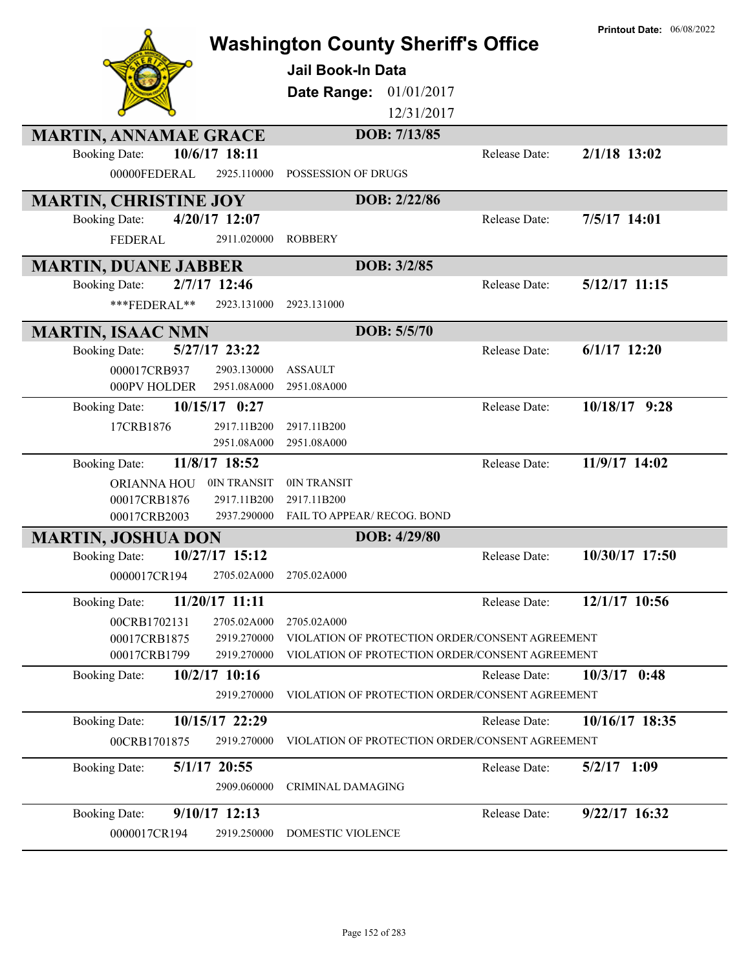|                                                                      | <b>Washington County Sheriff's Office</b><br>Jail Book-In Data<br>01/01/2017<br>Date Range:<br>12/31/2017 |               | <b>Printout Date: 06/08/2022</b> |
|----------------------------------------------------------------------|-----------------------------------------------------------------------------------------------------------|---------------|----------------------------------|
| <b>MARTIN, ANNAMAE GRACE</b>                                         | DOB: 7/13/85                                                                                              |               |                                  |
| 10/6/17 18:11<br><b>Booking Date:</b><br>00000FEDERAL<br>2925.110000 | POSSESSION OF DRUGS                                                                                       | Release Date: | 2/1/18 13:02                     |
| <b>MARTIN, CHRISTINE JOY</b>                                         | DOB: 2/22/86                                                                                              |               |                                  |
| 4/20/17 12:07<br><b>Booking Date:</b>                                |                                                                                                           | Release Date: | 7/5/17 14:01                     |
| 2911.020000<br><b>FEDERAL</b>                                        | <b>ROBBERY</b>                                                                                            |               |                                  |
| <b>MARTIN, DUANE JABBER</b>                                          | DOB: 3/2/85                                                                                               |               |                                  |
| 2/7/17 12:46<br><b>Booking Date:</b>                                 |                                                                                                           | Release Date: | 5/12/17 11:15                    |
| ***FEDERAL**<br>2923.131000                                          | 2923.131000                                                                                               |               |                                  |
| <b>MARTIN, ISAAC NMN</b>                                             | DOB: 5/5/70                                                                                               |               |                                  |
| 5/27/17 23:22<br><b>Booking Date:</b>                                |                                                                                                           | Release Date: | $6/1/17$ 12:20                   |
| 000017CRB937<br>2903.130000                                          | <b>ASSAULT</b>                                                                                            |               |                                  |
| 2951.08A000<br>000PV HOLDER                                          | 2951.08A000                                                                                               |               |                                  |
| $10/15/17$ 0:27<br><b>Booking Date:</b>                              |                                                                                                           | Release Date: | 10/18/17 9:28                    |
| 2917.11B200<br>17CRB1876<br>2951.08A000                              | 2917.11B200<br>2951.08A000                                                                                |               |                                  |
| 11/8/17 18:52<br><b>Booking Date:</b>                                |                                                                                                           | Release Date: | 11/9/17 14:02                    |
| 0IN TRANSIT<br>ORIANNA HOU                                           | 0IN TRANSIT                                                                                               |               |                                  |
| 00017CRB1876<br>2917.11B200                                          | 2917.11B200                                                                                               |               |                                  |
| 00017CRB2003<br>2937.290000                                          | FAIL TO APPEAR/ RECOG. BOND                                                                               |               |                                  |
| <b>MARTIN, JOSHUA DON</b>                                            | DOB: 4/29/80                                                                                              |               |                                  |
| 10/27/17 15:12<br><b>Booking Date:</b>                               |                                                                                                           | Release Date: | 10/30/17 17:50                   |
| 0000017CR194 2705.02A000 2705.02A000                                 |                                                                                                           |               |                                  |
| 11/20/17 11:11<br><b>Booking Date:</b>                               |                                                                                                           | Release Date: | 12/1/17 10:56                    |
| 00CRB1702131<br>2705.02A000                                          | 2705.02A000                                                                                               |               |                                  |
| 00017CRB1875<br>2919.270000                                          | VIOLATION OF PROTECTION ORDER/CONSENT AGREEMENT                                                           |               |                                  |
| 00017CRB1799<br>2919.270000                                          | VIOLATION OF PROTECTION ORDER/CONSENT AGREEMENT                                                           |               |                                  |
| 10/2/17 10:16<br><b>Booking Date:</b>                                |                                                                                                           | Release Date: | $10/3/17$ 0:48                   |
| 2919.270000                                                          | VIOLATION OF PROTECTION ORDER/CONSENT AGREEMENT                                                           |               |                                  |
| 10/15/17 22:29<br><b>Booking Date:</b>                               |                                                                                                           | Release Date: | 10/16/17 18:35                   |
| 2919.270000<br>00CRB1701875                                          | VIOLATION OF PROTECTION ORDER/CONSENT AGREEMENT                                                           |               |                                  |
| 5/1/17 20:55<br><b>Booking Date:</b>                                 |                                                                                                           | Release Date: | $5/2/17$ 1:09                    |
| 2909.060000                                                          | CRIMINAL DAMAGING                                                                                         |               |                                  |
| 9/10/17 12:13<br><b>Booking Date:</b>                                |                                                                                                           | Release Date: | 9/22/17 16:32                    |
| 0000017CR194<br>2919.250000                                          | DOMESTIC VIOLENCE                                                                                         |               |                                  |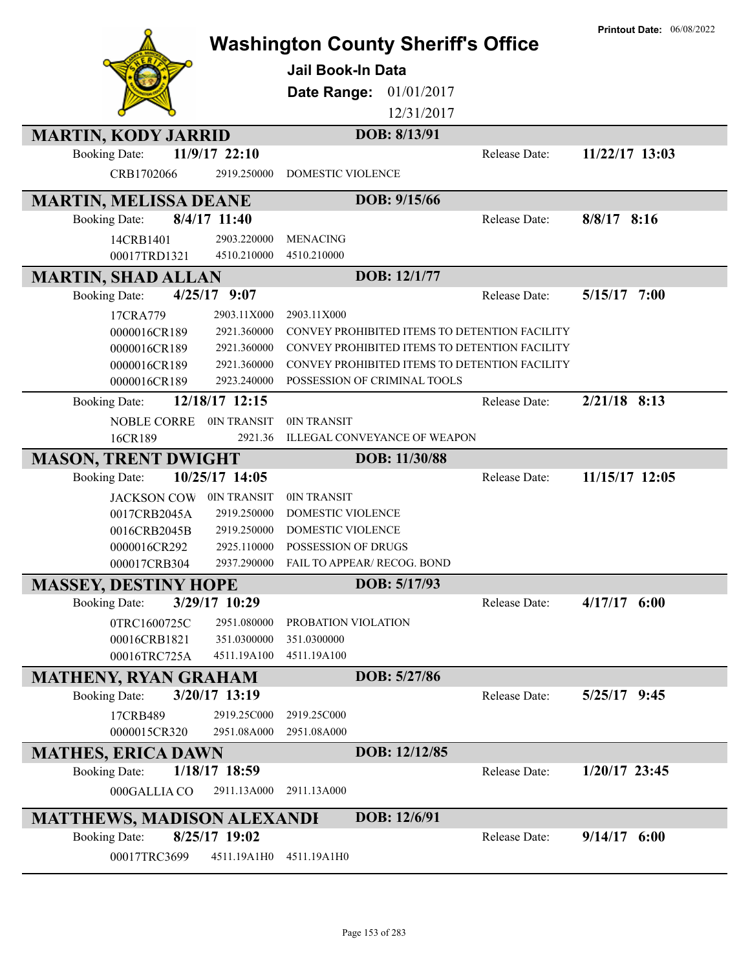|                                   |                | <b>Washington County Sheriff's Office</b>     |               |               | <b>Printout Date: 06/08/2022</b> |
|-----------------------------------|----------------|-----------------------------------------------|---------------|---------------|----------------------------------|
|                                   |                |                                               |               |               |                                  |
|                                   |                | <b>Jail Book-In Data</b>                      |               |               |                                  |
|                                   |                | Date Range:                                   | 01/01/2017    |               |                                  |
|                                   |                |                                               | 12/31/2017    |               |                                  |
| <b>MARTIN, KODY JARRID</b>        |                |                                               | DOB: 8/13/91  |               |                                  |
| <b>Booking Date:</b>              | 11/9/17 22:10  |                                               |               | Release Date: | 11/22/17 13:03                   |
| CRB1702066                        | 2919.250000    | <b>DOMESTIC VIOLENCE</b>                      |               |               |                                  |
| <b>MARTIN, MELISSA DEANE</b>      |                |                                               | DOB: 9/15/66  |               |                                  |
| <b>Booking Date:</b>              | 8/4/17 11:40   |                                               |               | Release Date: | $8/8/17$ 8:16                    |
| 14CRB1401                         | 2903.220000    | <b>MENACING</b>                               |               |               |                                  |
| 00017TRD1321                      | 4510.210000    | 4510.210000                                   |               |               |                                  |
| <b>MARTIN, SHAD ALLAN</b>         |                |                                               | DOB: 12/1/77  |               |                                  |
| <b>Booking Date:</b>              | $4/25/17$ 9:07 |                                               |               | Release Date: | 5/15/17 7:00                     |
| 17CRA779                          | 2903.11X000    | 2903.11X000                                   |               |               |                                  |
| 0000016CR189                      | 2921.360000    | CONVEY PROHIBITED ITEMS TO DETENTION FACILITY |               |               |                                  |
| 0000016CR189                      | 2921.360000    | CONVEY PROHIBITED ITEMS TO DETENTION FACILITY |               |               |                                  |
| 0000016CR189                      | 2921.360000    | CONVEY PROHIBITED ITEMS TO DETENTION FACILITY |               |               |                                  |
| 0000016CR189                      | 2923.240000    | POSSESSION OF CRIMINAL TOOLS                  |               |               |                                  |
| <b>Booking Date:</b>              | 12/18/17 12:15 |                                               |               | Release Date: | $2/21/18$ 8:13                   |
| NOBLE CORRE                       | 0IN TRANSIT    | 0IN TRANSIT                                   |               |               |                                  |
| 16CR189                           | 2921.36        | <b>ILLEGAL CONVEYANCE OF WEAPON</b>           |               |               |                                  |
| <b>MASON, TRENT DWIGHT</b>        |                |                                               | DOB: 11/30/88 |               |                                  |
| <b>Booking Date:</b>              | 10/25/17 14:05 |                                               |               | Release Date: | 11/15/17 12:05                   |
| <b>JACKSON COW</b>                | 0IN TRANSIT    | 0IN TRANSIT                                   |               |               |                                  |
| 0017CRB2045A                      | 2919.250000    | DOMESTIC VIOLENCE                             |               |               |                                  |
| 0016CRB2045B                      | 2919.250000    | DOMESTIC VIOLENCE                             |               |               |                                  |
| 0000016CR292                      | 2925.110000    | <b>POSSESSION OF DRUGS</b>                    |               |               |                                  |
| 000017CRB304                      | 2937.290000    | <b>FAIL TO APPEAR/ RECOG. BOND</b>            |               |               |                                  |
| <b>MASSEY, DESTINY HOPE</b>       |                |                                               | DOB: 5/17/93  |               |                                  |
| <b>Booking Date:</b>              | 3/29/17 10:29  |                                               |               | Release Date: | $4/17/17$ 6:00                   |
| 0TRC1600725C                      | 2951.080000    | PROBATION VIOLATION                           |               |               |                                  |
| 00016CRB1821                      | 351.0300000    | 351.0300000                                   |               |               |                                  |
| 00016TRC725A                      | 4511.19A100    | 4511.19A100                                   |               |               |                                  |
| <b>MATHENY, RYAN GRAHAM</b>       |                |                                               | DOB: 5/27/86  |               |                                  |
| <b>Booking Date:</b>              | 3/20/17 13:19  |                                               |               | Release Date: | $5/25/17$ 9:45                   |
| 17CRB489                          | 2919.25C000    | 2919.25C000                                   |               |               |                                  |
| 0000015CR320                      | 2951.08A000    | 2951.08A000                                   |               |               |                                  |
| <b>MATHES, ERICA DAWN</b>         |                |                                               | DOB: 12/12/85 |               |                                  |
| <b>Booking Date:</b>              | 1/18/17 18:59  |                                               |               | Release Date: | $1/20/17$ 23:45                  |
| 000GALLIA CO                      | 2911.13A000    | 2911.13A000                                   |               |               |                                  |
| <b>MATTHEWS, MADISON ALEXANDI</b> |                |                                               | DOB: 12/6/91  |               |                                  |
| <b>Booking Date:</b>              | 8/25/17 19:02  |                                               |               | Release Date: | $9/14/17$ 6:00                   |
| 00017TRC3699                      | 4511.19A1H0    | 4511.19A1H0                                   |               |               |                                  |
|                                   |                |                                               |               |               |                                  |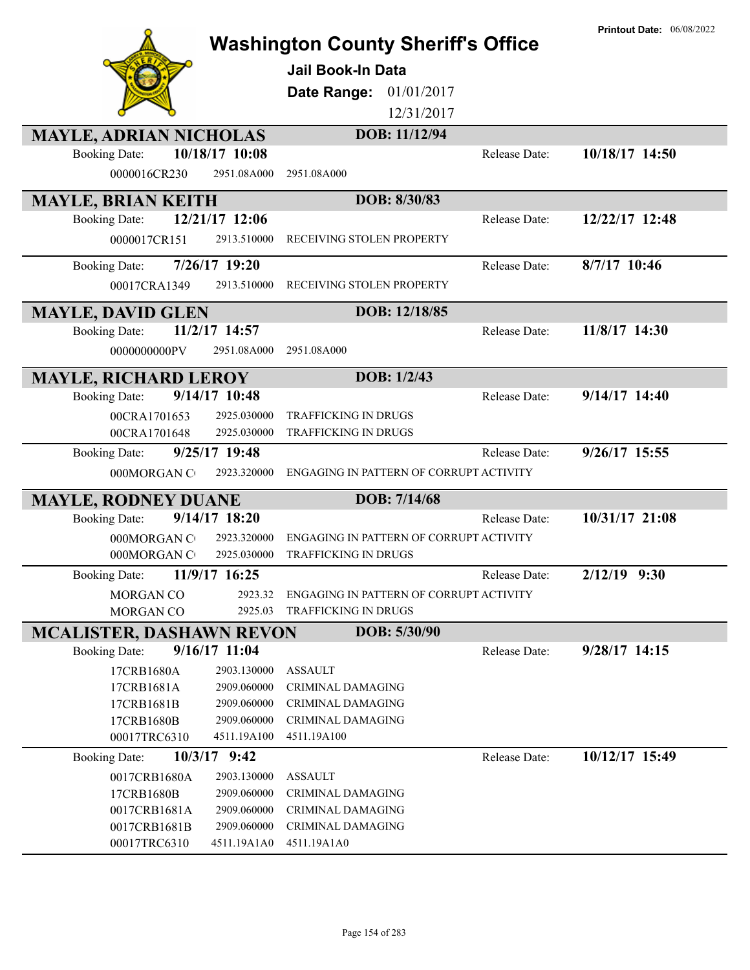|                                 |                 |                                           |               | <b>Printout Date: 06/08/2022</b> |
|---------------------------------|-----------------|-------------------------------------------|---------------|----------------------------------|
|                                 |                 | <b>Washington County Sheriff's Office</b> |               |                                  |
|                                 |                 | Jail Book-In Data                         |               |                                  |
|                                 |                 | 01/01/2017<br>Date Range:                 |               |                                  |
|                                 |                 | 12/31/2017                                |               |                                  |
|                                 |                 | DOB: 11/12/94                             |               |                                  |
| <b>MAYLE, ADRIAN NICHOLAS</b>   | 10/18/17 10:08  |                                           | Release Date: | 10/18/17 14:50                   |
| <b>Booking Date:</b>            |                 |                                           |               |                                  |
| 0000016CR230                    | 2951.08A000     | 2951.08A000                               |               |                                  |
| <b>MAYLE, BRIAN KEITH</b>       |                 | DOB: 8/30/83                              |               |                                  |
| <b>Booking Date:</b>            | 12/21/17 12:06  |                                           | Release Date: | 12/22/17 12:48                   |
| 0000017CR151                    | 2913.510000     | RECEIVING STOLEN PROPERTY                 |               |                                  |
| <b>Booking Date:</b>            | 7/26/17 19:20   |                                           | Release Date: | 8/7/17 10:46                     |
| 00017CRA1349                    | 2913.510000     | RECEIVING STOLEN PROPERTY                 |               |                                  |
|                                 |                 |                                           |               |                                  |
| <b>MAYLE, DAVID GLEN</b>        |                 | DOB: 12/18/85                             |               |                                  |
| <b>Booking Date:</b>            | 11/2/17 14:57   |                                           | Release Date: | 11/8/17 14:30                    |
| 0000000000PV                    | 2951.08A000     | 2951.08A000                               |               |                                  |
| <b>MAYLE, RICHARD LEROY</b>     |                 | DOB: 1/2/43                               |               |                                  |
| <b>Booking Date:</b>            | 9/14/17 10:48   |                                           | Release Date: | $9/14/17$ 14:40                  |
| 00CRA1701653                    | 2925.030000     | TRAFFICKING IN DRUGS                      |               |                                  |
| 00CRA1701648                    | 2925.030000     | TRAFFICKING IN DRUGS                      |               |                                  |
| <b>Booking Date:</b>            | $9/25/17$ 19:48 |                                           | Release Date: | 9/26/17 15:55                    |
| 000MORGAN CO                    | 2923.320000     | ENGAGING IN PATTERN OF CORRUPT ACTIVITY   |               |                                  |
| <b>MAYLE, RODNEY DUANE</b>      |                 | DOB: 7/14/68                              |               |                                  |
| <b>Booking Date:</b>            | $9/14/17$ 18:20 |                                           | Release Date: | 10/31/17 21:08                   |
| 000MORGAN C                     | 2923.320000     | ENGAGING IN PATTERN OF CORRUPT ACTIVITY   |               |                                  |
| 000MORGAN C                     | 2925.030000     | <b>TRAFFICKING IN DRUGS</b>               |               |                                  |
| <b>Booking Date:</b>            | 11/9/17 16:25   |                                           | Release Date: | $2/12/19$ 9:30                   |
| MORGAN CO                       | 2923.32         | ENGAGING IN PATTERN OF CORRUPT ACTIVITY   |               |                                  |
| MORGAN CO                       | 2925.03         | TRAFFICKING IN DRUGS                      |               |                                  |
| <b>MCALISTER, DASHAWN REVON</b> |                 | DOB: 5/30/90                              |               |                                  |
| <b>Booking Date:</b>            | $9/16/17$ 11:04 |                                           | Release Date: | $9/28/17$ 14:15                  |
| 17CRB1680A                      | 2903.130000     | <b>ASSAULT</b>                            |               |                                  |
| 17CRB1681A                      | 2909.060000     | <b>CRIMINAL DAMAGING</b>                  |               |                                  |
| 17CRB1681B                      | 2909.060000     | <b>CRIMINAL DAMAGING</b>                  |               |                                  |
| 17CRB1680B                      | 2909.060000     | <b>CRIMINAL DAMAGING</b>                  |               |                                  |
| 00017TRC6310                    | 4511.19A100     | 4511.19A100                               |               |                                  |
| <b>Booking Date:</b>            | $10/3/17$ 9:42  |                                           | Release Date: | 10/12/17 15:49                   |
| 0017CRB1680A                    | 2903.130000     | <b>ASSAULT</b>                            |               |                                  |
| 17CRB1680B                      | 2909.060000     | <b>CRIMINAL DAMAGING</b>                  |               |                                  |
| 0017CRB1681A                    | 2909.060000     | CRIMINAL DAMAGING                         |               |                                  |
| 0017CRB1681B                    | 2909.060000     | <b>CRIMINAL DAMAGING</b>                  |               |                                  |
| 00017TRC6310                    | 4511.19A1A0     | 4511.19A1A0                               |               |                                  |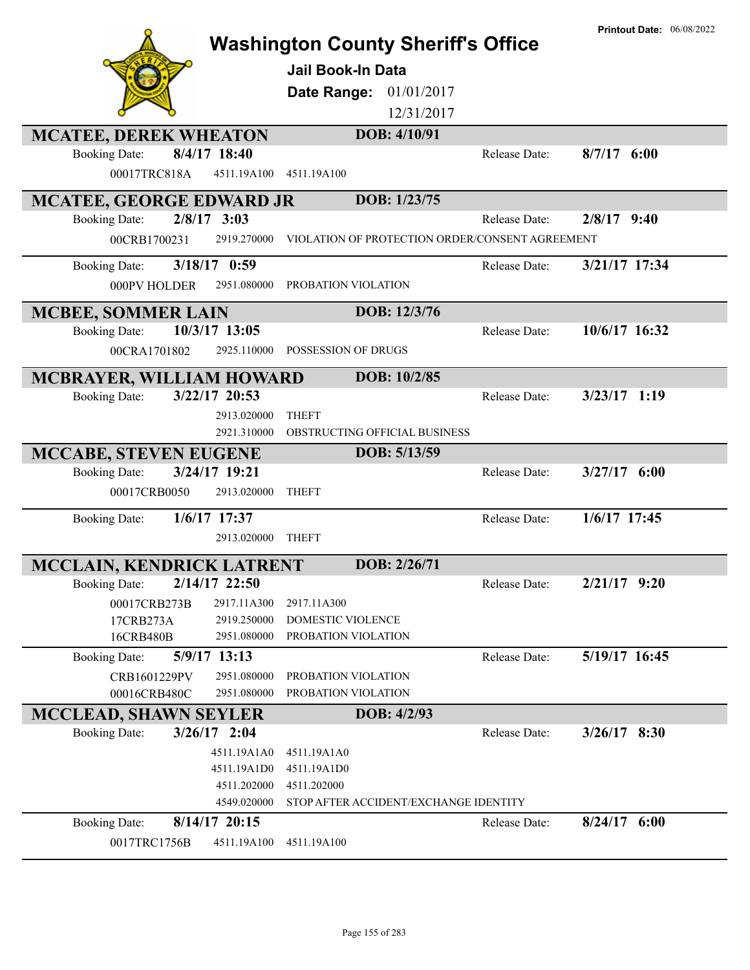|                              |                            |                                                 |               | <b>Printout Date: 06/08/2022</b> |
|------------------------------|----------------------------|-------------------------------------------------|---------------|----------------------------------|
|                              |                            | <b>Washington County Sheriff's Office</b>       |               |                                  |
|                              |                            | <b>Jail Book-In Data</b>                        |               |                                  |
|                              |                            |                                                 |               |                                  |
|                              |                            | 01/01/2017<br>Date Range:                       |               |                                  |
|                              |                            | 12/31/2017                                      |               |                                  |
| <b>MCATEE, DEREK WHEATON</b> |                            | DOB: 4/10/91                                    |               |                                  |
| <b>Booking Date:</b>         | 8/4/17 18:40               |                                                 | Release Date: | $8/7/17$ 6:00                    |
| 00017TRC818A                 | 4511.19A100                | 4511.19A100                                     |               |                                  |
|                              |                            |                                                 |               |                                  |
| MCATEE, GEORGE EDWARD JR     |                            | DOB: 1/23/75                                    |               |                                  |
| <b>Booking Date:</b>         | $2/8/17$ 3:03              |                                                 | Release Date: | $2/8/17$ 9:40                    |
| 00CRB1700231                 | 2919.270000                | VIOLATION OF PROTECTION ORDER/CONSENT AGREEMENT |               |                                  |
| <b>Booking Date:</b>         | $3/18/17$ 0:59             |                                                 | Release Date: | 3/21/17 17:34                    |
| 000PV HOLDER                 | 2951.080000                | PROBATION VIOLATION                             |               |                                  |
|                              |                            |                                                 |               |                                  |
| <b>MCBEE, SOMMER LAIN</b>    |                            | DOB: 12/3/76                                    |               |                                  |
| <b>Booking Date:</b>         | 10/3/17 13:05              |                                                 | Release Date: | 10/6/17 16:32                    |
| 00CRA1701802                 | 2925.110000                | POSSESSION OF DRUGS                             |               |                                  |
| MCBRAYER, WILLIAM HOWARD     |                            | DOB: 10/2/85                                    |               |                                  |
| <b>Booking Date:</b>         | 3/22/17 20:53              |                                                 | Release Date: | $3/23/17$ 1:19                   |
|                              |                            | <b>THEFT</b>                                    |               |                                  |
|                              | 2913.020000<br>2921.310000 | OBSTRUCTING OFFICIAL BUSINESS                   |               |                                  |
|                              |                            |                                                 |               |                                  |
| <b>MCCABE, STEVEN EUGENE</b> |                            | DOB: 5/13/59                                    |               |                                  |
| <b>Booking Date:</b>         | 3/24/17 19:21              |                                                 | Release Date: | $3/27/17$ 6:00                   |
| 00017CRB0050                 | 2913.020000                | <b>THEFT</b>                                    |               |                                  |
| <b>Booking Date:</b>         | $1/6/17$ 17:37             |                                                 | Release Date: | 1/6/17 17:45                     |
|                              | 2913.020000                | <b>THEFT</b>                                    |               |                                  |
|                              |                            |                                                 |               |                                  |
| MCCLAIN, KENDRICK LATRENT    |                            | DOB: 2/26/71                                    |               |                                  |
| <b>Booking Date:</b>         | 2/14/17 22:50              |                                                 | Release Date: | $2/21/17$ 9:20                   |
| 00017CRB273B                 | 2917.11A300                | 2917.11A300                                     |               |                                  |
| 17CRB273A                    | 2919.250000                | DOMESTIC VIOLENCE                               |               |                                  |
| 16CRB480B                    | 2951.080000                | PROBATION VIOLATION                             |               |                                  |
| <b>Booking Date:</b>         | 5/9/17 13:13               |                                                 | Release Date: | 5/19/17 16:45                    |
| CRB1601229PV                 | 2951.080000                | PROBATION VIOLATION                             |               |                                  |
| 00016CRB480C                 | 2951.080000                | PROBATION VIOLATION                             |               |                                  |
| <b>MCCLEAD, SHAWN SEYLER</b> |                            | DOB: 4/2/93                                     |               |                                  |
| <b>Booking Date:</b>         | $3/26/17$ 2:04             |                                                 | Release Date: | $3/26/17$ 8:30                   |
|                              | 4511.19A1A0                | 4511.19A1A0                                     |               |                                  |
|                              | 4511.19A1D0                | 4511.19A1D0                                     |               |                                  |
|                              | 4511.202000                | 4511.202000                                     |               |                                  |
|                              | 4549.020000                | STOP AFTER ACCIDENT/EXCHANGE IDENTITY           |               |                                  |
| <b>Booking Date:</b>         | 8/14/17 20:15              |                                                 | Release Date: | $8/24/17$ 6:00                   |
| 0017TRC1756B                 | 4511.19A100                | 4511.19A100                                     |               |                                  |
|                              |                            |                                                 |               |                                  |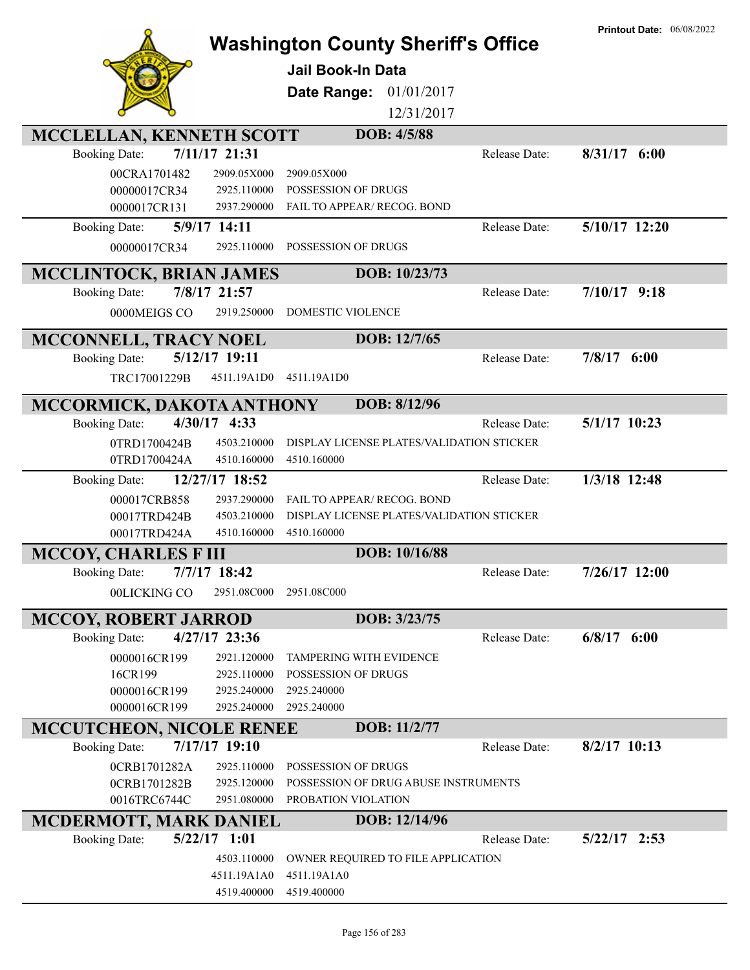|                                         | <b>Washington County Sheriff's Office</b><br><b>Jail Book-In Data</b><br>Date Range:<br>01/01/2017<br>12/31/2017 | <b>Printout Date: 06/08/2022</b> |
|-----------------------------------------|------------------------------------------------------------------------------------------------------------------|----------------------------------|
| MCCLELLAN, KENNETH SCOTT                | DOB: 4/5/88                                                                                                      |                                  |
| 7/11/17 21:31<br><b>Booking Date:</b>   | Release Date:                                                                                                    | $8/31/17$ 6:00                   |
| 00CRA1701482<br>2909.05X000             | 2909.05X000                                                                                                      |                                  |
| 00000017CR34<br>2925.110000             | POSSESSION OF DRUGS                                                                                              |                                  |
| 0000017CR131<br>2937.290000             | FAIL TO APPEAR/ RECOG. BOND                                                                                      |                                  |
| 5/9/17 14:11<br><b>Booking Date:</b>    | Release Date:                                                                                                    | 5/10/17 12:20                    |
| 00000017CR34<br>2925.110000             | POSSESSION OF DRUGS                                                                                              |                                  |
| <b>MCCLINTOCK, BRIAN JAMES</b>          | DOB: 10/23/73                                                                                                    |                                  |
| 7/8/17 21:57<br><b>Booking Date:</b>    | Release Date:                                                                                                    | $7/10/17$ 9:18                   |
| 0000MEIGS CO<br>2919.250000             | DOMESTIC VIOLENCE                                                                                                |                                  |
| MCCONNELL, TRACY NOEL                   | DOB: 12/7/65                                                                                                     |                                  |
| 5/12/17 19:11<br><b>Booking Date:</b>   | Release Date:                                                                                                    | $7/8/17$ 6:00                    |
| TRC17001229B<br>4511.19A1D0             | 4511.19A1D0                                                                                                      |                                  |
|                                         |                                                                                                                  |                                  |
| MCCORMICK, DAKOTA ANTHONY               | DOB: 8/12/96                                                                                                     |                                  |
| 4/30/17 4:33<br><b>Booking Date:</b>    | Release Date:                                                                                                    | 5/1/17 10:23                     |
| 4503.210000<br>0TRD1700424B             | DISPLAY LICENSE PLATES/VALIDATION STICKER                                                                        |                                  |
| 4510.160000<br>0TRD1700424A             | 4510.160000                                                                                                      |                                  |
| 12/27/17 18:52<br><b>Booking Date:</b>  | Release Date:                                                                                                    | 1/3/18 12:48                     |
| 2937.290000<br>000017CRB858             | FAIL TO APPEAR/ RECOG. BOND                                                                                      |                                  |
| 4503.210000<br>00017TRD424B             | DISPLAY LICENSE PLATES/VALIDATION STICKER                                                                        |                                  |
| 00017TRD424A<br>4510.160000             | 4510.160000                                                                                                      |                                  |
| <b>MCCOY, CHARLES F III</b>             | DOB: 10/16/88                                                                                                    |                                  |
| 7/7/17 18:42<br><b>Booking Date:</b>    | Release Date:                                                                                                    | 7/26/17 12:00                    |
| 2951.08C000<br>00LICKING CO             | 2951.08C000                                                                                                      |                                  |
| <b>MCCOY, ROBERT JARROD</b>             | DOB: 3/23/75                                                                                                     |                                  |
| $4/27/17$ 23:36<br><b>Booking Date:</b> | Release Date:                                                                                                    | $6/8/17$ $6:00$                  |
| 0000016CR199<br>2921.120000             | <b>TAMPERING WITH EVIDENCE</b>                                                                                   |                                  |
| 2925.110000<br>16CR199                  | POSSESSION OF DRUGS                                                                                              |                                  |
| 0000016CR199<br>2925.240000             | 2925.240000                                                                                                      |                                  |
| 0000016CR199<br>2925.240000             | 2925.240000                                                                                                      |                                  |
| <b>MCCUTCHEON, NICOLE RENEE</b>         | DOB: 11/2/77                                                                                                     |                                  |
| 7/17/17 19:10<br><b>Booking Date:</b>   | Release Date:                                                                                                    | $8/2/17$ 10:13                   |
| 0CRB1701282A<br>2925.110000             | POSSESSION OF DRUGS                                                                                              |                                  |
| 0CRB1701282B<br>2925.120000             | POSSESSION OF DRUG ABUSE INSTRUMENTS                                                                             |                                  |
| 2951.080000<br>0016TRC6744C             | PROBATION VIOLATION                                                                                              |                                  |
| <b>MCDERMOTT, MARK DANIEL</b>           | DOB: 12/14/96                                                                                                    |                                  |
| $5/22/17$ 1:01<br><b>Booking Date:</b>  | Release Date:                                                                                                    | $5/22/17$ 2:53                   |
| 4503.110000                             | OWNER REQUIRED TO FILE APPLICATION                                                                               |                                  |
| 4511.19A1A0<br>4519.400000              | 4511.19A1A0<br>4519.400000                                                                                       |                                  |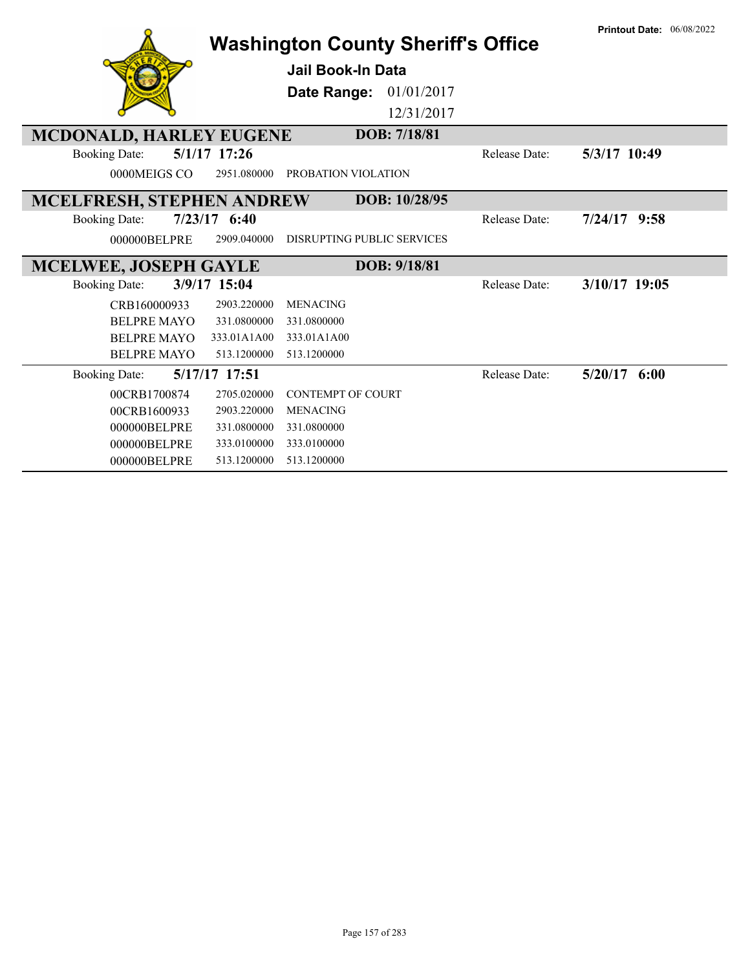|                                  |                            | <b>Washington County Sheriff's Office</b> |                      | <b>Printout Date: 06/08/2022</b> |
|----------------------------------|----------------------------|-------------------------------------------|----------------------|----------------------------------|
|                                  |                            | <b>Jail Book-In Data</b>                  |                      |                                  |
|                                  |                            | Date Range:<br>01/01/2017                 |                      |                                  |
|                                  |                            | 12/31/2017                                |                      |                                  |
| <b>MCDONALD, HARLEY EUGENE</b>   |                            | DOB: 7/18/81                              |                      |                                  |
| <b>Booking Date:</b>             | $5/1/17$ 17:26             |                                           | Release Date:        | 5/3/17 10:49                     |
| 0000MEIGS CO                     | 2951.080000                | PROBATION VIOLATION                       |                      |                                  |
| <b>MCELFRESH, STEPHEN ANDREW</b> |                            | DOB: 10/28/95                             |                      |                                  |
| <b>Booking Date:</b>             | $7/23/17$ 6:40             |                                           | <b>Release Date:</b> | $7/24/17$ 9:58                   |
| 000000BELPRE                     | 2909.040000                | <b>DISRUPTING PUBLIC SERVICES</b>         |                      |                                  |
|                                  |                            |                                           |                      |                                  |
| <b>MCELWEE, JOSEPH GAYLE</b>     |                            | DOB: 9/18/81                              |                      |                                  |
| <b>Booking Date:</b>             | 3/9/17 15:04               |                                           | <b>Release Date:</b> | 3/10/17 19:05                    |
| CRB160000933                     | 2903.220000                | <b>MENACING</b>                           |                      |                                  |
| <b>BELPRE MAYO</b>               | 331.0800000                | 331.0800000                               |                      |                                  |
| <b>BELPRE MAYO</b>               | 333.01A1A00                | 333.01A1A00                               |                      |                                  |
| <b>BELPRE MAYO</b>               | 513.1200000                | 513.1200000                               |                      |                                  |
| <b>Booking Date:</b>             | 5/17/17 17:51              |                                           | Release Date:        | 5/20/17<br>6:00                  |
| 00CRB1700874                     | 2705.020000                | <b>CONTEMPT OF COURT</b>                  |                      |                                  |
| 00CRB1600933                     | 2903.220000                | <b>MENACING</b>                           |                      |                                  |
| 000000BELPRE                     | 331.0800000                | 331.0800000                               |                      |                                  |
| 000000BELPRE<br>000000BELPRE     | 333.0100000<br>513.1200000 | 333.0100000<br>513.1200000                |                      |                                  |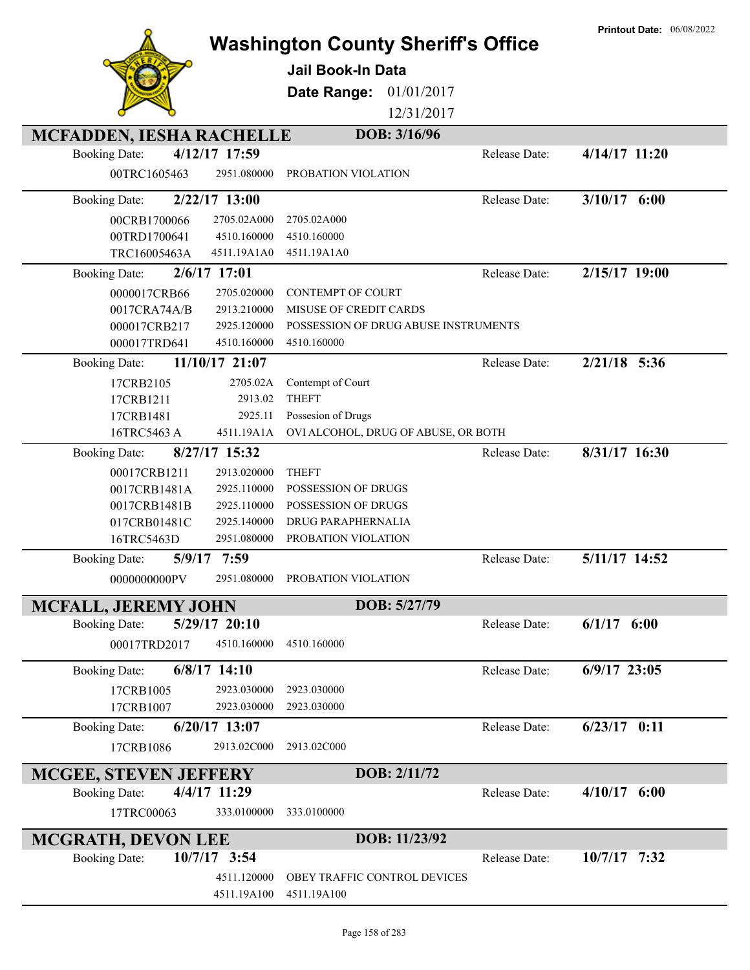|                                 |                 |                                           |               | <b>Printout Date: 06/08/2022</b> |
|---------------------------------|-----------------|-------------------------------------------|---------------|----------------------------------|
|                                 |                 | <b>Washington County Sheriff's Office</b> |               |                                  |
|                                 |                 | <b>Jail Book-In Data</b>                  |               |                                  |
|                                 |                 | 01/01/2017<br>Date Range:                 |               |                                  |
|                                 |                 | 12/31/2017                                |               |                                  |
|                                 |                 |                                           |               |                                  |
| <b>MCFADDEN, IESHA RACHELLE</b> |                 | DOB: 3/16/96                              |               |                                  |
| <b>Booking Date:</b>            | 4/12/17 17:59   |                                           | Release Date: | $4/14/17$ 11:20                  |
| 00TRC1605463                    | 2951.080000     | PROBATION VIOLATION                       |               |                                  |
| <b>Booking Date:</b>            | 2/22/17 13:00   |                                           | Release Date: | $3/10/17$ 6:00                   |
| 00CRB1700066                    | 2705.02A000     | 2705.02A000                               |               |                                  |
| 00TRD1700641                    | 4510.160000     | 4510.160000                               |               |                                  |
| TRC16005463A                    | 4511.19A1A0     | 4511.19A1A0                               |               |                                  |
| <b>Booking Date:</b>            | 2/6/17 17:01    |                                           | Release Date: | $2/15/17$ 19:00                  |
| 0000017CRB66                    | 2705.020000     | <b>CONTEMPT OF COURT</b>                  |               |                                  |
| 0017CRA74A/B                    | 2913.210000     | MISUSE OF CREDIT CARDS                    |               |                                  |
| 000017CRB217                    | 2925.120000     | POSSESSION OF DRUG ABUSE INSTRUMENTS      |               |                                  |
| 000017TRD641                    | 4510.160000     | 4510.160000                               |               |                                  |
| <b>Booking Date:</b>            | 11/10/17 21:07  |                                           | Release Date: | $2/21/18$ 5:36                   |
| 17CRB2105                       | 2705.02A        | Contempt of Court                         |               |                                  |
| 17CRB1211                       | 2913.02         | <b>THEFT</b>                              |               |                                  |
| 17CRB1481                       | 2925.11         | Possesion of Drugs                        |               |                                  |
| 16TRC5463 A                     | 4511.19A1A      | OVI ALCOHOL, DRUG OF ABUSE, OR BOTH       |               |                                  |
| <b>Booking Date:</b>            | 8/27/17 15:32   |                                           | Release Date: | 8/31/17 16:30                    |
| 00017CRB1211                    | 2913.020000     | <b>THEFT</b>                              |               |                                  |
| 0017CRB1481A                    | 2925.110000     | POSSESSION OF DRUGS                       |               |                                  |
| 0017CRB1481B                    | 2925.110000     | POSSESSION OF DRUGS                       |               |                                  |
| 017CRB01481C                    | 2925.140000     | DRUG PARAPHERNALIA                        |               |                                  |
| 16TRC5463D                      | 2951.080000     | PROBATION VIOLATION                       |               |                                  |
| <b>Booking Date:</b>            | 5/9/17 7:59     |                                           | Release Date: | 5/11/17 14:52                    |
| 0000000000PV                    | 2951.080000     | PROBATION VIOLATION                       |               |                                  |
| <b>MCFALL, JEREMY JOHN</b>      |                 | DOB: 5/27/79                              |               |                                  |
| <b>Booking Date:</b>            | 5/29/17 20:10   |                                           | Release Date: | $6/1/17$ $6:00$                  |
| 00017TRD2017                    | 4510.160000     | 4510.160000                               |               |                                  |
| <b>Booking Date:</b>            | $6/8/17$ 14:10  |                                           | Release Date: | $6/9/17$ 23:05                   |
|                                 | 2923.030000     | 2923.030000                               |               |                                  |
| 17CRB1005<br>17CRB1007          | 2923.030000     | 2923.030000                               |               |                                  |
|                                 |                 |                                           |               |                                  |
| <b>Booking Date:</b>            | $6/20/17$ 13:07 |                                           | Release Date: | $6/23/17$ 0:11                   |
| 17CRB1086                       | 2913.02C000     | 2913.02C000                               |               |                                  |
| <b>MCGEE, STEVEN JEFFERY</b>    |                 | DOB: 2/11/72                              |               |                                  |
| <b>Booking Date:</b>            | 4/4/17 11:29    |                                           | Release Date: | $4/10/17$ 6:00                   |
| 17TRC00063                      | 333.0100000     | 333.0100000                               |               |                                  |
| <b>MCGRATH, DEVON LEE</b>       |                 | DOB: 11/23/92                             |               |                                  |
| <b>Booking Date:</b>            | 10/7/17 3:54    |                                           | Release Date: | $10/7/17$ 7:32                   |
|                                 | 4511.120000     | OBEY TRAFFIC CONTROL DEVICES              |               |                                  |
|                                 | 4511.19A100     | 4511.19A100                               |               |                                  |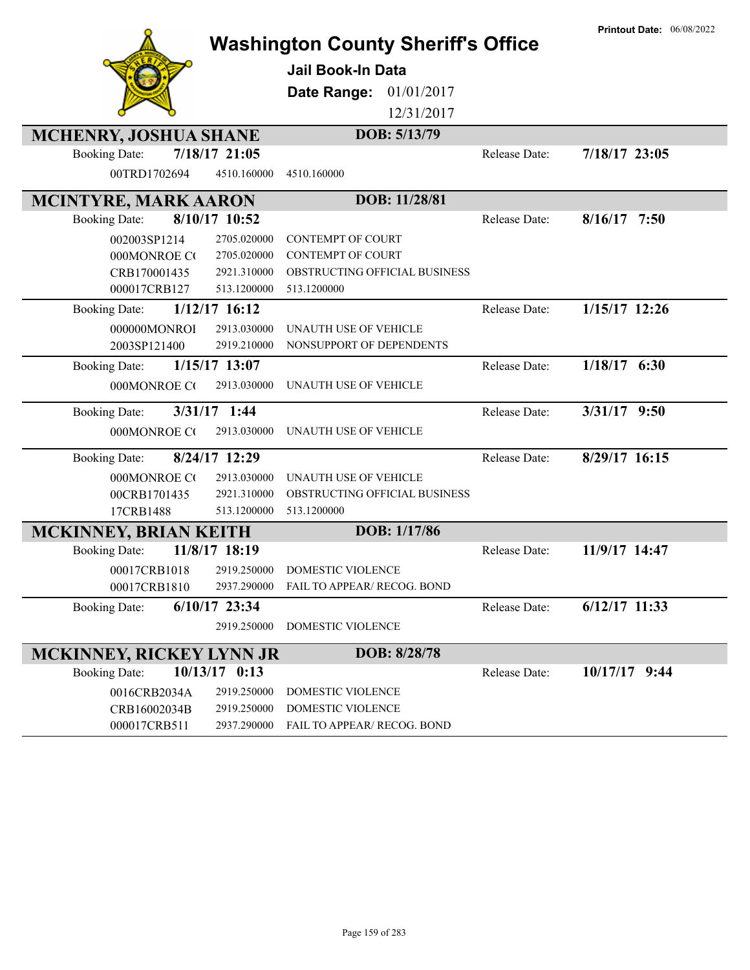|                                 |                 | <b>Washington County Sheriff's Office</b> |               | <b>Printout Date: 06/08/2022</b> |
|---------------------------------|-----------------|-------------------------------------------|---------------|----------------------------------|
|                                 |                 | <b>Jail Book-In Data</b>                  |               |                                  |
|                                 |                 | 01/01/2017<br>Date Range:                 |               |                                  |
|                                 |                 | 12/31/2017                                |               |                                  |
| <b>MCHENRY, JOSHUA SHANE</b>    |                 | DOB: 5/13/79                              |               |                                  |
| <b>Booking Date:</b>            | 7/18/17 21:05   |                                           | Release Date: | 7/18/17 23:05                    |
| 00TRD1702694                    | 4510.160000     | 4510.160000                               |               |                                  |
| <b>MCINTYRE, MARK AARON</b>     |                 | DOB: 11/28/81                             |               |                                  |
| <b>Booking Date:</b>            | 8/10/17 10:52   |                                           | Release Date: | $8/16/17$ 7:50                   |
| 002003SP1214                    | 2705.020000     | CONTEMPT OF COURT                         |               |                                  |
| 000MONROE CO                    | 2705.020000     | <b>CONTEMPT OF COURT</b>                  |               |                                  |
| CRB170001435                    | 2921.310000     | OBSTRUCTING OFFICIAL BUSINESS             |               |                                  |
| 000017CRB127                    | 513.1200000     | 513.1200000                               |               |                                  |
| <b>Booking Date:</b>            | 1/12/17 16:12   |                                           | Release Date: | 1/15/17 12:26                    |
| 000000MONROI                    | 2913.030000     | UNAUTH USE OF VEHICLE                     |               |                                  |
| 2003SP121400                    | 2919.210000     | NONSUPPORT OF DEPENDENTS                  |               |                                  |
| <b>Booking Date:</b>            | $1/15/17$ 13:07 |                                           | Release Date: | $1/18/17$ 6:30                   |
| 000MONROE CO                    | 2913.030000     | UNAUTH USE OF VEHICLE                     |               |                                  |
|                                 |                 |                                           |               |                                  |
| <b>Booking Date:</b>            | $3/31/17$ 1:44  |                                           | Release Date: | $3/31/17$ 9:50                   |
| 000MONROE CO                    | 2913.030000     | UNAUTH USE OF VEHICLE                     |               |                                  |
| <b>Booking Date:</b>            | 8/24/17 12:29   |                                           | Release Date: | 8/29/17 16:15                    |
| 000MONROE CO                    | 2913.030000     | UNAUTH USE OF VEHICLE                     |               |                                  |
| 00CRB1701435                    | 2921.310000     | OBSTRUCTING OFFICIAL BUSINESS             |               |                                  |
| 17CRB1488                       | 513.1200000     | 513.1200000                               |               |                                  |
| <b>MCKINNEY, BRIAN KEITH</b>    |                 | DOB: 1/17/86                              |               |                                  |
| <b>Booking Date:</b>            | 11/8/17 18:19   |                                           | Release Date: | 11/9/17 14:47                    |
| 00017CRB1018                    | 2919.250000     | DOMESTIC VIOLENCE                         |               |                                  |
| 00017CRB1810                    | 2937.290000     | FAIL TO APPEAR/ RECOG. BOND               |               |                                  |
| <b>Booking Date:</b>            | $6/10/17$ 23:34 |                                           | Release Date: | $6/12/17$ 11:33                  |
|                                 | 2919.250000     | DOMESTIC VIOLENCE                         |               |                                  |
| <b>MCKINNEY, RICKEY LYNN JR</b> |                 | DOB: 8/28/78                              |               |                                  |
| <b>Booking Date:</b>            | $10/13/17$ 0:13 |                                           | Release Date: | 10/17/17 9:44                    |
| 0016CRB2034A                    | 2919.250000     | DOMESTIC VIOLENCE                         |               |                                  |
| CRB16002034B                    | 2919.250000     | DOMESTIC VIOLENCE                         |               |                                  |
| 000017CRB511                    | 2937.290000     | FAIL TO APPEAR/ RECOG. BOND               |               |                                  |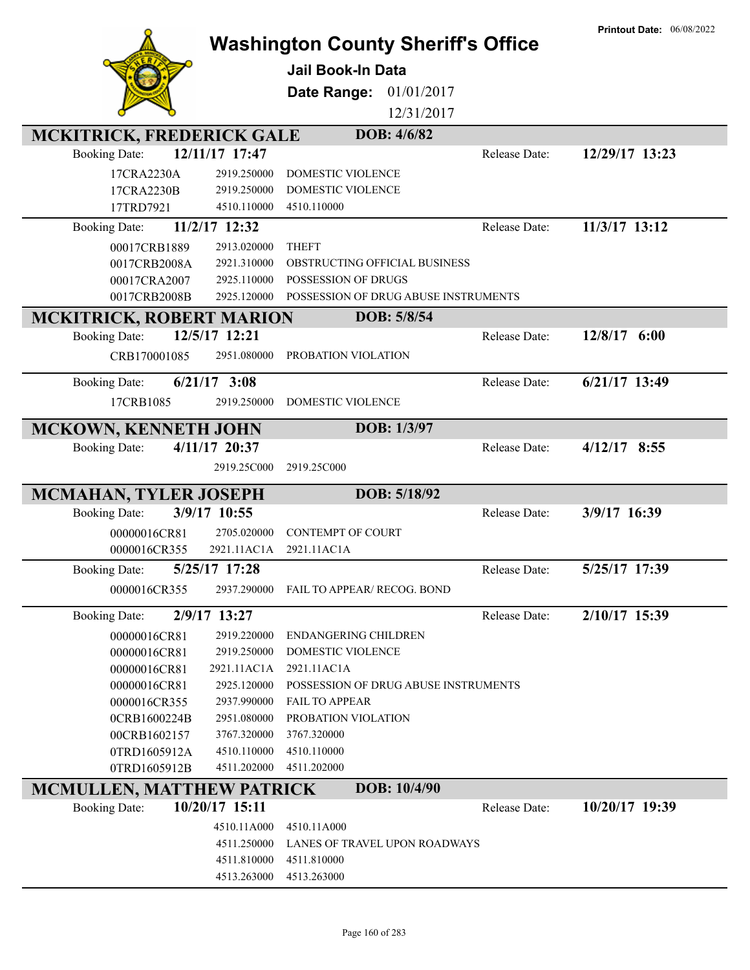|                                  |                            | <b>Washington County Sheriff's Office</b><br>Jail Book-In Data<br>01/01/2017<br>Date Range:<br>12/31/2017 |               | <b>Printout Date: 06/08/2022</b> |
|----------------------------------|----------------------------|-----------------------------------------------------------------------------------------------------------|---------------|----------------------------------|
| <b>MCKITRICK, FREDERICK GALE</b> |                            | DOB: 4/6/82                                                                                               |               |                                  |
| <b>Booking Date:</b>             | 12/11/17 17:47             |                                                                                                           | Release Date: | 12/29/17 13:23                   |
| 17CRA2230A                       | 2919.250000                | DOMESTIC VIOLENCE                                                                                         |               |                                  |
| 17CRA2230B                       | 2919.250000                | DOMESTIC VIOLENCE                                                                                         |               |                                  |
| 17TRD7921                        | 4510.110000                | 4510.110000                                                                                               |               |                                  |
| <b>Booking Date:</b>             | 11/2/17 12:32              |                                                                                                           | Release Date: | 11/3/17 13:12                    |
| 00017CRB1889                     | 2913.020000                | <b>THEFT</b>                                                                                              |               |                                  |
| 0017CRB2008A                     | 2921.310000                | OBSTRUCTING OFFICIAL BUSINESS                                                                             |               |                                  |
| 00017CRA2007                     | 2925.110000                | POSSESSION OF DRUGS                                                                                       |               |                                  |
| 0017CRB2008B                     | 2925.120000                | POSSESSION OF DRUG ABUSE INSTRUMENTS                                                                      |               |                                  |
| <b>MCKITRICK, ROBERT MARION</b>  |                            | DOB: 5/8/54                                                                                               |               |                                  |
| <b>Booking Date:</b>             | 12/5/17 12:21              |                                                                                                           | Release Date: | 12/8/17 6:00                     |
| CRB170001085                     | 2951.080000                | PROBATION VIOLATION                                                                                       |               |                                  |
|                                  | $6/21/17$ 3:08             |                                                                                                           | Release Date: | $6/21/17$ 13:49                  |
| <b>Booking Date:</b>             |                            |                                                                                                           |               |                                  |
| 17CRB1085                        | 2919.250000                | DOMESTIC VIOLENCE                                                                                         |               |                                  |
| MCKOWN, KENNETH JOHN             |                            | DOB: 1/3/97                                                                                               |               |                                  |
| <b>Booking Date:</b>             | 4/11/17 20:37              |                                                                                                           | Release Date: | $4/12/17$ 8:55                   |
|                                  | 2919.25C000                | 2919.25C000                                                                                               |               |                                  |
|                                  |                            |                                                                                                           |               |                                  |
|                                  |                            |                                                                                                           |               |                                  |
| MCMAHAN, TYLER JOSEPH            |                            | DOB: 5/18/92                                                                                              |               |                                  |
| <b>Booking Date:</b>             | 3/9/17 10:55               |                                                                                                           | Release Date: | 3/9/17 16:39                     |
| 00000016CR81                     | 2705.020000                | <b>CONTEMPT OF COURT</b>                                                                                  |               |                                  |
| 0000016CR355                     | 2921.11AC1A                | 2921.11AC1A                                                                                               |               |                                  |
| <b>Booking Date:</b>             | 5/25/17 17:28              |                                                                                                           | Release Date: | 5/25/17 17:39                    |
| 0000016CR355                     |                            | 2937.290000 FAIL TO APPEAR/ RECOG. BOND                                                                   |               |                                  |
|                                  |                            |                                                                                                           |               |                                  |
| <b>Booking Date:</b>             | 2/9/17 13:27               |                                                                                                           | Release Date: | 2/10/17 15:39                    |
| 00000016CR81                     | 2919.220000                | <b>ENDANGERING CHILDREN</b>                                                                               |               |                                  |
| 00000016CR81<br>00000016CR81     | 2919.250000<br>2921.11AC1A | DOMESTIC VIOLENCE<br>2921.11AC1A                                                                          |               |                                  |
| 00000016CR81                     | 2925.120000                | POSSESSION OF DRUG ABUSE INSTRUMENTS                                                                      |               |                                  |
| 0000016CR355                     | 2937.990000                | <b>FAIL TO APPEAR</b>                                                                                     |               |                                  |
| 0CRB1600224B                     | 2951.080000                | PROBATION VIOLATION                                                                                       |               |                                  |
| 00CRB1602157                     | 3767.320000                | 3767.320000                                                                                               |               |                                  |
| 0TRD1605912A                     | 4510.110000                | 4510.110000                                                                                               |               |                                  |
| 0TRD1605912B                     | 4511.202000                | 4511.202000                                                                                               |               |                                  |
| <b>MCMULLEN, MATTHEW PATRICK</b> |                            | DOB: 10/4/90                                                                                              |               |                                  |
| <b>Booking Date:</b>             | 10/20/17 15:11             |                                                                                                           | Release Date: | 10/20/17 19:39                   |
|                                  | 4510.11A000                | 4510.11A000                                                                                               |               |                                  |
|                                  | 4511.250000                | LANES OF TRAVEL UPON ROADWAYS                                                                             |               |                                  |
|                                  | 4511.810000                | 4511.810000                                                                                               |               |                                  |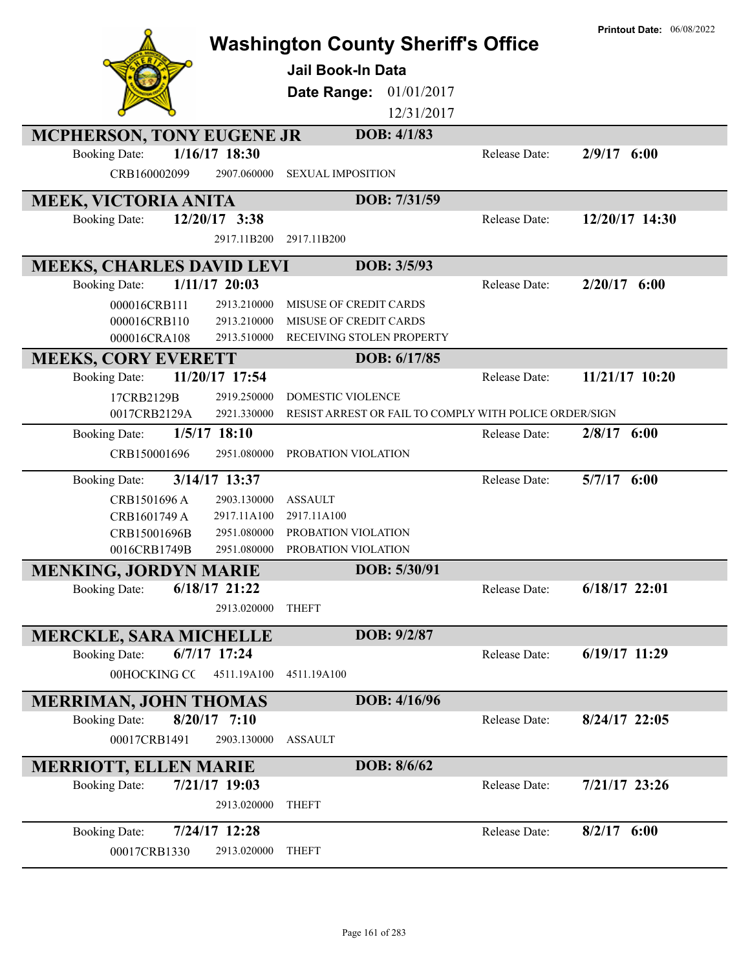|                                                            | <b>Washington County Sheriff's Office</b><br><b>Jail Book-In Data</b><br>01/01/2017<br>Date Range:<br>12/31/2017 |               | <b>Printout Date: 06/08/2022</b> |
|------------------------------------------------------------|------------------------------------------------------------------------------------------------------------------|---------------|----------------------------------|
| <b>MCPHERSON, TONY EUGENE JR</b>                           | DOB: 4/1/83                                                                                                      |               |                                  |
| 1/16/17 18:30<br><b>Booking Date:</b>                      |                                                                                                                  | Release Date: | $2/9/17$ 6:00                    |
| CRB160002099<br>2907.060000                                | <b>SEXUAL IMPOSITION</b>                                                                                         |               |                                  |
| <b>MEEK, VICTORIA ANITA</b>                                | DOB: 7/31/59                                                                                                     |               |                                  |
| $12/20/17$ 3:38<br><b>Booking Date:</b>                    |                                                                                                                  | Release Date: | 12/20/17 14:30                   |
| 2917.11B200                                                | 2917.11B200                                                                                                      |               |                                  |
| <b>MEEKS, CHARLES DAVID LEVI</b>                           | DOB: 3/5/93                                                                                                      |               |                                  |
| $1/11/17$ 20:03<br><b>Booking Date:</b>                    |                                                                                                                  | Release Date: | $2/20/17$ 6:00                   |
| 000016CRB111<br>2913.210000                                | MISUSE OF CREDIT CARDS                                                                                           |               |                                  |
| 000016CRB110<br>2913.210000                                | MISUSE OF CREDIT CARDS                                                                                           |               |                                  |
| 000016CRA108<br>2913.510000                                | RECEIVING STOLEN PROPERTY                                                                                        |               |                                  |
| <b>MEEKS, CORY EVERETT</b>                                 | DOB: 6/17/85                                                                                                     |               |                                  |
| 11/20/17 17:54<br><b>Booking Date:</b>                     |                                                                                                                  | Release Date: | 11/21/17 10:20                   |
| 17CRB2129B<br>2919.250000<br>2921.330000                   | <b>DOMESTIC VIOLENCE</b><br>RESIST ARREST OR FAIL TO COMPLY WITH POLICE ORDER/SIGN                               |               |                                  |
| 0017CRB2129A                                               |                                                                                                                  |               |                                  |
| $1/5/17$ 18:10<br><b>Booking Date:</b>                     |                                                                                                                  | Release Date: | $2/8/17$ 6:00                    |
| CRB150001696<br>2951.080000                                | PROBATION VIOLATION                                                                                              |               |                                  |
| 3/14/17 13:37<br><b>Booking Date:</b>                      |                                                                                                                  | Release Date: | $5/7/17$ 6:00                    |
| CRB1501696 A<br>2903.130000                                | <b>ASSAULT</b>                                                                                                   |               |                                  |
| CRB1601749 A<br>2917.11A100                                | 2917.11A100                                                                                                      |               |                                  |
| CRB15001696B<br>2951.080000<br>0016CRB1749B<br>2951.080000 | PROBATION VIOLATION<br>PROBATION VIOLATION                                                                       |               |                                  |
| MENKING, JORDYN MARIE                                      | DOB: 5/30/91                                                                                                     |               |                                  |
| $6/18/17$ 21:22<br><b>Booking Date:</b>                    |                                                                                                                  | Release Date: | 6/18/17 22:01                    |
| 2913.020000                                                | <b>THEFT</b>                                                                                                     |               |                                  |
|                                                            |                                                                                                                  |               |                                  |
| <b>MERCKLE, SARA MICHELLE</b>                              | DOB: 9/2/87                                                                                                      |               |                                  |
| $6/7/17$ 17:24<br><b>Booking Date:</b>                     |                                                                                                                  | Release Date: | 6/19/17 11:29                    |
| 00HOCKING CC<br>4511.19A100                                | 4511.19A100                                                                                                      |               |                                  |
| <b>MERRIMAN, JOHN THOMAS</b>                               | DOB: 4/16/96                                                                                                     |               |                                  |
| $8/20/17$ 7:10<br><b>Booking Date:</b>                     |                                                                                                                  | Release Date: | $8/24/17$ 22:05                  |
| 00017CRB1491<br>2903.130000                                | <b>ASSAULT</b>                                                                                                   |               |                                  |
| <b>MERRIOTT, ELLEN MARIE</b>                               | DOB: 8/6/62                                                                                                      |               |                                  |
| 7/21/17 19:03<br><b>Booking Date:</b>                      |                                                                                                                  | Release Date: | 7/21/17 23:26                    |
| 2913.020000                                                | <b>THEFT</b>                                                                                                     |               |                                  |
| 7/24/17 12:28<br><b>Booking Date:</b>                      |                                                                                                                  | Release Date: | $8/2/17$ 6:00                    |
| 00017CRB1330<br>2913.020000                                | <b>THEFT</b>                                                                                                     |               |                                  |
|                                                            |                                                                                                                  |               |                                  |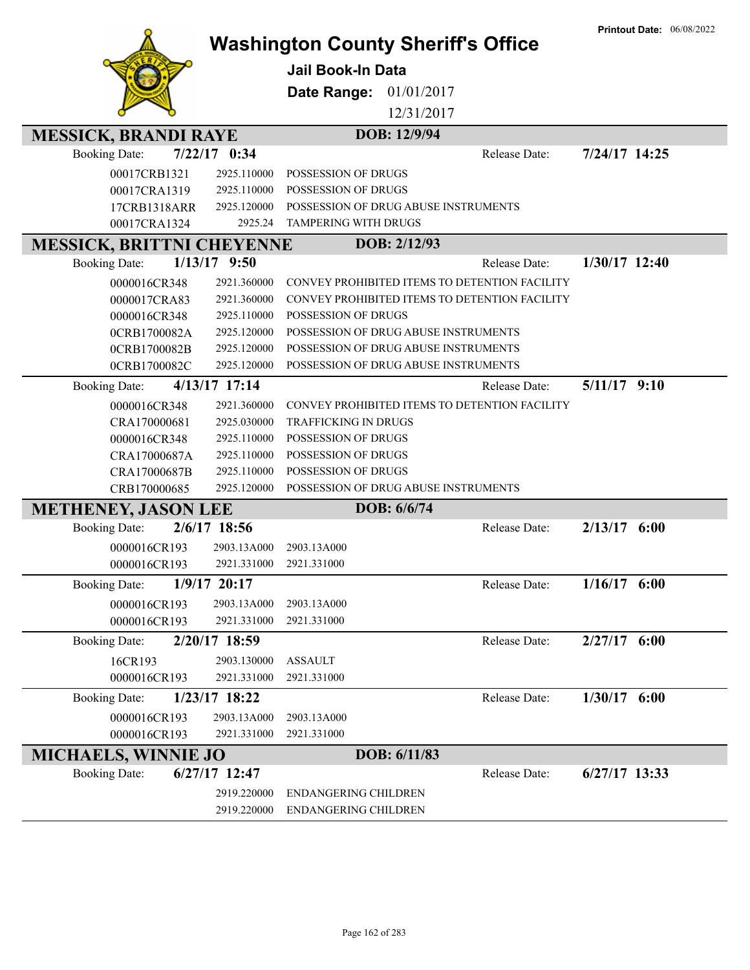|                                  |                |                                               | <b>Printout Date: 06/08/2022</b> |
|----------------------------------|----------------|-----------------------------------------------|----------------------------------|
|                                  |                | <b>Washington County Sheriff's Office</b>     |                                  |
|                                  |                | Jail Book-In Data                             |                                  |
|                                  |                | Date Range:<br>01/01/2017                     |                                  |
|                                  |                | 12/31/2017                                    |                                  |
|                                  |                |                                               |                                  |
| <b>MESSICK, BRANDI RAYE</b>      |                | DOB: 12/9/94                                  |                                  |
| <b>Booking Date:</b>             | 7/22/17 0:34   | Release Date:                                 | 7/24/17 14:25                    |
| 00017CRB1321                     | 2925.110000    | POSSESSION OF DRUGS                           |                                  |
| 00017CRA1319                     | 2925.110000    | POSSESSION OF DRUGS                           |                                  |
| 17CRB1318ARR                     | 2925.120000    | POSSESSION OF DRUG ABUSE INSTRUMENTS          |                                  |
| 00017CRA1324                     | 2925.24        | TAMPERING WITH DRUGS                          |                                  |
| <b>MESSICK, BRITTNI CHEYENNE</b> |                | DOB: 2/12/93                                  |                                  |
| <b>Booking Date:</b>             | $1/13/17$ 9:50 | Release Date:                                 | $1/30/17$ 12:40                  |
| 0000016CR348                     | 2921.360000    | CONVEY PROHIBITED ITEMS TO DETENTION FACILITY |                                  |
| 0000017CRA83                     | 2921.360000    | CONVEY PROHIBITED ITEMS TO DETENTION FACILITY |                                  |
| 0000016CR348                     | 2925.110000    | POSSESSION OF DRUGS                           |                                  |
| 0CRB1700082A                     | 2925.120000    | POSSESSION OF DRUG ABUSE INSTRUMENTS          |                                  |
| 0CRB1700082B                     | 2925.120000    | POSSESSION OF DRUG ABUSE INSTRUMENTS          |                                  |
| 0CRB1700082C                     | 2925.120000    | POSSESSION OF DRUG ABUSE INSTRUMENTS          |                                  |
| <b>Booking Date:</b>             | 4/13/17 17:14  | Release Date:                                 | $5/11/17$ 9:10                   |
| 0000016CR348                     | 2921.360000    | CONVEY PROHIBITED ITEMS TO DETENTION FACILITY |                                  |
| CRA170000681                     | 2925.030000    | <b>TRAFFICKING IN DRUGS</b>                   |                                  |
| 0000016CR348                     | 2925.110000    | POSSESSION OF DRUGS                           |                                  |
| CRA17000687A                     | 2925.110000    | POSSESSION OF DRUGS                           |                                  |
| CRA17000687B                     | 2925.110000    | POSSESSION OF DRUGS                           |                                  |
| CRB170000685                     | 2925.120000    | POSSESSION OF DRUG ABUSE INSTRUMENTS          |                                  |
| <b>METHENEY, JASON LEE</b>       |                | DOB: 6/6/74                                   |                                  |
| <b>Booking Date:</b>             | 2/6/17 18:56   | Release Date:                                 | $2/13/17$ 6:00                   |
| 0000016CR193                     | 2903.13A000    | 2903.13A000                                   |                                  |
| 0000016CR193                     | 2921.331000    | 2921.331000                                   |                                  |
| <b>Booking Date:</b>             | 1/9/17 20:17   | Release Date:                                 | $1/16/17$ 6:00                   |
| 0000016CR193                     | 2903.13A000    | 2903.13A000                                   |                                  |
| 0000016CR193                     | 2921.331000    | 2921.331000                                   |                                  |
| <b>Booking Date:</b>             | 2/20/17 18:59  | Release Date:                                 | $2/27/17$ 6:00                   |
| 16CR193                          | 2903.130000    | <b>ASSAULT</b>                                |                                  |
| 0000016CR193                     | 2921.331000    | 2921.331000                                   |                                  |
| <b>Booking Date:</b>             | 1/23/17 18:22  | Release Date:                                 | $1/30/17$ 6:00                   |
| 0000016CR193                     | 2903.13A000    | 2903.13A000                                   |                                  |
| 0000016CR193                     | 2921.331000    | 2921.331000                                   |                                  |
| <b>MICHAELS, WINNIE JO</b>       |                | DOB: 6/11/83                                  |                                  |
| <b>Booking Date:</b>             | 6/27/17 12:47  | Release Date:                                 | $6/27/17$ 13:33                  |
|                                  |                |                                               |                                  |
|                                  | 2919.220000    | ENDANGERING CHILDREN                          |                                  |
|                                  | 2919.220000    | ENDANGERING CHILDREN                          |                                  |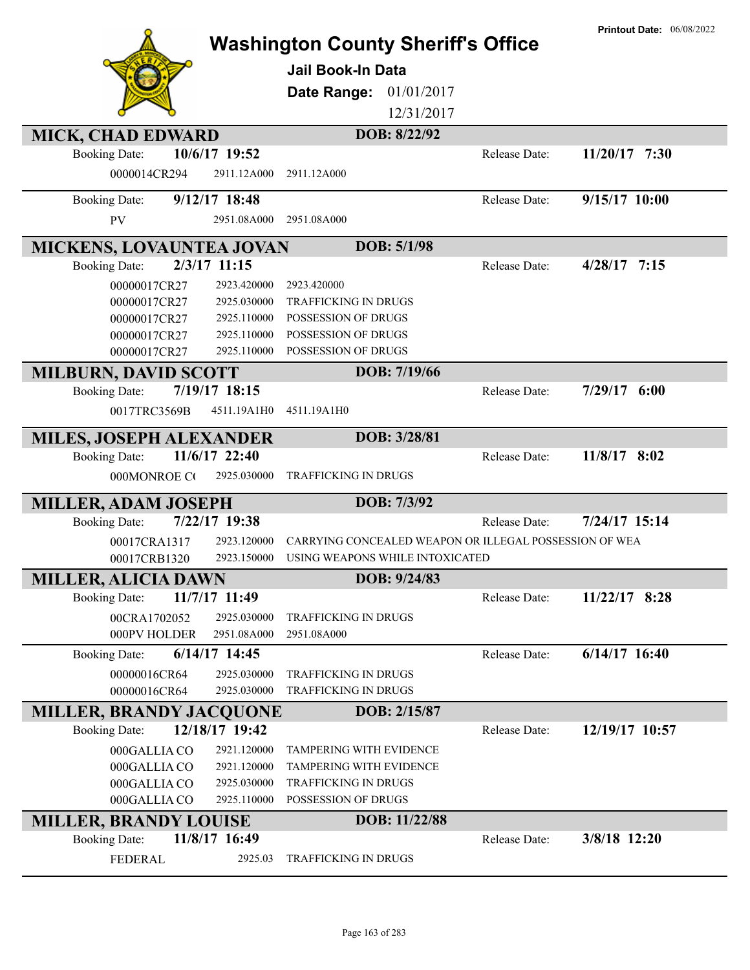|                                                         |                 | <b>Washington County Sheriff's Office</b>              |               | <b>Printout Date: 06/08/2022</b> |
|---------------------------------------------------------|-----------------|--------------------------------------------------------|---------------|----------------------------------|
|                                                         |                 |                                                        |               |                                  |
|                                                         |                 | <b>Jail Book-In Data</b>                               |               |                                  |
|                                                         |                 | Date Range:<br>01/01/2017                              |               |                                  |
|                                                         |                 | 12/31/2017                                             |               |                                  |
| <b>MICK, CHAD EDWARD</b>                                |                 | DOB: 8/22/92                                           |               |                                  |
| <b>Booking Date:</b>                                    | 10/6/17 19:52   |                                                        | Release Date: | $11/20/17$ 7:30                  |
| 0000014CR294                                            | 2911.12A000     | 2911.12A000                                            |               |                                  |
| <b>Booking Date:</b>                                    | $9/12/17$ 18:48 |                                                        | Release Date: | 9/15/17 10:00                    |
| <b>PV</b>                                               | 2951.08A000     | 2951.08A000                                            |               |                                  |
|                                                         |                 | DOB: 5/1/98                                            |               |                                  |
| <b>MICKENS, LOVAUNTEA JOVAN</b><br><b>Booking Date:</b> | 2/3/17 11:15    |                                                        | Release Date: | $4/28/17$ 7:15                   |
| 00000017CR27                                            | 2923.420000     | 2923.420000                                            |               |                                  |
| 00000017CR27                                            | 2925.030000     | <b>TRAFFICKING IN DRUGS</b>                            |               |                                  |
| 00000017CR27                                            | 2925.110000     | POSSESSION OF DRUGS                                    |               |                                  |
| 00000017CR27                                            | 2925.110000     | POSSESSION OF DRUGS                                    |               |                                  |
| 00000017CR27                                            | 2925.110000     | POSSESSION OF DRUGS                                    |               |                                  |
| <b>MILBURN, DAVID SCOTT</b>                             |                 | DOB: 7/19/66                                           |               |                                  |
| <b>Booking Date:</b>                                    | 7/19/17 18:15   |                                                        | Release Date: | $7/29/17$ 6:00                   |
| 0017TRC3569B                                            | 4511.19A1H0     | 4511.19A1H0                                            |               |                                  |
| <b>MILES, JOSEPH ALEXANDER</b>                          |                 | DOB: 3/28/81                                           |               |                                  |
| <b>Booking Date:</b>                                    | 11/6/17 22:40   |                                                        | Release Date: | 11/8/17 8:02                     |
| 000MONROE CO                                            | 2925.030000     | <b>TRAFFICKING IN DRUGS</b>                            |               |                                  |
| <b>MILLER, ADAM JOSEPH</b>                              |                 | DOB: 7/3/92                                            |               |                                  |
| <b>Booking Date:</b>                                    | 7/22/17 19:38   |                                                        | Release Date: | 7/24/17 15:14                    |
| 00017CRA1317                                            | 2923.120000     | CARRYING CONCEALED WEAPON OR ILLEGAL POSSESSION OF WEA |               |                                  |
| 00017CRB1320                                            | 2923.150000     | USING WEAPONS WHILE INTOXICATED                        |               |                                  |
| <b>MILLER, ALICIA DAWN</b>                              |                 | DOB: 9/24/83                                           |               |                                  |
| <b>Booking Date:</b>                                    | 11/7/17 11:49   |                                                        | Release Date: | 11/22/17 8:28                    |
| 00CRA1702052                                            | 2925.030000     | <b>TRAFFICKING IN DRUGS</b>                            |               |                                  |
| 000PV HOLDER                                            | 2951.08A000     | 2951.08A000                                            |               |                                  |
| <b>Booking Date:</b>                                    | $6/14/17$ 14:45 |                                                        | Release Date: | $6/14/17$ 16:40                  |
| 00000016CR64                                            | 2925.030000     | TRAFFICKING IN DRUGS                                   |               |                                  |
| 00000016CR64                                            | 2925.030000     | TRAFFICKING IN DRUGS                                   |               |                                  |
| <b>MILLER, BRANDY JACQUONE</b>                          |                 | DOB: 2/15/87                                           |               |                                  |
| <b>Booking Date:</b>                                    | 12/18/17 19:42  |                                                        | Release Date: | 12/19/17 10:57                   |
| 000GALLIA CO                                            | 2921.120000     | <b>TAMPERING WITH EVIDENCE</b>                         |               |                                  |
| 000GALLIA CO                                            | 2921.120000     | <b>TAMPERING WITH EVIDENCE</b>                         |               |                                  |
| 000GALLIA CO                                            | 2925.030000     | TRAFFICKING IN DRUGS                                   |               |                                  |
| 000GALLIA CO                                            | 2925.110000     | POSSESSION OF DRUGS                                    |               |                                  |
| <b>MILLER, BRANDY LOUISE</b>                            |                 | DOB: 11/22/88                                          |               |                                  |
| <b>Booking Date:</b>                                    | 11/8/17 16:49   |                                                        | Release Date: | 3/8/18 12:20                     |
| <b>FEDERAL</b>                                          | 2925.03         | TRAFFICKING IN DRUGS                                   |               |                                  |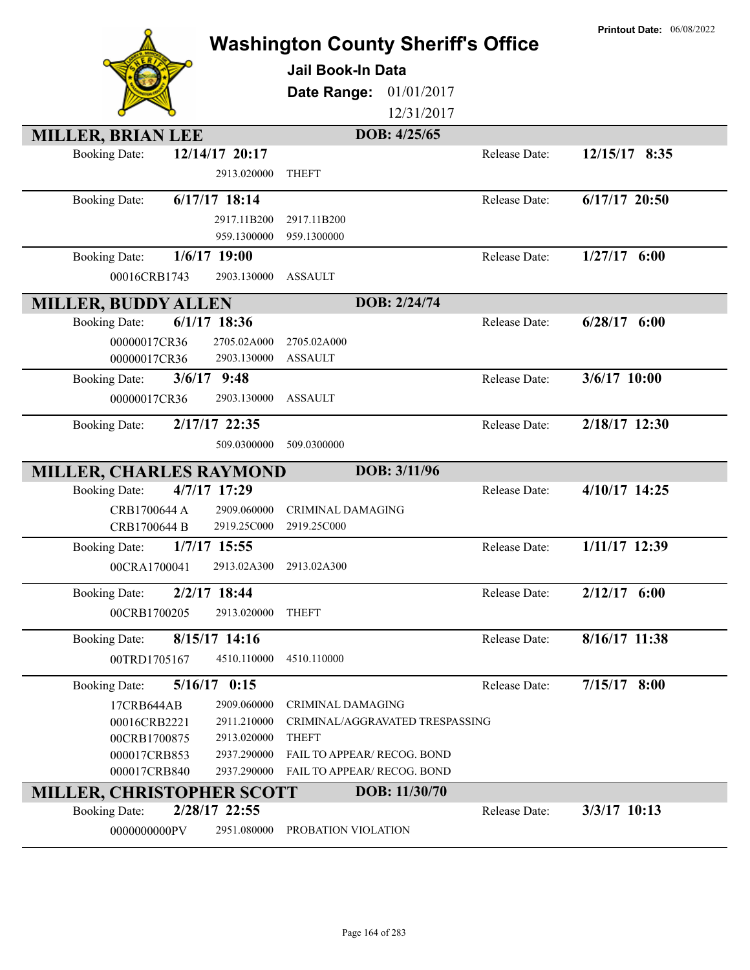|                                                            | <b>Washington County Sheriff's Office</b><br><b>Jail Book-In Data</b><br>Date Range:<br>01/01/2017<br>12/31/2017 | <b>Printout Date: 06/08/2022</b>  |
|------------------------------------------------------------|------------------------------------------------------------------------------------------------------------------|-----------------------------------|
| <b>MILLER, BRIAN LEE</b>                                   | DOB: 4/25/65                                                                                                     |                                   |
| 12/14/17 20:17<br><b>Booking Date:</b><br>2913.020000      | <b>THEFT</b>                                                                                                     | 12/15/17 8:35<br>Release Date:    |
| $6/17/17$ 18:14<br><b>Booking Date:</b>                    |                                                                                                                  | $6/17/17$ 20:50<br>Release Date:  |
| 2917.11B200                                                | 2917.11B200                                                                                                      |                                   |
| 959.1300000                                                | 959.1300000                                                                                                      |                                   |
| <b>Booking Date:</b><br>$1/6/17$ 19:00                     |                                                                                                                  | $1/27/17$ 6:00<br>Release Date:   |
| 00016CRB1743<br>2903.130000                                | <b>ASSAULT</b>                                                                                                   |                                   |
|                                                            | DOB: 2/24/74                                                                                                     |                                   |
| <b>MILLER, BUDDY ALLEN</b><br>$6/1/17$ 18:36               |                                                                                                                  | $6/28/17$ $6:00$<br>Release Date: |
| <b>Booking Date:</b>                                       |                                                                                                                  |                                   |
| 00000017CR36<br>2705.02A000<br>2903.130000<br>00000017CR36 | 2705.02A000<br><b>ASSAULT</b>                                                                                    |                                   |
| $3/6/17$ 9:48                                              |                                                                                                                  | 3/6/17 10:00<br>Release Date:     |
| <b>Booking Date:</b>                                       |                                                                                                                  |                                   |
| 2903.130000<br>00000017CR36                                | <b>ASSAULT</b>                                                                                                   |                                   |
| <b>Booking Date:</b><br>2/17/17 22:35                      |                                                                                                                  | 2/18/17 12:30<br>Release Date:    |
| 509.0300000                                                | 509.0300000                                                                                                      |                                   |
| <b>MILLER, CHARLES RAYMOND</b>                             | DOB: 3/11/96                                                                                                     |                                   |
| 4/7/17 17:29<br><b>Booking Date:</b>                       |                                                                                                                  | 4/10/17 14:25<br>Release Date:    |
| 2909.060000<br>CRB1700644 A                                | CRIMINAL DAMAGING                                                                                                |                                   |
| 2919.25C000<br>CRB1700644 B                                | 2919.25C000                                                                                                      |                                   |
| 1/7/17 15:55<br><b>Booking Date:</b>                       |                                                                                                                  | 1/11/17 12:39<br>Release Date:    |
| 00CRA1700041<br>2913.02A300                                | 2913.02A300                                                                                                      |                                   |
|                                                            |                                                                                                                  |                                   |
| $2/2/17$ 18:44<br><b>Booking Date:</b>                     |                                                                                                                  | $2/12/17$ 6:00<br>Release Date:   |
| 2913.020000<br>00CRB1700205                                | <b>THEFT</b>                                                                                                     |                                   |
| 8/15/17 14:16<br><b>Booking Date:</b>                      |                                                                                                                  | 8/16/17 11:38<br>Release Date:    |
| 00TRD1705167<br>4510.110000                                | 4510.110000                                                                                                      |                                   |
| $5/16/17$ 0:15<br><b>Booking Date:</b>                     |                                                                                                                  | $7/15/17$ 8:00<br>Release Date:   |
| 17CRB644AB<br>2909.060000                                  | CRIMINAL DAMAGING                                                                                                |                                   |
| 00016CRB2221<br>2911.210000                                | CRIMINAL/AGGRAVATED TRESPASSING                                                                                  |                                   |
| 00CRB1700875<br>2913.020000                                | <b>THEFT</b>                                                                                                     |                                   |
| 000017CRB853<br>2937.290000                                | FAIL TO APPEAR/ RECOG. BOND                                                                                      |                                   |
| 000017CRB840<br>2937.290000                                | FAIL TO APPEAR/ RECOG. BOND                                                                                      |                                   |
| MILLER, CHRISTOPHER SCOTT                                  | DOB: 11/30/70                                                                                                    |                                   |
| 2/28/17 22:55<br><b>Booking Date:</b>                      |                                                                                                                  | 3/3/17 10:13<br>Release Date:     |
| 2951.080000<br>0000000000PV                                | PROBATION VIOLATION                                                                                              |                                   |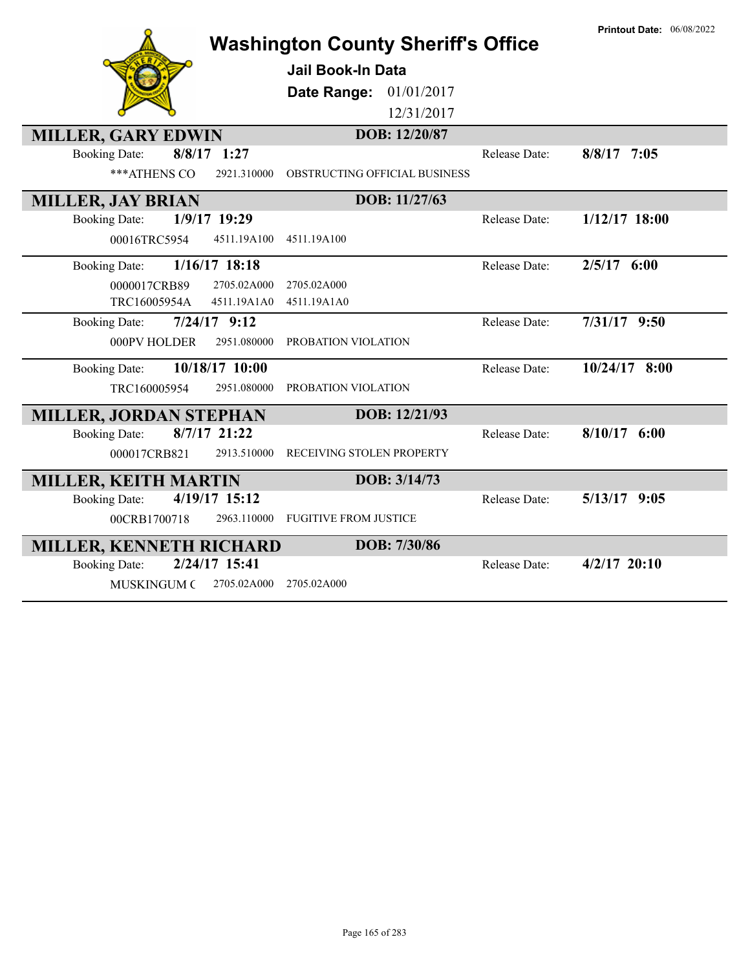|                                        | <b>Washington County Sheriff's Office</b> |               | <b>Printout Date: 06/08/2022</b> |
|----------------------------------------|-------------------------------------------|---------------|----------------------------------|
|                                        | <b>Jail Book-In Data</b>                  |               |                                  |
|                                        | Date Range: 01/01/2017                    |               |                                  |
|                                        | 12/31/2017                                |               |                                  |
| <b>MILLER, GARY EDWIN</b>              | DOB: 12/20/87                             |               |                                  |
| $8/8/17$ 1:27<br><b>Booking Date:</b>  |                                           | Release Date: | $8/8/17$ 7:05                    |
| *** ATHENS CO<br>2921.310000           | OBSTRUCTING OFFICIAL BUSINESS             |               |                                  |
| <b>MILLER, JAY BRIAN</b>               | DOB: 11/27/63                             |               |                                  |
| 1/9/17 19:29<br><b>Booking Date:</b>   |                                           | Release Date: | $1/12/17$ 18:00                  |
| 00016TRC5954<br>4511.19A100            | 4511.19A100                               |               |                                  |
| 1/16/17 18:18<br><b>Booking Date:</b>  |                                           | Release Date: | $2/5/17$ 6:00                    |
| 0000017CRB89<br>2705.02A000            | 2705.02A000                               |               |                                  |
| TRC16005954A<br>4511.19A1A0            | 4511.19A1A0                               |               |                                  |
| $7/24/17$ 9:12<br><b>Booking Date:</b> |                                           | Release Date: | $7/31/17$ 9:50                   |
| 000PV HOLDER<br>2951.080000            | PROBATION VIOLATION                       |               |                                  |
| 10/18/17 10:00<br><b>Booking Date:</b> |                                           | Release Date: | $10/24/17$ 8:00                  |
| TRC160005954<br>2951.080000            | PROBATION VIOLATION                       |               |                                  |
| <b>MILLER, JORDAN STEPHAN</b>          | DOB: 12/21/93                             |               |                                  |
| $8/7/17$ 21:22<br><b>Booking Date:</b> |                                           | Release Date: | $8/10/17$ 6:00                   |
| 000017CRB821<br>2913.510000            | RECEIVING STOLEN PROPERTY                 |               |                                  |
| <b>MILLER, KEITH MARTIN</b>            | DOB: 3/14/73                              |               |                                  |
| 4/19/17 15:12<br><b>Booking Date:</b>  |                                           | Release Date: | $5/13/17$ 9:05                   |
| 2963.110000<br>00CRB1700718            | <b>FUGITIVE FROM JUSTICE</b>              |               |                                  |
| <b>MILLER, KENNETH RICHARD</b>         | DOB: 7/30/86                              |               |                                  |
| 2/24/17 15:41<br><b>Booking Date:</b>  |                                           | Release Date: | $4/2/17$ 20:10                   |
| <b>MUSKINGUM C</b><br>2705.02A000      | 2705.02A000                               |               |                                  |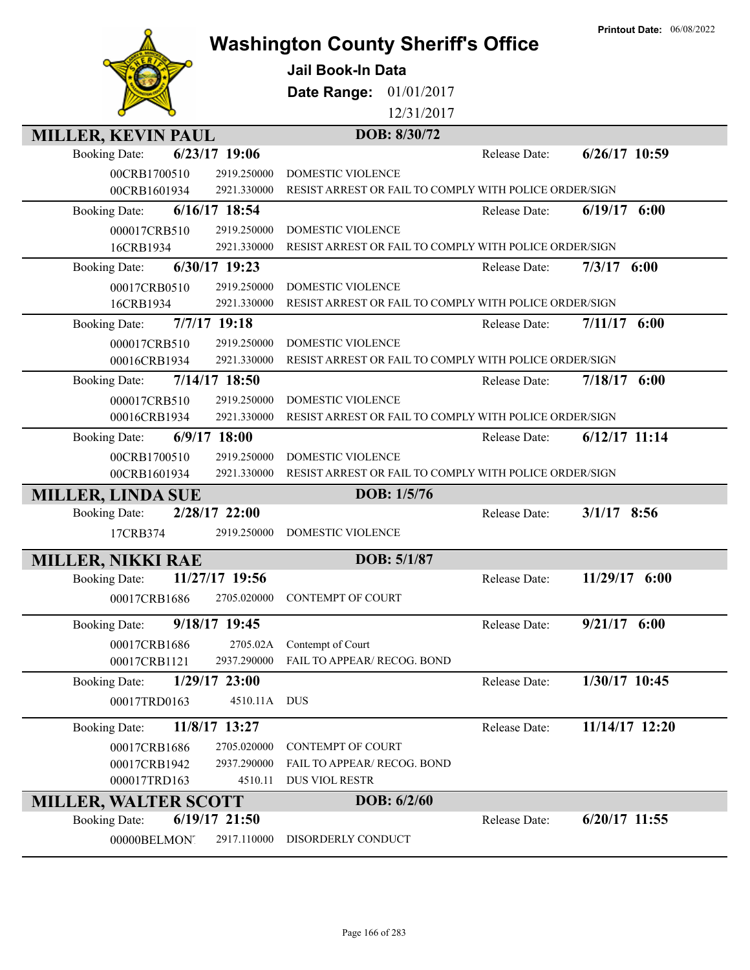|                                         | <b>Washington County Sheriff's Office</b>              | <b>Printout Date: 06/08/2022</b> |
|-----------------------------------------|--------------------------------------------------------|----------------------------------|
|                                         |                                                        |                                  |
|                                         | <b>Jail Book-In Data</b>                               |                                  |
|                                         | Date Range: 01/01/2017                                 |                                  |
|                                         | 12/31/2017                                             |                                  |
| <b>MILLER, KEVIN PAUL</b>               | DOB: 8/30/72                                           |                                  |
| 6/23/17 19:06<br><b>Booking Date:</b>   | Release Date:                                          | $6/26/17$ 10:59                  |
| 00CRB1700510<br>2919.250000             | <b>DOMESTIC VIOLENCE</b>                               |                                  |
| 00CRB1601934<br>2921.330000             | RESIST ARREST OR FAIL TO COMPLY WITH POLICE ORDER/SIGN |                                  |
| 6/16/17 18:54<br><b>Booking Date:</b>   | Release Date:                                          | $6/19/17$ $6:00$                 |
| 2919.250000<br>000017CRB510             | DOMESTIC VIOLENCE                                      |                                  |
| 16CRB1934<br>2921.330000                | RESIST ARREST OR FAIL TO COMPLY WITH POLICE ORDER/SIGN |                                  |
| 6/30/17 19:23<br><b>Booking Date:</b>   | Release Date:                                          | $7/3/17$ 6:00                    |
| 00017CRB0510<br>2919.250000             | DOMESTIC VIOLENCE                                      |                                  |
| 16CRB1934<br>2921.330000                | RESIST ARREST OR FAIL TO COMPLY WITH POLICE ORDER/SIGN |                                  |
| 7/7/17 19:18<br><b>Booking Date:</b>    | Release Date:                                          | $7/11/17$ 6:00                   |
| 000017CRB510<br>2919.250000             | <b>DOMESTIC VIOLENCE</b>                               |                                  |
| 00016CRB1934<br>2921.330000             | RESIST ARREST OR FAIL TO COMPLY WITH POLICE ORDER/SIGN |                                  |
| 7/14/17 18:50<br><b>Booking Date:</b>   | Release Date:                                          | $7/18/17$ 6:00                   |
| 2919.250000<br>000017CRB510             | DOMESTIC VIOLENCE                                      |                                  |
| 2921.330000<br>00016CRB1934             | RESIST ARREST OR FAIL TO COMPLY WITH POLICE ORDER/SIGN |                                  |
| $6/9/17$ 18:00<br><b>Booking Date:</b>  | Release Date:                                          | $6/12/17$ 11:14                  |
| 00CRB1700510<br>2919.250000             | DOMESTIC VIOLENCE                                      |                                  |
| 00CRB1601934<br>2921.330000             | RESIST ARREST OR FAIL TO COMPLY WITH POLICE ORDER/SIGN |                                  |
| <b>MILLER, LINDA SUE</b>                | DOB: 1/5/76                                            |                                  |
| 2/28/17 22:00<br><b>Booking Date:</b>   | Release Date:                                          | $3/1/17$ 8:56                    |
| 17CRB374<br>2919.250000                 | DOMESTIC VIOLENCE                                      |                                  |
| <b>MILLER, NIKKI RAE</b>                | DOB: 5/1/87                                            |                                  |
| 11/27/17 19:56<br><b>Booking Date:</b>  | Release Date:                                          | 11/29/17 6:00                    |
| 2705.020000<br>00017CRB1686             | CONTEMPT OF COURT                                      |                                  |
|                                         |                                                        |                                  |
| 9/18/17 19:45<br><b>Booking Date:</b>   | Release Date:                                          | $9/21/17$ 6:00                   |
| 2705.02A<br>00017CRB1686                | Contempt of Court                                      |                                  |
| 00017CRB1121<br>2937.290000             | FAIL TO APPEAR/ RECOG. BOND                            |                                  |
| $1/29/17$ 23:00<br><b>Booking Date:</b> | Release Date:                                          | 1/30/17 10:45                    |
| 00017TRD0163                            | 4510.11A DUS                                           |                                  |
| 11/8/17 13:27<br><b>Booking Date:</b>   | Release Date:                                          | 11/14/17 12:20                   |
| 00017CRB1686<br>2705.020000             | CONTEMPT OF COURT                                      |                                  |
| 00017CRB1942<br>2937.290000             | FAIL TO APPEAR/ RECOG. BOND                            |                                  |
| 000017TRD163<br>4510.11                 | DUS VIOL RESTR                                         |                                  |
| <b>MILLER, WALTER SCOTT</b>             | DOB: 6/2/60                                            |                                  |
| 6/19/17 21:50<br><b>Booking Date:</b>   | Release Date:                                          | $6/20/17$ 11:55                  |
| 00000BELMONT<br>2917.110000             | DISORDERLY CONDUCT                                     |                                  |
|                                         |                                                        |                                  |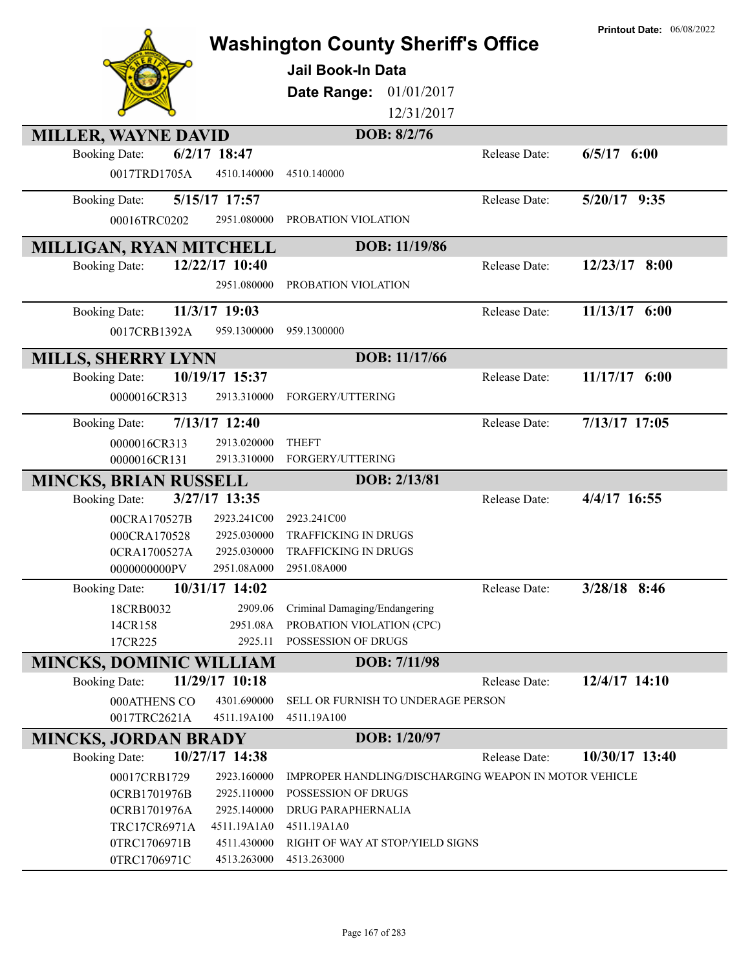|                                |                            |                                                       |               | <b>Printout Date: 06/08/2022</b> |
|--------------------------------|----------------------------|-------------------------------------------------------|---------------|----------------------------------|
|                                |                            | <b>Washington County Sheriff's Office</b>             |               |                                  |
|                                |                            | <b>Jail Book-In Data</b>                              |               |                                  |
|                                |                            | 01/01/2017<br>Date Range:                             |               |                                  |
|                                |                            | 12/31/2017                                            |               |                                  |
| <b>MILLER, WAYNE DAVID</b>     |                            | DOB: 8/2/76                                           |               |                                  |
| <b>Booking Date:</b>           | $6/2/17$ 18:47             |                                                       | Release Date: | $6/5/17$ $6:00$                  |
| 0017TRD1705A                   | 4510.140000                | 4510.140000                                           |               |                                  |
| <b>Booking Date:</b>           | 5/15/17 17:57              |                                                       | Release Date: | $5/20/17$ 9:35                   |
| 00016TRC0202                   | 2951.080000                | PROBATION VIOLATION                                   |               |                                  |
| <b>MILLIGAN, RYAN MITCHELL</b> |                            | DOB: 11/19/86                                         |               |                                  |
| <b>Booking Date:</b>           | 12/22/17 10:40             |                                                       | Release Date: | $12/23/17$ 8:00                  |
|                                | 2951.080000                | PROBATION VIOLATION                                   |               |                                  |
| <b>Booking Date:</b>           | 11/3/17 19:03              |                                                       | Release Date: | 11/13/17 6:00                    |
| 0017CRB1392A                   | 959.1300000                | 959.1300000                                           |               |                                  |
| <b>MILLS, SHERRY LYNN</b>      |                            | DOB: 11/17/66                                         |               |                                  |
| <b>Booking Date:</b>           | 10/19/17 15:37             |                                                       | Release Date: | 11/17/17 6:00                    |
| 0000016CR313                   | 2913.310000                | FORGERY/UTTERING                                      |               |                                  |
| <b>Booking Date:</b>           | 7/13/17 12:40              |                                                       | Release Date: | 7/13/17 17:05                    |
| 0000016CR313                   | 2913.020000                | <b>THEFT</b>                                          |               |                                  |
| 0000016CR131                   | 2913.310000                | FORGERY/UTTERING                                      |               |                                  |
| <b>MINCKS, BRIAN RUSSELL</b>   |                            | DOB: 2/13/81                                          |               |                                  |
| <b>Booking Date:</b>           | 3/27/17 13:35              |                                                       | Release Date: | 4/4/17 16:55                     |
| 00CRA170527B                   | 2923.241C00                | 2923.241C00                                           |               |                                  |
| 000CRA170528                   | 2925.030000                | TRAFFICKING IN DRUGS                                  |               |                                  |
| 0CRA1700527A<br>0000000000PV   | 2925.030000<br>2951.08A000 | TRAFFICKING IN DRUGS<br>2951.08A000                   |               |                                  |
| <b>Booking Date:</b>           | 10/31/17 14:02             |                                                       | Release Date: | 3/28/18 8:46                     |
| 18CRB0032                      | 2909.06                    | Criminal Damaging/Endangering                         |               |                                  |
| 14CR158                        | 2951.08A                   | PROBATION VIOLATION (CPC)                             |               |                                  |
| 17CR225                        | 2925.11                    | POSSESSION OF DRUGS                                   |               |                                  |
| <b>MINCKS, DOMINIC WILLIAM</b> |                            | DOB: 7/11/98                                          |               |                                  |
| <b>Booking Date:</b>           | 11/29/17 10:18             |                                                       | Release Date: | 12/4/17 14:10                    |
| 000ATHENS CO                   | 4301.690000                | SELL OR FURNISH TO UNDERAGE PERSON                    |               |                                  |
| 0017TRC2621A                   | 4511.19A100                | 4511.19A100                                           |               |                                  |
| <b>MINCKS, JORDAN BRADY</b>    |                            | DOB: 1/20/97                                          |               |                                  |
| <b>Booking Date:</b>           | 10/27/17 14:38             |                                                       | Release Date: | 10/30/17 13:40                   |
| 00017CRB1729                   | 2923.160000                | IMPROPER HANDLING/DISCHARGING WEAPON IN MOTOR VEHICLE |               |                                  |
| 0CRB1701976B                   | 2925.110000                | POSSESSION OF DRUGS                                   |               |                                  |
| 0CRB1701976A                   | 2925.140000                | DRUG PARAPHERNALIA                                    |               |                                  |
| <b>TRC17CR6971A</b>            | 4511.19A1A0                | 4511.19A1A0                                           |               |                                  |
| 0TRC1706971B<br>0TRC1706971C   | 4511.430000<br>4513.263000 | RIGHT OF WAY AT STOP/YIELD SIGNS<br>4513.263000       |               |                                  |
|                                |                            |                                                       |               |                                  |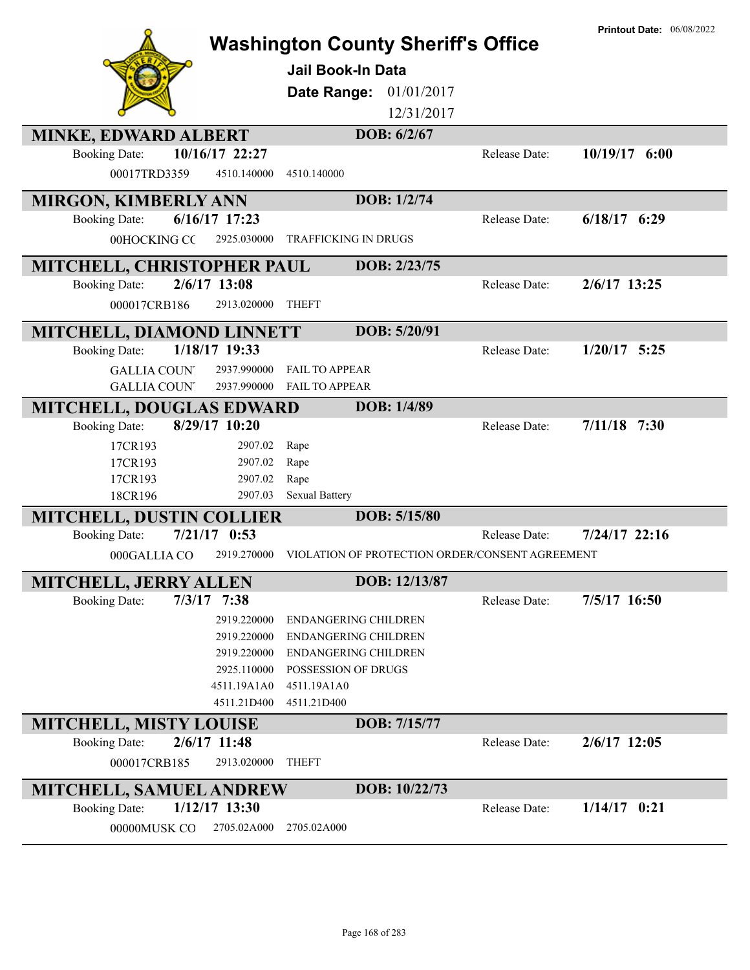|                                      |                               | <b>Washington County Sheriff's Office</b><br><b>Jail Book-In Data</b><br>Date Range: 01/01/2017<br>12/31/2017 |                      | <b>Printout Date: 06/08/2022</b> |
|--------------------------------------|-------------------------------|---------------------------------------------------------------------------------------------------------------|----------------------|----------------------------------|
| <b>MINKE, EDWARD ALBERT</b>          |                               | DOB: 6/2/67                                                                                                   |                      |                                  |
| <b>Booking Date:</b><br>00017TRD3359 | 10/16/17 22:27<br>4510.140000 | 4510.140000                                                                                                   | Release Date:        | 10/19/17 6:00                    |
| <b>MIRGON, KIMBERLY ANN</b>          |                               | DOB: 1/2/74                                                                                                   |                      |                                  |
| <b>Booking Date:</b>                 | $6/16/17$ 17:23               |                                                                                                               | Release Date:        | $6/18/17$ $6:29$                 |
| 00HOCKING CC                         | 2925.030000                   | TRAFFICKING IN DRUGS                                                                                          |                      |                                  |
| <b>MITCHELL, CHRISTOPHER PAUL</b>    |                               | DOB: 2/23/75                                                                                                  |                      |                                  |
| <b>Booking Date:</b>                 | $2/6/17$ 13:08                |                                                                                                               | Release Date:        | $2/6/17$ 13:25                   |
| 000017CRB186                         | 2913.020000                   | <b>THEFT</b>                                                                                                  |                      |                                  |
| MITCHELL, DIAMOND LINNETT            |                               | DOB: 5/20/91                                                                                                  |                      |                                  |
| <b>Booking Date:</b>                 | 1/18/17 19:33                 |                                                                                                               | Release Date:        | $1/20/17$ 5:25                   |
| <b>GALLIA COUNT</b>                  | 2937.990000                   | <b>FAIL TO APPEAR</b>                                                                                         |                      |                                  |
| <b>GALLIA COUNT</b>                  | 2937.990000                   | <b>FAIL TO APPEAR</b>                                                                                         |                      |                                  |
| <b>MITCHELL, DOUGLAS EDWARD</b>      |                               | DOB: 1/4/89                                                                                                   |                      |                                  |
| <b>Booking Date:</b>                 | 8/29/17 10:20                 |                                                                                                               | <b>Release Date:</b> | $7/11/18$ 7:30                   |
| 17CR193                              | 2907.02                       | Rape                                                                                                          |                      |                                  |
| 17CR193                              | 2907.02                       | Rape                                                                                                          |                      |                                  |
| 17CR193                              | 2907.02                       | Rape                                                                                                          |                      |                                  |
| 18CR196                              | 2907.03                       | <b>Sexual Battery</b>                                                                                         |                      |                                  |
| <b>MITCHELL, DUSTIN COLLIER</b>      |                               | DOB: 5/15/80                                                                                                  |                      |                                  |
| <b>Booking Date:</b>                 | $7/21/17$ 0:53                |                                                                                                               | <b>Release Date:</b> | $7/24/17$ 22:16                  |
| 000GALLIA CO                         | 2919.270000                   | VIOLATION OF PROTECTION ORDER/CONSENT AGREEMENT                                                               |                      |                                  |
|                                      |                               |                                                                                                               |                      |                                  |
| MITCHELL, JERRY ALLEN                |                               | DOB: 12/13/87                                                                                                 |                      |                                  |
| <b>Booking Date:</b>                 | $7/3/17$ 7:38                 |                                                                                                               | Release Date:        | 7/5/17 16:50                     |
|                                      | 2919.220000                   | ENDANGERING CHILDREN                                                                                          |                      |                                  |
|                                      | 2919.220000                   | ENDANGERING CHILDREN                                                                                          |                      |                                  |
|                                      | 2919.220000                   | ENDANGERING CHILDREN                                                                                          |                      |                                  |
|                                      | 2925.110000                   | POSSESSION OF DRUGS                                                                                           |                      |                                  |
|                                      | 4511.19A1A0                   | 4511.19A1A0                                                                                                   |                      |                                  |
|                                      | 4511.21D400                   | 4511.21D400                                                                                                   |                      |                                  |
| <b>MITCHELL, MISTY LOUISE</b>        |                               | DOB: 7/15/77                                                                                                  |                      |                                  |
| <b>Booking Date:</b>                 | 2/6/17 11:48                  |                                                                                                               | Release Date:        | $2/6/17$ 12:05                   |
| 000017CRB185                         | 2913.020000                   | <b>THEFT</b>                                                                                                  |                      |                                  |
| <b>MITCHELL, SAMUEL ANDREW</b>       |                               | DOB: 10/22/73                                                                                                 |                      |                                  |
| <b>Booking Date:</b>                 | 1/12/17 13:30                 |                                                                                                               | Release Date:        | $1/14/17$ 0:21                   |
| 00000MUSK CO                         | 2705.02A000                   | 2705.02A000                                                                                                   |                      |                                  |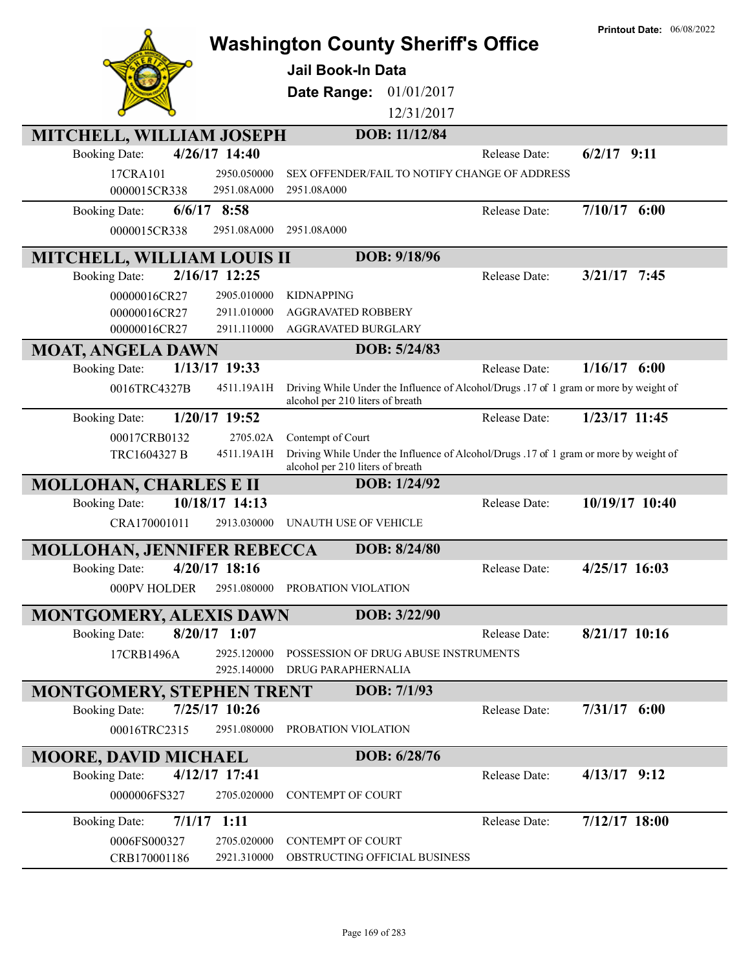|                                        |                                                                                                                           | <b>Printout Date: 06/08/2022</b>       |
|----------------------------------------|---------------------------------------------------------------------------------------------------------------------------|----------------------------------------|
|                                        | <b>Washington County Sheriff's Office</b>                                                                                 |                                        |
|                                        | Jail Book-In Data                                                                                                         |                                        |
|                                        | 01/01/2017<br>Date Range:                                                                                                 |                                        |
|                                        | 12/31/2017                                                                                                                |                                        |
|                                        |                                                                                                                           |                                        |
| MITCHELL, WILLIAM JOSEPH               | DOB: 11/12/84                                                                                                             |                                        |
| 4/26/17 14:40<br><b>Booking Date:</b>  |                                                                                                                           | $6/2/17$ 9:11<br>Release Date:         |
| 17CRA101<br>2950.050000                | SEX OFFENDER/FAIL TO NOTIFY CHANGE OF ADDRESS                                                                             |                                        |
| 0000015CR338<br>2951.08A000            | 2951.08A000                                                                                                               |                                        |
| $6/6/17$ 8:58<br><b>Booking Date:</b>  |                                                                                                                           | $7/10/17$ 6:00<br>Release Date:        |
| 0000015CR338<br>2951.08A000            | 2951.08A000                                                                                                               |                                        |
| <b>MITCHELL, WILLIAM LOUIS II</b>      | DOB: 9/18/96                                                                                                              |                                        |
| 2/16/17 12:25<br><b>Booking Date:</b>  |                                                                                                                           | $3/21/17$ 7:45<br>Release Date:        |
| 00000016CR27<br>2905.010000            | <b>KIDNAPPING</b>                                                                                                         |                                        |
| 00000016CR27<br>2911.010000            | <b>AGGRAVATED ROBBERY</b>                                                                                                 |                                        |
| 00000016CR27<br>2911.110000            | AGGRAVATED BURGLARY                                                                                                       |                                        |
| <b>MOAT, ANGELA DAWN</b>               | DOB: 5/24/83                                                                                                              |                                        |
| 1/13/17 19:33<br><b>Booking Date:</b>  |                                                                                                                           | $1/16/17$ 6:00<br><b>Release Date:</b> |
| 0016TRC4327B<br>4511.19A1H             | Driving While Under the Influence of Alcohol/Drugs .17 of 1 gram or more by weight of<br>alcohol per 210 liters of breath |                                        |
| 1/20/17 19:52<br><b>Booking Date:</b>  |                                                                                                                           | 1/23/17 11:45<br>Release Date:         |
| 2705.02A<br>00017CRB0132               | Contempt of Court                                                                                                         |                                        |
| TRC1604327 B<br>4511.19A1H             | Driving While Under the Influence of Alcohol/Drugs .17 of 1 gram or more by weight of<br>alcohol per 210 liters of breath |                                        |
| <b>MOLLOHAN, CHARLES E II</b>          | DOB: 1/24/92                                                                                                              |                                        |
| 10/18/17 14:13<br><b>Booking Date:</b> |                                                                                                                           | 10/19/17 10:40<br>Release Date:        |
| CRA170001011<br>2913.030000            | UNAUTH USE OF VEHICLE                                                                                                     |                                        |
| <b>MOLLOHAN, JENNIFER REBECCA</b>      | DOB: 8/24/80                                                                                                              |                                        |
| 4/20/17 18:16<br><b>Booking Date:</b>  |                                                                                                                           | 4/25/17 16:03<br>Release Date:         |
| 000PV HOLDER<br>2951.080000            | PROBATION VIOLATION                                                                                                       |                                        |
|                                        |                                                                                                                           |                                        |
| <b>MONTGOMERY, ALEXIS DAWN</b>         | DOB: 3/22/90                                                                                                              |                                        |
| $8/20/17$ 1:07<br><b>Booking Date:</b> |                                                                                                                           | $8/21/17$ 10:16<br>Release Date:       |
| 2925.120000<br>17CRB1496A              | POSSESSION OF DRUG ABUSE INSTRUMENTS                                                                                      |                                        |
| 2925.140000                            | DRUG PARAPHERNALIA                                                                                                        |                                        |
| <b>MONTGOMERY, STEPHEN TRENT</b>       | DOB: 7/1/93                                                                                                               |                                        |
| 7/25/17 10:26<br><b>Booking Date:</b>  |                                                                                                                           | $7/31/17$ 6:00<br>Release Date:        |
| 2951.080000<br>00016TRC2315            | PROBATION VIOLATION                                                                                                       |                                        |
| <b>MOORE, DAVID MICHAEL</b>            | DOB: 6/28/76                                                                                                              |                                        |
| 4/12/17 17:41<br><b>Booking Date:</b>  |                                                                                                                           | $4/13/17$ 9:12<br>Release Date:        |
| 0000006FS327<br>2705.020000            | <b>CONTEMPT OF COURT</b>                                                                                                  |                                        |
| $7/1/17$ 1:11<br><b>Booking Date:</b>  |                                                                                                                           | 7/12/17 18:00<br>Release Date:         |
| 0006FS000327<br>2705.020000            | <b>CONTEMPT OF COURT</b>                                                                                                  |                                        |
| 2921.310000<br>CRB170001186            | OBSTRUCTING OFFICIAL BUSINESS                                                                                             |                                        |
|                                        |                                                                                                                           |                                        |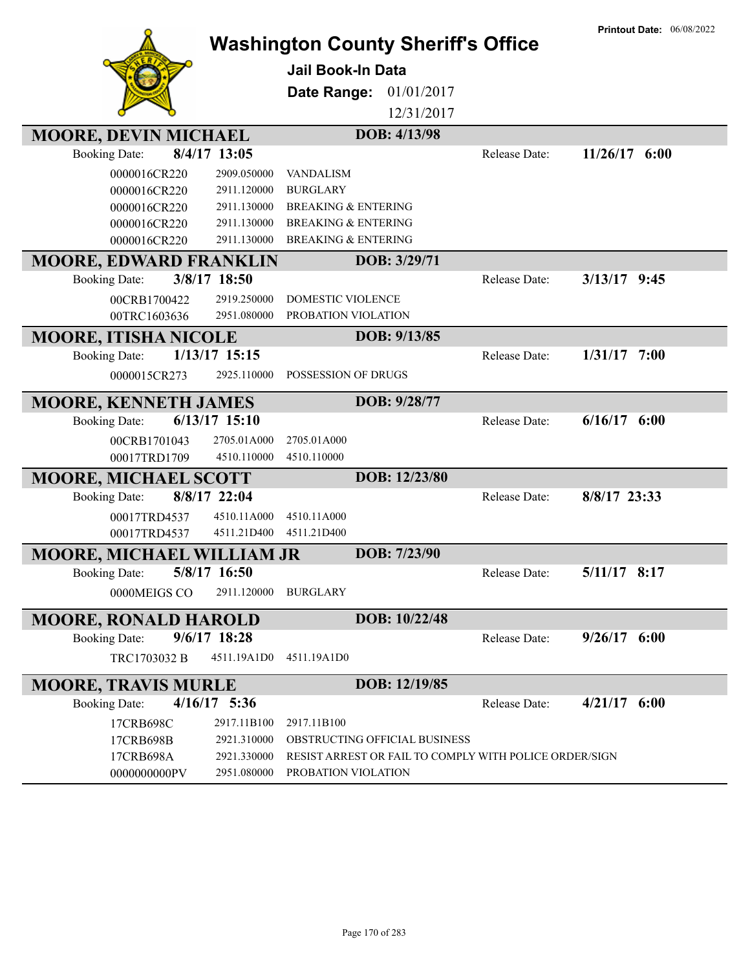|                                        |                 | <b>Washington County Sheriff's Office</b>              |               | <b>Printout Date: 06/08/2022</b> |
|----------------------------------------|-----------------|--------------------------------------------------------|---------------|----------------------------------|
|                                        |                 |                                                        |               |                                  |
|                                        |                 | <b>Jail Book-In Data</b>                               |               |                                  |
|                                        |                 | 01/01/2017<br>Date Range:                              |               |                                  |
|                                        |                 | 12/31/2017                                             |               |                                  |
| <b>MOORE, DEVIN MICHAEL</b>            |                 | DOB: 4/13/98                                           |               |                                  |
| 8/4/17 13:05<br><b>Booking Date:</b>   |                 |                                                        | Release Date: | $11/26/17$ 6:00                  |
| 0000016CR220                           | 2909.050000     | <b>VANDALISM</b>                                       |               |                                  |
| 0000016CR220                           | 2911.120000     | <b>BURGLARY</b>                                        |               |                                  |
| 0000016CR220                           | 2911.130000     | <b>BREAKING &amp; ENTERING</b>                         |               |                                  |
| 0000016CR220                           | 2911.130000     | <b>BREAKING &amp; ENTERING</b>                         |               |                                  |
| 0000016CR220                           | 2911.130000     | <b>BREAKING &amp; ENTERING</b>                         |               |                                  |
| <b>MOORE, EDWARD FRANKLIN</b>          |                 | DOB: 3/29/71                                           |               |                                  |
| 3/8/17 18:50<br><b>Booking Date:</b>   |                 |                                                        | Release Date: | $3/13/17$ 9:45                   |
| 00CRB1700422                           | 2919.250000     | DOMESTIC VIOLENCE                                      |               |                                  |
| 00TRC1603636                           | 2951.080000     | PROBATION VIOLATION                                    |               |                                  |
| <b>MOORE, ITISHA NICOLE</b>            |                 | DOB: 9/13/85                                           |               |                                  |
| <b>Booking Date:</b>                   | 1/13/17 15:15   |                                                        | Release Date: | $1/31/17$ 7:00                   |
| 0000015CR273                           | 2925.110000     | POSSESSION OF DRUGS                                    |               |                                  |
| <b>MOORE, KENNETH JAMES</b>            |                 | DOB: 9/28/77                                           |               |                                  |
| <b>Booking Date:</b>                   | $6/13/17$ 15:10 |                                                        | Release Date: | $6/16/17$ $6:00$                 |
| 00CRB1701043                           | 2705.01A000     | 2705.01A000                                            |               |                                  |
| 00017TRD1709                           | 4510.110000     | 4510.110000                                            |               |                                  |
| <b>MOORE, MICHAEL SCOTT</b>            |                 | DOB: 12/23/80                                          |               |                                  |
| 8/8/17 22:04<br><b>Booking Date:</b>   |                 |                                                        | Release Date: | 8/8/17 23:33                     |
| 00017TRD4537                           | 4510.11A000     | 4510.11A000                                            |               |                                  |
| 00017TRD4537                           | 4511.21D400     | 4511.21D400                                            |               |                                  |
| <b>MOORE, MICHAEL WILLIAM JR</b>       |                 | DOB: 7/23/90                                           |               |                                  |
| Booking Date: 5/8/17 16:50             |                 |                                                        | Release Date: | 5/11/17 8:17                     |
| 0000MEIGS CO                           | 2911.120000     | BURGLARY                                               |               |                                  |
| <b>MOORE, RONALD HAROLD</b>            |                 | DOB: 10/22/48                                          |               |                                  |
| $9/6/17$ 18:28<br><b>Booking Date:</b> |                 |                                                        | Release Date: | $9/26/17$ 6:00                   |
| TRC1703032 B                           | 4511.19A1D0     | 4511.19A1D0                                            |               |                                  |
|                                        |                 |                                                        |               |                                  |
| <b>MOORE, TRAVIS MURLE</b>             |                 | DOB: 12/19/85                                          |               |                                  |
| $4/16/17$ 5:36<br><b>Booking Date:</b> |                 |                                                        | Release Date: | $4/21/17$ 6:00                   |
| 17CRB698C                              | 2917.11B100     | 2917.11B100                                            |               |                                  |
| 17CRB698B                              | 2921.310000     | OBSTRUCTING OFFICIAL BUSINESS                          |               |                                  |
| 17CRB698A                              | 2921.330000     | RESIST ARREST OR FAIL TO COMPLY WITH POLICE ORDER/SIGN |               |                                  |
| 0000000000PV                           | 2951.080000     | PROBATION VIOLATION                                    |               |                                  |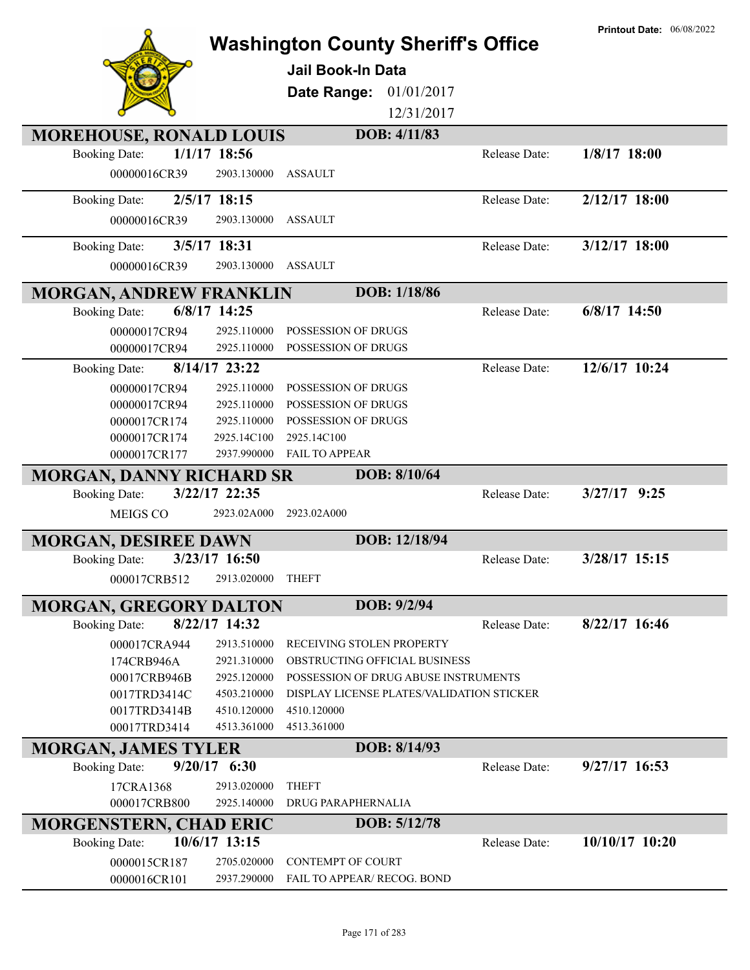|                                   |                |                                           |               | <b>Printout Date: 06/08/2022</b> |
|-----------------------------------|----------------|-------------------------------------------|---------------|----------------------------------|
|                                   |                | <b>Washington County Sheriff's Office</b> |               |                                  |
|                                   |                | <b>Jail Book-In Data</b>                  |               |                                  |
|                                   |                | 01/01/2017<br>Date Range:                 |               |                                  |
|                                   |                | 12/31/2017                                |               |                                  |
| <b>MOREHOUSE, RONALD LOUIS</b>    |                | DOB: 4/11/83                              |               |                                  |
| <b>Booking Date:</b>              | $1/1/17$ 18:56 |                                           | Release Date: | 1/8/17 18:00                     |
| 00000016CR39                      | 2903.130000    | <b>ASSAULT</b>                            |               |                                  |
| <b>Booking Date:</b>              | 2/5/17 18:15   |                                           | Release Date: | $2/12/17$ 18:00                  |
| 00000016CR39                      | 2903.130000    | <b>ASSAULT</b>                            |               |                                  |
| <b>Booking Date:</b>              | 3/5/17 18:31   |                                           | Release Date: | 3/12/17 18:00                    |
| 00000016CR39                      | 2903.130000    | <b>ASSAULT</b>                            |               |                                  |
|                                   |                |                                           |               |                                  |
| <b>MORGAN, ANDREW FRANKLIN</b>    | 6/8/17 14:25   | DOB: 1/18/86                              |               | 6/8/17 14:50                     |
| <b>Booking Date:</b>              | 2925.110000    | POSSESSION OF DRUGS                       | Release Date: |                                  |
| 00000017CR94<br>00000017CR94      | 2925.110000    | POSSESSION OF DRUGS                       |               |                                  |
| <b>Booking Date:</b>              | 8/14/17 23:22  |                                           | Release Date: | 12/6/17 10:24                    |
| 00000017CR94                      | 2925.110000    | POSSESSION OF DRUGS                       |               |                                  |
| 00000017CR94                      | 2925.110000    | POSSESSION OF DRUGS                       |               |                                  |
| 0000017CR174                      | 2925.110000    | POSSESSION OF DRUGS                       |               |                                  |
| 0000017CR174                      | 2925.14C100    | 2925.14C100                               |               |                                  |
| 0000017CR177                      | 2937.990000    | FAIL TO APPEAR                            |               |                                  |
| <b>MORGAN, DANNY RICHARD SR</b>   |                | DOB: 8/10/64                              |               |                                  |
| <b>Booking Date:</b>              | 3/22/17 22:35  |                                           | Release Date: | $3/27/17$ 9:25                   |
| MEIGS CO                          | 2923.02A000    | 2923.02A000                               |               |                                  |
| <b>MORGAN, DESIREE DAWN</b>       |                | DOB: 12/18/94                             |               |                                  |
| <b>Booking Date:</b>              | 3/23/17 16:50  |                                           | Release Date: | 3/28/17 15:15                    |
| 000017CRB512                      | 2913.020000    | <b>THEFT</b>                              |               |                                  |
| <b>MORGAN, GREGORY DALTON</b>     |                | DOB: 9/2/94                               |               |                                  |
| <b>Booking Date:</b>              | 8/22/17 14:32  |                                           | Release Date: | $8/22/17$ 16:46                  |
| 000017CRA944                      | 2913.510000    | RECEIVING STOLEN PROPERTY                 |               |                                  |
| 174CRB946A                        | 2921.310000    | OBSTRUCTING OFFICIAL BUSINESS             |               |                                  |
| 00017CRB946B                      | 2925.120000    | POSSESSION OF DRUG ABUSE INSTRUMENTS      |               |                                  |
| 0017TRD3414C                      | 4503.210000    | DISPLAY LICENSE PLATES/VALIDATION STICKER |               |                                  |
| 0017TRD3414B                      | 4510.120000    | 4510.120000                               |               |                                  |
| 00017TRD3414                      | 4513.361000    | 4513.361000                               |               |                                  |
| <b>MORGAN, JAMES TYLER</b>        | $9/20/17$ 6:30 | DOB: 8/14/93                              | Release Date: | $9/27/17$ 16:53                  |
| <b>Booking Date:</b><br>17CRA1368 | 2913.020000    | <b>THEFT</b>                              |               |                                  |
| 000017CRB800                      | 2925.140000    | DRUG PARAPHERNALIA                        |               |                                  |
| <b>MORGENSTERN, CHAD ERIC</b>     |                | DOB: 5/12/78                              |               |                                  |
| <b>Booking Date:</b>              | 10/6/17 13:15  |                                           | Release Date: | 10/10/17 10:20                   |
| 0000015CR187                      | 2705.020000    | <b>CONTEMPT OF COURT</b>                  |               |                                  |
| 0000016CR101                      | 2937.290000    | FAIL TO APPEAR/ RECOG. BOND               |               |                                  |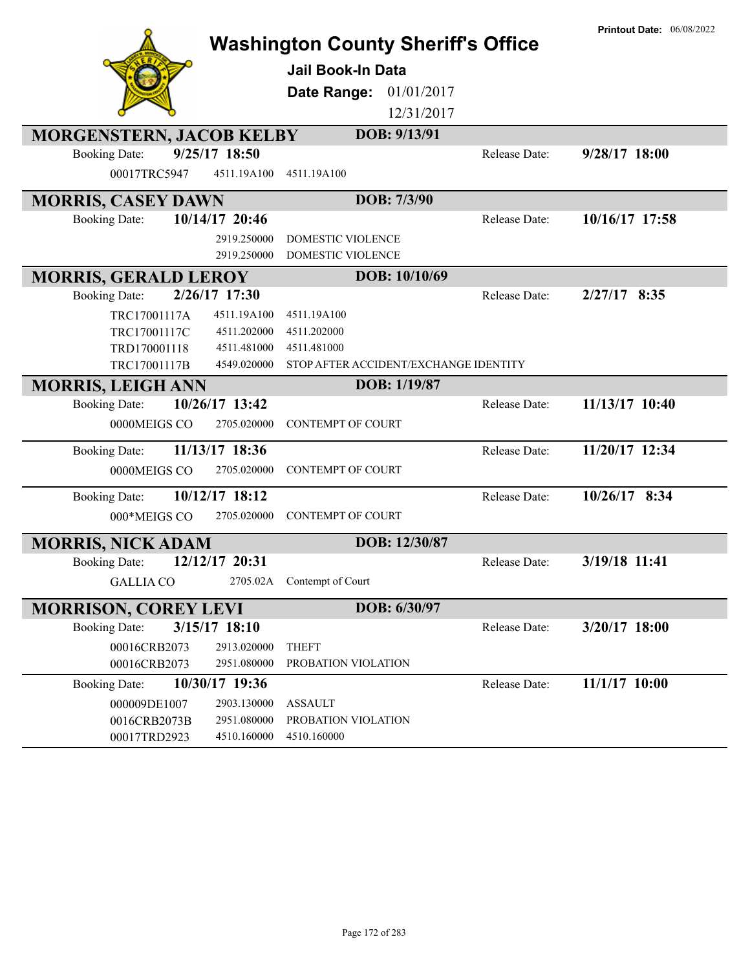|                                 |                 |                                       | <b>Washington County Sheriff's Office</b> | <b>Printout Date: 06/08/2022</b> |
|---------------------------------|-----------------|---------------------------------------|-------------------------------------------|----------------------------------|
|                                 |                 | <b>Jail Book-In Data</b>              |                                           |                                  |
|                                 |                 |                                       |                                           |                                  |
|                                 |                 | Date Range: 01/01/2017                |                                           |                                  |
|                                 |                 |                                       | 12/31/2017                                |                                  |
| <b>MORGENSTERN, JACOB KELBY</b> |                 | DOB: 9/13/91                          |                                           |                                  |
| <b>Booking Date:</b>            | 9/25/17 18:50   |                                       | Release Date:                             | 9/28/17 18:00                    |
| 00017TRC5947                    | 4511.19A100     | 4511.19A100                           |                                           |                                  |
| <b>MORRIS, CASEY DAWN</b>       |                 | DOB: 7/3/90                           |                                           |                                  |
| <b>Booking Date:</b>            | 10/14/17 20:46  |                                       | Release Date:                             | 10/16/17 17:58                   |
|                                 | 2919.250000     | <b>DOMESTIC VIOLENCE</b>              |                                           |                                  |
|                                 | 2919.250000     | DOMESTIC VIOLENCE                     |                                           |                                  |
| <b>MORRIS, GERALD LEROY</b>     |                 | DOB: 10/10/69                         |                                           |                                  |
| <b>Booking Date:</b>            | 2/26/17 17:30   |                                       | Release Date:                             | $2/27/17$ 8:35                   |
| TRC17001117A                    | 4511.19A100     | 4511.19A100                           |                                           |                                  |
| TRC17001117C                    | 4511.202000     | 4511.202000                           |                                           |                                  |
| TRD170001118                    | 4511.481000     | 4511.481000                           |                                           |                                  |
| TRC17001117B                    | 4549.020000     | STOP AFTER ACCIDENT/EXCHANGE IDENTITY |                                           |                                  |
| <b>MORRIS, LEIGH ANN</b>        |                 | DOB: 1/19/87                          |                                           |                                  |
| <b>Booking Date:</b>            | 10/26/17 13:42  |                                       | Release Date:                             | 11/13/17 10:40                   |
| 0000MEIGS CO                    | 2705.020000     | <b>CONTEMPT OF COURT</b>              |                                           |                                  |
| <b>Booking Date:</b>            | 11/13/17 18:36  |                                       | Release Date:                             | 11/20/17 12:34                   |
| 0000MEIGS CO                    | 2705.020000     | <b>CONTEMPT OF COURT</b>              |                                           |                                  |
| <b>Booking Date:</b>            | 10/12/17 18:12  |                                       | Release Date:                             | 10/26/17 8:34                    |
| 000*MEIGS CO                    | 2705.020000     | <b>CONTEMPT OF COURT</b>              |                                           |                                  |
| <b>MORRIS, NICK ADAM</b>        |                 | DOB: 12/30/87                         |                                           |                                  |
| <b>Booking Date:</b>            | 12/12/17 20:31  |                                       | Release Date:                             | 3/19/18 11:41                    |
| <b>GALLIA CO</b>                |                 | 2705.02A Contempt of Court            |                                           |                                  |
| <b>MORRISON, COREY LEVI</b>     |                 | DOB: 6/30/97                          |                                           |                                  |
| <b>Booking Date:</b>            | $3/15/17$ 18:10 |                                       | Release Date:                             | 3/20/17 18:00                    |
| 00016CRB2073                    | 2913.020000     | <b>THEFT</b>                          |                                           |                                  |
| 00016CRB2073                    | 2951.080000     | PROBATION VIOLATION                   |                                           |                                  |
| <b>Booking Date:</b>            | 10/30/17 19:36  |                                       | Release Date:                             | 11/1/17 10:00                    |
| 000009DE1007                    | 2903.130000     | <b>ASSAULT</b>                        |                                           |                                  |
| 0016CRB2073B                    | 2951.080000     | PROBATION VIOLATION                   |                                           |                                  |
| 00017TRD2923                    | 4510.160000     | 4510.160000                           |                                           |                                  |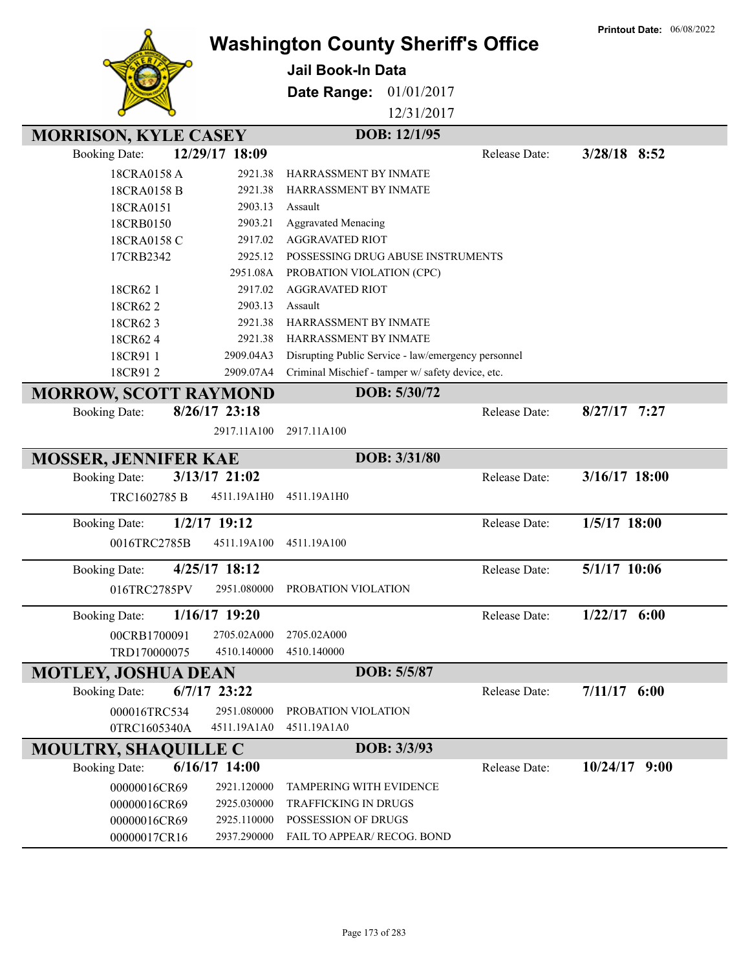|                              |                 |                                                     |               | <b>Printout Date: 06/08/2022</b> |
|------------------------------|-----------------|-----------------------------------------------------|---------------|----------------------------------|
|                              |                 | <b>Washington County Sheriff's Office</b>           |               |                                  |
|                              |                 | <b>Jail Book-In Data</b>                            |               |                                  |
|                              |                 |                                                     |               |                                  |
|                              |                 | Date Range:<br>01/01/2017                           |               |                                  |
|                              |                 | 12/31/2017                                          |               |                                  |
| <b>MORRISON, KYLE CASEY</b>  |                 | DOB: 12/1/95                                        |               |                                  |
| <b>Booking Date:</b>         | 12/29/17 18:09  |                                                     | Release Date: | $3/28/18$ 8:52                   |
| 18CRA0158 A                  | 2921.38         | HARRASSMENT BY INMATE                               |               |                                  |
| 18CRA0158 B                  | 2921.38         | HARRASSMENT BY INMATE                               |               |                                  |
| 18CRA0151                    | 2903.13         | Assault                                             |               |                                  |
| 18CRB0150                    | 2903.21         | <b>Aggravated Menacing</b>                          |               |                                  |
| 18CRA0158 C                  | 2917.02         | <b>AGGRAVATED RIOT</b>                              |               |                                  |
| 17CRB2342                    | 2925.12         | POSSESSING DRUG ABUSE INSTRUMENTS                   |               |                                  |
|                              | 2951.08A        | PROBATION VIOLATION (CPC)                           |               |                                  |
| 18CR62 1                     | 2917.02         | <b>AGGRAVATED RIOT</b>                              |               |                                  |
| 18CR622                      | 2903.13         | Assault                                             |               |                                  |
| 18CR623                      | 2921.38         | HARRASSMENT BY INMATE                               |               |                                  |
| 18CR624                      | 2921.38         | HARRASSMENT BY INMATE                               |               |                                  |
| 18CR911                      | 2909.04A3       | Disrupting Public Service - law/emergency personnel |               |                                  |
| 18CR912                      | 2909.07A4       | Criminal Mischief - tamper w/ safety device, etc.   |               |                                  |
| <b>MORROW, SCOTT RAYMOND</b> |                 | DOB: 5/30/72                                        |               |                                  |
| <b>Booking Date:</b>         | $8/26/17$ 23:18 |                                                     | Release Date: | $8/27/17$ 7:27                   |
|                              | 2917.11A100     | 2917.11A100                                         |               |                                  |
|                              |                 |                                                     |               |                                  |
| <b>MOSSER, JENNIFER KAE</b>  |                 | DOB: 3/31/80                                        |               |                                  |
| <b>Booking Date:</b>         | 3/13/17 21:02   |                                                     | Release Date: | 3/16/17 18:00                    |
| TRC1602785 B                 | 4511.19A1H0     | 4511.19A1H0                                         |               |                                  |
|                              |                 |                                                     |               |                                  |
| <b>Booking Date:</b>         | $1/2/17$ 19:12  |                                                     | Release Date: | 1/5/17 18:00                     |
| 0016TRC2785B                 | 4511.19A100     | 4511.19A100                                         |               |                                  |
| <b>Booking Date:</b>         | $4/25/17$ 18:12 |                                                     | Release Date: | 5/1/17 10:06                     |
| 016TRC2785PV                 | 2951.080000     | PROBATION VIOLATION                                 |               |                                  |
|                              |                 |                                                     |               |                                  |
| <b>Booking Date:</b>         | 1/16/17 19:20   |                                                     | Release Date: | $1/22/17$ 6:00                   |
| 00CRB1700091                 | 2705.02A000     | 2705.02A000                                         |               |                                  |
| TRD170000075                 | 4510.140000     | 4510.140000                                         |               |                                  |
| <b>MOTLEY, JOSHUA DEAN</b>   |                 | DOB: 5/5/87                                         |               |                                  |
| <b>Booking Date:</b>         | $6/7/17$ 23:22  |                                                     | Release Date: | $7/11/17$ 6:00                   |
| 000016TRC534                 | 2951.080000     | PROBATION VIOLATION                                 |               |                                  |
| 0TRC1605340A                 | 4511.19A1A0     | 4511.19A1A0                                         |               |                                  |
| <b>MOULTRY, SHAQUILLE C</b>  |                 | DOB: 3/3/93                                         |               |                                  |
| <b>Booking Date:</b>         | 6/16/17 14:00   |                                                     | Release Date: | $10/24/17$ 9:00                  |
|                              |                 |                                                     |               |                                  |
| 00000016CR69                 | 2921.120000     | TAMPERING WITH EVIDENCE                             |               |                                  |
| 00000016CR69                 | 2925.030000     | <b>TRAFFICKING IN DRUGS</b>                         |               |                                  |
| 00000016CR69                 | 2925.110000     | POSSESSION OF DRUGS                                 |               |                                  |
| 00000017CR16                 | 2937.290000     | FAIL TO APPEAR/ RECOG. BOND                         |               |                                  |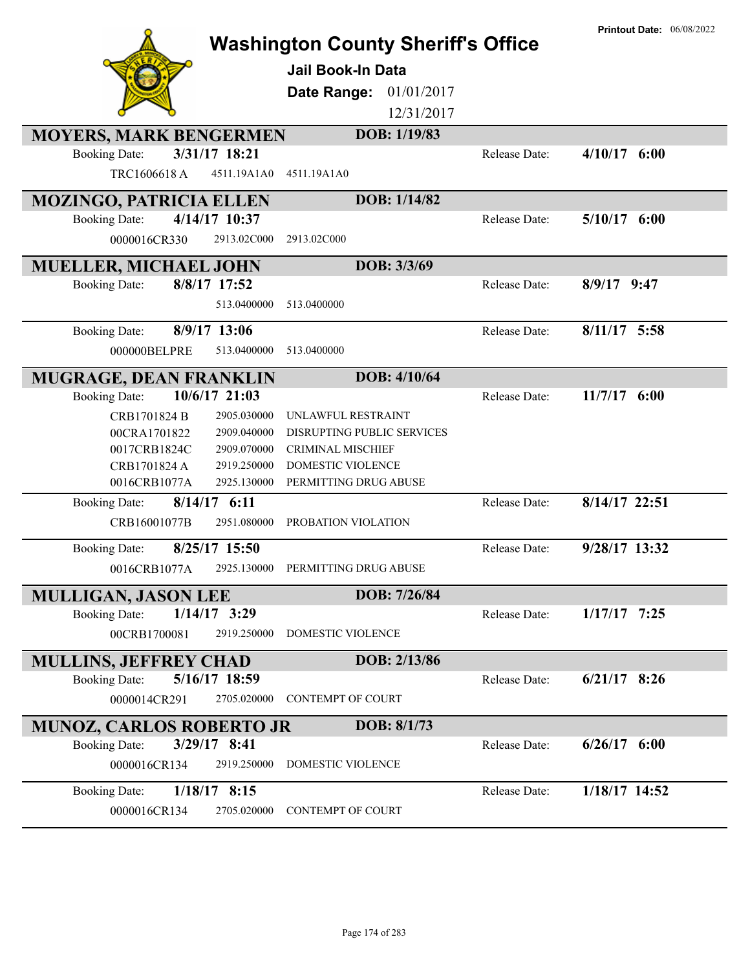|                                                                      | <b>Washington County Sheriff's Office</b><br><b>Jail Book-In Data</b><br>Date Range:<br>01/01/2017<br>12/31/2017 |               | <b>Printout Date: 06/08/2022</b> |
|----------------------------------------------------------------------|------------------------------------------------------------------------------------------------------------------|---------------|----------------------------------|
| <b>MOYERS, MARK BENGERMEN</b>                                        | DOB: 1/19/83                                                                                                     |               |                                  |
| 3/31/17 18:21<br><b>Booking Date:</b>                                |                                                                                                                  | Release Date: | $4/10/17$ 6:00                   |
| TRC1606618 A<br>4511.19A1A0                                          | 4511.19A1A0                                                                                                      |               |                                  |
| <b>MOZINGO, PATRICIA ELLEN</b>                                       | DOB: 1/14/82                                                                                                     |               |                                  |
| 4/14/17 10:37<br><b>Booking Date:</b>                                |                                                                                                                  | Release Date: | $5/10/17$ 6:00                   |
| 2913.02C000<br>0000016CR330                                          | 2913.02C000                                                                                                      |               |                                  |
| <b>MUELLER, MICHAEL JOHN</b>                                         | DOB: 3/3/69                                                                                                      |               |                                  |
| 8/8/17 17:52<br><b>Booking Date:</b>                                 |                                                                                                                  | Release Date: | $8/9/17$ 9:47                    |
| 513.0400000                                                          | 513.0400000                                                                                                      |               |                                  |
|                                                                      |                                                                                                                  |               |                                  |
| 8/9/17 13:06<br><b>Booking Date:</b>                                 |                                                                                                                  | Release Date: | $8/11/17$ 5:58                   |
| 000000BELPRE<br>513.0400000                                          | 513.0400000                                                                                                      |               |                                  |
| <b>MUGRAGE, DEAN FRANKLIN</b>                                        | DOB: 4/10/64                                                                                                     |               |                                  |
| 10/6/17 21:03<br><b>Booking Date:</b>                                |                                                                                                                  | Release Date: | $11/7/17$ 6:00                   |
| CRB1701824 B<br>2905.030000                                          | UNLAWFUL RESTRAINT                                                                                               |               |                                  |
| 00CRA1701822<br>2909.040000                                          | DISRUPTING PUBLIC SERVICES                                                                                       |               |                                  |
| 0017CRB1824C<br>2909.070000                                          | <b>CRIMINAL MISCHIEF</b>                                                                                         |               |                                  |
| CRB1701824 A<br>2919.250000                                          | DOMESTIC VIOLENCE                                                                                                |               |                                  |
| 0016CRB1077A<br>2925.130000                                          | PERMITTING DRUG ABUSE                                                                                            |               |                                  |
| $8/14/17$ 6:11<br><b>Booking Date:</b>                               |                                                                                                                  | Release Date: | 8/14/17 22:51                    |
| CRB16001077B<br>2951.080000                                          | PROBATION VIOLATION                                                                                              |               |                                  |
| 8/25/17 15:50<br><b>Booking Date:</b>                                |                                                                                                                  | Release Date: | 9/28/17 13:32                    |
| 2925.130000<br>0016CRB1077A                                          | PERMITTING DRUG ABUSE                                                                                            |               |                                  |
|                                                                      | DOB: 7/26/84                                                                                                     |               |                                  |
| <b>MULLIGAN, JASON LEE</b><br><b>Booking Date:</b><br>$1/14/17$ 3:29 |                                                                                                                  | Release Date: | $1/17/17$ 7:25                   |
| 00CRB1700081<br>2919.250000                                          | DOMESTIC VIOLENCE                                                                                                |               |                                  |
|                                                                      |                                                                                                                  |               |                                  |
| <b>MULLINS, JEFFREY CHAD</b>                                         | DOB: 2/13/86                                                                                                     |               |                                  |
| 5/16/17 18:59<br><b>Booking Date:</b>                                |                                                                                                                  | Release Date: | $6/21/17$ 8:26                   |
| 0000014CR291<br>2705.020000                                          | <b>CONTEMPT OF COURT</b>                                                                                         |               |                                  |
| <b>MUNOZ, CARLOS ROBERTO JR</b>                                      | DOB: 8/1/73                                                                                                      |               |                                  |
| 3/29/17 8:41<br><b>Booking Date:</b>                                 |                                                                                                                  | Release Date: | $6/26/17$ $6:00$                 |
| 2919.250000<br>0000016CR134                                          | DOMESTIC VIOLENCE                                                                                                |               |                                  |
| $1/18/17$ 8:15<br><b>Booking Date:</b>                               |                                                                                                                  | Release Date: | 1/18/17 14:52                    |
| 0000016CR134<br>2705.020000                                          | <b>CONTEMPT OF COURT</b>                                                                                         |               |                                  |
|                                                                      |                                                                                                                  |               |                                  |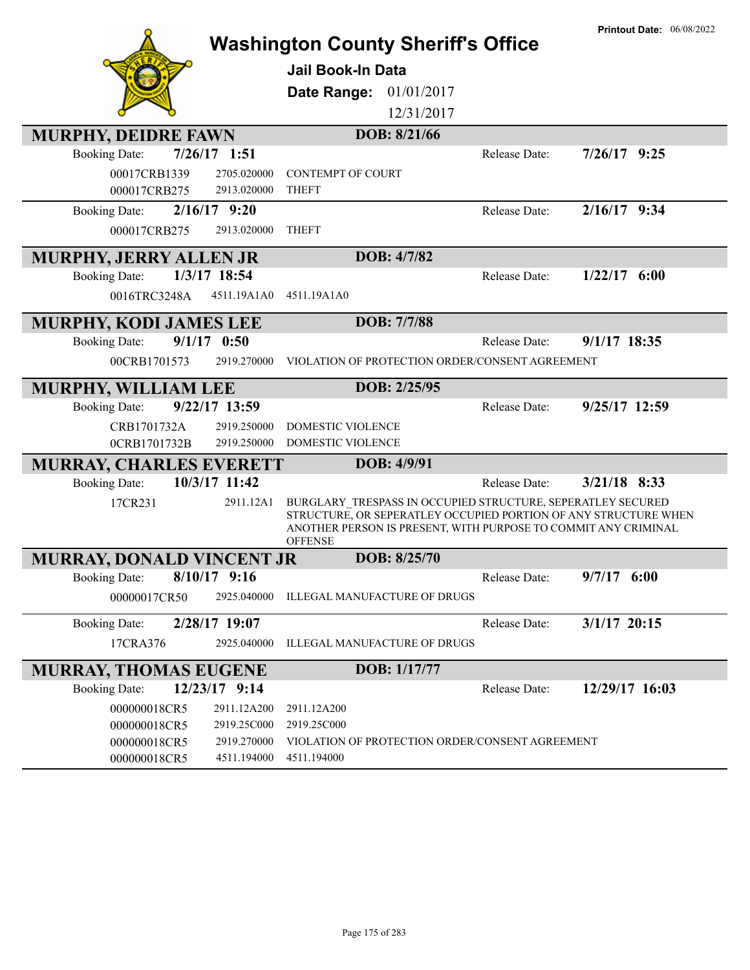|                                        | <b>Washington County Sheriff's Office</b>                                                                                                                                                                          | <b>Printout Date: 06/08/2022</b> |
|----------------------------------------|--------------------------------------------------------------------------------------------------------------------------------------------------------------------------------------------------------------------|----------------------------------|
|                                        | <b>Jail Book-In Data</b>                                                                                                                                                                                           |                                  |
|                                        | Date Range: 01/01/2017                                                                                                                                                                                             |                                  |
|                                        | 12/31/2017                                                                                                                                                                                                         |                                  |
| <b>MURPHY, DEIDRE FAWN</b>             | DOB: 8/21/66                                                                                                                                                                                                       |                                  |
| $7/26/17$ 1:51<br><b>Booking Date:</b> | Release Date:                                                                                                                                                                                                      | $7/26/17$ 9:25                   |
| 00017CRB1339<br>2705.020000            | <b>CONTEMPT OF COURT</b>                                                                                                                                                                                           |                                  |
| 000017CRB275<br>2913.020000            | <b>THEFT</b>                                                                                                                                                                                                       |                                  |
| $2/16/17$ 9:20<br><b>Booking Date:</b> | Release Date:                                                                                                                                                                                                      | $2/16/17$ 9:34                   |
| 000017CRB275<br>2913.020000            | <b>THEFT</b>                                                                                                                                                                                                       |                                  |
| <b>MURPHY, JERRY ALLEN JR</b>          | DOB: 4/7/82                                                                                                                                                                                                        |                                  |
| 1/3/17 18:54<br><b>Booking Date:</b>   | Release Date:                                                                                                                                                                                                      | $1/22/17$ 6:00                   |
| 0016TRC3248A<br>4511.19A1A0            | 4511.19A1A0                                                                                                                                                                                                        |                                  |
| <b>MURPHY, KODI JAMES LEE</b>          | DOB: 7/7/88                                                                                                                                                                                                        |                                  |
| $9/1/17$ 0:50<br><b>Booking Date:</b>  | Release Date:                                                                                                                                                                                                      | $9/1/17$ 18:35                   |
| 2919.270000<br>00CRB1701573            | VIOLATION OF PROTECTION ORDER/CONSENT AGREEMENT                                                                                                                                                                    |                                  |
| MURPHY, WILLIAM LEE                    | DOB: 2/25/95                                                                                                                                                                                                       |                                  |
| 9/22/17 13:59<br><b>Booking Date:</b>  | Release Date:                                                                                                                                                                                                      | $9/25/17$ 12:59                  |
| 2919.250000<br>CRB1701732A             | DOMESTIC VIOLENCE                                                                                                                                                                                                  |                                  |
| 2919.250000<br>0CRB1701732B            | DOMESTIC VIOLENCE                                                                                                                                                                                                  |                                  |
| <b>MURRAY, CHARLES EVERETT</b>         | DOB: 4/9/91                                                                                                                                                                                                        |                                  |
| 10/3/17 11:42<br><b>Booking Date:</b>  | Release Date:                                                                                                                                                                                                      | $3/21/18$ 8:33                   |
| 17CR231<br>2911.12A1                   | BURGLARY TRESPASS IN OCCUPIED STRUCTURE, SEPERATLEY SECURED<br>STRUCTURE, OR SEPERATLEY OCCUPIED PORTION OF ANY STRUCTURE WHEN<br>ANOTHER PERSON IS PRESENT, WITH PURPOSE TO COMMIT ANY CRIMINAL<br><b>OFFENSE</b> |                                  |
| <b>MURRAY, DONALD VINCENT JR</b>       | DOB: 8/25/70                                                                                                                                                                                                       |                                  |
| <b>Booking Date:</b><br>$8/10/17$ 9:16 | Release Date:                                                                                                                                                                                                      | $9/7/17$ 6:00                    |
| 00000017CR50<br>2925.040000            | ILLEGAL MANUFACTURE OF DRUGS                                                                                                                                                                                       |                                  |
| 2/28/17 19:07<br><b>Booking Date:</b>  | Release Date:                                                                                                                                                                                                      | $3/1/17$ 20:15                   |
| 2925.040000<br>17CRA376                | ILLEGAL MANUFACTURE OF DRUGS                                                                                                                                                                                       |                                  |
| <b>MURRAY, THOMAS EUGENE</b>           | DOB: 1/17/77                                                                                                                                                                                                       |                                  |
| 12/23/17 9:14<br><b>Booking Date:</b>  | Release Date:                                                                                                                                                                                                      | 12/29/17 16:03                   |
| 000000018CR5<br>2911.12A200            | 2911.12A200                                                                                                                                                                                                        |                                  |
| 2919.25C000<br>000000018CR5            | 2919.25C000                                                                                                                                                                                                        |                                  |
| 000000018CR5<br>2919.270000            | VIOLATION OF PROTECTION ORDER/CONSENT AGREEMENT                                                                                                                                                                    |                                  |
| 000000018CR5<br>4511.194000            | 4511.194000                                                                                                                                                                                                        |                                  |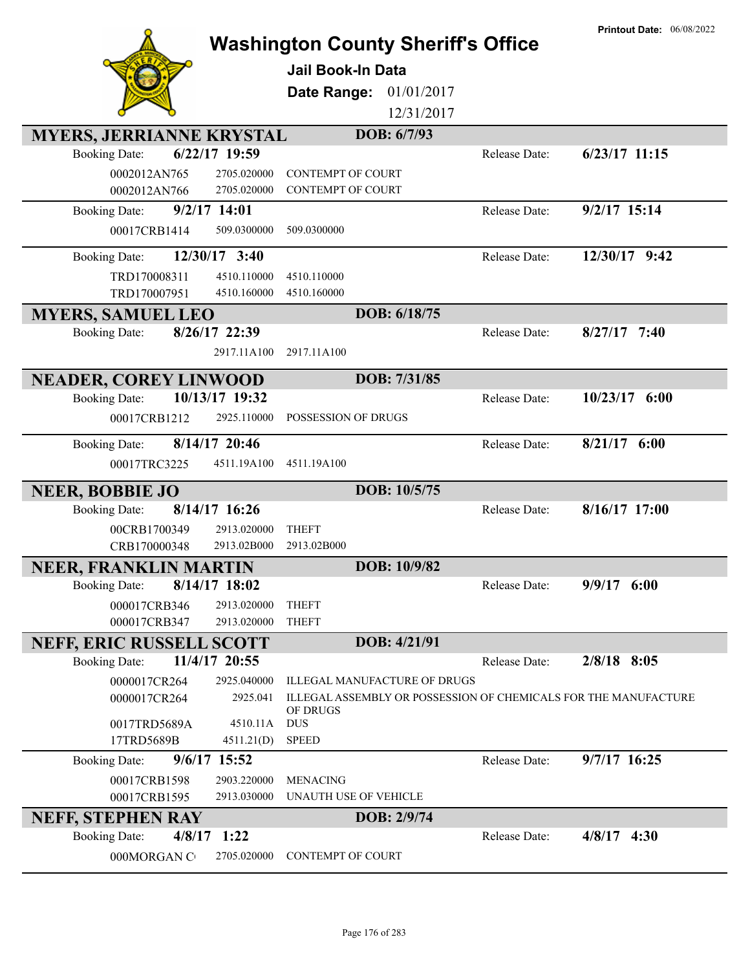|                                                                          | <b>Washington County Sheriff's Office</b>                       |               | <b>Printout Date: 06/08/2022</b> |
|--------------------------------------------------------------------------|-----------------------------------------------------------------|---------------|----------------------------------|
|                                                                          | <b>Jail Book-In Data</b>                                        |               |                                  |
|                                                                          | Date Range:<br>01/01/2017                                       |               |                                  |
|                                                                          | 12/31/2017                                                      |               |                                  |
|                                                                          | DOB: 6/7/93                                                     |               |                                  |
| <b>MYERS, JERRIANNE KRYSTAL</b><br>6/22/17 19:59<br><b>Booking Date:</b> |                                                                 | Release Date: | $6/23/17$ 11:15                  |
| 0002012AN765<br>2705.020000                                              | <b>CONTEMPT OF COURT</b>                                        |               |                                  |
| 0002012AN766<br>2705.020000                                              | <b>CONTEMPT OF COURT</b>                                        |               |                                  |
| 9/2/17 14:01<br><b>Booking Date:</b>                                     |                                                                 | Release Date: | $9/2/17$ 15:14                   |
| 00017CRB1414<br>509.0300000                                              | 509.0300000                                                     |               |                                  |
| 12/30/17 3:40<br><b>Booking Date:</b>                                    |                                                                 | Release Date: | 12/30/17 9:42                    |
| TRD170008311<br>4510.110000                                              | 4510.110000                                                     |               |                                  |
| TRD170007951<br>4510.160000                                              | 4510.160000                                                     |               |                                  |
| <b>MYERS, SAMUEL LEO</b>                                                 | DOB: 6/18/75                                                    |               |                                  |
| 8/26/17 22:39<br><b>Booking Date:</b>                                    |                                                                 | Release Date: | $8/27/17$ 7:40                   |
| 2917.11A100                                                              | 2917.11A100                                                     |               |                                  |
| <b>NEADER, COREY LINWOOD</b>                                             | DOB: 7/31/85                                                    |               |                                  |
| 10/13/17 19:32<br><b>Booking Date:</b>                                   |                                                                 | Release Date: | $10/23/17$ 6:00                  |
| 00017CRB1212<br>2925.110000                                              | POSSESSION OF DRUGS                                             |               |                                  |
| 8/14/17 20:46<br><b>Booking Date:</b>                                    |                                                                 | Release Date: | $8/21/17$ 6:00                   |
| 00017TRC3225<br>4511.19A100                                              | 4511.19A100                                                     |               |                                  |
| <b>NEER, BOBBIE JO</b>                                                   | DOB: 10/5/75                                                    |               |                                  |
| $8/14/17$ 16:26<br><b>Booking Date:</b>                                  |                                                                 | Release Date: | 8/16/17 17:00                    |
| 00CRB1700349<br>2913.020000                                              | <b>THEFT</b>                                                    |               |                                  |
| CRB170000348<br>2913.02B000                                              | 2913.02B000                                                     |               |                                  |
| <b>NEER, FRANKLIN MARTIN</b>                                             | DOB: 10/9/82                                                    |               |                                  |
| $8/14/17$ 18:02<br><b>Booking Date:</b>                                  |                                                                 | Release Date: | 9/9/17<br>6:00                   |
| 000017CRB346<br>2913.020000<br>000017CRB347<br>2913.020000               | <b>THEFT</b><br><b>THEFT</b>                                    |               |                                  |
|                                                                          | DOB: 4/21/91                                                    |               |                                  |
| <b>NEFF, ERIC RUSSELL SCOTT</b><br>11/4/17 20:55<br><b>Booking Date:</b> |                                                                 | Release Date: | $2/8/18$ 8:05                    |
| 0000017CR264<br>2925.040000                                              | ILLEGAL MANUFACTURE OF DRUGS                                    |               |                                  |
| 0000017CR264<br>2925.041                                                 | ILLEGAL ASSEMBLY OR POSSESSION OF CHEMICALS FOR THE MANUFACTURE |               |                                  |
| 4510.11A                                                                 | OF DRUGS<br><b>DUS</b>                                          |               |                                  |
| 0017TRD5689A<br>17TRD5689B<br>4511.21(D)                                 | <b>SPEED</b>                                                    |               |                                  |
| 9/6/17 15:52<br><b>Booking Date:</b>                                     |                                                                 | Release Date: | 9/7/17 16:25                     |
| 00017CRB1598<br>2903.220000                                              | <b>MENACING</b>                                                 |               |                                  |
| 00017CRB1595<br>2913.030000                                              | UNAUTH USE OF VEHICLE                                           |               |                                  |
| <b>NEFF, STEPHEN RAY</b>                                                 | DOB: 2/9/74                                                     |               |                                  |
| <b>Booking Date:</b><br>4/8/17<br>1:22                                   |                                                                 | Release Date: | $4/8/17$ 4:30                    |
| 000MORGAN C<br>2705.020000                                               | CONTEMPT OF COURT                                               |               |                                  |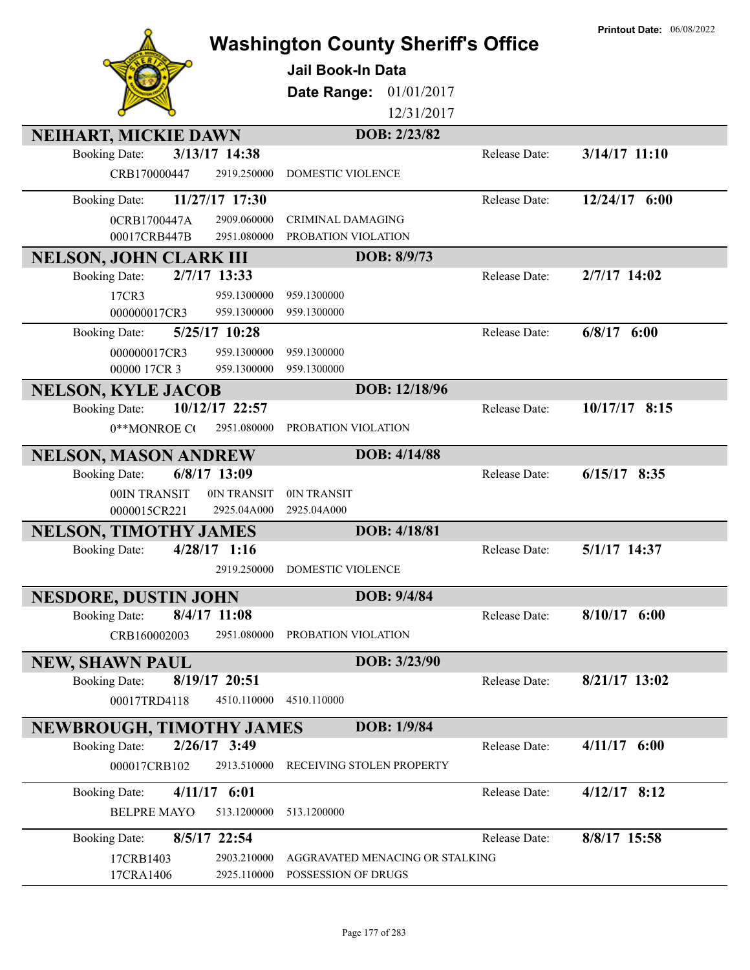| 01/01/2017<br>Date Range:<br>12/31/2017<br>DOB: 2/23/82<br><b>NEIHART, MICKIE DAWN</b><br>3/13/17 14:38<br>$3/14/17$ 11:10<br><b>Booking Date:</b><br>Release Date:<br>CRB170000447<br>2919.250000<br><b>DOMESTIC VIOLENCE</b><br>11/27/17 17:30<br>12/24/17 6:00<br>Release Date:<br><b>Booking Date:</b><br>CRIMINAL DAMAGING<br>0CRB1700447A<br>2909.060000<br>00017CRB447B<br>2951.080000<br>PROBATION VIOLATION<br>DOB: 8/9/73<br><b>NELSON, JOHN CLARK III</b><br>2/7/17 13:33<br>Release Date:<br>2/7/17 14:02<br><b>Booking Date:</b><br>17CR3<br>959.1300000<br>959.1300000<br>959.1300000<br>000000017CR3<br>959.1300000<br>$6/8/17$ $6:00$<br>5/25/17 10:28<br>Release Date:<br><b>Booking Date:</b><br>000000017CR3<br>959.1300000<br>959.1300000<br>00000 17CR 3<br>959.1300000<br>959.1300000<br>DOB: 12/18/96<br><b>NELSON, KYLE JACOB</b><br>10/12/17 22:57<br>10/17/17 8:15<br>Release Date:<br><b>Booking Date:</b><br>2951.080000<br>PROBATION VIOLATION<br>0**MONROE CO<br>DOB: 4/14/88<br><b>NELSON, MASON ANDREW</b><br>6/8/17 13:09<br><b>Booking Date:</b><br>Release Date:<br>$6/15/17$ 8:35<br>00IN TRANSIT<br>0IN TRANSIT<br>0IN TRANSIT<br>0000015CR221<br>2925.04A000<br>2925.04A000<br>DOB: 4/18/81<br><b>NELSON, TIMOTHY JAMES</b><br>$4/28/17$ 1:16<br>5/1/17 14:37<br><b>Booking Date:</b><br>Release Date:<br>2919.250000<br><b>DOMESTIC VIOLENCE</b><br>DOB: 9/4/84<br><b>NESDORE, DUSTIN JOHN</b><br>8/4/17 11:08<br>$8/10/17$ 6:00<br><b>Booking Date:</b><br>Release Date:<br>CRB160002003<br>2951.080000<br>PROBATION VIOLATION<br>DOB: 3/23/90<br><b>NEW, SHAWN PAUL</b><br>8/21/17 13:02<br><b>Booking Date:</b><br>8/19/17 20:51<br>Release Date:<br>00017TRD4118<br>4510.110000<br>4510.110000<br>DOB: 1/9/84<br>NEWBROUGH, TIMOTHY JAMES<br>2/26/17 3:49<br>$4/11/17$ 6:00<br><b>Booking Date:</b><br>Release Date:<br>2913.510000<br>000017CRB102<br>RECEIVING STOLEN PROPERTY<br>$4/12/17$ 8:12<br>$4/11/17$ 6:01<br><b>Booking Date:</b><br>Release Date:<br><b>BELPRE MAYO</b><br>513.1200000<br>513.1200000<br>8/5/17 22:54<br>8/8/17 15:58<br><b>Booking Date:</b><br>Release Date:<br>2903.210000<br>AGGRAVATED MENACING OR STALKING<br>17CRB1403<br>2925.110000<br>POSSESSION OF DRUGS<br>17CRA1406 | <b>Washington County Sheriff's Office</b><br><b>Jail Book-In Data</b> | <b>Printout Date: 06/08/2022</b> |
|---------------------------------------------------------------------------------------------------------------------------------------------------------------------------------------------------------------------------------------------------------------------------------------------------------------------------------------------------------------------------------------------------------------------------------------------------------------------------------------------------------------------------------------------------------------------------------------------------------------------------------------------------------------------------------------------------------------------------------------------------------------------------------------------------------------------------------------------------------------------------------------------------------------------------------------------------------------------------------------------------------------------------------------------------------------------------------------------------------------------------------------------------------------------------------------------------------------------------------------------------------------------------------------------------------------------------------------------------------------------------------------------------------------------------------------------------------------------------------------------------------------------------------------------------------------------------------------------------------------------------------------------------------------------------------------------------------------------------------------------------------------------------------------------------------------------------------------------------------------------------------------------------------------------------------------------------------------------------------------------------------------------------------------------------------------------------------------------------------------------------------------------------------------------------------------------------------------------------------------------------------|-----------------------------------------------------------------------|----------------------------------|
|                                                                                                                                                                                                                                                                                                                                                                                                                                                                                                                                                                                                                                                                                                                                                                                                                                                                                                                                                                                                                                                                                                                                                                                                                                                                                                                                                                                                                                                                                                                                                                                                                                                                                                                                                                                                                                                                                                                                                                                                                                                                                                                                                                                                                                                         |                                                                       |                                  |
|                                                                                                                                                                                                                                                                                                                                                                                                                                                                                                                                                                                                                                                                                                                                                                                                                                                                                                                                                                                                                                                                                                                                                                                                                                                                                                                                                                                                                                                                                                                                                                                                                                                                                                                                                                                                                                                                                                                                                                                                                                                                                                                                                                                                                                                         |                                                                       |                                  |
|                                                                                                                                                                                                                                                                                                                                                                                                                                                                                                                                                                                                                                                                                                                                                                                                                                                                                                                                                                                                                                                                                                                                                                                                                                                                                                                                                                                                                                                                                                                                                                                                                                                                                                                                                                                                                                                                                                                                                                                                                                                                                                                                                                                                                                                         |                                                                       |                                  |
|                                                                                                                                                                                                                                                                                                                                                                                                                                                                                                                                                                                                                                                                                                                                                                                                                                                                                                                                                                                                                                                                                                                                                                                                                                                                                                                                                                                                                                                                                                                                                                                                                                                                                                                                                                                                                                                                                                                                                                                                                                                                                                                                                                                                                                                         |                                                                       |                                  |
|                                                                                                                                                                                                                                                                                                                                                                                                                                                                                                                                                                                                                                                                                                                                                                                                                                                                                                                                                                                                                                                                                                                                                                                                                                                                                                                                                                                                                                                                                                                                                                                                                                                                                                                                                                                                                                                                                                                                                                                                                                                                                                                                                                                                                                                         |                                                                       |                                  |
|                                                                                                                                                                                                                                                                                                                                                                                                                                                                                                                                                                                                                                                                                                                                                                                                                                                                                                                                                                                                                                                                                                                                                                                                                                                                                                                                                                                                                                                                                                                                                                                                                                                                                                                                                                                                                                                                                                                                                                                                                                                                                                                                                                                                                                                         |                                                                       |                                  |
|                                                                                                                                                                                                                                                                                                                                                                                                                                                                                                                                                                                                                                                                                                                                                                                                                                                                                                                                                                                                                                                                                                                                                                                                                                                                                                                                                                                                                                                                                                                                                                                                                                                                                                                                                                                                                                                                                                                                                                                                                                                                                                                                                                                                                                                         |                                                                       |                                  |
|                                                                                                                                                                                                                                                                                                                                                                                                                                                                                                                                                                                                                                                                                                                                                                                                                                                                                                                                                                                                                                                                                                                                                                                                                                                                                                                                                                                                                                                                                                                                                                                                                                                                                                                                                                                                                                                                                                                                                                                                                                                                                                                                                                                                                                                         |                                                                       |                                  |
|                                                                                                                                                                                                                                                                                                                                                                                                                                                                                                                                                                                                                                                                                                                                                                                                                                                                                                                                                                                                                                                                                                                                                                                                                                                                                                                                                                                                                                                                                                                                                                                                                                                                                                                                                                                                                                                                                                                                                                                                                                                                                                                                                                                                                                                         |                                                                       |                                  |
|                                                                                                                                                                                                                                                                                                                                                                                                                                                                                                                                                                                                                                                                                                                                                                                                                                                                                                                                                                                                                                                                                                                                                                                                                                                                                                                                                                                                                                                                                                                                                                                                                                                                                                                                                                                                                                                                                                                                                                                                                                                                                                                                                                                                                                                         |                                                                       |                                  |
|                                                                                                                                                                                                                                                                                                                                                                                                                                                                                                                                                                                                                                                                                                                                                                                                                                                                                                                                                                                                                                                                                                                                                                                                                                                                                                                                                                                                                                                                                                                                                                                                                                                                                                                                                                                                                                                                                                                                                                                                                                                                                                                                                                                                                                                         |                                                                       |                                  |
|                                                                                                                                                                                                                                                                                                                                                                                                                                                                                                                                                                                                                                                                                                                                                                                                                                                                                                                                                                                                                                                                                                                                                                                                                                                                                                                                                                                                                                                                                                                                                                                                                                                                                                                                                                                                                                                                                                                                                                                                                                                                                                                                                                                                                                                         |                                                                       |                                  |
|                                                                                                                                                                                                                                                                                                                                                                                                                                                                                                                                                                                                                                                                                                                                                                                                                                                                                                                                                                                                                                                                                                                                                                                                                                                                                                                                                                                                                                                                                                                                                                                                                                                                                                                                                                                                                                                                                                                                                                                                                                                                                                                                                                                                                                                         |                                                                       |                                  |
|                                                                                                                                                                                                                                                                                                                                                                                                                                                                                                                                                                                                                                                                                                                                                                                                                                                                                                                                                                                                                                                                                                                                                                                                                                                                                                                                                                                                                                                                                                                                                                                                                                                                                                                                                                                                                                                                                                                                                                                                                                                                                                                                                                                                                                                         |                                                                       |                                  |
|                                                                                                                                                                                                                                                                                                                                                                                                                                                                                                                                                                                                                                                                                                                                                                                                                                                                                                                                                                                                                                                                                                                                                                                                                                                                                                                                                                                                                                                                                                                                                                                                                                                                                                                                                                                                                                                                                                                                                                                                                                                                                                                                                                                                                                                         |                                                                       |                                  |
|                                                                                                                                                                                                                                                                                                                                                                                                                                                                                                                                                                                                                                                                                                                                                                                                                                                                                                                                                                                                                                                                                                                                                                                                                                                                                                                                                                                                                                                                                                                                                                                                                                                                                                                                                                                                                                                                                                                                                                                                                                                                                                                                                                                                                                                         |                                                                       |                                  |
|                                                                                                                                                                                                                                                                                                                                                                                                                                                                                                                                                                                                                                                                                                                                                                                                                                                                                                                                                                                                                                                                                                                                                                                                                                                                                                                                                                                                                                                                                                                                                                                                                                                                                                                                                                                                                                                                                                                                                                                                                                                                                                                                                                                                                                                         |                                                                       |                                  |
|                                                                                                                                                                                                                                                                                                                                                                                                                                                                                                                                                                                                                                                                                                                                                                                                                                                                                                                                                                                                                                                                                                                                                                                                                                                                                                                                                                                                                                                                                                                                                                                                                                                                                                                                                                                                                                                                                                                                                                                                                                                                                                                                                                                                                                                         |                                                                       |                                  |
|                                                                                                                                                                                                                                                                                                                                                                                                                                                                                                                                                                                                                                                                                                                                                                                                                                                                                                                                                                                                                                                                                                                                                                                                                                                                                                                                                                                                                                                                                                                                                                                                                                                                                                                                                                                                                                                                                                                                                                                                                                                                                                                                                                                                                                                         |                                                                       |                                  |
|                                                                                                                                                                                                                                                                                                                                                                                                                                                                                                                                                                                                                                                                                                                                                                                                                                                                                                                                                                                                                                                                                                                                                                                                                                                                                                                                                                                                                                                                                                                                                                                                                                                                                                                                                                                                                                                                                                                                                                                                                                                                                                                                                                                                                                                         |                                                                       |                                  |
|                                                                                                                                                                                                                                                                                                                                                                                                                                                                                                                                                                                                                                                                                                                                                                                                                                                                                                                                                                                                                                                                                                                                                                                                                                                                                                                                                                                                                                                                                                                                                                                                                                                                                                                                                                                                                                                                                                                                                                                                                                                                                                                                                                                                                                                         |                                                                       |                                  |
|                                                                                                                                                                                                                                                                                                                                                                                                                                                                                                                                                                                                                                                                                                                                                                                                                                                                                                                                                                                                                                                                                                                                                                                                                                                                                                                                                                                                                                                                                                                                                                                                                                                                                                                                                                                                                                                                                                                                                                                                                                                                                                                                                                                                                                                         |                                                                       |                                  |
|                                                                                                                                                                                                                                                                                                                                                                                                                                                                                                                                                                                                                                                                                                                                                                                                                                                                                                                                                                                                                                                                                                                                                                                                                                                                                                                                                                                                                                                                                                                                                                                                                                                                                                                                                                                                                                                                                                                                                                                                                                                                                                                                                                                                                                                         |                                                                       |                                  |
|                                                                                                                                                                                                                                                                                                                                                                                                                                                                                                                                                                                                                                                                                                                                                                                                                                                                                                                                                                                                                                                                                                                                                                                                                                                                                                                                                                                                                                                                                                                                                                                                                                                                                                                                                                                                                                                                                                                                                                                                                                                                                                                                                                                                                                                         |                                                                       |                                  |
|                                                                                                                                                                                                                                                                                                                                                                                                                                                                                                                                                                                                                                                                                                                                                                                                                                                                                                                                                                                                                                                                                                                                                                                                                                                                                                                                                                                                                                                                                                                                                                                                                                                                                                                                                                                                                                                                                                                                                                                                                                                                                                                                                                                                                                                         |                                                                       |                                  |
|                                                                                                                                                                                                                                                                                                                                                                                                                                                                                                                                                                                                                                                                                                                                                                                                                                                                                                                                                                                                                                                                                                                                                                                                                                                                                                                                                                                                                                                                                                                                                                                                                                                                                                                                                                                                                                                                                                                                                                                                                                                                                                                                                                                                                                                         |                                                                       |                                  |
|                                                                                                                                                                                                                                                                                                                                                                                                                                                                                                                                                                                                                                                                                                                                                                                                                                                                                                                                                                                                                                                                                                                                                                                                                                                                                                                                                                                                                                                                                                                                                                                                                                                                                                                                                                                                                                                                                                                                                                                                                                                                                                                                                                                                                                                         |                                                                       |                                  |
|                                                                                                                                                                                                                                                                                                                                                                                                                                                                                                                                                                                                                                                                                                                                                                                                                                                                                                                                                                                                                                                                                                                                                                                                                                                                                                                                                                                                                                                                                                                                                                                                                                                                                                                                                                                                                                                                                                                                                                                                                                                                                                                                                                                                                                                         |                                                                       |                                  |
|                                                                                                                                                                                                                                                                                                                                                                                                                                                                                                                                                                                                                                                                                                                                                                                                                                                                                                                                                                                                                                                                                                                                                                                                                                                                                                                                                                                                                                                                                                                                                                                                                                                                                                                                                                                                                                                                                                                                                                                                                                                                                                                                                                                                                                                         |                                                                       |                                  |
|                                                                                                                                                                                                                                                                                                                                                                                                                                                                                                                                                                                                                                                                                                                                                                                                                                                                                                                                                                                                                                                                                                                                                                                                                                                                                                                                                                                                                                                                                                                                                                                                                                                                                                                                                                                                                                                                                                                                                                                                                                                                                                                                                                                                                                                         |                                                                       |                                  |
|                                                                                                                                                                                                                                                                                                                                                                                                                                                                                                                                                                                                                                                                                                                                                                                                                                                                                                                                                                                                                                                                                                                                                                                                                                                                                                                                                                                                                                                                                                                                                                                                                                                                                                                                                                                                                                                                                                                                                                                                                                                                                                                                                                                                                                                         |                                                                       |                                  |
|                                                                                                                                                                                                                                                                                                                                                                                                                                                                                                                                                                                                                                                                                                                                                                                                                                                                                                                                                                                                                                                                                                                                                                                                                                                                                                                                                                                                                                                                                                                                                                                                                                                                                                                                                                                                                                                                                                                                                                                                                                                                                                                                                                                                                                                         |                                                                       |                                  |
|                                                                                                                                                                                                                                                                                                                                                                                                                                                                                                                                                                                                                                                                                                                                                                                                                                                                                                                                                                                                                                                                                                                                                                                                                                                                                                                                                                                                                                                                                                                                                                                                                                                                                                                                                                                                                                                                                                                                                                                                                                                                                                                                                                                                                                                         |                                                                       |                                  |
|                                                                                                                                                                                                                                                                                                                                                                                                                                                                                                                                                                                                                                                                                                                                                                                                                                                                                                                                                                                                                                                                                                                                                                                                                                                                                                                                                                                                                                                                                                                                                                                                                                                                                                                                                                                                                                                                                                                                                                                                                                                                                                                                                                                                                                                         |                                                                       |                                  |
|                                                                                                                                                                                                                                                                                                                                                                                                                                                                                                                                                                                                                                                                                                                                                                                                                                                                                                                                                                                                                                                                                                                                                                                                                                                                                                                                                                                                                                                                                                                                                                                                                                                                                                                                                                                                                                                                                                                                                                                                                                                                                                                                                                                                                                                         |                                                                       |                                  |
|                                                                                                                                                                                                                                                                                                                                                                                                                                                                                                                                                                                                                                                                                                                                                                                                                                                                                                                                                                                                                                                                                                                                                                                                                                                                                                                                                                                                                                                                                                                                                                                                                                                                                                                                                                                                                                                                                                                                                                                                                                                                                                                                                                                                                                                         |                                                                       |                                  |
|                                                                                                                                                                                                                                                                                                                                                                                                                                                                                                                                                                                                                                                                                                                                                                                                                                                                                                                                                                                                                                                                                                                                                                                                                                                                                                                                                                                                                                                                                                                                                                                                                                                                                                                                                                                                                                                                                                                                                                                                                                                                                                                                                                                                                                                         |                                                                       |                                  |
|                                                                                                                                                                                                                                                                                                                                                                                                                                                                                                                                                                                                                                                                                                                                                                                                                                                                                                                                                                                                                                                                                                                                                                                                                                                                                                                                                                                                                                                                                                                                                                                                                                                                                                                                                                                                                                                                                                                                                                                                                                                                                                                                                                                                                                                         |                                                                       |                                  |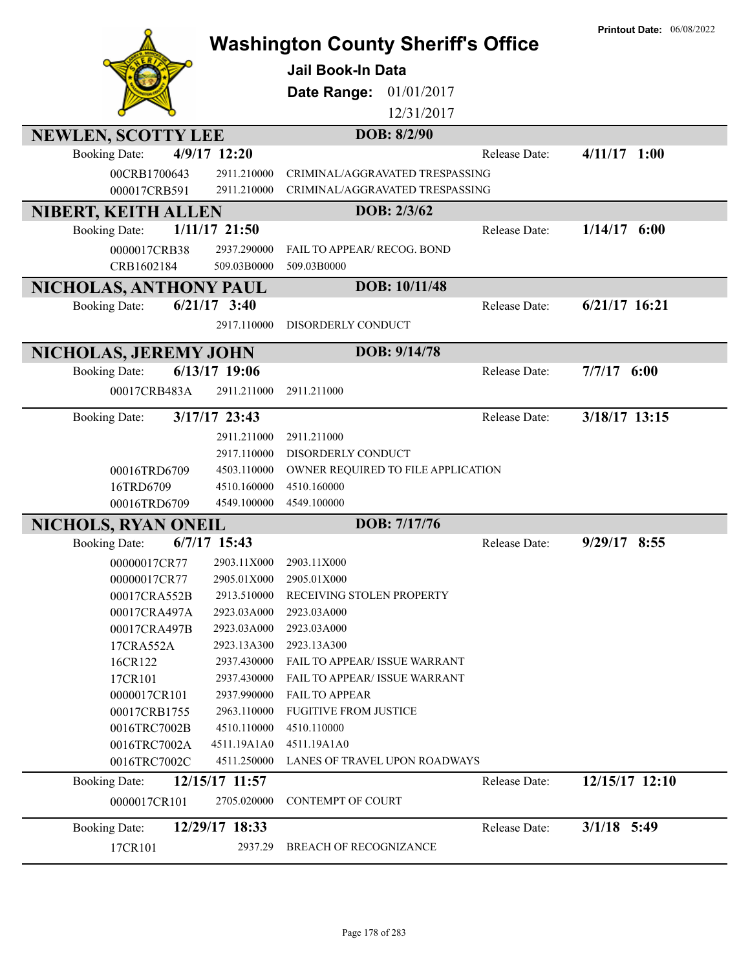|                            |                 | <b>Washington County Sheriff's Office</b> |               | <b>Printout Date: 06/08/2022</b> |
|----------------------------|-----------------|-------------------------------------------|---------------|----------------------------------|
|                            |                 | <b>Jail Book-In Data</b>                  |               |                                  |
|                            |                 |                                           |               |                                  |
|                            |                 | Date Range:<br>01/01/2017                 |               |                                  |
|                            |                 | 12/31/2017                                |               |                                  |
| <b>NEWLEN, SCOTTY LEE</b>  |                 | DOB: 8/2/90                               |               |                                  |
| <b>Booking Date:</b>       | 4/9/17 12:20    |                                           | Release Date: | $4/11/17$ 1:00                   |
| 00CRB1700643               | 2911.210000     | CRIMINAL/AGGRAVATED TRESPASSING           |               |                                  |
| 000017CRB591               | 2911.210000     | CRIMINAL/AGGRAVATED TRESPASSING           |               |                                  |
| <b>NIBERT, KEITH ALLEN</b> |                 | DOB: 2/3/62                               |               |                                  |
| <b>Booking Date:</b>       | 1/11/17 21:50   |                                           | Release Date: | $1/14/17$ 6:00                   |
| 0000017CRB38               | 2937.290000     | FAIL TO APPEAR/ RECOG. BOND               |               |                                  |
| CRB1602184                 | 509.03B0000     | 509.03B0000                               |               |                                  |
| NICHOLAS, ANTHONY PAUL     |                 | DOB: 10/11/48                             |               |                                  |
| <b>Booking Date:</b>       | $6/21/17$ 3:40  |                                           | Release Date: | $6/21/17$ 16:21                  |
|                            | 2917.110000     | DISORDERLY CONDUCT                        |               |                                  |
| NICHOLAS, JEREMY JOHN      |                 | DOB: 9/14/78                              |               |                                  |
| <b>Booking Date:</b>       | $6/13/17$ 19:06 |                                           | Release Date: | $7/7/17$ 6:00                    |
| 00017CRB483A               | 2911.211000     | 2911.211000                               |               |                                  |
| <b>Booking Date:</b>       | 3/17/17 23:43   |                                           | Release Date: | 3/18/17 13:15                    |
|                            | 2911.211000     | 2911.211000                               |               |                                  |
|                            | 2917.110000     | DISORDERLY CONDUCT                        |               |                                  |
| 00016TRD6709               | 4503.110000     | OWNER REQUIRED TO FILE APPLICATION        |               |                                  |
| 16TRD6709                  | 4510.160000     | 4510.160000                               |               |                                  |
| 00016TRD6709               | 4549.100000     | 4549.100000                               |               |                                  |
| <b>NICHOLS, RYAN ONEIL</b> |                 | DOB: 7/17/76                              |               |                                  |
| <b>Booking Date:</b>       | $6/7/17$ 15:43  |                                           | Release Date: | $9/29/17$ 8:55                   |
| 00000017CR77               | 2903.11X000     | 2903.11X000                               |               |                                  |
| 00000017CR77               | 2905.01X000     | 2905.01X000                               |               |                                  |
| 00017CRA552B               | 2913.510000     | RECEIVING STOLEN PROPERTY                 |               |                                  |
| 00017CRA497A               | 2923.03A000     | 2923.03A000                               |               |                                  |
| 00017CRA497B               | 2923.03A000     | 2923.03A000                               |               |                                  |
| 17CRA552A                  | 2923.13A300     | 2923.13A300                               |               |                                  |
| 16CR122                    | 2937.430000     | FAIL TO APPEAR/ ISSUE WARRANT             |               |                                  |
| 17CR101                    | 2937.430000     | FAIL TO APPEAR/ ISSUE WARRANT             |               |                                  |
| 0000017CR101               | 2937.990000     | <b>FAIL TO APPEAR</b>                     |               |                                  |
| 00017CRB1755               | 2963.110000     | <b>FUGITIVE FROM JUSTICE</b>              |               |                                  |
| 0016TRC7002B               | 4510.110000     | 4510.110000                               |               |                                  |
| 0016TRC7002A               | 4511.19A1A0     | 4511.19A1A0                               |               |                                  |
| 0016TRC7002C               | 4511.250000     | LANES OF TRAVEL UPON ROADWAYS             |               |                                  |
| <b>Booking Date:</b>       | 12/15/17 11:57  |                                           | Release Date: | 12/15/17 12:10                   |
| 0000017CR101               | 2705.020000     | CONTEMPT OF COURT                         |               |                                  |
| <b>Booking Date:</b>       | 12/29/17 18:33  |                                           | Release Date: | $3/1/18$ 5:49                    |
| 17CR101                    | 2937.29         | BREACH OF RECOGNIZANCE                    |               |                                  |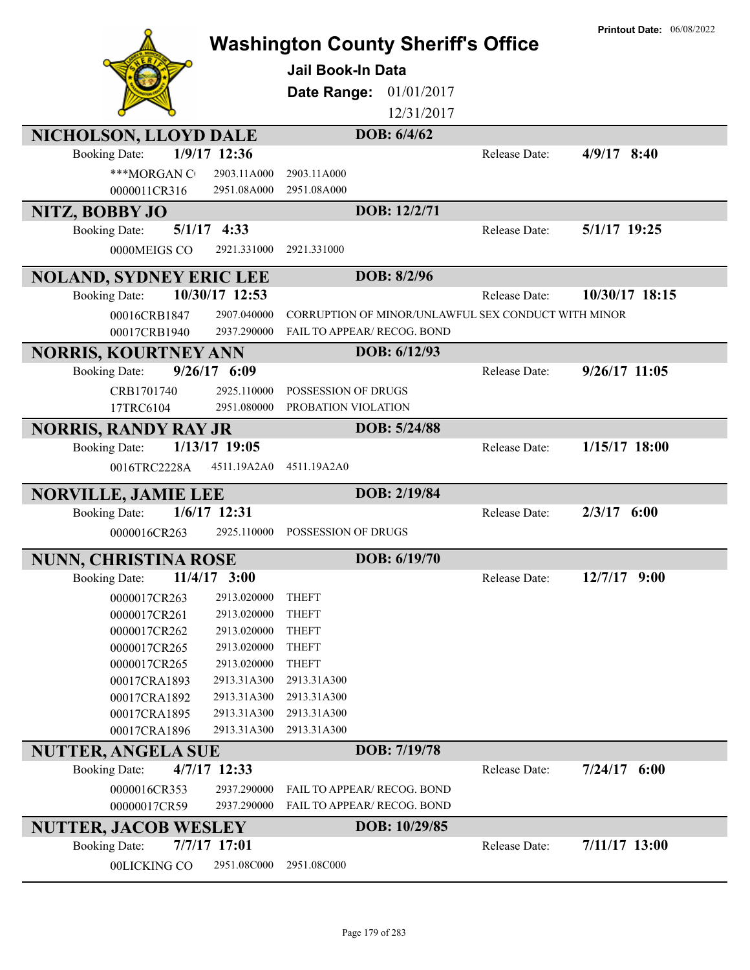| NICHOLSON, LLOYD DALE                                      | <b>Washington County Sheriff's Office</b><br><b>Jail Book-In Data</b><br>01/01/2017<br>Date Range:<br>12/31/2017<br>DOB: 6/4/62 |                      | <b>Printout Date: 06/08/2022</b> |
|------------------------------------------------------------|---------------------------------------------------------------------------------------------------------------------------------|----------------------|----------------------------------|
| 1/9/17 12:36<br><b>Booking Date:</b>                       |                                                                                                                                 | Release Date:        | $4/9/17$ 8:40                    |
|                                                            |                                                                                                                                 |                      |                                  |
| ***MORGAN C<br>2903.11A000                                 | 2903.11A000                                                                                                                     |                      |                                  |
| 0000011CR316<br>2951.08A000                                | 2951.08A000                                                                                                                     |                      |                                  |
| NITZ, BOBBY JO                                             | DOB: 12/2/71                                                                                                                    |                      |                                  |
| $5/1/17$ 4:33<br><b>Booking Date:</b>                      |                                                                                                                                 | Release Date:        | 5/1/17 19:25                     |
| 0000MEIGS CO<br>2921.331000                                | 2921.331000                                                                                                                     |                      |                                  |
| <b>NOLAND, SYDNEY ERIC LEE</b>                             | DOB: 8/2/96                                                                                                                     |                      |                                  |
| 10/30/17 12:53<br><b>Booking Date:</b>                     |                                                                                                                                 | Release Date:        | 10/30/17 18:15                   |
| 00016CRB1847<br>2907.040000                                | CORRUPTION OF MINOR/UNLAWFUL SEX CONDUCT WITH MINOR                                                                             |                      |                                  |
| 00017CRB1940<br>2937.290000                                | FAIL TO APPEAR/ RECOG. BOND                                                                                                     |                      |                                  |
| <b>NORRIS, KOURTNEY ANN</b>                                | DOB: 6/12/93                                                                                                                    |                      |                                  |
| $9/26/17$ 6:09<br><b>Booking Date:</b>                     |                                                                                                                                 | Release Date:        | $9/26/17$ 11:05                  |
| CRB1701740<br>2925.110000                                  | POSSESSION OF DRUGS                                                                                                             |                      |                                  |
| 17TRC6104<br>2951.080000                                   | PROBATION VIOLATION                                                                                                             |                      |                                  |
| <b>NORRIS, RANDY RAY JR</b>                                | DOB: 5/24/88                                                                                                                    |                      |                                  |
| 1/13/17 19:05<br><b>Booking Date:</b>                      |                                                                                                                                 | Release Date:        | $1/15/17$ 18:00                  |
| 4511.19A2A0<br>0016TRC2228A                                | 4511.19A2A0                                                                                                                     |                      |                                  |
| <b>NORVILLE, JAMIE LEE</b>                                 | DOB: 2/19/84                                                                                                                    |                      |                                  |
| $1/6/17$ 12:31<br><b>Booking Date:</b>                     |                                                                                                                                 | Release Date:        | $2/3/17$ 6:00                    |
| 0000016CR263<br>2925.110000                                | POSSESSION OF DRUGS                                                                                                             |                      |                                  |
| <b>NUNN, CHRISTINA ROSE</b>                                | DOB: 6/19/70                                                                                                                    |                      |                                  |
| <b>Booking Date:</b><br>$11/4/17$ 3:00                     |                                                                                                                                 | Release Date:        | 12/7/17 9:00                     |
|                                                            |                                                                                                                                 |                      |                                  |
| 2913.020000<br>0000017CR263<br>2913.020000<br>0000017CR261 | <b>THEFT</b><br><b>THEFT</b>                                                                                                    |                      |                                  |
| 2913.020000<br>0000017CR262                                | <b>THEFT</b>                                                                                                                    |                      |                                  |
| 2913.020000<br>0000017CR265                                | <b>THEFT</b>                                                                                                                    |                      |                                  |
| 2913.020000<br>0000017CR265                                | <b>THEFT</b>                                                                                                                    |                      |                                  |
| 2913.31A300<br>00017CRA1893                                | 2913.31A300                                                                                                                     |                      |                                  |
| 2913.31A300<br>00017CRA1892                                | 2913.31A300                                                                                                                     |                      |                                  |
| 2913.31A300<br>00017CRA1895                                | 2913.31A300                                                                                                                     |                      |                                  |
| 2913.31A300<br>00017CRA1896                                | 2913.31A300                                                                                                                     |                      |                                  |
| <b>NUTTER, ANGELA SUE</b>                                  | DOB: 7/19/78                                                                                                                    |                      |                                  |
| 4/7/17 12:33<br><b>Booking Date:</b>                       |                                                                                                                                 | <b>Release Date:</b> | $7/24/17$ 6:00                   |
| 0000016CR353<br>2937.290000                                | FAIL TO APPEAR/ RECOG. BOND                                                                                                     |                      |                                  |
| 00000017CR59<br>2937.290000                                | FAIL TO APPEAR/ RECOG. BOND                                                                                                     |                      |                                  |
| <b>NUTTER, JACOB WESLEY</b>                                | DOB: 10/29/85                                                                                                                   |                      |                                  |
| 7/7/17 17:01<br><b>Booking Date:</b>                       |                                                                                                                                 | Release Date:        | 7/11/17 13:00                    |
| 00LICKING CO<br>2951.08C000                                | 2951.08C000                                                                                                                     |                      |                                  |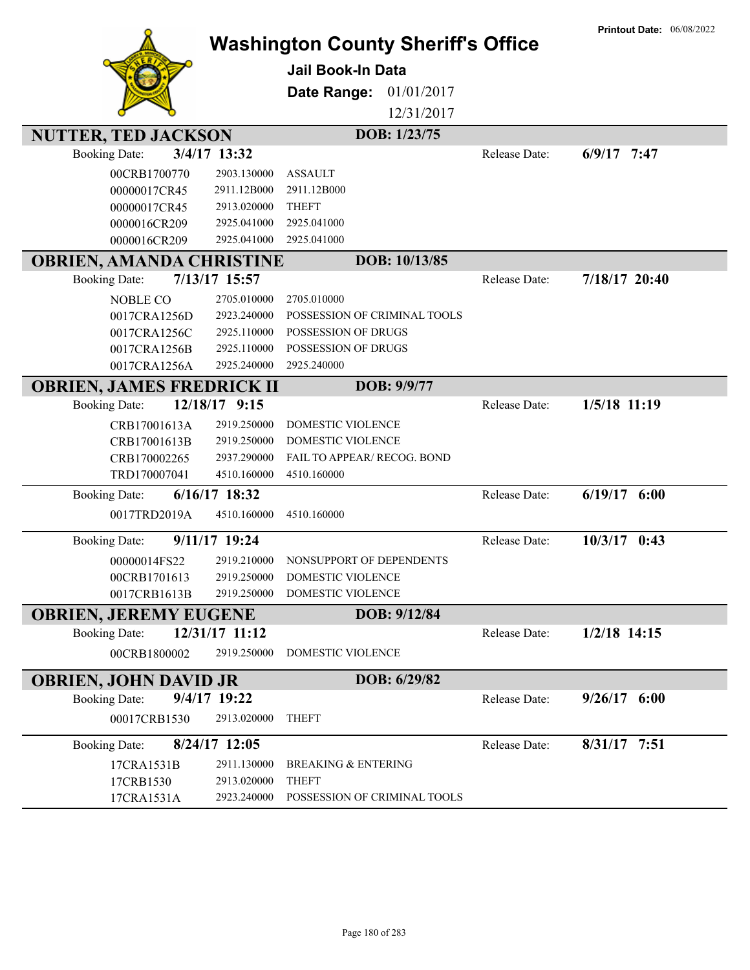|                                  |                 | <b>Washington County Sheriff's Office</b> |               | <b>Printout Date: 06/08/2022</b> |
|----------------------------------|-----------------|-------------------------------------------|---------------|----------------------------------|
|                                  |                 |                                           |               |                                  |
|                                  |                 | <b>Jail Book-In Data</b>                  |               |                                  |
|                                  |                 | Date Range:<br>01/01/2017                 |               |                                  |
|                                  |                 | 12/31/2017                                |               |                                  |
| <b>NUTTER, TED JACKSON</b>       |                 | DOB: 1/23/75                              |               |                                  |
| <b>Booking Date:</b>             | 3/4/17 13:32    |                                           | Release Date: | $6/9/17$ 7:47                    |
| 00CRB1700770                     | 2903.130000     | <b>ASSAULT</b>                            |               |                                  |
| 00000017CR45                     | 2911.12B000     | 2911.12B000                               |               |                                  |
| 00000017CR45                     | 2913.020000     | <b>THEFT</b>                              |               |                                  |
| 0000016CR209                     | 2925.041000     | 2925.041000                               |               |                                  |
| 0000016CR209                     | 2925.041000     | 2925.041000                               |               |                                  |
| <b>OBRIEN, AMANDA CHRISTINE</b>  |                 | DOB: 10/13/85                             |               |                                  |
| <b>Booking Date:</b>             | 7/13/17 15:57   |                                           | Release Date: | 7/18/17 20:40                    |
| <b>NOBLE CO</b>                  | 2705.010000     | 2705.010000                               |               |                                  |
| 0017CRA1256D                     | 2923.240000     | POSSESSION OF CRIMINAL TOOLS              |               |                                  |
| 0017CRA1256C                     | 2925.110000     | POSSESSION OF DRUGS                       |               |                                  |
| 0017CRA1256B                     | 2925.110000     | POSSESSION OF DRUGS                       |               |                                  |
| 0017CRA1256A                     | 2925.240000     | 2925.240000                               |               |                                  |
| <b>OBRIEN, JAMES FREDRICK II</b> |                 | DOB: 9/9/77                               |               |                                  |
| <b>Booking Date:</b>             | 12/18/17 9:15   |                                           | Release Date: | 1/5/18 11:19                     |
| CRB17001613A                     | 2919.250000     | DOMESTIC VIOLENCE                         |               |                                  |
| CRB17001613B                     | 2919.250000     | DOMESTIC VIOLENCE                         |               |                                  |
| CRB170002265                     | 2937.290000     | FAIL TO APPEAR/ RECOG. BOND               |               |                                  |
| TRD170007041                     | 4510.160000     | 4510.160000                               |               |                                  |
| <b>Booking Date:</b>             | 6/16/17 18:32   |                                           | Release Date: | $6/19/17$ $6:00$                 |
| 0017TRD2019A                     | 4510.160000     | 4510.160000                               |               |                                  |
| <b>Booking Date:</b>             | 9/11/17 19:24   |                                           | Release Date: | $10/3/17$ 0:43                   |
| 00000014FS22                     | 2919.210000     | NONSUPPORT OF DEPENDENTS                  |               |                                  |
| 00CRB1701613                     | 2919.250000     | <b>DOMESTIC VIOLENCE</b>                  |               |                                  |
| 0017CRB1613B                     | 2919.250000     | DOMESTIC VIOLENCE                         |               |                                  |
| <b>OBRIEN, JEREMY EUGENE</b>     |                 | DOB: 9/12/84                              |               |                                  |
| <b>Booking Date:</b>             | 12/31/17 11:12  |                                           | Release Date: | $1/2/18$ 14:15                   |
| 00CRB1800002                     | 2919.250000     | DOMESTIC VIOLENCE                         |               |                                  |
| <b>OBRIEN, JOHN DAVID JR</b>     |                 | DOB: 6/29/82                              |               |                                  |
| <b>Booking Date:</b>             | 9/4/17 19:22    |                                           | Release Date: | $9/26/17$ 6:00                   |
| 00017CRB1530                     | 2913.020000     | <b>THEFT</b>                              |               |                                  |
| <b>Booking Date:</b>             | $8/24/17$ 12:05 |                                           | Release Date: | $8/31/17$ 7:51                   |
| 17CRA1531B                       | 2911.130000     | <b>BREAKING &amp; ENTERING</b>            |               |                                  |
| 17CRB1530                        | 2913.020000     | <b>THEFT</b>                              |               |                                  |
| 17CRA1531A                       | 2923.240000     | POSSESSION OF CRIMINAL TOOLS              |               |                                  |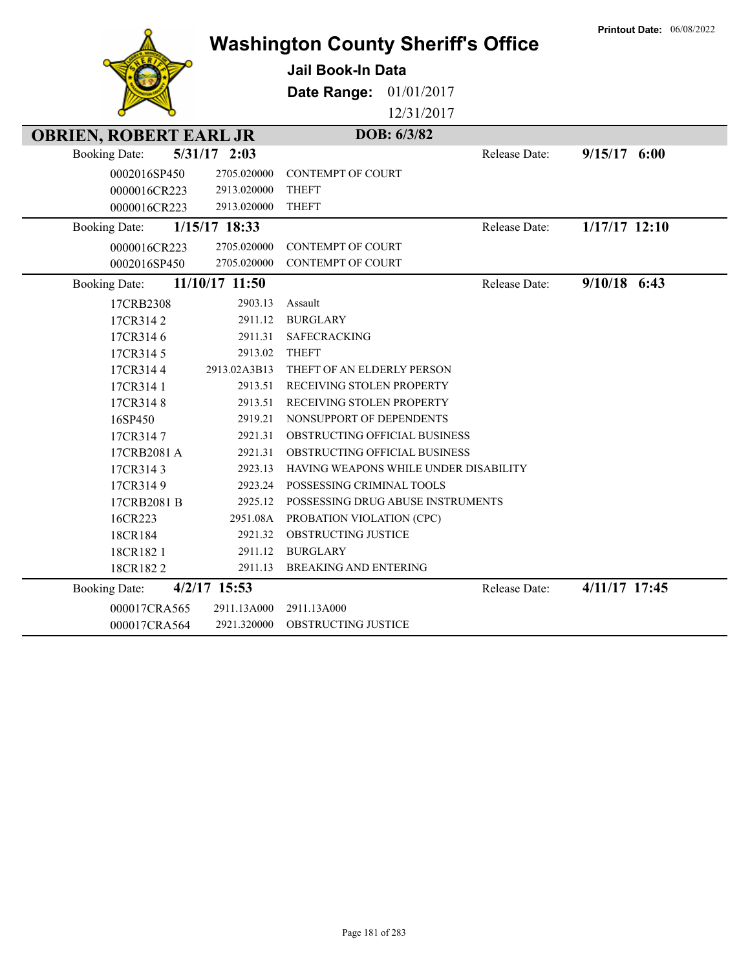|                               |                | <b>Washington County Sheriff's Office</b> |               | <b>Printout Date: 06/08/2022</b> |
|-------------------------------|----------------|-------------------------------------------|---------------|----------------------------------|
|                               |                | <b>Jail Book-In Data</b>                  |               |                                  |
|                               |                | Date Range:<br>01/01/2017                 |               |                                  |
|                               |                | 12/31/2017                                |               |                                  |
| <b>OBRIEN, ROBERT EARL JR</b> |                | DOB: 6/3/82                               |               |                                  |
| <b>Booking Date:</b>          | $5/31/17$ 2:03 |                                           | Release Date: | $9/15/17$ 6:00                   |
| 0002016SP450                  | 2705.020000    | <b>CONTEMPT OF COURT</b>                  |               |                                  |
| 0000016CR223                  | 2913.020000    | <b>THEFT</b>                              |               |                                  |
| 0000016CR223                  | 2913.020000    | <b>THEFT</b>                              |               |                                  |
| <b>Booking Date:</b>          | 1/15/17 18:33  |                                           | Release Date: | $1/17/17$ 12:10                  |
| 0000016CR223                  | 2705.020000    | <b>CONTEMPT OF COURT</b>                  |               |                                  |
| 0002016SP450                  | 2705.020000    | <b>CONTEMPT OF COURT</b>                  |               |                                  |
| <b>Booking Date:</b>          | 11/10/17 11:50 |                                           | Release Date: | $9/10/18$ 6:43                   |
| 17CRB2308                     | 2903.13        | Assault                                   |               |                                  |
| 17CR3142                      | 2911.12        | <b>BURGLARY</b>                           |               |                                  |
| 17CR3146                      | 2911.31        | <b>SAFECRACKING</b>                       |               |                                  |
| 17CR3145                      | 2913.02        | <b>THEFT</b>                              |               |                                  |
| 17CR3144                      | 2913.02A3B13   | THEFT OF AN ELDERLY PERSON                |               |                                  |
| 17CR314 1                     | 2913.51        | RECEIVING STOLEN PROPERTY                 |               |                                  |
| 17CR3148                      | 2913.51        | RECEIVING STOLEN PROPERTY                 |               |                                  |
| 16SP450                       | 2919.21        | NONSUPPORT OF DEPENDENTS                  |               |                                  |
| 17CR3147                      | 2921.31        | OBSTRUCTING OFFICIAL BUSINESS             |               |                                  |
| 17CRB2081 A                   | 2921.31        | OBSTRUCTING OFFICIAL BUSINESS             |               |                                  |
| 17CR3143                      | 2923.13        | HAVING WEAPONS WHILE UNDER DISABILITY     |               |                                  |
| 17CR3149                      | 2923.24        | POSSESSING CRIMINAL TOOLS                 |               |                                  |
| 17CRB2081 B                   | 2925.12        | POSSESSING DRUG ABUSE INSTRUMENTS         |               |                                  |
| 16CR223                       | 2951.08A       | PROBATION VIOLATION (CPC)                 |               |                                  |
| 18CR184                       | 2921.32        | OBSTRUCTING JUSTICE                       |               |                                  |
| 18CR1821                      | 2911.12        | <b>BURGLARY</b>                           |               |                                  |
| 18CR1822                      | 2911.13        | <b>BREAKING AND ENTERING</b>              |               |                                  |
| <b>Booking Date:</b>          | 4/2/17 15:53   |                                           | Release Date: | 4/11/17 17:45                    |
| 000017CRA565                  | 2911.13A000    | 2911.13A000                               |               |                                  |
| 000017CRA564                  | 2921.320000    | <b>OBSTRUCTING JUSTICE</b>                |               |                                  |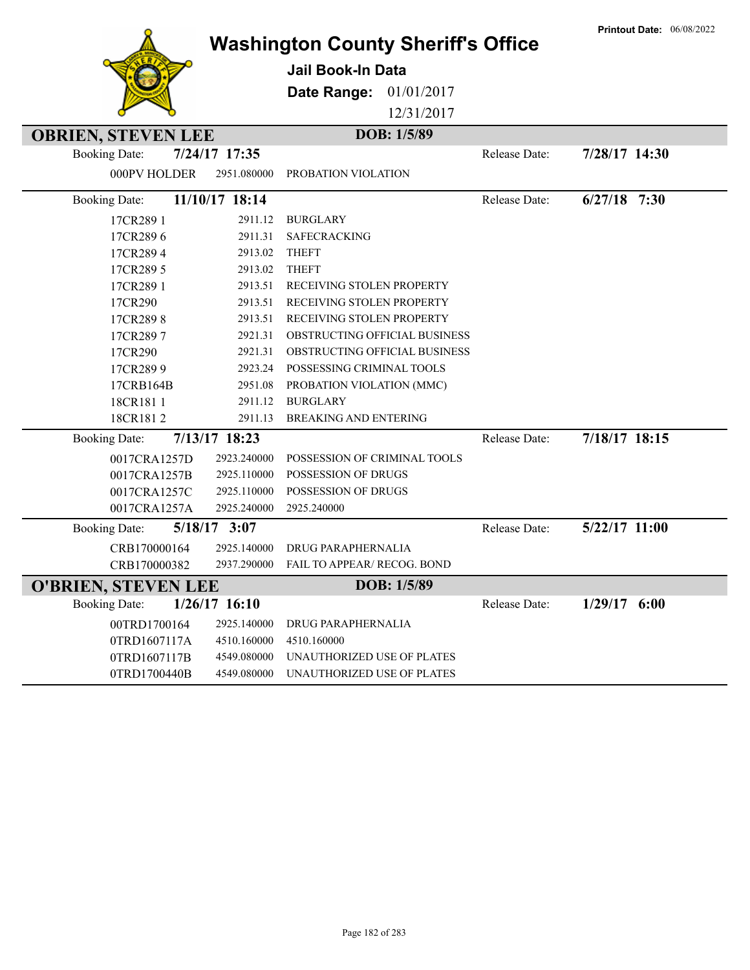|                            |                 | <b>Washington County Sheriff's Office</b> |             |               | <b>Printout Date: 06/08/2022</b> |
|----------------------------|-----------------|-------------------------------------------|-------------|---------------|----------------------------------|
|                            |                 | <b>Jail Book-In Data</b>                  |             |               |                                  |
|                            |                 |                                           |             |               |                                  |
|                            |                 | Date Range:                               | 01/01/2017  |               |                                  |
|                            |                 |                                           | 12/31/2017  |               |                                  |
| <b>OBRIEN, STEVEN LEE</b>  |                 |                                           | DOB: 1/5/89 |               |                                  |
| <b>Booking Date:</b>       | 7/24/17 17:35   |                                           |             | Release Date: | 7/28/17 14:30                    |
| 000PV HOLDER               | 2951.080000     | PROBATION VIOLATION                       |             |               |                                  |
| <b>Booking Date:</b>       | 11/10/17 18:14  |                                           |             | Release Date: | $6/27/18$ 7:30                   |
| 17CR289 1                  | 2911.12         | <b>BURGLARY</b>                           |             |               |                                  |
| 17CR2896                   | 2911.31         | <b>SAFECRACKING</b>                       |             |               |                                  |
| 17CR2894                   | 2913.02         | <b>THEFT</b>                              |             |               |                                  |
| 17CR289 5                  | 2913.02         | <b>THEFT</b>                              |             |               |                                  |
| 17CR289 1                  | 2913.51         | RECEIVING STOLEN PROPERTY                 |             |               |                                  |
| 17CR290                    | 2913.51         | RECEIVING STOLEN PROPERTY                 |             |               |                                  |
| 17CR2898                   | 2913.51         | RECEIVING STOLEN PROPERTY                 |             |               |                                  |
| 17CR2897                   | 2921.31         | OBSTRUCTING OFFICIAL BUSINESS             |             |               |                                  |
| 17CR290                    | 2921.31         | OBSTRUCTING OFFICIAL BUSINESS             |             |               |                                  |
| 17CR2899                   | 2923.24         | POSSESSING CRIMINAL TOOLS                 |             |               |                                  |
| 17CRB164B                  | 2951.08         | PROBATION VIOLATION (MMC)                 |             |               |                                  |
| 18CR1811                   | 2911.12         | <b>BURGLARY</b>                           |             |               |                                  |
| 18CR1812                   | 2911.13         | <b>BREAKING AND ENTERING</b>              |             |               |                                  |
| <b>Booking Date:</b>       | 7/13/17 18:23   |                                           |             | Release Date: | 7/18/17 18:15                    |
| 0017CRA1257D               | 2923.240000     | POSSESSION OF CRIMINAL TOOLS              |             |               |                                  |
| 0017CRA1257B               | 2925.110000     | POSSESSION OF DRUGS                       |             |               |                                  |
| 0017CRA1257C               | 2925.110000     | POSSESSION OF DRUGS                       |             |               |                                  |
| 0017CRA1257A               | 2925.240000     | 2925.240000                               |             |               |                                  |
| <b>Booking Date:</b>       | 5/18/17 3:07    |                                           |             | Release Date: | 5/22/17 11:00                    |
| CRB170000164               | 2925.140000     | DRUG PARAPHERNALIA                        |             |               |                                  |
| CRB170000382               | 2937.290000     | <b>FAIL TO APPEAR/ RECOG. BOND</b>        |             |               |                                  |
| <b>O'BRIEN, STEVEN LEE</b> |                 |                                           | DOB: 1/5/89 |               |                                  |
| <b>Booking Date:</b>       | $1/26/17$ 16:10 |                                           |             | Release Date: | $1/29/17$ 6:00                   |
| 00TRD1700164               | 2925.140000     | DRUG PARAPHERNALIA                        |             |               |                                  |
| 0TRD1607117A               | 4510.160000     | 4510.160000                               |             |               |                                  |
| 0TRD1607117B               | 4549.080000     | UNAUTHORIZED USE OF PLATES                |             |               |                                  |
| 0TRD1700440B               | 4549.080000     | UNAUTHORIZED USE OF PLATES                |             |               |                                  |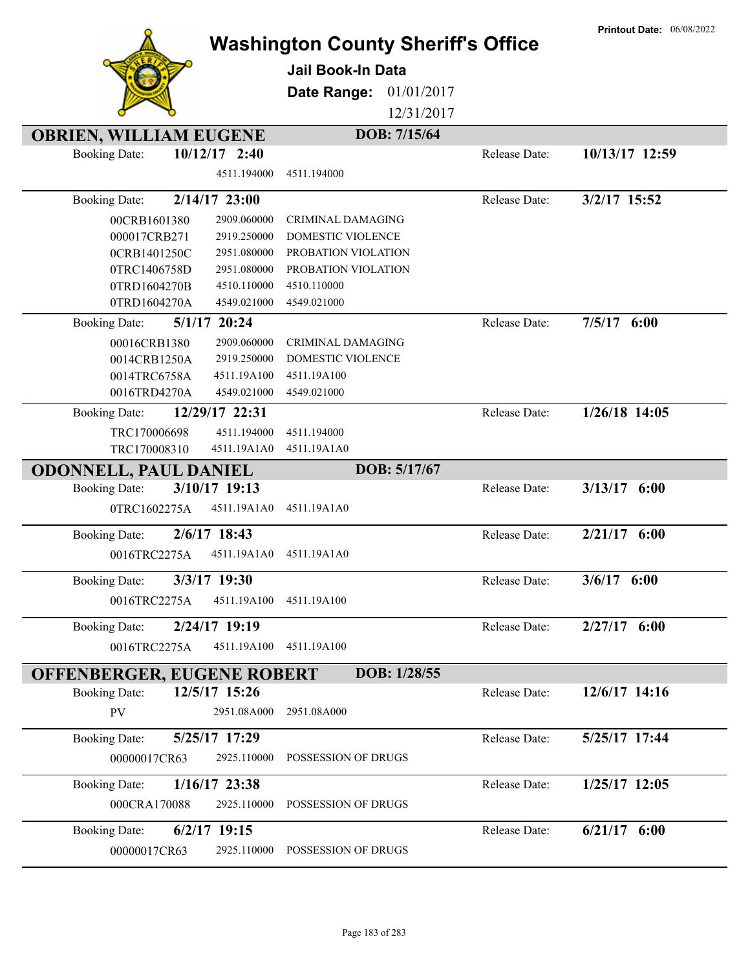|                               |                                | <b>Washington County Sheriff's Office</b><br><b>Jail Book-In Data</b><br>01/01/2017<br>Date Range:<br>12/31/2017 |               | <b>Printout Date: 06/08/2022</b> |
|-------------------------------|--------------------------------|------------------------------------------------------------------------------------------------------------------|---------------|----------------------------------|
| <b>OBRIEN, WILLIAM EUGENE</b> |                                | DOB: 7/15/64                                                                                                     |               |                                  |
| <b>Booking Date:</b>          | $10/12/17$ 2:40<br>4511.194000 | 4511.194000                                                                                                      | Release Date: | 10/13/17 12:59                   |
| <b>Booking Date:</b>          | 2/14/17 23:00                  |                                                                                                                  | Release Date: | 3/2/17 15:52                     |
| 00CRB1601380                  | 2909.060000                    | <b>CRIMINAL DAMAGING</b>                                                                                         |               |                                  |
| 000017CRB271                  | 2919.250000                    | DOMESTIC VIOLENCE                                                                                                |               |                                  |
| 0CRB1401250C                  | 2951.080000                    | PROBATION VIOLATION                                                                                              |               |                                  |
| 0TRC1406758D                  | 2951.080000                    | PROBATION VIOLATION                                                                                              |               |                                  |
| 0TRD1604270B                  | 4510.110000                    | 4510.110000                                                                                                      |               |                                  |
| 0TRD1604270A                  | 4549.021000                    | 4549.021000                                                                                                      |               |                                  |
| <b>Booking Date:</b>          | 5/1/17 20:24                   |                                                                                                                  | Release Date: | $7/5/17$ 6:00                    |
| 00016CRB1380                  | 2909.060000                    | <b>CRIMINAL DAMAGING</b>                                                                                         |               |                                  |
| 0014CRB1250A                  | 2919.250000                    | DOMESTIC VIOLENCE                                                                                                |               |                                  |
| 0014TRC6758A                  | 4511.19A100                    | 4511.19A100                                                                                                      |               |                                  |
| 0016TRD4270A                  | 4549.021000                    | 4549.021000                                                                                                      |               | $1/26/18$ 14:05                  |
| <b>Booking Date:</b>          | 12/29/17 22:31                 |                                                                                                                  | Release Date: |                                  |
| TRC170006698<br>TRC170008310  | 4511.194000<br>4511.19A1A0     | 4511.194000<br>4511.19A1A0                                                                                       |               |                                  |
| <b>ODONNELL, PAUL DANIEL</b>  |                                | DOB: 5/17/67                                                                                                     |               |                                  |
| <b>Booking Date:</b>          | 3/10/17 19:13                  |                                                                                                                  | Release Date: | $3/13/17$ 6:00                   |
| 0TRC1602275A                  | 4511.19A1A0                    | 4511.19A1A0                                                                                                      |               |                                  |
|                               |                                |                                                                                                                  |               |                                  |
| <b>Booking Date:</b>          | 2/6/17 18:43                   |                                                                                                                  | Release Date: | $2/21/17$ 6:00                   |
| 0016TRC2275A                  | 4511.19A1A0                    | 4511.19A1A0                                                                                                      |               |                                  |
| <b>Booking Date:</b>          | 3/3/17 19:30                   |                                                                                                                  | Release Date: | $3/6/17$ 6:00                    |
| 0016TRC2275A                  | 4511.19A100                    | 4511.19A100                                                                                                      |               |                                  |
| <b>Booking Date:</b>          | 2/24/17 19:19                  |                                                                                                                  | Release Date: | $2/27/17$ 6:00                   |
| 0016TRC2275A                  | 4511.19A100                    | 4511.19A100                                                                                                      |               |                                  |
| OFFENBERGER, EUGENE ROBERT    |                                | DOB: 1/28/55                                                                                                     |               |                                  |
| <b>Booking Date:</b>          | 12/5/17 15:26                  |                                                                                                                  | Release Date: | 12/6/17 14:16                    |
| PV                            | 2951.08A000                    | 2951.08A000                                                                                                      |               |                                  |
| <b>Booking Date:</b>          | 5/25/17 17:29                  |                                                                                                                  | Release Date: | 5/25/17 17:44                    |
| 00000017CR63                  | 2925.110000                    | POSSESSION OF DRUGS                                                                                              |               |                                  |
| <b>Booking Date:</b>          | 1/16/17 23:38                  |                                                                                                                  | Release Date: | 1/25/17 12:05                    |
| 000CRA170088                  | 2925.110000                    | POSSESSION OF DRUGS                                                                                              |               |                                  |
| <b>Booking Date:</b>          | $6/2/17$ 19:15                 |                                                                                                                  | Release Date: | $6/21/17$ $6:00$                 |
| 00000017CR63                  | 2925.110000                    | POSSESSION OF DRUGS                                                                                              |               |                                  |

**Printout Date:** 06/08/2022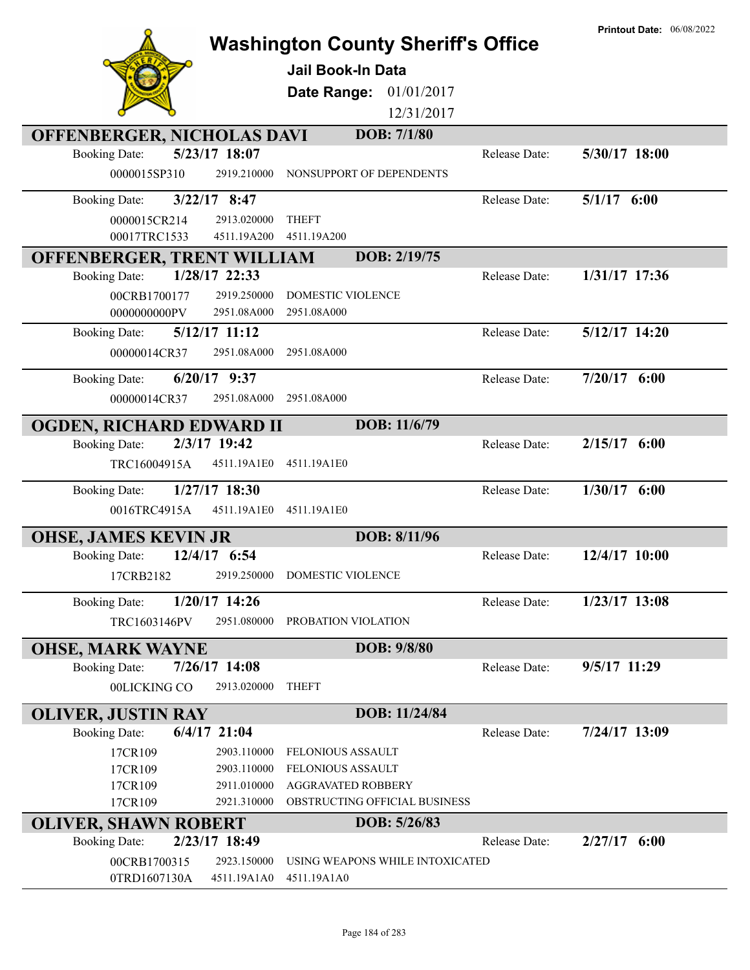|                                                                     |                            | <b>Washington County Sheriff's Office</b> |               | <b>Printout Date: 06/08/2022</b> |
|---------------------------------------------------------------------|----------------------------|-------------------------------------------|---------------|----------------------------------|
|                                                                     |                            | <b>Jail Book-In Data</b>                  |               |                                  |
|                                                                     |                            | Date Range: 01/01/2017                    |               |                                  |
|                                                                     |                            | 12/31/2017                                |               |                                  |
| <b>OFFENBERGER, NICHOLAS DAVI</b>                                   |                            | DOB: 7/1/80                               |               |                                  |
| 5/23/17 18:07<br><b>Booking Date:</b>                               |                            |                                           | Release Date: | 5/30/17 18:00                    |
| 0000015SP310                                                        | 2919.210000                | NONSUPPORT OF DEPENDENTS                  |               |                                  |
| $3/22/17$ 8:47<br><b>Booking Date:</b>                              |                            |                                           | Release Date: | $5/1/17$ 6:00                    |
| 0000015CR214                                                        | 2913.020000                | <b>THEFT</b>                              |               |                                  |
| 00017TRC1533                                                        | 4511.19A200                | 4511.19A200                               |               |                                  |
| OFFENBERGER, TRENT WILLIAM                                          |                            | DOB: 2/19/75                              |               |                                  |
| 1/28/17 22:33<br><b>Booking Date:</b>                               |                            |                                           | Release Date: | 1/31/17 17:36                    |
| 00CRB1700177<br>0000000000PV                                        | 2919.250000<br>2951.08A000 | DOMESTIC VIOLENCE<br>2951.08A000          |               |                                  |
| 5/12/17 11:12<br><b>Booking Date:</b>                               |                            |                                           | Release Date: | 5/12/17 14:20                    |
| 00000014CR37                                                        | 2951.08A000                | 2951.08A000                               |               |                                  |
|                                                                     |                            |                                           |               |                                  |
| $6/20/17$ 9:37<br><b>Booking Date:</b>                              |                            |                                           | Release Date: | $7/20/17$ 6:00                   |
| 00000014CR37                                                        | 2951.08A000                | 2951.08A000                               |               |                                  |
| OGDEN, RICHARD EDWARD II                                            |                            | DOB: 11/6/79                              |               |                                  |
| 2/3/17 19:42<br><b>Booking Date:</b>                                |                            |                                           | Release Date: | $2/15/17$ 6:00                   |
| TRC16004915A                                                        | 4511.19A1E0                | 4511.19A1E0                               |               |                                  |
| 1/27/17 18:30<br><b>Booking Date:</b>                               |                            |                                           | Release Date: | $1/30/17$ 6:00                   |
| 0016TRC4915A                                                        | 4511.19A1E0                | 4511.19A1E0                               |               |                                  |
| <b>OHSE, JAMES KEVIN JR</b>                                         |                            | DOB: 8/11/96                              |               |                                  |
| 12/4/17 6:54<br><b>Booking Date:</b>                                |                            |                                           | Release Date: | 12/4/17 10:00                    |
| 17CRB2182                                                           |                            | 2919.250000 DOMESTIC VIOLENCE             |               |                                  |
| $1/20/17$ 14:26<br><b>Booking Date:</b>                             |                            |                                           | Release Date: | 1/23/17 13:08                    |
| TRC1603146PV                                                        | 2951.080000                | PROBATION VIOLATION                       |               |                                  |
| <b>OHSE, MARK WAYNE</b>                                             |                            | DOB: 9/8/80                               |               |                                  |
| $7/26/17$ 14:08<br><b>Booking Date:</b>                             |                            |                                           | Release Date: | 9/5/17 11:29                     |
| 00LICKING CO                                                        | 2913.020000                | <b>THEFT</b>                              |               |                                  |
|                                                                     |                            | DOB: 11/24/84                             |               |                                  |
| <b>OLIVER, JUSTIN RAY</b><br>$6/4/17$ 21:04<br><b>Booking Date:</b> |                            |                                           | Release Date: | 7/24/17 13:09                    |
| 17CR109                                                             | 2903.110000                | <b>FELONIOUS ASSAULT</b>                  |               |                                  |
| 17CR109                                                             | 2903.110000                | FELONIOUS ASSAULT                         |               |                                  |
| 17CR109                                                             | 2911.010000                | <b>AGGRAVATED ROBBERY</b>                 |               |                                  |
| 17CR109                                                             | 2921.310000                | OBSTRUCTING OFFICIAL BUSINESS             |               |                                  |
| <b>OLIVER, SHAWN ROBERT</b>                                         |                            | DOB: 5/26/83                              |               |                                  |
| 2/23/17 18:49<br><b>Booking Date:</b>                               |                            |                                           | Release Date: | $2/27/17$ 6:00                   |
| 00CRB1700315                                                        | 2923.150000                | USING WEAPONS WHILE INTOXICATED           |               |                                  |
| 0TRD1607130A                                                        | 4511.19A1A0                | 4511.19A1A0                               |               |                                  |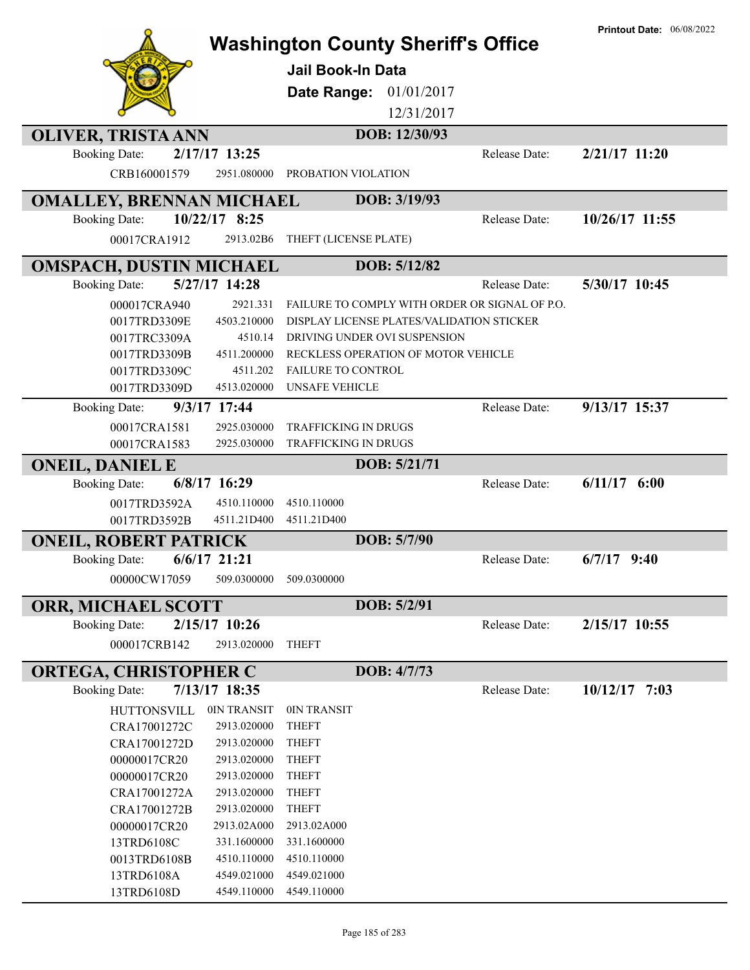|                                 |                            | <b>Washington County Sheriff's Office</b>      |                      | <b>Printout Date: 06/08/2022</b> |
|---------------------------------|----------------------------|------------------------------------------------|----------------------|----------------------------------|
|                                 |                            | <b>Jail Book-In Data</b>                       |                      |                                  |
|                                 |                            | Date Range:<br>01/01/2017                      |                      |                                  |
|                                 |                            | 12/31/2017                                     |                      |                                  |
| <b>OLIVER, TRISTA ANN</b>       |                            | DOB: 12/30/93                                  |                      |                                  |
| <b>Booking Date:</b>            | 2/17/17 13:25              |                                                | Release Date:        | $2/21/17$ 11:20                  |
| CRB160001579                    | 2951.080000                | PROBATION VIOLATION                            |                      |                                  |
| <b>OMALLEY, BRENNAN MICHAEL</b> |                            | DOB: 3/19/93                                   |                      |                                  |
| <b>Booking Date:</b>            | 10/22/17 8:25              |                                                | Release Date:        | 10/26/17 11:55                   |
| 00017CRA1912                    | 2913.02B6                  | THEFT (LICENSE PLATE)                          |                      |                                  |
| <b>OMSPACH, DUSTIN MICHAEL</b>  |                            | DOB: 5/12/82                                   |                      |                                  |
| <b>Booking Date:</b>            | 5/27/17 14:28              |                                                | <b>Release Date:</b> | 5/30/17 10:45                    |
| 000017CRA940                    | 2921.331                   | FAILURE TO COMPLY WITH ORDER OR SIGNAL OF P.O. |                      |                                  |
| 0017TRD3309E                    | 4503.210000                | DISPLAY LICENSE PLATES/VALIDATION STICKER      |                      |                                  |
| 0017TRC3309A                    | 4510.14                    | DRIVING UNDER OVI SUSPENSION                   |                      |                                  |
| 0017TRD3309B                    | 4511.200000                | RECKLESS OPERATION OF MOTOR VEHICLE            |                      |                                  |
| 0017TRD3309C                    | 4511.202                   | <b>FAILURE TO CONTROL</b>                      |                      |                                  |
| 0017TRD3309D                    | 4513.020000                | <b>UNSAFE VEHICLE</b>                          |                      |                                  |
| <b>Booking Date:</b>            | 9/3/17 17:44               |                                                | Release Date:        | 9/13/17 15:37                    |
| 00017CRA1581                    | 2925.030000                | TRAFFICKING IN DRUGS                           |                      |                                  |
| 00017CRA1583                    | 2925.030000                | TRAFFICKING IN DRUGS                           |                      |                                  |
| <b>ONEIL, DANIEL E</b>          |                            | DOB: 5/21/71                                   |                      |                                  |
| <b>Booking Date:</b>            | $6/8/17$ 16:29             |                                                | Release Date:        | $6/11/17$ $6:00$                 |
| 0017TRD3592A                    | 4510.110000                | 4510.110000                                    |                      |                                  |
| 0017TRD3592B                    | 4511.21D400                | 4511.21D400                                    |                      |                                  |
| <b>ONEIL, ROBERT PATRICK</b>    |                            | DOB: 5/7/90                                    |                      |                                  |
| <b>Booking Date:</b>            | $6/6/17$ 21:21             |                                                | Release Date:        | $6/7/17$ 9:40                    |
| 00000CW17059                    | 509.0300000                | 509.0300000                                    |                      |                                  |
| <b>ORR, MICHAEL SCOTT</b>       |                            | DOB: 5/2/91                                    |                      |                                  |
| <b>Booking Date:</b>            | $2/15/17$ 10:26            |                                                | Release Date:        | 2/15/17 10:55                    |
| 000017CRB142                    | 2913.020000                | <b>THEFT</b>                                   |                      |                                  |
|                                 |                            |                                                |                      |                                  |
| <b>ORTEGA, CHRISTOPHER C</b>    | 7/13/17 18:35              | DOB: 4/7/73                                    | Release Date:        | $10/12/17$ 7:03                  |
| <b>Booking Date:</b>            |                            |                                                |                      |                                  |
| <b>HUTTONSVILL</b>              | 0IN TRANSIT                | 0IN TRANSIT                                    |                      |                                  |
| CRA17001272C<br>CRA17001272D    | 2913.020000<br>2913.020000 | <b>THEFT</b><br><b>THEFT</b>                   |                      |                                  |
| 00000017CR20                    | 2913.020000                | <b>THEFT</b>                                   |                      |                                  |
| 00000017CR20                    | 2913.020000                | <b>THEFT</b>                                   |                      |                                  |
| CRA17001272A                    | 2913.020000                | <b>THEFT</b>                                   |                      |                                  |
| CRA17001272B                    | 2913.020000                | <b>THEFT</b>                                   |                      |                                  |
| 00000017CR20                    | 2913.02A000                | 2913.02A000                                    |                      |                                  |
| 13TRD6108C                      | 331.1600000                | 331.1600000                                    |                      |                                  |
| 0013TRD6108B                    | 4510.110000                | 4510.110000                                    |                      |                                  |
| 13TRD6108A                      | 4549.021000                | 4549.021000                                    |                      |                                  |
| 13TRD6108D                      | 4549.110000                | 4549.110000                                    |                      |                                  |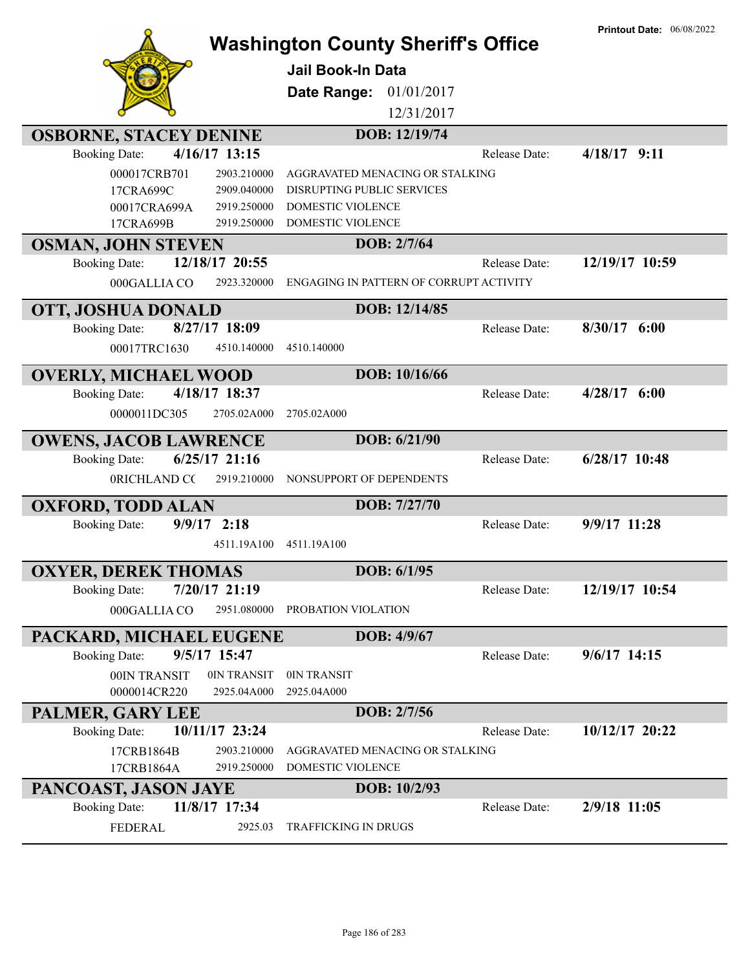| 12/31/2017<br>DOB: 12/19/74<br><b>OSBORNE, STACEY DENINE</b><br>4/16/17 13:15<br><b>Booking Date:</b><br>$4/18/17$ 9:11<br>Release Date:<br>000017CRB701<br>AGGRAVATED MENACING OR STALKING<br>2903.210000<br>2909.040000<br>DISRUPTING PUBLIC SERVICES<br>17CRA699C<br>2919.250000<br>DOMESTIC VIOLENCE<br>00017CRA699A<br>17CRA699B<br>DOMESTIC VIOLENCE<br>2919.250000<br>DOB: 2/7/64<br><b>OSMAN, JOHN STEVEN</b><br>12/19/17 10:59<br>12/18/17 20:55<br><b>Booking Date:</b><br>Release Date:<br>2923.320000<br>ENGAGING IN PATTERN OF CORRUPT ACTIVITY<br>000GALLIA CO<br>DOB: 12/14/85<br>OTT, JOSHUA DONALD<br>8/27/17 18:09<br>$8/30/17$ 6:00<br><b>Booking Date:</b><br>Release Date:<br>00017TRC1630<br>4510.140000<br>4510.140000<br>DOB: 10/16/66<br><b>OVERLY, MICHAEL WOOD</b><br>4/18/17 18:37<br>$4/28/17$ 6:00<br><b>Booking Date:</b><br>Release Date:<br>0000011DC305<br>2705.02A000<br>2705.02A000<br>DOB: 6/21/90<br><b>OWENS, JACOB LAWRENCE</b><br>$6/25/17$ 21:16<br>$6/28/17$ 10:48<br><b>Booking Date:</b><br>Release Date:<br>0RICHLAND CC<br>2919.210000<br>NONSUPPORT OF DEPENDENTS<br>DOB: 7/27/70<br><b>OXFORD, TODD ALAN</b><br>9/9/17 11:28<br><b>Booking Date:</b><br>$9/9/17$ 2:18<br>Release Date:<br>4511.19A100<br>4511.19A100<br><b>OXYER, DEREK THOMAS</b><br>DOB: 6/1/95<br>7/20/17 21:19<br>12/19/17 10:54<br><b>Booking Date:</b><br>Release Date:<br>000GALLIA CO<br>2951.080000<br>PROBATION VIOLATION<br>DOB: 4/9/67<br>PACKARD, MICHAEL EUGENE<br>9/5/17 15:47<br>$9/6/17$ 14:15<br>Release Date:<br><b>Booking Date:</b><br>00IN TRANSIT<br>0IN TRANSIT<br>0IN TRANSIT<br>2925.04A000<br>0000014CR220<br>2925.04A000<br>DOB: 2/7/56<br>PALMER, GARY LEE<br><b>Booking Date:</b><br>10/11/17 23:24<br>10/12/17 20:22<br>Release Date:<br>17CRB1864B<br>2903.210000<br>AGGRAVATED MENACING OR STALKING<br>17CRB1864A<br>2919.250000<br>DOMESTIC VIOLENCE<br>DOB: 10/2/93<br>PANCOAST, JASON JAYE<br>11/8/17 17:34<br><b>Booking Date:</b><br>2/9/18 11:05<br>Release Date:<br><b>FEDERAL</b><br>2925.03<br>TRAFFICKING IN DRUGS | <b>Washington County Sheriff's Office</b><br><b>Jail Book-In Data</b><br>01/01/2017<br>Date Range: | <b>Printout Date: 06/08/2022</b> |
|--------------------------------------------------------------------------------------------------------------------------------------------------------------------------------------------------------------------------------------------------------------------------------------------------------------------------------------------------------------------------------------------------------------------------------------------------------------------------------------------------------------------------------------------------------------------------------------------------------------------------------------------------------------------------------------------------------------------------------------------------------------------------------------------------------------------------------------------------------------------------------------------------------------------------------------------------------------------------------------------------------------------------------------------------------------------------------------------------------------------------------------------------------------------------------------------------------------------------------------------------------------------------------------------------------------------------------------------------------------------------------------------------------------------------------------------------------------------------------------------------------------------------------------------------------------------------------------------------------------------------------------------------------------------------------------------------------------------------------------------------------------------------------------------------------------------------------------------------------------------------------------------------------------------------------------------------------------------------------------------------------------------------------------------------------------------------------|----------------------------------------------------------------------------------------------------|----------------------------------|
|                                                                                                                                                                                                                                                                                                                                                                                                                                                                                                                                                                                                                                                                                                                                                                                                                                                                                                                                                                                                                                                                                                                                                                                                                                                                                                                                                                                                                                                                                                                                                                                                                                                                                                                                                                                                                                                                                                                                                                                                                                                                                |                                                                                                    |                                  |
|                                                                                                                                                                                                                                                                                                                                                                                                                                                                                                                                                                                                                                                                                                                                                                                                                                                                                                                                                                                                                                                                                                                                                                                                                                                                                                                                                                                                                                                                                                                                                                                                                                                                                                                                                                                                                                                                                                                                                                                                                                                                                |                                                                                                    |                                  |
|                                                                                                                                                                                                                                                                                                                                                                                                                                                                                                                                                                                                                                                                                                                                                                                                                                                                                                                                                                                                                                                                                                                                                                                                                                                                                                                                                                                                                                                                                                                                                                                                                                                                                                                                                                                                                                                                                                                                                                                                                                                                                |                                                                                                    |                                  |
|                                                                                                                                                                                                                                                                                                                                                                                                                                                                                                                                                                                                                                                                                                                                                                                                                                                                                                                                                                                                                                                                                                                                                                                                                                                                                                                                                                                                                                                                                                                                                                                                                                                                                                                                                                                                                                                                                                                                                                                                                                                                                |                                                                                                    |                                  |
|                                                                                                                                                                                                                                                                                                                                                                                                                                                                                                                                                                                                                                                                                                                                                                                                                                                                                                                                                                                                                                                                                                                                                                                                                                                                                                                                                                                                                                                                                                                                                                                                                                                                                                                                                                                                                                                                                                                                                                                                                                                                                |                                                                                                    |                                  |
|                                                                                                                                                                                                                                                                                                                                                                                                                                                                                                                                                                                                                                                                                                                                                                                                                                                                                                                                                                                                                                                                                                                                                                                                                                                                                                                                                                                                                                                                                                                                                                                                                                                                                                                                                                                                                                                                                                                                                                                                                                                                                |                                                                                                    |                                  |
|                                                                                                                                                                                                                                                                                                                                                                                                                                                                                                                                                                                                                                                                                                                                                                                                                                                                                                                                                                                                                                                                                                                                                                                                                                                                                                                                                                                                                                                                                                                                                                                                                                                                                                                                                                                                                                                                                                                                                                                                                                                                                |                                                                                                    |                                  |
|                                                                                                                                                                                                                                                                                                                                                                                                                                                                                                                                                                                                                                                                                                                                                                                                                                                                                                                                                                                                                                                                                                                                                                                                                                                                                                                                                                                                                                                                                                                                                                                                                                                                                                                                                                                                                                                                                                                                                                                                                                                                                |                                                                                                    |                                  |
|                                                                                                                                                                                                                                                                                                                                                                                                                                                                                                                                                                                                                                                                                                                                                                                                                                                                                                                                                                                                                                                                                                                                                                                                                                                                                                                                                                                                                                                                                                                                                                                                                                                                                                                                                                                                                                                                                                                                                                                                                                                                                |                                                                                                    |                                  |
|                                                                                                                                                                                                                                                                                                                                                                                                                                                                                                                                                                                                                                                                                                                                                                                                                                                                                                                                                                                                                                                                                                                                                                                                                                                                                                                                                                                                                                                                                                                                                                                                                                                                                                                                                                                                                                                                                                                                                                                                                                                                                |                                                                                                    |                                  |
|                                                                                                                                                                                                                                                                                                                                                                                                                                                                                                                                                                                                                                                                                                                                                                                                                                                                                                                                                                                                                                                                                                                                                                                                                                                                                                                                                                                                                                                                                                                                                                                                                                                                                                                                                                                                                                                                                                                                                                                                                                                                                |                                                                                                    |                                  |
|                                                                                                                                                                                                                                                                                                                                                                                                                                                                                                                                                                                                                                                                                                                                                                                                                                                                                                                                                                                                                                                                                                                                                                                                                                                                                                                                                                                                                                                                                                                                                                                                                                                                                                                                                                                                                                                                                                                                                                                                                                                                                |                                                                                                    |                                  |
|                                                                                                                                                                                                                                                                                                                                                                                                                                                                                                                                                                                                                                                                                                                                                                                                                                                                                                                                                                                                                                                                                                                                                                                                                                                                                                                                                                                                                                                                                                                                                                                                                                                                                                                                                                                                                                                                                                                                                                                                                                                                                |                                                                                                    |                                  |
|                                                                                                                                                                                                                                                                                                                                                                                                                                                                                                                                                                                                                                                                                                                                                                                                                                                                                                                                                                                                                                                                                                                                                                                                                                                                                                                                                                                                                                                                                                                                                                                                                                                                                                                                                                                                                                                                                                                                                                                                                                                                                |                                                                                                    |                                  |
|                                                                                                                                                                                                                                                                                                                                                                                                                                                                                                                                                                                                                                                                                                                                                                                                                                                                                                                                                                                                                                                                                                                                                                                                                                                                                                                                                                                                                                                                                                                                                                                                                                                                                                                                                                                                                                                                                                                                                                                                                                                                                |                                                                                                    |                                  |
|                                                                                                                                                                                                                                                                                                                                                                                                                                                                                                                                                                                                                                                                                                                                                                                                                                                                                                                                                                                                                                                                                                                                                                                                                                                                                                                                                                                                                                                                                                                                                                                                                                                                                                                                                                                                                                                                                                                                                                                                                                                                                |                                                                                                    |                                  |
|                                                                                                                                                                                                                                                                                                                                                                                                                                                                                                                                                                                                                                                                                                                                                                                                                                                                                                                                                                                                                                                                                                                                                                                                                                                                                                                                                                                                                                                                                                                                                                                                                                                                                                                                                                                                                                                                                                                                                                                                                                                                                |                                                                                                    |                                  |
|                                                                                                                                                                                                                                                                                                                                                                                                                                                                                                                                                                                                                                                                                                                                                                                                                                                                                                                                                                                                                                                                                                                                                                                                                                                                                                                                                                                                                                                                                                                                                                                                                                                                                                                                                                                                                                                                                                                                                                                                                                                                                |                                                                                                    |                                  |
|                                                                                                                                                                                                                                                                                                                                                                                                                                                                                                                                                                                                                                                                                                                                                                                                                                                                                                                                                                                                                                                                                                                                                                                                                                                                                                                                                                                                                                                                                                                                                                                                                                                                                                                                                                                                                                                                                                                                                                                                                                                                                |                                                                                                    |                                  |
|                                                                                                                                                                                                                                                                                                                                                                                                                                                                                                                                                                                                                                                                                                                                                                                                                                                                                                                                                                                                                                                                                                                                                                                                                                                                                                                                                                                                                                                                                                                                                                                                                                                                                                                                                                                                                                                                                                                                                                                                                                                                                |                                                                                                    |                                  |
|                                                                                                                                                                                                                                                                                                                                                                                                                                                                                                                                                                                                                                                                                                                                                                                                                                                                                                                                                                                                                                                                                                                                                                                                                                                                                                                                                                                                                                                                                                                                                                                                                                                                                                                                                                                                                                                                                                                                                                                                                                                                                |                                                                                                    |                                  |
|                                                                                                                                                                                                                                                                                                                                                                                                                                                                                                                                                                                                                                                                                                                                                                                                                                                                                                                                                                                                                                                                                                                                                                                                                                                                                                                                                                                                                                                                                                                                                                                                                                                                                                                                                                                                                                                                                                                                                                                                                                                                                |                                                                                                    |                                  |
|                                                                                                                                                                                                                                                                                                                                                                                                                                                                                                                                                                                                                                                                                                                                                                                                                                                                                                                                                                                                                                                                                                                                                                                                                                                                                                                                                                                                                                                                                                                                                                                                                                                                                                                                                                                                                                                                                                                                                                                                                                                                                |                                                                                                    |                                  |
|                                                                                                                                                                                                                                                                                                                                                                                                                                                                                                                                                                                                                                                                                                                                                                                                                                                                                                                                                                                                                                                                                                                                                                                                                                                                                                                                                                                                                                                                                                                                                                                                                                                                                                                                                                                                                                                                                                                                                                                                                                                                                |                                                                                                    |                                  |
|                                                                                                                                                                                                                                                                                                                                                                                                                                                                                                                                                                                                                                                                                                                                                                                                                                                                                                                                                                                                                                                                                                                                                                                                                                                                                                                                                                                                                                                                                                                                                                                                                                                                                                                                                                                                                                                                                                                                                                                                                                                                                |                                                                                                    |                                  |
|                                                                                                                                                                                                                                                                                                                                                                                                                                                                                                                                                                                                                                                                                                                                                                                                                                                                                                                                                                                                                                                                                                                                                                                                                                                                                                                                                                                                                                                                                                                                                                                                                                                                                                                                                                                                                                                                                                                                                                                                                                                                                |                                                                                                    |                                  |
|                                                                                                                                                                                                                                                                                                                                                                                                                                                                                                                                                                                                                                                                                                                                                                                                                                                                                                                                                                                                                                                                                                                                                                                                                                                                                                                                                                                                                                                                                                                                                                                                                                                                                                                                                                                                                                                                                                                                                                                                                                                                                |                                                                                                    |                                  |
|                                                                                                                                                                                                                                                                                                                                                                                                                                                                                                                                                                                                                                                                                                                                                                                                                                                                                                                                                                                                                                                                                                                                                                                                                                                                                                                                                                                                                                                                                                                                                                                                                                                                                                                                                                                                                                                                                                                                                                                                                                                                                |                                                                                                    |                                  |
|                                                                                                                                                                                                                                                                                                                                                                                                                                                                                                                                                                                                                                                                                                                                                                                                                                                                                                                                                                                                                                                                                                                                                                                                                                                                                                                                                                                                                                                                                                                                                                                                                                                                                                                                                                                                                                                                                                                                                                                                                                                                                |                                                                                                    |                                  |
|                                                                                                                                                                                                                                                                                                                                                                                                                                                                                                                                                                                                                                                                                                                                                                                                                                                                                                                                                                                                                                                                                                                                                                                                                                                                                                                                                                                                                                                                                                                                                                                                                                                                                                                                                                                                                                                                                                                                                                                                                                                                                |                                                                                                    |                                  |
|                                                                                                                                                                                                                                                                                                                                                                                                                                                                                                                                                                                                                                                                                                                                                                                                                                                                                                                                                                                                                                                                                                                                                                                                                                                                                                                                                                                                                                                                                                                                                                                                                                                                                                                                                                                                                                                                                                                                                                                                                                                                                |                                                                                                    |                                  |
|                                                                                                                                                                                                                                                                                                                                                                                                                                                                                                                                                                                                                                                                                                                                                                                                                                                                                                                                                                                                                                                                                                                                                                                                                                                                                                                                                                                                                                                                                                                                                                                                                                                                                                                                                                                                                                                                                                                                                                                                                                                                                |                                                                                                    |                                  |
|                                                                                                                                                                                                                                                                                                                                                                                                                                                                                                                                                                                                                                                                                                                                                                                                                                                                                                                                                                                                                                                                                                                                                                                                                                                                                                                                                                                                                                                                                                                                                                                                                                                                                                                                                                                                                                                                                                                                                                                                                                                                                |                                                                                                    |                                  |
|                                                                                                                                                                                                                                                                                                                                                                                                                                                                                                                                                                                                                                                                                                                                                                                                                                                                                                                                                                                                                                                                                                                                                                                                                                                                                                                                                                                                                                                                                                                                                                                                                                                                                                                                                                                                                                                                                                                                                                                                                                                                                |                                                                                                    |                                  |
|                                                                                                                                                                                                                                                                                                                                                                                                                                                                                                                                                                                                                                                                                                                                                                                                                                                                                                                                                                                                                                                                                                                                                                                                                                                                                                                                                                                                                                                                                                                                                                                                                                                                                                                                                                                                                                                                                                                                                                                                                                                                                |                                                                                                    |                                  |
|                                                                                                                                                                                                                                                                                                                                                                                                                                                                                                                                                                                                                                                                                                                                                                                                                                                                                                                                                                                                                                                                                                                                                                                                                                                                                                                                                                                                                                                                                                                                                                                                                                                                                                                                                                                                                                                                                                                                                                                                                                                                                |                                                                                                    |                                  |
|                                                                                                                                                                                                                                                                                                                                                                                                                                                                                                                                                                                                                                                                                                                                                                                                                                                                                                                                                                                                                                                                                                                                                                                                                                                                                                                                                                                                                                                                                                                                                                                                                                                                                                                                                                                                                                                                                                                                                                                                                                                                                |                                                                                                    |                                  |
|                                                                                                                                                                                                                                                                                                                                                                                                                                                                                                                                                                                                                                                                                                                                                                                                                                                                                                                                                                                                                                                                                                                                                                                                                                                                                                                                                                                                                                                                                                                                                                                                                                                                                                                                                                                                                                                                                                                                                                                                                                                                                |                                                                                                    |                                  |
|                                                                                                                                                                                                                                                                                                                                                                                                                                                                                                                                                                                                                                                                                                                                                                                                                                                                                                                                                                                                                                                                                                                                                                                                                                                                                                                                                                                                                                                                                                                                                                                                                                                                                                                                                                                                                                                                                                                                                                                                                                                                                |                                                                                                    |                                  |
|                                                                                                                                                                                                                                                                                                                                                                                                                                                                                                                                                                                                                                                                                                                                                                                                                                                                                                                                                                                                                                                                                                                                                                                                                                                                                                                                                                                                                                                                                                                                                                                                                                                                                                                                                                                                                                                                                                                                                                                                                                                                                |                                                                                                    |                                  |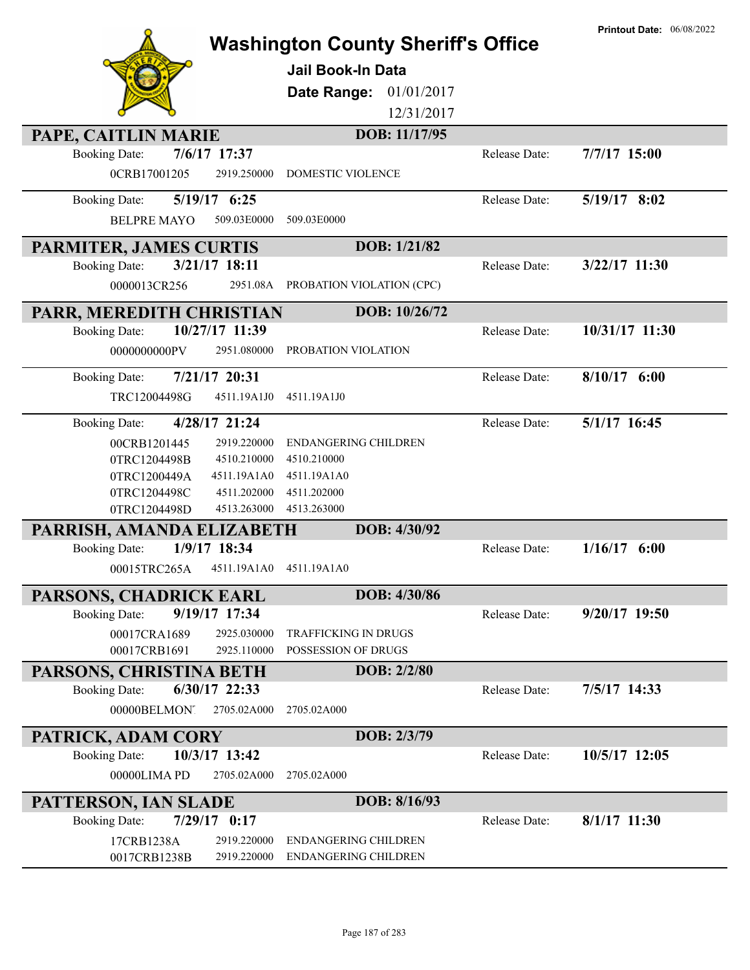|                                                            |                                             |               | <b>Printout Date: 06/08/2022</b> |
|------------------------------------------------------------|---------------------------------------------|---------------|----------------------------------|
|                                                            | <b>Washington County Sheriff's Office</b>   |               |                                  |
|                                                            | <b>Jail Book-In Data</b>                    |               |                                  |
|                                                            | 01/01/2017                                  |               |                                  |
|                                                            | Date Range:                                 |               |                                  |
|                                                            | 12/31/2017                                  |               |                                  |
| PAPE, CAITLIN MARIE                                        | DOB: 11/17/95                               |               |                                  |
| 7/6/17 17:37<br><b>Booking Date:</b>                       |                                             | Release Date: | 7/7/17 15:00                     |
| 0CRB17001205<br>2919.250000                                | <b>DOMESTIC VIOLENCE</b>                    |               |                                  |
| 5/19/17 6:25<br><b>Booking Date:</b>                       |                                             | Release Date: | 5/19/17 8:02                     |
|                                                            |                                             |               |                                  |
| <b>BELPRE MAYO</b><br>509.03E0000                          | 509.03E0000                                 |               |                                  |
| PARMITER, JAMES CURTIS                                     | DOB: 1/21/82                                |               |                                  |
| 3/21/17 18:11<br><b>Booking Date:</b>                      |                                             | Release Date: | $3/22/17$ 11:30                  |
| 0000013CR256<br>2951.08A                                   | PROBATION VIOLATION (CPC)                   |               |                                  |
|                                                            | DOB: 10/26/72                               |               |                                  |
| PARR, MEREDITH CHRISTIAN                                   |                                             |               |                                  |
| 10/27/17 11:39<br><b>Booking Date:</b>                     |                                             | Release Date: | 10/31/17 11:30                   |
| 0000000000PV<br>2951.080000                                | PROBATION VIOLATION                         |               |                                  |
| 7/21/17 20:31<br><b>Booking Date:</b>                      |                                             | Release Date: | $8/10/17$ 6:00                   |
| TRC12004498G<br>4511.19A1J0                                | 4511.19A1J0                                 |               |                                  |
|                                                            |                                             |               |                                  |
| 4/28/17 21:24<br><b>Booking Date:</b>                      |                                             | Release Date: | 5/1/17 16:45                     |
| 2919.220000<br>00CRB1201445                                | <b>ENDANGERING CHILDREN</b>                 |               |                                  |
| 0TRC1204498B<br>4510.210000                                | 4510.210000                                 |               |                                  |
| 0TRC1200449A<br>4511.19A1A0                                | 4511.19A1A0                                 |               |                                  |
| 4511.202000<br>0TRC1204498C                                | 4511.202000                                 |               |                                  |
| 0TRC1204498D<br>4513.263000                                | 4513.263000                                 |               |                                  |
| PARRISH, AMANDA ELIZABETH                                  | DOB: 4/30/92                                |               |                                  |
| 1/9/17 18:34<br><b>Booking Date:</b>                       |                                             | Release Date: | 1/16/17<br>6:00                  |
| 00015TRC265A<br>4511.19A1A0                                | 4511.19A1A0                                 |               |                                  |
| PARSONS, CHADRICK EARL                                     | DOB: 4/30/86                                |               |                                  |
| 9/19/17 17:34<br><b>Booking Date:</b>                      |                                             | Release Date: | $9/20/17$ 19:50                  |
|                                                            |                                             |               |                                  |
| 00017CRA1689<br>2925.030000<br>00017CRB1691<br>2925.110000 | TRAFFICKING IN DRUGS<br>POSSESSION OF DRUGS |               |                                  |
|                                                            |                                             |               |                                  |
| PARSONS, CHRISTINA BETH                                    | DOB: 2/2/80                                 |               |                                  |
| 6/30/17 22:33<br><b>Booking Date:</b>                      |                                             | Release Date: | 7/5/17 14:33                     |
| 2705.02A000<br>00000BELMONT                                | 2705.02A000                                 |               |                                  |
| PATRICK, ADAM CORY                                         | DOB: 2/3/79                                 |               |                                  |
| 10/3/17 13:42<br><b>Booking Date:</b>                      |                                             | Release Date: | 10/5/17 12:05                    |
| 2705.02A000<br>00000LIMA PD                                | 2705.02A000                                 |               |                                  |
|                                                            |                                             |               |                                  |
| PATTERSON, IAN SLADE                                       | DOB: 8/16/93                                |               |                                  |
| $7/29/17$ 0:17<br><b>Booking Date:</b>                     |                                             | Release Date: | $8/1/17$ 11:30                   |
| 17CRB1238A<br>2919.220000                                  | ENDANGERING CHILDREN                        |               |                                  |
| 0017CRB1238B<br>2919.220000                                | ENDANGERING CHILDREN                        |               |                                  |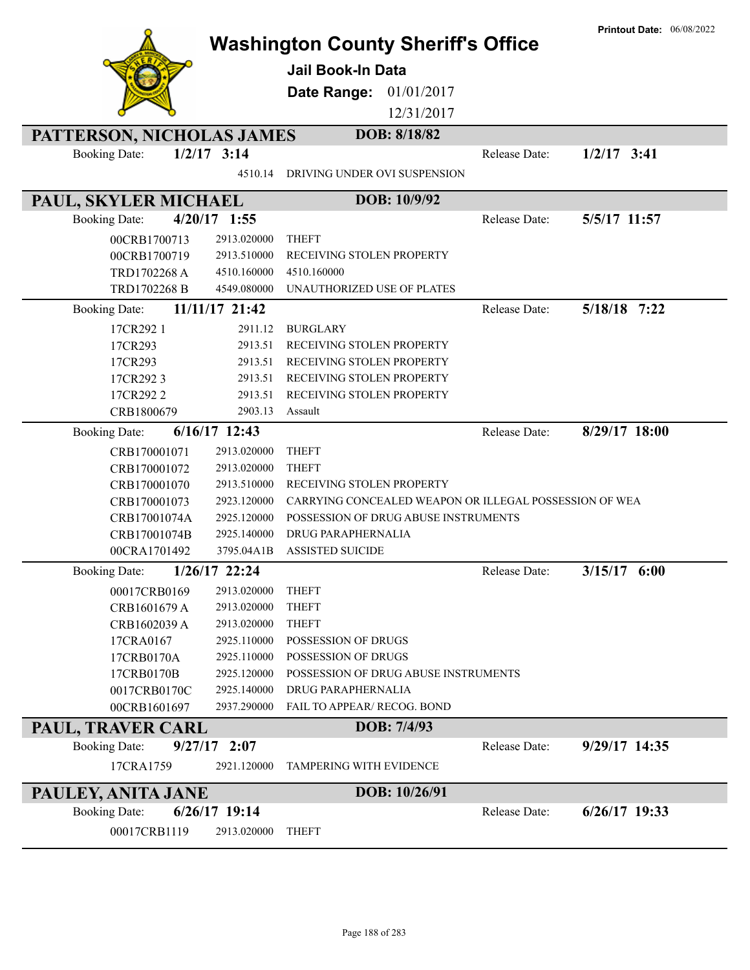|                           |                 |                                                        |               | <b>Printout Date: 06/08/2022</b> |
|---------------------------|-----------------|--------------------------------------------------------|---------------|----------------------------------|
|                           |                 | <b>Washington County Sheriff's Office</b>              |               |                                  |
|                           |                 | <b>Jail Book-In Data</b>                               |               |                                  |
|                           |                 |                                                        |               |                                  |
|                           |                 | Date Range:<br>01/01/2017                              |               |                                  |
|                           |                 | 12/31/2017                                             |               |                                  |
|                           |                 | DOB: 8/18/82                                           |               |                                  |
| PATTERSON, NICHOLAS JAMES |                 |                                                        |               |                                  |
| <b>Booking Date:</b>      | $1/2/17$ 3:14   |                                                        | Release Date: | $1/2/17$ 3:41                    |
|                           | 4510.14         | DRIVING UNDER OVI SUSPENSION                           |               |                                  |
| PAUL, SKYLER MICHAEL      |                 | DOB: 10/9/92                                           |               |                                  |
| <b>Booking Date:</b>      | $4/20/17$ 1:55  |                                                        | Release Date: | 5/5/17 11:57                     |
|                           |                 |                                                        |               |                                  |
| 00CRB1700713              | 2913.020000     | <b>THEFT</b>                                           |               |                                  |
| 00CRB1700719              | 2913.510000     | RECEIVING STOLEN PROPERTY                              |               |                                  |
| TRD1702268 A              | 4510.160000     | 4510.160000                                            |               |                                  |
| TRD1702268 B              | 4549.080000     | UNAUTHORIZED USE OF PLATES                             |               |                                  |
| <b>Booking Date:</b>      | 11/11/17 21:42  |                                                        | Release Date: | 5/18/18 7:22                     |
| 17CR292 1                 | 2911.12         | <b>BURGLARY</b>                                        |               |                                  |
| 17CR293                   | 2913.51         | RECEIVING STOLEN PROPERTY                              |               |                                  |
| 17CR293                   | 2913.51         | RECEIVING STOLEN PROPERTY                              |               |                                  |
| 17CR2923                  | 2913.51         | RECEIVING STOLEN PROPERTY                              |               |                                  |
| 17CR2922                  | 2913.51         | RECEIVING STOLEN PROPERTY                              |               |                                  |
| CRB1800679                | 2903.13         | Assault                                                |               |                                  |
| <b>Booking Date:</b>      | 6/16/17 12:43   |                                                        | Release Date: | 8/29/17 18:00                    |
| CRB170001071              | 2913.020000     | <b>THEFT</b>                                           |               |                                  |
| CRB170001072              | 2913.020000     | <b>THEFT</b>                                           |               |                                  |
| CRB170001070              | 2913.510000     | RECEIVING STOLEN PROPERTY                              |               |                                  |
| CRB170001073              | 2923.120000     | CARRYING CONCEALED WEAPON OR ILLEGAL POSSESSION OF WEA |               |                                  |
| CRB17001074A              | 2925.120000     | POSSESSION OF DRUG ABUSE INSTRUMENTS                   |               |                                  |
| CRB17001074B              | 2925.140000     | DRUG PARAPHERNALIA                                     |               |                                  |
| 00CRA1701492              | 3795.04A1B      | <b>ASSISTED SUICIDE</b>                                |               |                                  |
|                           | 1/26/17 22:24   |                                                        |               | 6:00<br>3/15/17                  |
| <b>Booking Date:</b>      |                 |                                                        | Release Date: |                                  |
| 00017CRB0169              | 2913.020000     | <b>THEFT</b>                                           |               |                                  |
| CRB1601679 A              | 2913.020000     | <b>THEFT</b>                                           |               |                                  |
| CRB1602039 A              | 2913.020000     | <b>THEFT</b>                                           |               |                                  |
| 17CRA0167                 | 2925.110000     | POSSESSION OF DRUGS                                    |               |                                  |
| 17CRB0170A                | 2925.110000     | POSSESSION OF DRUGS                                    |               |                                  |
| 17CRB0170B                | 2925.120000     | POSSESSION OF DRUG ABUSE INSTRUMENTS                   |               |                                  |
| 0017CRB0170C              | 2925.140000     | DRUG PARAPHERNALIA                                     |               |                                  |
| 00CRB1601697              | 2937.290000     | FAIL TO APPEAR/ RECOG. BOND                            |               |                                  |
| PAUL, TRAVER CARL         |                 | DOB: 7/4/93                                            |               |                                  |
| <b>Booking Date:</b>      | $9/27/17$ 2:07  |                                                        | Release Date: | 9/29/17 14:35                    |
| 17CRA1759                 | 2921.120000     | <b>TAMPERING WITH EVIDENCE</b>                         |               |                                  |
| PAULEY, ANITA JANE        |                 | DOB: 10/26/91                                          |               |                                  |
| <b>Booking Date:</b>      | $6/26/17$ 19:14 |                                                        | Release Date: | $6/26/17$ 19:33                  |
| 00017CRB1119              | 2913.020000     | <b>THEFT</b>                                           |               |                                  |
|                           |                 |                                                        |               |                                  |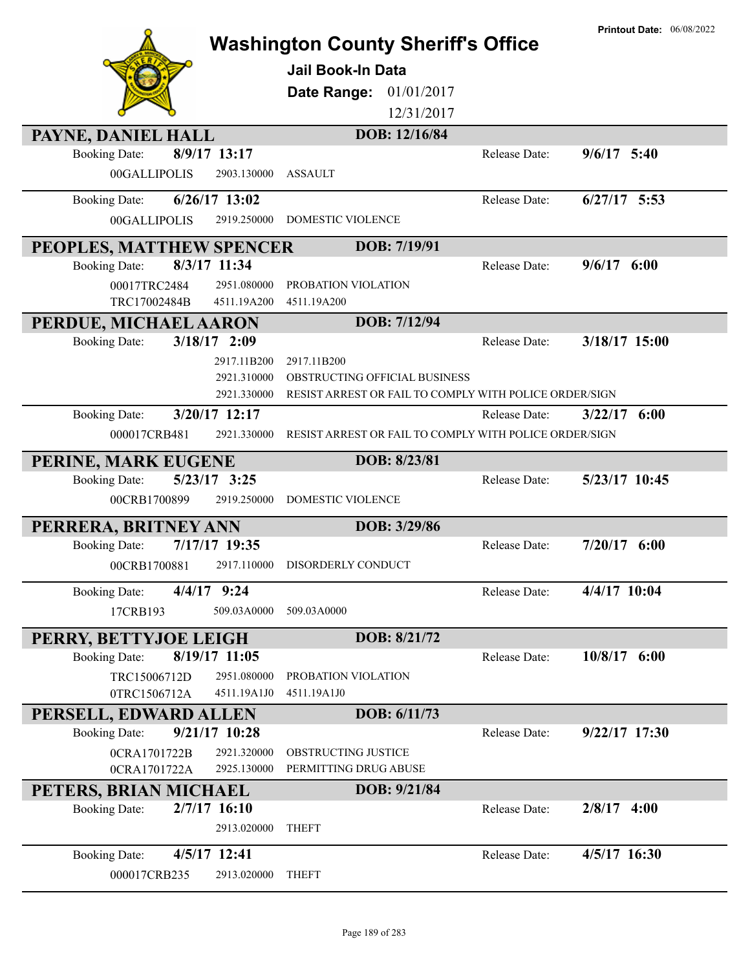|                                               |                                           | <b>Washington County Sheriff's Office</b><br><b>Jail Book-In Data</b><br>Date Range:<br>01/01/2017<br>12/31/2017 |               | <b>Printout Date: 06/08/2022</b> |
|-----------------------------------------------|-------------------------------------------|------------------------------------------------------------------------------------------------------------------|---------------|----------------------------------|
| PAYNE, DANIEL HALL                            |                                           | DOB: 12/16/84                                                                                                    |               |                                  |
| <b>Booking Date:</b><br>00GALLIPOLIS          | 8/9/17 13:17<br>2903.130000               | <b>ASSAULT</b>                                                                                                   | Release Date: | $9/6/17$ 5:40                    |
| <b>Booking Date:</b>                          | 6/26/17 13:02                             |                                                                                                                  | Release Date: | $6/27/17$ 5:53                   |
| 00GALLIPOLIS                                  | 2919.250000                               | DOMESTIC VIOLENCE                                                                                                |               |                                  |
| PEOPLES, MATTHEW SPENCER                      |                                           | DOB: 7/19/91                                                                                                     |               |                                  |
| <b>Booking Date:</b>                          | 8/3/17 11:34                              |                                                                                                                  | Release Date: | $9/6/17$ 6:00                    |
| 00017TRC2484<br>TRC17002484B                  | 2951.080000<br>4511.19A200                | PROBATION VIOLATION<br>4511.19A200                                                                               |               |                                  |
| PERDUE, MICHAEL AARON                         |                                           | DOB: 7/12/94                                                                                                     |               |                                  |
| <b>Booking Date:</b>                          | $3/18/17$ 2:09                            |                                                                                                                  | Release Date: | 3/18/17 15:00                    |
|                                               | 2917.11B200<br>2921.310000<br>2921.330000 | 2917.11B200<br>OBSTRUCTING OFFICIAL BUSINESS<br>RESIST ARREST OR FAIL TO COMPLY WITH POLICE ORDER/SIGN           |               |                                  |
| <b>Booking Date:</b>                          | 3/20/17 12:17                             |                                                                                                                  | Release Date: | $3/22/17$ 6:00                   |
| 000017CRB481                                  | 2921.330000                               | RESIST ARREST OR FAIL TO COMPLY WITH POLICE ORDER/SIGN                                                           |               |                                  |
| PERINE, MARK EUGENE                           |                                           | DOB: 8/23/81                                                                                                     |               |                                  |
| <b>Booking Date:</b>                          | 5/23/17 3:25                              |                                                                                                                  | Release Date: | 5/23/17 10:45                    |
|                                               |                                           |                                                                                                                  |               |                                  |
| 00CRB1700899                                  | 2919.250000                               | <b>DOMESTIC VIOLENCE</b>                                                                                         |               |                                  |
|                                               |                                           | DOB: 3/29/86                                                                                                     |               |                                  |
| PERRERA, BRITNEY ANN<br><b>Booking Date:</b>  | 7/17/17 19:35                             |                                                                                                                  | Release Date: | $7/20/17$ 6:00                   |
| 00CRB1700881                                  | 2917.110000                               | DISORDERLY CONDUCT                                                                                               |               |                                  |
| <b>Booking Date:</b>                          | 4/4/17 9:24                               |                                                                                                                  | Release Date: | 4/4/17 10:04                     |
| 17CRB193                                      | 509.03A0000                               | 509.03A0000                                                                                                      |               |                                  |
|                                               |                                           | DOB: 8/21/72                                                                                                     |               |                                  |
| PERRY, BETTYJOE LEIGH<br><b>Booking Date:</b> | 8/19/17 11:05                             |                                                                                                                  | Release Date: | $10/8/17$ 6:00                   |
| TRC15006712D                                  | 2951.080000                               | PROBATION VIOLATION                                                                                              |               |                                  |
| 0TRC1506712A                                  | 4511.19A1J0                               | 4511.19A1J0                                                                                                      |               |                                  |
| PERSELL, EDWARD ALLEN                         |                                           | DOB: 6/11/73                                                                                                     |               |                                  |
| <b>Booking Date:</b>                          | 9/21/17 10:28                             |                                                                                                                  | Release Date: | $9/22/17$ 17:30                  |
| 0CRA1701722B<br>0CRA1701722A                  | 2921.320000<br>2925.130000                | OBSTRUCTING JUSTICE<br>PERMITTING DRUG ABUSE                                                                     |               |                                  |
| PETERS, BRIAN MICHAEL                         |                                           | DOB: 9/21/84                                                                                                     |               |                                  |
| <b>Booking Date:</b>                          | $2/7/17$ 16:10<br>2913.020000             | <b>THEFT</b>                                                                                                     | Release Date: | $2/8/17$ 4:00                    |
| <b>Booking Date:</b>                          | 4/5/17 12:41                              |                                                                                                                  | Release Date: | 4/5/17 16:30                     |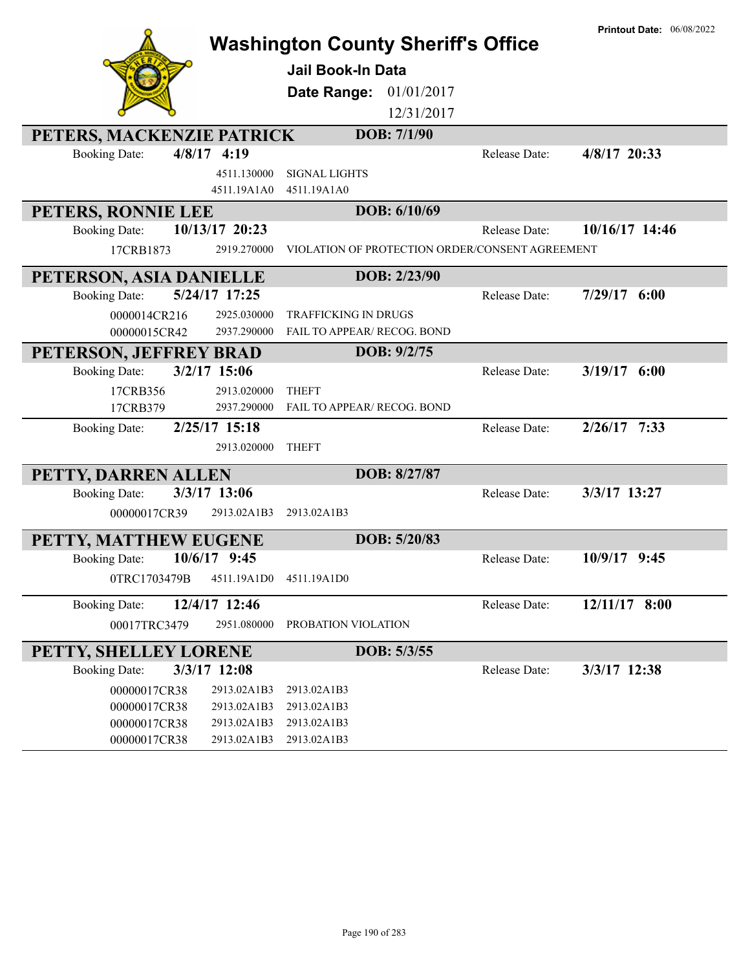|                           |                            | <b>Washington County Sheriff's Office</b>  |              |                                                 | <b>Printout Date: 06/08/2022</b> |
|---------------------------|----------------------------|--------------------------------------------|--------------|-------------------------------------------------|----------------------------------|
|                           |                            | <b>Jail Book-In Data</b>                   |              |                                                 |                                  |
|                           |                            |                                            |              |                                                 |                                  |
|                           |                            | Date Range:                                | 01/01/2017   |                                                 |                                  |
|                           |                            |                                            | 12/31/2017   |                                                 |                                  |
| PETERS, MACKENZIE PATRICK |                            |                                            | DOB: 7/1/90  |                                                 |                                  |
| <b>Booking Date:</b>      | $4/8/17$ 4:19              |                                            |              | Release Date:                                   | 4/8/17 20:33                     |
|                           | 4511.130000<br>4511.19A1A0 | <b>SIGNAL LIGHTS</b><br>4511.19A1A0        |              |                                                 |                                  |
| PETERS, RONNIE LEE        |                            |                                            | DOB: 6/10/69 |                                                 |                                  |
| <b>Booking Date:</b>      | 10/13/17 20:23             |                                            |              | Release Date:                                   | 10/16/17 14:46                   |
| 17CRB1873                 | 2919.270000                |                                            |              | VIOLATION OF PROTECTION ORDER/CONSENT AGREEMENT |                                  |
|                           |                            |                                            |              |                                                 |                                  |
| PETERSON, ASIA DANIELLE   |                            |                                            | DOB: 2/23/90 |                                                 |                                  |
| <b>Booking Date:</b>      | 5/24/17 17:25              |                                            |              | Release Date:                                   | $7/29/17$ 6:00                   |
| 0000014CR216              | 2925.030000                | <b>TRAFFICKING IN DRUGS</b>                |              |                                                 |                                  |
| 00000015CR42              | 2937.290000                | FAIL TO APPEAR/ RECOG. BOND                |              |                                                 |                                  |
| PETERSON, JEFFREY BRAD    | 3/2/17 15:06               |                                            | DOB: 9/2/75  | Release Date:                                   | $3/19/17$ 6:00                   |
| <b>Booking Date:</b>      |                            |                                            |              |                                                 |                                  |
| 17CRB356<br>17CRB379      | 2913.020000<br>2937.290000 | <b>THEFT</b><br>FAIL TO APPEAR/RECOG. BOND |              |                                                 |                                  |
| <b>Booking Date:</b>      | 2/25/17 15:18              |                                            |              | Release Date:                                   | $2/26/17$ 7:33                   |
|                           | 2913.020000                | <b>THEFT</b>                               |              |                                                 |                                  |
|                           |                            |                                            |              |                                                 |                                  |
| PETTY, DARREN ALLEN       |                            |                                            | DOB: 8/27/87 |                                                 |                                  |
| <b>Booking Date:</b>      | 3/3/17 13:06               |                                            |              | Release Date:                                   | 3/3/17 13:27                     |
| 00000017CR39              | 2913.02A1B3                | 2913.02A1B3                                |              |                                                 |                                  |
| PETTY, MATTHEW EUGENE     |                            |                                            | DOB: 5/20/83 |                                                 |                                  |
| <b>Booking Date:</b>      | 10/6/17 9:45               |                                            |              | Release Date:                                   | $10/9/17$ 9:45                   |
| 0TRC1703479B              | 4511.19A1D0                | 4511.19A1D0                                |              |                                                 |                                  |
| <b>Booking Date:</b>      | 12/4/17 12:46              |                                            |              | Release Date:                                   | 12/11/17 8:00                    |
| 00017TRC3479              | 2951.080000                | PROBATION VIOLATION                        |              |                                                 |                                  |
| PETTY, SHELLEY LORENE     |                            |                                            | DOB: 5/3/55  |                                                 |                                  |
| <b>Booking Date:</b>      | 3/3/17 12:08               |                                            |              | Release Date:                                   | 3/3/17 12:38                     |
| 00000017CR38              | 2913.02A1B3                | 2913.02A1B3                                |              |                                                 |                                  |
| 00000017CR38              | 2913.02A1B3                | 2913.02A1B3                                |              |                                                 |                                  |
| 00000017CR38              | 2913.02A1B3                | 2913.02A1B3                                |              |                                                 |                                  |
| 00000017CR38              | 2913.02A1B3                | 2913.02A1B3                                |              |                                                 |                                  |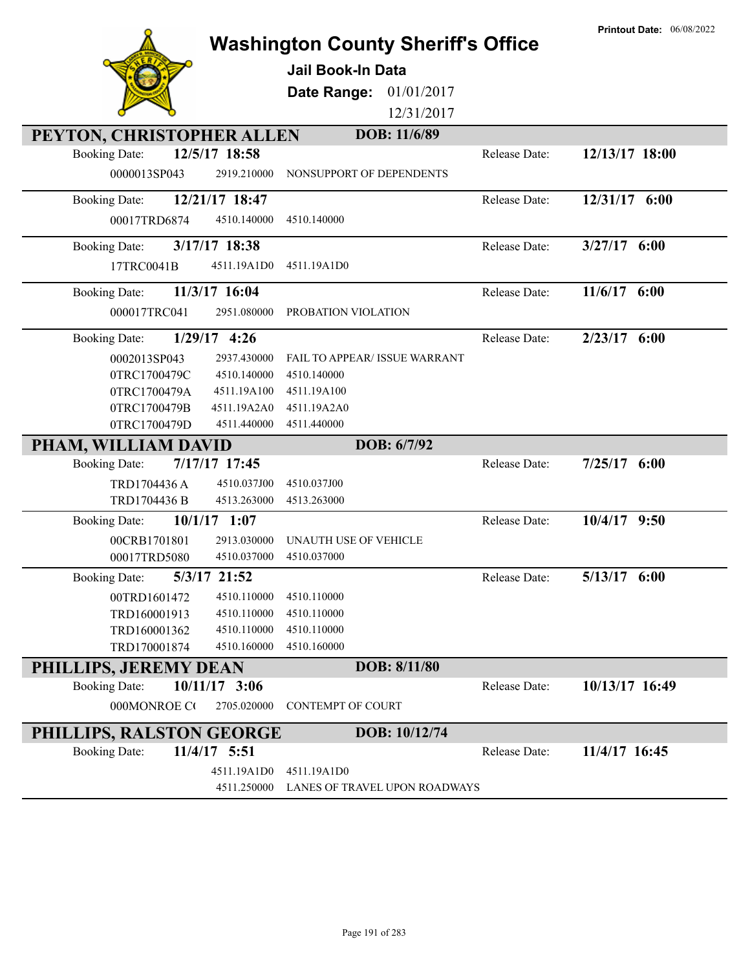|                                                                    |                                           |               | <b>Printout Date: 06/08/2022</b> |
|--------------------------------------------------------------------|-------------------------------------------|---------------|----------------------------------|
|                                                                    | <b>Washington County Sheriff's Office</b> |               |                                  |
|                                                                    | Jail Book-In Data                         |               |                                  |
|                                                                    | 01/01/2017<br>Date Range:                 |               |                                  |
|                                                                    | 12/31/2017                                |               |                                  |
|                                                                    | DOB: 11/6/89                              |               |                                  |
| PEYTON, CHRISTOPHER ALLEN<br>12/5/17 18:58<br><b>Booking Date:</b> |                                           | Release Date: | 12/13/17 18:00                   |
| 0000013SP043<br>2919.210000                                        | NONSUPPORT OF DEPENDENTS                  |               |                                  |
|                                                                    |                                           |               |                                  |
| 12/21/17 18:47<br><b>Booking Date:</b>                             |                                           | Release Date: | 12/31/17 6:00                    |
| 4510.140000<br>00017TRD6874                                        | 4510.140000                               |               |                                  |
| 3/17/17 18:38<br><b>Booking Date:</b>                              |                                           | Release Date: | $3/27/17$ 6:00                   |
| 17TRC0041B<br>4511.19A1D0                                          | 4511.19A1D0                               |               |                                  |
| 11/3/17 16:04<br><b>Booking Date:</b>                              |                                           | Release Date: | $11/6/17$ 6:00                   |
| 000017TRC041<br>2951.080000                                        | PROBATION VIOLATION                       |               |                                  |
|                                                                    |                                           |               |                                  |
| $1/29/17$ 4:26<br><b>Booking Date:</b>                             |                                           | Release Date: | $2/23/17$ 6:00                   |
| 0002013SP043<br>2937.430000                                        | <b>FAIL TO APPEAR/ ISSUE WARRANT</b>      |               |                                  |
| 0TRC1700479C<br>4510.140000                                        | 4510.140000                               |               |                                  |
| 0TRC1700479A<br>4511.19A100                                        | 4511.19A100                               |               |                                  |
| 0TRC1700479B<br>4511.19A2A0                                        | 4511.19A2A0                               |               |                                  |
| 0TRC1700479D<br>4511.440000                                        | 4511.440000                               |               |                                  |
| PHAM, WILLIAM DAVID                                                | DOB: 6/7/92                               |               |                                  |
| 7/17/17 17:45<br><b>Booking Date:</b>                              |                                           | Release Date: | 7/25/17<br>6:00                  |
| TRD1704436 A<br>4510.037J00                                        | 4510.037J00                               |               |                                  |
| TRD1704436 B<br>4513.263000                                        | 4513.263000                               |               |                                  |
| $10/1/17$ 1:07<br><b>Booking Date:</b>                             |                                           | Release Date: | 10/4/17 9:50                     |
| 2913.030000<br>00CRB1701801                                        | UNAUTH USE OF VEHICLE                     |               |                                  |
| 00017TRD5080<br>4510.037000                                        | 4510.037000                               |               |                                  |
| <b>Booking Date:</b><br>5/3/17 21:52                               |                                           | Release Date: | $5/13/17$ 6:00                   |
| 00TRD1601472<br>4510.110000                                        | 4510.110000                               |               |                                  |
| TRD160001913<br>4510.110000                                        | 4510.110000                               |               |                                  |
| TRD160001362<br>4510.110000                                        | 4510.110000                               |               |                                  |
| TRD170001874<br>4510.160000                                        | 4510.160000                               |               |                                  |
| PHILLIPS, JEREMY DEAN                                              | DOB: 8/11/80                              |               |                                  |
| 10/11/17 3:06<br><b>Booking Date:</b>                              |                                           | Release Date: | 10/13/17 16:49                   |
| 000MONROE CO<br>2705.020000                                        | <b>CONTEMPT OF COURT</b>                  |               |                                  |
| PHILLIPS, RALSTON GEORGE                                           | DOB: 10/12/74                             |               |                                  |
| 11/4/17 5:51<br><b>Booking Date:</b>                               |                                           | Release Date: | 11/4/17 16:45                    |
| 4511.19A1D0                                                        | 4511.19A1D0                               |               |                                  |
| 4511.250000                                                        | LANES OF TRAVEL UPON ROADWAYS             |               |                                  |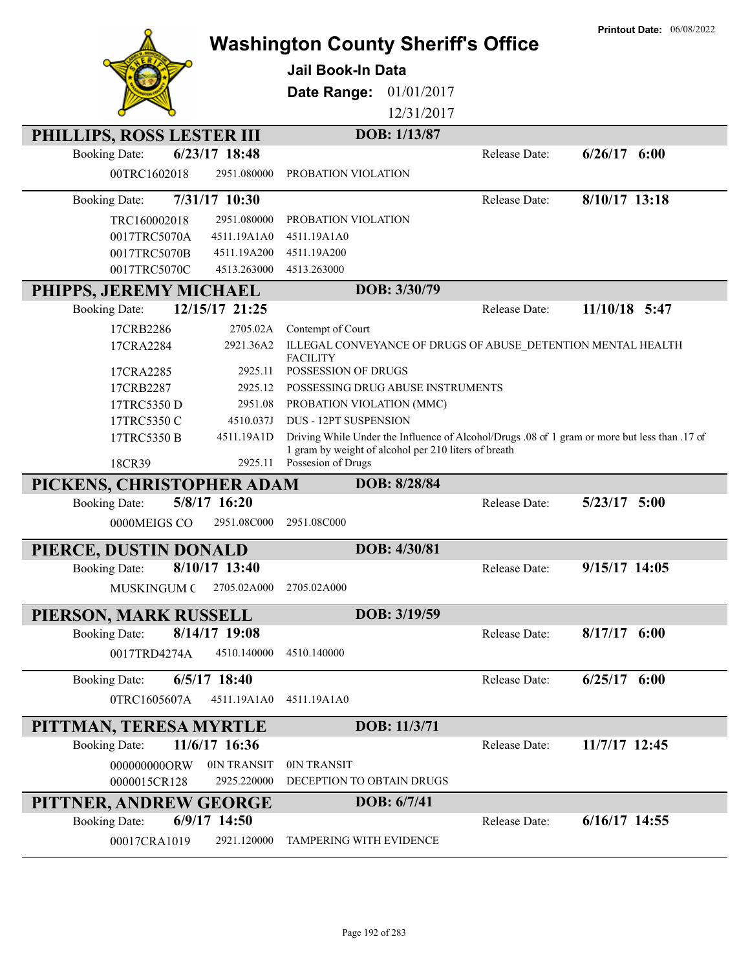|                                        |                                               |                                                                                               | <b>Printout Date: 06/08/2022</b> |  |
|----------------------------------------|-----------------------------------------------|-----------------------------------------------------------------------------------------------|----------------------------------|--|
|                                        |                                               | <b>Washington County Sheriff's Office</b>                                                     |                                  |  |
|                                        | <b>Jail Book-In Data</b>                      |                                                                                               |                                  |  |
|                                        | Date Range:                                   | 01/01/2017                                                                                    |                                  |  |
|                                        |                                               | 12/31/2017                                                                                    |                                  |  |
|                                        |                                               |                                                                                               |                                  |  |
| PHILLIPS, ROSS LESTER III              |                                               | DOB: 1/13/87                                                                                  |                                  |  |
| 6/23/17 18:48<br><b>Booking Date:</b>  |                                               | Release Date:                                                                                 | $6/26/17$ $6:00$                 |  |
| 00TRC1602018                           | 2951.080000<br>PROBATION VIOLATION            |                                                                                               |                                  |  |
| 7/31/17 10:30<br><b>Booking Date:</b>  |                                               | Release Date:                                                                                 | 8/10/17 13:18                    |  |
| TRC160002018                           | 2951.080000<br>PROBATION VIOLATION            |                                                                                               |                                  |  |
| 0017TRC5070A                           | 4511.19A1A0<br>4511.19A1A0                    |                                                                                               |                                  |  |
| 0017TRC5070B                           | 4511.19A200<br>4511.19A200                    |                                                                                               |                                  |  |
| 0017TRC5070C                           | 4513.263000<br>4513.263000                    |                                                                                               |                                  |  |
| PHIPPS, JEREMY MICHAEL                 |                                               | DOB: 3/30/79                                                                                  |                                  |  |
| 12/15/17 21:25<br><b>Booking Date:</b> |                                               | Release Date:                                                                                 | 11/10/18 5:47                    |  |
| 17CRB2286                              | 2705.02A<br>Contempt of Court                 |                                                                                               |                                  |  |
| 17CRA2284                              | 2921.36A2                                     | ILLEGAL CONVEYANCE OF DRUGS OF ABUSE_DETENTION MENTAL HEALTH                                  |                                  |  |
|                                        | <b>FACILITY</b><br><b>POSSESSION OF DRUGS</b> |                                                                                               |                                  |  |
| 17CRA2285<br>17CRB2287                 | 2925.11<br>2925.12                            | POSSESSING DRUG ABUSE INSTRUMENTS                                                             |                                  |  |
| 17TRC5350 D                            | 2951.08<br>PROBATION VIOLATION (MMC)          |                                                                                               |                                  |  |
| 17TRC5350 C                            | <b>DUS - 12PT SUSPENSION</b><br>4510.037J     |                                                                                               |                                  |  |
| 17TRC5350 B                            | 4511.19A1D                                    | Driving While Under the Influence of Alcohol/Drugs .08 of 1 gram or more but less than .17 of |                                  |  |
|                                        |                                               | 1 gram by weight of alcohol per 210 liters of breath                                          |                                  |  |
| 18CR39                                 | Possesion of Drugs<br>2925.11                 |                                                                                               |                                  |  |
| PICKENS, CHRISTOPHER ADAM              |                                               | DOB: 8/28/84                                                                                  |                                  |  |
| 5/8/17 16:20<br><b>Booking Date:</b>   |                                               | Release Date:                                                                                 | $5/23/17$ $5:00$                 |  |
| 0000MEIGS CO                           | 2951.08C000<br>2951.08C000                    |                                                                                               |                                  |  |
| PIERCE, DUSTIN DONALD                  |                                               | DOB: 4/30/81                                                                                  |                                  |  |
| 8/10/17 13:40<br><b>Booking Date:</b>  |                                               | Release Date:                                                                                 | 9/15/17 14:05                    |  |
| <b>MUSKINGUM C</b>                     | 2705.02A000<br>2705.02A000                    |                                                                                               |                                  |  |
|                                        |                                               |                                                                                               |                                  |  |
| PIERSON, MARK RUSSELL<br>8/14/17 19:08 |                                               | DOB: 3/19/59                                                                                  | $8/17/17$ 6:00                   |  |
| <b>Booking Date:</b>                   |                                               | Release Date:                                                                                 |                                  |  |
| 0017TRD4274A                           | 4510.140000<br>4510.140000                    |                                                                                               |                                  |  |
| $6/5/17$ 18:40<br><b>Booking Date:</b> |                                               | Release Date:                                                                                 | $6/25/17$ $6:00$                 |  |
| 0TRC1605607A                           | 4511.19A1A0<br>4511.19A1A0                    |                                                                                               |                                  |  |
| PITTMAN, TERESA MYRTLE                 |                                               | DOB: 11/3/71                                                                                  |                                  |  |
| 11/6/17 16:36<br><b>Booking Date:</b>  |                                               | Release Date:                                                                                 | 11/7/17 12:45                    |  |
| 0000000000RW                           | 0IN TRANSIT<br>0IN TRANSIT                    |                                                                                               |                                  |  |
| 0000015CR128                           | DECEPTION TO OBTAIN DRUGS<br>2925.220000      |                                                                                               |                                  |  |
| PITTNER, ANDREW GEORGE                 |                                               | DOB: 6/7/41                                                                                   |                                  |  |
| 6/9/17 14:50<br><b>Booking Date:</b>   |                                               | Release Date:                                                                                 | $6/16/17$ 14:55                  |  |
| 00017CRA1019                           | 2921.120000<br>TAMPERING WITH EVIDENCE        |                                                                                               |                                  |  |
|                                        |                                               |                                                                                               |                                  |  |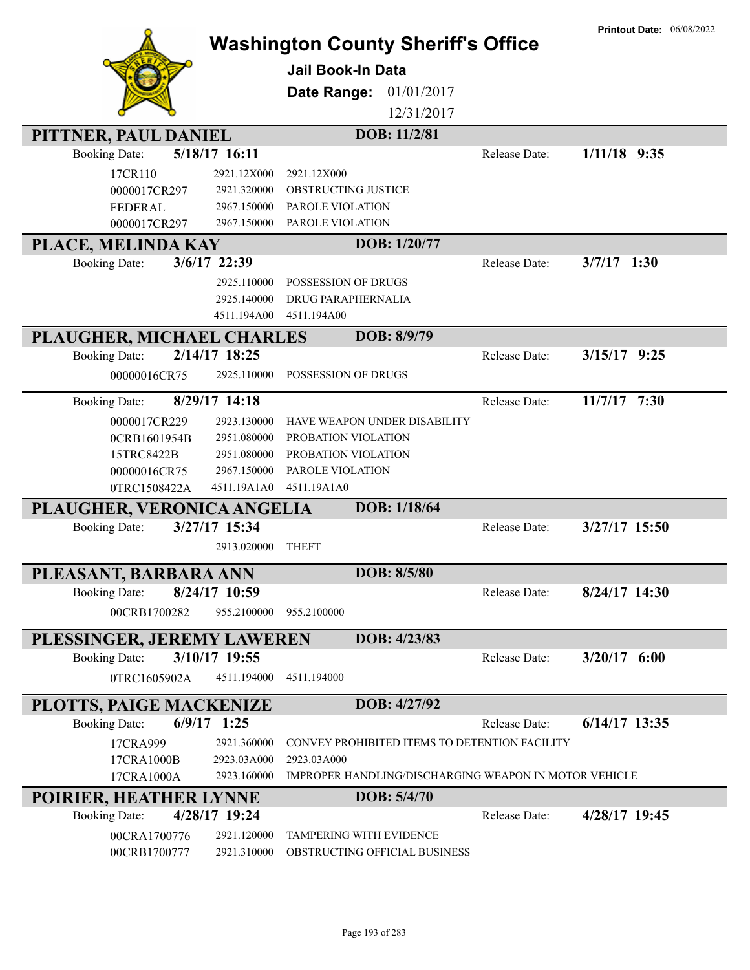|                                       | <b>Washington County Sheriff's Office</b>             |               | <b>Printout Date: 06/08/2022</b> |
|---------------------------------------|-------------------------------------------------------|---------------|----------------------------------|
|                                       | <b>Jail Book-In Data</b>                              |               |                                  |
|                                       |                                                       |               |                                  |
|                                       | Date Range:<br>01/01/2017                             |               |                                  |
|                                       | 12/31/2017                                            |               |                                  |
| PITTNER, PAUL DANIEL                  | DOB: 11/2/81                                          |               |                                  |
| 5/18/17 16:11<br><b>Booking Date:</b> |                                                       | Release Date: | $1/11/18$ 9:35                   |
| 17CR110<br>2921.12X000                | 2921.12X000                                           |               |                                  |
| 0000017CR297<br>2921.320000           | OBSTRUCTING JUSTICE                                   |               |                                  |
| FEDERAL<br>2967.150000                | PAROLE VIOLATION                                      |               |                                  |
| 0000017CR297<br>2967.150000           | PAROLE VIOLATION                                      |               |                                  |
| PLACE, MELINDA KAY                    | DOB: 1/20/77                                          |               |                                  |
| 3/6/17 22:39<br><b>Booking Date:</b>  |                                                       | Release Date: | $3/7/17$ 1:30                    |
| 2925.110000                           | POSSESSION OF DRUGS                                   |               |                                  |
| 2925.140000                           | DRUG PARAPHERNALIA                                    |               |                                  |
| 4511.194A00                           | 4511.194A00                                           |               |                                  |
| PLAUGHER, MICHAEL CHARLES             | DOB: 8/9/79                                           |               |                                  |
| 2/14/17 18:25<br><b>Booking Date:</b> |                                                       | Release Date: | $3/15/17$ 9:25                   |
| 00000016CR75<br>2925.110000           | POSSESSION OF DRUGS                                   |               |                                  |
| 8/29/17 14:18<br><b>Booking Date:</b> |                                                       | Release Date: | 11/7/17 7:30                     |
| 0000017CR229<br>2923.130000           | HAVE WEAPON UNDER DISABILITY                          |               |                                  |
| 2951.080000<br>0CRB1601954B           | PROBATION VIOLATION                                   |               |                                  |
| 2951.080000<br>15TRC8422B             | PROBATION VIOLATION                                   |               |                                  |
| 2967.150000<br>00000016CR75           | PAROLE VIOLATION                                      |               |                                  |
| 0TRC1508422A<br>4511.19A1A0           | 4511.19A1A0                                           |               |                                  |
| PLAUGHER, VERONICA ANGELIA            | DOB: 1/18/64                                          |               |                                  |
| 3/27/17 15:34<br><b>Booking Date:</b> |                                                       | Release Date: | 3/27/17 15:50                    |
| 2913.020000                           | <b>THEFT</b>                                          |               |                                  |
| PLEASANT, BARBARA ANN                 | DOB: 8/5/80                                           |               |                                  |
| 8/24/17 10:59<br><b>Booking Date:</b> |                                                       | Release Date: | 8/24/17 14:30                    |
| 00CRB1700282<br>955.2100000           | 955.2100000                                           |               |                                  |
| PLESSINGER, JEREMY LAWEREN            | DOB: 4/23/83                                          |               |                                  |
| 3/10/17 19:55<br><b>Booking Date:</b> |                                                       | Release Date: | $3/20/17$ 6:00                   |
| 0TRC1605902A<br>4511.194000           | 4511.194000                                           |               |                                  |
| PLOTTS, PAIGE MACKENIZE               | DOB: 4/27/92                                          |               |                                  |
| $6/9/17$ 1:25<br><b>Booking Date:</b> |                                                       | Release Date: | $6/14/17$ 13:35                  |
| 17CRA999<br>2921.360000               | CONVEY PROHIBITED ITEMS TO DETENTION FACILITY         |               |                                  |
| 17CRA1000B<br>2923.03A000             | 2923.03A000                                           |               |                                  |
| 2923.160000<br>17CRA1000A             | IMPROPER HANDLING/DISCHARGING WEAPON IN MOTOR VEHICLE |               |                                  |
| POIRIER, HEATHER LYNNE                | DOB: 5/4/70                                           |               |                                  |
| 4/28/17 19:24<br><b>Booking Date:</b> |                                                       | Release Date: | 4/28/17 19:45                    |
| 00CRA1700776<br>2921.120000           | TAMPERING WITH EVIDENCE                               |               |                                  |
| 00CRB1700777<br>2921.310000           | OBSTRUCTING OFFICIAL BUSINESS                         |               |                                  |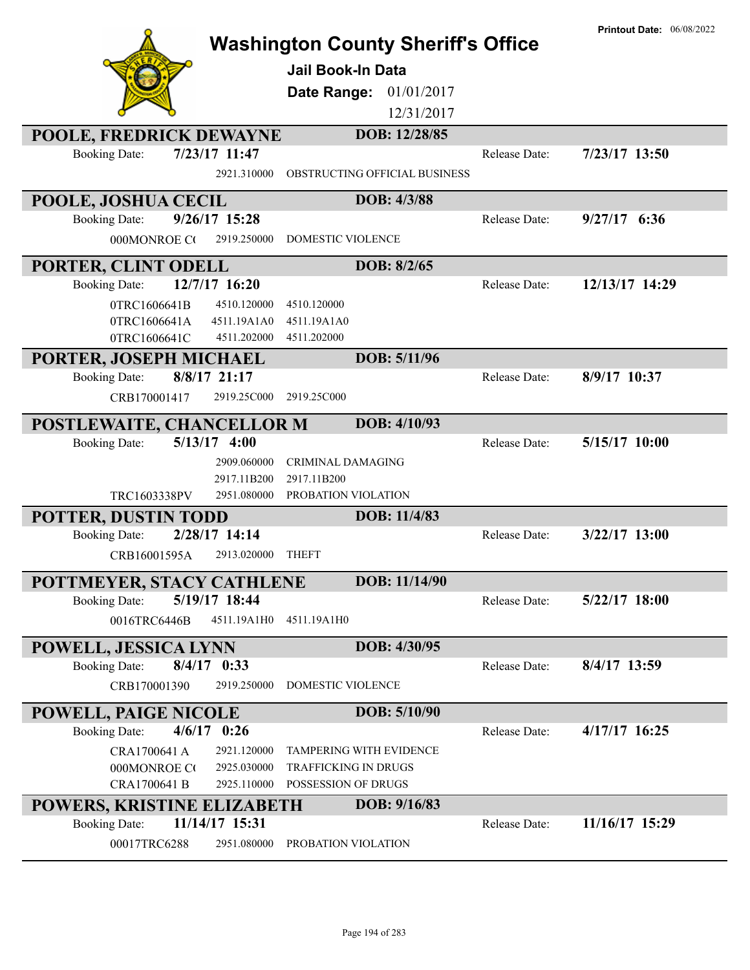|                                                   |                 | <b>Washington County Sheriff's Office</b> |               | <b>Printout Date: 06/08/2022</b> |
|---------------------------------------------------|-----------------|-------------------------------------------|---------------|----------------------------------|
|                                                   |                 | <b>Jail Book-In Data</b>                  |               |                                  |
|                                                   |                 |                                           |               |                                  |
|                                                   |                 | 01/01/2017<br>Date Range:                 |               |                                  |
|                                                   |                 | 12/31/2017                                |               |                                  |
| POOLE, FREDRICK DEWAYNE                           |                 | DOB: 12/28/85                             |               |                                  |
| <b>Booking Date:</b>                              | 7/23/17 11:47   |                                           | Release Date: | 7/23/17 13:50                    |
|                                                   | 2921.310000     | OBSTRUCTING OFFICIAL BUSINESS             |               |                                  |
| POOLE, JOSHUA CECIL                               |                 | DOB: 4/3/88                               |               |                                  |
| <b>Booking Date:</b>                              | $9/26/17$ 15:28 |                                           | Release Date: | $9/27/17$ 6:36                   |
| 000MONROE CO                                      | 2919.250000     | <b>DOMESTIC VIOLENCE</b>                  |               |                                  |
|                                                   |                 | DOB: 8/2/65                               |               |                                  |
| PORTER, CLINT ODELL<br><b>Booking Date:</b>       | 12/7/17 16:20   |                                           | Release Date: | 12/13/17 14:29                   |
| 0TRC1606641B                                      | 4510.120000     | 4510.120000                               |               |                                  |
| 0TRC1606641A                                      | 4511.19A1A0     | 4511.19A1A0                               |               |                                  |
| 0TRC1606641C                                      | 4511.202000     | 4511.202000                               |               |                                  |
| PORTER, JOSEPH MICHAEL                            |                 | DOB: 5/11/96                              |               |                                  |
| <b>Booking Date:</b>                              | 8/8/17 21:17    |                                           | Release Date: | 8/9/17 10:37                     |
| CRB170001417                                      | 2919.25C000     | 2919.25C000                               |               |                                  |
|                                                   |                 | DOB: 4/10/93                              |               |                                  |
| POSTLEWAITE, CHANCELLOR M<br><b>Booking Date:</b> | $5/13/17$ 4:00  |                                           | Release Date: | 5/15/17 10:00                    |
|                                                   | 2909.060000     | <b>CRIMINAL DAMAGING</b>                  |               |                                  |
|                                                   | 2917.11B200     | 2917.11B200                               |               |                                  |
| TRC1603338PV                                      | 2951.080000     | PROBATION VIOLATION                       |               |                                  |
| POTTER, DUSTIN TODD                               |                 | DOB: 11/4/83                              |               |                                  |
| <b>Booking Date:</b>                              | 2/28/17 14:14   |                                           | Release Date: | $3/22/17$ 13:00                  |
| CRB16001595A                                      | 2913.020000     | <b>THEFT</b>                              |               |                                  |
|                                                   |                 | DOB: 11/14/90                             |               |                                  |
| POTTMEYER, STACY CATHLENE<br><b>Booking Date:</b> | 5/19/17 18:44   |                                           | Release Date: | $5/22/17$ 18:00                  |
| 0016TRC6446B                                      | 4511.19A1H0     | 4511.19A1H0                               |               |                                  |
|                                                   |                 |                                           |               |                                  |
| POWELL, JESSICA LYNN                              |                 | DOB: 4/30/95                              |               |                                  |
| <b>Booking Date:</b>                              | $8/4/17$ 0:33   |                                           | Release Date: | 8/4/17 13:59                     |
| CRB170001390                                      | 2919.250000     | <b>DOMESTIC VIOLENCE</b>                  |               |                                  |
| <b>POWELL, PAIGE NICOLE</b>                       |                 | <b>DOB: 5/10/90</b>                       |               |                                  |
| <b>Booking Date:</b>                              | $4/6/17$ 0:26   |                                           | Release Date: | $4/17/17$ 16:25                  |
| CRA1700641 A                                      | 2921.120000     | TAMPERING WITH EVIDENCE                   |               |                                  |
| 000MONROE CO                                      | 2925.030000     | TRAFFICKING IN DRUGS                      |               |                                  |
| CRA1700641 B                                      | 2925.110000     | POSSESSION OF DRUGS                       |               |                                  |
| <b>POWERS, KRISTINE ELIZABETH</b>                 |                 | DOB: 9/16/83                              |               |                                  |
| <b>Booking Date:</b>                              | 11/14/17 15:31  |                                           | Release Date: | 11/16/17 15:29                   |
| 00017TRC6288                                      | 2951.080000     | PROBATION VIOLATION                       |               |                                  |
|                                                   |                 |                                           |               |                                  |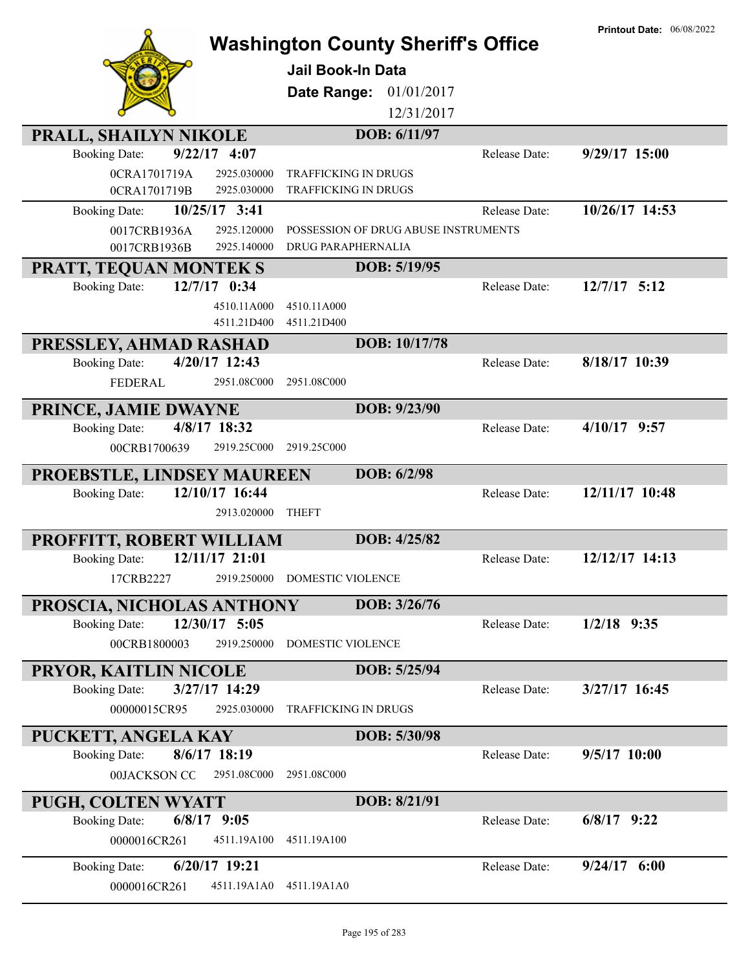| PRALL, SHAILYN NIKOLE                                                | <b>Washington County Sheriff's Office</b><br><b>Jail Book-In Data</b><br>01/01/2017<br>Date Range:<br>12/31/2017<br>DOB: 6/11/97 |               | <b>Printout Date: 06/08/2022</b> |
|----------------------------------------------------------------------|----------------------------------------------------------------------------------------------------------------------------------|---------------|----------------------------------|
| $9/22/17$ 4:07<br><b>Booking Date:</b>                               |                                                                                                                                  | Release Date: | 9/29/17 15:00                    |
| 0CRA1701719A<br>2925.030000                                          | <b>TRAFFICKING IN DRUGS</b>                                                                                                      |               |                                  |
| 0CRA1701719B<br>2925.030000                                          | <b>TRAFFICKING IN DRUGS</b>                                                                                                      |               |                                  |
| $10/25/17$ 3:41<br><b>Booking Date:</b>                              |                                                                                                                                  | Release Date: | 10/26/17 14:53                   |
| 0017CRB1936A<br>2925.120000                                          | POSSESSION OF DRUG ABUSE INSTRUMENTS                                                                                             |               |                                  |
| 0017CRB1936B<br>2925.140000                                          | DRUG PARAPHERNALIA                                                                                                               |               |                                  |
| <b>PRATT, TEQUAN MONTEK S</b>                                        | DOB: 5/19/95                                                                                                                     |               |                                  |
| 12/7/17 0:34<br><b>Booking Date:</b>                                 |                                                                                                                                  | Release Date: | $12/7/17$ 5:12                   |
| 4510.11A000                                                          | 4510.11A000                                                                                                                      |               |                                  |
| 4511.21D400                                                          | 4511.21D400                                                                                                                      |               |                                  |
| PRESSLEY, AHMAD RASHAD                                               | DOB: 10/17/78                                                                                                                    |               |                                  |
| 4/20/17 12:43<br><b>Booking Date:</b>                                |                                                                                                                                  | Release Date: | 8/18/17 10:39                    |
| <b>FEDERAL</b><br>2951.08C000                                        | 2951.08C000                                                                                                                      |               |                                  |
| PRINCE, JAMIE DWAYNE                                                 | DOB: 9/23/90                                                                                                                     |               |                                  |
| 4/8/17 18:32<br><b>Booking Date:</b>                                 |                                                                                                                                  | Release Date: | $4/10/17$ 9:57                   |
| 00CRB1700639<br>2919.25C000                                          | 2919.25C000                                                                                                                      |               |                                  |
|                                                                      | DOB: 6/2/98                                                                                                                      |               |                                  |
| PROEBSTLE, LINDSEY MAUREEN<br>12/10/17 16:44<br><b>Booking Date:</b> |                                                                                                                                  | Release Date: | 12/11/17 10:48                   |
| 2913.020000                                                          | <b>THEFT</b>                                                                                                                     |               |                                  |
|                                                                      |                                                                                                                                  |               |                                  |
|                                                                      |                                                                                                                                  |               |                                  |
| PROFFITT, ROBERT WILLIAM                                             | DOB: 4/25/82                                                                                                                     |               |                                  |
| 12/11/17 21:01<br><b>Booking Date:</b>                               |                                                                                                                                  | Release Date: | 12/12/17 14:13                   |
| 17CRB2227                                                            | 2919.250000 DOMESTIC VIOLENCE                                                                                                    |               |                                  |
| PROSCIA, NICHOLAS ANTHONY                                            | DOB: 3/26/76                                                                                                                     |               |                                  |
| 12/30/17 5:05<br><b>Booking Date:</b>                                |                                                                                                                                  | Release Date: | $1/2/18$ 9:35                    |
| 00CRB1800003<br>2919.250000                                          | DOMESTIC VIOLENCE                                                                                                                |               |                                  |
|                                                                      |                                                                                                                                  |               |                                  |
| PRYOR, KAITLIN NICOLE<br>3/27/17 14:29<br><b>Booking Date:</b>       | DOB: 5/25/94                                                                                                                     | Release Date: | 3/27/17 16:45                    |
| 00000015CR95<br>2925.030000                                          | <b>TRAFFICKING IN DRUGS</b>                                                                                                      |               |                                  |
|                                                                      |                                                                                                                                  |               |                                  |
| PUCKETT, ANGELA KAY                                                  | DOB: 5/30/98                                                                                                                     |               |                                  |
| 8/6/17 18:19<br><b>Booking Date:</b>                                 |                                                                                                                                  | Release Date: | 9/5/17 10:00                     |
| 00JACKSON CO<br>2951.08C000                                          | 2951.08C000                                                                                                                      |               |                                  |
| <b>PUGH, COLTEN WYATT</b>                                            | DOB: 8/21/91                                                                                                                     |               |                                  |
| $6/8/17$ 9:05<br><b>Booking Date:</b>                                |                                                                                                                                  | Release Date: | $6/8/17$ 9:22                    |
| 0000016CR261<br>4511.19A100                                          | 4511.19A100                                                                                                                      |               |                                  |
| 6/20/17 19:21<br><b>Booking Date:</b>                                |                                                                                                                                  | Release Date: | $9/24/17$ 6:00                   |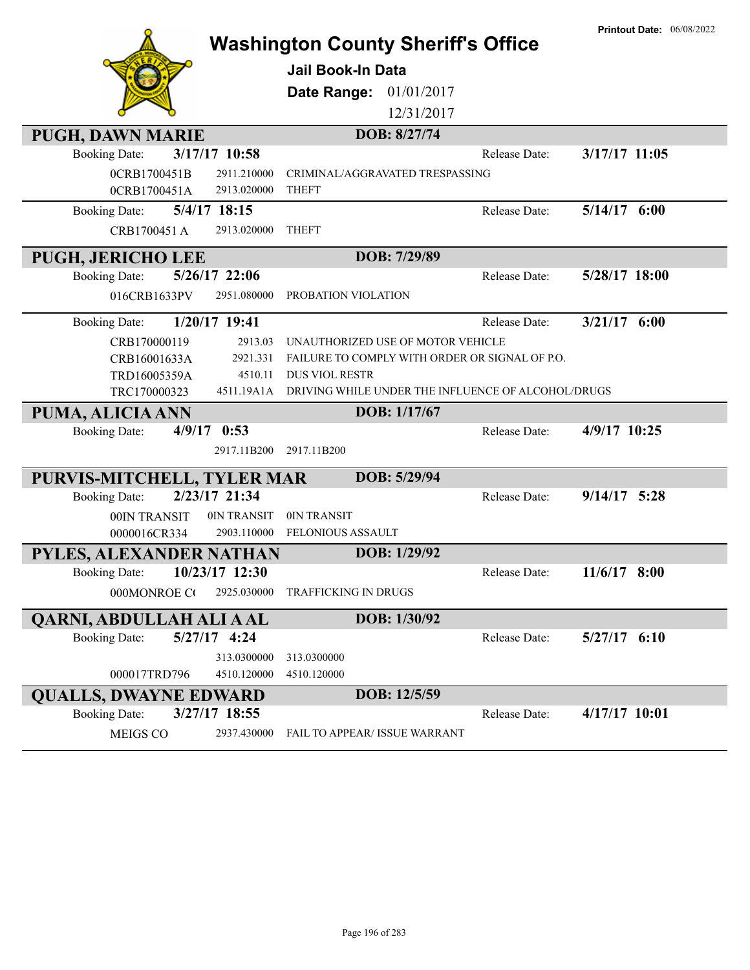|                                         |                             |                                      | <b>Washington County Sheriff's Office</b>      |                                                               | <b>Printout Date: 06/08/2022</b> |
|-----------------------------------------|-----------------------------|--------------------------------------|------------------------------------------------|---------------------------------------------------------------|----------------------------------|
|                                         |                             | Jail Book-In Data                    |                                                |                                                               |                                  |
|                                         |                             | Date Range:                          | 01/01/2017                                     |                                                               |                                  |
|                                         |                             |                                      | 12/31/2017                                     |                                                               |                                  |
| <b>PUGH, DAWN MARIE</b>                 |                             |                                      | DOB: 8/27/74                                   |                                                               |                                  |
| 3/17/17 10:58<br><b>Booking Date:</b>   |                             |                                      |                                                | Release Date:                                                 | 3/17/17 11:05                    |
| 0CRB1700451B                            | 2911.210000                 |                                      | CRIMINAL/AGGRAVATED TRESPASSING                |                                                               |                                  |
| 0CRB1700451A                            | 2913.020000<br><b>THEFT</b> |                                      |                                                |                                                               |                                  |
| 5/4/17 18:15<br><b>Booking Date:</b>    |                             |                                      |                                                | Release Date:                                                 | $5/14/17$ 6:00                   |
| CRB1700451 A                            | 2913.020000<br><b>THEFT</b> |                                      |                                                |                                                               |                                  |
| PUGH, JERICHO LEE                       |                             |                                      | DOB: 7/29/89                                   |                                                               |                                  |
| <b>Booking Date:</b><br>$5/26/17$ 22:06 |                             |                                      |                                                | Release Date:                                                 | 5/28/17 18:00                    |
| 016CRB1633PV                            | 2951.080000                 | PROBATION VIOLATION                  |                                                |                                                               |                                  |
| $1/20/17$ 19:41<br><b>Booking Date:</b> |                             |                                      |                                                | Release Date:                                                 | $3/21/17$ 6:00                   |
| CRB170000119                            | 2913.03                     |                                      | UNAUTHORIZED USE OF MOTOR VEHICLE              |                                                               |                                  |
| CRB16001633A                            | 2921.331                    |                                      | FAILURE TO COMPLY WITH ORDER OR SIGNAL OF P.O. |                                                               |                                  |
| TRD16005359A                            | 4510.11                     | <b>DUS VIOL RESTR</b>                |                                                |                                                               |                                  |
| TRC170000323                            |                             |                                      |                                                | 4511.19A1A DRIVING WHILE UNDER THE INFLUENCE OF ALCOHOL/DRUGS |                                  |
| PUMA, ALICIA ANN                        |                             |                                      | DOB: 1/17/67                                   |                                                               |                                  |
| $4/9/17$ 0:53<br><b>Booking Date:</b>   |                             |                                      |                                                | Release Date:                                                 | 4/9/17 10:25                     |
|                                         | 2917.11B200                 | 2917.11B200                          |                                                |                                                               |                                  |
| PURVIS-MITCHELL, TYLER MAR              |                             |                                      | DOB: 5/29/94                                   |                                                               |                                  |
| 2/23/17 21:34<br><b>Booking Date:</b>   |                             |                                      |                                                | Release Date:                                                 | $9/14/17$ 5:28                   |
| 00IN TRANSIT                            | 0IN TRANSIT                 | 0IN TRANSIT                          |                                                |                                                               |                                  |
| 0000016CR334                            | 2903.110000                 | <b>FELONIOUS ASSAULT</b>             |                                                |                                                               |                                  |
| PYLES, ALEXANDER NATHAN                 |                             |                                      | DOB: 1/29/92                                   |                                                               |                                  |
| Booking Date: 10/23/17 12:30            |                             |                                      |                                                | Release Date:                                                 | $11/6/17$ 8:00                   |
| 000MONROE CO                            | 2925.030000                 | <b>TRAFFICKING IN DRUGS</b>          |                                                |                                                               |                                  |
| QARNI, ABDULLAH ALI A AL                |                             |                                      | DOB: 1/30/92                                   |                                                               |                                  |
| $5/27/17$ 4:24<br><b>Booking Date:</b>  |                             |                                      |                                                | Release Date:                                                 | $5/27/17$ $6:10$                 |
|                                         | 313.0300000                 | 313.0300000                          |                                                |                                                               |                                  |
| 000017TRD796                            | 4510.120000                 | 4510.120000                          |                                                |                                                               |                                  |
| <b>QUALLS, DWAYNE EDWARD</b>            |                             |                                      | DOB: 12/5/59                                   |                                                               |                                  |
| 3/27/17 18:55<br><b>Booking Date:</b>   |                             |                                      |                                                | Release Date:                                                 | 4/17/17 10:01                    |
| MEIGS CO                                | 2937.430000                 | <b>FAIL TO APPEAR/ ISSUE WARRANT</b> |                                                |                                                               |                                  |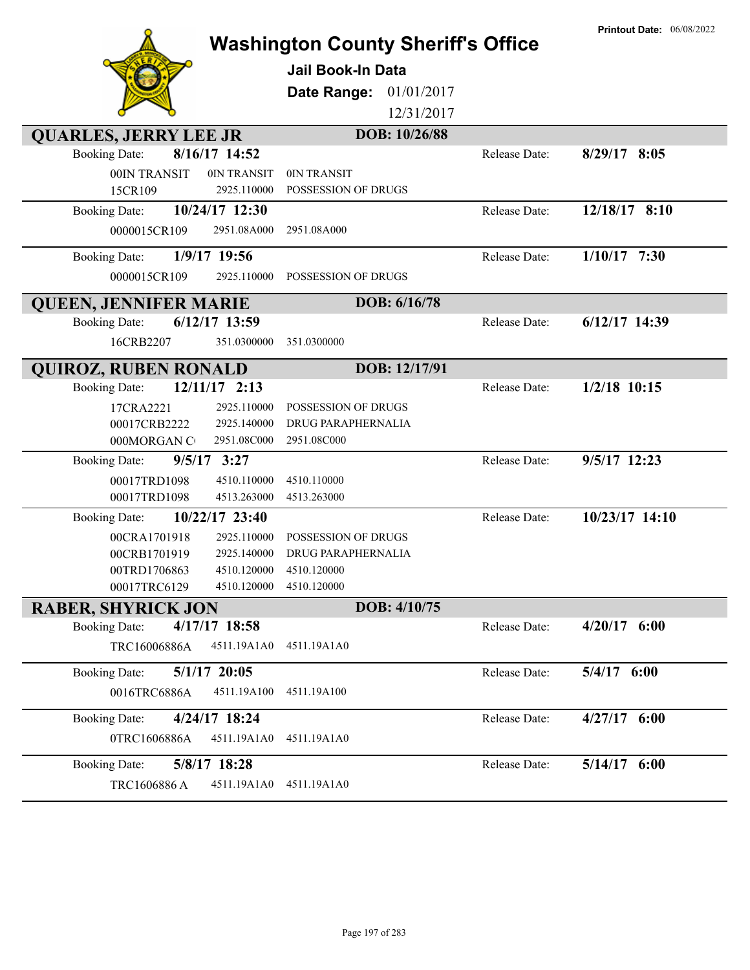|                                         | <b>Washington County Sheriff's Office</b> |               | <b>Printout Date: 06/08/2022</b> |
|-----------------------------------------|-------------------------------------------|---------------|----------------------------------|
|                                         | <b>Jail Book-In Data</b>                  |               |                                  |
|                                         |                                           |               |                                  |
|                                         | 01/01/2017<br>Date Range:                 |               |                                  |
|                                         | 12/31/2017                                |               |                                  |
| <b>QUARLES, JERRY LEE JR</b>            | DOB: 10/26/88                             |               |                                  |
| 8/16/17 14:52<br><b>Booking Date:</b>   |                                           | Release Date: | $8/29/17$ 8:05                   |
| 00IN TRANSIT<br>0IN TRANSIT             | 0IN TRANSIT                               |               |                                  |
| 2925.110000<br>15CR109                  | POSSESSION OF DRUGS                       |               |                                  |
| 10/24/17 12:30<br><b>Booking Date:</b>  |                                           | Release Date: | 12/18/17 8:10                    |
| 0000015CR109<br>2951.08A000             | 2951.08A000                               |               |                                  |
| 1/9/17 19:56<br><b>Booking Date:</b>    |                                           | Release Date: | $1/10/17$ 7:30                   |
| 0000015CR109<br>2925.110000             | POSSESSION OF DRUGS                       |               |                                  |
| <b>QUEEN, JENNIFER MARIE</b>            | DOB: 6/16/78                              |               |                                  |
| $6/12/17$ 13:59<br><b>Booking Date:</b> |                                           | Release Date: | 6/12/17 14:39                    |
| 351.0300000<br>16CRB2207                | 351.0300000                               |               |                                  |
| <b>QUIROZ, RUBEN RONALD</b>             | DOB: 12/17/91                             |               |                                  |
| $12/11/17$ 2:13<br><b>Booking Date:</b> |                                           | Release Date: | $1/2/18$ 10:15                   |
| 17CRA2221<br>2925.110000                | POSSESSION OF DRUGS                       |               |                                  |
| 00017CRB2222<br>2925.140000             | DRUG PARAPHERNALIA                        |               |                                  |
| 000MORGAN C<br>2951.08C000              | 2951.08C000                               |               |                                  |
| $9/5/17$ 3:27<br><b>Booking Date:</b>   |                                           | Release Date: | 9/5/17 12:23                     |
| 00017TRD1098<br>4510.110000             | 4510.110000                               |               |                                  |
| 00017TRD1098<br>4513.263000             | 4513.263000                               |               |                                  |
| 10/22/17 23:40<br><b>Booking Date:</b>  |                                           | Release Date: | 10/23/17 14:10                   |
| 2925.110000<br>00CRA1701918             | POSSESSION OF DRUGS                       |               |                                  |
| 00CRB1701919<br>2925.140000             | <b>DRUG PARAPHERNALIA</b>                 |               |                                  |
| 4510.120000<br>00TRD1706863             | 4510.120000                               |               |                                  |
| 00017TRC6129<br>4510.120000             | 4510.120000                               |               |                                  |
| <b>RABER, SHYRICK JON</b>               | DOB: 4/10/75                              |               |                                  |
| $4/17/17$ 18:58<br><b>Booking Date:</b> |                                           | Release Date: | $4/20/17$ 6:00                   |
| TRC16006886A<br>4511.19A1A0             | 4511.19A1A0                               |               |                                  |
| $5/1/17$ 20:05<br><b>Booking Date:</b>  |                                           | Release Date: | 5/4/17 6:00                      |
| 0016TRC6886A<br>4511.19A100             | 4511.19A100                               |               |                                  |
| 4/24/17 18:24<br><b>Booking Date:</b>   |                                           | Release Date: | 4/27/17 6:00                     |
| 0TRC1606886A<br>4511.19A1A0             | 4511.19A1A0                               |               |                                  |
| 5/8/17 18:28<br><b>Booking Date:</b>    |                                           | Release Date: | 5/14/17 6:00                     |
| TRC1606886 A<br>4511.19A1A0             | 4511.19A1A0                               |               |                                  |
|                                         |                                           |               |                                  |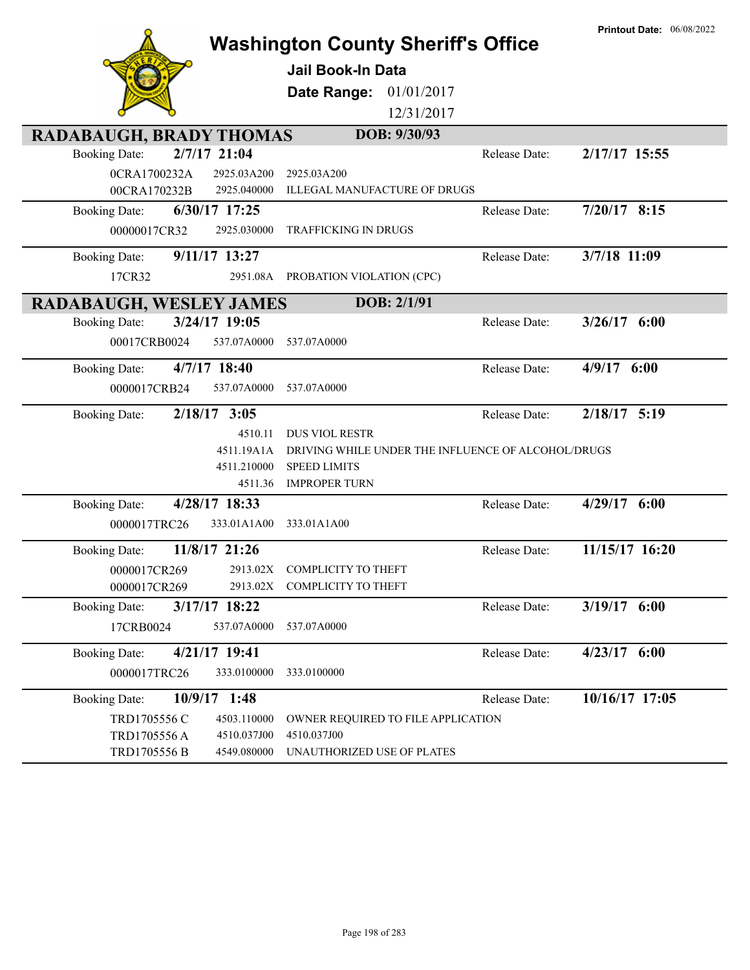|                                        | <b>Washington County Sheriff's Office</b>          |               | <b>Printout Date: 06/08/2022</b> |
|----------------------------------------|----------------------------------------------------|---------------|----------------------------------|
|                                        | Jail Book-In Data                                  |               |                                  |
|                                        |                                                    |               |                                  |
|                                        | Date Range:<br>01/01/2017                          |               |                                  |
|                                        | 12/31/2017                                         |               |                                  |
| RADABAUGH, BRADY THOMAS                | DOB: 9/30/93                                       |               |                                  |
| $2/7/17$ 21:04<br><b>Booking Date:</b> |                                                    | Release Date: | 2/17/17 15:55                    |
| 0CRA1700232A<br>2925.03A200            | 2925.03A200                                        |               |                                  |
| 00CRA170232B<br>2925.040000            | ILLEGAL MANUFACTURE OF DRUGS                       |               |                                  |
| 6/30/17 17:25<br><b>Booking Date:</b>  |                                                    | Release Date: | $7/20/17$ 8:15                   |
| 00000017CR32<br>2925.030000            | <b>TRAFFICKING IN DRUGS</b>                        |               |                                  |
| 9/11/17 13:27<br><b>Booking Date:</b>  |                                                    | Release Date: | 3/7/18 11:09                     |
| 17CR32<br>2951.08A                     | PROBATION VIOLATION (CPC)                          |               |                                  |
| RADABAUGH, WESLEY JAMES                | DOB: 2/1/91                                        |               |                                  |
| 3/24/17 19:05<br><b>Booking Date:</b>  |                                                    | Release Date: | $3/26/17$ 6:00                   |
| 537.07A0000<br>00017CRB0024            | 537.07A0000                                        |               |                                  |
| $4/7/17$ 18:40<br><b>Booking Date:</b> |                                                    | Release Date: | $4/9/17$ 6:00                    |
| 0000017CRB24<br>537.07A0000            | 537.07A0000                                        |               |                                  |
| $2/18/17$ 3:05<br><b>Booking Date:</b> |                                                    | Release Date: | $2/18/17$ 5:19                   |
| 4510.11                                | <b>DUS VIOL RESTR</b>                              |               |                                  |
| 4511.19A1A                             | DRIVING WHILE UNDER THE INFLUENCE OF ALCOHOL/DRUGS |               |                                  |
| 4511.210000<br>4511.36                 | <b>SPEED LIMITS</b><br><b>IMPROPER TURN</b>        |               |                                  |
| 4/28/17 18:33                          |                                                    | Release Date: | 4/29/17 6:00                     |
| <b>Booking Date:</b><br>333.01A1A00    | 333.01A1A00                                        |               |                                  |
| 0000017TRC26                           |                                                    |               |                                  |
| 11/8/17 21:26<br><b>Booking Date:</b>  |                                                    | Release Date: | 11/15/17 16:20                   |
| 0000017CR269                           | 2913.02X COMPLICITY TO THEFT                       |               |                                  |
| 0000017CR269                           | 2913.02X COMPLICITY TO THEFT                       |               |                                  |
| 3/17/17 18:22<br><b>Booking Date:</b>  |                                                    | Release Date: | 3/19/17 6:00                     |
| 17CRB0024<br>537.07A0000               | 537.07A0000                                        |               |                                  |
| 4/21/17 19:41<br><b>Booking Date:</b>  |                                                    | Release Date: | $4/23/17$ 6:00                   |
| 333.0100000<br>0000017TRC26            | 333.0100000                                        |               |                                  |
| 10/9/17 1:48<br><b>Booking Date:</b>   |                                                    | Release Date: | 10/16/17 17:05                   |
| TRD1705556 C<br>4503.110000            | OWNER REQUIRED TO FILE APPLICATION                 |               |                                  |
| TRD1705556A<br>4510.037J00             | 4510.037J00                                        |               |                                  |
| TRD1705556 B<br>4549.080000            | UNAUTHORIZED USE OF PLATES                         |               |                                  |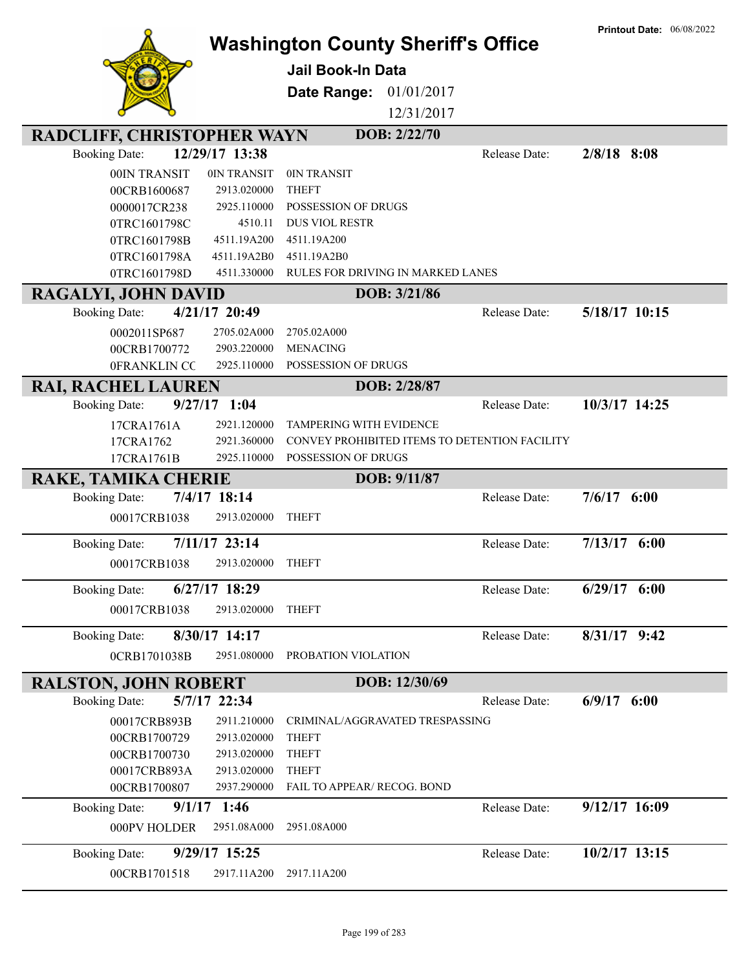|                                   |                        | <b>Washington County Sheriff's Office</b>     |               | <b>Printout Date: 06/08/2022</b> |
|-----------------------------------|------------------------|-----------------------------------------------|---------------|----------------------------------|
|                                   |                        | <b>Jail Book-In Data</b>                      |               |                                  |
|                                   |                        |                                               |               |                                  |
|                                   |                        | Date Range:<br>01/01/2017                     |               |                                  |
|                                   |                        | 12/31/2017                                    |               |                                  |
| <b>RADCLIFF, CHRISTOPHER WAYN</b> |                        | DOB: 2/22/70                                  |               |                                  |
| <b>Booking Date:</b>              | 12/29/17 13:38         |                                               | Release Date: | $2/8/18$ 8:08                    |
| 00IN TRANSIT                      | 0IN TRANSIT            | 0IN TRANSIT                                   |               |                                  |
| 00CRB1600687                      | 2913.020000            | <b>THEFT</b>                                  |               |                                  |
| 0000017CR238                      | 2925.110000            | POSSESSION OF DRUGS                           |               |                                  |
| 0TRC1601798C                      | 4510.11<br>4511.19A200 | <b>DUS VIOL RESTR</b><br>4511.19A200          |               |                                  |
| 0TRC1601798B<br>0TRC1601798A      | 4511.19A2B0            | 4511.19A2B0                                   |               |                                  |
| 0TRC1601798D                      | 4511.330000            | RULES FOR DRIVING IN MARKED LANES             |               |                                  |
| RAGALYI, JOHN DAVID               |                        | DOB: 3/21/86                                  |               |                                  |
| <b>Booking Date:</b>              | 4/21/17 20:49          |                                               | Release Date: | 5/18/17 10:15                    |
| 0002011SP687                      | 2705.02A000            | 2705.02A000                                   |               |                                  |
| 00CRB1700772                      | 2903.220000            | <b>MENACING</b>                               |               |                                  |
| 0FRANKLIN CC                      | 2925.110000            | POSSESSION OF DRUGS                           |               |                                  |
| <b>RAI, RACHEL LAUREN</b>         |                        | DOB: 2/28/87                                  |               |                                  |
| <b>Booking Date:</b>              | $9/27/17$ 1:04         |                                               | Release Date: | 10/3/17 14:25                    |
| 17CRA1761A                        | 2921.120000            | TAMPERING WITH EVIDENCE                       |               |                                  |
| 17CRA1762                         | 2921.360000            | CONVEY PROHIBITED ITEMS TO DETENTION FACILITY |               |                                  |
| 17CRA1761B                        | 2925.110000            | POSSESSION OF DRUGS                           |               |                                  |
| <b>RAKE, TAMIKA CHERIE</b>        |                        | DOB: 9/11/87                                  |               |                                  |
| <b>Booking Date:</b>              | 7/4/17 18:14           |                                               | Release Date: | 7/6/17<br>6:00                   |
| 00017CRB1038                      | 2913.020000            | <b>THEFT</b>                                  |               |                                  |
| <b>Booking Date:</b>              | 7/11/17 23:14          |                                               | Release Date: | $7/13/17$ 6:00                   |
| 00017CRB1038                      | 2913.020000            | <b>THEFT</b>                                  |               |                                  |
| <b>Booking Date:</b>              | 6/27/17 18:29          |                                               | Release Date: | $6/29/17$ $6:00$                 |
| 00017CRB1038                      | 2913.020000            | <b>THEFT</b>                                  |               |                                  |
|                                   |                        |                                               |               |                                  |
| <b>Booking Date:</b>              | 8/30/17 14:17          |                                               | Release Date: | $8/31/17$ 9:42                   |
| 0CRB1701038B                      | 2951.080000            | PROBATION VIOLATION                           |               |                                  |
| <b>RALSTON, JOHN ROBERT</b>       |                        | DOB: 12/30/69                                 |               |                                  |
| <b>Booking Date:</b>              | 5/7/17 22:34           |                                               | Release Date: | 6/9/17<br>6:00                   |
| 00017CRB893B                      | 2911.210000            | CRIMINAL/AGGRAVATED TRESPASSING               |               |                                  |
| 00CRB1700729                      | 2913.020000            | <b>THEFT</b>                                  |               |                                  |
| 00CRB1700730                      | 2913.020000            | <b>THEFT</b>                                  |               |                                  |
| 00017CRB893A                      | 2913.020000            | <b>THEFT</b>                                  |               |                                  |
| 00CRB1700807                      | 2937.290000            | FAIL TO APPEAR/ RECOG. BOND                   |               |                                  |
| <b>Booking Date:</b>              | $9/1/17$ 1:46          |                                               | Release Date: | 9/12/17 16:09                    |
| 000PV HOLDER                      | 2951.08A000            | 2951.08A000                                   |               |                                  |
| <b>Booking Date:</b>              | 9/29/17 15:25          |                                               | Release Date: | 10/2/17 13:15                    |
| 00CRB1701518                      | 2917.11A200            | 2917.11A200                                   |               |                                  |
|                                   |                        |                                               |               |                                  |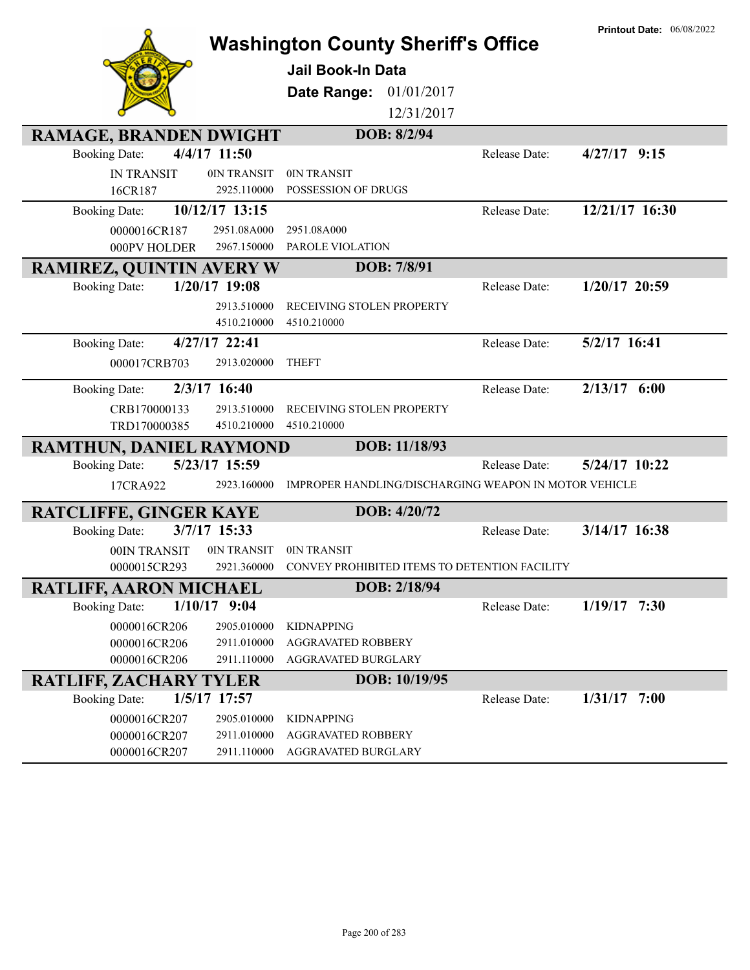|                                 |                |                                                       |               | <b>Printout Date: 06/08/2022</b> |
|---------------------------------|----------------|-------------------------------------------------------|---------------|----------------------------------|
|                                 |                | <b>Washington County Sheriff's Office</b>             |               |                                  |
|                                 |                | <b>Jail Book-In Data</b>                              |               |                                  |
|                                 |                | 01/01/2017<br>Date Range:                             |               |                                  |
|                                 |                | 12/31/2017                                            |               |                                  |
|                                 |                |                                                       |               |                                  |
| <b>RAMAGE, BRANDEN DWIGHT</b>   |                | DOB: 8/2/94                                           |               |                                  |
| <b>Booking Date:</b>            | 4/4/17 11:50   |                                                       | Release Date: | $4/27/17$ 9:15                   |
| <b>IN TRANSIT</b>               | 0IN TRANSIT    | 0IN TRANSIT                                           |               |                                  |
| 16CR187                         | 2925.110000    | POSSESSION OF DRUGS                                   |               |                                  |
| <b>Booking Date:</b>            | 10/12/17 13:15 |                                                       | Release Date: | 12/21/17 16:30                   |
| 0000016CR187                    | 2951.08A000    | 2951.08A000                                           |               |                                  |
| 000PV HOLDER                    | 2967.150000    | PAROLE VIOLATION                                      |               |                                  |
| <b>RAMIREZ, QUINTIN AVERY W</b> |                | DOB: 7/8/91                                           |               |                                  |
| <b>Booking Date:</b>            | 1/20/17 19:08  |                                                       | Release Date: | $1/20/17$ 20:59                  |
|                                 | 2913.510000    | RECEIVING STOLEN PROPERTY                             |               |                                  |
|                                 | 4510.210000    | 4510.210000                                           |               |                                  |
| <b>Booking Date:</b>            | 4/27/17 22:41  |                                                       | Release Date: | 5/2/17 16:41                     |
| 000017CRB703                    | 2913.020000    | <b>THEFT</b>                                          |               |                                  |
| <b>Booking Date:</b>            | 2/3/17 16:40   |                                                       | Release Date: | $2/13/17$ 6:00                   |
| CRB170000133                    | 2913.510000    | RECEIVING STOLEN PROPERTY                             |               |                                  |
| TRD170000385                    | 4510.210000    | 4510.210000                                           |               |                                  |
| <b>RAMTHUN, DANIEL RAYMOND</b>  |                | DOB: 11/18/93                                         |               |                                  |
| <b>Booking Date:</b>            | 5/23/17 15:59  |                                                       | Release Date: | 5/24/17 10:22                    |
| 17CRA922                        | 2923.160000    | IMPROPER HANDLING/DISCHARGING WEAPON IN MOTOR VEHICLE |               |                                  |
| RATCLIFFE, GINGER KAYE          |                | DOB: 4/20/72                                          |               |                                  |
| <b>Booking Date:</b>            | 3/7/17 15:33   |                                                       | Release Date: | 3/14/17 16:38                    |
| 00IN TRANSIT                    | 0IN TRANSIT    | 0IN TRANSIT                                           |               |                                  |
| 0000015CR293                    | 2921.360000    | CONVEY PROHIBITED ITEMS TO DETENTION FACILITY         |               |                                  |
| <b>RATLIFF, AARON MICHAEL</b>   |                | DOB: 2/18/94                                          |               |                                  |
| <b>Booking Date:</b>            | $1/10/17$ 9:04 |                                                       | Release Date: | $1/19/17$ 7:30                   |
| 0000016CR206                    | 2905.010000    | <b>KIDNAPPING</b>                                     |               |                                  |
| 0000016CR206                    | 2911.010000    | <b>AGGRAVATED ROBBERY</b>                             |               |                                  |
| 0000016CR206                    | 2911.110000    | <b>AGGRAVATED BURGLARY</b>                            |               |                                  |
| <b>RATLIFF, ZACHARY TYLER</b>   |                | DOB: 10/19/95                                         |               |                                  |
| <b>Booking Date:</b>            | 1/5/17 17:57   |                                                       | Release Date: | $1/31/17$ 7:00                   |
| 0000016CR207                    | 2905.010000    | <b>KIDNAPPING</b>                                     |               |                                  |
| 0000016CR207                    | 2911.010000    | AGGRAVATED ROBBERY                                    |               |                                  |
| 0000016CR207                    | 2911.110000    | AGGRAVATED BURGLARY                                   |               |                                  |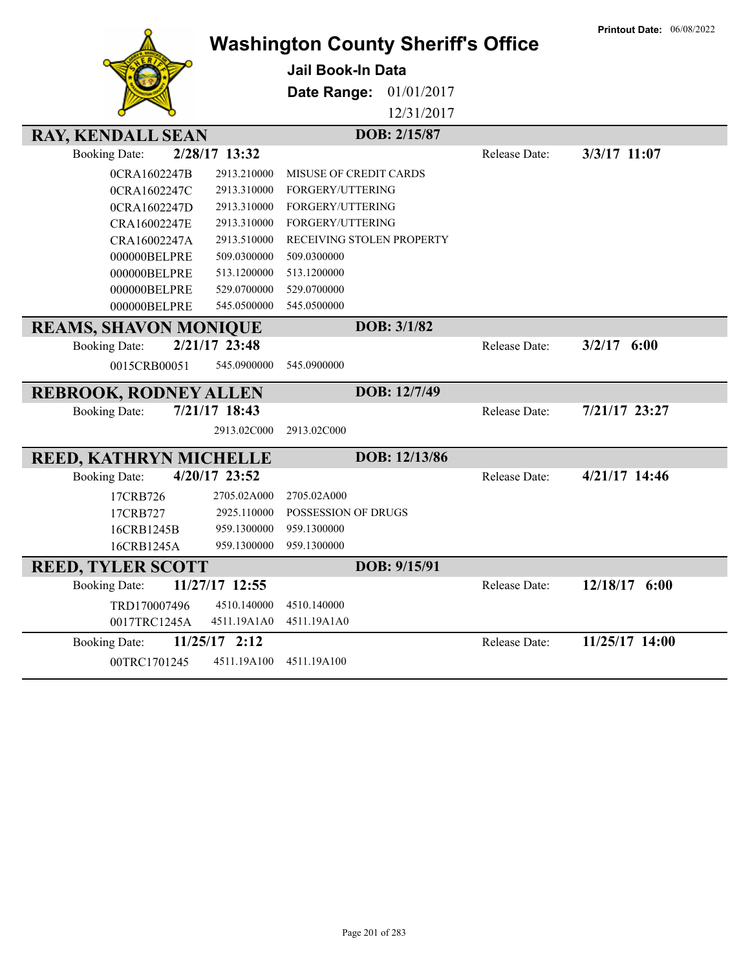|                               |                | <b>Washington County Sheriff's Office</b> |               |               | <b>Printout Date: 06/08/2022</b> |
|-------------------------------|----------------|-------------------------------------------|---------------|---------------|----------------------------------|
|                               |                | <b>Jail Book-In Data</b>                  |               |               |                                  |
|                               |                | Date Range:                               | 01/01/2017    |               |                                  |
|                               |                |                                           | 12/31/2017    |               |                                  |
|                               |                |                                           |               |               |                                  |
| <b>RAY, KENDALL SEAN</b>      |                |                                           | DOB: 2/15/87  |               |                                  |
| <b>Booking Date:</b>          | 2/28/17 13:32  |                                           |               | Release Date: | 3/3/17 11:07                     |
| 0CRA1602247B                  | 2913.210000    | MISUSE OF CREDIT CARDS                    |               |               |                                  |
| 0CRA1602247C                  | 2913.310000    | FORGERY/UTTERING                          |               |               |                                  |
| 0CRA1602247D                  | 2913.310000    | FORGERY/UTTERING                          |               |               |                                  |
| CRA16002247E                  | 2913.310000    | FORGERY/UTTERING                          |               |               |                                  |
| CRA16002247A                  | 2913.510000    | RECEIVING STOLEN PROPERTY                 |               |               |                                  |
| 000000BELPRE                  | 509.0300000    | 509.0300000                               |               |               |                                  |
| 000000BELPRE                  | 513.1200000    | 513.1200000                               |               |               |                                  |
| 000000BELPRE                  | 529.0700000    | 529.0700000                               |               |               |                                  |
| 000000BELPRE                  | 545.0500000    | 545.0500000                               |               |               |                                  |
| <b>REAMS, SHAVON MONIQUE</b>  |                |                                           | DOB: 3/1/82   |               |                                  |
| <b>Booking Date:</b>          | 2/21/17 23:48  |                                           |               | Release Date: | $3/2/17$ 6:00                    |
| 0015CRB00051                  | 545.0900000    | 545.0900000                               |               |               |                                  |
| <b>REBROOK, RODNEY ALLEN</b>  |                |                                           | DOB: 12/7/49  |               |                                  |
| <b>Booking Date:</b>          | 7/21/17 18:43  |                                           |               | Release Date: | 7/21/17 23:27                    |
|                               | 2913.02C000    | 2913.02C000                               |               |               |                                  |
| <b>REED, KATHRYN MICHELLE</b> |                |                                           | DOB: 12/13/86 |               |                                  |
| <b>Booking Date:</b>          | 4/20/17 23:52  |                                           |               | Release Date: | 4/21/17 14:46                    |
| 17CRB726                      | 2705.02A000    | 2705.02A000                               |               |               |                                  |
| 17CRB727                      | 2925.110000    | POSSESSION OF DRUGS                       |               |               |                                  |
| 16CRB1245B                    | 959.1300000    | 959.1300000                               |               |               |                                  |
| 16CRB1245A                    | 959.1300000    | 959.1300000                               |               |               |                                  |
| <b>REED, TYLER SCOTT</b>      |                |                                           | DOB: 9/15/91  |               |                                  |
| <b>Booking Date:</b>          | 11/27/17 12:55 |                                           |               | Release Date: | 12/18/17 6:00                    |
| TRD170007496                  | 4510.140000    | 4510.140000                               |               |               |                                  |
| 0017TRC1245A                  | 4511.19A1A0    | 4511.19A1A0                               |               |               |                                  |
| <b>Booking Date:</b>          | 11/25/17 2:12  |                                           |               | Release Date: | 11/25/17 14:00                   |
| 00TRC1701245                  | 4511.19A100    | 4511.19A100                               |               |               |                                  |
|                               |                |                                           |               |               |                                  |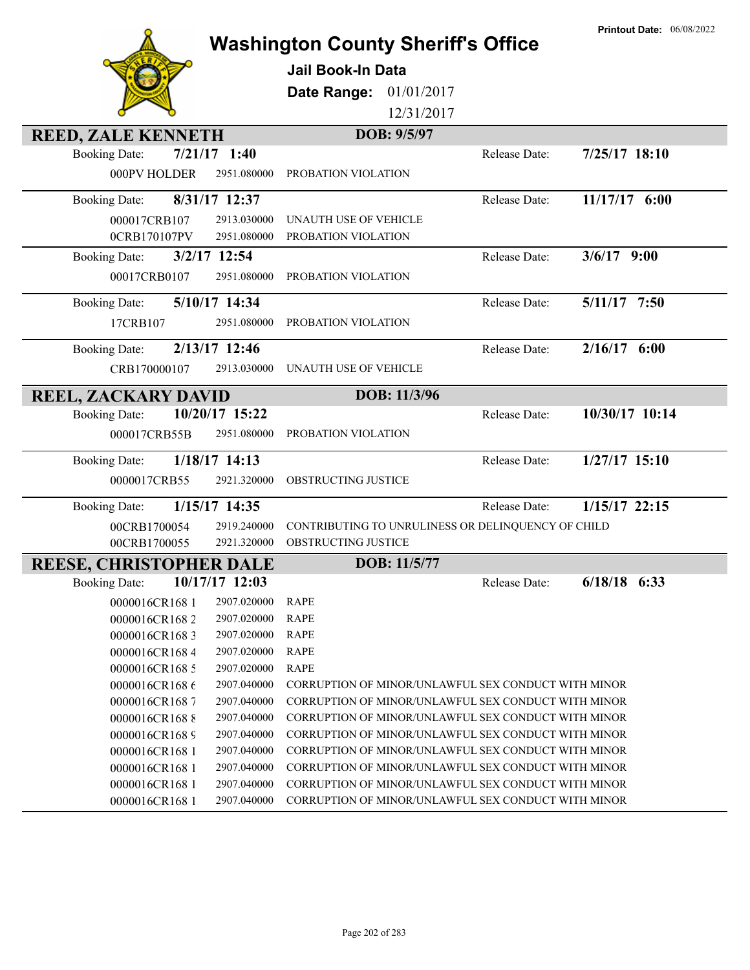|                                        | <b>Washington County Sheriff's Office</b>           | <b>Printout Date: 06/08/2022</b> |
|----------------------------------------|-----------------------------------------------------|----------------------------------|
|                                        |                                                     |                                  |
|                                        | Jail Book-In Data                                   |                                  |
|                                        | Date Range: 01/01/2017                              |                                  |
|                                        | 12/31/2017                                          |                                  |
| <b>REED, ZALE KENNETH</b>              | DOB: 9/5/97                                         |                                  |
| <b>Booking Date:</b><br>$7/21/17$ 1:40 | Release Date:                                       | $7/25/17$ 18:10                  |
| 000PV HOLDER<br>2951.080000            | PROBATION VIOLATION                                 |                                  |
| 8/31/17 12:37<br><b>Booking Date:</b>  | Release Date:                                       | $11/17/17$ 6:00                  |
| 000017CRB107<br>2913.030000            | UNAUTH USE OF VEHICLE                               |                                  |
| 0CRB170107PV<br>2951.080000            | PROBATION VIOLATION                                 |                                  |
| 3/2/17 12:54<br><b>Booking Date:</b>   | Release Date:                                       | $3/6/17$ 9:00                    |
| 00017CRB0107<br>2951.080000            | PROBATION VIOLATION                                 |                                  |
| 5/10/17 14:34<br><b>Booking Date:</b>  | Release Date:                                       | $5/11/17$ 7:50                   |
| 2951.080000<br>17CRB107                | PROBATION VIOLATION                                 |                                  |
| 2/13/17 12:46                          |                                                     | $2/16/17$ 6:00                   |
| <b>Booking Date:</b>                   | Release Date:                                       |                                  |
| CRB170000107<br>2913.030000            | UNAUTH USE OF VEHICLE                               |                                  |
| <b>REEL, ZACKARY DAVID</b>             | DOB: 11/3/96                                        |                                  |
| <b>Booking Date:</b><br>10/20/17 15:22 | Release Date:                                       | 10/30/17 10:14                   |
| 000017CRB55B<br>2951.080000            | PROBATION VIOLATION                                 |                                  |
| 1/18/17 14:13<br><b>Booking Date:</b>  | Release Date:                                       | $1/27/17$ 15:10                  |
| 0000017CRB55<br>2921.320000            | OBSTRUCTING JUSTICE                                 |                                  |
| 1/15/17 14:35<br><b>Booking Date:</b>  | Release Date:                                       | $1/15/17$ 22:15                  |
| 00CRB1700054<br>2919.240000            | CONTRIBUTING TO UNRULINESS OR DELINQUENCY OF CHILD  |                                  |
| 00CRB1700055<br>2921.320000            | OBSTRUCTING JUSTICE                                 |                                  |
| <b>REESE, CHRISTOPHER DALE</b>         | DOB: 11/5/77                                        |                                  |
| 10/17/17 12:03<br><b>Booking Date:</b> | Release Date:                                       | $6/18/18$ 6:33                   |
| 0000016CR1681<br>2907.020000           | <b>RAPE</b>                                         |                                  |
| 0000016CR1682<br>2907.020000           | <b>RAPE</b>                                         |                                  |
| 0000016CR1683<br>2907.020000           | <b>RAPE</b>                                         |                                  |
| 0000016CR1684<br>2907.020000           | <b>RAPE</b>                                         |                                  |
| 0000016CR1685<br>2907.020000           | <b>RAPE</b>                                         |                                  |
| 0000016CR1686<br>2907.040000           | CORRUPTION OF MINOR/UNLAWFUL SEX CONDUCT WITH MINOR |                                  |
| 0000016CR1687<br>2907.040000           | CORRUPTION OF MINOR/UNLAWFUL SEX CONDUCT WITH MINOR |                                  |
| 0000016CR1688<br>2907.040000           | CORRUPTION OF MINOR/UNLAWFUL SEX CONDUCT WITH MINOR |                                  |
| 0000016CR1689<br>2907.040000           | CORRUPTION OF MINOR/UNLAWFUL SEX CONDUCT WITH MINOR |                                  |
| 0000016CR1681<br>2907.040000           | CORRUPTION OF MINOR/UNLAWFUL SEX CONDUCT WITH MINOR |                                  |
| 0000016CR1681<br>2907.040000           | CORRUPTION OF MINOR/UNLAWFUL SEX CONDUCT WITH MINOR |                                  |
| 0000016CR1681<br>2907.040000           | CORRUPTION OF MINOR/UNLAWFUL SEX CONDUCT WITH MINOR |                                  |
| 0000016CR168 1<br>2907.040000          | CORRUPTION OF MINOR/UNLAWFUL SEX CONDUCT WITH MINOR |                                  |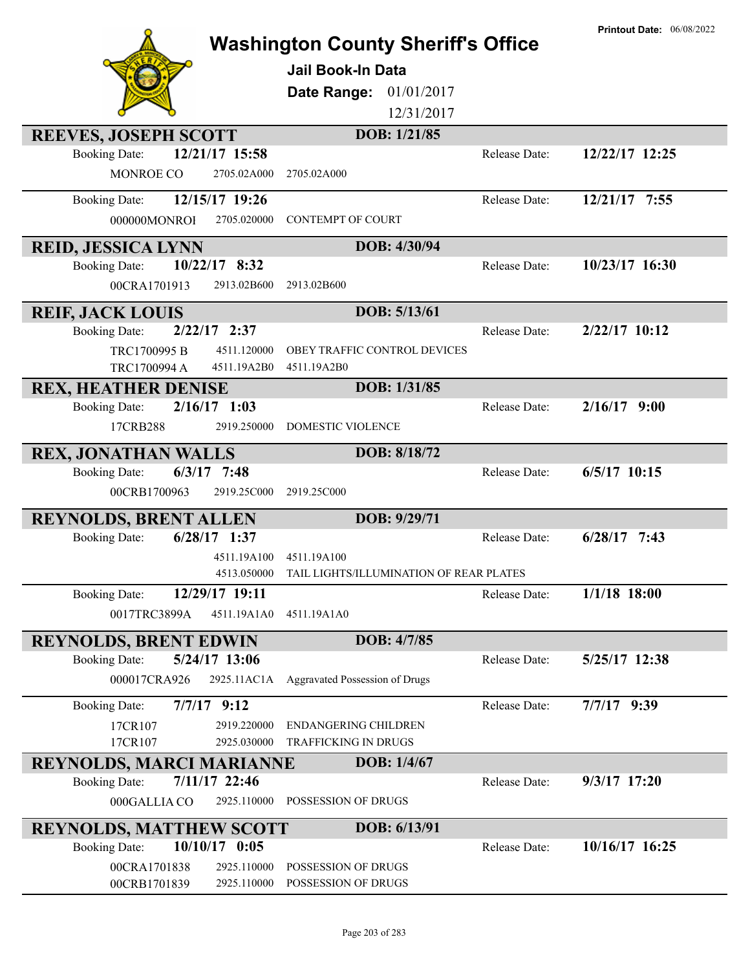|                                                                      |                                             |               | <b>Printout Date: 06/08/2022</b> |
|----------------------------------------------------------------------|---------------------------------------------|---------------|----------------------------------|
|                                                                      | <b>Washington County Sheriff's Office</b>   |               |                                  |
|                                                                      | <b>Jail Book-In Data</b>                    |               |                                  |
|                                                                      | 01/01/2017<br>Date Range:                   |               |                                  |
|                                                                      | 12/31/2017                                  |               |                                  |
|                                                                      |                                             |               |                                  |
| <b>REEVES, JOSEPH SCOTT</b>                                          | DOB: 1/21/85                                |               |                                  |
| 12/21/17 15:58<br><b>Booking Date:</b>                               |                                             | Release Date: | 12/22/17 12:25                   |
| MONROE CO<br>2705.02A000                                             | 2705.02A000                                 |               |                                  |
| 12/15/17 19:26<br><b>Booking Date:</b>                               |                                             | Release Date: | 12/21/17 7:55                    |
| 000000MONROI<br>2705.020000                                          | <b>CONTEMPT OF COURT</b>                    |               |                                  |
| <b>REID, JESSICA LYNN</b>                                            | DOB: 4/30/94                                |               |                                  |
| 10/22/17 8:32<br><b>Booking Date:</b>                                |                                             | Release Date: | 10/23/17 16:30                   |
| 00CRA1701913<br>2913.02B600                                          | 2913.02B600                                 |               |                                  |
|                                                                      | DOB: 5/13/61                                |               |                                  |
| <b>REIF, JACK LOUIS</b><br>$2/22/17$ 2:37                            |                                             | Release Date: | $2/22/17$ 10:12                  |
| <b>Booking Date:</b>                                                 |                                             |               |                                  |
| 4511.120000<br>TRC1700995 B<br>TRC1700994 A<br>4511.19A2B0           | OBEY TRAFFIC CONTROL DEVICES<br>4511.19A2B0 |               |                                  |
|                                                                      | DOB: 1/31/85                                |               |                                  |
| <b>REX, HEATHER DENISE</b><br>$2/16/17$ 1:03<br><b>Booking Date:</b> |                                             | Release Date: | $2/16/17$ 9:00                   |
| 2919.250000<br>17CRB288                                              | <b>DOMESTIC VIOLENCE</b>                    |               |                                  |
|                                                                      |                                             |               |                                  |
| <b>REX, JONATHAN WALLS</b>                                           | DOB: 8/18/72                                |               |                                  |
| $6/3/17$ 7:48<br><b>Booking Date:</b>                                |                                             | Release Date: | $6/5/17$ 10:15                   |
| 00CRB1700963<br>2919.25C000                                          | 2919.25C000                                 |               |                                  |
| <b>REYNOLDS, BRENT ALLEN</b>                                         | DOB: 9/29/71                                |               |                                  |
| $6/28/17$ 1:37<br><b>Booking Date:</b>                               |                                             | Release Date: | $6/28/17$ 7:43                   |
| 4511.19A100                                                          | 4511.19A100                                 |               |                                  |
| 4513.050000                                                          | TAIL LIGHTS/ILLUMINATION OF REAR PLATES     |               |                                  |
| 12/29/17 19:11<br><b>Booking Date:</b>                               |                                             | Release Date: | $1/1/18$ 18:00                   |
| 0017TRC3899A<br>4511.19A1A0                                          | 4511.19A1A0                                 |               |                                  |
| <b>REYNOLDS, BRENT EDWIN</b>                                         | DOB: 4/7/85                                 |               |                                  |
| 5/24/17 13:06<br><b>Booking Date:</b>                                |                                             | Release Date: | 5/25/17 12:38                    |
| 000017CRA926<br>2925.11AC1A                                          | <b>Aggravated Possession of Drugs</b>       |               |                                  |
| $7/7/17$ 9:12<br><b>Booking Date:</b>                                |                                             | Release Date: | $7/7/17$ 9:39                    |
| 17CR107<br>2919.220000                                               | <b>ENDANGERING CHILDREN</b>                 |               |                                  |
| 17CR107<br>2925.030000                                               | TRAFFICKING IN DRUGS                        |               |                                  |
| <b>REYNOLDS, MARCI MARIANNE</b>                                      | DOB: 1/4/67                                 |               |                                  |
| 7/11/17 22:46<br><b>Booking Date:</b>                                |                                             | Release Date: | 9/3/17 17:20                     |
| 000GALLIA CO<br>2925.110000                                          | POSSESSION OF DRUGS                         |               |                                  |
|                                                                      |                                             |               |                                  |
| <b>REYNOLDS, MATTHEW SCOTT</b>                                       | DOB: 6/13/91                                |               |                                  |
| 10/10/17 0:05<br><b>Booking Date:</b>                                |                                             | Release Date: | 10/16/17 16:25                   |
| 00CRA1701838<br>2925.110000<br>2925.110000                           | POSSESSION OF DRUGS<br>POSSESSION OF DRUGS  |               |                                  |
| 00CRB1701839                                                         |                                             |               |                                  |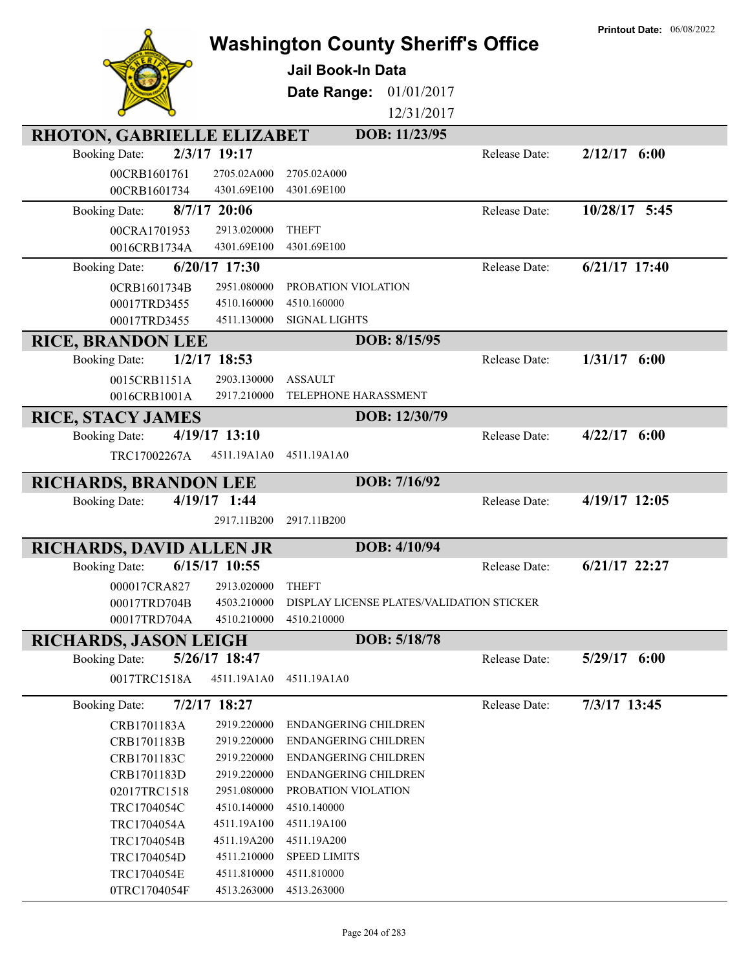|                                                           | <b>Washington County Sheriff's Office</b>           | <b>Printout Date: 06/08/2022</b> |
|-----------------------------------------------------------|-----------------------------------------------------|----------------------------------|
|                                                           |                                                     |                                  |
|                                                           | Jail Book-In Data                                   |                                  |
|                                                           | 01/01/2017<br>Date Range:                           |                                  |
|                                                           | 12/31/2017                                          |                                  |
| RHOTON, GABRIELLE ELIZABET                                | DOB: 11/23/95                                       |                                  |
| 2/3/17 19:17<br><b>Booking Date:</b>                      |                                                     | $2/12/17$ 6:00<br>Release Date:  |
| 00CRB1601761<br>2705.02A000                               | 2705.02A000                                         |                                  |
| 00CRB1601734<br>4301.69E100                               | 4301.69E100                                         |                                  |
| $8/7/17$ 20:06<br><b>Booking Date:</b>                    |                                                     | 10/28/17 5:45<br>Release Date:   |
| 2913.020000<br>00CRA1701953                               | <b>THEFT</b>                                        |                                  |
| 4301.69E100<br>0016CRB1734A                               | 4301.69E100                                         |                                  |
| 6/20/17 17:30<br><b>Booking Date:</b>                     |                                                     | $6/21/17$ 17:40<br>Release Date: |
| 0CRB1601734B<br>2951.080000                               | PROBATION VIOLATION                                 |                                  |
| 00017TRD3455<br>4510.160000                               | 4510.160000                                         |                                  |
| 00017TRD3455<br>4511.130000                               | <b>SIGNAL LIGHTS</b>                                |                                  |
| <b>RICE, BRANDON LEE</b>                                  | DOB: 8/15/95                                        |                                  |
| $1/2/17$ 18:53<br><b>Booking Date:</b>                    |                                                     | $1/31/17$ 6:00<br>Release Date:  |
| 0015CRB1151A<br>2903.130000                               | <b>ASSAULT</b>                                      |                                  |
| 0016CRB1001A<br>2917.210000                               | TELEPHONE HARASSMENT                                |                                  |
| <b>RICE, STACY JAMES</b>                                  | DOB: 12/30/79                                       |                                  |
| 4/19/17 13:10<br><b>Booking Date:</b>                     |                                                     | $4/22/17$ 6:00<br>Release Date:  |
| 4511.19A1A0<br>TRC17002267A                               | 4511.19A1A0                                         |                                  |
|                                                           |                                                     |                                  |
| <b>RICHARDS, BRANDON LEE</b>                              | DOB: 7/16/92                                        |                                  |
|                                                           |                                                     |                                  |
| 4/19/17 1:44<br><b>Booking Date:</b>                      |                                                     | 4/19/17 12:05<br>Release Date:   |
| 2917.11B200                                               | 2917.11B200                                         |                                  |
| <b>RICHARDS, DAVID ALLEN JR</b>                           | DOB: 4/10/94                                        |                                  |
| $6/15/17$ 10:55<br><b>Booking Date:</b>                   |                                                     | $6/21/17$ 22:27<br>Release Date: |
| 2913.020000<br>000017CRA827                               | <b>THEFT</b>                                        |                                  |
| 4503.210000<br>00017TRD704B                               | DISPLAY LICENSE PLATES/VALIDATION STICKER           |                                  |
| 4510.210000<br>00017TRD704A                               | 4510.210000                                         |                                  |
| <b>RICHARDS, JASON LEIGH</b>                              | DOB: 5/18/78                                        |                                  |
| 5/26/17 18:47<br><b>Booking Date:</b>                     |                                                     | $5/29/17$ 6:00<br>Release Date:  |
| 4511.19A1A0<br>0017TRC1518A                               | 4511.19A1A0                                         |                                  |
|                                                           |                                                     |                                  |
| 7/2/17 18:27<br><b>Booking Date:</b>                      |                                                     | 7/3/17 13:45<br>Release Date:    |
| CRB1701183A<br>2919.220000                                | ENDANGERING CHILDREN                                |                                  |
| CRB1701183B<br>2919.220000<br>CRB1701183C<br>2919.220000  | ENDANGERING CHILDREN<br><b>ENDANGERING CHILDREN</b> |                                  |
| CRB1701183D<br>2919.220000                                | <b>ENDANGERING CHILDREN</b>                         |                                  |
| 02017TRC1518<br>2951.080000                               | PROBATION VIOLATION                                 |                                  |
| TRC1704054C<br>4510.140000                                | 4510.140000                                         |                                  |
| TRC1704054A<br>4511.19A100                                | 4511.19A100                                         |                                  |
| TRC1704054B<br>4511.19A200                                | 4511.19A200                                         |                                  |
| TRC1704054D<br>4511.210000                                | <b>SPEED LIMITS</b>                                 |                                  |
| TRC1704054E<br>4511.810000<br>0TRC1704054F<br>4513.263000 | 4511.810000<br>4513.263000                          |                                  |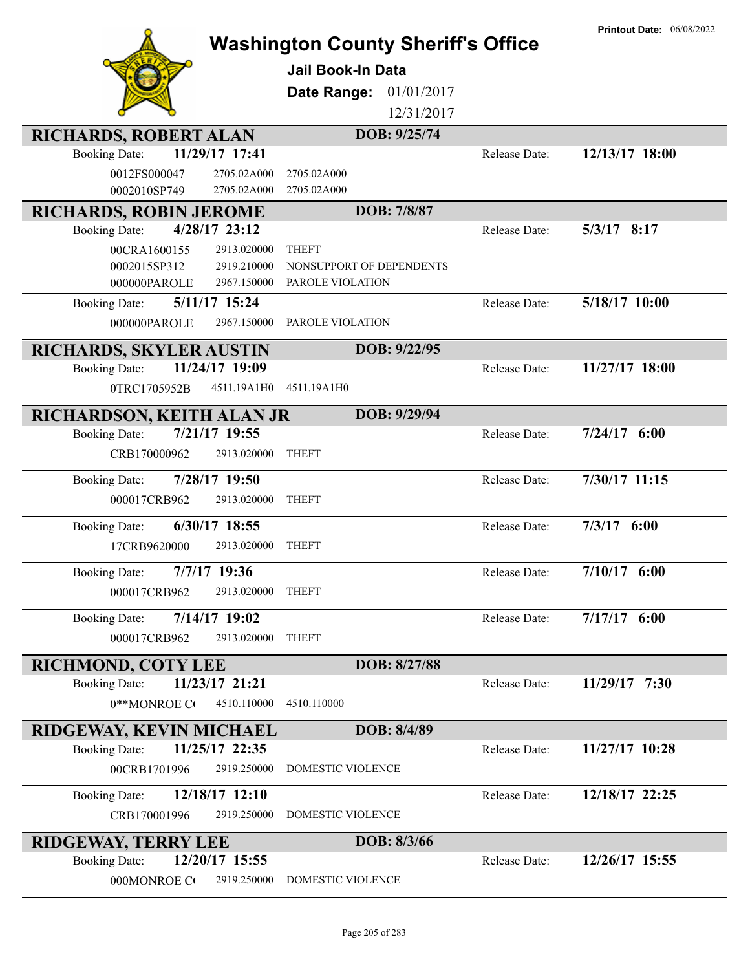|                                                                          | <b>Washington County Sheriff's Office</b> |               | <b>Printout Date: 06/08/2022</b> |
|--------------------------------------------------------------------------|-------------------------------------------|---------------|----------------------------------|
|                                                                          | <b>Jail Book-In Data</b>                  |               |                                  |
|                                                                          | Date Range:<br>01/01/2017                 |               |                                  |
|                                                                          | 12/31/2017                                |               |                                  |
| <b>RICHARDS, ROBERT ALAN</b>                                             | DOB: 9/25/74                              |               |                                  |
| 11/29/17 17:41<br><b>Booking Date:</b>                                   |                                           | Release Date: | 12/13/17 18:00                   |
| 0012FS000047<br>2705.02A000                                              | 2705.02A000                               |               |                                  |
| 0002010SP749<br>2705.02A000                                              | 2705.02A000                               |               |                                  |
| <b>RICHARDS, ROBIN JEROME</b>                                            | DOB: 7/8/87                               |               |                                  |
| 4/28/17 23:12<br><b>Booking Date:</b>                                    |                                           | Release Date: | $5/3/17$ 8:17                    |
| 2913.020000<br>00CRA1600155                                              | <b>THEFT</b>                              |               |                                  |
| 2919.210000<br>0002015SP312                                              | NONSUPPORT OF DEPENDENTS                  |               |                                  |
| 2967.150000<br>000000PAROLE                                              | PAROLE VIOLATION                          |               |                                  |
| 5/11/17 15:24<br><b>Booking Date:</b>                                    |                                           | Release Date: | 5/18/17 10:00                    |
| 000000PAROLE<br>2967.150000                                              | PAROLE VIOLATION                          |               |                                  |
| RICHARDS, SKYLER AUSTIN                                                  | DOB: 9/22/95                              |               |                                  |
| 11/24/17 19:09<br><b>Booking Date:</b>                                   |                                           | Release Date: | 11/27/17 18:00                   |
| 0TRC1705952B<br>4511.19A1H0                                              | 4511.19A1H0                               |               |                                  |
| RICHARDSON, KEITH ALAN JR                                                | DOB: 9/29/94                              |               |                                  |
| 7/21/17 19:55<br><b>Booking Date:</b>                                    |                                           | Release Date: | $7/24/17$ 6:00                   |
| CRB170000962<br>2913.020000                                              | <b>THEFT</b>                              |               |                                  |
| 7/28/17 19:50<br><b>Booking Date:</b>                                    |                                           | Release Date: | 7/30/17 11:15                    |
| 000017CRB962<br>2913.020000                                              | <b>THEFT</b>                              |               |                                  |
|                                                                          |                                           |               |                                  |
| 6/30/17 18:55<br><b>Booking Date:</b>                                    |                                           | Release Date: | $7/3/17$ 6:00                    |
| 2913.020000<br>17CRB9620000                                              | <b>THEFT</b>                              |               |                                  |
| 7/7/17 19:36<br><b>Booking Date:</b>                                     |                                           | Release Date: | $7/10/17$ 6:00                   |
| 000017CRB962<br>2913.020000                                              | <b>THEFT</b>                              |               |                                  |
| 7/14/17 19:02<br><b>Booking Date:</b>                                    |                                           | Release Date: | $7/17/17$ 6:00                   |
| 000017CRB962<br>2913.020000                                              | <b>THEFT</b>                              |               |                                  |
| <b>RICHMOND, COTY LEE</b>                                                | DOB: 8/27/88                              |               |                                  |
| 11/23/17 21:21<br><b>Booking Date:</b>                                   |                                           | Release Date: | 11/29/17 7:30                    |
| 0**MONROE CO<br>4510.110000                                              | 4510.110000                               |               |                                  |
|                                                                          | DOB: 8/4/89                               |               |                                  |
| <b>RIDGEWAY, KEVIN MICHAEL</b><br>11/25/17 22:35<br><b>Booking Date:</b> |                                           | Release Date: | 11/27/17 10:28                   |
| 00CRB1701996<br>2919.250000                                              | DOMESTIC VIOLENCE                         |               |                                  |
|                                                                          |                                           |               |                                  |
| 12/18/17 12:10<br><b>Booking Date:</b>                                   |                                           | Release Date: | 12/18/17 22:25                   |
| 2919.250000<br>CRB170001996                                              | DOMESTIC VIOLENCE                         |               |                                  |
| <b>RIDGEWAY, TERRY LEE</b>                                               | DOB: 8/3/66                               |               |                                  |
| 12/20/17 15:55<br><b>Booking Date:</b>                                   |                                           | Release Date: | 12/26/17 15:55                   |
| 000MONROE CO<br>2919.250000                                              | DOMESTIC VIOLENCE                         |               |                                  |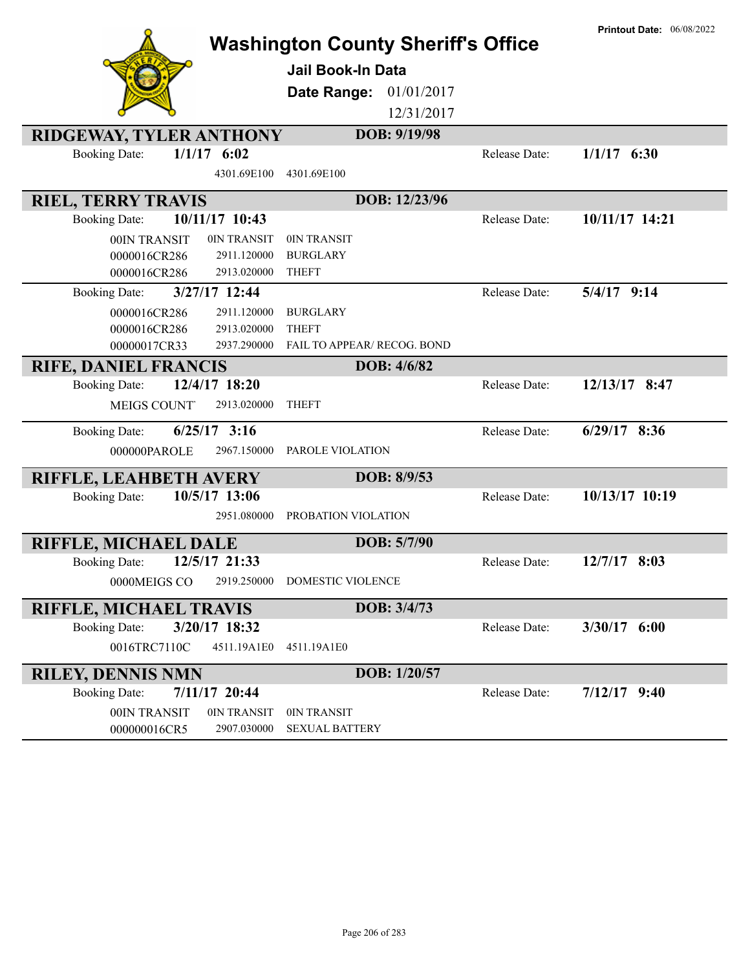|                                        | <b>Washington County Sheriff's Office</b> |               | <b>Printout Date: 06/08/2022</b> |
|----------------------------------------|-------------------------------------------|---------------|----------------------------------|
|                                        | Jail Book-In Data                         |               |                                  |
|                                        | Date Range:<br>01/01/2017                 |               |                                  |
|                                        | 12/31/2017                                |               |                                  |
|                                        |                                           |               |                                  |
| <b>RIDGEWAY, TYLER ANTHONY</b>         | DOB: 9/19/98                              |               |                                  |
| $1/1/17$ 6:02<br><b>Booking Date:</b>  |                                           | Release Date: | $1/1/17$ 6:30                    |
| 4301.69E100                            | 4301.69E100                               |               |                                  |
| <b>RIEL, TERRY TRAVIS</b>              | DOB: 12/23/96                             |               |                                  |
| 10/11/17 10:43<br><b>Booking Date:</b> |                                           | Release Date: | 10/11/17 14:21                   |
| 00IN TRANSIT<br>0IN TRANSIT            | 0IN TRANSIT                               |               |                                  |
| 2911.120000<br>0000016CR286            | <b>BURGLARY</b>                           |               |                                  |
| 2913.020000<br>0000016CR286            | <b>THEFT</b>                              |               |                                  |
| 3/27/17 12:44<br><b>Booking Date:</b>  |                                           | Release Date: | $5/4/17$ 9:14                    |
| 0000016CR286<br>2911.120000            | <b>BURGLARY</b>                           |               |                                  |
| 0000016CR286<br>2913.020000            | <b>THEFT</b>                              |               |                                  |
| 00000017CR33<br>2937.290000            | FAIL TO APPEAR/ RECOG. BOND               |               |                                  |
| <b>RIFE, DANIEL FRANCIS</b>            | DOB: 4/6/82                               |               |                                  |
| 12/4/17 18:20<br><b>Booking Date:</b>  |                                           | Release Date: | 12/13/17 8:47                    |
| 2913.020000<br><b>MEIGS COUNT</b>      | <b>THEFT</b>                              |               |                                  |
| $6/25/17$ 3:16<br><b>Booking Date:</b> |                                           | Release Date: | $6/29/17$ 8:36                   |
| 000000PAROLE<br>2967.150000            | PAROLE VIOLATION                          |               |                                  |
| RIFFLE, LEAHBETH AVERY                 | DOB: 8/9/53                               |               |                                  |
| 10/5/17 13:06<br><b>Booking Date:</b>  |                                           | Release Date: | 10/13/17 10:19                   |
| 2951.080000                            | PROBATION VIOLATION                       |               |                                  |
| RIFFLE, MICHAEL DALE                   | DOB: 5/7/90                               |               |                                  |
| 12/5/17 21:33<br><b>Booking Date:</b>  |                                           | Release Date: | $12/7/17$ 8:03                   |
| 2919.250000<br>0000MEIGS CO            | DOMESTIC VIOLENCE                         |               |                                  |
| RIFFLE, MICHAEL TRAVIS                 | DOB: 3/4/73                               |               |                                  |
| 3/20/17 18:32<br><b>Booking Date:</b>  |                                           | Release Date: | $3/30/17$ 6:00                   |
| 0016TRC7110C<br>4511.19A1E0            | 4511.19A1E0                               |               |                                  |
| <b>RILEY, DENNIS NMN</b>               | DOB: 1/20/57                              |               |                                  |
| 7/11/17 20:44<br><b>Booking Date:</b>  |                                           | Release Date: | $7/12/17$ 9:40                   |
| 00IN TRANSIT<br>0IN TRANSIT            | 0IN TRANSIT                               |               |                                  |
| 000000016CR5<br>2907.030000            | <b>SEXUAL BATTERY</b>                     |               |                                  |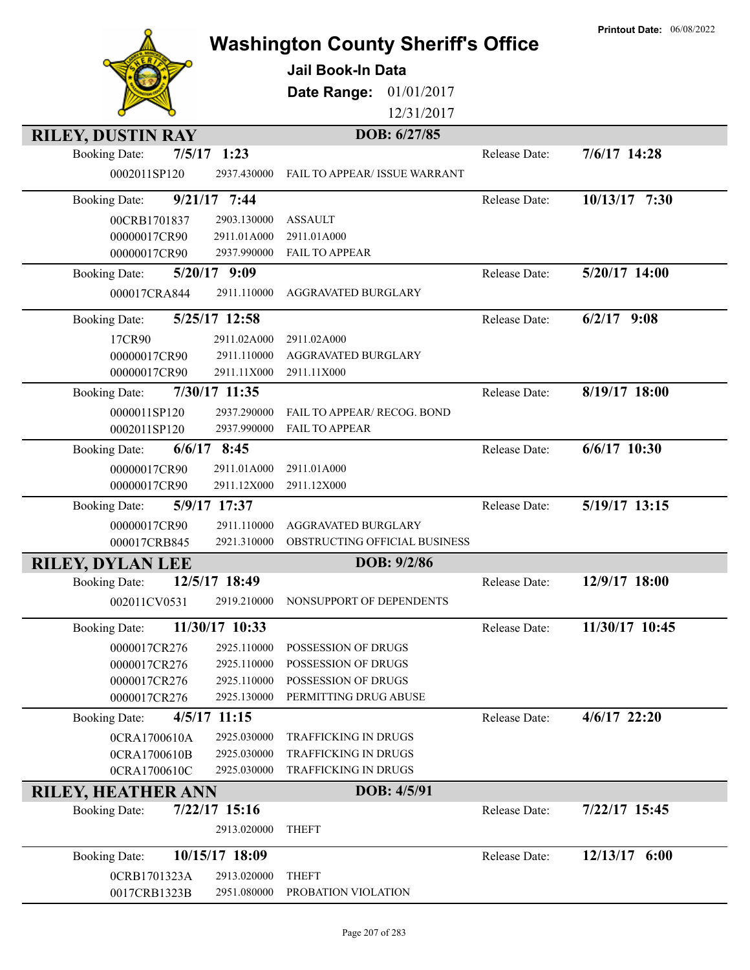|                                |                            | <b>Washington County Sheriff's Office</b>  |               | <b>Printout Date: 06/08/2022</b> |
|--------------------------------|----------------------------|--------------------------------------------|---------------|----------------------------------|
|                                |                            | Jail Book-In Data                          |               |                                  |
|                                |                            |                                            |               |                                  |
|                                |                            | Date Range:<br>01/01/2017                  |               |                                  |
|                                |                            | 12/31/2017                                 |               |                                  |
| <b>RILEY, DUSTIN RAY</b>       |                            | DOB: 6/27/85                               |               |                                  |
| 7/5/17<br><b>Booking Date:</b> | 1:23                       |                                            | Release Date: | 7/6/17 14:28                     |
| 0002011SP120                   | 2937.430000                | FAIL TO APPEAR/ ISSUE WARRANT              |               |                                  |
| <b>Booking Date:</b>           | $9/21/17$ 7:44             |                                            | Release Date: | 10/13/17 7:30                    |
| 00CRB1701837                   | 2903.130000                | <b>ASSAULT</b>                             |               |                                  |
| 00000017CR90                   | 2911.01A000                | 2911.01A000                                |               |                                  |
| 00000017CR90                   | 2937.990000                | <b>FAIL TO APPEAR</b>                      |               |                                  |
| <b>Booking Date:</b>           | $5/20/17$ 9:09             |                                            | Release Date: | 5/20/17 14:00                    |
| 000017CRA844                   | 2911.110000                | AGGRAVATED BURGLARY                        |               |                                  |
| <b>Booking Date:</b>           | 5/25/17 12:58              |                                            | Release Date: | $6/2/17$ 9:08                    |
| 17CR90                         | 2911.02A000                | 2911.02A000                                |               |                                  |
| 00000017CR90                   | 2911.110000                | AGGRAVATED BURGLARY                        |               |                                  |
| 00000017CR90                   | 2911.11X000                | 2911.11X000                                |               |                                  |
| <b>Booking Date:</b>           | 7/30/17 11:35              |                                            | Release Date: | 8/19/17 18:00                    |
| 0000011SP120                   | 2937.290000                | FAIL TO APPEAR/ RECOG. BOND                |               |                                  |
| 0002011SP120                   | 2937.990000                | <b>FAIL TO APPEAR</b>                      |               |                                  |
| <b>Booking Date:</b>           | $6/6/17$ 8:45              |                                            | Release Date: | $6/6/17$ 10:30                   |
| 00000017CR90<br>00000017CR90   | 2911.01A000<br>2911.12X000 | 2911.01A000<br>2911.12X000                 |               |                                  |
| <b>Booking Date:</b>           | 5/9/17 17:37               |                                            | Release Date: | 5/19/17 13:15                    |
| 00000017CR90                   | 2911.110000                | AGGRAVATED BURGLARY                        |               |                                  |
| 000017CRB845                   | 2921.310000                | OBSTRUCTING OFFICIAL BUSINESS              |               |                                  |
| <b>RILEY, DYLAN LEE</b>        |                            | DOB: 9/2/86                                |               |                                  |
| <b>Booking Date:</b>           | 12/5/17 18:49              |                                            | Release Date: | 12/9/17 18:00                    |
| 002011CV0531                   | 2919.210000                | NONSUPPORT OF DEPENDENTS                   |               |                                  |
|                                |                            |                                            |               |                                  |
| <b>Booking Date:</b>           | 11/30/17 10:33             |                                            | Release Date: | 11/30/17 10:45                   |
| 0000017CR276<br>0000017CR276   | 2925.110000<br>2925.110000 | POSSESSION OF DRUGS<br>POSSESSION OF DRUGS |               |                                  |
| 0000017CR276                   | 2925.110000                | POSSESSION OF DRUGS                        |               |                                  |
| 0000017CR276                   | 2925.130000                | PERMITTING DRUG ABUSE                      |               |                                  |
| <b>Booking Date:</b>           | 4/5/17 11:15               |                                            | Release Date: | 4/6/17 22:20                     |
| 0CRA1700610A                   | 2925.030000                | TRAFFICKING IN DRUGS                       |               |                                  |
| 0CRA1700610B                   | 2925.030000                | TRAFFICKING IN DRUGS                       |               |                                  |
| 0CRA1700610C                   | 2925.030000                | TRAFFICKING IN DRUGS                       |               |                                  |
| <b>RILEY, HEATHER ANN</b>      |                            | DOB: 4/5/91                                |               |                                  |
| <b>Booking Date:</b>           | $7/22/17$ 15:16            |                                            | Release Date: | 7/22/17 15:45                    |
|                                | 2913.020000                | <b>THEFT</b>                               |               |                                  |
| <b>Booking Date:</b>           | 10/15/17 18:09             |                                            | Release Date: | 12/13/17 6:00                    |
| 0CRB1701323A                   | 2913.020000                | <b>THEFT</b>                               |               |                                  |
| 0017CRB1323B                   | 2951.080000                | PROBATION VIOLATION                        |               |                                  |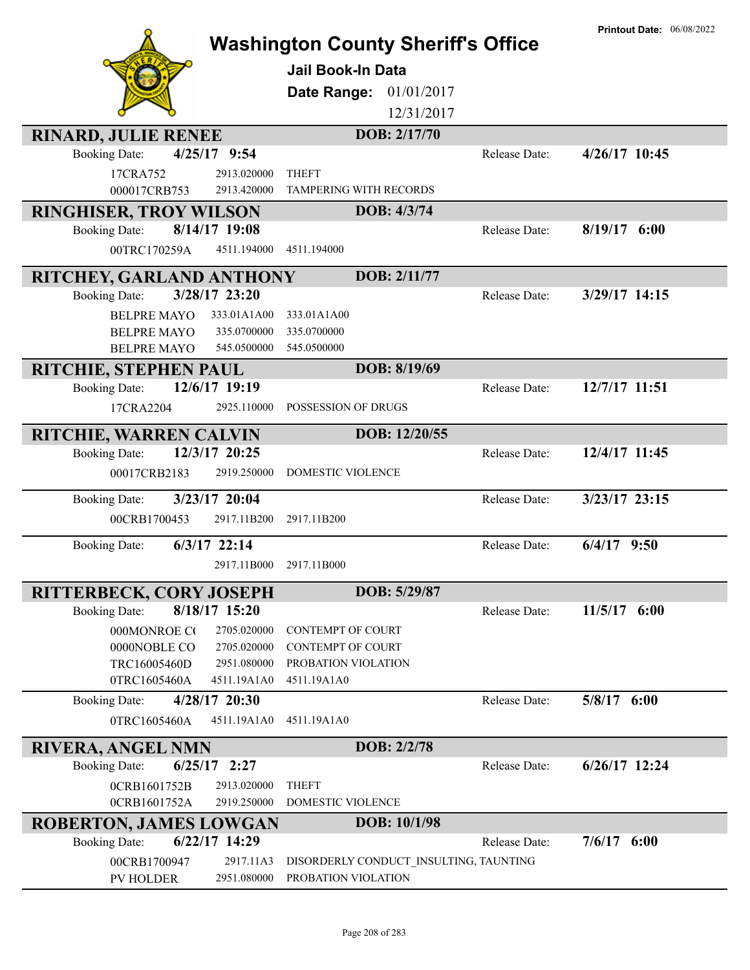|                                                                    |                                                      |               | <b>Printout Date: 06/08/2022</b> |
|--------------------------------------------------------------------|------------------------------------------------------|---------------|----------------------------------|
|                                                                    | <b>Washington County Sheriff's Office</b>            |               |                                  |
|                                                                    | <b>Jail Book-In Data</b>                             |               |                                  |
|                                                                    | Date Range:<br>01/01/2017                            |               |                                  |
|                                                                    | 12/31/2017                                           |               |                                  |
| <b>RINARD, JULIE RENEE</b>                                         | DOB: 2/17/70                                         |               |                                  |
| 4/25/17 9:54<br><b>Booking Date:</b>                               |                                                      | Release Date: | 4/26/17 10:45                    |
| 17CRA752<br>2913.020000                                            | <b>THEFT</b>                                         |               |                                  |
| 000017CRB753<br>2913.420000                                        | TAMPERING WITH RECORDS                               |               |                                  |
| RINGHISER, TROY WILSON                                             | DOB: 4/3/74                                          |               |                                  |
| 8/14/17 19:08<br><b>Booking Date:</b>                              |                                                      | Release Date: | $8/19/17$ 6:00                   |
| 00TRC170259A<br>4511.194000                                        | 4511.194000                                          |               |                                  |
| RITCHEY, GARLAND ANTHONY                                           | DOB: 2/11/77                                         |               |                                  |
| 3/28/17 23:20<br><b>Booking Date:</b>                              |                                                      | Release Date: | 3/29/17 14:15                    |
| <b>BELPRE MAYO</b><br>333.01A1A00                                  | 333.01A1A00                                          |               |                                  |
| 335.0700000<br><b>BELPRE MAYO</b>                                  | 335.0700000                                          |               |                                  |
| <b>BELPRE MAYO</b><br>545.0500000                                  | 545.0500000                                          |               |                                  |
| <b>RITCHIE, STEPHEN PAUL</b>                                       | DOB: 8/19/69                                         |               |                                  |
| 12/6/17 19:19<br><b>Booking Date:</b>                              |                                                      | Release Date: | 12/7/17 11:51                    |
| 17CRA2204<br>2925.110000                                           | POSSESSION OF DRUGS                                  |               |                                  |
| RITCHIE, WARREN CALVIN                                             | DOB: 12/20/55                                        |               |                                  |
| 12/3/17 20:25<br><b>Booking Date:</b>                              |                                                      | Release Date: | 12/4/17 11:45                    |
| 2919.250000<br>00017CRB2183                                        | DOMESTIC VIOLENCE                                    |               |                                  |
| 3/23/17 20:04<br><b>Booking Date:</b>                              |                                                      | Release Date: | $3/23/17$ 23:15                  |
| 00CRB1700453<br>2917.11B200                                        | 2917.11B200                                          |               |                                  |
| $6/3/17$ 22:14<br><b>Booking Date:</b>                             |                                                      | Release Date: | $6/4/17$ 9:50                    |
| 2917.11B000                                                        | 2917.11B000                                          |               |                                  |
|                                                                    |                                                      |               |                                  |
| <b>RITTERBECK, CORY JOSEPH</b>                                     | DOB: 5/29/87                                         |               |                                  |
| 8/18/17 15:20<br><b>Booking Date:</b>                              |                                                      | Release Date: | $11/5/17$ 6:00                   |
| 000MONROE CO<br>2705.020000<br>0000NOBLE CO<br>2705.020000         | <b>CONTEMPT OF COURT</b><br><b>CONTEMPT OF COURT</b> |               |                                  |
| TRC16005460D<br>2951.080000                                        | PROBATION VIOLATION                                  |               |                                  |
| 0TRC1605460A<br>4511.19A1A0                                        | 4511.19A1A0                                          |               |                                  |
| 4/28/17 20:30<br><b>Booking Date:</b>                              |                                                      | Release Date: | $5/8/17$ 6:00                    |
| 0TRC1605460A<br>4511.19A1A0                                        | 4511.19A1A0                                          |               |                                  |
|                                                                    | DOB: 2/2/78                                          |               |                                  |
| <b>RIVERA, ANGEL NMN</b><br>$6/25/17$ 2:27<br><b>Booking Date:</b> |                                                      | Release Date: | $6/26/17$ 12:24                  |
| 2913.020000<br>0CRB1601752B                                        | <b>THEFT</b>                                         |               |                                  |
| 2919.250000<br>0CRB1601752A                                        | DOMESTIC VIOLENCE                                    |               |                                  |
| <b>ROBERTON, JAMES LOWGAN</b>                                      | DOB: 10/1/98                                         |               |                                  |
| 6/22/17 14:29<br><b>Booking Date:</b>                              |                                                      | Release Date: | $7/6/17$ 6:00                    |
| 00CRB1700947<br>2917.11A3                                          | DISORDERLY CONDUCT INSULTING, TAUNTING               |               |                                  |
| PV HOLDER<br>2951.080000                                           | PROBATION VIOLATION                                  |               |                                  |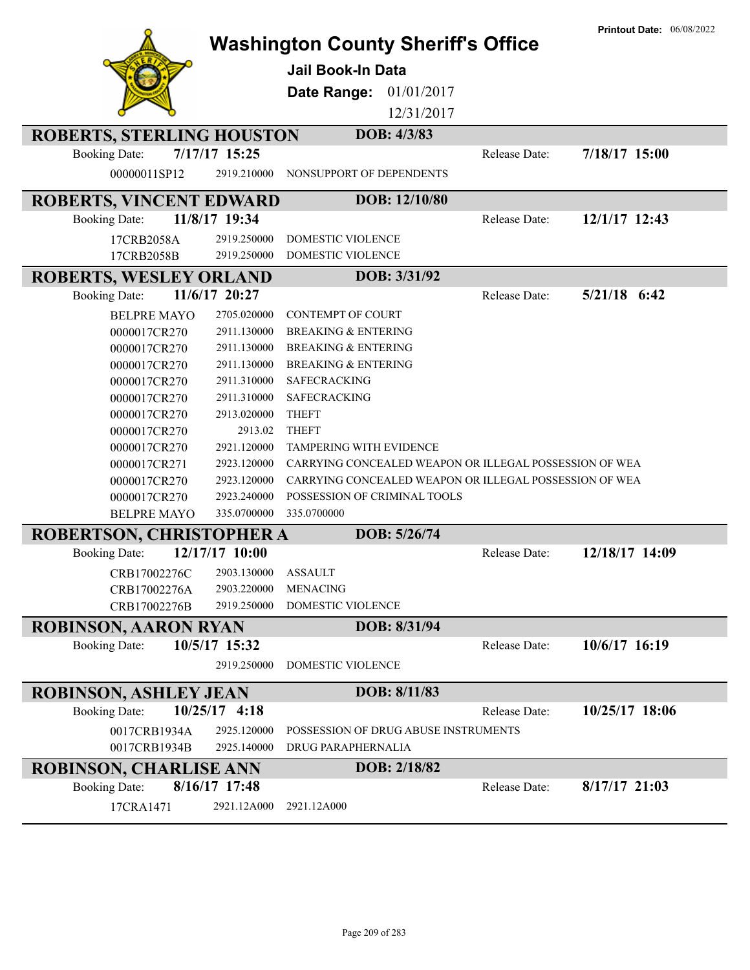|                                  |                 |                                                        |               | <b>Printout Date: 06/08/2022</b> |
|----------------------------------|-----------------|--------------------------------------------------------|---------------|----------------------------------|
|                                  |                 | <b>Washington County Sheriff's Office</b>              |               |                                  |
|                                  |                 | Jail Book-In Data                                      |               |                                  |
|                                  |                 | 01/01/2017<br>Date Range:                              |               |                                  |
|                                  |                 |                                                        |               |                                  |
|                                  |                 | 12/31/2017                                             |               |                                  |
| <b>ROBERTS, STERLING HOUSTON</b> |                 | DOB: 4/3/83                                            |               |                                  |
| <b>Booking Date:</b>             | 7/17/17 15:25   |                                                        | Release Date: | 7/18/17 15:00                    |
| 00000011SP12                     | 2919.210000     | NONSUPPORT OF DEPENDENTS                               |               |                                  |
| <b>ROBERTS, VINCENT EDWARD</b>   |                 | DOB: 12/10/80                                          |               |                                  |
| <b>Booking Date:</b>             | 11/8/17 19:34   |                                                        | Release Date: | 12/1/17 12:43                    |
| 17CRB2058A                       | 2919.250000     | DOMESTIC VIOLENCE                                      |               |                                  |
| 17CRB2058B                       | 2919.250000     | DOMESTIC VIOLENCE                                      |               |                                  |
| <b>ROBERTS, WESLEY ORLAND</b>    |                 | DOB: 3/31/92                                           |               |                                  |
| <b>Booking Date:</b>             | 11/6/17 20:27   |                                                        | Release Date: | $5/21/18$ 6:42                   |
| <b>BELPRE MAYO</b>               | 2705.020000     | <b>CONTEMPT OF COURT</b>                               |               |                                  |
| 0000017CR270                     | 2911.130000     | <b>BREAKING &amp; ENTERING</b>                         |               |                                  |
| 0000017CR270                     | 2911.130000     | <b>BREAKING &amp; ENTERING</b>                         |               |                                  |
| 0000017CR270                     | 2911.130000     | <b>BREAKING &amp; ENTERING</b>                         |               |                                  |
| 0000017CR270                     | 2911.310000     | <b>SAFECRACKING</b>                                    |               |                                  |
| 0000017CR270                     | 2911.310000     | <b>SAFECRACKING</b>                                    |               |                                  |
| 0000017CR270                     | 2913.020000     | <b>THEFT</b>                                           |               |                                  |
| 0000017CR270                     | 2913.02         | <b>THEFT</b>                                           |               |                                  |
| 0000017CR270                     | 2921.120000     | TAMPERING WITH EVIDENCE                                |               |                                  |
| 0000017CR271                     | 2923.120000     | CARRYING CONCEALED WEAPON OR ILLEGAL POSSESSION OF WEA |               |                                  |
| 0000017CR270                     | 2923.120000     | CARRYING CONCEALED WEAPON OR ILLEGAL POSSESSION OF WEA |               |                                  |
| 0000017CR270                     | 2923.240000     | POSSESSION OF CRIMINAL TOOLS                           |               |                                  |
| <b>BELPRE MAYO</b>               | 335.0700000     | 335.0700000                                            |               |                                  |
| ROBERTSON, CHRISTOPHER A         |                 | DOB: 5/26/74                                           |               |                                  |
| <b>Booking Date:</b>             | 12/17/17 10:00  |                                                        | Release Date: | 12/18/17 14:09                   |
| CRB17002276C 2903.130000 ASSAULT |                 |                                                        |               |                                  |
| CRB17002276A                     | 2903.220000     | <b>MENACING</b>                                        |               |                                  |
| CRB17002276B                     | 2919.250000     | <b>DOMESTIC VIOLENCE</b>                               |               |                                  |
| <b>ROBINSON, AARON RYAN</b>      |                 | DOB: 8/31/94                                           |               |                                  |
| <b>Booking Date:</b>             | 10/5/17 15:32   |                                                        | Release Date: | 10/6/17 16:19                    |
|                                  | 2919.250000     | <b>DOMESTIC VIOLENCE</b>                               |               |                                  |
|                                  |                 |                                                        |               |                                  |
| <b>ROBINSON, ASHLEY JEAN</b>     |                 | DOB: 8/11/83                                           |               |                                  |
| <b>Booking Date:</b>             | $10/25/17$ 4:18 |                                                        | Release Date: | 10/25/17 18:06                   |
| 0017CRB1934A                     | 2925.120000     | POSSESSION OF DRUG ABUSE INSTRUMENTS                   |               |                                  |
| 0017CRB1934B                     | 2925.140000     | DRUG PARAPHERNALIA                                     |               |                                  |
| <b>ROBINSON, CHARLISE ANN</b>    |                 | DOB: 2/18/82                                           |               |                                  |
| <b>Booking Date:</b>             | 8/16/17 17:48   |                                                        | Release Date: | $8/17/17$ 21:03                  |
| 17CRA1471                        | 2921.12A000     | 2921.12A000                                            |               |                                  |
|                                  |                 |                                                        |               |                                  |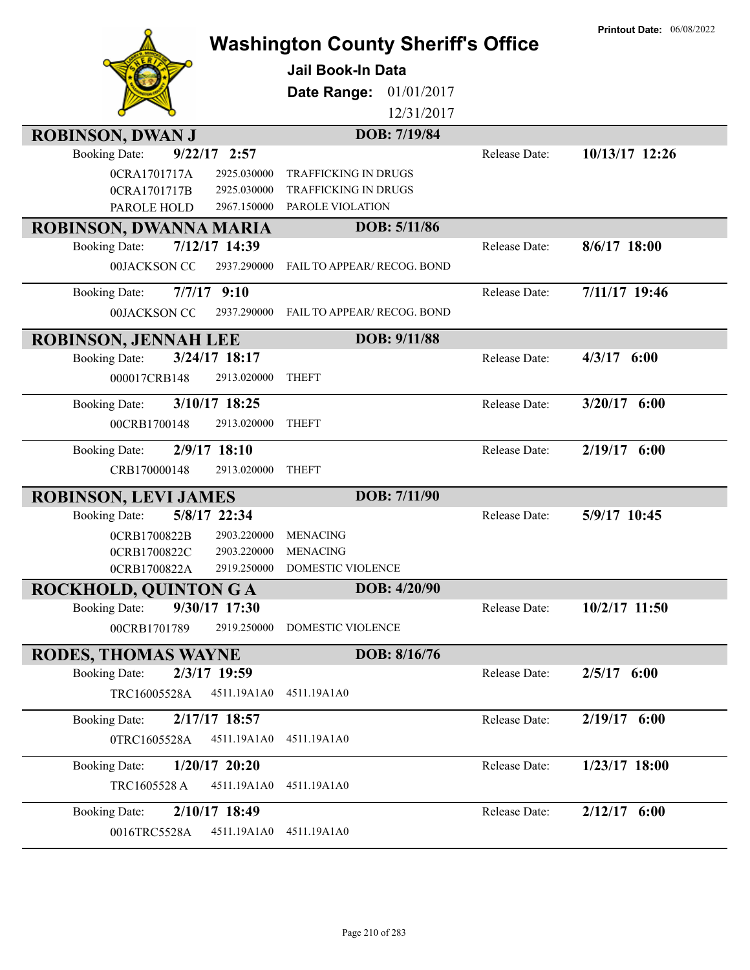|                                         | <b>Washington County Sheriff's Office</b><br><b>Jail Book-In Data</b><br>01/01/2017<br>Date Range:<br>12/31/2017 |               | <b>Printout Date: 06/08/2022</b> |
|-----------------------------------------|------------------------------------------------------------------------------------------------------------------|---------------|----------------------------------|
| <b>ROBINSON, DWAN J</b>                 | DOB: 7/19/84                                                                                                     |               |                                  |
| $9/22/17$ 2:57<br><b>Booking Date:</b>  |                                                                                                                  | Release Date: | 10/13/17 12:26                   |
| 0CRA1701717A<br>2925.030000             | <b>TRAFFICKING IN DRUGS</b>                                                                                      |               |                                  |
| 0CRA1701717B<br>2925.030000             | <b>TRAFFICKING IN DRUGS</b>                                                                                      |               |                                  |
| PAROLE HOLD<br>2967.150000              | PAROLE VIOLATION                                                                                                 |               |                                  |
| ROBINSON, DWANNA MARIA                  | DOB: 5/11/86                                                                                                     |               |                                  |
| 7/12/17 14:39<br><b>Booking Date:</b>   |                                                                                                                  | Release Date: | 8/6/17 18:00                     |
| 00JACKSON CO<br>2937.290000             | FAIL TO APPEAR/ RECOG. BOND                                                                                      |               |                                  |
| $7/7/17$ 9:10<br><b>Booking Date:</b>   |                                                                                                                  | Release Date: | 7/11/17 19:46                    |
| 00JACKSON CC<br>2937.290000             | <b>FAIL TO APPEAR/ RECOG. BOND</b>                                                                               |               |                                  |
| <b>ROBINSON, JENNAH LEE</b>             | DOB: 9/11/88                                                                                                     |               |                                  |
| 3/24/17 18:17<br><b>Booking Date:</b>   |                                                                                                                  | Release Date: | $4/3/17$ 6:00                    |
| 000017CRB148<br>2913.020000             | <b>THEFT</b>                                                                                                     |               |                                  |
|                                         |                                                                                                                  |               |                                  |
| 3/10/17 18:25<br><b>Booking Date:</b>   |                                                                                                                  | Release Date: | $3/20/17$ 6:00                   |
| 00CRB1700148<br>2913.020000             | <b>THEFT</b>                                                                                                     |               |                                  |
| 2/9/17 18:10<br><b>Booking Date:</b>    |                                                                                                                  | Release Date: | $2/19/17$ 6:00                   |
| CRB170000148<br>2913.020000             | <b>THEFT</b>                                                                                                     |               |                                  |
| <b>ROBINSON, LEVI JAMES</b>             | DOB: 7/11/90                                                                                                     |               |                                  |
| 5/8/17 22:34<br><b>Booking Date:</b>    |                                                                                                                  | Release Date: | 5/9/17 10:45                     |
| 0CRB1700822B<br>2903.220000             | <b>MENACING</b>                                                                                                  |               |                                  |
| 2903.220000<br>0CRB1700822C             | <b>MENACING</b>                                                                                                  |               |                                  |
| 2919.250000<br>0CRB1700822A             | <b>DOMESTIC VIOLENCE</b>                                                                                         |               |                                  |
| <b>ROCKHOLD, QUINTON G A</b>            | DOB: 4/20/90                                                                                                     |               |                                  |
| 9/30/17 17:30<br><b>Booking Date:</b>   |                                                                                                                  | Release Date: | $10/2/17$ 11:50                  |
| 00CRB1701789<br>2919.250000             | DOMESTIC VIOLENCE                                                                                                |               |                                  |
| <b>RODES, THOMAS WAYNE</b>              | DOB: 8/16/76                                                                                                     |               |                                  |
| 2/3/17 19:59<br><b>Booking Date:</b>    |                                                                                                                  | Release Date: | $2/5/17$ 6:00                    |
| TRC16005528A<br>4511.19A1A0             | 4511.19A1A0                                                                                                      |               |                                  |
| 2/17/17 18:57<br><b>Booking Date:</b>   |                                                                                                                  | Release Date: | 2/19/17 6:00                     |
| 0TRC1605528A<br>4511.19A1A0             | 4511.19A1A0                                                                                                      |               |                                  |
| $1/20/17$ 20:20<br><b>Booking Date:</b> |                                                                                                                  | Release Date: | 1/23/17 18:00                    |
|                                         |                                                                                                                  |               |                                  |
| TRC1605528 A<br>4511.19A1A0             | 4511.19A1A0                                                                                                      |               |                                  |
| 2/10/17 18:49<br><b>Booking Date:</b>   |                                                                                                                  | Release Date: | $2/12/17$ 6:00                   |
| 4511.19A1A0<br>0016TRC5528A             | 4511.19A1A0                                                                                                      |               |                                  |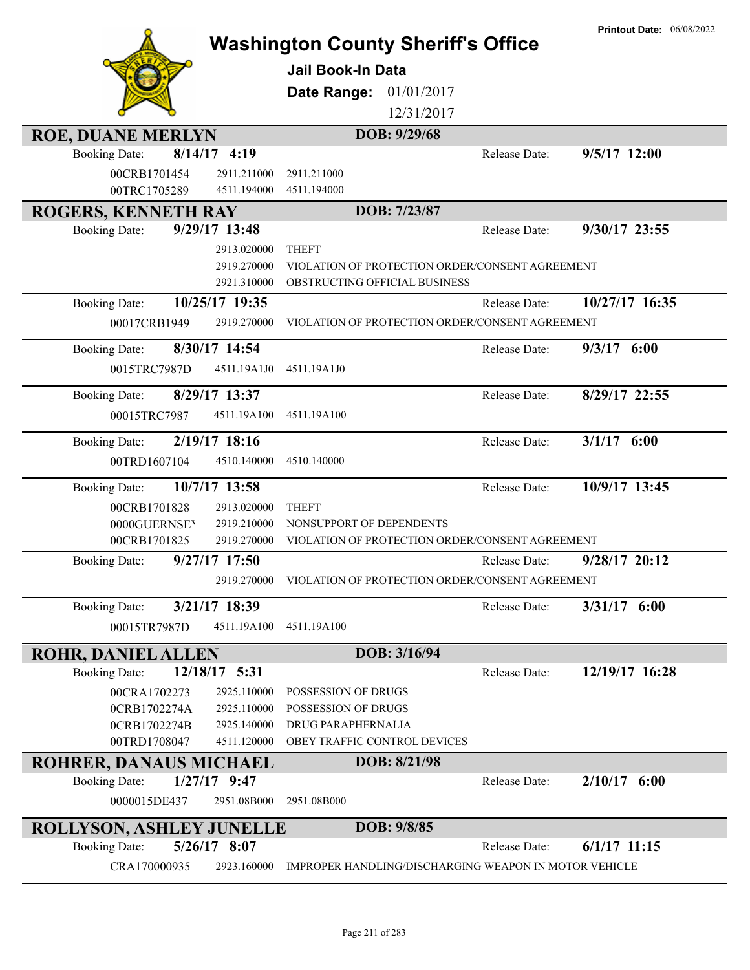|                                                  |                | <b>Washington County Sheriff's Office</b><br><b>Jail Book-In Data</b><br>Date Range:<br>01/01/2017<br>12/31/2017<br>DOB: 9/29/68 |               | <b>Printout Date: 06/08/2022</b> |
|--------------------------------------------------|----------------|----------------------------------------------------------------------------------------------------------------------------------|---------------|----------------------------------|
| <b>ROE, DUANE MERLYN</b><br><b>Booking Date:</b> | $8/14/17$ 4:19 |                                                                                                                                  | Release Date: | 9/5/17 12:00                     |
| 00CRB1701454                                     | 2911.211000    | 2911.211000                                                                                                                      |               |                                  |
| 00TRC1705289                                     | 4511.194000    | 4511.194000                                                                                                                      |               |                                  |
| <b>ROGERS, KENNETH RAY</b>                       |                | DOB: 7/23/87                                                                                                                     |               |                                  |
| <b>Booking Date:</b>                             | 9/29/17 13:48  |                                                                                                                                  | Release Date: | 9/30/17 23:55                    |
|                                                  | 2913.020000    | <b>THEFT</b>                                                                                                                     |               |                                  |
|                                                  | 2919.270000    | VIOLATION OF PROTECTION ORDER/CONSENT AGREEMENT                                                                                  |               |                                  |
|                                                  | 2921.310000    | OBSTRUCTING OFFICIAL BUSINESS                                                                                                    |               |                                  |
| <b>Booking Date:</b>                             | 10/25/17 19:35 |                                                                                                                                  | Release Date: | 10/27/17 16:35                   |
| 00017CRB1949                                     | 2919.270000    | VIOLATION OF PROTECTION ORDER/CONSENT AGREEMENT                                                                                  |               |                                  |
| <b>Booking Date:</b>                             | 8/30/17 14:54  |                                                                                                                                  | Release Date: | $9/3/17$ 6:00                    |
| 0015TRC7987D                                     | 4511.19A1J0    | 4511.19A1J0                                                                                                                      |               |                                  |
|                                                  |                |                                                                                                                                  |               |                                  |
| <b>Booking Date:</b>                             | 8/29/17 13:37  |                                                                                                                                  | Release Date: | 8/29/17 22:55                    |
| 00015TRC7987                                     | 4511.19A100    | 4511.19A100                                                                                                                      |               |                                  |
| <b>Booking Date:</b>                             | 2/19/17 18:16  |                                                                                                                                  | Release Date: | $3/1/17$ 6:00                    |
| 00TRD1607104                                     | 4510.140000    | 4510.140000                                                                                                                      |               |                                  |
| <b>Booking Date:</b>                             | 10/7/17 13:58  |                                                                                                                                  | Release Date: | 10/9/17 13:45                    |
| 00CRB1701828                                     | 2913.020000    | <b>THEFT</b>                                                                                                                     |               |                                  |
| 0000GUERNSEY                                     | 2919.210000    | NONSUPPORT OF DEPENDENTS                                                                                                         |               |                                  |
| 00CRB1701825                                     | 2919.270000    | VIOLATION OF PROTECTION ORDER/CONSENT AGREEMENT                                                                                  |               |                                  |
| <b>Booking Date:</b>                             | 9/27/17 17:50  |                                                                                                                                  | Release Date: | 9/28/17 20:12                    |
|                                                  | 2919.270000    | VIOLATION OF PROTECTION ORDER/CONSENT AGREEMENT                                                                                  |               |                                  |
| <b>Booking Date:</b>                             | 3/21/17 18:39  |                                                                                                                                  | Release Date: | $3/31/17$ 6:00                   |
| 00015TR7987D                                     | 4511.19A100    | 4511.19A100                                                                                                                      |               |                                  |
| <b>ROHR, DANIEL ALLEN</b>                        |                | DOB: 3/16/94                                                                                                                     |               |                                  |
| <b>Booking Date:</b>                             | 12/18/17 5:31  |                                                                                                                                  | Release Date: | 12/19/17 16:28                   |
| 00CRA1702273                                     | 2925.110000    | POSSESSION OF DRUGS                                                                                                              |               |                                  |
| 0CRB1702274A                                     | 2925.110000    | POSSESSION OF DRUGS                                                                                                              |               |                                  |
| 0CRB1702274B                                     | 2925.140000    | DRUG PARAPHERNALIA                                                                                                               |               |                                  |
| 00TRD1708047                                     | 4511.120000    | OBEY TRAFFIC CONTROL DEVICES                                                                                                     |               |                                  |
| <b>ROHRER, DANAUS MICHAEL</b>                    |                | DOB: 8/21/98                                                                                                                     |               |                                  |
| <b>Booking Date:</b>                             | $1/27/17$ 9:47 |                                                                                                                                  | Release Date: | $2/10/17$ 6:00                   |
| 0000015DE437                                     | 2951.08B000    | 2951.08B000                                                                                                                      |               |                                  |
| <b>ROLLYSON, ASHLEY JUNELLE</b>                  |                | DOB: 9/8/85                                                                                                                      |               |                                  |
| <b>Booking Date:</b>                             | 5/26/17 8:07   |                                                                                                                                  | Release Date: | $6/1/17$ 11:15                   |
| CRA170000935                                     | 2923.160000    | IMPROPER HANDLING/DISCHARGING WEAPON IN MOTOR VEHICLE                                                                            |               |                                  |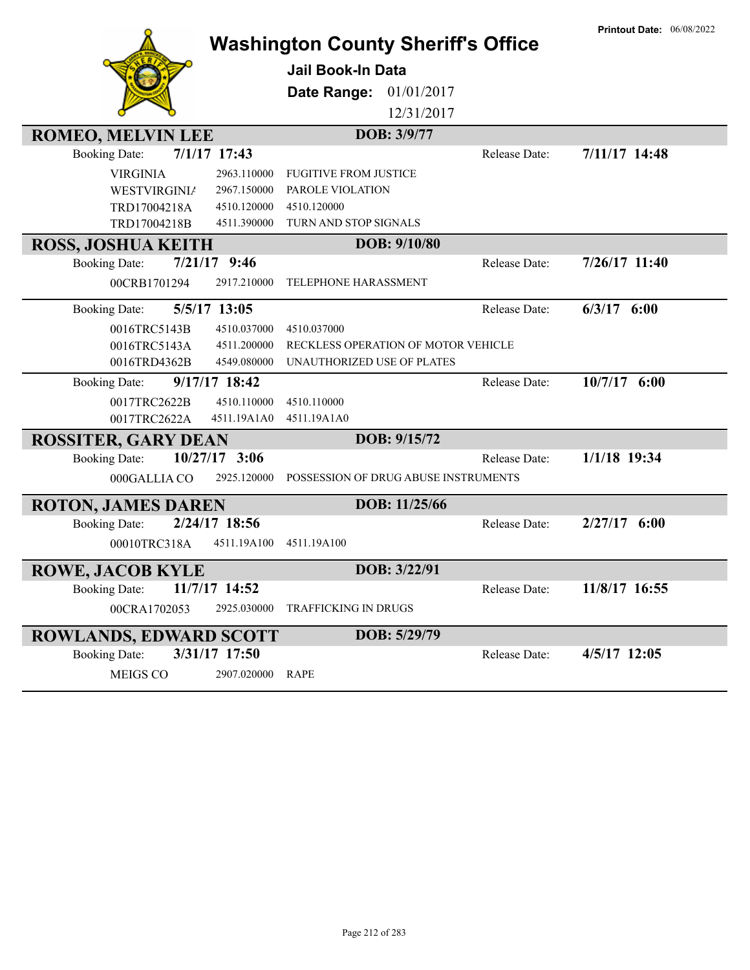|                                         | <b>Washington County Sheriff's Office</b> |               | <b>Printout Date: 06/08/2022</b> |
|-----------------------------------------|-------------------------------------------|---------------|----------------------------------|
|                                         | <b>Jail Book-In Data</b>                  |               |                                  |
|                                         | 01/01/2017<br>Date Range:                 |               |                                  |
|                                         | 12/31/2017                                |               |                                  |
| <b>ROMEO, MELVIN LEE</b>                | DOB: 3/9/77                               |               |                                  |
| $7/1/17$ 17:43<br><b>Booking Date:</b>  |                                           | Release Date: | 7/11/17 14:48                    |
| <b>VIRGINIA</b><br>2963.110000          | <b>FUGITIVE FROM JUSTICE</b>              |               |                                  |
| <b>WESTVIRGINIA</b><br>2967.150000      | PAROLE VIOLATION                          |               |                                  |
| TRD17004218A<br>4510.120000             | 4510.120000                               |               |                                  |
| TRD17004218B<br>4511.390000             | TURN AND STOP SIGNALS                     |               |                                  |
| <b>ROSS, JOSHUA KEITH</b>               | DOB: 9/10/80                              |               |                                  |
| $7/21/17$ 9:46<br><b>Booking Date:</b>  |                                           | Release Date: | $7/26/17$ 11:40                  |
| 2917.210000<br>00CRB1701294             | TELEPHONE HARASSMENT                      |               |                                  |
| 5/5/17 13:05<br><b>Booking Date:</b>    |                                           | Release Date: | $6/3/17$ $6:00$                  |
| 0016TRC5143B<br>4510.037000             | 4510.037000                               |               |                                  |
| 0016TRC5143A<br>4511.200000             | RECKLESS OPERATION OF MOTOR VEHICLE       |               |                                  |
| 0016TRD4362B<br>4549.080000             | UNAUTHORIZED USE OF PLATES                |               |                                  |
| 9/17/17 18:42<br><b>Booking Date:</b>   |                                           | Release Date: | $10/7/17$ 6:00                   |
| 0017TRC2622B<br>4510.110000             | 4510.110000                               |               |                                  |
| 0017TRC2622A<br>4511.19A1A0             | 4511.19A1A0                               |               |                                  |
| <b>ROSSITER, GARY DEAN</b>              | DOB: 9/15/72                              |               |                                  |
| $10/27/17$ 3:06<br><b>Booking Date:</b> |                                           | Release Date: | 1/1/18 19:34                     |
| 000GALLIA CO<br>2925.120000             | POSSESSION OF DRUG ABUSE INSTRUMENTS      |               |                                  |
| <b>ROTON, JAMES DAREN</b>               | DOB: 11/25/66                             |               |                                  |
| 2/24/17 18:56<br><b>Booking Date:</b>   |                                           | Release Date: | $2/27/17$ 6:00                   |
| 00010TRC318A<br>4511.19A100             | 4511.19A100                               |               |                                  |
| <b>ROWE, JACOB KYLE</b>                 | DOB: 3/22/91                              |               |                                  |
| 11/7/17 14:52<br><b>Booking Date:</b>   |                                           | Release Date: | 11/8/17 16:55                    |
| 2925.030000<br>00CRA1702053             | TRAFFICKING IN DRUGS                      |               |                                  |
| <b>ROWLANDS, EDWARD SCOTT</b>           | DOB: 5/29/79                              |               |                                  |
| 3/31/17 17:50<br><b>Booking Date:</b>   |                                           | Release Date: | 4/5/17 12:05                     |
| MEIGS CO<br>2907.020000                 | RAPE                                      |               |                                  |
|                                         |                                           |               |                                  |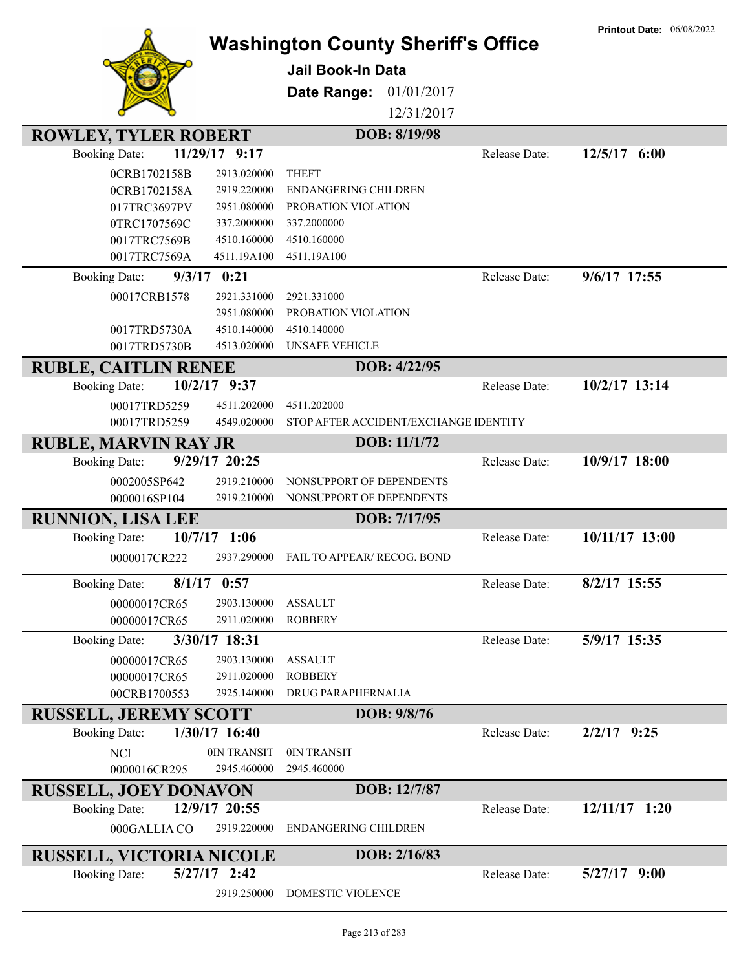|                                                                      |                                                      |               | <b>Printout Date: 06/08/2022</b> |
|----------------------------------------------------------------------|------------------------------------------------------|---------------|----------------------------------|
|                                                                      | <b>Washington County Sheriff's Office</b>            |               |                                  |
|                                                                      | <b>Jail Book-In Data</b>                             |               |                                  |
|                                                                      | Date Range:<br>01/01/2017                            |               |                                  |
|                                                                      | 12/31/2017                                           |               |                                  |
|                                                                      | DOB: 8/19/98                                         |               |                                  |
| <b>ROWLEY, TYLER ROBERT</b><br><b>Booking Date:</b><br>11/29/17 9:17 |                                                      | Release Date: | $12/5/17$ 6:00                   |
|                                                                      |                                                      |               |                                  |
| 0CRB1702158B<br>2913.020000<br>2919.220000                           | <b>THEFT</b><br><b>ENDANGERING CHILDREN</b>          |               |                                  |
| 0CRB1702158A<br>017TRC3697PV<br>2951.080000                          | PROBATION VIOLATION                                  |               |                                  |
| 0TRC1707569C<br>337.2000000                                          | 337.2000000                                          |               |                                  |
| 0017TRC7569B<br>4510.160000                                          | 4510.160000                                          |               |                                  |
| 0017TRC7569A<br>4511.19A100                                          | 4511.19A100                                          |               |                                  |
| $9/3/17$ 0:21<br><b>Booking Date:</b>                                |                                                      | Release Date: | $9/6/17$ 17:55                   |
| 2921.331000<br>00017CRB1578                                          | 2921.331000                                          |               |                                  |
| 2951.080000                                                          | PROBATION VIOLATION                                  |               |                                  |
| 4510.140000<br>0017TRD5730A                                          | 4510.140000                                          |               |                                  |
| 0017TRD5730B<br>4513.020000                                          | <b>UNSAFE VEHICLE</b>                                |               |                                  |
| <b>RUBLE, CAITLIN RENEE</b>                                          | DOB: 4/22/95                                         |               |                                  |
| 10/2/17 9:37<br><b>Booking Date:</b>                                 |                                                      | Release Date: | 10/2/17 13:14                    |
|                                                                      |                                                      |               |                                  |
| 00017TRD5259<br>4511.202000<br>00017TRD5259<br>4549.020000           | 4511.202000<br>STOP AFTER ACCIDENT/EXCHANGE IDENTITY |               |                                  |
|                                                                      |                                                      |               |                                  |
| <b>RUBLE, MARVIN RAY JR</b>                                          | DOB: 11/1/72                                         |               |                                  |
| 9/29/17 20:25<br><b>Booking Date:</b>                                |                                                      | Release Date: | 10/9/17 18:00                    |
| 0002005SP642<br>2919.210000                                          | NONSUPPORT OF DEPENDENTS                             |               |                                  |
| 2919.210000<br>0000016SP104                                          | NONSUPPORT OF DEPENDENTS                             |               |                                  |
| <b>RUNNION, LISA LEE</b>                                             | DOB: 7/17/95                                         |               |                                  |
| $10/7/17$ 1:06<br><b>Booking Date:</b>                               |                                                      | Release Date: | 10/11/17 13:00                   |
| 2937.290000<br>0000017CR222                                          | FAIL TO APPEAR/ RECOG. BOND                          |               |                                  |
| <b>Booking Date:</b><br>$8/1/17$ 0:57                                |                                                      | Release Date: | 8/2/17 15:55                     |
| 00000017CR65<br>2903.130000                                          | <b>ASSAULT</b>                                       |               |                                  |
| 00000017CR65<br>2911.020000                                          | <b>ROBBERY</b>                                       |               |                                  |
| 3/30/17 18:31<br><b>Booking Date:</b>                                |                                                      | Release Date: | 5/9/17 15:35                     |
| 00000017CR65<br>2903.130000                                          | <b>ASSAULT</b>                                       |               |                                  |
| 00000017CR65<br>2911.020000                                          | <b>ROBBERY</b>                                       |               |                                  |
| 00CRB1700553<br>2925.140000                                          | DRUG PARAPHERNALIA                                   |               |                                  |
| <b>RUSSELL, JEREMY SCOTT</b>                                         | DOB: 9/8/76                                          |               |                                  |
| 1/30/17 16:40<br><b>Booking Date:</b>                                |                                                      | Release Date: | $2/2/17$ 9:25                    |
| <b>NCI</b><br>0IN TRANSIT                                            | 0IN TRANSIT                                          |               |                                  |
| 0000016CR295<br>2945.460000                                          | 2945.460000                                          |               |                                  |
| <b>RUSSELL, JOEY DONAVON</b>                                         | DOB: 12/7/87                                         |               |                                  |
| 12/9/17 20:55<br><b>Booking Date:</b>                                |                                                      | Release Date: | $12/11/17$ 1:20                  |
| 000GALLIA CO<br>2919.220000                                          | <b>ENDANGERING CHILDREN</b>                          |               |                                  |
|                                                                      |                                                      |               |                                  |
| <b>RUSSELL, VICTORIA NICOLE</b>                                      | DOB: 2/16/83                                         |               |                                  |
| $5/27/17$ 2:42<br><b>Booking Date:</b>                               |                                                      | Release Date: | $5/27/17$ 9:00                   |
| 2919.250000                                                          | DOMESTIC VIOLENCE                                    |               |                                  |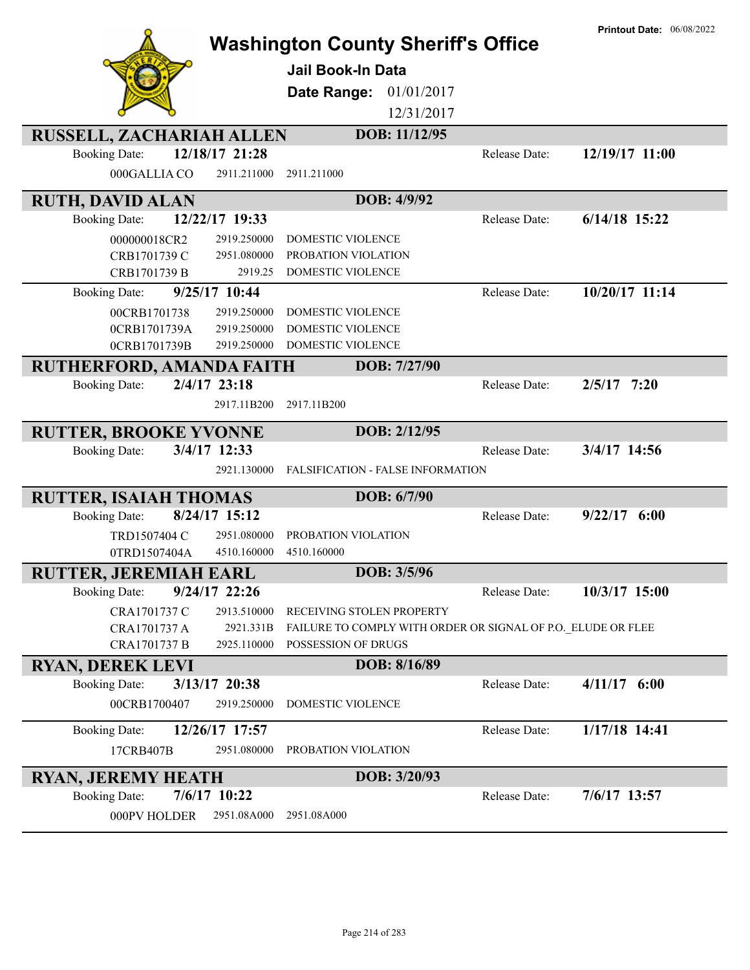|                                                                       | <b>Washington County Sheriff's Office</b>                    | <b>Printout Date: 06/08/2022</b> |
|-----------------------------------------------------------------------|--------------------------------------------------------------|----------------------------------|
|                                                                       | <b>Jail Book-In Data</b>                                     |                                  |
|                                                                       | 01/01/2017<br>Date Range:                                    |                                  |
|                                                                       | 12/31/2017                                                   |                                  |
| <b>RUSSELL, ZACHARIAH ALLEN</b>                                       | DOB: 11/12/95                                                |                                  |
| 12/18/17 21:28<br><b>Booking Date:</b>                                | Release Date:                                                | 12/19/17 11:00                   |
| 000GALLIA CO<br>2911.211000                                           | 2911.211000                                                  |                                  |
| <b>RUTH, DAVID ALAN</b>                                               | DOB: 4/9/92                                                  |                                  |
| 12/22/17 19:33<br><b>Booking Date:</b>                                | Release Date:                                                | $6/14/18$ 15:22                  |
| 2919.250000<br>000000018CR2                                           | DOMESTIC VIOLENCE                                            |                                  |
| 2951.080000<br>CRB1701739 C                                           | PROBATION VIOLATION                                          |                                  |
| 2919.25<br>CRB1701739 B                                               | DOMESTIC VIOLENCE                                            |                                  |
| 9/25/17 10:44<br><b>Booking Date:</b>                                 | Release Date:                                                | 10/20/17 11:14                   |
| 00CRB1701738<br>2919.250000                                           | DOMESTIC VIOLENCE                                            |                                  |
| 0CRB1701739A<br>2919.250000                                           | DOMESTIC VIOLENCE                                            |                                  |
| 0CRB1701739B<br>2919.250000                                           | DOMESTIC VIOLENCE                                            |                                  |
| RUTHERFORD, AMANDA FAITH                                              | DOB: 7/27/90                                                 |                                  |
| 2/4/17 23:18<br><b>Booking Date:</b>                                  | Release Date:                                                | $2/5/17$ 7:20                    |
| 2917.11B200                                                           | 2917.11B200                                                  |                                  |
|                                                                       |                                                              |                                  |
| <b>RUTTER, BROOKE YVONNE</b>                                          | DOB: 2/12/95                                                 |                                  |
| 3/4/17 12:33<br><b>Booking Date:</b>                                  | Release Date:                                                | 3/4/17 14:56                     |
| 2921.130000                                                           | FALSIFICATION - FALSE INFORMATION                            |                                  |
|                                                                       |                                                              |                                  |
| <b>RUTTER, ISAIAH THOMAS</b><br>8/24/17 15:12<br><b>Booking Date:</b> | DOB: 6/7/90<br>Release Date:                                 | $9/22/17$ 6:00                   |
| TRD1507404 C<br>2951.080000                                           | PROBATION VIOLATION                                          |                                  |
| 0TRD1507404A<br>4510.160000                                           | 4510.160000                                                  |                                  |
|                                                                       | DOB: 3/5/96                                                  |                                  |
| RUTTER, JEREMIAH EARL<br>$9/24/17$ 22:26<br><b>Booking Date:</b>      | Release Date:                                                | 10/3/17 15:00                    |
| 2913.510000<br>CRA1701737 C                                           | RECEIVING STOLEN PROPERTY                                    |                                  |
| 2921.331B<br>CRA1701737 A                                             | FAILURE TO COMPLY WITH ORDER OR SIGNAL OF P.O. ELUDE OR FLEE |                                  |
| 2925.110000<br>CRA1701737 B                                           | POSSESSION OF DRUGS                                          |                                  |
| <b>RYAN, DEREK LEVI</b>                                               | DOB: 8/16/89                                                 |                                  |
| 3/13/17 20:38<br><b>Booking Date:</b>                                 | Release Date:                                                | $4/11/17$ 6:00                   |
| 00CRB1700407<br>2919.250000                                           | DOMESTIC VIOLENCE                                            |                                  |
| 12/26/17 17:57<br><b>Booking Date:</b>                                | Release Date:                                                | 1/17/18 14:41                    |
| 17CRB407B<br>2951.080000                                              | PROBATION VIOLATION                                          |                                  |
|                                                                       | DOB: 3/20/93                                                 |                                  |
| <b>RYAN, JEREMY HEATH</b><br>7/6/17 10:22<br><b>Booking Date:</b>     | Release Date:                                                | 7/6/17 13:57                     |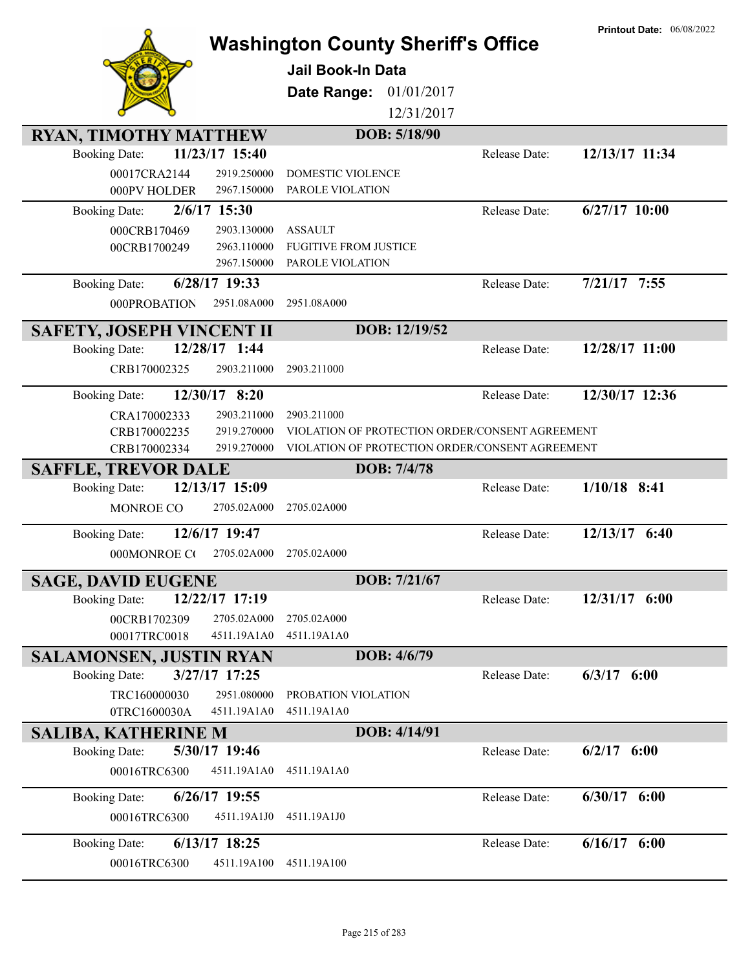|                                  |                 | <b>Washington County Sheriff's Office</b>       |               | <b>Printout Date: 06/08/2022</b> |
|----------------------------------|-----------------|-------------------------------------------------|---------------|----------------------------------|
|                                  |                 |                                                 |               |                                  |
|                                  |                 | <b>Jail Book-In Data</b>                        |               |                                  |
|                                  |                 | 01/01/2017<br>Date Range:                       |               |                                  |
|                                  |                 | 12/31/2017                                      |               |                                  |
| <b>RYAN, TIMOTHY MATTHEW</b>     |                 | DOB: 5/18/90                                    |               |                                  |
| <b>Booking Date:</b>             | 11/23/17 15:40  |                                                 | Release Date: | 12/13/17 11:34                   |
| 00017CRA2144                     | 2919.250000     | <b>DOMESTIC VIOLENCE</b>                        |               |                                  |
| 000PV HOLDER                     | 2967.150000     | PAROLE VIOLATION                                |               |                                  |
| <b>Booking Date:</b>             | 2/6/17 15:30    |                                                 | Release Date: | $6/27/17$ 10:00                  |
| 000CRB170469                     | 2903.130000     | <b>ASSAULT</b>                                  |               |                                  |
| 00CRB1700249                     | 2963.110000     | <b>FUGITIVE FROM JUSTICE</b>                    |               |                                  |
|                                  | 2967.150000     | PAROLE VIOLATION                                |               |                                  |
| <b>Booking Date:</b>             | 6/28/17 19:33   |                                                 | Release Date: | $7/21/17$ 7:55                   |
| 000PROBATION                     | 2951.08A000     | 2951.08A000                                     |               |                                  |
| <b>SAFETY, JOSEPH VINCENT II</b> |                 | DOB: 12/19/52                                   |               |                                  |
| <b>Booking Date:</b>             | 12/28/17 1:44   |                                                 | Release Date: | 12/28/17 11:00                   |
| CRB170002325                     | 2903.211000     | 2903.211000                                     |               |                                  |
| <b>Booking Date:</b>             | 12/30/17 8:20   |                                                 | Release Date: | 12/30/17 12:36                   |
| CRA170002333                     | 2903.211000     | 2903.211000                                     |               |                                  |
| CRB170002235                     | 2919.270000     | VIOLATION OF PROTECTION ORDER/CONSENT AGREEMENT |               |                                  |
| CRB170002334                     | 2919.270000     | VIOLATION OF PROTECTION ORDER/CONSENT AGREEMENT |               |                                  |
| <b>SAFFLE, TREVOR DALE</b>       |                 | DOB: 7/4/78                                     |               |                                  |
| <b>Booking Date:</b>             | 12/13/17 15:09  |                                                 | Release Date: | $1/10/18$ 8:41                   |
| MONROE CO                        | 2705.02A000     | 2705.02A000                                     |               |                                  |
| <b>Booking Date:</b>             | 12/6/17 19:47   |                                                 | Release Date: | 12/13/17 6:40                    |
| 000MONROE CO                     | 2705.02A000     | 2705.02A000                                     |               |                                  |
| <b>SAGE, DAVID EUGENE</b>        |                 | DOB: 7/21/67                                    |               |                                  |
| <b>Booking Date:</b>             | 12/22/17 17:19  |                                                 | Release Date: | 12/31/17 6:00                    |
| 00CRB1702309                     | 2705.02A000     | 2705.02A000                                     |               |                                  |
| 00017TRC0018                     | 4511.19A1A0     | 4511.19A1A0                                     |               |                                  |
| <b>SALAMONSEN, JUSTIN RYAN</b>   |                 | DOB: 4/6/79                                     |               |                                  |
| <b>Booking Date:</b>             | 3/27/17 17:25   |                                                 | Release Date: | $6/3/17$ $6:00$                  |
| TRC160000030                     | 2951.080000     | PROBATION VIOLATION                             |               |                                  |
| 0TRC1600030A                     | 4511.19A1A0     | 4511.19A1A0                                     |               |                                  |
| <b>SALIBA, KATHERINE M</b>       |                 | DOB: 4/14/91                                    |               |                                  |
| <b>Booking Date:</b>             | 5/30/17 19:46   |                                                 | Release Date: | $6/2/17$ $6:00$                  |
| 00016TRC6300                     | 4511.19A1A0     | 4511.19A1A0                                     |               |                                  |
| <b>Booking Date:</b>             | 6/26/17 19:55   |                                                 | Release Date: | $6/30/17$ $6:00$                 |
| 00016TRC6300                     | 4511.19A1J0     | 4511.19A1J0                                     |               |                                  |
| <b>Booking Date:</b>             | $6/13/17$ 18:25 |                                                 | Release Date: | $6/16/17$ $6:00$                 |
| 00016TRC6300                     | 4511.19A100     | 4511.19A100                                     |               |                                  |
|                                  |                 |                                                 |               |                                  |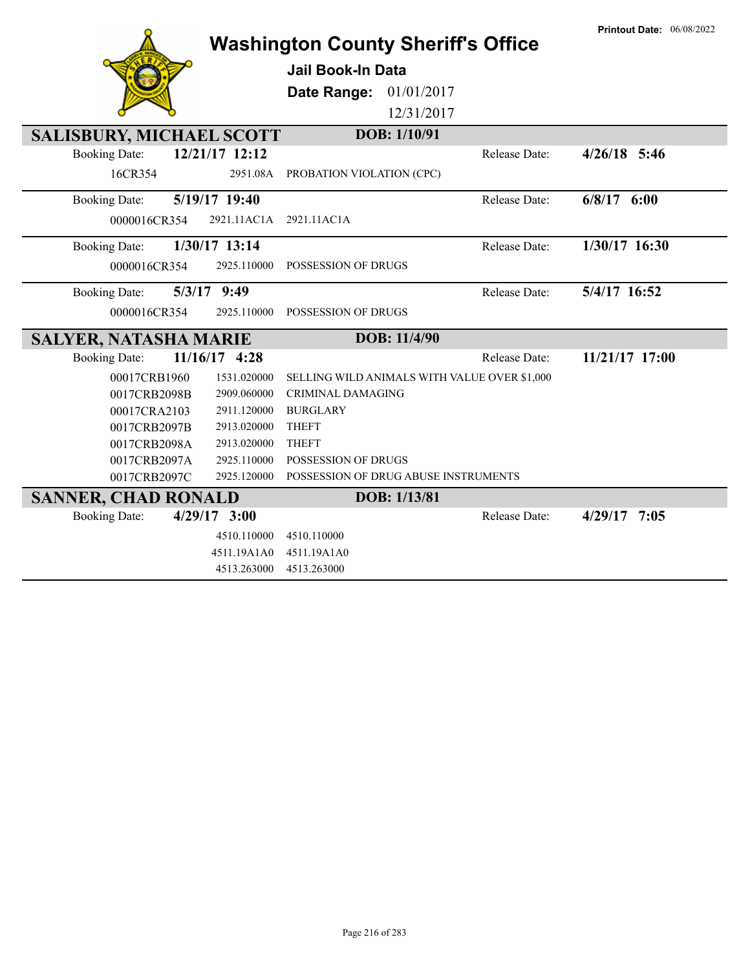|                                 |                | <b>Washington County Sheriff's Office</b>    |               | <b>Printout Date: 06/08/2022</b> |
|---------------------------------|----------------|----------------------------------------------|---------------|----------------------------------|
|                                 |                |                                              |               |                                  |
|                                 |                | <b>Jail Book-In Data</b>                     |               |                                  |
|                                 |                | 01/01/2017<br>Date Range:                    |               |                                  |
|                                 |                | 12/31/2017                                   |               |                                  |
| <b>SALISBURY, MICHAEL SCOTT</b> |                | DOB: 1/10/91                                 |               |                                  |
| <b>Booking Date:</b>            | 12/21/17 12:12 |                                              | Release Date: | $4/26/18$ 5:46                   |
| 16CR354                         | 2951.08A       | PROBATION VIOLATION (CPC)                    |               |                                  |
| <b>Booking Date:</b>            | 5/19/17 19:40  |                                              | Release Date: | $6/8/17$ $6:00$                  |
| 0000016CR354                    | 2921.11AC1A    | 2921.11AC1A                                  |               |                                  |
| <b>Booking Date:</b>            | 1/30/17 13:14  |                                              | Release Date: | 1/30/17 16:30                    |
| 0000016CR354                    | 2925.110000    | <b>POSSESSION OF DRUGS</b>                   |               |                                  |
|                                 |                |                                              |               |                                  |
| <b>Booking Date:</b>            | 5/3/17 9:49    |                                              | Release Date: | 5/4/17 16:52                     |
| 0000016CR354                    | 2925.110000    | POSSESSION OF DRUGS                          |               |                                  |
|                                 |                |                                              |               |                                  |
| <b>SALYER, NATASHA MARIE</b>    |                | DOB: 11/4/90                                 |               |                                  |
| <b>Booking Date:</b>            | 11/16/17 4:28  |                                              | Release Date: | 11/21/17 17:00                   |
| 00017CRB1960                    | 1531.020000    | SELLING WILD ANIMALS WITH VALUE OVER \$1,000 |               |                                  |
| 0017CRB2098B                    | 2909.060000    | CRIMINAL DAMAGING                            |               |                                  |
| 00017CRA2103                    | 2911.120000    | <b>BURGLARY</b>                              |               |                                  |
| 0017CRB2097B                    | 2913.020000    | <b>THEFT</b>                                 |               |                                  |
| 0017CRB2098A                    | 2913.020000    | <b>THEFT</b>                                 |               |                                  |
| 0017CRB2097A                    | 2925.110000    | POSSESSION OF DRUGS                          |               |                                  |
| 0017CRB2097C                    | 2925.120000    | POSSESSION OF DRUG ABUSE INSTRUMENTS         |               |                                  |
| <b>SANNER, CHAD RONALD</b>      |                | DOB: 1/13/81                                 |               |                                  |
| <b>Booking Date:</b>            | $4/29/17$ 3:00 |                                              | Release Date: | $4/29/17$ 7:05                   |
|                                 | 4510.110000    | 4510.110000                                  |               |                                  |
|                                 | 4511.19A1A0    | 4511.19A1A0                                  |               |                                  |

**Printout Date:** 06/08/2022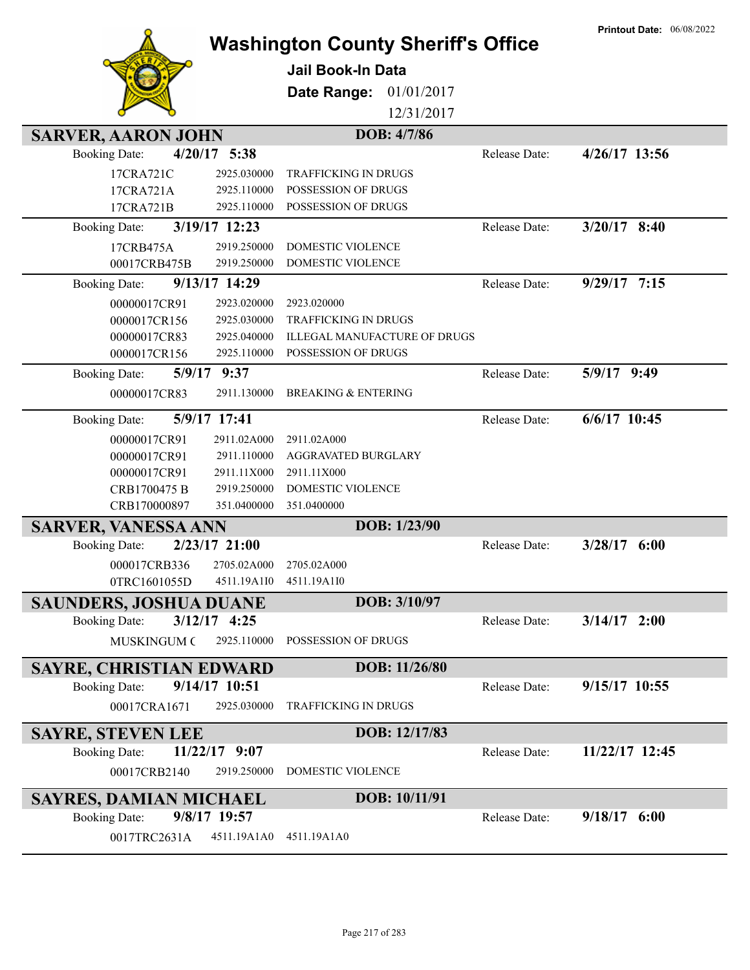|                                |                            | <b>Washington County Sheriff's Office</b>  |               | <b>Printout Date: 06/08/2022</b> |
|--------------------------------|----------------------------|--------------------------------------------|---------------|----------------------------------|
|                                |                            | <b>Jail Book-In Data</b>                   |               |                                  |
|                                |                            |                                            |               |                                  |
|                                |                            | Date Range:<br>01/01/2017                  |               |                                  |
|                                |                            | 12/31/2017                                 |               |                                  |
| <b>SARVER, AARON JOHN</b>      |                            | DOB: 4/7/86                                |               |                                  |
| <b>Booking Date:</b>           | $4/20/17$ 5:38             |                                            | Release Date: | $4/26/17$ 13:56                  |
| 17CRA721C                      | 2925.030000                | <b>TRAFFICKING IN DRUGS</b>                |               |                                  |
| 17CRA721A<br>17CRA721B         | 2925.110000<br>2925.110000 | POSSESSION OF DRUGS<br>POSSESSION OF DRUGS |               |                                  |
| <b>Booking Date:</b>           | 3/19/17 12:23              |                                            | Release Date: | $3/20/17$ 8:40                   |
|                                | 2919.250000                | <b>DOMESTIC VIOLENCE</b>                   |               |                                  |
| 17CRB475A<br>00017CRB475B      | 2919.250000                | DOMESTIC VIOLENCE                          |               |                                  |
| <b>Booking Date:</b>           | 9/13/17 14:29              |                                            | Release Date: | $9/29/17$ 7:15                   |
| 00000017CR91                   | 2923.020000                | 2923.020000                                |               |                                  |
| 0000017CR156                   | 2925.030000                | TRAFFICKING IN DRUGS                       |               |                                  |
| 00000017CR83                   | 2925.040000                | <b>ILLEGAL MANUFACTURE OF DRUGS</b>        |               |                                  |
| 0000017CR156                   | 2925.110000                | POSSESSION OF DRUGS                        |               |                                  |
| <b>Booking Date:</b>           | 5/9/17 9:37                |                                            | Release Date: | 5/9/17 9:49                      |
| 00000017CR83                   | 2911.130000                | <b>BREAKING &amp; ENTERING</b>             |               |                                  |
| <b>Booking Date:</b>           | 5/9/17 17:41               |                                            | Release Date: | $6/6/17$ 10:45                   |
| 00000017CR91                   | 2911.02A000                | 2911.02A000                                |               |                                  |
| 00000017CR91                   | 2911.110000                | AGGRAVATED BURGLARY                        |               |                                  |
| 00000017CR91                   | 2911.11X000                | 2911.11X000                                |               |                                  |
| CRB1700475 B                   | 2919.250000                | DOMESTIC VIOLENCE                          |               |                                  |
| CRB170000897                   | 351.0400000                | 351.0400000                                |               |                                  |
| <b>SARVER, VANESSA ANN</b>     |                            | DOB: 1/23/90                               |               |                                  |
| <b>Booking Date:</b>           | 2/23/17 21:00              |                                            | Release Date: | $3/28/17$ 6:00                   |
| 000017CRB336                   | 2705.02A000                | 2705.02A000                                |               |                                  |
| 0TRC1601055D                   | 4511.19A1I0                | 4511.19A1I0                                |               |                                  |
| <b>SAUNDERS, JOSHUA DUANE</b>  |                            | DOB: 3/10/97                               |               |                                  |
| <b>Booking Date:</b>           | $3/12/17$ 4:25             |                                            | Release Date: | $3/14/17$ 2:00                   |
| <b>MUSKINGUM C</b>             | 2925.110000                | POSSESSION OF DRUGS                        |               |                                  |
| <b>SAYRE, CHRISTIAN EDWARD</b> |                            | DOB: 11/26/80                              |               |                                  |
| <b>Booking Date:</b>           | 9/14/17 10:51              |                                            | Release Date: | 9/15/17 10:55                    |
| 00017CRA1671                   | 2925.030000                | TRAFFICKING IN DRUGS                       |               |                                  |
| <b>SAYRE, STEVEN LEE</b>       |                            | DOB: 12/17/83                              |               |                                  |
| <b>Booking Date:</b>           | $11/22/17$ 9:07            |                                            | Release Date: | 11/22/17 12:45                   |
| 00017CRB2140                   | 2919.250000                | <b>DOMESTIC VIOLENCE</b>                   |               |                                  |
| <b>SAYRES, DAMIAN MICHAEL</b>  |                            | DOB: 10/11/91                              |               |                                  |
| <b>Booking Date:</b>           | 9/8/17 19:57               |                                            | Release Date: | $9/18/17$ 6:00                   |
| 0017TRC2631A                   | 4511.19A1A0                | 4511.19A1A0                                |               |                                  |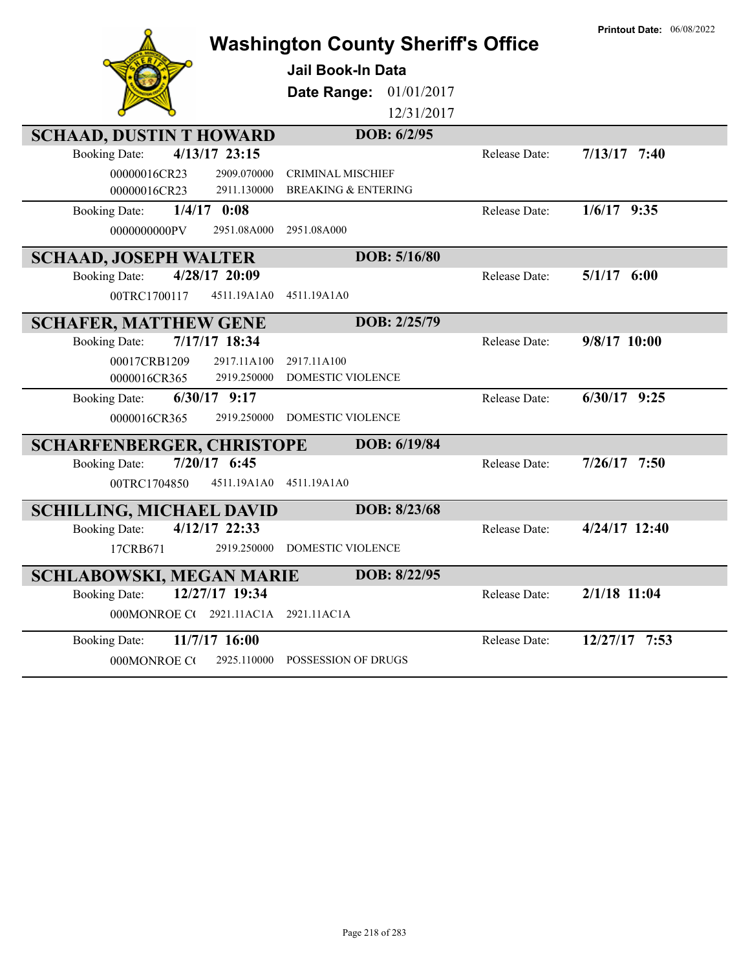|                                        | <b>Washington County Sheriff's Office</b> |               | <b>Printout Date: 06/08/2022</b> |
|----------------------------------------|-------------------------------------------|---------------|----------------------------------|
|                                        | <b>Jail Book-In Data</b>                  |               |                                  |
|                                        | Date Range: 01/01/2017                    |               |                                  |
|                                        | 12/31/2017                                |               |                                  |
| <b>SCHAAD, DUSTIN T HOWARD</b>         | DOB: 6/2/95                               |               |                                  |
| 4/13/17 23:15<br><b>Booking Date:</b>  |                                           | Release Date: | $7/13/17$ 7:40                   |
| 00000016CR23<br>2909.070000            | <b>CRIMINAL MISCHIEF</b>                  |               |                                  |
| 00000016CR23<br>2911.130000            | <b>BREAKING &amp; ENTERING</b>            |               |                                  |
| $1/4/17$ 0:08<br><b>Booking Date:</b>  |                                           | Release Date: | $1/6/17$ 9:35                    |
| 0000000000PV<br>2951.08A000            | 2951.08A000                               |               |                                  |
| <b>SCHAAD, JOSEPH WALTER</b>           | DOB: 5/16/80                              |               |                                  |
| 4/28/17 20:09<br><b>Booking Date:</b>  |                                           | Release Date: | 5/1/17<br>6:00                   |
| 00TRC1700117<br>4511.19A1A0            | 4511.19A1A0                               |               |                                  |
| <b>SCHAFER, MATTHEW GENE</b>           | DOB: 2/25/79                              |               |                                  |
| 7/17/17 18:34<br><b>Booking Date:</b>  |                                           | Release Date: | 9/8/17 10:00                     |
| 2917.11A100<br>00017CRB1209            | 2917.11A100                               |               |                                  |
| 2919.250000<br>0000016CR365            | DOMESTIC VIOLENCE                         |               |                                  |
| $6/30/17$ 9:17<br><b>Booking Date:</b> |                                           | Release Date: | $6/30/17$ 9:25                   |
| 0000016CR365<br>2919.250000            | <b>DOMESTIC VIOLENCE</b>                  |               |                                  |
| <b>SCHARFENBERGER, CHRISTOPE</b>       | DOB: 6/19/84                              |               |                                  |
| 7/20/17 6:45<br><b>Booking Date:</b>   |                                           | Release Date: | $7/26/17$ 7:50                   |
| 00TRC1704850<br>4511.19A1A0            | 4511.19A1A0                               |               |                                  |
| <b>SCHILLING, MICHAEL DAVID</b>        | DOB: 8/23/68                              |               |                                  |
| 4/12/17 22:33<br><b>Booking Date:</b>  |                                           | Release Date: | 4/24/17 12:40                    |
| 17CRB671<br>2919.250000                | <b>DOMESTIC VIOLENCE</b>                  |               |                                  |
| <b>SCHLABOWSKI, MEGAN MARIE</b>        | DOB: 8/22/95                              |               |                                  |
| 12/27/17 19:34<br><b>Booking Date:</b> |                                           | Release Date: | $2/1/18$ 11:04                   |
| 000MONROE C(2921.11AC1A                | 2921.11AC1A                               |               |                                  |
| 11/7/17 16:00<br><b>Booking Date:</b>  |                                           | Release Date: | 12/27/17 7:53                    |
| 000MONROE CO<br>2925.110000            | POSSESSION OF DRUGS                       |               |                                  |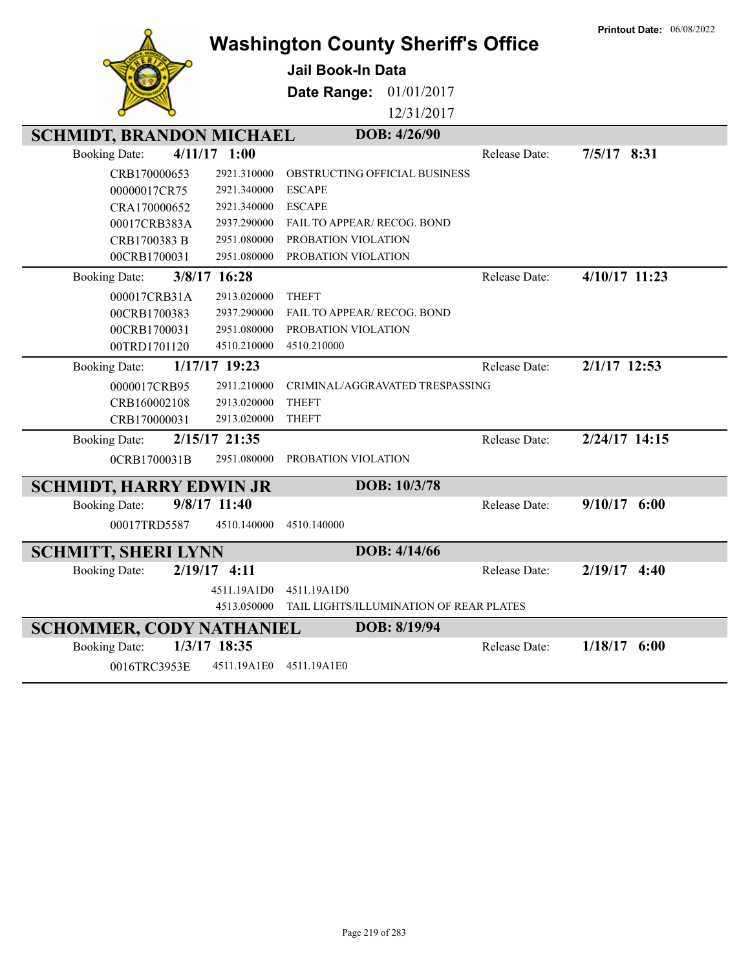|                                 |                | <b>Washington County Sheriff's Office</b> |              |               | <b>Printout Date: 06/08/2022</b> |
|---------------------------------|----------------|-------------------------------------------|--------------|---------------|----------------------------------|
|                                 |                | <b>Jail Book-In Data</b>                  |              |               |                                  |
|                                 |                | Date Range:                               | 01/01/2017   |               |                                  |
|                                 |                |                                           | 12/31/2017   |               |                                  |
| <b>SCHMIDT, BRANDON MICHAEL</b> |                |                                           | DOB: 4/26/90 |               |                                  |
| <b>Booking Date:</b>            | $4/11/17$ 1:00 |                                           |              | Release Date: | $7/5/17$ 8:31                    |
| CRB170000653                    | 2921.310000    | OBSTRUCTING OFFICIAL BUSINESS             |              |               |                                  |
| 00000017CR75                    | 2921.340000    | <b>ESCAPE</b>                             |              |               |                                  |
| CRA170000652                    | 2921.340000    | <b>ESCAPE</b>                             |              |               |                                  |
| 00017CRB383A                    | 2937.290000    | FAIL TO APPEAR/ RECOG. BOND               |              |               |                                  |
| CRB1700383 B                    | 2951.080000    | PROBATION VIOLATION                       |              |               |                                  |
| 00CRB1700031                    | 2951.080000    | PROBATION VIOLATION                       |              |               |                                  |
| <b>Booking Date:</b>            | 3/8/17 16:28   |                                           |              | Release Date: | 4/10/17 11:23                    |
| 000017CRB31A                    | 2913.020000    | <b>THEFT</b>                              |              |               |                                  |
| 00CRB1700383                    | 2937.290000    | <b>FAIL TO APPEAR/ RECOG. BOND</b>        |              |               |                                  |
| 00CRB1700031                    | 2951.080000    | PROBATION VIOLATION                       |              |               |                                  |
| 00TRD1701120                    | 4510.210000    | 4510.210000                               |              |               |                                  |
| <b>Booking Date:</b>            | 1/17/17 19:23  |                                           |              | Release Date: | $2/1/17$ 12:53                   |
| 0000017CRB95                    | 2911.210000    | CRIMINAL/AGGRAVATED TRESPASSING           |              |               |                                  |
| CRB160002108                    | 2913.020000    | <b>THEFT</b>                              |              |               |                                  |
| CRB170000031                    | 2913.020000    | <b>THEFT</b>                              |              |               |                                  |
| <b>Booking Date:</b>            | 2/15/17 21:35  |                                           |              | Release Date: | 2/24/17 14:15                    |
| 0CRB1700031B                    | 2951.080000    | PROBATION VIOLATION                       |              |               |                                  |
| <b>SCHMIDT, HARRY EDWIN JR</b>  |                |                                           | DOB: 10/3/78 |               |                                  |
| <b>Booking Date:</b>            | 9/8/17 11:40   |                                           |              | Release Date: | $9/10/17$ 6:00                   |
| 00017TRD5587                    | 4510.140000    | 4510.140000                               |              |               |                                  |
| <b>SCHMITT, SHERI LYNN</b>      |                |                                           | DOB: 4/14/66 |               |                                  |
| <b>Booking Date:</b>            | $2/19/17$ 4:11 |                                           |              | Release Date: | 2/19/17 4:40                     |
|                                 | 4511.19A1D0    | 4511.19A1D0                               |              |               |                                  |
|                                 | 4513.050000    | TAIL LIGHTS/ILLUMINATION OF REAR PLATES   |              |               |                                  |
| <b>SCHOMMER, CODY NATHANIEL</b> |                |                                           | DOB: 8/19/94 |               |                                  |
| <b>Booking Date:</b>            | 1/3/17 18:35   |                                           |              | Release Date: | $1/18/17$ 6:00                   |
| 0016TRC3953E                    | 4511.19A1E0    | 4511.19A1E0                               |              |               |                                  |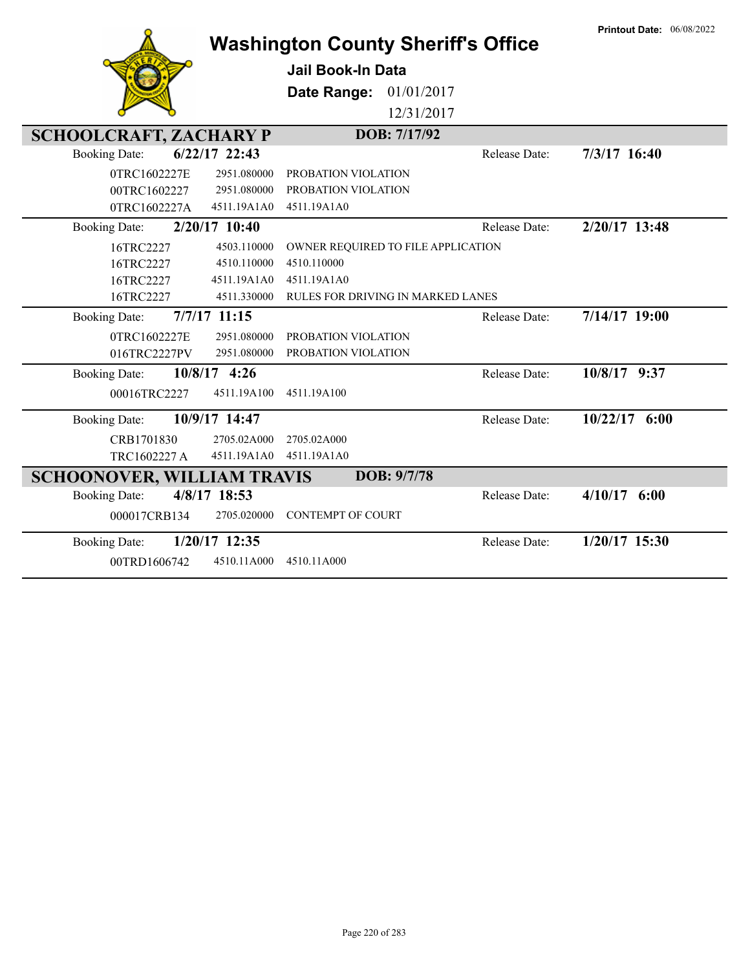|                                   | <b>Printout Date: 06/08/2022</b> |                                          |               |                 |
|-----------------------------------|----------------------------------|------------------------------------------|---------------|-----------------|
|                                   |                                  | Jail Book-In Data                        |               |                 |
|                                   |                                  | Date Range:                              | 01/01/2017    |                 |
|                                   |                                  |                                          | 12/31/2017    |                 |
| <b>SCHOOLCRAFT, ZACHARY P</b>     |                                  | DOB: 7/17/92                             |               |                 |
| <b>Booking Date:</b>              | $6/22/17$ 22:43                  |                                          | Release Date: | 7/3/17 16:40    |
| 0TRC1602227E                      | 2951.080000                      | PROBATION VIOLATION                      |               |                 |
| 00TRC1602227                      | 2951.080000                      | PROBATION VIOLATION                      |               |                 |
| 0TRC1602227A                      | 4511.19A1A0                      | 4511.19A1A0                              |               |                 |
| <b>Booking Date:</b>              | 2/20/17 10:40                    |                                          | Release Date: | 2/20/17 13:48   |
| 16TRC2227                         | 4503.110000                      | OWNER REQUIRED TO FILE APPLICATION       |               |                 |
| 16TRC2227                         | 4510.110000                      | 4510.110000                              |               |                 |
| 16TRC2227                         | 4511.19A1A0                      | 4511.19A1A0                              |               |                 |
| 16TRC2227                         | 4511.330000                      | <b>RULES FOR DRIVING IN MARKED LANES</b> |               |                 |
| <b>Booking Date:</b>              | $7/7/17$ 11:15                   |                                          | Release Date: | 7/14/17 19:00   |
| 0TRC1602227E                      | 2951.080000                      | PROBATION VIOLATION                      |               |                 |
| 016TRC2227PV                      | 2951.080000                      | PROBATION VIOLATION                      |               |                 |
| <b>Booking Date:</b>              | 10/8/17 4:26                     |                                          | Release Date: | 10/8/17 9:37    |
| 00016TRC2227                      | 4511.19A100                      | 4511.19A100                              |               |                 |
| <b>Booking Date:</b>              | 10/9/17 14:47                    |                                          | Release Date: | $10/22/17$ 6:00 |
| CRB1701830                        | 2705.02A000                      | 2705.02A000                              |               |                 |
| TRC1602227 A                      | 4511.19A1A0                      | 4511.19A1A0                              |               |                 |
| <b>SCHOONOVER, WILLIAM TRAVIS</b> |                                  | DOB: 9/7/78                              |               |                 |
| <b>Booking Date:</b>              | 4/8/17 18:53                     |                                          | Release Date: | $4/10/17$ 6:00  |
| 000017CRB134                      | 2705.020000                      | <b>CONTEMPT OF COURT</b>                 |               |                 |
| <b>Booking Date:</b>              | 1/20/17 12:35                    |                                          | Release Date: | 1/20/17 15:30   |
| 00TRD1606742                      | 4510.11A000                      | 4510.11A000                              |               |                 |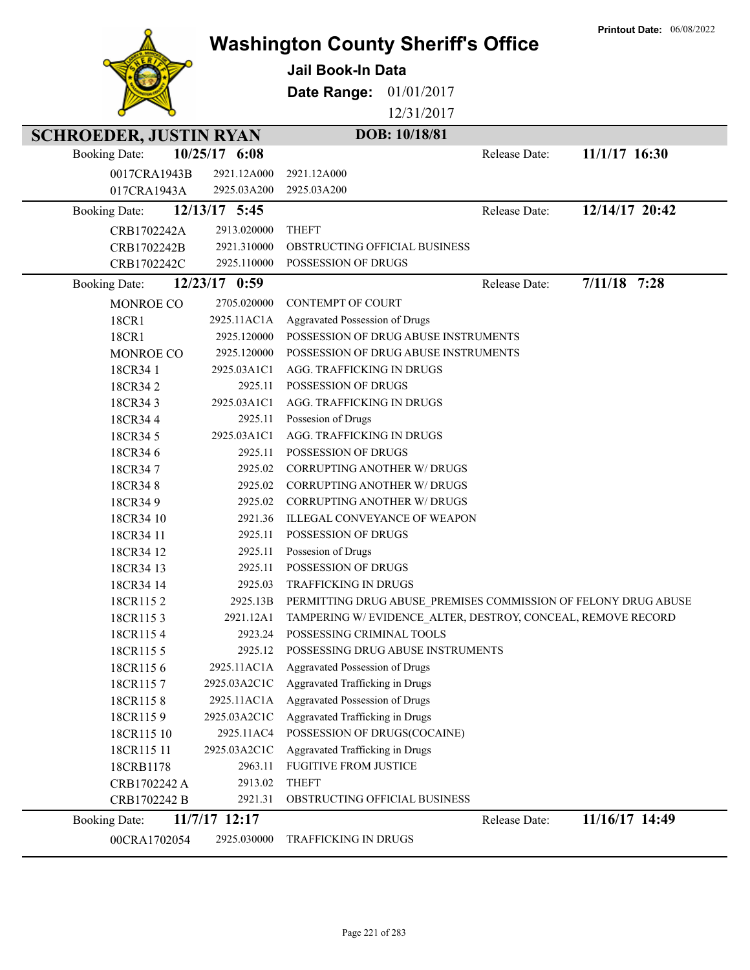|                               |                        | <b>Washington County Sheriff's Office</b><br><b>Jail Book-In Data</b><br>Date Range:<br>01/01/2017<br>12/31/2017 |               | <b>Printout Date: 06/08/2022</b> |
|-------------------------------|------------------------|------------------------------------------------------------------------------------------------------------------|---------------|----------------------------------|
| <b>SCHROEDER, JUSTIN RYAN</b> |                        | DOB: 10/18/81                                                                                                    |               |                                  |
| <b>Booking Date:</b>          | 10/25/17 6:08          |                                                                                                                  | Release Date: | 11/1/17 16:30                    |
| 0017CRA1943B                  | 2921.12A000            | 2921.12A000                                                                                                      |               |                                  |
| 017CRA1943A                   | 2925.03A200            | 2925.03A200                                                                                                      |               |                                  |
| <b>Booking Date:</b>          | 12/13/17 5:45          |                                                                                                                  | Release Date: | 12/14/17 20:42                   |
| CRB1702242A                   | 2913.020000            | <b>THEFT</b>                                                                                                     |               |                                  |
| CRB1702242B                   | 2921.310000            | OBSTRUCTING OFFICIAL BUSINESS                                                                                    |               |                                  |
| CRB1702242C                   | 2925.110000            | POSSESSION OF DRUGS                                                                                              |               |                                  |
|                               |                        |                                                                                                                  |               |                                  |
| <b>Booking Date:</b>          | 12/23/17 0:59          |                                                                                                                  | Release Date: | $7/11/18$ 7:28                   |
| MONROE CO                     | 2705.020000            | <b>CONTEMPT OF COURT</b>                                                                                         |               |                                  |
| 18CR1                         | 2925.11AC1A            | Aggravated Possession of Drugs                                                                                   |               |                                  |
| 18CR1                         | 2925.120000            | POSSESSION OF DRUG ABUSE INSTRUMENTS                                                                             |               |                                  |
| MONROE CO                     | 2925.120000            | POSSESSION OF DRUG ABUSE INSTRUMENTS                                                                             |               |                                  |
| 18CR341                       | 2925.03A1C1            | AGG. TRAFFICKING IN DRUGS                                                                                        |               |                                  |
| 18CR342                       | 2925.11                | POSSESSION OF DRUGS                                                                                              |               |                                  |
| 18CR343                       | 2925.03A1C1            | AGG. TRAFFICKING IN DRUGS                                                                                        |               |                                  |
| 18CR344                       | 2925.11                | Possesion of Drugs                                                                                               |               |                                  |
| 18CR345                       | 2925.03A1C1            | AGG. TRAFFICKING IN DRUGS                                                                                        |               |                                  |
| 18CR346                       | 2925.11                | POSSESSION OF DRUGS                                                                                              |               |                                  |
| 18CR347                       | 2925.02                | CORRUPTING ANOTHER W/ DRUGS                                                                                      |               |                                  |
| 18CR348                       | 2925.02                | <b>CORRUPTING ANOTHER W/ DRUGS</b>                                                                               |               |                                  |
| 18CR349                       | 2925.02                | <b>CORRUPTING ANOTHER W/ DRUGS</b>                                                                               |               |                                  |
| 18CR34 10                     | 2921.36                | ILLEGAL CONVEYANCE OF WEAPON                                                                                     |               |                                  |
| 18CR34 11                     | 2925.11                | <b>POSSESSION OF DRUGS</b>                                                                                       |               |                                  |
| 18CR34 12                     | 2925.11                | Possesion of Drugs                                                                                               |               |                                  |
| 18CR34 13                     | 2925.11                | POSSESSION OF DRUGS                                                                                              |               |                                  |
| 18CR34 14                     | 2925.03                | TRAFFICKING IN DRUGS                                                                                             |               |                                  |
| 18CR1152                      | 2925.13B               | PERMITTING DRUG ABUSE PREMISES COMMISSION OF FELONY DRUG ABUSE                                                   |               |                                  |
| 18CR1153                      | 2921.12A1              | TAMPERING W/EVIDENCE ALTER, DESTROY, CONCEAL, REMOVE RECORD                                                      |               |                                  |
| 18CR1154                      | 2923.24                | POSSESSING CRIMINAL TOOLS<br>POSSESSING DRUG ABUSE INSTRUMENTS                                                   |               |                                  |
| 18CR1155                      | 2925.12<br>2925.11AC1A | Aggravated Possession of Drugs                                                                                   |               |                                  |
| 18CR1156<br>18CR1157          | 2925.03A2C1C           | Aggravated Trafficking in Drugs                                                                                  |               |                                  |
| 18CR1158                      | 2925.11AC1A            | Aggravated Possession of Drugs                                                                                   |               |                                  |
| 18CR1159                      | 2925.03A2C1C           | Aggravated Trafficking in Drugs                                                                                  |               |                                  |
| 18CR115 10                    | 2925.11AC4             | POSSESSION OF DRUGS(COCAINE)                                                                                     |               |                                  |
| 18CR115 11                    | 2925.03A2C1C           | Aggravated Trafficking in Drugs                                                                                  |               |                                  |
| 18CRB1178                     | 2963.11                | FUGITIVE FROM JUSTICE                                                                                            |               |                                  |
| CRB1702242 A                  | 2913.02                | <b>THEFT</b>                                                                                                     |               |                                  |
| CRB1702242 B                  | 2921.31                | OBSTRUCTING OFFICIAL BUSINESS                                                                                    |               |                                  |
| <b>Booking Date:</b>          | 11/7/17 12:17          |                                                                                                                  | Release Date: | 11/16/17 14:49                   |
| 00CRA1702054                  | 2925.030000            | <b>TRAFFICKING IN DRUGS</b>                                                                                      |               |                                  |
|                               |                        |                                                                                                                  |               |                                  |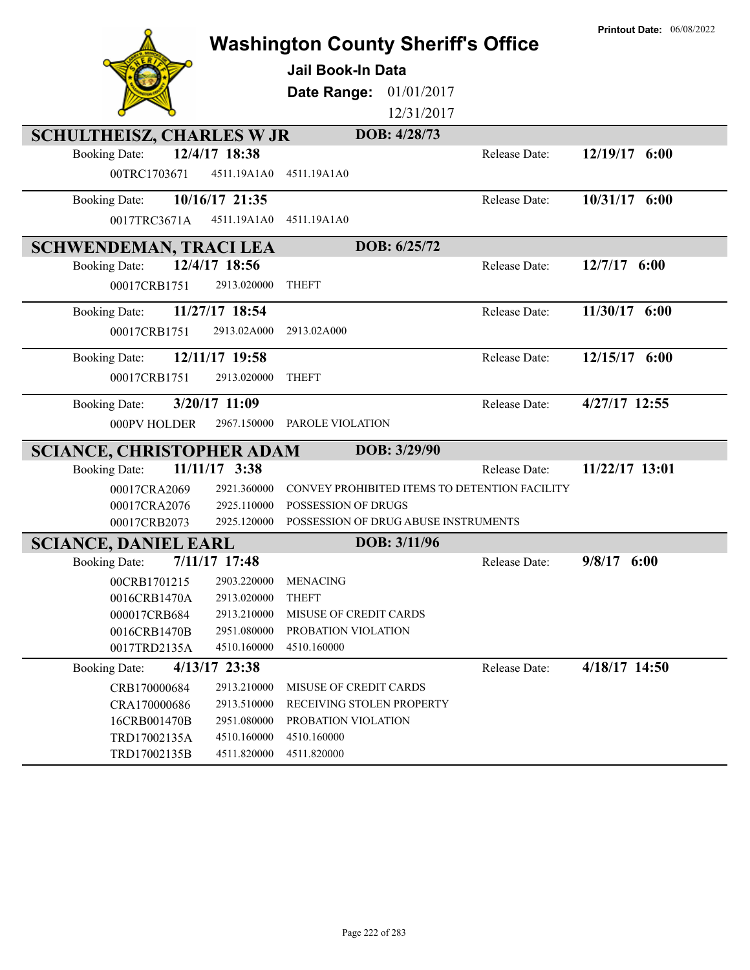| <b>Washington County Sheriff's Office</b>           |                |                                                             |              |                                               | <b>Printout Date: 06/08/2022</b> |
|-----------------------------------------------------|----------------|-------------------------------------------------------------|--------------|-----------------------------------------------|----------------------------------|
|                                                     |                | <b>Jail Book-In Data</b>                                    |              |                                               |                                  |
|                                                     |                | Date Range:                                                 | 01/01/2017   |                                               |                                  |
|                                                     |                |                                                             | 12/31/2017   |                                               |                                  |
| <b>SCHULTHEISZ, CHARLES W JR</b>                    |                |                                                             | DOB: 4/28/73 |                                               |                                  |
| <b>Booking Date:</b>                                | 12/4/17 18:38  |                                                             |              | Release Date:                                 | 12/19/17 6:00                    |
| 00TRC1703671                                        | 4511.19A1A0    | 4511.19A1A0                                                 |              |                                               |                                  |
| <b>Booking Date:</b>                                | 10/16/17 21:35 |                                                             |              | Release Date:                                 | 10/31/17 6:00                    |
| 0017TRC3671A                                        | 4511.19A1A0    | 4511.19A1A0                                                 |              |                                               |                                  |
| <b>SCHWENDEMAN, TRACI LEA</b>                       |                |                                                             | DOB: 6/25/72 |                                               |                                  |
| <b>Booking Date:</b>                                | 12/4/17 18:56  |                                                             |              | Release Date:                                 | $12/7/17$ 6:00                   |
| 00017CRB1751                                        | 2913.020000    | <b>THEFT</b>                                                |              |                                               |                                  |
| <b>Booking Date:</b>                                | 11/27/17 18:54 |                                                             |              | Release Date:                                 | 11/30/17 6:00                    |
| 00017CRB1751                                        | 2913.02A000    | 2913.02A000                                                 |              |                                               |                                  |
| <b>Booking Date:</b>                                | 12/11/17 19:58 |                                                             |              | Release Date:                                 | 12/15/17 6:00                    |
| 00017CRB1751                                        | 2913.020000    | <b>THEFT</b>                                                |              |                                               |                                  |
| <b>Booking Date:</b>                                | 3/20/17 11:09  |                                                             |              | Release Date:                                 | 4/27/17 12:55                    |
| 000PV HOLDER                                        | 2967.150000    | PAROLE VIOLATION                                            |              |                                               |                                  |
| <b>SCIANCE, CHRISTOPHER ADAM</b>                    |                |                                                             | DOB: 3/29/90 |                                               |                                  |
| <b>Booking Date:</b>                                | 11/11/17 3:38  |                                                             |              | Release Date:                                 | 11/22/17 13:01                   |
| 00017CRA2069                                        | 2921.360000    |                                                             |              | CONVEY PROHIBITED ITEMS TO DETENTION FACILITY |                                  |
| 00017CRA2076                                        | 2925.110000    | POSSESSION OF DRUGS<br>POSSESSION OF DRUG ABUSE INSTRUMENTS |              |                                               |                                  |
| 00017CRB2073                                        | 2925.120000    |                                                             | DOB: 3/11/96 |                                               |                                  |
| <b>SCIANCE, DANIEL EARL</b><br><b>Booking Date:</b> | 7/11/17 17:48  |                                                             |              | Release Date:                                 | $9/8/17$ 6:00                    |
| 00CRB1701215                                        | 2903.220000    | <b>MENACING</b>                                             |              |                                               |                                  |
| 0016CRB1470A                                        | 2913.020000    | <b>THEFT</b>                                                |              |                                               |                                  |
| 000017CRB684                                        | 2913.210000    | MISUSE OF CREDIT CARDS                                      |              |                                               |                                  |
| 0016CRB1470B                                        | 2951.080000    | PROBATION VIOLATION                                         |              |                                               |                                  |
| 0017TRD2135A                                        | 4510.160000    | 4510.160000                                                 |              |                                               |                                  |
| <b>Booking Date:</b>                                | 4/13/17 23:38  |                                                             |              | Release Date:                                 | 4/18/17 14:50                    |
| CRB170000684                                        | 2913.210000    | MISUSE OF CREDIT CARDS                                      |              |                                               |                                  |
| CRA170000686                                        | 2913.510000    | RECEIVING STOLEN PROPERTY                                   |              |                                               |                                  |
| 16CRB001470B                                        | 2951.080000    | PROBATION VIOLATION                                         |              |                                               |                                  |
| TRD17002135A                                        | 4510.160000    | 4510.160000                                                 |              |                                               |                                  |
| TRD17002135B                                        | 4511.820000    | 4511.820000                                                 |              |                                               |                                  |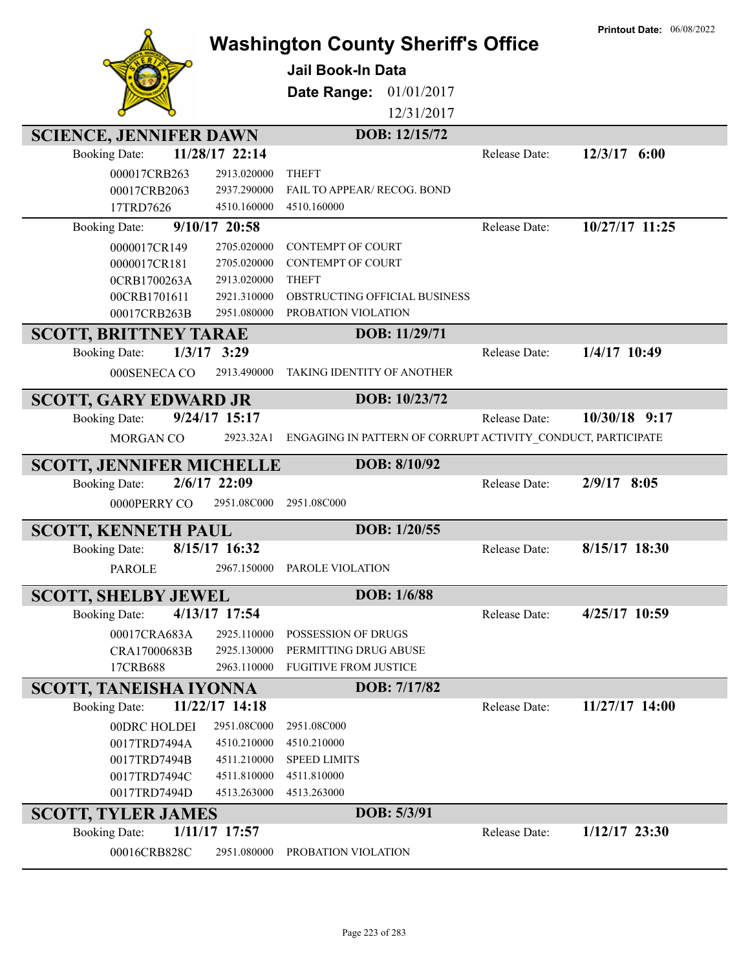|                                       |                              |                                                              |               | <b>Printout Date: 06/08/2022</b> |
|---------------------------------------|------------------------------|--------------------------------------------------------------|---------------|----------------------------------|
|                                       |                              | <b>Washington County Sheriff's Office</b>                    |               |                                  |
|                                       |                              | <b>Jail Book-In Data</b>                                     |               |                                  |
|                                       |                              |                                                              |               |                                  |
|                                       |                              | 01/01/2017<br>Date Range:                                    |               |                                  |
|                                       |                              | 12/31/2017                                                   |               |                                  |
| <b>SCIENCE, JENNIFER DAWN</b>         |                              | DOB: 12/15/72                                                |               |                                  |
| <b>Booking Date:</b>                  | 11/28/17 22:14               |                                                              | Release Date: | $12/3/17$ 6:00                   |
| 000017CRB263                          | 2913.020000                  | <b>THEFT</b>                                                 |               |                                  |
| 00017CRB2063                          | 2937.290000                  | FAIL TO APPEAR/ RECOG. BOND                                  |               |                                  |
| 17TRD7626                             | 4510.160000                  | 4510.160000                                                  |               |                                  |
| <b>Booking Date:</b>                  | 9/10/17 20:58                |                                                              | Release Date: | 10/27/17 11:25                   |
| 0000017CR149                          | 2705.020000                  | <b>CONTEMPT OF COURT</b>                                     |               |                                  |
| 0000017CR181                          | 2705.020000                  | <b>CONTEMPT OF COURT</b>                                     |               |                                  |
| 0CRB1700263A                          | 2913.020000                  | <b>THEFT</b>                                                 |               |                                  |
| 00CRB1701611                          | 2921.310000                  | OBSTRUCTING OFFICIAL BUSINESS                                |               |                                  |
| 00017CRB263B                          | 2951.080000                  | PROBATION VIOLATION                                          |               |                                  |
| <b>SCOTT, BRITTNEY TARAE</b>          |                              | DOB: 11/29/71                                                |               |                                  |
| $1/3/17$ 3:29<br><b>Booking Date:</b> |                              |                                                              | Release Date: | 1/4/17 10:49                     |
|                                       |                              |                                                              |               |                                  |
| 000SENECA CO                          | 2913.490000                  | TAKING IDENTITY OF ANOTHER                                   |               |                                  |
| <b>SCOTT, GARY EDWARD JR</b>          |                              | DOB: 10/23/72                                                |               |                                  |
| <b>Booking Date:</b>                  | 9/24/17 15:17                |                                                              | Release Date: | 10/30/18 9:17                    |
| MORGAN CO                             | 2923.32A1                    | ENGAGING IN PATTERN OF CORRUPT ACTIVITY_CONDUCT, PARTICIPATE |               |                                  |
|                                       |                              |                                                              |               |                                  |
|                                       |                              |                                                              |               |                                  |
| <b>SCOTT, JENNIFER MICHELLE</b>       |                              | DOB: 8/10/92                                                 |               |                                  |
| <b>Booking Date:</b>                  | 2/6/17 22:09                 |                                                              | Release Date: | $2/9/17$ 8:05                    |
| 0000PERRY CO                          | 2951.08C000                  | 2951.08C000                                                  |               |                                  |
| <b>SCOTT, KENNETH PAUL</b>            |                              | DOB: 1/20/55                                                 |               |                                  |
| <b>Booking Date:</b>                  | 8/15/17 16:32                |                                                              | Release Date: | 8/15/17 18:30                    |
| <b>PAROLE</b>                         | 2967.150000                  | PAROLE VIOLATION                                             |               |                                  |
|                                       |                              |                                                              |               |                                  |
| <b>SCOTT, SHELBY JEWEL</b>            |                              | DOB: 1/6/88                                                  |               |                                  |
| <b>Booking Date:</b>                  | 4/13/17 17:54                |                                                              | Release Date: | 4/25/17 10:59                    |
| 00017CRA683A                          | 2925.110000                  | POSSESSION OF DRUGS                                          |               |                                  |
| CRA17000683B                          | 2925.130000                  | PERMITTING DRUG ABUSE                                        |               |                                  |
| 17CRB688                              | 2963.110000                  | <b>FUGITIVE FROM JUSTICE</b>                                 |               |                                  |
| <b>SCOTT, TANEISHA IYONNA</b>         |                              | DOB: 7/17/82                                                 |               |                                  |
| <b>Booking Date:</b>                  | $11/22/17$ 14:18             |                                                              | Release Date: | 11/27/17 14:00                   |
| 00DRC HOLDEI                          | 2951.08C000                  | 2951.08C000                                                  |               |                                  |
| 0017TRD7494A                          | 4510.210000                  | 4510.210000                                                  |               |                                  |
| 0017TRD7494B                          | 4511.210000                  | <b>SPEED LIMITS</b>                                          |               |                                  |
| 0017TRD7494C                          | 4511.810000                  | 4511.810000                                                  |               |                                  |
| 0017TRD7494D                          | 4513.263000                  | 4513.263000                                                  |               |                                  |
| <b>SCOTT, TYLER JAMES</b>             |                              | DOB: 5/3/91                                                  |               |                                  |
| <b>Booking Date:</b><br>00016CRB828C  | 1/11/17 17:57<br>2951.080000 | PROBATION VIOLATION                                          | Release Date: | $1/12/17$ 23:30                  |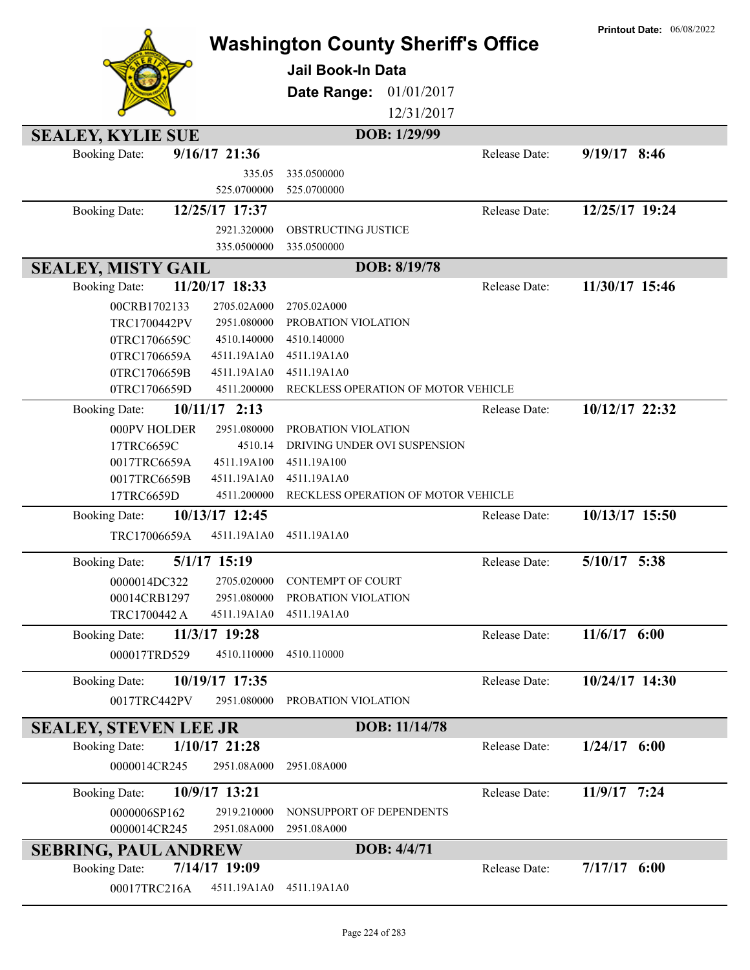|                                         |             |                                           |                      | <b>Printout Date: 06/08/2022</b> |
|-----------------------------------------|-------------|-------------------------------------------|----------------------|----------------------------------|
|                                         |             | <b>Washington County Sheriff's Office</b> |                      |                                  |
|                                         |             | Jail Book-In Data                         |                      |                                  |
|                                         |             | Date Range:<br>01/01/2017                 |                      |                                  |
|                                         |             | 12/31/2017                                |                      |                                  |
| <b>SEALEY, KYLIE SUE</b>                |             | DOB: 1/29/99                              |                      |                                  |
| $9/16/17$ 21:36<br><b>Booking Date:</b> |             |                                           | Release Date:        | $9/19/17$ 8:46                   |
|                                         | 335.05      | 335.0500000                               |                      |                                  |
|                                         | 525.0700000 | 525.0700000                               |                      |                                  |
| 12/25/17 17:37<br><b>Booking Date:</b>  |             |                                           | Release Date:        | 12/25/17 19:24                   |
|                                         | 2921.320000 | OBSTRUCTING JUSTICE                       |                      |                                  |
|                                         | 335.0500000 | 335.0500000                               |                      |                                  |
| <b>SEALEY, MISTY GAIL</b>               |             | DOB: 8/19/78                              |                      |                                  |
| 11/20/17 18:33<br><b>Booking Date:</b>  |             |                                           | Release Date:        | 11/30/17 15:46                   |
| 00CRB1702133                            | 2705.02A000 | 2705.02A000                               |                      |                                  |
| TRC1700442PV                            | 2951.080000 | PROBATION VIOLATION                       |                      |                                  |
| 0TRC1706659C                            | 4510.140000 | 4510.140000                               |                      |                                  |
| 0TRC1706659A                            | 4511.19A1A0 | 4511.19A1A0                               |                      |                                  |
| 0TRC1706659B                            | 4511.19A1A0 | 4511.19A1A0                               |                      |                                  |
| 0TRC1706659D                            | 4511.200000 | RECKLESS OPERATION OF MOTOR VEHICLE       |                      |                                  |
| $10/11/17$ 2:13<br><b>Booking Date:</b> |             |                                           | <b>Release Date:</b> | 10/12/17 22:32                   |
| 000PV HOLDER                            | 2951.080000 | PROBATION VIOLATION                       |                      |                                  |
| 17TRC6659C                              | 4510.14     | DRIVING UNDER OVI SUSPENSION              |                      |                                  |
| 0017TRC6659A                            | 4511.19A100 | 4511.19A100                               |                      |                                  |
| 0017TRC6659B                            | 4511.19A1A0 | 4511.19A1A0                               |                      |                                  |
| 17TRC6659D                              | 4511.200000 | RECKLESS OPERATION OF MOTOR VEHICLE       |                      |                                  |
| 10/13/17 12:45<br><b>Booking Date:</b>  |             |                                           | Release Date:        | 10/13/17 15:50                   |
| TRC17006659A                            | 4511.19A1A0 | 4511.19A1A0                               |                      |                                  |
| 5/1/17 15:19<br><b>Booking Date:</b>    |             |                                           | Release Date:        | $5/10/17$ 5:38                   |
| 0000014DC322                            | 2705.020000 | <b>CONTEMPT OF COURT</b>                  |                      |                                  |
| 00014CRB1297                            | 2951.080000 | PROBATION VIOLATION                       |                      |                                  |
| TRC1700442 A                            | 4511.19A1A0 | 4511.19A1A0                               |                      |                                  |
| 11/3/17 19:28<br><b>Booking Date:</b>   |             |                                           | Release Date:        | 11/6/17 6:00                     |
| 000017TRD529                            | 4510.110000 | 4510.110000                               |                      |                                  |
| 10/19/17 17:35<br><b>Booking Date:</b>  |             |                                           | Release Date:        | 10/24/17 14:30                   |
| 0017TRC442PV                            | 2951.080000 | PROBATION VIOLATION                       |                      |                                  |
|                                         |             |                                           |                      |                                  |
| <b>SEALEY, STEVEN LEE JR</b>            |             | DOB: 11/14/78                             |                      |                                  |
| $1/10/17$ 21:28<br><b>Booking Date:</b> |             |                                           | Release Date:        | $1/24/17$ 6:00                   |
| 0000014CR245                            | 2951.08A000 | 2951.08A000                               |                      |                                  |
| 10/9/17 13:21<br><b>Booking Date:</b>   |             |                                           | Release Date:        | 11/9/17 7:24                     |
| 0000006SP162                            | 2919.210000 | NONSUPPORT OF DEPENDENTS                  |                      |                                  |
| 0000014CR245                            | 2951.08A000 | 2951.08A000                               |                      |                                  |
| <b>SEBRING, PAUL ANDREW</b>             |             | DOB: 4/4/71                               |                      |                                  |
| 7/14/17 19:09<br><b>Booking Date:</b>   |             |                                           | Release Date:        | $7/17/17$ 6:00                   |
| 00017TRC216A                            | 4511.19A1A0 | 4511.19A1A0                               |                      |                                  |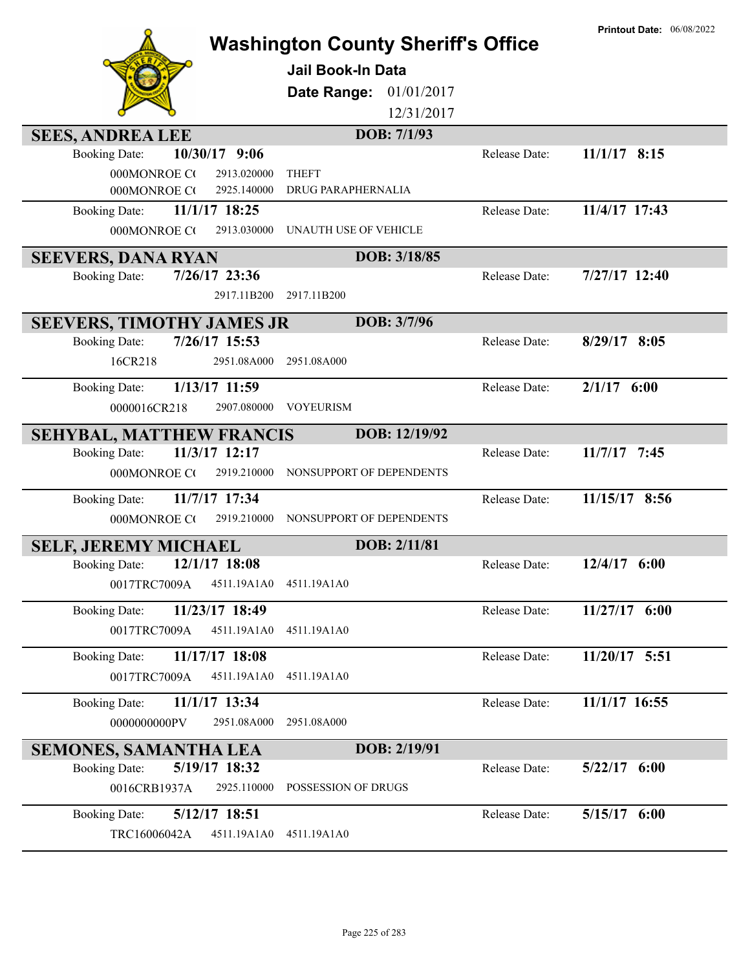| <b>SEES, ANDREA LEE</b>                                               | <b>Washington County Sheriff's Office</b><br><b>Jail Book-In Data</b><br>01/01/2017<br>Date Range:<br>12/31/2017<br>DOB: 7/1/93 |               | <b>Printout Date: 06/08/2022</b> |
|-----------------------------------------------------------------------|---------------------------------------------------------------------------------------------------------------------------------|---------------|----------------------------------|
| 10/30/17 9:06<br><b>Booking Date:</b>                                 |                                                                                                                                 | Release Date: | $11/1/17$ 8:15                   |
| 000MONROE CO<br>2913.020000                                           | <b>THEFT</b>                                                                                                                    |               |                                  |
| 000MONROE CO<br>2925.140000                                           | DRUG PARAPHERNALIA                                                                                                              |               |                                  |
| 11/1/17 18:25<br><b>Booking Date:</b>                                 |                                                                                                                                 | Release Date: | 11/4/17 17:43                    |
| 000MONROE CO<br>2913.030000                                           | UNAUTH USE OF VEHICLE                                                                                                           |               |                                  |
| <b>SEEVERS, DANA RYAN</b>                                             | DOB: 3/18/85                                                                                                                    |               |                                  |
| 7/26/17 23:36<br><b>Booking Date:</b>                                 |                                                                                                                                 | Release Date: | $7/27/17$ 12:40                  |
| 2917.11B200                                                           | 2917.11B200                                                                                                                     |               |                                  |
| <b>SEEVERS, TIMOTHY JAMES JR</b>                                      | DOB: 3/7/96                                                                                                                     |               |                                  |
| 7/26/17 15:53<br><b>Booking Date:</b>                                 |                                                                                                                                 | Release Date: | 8/29/17 8:05                     |
| 2951.08A000<br>16CR218                                                | 2951.08A000                                                                                                                     |               |                                  |
| 1/13/17 11:59<br><b>Booking Date:</b>                                 |                                                                                                                                 | Release Date: | $2/1/17$ 6:00                    |
| 0000016CR218<br>2907.080000                                           | <b>VOYEURISM</b>                                                                                                                |               |                                  |
| <b>SEHYBAL, MATTHEW FRANCIS</b>                                       | DOB: 12/19/92                                                                                                                   |               |                                  |
| 11/3/17 12:17<br><b>Booking Date:</b>                                 |                                                                                                                                 | Release Date: | $11/7/17$ 7:45                   |
| 000MONROE CO<br>2919.210000                                           | NONSUPPORT OF DEPENDENTS                                                                                                        |               |                                  |
| 11/7/17 17:34<br><b>Booking Date:</b>                                 |                                                                                                                                 | Release Date: | 11/15/17 8:56                    |
| 000MONROE CO<br>2919.210000                                           | NONSUPPORT OF DEPENDENTS                                                                                                        |               |                                  |
| <b>SELF, JEREMY MICHAEL</b>                                           | DOB: 2/11/81                                                                                                                    |               |                                  |
| 12/1/17 18:08<br><b>Booking Date:</b>                                 |                                                                                                                                 | Release Date: | $12/4/17$ 6:00                   |
| 0017TRC7009A<br>4511.19A1A0                                           | 4511.19A1A0                                                                                                                     |               |                                  |
| 11/23/17 18:49<br><b>Booking Date:</b>                                |                                                                                                                                 | Release Date: | 11/27/17 6:00                    |
| 4511.19A1A0<br>0017TRC7009A                                           | 4511.19A1A0                                                                                                                     |               |                                  |
| 11/17/17 18:08<br><b>Booking Date:</b>                                |                                                                                                                                 | Release Date: | 11/20/17 5:51                    |
| 4511.19A1A0<br>0017TRC7009A                                           | 4511.19A1A0                                                                                                                     |               |                                  |
| 11/1/17 13:34<br><b>Booking Date:</b>                                 |                                                                                                                                 | Release Date: | 11/1/17 16:55                    |
| 0000000000PV<br>2951.08A000                                           | 2951.08A000                                                                                                                     |               |                                  |
|                                                                       | DOB: 2/19/91                                                                                                                    |               |                                  |
| <b>SEMONES, SAMANTHA LEA</b><br>5/19/17 18:32<br><b>Booking Date:</b> |                                                                                                                                 | Release Date: | $5/22/17$ 6:00                   |
| 2925.110000<br>0016CRB1937A                                           | POSSESSION OF DRUGS                                                                                                             |               |                                  |
| 5/12/17 18:51<br><b>Booking Date:</b>                                 |                                                                                                                                 | Release Date: | 5/15/17 6:00                     |
| TRC16006042A<br>4511.19A1A0                                           | 4511.19A1A0                                                                                                                     |               |                                  |
|                                                                       |                                                                                                                                 |               |                                  |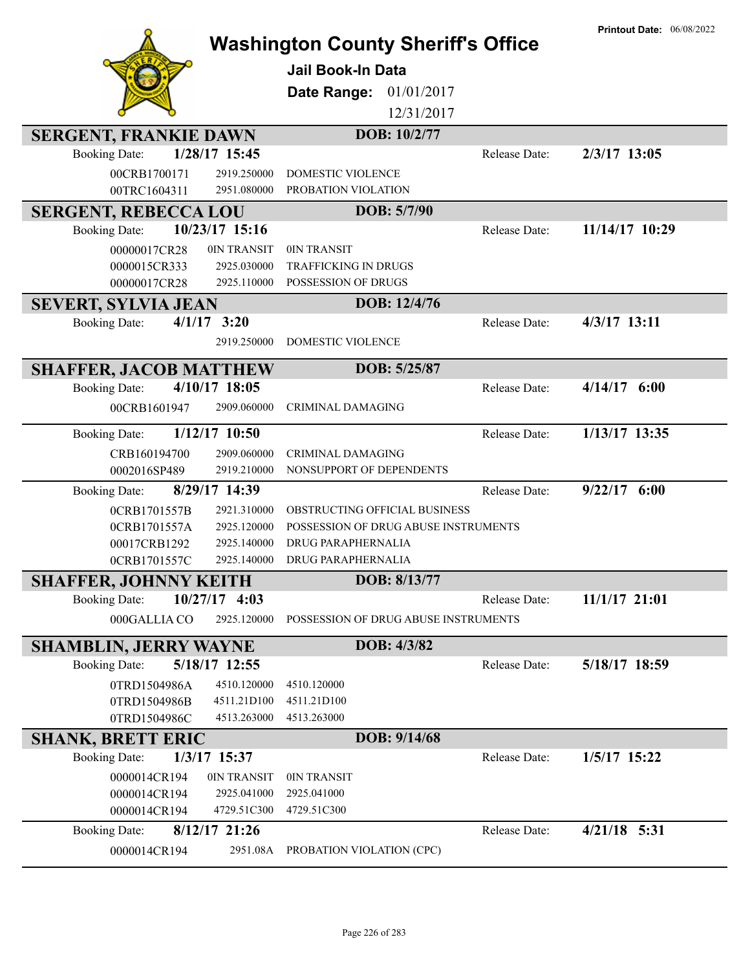| <b>Washington County Sheriff's Office</b>                              | <b>Printout Date: 06/08/2022</b>      |                                      |                |
|------------------------------------------------------------------------|---------------------------------------|--------------------------------------|----------------|
|                                                                        | <b>Jail Book-In Data</b>              |                                      |                |
|                                                                        | Date Range:                           | 01/01/2017                           |                |
|                                                                        |                                       | 12/31/2017                           |                |
| <b>SERGENT, FRANKIE DAWN</b>                                           |                                       | DOB: 10/2/77                         |                |
| 1/28/17 15:45<br><b>Booking Date:</b>                                  |                                       | Release Date:                        | 2/3/17 13:05   |
| 00CRB1700171<br>2919.250000                                            | <b>DOMESTIC VIOLENCE</b>              |                                      |                |
| 00TRC1604311<br>2951.080000                                            | PROBATION VIOLATION                   |                                      |                |
| <b>SERGENT, REBECCA LOU</b>                                            |                                       | DOB: 5/7/90                          |                |
| 10/23/17 15:16<br><b>Booking Date:</b>                                 |                                       | Release Date:                        | 11/14/17 10:29 |
| 0IN TRANSIT<br>00000017CR28                                            | 0IN TRANSIT                           |                                      |                |
| 2925.030000<br>0000015CR333                                            | <b>TRAFFICKING IN DRUGS</b>           |                                      |                |
| 00000017CR28<br>2925.110000                                            | <b>POSSESSION OF DRUGS</b>            |                                      |                |
| <b>SEVERT, SYLVIA JEAN</b>                                             |                                       | DOB: 12/4/76                         |                |
| $4/1/17$ 3:20<br><b>Booking Date:</b>                                  |                                       | Release Date:                        | $4/3/17$ 13:11 |
| 2919.250000                                                            | <b>DOMESTIC VIOLENCE</b>              |                                      |                |
|                                                                        |                                       | DOB: 5/25/87                         |                |
| <b>SHAFFER, JACOB MATTHEW</b><br>4/10/17 18:05<br><b>Booking Date:</b> |                                       | Release Date:                        | $4/14/17$ 6:00 |
| 00CRB1601947<br>2909.060000                                            | <b>CRIMINAL DAMAGING</b>              |                                      |                |
|                                                                        |                                       |                                      |                |
| $1/12/17$ 10:50<br><b>Booking Date:</b>                                |                                       | Release Date:                        | 1/13/17 13:35  |
| CRB160194700<br>2909.060000                                            | CRIMINAL DAMAGING                     |                                      |                |
| 0002016SP489<br>2919.210000                                            | NONSUPPORT OF DEPENDENTS              |                                      |                |
| 8/29/17 14:39<br><b>Booking Date:</b>                                  |                                       | Release Date:                        | $9/22/17$ 6:00 |
| 0CRB1701557B<br>2921.310000                                            |                                       | OBSTRUCTING OFFICIAL BUSINESS        |                |
| 0CRB1701557A<br>2925.120000                                            |                                       | POSSESSION OF DRUG ABUSE INSTRUMENTS |                |
| 00017CRB1292<br>2925.140000                                            | DRUG PARAPHERNALIA                    |                                      |                |
| 2925.140000<br>0CRB1701557C                                            | DRUG PARAPHERNALIA                    |                                      |                |
| <b>SHAFFER, JOHNNY KEITH</b>                                           |                                       | DOB: 8/13/77                         |                |
| $10/27/17$ 4:03<br><b>Booking Date:</b>                                |                                       | Release Date:                        | 11/1/17 21:01  |
| 000GALLIA CO<br>2925.120000                                            |                                       | POSSESSION OF DRUG ABUSE INSTRUMENTS |                |
| <b>SHAMBLIN, JERRY WAYNE</b>                                           |                                       | DOB: 4/3/82                          |                |
| 5/18/17 12:55<br><b>Booking Date:</b>                                  |                                       | Release Date:                        | 5/18/17 18:59  |
| 4510.120000<br>0TRD1504986A                                            | 4510.120000                           |                                      |                |
| 0TRD1504986B<br>4511.21D100                                            | 4511.21D100                           |                                      |                |
| 4513.263000<br>0TRD1504986C                                            | 4513.263000                           |                                      |                |
| <b>SHANK, BRETT ERIC</b>                                               |                                       | DOB: 9/14/68                         |                |
| <b>Booking Date:</b><br>1/3/17 15:37                                   |                                       | Release Date:                        | 1/5/17 15:22   |
| 0000014CR194<br>0IN TRANSIT                                            | 0IN TRANSIT                           |                                      |                |
| 0000014CR194<br>2925.041000                                            | 2925.041000                           |                                      |                |
| 4729.51C300<br>0000014CR194                                            | 4729.51C300                           |                                      |                |
| $8/12/17$ 21:26<br><b>Booking Date:</b>                                |                                       | Release Date:                        | $4/21/18$ 5:31 |
| 0000014CR194                                                           | 2951.08A<br>PROBATION VIOLATION (CPC) |                                      |                |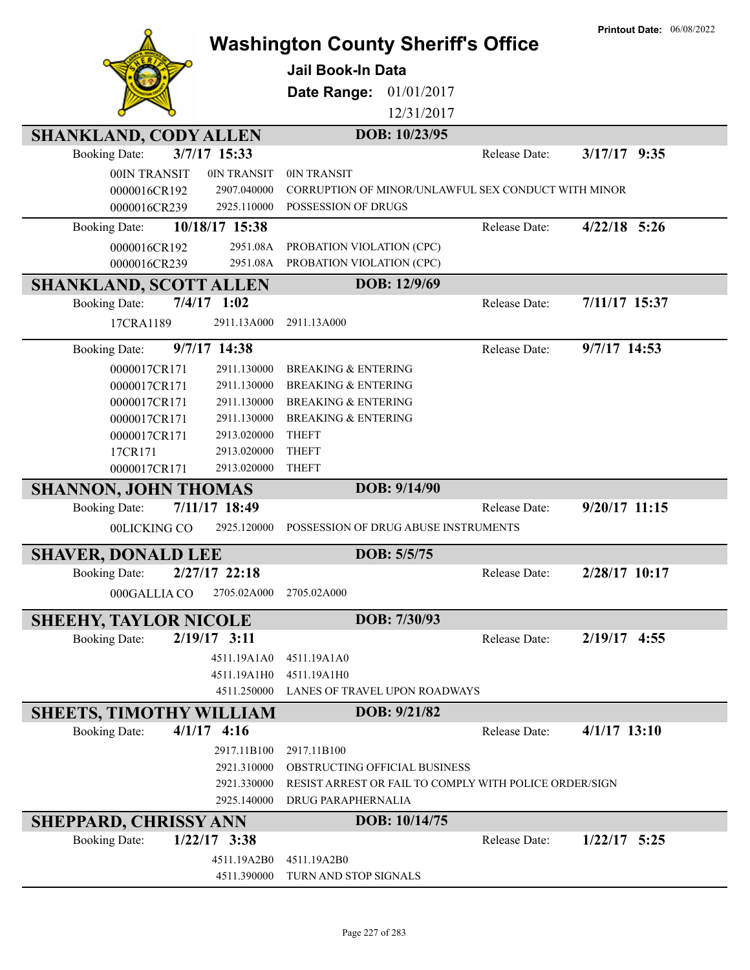|                                |                | <b>Printout Date: 06/08/2022</b>                       |               |                 |
|--------------------------------|----------------|--------------------------------------------------------|---------------|-----------------|
|                                |                | <b>Washington County Sheriff's Office</b>              |               |                 |
|                                |                | <b>Jail Book-In Data</b>                               |               |                 |
|                                |                | 01/01/2017<br>Date Range:                              |               |                 |
|                                |                | 12/31/2017                                             |               |                 |
| <b>SHANKLAND, CODY ALLEN</b>   |                | DOB: 10/23/95                                          |               |                 |
| <b>Booking Date:</b>           | 3/7/17 15:33   |                                                        | Release Date: | $3/17/17$ 9:35  |
| 00IN TRANSIT                   | 0IN TRANSIT    | 0IN TRANSIT                                            |               |                 |
| 0000016CR192                   | 2907.040000    | CORRUPTION OF MINOR/UNLAWFUL SEX CONDUCT WITH MINOR    |               |                 |
| 0000016CR239                   | 2925.110000    | POSSESSION OF DRUGS                                    |               |                 |
| <b>Booking Date:</b>           | 10/18/17 15:38 |                                                        | Release Date: | $4/22/18$ 5:26  |
| 0000016CR192                   | 2951.08A       | PROBATION VIOLATION (CPC)                              |               |                 |
| 0000016CR239                   | 2951.08A       | PROBATION VIOLATION (CPC)                              |               |                 |
| <b>SHANKLAND, SCOTT ALLEN</b>  |                | DOB: 12/9/69                                           |               |                 |
| <b>Booking Date:</b>           | $7/4/17$ 1:02  |                                                        | Release Date: | 7/11/17 15:37   |
| 17CRA1189                      | 2911.13A000    | 2911.13A000                                            |               |                 |
| <b>Booking Date:</b>           | 9/7/17 14:38   |                                                        | Release Date: | $9/7/17$ 14:53  |
| 0000017CR171                   | 2911.130000    | <b>BREAKING &amp; ENTERING</b>                         |               |                 |
| 0000017CR171                   | 2911.130000    | <b>BREAKING &amp; ENTERING</b>                         |               |                 |
| 0000017CR171                   | 2911.130000    | <b>BREAKING &amp; ENTERING</b>                         |               |                 |
| 0000017CR171                   | 2911.130000    | <b>BREAKING &amp; ENTERING</b>                         |               |                 |
| 0000017CR171                   | 2913.020000    | <b>THEFT</b>                                           |               |                 |
| 17CR171                        | 2913.020000    | <b>THEFT</b>                                           |               |                 |
| 0000017CR171                   | 2913.020000    | <b>THEFT</b>                                           |               |                 |
| <b>SHANNON, JOHN THOMAS</b>    |                | DOB: 9/14/90                                           |               |                 |
| <b>Booking Date:</b>           | 7/11/17 18:49  |                                                        | Release Date: | $9/20/17$ 11:15 |
| 00LICKING CO                   | 2925.120000    | POSSESSION OF DRUG ABUSE INSTRUMENTS                   |               |                 |
| <b>SHAVER, DONALD LEE</b>      |                | DOB: 5/5/75                                            |               |                 |
| <b>Booking Date:</b>           | 2/27/17 22:18  |                                                        | Release Date: | 2/28/17 10:17   |
| 000GALLIA CO                   | 2705.02A000    | 2705.02A000                                            |               |                 |
| <b>SHEEHY, TAYLOR NICOLE</b>   |                | DOB: 7/30/93                                           |               |                 |
| <b>Booking Date:</b>           | $2/19/17$ 3:11 |                                                        | Release Date: | $2/19/17$ 4:55  |
|                                | 4511.19A1A0    | 4511.19A1A0                                            |               |                 |
|                                | 4511.19A1H0    | 4511.19A1H0                                            |               |                 |
|                                | 4511.250000    | LANES OF TRAVEL UPON ROADWAYS                          |               |                 |
| <b>SHEETS, TIMOTHY WILLIAM</b> |                | DOB: 9/21/82                                           |               |                 |
| <b>Booking Date:</b>           | $4/1/17$ 4:16  |                                                        | Release Date: | $4/1/17$ 13:10  |
|                                | 2917.11B100    | 2917.11B100                                            |               |                 |
|                                | 2921.310000    | OBSTRUCTING OFFICIAL BUSINESS                          |               |                 |
|                                | 2921.330000    | RESIST ARREST OR FAIL TO COMPLY WITH POLICE ORDER/SIGN |               |                 |
|                                | 2925.140000    | DRUG PARAPHERNALIA                                     |               |                 |
| <b>SHEPPARD, CHRISSY ANN</b>   |                | DOB: 10/14/75                                          |               |                 |
| <b>Booking Date:</b>           | $1/22/17$ 3:38 |                                                        | Release Date: | $1/22/17$ 5:25  |
|                                | 4511.19A2B0    | 4511.19A2B0                                            |               |                 |
|                                | 4511.390000    | TURN AND STOP SIGNALS                                  |               |                 |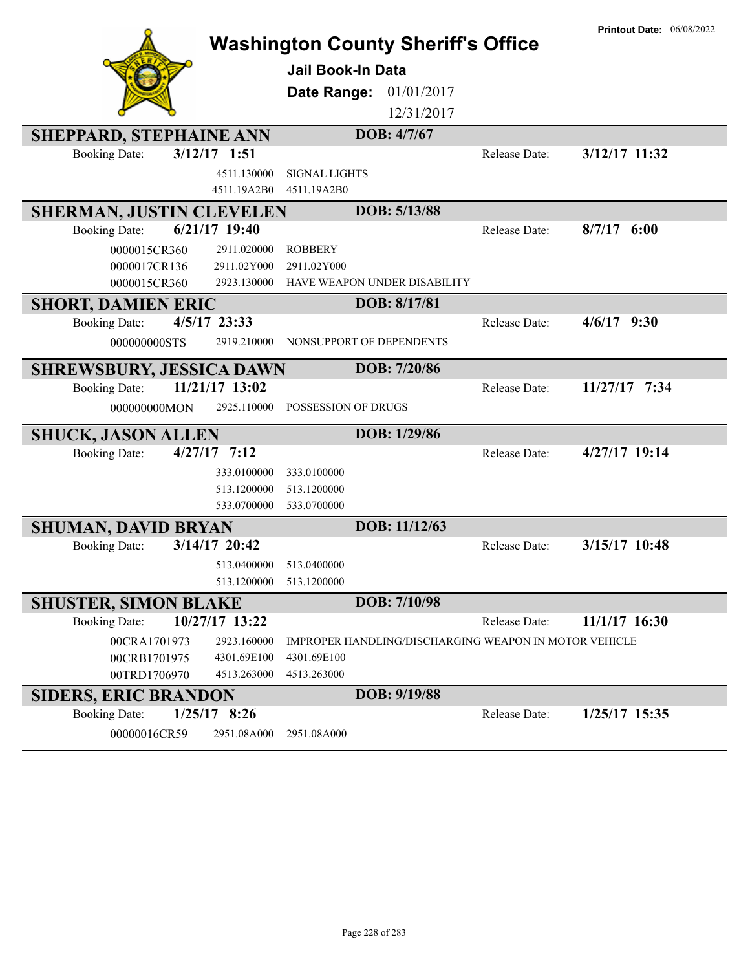|                                 |                            | <b>Washington County Sheriff's Office</b> |                              |                                                       | <b>Printout Date: 06/08/2022</b> |
|---------------------------------|----------------------------|-------------------------------------------|------------------------------|-------------------------------------------------------|----------------------------------|
|                                 |                            | <b>Jail Book-In Data</b>                  |                              |                                                       |                                  |
|                                 |                            |                                           |                              |                                                       |                                  |
|                                 |                            | Date Range:                               | 01/01/2017                   |                                                       |                                  |
|                                 |                            |                                           | 12/31/2017                   |                                                       |                                  |
| <b>SHEPPARD, STEPHAINE ANN</b>  |                            |                                           | DOB: 4/7/67                  |                                                       |                                  |
| <b>Booking Date:</b>            | $3/12/17$ 1:51             |                                           |                              | Release Date:                                         | 3/12/17 11:32                    |
|                                 | 4511.130000                | <b>SIGNAL LIGHTS</b>                      |                              |                                                       |                                  |
|                                 | 4511.19A2B0                | 4511.19A2B0                               |                              |                                                       |                                  |
| <b>SHERMAN, JUSTIN CLEVELEN</b> |                            |                                           | DOB: 5/13/88                 |                                                       |                                  |
| <b>Booking Date:</b>            | $6/21/17$ 19:40            |                                           |                              | Release Date:                                         | 8/7/17<br>6:00                   |
| 0000015CR360                    | 2911.020000                | <b>ROBBERY</b>                            |                              |                                                       |                                  |
| 0000017CR136<br>0000015CR360    | 2911.02Y000<br>2923.130000 | 2911.02Y000                               | HAVE WEAPON UNDER DISABILITY |                                                       |                                  |
|                                 |                            |                                           |                              |                                                       |                                  |
| <b>SHORT, DAMIEN ERIC</b>       |                            |                                           | DOB: 8/17/81                 |                                                       |                                  |
| <b>Booking Date:</b>            | 4/5/17 23:33               |                                           |                              | Release Date:                                         | $4/6/17$ 9:30                    |
| 000000000STS                    | 2919.210000                | NONSUPPORT OF DEPENDENTS                  |                              |                                                       |                                  |
| <b>SHREWSBURY, JESSICA DAWN</b> |                            |                                           | DOB: 7/20/86                 |                                                       |                                  |
| <b>Booking Date:</b>            | 11/21/17 13:02             |                                           |                              | Release Date:                                         | 11/27/17 7:34                    |
| 000000000MON                    | 2925.110000                | POSSESSION OF DRUGS                       |                              |                                                       |                                  |
| <b>SHUCK, JASON ALLEN</b>       |                            |                                           | DOB: 1/29/86                 |                                                       |                                  |
| <b>Booking Date:</b>            | $4/27/17$ 7:12             |                                           |                              | Release Date:                                         | 4/27/17 19:14                    |
|                                 | 333.0100000                | 333.0100000                               |                              |                                                       |                                  |
|                                 | 513.1200000                | 513.1200000                               |                              |                                                       |                                  |
|                                 | 533.0700000                | 533.0700000                               |                              |                                                       |                                  |
| <b>SHUMAN, DAVID BRYAN</b>      |                            |                                           | DOB: 11/12/63                |                                                       |                                  |
| <b>Booking Date:</b>            | $3/14/17$ 20:42            |                                           |                              | Release Date:                                         | 3/15/17 10:48                    |
|                                 | 513.0400000                | 513.0400000                               |                              |                                                       |                                  |
|                                 | 513.1200000                | 513.1200000                               |                              |                                                       |                                  |
| <b>SHUSTER, SIMON BLAKE</b>     |                            |                                           | DOB: 7/10/98                 |                                                       |                                  |
| <b>Booking Date:</b>            | 10/27/17 13:22             |                                           |                              | Release Date:                                         | 11/1/17 16:30                    |
| 00CRA1701973                    | 2923.160000                |                                           |                              | IMPROPER HANDLING/DISCHARGING WEAPON IN MOTOR VEHICLE |                                  |
| 00CRB1701975                    | 4301.69E100                | 4301.69E100                               |                              |                                                       |                                  |
| 00TRD1706970                    | 4513.263000                | 4513.263000                               |                              |                                                       |                                  |
| <b>SIDERS, ERIC BRANDON</b>     |                            |                                           | DOB: 9/19/88                 |                                                       |                                  |
| <b>Booking Date:</b>            | $1/25/17$ 8:26             |                                           |                              | Release Date:                                         | 1/25/17 15:35                    |
| 00000016CR59                    | 2951.08A000                | 2951.08A000                               |                              |                                                       |                                  |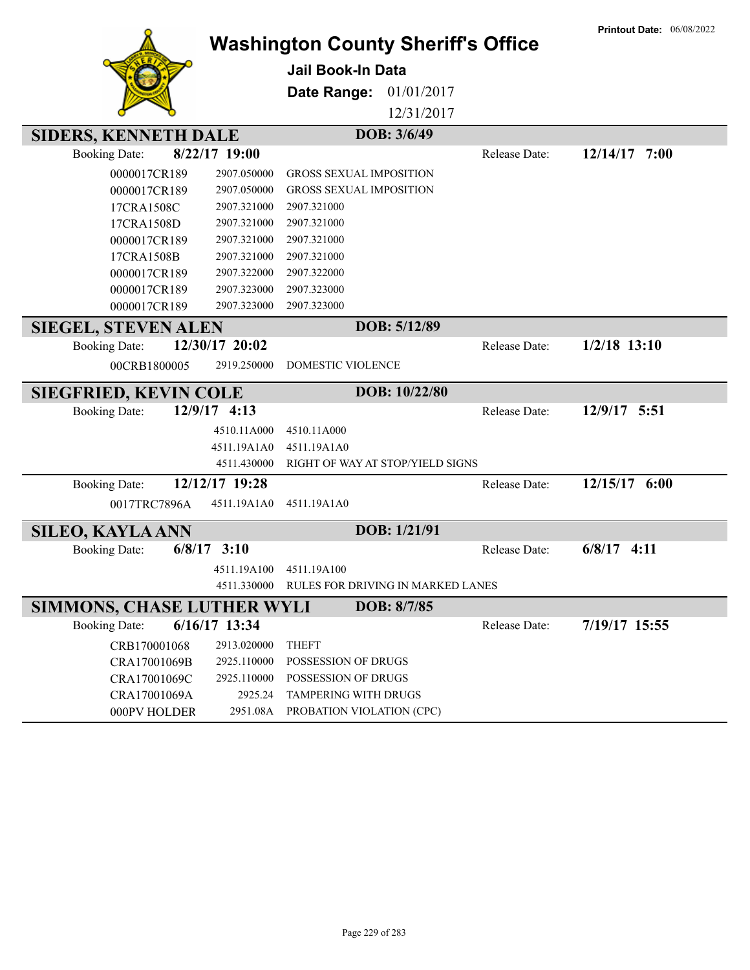|                                                           |                            | <b>Washington County Sheriff's Office</b> |               | <b>Printout Date: 06/08/2022</b> |
|-----------------------------------------------------------|----------------------------|-------------------------------------------|---------------|----------------------------------|
|                                                           |                            | <b>Jail Book-In Data</b>                  |               |                                  |
|                                                           |                            | 01/01/2017<br>Date Range:                 |               |                                  |
|                                                           |                            | 12/31/2017                                |               |                                  |
| <b>SIDERS, KENNETH DALE</b>                               |                            | DOB: 3/6/49                               |               |                                  |
| <b>Booking Date:</b>                                      | 8/22/17 19:00              |                                           | Release Date: | 12/14/17 7:00                    |
| 0000017CR189                                              | 2907.050000                | <b>GROSS SEXUAL IMPOSITION</b>            |               |                                  |
| 0000017CR189                                              | 2907.050000                | <b>GROSS SEXUAL IMPOSITION</b>            |               |                                  |
| 17CRA1508C                                                | 2907.321000                | 2907.321000                               |               |                                  |
| 17CRA1508D                                                | 2907.321000                | 2907.321000                               |               |                                  |
| 0000017CR189                                              | 2907.321000                | 2907.321000                               |               |                                  |
| 17CRA1508B                                                | 2907.321000                | 2907.321000                               |               |                                  |
| 0000017CR189                                              | 2907.322000                | 2907.322000                               |               |                                  |
| 0000017CR189                                              | 2907.323000                | 2907.323000                               |               |                                  |
| 0000017CR189                                              | 2907.323000                | 2907.323000                               |               |                                  |
| <b>SIEGEL, STEVEN ALEN</b>                                |                            | DOB: 5/12/89                              |               |                                  |
| <b>Booking Date:</b>                                      | 12/30/17 20:02             |                                           | Release Date: | $1/2/18$ 13:10                   |
| 00CRB1800005                                              | 2919.250000                | DOMESTIC VIOLENCE                         |               |                                  |
| <b>SIEGFRIED, KEVIN COLE</b>                              |                            | DOB: 10/22/80                             |               |                                  |
| <b>Booking Date:</b>                                      | 12/9/17 4:13               |                                           | Release Date: | 12/9/17 5:51                     |
|                                                           | 4510.11A000                | 4510.11A000                               |               |                                  |
|                                                           | 4511.19A1A0                | 4511.19A1A0                               |               |                                  |
|                                                           | 4511.430000                | RIGHT OF WAY AT STOP/YIELD SIGNS          |               |                                  |
| <b>Booking Date:</b>                                      | 12/12/17 19:28             |                                           | Release Date: | 12/15/17 6:00                    |
| 0017TRC7896A                                              | 4511.19A1A0                | 4511.19A1A0                               |               |                                  |
| <b>SILEO, KAYLA ANN</b>                                   |                            | DOB: 1/21/91                              |               |                                  |
| 6/8/17<br><b>Booking Date:</b>                            | 3:10                       |                                           | Release Date: | $6/8/17$ 4:11                    |
|                                                           |                            | 4511.19A100 4511.19A100                   |               |                                  |
|                                                           |                            |                                           |               |                                  |
|                                                           | 4511.330000                | RULES FOR DRIVING IN MARKED LANES         |               |                                  |
|                                                           |                            | DOB: 8/7/85                               |               |                                  |
| <b>SIMMONS, CHASE LUTHER WYLI</b><br><b>Booking Date:</b> | 6/16/17 13:34              |                                           | Release Date: | 7/19/17 15:55                    |
|                                                           |                            | <b>THEFT</b>                              |               |                                  |
| CRB170001068                                              | 2913.020000                | POSSESSION OF DRUGS                       |               |                                  |
| CRA17001069B                                              | 2925.110000<br>2925.110000 | POSSESSION OF DRUGS                       |               |                                  |
| CRA17001069C<br>CRA17001069A                              | 2925.24                    | TAMPERING WITH DRUGS                      |               |                                  |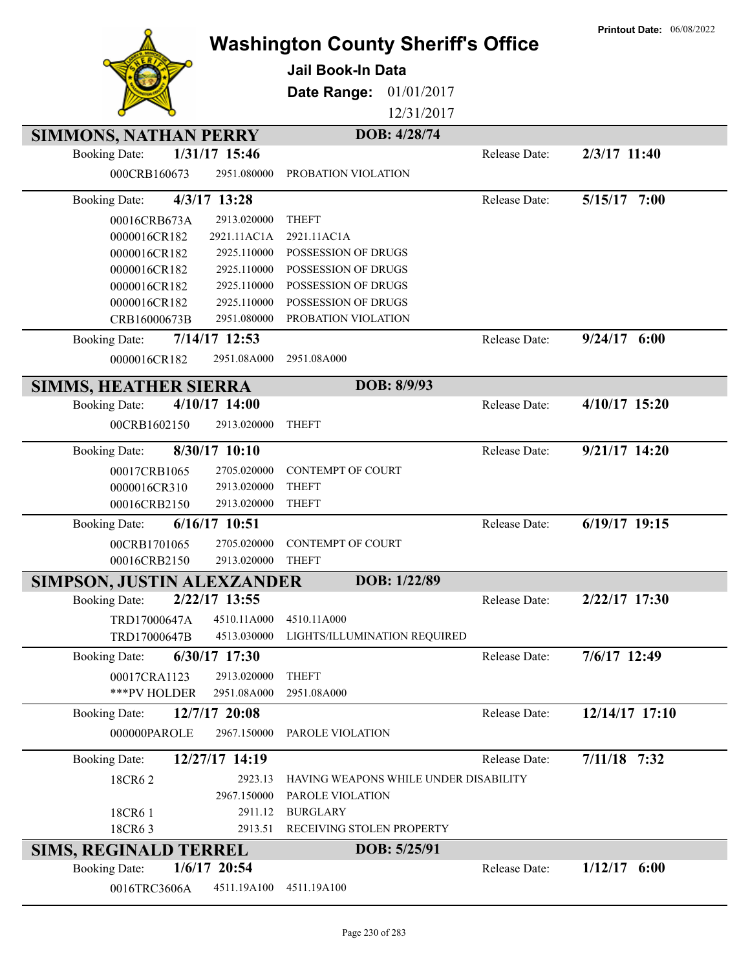|                                         | <b>Jail Book-In Data</b><br>Date Range:     | <b>Washington County Sheriff's Office</b><br>01/01/2017<br>12/31/2017 | <b>Printout Date: 06/08/2022</b> |
|-----------------------------------------|---------------------------------------------|-----------------------------------------------------------------------|----------------------------------|
|                                         |                                             |                                                                       |                                  |
| <b>SIMMONS, NATHAN PERRY</b>            |                                             | DOB: 4/28/74                                                          |                                  |
| 1/31/17 15:46<br><b>Booking Date:</b>   |                                             | Release Date:                                                         | 2/3/17 11:40                     |
| 000CRB160673                            | 2951.080000<br>PROBATION VIOLATION          |                                                                       |                                  |
| 4/3/17 13:28<br><b>Booking Date:</b>    |                                             | Release Date:                                                         | 5/15/17 7:00                     |
| 00016CRB673A                            | 2913.020000<br><b>THEFT</b>                 |                                                                       |                                  |
| 0000016CR182                            | 2921.11AC1A<br>2921.11AC1A                  |                                                                       |                                  |
| 0000016CR182                            | 2925.110000<br>POSSESSION OF DRUGS          |                                                                       |                                  |
| 0000016CR182                            | 2925.110000<br>POSSESSION OF DRUGS          |                                                                       |                                  |
| 0000016CR182                            | POSSESSION OF DRUGS<br>2925.110000          |                                                                       |                                  |
| 0000016CR182                            | 2925.110000<br>POSSESSION OF DRUGS          |                                                                       |                                  |
| CRB16000673B                            | 2951.080000<br>PROBATION VIOLATION          |                                                                       |                                  |
| $7/14/17$ 12:53<br><b>Booking Date:</b> |                                             | Release Date:                                                         | $9/24/17$ 6:00                   |
| 0000016CR182                            | 2951.08A000<br>2951.08A000                  |                                                                       |                                  |
| <b>SIMMS, HEATHER SIERRA</b>            |                                             | DOB: 8/9/93                                                           |                                  |
| 4/10/17 14:00<br><b>Booking Date:</b>   |                                             | Release Date:                                                         | 4/10/17 15:20                    |
| 00CRB1602150                            | 2913.020000<br><b>THEFT</b>                 |                                                                       |                                  |
| 8/30/17 10:10<br><b>Booking Date:</b>   |                                             | Release Date:                                                         | $9/21/17$ 14:20                  |
| 00017CRB1065                            | <b>CONTEMPT OF COURT</b><br>2705.020000     |                                                                       |                                  |
| 0000016CR310                            | 2913.020000<br><b>THEFT</b>                 |                                                                       |                                  |
| 00016CRB2150                            | 2913.020000<br><b>THEFT</b>                 |                                                                       |                                  |
| 6/16/17 10:51<br><b>Booking Date:</b>   |                                             | Release Date:                                                         | $6/19/17$ 19:15                  |
| 00CRB1701065                            | <b>CONTEMPT OF COURT</b><br>2705.020000     |                                                                       |                                  |
| 00016CRB2150                            | 2913.020000<br><b>THEFT</b>                 |                                                                       |                                  |
| SIMPSON, JUSTIN ALEXZANDER              |                                             | DOB: 1/22/89                                                          |                                  |
| 2/22/17 13:55<br><b>Booking Date:</b>   |                                             | Release Date:                                                         | 2/22/17 17:30                    |
| TRD17000647A                            | 4510.11A000<br>4510.11A000                  |                                                                       |                                  |
| TRD17000647B                            | 4513.030000<br>LIGHTS/ILLUMINATION REQUIRED |                                                                       |                                  |
| 6/30/17 17:30<br><b>Booking Date:</b>   |                                             | Release Date:                                                         | 7/6/17 12:49                     |
|                                         |                                             |                                                                       |                                  |
| 00017CRA1123                            | 2913.020000<br><b>THEFT</b>                 |                                                                       |                                  |
| ***PV HOLDER                            | 2951.08A000<br>2951.08A000                  |                                                                       |                                  |
| 12/7/17 20:08<br><b>Booking Date:</b>   |                                             | Release Date:                                                         | 12/14/17 17:10                   |
| 000000PAROLE                            | 2967.150000<br>PAROLE VIOLATION             |                                                                       |                                  |
| 12/27/17 14:19<br><b>Booking Date:</b>  |                                             | Release Date:                                                         | $7/11/18$ 7:32                   |
| 18CR62                                  | 2923.13                                     | HAVING WEAPONS WHILE UNDER DISABILITY                                 |                                  |
|                                         | 2967.150000<br>PAROLE VIOLATION             |                                                                       |                                  |
| 18CR61                                  | 2911.12<br><b>BURGLARY</b>                  |                                                                       |                                  |
| 18CR63                                  | RECEIVING STOLEN PROPERTY<br>2913.51        |                                                                       |                                  |
| <b>SIMS, REGINALD TERREL</b>            |                                             | DOB: 5/25/91                                                          |                                  |
| $1/6/17$ 20:54<br><b>Booking Date:</b>  |                                             | Release Date:                                                         | $1/12/17$ 6:00                   |
| 0016TRC3606A                            | 4511.19A100<br>4511.19A100                  |                                                                       |                                  |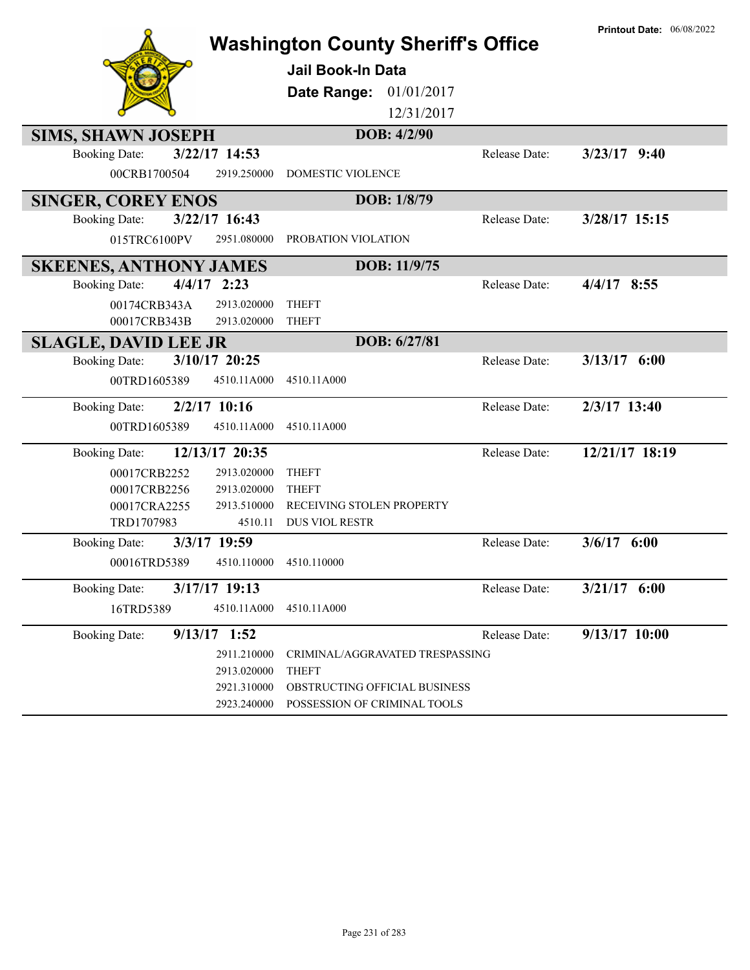| <b>Washington County Sheriff's Office</b> | <b>Printout Date: 06/08/2022</b>                              |                |
|-------------------------------------------|---------------------------------------------------------------|----------------|
|                                           | <b>Jail Book-In Data</b>                                      |                |
|                                           | Date Range: 01/01/2017                                        |                |
|                                           | 12/31/2017                                                    |                |
| <b>SIMS, SHAWN JOSEPH</b>                 | DOB: 4/2/90                                                   |                |
| $3/22/17$ 14:53<br><b>Booking Date:</b>   | Release Date:                                                 | $3/23/17$ 9:40 |
| 00CRB1700504<br>2919.250000               | <b>DOMESTIC VIOLENCE</b>                                      |                |
| <b>SINGER, COREY ENOS</b>                 | DOB: 1/8/79                                                   |                |
| 3/22/17 16:43<br><b>Booking Date:</b>     | Release Date:                                                 | 3/28/17 15:15  |
| 2951.080000<br>015TRC6100PV               | PROBATION VIOLATION                                           |                |
| <b>SKEENES, ANTHONY JAMES</b>             | DOB: 11/9/75                                                  |                |
| $4/4/17$ 2:23<br><b>Booking Date:</b>     | Release Date:                                                 | $4/4/17$ 8:55  |
| 00174CRB343A<br>2913.020000               | <b>THEFT</b>                                                  |                |
| 00017CRB343B<br>2913.020000               | <b>THEFT</b>                                                  |                |
| <b>SLAGLE, DAVID LEE JR</b>               | DOB: 6/27/81                                                  |                |
| 3/10/17 20:25<br><b>Booking Date:</b>     | Release Date:                                                 | $3/13/17$ 6:00 |
| 4510.11A000<br>00TRD1605389               | 4510.11A000                                                   |                |
| $2/2/17$ 10:16<br><b>Booking Date:</b>    | Release Date:                                                 | 2/3/17 13:40   |
| 4510.11A000<br>00TRD1605389               | 4510.11A000                                                   |                |
| 12/13/17 20:35<br><b>Booking Date:</b>    | Release Date:                                                 | 12/21/17 18:19 |
| 2913.020000<br>00017CRB2252               | <b>THEFT</b>                                                  |                |
| 00017CRB2256<br>2913.020000               | <b>THEFT</b>                                                  |                |
| 2913.510000<br>00017CRA2255               | RECEIVING STOLEN PROPERTY<br>DUS VIOL RESTR                   |                |
| TRD1707983<br>4510.11                     |                                                               |                |
| 3/3/17 19:59<br><b>Booking Date:</b>      | Release Date:                                                 | $3/6/17$ 6:00  |
| 4510.110000<br>00016TRD5389               | 4510.110000                                                   |                |
| 3/17/17 19:13<br><b>Booking Date:</b>     | Release Date:                                                 | $3/21/17$ 6:00 |
| 16TRD5389<br>4510.11A000                  | 4510.11A000                                                   |                |
| $9/13/17$ 1:52<br><b>Booking Date:</b>    | Release Date:                                                 | 9/13/17 10:00  |
| 2911.210000                               | CRIMINAL/AGGRAVATED TRESPASSING                               |                |
| 2913.020000                               | <b>THEFT</b>                                                  |                |
| 2921.310000<br>2923.240000                | OBSTRUCTING OFFICIAL BUSINESS<br>POSSESSION OF CRIMINAL TOOLS |                |
|                                           |                                                               |                |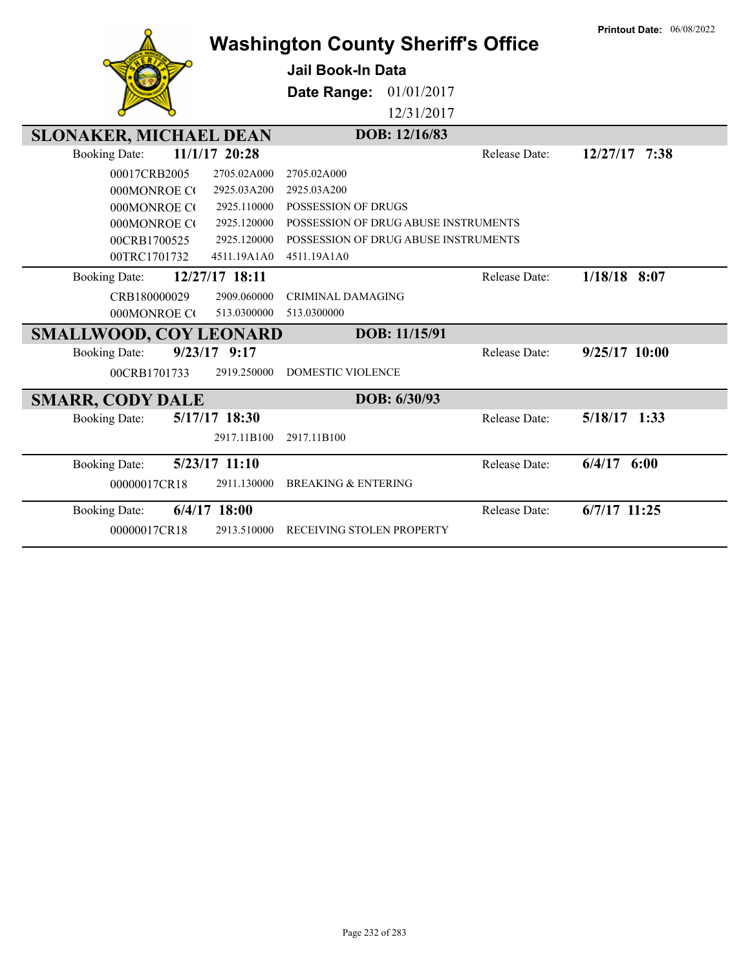|                               |                  | <b>Washington County Sheriff's Office</b> |               | <b>Printout Date: 06/08/2022</b> |
|-------------------------------|------------------|-------------------------------------------|---------------|----------------------------------|
|                               |                  | <b>Jail Book-In Data</b>                  |               |                                  |
|                               |                  | Date Range:                               | 01/01/2017    |                                  |
|                               |                  |                                           | 12/31/2017    |                                  |
|                               |                  |                                           |               |                                  |
| <b>SLONAKER, MICHAEL DEAN</b> |                  | DOB: 12/16/83                             |               |                                  |
| <b>Booking Date:</b>          | 11/1/17 20:28    |                                           | Release Date: | 12/27/17 7:38                    |
| 00017CRB2005                  | 2705.02A000      | 2705.02A000                               |               |                                  |
| 000MONROE CO                  | 2925.03A200      | 2925.03A200                               |               |                                  |
| 000MONROE CO                  | 2925.110000      | POSSESSION OF DRUGS                       |               |                                  |
| 000MONROE CO                  | 2925.120000      | POSSESSION OF DRUG ABUSE INSTRUMENTS      |               |                                  |
| 00CRB1700525                  | 2925.120000      | POSSESSION OF DRUG ABUSE INSTRUMENTS      |               |                                  |
| 00TRC1701732                  | 4511.19A1A0      | 4511.19A1A0                               |               |                                  |
| <b>Booking Date:</b>          | 12/27/17 18:11   |                                           | Release Date: | $1/18/18$ 8:07                   |
| CRB180000029                  | 2909.060000      | <b>CRIMINAL DAMAGING</b>                  |               |                                  |
| 000MONROE CO                  | 513.0300000      | 513.0300000                               |               |                                  |
| <b>SMALLWOOD, COY LEONARD</b> |                  | DOB: 11/15/91                             |               |                                  |
| <b>Booking Date:</b>          | $9/23/17$ $9:17$ |                                           | Release Date: | $9/25/17$ 10:00                  |
| 00CRB1701733                  | 2919.250000      | <b>DOMESTIC VIOLENCE</b>                  |               |                                  |
| <b>SMARR, CODY DALE</b>       |                  | DOB: 6/30/93                              |               |                                  |
| <b>Booking Date:</b>          | 5/17/17 18:30    |                                           | Release Date: | $5/18/17$ 1:33                   |
|                               | 2917.11B100      | 2917.11B100                               |               |                                  |
| <b>Booking Date:</b>          | $5/23/17$ 11:10  |                                           | Release Date: | $6/4/17$ $6:00$                  |
| 00000017CR18                  | 2911.130000      | <b>BREAKING &amp; ENTERING</b>            |               |                                  |
| <b>Booking Date:</b>          | $6/4/17$ 18:00   |                                           | Release Date: | $6/7/17$ 11:25                   |
| 00000017CR18                  | 2913.510000      | RECEIVING STOLEN PROPERTY                 |               |                                  |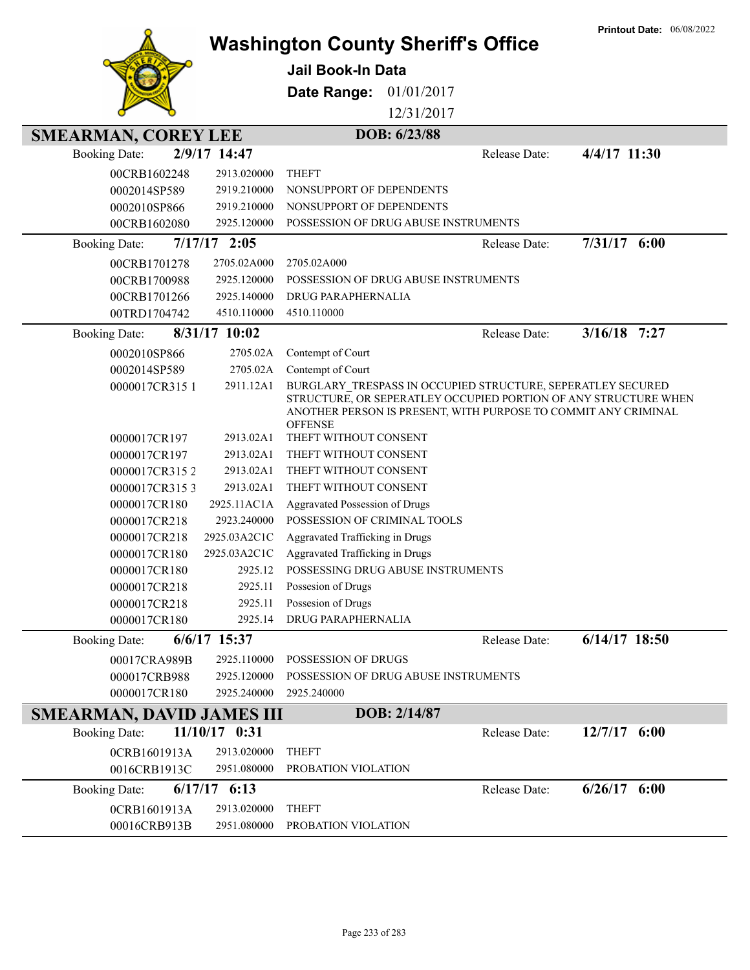|                                  |                  |                                                                                                                                                                                                                    |               | <b>Printout Date: 06/08/2022</b> |
|----------------------------------|------------------|--------------------------------------------------------------------------------------------------------------------------------------------------------------------------------------------------------------------|---------------|----------------------------------|
|                                  |                  | <b>Washington County Sheriff's Office</b>                                                                                                                                                                          |               |                                  |
|                                  |                  | <b>Jail Book-In Data</b>                                                                                                                                                                                           |               |                                  |
|                                  |                  | 01/01/2017<br>Date Range:                                                                                                                                                                                          |               |                                  |
|                                  |                  | 12/31/2017                                                                                                                                                                                                         |               |                                  |
| <b>SMEARMAN, COREY LEE</b>       |                  | DOB: 6/23/88                                                                                                                                                                                                       |               |                                  |
| <b>Booking Date:</b>             | 2/9/17 14:47     |                                                                                                                                                                                                                    | Release Date: | 4/4/17 11:30                     |
| 00CRB1602248                     | 2913.020000      | <b>THEFT</b>                                                                                                                                                                                                       |               |                                  |
| 0002014SP589                     | 2919.210000      | NONSUPPORT OF DEPENDENTS                                                                                                                                                                                           |               |                                  |
| 0002010SP866                     | 2919.210000      | NONSUPPORT OF DEPENDENTS                                                                                                                                                                                           |               |                                  |
| 00CRB1602080                     | 2925.120000      | POSSESSION OF DRUG ABUSE INSTRUMENTS                                                                                                                                                                               |               |                                  |
| <b>Booking Date:</b>             | $7/17/17$ 2:05   |                                                                                                                                                                                                                    | Release Date: | 7/31/17 6:00                     |
| 00CRB1701278                     | 2705.02A000      | 2705.02A000                                                                                                                                                                                                        |               |                                  |
| 00CRB1700988                     | 2925.120000      | POSSESSION OF DRUG ABUSE INSTRUMENTS                                                                                                                                                                               |               |                                  |
| 00CRB1701266                     | 2925.140000      | DRUG PARAPHERNALIA                                                                                                                                                                                                 |               |                                  |
| 00TRD1704742                     | 4510.110000      | 4510.110000                                                                                                                                                                                                        |               |                                  |
| <b>Booking Date:</b>             | 8/31/17 10:02    |                                                                                                                                                                                                                    | Release Date: | $3/16/18$ 7:27                   |
| 0002010SP866                     | 2705.02A         | Contempt of Court                                                                                                                                                                                                  |               |                                  |
| 0002014SP589                     | 2705.02A         | Contempt of Court                                                                                                                                                                                                  |               |                                  |
| 0000017CR3151                    | 2911.12A1        | BURGLARY TRESPASS IN OCCUPIED STRUCTURE, SEPERATLEY SECURED<br>STRUCTURE, OR SEPERATLEY OCCUPIED PORTION OF ANY STRUCTURE WHEN<br>ANOTHER PERSON IS PRESENT, WITH PURPOSE TO COMMIT ANY CRIMINAL<br><b>OFFENSE</b> |               |                                  |
| 0000017CR197                     | 2913.02A1        | THEFT WITHOUT CONSENT                                                                                                                                                                                              |               |                                  |
| 0000017CR197                     | 2913.02A1        | THEFT WITHOUT CONSENT                                                                                                                                                                                              |               |                                  |
| 0000017CR3152                    | 2913.02A1        | THEFT WITHOUT CONSENT                                                                                                                                                                                              |               |                                  |
| 0000017CR3153                    | 2913.02A1        | THEFT WITHOUT CONSENT                                                                                                                                                                                              |               |                                  |
| 0000017CR180                     | 2925.11AC1A      | <b>Aggravated Possession of Drugs</b>                                                                                                                                                                              |               |                                  |
| 0000017CR218                     | 2923.240000      | POSSESSION OF CRIMINAL TOOLS                                                                                                                                                                                       |               |                                  |
| 0000017CR218                     | 2925.03A2C1C     | Aggravated Trafficking in Drugs                                                                                                                                                                                    |               |                                  |
| 0000017CR180                     | 2925.03A2C1C     | Aggravated Trafficking in Drugs                                                                                                                                                                                    |               |                                  |
| 0000017CR180                     | 2925.12          | POSSESSING DRUG ABUSE INSTRUMENTS                                                                                                                                                                                  |               |                                  |
| 0000017CR218                     | 2925.11          | Possesion of Drugs                                                                                                                                                                                                 |               |                                  |
| 0000017CR218                     | 2925.11          | Possesion of Drugs                                                                                                                                                                                                 |               |                                  |
| 0000017CR180                     | 2925.14          | DRUG PARAPHERNALIA                                                                                                                                                                                                 |               |                                  |
| <b>Booking Date:</b>             | $6/6/17$ 15:37   |                                                                                                                                                                                                                    | Release Date: | 6/14/17 18:50                    |
| 00017CRA989B                     | 2925.110000      | POSSESSION OF DRUGS                                                                                                                                                                                                |               |                                  |
| 000017CRB988                     | 2925.120000      | POSSESSION OF DRUG ABUSE INSTRUMENTS                                                                                                                                                                               |               |                                  |
| 0000017CR180                     | 2925.240000      | 2925.240000                                                                                                                                                                                                        |               |                                  |
| <b>SMEARMAN, DAVID JAMES III</b> |                  | DOB: 2/14/87                                                                                                                                                                                                       |               |                                  |
| <b>Booking Date:</b>             | $11/10/17$ 0:31  |                                                                                                                                                                                                                    | Release Date: | $12/7/17$ 6:00                   |
| 0CRB1601913A                     | 2913.020000      | <b>THEFT</b>                                                                                                                                                                                                       |               |                                  |
| 0016CRB1913C                     | 2951.080000      | PROBATION VIOLATION                                                                                                                                                                                                |               |                                  |
| <b>Booking Date:</b>             | $6/17/17$ $6:13$ |                                                                                                                                                                                                                    | Release Date: | $6/26/17$ $6:00$                 |
| 0CRB1601913A                     | 2913.020000      | <b>THEFT</b>                                                                                                                                                                                                       |               |                                  |
| 00016CRB913B                     | 2951.080000      | PROBATION VIOLATION                                                                                                                                                                                                |               |                                  |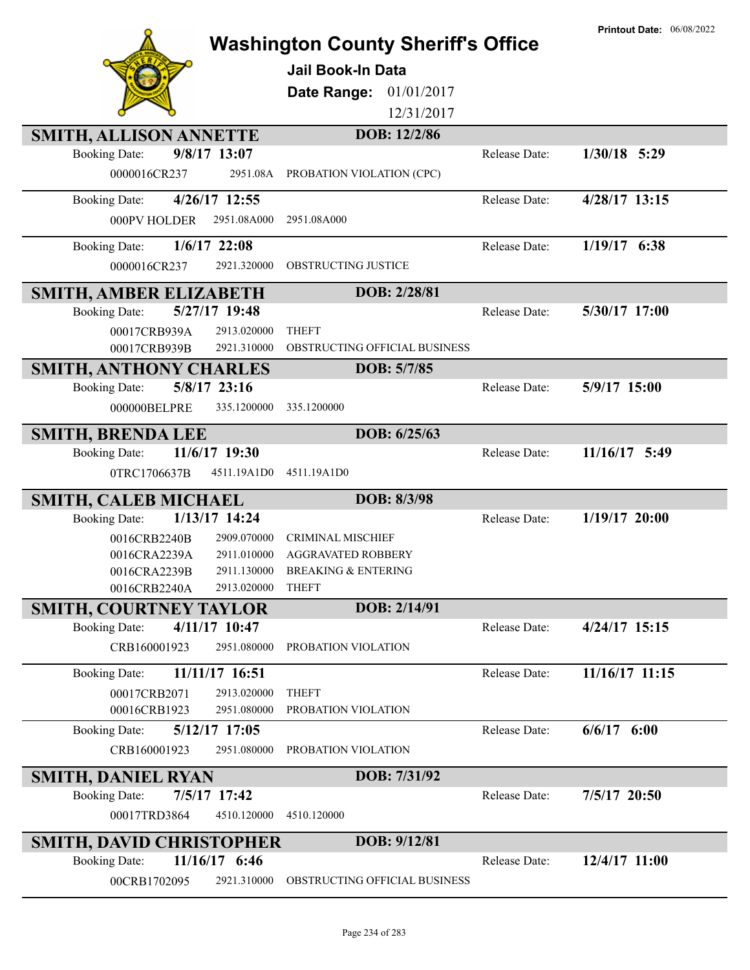|                                             |                                                              |               | <b>Printout Date: 06/08/2022</b> |
|---------------------------------------------|--------------------------------------------------------------|---------------|----------------------------------|
|                                             | <b>Washington County Sheriff's Office</b>                    |               |                                  |
|                                             | <b>Jail Book-In Data</b>                                     |               |                                  |
|                                             | 01/01/2017<br>Date Range:                                    |               |                                  |
|                                             | 12/31/2017                                                   |               |                                  |
| <b>SMITH, ALLISON ANNETTE</b>               | DOB: 12/2/86                                                 |               |                                  |
| 9/8/17 13:07<br><b>Booking Date:</b>        |                                                              | Release Date: | $1/30/18$ 5:29                   |
| 0000016CR237<br>2951.08A                    | PROBATION VIOLATION (CPC)                                    |               |                                  |
| 4/26/17 12:55<br><b>Booking Date:</b>       |                                                              | Release Date: | 4/28/17 13:15                    |
| 2951.08A000<br>000PV HOLDER                 | 2951.08A000                                                  |               |                                  |
| $1/6/17$ 22:08<br><b>Booking Date:</b>      |                                                              | Release Date: | $1/19/17$ 6:38                   |
| 0000016CR237<br>2921.320000                 | <b>OBSTRUCTING JUSTICE</b>                                   |               |                                  |
| SMITH, AMBER ELIZABETH                      | DOB: 2/28/81                                                 |               |                                  |
| 5/27/17 19:48<br><b>Booking Date:</b>       |                                                              | Release Date: | 5/30/17 17:00                    |
| 00017CRB939A<br>2913.020000                 | <b>THEFT</b>                                                 |               |                                  |
| 2921.310000<br>00017CRB939B                 | OBSTRUCTING OFFICIAL BUSINESS                                |               |                                  |
| <b>SMITH, ANTHONY CHARLES</b>               | DOB: 5/7/85                                                  |               |                                  |
| 5/8/17 23:16<br><b>Booking Date:</b>        |                                                              | Release Date: | 5/9/17 15:00                     |
| 000000BELPRE<br>335.1200000                 | 335.1200000                                                  |               |                                  |
| <b>SMITH, BRENDA LEE</b>                    | DOB: 6/25/63                                                 |               |                                  |
| 11/6/17 19:30<br><b>Booking Date:</b>       |                                                              | Release Date: | 11/16/17 5:49                    |
| 0TRC1706637B<br>4511.19A1D0                 | 4511.19A1D0                                                  |               |                                  |
| <b>SMITH, CALEB MICHAEL</b>                 | DOB: 8/3/98                                                  |               |                                  |
| 1/13/17 14:24<br><b>Booking Date:</b>       |                                                              | Release Date: | $1/19/17$ 20:00                  |
| 2909.070000<br>0016CRB2240B                 | <b>CRIMINAL MISCHIEF</b>                                     |               |                                  |
| 2911.010000<br>0016CRA2239A                 | <b>AGGRAVATED ROBBERY</b><br>2911.130000 BREAKING & ENTERING |               |                                  |
| 0016CRA2239B<br>2913.020000<br>0016CRB2240A | <b>THEFT</b>                                                 |               |                                  |
| <b>SMITH, COURTNEY TAYLOR</b>               | DOB: 2/14/91                                                 |               |                                  |
| 4/11/17 10:47<br><b>Booking Date:</b>       |                                                              | Release Date: | $4/24/17$ 15:15                  |
| CRB160001923<br>2951.080000                 | PROBATION VIOLATION                                          |               |                                  |
| 11/11/17 16:51<br><b>Booking Date:</b>      |                                                              | Release Date: | 11/16/17 11:15                   |
| 00017CRB2071<br>2913.020000                 | <b>THEFT</b>                                                 |               |                                  |
| 2951.080000<br>00016CRB1923                 | PROBATION VIOLATION                                          |               |                                  |
| 5/12/17 17:05<br><b>Booking Date:</b>       |                                                              | Release Date: | $6/6/17$ $6:00$                  |
| 2951.080000<br>CRB160001923                 | PROBATION VIOLATION                                          |               |                                  |
| <b>SMITH, DANIEL RYAN</b>                   | DOB: 7/31/92                                                 |               |                                  |
| <b>Booking Date:</b><br>7/5/17 17:42        |                                                              | Release Date: | 7/5/17 20:50                     |
| 00017TRD3864<br>4510.120000                 | 4510.120000                                                  |               |                                  |
| <b>SMITH, DAVID CHRISTOPHER</b>             | DOB: 9/12/81                                                 |               |                                  |
| 11/16/17 6:46<br><b>Booking Date:</b>       |                                                              | Release Date: | $12/4/17$ $11:00$                |
| 00CRB1702095<br>2921.310000                 | OBSTRUCTING OFFICIAL BUSINESS                                |               |                                  |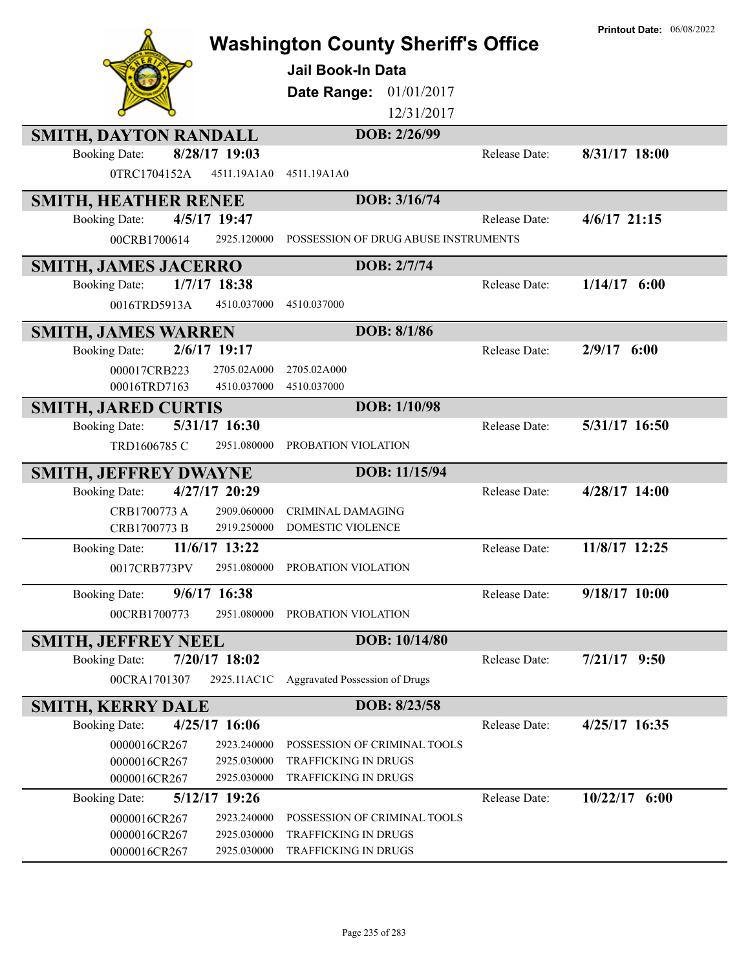|                                                     |                                              |               | <b>Printout Date: 06/08/2022</b> |
|-----------------------------------------------------|----------------------------------------------|---------------|----------------------------------|
|                                                     | <b>Washington County Sheriff's Office</b>    |               |                                  |
|                                                     | <b>Jail Book-In Data</b>                     |               |                                  |
|                                                     | Date Range:<br>01/01/2017                    |               |                                  |
|                                                     | 12/31/2017                                   |               |                                  |
| <b>SMITH, DAYTON RANDALL</b>                        | DOB: 2/26/99                                 |               |                                  |
| 8/28/17 19:03<br><b>Booking Date:</b>               |                                              | Release Date: | 8/31/17 18:00                    |
| 0TRC1704152A<br>4511.19A1A0                         | 4511.19A1A0                                  |               |                                  |
| <b>SMITH, HEATHER RENEE</b>                         | DOB: 3/16/74                                 |               |                                  |
| 4/5/17 19:47<br><b>Booking Date:</b>                |                                              | Release Date: | $4/6/17$ 21:15                   |
| 00CRB1700614<br>2925.120000                         | POSSESSION OF DRUG ABUSE INSTRUMENTS         |               |                                  |
| <b>SMITH, JAMES JACERRO</b>                         | DOB: 2/7/74                                  |               |                                  |
| 1/7/17 18:38<br><b>Booking Date:</b>                |                                              | Release Date: | $1/14/17$ 6:00                   |
| 0016TRD5913A<br>4510.037000                         | 4510.037000                                  |               |                                  |
| <b>SMITH, JAMES WARREN</b>                          | DOB: 8/1/86                                  |               |                                  |
| $2/6/17$ 19:17<br><b>Booking Date:</b>              |                                              | Release Date: | $2/9/17$ 6:00                    |
| 000017CRB223<br>2705.02A000                         | 2705.02A000                                  |               |                                  |
| 4510.037000<br>00016TRD7163                         | 4510.037000                                  |               |                                  |
| <b>SMITH, JARED CURTIS</b>                          | DOB: 1/10/98                                 |               |                                  |
| 5/31/17 16:30<br><b>Booking Date:</b>               |                                              | Release Date: | 5/31/17 16:50                    |
| TRD1606785 C<br>2951.080000                         | PROBATION VIOLATION                          |               |                                  |
| <b>SMITH, JEFFREY DWAYNE</b>                        | DOB: 11/15/94                                |               |                                  |
| 4/27/17 20:29<br><b>Booking Date:</b>               |                                              | Release Date: | 4/28/17 14:00                    |
| CRB1700773 A<br>2909.060000                         | <b>CRIMINAL DAMAGING</b>                     |               |                                  |
| CRB1700773 B<br>2919.250000                         | DOMESTIC VIOLENCE                            |               |                                  |
| 11/6/17 13:22<br><b>Booking Date:</b>               |                                              | Release Date: | 11/8/17 12:25                    |
| 0017CRB773PV                                        | 2951.080000 PROBATION VIOLATION              |               |                                  |
| 9/6/17 16:38<br><b>Booking Date:</b>                |                                              | Release Date: | 9/18/17 10:00                    |
| 00CRB1700773<br>2951.080000                         | PROBATION VIOLATION                          |               |                                  |
| <b>SMITH, JEFFREY NEEL</b>                          | DOB: 10/14/80                                |               |                                  |
| 7/20/17 18:02<br><b>Booking Date:</b>               |                                              | Release Date: | $7/21/17$ 9:50                   |
| 00CRA1701307<br>2925.11AC1C                         | <b>Aggravated Possession of Drugs</b>        |               |                                  |
| <b>SMITH, KERRY DALE</b>                            | DOB: 8/23/58                                 |               |                                  |
| 4/25/17 16:06<br><b>Booking Date:</b>               |                                              | Release Date: | 4/25/17 16:35                    |
| 0000016CR267<br>2923.240000                         | POSSESSION OF CRIMINAL TOOLS                 |               |                                  |
| 2925.030000<br>0000016CR267<br>2925.030000          | TRAFFICKING IN DRUGS<br>TRAFFICKING IN DRUGS |               |                                  |
| 0000016CR267<br>5/12/17 19:26                       |                                              | Release Date: | $10/22/17$ 6:00                  |
| <b>Booking Date:</b><br>0000016CR267<br>2923.240000 | POSSESSION OF CRIMINAL TOOLS                 |               |                                  |
| 0000016CR267<br>2925.030000                         | TRAFFICKING IN DRUGS                         |               |                                  |
| 0000016CR267<br>2925.030000                         | TRAFFICKING IN DRUGS                         |               |                                  |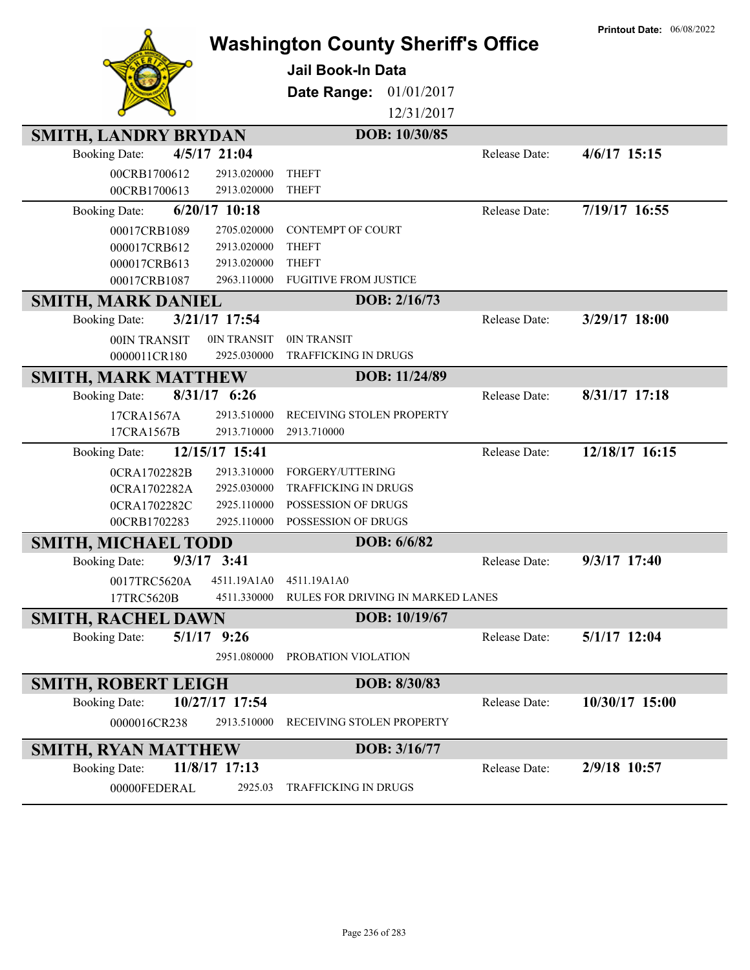| <b>Washington County Sheriff's Office</b> | <b>Printout Date: 06/08/2022</b>  |               |                |
|-------------------------------------------|-----------------------------------|---------------|----------------|
|                                           | <b>Jail Book-In Data</b>          |               |                |
|                                           |                                   |               |                |
|                                           | 01/01/2017<br>Date Range:         |               |                |
|                                           | 12/31/2017                        |               |                |
| <b>SMITH, LANDRY BRYDAN</b>               | DOB: 10/30/85                     |               |                |
| 4/5/17 21:04<br><b>Booking Date:</b>      |                                   | Release Date: | $4/6/17$ 15:15 |
| 00CRB1700612<br>2913.020000               | <b>THEFT</b>                      |               |                |
| 00CRB1700613<br>2913.020000               | <b>THEFT</b>                      |               |                |
| 6/20/17 10:18<br><b>Booking Date:</b>     |                                   | Release Date: | 7/19/17 16:55  |
| 2705.020000<br>00017CRB1089               | CONTEMPT OF COURT                 |               |                |
| 000017CRB612<br>2913.020000               | <b>THEFT</b>                      |               |                |
| 2913.020000<br>000017CRB613               | <b>THEFT</b>                      |               |                |
| 00017CRB1087<br>2963.110000               | <b>FUGITIVE FROM JUSTICE</b>      |               |                |
| <b>SMITH, MARK DANIEL</b>                 | DOB: 2/16/73                      |               |                |
| 3/21/17 17:54<br><b>Booking Date:</b>     |                                   | Release Date: | 3/29/17 18:00  |
| 00IN TRANSIT<br>0IN TRANSIT               | 0IN TRANSIT                       |               |                |
| 0000011CR180<br>2925.030000               | <b>TRAFFICKING IN DRUGS</b>       |               |                |
| <b>SMITH, MARK MATTHEW</b>                | DOB: 11/24/89                     |               |                |
| 8/31/17 6:26<br><b>Booking Date:</b>      |                                   | Release Date: | 8/31/17 17:18  |
| 2913.510000<br>17CRA1567A                 | RECEIVING STOLEN PROPERTY         |               |                |
| 2913.710000<br>17CRA1567B                 | 2913.710000                       |               |                |
| 12/15/17 15:41<br><b>Booking Date:</b>    |                                   | Release Date: | 12/18/17 16:15 |
| 2913.310000<br>0CRA1702282B               | FORGERY/UTTERING                  |               |                |
| 2925.030000<br>0CRA1702282A               | TRAFFICKING IN DRUGS              |               |                |
| 2925.110000<br>0CRA1702282C               | POSSESSION OF DRUGS               |               |                |
| 2925.110000<br>00CRB1702283               | POSSESSION OF DRUGS               |               |                |
| <b>SMITH, MICHAEL TODD</b>                | DOB: 6/6/82                       |               |                |
| <b>Booking Date:</b><br>$9/3/17$ 3:41     |                                   | Release Date: | 9/3/17 17:40   |
| 4511.19A1A0<br>0017TRC5620A               | 4511.19A1A0                       |               |                |
| 17TRC5620B<br>4511.330000                 | RULES FOR DRIVING IN MARKED LANES |               |                |
| <b>SMITH, RACHEL DAWN</b>                 | DOB: 10/19/67                     |               |                |
| $5/1/17$ 9:26<br><b>Booking Date:</b>     |                                   | Release Date: | $5/1/17$ 12:04 |
| 2951.080000                               | PROBATION VIOLATION               |               |                |
| <b>SMITH, ROBERT LEIGH</b>                | DOB: 8/30/83                      |               |                |
| 10/27/17 17:54<br><b>Booking Date:</b>    |                                   | Release Date: | 10/30/17 15:00 |
| 0000016CR238<br>2913.510000               | RECEIVING STOLEN PROPERTY         |               |                |
| <b>SMITH, RYAN MATTHEW</b>                | DOB: 3/16/77                      |               |                |
| <b>Booking Date:</b><br>$11/8/17$ 17:13   |                                   | Release Date: | 2/9/18 10:57   |
| 00000FEDERAL<br>2925.03                   | <b>TRAFFICKING IN DRUGS</b>       |               |                |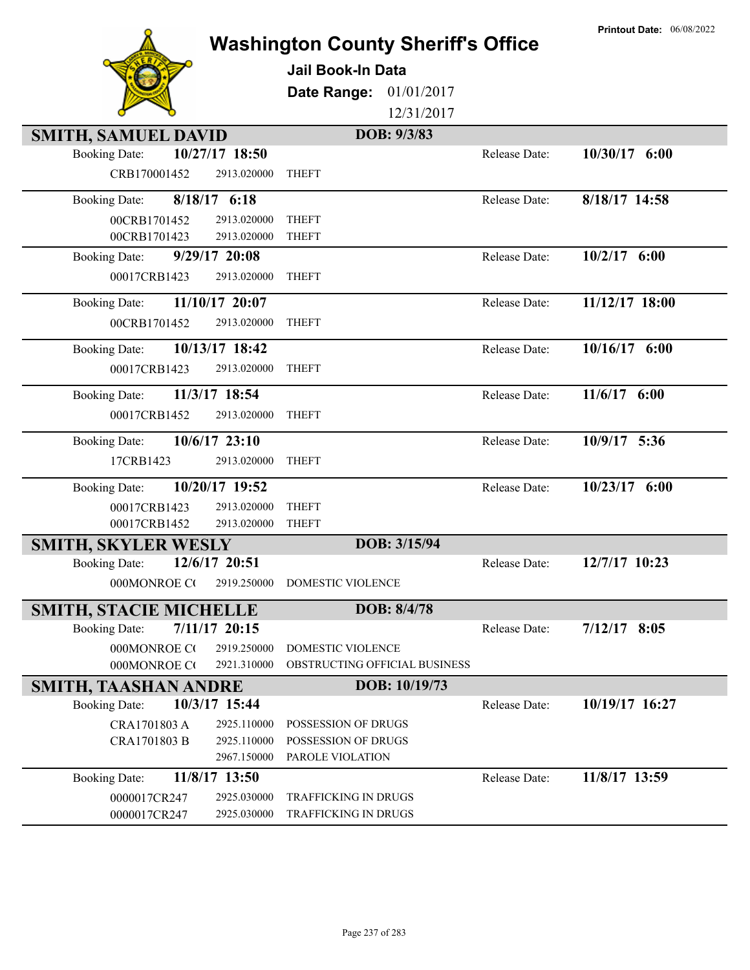|                                                                      |                            | <b>Washington County Sheriff's Office</b>  |               | <b>Printout Date: 06/08/2022</b> |
|----------------------------------------------------------------------|----------------------------|--------------------------------------------|---------------|----------------------------------|
|                                                                      |                            | Jail Book-In Data                          |               |                                  |
|                                                                      |                            |                                            |               |                                  |
|                                                                      |                            | 01/01/2017<br>Date Range:<br>12/31/2017    |               |                                  |
|                                                                      |                            |                                            |               |                                  |
| <b>SMITH, SAMUEL DAVID</b><br>10/27/17 18:50<br><b>Booking Date:</b> |                            | DOB: 9/3/83                                | Release Date: | $10/30/17$ 6:00                  |
| CRB170001452                                                         | 2913.020000                | <b>THEFT</b>                               |               |                                  |
|                                                                      |                            |                                            |               |                                  |
| 8/18/17 6:18<br><b>Booking Date:</b>                                 |                            |                                            | Release Date: | 8/18/17 14:58                    |
| 00CRB1701452                                                         | 2913.020000                | <b>THEFT</b>                               |               |                                  |
| 00CRB1701423                                                         | 2913.020000                | <b>THEFT</b>                               |               |                                  |
| $9/29/17$ 20:08<br><b>Booking Date:</b>                              |                            |                                            | Release Date: | $10/2/17$ 6:00                   |
| 00017CRB1423                                                         | 2913.020000                | <b>THEFT</b>                               |               |                                  |
| 11/10/17 20:07<br><b>Booking Date:</b>                               |                            |                                            | Release Date: | 11/12/17 18:00                   |
| 00CRB1701452                                                         | 2913.020000                | <b>THEFT</b>                               |               |                                  |
| 10/13/17 18:42<br><b>Booking Date:</b>                               |                            |                                            | Release Date: | 10/16/17 6:00                    |
| 00017CRB1423                                                         | 2913.020000                | <b>THEFT</b>                               |               |                                  |
| 11/3/17 18:54<br><b>Booking Date:</b>                                |                            |                                            | Release Date: | 11/6/17 6:00                     |
| 00017CRB1452                                                         | 2913.020000                | <b>THEFT</b>                               |               |                                  |
| 10/6/17 23:10<br><b>Booking Date:</b>                                |                            |                                            | Release Date: | 10/9/17 5:36                     |
| 17CRB1423                                                            | 2913.020000                | <b>THEFT</b>                               |               |                                  |
| 10/20/17 19:52<br><b>Booking Date:</b>                               |                            |                                            | Release Date: | 10/23/17 6:00                    |
| 00017CRB1423                                                         | 2913.020000                | <b>THEFT</b>                               |               |                                  |
| 00017CRB1452                                                         | 2913.020000                | <b>THEFT</b>                               |               |                                  |
| <b>SMITH, SKYLER WESLY</b>                                           |                            | DOB: 3/15/94                               |               |                                  |
| 12/6/17 20:51<br><b>Booking Date:</b>                                |                            |                                            | Release Date: | 12/7/17 10:23                    |
| 000MONROE CO                                                         | 2919.250000                | <b>DOMESTIC VIOLENCE</b>                   |               |                                  |
| <b>SMITH, STACIE MICHELLE</b>                                        |                            | DOB: 8/4/78                                |               |                                  |
| 7/11/17 20:15<br><b>Booking Date:</b>                                |                            |                                            | Release Date: | $7/12/17$ 8:05                   |
| 000MONROE CO                                                         | 2919.250000                | <b>DOMESTIC VIOLENCE</b>                   |               |                                  |
| 000MONROE CO                                                         | 2921.310000                | OBSTRUCTING OFFICIAL BUSINESS              |               |                                  |
| <b>SMITH, TAASHAN ANDRE</b>                                          |                            | DOB: 10/19/73                              |               |                                  |
| 10/3/17 15:44<br><b>Booking Date:</b>                                |                            |                                            | Release Date: | 10/19/17 16:27                   |
| CRA1701803 A                                                         | 2925.110000<br>2925.110000 | POSSESSION OF DRUGS<br>POSSESSION OF DRUGS |               |                                  |
| CRA1701803 B                                                         | 2967.150000                | PAROLE VIOLATION                           |               |                                  |
| 11/8/17 13:50<br><b>Booking Date:</b>                                |                            |                                            | Release Date: | 11/8/17 13:59                    |
| 0000017CR247                                                         | 2925.030000                | <b>TRAFFICKING IN DRUGS</b>                |               |                                  |
| 0000017CR247                                                         | 2925.030000                | TRAFFICKING IN DRUGS                       |               |                                  |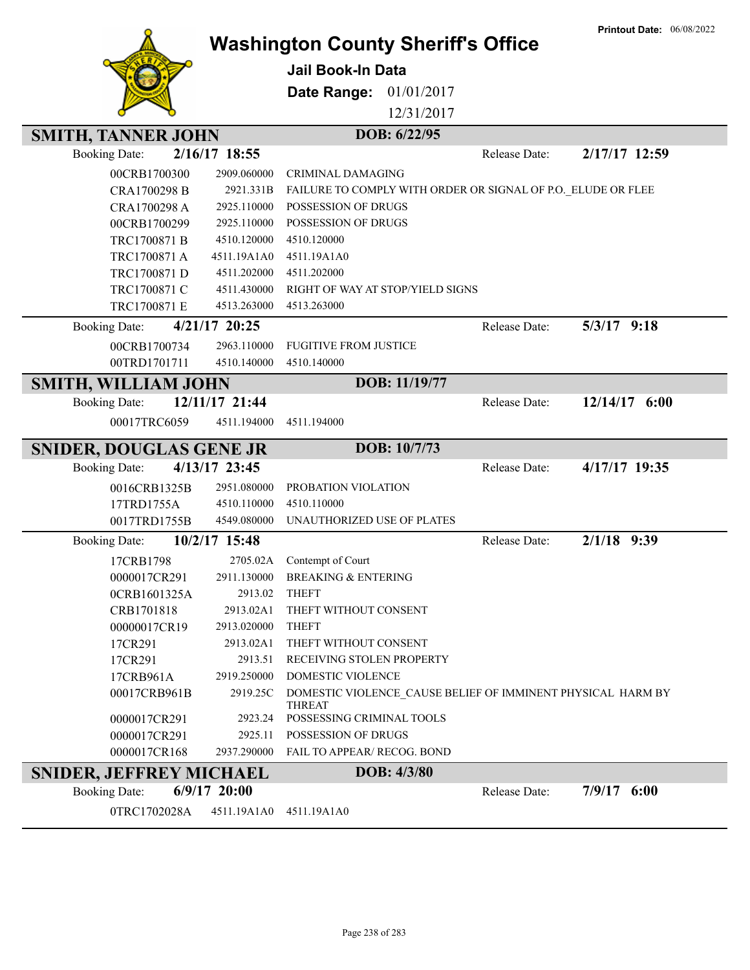|                                |                         | <b>Washington County Sheriff's Office</b>                                    |               | <b>Printout Date: 06/08/2022</b> |
|--------------------------------|-------------------------|------------------------------------------------------------------------------|---------------|----------------------------------|
|                                |                         |                                                                              |               |                                  |
|                                |                         | Jail Book-In Data                                                            |               |                                  |
|                                |                         | 01/01/2017<br>Date Range:                                                    |               |                                  |
|                                |                         | 12/31/2017                                                                   |               |                                  |
| <b>SMITH, TANNER JOHN</b>      |                         | DOB: 6/22/95                                                                 |               |                                  |
| <b>Booking Date:</b>           | 2/16/17 18:55           |                                                                              | Release Date: | 2/17/17 12:59                    |
| 00CRB1700300                   | 2909.060000             | <b>CRIMINAL DAMAGING</b>                                                     |               |                                  |
| CRA1700298 B                   | 2921.331B               | FAILURE TO COMPLY WITH ORDER OR SIGNAL OF P.O. ELUDE OR FLEE                 |               |                                  |
| CRA1700298 A                   | 2925.110000             | POSSESSION OF DRUGS                                                          |               |                                  |
| 00CRB1700299                   | 2925.110000             | <b>POSSESSION OF DRUGS</b>                                                   |               |                                  |
| TRC1700871 B                   | 4510.120000             | 4510.120000                                                                  |               |                                  |
| TRC1700871 A                   | 4511.19A1A0             | 4511.19A1A0                                                                  |               |                                  |
| TRC1700871 D                   | 4511.202000             | 4511.202000                                                                  |               |                                  |
| TRC1700871 C                   | 4511.430000             | RIGHT OF WAY AT STOP/YIELD SIGNS                                             |               |                                  |
| TRC1700871 E                   | 4513.263000             | 4513.263000                                                                  |               |                                  |
| <b>Booking Date:</b>           | 4/21/17 20:25           |                                                                              | Release Date: | $5/3/17$ 9:18                    |
| 00CRB1700734                   | 2963.110000             | <b>FUGITIVE FROM JUSTICE</b>                                                 |               |                                  |
| 00TRD1701711                   | 4510.140000             | 4510.140000                                                                  |               |                                  |
| <b>SMITH, WILLIAM JOHN</b>     |                         | DOB: 11/19/77                                                                |               |                                  |
| <b>Booking Date:</b>           | 12/11/17 21:44          |                                                                              | Release Date: | $12/14/17$ 6:00                  |
| 00017TRC6059                   | 4511.194000             | 4511.194000                                                                  |               |                                  |
| <b>SNIDER, DOUGLAS GENE JR</b> |                         | DOB: 10/7/73                                                                 |               |                                  |
| <b>Booking Date:</b>           | 4/13/17 23:45           |                                                                              | Release Date: | 4/17/17 19:35                    |
| 0016CRB1325B                   | 2951.080000             | PROBATION VIOLATION                                                          |               |                                  |
| 17TRD1755A                     | 4510.110000             | 4510.110000                                                                  |               |                                  |
| 0017TRD1755B                   | 4549.080000             | UNAUTHORIZED USE OF PLATES                                                   |               |                                  |
| <b>Booking Date:</b>           | 10/2/17 15:48           |                                                                              | Release Date: | $2/1/18$ 9:39                    |
| 17CRB1798                      | 2705.02A                | Contempt of Court                                                            |               |                                  |
| 0000017CR291                   | 2911.130000             | <b>BREAKING &amp; ENTERING</b>                                               |               |                                  |
| 0CRB1601325A                   | 2913.02                 | <b>THEFT</b>                                                                 |               |                                  |
| CRB1701818                     | 2913.02A1               | THEFT WITHOUT CONSENT                                                        |               |                                  |
| 00000017CR19                   | 2913.020000             | <b>THEFT</b>                                                                 |               |                                  |
| 17CR291                        | 2913.02A1               | THEFT WITHOUT CONSENT                                                        |               |                                  |
| 17CR291                        | 2913.51                 | RECEIVING STOLEN PROPERTY                                                    |               |                                  |
| 17CRB961A                      | 2919.250000<br>2919.25C | DOMESTIC VIOLENCE                                                            |               |                                  |
| 00017CRB961B                   |                         | DOMESTIC VIOLENCE CAUSE BELIEF OF IMMINENT PHYSICAL HARM BY<br><b>THREAT</b> |               |                                  |
| 0000017CR291                   | 2923.24                 | POSSESSING CRIMINAL TOOLS                                                    |               |                                  |
| 0000017CR291                   | 2925.11                 | POSSESSION OF DRUGS                                                          |               |                                  |
| 0000017CR168                   | 2937.290000             | FAIL TO APPEAR/ RECOG. BOND                                                  |               |                                  |
| <b>SNIDER, JEFFREY MICHAEL</b> |                         | DOB: 4/3/80                                                                  |               |                                  |
| <b>Booking Date:</b>           | $6/9/17$ 20:00          |                                                                              | Release Date: | $7/9/17$ 6:00                    |
| 0TRC1702028A                   | 4511.19A1A0             | 4511.19A1A0                                                                  |               |                                  |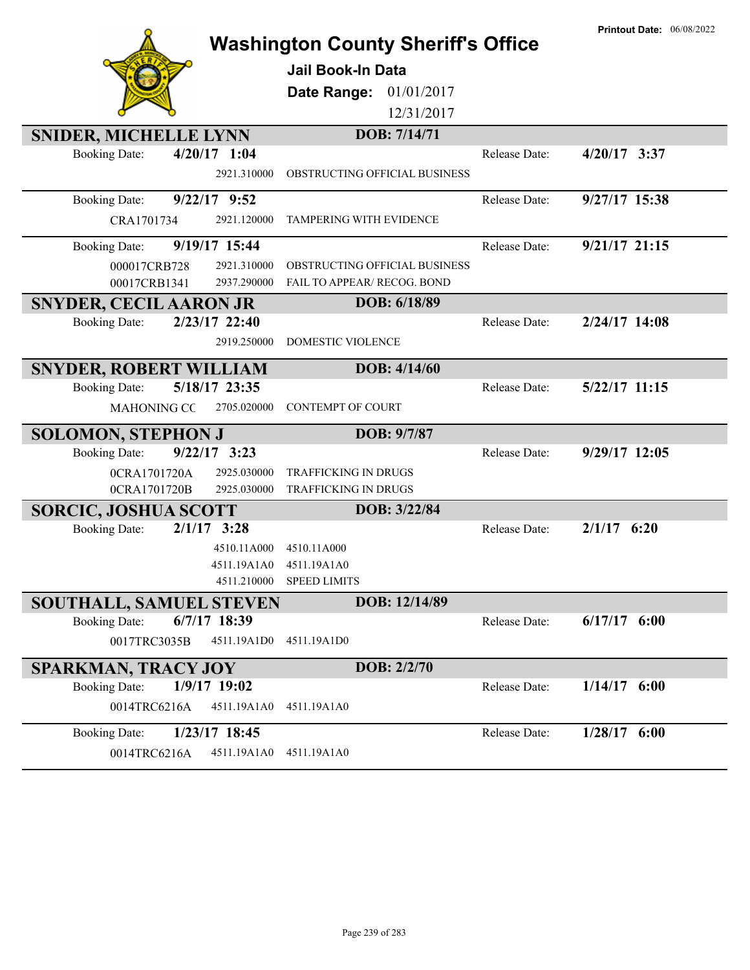|                                          | <b>Washington County Sheriff's Office</b> |               | <b>Printout Date: 06/08/2022</b> |
|------------------------------------------|-------------------------------------------|---------------|----------------------------------|
|                                          | <b>Jail Book-In Data</b>                  |               |                                  |
|                                          |                                           |               |                                  |
|                                          | 01/01/2017<br>Date Range:                 |               |                                  |
|                                          | 12/31/2017                                |               |                                  |
| <b>SNIDER, MICHELLE LYNN</b>             | DOB: 7/14/71                              |               |                                  |
| $4/20/17$ 1:04<br><b>Booking Date:</b>   |                                           | Release Date: | $4/20/17$ 3:37                   |
| 2921.310000                              | OBSTRUCTING OFFICIAL BUSINESS             |               |                                  |
| $9/22/17$ $9:52$<br><b>Booking Date:</b> |                                           | Release Date: | 9/27/17 15:38                    |
| CRA1701734<br>2921.120000                | TAMPERING WITH EVIDENCE                   |               |                                  |
| 9/19/17 15:44<br><b>Booking Date:</b>    |                                           | Release Date: | $9/21/17$ 21:15                  |
| 2921.310000<br>000017CRB728              | OBSTRUCTING OFFICIAL BUSINESS             |               |                                  |
| 00017CRB1341<br>2937.290000              | FAIL TO APPEAR/ RECOG. BOND               |               |                                  |
| <b>SNYDER, CECIL AARON JR</b>            | DOB: 6/18/89                              |               |                                  |
| 2/23/17 22:40<br><b>Booking Date:</b>    |                                           | Release Date: | 2/24/17 14:08                    |
| 2919.250000                              | <b>DOMESTIC VIOLENCE</b>                  |               |                                  |
| <b>SNYDER, ROBERT WILLIAM</b>            | DOB: 4/14/60                              |               |                                  |
| 5/18/17 23:35<br><b>Booking Date:</b>    |                                           | Release Date: | $5/22/17$ 11:15                  |
| <b>MAHONING CC</b><br>2705.020000        | <b>CONTEMPT OF COURT</b>                  |               |                                  |
| <b>SOLOMON, STEPHON J</b>                | DOB: 9/7/87                               |               |                                  |
| $9/22/17$ 3:23<br><b>Booking Date:</b>   |                                           | Release Date: | 9/29/17 12:05                    |
| 0CRA1701720A<br>2925.030000              | <b>TRAFFICKING IN DRUGS</b>               |               |                                  |
| 0CRA1701720B<br>2925.030000              | TRAFFICKING IN DRUGS                      |               |                                  |
| <b>SORCIC, JOSHUA SCOTT</b>              | DOB: 3/22/84                              |               |                                  |
| 2/1/17<br>3:28<br><b>Booking Date:</b>   |                                           | Release Date: | $2/1/17$ 6:20                    |
| 4510.11A000                              | 4510.11A000                               |               |                                  |
| 4511.19A1A0                              | 4511.19A1A0                               |               |                                  |
| 4511.210000                              | <b>SPEED LIMITS</b>                       |               |                                  |
| SOUTHALL, SAMUEL STEVEN                  | DOB: 12/14/89                             |               |                                  |
| $6/7/17$ 18:39<br><b>Booking Date:</b>   |                                           | Release Date: | $6/17/17$ $6:00$                 |
| 0017TRC3035B<br>4511.19A1D0              | 4511.19A1D0                               |               |                                  |
| <b>SPARKMAN, TRACY JOY</b>               | DOB: 2/2/70                               |               |                                  |
| 1/9/17 19:02<br><b>Booking Date:</b>     |                                           | Release Date: | $1/14/17$ 6:00                   |
| 0014TRC6216A<br>4511.19A1A0              | 4511.19A1A0                               |               |                                  |
| 1/23/17 18:45<br><b>Booking Date:</b>    |                                           | Release Date: | $1/28/17$ 6:00                   |
| 0014TRC6216A<br>4511.19A1A0              | 4511.19A1A0                               |               |                                  |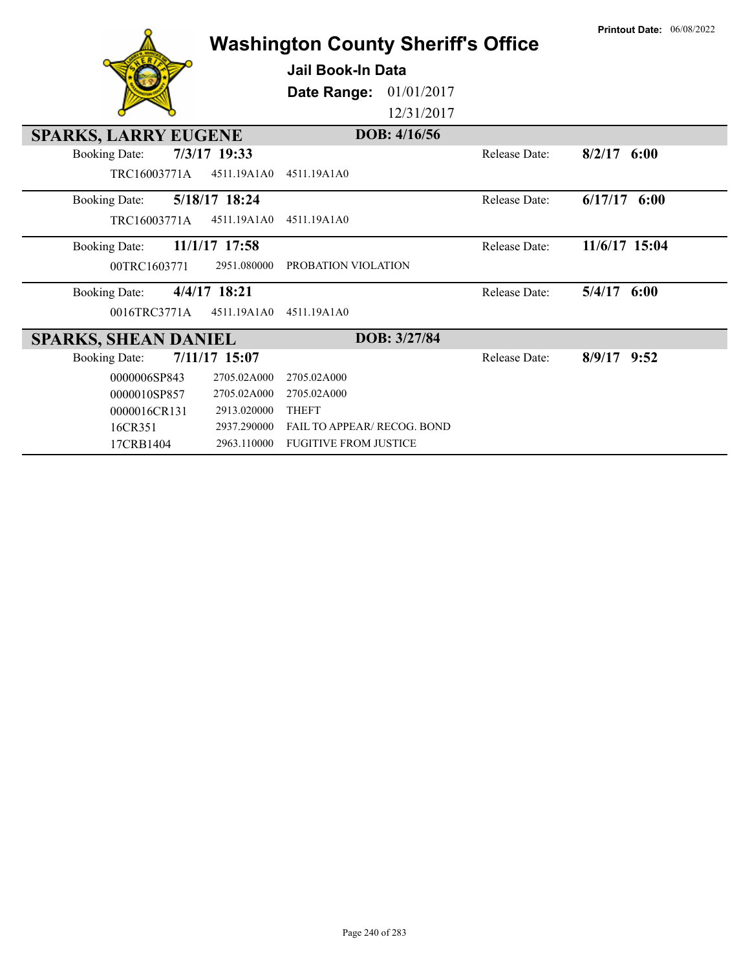| <b>Washington County Sheriff's Office</b> |                 |                                    |              |                      | <b>Printout Date: 06/08/2022</b> |
|-------------------------------------------|-----------------|------------------------------------|--------------|----------------------|----------------------------------|
|                                           |                 | Jail Book-In Data                  |              |                      |                                  |
|                                           |                 | Date Range:                        | 01/01/2017   |                      |                                  |
|                                           |                 |                                    | 12/31/2017   |                      |                                  |
| <b>SPARKS, LARRY EUGENE</b>               |                 |                                    | DOB: 4/16/56 |                      |                                  |
| <b>Booking Date:</b>                      | 7/3/17 19:33    |                                    |              | Release Date:        | $8/2/17$ 6:00                    |
| TRC16003771A                              | 4511.19A1A0     | 4511.19A1A0                        |              |                      |                                  |
| <b>Booking Date:</b>                      | 5/18/17 18:24   |                                    |              | <b>Release Date:</b> | $6/17/17$ $6:00$                 |
| TRC16003771A                              | 4511.19A1A0     | 4511.19A1A0                        |              |                      |                                  |
| <b>Booking Date:</b>                      | $11/1/17$ 17:58 |                                    |              | <b>Release Date:</b> | 11/6/17 15:04                    |
| 00TRC1603771                              | 2951.080000     | PROBATION VIOLATION                |              |                      |                                  |
| <b>Booking Date:</b>                      | 4/4/17 18:21    |                                    |              | <b>Release Date:</b> | $5/4/17$ $6:00$                  |
| 0016TRC3771A                              | 4511.19A1A0     | 4511.19A1A0                        |              |                      |                                  |
| <b>SPARKS, SHEAN DANIEL</b>               |                 |                                    | DOB: 3/27/84 |                      |                                  |
| <b>Booking Date:</b>                      | 7/11/17 15:07   |                                    |              | <b>Release Date:</b> | $8/9/17$ 9:52                    |
| 0000006SP843                              | 2705.02A000     | 2705.02A000                        |              |                      |                                  |
| 0000010SP857                              | 2705.02A000     | 2705.02A000                        |              |                      |                                  |
| 0000016CR131                              | 2913.020000     | <b>THEFT</b>                       |              |                      |                                  |
| 16CR351                                   | 2937.290000     | <b>FAIL TO APPEAR/ RECOG. BOND</b> |              |                      |                                  |
| 17CRB1404                                 | 2963.110000     | <b>FUGITIVE FROM JUSTICE</b>       |              |                      |                                  |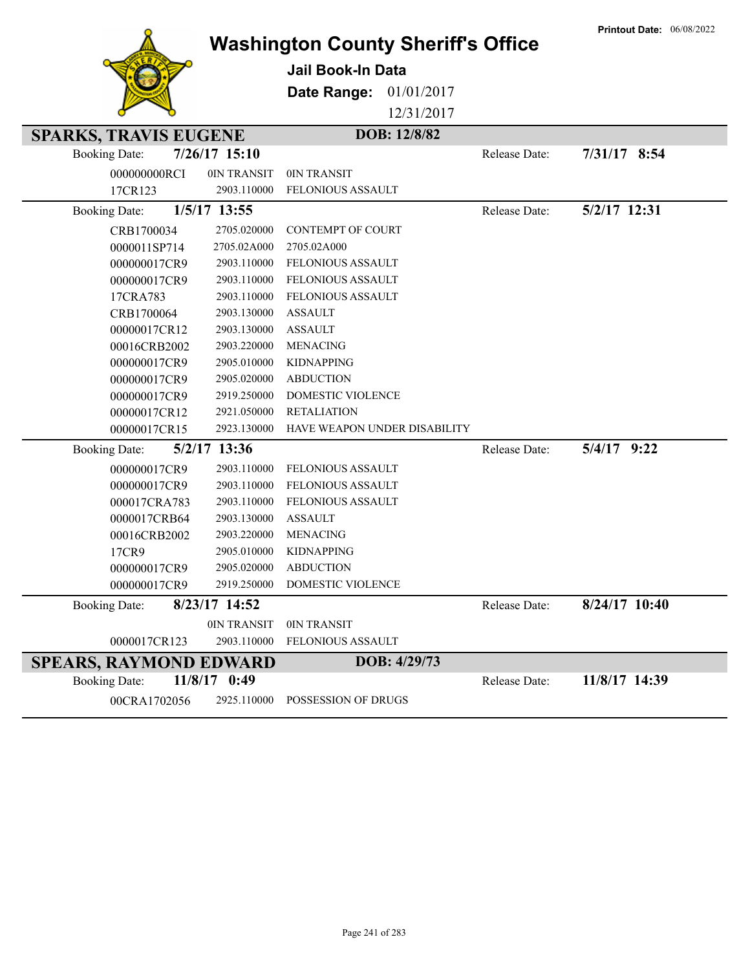|                                                      |                 | <b>Washington County Sheriff's Office</b> |               | <b>Printout Date: 06/08/2022</b> |
|------------------------------------------------------|-----------------|-------------------------------------------|---------------|----------------------------------|
|                                                      |                 | <b>Jail Book-In Data</b>                  |               |                                  |
|                                                      |                 | Date Range:<br>01/01/2017                 |               |                                  |
|                                                      |                 | 12/31/2017                                |               |                                  |
|                                                      |                 | DOB: 12/8/82                              |               |                                  |
| <b>SPARKS, TRAVIS EUGENE</b><br><b>Booking Date:</b> | $7/26/17$ 15:10 |                                           | Release Date: | 7/31/17 8:54                     |
|                                                      |                 |                                           |               |                                  |
| 000000000RCI                                         | 0IN TRANSIT     | 0IN TRANSIT                               |               |                                  |
| 17CR123                                              | 2903.110000     | FELONIOUS ASSAULT                         |               |                                  |
| <b>Booking Date:</b>                                 | 1/5/17 13:55    |                                           | Release Date: | 5/2/17 12:31                     |
| CRB1700034                                           | 2705.020000     | <b>CONTEMPT OF COURT</b>                  |               |                                  |
| 0000011SP714                                         | 2705.02A000     | 2705.02A000                               |               |                                  |
| 000000017CR9                                         | 2903.110000     | FELONIOUS ASSAULT                         |               |                                  |
| 000000017CR9                                         | 2903.110000     | FELONIOUS ASSAULT                         |               |                                  |
| 17CRA783                                             | 2903.110000     | <b>FELONIOUS ASSAULT</b>                  |               |                                  |
| CRB1700064                                           | 2903.130000     | <b>ASSAULT</b>                            |               |                                  |
| 00000017CR12                                         | 2903.130000     | <b>ASSAULT</b>                            |               |                                  |
| 00016CRB2002                                         | 2903.220000     | <b>MENACING</b>                           |               |                                  |
| 000000017CR9                                         | 2905.010000     | <b>KIDNAPPING</b>                         |               |                                  |
| 000000017CR9                                         | 2905.020000     | <b>ABDUCTION</b>                          |               |                                  |
| 000000017CR9                                         | 2919.250000     | DOMESTIC VIOLENCE                         |               |                                  |
| 00000017CR12                                         | 2921.050000     | <b>RETALIATION</b>                        |               |                                  |
| 00000017CR15                                         | 2923.130000     | HAVE WEAPON UNDER DISABILITY              |               |                                  |
| <b>Booking Date:</b>                                 | 5/2/17 13:36    |                                           | Release Date: | $5/4/17$ 9:22                    |
| 000000017CR9                                         | 2903.110000     | FELONIOUS ASSAULT                         |               |                                  |
| 000000017CR9                                         | 2903.110000     | FELONIOUS ASSAULT                         |               |                                  |
| 000017CRA783                                         | 2903.110000     | <b>FELONIOUS ASSAULT</b>                  |               |                                  |
| 0000017CRB64                                         | 2903.130000     | <b>ASSAULT</b>                            |               |                                  |
| 00016CRB2002                                         | 2903.220000     | <b>MENACING</b>                           |               |                                  |
| 17CR9                                                | 2905.010000     | <b>KIDNAPPING</b>                         |               |                                  |
| 000000017CR9                                         | 2905.020000     | <b>ABDUCTION</b>                          |               |                                  |
| 000000017CR9                                         | 2919.250000     | DOMESTIC VIOLENCE                         |               |                                  |
| <b>Booking Date:</b>                                 | 8/23/17 14:52   |                                           | Release Date: | 8/24/17 10:40                    |
|                                                      | 0IN TRANSIT     | 0IN TRANSIT                               |               |                                  |
| 0000017CR123                                         | 2903.110000     | FELONIOUS ASSAULT                         |               |                                  |
| <b>SPEARS, RAYMOND EDWARD</b>                        |                 | DOB: 4/29/73                              |               |                                  |
| <b>Booking Date:</b>                                 | $11/8/17$ 0:49  |                                           | Release Date: | 11/8/17 14:39                    |
| 00CRA1702056                                         | 2925.110000     | POSSESSION OF DRUGS                       |               |                                  |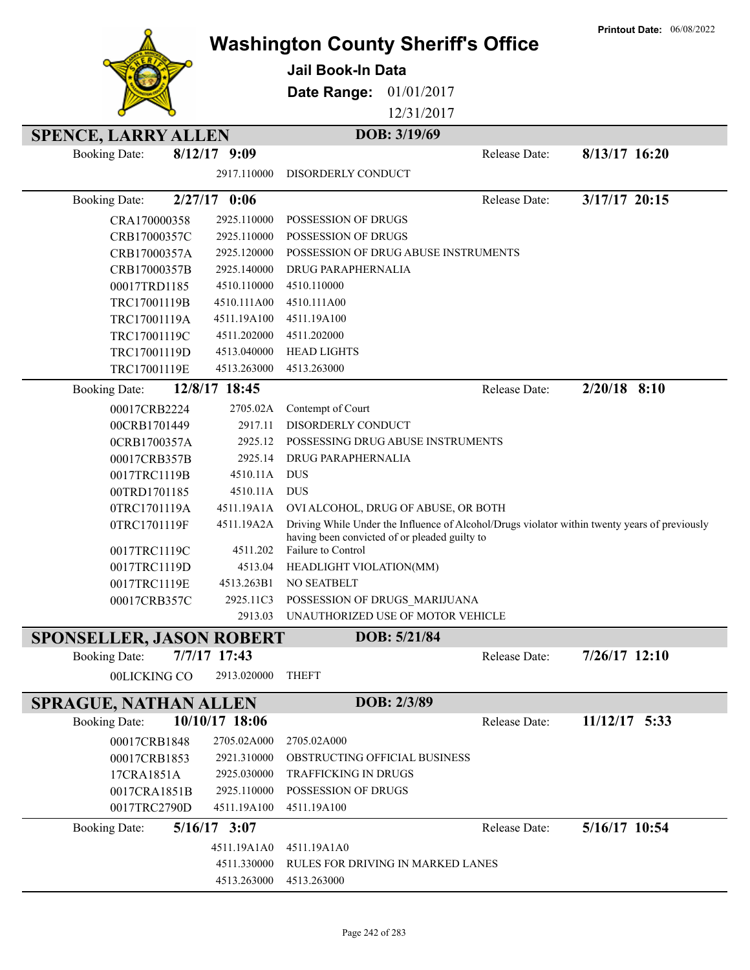|                                 |                            |                                               |                                                                                               | <b>Printout Date: 06/08/2022</b> |
|---------------------------------|----------------------------|-----------------------------------------------|-----------------------------------------------------------------------------------------------|----------------------------------|
|                                 |                            |                                               | <b>Washington County Sheriff's Office</b>                                                     |                                  |
|                                 |                            | <b>Jail Book-In Data</b>                      |                                                                                               |                                  |
|                                 |                            | Date Range:                                   | 01/01/2017                                                                                    |                                  |
|                                 |                            |                                               | 12/31/2017                                                                                    |                                  |
|                                 |                            |                                               |                                                                                               |                                  |
| <b>SPENCE, LARRY ALLEN</b>      |                            | DOB: 3/19/69                                  |                                                                                               |                                  |
| <b>Booking Date:</b>            | $8/12/17$ 9:09             |                                               | Release Date:                                                                                 | $8/13/17$ 16:20                  |
|                                 | 2917.110000                | DISORDERLY CONDUCT                            |                                                                                               |                                  |
| <b>Booking Date:</b>            | $2/27/17$ 0:06             |                                               | Release Date:                                                                                 | $3/17/17$ 20:15                  |
| CRA170000358                    | 2925.110000                | <b>POSSESSION OF DRUGS</b>                    |                                                                                               |                                  |
| CRB17000357C                    | 2925.110000                | POSSESSION OF DRUGS                           |                                                                                               |                                  |
| CRB17000357A                    | 2925.120000                |                                               | POSSESSION OF DRUG ABUSE INSTRUMENTS                                                          |                                  |
| CRB17000357B                    | 2925.140000                | DRUG PARAPHERNALIA                            |                                                                                               |                                  |
| 00017TRD1185                    | 4510.110000                | 4510.110000                                   |                                                                                               |                                  |
| TRC17001119B                    | 4510.111A00                | 4510.111A00                                   |                                                                                               |                                  |
| TRC17001119A                    | 4511.19A100                | 4511.19A100                                   |                                                                                               |                                  |
| TRC17001119C                    | 4511.202000                | 4511.202000                                   |                                                                                               |                                  |
| TRC17001119D                    | 4513.040000                | <b>HEAD LIGHTS</b>                            |                                                                                               |                                  |
| TRC17001119E                    | 4513.263000                | 4513.263000                                   |                                                                                               |                                  |
| <b>Booking Date:</b>            | 12/8/17 18:45              |                                               | Release Date:                                                                                 | $2/20/18$ 8:10                   |
| 00017CRB2224                    | 2705.02A                   | Contempt of Court                             |                                                                                               |                                  |
| 00CRB1701449                    | 2917.11                    | DISORDERLY CONDUCT                            |                                                                                               |                                  |
| 0CRB1700357A                    | 2925.12                    | POSSESSING DRUG ABUSE INSTRUMENTS             |                                                                                               |                                  |
| 00017CRB357B                    | 2925.14                    | DRUG PARAPHERNALIA                            |                                                                                               |                                  |
| 0017TRC1119B                    | 4510.11A                   | <b>DUS</b>                                    |                                                                                               |                                  |
| 00TRD1701185                    | 4510.11A                   | <b>DUS</b>                                    |                                                                                               |                                  |
| 0TRC1701119A                    | 4511.19A1A                 | OVI ALCOHOL, DRUG OF ABUSE, OR BOTH           |                                                                                               |                                  |
| 0TRC1701119F                    | 4511.19A2A                 |                                               | Driving While Under the Influence of Alcohol/Drugs violator within twenty years of previously |                                  |
|                                 |                            | having been convicted of or pleaded guilty to |                                                                                               |                                  |
| 0017TRC1119C                    | 4511.202                   | Failure to Control                            |                                                                                               |                                  |
| 0017TRC1119D                    | 4513.04                    | HEADLIGHT VIOLATION(MM)                       |                                                                                               |                                  |
| 0017TRC1119E                    | 4513.263B1                 | NO SEATBELT                                   |                                                                                               |                                  |
| 00017CRB357C                    | 2925.11C3                  | POSSESSION OF DRUGS_MARIJUANA                 |                                                                                               |                                  |
|                                 | 2913.03                    | UNAUTHORIZED USE OF MOTOR VEHICLE             |                                                                                               |                                  |
| <b>SPONSELLER, JASON ROBERT</b> |                            |                                               | DOB: 5/21/84                                                                                  |                                  |
| <b>Booking Date:</b>            | 7/7/17 17:43               |                                               | Release Date:                                                                                 | $7/26/17$ 12:10                  |
| 00LICKING CO                    | 2913.020000                | <b>THEFT</b>                                  |                                                                                               |                                  |
| <b>SPRAGUE, NATHAN ALLEN</b>    |                            | DOB: 2/3/89                                   |                                                                                               |                                  |
| <b>Booking Date:</b>            | 10/10/17 18:06             |                                               | Release Date:                                                                                 | $11/12/17$ 5:33                  |
| 00017CRB1848                    | 2705.02A000                | 2705.02A000                                   |                                                                                               |                                  |
|                                 |                            | OBSTRUCTING OFFICIAL BUSINESS                 |                                                                                               |                                  |
| 00017CRB1853<br>17CRA1851A      | 2921.310000<br>2925.030000 | <b>TRAFFICKING IN DRUGS</b>                   |                                                                                               |                                  |
| 0017CRA1851B                    | 2925.110000                | POSSESSION OF DRUGS                           |                                                                                               |                                  |
| 0017TRC2790D                    | 4511.19A100                | 4511.19A100                                   |                                                                                               |                                  |
|                                 |                            |                                               |                                                                                               |                                  |
| <b>Booking Date:</b>            | $5/16/17$ 3:07             |                                               | Release Date:                                                                                 | 5/16/17 10:54                    |
|                                 | 4511.19A1A0                | 4511.19A1A0                                   |                                                                                               |                                  |
|                                 | 4511.330000                | RULES FOR DRIVING IN MARKED LANES             |                                                                                               |                                  |
|                                 | 4513.263000                | 4513.263000                                   |                                                                                               |                                  |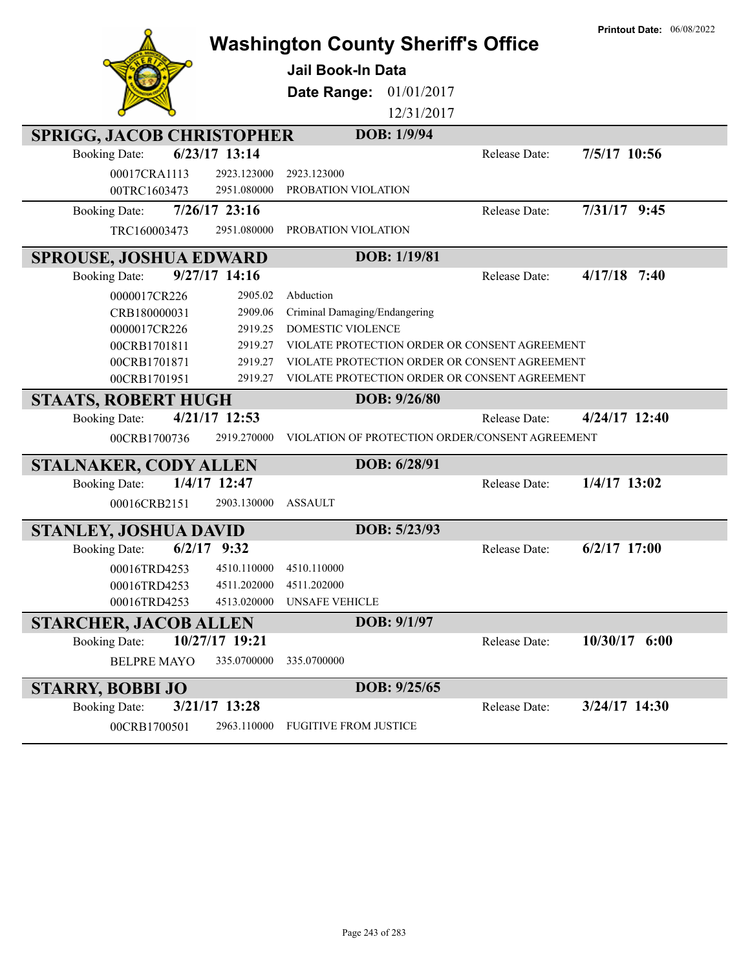|                                  |                 | <b>Washington County Sheriff's Office</b> |              |                                                 | <b>Printout Date: 06/08/2022</b> |
|----------------------------------|-----------------|-------------------------------------------|--------------|-------------------------------------------------|----------------------------------|
|                                  |                 | <b>Jail Book-In Data</b>                  |              |                                                 |                                  |
|                                  |                 | Date Range: 01/01/2017                    |              |                                                 |                                  |
|                                  |                 |                                           |              |                                                 |                                  |
|                                  |                 |                                           | 12/31/2017   |                                                 |                                  |
| <b>SPRIGG, JACOB CHRISTOPHER</b> |                 |                                           | DOB: 1/9/94  |                                                 |                                  |
| <b>Booking Date:</b>             | 6/23/17 13:14   |                                           |              | Release Date:                                   | 7/5/17 10:56                     |
| 00017CRA1113                     | 2923.123000     | 2923.123000                               |              |                                                 |                                  |
| 00TRC1603473                     | 2951.080000     | PROBATION VIOLATION                       |              |                                                 |                                  |
| <b>Booking Date:</b>             | $7/26/17$ 23:16 |                                           |              | Release Date:                                   | 7/31/17 9:45                     |
| TRC160003473                     | 2951.080000     | PROBATION VIOLATION                       |              |                                                 |                                  |
| <b>SPROUSE, JOSHUA EDWARD</b>    |                 |                                           | DOB: 1/19/81 |                                                 |                                  |
| <b>Booking Date:</b>             | 9/27/17 14:16   |                                           |              | Release Date:                                   | $4/17/18$ 7:40                   |
| 0000017CR226                     | 2905.02         | Abduction                                 |              |                                                 |                                  |
| CRB180000031                     | 2909.06         | Criminal Damaging/Endangering             |              |                                                 |                                  |
| 0000017CR226                     | 2919.25         | DOMESTIC VIOLENCE                         |              |                                                 |                                  |
| 00CRB1701811                     | 2919.27         |                                           |              | VIOLATE PROTECTION ORDER OR CONSENT AGREEMENT   |                                  |
| 00CRB1701871                     | 2919.27         |                                           |              | VIOLATE PROTECTION ORDER OR CONSENT AGREEMENT   |                                  |
| 00CRB1701951                     | 2919.27         |                                           |              | VIOLATE PROTECTION ORDER OR CONSENT AGREEMENT   |                                  |
| <b>STAATS, ROBERT HUGH</b>       |                 |                                           | DOB: 9/26/80 |                                                 |                                  |
| <b>Booking Date:</b>             | 4/21/17 12:53   |                                           |              | <b>Release Date:</b>                            | $4/24/17$ 12:40                  |
| 00CRB1700736                     | 2919.270000     |                                           |              | VIOLATION OF PROTECTION ORDER/CONSENT AGREEMENT |                                  |
| <b>STALNAKER, CODY ALLEN</b>     |                 |                                           | DOB: 6/28/91 |                                                 |                                  |
| <b>Booking Date:</b>             | 1/4/17 12:47    |                                           |              | Release Date:                                   | $1/4/17$ 13:02                   |
| 00016CRB2151                     | 2903.130000     | <b>ASSAULT</b>                            |              |                                                 |                                  |
| <b>STANLEY, JOSHUA DAVID</b>     |                 |                                           | DOB: 5/23/93 |                                                 |                                  |
| <b>Booking Date:</b>             | $6/2/17$ 9:32   |                                           |              | Release Date:                                   | $6/2/17$ 17:00                   |
| 00016TRD4253                     | 4510.110000     | 4510.110000                               |              |                                                 |                                  |
| 00016TRD4253                     | 4511.202000     | 4511.202000                               |              |                                                 |                                  |
| 00016TRD4253                     | 4513.020000     | <b>UNSAFE VEHICLE</b>                     |              |                                                 |                                  |
| <b>STARCHER, JACOB ALLEN</b>     |                 |                                           | DOB: 9/1/97  |                                                 |                                  |
| <b>Booking Date:</b>             | 10/27/17 19:21  |                                           |              | Release Date:                                   | 10/30/17 6:00                    |
| <b>BELPRE MAYO</b>               | 335.0700000     | 335.0700000                               |              |                                                 |                                  |
| <b>STARRY, BOBBI JO</b>          |                 |                                           | DOB: 9/25/65 |                                                 |                                  |
| <b>Booking Date:</b>             | 3/21/17 13:28   |                                           |              | Release Date:                                   | 3/24/17 14:30                    |
| 00CRB1700501                     | 2963.110000     | <b>FUGITIVE FROM JUSTICE</b>              |              |                                                 |                                  |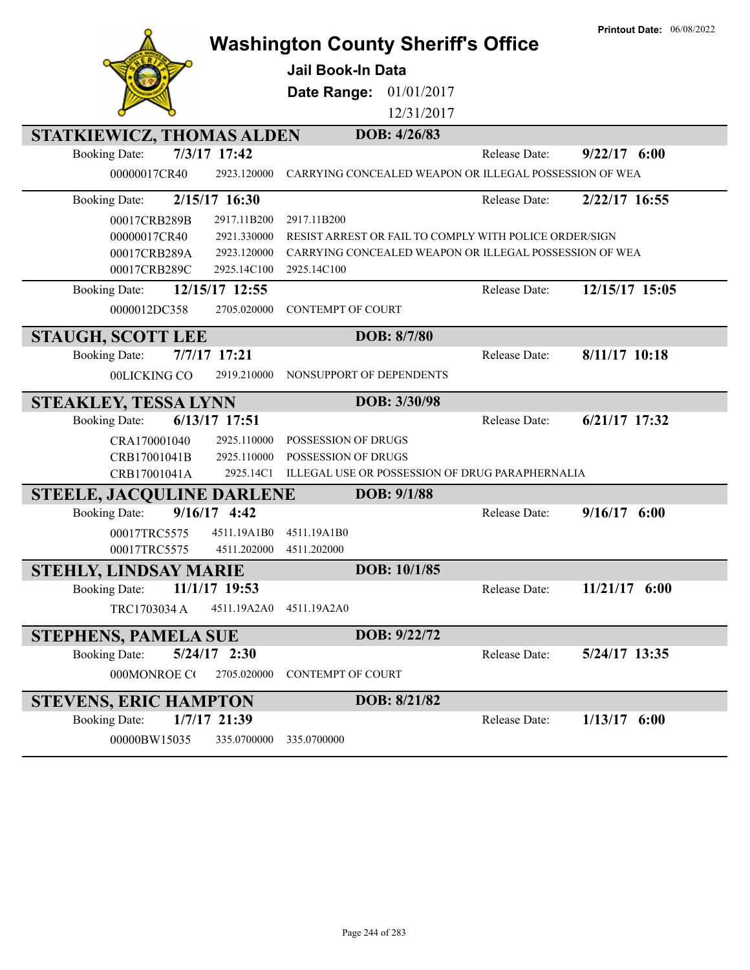|                                                                      | <b>Washington County Sheriff's Office</b>              |               | <b>Printout Date: 06/08/2022</b> |
|----------------------------------------------------------------------|--------------------------------------------------------|---------------|----------------------------------|
|                                                                      | Jail Book-In Data                                      |               |                                  |
|                                                                      | 01/01/2017<br>Date Range:                              |               |                                  |
|                                                                      | 12/31/2017                                             |               |                                  |
|                                                                      |                                                        |               |                                  |
| STATKIEWICZ, THOMAS ALDEN                                            | DOB: 4/26/83                                           |               |                                  |
| 7/3/17 17:42<br><b>Booking Date:</b>                                 |                                                        | Release Date: | $9/22/17$ 6:00                   |
| 00000017CR40<br>2923.120000                                          | CARRYING CONCEALED WEAPON OR ILLEGAL POSSESSION OF WEA |               |                                  |
| 2/15/17 16:30<br><b>Booking Date:</b>                                |                                                        | Release Date: | 2/22/17 16:55                    |
| 00017CRB289B<br>2917.11B200                                          | 2917.11B200                                            |               |                                  |
| 2921.330000<br>00000017CR40                                          | RESIST ARREST OR FAIL TO COMPLY WITH POLICE ORDER/SIGN |               |                                  |
| 2923.120000<br>00017CRB289A                                          | CARRYING CONCEALED WEAPON OR ILLEGAL POSSESSION OF WEA |               |                                  |
| 2925.14C100<br>00017CRB289C                                          | 2925.14C100                                            |               |                                  |
| 12/15/17 12:55<br><b>Booking Date:</b>                               |                                                        | Release Date: | 12/15/17 15:05                   |
| 0000012DC358<br>2705.020000                                          | <b>CONTEMPT OF COURT</b>                               |               |                                  |
| <b>STAUGH, SCOTT LEE</b>                                             | DOB: 8/7/80                                            |               |                                  |
| 7/7/17 17:21<br><b>Booking Date:</b>                                 |                                                        | Release Date: | 8/11/17 10:18                    |
| 00LICKING CO<br>2919.210000                                          | NONSUPPORT OF DEPENDENTS                               |               |                                  |
|                                                                      |                                                        |               |                                  |
|                                                                      | DOB: 3/30/98                                           |               |                                  |
| <b>STEAKLEY, TESSA LYNN</b><br>6/13/17 17:51<br><b>Booking Date:</b> |                                                        | Release Date: | $6/21/17$ 17:32                  |
| CRA170001040<br>2925.110000                                          | POSSESSION OF DRUGS                                    |               |                                  |
| CRB17001041B<br>2925.110000                                          | POSSESSION OF DRUGS                                    |               |                                  |
| CRB17001041A<br>2925.14C1                                            | ILLEGAL USE OR POSSESSION OF DRUG PARAPHERNALIA        |               |                                  |
| <b>STEELE, JACQULINE DARLENE</b>                                     | DOB: 9/1/88                                            |               |                                  |
| $9/16/17$ 4:42<br><b>Booking Date:</b>                               |                                                        | Release Date: | $9/16/17$ 6:00                   |
| 00017TRC5575<br>4511.19A1B0                                          | 4511.19A1B0                                            |               |                                  |
| 00017TRC5575<br>4511.202000                                          | 4511.202000                                            |               |                                  |
| STEHLY, LINDSAY MARIE                                                | DOB: 10/1/85                                           |               |                                  |
| 11/1/17 19:53<br><b>Booking Date:</b>                                |                                                        | Release Date: | $11/21/17$ 6:00                  |
| TRC1703034 A<br>4511.19A2A0                                          | 4511.19A2A0                                            |               |                                  |
| <b>STEPHENS, PAMELA SUE</b>                                          | DOB: 9/22/72                                           |               |                                  |
| $5/24/17$ 2:30<br><b>Booking Date:</b>                               |                                                        | Release Date: | 5/24/17 13:35                    |
| 2705.020000<br>000MONROE CO                                          | <b>CONTEMPT OF COURT</b>                               |               |                                  |
|                                                                      | DOB: 8/21/82                                           |               |                                  |
| <b>STEVENS, ERIC HAMPTON</b><br>1/7/17 21:39<br><b>Booking Date:</b> |                                                        | Release Date: | $1/13/17$ 6:00                   |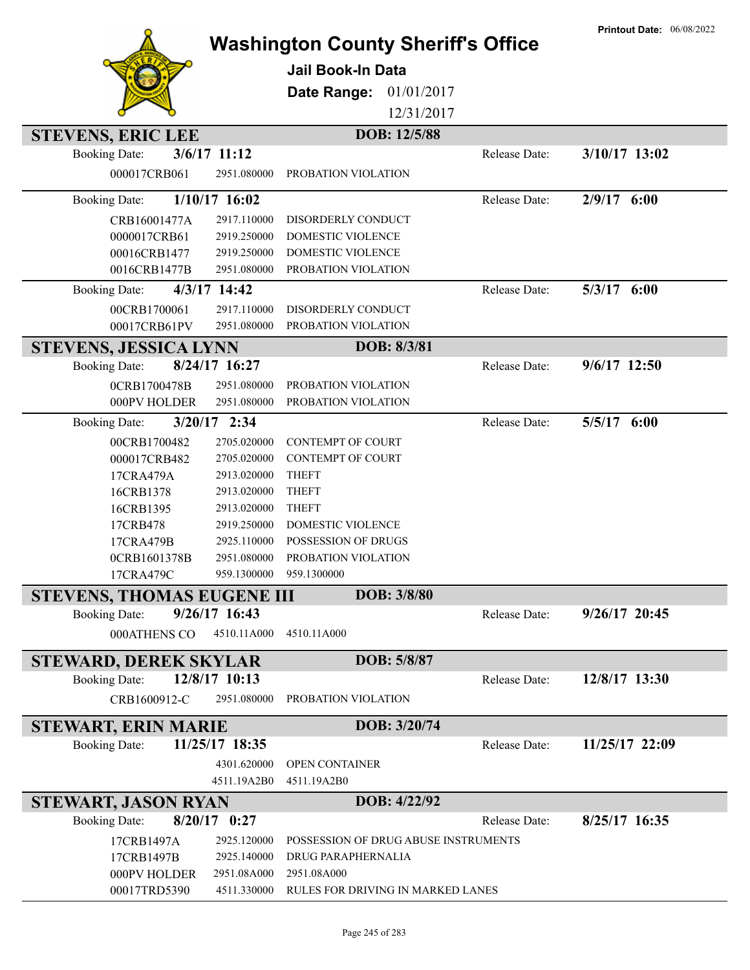|                                         | <b>Washington County Sheriff's Office</b> |               | <b>Printout Date: 06/08/2022</b> |
|-----------------------------------------|-------------------------------------------|---------------|----------------------------------|
|                                         |                                           |               |                                  |
|                                         | <b>Jail Book-In Data</b>                  |               |                                  |
|                                         | Date Range:<br>01/01/2017                 |               |                                  |
|                                         | 12/31/2017                                |               |                                  |
| <b>STEVENS, ERIC LEE</b>                | DOB: 12/5/88                              |               |                                  |
| 3/6/17 11:12<br><b>Booking Date:</b>    |                                           | Release Date: | 3/10/17 13:02                    |
| 000017CRB061<br>2951.080000             | PROBATION VIOLATION                       |               |                                  |
| $1/10/17$ 16:02<br><b>Booking Date:</b> |                                           | Release Date: | $2/9/17$ 6:00                    |
| 2917.110000<br>CRB16001477A             | DISORDERLY CONDUCT                        |               |                                  |
| 2919.250000<br>0000017CRB61             | DOMESTIC VIOLENCE                         |               |                                  |
| 00016CRB1477<br>2919.250000             | DOMESTIC VIOLENCE                         |               |                                  |
| 2951.080000<br>0016CRB1477B             | PROBATION VIOLATION                       |               |                                  |
| 4/3/17 14:42<br><b>Booking Date:</b>    |                                           | Release Date: | $5/3/17$ $6:00$                  |
| 00CRB1700061<br>2917.110000             | DISORDERLY CONDUCT                        |               |                                  |
| 00017CRB61PV<br>2951.080000             | PROBATION VIOLATION                       |               |                                  |
| <b>STEVENS, JESSICA LYNN</b>            | DOB: 8/3/81                               |               |                                  |
| 8/24/17 16:27<br><b>Booking Date:</b>   |                                           | Release Date: | 9/6/17 12:50                     |
| 2951.080000<br>0CRB1700478B             | PROBATION VIOLATION                       |               |                                  |
| 2951.080000<br>000PV HOLDER             | PROBATION VIOLATION                       |               |                                  |
| $3/20/17$ 2:34<br><b>Booking Date:</b>  |                                           | Release Date: | 5/5/17 6:00                      |
| 2705.020000<br>00CRB1700482             | <b>CONTEMPT OF COURT</b>                  |               |                                  |
| 2705.020000<br>000017CRB482             | <b>CONTEMPT OF COURT</b>                  |               |                                  |
| 2913.020000<br>17CRA479A                | <b>THEFT</b>                              |               |                                  |
| 2913.020000<br>16CRB1378                | <b>THEFT</b>                              |               |                                  |
| 2913.020000<br>16CRB1395                | <b>THEFT</b>                              |               |                                  |
| 17CRB478<br>2919.250000                 | DOMESTIC VIOLENCE                         |               |                                  |
| 2925.110000<br>17CRA479B                | POSSESSION OF DRUGS                       |               |                                  |
| 2951.080000<br>0CRB1601378B             | PROBATION VIOLATION                       |               |                                  |
| 959.1300000<br>17CRA479C                | 959.1300000                               |               |                                  |
| <b>STEVENS, THOMAS EUGENE III</b>       | DOB: 3/8/80                               |               |                                  |
| 9/26/17 16:43<br><b>Booking Date:</b>   |                                           | Release Date: | $9/26/17$ 20:45                  |
| 000ATHENS CO<br>4510.11A000             | 4510.11A000                               |               |                                  |
| <b>STEWARD, DEREK SKYLAR</b>            | DOB: 5/8/87                               |               |                                  |
| 12/8/17 10:13<br><b>Booking Date:</b>   |                                           | Release Date: | 12/8/17 13:30                    |
| CRB1600912-C<br>2951.080000             | PROBATION VIOLATION                       |               |                                  |
| <b>STEWART, ERIN MARIE</b>              | DOB: 3/20/74                              |               |                                  |
| 11/25/17 18:35<br><b>Booking Date:</b>  |                                           | Release Date: | 11/25/17 22:09                   |
| 4301.620000                             | OPEN CONTAINER                            |               |                                  |
| 4511.19A2B0                             | 4511.19A2B0                               |               |                                  |
| STEWART, JASON RYAN                     | DOB: 4/22/92                              |               |                                  |
| $8/20/17$ 0:27<br><b>Booking Date:</b>  |                                           | Release Date: | 8/25/17 16:35                    |
| 17CRB1497A<br>2925.120000               | POSSESSION OF DRUG ABUSE INSTRUMENTS      |               |                                  |
| 17CRB1497B<br>2925.140000               | DRUG PARAPHERNALIA                        |               |                                  |
| 2951.08A000<br>000PV HOLDER             | 2951.08A000                               |               |                                  |
| 00017TRD5390<br>4511.330000             | RULES FOR DRIVING IN MARKED LANES         |               |                                  |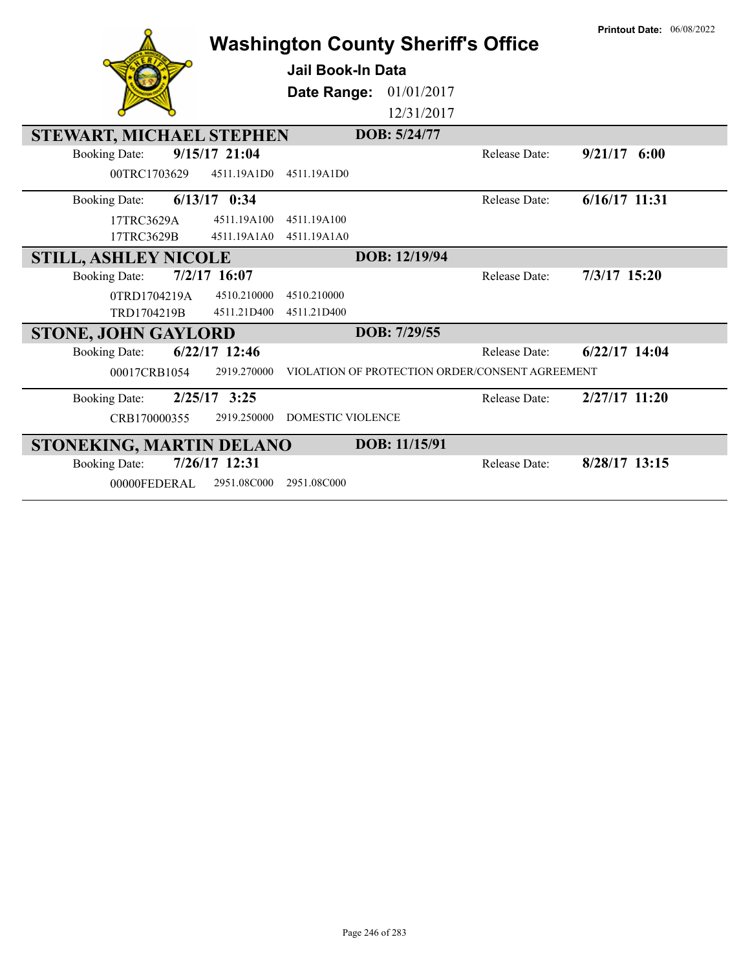|                                        |                 | <b>Washington County Sheriff's Office</b> |               |                                                 | <b>Printout Date: 06/08/2022</b> |
|----------------------------------------|-----------------|-------------------------------------------|---------------|-------------------------------------------------|----------------------------------|
|                                        |                 | Jail Book-In Data                         |               |                                                 |                                  |
|                                        |                 | Date Range:                               | 01/01/2017    |                                                 |                                  |
|                                        |                 |                                           | 12/31/2017    |                                                 |                                  |
| STEWART, MICHAEL STEPHEN               |                 |                                           | DOB: 5/24/77  |                                                 |                                  |
| <b>Booking Date:</b>                   | 9/15/17 21:04   |                                           |               | Release Date:                                   | $9/21/17$ 6:00                   |
| 00TRC1703629                           | 4511.19A1D0     | 4511.19A1D0                               |               |                                                 |                                  |
| <b>Booking Date:</b>                   | $6/13/17$ 0:34  |                                           |               | Release Date:                                   | 6/16/17 11:31                    |
| 17TRC3629A                             | 4511.19A100     | 4511.19A100                               |               |                                                 |                                  |
| 17TRC3629B                             | 4511.19A1A0     | 4511.19A1A0                               |               |                                                 |                                  |
| <b>STILL, ASHLEY NICOLE</b>            |                 |                                           | DOB: 12/19/94 |                                                 |                                  |
| $7/2/17$ 16:07<br><b>Booking Date:</b> |                 |                                           |               | <b>Release Date:</b>                            | 7/3/17 15:20                     |
| 0TRD1704219A                           | 4510.210000     | 4510.210000                               |               |                                                 |                                  |
| TRD1704219B                            | 4511.21D400     | 4511.21D400                               |               |                                                 |                                  |
| <b>STONE, JOHN GAYLORD</b>             |                 |                                           | DOB: 7/29/55  |                                                 |                                  |
| <b>Booking Date:</b>                   | $6/22/17$ 12:46 |                                           |               | Release Date:                                   | $6/22/17$ 14:04                  |
| 00017CRB1054                           | 2919.270000     |                                           |               | VIOLATION OF PROTECTION ORDER/CONSENT AGREEMENT |                                  |
| <b>Booking Date:</b>                   | $2/25/17$ 3:25  |                                           |               | Release Date:                                   | 2/27/17 11:20                    |
| CRB170000355                           | 2919.250000     | <b>DOMESTIC VIOLENCE</b>                  |               |                                                 |                                  |
| STONEKING, MARTIN DELANO               |                 |                                           | DOB: 11/15/91 |                                                 |                                  |
| <b>Booking Date:</b>                   | 7/26/17 12:31   |                                           |               | <b>Release Date:</b>                            | 8/28/17 13:15                    |
| 00000FEDERAL                           | 2951.08C000     | 2951.08C000                               |               |                                                 |                                  |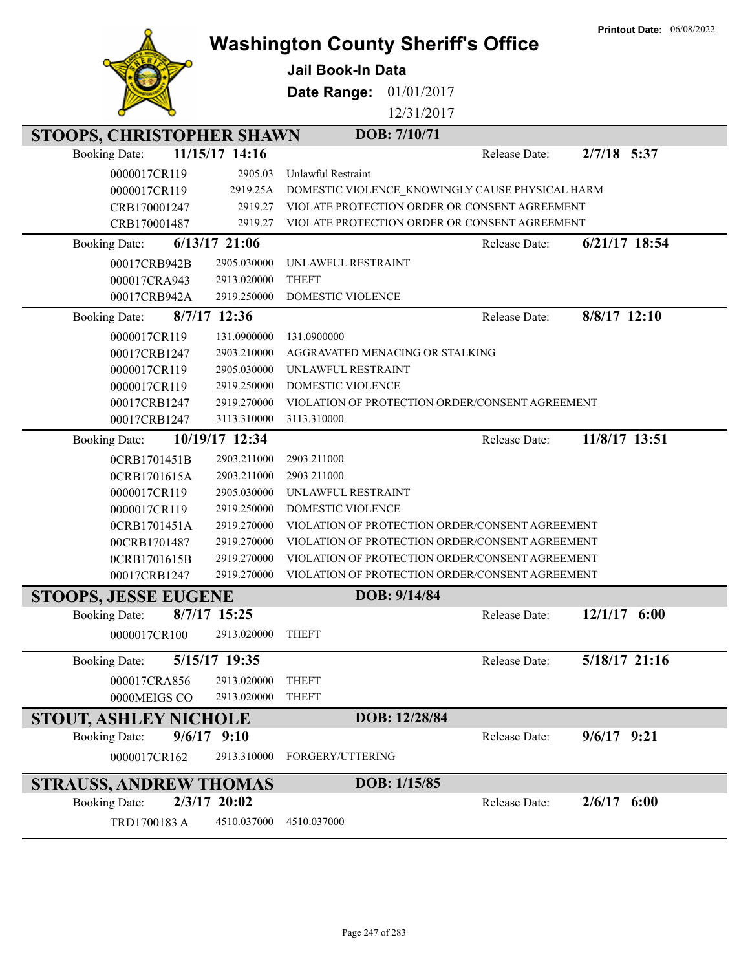|                                  |                 |                                                 |               | <b>Printout Date: 06/08/2022</b> |
|----------------------------------|-----------------|-------------------------------------------------|---------------|----------------------------------|
|                                  |                 | <b>Washington County Sheriff's Office</b>       |               |                                  |
|                                  |                 | <b>Jail Book-In Data</b>                        |               |                                  |
|                                  |                 | 01/01/2017<br>Date Range:                       |               |                                  |
|                                  |                 | 12/31/2017                                      |               |                                  |
| <b>STOOPS, CHRISTOPHER SHAWN</b> |                 | DOB: 7/10/71                                    |               |                                  |
| <b>Booking Date:</b>             | 11/15/17 14:16  |                                                 | Release Date: | 2/7/18 5:37                      |
| 0000017CR119                     | 2905.03         | Unlawful Restraint                              |               |                                  |
| 0000017CR119                     | 2919.25A        | DOMESTIC VIOLENCE_KNOWINGLY CAUSE PHYSICAL HARM |               |                                  |
| CRB170001247                     | 2919.27         | VIOLATE PROTECTION ORDER OR CONSENT AGREEMENT   |               |                                  |
| CRB170001487                     | 2919.27         | VIOLATE PROTECTION ORDER OR CONSENT AGREEMENT   |               |                                  |
| <b>Booking Date:</b>             | $6/13/17$ 21:06 |                                                 | Release Date: | 6/21/17 18:54                    |
| 00017CRB942B                     | 2905.030000     | UNLAWFUL RESTRAINT                              |               |                                  |
| 000017CRA943                     | 2913.020000     | <b>THEFT</b>                                    |               |                                  |
| 00017CRB942A                     | 2919.250000     | DOMESTIC VIOLENCE                               |               |                                  |
| <b>Booking Date:</b>             | 8/7/17 12:36    |                                                 | Release Date: | 8/8/17 12:10                     |
| 0000017CR119                     | 131.0900000     | 131.0900000                                     |               |                                  |
| 00017CRB1247                     | 2903.210000     | AGGRAVATED MENACING OR STALKING                 |               |                                  |
| 0000017CR119                     | 2905.030000     | UNLAWFUL RESTRAINT                              |               |                                  |
| 0000017CR119                     | 2919.250000     | DOMESTIC VIOLENCE                               |               |                                  |
| 00017CRB1247                     | 2919.270000     | VIOLATION OF PROTECTION ORDER/CONSENT AGREEMENT |               |                                  |
| 00017CRB1247                     | 3113.310000     | 3113.310000                                     |               |                                  |
| <b>Booking Date:</b>             | 10/19/17 12:34  |                                                 | Release Date: | 11/8/17 13:51                    |
| 0CRB1701451B                     | 2903.211000     | 2903.211000                                     |               |                                  |
| 0CRB1701615A                     | 2903.211000     | 2903.211000                                     |               |                                  |
| 0000017CR119                     | 2905.030000     | UNLAWFUL RESTRAINT                              |               |                                  |
| 0000017CR119                     | 2919.250000     | <b>DOMESTIC VIOLENCE</b>                        |               |                                  |
| 0CRB1701451A                     | 2919.270000     | VIOLATION OF PROTECTION ORDER/CONSENT AGREEMENT |               |                                  |
| 00CRB1701487                     | 2919.270000     | VIOLATION OF PROTECTION ORDER/CONSENT AGREEMENT |               |                                  |
| 0CRB1701615B                     | 2919.270000     | VIOLATION OF PROTECTION ORDER/CONSENT AGREEMENT |               |                                  |
| 00017CRB1247                     | 2919.270000     | VIOLATION OF PROTECTION ORDER/CONSENT AGREEMENT |               |                                  |
| <b>STOOPS, JESSE EUGENE</b>      |                 | DOB: 9/14/84                                    |               |                                  |
| <b>Booking Date:</b>             | 8/7/17 15:25    |                                                 | Release Date: | $12/1/17$ 6:00                   |
| 0000017CR100                     | 2913.020000     | <b>THEFT</b>                                    |               |                                  |
| <b>Booking Date:</b>             | 5/15/17 19:35   |                                                 | Release Date: | 5/18/17 21:16                    |
| 000017CRA856                     | 2913.020000     | <b>THEFT</b>                                    |               |                                  |
| 0000MEIGS CO                     | 2913.020000     | <b>THEFT</b>                                    |               |                                  |
| <b>STOUT, ASHLEY NICHOLE</b>     |                 | DOB: 12/28/84                                   |               |                                  |
| <b>Booking Date:</b><br>9/6/17   | 9:10            |                                                 | Release Date: | $9/6/17$ $9:21$                  |
| 0000017CR162                     | 2913.310000     | FORGERY/UTTERING                                |               |                                  |
|                                  |                 |                                                 |               |                                  |
| <b>STRAUSS, ANDREW THOMAS</b>    |                 | DOB: 1/15/85                                    |               |                                  |
| <b>Booking Date:</b>             | 2/3/17 20:02    |                                                 | Release Date: | $2/6/17$ 6:00                    |
| TRD1700183 A                     | 4510.037000     | 4510.037000                                     |               |                                  |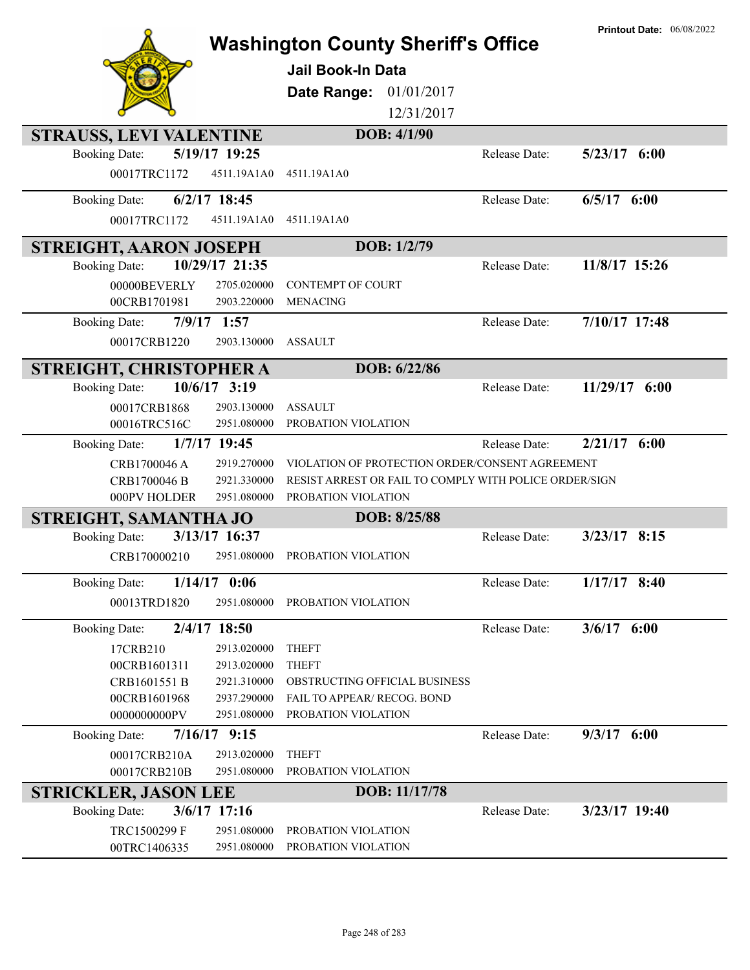|                               |                            | <b>Washington County Sheriff's Office</b><br><b>Jail Book-In Data</b><br>01/01/2017<br>Date Range:<br>12/31/2017 |               | <b>Printout Date: 06/08/2022</b> |
|-------------------------------|----------------------------|------------------------------------------------------------------------------------------------------------------|---------------|----------------------------------|
| STRAUSS, LEVI VALENTINE       |                            | DOB: 4/1/90                                                                                                      |               |                                  |
| <b>Booking Date:</b>          | 5/19/17 19:25              |                                                                                                                  | Release Date: | $5/23/17$ 6:00                   |
| 00017TRC1172                  | 4511.19A1A0                | 4511.19A1A0                                                                                                      |               |                                  |
| <b>Booking Date:</b>          | $6/2/17$ 18:45             |                                                                                                                  | Release Date: | $6/5/17$ $6:00$                  |
| 00017TRC1172                  | 4511.19A1A0                | 4511.19A1A0                                                                                                      |               |                                  |
| <b>STREIGHT, AARON JOSEPH</b> |                            | DOB: 1/2/79                                                                                                      |               |                                  |
| <b>Booking Date:</b>          | 10/29/17 21:35             |                                                                                                                  | Release Date: | 11/8/17 15:26                    |
| 00000BEVERLY<br>00CRB1701981  | 2705.020000<br>2903.220000 | <b>CONTEMPT OF COURT</b><br><b>MENACING</b>                                                                      |               |                                  |
| <b>Booking Date:</b>          | $7/9/17$ 1:57              |                                                                                                                  | Release Date: | 7/10/17 17:48                    |
| 00017CRB1220                  | 2903.130000                | <b>ASSAULT</b>                                                                                                   |               |                                  |
| STREIGHT, CHRISTOPHER A       |                            | DOB: 6/22/86                                                                                                     |               |                                  |
| <b>Booking Date:</b>          | 10/6/17 3:19               |                                                                                                                  | Release Date: | $11/29/17$ 6:00                  |
| 00017CRB1868                  | 2903.130000                | <b>ASSAULT</b>                                                                                                   |               |                                  |
| 00016TRC516C                  | 2951.080000                | PROBATION VIOLATION                                                                                              |               |                                  |
| <b>Booking Date:</b>          | 1/7/17 19:45               |                                                                                                                  | Release Date: | $2/21/17$ 6:00                   |
| CRB1700046 A                  | 2919.270000                | VIOLATION OF PROTECTION ORDER/CONSENT AGREEMENT                                                                  |               |                                  |
| CRB1700046 B<br>000PV HOLDER  | 2921.330000<br>2951.080000 | RESIST ARREST OR FAIL TO COMPLY WITH POLICE ORDER/SIGN<br>PROBATION VIOLATION                                    |               |                                  |
| STREIGHT, SAMANTHA JO         |                            | DOB: 8/25/88                                                                                                     |               |                                  |
| <b>Booking Date:</b>          | 3/13/17 16:37              |                                                                                                                  | Release Date: | $3/23/17$ 8:15                   |
| CRB170000210                  | 2951.080000                | PROBATION VIOLATION                                                                                              |               |                                  |
| <b>Booking Date:</b>          | $1/14/17$ 0:06             |                                                                                                                  | Release Date: | $1/17/17$ 8:40                   |
| 00013TRD1820                  | 2951.080000                | PROBATION VIOLATION                                                                                              |               |                                  |
| <b>Booking Date:</b>          | 2/4/17 18:50               |                                                                                                                  | Release Date: | $3/6/17$ 6:00                    |
| 17CRB210                      | 2913.020000                | <b>THEFT</b>                                                                                                     |               |                                  |
| 00CRB1601311                  | 2913.020000                | <b>THEFT</b>                                                                                                     |               |                                  |
| CRB1601551 B                  | 2921.310000                | OBSTRUCTING OFFICIAL BUSINESS                                                                                    |               |                                  |
| 00CRB1601968                  | 2937.290000                | FAIL TO APPEAR/ RECOG. BOND                                                                                      |               |                                  |
| 0000000000PV                  | 2951.080000                | PROBATION VIOLATION                                                                                              |               |                                  |
| <b>Booking Date:</b>          | $7/16/17$ 9:15             |                                                                                                                  | Release Date: | $9/3/17$ 6:00                    |
| 00017CRB210A                  | 2913.020000                | <b>THEFT</b>                                                                                                     |               |                                  |
| 00017CRB210B                  | 2951.080000                | PROBATION VIOLATION                                                                                              |               |                                  |
| <b>STRICKLER, JASON LEE</b>   |                            | DOB: 11/17/78                                                                                                    |               |                                  |
| <b>Booking Date:</b>          | 3/6/17 17:16               |                                                                                                                  | Release Date: | 3/23/17 19:40                    |
| TRC1500299 F<br>00TRC1406335  | 2951.080000<br>2951.080000 | PROBATION VIOLATION<br>PROBATION VIOLATION                                                                       |               |                                  |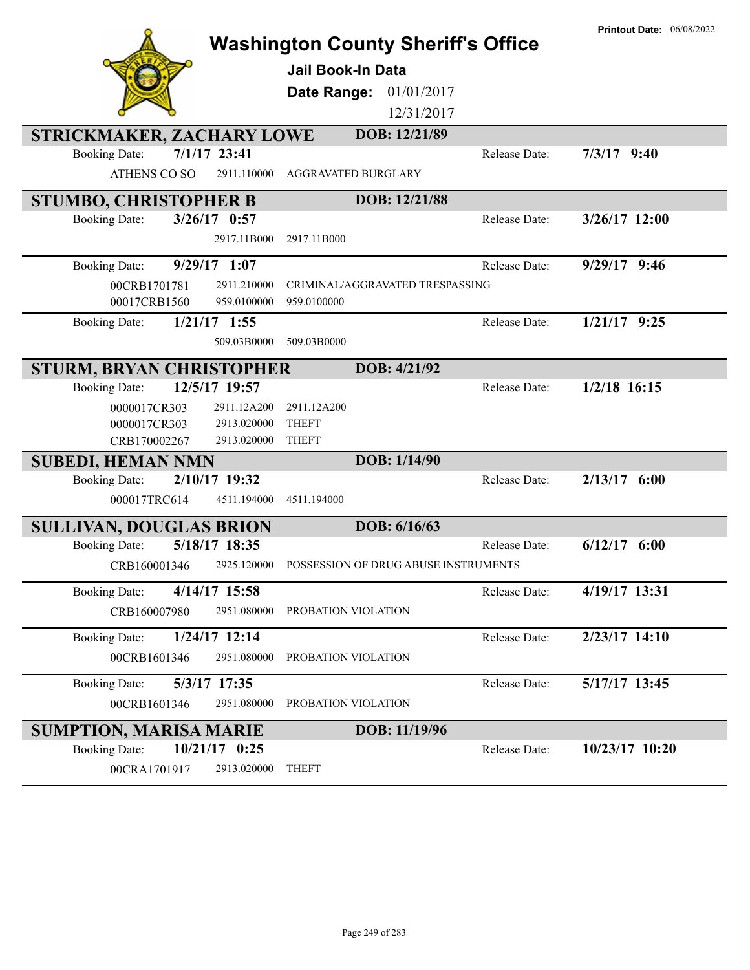|                                                                   | <b>Washington County Sheriff's Office</b> |                      | <b>Printout Date: 06/08/2022</b> |
|-------------------------------------------------------------------|-------------------------------------------|----------------------|----------------------------------|
|                                                                   | <b>Jail Book-In Data</b>                  |                      |                                  |
|                                                                   | Date Range:                               | 01/01/2017           |                                  |
|                                                                   |                                           | 12/31/2017           |                                  |
| STRICKMAKER, ZACHARY LOWE                                         | DOB: 12/21/89                             |                      |                                  |
| 7/1/17 23:41<br><b>Booking Date:</b>                              |                                           | Release Date:        | $7/3/17$ 9:40                    |
| ATHENS CO SO<br>2911.110000                                       | AGGRAVATED BURGLARY                       |                      |                                  |
| <b>STUMBO, CHRISTOPHER B</b>                                      | DOB: 12/21/88                             |                      |                                  |
| $3/26/17$ 0:57<br><b>Booking Date:</b>                            |                                           | Release Date:        | $3/26/17$ 12:00                  |
| 2917.11B000                                                       | 2917.11B000                               |                      |                                  |
| $9/29/17$ 1:07<br><b>Booking Date:</b>                            |                                           | Release Date:        | $9/29/17$ 9:46                   |
| 00CRB1701781<br>2911.210000                                       | CRIMINAL/AGGRAVATED TRESPASSING           |                      |                                  |
| 00017CRB1560<br>959.0100000                                       | 959.0100000                               |                      |                                  |
| $1/21/17$ 1:55<br><b>Booking Date:</b>                            |                                           | Release Date:        | $1/21/17$ 9:25                   |
| 509.03B0000                                                       | 509.03B0000                               |                      |                                  |
| <b>STURM, BRYAN CHRISTOPHER</b>                                   | DOB: 4/21/92                              |                      |                                  |
| 12/5/17 19:57<br><b>Booking Date:</b>                             |                                           | Release Date:        | $1/2/18$ 16:15                   |
| 0000017CR303<br>2911.12A200                                       | 2911.12A200                               |                      |                                  |
| 0000017CR303<br>2913.020000                                       | <b>THEFT</b>                              |                      |                                  |
| CRB170002267<br>2913.020000                                       | <b>THEFT</b><br>DOB: 1/14/90              |                      |                                  |
| <b>SUBEDI, HEMAN NMN</b><br>2/10/17 19:32<br><b>Booking Date:</b> |                                           | Release Date:        | $2/13/17$ 6:00                   |
| 000017TRC614<br>4511.194000                                       | 4511.194000                               |                      |                                  |
|                                                                   |                                           |                      |                                  |
| <b>SULLIVAN, DOUGLAS BRION</b><br>5/18/17 18:35                   | DOB: 6/16/63                              |                      | $6/12/17$ $6:00$                 |
| <b>Booking Date:</b>                                              |                                           | <b>Release Date:</b> |                                  |
| 2925.120000<br>CRB160001346                                       | POSSESSION OF DRUG ABUSE INSTRUMENTS      |                      |                                  |
| 4/14/17 15:58<br><b>Booking Date:</b>                             |                                           | Release Date:        | 4/19/17 13:31                    |
| CRB160007980<br>2951.080000                                       | PROBATION VIOLATION                       |                      |                                  |
| $1/24/17$ 12:14<br><b>Booking Date:</b>                           |                                           | Release Date:        | 2/23/17 14:10                    |
| 00CRB1601346<br>2951.080000                                       | PROBATION VIOLATION                       |                      |                                  |
| 5/3/17 17:35<br><b>Booking Date:</b>                              |                                           | Release Date:        | 5/17/17 13:45                    |
| 00CRB1601346<br>2951.080000                                       | PROBATION VIOLATION                       |                      |                                  |
| <b>SUMPTION, MARISA MARIE</b>                                     | DOB: 11/19/96                             |                      |                                  |
| $10/21/17$ 0:25<br><b>Booking Date:</b>                           |                                           | Release Date:        | 10/23/17 10:20                   |
| 00CRA1701917<br>2913.020000                                       | <b>THEFT</b>                              |                      |                                  |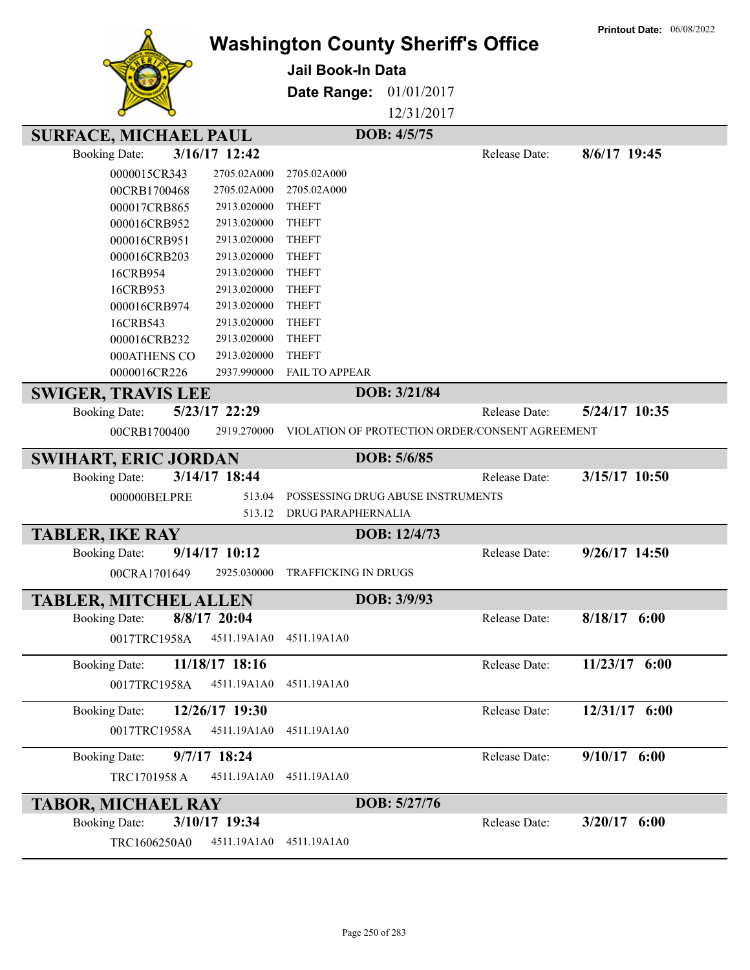|                              |                 |                                               |              |                                                 | <b>Printout Date: 06/08/2022</b> |
|------------------------------|-----------------|-----------------------------------------------|--------------|-------------------------------------------------|----------------------------------|
|                              |                 | <b>Washington County Sheriff's Office</b>     |              |                                                 |                                  |
|                              |                 | Jail Book-In Data                             |              |                                                 |                                  |
|                              |                 | Date Range:                                   | 01/01/2017   |                                                 |                                  |
|                              |                 |                                               | 12/31/2017   |                                                 |                                  |
|                              |                 |                                               |              |                                                 |                                  |
| <b>SURFACE, MICHAEL PAUL</b> |                 |                                               | DOB: 4/5/75  |                                                 |                                  |
| <b>Booking Date:</b>         | 3/16/17 12:42   |                                               |              | Release Date:                                   | 8/6/17 19:45                     |
| 0000015CR343                 | 2705.02A000     | 2705.02A000                                   |              |                                                 |                                  |
| 00CRB1700468                 | 2705.02A000     | 2705.02A000                                   |              |                                                 |                                  |
| 000017CRB865                 | 2913.020000     | <b>THEFT</b>                                  |              |                                                 |                                  |
| 000016CRB952                 | 2913.020000     | <b>THEFT</b>                                  |              |                                                 |                                  |
| 000016CRB951                 | 2913.020000     | <b>THEFT</b>                                  |              |                                                 |                                  |
| 000016CRB203                 | 2913.020000     | <b>THEFT</b>                                  |              |                                                 |                                  |
| 16CRB954                     | 2913.020000     | <b>THEFT</b>                                  |              |                                                 |                                  |
| 16CRB953                     | 2913.020000     | <b>THEFT</b>                                  |              |                                                 |                                  |
| 000016CRB974                 | 2913.020000     | <b>THEFT</b>                                  |              |                                                 |                                  |
| 16CRB543                     | 2913.020000     | <b>THEFT</b>                                  |              |                                                 |                                  |
| 000016CRB232                 | 2913.020000     | <b>THEFT</b>                                  |              |                                                 |                                  |
| 000ATHENS CO                 | 2913.020000     | <b>THEFT</b>                                  |              |                                                 |                                  |
| 0000016CR226                 | 2937.990000     | <b>FAIL TO APPEAR</b>                         |              |                                                 |                                  |
| <b>SWIGER, TRAVIS LEE</b>    |                 |                                               | DOB: 3/21/84 |                                                 |                                  |
| <b>Booking Date:</b>         | 5/23/17 22:29   |                                               |              | Release Date:                                   | 5/24/17 10:35                    |
| 00CRB1700400                 | 2919.270000     |                                               |              | VIOLATION OF PROTECTION ORDER/CONSENT AGREEMENT |                                  |
| <b>SWIHART, ERIC JORDAN</b>  |                 |                                               | DOB: 5/6/85  |                                                 |                                  |
| <b>Booking Date:</b>         | 3/14/17 18:44   |                                               |              | Release Date:                                   | 3/15/17 10:50                    |
| 000000BELPRE                 | 513.04          | POSSESSING DRUG ABUSE INSTRUMENTS             |              |                                                 |                                  |
|                              | 513.12          | DRUG PARAPHERNALIA                            |              |                                                 |                                  |
| <b>TABLER, IKE RAY</b>       |                 |                                               | DOB: 12/4/73 |                                                 |                                  |
| <b>Booking Date:</b>         | $9/14/17$ 10:12 |                                               |              | Release Date:                                   | $9/26/17$ 14:50                  |
|                              |                 | 00CRA1701649 2925.030000 TRAFFICKING IN DRUGS |              |                                                 |                                  |
|                              |                 |                                               |              |                                                 |                                  |
| <b>TABLER, MITCHEL ALLEN</b> |                 |                                               | DOB: 3/9/93  |                                                 |                                  |
| <b>Booking Date:</b>         | 8/8/17 20:04    |                                               |              | Release Date:                                   | $8/18/17$ 6:00                   |
| 0017TRC1958A                 | 4511.19A1A0     | 4511.19A1A0                                   |              |                                                 |                                  |
| <b>Booking Date:</b>         | 11/18/17 18:16  |                                               |              | Release Date:                                   | 11/23/17 6:00                    |
| 0017TRC1958A                 | 4511.19A1A0     | 4511.19A1A0                                   |              |                                                 |                                  |
| <b>Booking Date:</b>         | 12/26/17 19:30  |                                               |              | Release Date:                                   | 12/31/17 6:00                    |
| 0017TRC1958A                 | 4511.19A1A0     | 4511.19A1A0                                   |              |                                                 |                                  |
|                              |                 |                                               |              |                                                 |                                  |
| <b>Booking Date:</b>         | 9/7/17 18:24    |                                               |              | Release Date:                                   | $9/10/17$ 6:00                   |
| TRC1701958 A                 | 4511.19A1A0     | 4511.19A1A0                                   |              |                                                 |                                  |
| <b>TABOR, MICHAEL RAY</b>    |                 |                                               | DOB: 5/27/76 |                                                 |                                  |
| <b>Booking Date:</b>         | 3/10/17 19:34   |                                               |              | Release Date:                                   | $3/20/17$ 6:00                   |
| TRC1606250A0                 | 4511.19A1A0     | 4511.19A1A0                                   |              |                                                 |                                  |
|                              |                 |                                               |              |                                                 |                                  |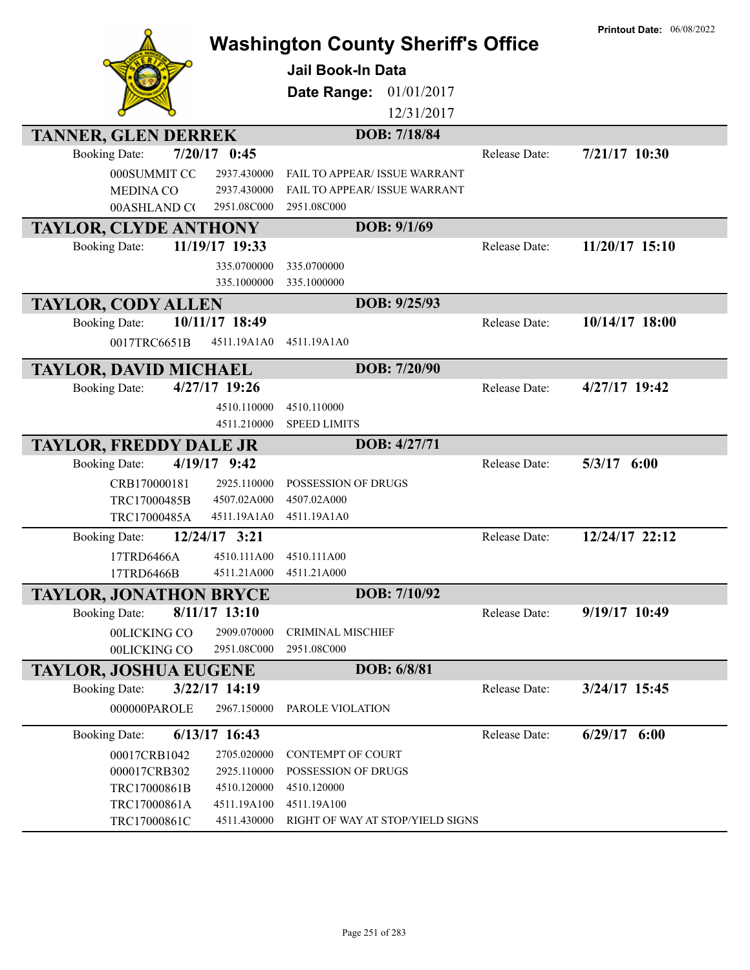|                                                                                                                          | <b>Washington County Sheriff's Office</b><br><b>Jail Book-In Data</b><br>Date Range:<br>01/01/2017<br>12/31/2017 |               | <b>Printout Date: 06/08/2022</b> |
|--------------------------------------------------------------------------------------------------------------------------|------------------------------------------------------------------------------------------------------------------|---------------|----------------------------------|
| <b>TANNER, GLEN DERREK</b><br>$7/20/17$ 0:45                                                                             | DOB: 7/18/84                                                                                                     |               |                                  |
| <b>Booking Date:</b><br>000SUMMIT CO<br>2937.430000<br><b>MEDINA CO</b><br>2937.430000<br>00ASHLAND CO<br>2951.08C000    | FAIL TO APPEAR/ ISSUE WARRANT<br>FAIL TO APPEAR/ ISSUE WARRANT<br>2951.08C000                                    | Release Date: | 7/21/17 10:30                    |
| <b>TAYLOR, CLYDE ANTHONY</b>                                                                                             | DOB: 9/1/69                                                                                                      |               |                                  |
| 11/19/17 19:33<br><b>Booking Date:</b><br>335.0700000<br>335.1000000                                                     | 335.0700000<br>335.1000000                                                                                       | Release Date: | 11/20/17 15:10                   |
| <b>TAYLOR, CODY ALLEN</b>                                                                                                | DOB: 9/25/93                                                                                                     |               |                                  |
| 10/11/17 18:49<br><b>Booking Date:</b><br>0017TRC6651B<br>4511.19A1A0                                                    | 4511.19A1A0                                                                                                      | Release Date: | 10/14/17 18:00                   |
| <b>TAYLOR, DAVID MICHAEL</b>                                                                                             | DOB: 7/20/90                                                                                                     |               |                                  |
| 4/27/17 19:26<br><b>Booking Date:</b><br>4510.110000<br>4511.210000                                                      | 4510.110000<br><b>SPEED LIMITS</b>                                                                               | Release Date: | $4/27/17$ 19:42                  |
| <b>TAYLOR, FREDDY DALE JR</b>                                                                                            | DOB: 4/27/71                                                                                                     |               |                                  |
| $4/19/17$ 9:42<br><b>Booking Date:</b>                                                                                   |                                                                                                                  | Release Date: | $5/3/17$ 6:00                    |
| 2925.110000<br>CRB170000181<br>TRC17000485B<br>4507.02A000<br>4511.19A1A0<br>TRC17000485A                                | POSSESSION OF DRUGS<br>4507.02A000<br>4511.19A1A0                                                                |               |                                  |
| 12/24/17 3:21<br><b>Booking Date:</b>                                                                                    |                                                                                                                  | Release Date: | 12/24/17 22:12                   |
| 17TRD6466A<br>4510.111A00<br>17TRD6466B                                                                                  | 4510.111A00<br>4511.21A000 4511.21A000                                                                           |               |                                  |
| <b>TAYLOR, JONATHON BRYCE</b>                                                                                            | DOB: 7/10/92                                                                                                     |               |                                  |
| 8/11/17 13:10<br><b>Booking Date:</b><br>00LICKING CO<br>2909.070000<br>2951.08C000<br>00LICKING CO                      | CRIMINAL MISCHIEF<br>2951.08C000                                                                                 | Release Date: | 9/19/17 10:49                    |
| <b>TAYLOR, JOSHUA EUGENE</b>                                                                                             | DOB: 6/8/81                                                                                                      |               |                                  |
| 3/22/17 14:19<br><b>Booking Date:</b><br>2967.150000<br>000000PAROLE                                                     | PAROLE VIOLATION                                                                                                 | Release Date: | 3/24/17 15:45                    |
| 6/13/17 16:43<br><b>Booking Date:</b>                                                                                    |                                                                                                                  | Release Date: | $6/29/17$ $6:00$                 |
| 00017CRB1042<br>2705.020000<br>000017CRB302<br>2925.110000<br>TRC17000861B<br>4510.120000<br>TRC17000861A<br>4511.19A100 | CONTEMPT OF COURT<br>POSSESSION OF DRUGS<br>4510.120000<br>4511.19A100                                           |               |                                  |
| TRC17000861C<br>4511.430000                                                                                              | RIGHT OF WAY AT STOP/YIELD SIGNS                                                                                 |               |                                  |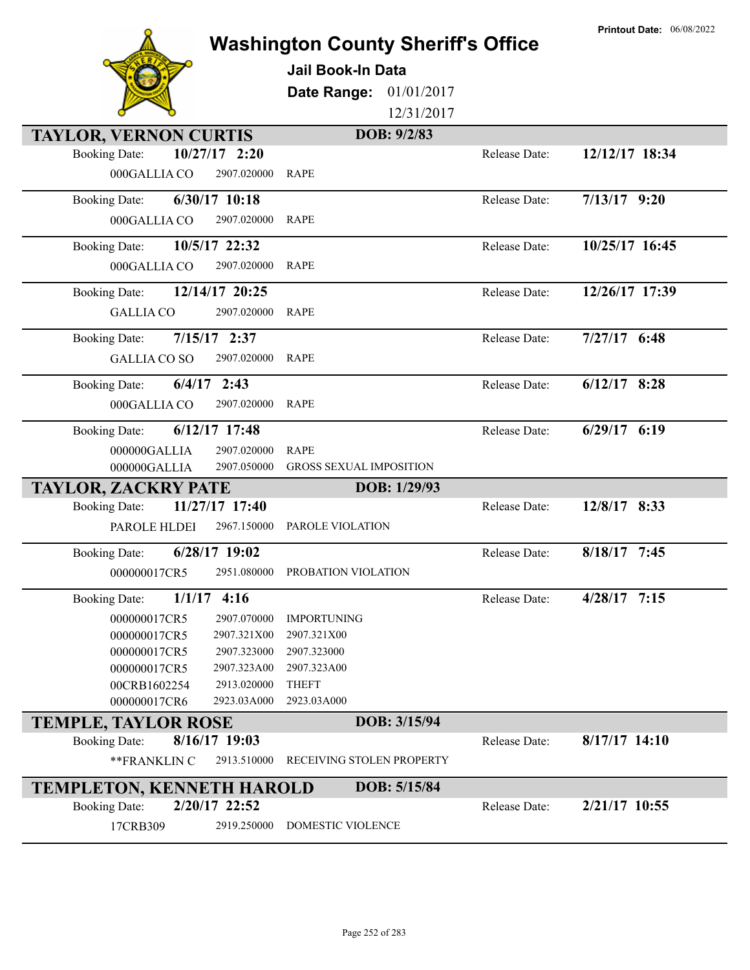|                                                                      | <b>Washington County Sheriff's Office</b><br><b>Jail Book-In Data</b> |               | <b>Printout Date: 06/08/2022</b> |
|----------------------------------------------------------------------|-----------------------------------------------------------------------|---------------|----------------------------------|
|                                                                      | 01/01/2017<br>Date Range:                                             |               |                                  |
|                                                                      | 12/31/2017                                                            |               |                                  |
| <b>TAYLOR, VERNON CURTIS</b>                                         | DOB: 9/2/83                                                           |               |                                  |
| $10/27/17$ 2:20<br><b>Booking Date:</b>                              |                                                                       | Release Date: | 12/12/17 18:34                   |
| 000GALLIA CO<br>2907.020000                                          | <b>RAPE</b>                                                           |               |                                  |
| 6/30/17 10:18<br><b>Booking Date:</b>                                |                                                                       | Release Date: | $7/13/17$ 9:20                   |
| 000GALLIA CO<br>2907.020000                                          | RAPE                                                                  |               |                                  |
| 10/5/17 22:32<br><b>Booking Date:</b>                                |                                                                       | Release Date: | 10/25/17 16:45                   |
| 000GALLIA CO<br>2907.020000                                          | <b>RAPE</b>                                                           |               |                                  |
| 12/14/17 20:25<br><b>Booking Date:</b>                               |                                                                       | Release Date: | 12/26/17 17:39                   |
| 2907.020000<br><b>GALLIA CO</b>                                      | <b>RAPE</b>                                                           |               |                                  |
| $7/15/17$ 2:37<br><b>Booking Date:</b>                               |                                                                       | Release Date: | $7/27/17$ 6:48                   |
| <b>GALLIA CO SO</b><br>2907.020000                                   | <b>RAPE</b>                                                           |               |                                  |
| $6/4/17$ 2:43<br><b>Booking Date:</b>                                |                                                                       | Release Date: | $6/12/17$ 8:28                   |
| 000GALLIA CO<br>2907.020000                                          | <b>RAPE</b>                                                           |               |                                  |
| 6/12/17 17:48<br><b>Booking Date:</b>                                |                                                                       | Release Date: | $6/29/17$ $6:19$                 |
| 2907.020000<br>000000GALLIA                                          | <b>RAPE</b>                                                           |               |                                  |
| 000000GALLIA<br>2907.050000                                          | <b>GROSS SEXUAL IMPOSITION</b>                                        |               |                                  |
| <b>TAYLOR, ZACKRY PATE</b><br>11/27/17 17:40<br><b>Booking Date:</b> | DOB: 1/29/93                                                          | Release Date: | 12/8/17 8:33                     |
| PAROLE HLDEI<br>2967.150000                                          | PAROLE VIOLATION                                                      |               |                                  |
| $6/28/17$ 19:02<br><b>Booking Date:</b>                              |                                                                       | Release Date: | 8/18/17 7:45                     |
| 000000017CR5                                                         | 2951.080000 PROBATION VIOLATION                                       |               |                                  |
|                                                                      |                                                                       |               |                                  |
| $1/1/17$ 4:16<br><b>Booking Date:</b>                                |                                                                       | Release Date: | $4/28/17$ 7:15                   |
| 000000017CR5<br>2907.070000                                          | <b>IMPORTUNING</b>                                                    |               |                                  |
| 000000017CR5<br>2907.321X00<br>000000017CR5<br>2907.323000           | 2907.321X00<br>2907.323000                                            |               |                                  |
| 000000017CR5<br>2907.323A00                                          | 2907.323A00                                                           |               |                                  |
| 00CRB1602254<br>2913.020000                                          | <b>THEFT</b>                                                          |               |                                  |
| 000000017CR6<br>2923.03A000                                          | 2923.03A000                                                           |               |                                  |
| <b>TEMPLE, TAYLOR ROSE</b>                                           | DOB: 3/15/94                                                          |               |                                  |
| 8/16/17 19:03<br><b>Booking Date:</b>                                |                                                                       | Release Date: | $8/17/17$ 14:10                  |
| **FRANKLIN C<br>2913.510000                                          | RECEIVING STOLEN PROPERTY                                             |               |                                  |
| <b>TEMPLETON, KENNETH HAROLD</b>                                     | DOB: 5/15/84                                                          |               |                                  |
| 2/20/17 22:52<br><b>Booking Date:</b>                                |                                                                       | Release Date: | 2/21/17 10:55                    |
| 17CRB309<br>2919.250000                                              | DOMESTIC VIOLENCE                                                     |               |                                  |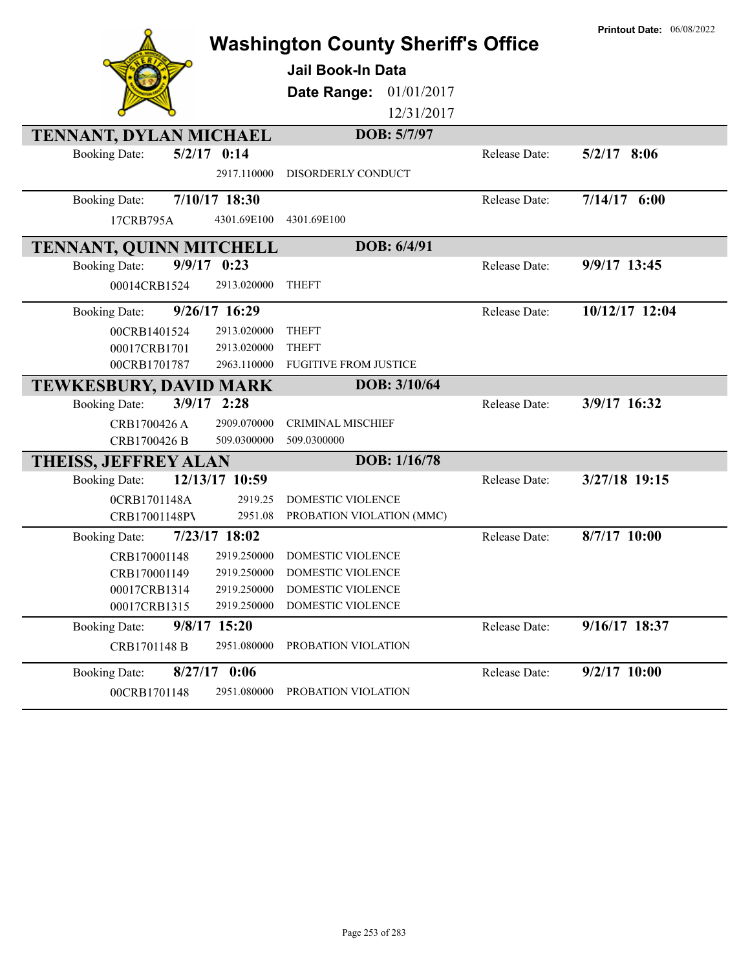|                                        | <b>Washington County Sheriff's Office</b> |               | <b>Printout Date: 06/08/2022</b> |
|----------------------------------------|-------------------------------------------|---------------|----------------------------------|
|                                        | <b>Jail Book-In Data</b>                  |               |                                  |
|                                        | Date Range:<br>01/01/2017                 |               |                                  |
|                                        | 12/31/2017                                |               |                                  |
| TENNANT, DYLAN MICHAEL                 | DOB: 5/7/97                               |               |                                  |
| $5/2/17$ 0:14<br><b>Booking Date:</b>  |                                           | Release Date: | $5/2/17$ 8:06                    |
| 2917.110000                            | DISORDERLY CONDUCT                        |               |                                  |
| 7/10/17 18:30<br><b>Booking Date:</b>  |                                           | Release Date: | $7/14/17$ 6:00                   |
| 4301.69E100<br>17CRB795A               | 4301.69E100                               |               |                                  |
| <b>TENNANT, QUINN MITCHELL</b>         | DOB: 6/4/91                               |               |                                  |
| $9/9/17$ 0:23<br><b>Booking Date:</b>  |                                           | Release Date: | 9/9/17 13:45                     |
| 00014CRB1524<br>2913.020000            | <b>THEFT</b>                              |               |                                  |
| 9/26/17 16:29<br><b>Booking Date:</b>  |                                           | Release Date: | 10/12/17 12:04                   |
| 00CRB1401524<br>2913.020000            | <b>THEFT</b>                              |               |                                  |
| 2913.020000<br>00017CRB1701            | <b>THEFT</b>                              |               |                                  |
| 2963.110000<br>00CRB1701787            | <b>FUGITIVE FROM JUSTICE</b>              |               |                                  |
| <b>TEWKESBURY, DAVID MARK</b>          | DOB: 3/10/64                              |               |                                  |
| $3/9/17$ 2:28<br><b>Booking Date:</b>  |                                           | Release Date: | 3/9/17 16:32                     |
| CRB1700426 A<br>2909.070000            | <b>CRIMINAL MISCHIEF</b>                  |               |                                  |
| CRB1700426 B<br>509.0300000            | 509.0300000                               |               |                                  |
| <b>THEISS, JEFFREY ALAN</b>            | DOB: 1/16/78                              |               |                                  |
| 12/13/17 10:59<br><b>Booking Date:</b> |                                           | Release Date: | 3/27/18 19:15                    |
| 0CRB1701148A                           | 2919.25<br>DOMESTIC VIOLENCE              |               |                                  |
| CRB17001148PV                          | 2951.08<br>PROBATION VIOLATION (MMC)      |               |                                  |
| 7/23/17 18:02<br><b>Booking Date:</b>  |                                           | Release Date: | 8/7/17 10:00                     |
| 2919.250000<br>CRB170001148            | DOMESTIC VIOLENCE                         |               |                                  |
| CRB170001149                           | 2919.250000 DOMESTIC VIOLENCE             |               |                                  |
| 2919.250000<br>00017CRB1314            | DOMESTIC VIOLENCE                         |               |                                  |
| 00017CRB1315<br>2919.250000            | DOMESTIC VIOLENCE                         |               |                                  |
| 9/8/17 15:20<br><b>Booking Date:</b>   |                                           | Release Date: | 9/16/17 18:37                    |
| CRB1701148 B<br>2951.080000            | PROBATION VIOLATION                       |               |                                  |
| $8/27/17$ 0:06<br><b>Booking Date:</b> |                                           | Release Date: | 9/2/17 10:00                     |
| 00CRB1701148<br>2951.080000            | PROBATION VIOLATION                       |               |                                  |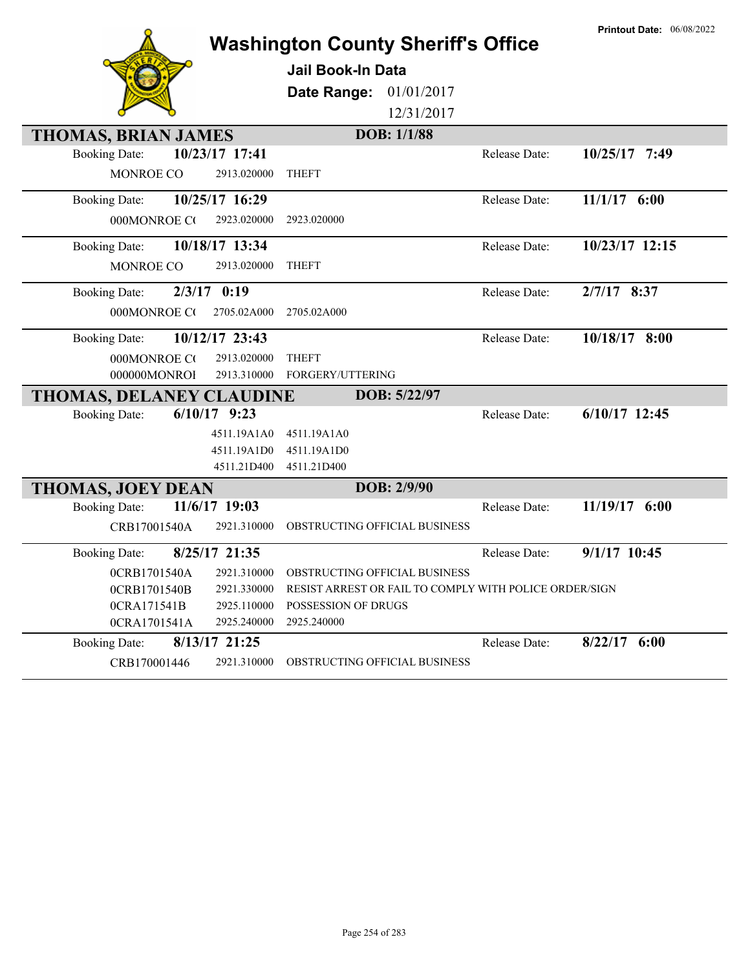|                                 |                | <b>Washington County Sheriff's Office</b>              |                    |               | <b>Printout Date: 06/08/2022</b> |
|---------------------------------|----------------|--------------------------------------------------------|--------------------|---------------|----------------------------------|
|                                 |                | <b>Jail Book-In Data</b>                               |                    |               |                                  |
|                                 |                | Date Range:                                            | 01/01/2017         |               |                                  |
|                                 |                |                                                        | 12/31/2017         |               |                                  |
| <b>THOMAS, BRIAN JAMES</b>      |                |                                                        | <b>DOB:</b> 1/1/88 |               |                                  |
| <b>Booking Date:</b>            | 10/23/17 17:41 |                                                        |                    | Release Date: | 10/25/17 7:49                    |
| MONROE CO                       | 2913.020000    | <b>THEFT</b>                                           |                    |               |                                  |
| <b>Booking Date:</b>            | 10/25/17 16:29 |                                                        |                    | Release Date: | $11/1/17$ 6:00                   |
| 000MONROE CO                    | 2923.020000    | 2923.020000                                            |                    |               |                                  |
| <b>Booking Date:</b>            | 10/18/17 13:34 |                                                        |                    | Release Date: | 10/23/17 12:15                   |
| MONROE CO                       | 2913.020000    | <b>THEFT</b>                                           |                    |               |                                  |
| <b>Booking Date:</b>            | $2/3/17$ 0:19  |                                                        |                    | Release Date: | $2/7/17$ 8:37                    |
| 000MONROE CO                    | 2705.02A000    | 2705.02A000                                            |                    |               |                                  |
| <b>Booking Date:</b>            | 10/12/17 23:43 |                                                        |                    | Release Date: | 10/18/17 8:00                    |
| 000MONROE CO                    | 2913.020000    | <b>THEFT</b>                                           |                    |               |                                  |
| 000000MONROI                    | 2913.310000    | FORGERY/UTTERING                                       |                    |               |                                  |
| <b>THOMAS, DELANEY CLAUDINE</b> |                |                                                        | DOB: 5/22/97       |               |                                  |
| <b>Booking Date:</b>            | $6/10/17$ 9:23 |                                                        |                    | Release Date: | $6/10/17$ 12:45                  |
|                                 | 4511.19A1A0    | 4511.19A1A0                                            |                    |               |                                  |
|                                 | 4511.19A1D0    | 4511.19A1D0                                            |                    |               |                                  |
|                                 | 4511.21D400    | 4511.21D400                                            |                    |               |                                  |
| <b>THOMAS, JOEY DEAN</b>        |                |                                                        | DOB: 2/9/90        |               |                                  |
| <b>Booking Date:</b>            | 11/6/17 19:03  |                                                        |                    | Release Date: | 11/19/17 6:00                    |
| CRB17001540A                    | 2921.310000    | OBSTRUCTING OFFICIAL BUSINESS                          |                    |               |                                  |
| <b>Booking Date:</b>            | 8/25/17 21:35  |                                                        |                    | Release Date: | $9/1/17$ 10:45                   |
| 0CRB1701540A                    | 2921.310000    | OBSTRUCTING OFFICIAL BUSINESS                          |                    |               |                                  |
| 0CRB1701540B                    | 2921.330000    | RESIST ARREST OR FAIL TO COMPLY WITH POLICE ORDER/SIGN |                    |               |                                  |
| 0CRA171541B                     | 2925.110000    | POSSESSION OF DRUGS                                    |                    |               |                                  |
| 0CRA1701541A                    | 2925.240000    | 2925.240000                                            |                    |               |                                  |
| <b>Booking Date:</b>            | 8/13/17 21:25  |                                                        |                    | Release Date: | $8/22/17$ 6:00                   |
| CRB170001446                    | 2921.310000    | OBSTRUCTING OFFICIAL BUSINESS                          |                    |               |                                  |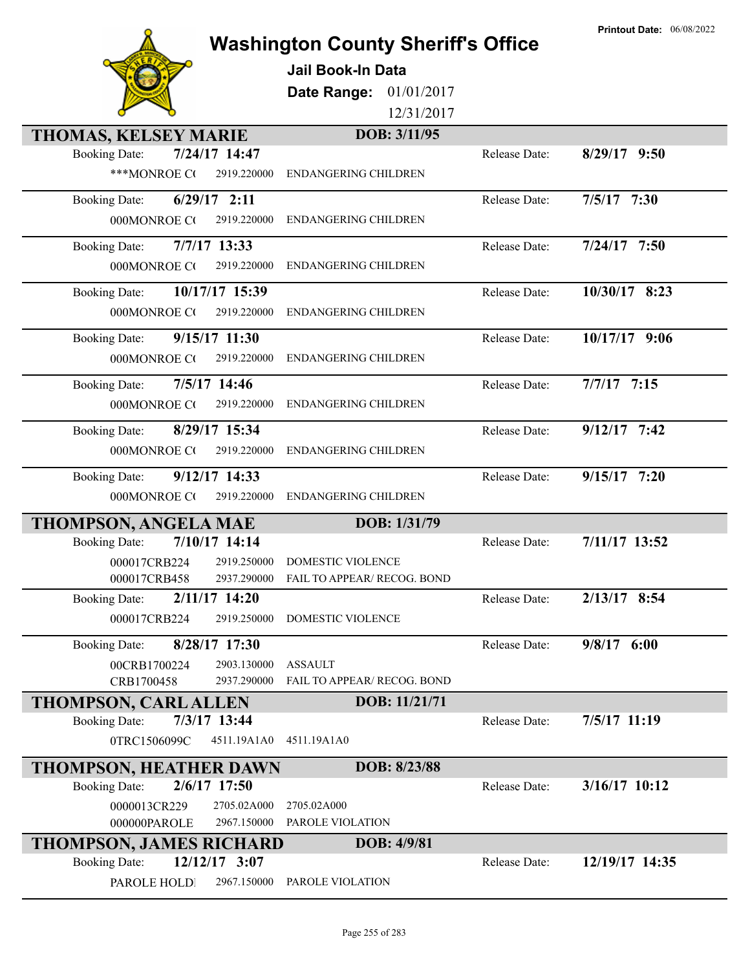|  | <b>Printout Date:</b> |  | 06/08/2022 |
|--|-----------------------|--|------------|
|--|-----------------------|--|------------|



## **Washington County Sheriff's Office**

**Jail Book-In Data**

**Date Range:** 01/01/2017

12/31/2017

| <b>THOMAS, KELSEY MARIE</b>            | DOB: 3/11/95                |               |                 |
|----------------------------------------|-----------------------------|---------------|-----------------|
| 7/24/17 14:47<br><b>Booking Date:</b>  |                             | Release Date: | 8/29/17 9:50    |
| ***MONROE CO<br>2919.220000            | <b>ENDANGERING CHILDREN</b> |               |                 |
| $6/29/17$ 2:11<br><b>Booking Date:</b> |                             | Release Date: | $7/5/17$ 7:30   |
| 2919.220000<br>000MONROE CO            | <b>ENDANGERING CHILDREN</b> |               |                 |
| 7/7/17 13:33<br><b>Booking Date:</b>   |                             | Release Date: | $7/24/17$ 7:50  |
| 000MONROE CO<br>2919.220000            | <b>ENDANGERING CHILDREN</b> |               |                 |
| 10/17/17 15:39<br><b>Booking Date:</b> |                             | Release Date: | 10/30/17 8:23   |
| 000MONROE CO<br>2919.220000            | <b>ENDANGERING CHILDREN</b> |               |                 |
| 9/15/17 11:30<br><b>Booking Date:</b>  |                             | Release Date: | 10/17/17 9:06   |
| 000MONROE CO<br>2919.220000            | <b>ENDANGERING CHILDREN</b> |               |                 |
| 7/5/17 14:46<br><b>Booking Date:</b>   |                             | Release Date: | $7/7/17$ 7:15   |
| 000MONROE CO<br>2919.220000            | <b>ENDANGERING CHILDREN</b> |               |                 |
| 8/29/17 15:34<br><b>Booking Date:</b>  |                             | Release Date: | $9/12/17$ 7:42  |
| 2919.220000<br>000MONROE CO            | <b>ENDANGERING CHILDREN</b> |               |                 |
| 9/12/17 14:33<br><b>Booking Date:</b>  |                             | Release Date: | $9/15/17$ 7:20  |
| 000MONROE CO<br>2919.220000            | <b>ENDANGERING CHILDREN</b> |               |                 |
|                                        |                             |               |                 |
| <b>THOMPSON, ANGELA MAE</b>            | DOB: 1/31/79                |               |                 |
| 7/10/17 14:14<br><b>Booking Date:</b>  |                             | Release Date: | 7/11/17 13:52   |
| 000017CRB224<br>2919.250000            | DOMESTIC VIOLENCE           |               |                 |
| 2937.290000<br>000017CRB458            | FAIL TO APPEAR/ RECOG. BOND |               |                 |
| 2/11/17 14:20<br><b>Booking Date:</b>  |                             | Release Date: | $2/13/17$ 8:54  |
| 000017CRB224<br>2919.250000            | <b>DOMESTIC VIOLENCE</b>    |               |                 |
| 8/28/17 17:30<br><b>Booking Date:</b>  |                             | Release Date: | $9/8/17$ 6:00   |
| 00CRB1700224<br>2903.130000            | <b>ASSAULT</b>              |               |                 |
| CRB1700458<br>2937.290000              | FAIL TO APPEAR/ RECOG. BOND |               |                 |
| THOMPSON, CARL ALLEN                   | DOB: 11/21/71               |               |                 |
| 7/3/17 13:44<br><b>Booking Date:</b>   |                             | Release Date: | 7/5/17 11:19    |
| 0TRC1506099C<br>4511.19A1A0            | 4511.19A1A0                 |               |                 |
| <b>THOMPSON, HEATHER DAWN</b>          | DOB: 8/23/88                |               |                 |
| 2/6/17 17:50<br><b>Booking Date:</b>   |                             | Release Date: | $3/16/17$ 10:12 |
| 0000013CR229<br>2705.02A000            | 2705.02A000                 |               |                 |
| 000000PAROLE<br>2967.150000            | PAROLE VIOLATION            |               |                 |
| <b>THOMPSON, JAMES RICHARD</b>         | DOB: 4/9/81                 |               |                 |
| 12/12/17 3:07<br><b>Booking Date:</b>  |                             | Release Date: | 12/19/17 14:35  |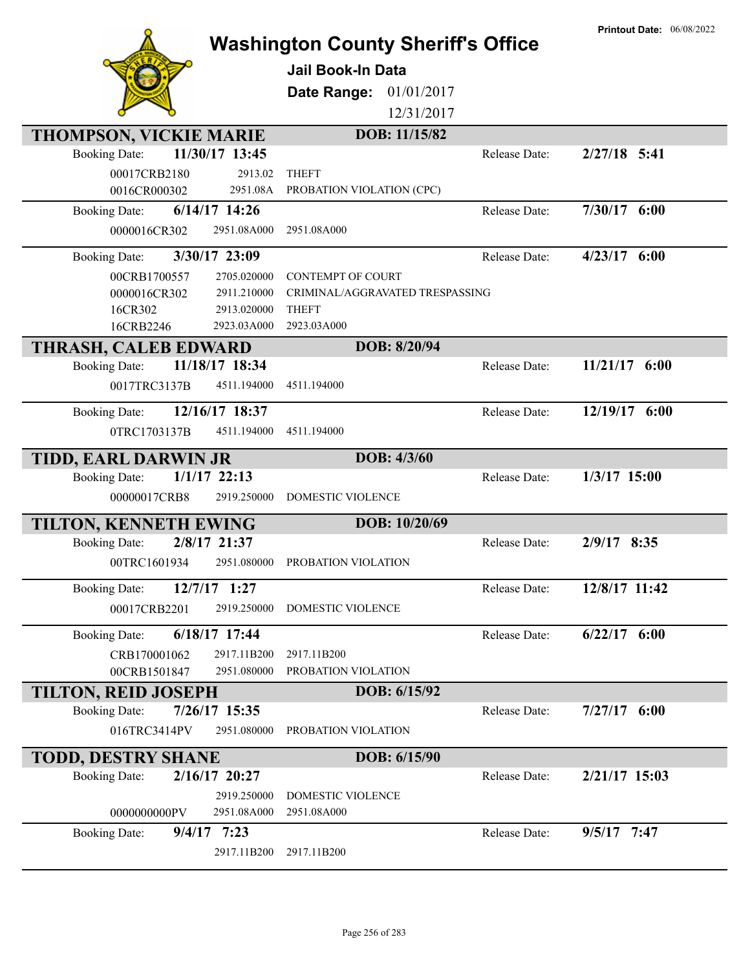|                                                      | <b>Washington County Sheriff's Office</b> |               | <b>Printout Date: 06/08/2022</b> |
|------------------------------------------------------|-------------------------------------------|---------------|----------------------------------|
|                                                      | <b>Jail Book-In Data</b>                  |               |                                  |
|                                                      | Date Range:<br>01/01/2017                 |               |                                  |
|                                                      | 12/31/2017                                |               |                                  |
|                                                      |                                           |               |                                  |
| <b>THOMPSON, VICKIE MARIE</b>                        | DOB: 11/15/82                             |               |                                  |
| 11/30/17 13:45<br><b>Booking Date:</b>               |                                           | Release Date: | 2/27/18 5:41                     |
| 00017CRB2180<br>2913.02                              | <b>THEFT</b>                              |               |                                  |
| 0016CR000302<br>2951.08A                             | PROBATION VIOLATION (CPC)                 |               |                                  |
| 6/14/17 14:26<br><b>Booking Date:</b>                |                                           | Release Date: | 7/30/17 6:00                     |
| 0000016CR302<br>2951.08A000                          | 2951.08A000                               |               |                                  |
| 3/30/17 23:09<br><b>Booking Date:</b>                |                                           | Release Date: | $4/23/17$ 6:00                   |
| 00CRB1700557<br>2705.020000                          | <b>CONTEMPT OF COURT</b>                  |               |                                  |
| 0000016CR302<br>2911.210000                          | CRIMINAL/AGGRAVATED TRESPASSING           |               |                                  |
| 16CR302<br>2913.020000                               | <b>THEFT</b>                              |               |                                  |
| 16CRB2246<br>2923.03A000                             | 2923.03A000                               |               |                                  |
| <b>THRASH, CALEB EDWARD</b>                          | DOB: 8/20/94                              |               |                                  |
| 11/18/17 18:34<br><b>Booking Date:</b>               |                                           | Release Date: | $11/21/17$ 6:00                  |
| 0017TRC3137B<br>4511.194000                          | 4511.194000                               |               |                                  |
| 12/16/17 18:37<br><b>Booking Date:</b>               |                                           | Release Date: | 12/19/17 6:00                    |
| 0TRC1703137B<br>4511.194000                          | 4511.194000                               |               |                                  |
| TIDD, EARL DARWIN JR                                 | DOB: 4/3/60                               |               |                                  |
| $1/1/17$ 22:13<br><b>Booking Date:</b>               |                                           | Release Date: | $1/3/17$ 15:00                   |
| 00000017CRB8<br>2919.250000                          | DOMESTIC VIOLENCE                         |               |                                  |
|                                                      |                                           |               |                                  |
| TILTON, KENNETH EWING                                | DOB: 10/20/69                             |               |                                  |
| 2/8/17 21:37<br><b>Booking Date:</b>                 |                                           | Release Date: | 2/9/17 8:35                      |
| 2951.080000<br>00TRC1601934                          | PROBATION VIOLATION                       |               |                                  |
| 12/7/17 1:27<br><b>Booking Date:</b>                 |                                           | Release Date: | 12/8/17 11:42                    |
| 00017CRB2201<br>2919.250000                          | DOMESTIC VIOLENCE                         |               |                                  |
| 6/18/17 17:44<br><b>Booking Date:</b>                |                                           | Release Date: | $6/22/17$ $6:00$                 |
| 2917.11B200<br>CRB170001062                          | 2917.11B200                               |               |                                  |
| 2951.080000<br>00CRB1501847                          | PROBATION VIOLATION                       |               |                                  |
| <b>TILTON, REID JOSEPH</b>                           | DOB: 6/15/92                              |               |                                  |
| 7/26/17 15:35<br><b>Booking Date:</b>                |                                           | Release Date: | $7/27/17$ 6:00                   |
| 016TRC3414PV<br>2951.080000                          | PROBATION VIOLATION                       |               |                                  |
|                                                      |                                           |               |                                  |
| <b>TODD, DESTRY SHANE</b>                            | DOB: 6/15/90                              |               |                                  |
| 2/16/17 20:27<br><b>Booking Date:</b>                |                                           |               |                                  |
|                                                      |                                           | Release Date: | 2/21/17 15:03                    |
| 2919.250000                                          | DOMESTIC VIOLENCE                         |               |                                  |
| 2951.08A000<br>0000000000PV                          | 2951.08A000                               |               |                                  |
| $9/4/17$ 7:23<br><b>Booking Date:</b><br>2917.11B200 | 2917.11B200                               | Release Date: | 9/5/17 7:47                      |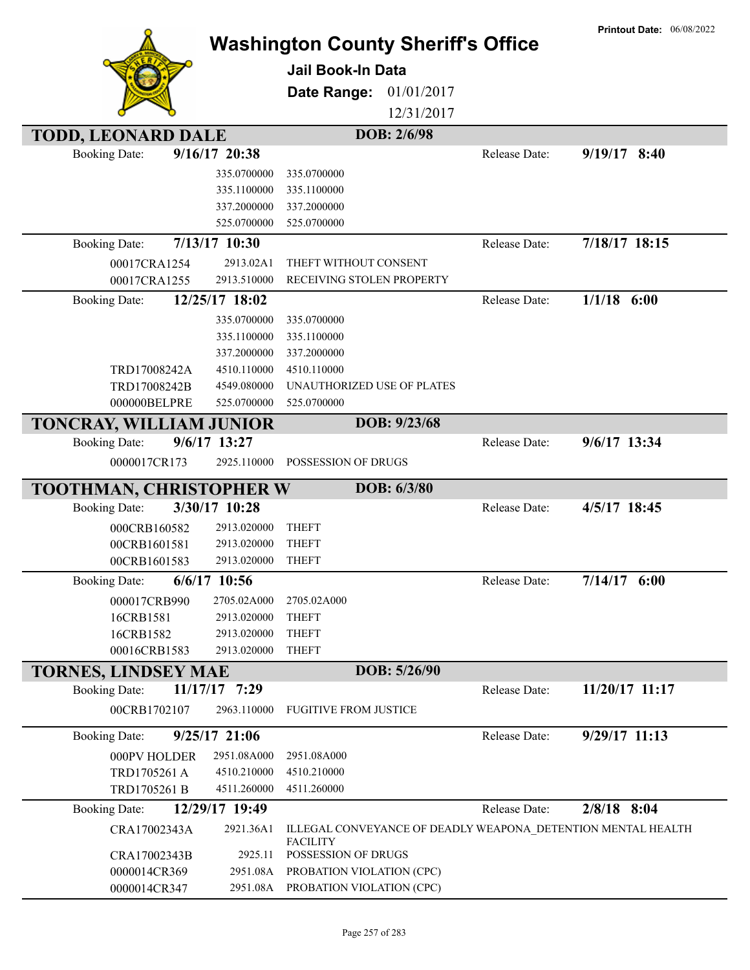|                                |                            | <b>Washington County Sheriff's Office</b><br>Jail Book-In Data<br>01/01/2017<br>Date Range: |               | <b>Printout Date: 06/08/2022</b> |
|--------------------------------|----------------------------|---------------------------------------------------------------------------------------------|---------------|----------------------------------|
|                                |                            | 12/31/2017                                                                                  |               |                                  |
| <b>TODD, LEONARD DALE</b>      |                            | DOB: 2/6/98                                                                                 |               |                                  |
| <b>Booking Date:</b>           | $9/16/17$ 20:38            |                                                                                             | Release Date: | $9/19/17$ 8:40                   |
|                                | 335.0700000                | 335.0700000                                                                                 |               |                                  |
|                                | 335.1100000                | 335.1100000                                                                                 |               |                                  |
|                                | 337.2000000                | 337.2000000                                                                                 |               |                                  |
|                                | 525.0700000                | 525.0700000                                                                                 |               |                                  |
| <b>Booking Date:</b>           | 7/13/17 10:30              |                                                                                             | Release Date: | $7/18/17$ $18:15$                |
| 00017CRA1254                   | 2913.02A1                  | THEFT WITHOUT CONSENT                                                                       |               |                                  |
| 00017CRA1255                   | 2913.510000                | RECEIVING STOLEN PROPERTY                                                                   |               |                                  |
| <b>Booking Date:</b>           | 12/25/17 18:02             |                                                                                             | Release Date: | $1/1/18$ 6:00                    |
|                                | 335.0700000                | 335.0700000                                                                                 |               |                                  |
|                                | 335.1100000                | 335.1100000                                                                                 |               |                                  |
| TRD17008242A                   | 337.2000000<br>4510.110000 | 337.2000000<br>4510.110000                                                                  |               |                                  |
| TRD17008242B                   | 4549.080000                | UNAUTHORIZED USE OF PLATES                                                                  |               |                                  |
| 000000BELPRE                   | 525.0700000                | 525.0700000                                                                                 |               |                                  |
| TONCRAY, WILLIAM JUNIOR        |                            | DOB: 9/23/68                                                                                |               |                                  |
| <b>Booking Date:</b>           | $9/6/17$ 13:27             |                                                                                             | Release Date: | 9/6/17 13:34                     |
| 0000017CR173                   | 2925.110000                | POSSESSION OF DRUGS                                                                         |               |                                  |
| <b>TOOTHMAN, CHRISTOPHER W</b> |                            | DOB: 6/3/80                                                                                 |               |                                  |
| <b>Booking Date:</b>           | 3/30/17 10:28              |                                                                                             | Release Date: | 4/5/17 18:45                     |
| 000CRB160582                   | 2913.020000                | <b>THEFT</b>                                                                                |               |                                  |
| 00CRB1601581                   | 2913.020000                | <b>THEFT</b>                                                                                |               |                                  |
| 00CRB1601583                   | 2913.020000                | <b>THEFT</b>                                                                                |               |                                  |
| <b>Booking Date:</b>           | $6/6/17$ 10:56             |                                                                                             | Release Date: | $7/14/17$ 6:00                   |
| 000017CRB990                   | 2705.02A000                | 2705.02A000                                                                                 |               |                                  |
| 16CRB1581                      | 2913.020000                | <b>THEFT</b>                                                                                |               |                                  |
| 16CRB1582                      | 2913.020000                | <b>THEFT</b>                                                                                |               |                                  |
| 00016CRB1583                   | 2913.020000                | <b>THEFT</b>                                                                                |               |                                  |
| <b>TORNES, LINDSEY MAE</b>     |                            | DOB: 5/26/90                                                                                |               |                                  |
| <b>Booking Date:</b>           | 11/17/17 7:29              |                                                                                             | Release Date: | 11/20/17 11:17                   |
| 00CRB1702107                   | 2963.110000                | <b>FUGITIVE FROM JUSTICE</b>                                                                |               |                                  |
| <b>Booking Date:</b>           | 9/25/17 21:06              |                                                                                             | Release Date: | 9/29/17 11:13                    |
| 000PV HOLDER                   | 2951.08A000                | 2951.08A000                                                                                 |               |                                  |
| TRD1705261 A                   | 4510.210000                | 4510.210000                                                                                 |               |                                  |
| TRD1705261 B                   | 4511.260000                | 4511.260000                                                                                 |               |                                  |
| <b>Booking Date:</b>           | 12/29/17 19:49             |                                                                                             | Release Date: | $2/8/18$ 8:04                    |
| CRA17002343A                   | 2921.36A1                  | ILLEGAL CONVEYANCE OF DEADLY WEAPONA DETENTION MENTAL HEALTH<br><b>FACILITY</b>             |               |                                  |
| CRA17002343B                   | 2925.11                    | POSSESSION OF DRUGS                                                                         |               |                                  |
| 0000014CR369<br>0000014CR347   | 2951.08A<br>2951.08A       | PROBATION VIOLATION (CPC)<br>PROBATION VIOLATION (CPC)                                      |               |                                  |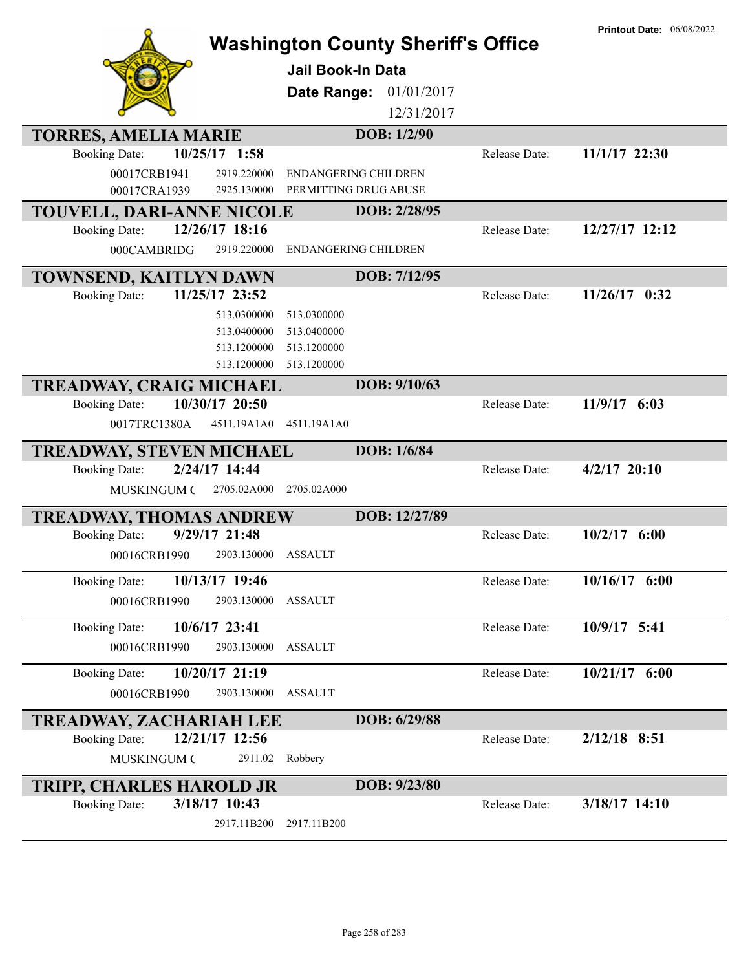| <b>TORRES, AMELIA MARIE</b><br>10/25/17 1:58<br><b>Booking Date:</b><br>00017CRB1941<br>2919.220000<br>00017CRA1939<br>2925.130000 | <b>Washington County Sheriff's Office</b><br><b>Jail Book-In Data</b><br>Date Range:<br>01/01/2017<br>12/31/2017<br>DOB: 1/2/90<br><b>ENDANGERING CHILDREN</b><br>PERMITTING DRUG ABUSE | Release Date: | <b>Printout Date: 06/08/2022</b><br>11/1/17 22:30 |
|------------------------------------------------------------------------------------------------------------------------------------|-----------------------------------------------------------------------------------------------------------------------------------------------------------------------------------------|---------------|---------------------------------------------------|
| <b>TOUVELL, DARI-ANNE NICOLE</b>                                                                                                   | DOB: 2/28/95                                                                                                                                                                            |               |                                                   |
| 12/26/17 18:16<br><b>Booking Date:</b>                                                                                             |                                                                                                                                                                                         | Release Date: | 12/27/17 12:12                                    |
| 2919.220000<br>000CAMBRIDG.                                                                                                        | <b>ENDANGERING CHILDREN</b>                                                                                                                                                             |               |                                                   |
| TOWNSEND, KAITLYN DAWN                                                                                                             | DOB: 7/12/95                                                                                                                                                                            |               |                                                   |
| 11/25/17 23:52<br><b>Booking Date:</b>                                                                                             |                                                                                                                                                                                         | Release Date: | $11/26/17$ 0:32                                   |
| 513.0300000<br>513.0400000<br>513.1200000<br>513.1200000                                                                           | 513.0300000<br>513.0400000<br>513.1200000<br>513.1200000                                                                                                                                |               |                                                   |
| <b>TREADWAY, CRAIG MICHAEL</b>                                                                                                     | DOB: 9/10/63                                                                                                                                                                            |               |                                                   |
| 10/30/17 20:50<br><b>Booking Date:</b><br>0017TRC1380A<br>4511.19A1A0                                                              | 4511.19A1A0                                                                                                                                                                             | Release Date: | $11/9/17$ 6:03                                    |
| <b>TREADWAY, STEVEN MICHAEL</b>                                                                                                    | DOB: 1/6/84                                                                                                                                                                             |               |                                                   |
| 2/24/17 14:44<br><b>Booking Date:</b><br><b>MUSKINGUM C</b><br>2705.02A000                                                         | 2705.02A000                                                                                                                                                                             | Release Date: | $4/2/17$ 20:10                                    |
| <b>TREADWAY, THOMAS ANDREW</b>                                                                                                     | DOB: 12/27/89                                                                                                                                                                           |               |                                                   |
| 9/29/17 21:48<br><b>Booking Date:</b><br>00016CRB1990<br>2903.130000                                                               | <b>ASSAULT</b>                                                                                                                                                                          | Release Date: | $10/2/17$ 6:00                                    |
| 10/13/17 19:46<br><b>Booking Date:</b>                                                                                             |                                                                                                                                                                                         | Release Date: | 10/16/17 6:00                                     |
| 00016CRB1990<br>2903.130000                                                                                                        | <b>ASSAULT</b>                                                                                                                                                                          |               |                                                   |
| 10/6/17 23:41<br><b>Booking Date:</b><br>00016CRB1990<br>2903.130000                                                               | <b>ASSAULT</b>                                                                                                                                                                          | Release Date: | 10/9/17 5:41                                      |
| 10/20/17 21:19<br><b>Booking Date:</b>                                                                                             |                                                                                                                                                                                         | Release Date: | 10/21/17 6:00                                     |
| 00016CRB1990<br>2903.130000                                                                                                        | <b>ASSAULT</b>                                                                                                                                                                          |               |                                                   |
| <b>TREADWAY, ZACHARIAH LEE</b>                                                                                                     | DOB: 6/29/88                                                                                                                                                                            |               |                                                   |
| 12/21/17 12:56<br><b>Booking Date:</b>                                                                                             |                                                                                                                                                                                         | Release Date: | $2/12/18$ 8:51                                    |
| MUSKINGUM C<br>2911.02                                                                                                             | Robbery                                                                                                                                                                                 |               |                                                   |
| <b>TRIPP, CHARLES HAROLD JR</b>                                                                                                    | DOB: 9/23/80                                                                                                                                                                            |               |                                                   |
| 3/18/17 10:43<br><b>Booking Date:</b>                                                                                              |                                                                                                                                                                                         | Release Date: | 3/18/17 14:10                                     |
| 2917.11B200                                                                                                                        | 2917.11B200                                                                                                                                                                             |               |                                                   |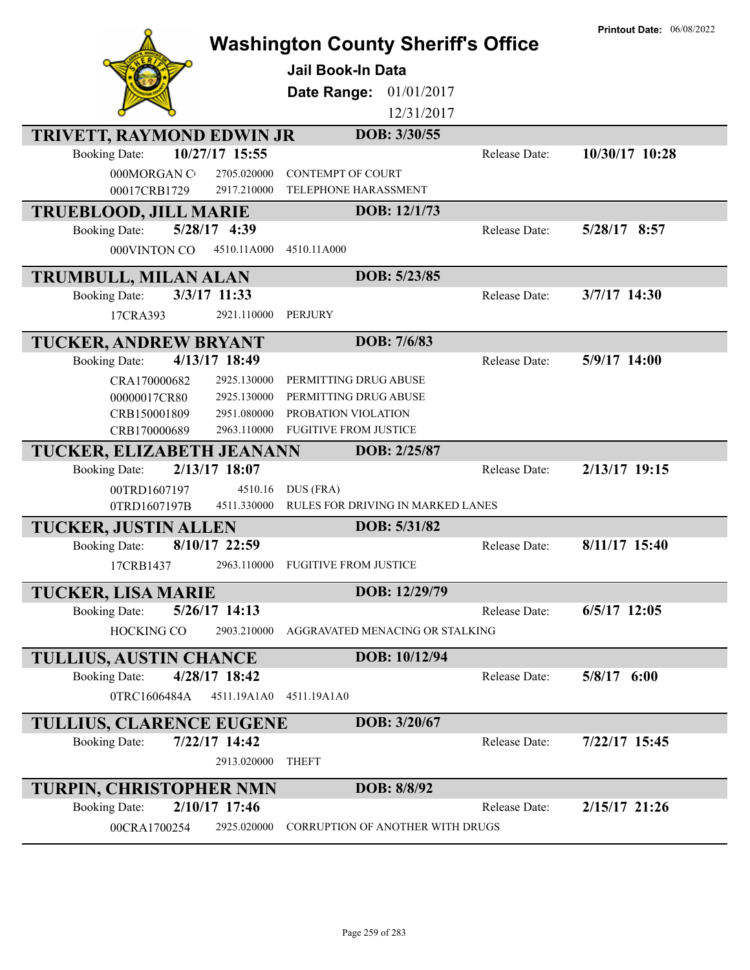|                                                     |                        | <b>Washington County Sheriff's Office</b>      |               | <b>Printout Date: 06/08/2022</b> |
|-----------------------------------------------------|------------------------|------------------------------------------------|---------------|----------------------------------|
|                                                     |                        | <b>Jail Book-In Data</b>                       |               |                                  |
|                                                     |                        | 01/01/2017<br>Date Range:                      |               |                                  |
|                                                     |                        | 12/31/2017                                     |               |                                  |
| <b>TRIVETT, RAYMOND EDWIN JR</b>                    |                        | DOB: 3/30/55                                   |               |                                  |
| <b>Booking Date:</b>                                | 10/27/17 15:55         |                                                | Release Date: | 10/30/17 10:28                   |
| 000MORGAN CO                                        | 2705.020000            | <b>CONTEMPT OF COURT</b>                       |               |                                  |
| 00017CRB1729                                        | 2917.210000            | TELEPHONE HARASSMENT                           |               |                                  |
| <b>TRUEBLOOD, JILL MARIE</b>                        |                        | DOB: 12/1/73                                   |               |                                  |
| <b>Booking Date:</b>                                | 5/28/17 4:39           |                                                | Release Date: | 5/28/17 8:57                     |
| 000VINTON CO                                        | 4510.11A000            | 4510.11A000                                    |               |                                  |
| <b>TRUMBULL, MILAN ALAN</b>                         |                        | DOB: 5/23/85                                   |               |                                  |
| <b>Booking Date:</b>                                | 3/3/17 11:33           |                                                | Release Date: | 3/7/17 14:30                     |
| 17CRA393                                            | 2921.110000            | PERJURY                                        |               |                                  |
| TUCKER, ANDREW BRYANT                               |                        | DOB: 7/6/83                                    |               |                                  |
| <b>Booking Date:</b>                                | 4/13/17 18:49          |                                                | Release Date: | 5/9/17 14:00                     |
| CRA170000682                                        | 2925.130000            | PERMITTING DRUG ABUSE                          |               |                                  |
| 00000017CR80                                        | 2925.130000            | PERMITTING DRUG ABUSE                          |               |                                  |
| CRB150001809                                        | 2951.080000            | PROBATION VIOLATION                            |               |                                  |
| CRB170000689                                        | 2963.110000            | <b>FUGITIVE FROM JUSTICE</b>                   |               |                                  |
| TUCKER, ELIZABETH JEANANN                           |                        | DOB: 2/25/87                                   |               |                                  |
| <b>Booking Date:</b>                                | 2/13/17 18:07          |                                                | Release Date: | 2/13/17 19:15                    |
| 00TRD1607197                                        | 4510.16<br>4511.330000 | DUS (FRA)<br>RULES FOR DRIVING IN MARKED LANES |               |                                  |
| 0TRD1607197B                                        |                        | DOB: 5/31/82                                   |               |                                  |
| <b>TUCKER, JUSTIN ALLEN</b><br><b>Booking Date:</b> | 8/10/17 22:59          |                                                | Release Date: | $8/11/17$ 15:40                  |
| 17CRB1437                                           | 2963.110000            | <b>FUGITIVE FROM JUSTICE</b>                   |               |                                  |
|                                                     |                        |                                                |               |                                  |
| <b>TUCKER, LISA MARIE</b>                           |                        | DOB: 12/29/79                                  |               |                                  |
| <b>Booking Date:</b>                                | $5/26/17$ 14:13        |                                                | Release Date: | $6/5/17$ 12:05                   |
| HOCKING CO                                          | 2903.210000            | AGGRAVATED MENACING OR STALKING                |               |                                  |
| <b>TULLIUS, AUSTIN CHANCE</b>                       |                        | DOB: 10/12/94                                  |               |                                  |
| <b>Booking Date:</b>                                | 4/28/17 18:42          |                                                | Release Date: | $5/8/17$ 6:00                    |
| 0TRC1606484A                                        | 4511.19A1A0            | 4511.19A1A0                                    |               |                                  |
| <b>TULLIUS, CLARENCE EUGENE</b>                     |                        | DOB: 3/20/67                                   |               |                                  |
| <b>Booking Date:</b>                                | 7/22/17 14:42          |                                                | Release Date: | 7/22/17 15:45                    |
|                                                     | 2913.020000            | <b>THEFT</b>                                   |               |                                  |
| <b>TURPIN, CHRISTOPHER NMN</b>                      |                        | DOB: 8/8/92                                    |               |                                  |
| <b>Booking Date:</b>                                | 2/10/17 17:46          |                                                | Release Date: | $2/15/17$ 21:26                  |
| 00CRA1700254                                        | 2925.020000            | <b>CORRUPTION OF ANOTHER WITH DRUGS</b>        |               |                                  |
|                                                     |                        |                                                |               |                                  |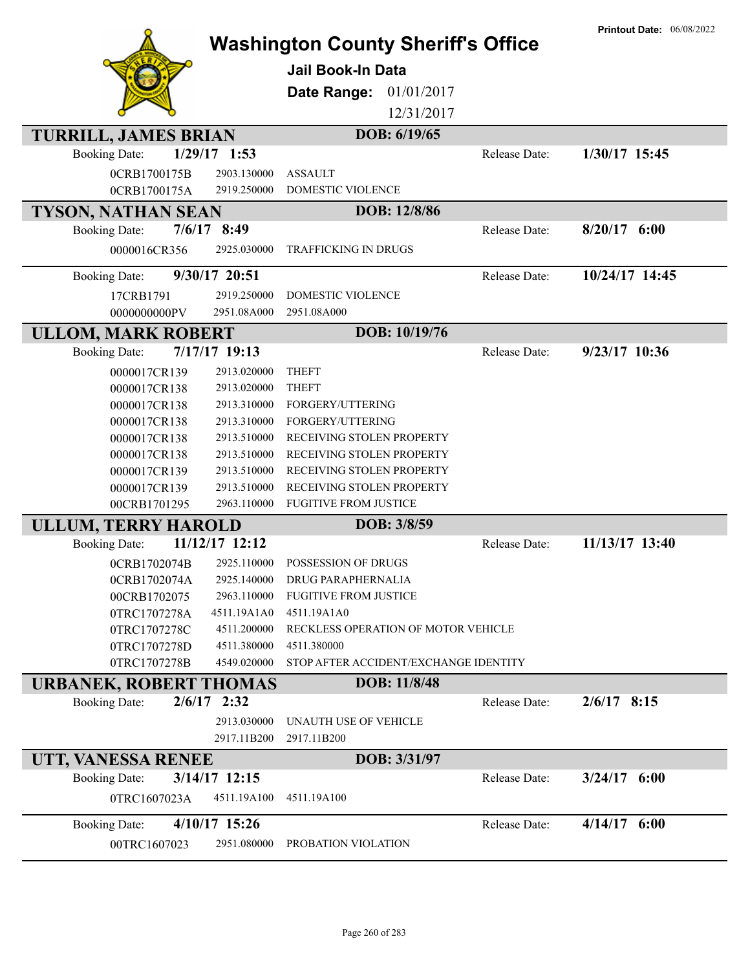| DOB: 6/19/65<br><b>TURRILL, JAMES BRIAN</b><br>$1/29/17$ 1:53<br>1/30/17 15:45<br><b>Booking Date:</b><br>Release Date:<br>0CRB1700175B<br>2903.130000<br><b>ASSAULT</b><br>2919.250000<br>DOMESTIC VIOLENCE<br>0CRB1700175A<br><b>TYSON, NATHAN SEAN</b><br>DOB: 12/8/86<br>$7/6/17$ 8:49<br>$8/20/17$ 6:00<br><b>Booking Date:</b><br>Release Date:<br>2925.030000<br><b>TRAFFICKING IN DRUGS</b><br>0000016CR356<br>10/24/17 14:45<br>9/30/17 20:51<br><b>Booking Date:</b><br>Release Date:<br>2919.250000<br>17CRB1791<br>DOMESTIC VIOLENCE<br>0000000000PV<br>2951.08A000<br>2951.08A000<br>DOB: 10/19/76<br><b>ULLOM, MARK ROBERT</b><br>7/17/17 19:13<br>9/23/17 10:36<br>Release Date:<br><b>Booking Date:</b><br><b>THEFT</b><br>0000017CR139<br>2913.020000<br>2913.020000<br><b>THEFT</b><br>0000017CR138<br>2913.310000<br>FORGERY/UTTERING<br>0000017CR138<br>2913.310000<br>FORGERY/UTTERING<br>0000017CR138<br>2913.510000<br>RECEIVING STOLEN PROPERTY<br>0000017CR138<br>2913.510000<br>RECEIVING STOLEN PROPERTY<br>0000017CR138<br>2913.510000<br>RECEIVING STOLEN PROPERTY<br>0000017CR139<br>2913.510000<br>RECEIVING STOLEN PROPERTY<br>0000017CR139<br>2963.110000<br><b>FUGITIVE FROM JUSTICE</b><br>00CRB1701295<br><b>ULLUM, TERRY HAROLD</b><br>DOB: 3/8/59<br>11/12/17 12:12<br>11/13/17 13:40<br><b>Booking Date:</b><br>Release Date:<br>2925.110000<br>POSSESSION OF DRUGS<br>0CRB1702074B<br>2925.140000<br><b>DRUG PARAPHERNALIA</b><br>0CRB1702074A<br><b>FUGITIVE FROM JUSTICE</b><br>2963.110000<br>00CRB1702075<br>4511.19A1A0<br>4511.19A1A0<br>0TRC1707278A<br>RECKLESS OPERATION OF MOTOR VEHICLE<br>4511.200000<br>0TRC1707278C<br>4511.380000<br>4511.380000<br>0TRC1707278D<br>STOP AFTER ACCIDENT/EXCHANGE IDENTITY<br>0TRC1707278B<br>4549.020000<br>DOB: 11/8/48<br><b>URBANEK, ROBERT THOMAS</b><br>$2/6/17$ 2:32<br><b>Booking Date:</b><br>Release Date:<br>$2/6/17$ 8:15<br>2913.030000<br>UNAUTH USE OF VEHICLE<br>2917.11B200<br>2917.11B200<br>DOB: 3/31/97<br>UTT, VANESSA RENEE<br>3/14/17 12:15<br>$3/24/17$ 6:00<br><b>Booking Date:</b><br>Release Date:<br>4511.19A100<br>0TRC1607023A<br>4511.19A100<br>4/10/17 15:26<br>$4/14/17$ 6:00<br><b>Booking Date:</b><br>Release Date:<br>2951.080000<br>PROBATION VIOLATION<br>00TRC1607023 |  | <b>Washington County Sheriff's Office</b><br><b>Jail Book-In Data</b><br>Date Range:<br>01/01/2017<br>12/31/2017 | <b>Printout Date: 06/08/2022</b> |
|-----------------------------------------------------------------------------------------------------------------------------------------------------------------------------------------------------------------------------------------------------------------------------------------------------------------------------------------------------------------------------------------------------------------------------------------------------------------------------------------------------------------------------------------------------------------------------------------------------------------------------------------------------------------------------------------------------------------------------------------------------------------------------------------------------------------------------------------------------------------------------------------------------------------------------------------------------------------------------------------------------------------------------------------------------------------------------------------------------------------------------------------------------------------------------------------------------------------------------------------------------------------------------------------------------------------------------------------------------------------------------------------------------------------------------------------------------------------------------------------------------------------------------------------------------------------------------------------------------------------------------------------------------------------------------------------------------------------------------------------------------------------------------------------------------------------------------------------------------------------------------------------------------------------------------------------------------------------------------------------------------------------------------------------------------------------------------------------------------------------------------------------------------------------------------------------------------------------------------------------------------------------------------------------------------|--|------------------------------------------------------------------------------------------------------------------|----------------------------------|
|                                                                                                                                                                                                                                                                                                                                                                                                                                                                                                                                                                                                                                                                                                                                                                                                                                                                                                                                                                                                                                                                                                                                                                                                                                                                                                                                                                                                                                                                                                                                                                                                                                                                                                                                                                                                                                                                                                                                                                                                                                                                                                                                                                                                                                                                                                     |  |                                                                                                                  |                                  |
|                                                                                                                                                                                                                                                                                                                                                                                                                                                                                                                                                                                                                                                                                                                                                                                                                                                                                                                                                                                                                                                                                                                                                                                                                                                                                                                                                                                                                                                                                                                                                                                                                                                                                                                                                                                                                                                                                                                                                                                                                                                                                                                                                                                                                                                                                                     |  |                                                                                                                  |                                  |
|                                                                                                                                                                                                                                                                                                                                                                                                                                                                                                                                                                                                                                                                                                                                                                                                                                                                                                                                                                                                                                                                                                                                                                                                                                                                                                                                                                                                                                                                                                                                                                                                                                                                                                                                                                                                                                                                                                                                                                                                                                                                                                                                                                                                                                                                                                     |  |                                                                                                                  |                                  |
|                                                                                                                                                                                                                                                                                                                                                                                                                                                                                                                                                                                                                                                                                                                                                                                                                                                                                                                                                                                                                                                                                                                                                                                                                                                                                                                                                                                                                                                                                                                                                                                                                                                                                                                                                                                                                                                                                                                                                                                                                                                                                                                                                                                                                                                                                                     |  |                                                                                                                  |                                  |
|                                                                                                                                                                                                                                                                                                                                                                                                                                                                                                                                                                                                                                                                                                                                                                                                                                                                                                                                                                                                                                                                                                                                                                                                                                                                                                                                                                                                                                                                                                                                                                                                                                                                                                                                                                                                                                                                                                                                                                                                                                                                                                                                                                                                                                                                                                     |  |                                                                                                                  |                                  |
|                                                                                                                                                                                                                                                                                                                                                                                                                                                                                                                                                                                                                                                                                                                                                                                                                                                                                                                                                                                                                                                                                                                                                                                                                                                                                                                                                                                                                                                                                                                                                                                                                                                                                                                                                                                                                                                                                                                                                                                                                                                                                                                                                                                                                                                                                                     |  |                                                                                                                  |                                  |
|                                                                                                                                                                                                                                                                                                                                                                                                                                                                                                                                                                                                                                                                                                                                                                                                                                                                                                                                                                                                                                                                                                                                                                                                                                                                                                                                                                                                                                                                                                                                                                                                                                                                                                                                                                                                                                                                                                                                                                                                                                                                                                                                                                                                                                                                                                     |  |                                                                                                                  |                                  |
|                                                                                                                                                                                                                                                                                                                                                                                                                                                                                                                                                                                                                                                                                                                                                                                                                                                                                                                                                                                                                                                                                                                                                                                                                                                                                                                                                                                                                                                                                                                                                                                                                                                                                                                                                                                                                                                                                                                                                                                                                                                                                                                                                                                                                                                                                                     |  |                                                                                                                  |                                  |
|                                                                                                                                                                                                                                                                                                                                                                                                                                                                                                                                                                                                                                                                                                                                                                                                                                                                                                                                                                                                                                                                                                                                                                                                                                                                                                                                                                                                                                                                                                                                                                                                                                                                                                                                                                                                                                                                                                                                                                                                                                                                                                                                                                                                                                                                                                     |  |                                                                                                                  |                                  |
|                                                                                                                                                                                                                                                                                                                                                                                                                                                                                                                                                                                                                                                                                                                                                                                                                                                                                                                                                                                                                                                                                                                                                                                                                                                                                                                                                                                                                                                                                                                                                                                                                                                                                                                                                                                                                                                                                                                                                                                                                                                                                                                                                                                                                                                                                                     |  |                                                                                                                  |                                  |
|                                                                                                                                                                                                                                                                                                                                                                                                                                                                                                                                                                                                                                                                                                                                                                                                                                                                                                                                                                                                                                                                                                                                                                                                                                                                                                                                                                                                                                                                                                                                                                                                                                                                                                                                                                                                                                                                                                                                                                                                                                                                                                                                                                                                                                                                                                     |  |                                                                                                                  |                                  |
|                                                                                                                                                                                                                                                                                                                                                                                                                                                                                                                                                                                                                                                                                                                                                                                                                                                                                                                                                                                                                                                                                                                                                                                                                                                                                                                                                                                                                                                                                                                                                                                                                                                                                                                                                                                                                                                                                                                                                                                                                                                                                                                                                                                                                                                                                                     |  |                                                                                                                  |                                  |
|                                                                                                                                                                                                                                                                                                                                                                                                                                                                                                                                                                                                                                                                                                                                                                                                                                                                                                                                                                                                                                                                                                                                                                                                                                                                                                                                                                                                                                                                                                                                                                                                                                                                                                                                                                                                                                                                                                                                                                                                                                                                                                                                                                                                                                                                                                     |  |                                                                                                                  |                                  |
|                                                                                                                                                                                                                                                                                                                                                                                                                                                                                                                                                                                                                                                                                                                                                                                                                                                                                                                                                                                                                                                                                                                                                                                                                                                                                                                                                                                                                                                                                                                                                                                                                                                                                                                                                                                                                                                                                                                                                                                                                                                                                                                                                                                                                                                                                                     |  |                                                                                                                  |                                  |
|                                                                                                                                                                                                                                                                                                                                                                                                                                                                                                                                                                                                                                                                                                                                                                                                                                                                                                                                                                                                                                                                                                                                                                                                                                                                                                                                                                                                                                                                                                                                                                                                                                                                                                                                                                                                                                                                                                                                                                                                                                                                                                                                                                                                                                                                                                     |  |                                                                                                                  |                                  |
|                                                                                                                                                                                                                                                                                                                                                                                                                                                                                                                                                                                                                                                                                                                                                                                                                                                                                                                                                                                                                                                                                                                                                                                                                                                                                                                                                                                                                                                                                                                                                                                                                                                                                                                                                                                                                                                                                                                                                                                                                                                                                                                                                                                                                                                                                                     |  |                                                                                                                  |                                  |
|                                                                                                                                                                                                                                                                                                                                                                                                                                                                                                                                                                                                                                                                                                                                                                                                                                                                                                                                                                                                                                                                                                                                                                                                                                                                                                                                                                                                                                                                                                                                                                                                                                                                                                                                                                                                                                                                                                                                                                                                                                                                                                                                                                                                                                                                                                     |  |                                                                                                                  |                                  |
|                                                                                                                                                                                                                                                                                                                                                                                                                                                                                                                                                                                                                                                                                                                                                                                                                                                                                                                                                                                                                                                                                                                                                                                                                                                                                                                                                                                                                                                                                                                                                                                                                                                                                                                                                                                                                                                                                                                                                                                                                                                                                                                                                                                                                                                                                                     |  |                                                                                                                  |                                  |
|                                                                                                                                                                                                                                                                                                                                                                                                                                                                                                                                                                                                                                                                                                                                                                                                                                                                                                                                                                                                                                                                                                                                                                                                                                                                                                                                                                                                                                                                                                                                                                                                                                                                                                                                                                                                                                                                                                                                                                                                                                                                                                                                                                                                                                                                                                     |  |                                                                                                                  |                                  |
|                                                                                                                                                                                                                                                                                                                                                                                                                                                                                                                                                                                                                                                                                                                                                                                                                                                                                                                                                                                                                                                                                                                                                                                                                                                                                                                                                                                                                                                                                                                                                                                                                                                                                                                                                                                                                                                                                                                                                                                                                                                                                                                                                                                                                                                                                                     |  |                                                                                                                  |                                  |
|                                                                                                                                                                                                                                                                                                                                                                                                                                                                                                                                                                                                                                                                                                                                                                                                                                                                                                                                                                                                                                                                                                                                                                                                                                                                                                                                                                                                                                                                                                                                                                                                                                                                                                                                                                                                                                                                                                                                                                                                                                                                                                                                                                                                                                                                                                     |  |                                                                                                                  |                                  |
|                                                                                                                                                                                                                                                                                                                                                                                                                                                                                                                                                                                                                                                                                                                                                                                                                                                                                                                                                                                                                                                                                                                                                                                                                                                                                                                                                                                                                                                                                                                                                                                                                                                                                                                                                                                                                                                                                                                                                                                                                                                                                                                                                                                                                                                                                                     |  |                                                                                                                  |                                  |
|                                                                                                                                                                                                                                                                                                                                                                                                                                                                                                                                                                                                                                                                                                                                                                                                                                                                                                                                                                                                                                                                                                                                                                                                                                                                                                                                                                                                                                                                                                                                                                                                                                                                                                                                                                                                                                                                                                                                                                                                                                                                                                                                                                                                                                                                                                     |  |                                                                                                                  |                                  |
|                                                                                                                                                                                                                                                                                                                                                                                                                                                                                                                                                                                                                                                                                                                                                                                                                                                                                                                                                                                                                                                                                                                                                                                                                                                                                                                                                                                                                                                                                                                                                                                                                                                                                                                                                                                                                                                                                                                                                                                                                                                                                                                                                                                                                                                                                                     |  |                                                                                                                  |                                  |
|                                                                                                                                                                                                                                                                                                                                                                                                                                                                                                                                                                                                                                                                                                                                                                                                                                                                                                                                                                                                                                                                                                                                                                                                                                                                                                                                                                                                                                                                                                                                                                                                                                                                                                                                                                                                                                                                                                                                                                                                                                                                                                                                                                                                                                                                                                     |  |                                                                                                                  |                                  |
|                                                                                                                                                                                                                                                                                                                                                                                                                                                                                                                                                                                                                                                                                                                                                                                                                                                                                                                                                                                                                                                                                                                                                                                                                                                                                                                                                                                                                                                                                                                                                                                                                                                                                                                                                                                                                                                                                                                                                                                                                                                                                                                                                                                                                                                                                                     |  |                                                                                                                  |                                  |
|                                                                                                                                                                                                                                                                                                                                                                                                                                                                                                                                                                                                                                                                                                                                                                                                                                                                                                                                                                                                                                                                                                                                                                                                                                                                                                                                                                                                                                                                                                                                                                                                                                                                                                                                                                                                                                                                                                                                                                                                                                                                                                                                                                                                                                                                                                     |  |                                                                                                                  |                                  |
|                                                                                                                                                                                                                                                                                                                                                                                                                                                                                                                                                                                                                                                                                                                                                                                                                                                                                                                                                                                                                                                                                                                                                                                                                                                                                                                                                                                                                                                                                                                                                                                                                                                                                                                                                                                                                                                                                                                                                                                                                                                                                                                                                                                                                                                                                                     |  |                                                                                                                  |                                  |
|                                                                                                                                                                                                                                                                                                                                                                                                                                                                                                                                                                                                                                                                                                                                                                                                                                                                                                                                                                                                                                                                                                                                                                                                                                                                                                                                                                                                                                                                                                                                                                                                                                                                                                                                                                                                                                                                                                                                                                                                                                                                                                                                                                                                                                                                                                     |  |                                                                                                                  |                                  |
|                                                                                                                                                                                                                                                                                                                                                                                                                                                                                                                                                                                                                                                                                                                                                                                                                                                                                                                                                                                                                                                                                                                                                                                                                                                                                                                                                                                                                                                                                                                                                                                                                                                                                                                                                                                                                                                                                                                                                                                                                                                                                                                                                                                                                                                                                                     |  |                                                                                                                  |                                  |
|                                                                                                                                                                                                                                                                                                                                                                                                                                                                                                                                                                                                                                                                                                                                                                                                                                                                                                                                                                                                                                                                                                                                                                                                                                                                                                                                                                                                                                                                                                                                                                                                                                                                                                                                                                                                                                                                                                                                                                                                                                                                                                                                                                                                                                                                                                     |  |                                                                                                                  |                                  |
|                                                                                                                                                                                                                                                                                                                                                                                                                                                                                                                                                                                                                                                                                                                                                                                                                                                                                                                                                                                                                                                                                                                                                                                                                                                                                                                                                                                                                                                                                                                                                                                                                                                                                                                                                                                                                                                                                                                                                                                                                                                                                                                                                                                                                                                                                                     |  |                                                                                                                  |                                  |
|                                                                                                                                                                                                                                                                                                                                                                                                                                                                                                                                                                                                                                                                                                                                                                                                                                                                                                                                                                                                                                                                                                                                                                                                                                                                                                                                                                                                                                                                                                                                                                                                                                                                                                                                                                                                                                                                                                                                                                                                                                                                                                                                                                                                                                                                                                     |  |                                                                                                                  |                                  |
|                                                                                                                                                                                                                                                                                                                                                                                                                                                                                                                                                                                                                                                                                                                                                                                                                                                                                                                                                                                                                                                                                                                                                                                                                                                                                                                                                                                                                                                                                                                                                                                                                                                                                                                                                                                                                                                                                                                                                                                                                                                                                                                                                                                                                                                                                                     |  |                                                                                                                  |                                  |
|                                                                                                                                                                                                                                                                                                                                                                                                                                                                                                                                                                                                                                                                                                                                                                                                                                                                                                                                                                                                                                                                                                                                                                                                                                                                                                                                                                                                                                                                                                                                                                                                                                                                                                                                                                                                                                                                                                                                                                                                                                                                                                                                                                                                                                                                                                     |  |                                                                                                                  |                                  |
|                                                                                                                                                                                                                                                                                                                                                                                                                                                                                                                                                                                                                                                                                                                                                                                                                                                                                                                                                                                                                                                                                                                                                                                                                                                                                                                                                                                                                                                                                                                                                                                                                                                                                                                                                                                                                                                                                                                                                                                                                                                                                                                                                                                                                                                                                                     |  |                                                                                                                  |                                  |
|                                                                                                                                                                                                                                                                                                                                                                                                                                                                                                                                                                                                                                                                                                                                                                                                                                                                                                                                                                                                                                                                                                                                                                                                                                                                                                                                                                                                                                                                                                                                                                                                                                                                                                                                                                                                                                                                                                                                                                                                                                                                                                                                                                                                                                                                                                     |  |                                                                                                                  |                                  |
|                                                                                                                                                                                                                                                                                                                                                                                                                                                                                                                                                                                                                                                                                                                                                                                                                                                                                                                                                                                                                                                                                                                                                                                                                                                                                                                                                                                                                                                                                                                                                                                                                                                                                                                                                                                                                                                                                                                                                                                                                                                                                                                                                                                                                                                                                                     |  |                                                                                                                  |                                  |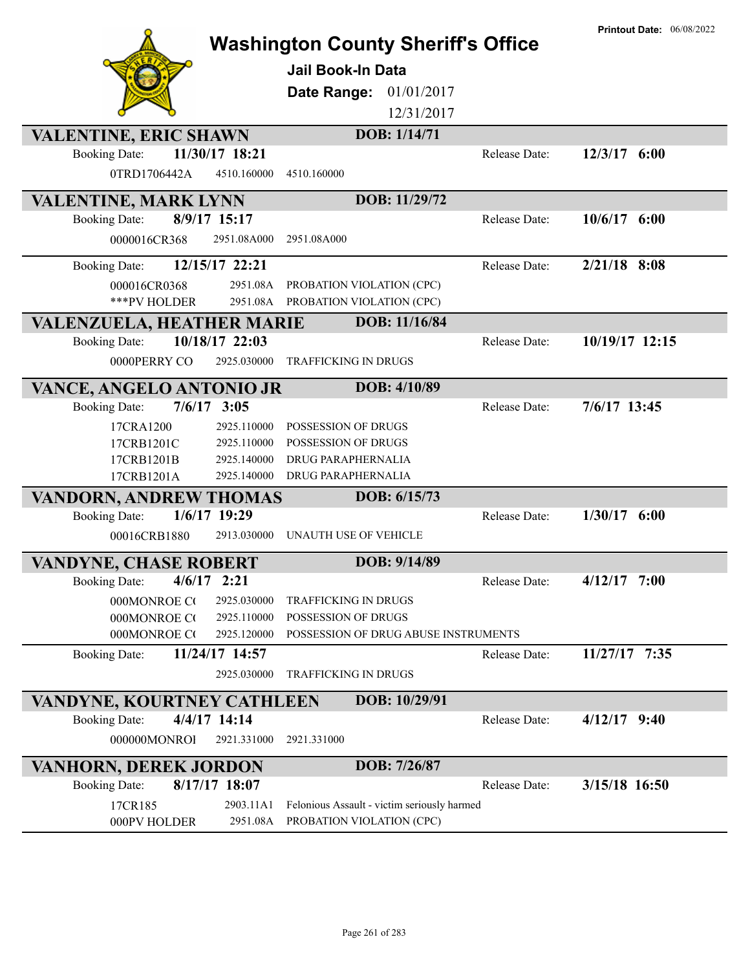|                                       |                               | <b>Washington County Sheriff's Office</b><br><b>Jail Book-In Data</b><br>Date Range:<br>01/01/2017<br>12/31/2017 |               | <b>Printout Date: 06/08/2022</b> |
|---------------------------------------|-------------------------------|------------------------------------------------------------------------------------------------------------------|---------------|----------------------------------|
| VALENTINE, ERIC SHAWN                 |                               | DOB: 1/14/71                                                                                                     |               |                                  |
| <b>Booking Date:</b><br>0TRD1706442A  | 11/30/17 18:21<br>4510.160000 | 4510.160000                                                                                                      | Release Date: | $12/3/17$ 6:00                   |
| VALENTINE, MARK LYNN                  |                               | DOB: 11/29/72                                                                                                    |               |                                  |
| <b>Booking Date:</b>                  | 8/9/17 15:17                  |                                                                                                                  | Release Date: | $10/6/17$ 6:00                   |
| 0000016CR368                          | 2951.08A000                   | 2951.08A000                                                                                                      |               |                                  |
| <b>Booking Date:</b>                  | 12/15/17 22:21                |                                                                                                                  | Release Date: | $2/21/18$ 8:08                   |
| 000016CR0368                          | 2951.08A                      | PROBATION VIOLATION (CPC)                                                                                        |               |                                  |
| ***PV HOLDER                          | 2951.08A                      | PROBATION VIOLATION (CPC)                                                                                        |               |                                  |
| VALENZUELA, HEATHER MARIE             |                               | DOB: 11/16/84                                                                                                    |               |                                  |
| <b>Booking Date:</b>                  | 10/18/17 22:03                |                                                                                                                  | Release Date: | 10/19/17 12:15                   |
| 0000PERRY CO                          | 2925.030000                   | TRAFFICKING IN DRUGS                                                                                             |               |                                  |
| VANCE, ANGELO ANTONIO JR              |                               | DOB: 4/10/89                                                                                                     |               |                                  |
| $7/6/17$ 3:05<br><b>Booking Date:</b> |                               |                                                                                                                  | Release Date: | 7/6/17 13:45                     |
| 17CRA1200                             | 2925.110000                   | POSSESSION OF DRUGS                                                                                              |               |                                  |
| 17CRB1201C                            | 2925.110000                   | POSSESSION OF DRUGS                                                                                              |               |                                  |
| 17CRB1201B                            | 2925.140000                   | <b>DRUG PARAPHERNALIA</b>                                                                                        |               |                                  |
| 17CRB1201A                            | 2925.140000                   | DRUG PARAPHERNALIA                                                                                               |               |                                  |
| <b>VANDORN, ANDREW THOMAS</b>         |                               | DOB: 6/15/73                                                                                                     |               |                                  |
| <b>Booking Date:</b>                  | $1/6/17$ 19:29                |                                                                                                                  | Release Date: | $1/30/17$ 6:00                   |
| 00016CRB1880                          | 2913.030000                   | UNAUTH USE OF VEHICLE                                                                                            |               |                                  |
| <b>VANDYNE, CHASE ROBERT</b>          |                               | DOB: 9/14/89                                                                                                     |               |                                  |
| $4/6/17$ 2:21<br><b>Booking Date:</b> |                               |                                                                                                                  | Release Date: | $4/12/17$ 7:00                   |
| 000MONROE CO                          | 2925.030000                   | <b>TRAFFICKING IN DRUGS</b>                                                                                      |               |                                  |
| 000MONROE CO                          | 2925.110000                   | POSSESSION OF DRUGS                                                                                              |               |                                  |
| 000MONROE CO                          | 2925.120000                   | POSSESSION OF DRUG ABUSE INSTRUMENTS                                                                             |               |                                  |
| <b>Booking Date:</b>                  | 11/24/17 14:57                |                                                                                                                  | Release Date: | 11/27/17 7:35                    |
|                                       | 2925.030000                   | TRAFFICKING IN DRUGS                                                                                             |               |                                  |
| VANDYNE, KOURTNEY CATHLEEN            |                               | DOB: 10/29/91                                                                                                    |               |                                  |
| <b>Booking Date:</b>                  | 4/4/17 14:14                  |                                                                                                                  | Release Date: | $4/12/17$ 9:40                   |
| 000000MONROI                          | 2921.331000                   | 2921.331000                                                                                                      |               |                                  |
| <b>VANHORN, DEREK JORDON</b>          |                               | DOB: 7/26/87                                                                                                     |               |                                  |
| <b>Booking Date:</b>                  | $8/17/17$ 18:07               |                                                                                                                  | Release Date: | 3/15/18 16:50                    |
| 17CR185<br>000PV HOLDER               | 2903.11A1                     | Felonious Assault - victim seriously harmed<br>2951.08A PROBATION VIOLATION (CPC)                                |               |                                  |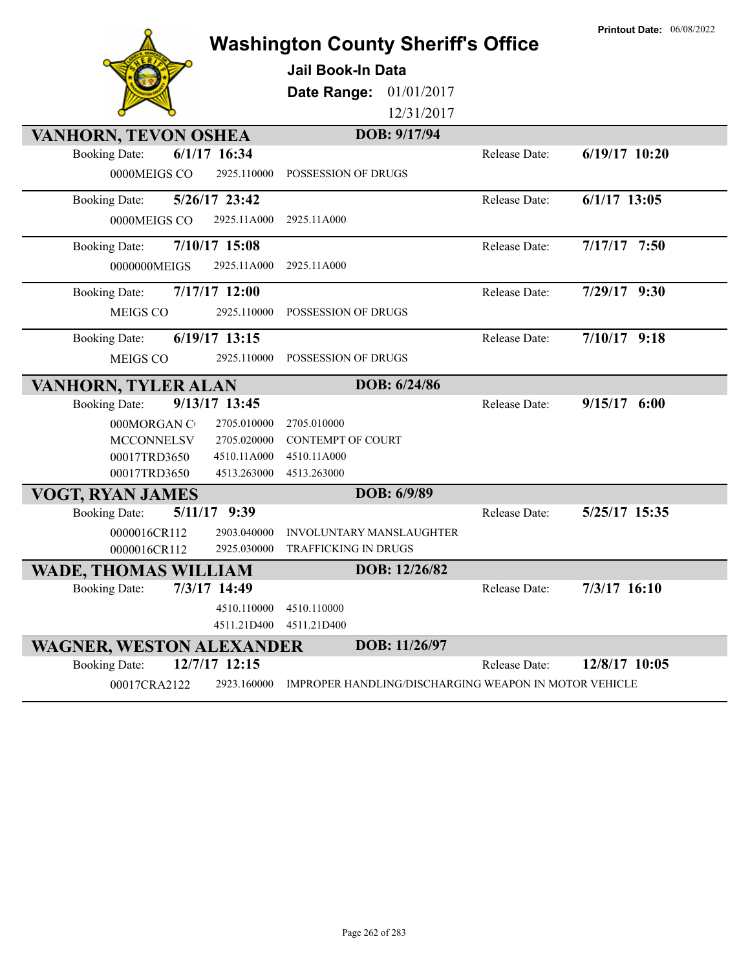|                                                                     |                            | <b>Washington County Sheriff's Office</b>               |               | <b>Printout Date: 06/08/2022</b> |
|---------------------------------------------------------------------|----------------------------|---------------------------------------------------------|---------------|----------------------------------|
|                                                                     |                            | <b>Jail Book-In Data</b>                                |               |                                  |
|                                                                     |                            | 01/01/2017<br>Date Range:                               |               |                                  |
|                                                                     |                            | 12/31/2017                                              |               |                                  |
| VANHORN, TEVON OSHEA                                                |                            | DOB: 9/17/94                                            |               |                                  |
| $6/1/17$ 16:34<br><b>Booking Date:</b>                              |                            |                                                         | Release Date: | $6/19/17$ 10:20                  |
| 0000MEIGS CO                                                        | 2925.110000                | POSSESSION OF DRUGS                                     |               |                                  |
| <b>Booking Date:</b>                                                | 5/26/17 23:42              |                                                         | Release Date: | $6/1/17$ 13:05                   |
| 0000MEIGS CO                                                        | 2925.11A000                | 2925.11A000                                             |               |                                  |
| <b>Booking Date:</b>                                                | $7/10/17$ 15:08            |                                                         | Release Date: | $7/17/17$ 7:50                   |
| 0000000MEIGS                                                        | 2925.11A000                | 2925.11A000                                             |               |                                  |
| <b>Booking Date:</b>                                                | $7/17/17$ 12:00            |                                                         | Release Date: | 7/29/17 9:30                     |
| <b>MEIGS CO</b>                                                     | 2925.110000                | POSSESSION OF DRUGS                                     |               |                                  |
| <b>Booking Date:</b>                                                | $6/19/17$ 13:15            |                                                         | Release Date: | $7/10/17$ 9:18                   |
| MEIGS CO                                                            | 2925.110000                | POSSESSION OF DRUGS                                     |               |                                  |
| VANHORN, TYLER ALAN                                                 |                            | DOB: 6/24/86                                            |               |                                  |
| <b>Booking Date:</b>                                                | 9/13/17 13:45              |                                                         | Release Date: | $9/15/17$ 6:00                   |
|                                                                     |                            |                                                         |               |                                  |
| 000MORGAN C                                                         | 2705.010000                | 2705.010000                                             |               |                                  |
| MCCONNELSV.                                                         | 2705.020000                | <b>CONTEMPT OF COURT</b>                                |               |                                  |
| 00017TRD3650                                                        | 4510.11A000                | 4510.11A000                                             |               |                                  |
| 00017TRD3650                                                        | 4513.263000                | 4513.263000                                             |               |                                  |
| VOGT, RYAN JAMES                                                    |                            | DOB: 6/9/89                                             |               |                                  |
| <b>Booking Date:</b>                                                | 5/11/17 9:39               |                                                         | Release Date: | 5/25/17 15:35                    |
| 0000016CR112<br>0000016CR112                                        | 2903.040000<br>2925.030000 | <b>INVOLUNTARY MANSLAUGHTER</b><br>TRAFFICKING IN DRUGS |               |                                  |
|                                                                     |                            | DOB: 12/26/82                                           |               |                                  |
| <b>WADE, THOMAS WILLIAM</b><br>7/3/17 14:49<br><b>Booking Date:</b> |                            |                                                         | Release Date: | $7/3/17$ 16:10                   |
|                                                                     | 4510.110000                | 4510.110000                                             |               |                                  |
|                                                                     | 4511.21D400                | 4511.21D400                                             |               |                                  |
| <b>WAGNER, WESTON ALEXANDER</b>                                     |                            | DOB: 11/26/97                                           |               |                                  |
| <b>Booking Date:</b>                                                | 12/7/17 12:15              |                                                         | Release Date: | 12/8/17 10:05                    |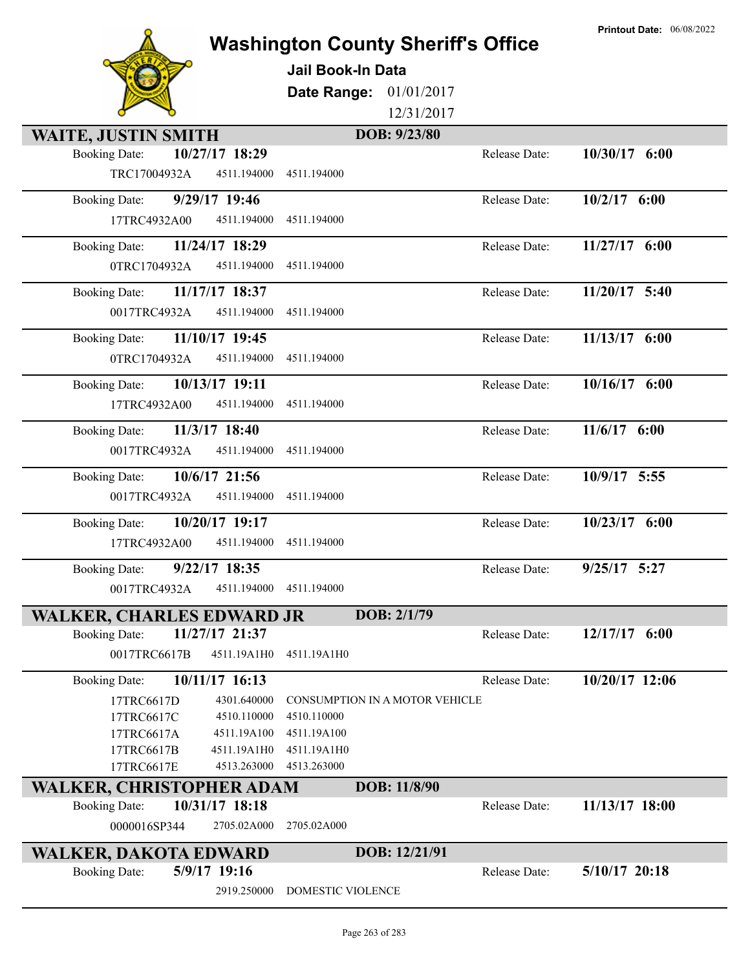| <b>Washington County Sheriff's Office</b> |
|-------------------------------------------|
| Tail Daigh In Data                        |



## **Jail Book-In Data**

**Date Range:** 01/01/2017

12/31/2017

| <b>WAITE, JUSTIN SMITH</b>              | DOB: 9/23/80                          |                                   |
|-----------------------------------------|---------------------------------------|-----------------------------------|
| 10/27/17 18:29<br><b>Booking Date:</b>  |                                       | 10/30/17 6:00<br>Release Date:    |
| TRC17004932A<br>4511.194000             | 4511.194000                           |                                   |
| 9/29/17 19:46<br><b>Booking Date:</b>   |                                       | $10/2/17$ 6:00<br>Release Date:   |
| 4511.194000<br>17TRC4932A00             | 4511.194000                           |                                   |
| <b>Booking Date:</b><br>11/24/17 18:29  |                                       | $11/27/17$ 6:00<br>Release Date:  |
| 0TRC1704932A<br>4511.194000             | 4511.194000                           |                                   |
| 11/17/17 18:37<br><b>Booking Date:</b>  |                                       | $11/20/17$ 5:40<br>Release Date:  |
| 4511.194000<br>0017TRC4932A             | 4511.194000                           |                                   |
| 11/10/17 19:45<br><b>Booking Date:</b>  |                                       | 11/13/17 6:00<br>Release Date:    |
| 0TRC1704932A<br>4511.194000             | 4511.194000                           |                                   |
| 10/13/17 19:11<br><b>Booking Date:</b>  |                                       | 10/16/17 6:00<br>Release Date:    |
| 17TRC4932A00<br>4511.194000             | 4511.194000                           |                                   |
| 11/3/17 18:40<br><b>Booking Date:</b>   |                                       | $11/6/17$ 6:00<br>Release Date:   |
| 4511.194000<br>0017TRC4932A             | 4511.194000                           |                                   |
| 10/6/17 21:56<br><b>Booking Date:</b>   |                                       | 10/9/17 5:55<br>Release Date:     |
| 0017TRC4932A<br>4511.194000             | 4511.194000                           |                                   |
| 10/20/17 19:17<br><b>Booking Date:</b>  |                                       | 10/23/17 6:00<br>Release Date:    |
| 17TRC4932A00<br>4511.194000             | 4511.194000                           |                                   |
| <b>Booking Date:</b><br>$9/22/17$ 18:35 |                                       | $9/25/17$ 5:27<br>Release Date:   |
| 0017TRC4932A<br>4511.194000             | 4511.194000                           |                                   |
| <b>WALKER, CHARLES EDWARD JR</b>        | DOB: 2/1/79                           |                                   |
| 11/27/17 21:37<br><b>Booking Date:</b>  |                                       | 12/17/17<br>Release Date:<br>6:00 |
| 4511.19A1H0<br>0017TRC6617B             | 4511.19A1H0                           |                                   |
| 10/11/17 16:13<br><b>Booking Date:</b>  |                                       | 10/20/17 12:06<br>Release Date:   |
| 4301.640000<br>17TRC6617D               | <b>CONSUMPTION IN A MOTOR VEHICLE</b> |                                   |
| 4510.110000<br>17TRC6617C               | 4510.110000                           |                                   |
| 4511.19A100<br>17TRC6617A               | 4511.19A100                           |                                   |
| 4511.19A1H0<br>17TRC6617B               | 4511.19A1H0                           |                                   |
| 4513.263000<br>17TRC6617E               | 4513.263000                           |                                   |
| WALKER, CHRISTOPHER ADAM                | DOB: 11/8/90                          |                                   |
| 10/31/17 18:18<br><b>Booking Date:</b>  |                                       | 11/13/17 18:00<br>Release Date:   |
| 0000016SP344<br>2705.02A000             | 2705.02A000                           |                                   |
| WALKER, DAKOTA EDWARD                   | DOB: 12/21/91                         |                                   |
| 5/9/17 19:16<br><b>Booking Date:</b>    |                                       | $5/10/17$ 20:18<br>Release Date:  |
| 2919.250000                             | DOMESTIC VIOLENCE                     |                                   |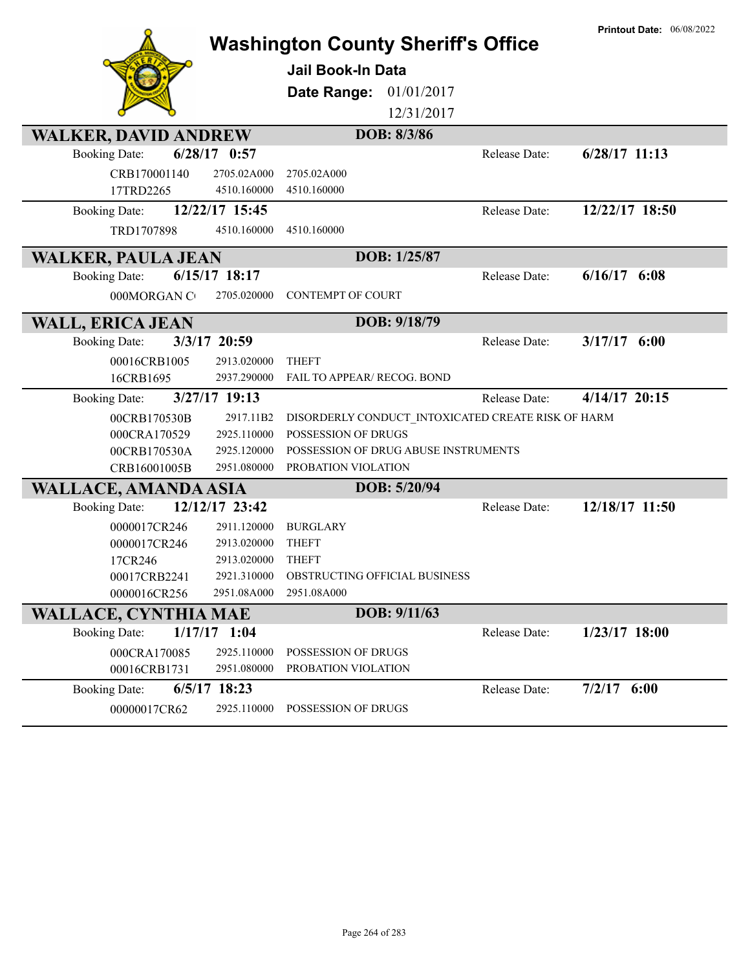|                                                                       |                            | <b>Washington County Sheriff's Office</b>                   |               | <b>Printout Date: 06/08/2022</b> |
|-----------------------------------------------------------------------|----------------------------|-------------------------------------------------------------|---------------|----------------------------------|
|                                                                       |                            | Jail Book-In Data                                           |               |                                  |
|                                                                       |                            | 01/01/2017<br>Date Range:                                   |               |                                  |
|                                                                       |                            | 12/31/2017                                                  |               |                                  |
| <b>WALKER, DAVID ANDREW</b>                                           |                            | DOB: 8/3/86                                                 |               |                                  |
| $6/28/17$ 0:57<br><b>Booking Date:</b>                                |                            |                                                             | Release Date: | $6/28/17$ 11:13                  |
| CRB170001140                                                          | 2705.02A000                | 2705.02A000                                                 |               |                                  |
| 17TRD2265                                                             | 4510.160000                | 4510.160000                                                 |               |                                  |
| 12/22/17 15:45<br><b>Booking Date:</b>                                |                            |                                                             | Release Date: | 12/22/17 18:50                   |
| TRD1707898                                                            | 4510.160000                | 4510.160000                                                 |               |                                  |
| <b>WALKER, PAULA JEAN</b>                                             |                            | DOB: 1/25/87                                                |               |                                  |
| $6/15/17$ 18:17<br><b>Booking Date:</b>                               |                            |                                                             | Release Date: | $6/16/17$ $6:08$                 |
| 000MORGAN CO                                                          | 2705.020000                | CONTEMPT OF COURT                                           |               |                                  |
| <b>WALL, ERICA JEAN</b>                                               |                            | DOB: 9/18/79                                                |               |                                  |
| 3/3/17 20:59<br><b>Booking Date:</b>                                  |                            |                                                             | Release Date: | $3/17/17$ 6:00                   |
| 00016CRB1005                                                          | 2913.020000                | <b>THEFT</b>                                                |               |                                  |
| 16CRB1695                                                             | 2937.290000                | FAIL TO APPEAR/ RECOG. BOND                                 |               |                                  |
| $3/27/17$ 19:13<br><b>Booking Date:</b>                               |                            |                                                             | Release Date: | $4/14/17$ 20:15                  |
| 00CRB170530B                                                          | 2917.11B2                  | DISORDERLY CONDUCT INTOXICATED CREATE RISK OF HARM          |               |                                  |
| 000CRA170529                                                          | 2925.110000                | POSSESSION OF DRUGS                                         |               |                                  |
| 00CRB170530A<br>CRB16001005B                                          | 2925.120000<br>2951.080000 | POSSESSION OF DRUG ABUSE INSTRUMENTS<br>PROBATION VIOLATION |               |                                  |
|                                                                       |                            |                                                             |               |                                  |
| <b>WALLACE, AMANDA ASIA</b><br>12/12/17 23:42<br><b>Booking Date:</b> |                            | DOB: 5/20/94                                                | Release Date: | 12/18/17 11:50                   |
|                                                                       | 2911.120000                | <b>BURGLARY</b>                                             |               |                                  |
| 0000017CR246<br>0000017CR246                                          | 2913.020000                | <b>THEFT</b>                                                |               |                                  |
| 17CR246                                                               | 2913.020000                | <b>THEFT</b>                                                |               |                                  |
| 00017CRB2241                                                          | 2921.310000                | <b>OBSTRUCTING OFFICIAL BUSINESS</b>                        |               |                                  |
| 0000016CR256                                                          | 2951.08A000                | 2951.08A000                                                 |               |                                  |
| <b>WALLACE, CYNTHIA MAE</b>                                           |                            | DOB: 9/11/63                                                |               |                                  |
| $1/17/17$ 1:04<br><b>Booking Date:</b>                                |                            |                                                             | Release Date: | $1/23/17$ 18:00                  |
| 000CRA170085                                                          | 2925.110000                | POSSESSION OF DRUGS                                         |               |                                  |
| 00016CRB1731                                                          | 2951.080000                | PROBATION VIOLATION                                         |               |                                  |
| 6/5/17 18:23<br><b>Booking Date:</b>                                  |                            |                                                             | Release Date: | $7/2/17$ 6:00                    |
| 00000017CR62                                                          | 2925.110000                | POSSESSION OF DRUGS                                         |               |                                  |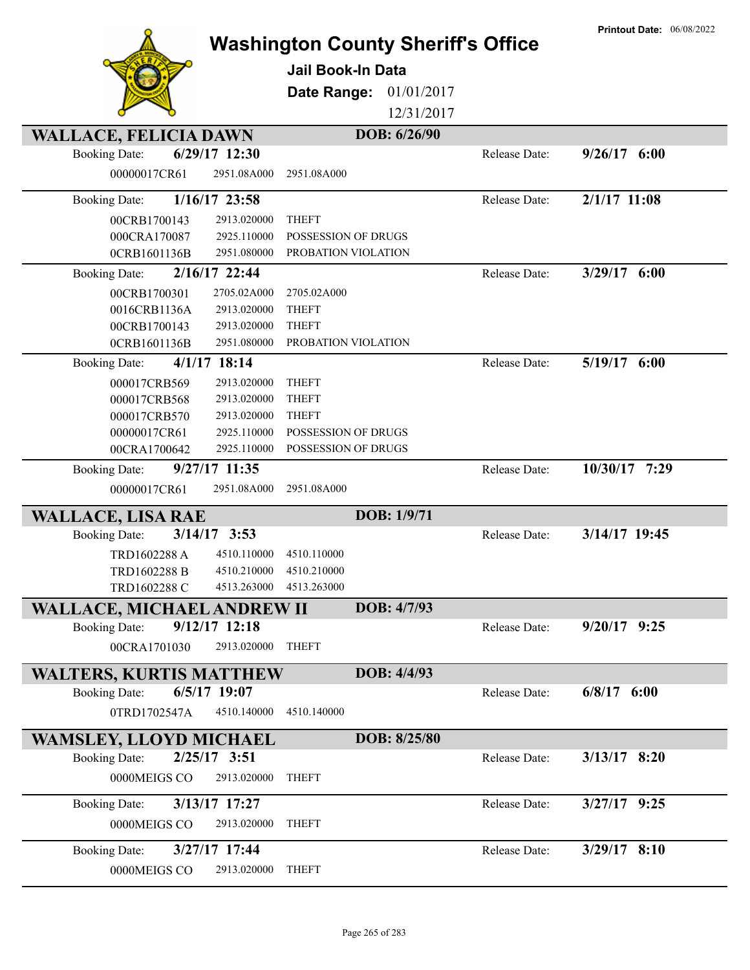|                                |                | <b>Washington County Sheriff's Office</b><br><b>Jail Book-In Data</b> |              |               | <b>Printout Date: 06/08/2022</b> |
|--------------------------------|----------------|-----------------------------------------------------------------------|--------------|---------------|----------------------------------|
|                                |                | Date Range:                                                           | 01/01/2017   |               |                                  |
|                                |                |                                                                       | 12/31/2017   |               |                                  |
| <b>WALLACE, FELICIA DAWN</b>   |                |                                                                       | DOB: 6/26/90 |               |                                  |
| <b>Booking Date:</b>           | 6/29/17 12:30  |                                                                       |              | Release Date: | $9/26/17$ 6:00                   |
| 00000017CR61                   | 2951.08A000    | 2951.08A000                                                           |              |               |                                  |
| <b>Booking Date:</b>           | 1/16/17 23:58  |                                                                       |              | Release Date: | $2/1/17$ 11:08                   |
| 00CRB1700143                   | 2913.020000    | <b>THEFT</b>                                                          |              |               |                                  |
| 000CRA170087                   | 2925.110000    | POSSESSION OF DRUGS                                                   |              |               |                                  |
| 0CRB1601136B                   | 2951.080000    | PROBATION VIOLATION                                                   |              |               |                                  |
| <b>Booking Date:</b>           | 2/16/17 22:44  |                                                                       |              | Release Date: | $3/29/17$ 6:00                   |
| 00CRB1700301                   | 2705.02A000    | 2705.02A000                                                           |              |               |                                  |
| 0016CRB1136A                   | 2913.020000    | <b>THEFT</b>                                                          |              |               |                                  |
| 00CRB1700143                   | 2913.020000    | <b>THEFT</b>                                                          |              |               |                                  |
| 0CRB1601136B                   | 2951.080000    | PROBATION VIOLATION                                                   |              |               |                                  |
| <b>Booking Date:</b>           | $4/1/17$ 18:14 |                                                                       |              | Release Date: | 5/19/17 6:00                     |
| 000017CRB569                   | 2913.020000    | <b>THEFT</b>                                                          |              |               |                                  |
| 000017CRB568                   | 2913.020000    | <b>THEFT</b>                                                          |              |               |                                  |
| 000017CRB570                   | 2913.020000    | <b>THEFT</b>                                                          |              |               |                                  |
| 00000017CR61                   | 2925.110000    | POSSESSION OF DRUGS                                                   |              |               |                                  |
| 00CRA1700642                   | 2925.110000    | POSSESSION OF DRUGS                                                   |              |               |                                  |
| <b>Booking Date:</b>           | 9/27/17 11:35  |                                                                       |              | Release Date: | 10/30/17 7:29                    |
| 00000017CR61                   | 2951.08A000    | 2951.08A000                                                           |              |               |                                  |
| <b>WALLACE, LISA RAE</b>       |                |                                                                       | DOB: 1/9/71  |               |                                  |
| <b>Booking Date:</b>           | $3/14/17$ 3:53 |                                                                       |              | Release Date: | 3/14/17 19:45                    |
| TRD1602288 A                   | 4510.110000    | 4510.110000                                                           |              |               |                                  |
| TRD1602288 B                   | 4510.210000    | 4510.210000                                                           |              |               |                                  |
| TRD1602288 C                   | 4513.263000    | 4513.263000                                                           |              |               |                                  |
| WALLACE, MICHAEL ANDREW II     |                |                                                                       | DOB: 4/7/93  |               |                                  |
| <b>Booking Date:</b>           | 9/12/17 12:18  |                                                                       |              | Release Date: | $9/20/17$ $9:25$                 |
| 00CRA1701030                   | 2913.020000    | <b>THEFT</b>                                                          |              |               |                                  |
| <b>WALTERS, KURTIS MATTHEW</b> |                |                                                                       | DOB: 4/4/93  |               |                                  |
| <b>Booking Date:</b>           | 6/5/17 19:07   |                                                                       |              | Release Date: | $6/8/17$ $6:00$                  |
| 0TRD1702547A                   | 4510.140000    | 4510.140000                                                           |              |               |                                  |
|                                |                |                                                                       |              |               |                                  |
| <b>WAMSLEY, LLOYD MICHAEL</b>  |                |                                                                       | DOB: 8/25/80 |               |                                  |
| <b>Booking Date:</b>           | $2/25/17$ 3:51 |                                                                       |              | Release Date: | $3/13/17$ 8:20                   |
| 0000MEIGS CO                   | 2913.020000    | <b>THEFT</b>                                                          |              |               |                                  |
| <b>Booking Date:</b>           | 3/13/17 17:27  |                                                                       |              | Release Date: | $3/27/17$ 9:25                   |
| 0000MEIGS CO                   | 2913.020000    | <b>THEFT</b>                                                          |              |               |                                  |
| <b>Booking Date:</b>           | 3/27/17 17:44  |                                                                       |              | Release Date: | $3/29/17$ 8:10                   |
|                                |                |                                                                       |              |               |                                  |
| 0000MEIGS CO                   | 2913.020000    | <b>THEFT</b>                                                          |              |               |                                  |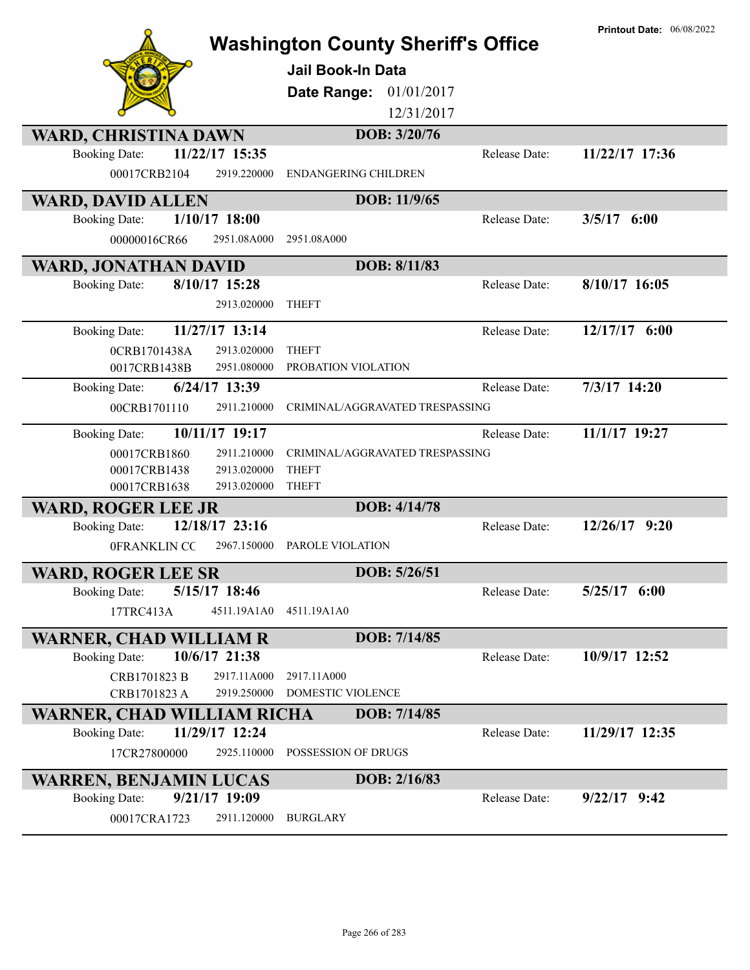|                                                                       | <b>Washington County Sheriff's Office</b><br><b>Jail Book-In Data</b><br>Date Range:<br>01/01/2017<br>12/31/2017 | <b>Printout Date: 06/08/2022</b>  |
|-----------------------------------------------------------------------|------------------------------------------------------------------------------------------------------------------|-----------------------------------|
| WARD, CHRISTINA DAWN                                                  | DOB: 3/20/76                                                                                                     |                                   |
| 11/22/17 15:35<br><b>Booking Date:</b><br>00017CRB2104<br>2919.220000 | <b>ENDANGERING CHILDREN</b>                                                                                      | 11/22/17 17:36<br>Release Date:   |
| <b>WARD, DAVID ALLEN</b>                                              | DOB: 11/9/65                                                                                                     |                                   |
| $1/10/17$ 18:00<br><b>Booking Date:</b>                               |                                                                                                                  | $3/5/17$ 6:00<br>Release Date:    |
| 2951.08A000<br>00000016CR66                                           | 2951.08A000                                                                                                      |                                   |
| <b>WARD, JONATHAN DAVID</b>                                           | DOB: 8/11/83                                                                                                     |                                   |
| 8/10/17 15:28<br><b>Booking Date:</b>                                 |                                                                                                                  | 8/10/17 16:05<br>Release Date:    |
| 2913.020000                                                           | <b>THEFT</b>                                                                                                     |                                   |
| 11/27/17 13:14<br><b>Booking Date:</b>                                |                                                                                                                  | 12/17/17 6:00<br>Release Date:    |
| 2913.020000<br>0CRB1701438A                                           | <b>THEFT</b>                                                                                                     |                                   |
| 2951.080000<br>0017CRB1438B                                           | PROBATION VIOLATION                                                                                              |                                   |
| 6/24/17 13:39<br><b>Booking Date:</b>                                 |                                                                                                                  | 7/3/17 14:20<br>Release Date:     |
| 00CRB1701110<br>2911.210000                                           | CRIMINAL/AGGRAVATED TRESPASSING                                                                                  |                                   |
| 10/11/17 19:17<br><b>Booking Date:</b>                                |                                                                                                                  | 11/1/17 19:27<br>Release Date:    |
| 00017CRB1860<br>2911.210000                                           | CRIMINAL/AGGRAVATED TRESPASSING                                                                                  |                                   |
| 00017CRB1438<br>2913.020000                                           | <b>THEFT</b>                                                                                                     |                                   |
| 00017CRB1638<br>2913.020000                                           | <b>THEFT</b>                                                                                                     |                                   |
| <b>WARD, ROGER LEE JR</b>                                             | DOB: 4/14/78                                                                                                     |                                   |
| 12/18/17 23:16<br><b>Booking Date:</b>                                |                                                                                                                  | 12/26/17<br>9:20<br>Release Date: |
| 2967.150000<br>0FRANKLIN CC                                           | PAROLE VIOLATION                                                                                                 |                                   |
| <b>WARD, ROGER LEE SR</b>                                             | DOB: 5/26/51                                                                                                     |                                   |
| 5/15/17 18:46<br><b>Booking Date:</b>                                 |                                                                                                                  | $5/25/17$ 6:00<br>Release Date:   |
| 17TRC413A<br>4511.19A1A0                                              | 4511.19A1A0                                                                                                      |                                   |
| <b>WARNER, CHAD WILLIAM R</b>                                         | DOB: 7/14/85                                                                                                     |                                   |
| 10/6/17 21:38<br><b>Booking Date:</b>                                 |                                                                                                                  | 10/9/17 12:52<br>Release Date:    |
| CRB1701823 B<br>2917.11A000                                           | 2917.11A000                                                                                                      |                                   |
| CRB1701823 A<br>2919.250000                                           | <b>DOMESTIC VIOLENCE</b>                                                                                         |                                   |
| WARNER, CHAD WILLIAM RICHA                                            | DOB: 7/14/85                                                                                                     |                                   |
| 11/29/17 12:24<br><b>Booking Date:</b>                                |                                                                                                                  | 11/29/17 12:35<br>Release Date:   |
| 17CR27800000<br>2925.110000                                           | POSSESSION OF DRUGS                                                                                              |                                   |
| <b>WARREN, BENJAMIN LUCAS</b>                                         | DOB: 2/16/83                                                                                                     |                                   |
| 9/21/17 19:09<br><b>Booking Date:</b>                                 |                                                                                                                  | $9/22/17$ 9:42<br>Release Date:   |
| 00017CRA1723<br>2911.120000                                           | <b>BURGLARY</b>                                                                                                  |                                   |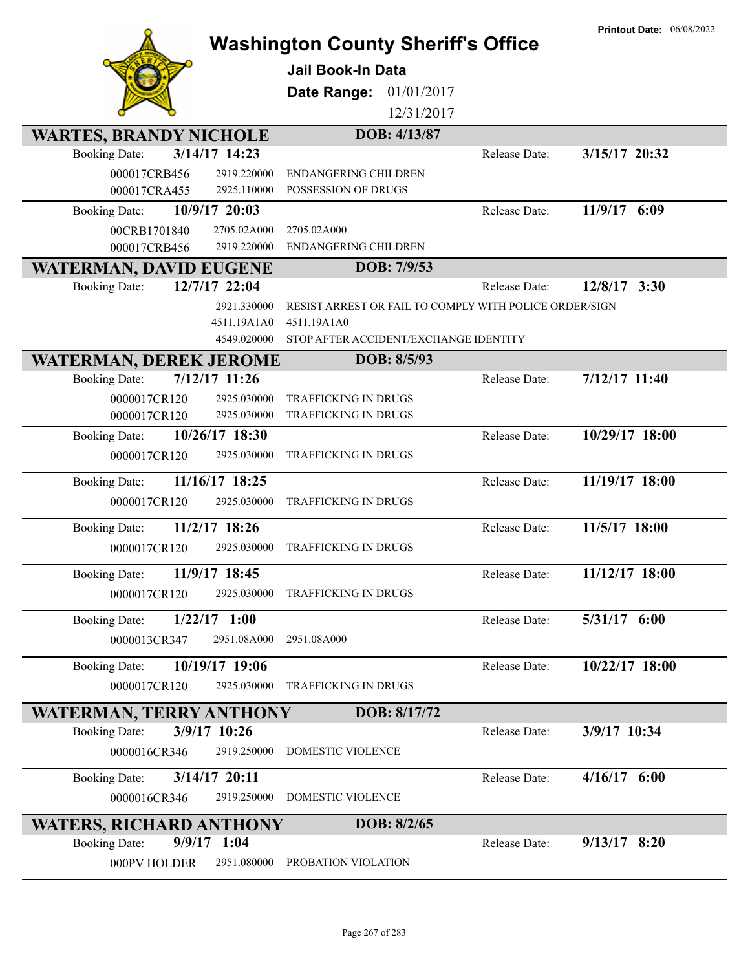|                                         |                                                        |               | <b>Printout Date: 06/08/2022</b> |
|-----------------------------------------|--------------------------------------------------------|---------------|----------------------------------|
|                                         | <b>Washington County Sheriff's Office</b>              |               |                                  |
|                                         | <b>Jail Book-In Data</b>                               |               |                                  |
|                                         | 01/01/2017<br>Date Range:                              |               |                                  |
|                                         | 12/31/2017                                             |               |                                  |
|                                         |                                                        |               |                                  |
| <b>WARTES, BRANDY NICHOLE</b>           | DOB: 4/13/87                                           |               |                                  |
| 3/14/17 14:23<br><b>Booking Date:</b>   |                                                        | Release Date: | 3/15/17 20:32                    |
| 000017CRB456<br>2919.220000             | <b>ENDANGERING CHILDREN</b>                            |               |                                  |
| 000017CRA455<br>2925.110000             | POSSESSION OF DRUGS                                    |               |                                  |
| 10/9/17 20:03<br><b>Booking Date:</b>   |                                                        | Release Date: | 11/9/17 6:09                     |
| 2705.02A000<br>00CRB1701840             | 2705.02A000                                            |               |                                  |
| 2919.220000<br>000017CRB456             | <b>ENDANGERING CHILDREN</b>                            |               |                                  |
| <b>WATERMAN, DAVID EUGENE</b>           | DOB: 7/9/53                                            |               |                                  |
| 12/7/17 22:04<br><b>Booking Date:</b>   |                                                        | Release Date: | $12/8/17$ 3:30                   |
| 2921.330000                             | RESIST ARREST OR FAIL TO COMPLY WITH POLICE ORDER/SIGN |               |                                  |
| 4511.19A1A0                             | 4511.19A1A0                                            |               |                                  |
| 4549.020000                             | STOP AFTER ACCIDENT/EXCHANGE IDENTITY                  |               |                                  |
| <b>WATERMAN, DEREK JEROME</b>           | DOB: 8/5/93                                            |               |                                  |
| $7/12/17$ 11:26<br><b>Booking Date:</b> |                                                        | Release Date: | $7/12/17$ 11:40                  |
| 0000017CR120<br>2925.030000             | TRAFFICKING IN DRUGS                                   |               |                                  |
| 0000017CR120<br>2925.030000             | TRAFFICKING IN DRUGS                                   |               |                                  |
| 10/26/17 18:30<br><b>Booking Date:</b>  |                                                        | Release Date: | 10/29/17 18:00                   |
| 0000017CR120<br>2925.030000             | TRAFFICKING IN DRUGS                                   |               |                                  |
| 11/16/17 18:25<br><b>Booking Date:</b>  |                                                        | Release Date: | 11/19/17 18:00                   |
| 0000017CR120<br>2925.030000             | TRAFFICKING IN DRUGS                                   |               |                                  |
| 11/2/17 18:26<br><b>Booking Date:</b>   |                                                        | Release Date: | 11/5/17 18:00                    |
| 0000017CR120<br>2925.030000             | TRAFFICKING IN DRUGS                                   |               |                                  |
| 11/9/17 18:45<br><b>Booking Date:</b>   |                                                        | Release Date: | 11/12/17 18:00                   |
| 2925.030000<br>0000017CR120             | <b>TRAFFICKING IN DRUGS</b>                            |               |                                  |
| <b>Booking Date:</b><br>$1/22/17$ 1:00  |                                                        | Release Date: | 5/31/17 6:00                     |
|                                         |                                                        |               |                                  |
| 0000013CR347<br>2951.08A000             | 2951.08A000                                            |               |                                  |
| 10/19/17 19:06<br><b>Booking Date:</b>  |                                                        | Release Date: | 10/22/17 18:00                   |
| 2925.030000<br>0000017CR120             | TRAFFICKING IN DRUGS                                   |               |                                  |
| <b>WATERMAN, TERRY ANTHONY</b>          | DOB: 8/17/72                                           |               |                                  |
| <b>Booking Date:</b><br>3/9/17 10:26    |                                                        | Release Date: | 3/9/17 10:34                     |
| 0000016CR346<br>2919.250000             | DOMESTIC VIOLENCE                                      |               |                                  |
|                                         |                                                        |               |                                  |
| 3/14/17 20:11<br><b>Booking Date:</b>   |                                                        | Release Date: | $4/16/17$ 6:00                   |
| 0000016CR346<br>2919.250000             | DOMESTIC VIOLENCE                                      |               |                                  |
| <b>WATERS, RICHARD ANTHONY</b>          | DOB: 8/2/65                                            |               |                                  |
| $9/9/17$ 1:04<br><b>Booking Date:</b>   |                                                        | Release Date: | $9/13/17$ 8:20                   |
| 000PV HOLDER<br>2951.080000             | PROBATION VIOLATION                                    |               |                                  |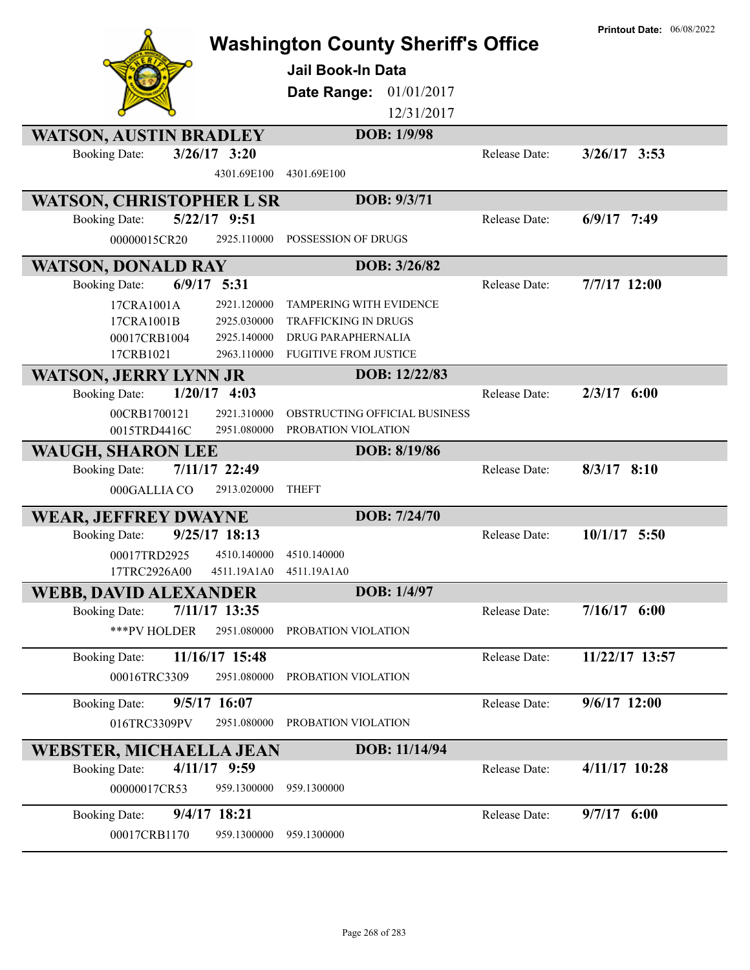|                                        | <b>Washington County Sheriff's Office</b><br><b>Jail Book-In Data</b> |               | <b>Printout Date: 06/08/2022</b> |
|----------------------------------------|-----------------------------------------------------------------------|---------------|----------------------------------|
|                                        | 01/01/2017<br>Date Range:                                             |               |                                  |
|                                        | 12/31/2017                                                            |               |                                  |
| <b>WATSON, AUSTIN BRADLEY</b>          | DOB: 1/9/98                                                           |               |                                  |
| $3/26/17$ 3:20<br><b>Booking Date:</b> |                                                                       | Release Date: | $3/26/17$ 3:53                   |
| 4301.69E100                            | 4301.69E100                                                           |               |                                  |
| <b>WATSON, CHRISTOPHER L SR</b>        | DOB: 9/3/71                                                           |               |                                  |
| 5/22/17 9:51<br><b>Booking Date:</b>   |                                                                       | Release Date: | $6/9/17$ 7:49                    |
| 2925.110000<br>00000015CR20            | POSSESSION OF DRUGS                                                   |               |                                  |
| <b>WATSON, DONALD RAY</b>              | DOB: 3/26/82                                                          |               |                                  |
| $6/9/17$ 5:31<br><b>Booking Date:</b>  |                                                                       | Release Date: | 7/7/17 12:00                     |
| 17CRA1001A<br>2921.120000              | <b>TAMPERING WITH EVIDENCE</b>                                        |               |                                  |
| 17CRA1001B<br>2925.030000              | <b>TRAFFICKING IN DRUGS</b>                                           |               |                                  |
| 00017CRB1004<br>2925.140000            | DRUG PARAPHERNALIA                                                    |               |                                  |
| 17CRB1021<br>2963.110000               | <b>FUGITIVE FROM JUSTICE</b>                                          |               |                                  |
| <b>WATSON, JERRY LYNN JR</b>           | DOB: 12/22/83                                                         |               |                                  |
| $1/20/17$ 4:03<br><b>Booking Date:</b> |                                                                       | Release Date: | $2/3/17$ 6:00                    |
| 2921.310000<br>00CRB1700121            | OBSTRUCTING OFFICIAL BUSINESS                                         |               |                                  |
| 0015TRD4416C<br>2951.080000            | PROBATION VIOLATION                                                   |               |                                  |
| <b>WAUGH, SHARON LEE</b>               | DOB: 8/19/86                                                          |               |                                  |
| 7/11/17 22:49<br><b>Booking Date:</b>  |                                                                       | Release Date: | $8/3/17$ 8:10                    |
| 2913.020000<br>000GALLIA CO            | <b>THEFT</b>                                                          |               |                                  |
| <b>WEAR, JEFFREY DWAYNE</b>            | DOB: 7/24/70                                                          |               |                                  |
| 9/25/17 18:13<br><b>Booking Date:</b>  |                                                                       | Release Date: | $10/1/17$ 5:50                   |
| 4510.140000<br>00017TRD2925            | 4510.140000                                                           |               |                                  |
| 17TRC2926A00<br>4511.19A1A0            | 4511.19A1A0                                                           |               |                                  |
| <b>WEBB, DAVID ALEXANDER</b>           | DOB: 1/4/97                                                           |               |                                  |
| 7/11/17 13:35<br><b>Booking Date:</b>  |                                                                       | Release Date: | $7/16/17$ 6:00                   |
| ***PV HOLDER<br>2951.080000            | PROBATION VIOLATION                                                   |               |                                  |
| 11/16/17 15:48<br><b>Booking Date:</b> |                                                                       | Release Date: | 11/22/17 13:57                   |
| 00016TRC3309<br>2951.080000            | PROBATION VIOLATION                                                   |               |                                  |
| 9/5/17 16:07<br><b>Booking Date:</b>   |                                                                       | Release Date: | $9/6/17$ 12:00                   |
| 016TRC3309PV<br>2951.080000            | PROBATION VIOLATION                                                   |               |                                  |
|                                        |                                                                       |               |                                  |
| <b>WEBSTER, MICHAELLA JEAN</b>         | DOB: 11/14/94                                                         |               |                                  |
| 4/11/17 9:59<br><b>Booking Date:</b>   |                                                                       | Release Date: | 4/11/17 10:28                    |
| 959.1300000<br>00000017CR53            | 959.1300000                                                           |               |                                  |
| 9/4/17 18:21<br><b>Booking Date:</b>   |                                                                       | Release Date: | $9/7/17$ 6:00                    |
| 00017CRB1170<br>959.1300000            | 959.1300000                                                           |               |                                  |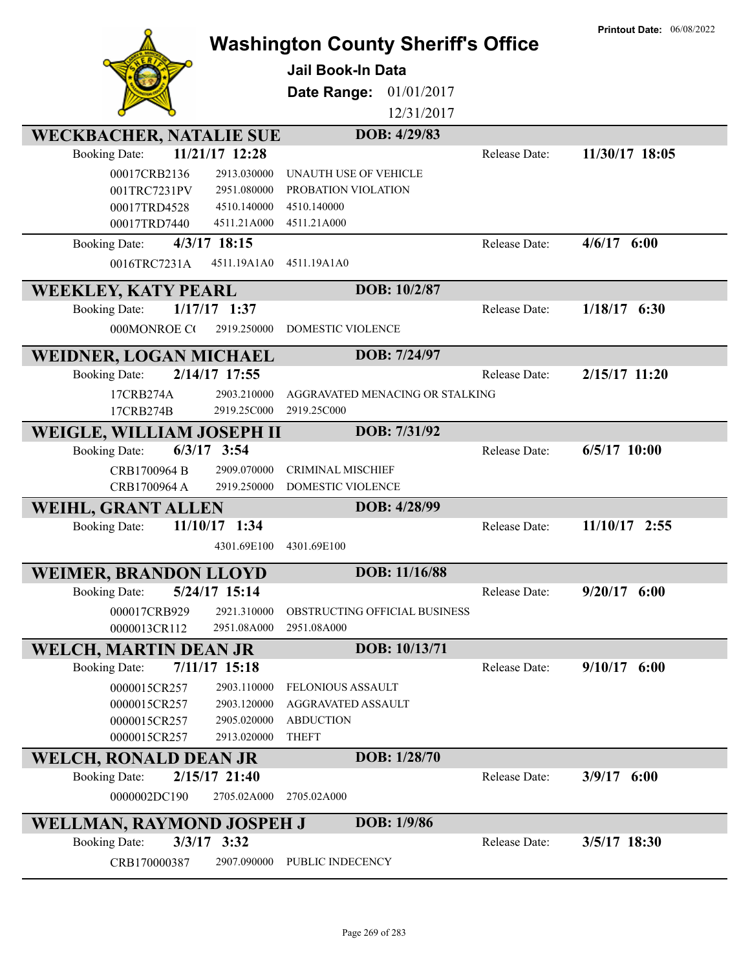|                                                            | <b>Washington County Sheriff's Office</b> |               | <b>Printout Date: 06/08/2022</b> |
|------------------------------------------------------------|-------------------------------------------|---------------|----------------------------------|
|                                                            | Jail Book-In Data                         |               |                                  |
|                                                            | 01/01/2017<br>Date Range:                 |               |                                  |
|                                                            | 12/31/2017                                |               |                                  |
| <b>WECKBACHER, NATALIE SUE</b>                             | DOB: 4/29/83                              |               |                                  |
| 11/21/17 12:28<br><b>Booking Date:</b>                     |                                           | Release Date: | 11/30/17 18:05                   |
| 00017CRB2136<br>2913.030000                                | UNAUTH USE OF VEHICLE                     |               |                                  |
| 001TRC7231PV<br>2951.080000                                | PROBATION VIOLATION                       |               |                                  |
| 00017TRD4528<br>4510.140000                                | 4510.140000                               |               |                                  |
| 00017TRD7440<br>4511.21A000                                | 4511.21A000                               |               |                                  |
| 4/3/17 18:15<br><b>Booking Date:</b>                       |                                           | Release Date: | $4/6/17$ 6:00                    |
| 0016TRC7231A<br>4511.19A1A0                                | 4511.19A1A0                               |               |                                  |
| <b>WEEKLEY, KATY PEARL</b>                                 | DOB: 10/2/87                              |               |                                  |
| $1/17/17$ 1:37<br><b>Booking Date:</b>                     |                                           | Release Date: | $1/18/17$ 6:30                   |
| 000MONROE CO<br>2919.250000                                | DOMESTIC VIOLENCE                         |               |                                  |
| <b>WEIDNER, LOGAN MICHAEL</b>                              | DOB: 7/24/97                              |               |                                  |
| 2/14/17 17:55<br><b>Booking Date:</b>                      |                                           | Release Date: | 2/15/17 11:20                    |
| 17CRB274A<br>2903.210000                                   | AGGRAVATED MENACING OR STALKING           |               |                                  |
| 17CRB274B<br>2919.25C000                                   | 2919.25C000                               |               |                                  |
| WEIGLE, WILLIAM JOSEPH II                                  | DOB: 7/31/92                              |               |                                  |
| $6/3/17$ 3:54<br><b>Booking Date:</b>                      |                                           | Release Date: | $6/5/17$ 10:00                   |
| CRB1700964 B<br>2909.070000                                | <b>CRIMINAL MISCHIEF</b>                  |               |                                  |
| CRB1700964 A<br>2919.250000                                | DOMESTIC VIOLENCE                         |               |                                  |
| <b>WEIHL, GRANT ALLEN</b>                                  | DOB: 4/28/99                              |               |                                  |
| 11/10/17 1:34<br><b>Booking Date:</b>                      |                                           | Release Date: | 11/10/17 2:55                    |
| 4301.69E100                                                | 4301.69E100                               |               |                                  |
| <b>WEIMER, BRANDON LLOYD</b>                               | DOB: 11/16/88                             |               |                                  |
| 5/24/17 15:14<br><b>Booking Date:</b>                      |                                           | Release Date: | $9/20/17$ 6:00                   |
| 2921.310000<br>000017CRB929                                | OBSTRUCTING OFFICIAL BUSINESS             |               |                                  |
| 2951.08A000<br>0000013CR112                                | 2951.08A000                               |               |                                  |
| <b>WELCH, MARTIN DEAN JR</b>                               | DOB: 10/13/71                             |               |                                  |
| $7/11/17$ 15:18<br><b>Booking Date:</b>                    |                                           | Release Date: | $9/10/17$ 6:00                   |
| 0000015CR257<br>2903.110000                                | <b>FELONIOUS ASSAULT</b>                  |               |                                  |
| 2903.120000<br>0000015CR257                                | AGGRAVATED ASSAULT                        |               |                                  |
| 2905.020000<br>0000015CR257<br>0000015CR257<br>2913.020000 | <b>ABDUCTION</b><br><b>THEFT</b>          |               |                                  |
| <b>WELCH, RONALD DEAN JR</b>                               | DOB: 1/28/70                              |               |                                  |
| 2/15/17 21:40<br><b>Booking Date:</b>                      |                                           | Release Date: | 3/9/17 6:00                      |
| 0000002DC190<br>2705.02A000                                | 2705.02A000                               |               |                                  |
|                                                            |                                           |               |                                  |
| WELLMAN, RAYMOND JOSPEH J                                  | DOB: 1/9/86                               |               |                                  |
| $3/3/17$ $3:32$<br><b>Booking Date:</b>                    |                                           | Release Date: | 3/5/17 18:30                     |
| CRB170000387<br>2907.090000                                | PUBLIC INDECENCY                          |               |                                  |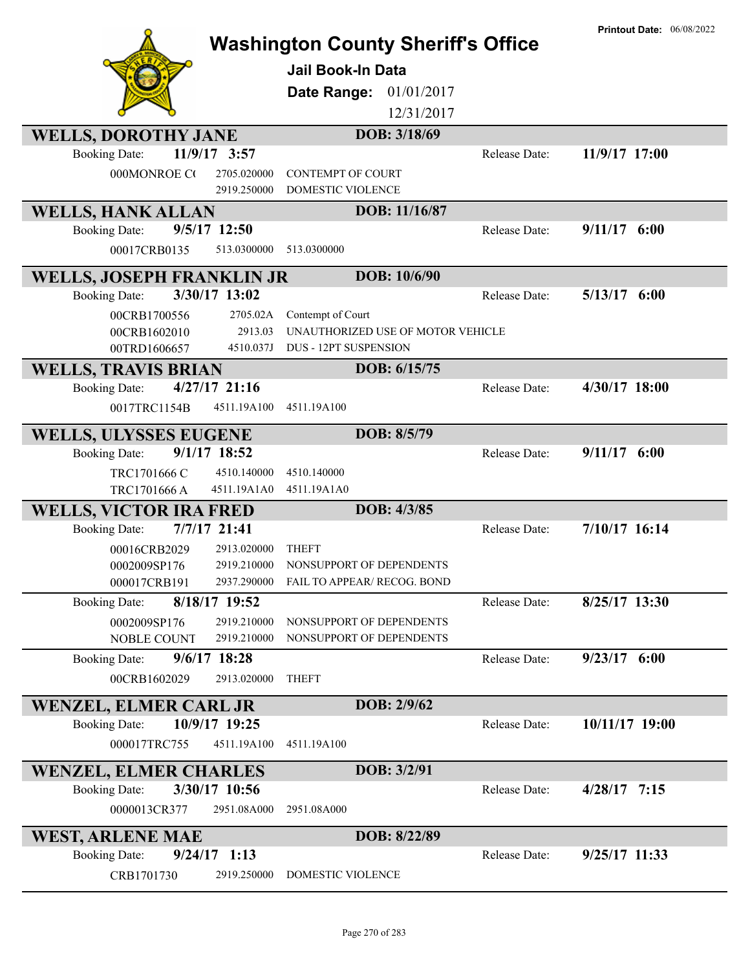|                                  |                            | <b>Washington County Sheriff's Office</b><br><b>Jail Book-In Data</b><br>Date Range:<br>01/01/2017<br>12/31/2017 |               | <b>Printout Date: 06/08/2022</b> |
|----------------------------------|----------------------------|------------------------------------------------------------------------------------------------------------------|---------------|----------------------------------|
| <b>WELLS, DOROTHY JANE</b>       |                            | DOB: 3/18/69                                                                                                     |               |                                  |
| <b>Booking Date:</b>             | 11/9/17 3:57               |                                                                                                                  | Release Date: | 11/9/17 17:00                    |
| 000MONROE CO                     | 2705.020000<br>2919.250000 | <b>CONTEMPT OF COURT</b><br><b>DOMESTIC VIOLENCE</b>                                                             |               |                                  |
| <b>WELLS, HANK ALLAN</b>         |                            | DOB: 11/16/87                                                                                                    |               |                                  |
| <b>Booking Date:</b>             | 9/5/17 12:50               |                                                                                                                  | Release Date: | $9/11/17$ 6:00                   |
| 00017CRB0135                     | 513.0300000                | 513.0300000                                                                                                      |               |                                  |
| <b>WELLS, JOSEPH FRANKLIN JR</b> |                            | DOB: 10/6/90                                                                                                     |               |                                  |
| <b>Booking Date:</b>             | 3/30/17 13:02              |                                                                                                                  | Release Date: | $5/13/17$ 6:00                   |
| 00CRB1700556                     | 2705.02A                   | Contempt of Court                                                                                                |               |                                  |
| 00CRB1602010                     | 2913.03                    | UNAUTHORIZED USE OF MOTOR VEHICLE                                                                                |               |                                  |
| 00TRD1606657                     | 4510.037J                  | <b>DUS - 12PT SUSPENSION</b>                                                                                     |               |                                  |
| <b>WELLS, TRAVIS BRIAN</b>       |                            | DOB: 6/15/75                                                                                                     |               |                                  |
| <b>Booking Date:</b>             | $4/27/17$ 21:16            |                                                                                                                  | Release Date: | 4/30/17 18:00                    |
| 0017TRC1154B                     | 4511.19A100                | 4511.19A100                                                                                                      |               |                                  |
| <b>WELLS, ULYSSES EUGENE</b>     |                            | DOB: 8/5/79                                                                                                      |               |                                  |
| <b>Booking Date:</b>             | 9/1/17 18:52               |                                                                                                                  | Release Date: | $9/11/17$ 6:00                   |
| TRC1701666 C                     | 4510.140000                | 4510.140000                                                                                                      |               |                                  |
| TRC1701666 A                     | 4511.19A1A0                | 4511.19A1A0                                                                                                      |               |                                  |
| <b>WELLS, VICTOR IRA FRED</b>    |                            | DOB: 4/3/85                                                                                                      |               |                                  |
| <b>Booking Date:</b>             | 7/7/17 21:41               |                                                                                                                  | Release Date: | 7/10/17 16:14                    |
| 00016CRB2029                     | 2913.020000                | <b>THEFT</b>                                                                                                     |               |                                  |
| 0002009SP176                     | 2919.210000                | NONSUPPORT OF DEPENDENTS                                                                                         |               |                                  |
| 000017CRB191                     | 2937.290000                | FAIL TO APPEAR/ RECOG. BOND                                                                                      |               |                                  |
| <b>Booking Date:</b>             | 8/18/17 19:52              |                                                                                                                  | Release Date: | 8/25/17 13:30                    |
| 0002009SP176                     | 2919.210000                | NONSUPPORT OF DEPENDENTS                                                                                         |               |                                  |
| <b>NOBLE COUNT</b>               | 2919.210000                | NONSUPPORT OF DEPENDENTS                                                                                         |               |                                  |
| <b>Booking Date:</b>             | $9/6/17$ 18:28             |                                                                                                                  | Release Date: | $9/23/17$ 6:00                   |
| 00CRB1602029                     | 2913.020000                | <b>THEFT</b>                                                                                                     |               |                                  |
| <b>WENZEL, ELMER CARL JR</b>     |                            | DOB: 2/9/62                                                                                                      |               |                                  |
| <b>Booking Date:</b>             | 10/9/17 19:25              |                                                                                                                  | Release Date: | 10/11/17 19:00                   |
| 000017TRC755                     | 4511.19A100                | 4511.19A100                                                                                                      |               |                                  |
| <b>WENZEL, ELMER CHARLES</b>     |                            | DOB: 3/2/91                                                                                                      |               |                                  |
| <b>Booking Date:</b>             | 3/30/17 10:56              |                                                                                                                  | Release Date: | $4/28/17$ 7:15                   |
| 0000013CR377                     | 2951.08A000                | 2951.08A000                                                                                                      |               |                                  |
| <b>WEST, ARLENE MAE</b>          |                            | DOB: 8/22/89                                                                                                     |               |                                  |
| <b>Booking Date:</b>             | $9/24/17$ 1:13             |                                                                                                                  | Release Date: | $9/25/17$ 11:33                  |
| CRB1701730                       | 2919.250000                | DOMESTIC VIOLENCE                                                                                                |               |                                  |
|                                  |                            |                                                                                                                  |               |                                  |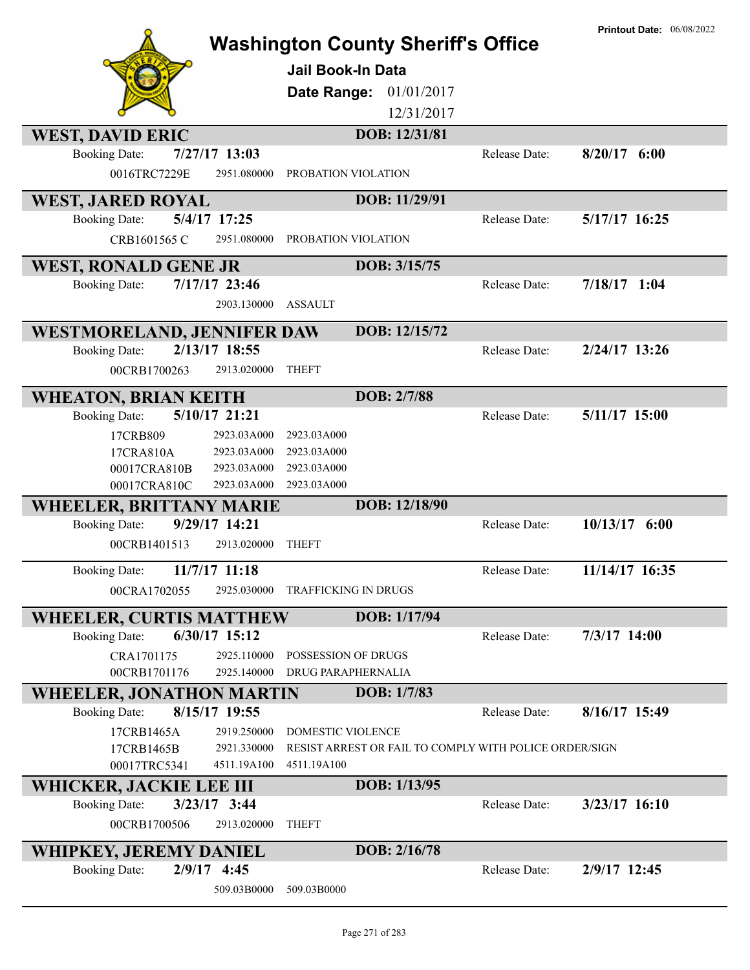|                                 |                 | <b>Washington County Sheriff's Office</b><br>Jail Book-In Data<br>01/01/2017<br>Date Range:<br>12/31/2017 |               | <b>Printout Date: 06/08/2022</b> |
|---------------------------------|-----------------|-----------------------------------------------------------------------------------------------------------|---------------|----------------------------------|
| <b>WEST, DAVID ERIC</b>         |                 | DOB: 12/31/81                                                                                             |               |                                  |
| <b>Booking Date:</b>            | 7/27/17 13:03   |                                                                                                           | Release Date: | $8/20/17$ 6:00                   |
| 0016TRC7229E                    | 2951.080000     | PROBATION VIOLATION                                                                                       |               |                                  |
| <b>WEST, JARED ROYAL</b>        |                 | DOB: 11/29/91                                                                                             |               |                                  |
| <b>Booking Date:</b>            | 5/4/17 17:25    |                                                                                                           | Release Date: | 5/17/17 16:25                    |
| CRB1601565 C                    | 2951.080000     | PROBATION VIOLATION                                                                                       |               |                                  |
| <b>WEST, RONALD GENE JR</b>     |                 | DOB: 3/15/75                                                                                              |               |                                  |
| <b>Booking Date:</b>            | 7/17/17 23:46   |                                                                                                           | Release Date: | $7/18/17$ 1:04                   |
|                                 | 2903.130000     | <b>ASSAULT</b>                                                                                            |               |                                  |
| WESTMORELAND, JENNIFER DAW      |                 | DOB: 12/15/72                                                                                             |               |                                  |
| <b>Booking Date:</b>            | 2/13/17 18:55   |                                                                                                           | Release Date: | 2/24/17 13:26                    |
| 00CRB1700263                    | 2913.020000     | <b>THEFT</b>                                                                                              |               |                                  |
| <b>WHEATON, BRIAN KEITH</b>     |                 | DOB: 2/7/88                                                                                               |               |                                  |
| <b>Booking Date:</b>            | 5/10/17 21:21   |                                                                                                           | Release Date: | 5/11/17 15:00                    |
| 17CRB809                        | 2923.03A000     | 2923.03A000                                                                                               |               |                                  |
| 17CRA810A                       | 2923.03A000     | 2923.03A000                                                                                               |               |                                  |
| 00017CRA810B                    | 2923.03A000     | 2923.03A000                                                                                               |               |                                  |
| 00017CRA810C                    | 2923.03A000     | 2923.03A000                                                                                               |               |                                  |
| <b>WHEELER, BRITTANY MARIE</b>  |                 | DOB: 12/18/90                                                                                             |               |                                  |
| <b>Booking Date:</b>            | 9/29/17 14:21   |                                                                                                           | Release Date: | $10/13/17$ 6:00                  |
| 00CRB1401513                    | 2913.020000     | <b>THEFT</b>                                                                                              |               |                                  |
| <b>Booking Date:</b>            | 11/7/17 11:18   |                                                                                                           | Release Date: | 11/14/17 16:35                   |
| 00CRA1702055                    | 2925.030000     | TRAFFICKING IN DRUGS                                                                                      |               |                                  |
| <b>WHEELER, CURTIS MATTHEW</b>  |                 | DOB: 1/17/94                                                                                              |               |                                  |
| <b>Booking Date:</b>            | $6/30/17$ 15:12 |                                                                                                           | Release Date: | $7/3/17$ 14:00                   |
| CRA1701175                      | 2925.110000     | POSSESSION OF DRUGS                                                                                       |               |                                  |
| 00CRB1701176                    | 2925.140000     | DRUG PARAPHERNALIA                                                                                        |               |                                  |
| <b>WHEELER, JONATHON MARTIN</b> |                 | DOB: 1/7/83                                                                                               |               |                                  |
| <b>Booking Date:</b>            | 8/15/17 19:55   |                                                                                                           | Release Date: | 8/16/17 15:49                    |
| 17CRB1465A                      | 2919.250000     | DOMESTIC VIOLENCE                                                                                         |               |                                  |
| 17CRB1465B                      | 2921.330000     | RESIST ARREST OR FAIL TO COMPLY WITH POLICE ORDER/SIGN                                                    |               |                                  |
| 00017TRC5341                    | 4511.19A100     | 4511.19A100                                                                                               |               |                                  |
| WHICKER, JACKIE LEE III         |                 | DOB: 1/13/95                                                                                              |               |                                  |
| <b>Booking Date:</b>            | $3/23/17$ 3:44  |                                                                                                           | Release Date: | 3/23/17 16:10                    |
| 00CRB1700506                    | 2913.020000     | <b>THEFT</b>                                                                                              |               |                                  |
| WHIPKEY, JEREMY DANIEL          |                 | DOB: 2/16/78                                                                                              |               |                                  |
| <b>Booking Date:</b>            | $2/9/17$ 4:45   |                                                                                                           | Release Date: | 2/9/17 12:45                     |
|                                 | 509.03B0000     | 509.03B0000                                                                                               |               |                                  |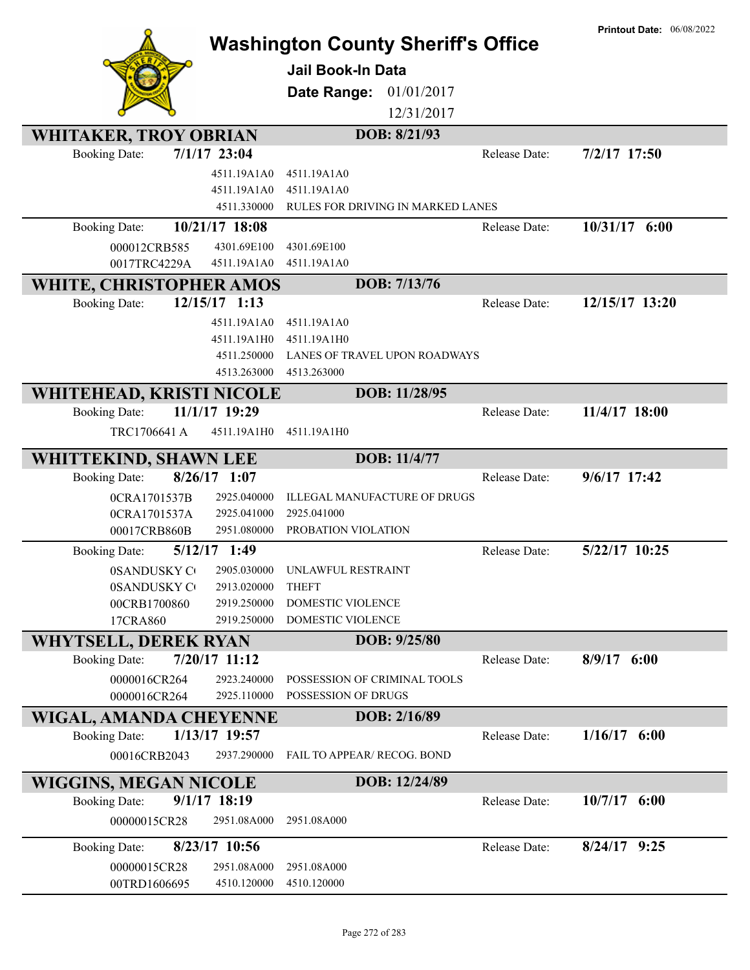|                                                         |                            | <b>Washington County Sheriff's Office</b><br>Jail Book-In Data<br>Date Range:<br>01/01/2017<br>12/31/2017 |               | <b>Printout Date: 06/08/2022</b> |
|---------------------------------------------------------|----------------------------|-----------------------------------------------------------------------------------------------------------|---------------|----------------------------------|
| <b>WHITAKER, TROY OBRIAN</b>                            |                            | DOB: 8/21/93                                                                                              |               |                                  |
| <b>Booking Date:</b>                                    | $7/1/17$ 23:04             |                                                                                                           | Release Date: | 7/2/17 17:50                     |
|                                                         | 4511.19A1A0                | 4511.19A1A0                                                                                               |               |                                  |
|                                                         | 4511.19A1A0<br>4511.330000 | 4511.19A1A0<br>RULES FOR DRIVING IN MARKED LANES                                                          |               |                                  |
| <b>Booking Date:</b>                                    | 10/21/17 18:08             |                                                                                                           | Release Date: | 10/31/17 6:00                    |
| 000012CRB585                                            | 4301.69E100                | 4301.69E100                                                                                               |               |                                  |
| 0017TRC4229A                                            | 4511.19A1A0                | 4511.19A1A0                                                                                               |               |                                  |
| WHITE, CHRISTOPHER AMOS                                 |                            | DOB: 7/13/76                                                                                              |               |                                  |
| <b>Booking Date:</b>                                    | 12/15/17 1:13              |                                                                                                           | Release Date: | 12/15/17 13:20                   |
|                                                         | 4511.19A1A0                | 4511.19A1A0                                                                                               |               |                                  |
|                                                         | 4511.19A1H0                | 4511.19A1H0                                                                                               |               |                                  |
|                                                         | 4511.250000                | LANES OF TRAVEL UPON ROADWAYS                                                                             |               |                                  |
|                                                         | 4513.263000                | 4513.263000<br>DOB: 11/28/95                                                                              |               |                                  |
| <b>WHITEHEAD, KRISTI NICOLE</b><br><b>Booking Date:</b> | 11/1/17 19:29              |                                                                                                           | Release Date: | 11/4/17 18:00                    |
| TRC1706641 A                                            | 4511.19A1H0                | 4511.19A1H0                                                                                               |               |                                  |
| <b>WHITTEKIND, SHAWN LEE</b>                            |                            | DOB: 11/4/77                                                                                              |               |                                  |
| <b>Booking Date:</b>                                    | $8/26/17$ 1:07             |                                                                                                           | Release Date: | 9/6/17 17:42                     |
| 0CRA1701537B                                            | 2925.040000                | ILLEGAL MANUFACTURE OF DRUGS                                                                              |               |                                  |
| 0CRA1701537A                                            | 2925.041000                | 2925.041000                                                                                               |               |                                  |
| 00017CRB860B                                            | 2951.080000                | PROBATION VIOLATION                                                                                       |               |                                  |
| <b>Booking Date:</b>                                    | 5/12/17 1:49               |                                                                                                           | Release Date: | 5/22/17 10:25                    |
| 0SANDUSKY CO                                            |                            | 2905.030000 UNLAWFUL RESTRAINT                                                                            |               |                                  |
| <b>0SANDUSKY CO</b>                                     | 2913.020000<br>2919.250000 | <b>THEFT</b><br>DOMESTIC VIOLENCE                                                                         |               |                                  |
| 00CRB1700860<br>17CRA860                                | 2919.250000                | DOMESTIC VIOLENCE                                                                                         |               |                                  |
| <b>WHYTSELL, DEREK RYAN</b>                             |                            | DOB: 9/25/80                                                                                              |               |                                  |
| <b>Booking Date:</b>                                    | 7/20/17 11:12              |                                                                                                           | Release Date: | $8/9/17$ 6:00                    |
| 0000016CR264                                            | 2923.240000                | POSSESSION OF CRIMINAL TOOLS                                                                              |               |                                  |
| 0000016CR264                                            | 2925.110000                | POSSESSION OF DRUGS                                                                                       |               |                                  |
| WIGAL, AMANDA CHEYENNE                                  |                            | DOB: 2/16/89                                                                                              |               |                                  |
| <b>Booking Date:</b>                                    | 1/13/17 19:57              |                                                                                                           | Release Date: | $1/16/17$ 6:00                   |
| 00016CRB2043                                            | 2937.290000                | <b>FAIL TO APPEAR/ RECOG. BOND</b>                                                                        |               |                                  |
| <b>WIGGINS, MEGAN NICOLE</b>                            |                            | DOB: 12/24/89                                                                                             |               |                                  |
| <b>Booking Date:</b>                                    | $9/1/17$ 18:19             |                                                                                                           | Release Date: | $10/7/17$ 6:00                   |
| 00000015CR28                                            | 2951.08A000                | 2951.08A000                                                                                               |               |                                  |
| <b>Booking Date:</b>                                    | 8/23/17 10:56              |                                                                                                           | Release Date: | $8/24/17$ 9:25                   |
| 00000015CR28                                            | 2951.08A000                | 2951.08A000                                                                                               |               |                                  |
| 00TRD1606695                                            | 4510.120000                | 4510.120000                                                                                               |               |                                  |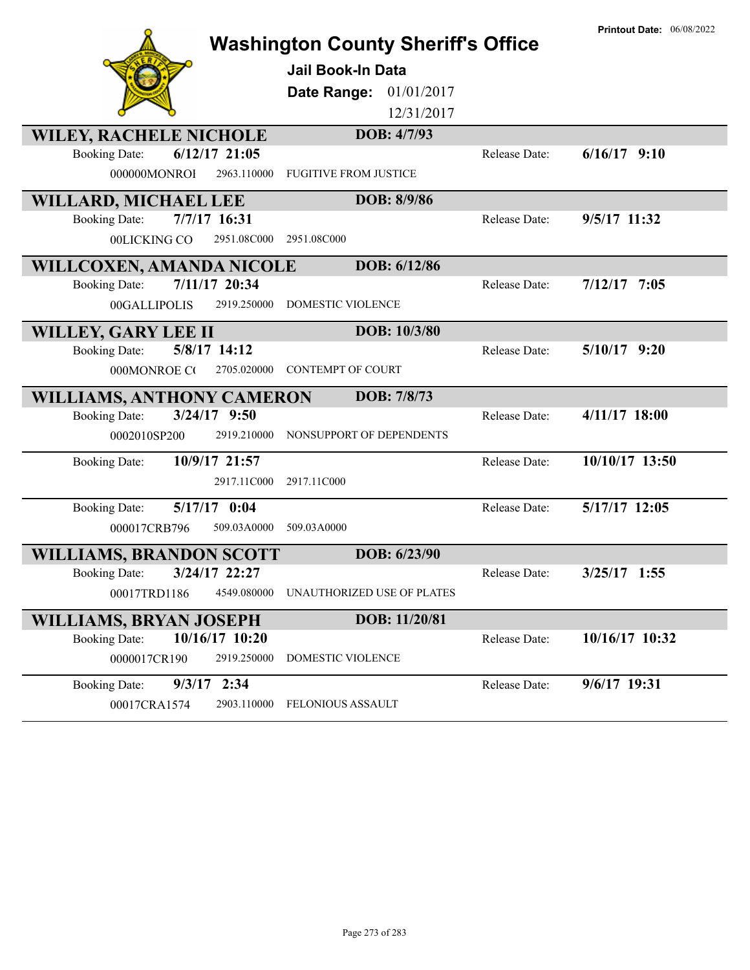|                                         | <b>Washington County Sheriff's Office</b>   |               | <b>Printout Date: 06/08/2022</b> |
|-----------------------------------------|---------------------------------------------|---------------|----------------------------------|
|                                         | Jail Book-In Data                           |               |                                  |
|                                         | Date Range:<br>01/01/2017                   |               |                                  |
|                                         | 12/31/2017                                  |               |                                  |
| <b>WILEY, RACHELE NICHOLE</b>           | DOB: 4/7/93                                 |               |                                  |
| $6/12/17$ 21:05<br><b>Booking Date:</b> |                                             | Release Date: | $6/16/17$ 9:10                   |
| 000000MONROI                            | 2963.110000<br><b>FUGITIVE FROM JUSTICE</b> |               |                                  |
| WILLARD, MICHAEL LEE                    | DOB: 8/9/86                                 |               |                                  |
| 7/7/17 16:31<br><b>Booking Date:</b>    |                                             | Release Date: | 9/5/17 11:32                     |
| 00LICKING CO                            | 2951.08C000<br>2951.08C000                  |               |                                  |
| WILLCOXEN, AMANDA NICOLE                | DOB: 6/12/86                                |               |                                  |
| 7/11/17 20:34<br><b>Booking Date:</b>   |                                             | Release Date: | $7/12/17$ 7:05                   |
| 00GALLIPOLIS                            | 2919.250000<br><b>DOMESTIC VIOLENCE</b>     |               |                                  |
| WILLEY, GARY LEE II                     | DOB: 10/3/80                                |               |                                  |
| 5/8/17 14:12<br><b>Booking Date:</b>    |                                             | Release Date: | $5/10/17$ 9:20                   |
| 000MONROE CO                            | 2705.020000<br><b>CONTEMPT OF COURT</b>     |               |                                  |
| <b>WILLIAMS, ANTHONY CAMERON</b>        | DOB: 7/8/73                                 |               |                                  |
| 3/24/17 9:50<br><b>Booking Date:</b>    |                                             | Release Date: | 4/11/17 18:00                    |
| 0002010SP200                            | 2919.210000<br>NONSUPPORT OF DEPENDENTS     |               |                                  |
| 10/9/17 21:57<br><b>Booking Date:</b>   |                                             | Release Date: | 10/10/17 13:50                   |
|                                         | 2917.11C000<br>2917.11C000                  |               |                                  |
| 5/17/17 0:04<br><b>Booking Date:</b>    |                                             | Release Date: | 5/17/17 12:05                    |
| 000017CRB796                            | 509.03A0000<br>509.03A0000                  |               |                                  |
| <b>WILLIAMS, BRANDON SCOTT</b>          | DOB: 6/23/90                                |               |                                  |
| 3/24/17 22:27<br><b>Booking Date:</b>   |                                             | Release Date: | 3/25/17 1:55                     |
|                                         |                                             |               |                                  |
| 00017TRD1186                            | 4549.080000<br>UNAUTHORIZED USE OF PLATES   |               |                                  |
| WILLIAMS, BRYAN JOSEPH                  | DOB: 11/20/81                               |               |                                  |
| 10/16/17 10:20<br><b>Booking Date:</b>  |                                             | Release Date: | 10/16/17 10:32                   |
| 0000017CR190                            | 2919.250000<br>DOMESTIC VIOLENCE            |               |                                  |
| $9/3/17$ 2:34<br><b>Booking Date:</b>   |                                             | Release Date: | 9/6/17 19:31                     |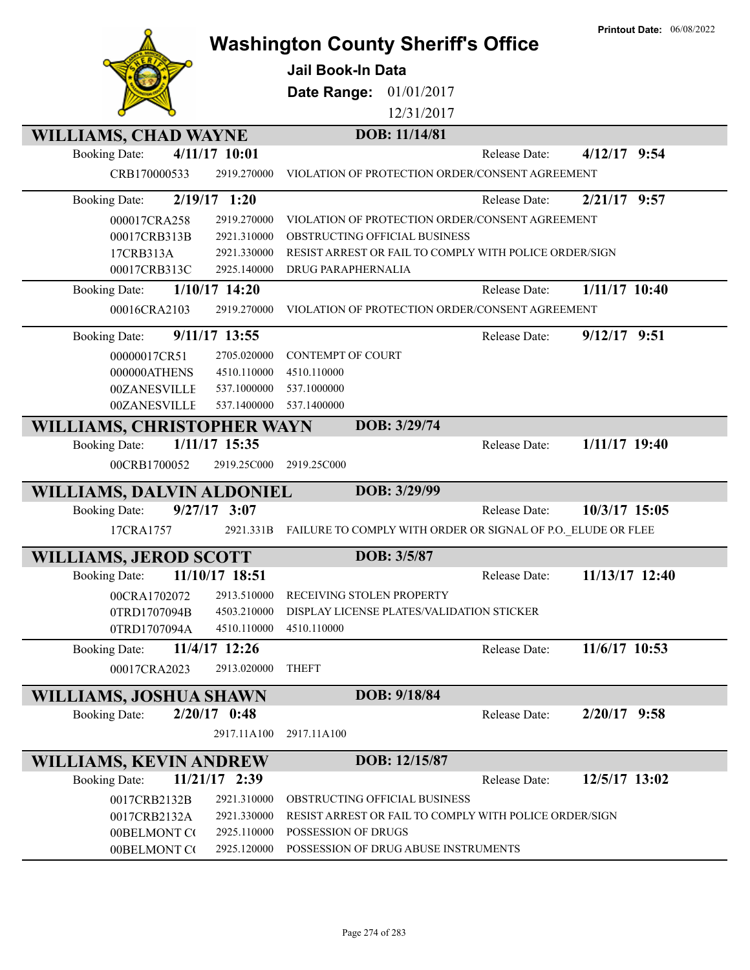|                                  |                            | <b>Washington County Sheriff's Office</b><br>Jail Book-In Data<br>01/01/2017<br>Date Range:<br>12/31/2017 |               | <b>Printout Date: 06/08/2022</b> |
|----------------------------------|----------------------------|-----------------------------------------------------------------------------------------------------------|---------------|----------------------------------|
| <b>WILLIAMS, CHAD WAYNE</b>      |                            | DOB: 11/14/81                                                                                             |               |                                  |
| <b>Booking Date:</b>             | 4/11/17 10:01              |                                                                                                           | Release Date: | $4/12/17$ 9:54                   |
| CRB170000533                     | 2919.270000                | VIOLATION OF PROTECTION ORDER/CONSENT AGREEMENT                                                           |               |                                  |
| <b>Booking Date:</b>             | $2/19/17$ 1:20             |                                                                                                           | Release Date: | $2/21/17$ 9:57                   |
| 000017CRA258                     | 2919.270000                | VIOLATION OF PROTECTION ORDER/CONSENT AGREEMENT                                                           |               |                                  |
| 00017CRB313B                     | 2921.310000                | OBSTRUCTING OFFICIAL BUSINESS                                                                             |               |                                  |
| 17CRB313A                        | 2921.330000                | RESIST ARREST OR FAIL TO COMPLY WITH POLICE ORDER/SIGN                                                    |               |                                  |
| 00017CRB313C                     | 2925.140000                | DRUG PARAPHERNALIA                                                                                        |               |                                  |
| <b>Booking Date:</b>             | $1/10/17$ 14:20            |                                                                                                           | Release Date: | $1/11/17$ 10:40                  |
| 00016CRA2103                     | 2919.270000                | VIOLATION OF PROTECTION ORDER/CONSENT AGREEMENT                                                           |               |                                  |
| <b>Booking Date:</b>             | 9/11/17 13:55              |                                                                                                           | Release Date: | $9/12/17$ 9:51                   |
| 00000017CR51                     | 2705.020000                | <b>CONTEMPT OF COURT</b>                                                                                  |               |                                  |
| 000000ATHENS                     | 4510.110000                | 4510.110000                                                                                               |               |                                  |
| 00ZANESVILLE                     | 537.1000000                | 537.1000000                                                                                               |               |                                  |
| 00ZANESVILLE                     | 537.1400000                | 537.1400000                                                                                               |               |                                  |
| WILLIAMS, CHRISTOPHER WAYN       |                            | DOB: 3/29/74                                                                                              |               |                                  |
| <b>Booking Date:</b>             | 1/11/17 15:35              |                                                                                                           | Release Date: | $1/11/17$ 19:40                  |
| 00CRB1700052                     | 2919.25C000                | 2919.25C000                                                                                               |               |                                  |
| <b>WILLIAMS, DALVIN ALDONIEL</b> |                            | DOB: 3/29/99                                                                                              |               |                                  |
| <b>Booking Date:</b>             | $9/27/17$ 3:07             |                                                                                                           | Release Date: | 10/3/17 15:05                    |
| 17CRA1757                        | 2921.331B                  | FAILURE TO COMPLY WITH ORDER OR SIGNAL OF P.O. ELUDE OR FLEE                                              |               |                                  |
| <b>WILLIAMS, JEROD SCOTT</b>     |                            | DOB: 3/5/87                                                                                               |               |                                  |
| Booking Date: 11/10/17 18:51     |                            |                                                                                                           | Release Date: | 11/13/17 12:40                   |
| 00CRA1702072                     | 2913.510000                | RECEIVING STOLEN PROPERTY                                                                                 |               |                                  |
| 0TRD1707094B                     | 4503.210000                | DISPLAY LICENSE PLATES/VALIDATION STICKER                                                                 |               |                                  |
| 0TRD1707094A                     | 4510.110000                | 4510.110000                                                                                               |               |                                  |
| <b>Booking Date:</b>             | 11/4/17 12:26              |                                                                                                           | Release Date: | 11/6/17 10:53                    |
| 00017CRA2023                     | 2913.020000                | <b>THEFT</b>                                                                                              |               |                                  |
| WILLIAMS, JOSHUA SHAWN           |                            | DOB: 9/18/84                                                                                              |               |                                  |
| <b>Booking Date:</b>             | $2/20/17$ 0:48             |                                                                                                           | Release Date: | $2/20/17$ 9:58                   |
|                                  | 2917.11A100                | 2917.11A100                                                                                               |               |                                  |
| <b>WILLIAMS, KEVIN ANDREW</b>    |                            | DOB: 12/15/87                                                                                             |               |                                  |
| <b>Booking Date:</b>             | 11/21/17 2:39              |                                                                                                           | Release Date: | 12/5/17 13:02                    |
| 0017CRB2132B                     | 2921.310000                | OBSTRUCTING OFFICIAL BUSINESS                                                                             |               |                                  |
| 0017CRB2132A                     | 2921.330000                | RESIST ARREST OR FAIL TO COMPLY WITH POLICE ORDER/SIGN                                                    |               |                                  |
|                                  |                            |                                                                                                           |               |                                  |
| 00BELMONT CO<br>00BELMONT CO     | 2925.110000<br>2925.120000 | POSSESSION OF DRUGS<br>POSSESSION OF DRUG ABUSE INSTRUMENTS                                               |               |                                  |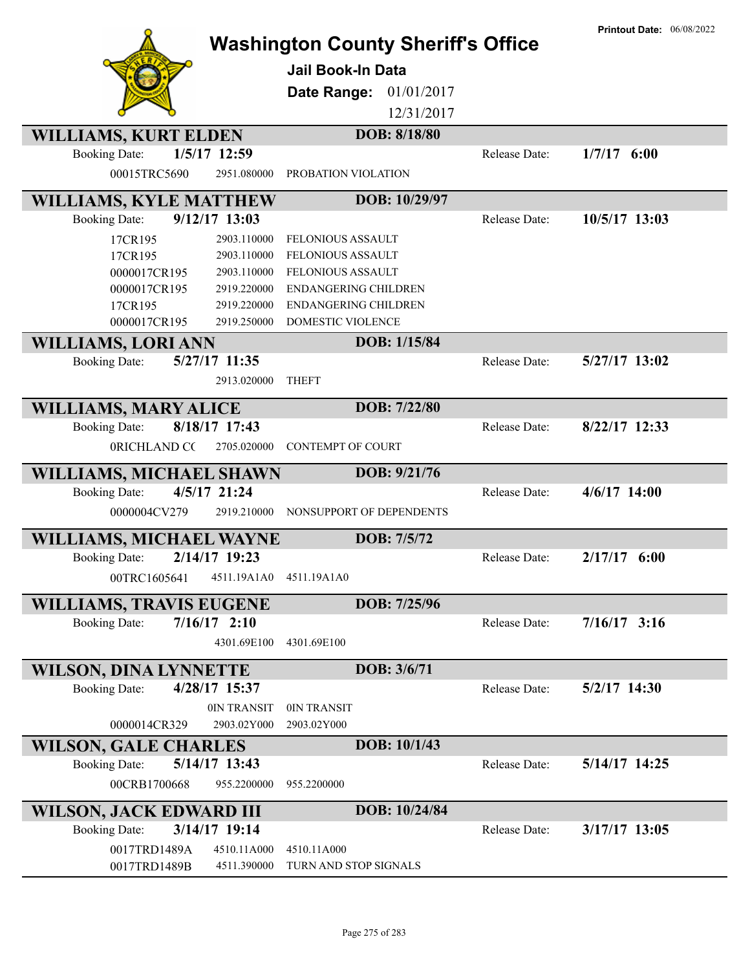|                                |                 | <b>Washington County Sheriff's Office</b><br>Jail Book-In Data<br>01/01/2017<br>Date Range:<br>12/31/2017 |                      | <b>Printout Date: 06/08/2022</b> |
|--------------------------------|-----------------|-----------------------------------------------------------------------------------------------------------|----------------------|----------------------------------|
| <b>WILLIAMS, KURT ELDEN</b>    |                 | DOB: 8/18/80                                                                                              |                      |                                  |
| <b>Booking Date:</b>           | 1/5/17 12:59    |                                                                                                           | Release Date:        | $1/7/17$ 6:00                    |
| 00015TRC5690                   | 2951.080000     | PROBATION VIOLATION                                                                                       |                      |                                  |
| <b>WILLIAMS, KYLE MATTHEW</b>  |                 | DOB: 10/29/97                                                                                             |                      |                                  |
| <b>Booking Date:</b>           | $9/12/17$ 13:03 |                                                                                                           | <b>Release Date:</b> | 10/5/17 13:03                    |
| 17CR195                        | 2903.110000     | <b>FELONIOUS ASSAULT</b>                                                                                  |                      |                                  |
| 17CR195                        | 2903.110000     | FELONIOUS ASSAULT                                                                                         |                      |                                  |
| 0000017CR195                   | 2903.110000     | <b>FELONIOUS ASSAULT</b>                                                                                  |                      |                                  |
| 0000017CR195                   | 2919.220000     | <b>ENDANGERING CHILDREN</b>                                                                               |                      |                                  |
| 17CR195                        | 2919.220000     | ENDANGERING CHILDREN                                                                                      |                      |                                  |
| 0000017CR195                   | 2919.250000     | DOMESTIC VIOLENCE                                                                                         |                      |                                  |
| <b>WILLIAMS, LORI ANN</b>      |                 | DOB: 1/15/84                                                                                              |                      |                                  |
| <b>Booking Date:</b>           | 5/27/17 11:35   |                                                                                                           | Release Date:        | 5/27/17 13:02                    |
|                                | 2913.020000     | <b>THEFT</b>                                                                                              |                      |                                  |
| <b>WILLIAMS, MARY ALICE</b>    |                 | DOB: 7/22/80                                                                                              |                      |                                  |
| <b>Booking Date:</b>           | 8/18/17 17:43   |                                                                                                           | Release Date:        | 8/22/17 12:33                    |
| 0RICHLAND CC                   | 2705.020000     | <b>CONTEMPT OF COURT</b>                                                                                  |                      |                                  |
| WILLIAMS, MICHAEL SHAWN        |                 | DOB: 9/21/76                                                                                              |                      |                                  |
| <b>Booking Date:</b>           | 4/5/17 21:24    |                                                                                                           | Release Date:        | $4/6/17$ 14:00                   |
| 0000004CV279                   | 2919.210000     | NONSUPPORT OF DEPENDENTS                                                                                  |                      |                                  |
| <b>WILLIAMS, MICHAEL WAYNE</b> |                 | DOB: 7/5/72                                                                                               |                      |                                  |
| <b>Booking Date:</b>           | 2/14/17 19:23   |                                                                                                           | Release Date:        | $2/17/17$ 6:00                   |
| 00TRC1605641                   | 4511.19A1A0     | 4511.19A1A0                                                                                               |                      |                                  |
|                                |                 |                                                                                                           |                      |                                  |
| <b>WILLIAMS, TRAVIS EUGENE</b> |                 | DOB: 7/25/96                                                                                              |                      |                                  |
| <b>Booking Date:</b>           | $7/16/17$ 2:10  |                                                                                                           | Release Date:        | $7/16/17$ 3:16                   |
|                                | 4301.69E100     | 4301.69E100                                                                                               |                      |                                  |
| <b>WILSON, DINA LYNNETTE</b>   |                 | DOB: 3/6/71                                                                                               |                      |                                  |
| <b>Booking Date:</b>           | 4/28/17 15:37   |                                                                                                           | Release Date:        | 5/2/17 14:30                     |
|                                | 0IN TRANSIT     | 0IN TRANSIT                                                                                               |                      |                                  |
| 0000014CR329                   | 2903.02Y000     | 2903.02Y000                                                                                               |                      |                                  |
| <b>WILSON, GALE CHARLES</b>    |                 | DOB: 10/1/43                                                                                              |                      |                                  |
| <b>Booking Date:</b>           | 5/14/17 13:43   |                                                                                                           | Release Date:        | 5/14/17 14:25                    |
| 00CRB1700668                   | 955.2200000     | 955.2200000                                                                                               |                      |                                  |
| WILSON, JACK EDWARD III        |                 | DOB: 10/24/84                                                                                             |                      |                                  |
| <b>Booking Date:</b>           | 3/14/17 19:14   |                                                                                                           | Release Date:        | 3/17/17 13:05                    |
| 0017TRD1489A                   | 4510.11A000     | 4510.11A000                                                                                               |                      |                                  |
| 0017TRD1489B                   | 4511.390000     | TURN AND STOP SIGNALS                                                                                     |                      |                                  |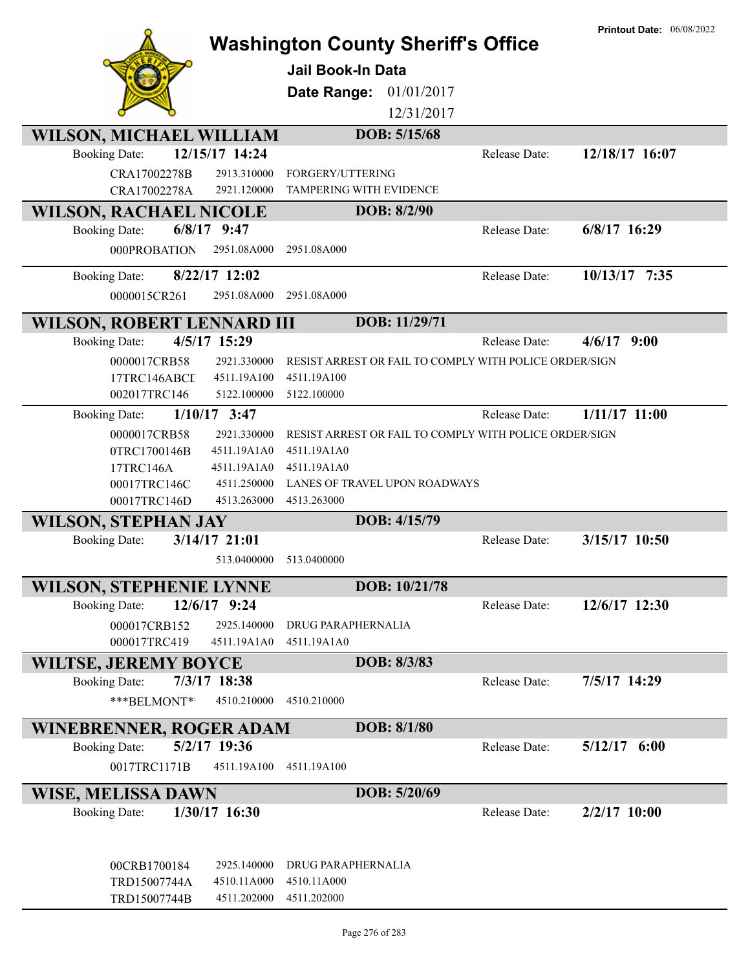|                                                                          | <b>Washington County Sheriff's Office</b>              |                      | <b>Printout Date: 06/08/2022</b> |
|--------------------------------------------------------------------------|--------------------------------------------------------|----------------------|----------------------------------|
|                                                                          | <b>Jail Book-In Data</b>                               |                      |                                  |
|                                                                          | Date Range:<br>01/01/2017                              |                      |                                  |
|                                                                          |                                                        |                      |                                  |
|                                                                          | 12/31/2017<br>DOB: 5/15/68                             |                      |                                  |
| <b>WILSON, MICHAEL WILLIAM</b><br>12/15/17 14:24<br><b>Booking Date:</b> |                                                        | Release Date:        | 12/18/17 16:07                   |
|                                                                          |                                                        |                      |                                  |
| CRA17002278B<br>2913.310000<br>CRA17002278A<br>2921.120000               | FORGERY/UTTERING<br><b>TAMPERING WITH EVIDENCE</b>     |                      |                                  |
|                                                                          |                                                        |                      |                                  |
| <b>WILSON, RACHAEL NICOLE</b>                                            | DOB: 8/2/90                                            |                      |                                  |
| $6/8/17$ 9:47<br><b>Booking Date:</b>                                    |                                                        | Release Date:        | $6/8/17$ 16:29                   |
| 2951.08A000<br>000PROBATION                                              | 2951.08A000                                            |                      |                                  |
| $8/22/17$ 12:02<br><b>Booking Date:</b>                                  |                                                        | Release Date:        | 10/13/17 7:35                    |
| 0000015CR261<br>2951.08A000                                              | 2951.08A000                                            |                      |                                  |
| <b>WILSON, ROBERT LENNARD III</b>                                        | DOB: 11/29/71                                          |                      |                                  |
| 4/5/17 15:29<br><b>Booking Date:</b>                                     |                                                        | Release Date:        | 4/6/17<br>9:00                   |
| 0000017CRB58<br>2921.330000                                              | RESIST ARREST OR FAIL TO COMPLY WITH POLICE ORDER/SIGN |                      |                                  |
| 17TRC146ABCL<br>4511.19A100                                              | 4511.19A100                                            |                      |                                  |
| 002017TRC146<br>5122.100000                                              | 5122.100000                                            |                      |                                  |
| $1/10/17$ 3:47<br><b>Booking Date:</b>                                   |                                                        | Release Date:        | $1/11/17$ $11:00$                |
| 2921.330000<br>0000017CRB58                                              | RESIST ARREST OR FAIL TO COMPLY WITH POLICE ORDER/SIGN |                      |                                  |
| 0TRC1700146B<br>4511.19A1A0                                              | 4511.19A1A0                                            |                      |                                  |
| 17TRC146A<br>4511.19A1A0                                                 | 4511.19A1A0                                            |                      |                                  |
| 4511.250000<br>00017TRC146C                                              | LANES OF TRAVEL UPON ROADWAYS                          |                      |                                  |
| 4513.263000<br>00017TRC146D                                              | 4513.263000                                            |                      |                                  |
| <b>WILSON, STEPHAN JAY</b>                                               | DOB: 4/15/79                                           |                      |                                  |
| 3/14/17 21:01<br><b>Booking Date:</b>                                    |                                                        | <b>Release Date:</b> | 3/15/17 10:50                    |
| 513.0400000                                                              | 513.0400000                                            |                      |                                  |
| <b>WILSON, STEPHENIE LYNNE</b>                                           | DOB: 10/21/78                                          |                      |                                  |
| 12/6/17 9:24<br><b>Booking Date:</b>                                     |                                                        | Release Date:        | 12/6/17 12:30                    |
| 2925.140000<br>000017CRB152                                              | DRUG PARAPHERNALIA                                     |                      |                                  |
| 000017TRC419<br>4511.19A1A0                                              | 4511.19A1A0                                            |                      |                                  |
| <b>WILTSE, JEREMY BOYCE</b>                                              | DOB: 8/3/83                                            |                      |                                  |
| 7/3/17 18:38<br><b>Booking Date:</b>                                     |                                                        | Release Date:        | 7/5/17 14:29                     |
| ***BELMONT**<br>4510.210000                                              | 4510.210000                                            |                      |                                  |
| WINEBRENNER, ROGER ADAM                                                  | DOB: 8/1/80                                            |                      |                                  |
| 5/2/17 19:36<br><b>Booking Date:</b>                                     |                                                        | Release Date:        | $5/12/17$ 6:00                   |
| 0017TRC1171B<br>4511.19A100                                              | 4511.19A100                                            |                      |                                  |
| WISE, MELISSA DAWN                                                       | DOB: 5/20/69                                           |                      |                                  |
| 1/30/17 16:30<br><b>Booking Date:</b>                                    |                                                        | Release Date:        | $2/2/17$ 10:00                   |
|                                                                          |                                                        |                      |                                  |
|                                                                          |                                                        |                      |                                  |
| 2925.140000<br>00CRB1700184                                              | DRUG PARAPHERNALIA                                     |                      |                                  |
| 4510.11A000<br>TRD15007744A<br>4511.202000                               | 4510.11A000<br>4511.202000                             |                      |                                  |
| TRD15007744B                                                             |                                                        |                      |                                  |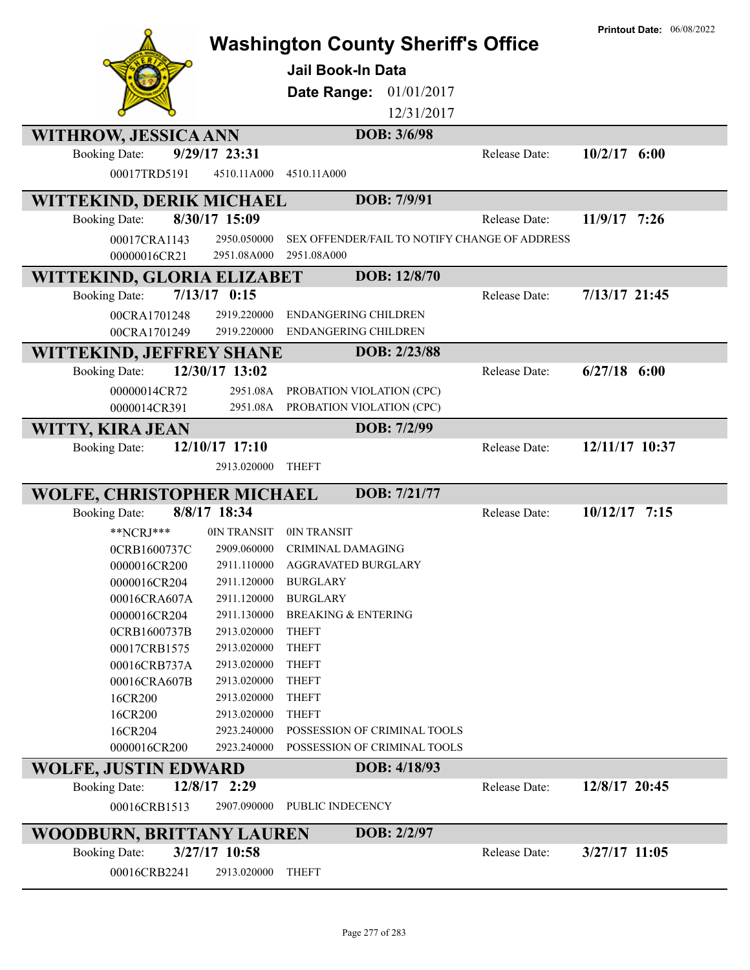|                              |                            | <b>Washington County Sheriff's Office</b><br>Jail Book-In Data |               | <b>Printout Date: 06/08/2022</b> |
|------------------------------|----------------------------|----------------------------------------------------------------|---------------|----------------------------------|
|                              |                            | 01/01/2017<br>Date Range:                                      |               |                                  |
|                              |                            | 12/31/2017                                                     |               |                                  |
|                              |                            | DOB: 3/6/98                                                    |               |                                  |
| <b>WITHROW, JESSICA ANN</b>  |                            |                                                                |               |                                  |
| <b>Booking Date:</b>         | 9/29/17 23:31              |                                                                | Release Date: | $10/2/17$ 6:00                   |
| 00017TRD5191                 | 4510.11A000                | 4510.11A000                                                    |               |                                  |
| WITTEKIND, DERIK MICHAEL     |                            | DOB: 7/9/91                                                    |               |                                  |
| <b>Booking Date:</b>         | 8/30/17 15:09              |                                                                | Release Date: | 11/9/17 7:26                     |
| 00017CRA1143                 | 2950.050000                | SEX OFFENDER/FAIL TO NOTIFY CHANGE OF ADDRESS                  |               |                                  |
| 00000016CR21                 | 2951.08A000                | 2951.08A000                                                    |               |                                  |
| WITTEKIND, GLORIA ELIZABET   |                            | DOB: 12/8/70                                                   |               |                                  |
| <b>Booking Date:</b>         | $7/13/17$ 0:15             |                                                                | Release Date: | 7/13/17 21:45                    |
| 00CRA1701248                 | 2919.220000                | <b>ENDANGERING CHILDREN</b>                                    |               |                                  |
| 00CRA1701249                 | 2919.220000                | <b>ENDANGERING CHILDREN</b>                                    |               |                                  |
| WITTEKIND, JEFFREY SHANE     |                            | DOB: 2/23/88                                                   |               |                                  |
| <b>Booking Date:</b>         | 12/30/17 13:02             |                                                                | Release Date: | $6/27/18$ $6:00$                 |
| 00000014CR72                 | 2951.08A                   | PROBATION VIOLATION (CPC)                                      |               |                                  |
| 0000014CR391                 | 2951.08A                   | PROBATION VIOLATION (CPC)                                      |               |                                  |
| WITTY, KIRA JEAN             |                            | DOB: 7/2/99                                                    |               |                                  |
| <b>Booking Date:</b>         | 12/10/17 17:10             |                                                                | Release Date: | 12/11/17 10:37                   |
|                              | 2913.020000                | <b>THEFT</b>                                                   |               |                                  |
|                              |                            |                                                                |               |                                  |
| WOLFE, CHRISTOPHER MICHAEL   |                            | DOB: 7/21/77                                                   |               |                                  |
| <b>Booking Date:</b>         | 8/8/17 18:34               |                                                                | Release Date: | $10/12/17$ 7:15                  |
| $*$ NCRJ $*$ **              | 0IN TRANSIT                | 0IN TRANSIT                                                    |               |                                  |
| 0CRB1600737C<br>0000016CR200 | 2909.060000<br>2911.110000 | <b>CRIMINAL DAMAGING</b><br><b>AGGRAVATED BURGLARY</b>         |               |                                  |
| 0000016CR204                 | 2911.120000                | <b>BURGLARY</b>                                                |               |                                  |
| 00016CRA607A                 | 2911.120000                | <b>BURGLARY</b>                                                |               |                                  |
| 0000016CR204                 | 2911.130000                | <b>BREAKING &amp; ENTERING</b>                                 |               |                                  |
| 0CRB1600737B                 | 2913.020000                | <b>THEFT</b>                                                   |               |                                  |
| 00017CRB1575                 | 2913.020000                | <b>THEFT</b>                                                   |               |                                  |
| 00016CRB737A                 | 2913.020000                | <b>THEFT</b>                                                   |               |                                  |
| 00016CRA607B                 | 2913.020000                | <b>THEFT</b>                                                   |               |                                  |
| 16CR200                      | 2913.020000                | <b>THEFT</b>                                                   |               |                                  |
| 16CR200                      | 2913.020000                | <b>THEFT</b>                                                   |               |                                  |
| 16CR204                      | 2923.240000                | POSSESSION OF CRIMINAL TOOLS                                   |               |                                  |
| 0000016CR200                 | 2923.240000                | POSSESSION OF CRIMINAL TOOLS                                   |               |                                  |
| <b>WOLFE, JUSTIN EDWARD</b>  |                            | DOB: 4/18/93                                                   |               |                                  |
| <b>Booking Date:</b>         | 12/8/17 2:29               |                                                                | Release Date: | 12/8/17 20:45                    |
| 00016CRB1513                 | 2907.090000                | PUBLIC INDECENCY                                               |               |                                  |
| WOODBURN, BRITTANY LAUREN    |                            | DOB: 2/2/97                                                    |               |                                  |
| <b>Booking Date:</b>         | 3/27/17 10:58              |                                                                | Release Date: | $3/27/17$ 11:05                  |
| 00016CRB2241                 | 2913.020000                | <b>THEFT</b>                                                   |               |                                  |
|                              |                            |                                                                |               |                                  |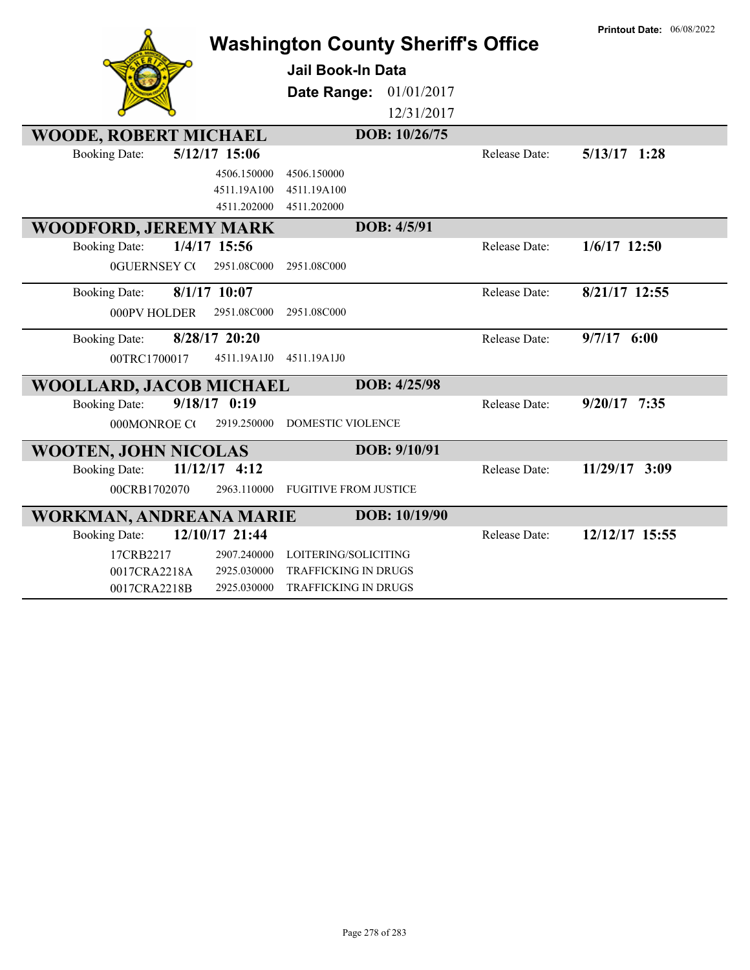|                              |                 | <b>Washington County Sheriff's Office</b> |               |               | <b>Printout Date: 06/08/2022</b> |
|------------------------------|-----------------|-------------------------------------------|---------------|---------------|----------------------------------|
|                              |                 | Jail Book-In Data                         |               |               |                                  |
|                              |                 | Date Range: 01/01/2017                    |               |               |                                  |
|                              |                 |                                           | 12/31/2017    |               |                                  |
| <b>WOODE, ROBERT MICHAEL</b> |                 |                                           | DOB: 10/26/75 |               |                                  |
| <b>Booking Date:</b>         | 5/12/17 15:06   |                                           |               | Release Date: | $5/13/17$ 1:28                   |
|                              | 4506.150000     | 4506.150000                               |               |               |                                  |
|                              | 4511.19A100     | 4511.19A100                               |               |               |                                  |
|                              | 4511.202000     | 4511.202000                               |               |               |                                  |
| <b>WOODFORD, JEREMY MARK</b> |                 |                                           | DOB: 4/5/91   |               |                                  |
| <b>Booking Date:</b>         | 1/4/17 15:56    |                                           |               | Release Date: | $1/6/17$ 12:50                   |
| <b>0GUERNSEY CO</b>          | 2951.08C000     | 2951.08C000                               |               |               |                                  |
| <b>Booking Date:</b>         | $8/1/17$ 10:07  |                                           |               | Release Date: | 8/21/17 12:55                    |
| 000PV HOLDER                 | 2951.08C000     | 2951.08C000                               |               |               |                                  |
| <b>Booking Date:</b>         | 8/28/17 20:20   |                                           |               | Release Date: | $9/7/17$ 6:00                    |
| 00TRC1700017                 | 4511.19A1J0     | 4511.19A1J0                               |               |               |                                  |
| WOOLLARD, JACOB MICHAEL      |                 |                                           | DOB: 4/25/98  |               |                                  |
| <b>Booking Date:</b>         | $9/18/17$ 0:19  |                                           |               | Release Date: | $9/20/17$ 7:35                   |
| 000MONROE CO                 | 2919.250000     | <b>DOMESTIC VIOLENCE</b>                  |               |               |                                  |
| <b>WOOTEN, JOHN NICOLAS</b>  |                 |                                           | DOB: 9/10/91  |               |                                  |
| <b>Booking Date:</b>         | $11/12/17$ 4:12 |                                           |               | Release Date: | 11/29/17 3:09                    |
| 00CRB1702070                 | 2963.110000     | <b>FUGITIVE FROM JUSTICE</b>              |               |               |                                  |
| WORKMAN, ANDREANA MARIE      |                 |                                           | DOB: 10/19/90 |               |                                  |
| <b>Booking Date:</b>         | 12/10/17 21:44  |                                           |               | Release Date: | 12/12/17 15:55                   |
| 17CRB2217                    | 2907.240000     | LOITERING/SOLICITING                      |               |               |                                  |
| 0017CRA2218A                 | 2925.030000     | TRAFFICKING IN DRUGS                      |               |               |                                  |
| 0017CRA2218B                 | 2925.030000     | <b>TRAFFICKING IN DRUGS</b>               |               |               |                                  |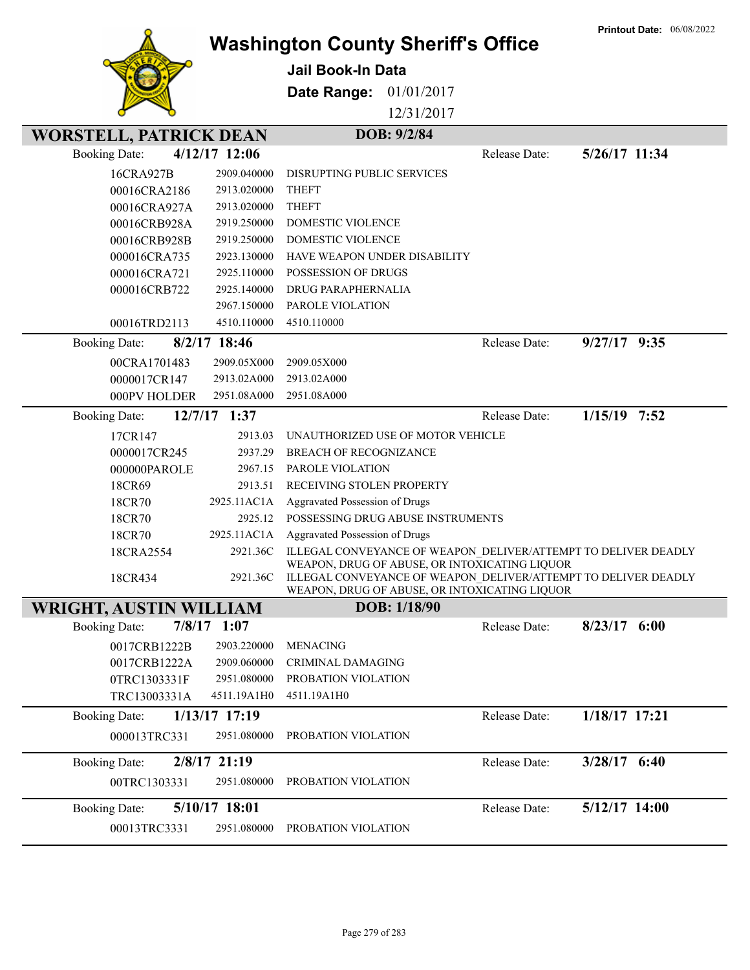|                               |                            |                                                                                                                 |               | <b>Printout Date: 06/08/2022</b> |
|-------------------------------|----------------------------|-----------------------------------------------------------------------------------------------------------------|---------------|----------------------------------|
|                               |                            | <b>Washington County Sheriff's Office</b>                                                                       |               |                                  |
|                               |                            | <b>Jail Book-In Data</b>                                                                                        |               |                                  |
|                               |                            | Date Range:<br>01/01/2017                                                                                       |               |                                  |
|                               |                            | 12/31/2017                                                                                                      |               |                                  |
|                               |                            |                                                                                                                 |               |                                  |
| <b>WORSTELL, PATRICK DEAN</b> |                            | DOB: 9/2/84                                                                                                     |               |                                  |
| <b>Booking Date:</b>          | 4/12/17 12:06              |                                                                                                                 | Release Date: | 5/26/17 11:34                    |
| 16CRA927B                     | 2909.040000                | DISRUPTING PUBLIC SERVICES                                                                                      |               |                                  |
| 00016CRA2186                  | 2913.020000                | <b>THEFT</b>                                                                                                    |               |                                  |
| 00016CRA927A                  | 2913.020000                | <b>THEFT</b>                                                                                                    |               |                                  |
| 00016CRB928A                  | 2919.250000                | <b>DOMESTIC VIOLENCE</b>                                                                                        |               |                                  |
| 00016CRB928B                  | 2919.250000                | <b>DOMESTIC VIOLENCE</b>                                                                                        |               |                                  |
| 000016CRA735                  | 2923.130000                | HAVE WEAPON UNDER DISABILITY                                                                                    |               |                                  |
| 000016CRA721                  | 2925.110000                | POSSESSION OF DRUGS                                                                                             |               |                                  |
| 000016CRB722                  | 2925.140000                | DRUG PARAPHERNALIA                                                                                              |               |                                  |
|                               | 2967.150000                | PAROLE VIOLATION                                                                                                |               |                                  |
| 00016TRD2113                  | 4510.110000                | 4510.110000                                                                                                     |               |                                  |
| <b>Booking Date:</b>          | 8/2/17 18:46               |                                                                                                                 | Release Date: | $9/27/17$ $9:35$                 |
| 00CRA1701483                  | 2909.05X000                | 2909.05X000                                                                                                     |               |                                  |
| 0000017CR147                  | 2913.02A000                | 2913.02A000                                                                                                     |               |                                  |
| 000PV HOLDER                  | 2951.08A000                | 2951.08A000                                                                                                     |               |                                  |
| <b>Booking Date:</b>          | 12/7/17 1:37               |                                                                                                                 | Release Date: | $1/15/19$ 7:52                   |
| 17CR147                       | 2913.03                    | UNAUTHORIZED USE OF MOTOR VEHICLE                                                                               |               |                                  |
| 0000017CR245                  | 2937.29                    | <b>BREACH OF RECOGNIZANCE</b>                                                                                   |               |                                  |
| 000000PAROLE                  | 2967.15                    | PAROLE VIOLATION                                                                                                |               |                                  |
| 18CR69                        | 2913.51                    | RECEIVING STOLEN PROPERTY                                                                                       |               |                                  |
| 18CR70                        | 2925.11AC1A                | Aggravated Possession of Drugs                                                                                  |               |                                  |
| 18CR70                        | 2925.12                    | POSSESSING DRUG ABUSE INSTRUMENTS                                                                               |               |                                  |
| 18CR70                        | 2925.11AC1A                | Aggravated Possession of Drugs                                                                                  |               |                                  |
| 18CRA2554                     | 2921.36C                   | ILLEGAL CONVEYANCE OF WEAPON DELIVER/ATTEMPT TO DELIVER DEADLY                                                  |               |                                  |
|                               |                            | WEAPON, DRUG OF ABUSE, OR INTOXICATING LIQUOR                                                                   |               |                                  |
| 18CR434                       | 2921.36C                   | ILLEGAL CONVEYANCE OF WEAPON DELIVER/ATTEMPT TO DELIVER DEADLY<br>WEAPON, DRUG OF ABUSE, OR INTOXICATING LIQUOR |               |                                  |
| <b>WRIGHT, AUSTIN WILLIAM</b> |                            | DOB: 1/18/90                                                                                                    |               |                                  |
| <b>Booking Date:</b>          | $7/8/17$ 1:07              |                                                                                                                 | Release Date: | $8/23/17$ 6:00                   |
| 0017CRB1222B                  | 2903.220000                | <b>MENACING</b>                                                                                                 |               |                                  |
|                               |                            |                                                                                                                 |               |                                  |
| 0017CRB1222A                  | 2909.060000<br>2951.080000 | CRIMINAL DAMAGING<br>PROBATION VIOLATION                                                                        |               |                                  |
| 0TRC1303331F<br>TRC13003331A  | 4511.19A1H0                | 4511.19A1H0                                                                                                     |               |                                  |
|                               |                            |                                                                                                                 |               |                                  |
| <b>Booking Date:</b>          | $1/13/17$ 17:19            |                                                                                                                 | Release Date: | 1/18/17 17:21                    |
| 000013TRC331                  | 2951.080000                | PROBATION VIOLATION                                                                                             |               |                                  |
| <b>Booking Date:</b>          | 2/8/17 21:19               |                                                                                                                 | Release Date: | $3/28/17$ 6:40                   |
| 00TRC1303331                  | 2951.080000                | PROBATION VIOLATION                                                                                             |               |                                  |
|                               |                            |                                                                                                                 |               |                                  |
| <b>Booking Date:</b>          | 5/10/17 18:01              |                                                                                                                 | Release Date: | $5/12/17$ 14:00                  |
| 00013TRC3331                  | 2951.080000                | PROBATION VIOLATION                                                                                             |               |                                  |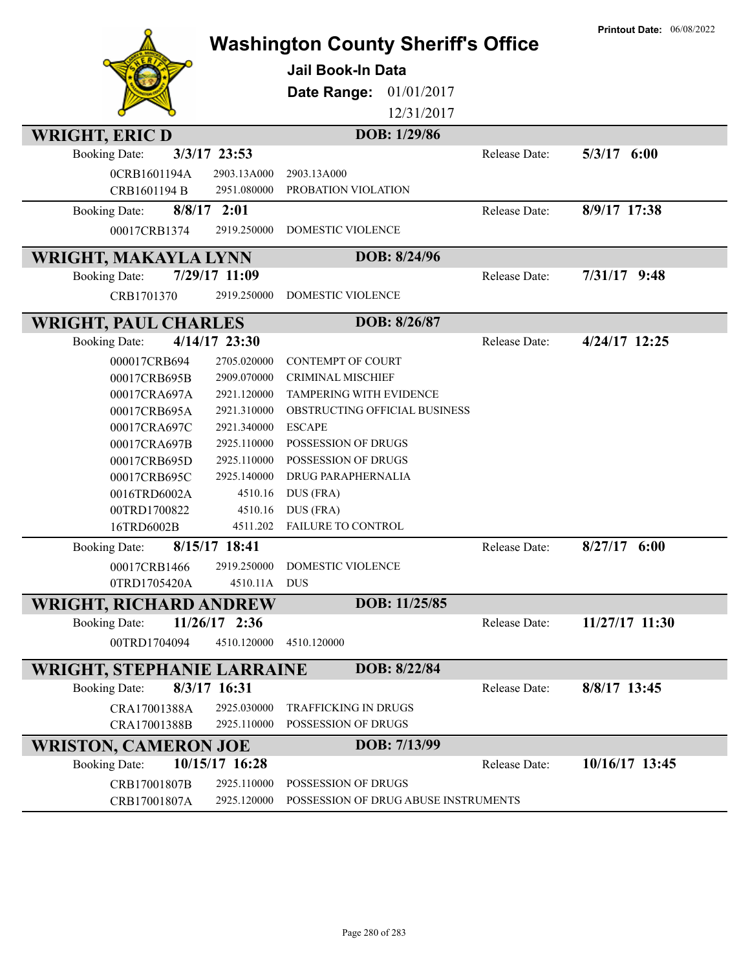| Jail Book-In Data<br>01/01/2017<br>Date Range:<br>12/31/2017<br>DOB: 1/29/86<br><b>WRIGHT, ERIC D</b><br>3/3/17 23:53<br>Release Date:<br>$5/3/17$ 6:00<br><b>Booking Date:</b><br>0CRB1601194A<br>2903.13A000<br>2903.13A000<br>CRB1601194 B<br>2951.080000<br>PROBATION VIOLATION<br>8/9/17 17:38<br>$8/8/17$ 2:01<br>Release Date:<br><b>Booking Date:</b><br>DOMESTIC VIOLENCE<br>00017CRB1374<br>2919.250000<br>DOB: 8/24/96<br><b>WRIGHT, MAKAYLA LYNN</b><br>7/29/17 11:09<br>$7/31/17$ 9:48<br><b>Booking Date:</b><br>Release Date:<br>CRB1701370<br>2919.250000<br><b>DOMESTIC VIOLENCE</b><br>DOB: 8/26/87<br><b>WRIGHT, PAUL CHARLES</b><br>4/14/17 23:30<br>4/24/17 12:25<br><b>Booking Date:</b><br>Release Date:<br>2705.020000<br><b>CONTEMPT OF COURT</b><br>000017CRB694<br>2909.070000<br>CRIMINAL MISCHIEF<br>00017CRB695B<br>2921.120000<br>TAMPERING WITH EVIDENCE<br>00017CRA697A<br>2921.310000<br>OBSTRUCTING OFFICIAL BUSINESS<br>00017CRB695A<br>2921.340000<br><b>ESCAPE</b><br>00017CRA697C<br>2925.110000<br>POSSESSION OF DRUGS<br>00017CRA697B<br>2925.110000<br>POSSESSION OF DRUGS<br>00017CRB695D<br>00017CRB695C<br>2925.140000<br>DRUG PARAPHERNALIA<br>0016TRD6002A<br>4510.16<br>DUS (FRA)<br>00TRD1700822<br>4510.16<br>DUS (FRA)<br>16TRD6002B<br>FAILURE TO CONTROL<br>4511.202<br>8/15/17 18:41<br>$8/27/17$ 6:00<br>Release Date:<br><b>Booking Date:</b><br>2919.250000<br><b>DOMESTIC VIOLENCE</b><br>00017CRB1466<br>4510.11A DUS<br>0TRD1705420A<br>DOB: 11/25/85<br><b>WRIGHT, RICHARD ANDREW</b><br>$11/26/17$ 2:36<br>11/27/17 11:30<br><b>Booking Date:</b><br>Release Date:<br>00TRD1704094<br>4510.120000<br>4510.120000<br>DOB: 8/22/84<br><b>WRIGHT, STEPHANIE LARRAINE</b><br>8/3/17 16:31<br>8/8/17 13:45<br><b>Booking Date:</b><br>Release Date:<br>2925.030000<br>CRA17001388A<br><b>TRAFFICKING IN DRUGS</b><br>2925.110000<br>POSSESSION OF DRUGS<br>CRA17001388B<br>DOB: 7/13/99<br><b>WRISTON, CAMERON JOE</b><br>10/15/17 16:28<br>10/16/17 13:45<br><b>Booking Date:</b><br>Release Date:<br>CRB17001807B<br>2925.110000<br>POSSESSION OF DRUGS<br>2925.120000<br>POSSESSION OF DRUG ABUSE INSTRUMENTS |              | <b>Washington County Sheriff's Office</b> | <b>Printout Date: 06/08/2022</b> |
|---------------------------------------------------------------------------------------------------------------------------------------------------------------------------------------------------------------------------------------------------------------------------------------------------------------------------------------------------------------------------------------------------------------------------------------------------------------------------------------------------------------------------------------------------------------------------------------------------------------------------------------------------------------------------------------------------------------------------------------------------------------------------------------------------------------------------------------------------------------------------------------------------------------------------------------------------------------------------------------------------------------------------------------------------------------------------------------------------------------------------------------------------------------------------------------------------------------------------------------------------------------------------------------------------------------------------------------------------------------------------------------------------------------------------------------------------------------------------------------------------------------------------------------------------------------------------------------------------------------------------------------------------------------------------------------------------------------------------------------------------------------------------------------------------------------------------------------------------------------------------------------------------------------------------------------------------------------------------------------------------------------------------------------------------------------------------------------------------------------------------------------------------------------------------|--------------|-------------------------------------------|----------------------------------|
|                                                                                                                                                                                                                                                                                                                                                                                                                                                                                                                                                                                                                                                                                                                                                                                                                                                                                                                                                                                                                                                                                                                                                                                                                                                                                                                                                                                                                                                                                                                                                                                                                                                                                                                                                                                                                                                                                                                                                                                                                                                                                                                                                                           |              |                                           |                                  |
|                                                                                                                                                                                                                                                                                                                                                                                                                                                                                                                                                                                                                                                                                                                                                                                                                                                                                                                                                                                                                                                                                                                                                                                                                                                                                                                                                                                                                                                                                                                                                                                                                                                                                                                                                                                                                                                                                                                                                                                                                                                                                                                                                                           |              |                                           |                                  |
|                                                                                                                                                                                                                                                                                                                                                                                                                                                                                                                                                                                                                                                                                                                                                                                                                                                                                                                                                                                                                                                                                                                                                                                                                                                                                                                                                                                                                                                                                                                                                                                                                                                                                                                                                                                                                                                                                                                                                                                                                                                                                                                                                                           |              |                                           |                                  |
|                                                                                                                                                                                                                                                                                                                                                                                                                                                                                                                                                                                                                                                                                                                                                                                                                                                                                                                                                                                                                                                                                                                                                                                                                                                                                                                                                                                                                                                                                                                                                                                                                                                                                                                                                                                                                                                                                                                                                                                                                                                                                                                                                                           |              |                                           |                                  |
|                                                                                                                                                                                                                                                                                                                                                                                                                                                                                                                                                                                                                                                                                                                                                                                                                                                                                                                                                                                                                                                                                                                                                                                                                                                                                                                                                                                                                                                                                                                                                                                                                                                                                                                                                                                                                                                                                                                                                                                                                                                                                                                                                                           |              |                                           |                                  |
|                                                                                                                                                                                                                                                                                                                                                                                                                                                                                                                                                                                                                                                                                                                                                                                                                                                                                                                                                                                                                                                                                                                                                                                                                                                                                                                                                                                                                                                                                                                                                                                                                                                                                                                                                                                                                                                                                                                                                                                                                                                                                                                                                                           |              |                                           |                                  |
|                                                                                                                                                                                                                                                                                                                                                                                                                                                                                                                                                                                                                                                                                                                                                                                                                                                                                                                                                                                                                                                                                                                                                                                                                                                                                                                                                                                                                                                                                                                                                                                                                                                                                                                                                                                                                                                                                                                                                                                                                                                                                                                                                                           |              |                                           |                                  |
|                                                                                                                                                                                                                                                                                                                                                                                                                                                                                                                                                                                                                                                                                                                                                                                                                                                                                                                                                                                                                                                                                                                                                                                                                                                                                                                                                                                                                                                                                                                                                                                                                                                                                                                                                                                                                                                                                                                                                                                                                                                                                                                                                                           |              |                                           |                                  |
|                                                                                                                                                                                                                                                                                                                                                                                                                                                                                                                                                                                                                                                                                                                                                                                                                                                                                                                                                                                                                                                                                                                                                                                                                                                                                                                                                                                                                                                                                                                                                                                                                                                                                                                                                                                                                                                                                                                                                                                                                                                                                                                                                                           |              |                                           |                                  |
|                                                                                                                                                                                                                                                                                                                                                                                                                                                                                                                                                                                                                                                                                                                                                                                                                                                                                                                                                                                                                                                                                                                                                                                                                                                                                                                                                                                                                                                                                                                                                                                                                                                                                                                                                                                                                                                                                                                                                                                                                                                                                                                                                                           |              |                                           |                                  |
|                                                                                                                                                                                                                                                                                                                                                                                                                                                                                                                                                                                                                                                                                                                                                                                                                                                                                                                                                                                                                                                                                                                                                                                                                                                                                                                                                                                                                                                                                                                                                                                                                                                                                                                                                                                                                                                                                                                                                                                                                                                                                                                                                                           |              |                                           |                                  |
|                                                                                                                                                                                                                                                                                                                                                                                                                                                                                                                                                                                                                                                                                                                                                                                                                                                                                                                                                                                                                                                                                                                                                                                                                                                                                                                                                                                                                                                                                                                                                                                                                                                                                                                                                                                                                                                                                                                                                                                                                                                                                                                                                                           |              |                                           |                                  |
|                                                                                                                                                                                                                                                                                                                                                                                                                                                                                                                                                                                                                                                                                                                                                                                                                                                                                                                                                                                                                                                                                                                                                                                                                                                                                                                                                                                                                                                                                                                                                                                                                                                                                                                                                                                                                                                                                                                                                                                                                                                                                                                                                                           |              |                                           |                                  |
|                                                                                                                                                                                                                                                                                                                                                                                                                                                                                                                                                                                                                                                                                                                                                                                                                                                                                                                                                                                                                                                                                                                                                                                                                                                                                                                                                                                                                                                                                                                                                                                                                                                                                                                                                                                                                                                                                                                                                                                                                                                                                                                                                                           |              |                                           |                                  |
|                                                                                                                                                                                                                                                                                                                                                                                                                                                                                                                                                                                                                                                                                                                                                                                                                                                                                                                                                                                                                                                                                                                                                                                                                                                                                                                                                                                                                                                                                                                                                                                                                                                                                                                                                                                                                                                                                                                                                                                                                                                                                                                                                                           |              |                                           |                                  |
|                                                                                                                                                                                                                                                                                                                                                                                                                                                                                                                                                                                                                                                                                                                                                                                                                                                                                                                                                                                                                                                                                                                                                                                                                                                                                                                                                                                                                                                                                                                                                                                                                                                                                                                                                                                                                                                                                                                                                                                                                                                                                                                                                                           |              |                                           |                                  |
|                                                                                                                                                                                                                                                                                                                                                                                                                                                                                                                                                                                                                                                                                                                                                                                                                                                                                                                                                                                                                                                                                                                                                                                                                                                                                                                                                                                                                                                                                                                                                                                                                                                                                                                                                                                                                                                                                                                                                                                                                                                                                                                                                                           |              |                                           |                                  |
|                                                                                                                                                                                                                                                                                                                                                                                                                                                                                                                                                                                                                                                                                                                                                                                                                                                                                                                                                                                                                                                                                                                                                                                                                                                                                                                                                                                                                                                                                                                                                                                                                                                                                                                                                                                                                                                                                                                                                                                                                                                                                                                                                                           |              |                                           |                                  |
|                                                                                                                                                                                                                                                                                                                                                                                                                                                                                                                                                                                                                                                                                                                                                                                                                                                                                                                                                                                                                                                                                                                                                                                                                                                                                                                                                                                                                                                                                                                                                                                                                                                                                                                                                                                                                                                                                                                                                                                                                                                                                                                                                                           |              |                                           |                                  |
|                                                                                                                                                                                                                                                                                                                                                                                                                                                                                                                                                                                                                                                                                                                                                                                                                                                                                                                                                                                                                                                                                                                                                                                                                                                                                                                                                                                                                                                                                                                                                                                                                                                                                                                                                                                                                                                                                                                                                                                                                                                                                                                                                                           |              |                                           |                                  |
|                                                                                                                                                                                                                                                                                                                                                                                                                                                                                                                                                                                                                                                                                                                                                                                                                                                                                                                                                                                                                                                                                                                                                                                                                                                                                                                                                                                                                                                                                                                                                                                                                                                                                                                                                                                                                                                                                                                                                                                                                                                                                                                                                                           |              |                                           |                                  |
|                                                                                                                                                                                                                                                                                                                                                                                                                                                                                                                                                                                                                                                                                                                                                                                                                                                                                                                                                                                                                                                                                                                                                                                                                                                                                                                                                                                                                                                                                                                                                                                                                                                                                                                                                                                                                                                                                                                                                                                                                                                                                                                                                                           |              |                                           |                                  |
|                                                                                                                                                                                                                                                                                                                                                                                                                                                                                                                                                                                                                                                                                                                                                                                                                                                                                                                                                                                                                                                                                                                                                                                                                                                                                                                                                                                                                                                                                                                                                                                                                                                                                                                                                                                                                                                                                                                                                                                                                                                                                                                                                                           |              |                                           |                                  |
|                                                                                                                                                                                                                                                                                                                                                                                                                                                                                                                                                                                                                                                                                                                                                                                                                                                                                                                                                                                                                                                                                                                                                                                                                                                                                                                                                                                                                                                                                                                                                                                                                                                                                                                                                                                                                                                                                                                                                                                                                                                                                                                                                                           |              |                                           |                                  |
|                                                                                                                                                                                                                                                                                                                                                                                                                                                                                                                                                                                                                                                                                                                                                                                                                                                                                                                                                                                                                                                                                                                                                                                                                                                                                                                                                                                                                                                                                                                                                                                                                                                                                                                                                                                                                                                                                                                                                                                                                                                                                                                                                                           |              |                                           |                                  |
|                                                                                                                                                                                                                                                                                                                                                                                                                                                                                                                                                                                                                                                                                                                                                                                                                                                                                                                                                                                                                                                                                                                                                                                                                                                                                                                                                                                                                                                                                                                                                                                                                                                                                                                                                                                                                                                                                                                                                                                                                                                                                                                                                                           |              |                                           |                                  |
|                                                                                                                                                                                                                                                                                                                                                                                                                                                                                                                                                                                                                                                                                                                                                                                                                                                                                                                                                                                                                                                                                                                                                                                                                                                                                                                                                                                                                                                                                                                                                                                                                                                                                                                                                                                                                                                                                                                                                                                                                                                                                                                                                                           |              |                                           |                                  |
|                                                                                                                                                                                                                                                                                                                                                                                                                                                                                                                                                                                                                                                                                                                                                                                                                                                                                                                                                                                                                                                                                                                                                                                                                                                                                                                                                                                                                                                                                                                                                                                                                                                                                                                                                                                                                                                                                                                                                                                                                                                                                                                                                                           |              |                                           |                                  |
|                                                                                                                                                                                                                                                                                                                                                                                                                                                                                                                                                                                                                                                                                                                                                                                                                                                                                                                                                                                                                                                                                                                                                                                                                                                                                                                                                                                                                                                                                                                                                                                                                                                                                                                                                                                                                                                                                                                                                                                                                                                                                                                                                                           |              |                                           |                                  |
|                                                                                                                                                                                                                                                                                                                                                                                                                                                                                                                                                                                                                                                                                                                                                                                                                                                                                                                                                                                                                                                                                                                                                                                                                                                                                                                                                                                                                                                                                                                                                                                                                                                                                                                                                                                                                                                                                                                                                                                                                                                                                                                                                                           |              |                                           |                                  |
|                                                                                                                                                                                                                                                                                                                                                                                                                                                                                                                                                                                                                                                                                                                                                                                                                                                                                                                                                                                                                                                                                                                                                                                                                                                                                                                                                                                                                                                                                                                                                                                                                                                                                                                                                                                                                                                                                                                                                                                                                                                                                                                                                                           |              |                                           |                                  |
|                                                                                                                                                                                                                                                                                                                                                                                                                                                                                                                                                                                                                                                                                                                                                                                                                                                                                                                                                                                                                                                                                                                                                                                                                                                                                                                                                                                                                                                                                                                                                                                                                                                                                                                                                                                                                                                                                                                                                                                                                                                                                                                                                                           |              |                                           |                                  |
|                                                                                                                                                                                                                                                                                                                                                                                                                                                                                                                                                                                                                                                                                                                                                                                                                                                                                                                                                                                                                                                                                                                                                                                                                                                                                                                                                                                                                                                                                                                                                                                                                                                                                                                                                                                                                                                                                                                                                                                                                                                                                                                                                                           |              |                                           |                                  |
|                                                                                                                                                                                                                                                                                                                                                                                                                                                                                                                                                                                                                                                                                                                                                                                                                                                                                                                                                                                                                                                                                                                                                                                                                                                                                                                                                                                                                                                                                                                                                                                                                                                                                                                                                                                                                                                                                                                                                                                                                                                                                                                                                                           |              |                                           |                                  |
|                                                                                                                                                                                                                                                                                                                                                                                                                                                                                                                                                                                                                                                                                                                                                                                                                                                                                                                                                                                                                                                                                                                                                                                                                                                                                                                                                                                                                                                                                                                                                                                                                                                                                                                                                                                                                                                                                                                                                                                                                                                                                                                                                                           |              |                                           |                                  |
|                                                                                                                                                                                                                                                                                                                                                                                                                                                                                                                                                                                                                                                                                                                                                                                                                                                                                                                                                                                                                                                                                                                                                                                                                                                                                                                                                                                                                                                                                                                                                                                                                                                                                                                                                                                                                                                                                                                                                                                                                                                                                                                                                                           |              |                                           |                                  |
|                                                                                                                                                                                                                                                                                                                                                                                                                                                                                                                                                                                                                                                                                                                                                                                                                                                                                                                                                                                                                                                                                                                                                                                                                                                                                                                                                                                                                                                                                                                                                                                                                                                                                                                                                                                                                                                                                                                                                                                                                                                                                                                                                                           |              |                                           |                                  |
|                                                                                                                                                                                                                                                                                                                                                                                                                                                                                                                                                                                                                                                                                                                                                                                                                                                                                                                                                                                                                                                                                                                                                                                                                                                                                                                                                                                                                                                                                                                                                                                                                                                                                                                                                                                                                                                                                                                                                                                                                                                                                                                                                                           |              |                                           |                                  |
|                                                                                                                                                                                                                                                                                                                                                                                                                                                                                                                                                                                                                                                                                                                                                                                                                                                                                                                                                                                                                                                                                                                                                                                                                                                                                                                                                                                                                                                                                                                                                                                                                                                                                                                                                                                                                                                                                                                                                                                                                                                                                                                                                                           |              |                                           |                                  |
|                                                                                                                                                                                                                                                                                                                                                                                                                                                                                                                                                                                                                                                                                                                                                                                                                                                                                                                                                                                                                                                                                                                                                                                                                                                                                                                                                                                                                                                                                                                                                                                                                                                                                                                                                                                                                                                                                                                                                                                                                                                                                                                                                                           |              |                                           |                                  |
|                                                                                                                                                                                                                                                                                                                                                                                                                                                                                                                                                                                                                                                                                                                                                                                                                                                                                                                                                                                                                                                                                                                                                                                                                                                                                                                                                                                                                                                                                                                                                                                                                                                                                                                                                                                                                                                                                                                                                                                                                                                                                                                                                                           | CRB17001807A |                                           |                                  |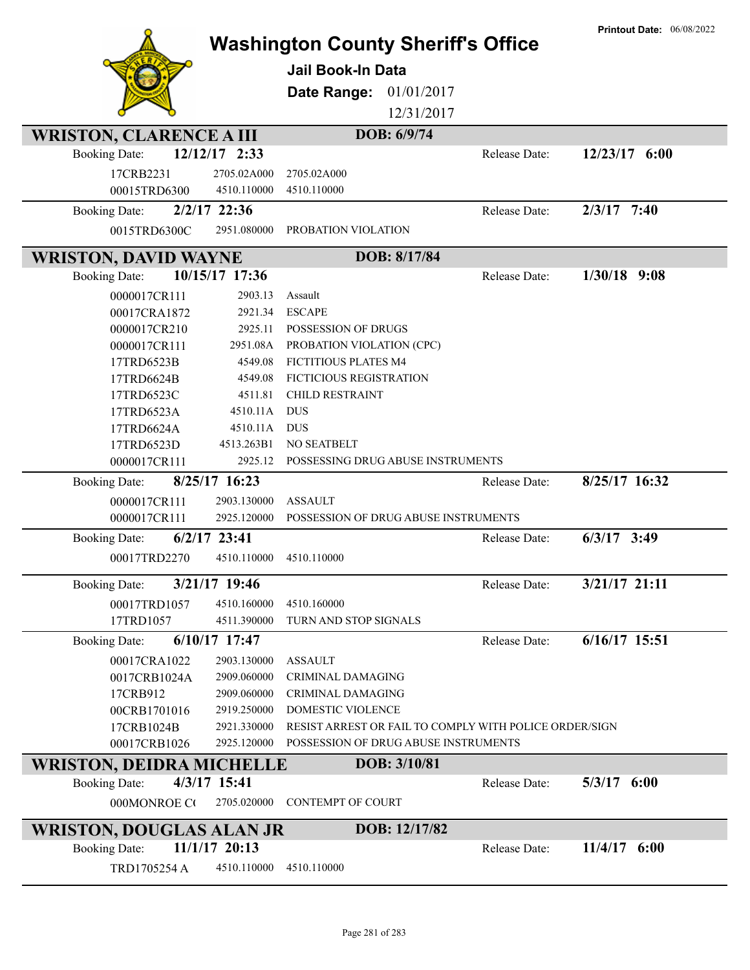|                                                         |                | <b>Washington County Sheriff's Office</b>              |               | <b>Printout Date: 06/08/2022</b> |
|---------------------------------------------------------|----------------|--------------------------------------------------------|---------------|----------------------------------|
|                                                         |                | <b>Jail Book-In Data</b>                               |               |                                  |
|                                                         |                | Date Range:<br>01/01/2017                              |               |                                  |
|                                                         |                | 12/31/2017                                             |               |                                  |
|                                                         |                |                                                        |               |                                  |
| <b>WRISTON, CLARENCE A III</b>                          |                | DOB: 6/9/74                                            |               |                                  |
| <b>Booking Date:</b>                                    | 12/12/17 2:33  |                                                        | Release Date: | 12/23/17 6:00                    |
| 17CRB2231                                               | 2705.02A000    | 2705.02A000                                            |               |                                  |
| 00015TRD6300                                            | 4510.110000    | 4510.110000                                            |               |                                  |
| <b>Booking Date:</b>                                    | 2/2/17 22:36   |                                                        | Release Date: | $2/3/17$ 7:40                    |
| 0015TRD6300C                                            | 2951.080000    | PROBATION VIOLATION                                    |               |                                  |
| <b>WRISTON, DAVID WAYNE</b>                             |                | DOB: 8/17/84                                           |               |                                  |
| <b>Booking Date:</b>                                    | 10/15/17 17:36 |                                                        | Release Date: | $1/30/18$ 9:08                   |
| 0000017CR111                                            | 2903.13        | Assault                                                |               |                                  |
| 00017CRA1872                                            | 2921.34        | <b>ESCAPE</b>                                          |               |                                  |
| 0000017CR210                                            | 2925.11        | POSSESSION OF DRUGS                                    |               |                                  |
| 0000017CR111                                            | 2951.08A       | PROBATION VIOLATION (CPC)                              |               |                                  |
| 17TRD6523B                                              | 4549.08        | FICTITIOUS PLATES M4                                   |               |                                  |
| 17TRD6624B                                              | 4549.08        | FICTICIOUS REGISTRATION                                |               |                                  |
| 17TRD6523C                                              | 4511.81        | <b>CHILD RESTRAINT</b>                                 |               |                                  |
| 17TRD6523A                                              | 4510.11A       | <b>DUS</b>                                             |               |                                  |
| 17TRD6624A                                              | 4510.11A       | <b>DUS</b>                                             |               |                                  |
| 17TRD6523D                                              | 4513.263B1     | NO SEATBELT                                            |               |                                  |
|                                                         |                |                                                        |               |                                  |
| 0000017CR111                                            | 2925.12        | POSSESSING DRUG ABUSE INSTRUMENTS                      |               |                                  |
| <b>Booking Date:</b>                                    | 8/25/17 16:23  |                                                        | Release Date: | 8/25/17 16:32                    |
| 0000017CR111                                            | 2903.130000    | <b>ASSAULT</b>                                         |               |                                  |
| 0000017CR111                                            | 2925.120000    | POSSESSION OF DRUG ABUSE INSTRUMENTS                   |               |                                  |
| <b>Booking Date:</b>                                    | $6/2/17$ 23:41 |                                                        | Release Date: | $6/3/17$ 3:49                    |
| 00017TRD2270                                            | 4510.110000    | 4510.110000                                            |               |                                  |
| <b>Booking Date:</b>                                    | 3/21/17 19:46  |                                                        | Release Date: | 3/21/17 21:11                    |
| 00017TRD1057                                            | 4510.160000    | 4510.160000                                            |               |                                  |
| 17TRD1057                                               | 4511.390000    | TURN AND STOP SIGNALS                                  |               |                                  |
| <b>Booking Date:</b>                                    | 6/10/17 17:47  |                                                        | Release Date: | 6/16/17 15:51                    |
| 00017CRA1022                                            | 2903.130000    | <b>ASSAULT</b>                                         |               |                                  |
| 0017CRB1024A                                            | 2909.060000    | <b>CRIMINAL DAMAGING</b>                               |               |                                  |
| 17CRB912                                                | 2909.060000    | CRIMINAL DAMAGING                                      |               |                                  |
| 00CRB1701016                                            | 2919.250000    | DOMESTIC VIOLENCE                                      |               |                                  |
| 17CRB1024B                                              | 2921.330000    | RESIST ARREST OR FAIL TO COMPLY WITH POLICE ORDER/SIGN |               |                                  |
| 00017CRB1026                                            | 2925.120000    | POSSESSION OF DRUG ABUSE INSTRUMENTS                   |               |                                  |
| <b>WRISTON, DEIDRA MICHELLE</b>                         |                | DOB: 3/10/81                                           |               |                                  |
| <b>Booking Date:</b>                                    | 4/3/17 15:41   |                                                        | Release Date: | 5/3/17 6:00                      |
| 000MONROE CO                                            | 2705.020000    | CONTEMPT OF COURT                                      |               |                                  |
|                                                         |                | DOB: 12/17/82                                          |               |                                  |
| <b>WRISTON, DOUGLAS ALAN JR</b><br><b>Booking Date:</b> | 11/1/17 20:13  |                                                        | Release Date: | $11/4/17$ 6:00                   |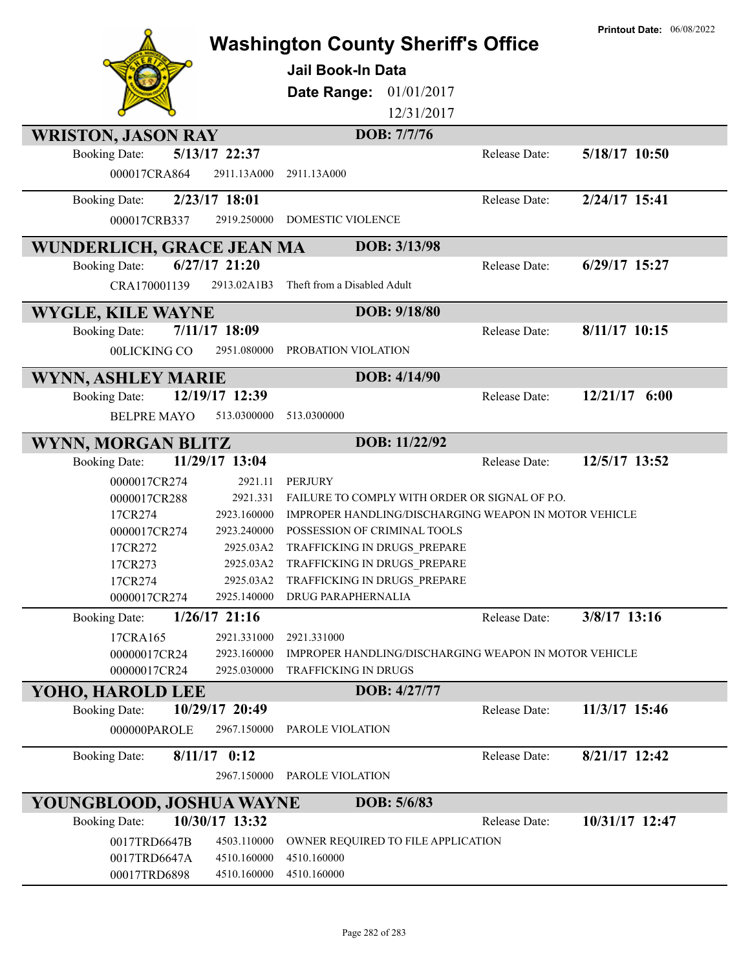|                              |                            |                                                              |               | <b>Printout Date: 06/08/2022</b> |
|------------------------------|----------------------------|--------------------------------------------------------------|---------------|----------------------------------|
|                              |                            | <b>Washington County Sheriff's Office</b>                    |               |                                  |
|                              |                            | <b>Jail Book-In Data</b>                                     |               |                                  |
|                              |                            | 01/01/2017                                                   |               |                                  |
|                              |                            | Date Range:                                                  |               |                                  |
|                              |                            | 12/31/2017                                                   |               |                                  |
| <b>WRISTON, JASON RAY</b>    |                            | DOB: 7/7/76                                                  |               |                                  |
| <b>Booking Date:</b>         | 5/13/17 22:37              |                                                              | Release Date: | 5/18/17 10:50                    |
| 000017CRA864                 | 2911.13A000                | 2911.13A000                                                  |               |                                  |
| <b>Booking Date:</b>         | 2/23/17 18:01              |                                                              | Release Date: | 2/24/17 15:41                    |
| 000017CRB337                 | 2919.250000                | <b>DOMESTIC VIOLENCE</b>                                     |               |                                  |
|                              |                            |                                                              |               |                                  |
| WUNDERLICH, GRACE JEAN MA    |                            | DOB: 3/13/98                                                 |               |                                  |
| <b>Booking Date:</b>         | $6/27/17$ 21:20            |                                                              | Release Date: | $6/29/17$ 15:27                  |
| CRA170001139                 | 2913.02A1B3                | Theft from a Disabled Adult                                  |               |                                  |
| <b>WYGLE, KILE WAYNE</b>     |                            | DOB: 9/18/80                                                 |               |                                  |
| <b>Booking Date:</b>         | 7/11/17 18:09              |                                                              | Release Date: | 8/11/17 10:15                    |
| 00LICKING CO                 | 2951.080000                | PROBATION VIOLATION                                          |               |                                  |
|                              |                            | DOB: 4/14/90                                                 |               |                                  |
| <b>WYNN, ASHLEY MARIE</b>    |                            |                                                              |               |                                  |
| <b>Booking Date:</b>         | 12/19/17 12:39             |                                                              | Release Date: | 12/21/17 6:00                    |
| <b>BELPRE MAYO</b>           | 513.0300000                | 513.0300000                                                  |               |                                  |
| WYNN, MORGAN BLITZ           |                            | DOB: 11/22/92                                                |               |                                  |
| <b>Booking Date:</b>         | 11/29/17 13:04             |                                                              | Release Date: | 12/5/17 13:52                    |
| 0000017CR274                 | 2921.11                    | <b>PERJURY</b>                                               |               |                                  |
| 0000017CR288                 | 2921.331                   | FAILURE TO COMPLY WITH ORDER OR SIGNAL OF P.O.               |               |                                  |
| 17CR274                      | 2923.160000                | <b>IMPROPER HANDLING/DISCHARGING WEAPON IN MOTOR VEHICLE</b> |               |                                  |
| 0000017CR274                 | 2923.240000                | POSSESSION OF CRIMINAL TOOLS                                 |               |                                  |
| 17CR272                      | 2925.03A2                  | TRAFFICKING IN DRUGS PREPARE                                 |               |                                  |
| 17CR273                      | 2925.03A2                  | TRAFFICKING IN DRUGS PREPARE                                 |               |                                  |
| 17CR274                      | 2925.03A2                  | TRAFFICKING IN DRUGS PREPARE                                 |               |                                  |
| 0000017CR274                 | 2925.140000                | DRUG PARAPHERNALIA                                           |               |                                  |
| <b>Booking Date:</b>         | $1/26/17$ 21:16            |                                                              | Release Date: | 3/8/17 13:16                     |
| 17CRA165                     | 2921.331000                | 2921.331000                                                  |               |                                  |
| 00000017CR24                 | 2923.160000                | IMPROPER HANDLING/DISCHARGING WEAPON IN MOTOR VEHICLE        |               |                                  |
| 00000017CR24                 | 2925.030000                | TRAFFICKING IN DRUGS                                         |               |                                  |
| YOHO, HAROLD LEE             |                            | DOB: 4/27/77                                                 |               |                                  |
| <b>Booking Date:</b>         | 10/29/17 20:49             |                                                              | Release Date: | 11/3/17 15:46                    |
| 000000PAROLE                 | 2967.150000                | PAROLE VIOLATION                                             |               |                                  |
| <b>Booking Date:</b>         | $8/11/17$ 0:12             |                                                              | Release Date: | 8/21/17 12:42                    |
|                              | 2967.150000                | PAROLE VIOLATION                                             |               |                                  |
| YOUNGBLOOD, JOSHUA WAYNE     |                            | DOB: 5/6/83                                                  |               |                                  |
| <b>Booking Date:</b>         | 10/30/17 13:32             |                                                              | Release Date: | 10/31/17 12:47                   |
|                              |                            |                                                              |               |                                  |
| 0017TRD6647B<br>0017TRD6647A | 4503.110000<br>4510.160000 | OWNER REQUIRED TO FILE APPLICATION<br>4510.160000            |               |                                  |
| 00017TRD6898                 | 4510.160000                | 4510.160000                                                  |               |                                  |
|                              |                            |                                                              |               |                                  |